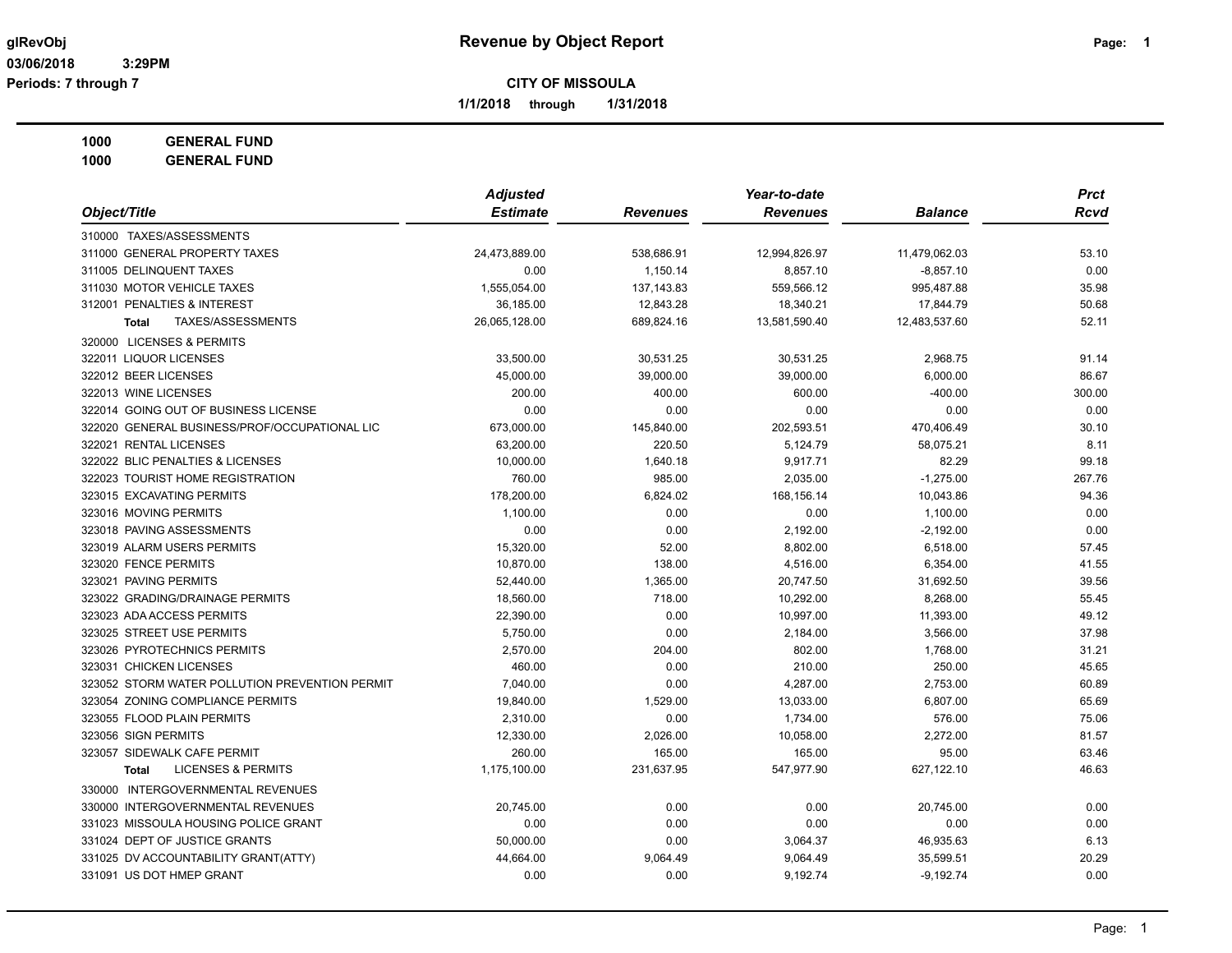**1/1/2018 through 1/31/2018**

**1000 GENERAL FUND**

| Object/Title                                   | <b>Adjusted</b> |                 | Year-to-date    |                | <b>Prct</b> |
|------------------------------------------------|-----------------|-----------------|-----------------|----------------|-------------|
|                                                | <b>Estimate</b> | <b>Revenues</b> | <b>Revenues</b> | <b>Balance</b> | <b>Rcvd</b> |
| 310000 TAXES/ASSESSMENTS                       |                 |                 |                 |                |             |
| 311000 GENERAL PROPERTY TAXES                  | 24,473,889.00   | 538,686.91      | 12,994,826.97   | 11,479,062.03  | 53.10       |
| 311005 DELINQUENT TAXES                        | 0.00            | 1,150.14        | 8,857.10        | $-8,857.10$    | 0.00        |
| 311030 MOTOR VEHICLE TAXES                     | 1,555,054.00    | 137, 143.83     | 559,566.12      | 995,487.88     | 35.98       |
| 312001 PENALTIES & INTEREST                    | 36,185.00       | 12,843.28       | 18,340.21       | 17,844.79      | 50.68       |
| TAXES/ASSESSMENTS<br><b>Total</b>              | 26,065,128.00   | 689,824.16      | 13,581,590.40   | 12,483,537.60  | 52.11       |
| 320000 LICENSES & PERMITS                      |                 |                 |                 |                |             |
| 322011 LIQUOR LICENSES                         | 33,500.00       | 30,531.25       | 30,531.25       | 2,968.75       | 91.14       |
| 322012 BEER LICENSES                           | 45,000.00       | 39,000.00       | 39,000.00       | 6,000.00       | 86.67       |
| 322013 WINE LICENSES                           | 200.00          | 400.00          | 600.00          | $-400.00$      | 300.00      |
| 322014 GOING OUT OF BUSINESS LICENSE           | 0.00            | 0.00            | 0.00            | 0.00           | 0.00        |
| 322020 GENERAL BUSINESS/PROF/OCCUPATIONAL LIC  | 673,000.00      | 145,840.00      | 202,593.51      | 470,406.49     | 30.10       |
| 322021 RENTAL LICENSES                         | 63,200.00       | 220.50          | 5,124.79        | 58,075.21      | 8.11        |
| 322022 BLIC PENALTIES & LICENSES               | 10,000.00       | 1,640.18        | 9,917.71        | 82.29          | 99.18       |
| 322023 TOURIST HOME REGISTRATION               | 760.00          | 985.00          | 2,035.00        | $-1,275.00$    | 267.76      |
| 323015 EXCAVATING PERMITS                      | 178,200.00      | 6,824.02        | 168,156.14      | 10,043.86      | 94.36       |
| 323016 MOVING PERMITS                          | 1,100.00        | 0.00            | 0.00            | 1,100.00       | 0.00        |
| 323018 PAVING ASSESSMENTS                      | 0.00            | 0.00            | 2,192.00        | $-2,192.00$    | 0.00        |
| 323019 ALARM USERS PERMITS                     | 15,320.00       | 52.00           | 8,802.00        | 6,518.00       | 57.45       |
| 323020 FENCE PERMITS                           | 10,870.00       | 138.00          | 4,516.00        | 6,354.00       | 41.55       |
| 323021 PAVING PERMITS                          | 52,440.00       | 1,365.00        | 20,747.50       | 31,692.50      | 39.56       |
| 323022 GRADING/DRAINAGE PERMITS                | 18,560.00       | 718.00          | 10,292.00       | 8,268.00       | 55.45       |
| 323023 ADA ACCESS PERMITS                      | 22,390.00       | 0.00            | 10,997.00       | 11,393.00      | 49.12       |
| 323025 STREET USE PERMITS                      | 5,750.00        | 0.00            | 2,184.00        | 3,566.00       | 37.98       |
| 323026 PYROTECHNICS PERMITS                    | 2,570.00        | 204.00          | 802.00          | 1,768.00       | 31.21       |
| 323031 CHICKEN LICENSES                        | 460.00          | 0.00            | 210.00          | 250.00         | 45.65       |
| 323052 STORM WATER POLLUTION PREVENTION PERMIT | 7,040.00        | 0.00            | 4,287.00        | 2,753.00       | 60.89       |
| 323054 ZONING COMPLIANCE PERMITS               | 19,840.00       | 1,529.00        | 13,033.00       | 6,807.00       | 65.69       |
| 323055 FLOOD PLAIN PERMITS                     | 2,310.00        | 0.00            | 1,734.00        | 576.00         | 75.06       |
| 323056 SIGN PERMITS                            | 12,330.00       | 2,026.00        | 10,058.00       | 2,272.00       | 81.57       |
| 323057 SIDEWALK CAFE PERMIT                    | 260.00          | 165.00          | 165.00          | 95.00          | 63.46       |
| <b>LICENSES &amp; PERMITS</b><br><b>Total</b>  | 1,175,100.00    | 231,637.95      | 547,977.90      | 627,122.10     | 46.63       |
| 330000 INTERGOVERNMENTAL REVENUES              |                 |                 |                 |                |             |
| 330000 INTERGOVERNMENTAL REVENUES              | 20,745.00       | 0.00            | 0.00            | 20,745.00      | 0.00        |
| 331023 MISSOULA HOUSING POLICE GRANT           | 0.00            | 0.00            | 0.00            | 0.00           | 0.00        |
| 331024 DEPT OF JUSTICE GRANTS                  | 50,000.00       | 0.00            | 3,064.37        | 46,935.63      | 6.13        |
| 331025 DV ACCOUNTABILITY GRANT(ATTY)           | 44,664.00       | 9,064.49        | 9,064.49        | 35,599.51      | 20.29       |
| 331091 US DOT HMEP GRANT                       | 0.00            | 0.00            | 9,192.74        | $-9,192.74$    | 0.00        |
|                                                |                 |                 |                 |                |             |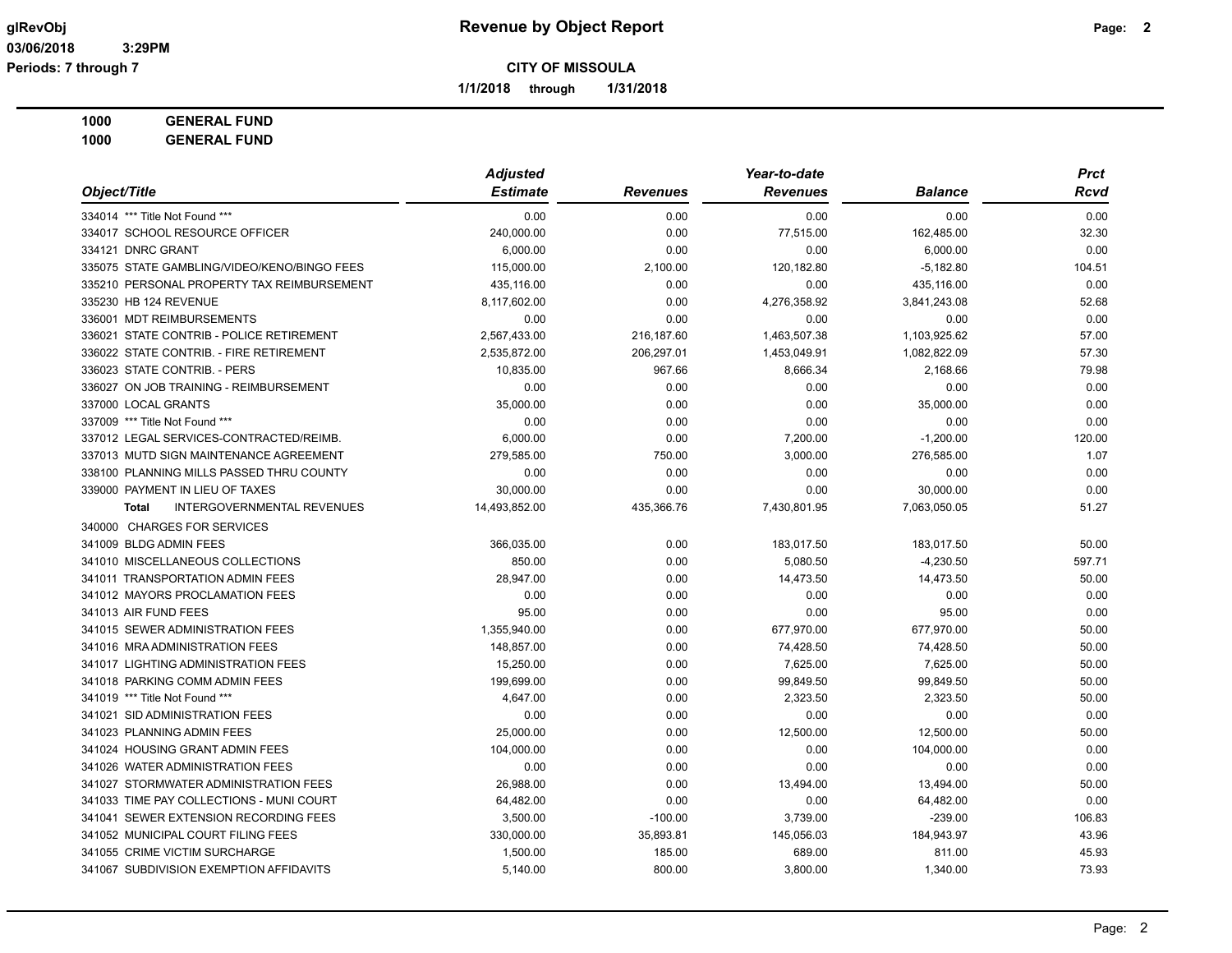**1/1/2018 through 1/31/2018**

**1000 GENERAL FUND**

| Object/Title                                      | <b>Adjusted</b> |                 | Year-to-date    |                | <b>Prct</b> |
|---------------------------------------------------|-----------------|-----------------|-----------------|----------------|-------------|
|                                                   | <b>Estimate</b> | <b>Revenues</b> | <b>Revenues</b> | <b>Balance</b> | Rcvd        |
| 334014 *** Title Not Found ***                    | 0.00            | 0.00            | 0.00            | 0.00           | 0.00        |
| 334017 SCHOOL RESOURCE OFFICER                    | 240,000.00      | 0.00            | 77,515.00       | 162,485.00     | 32.30       |
| 334121 DNRC GRANT                                 | 6,000.00        | 0.00            | 0.00            | 6,000.00       | 0.00        |
| 335075 STATE GAMBLING/VIDEO/KENO/BINGO FEES       | 115,000.00      | 2,100.00        | 120,182.80      | $-5,182.80$    | 104.51      |
| 335210 PERSONAL PROPERTY TAX REIMBURSEMENT        | 435,116.00      | 0.00            | 0.00            | 435,116.00     | 0.00        |
| 335230 HB 124 REVENUE                             | 8,117,602.00    | 0.00            | 4,276,358.92    | 3,841,243.08   | 52.68       |
| 336001 MDT REIMBURSEMENTS                         | 0.00            | 0.00            | 0.00            | 0.00           | 0.00        |
| 336021 STATE CONTRIB - POLICE RETIREMENT          | 2,567,433.00    | 216,187.60      | 1,463,507.38    | 1,103,925.62   | 57.00       |
| 336022 STATE CONTRIB. - FIRE RETIREMENT           | 2,535,872.00    | 206,297.01      | 1,453,049.91    | 1,082,822.09   | 57.30       |
| 336023 STATE CONTRIB. - PERS                      | 10,835.00       | 967.66          | 8,666.34        | 2,168.66       | 79.98       |
| 336027 ON JOB TRAINING - REIMBURSEMENT            | 0.00            | 0.00            | 0.00            | 0.00           | 0.00        |
| 337000 LOCAL GRANTS                               | 35,000.00       | 0.00            | 0.00            | 35,000.00      | 0.00        |
| 337009 *** Title Not Found ***                    | 0.00            | 0.00            | 0.00            | 0.00           | 0.00        |
| 337012 LEGAL SERVICES-CONTRACTED/REIMB.           | 6,000.00        | 0.00            | 7,200.00        | $-1,200.00$    | 120.00      |
| 337013 MUTD SIGN MAINTENANCE AGREEMENT            | 279,585.00      | 750.00          | 3,000.00        | 276,585.00     | 1.07        |
| 338100 PLANNING MILLS PASSED THRU COUNTY          | 0.00            | 0.00            | 0.00            | 0.00           | 0.00        |
| 339000 PAYMENT IN LIEU OF TAXES                   | 30,000.00       | 0.00            | 0.00            | 30,000.00      | 0.00        |
| <b>INTERGOVERNMENTAL REVENUES</b><br><b>Total</b> | 14,493,852.00   | 435,366.76      | 7,430,801.95    | 7,063,050.05   | 51.27       |
| 340000 CHARGES FOR SERVICES                       |                 |                 |                 |                |             |
| 341009 BLDG ADMIN FEES                            | 366,035.00      | 0.00            | 183.017.50      | 183,017.50     | 50.00       |
| 341010 MISCELLANEOUS COLLECTIONS                  | 850.00          | 0.00            | 5,080.50        | $-4,230.50$    | 597.71      |
| 341011 TRANSPORTATION ADMIN FEES                  | 28,947.00       | 0.00            | 14,473.50       | 14,473.50      | 50.00       |
| 341012 MAYORS PROCLAMATION FEES                   | 0.00            | 0.00            | 0.00            | 0.00           | 0.00        |
| 341013 AIR FUND FEES                              | 95.00           | 0.00            | 0.00            | 95.00          | 0.00        |
| 341015 SEWER ADMINISTRATION FEES                  | 1,355,940.00    | 0.00            | 677,970.00      | 677,970.00     | 50.00       |
| 341016 MRA ADMINISTRATION FEES                    | 148,857.00      | 0.00            | 74,428.50       | 74,428.50      | 50.00       |
| 341017 LIGHTING ADMINISTRATION FEES               | 15,250.00       | 0.00            | 7,625.00        | 7,625.00       | 50.00       |
| 341018 PARKING COMM ADMIN FEES                    | 199,699.00      | 0.00            | 99,849.50       | 99,849.50      | 50.00       |
| 341019 *** Title Not Found ***                    | 4,647.00        | 0.00            | 2,323.50        | 2,323.50       | 50.00       |
| 341021 SID ADMINISTRATION FEES                    | 0.00            | 0.00            | 0.00            | 0.00           | 0.00        |
| 341023 PLANNING ADMIN FEES                        | 25,000.00       | 0.00            | 12,500.00       | 12,500.00      | 50.00       |
| 341024 HOUSING GRANT ADMIN FEES                   | 104,000.00      | 0.00            | 0.00            | 104,000.00     | 0.00        |
| 341026 WATER ADMINISTRATION FEES                  | 0.00            | 0.00            | 0.00            | 0.00           | 0.00        |
| 341027 STORMWATER ADMINISTRATION FEES             | 26,988.00       | 0.00            | 13,494.00       | 13,494.00      | 50.00       |
| 341033 TIME PAY COLLECTIONS - MUNI COURT          | 64,482.00       | 0.00            | 0.00            | 64,482.00      | 0.00        |
| 341041 SEWER EXTENSION RECORDING FEES             | 3,500.00        | $-100.00$       | 3,739.00        | $-239.00$      | 106.83      |
| 341052 MUNICIPAL COURT FILING FEES                | 330,000.00      | 35,893.81       | 145,056.03      | 184,943.97     | 43.96       |
| 341055 CRIME VICTIM SURCHARGE                     | 1,500.00        | 185.00          | 689.00          | 811.00         | 45.93       |
| 341067 SUBDIVISION EXEMPTION AFFIDAVITS           | 5,140.00        | 800.00          | 3,800.00        | 1,340.00       | 73.93       |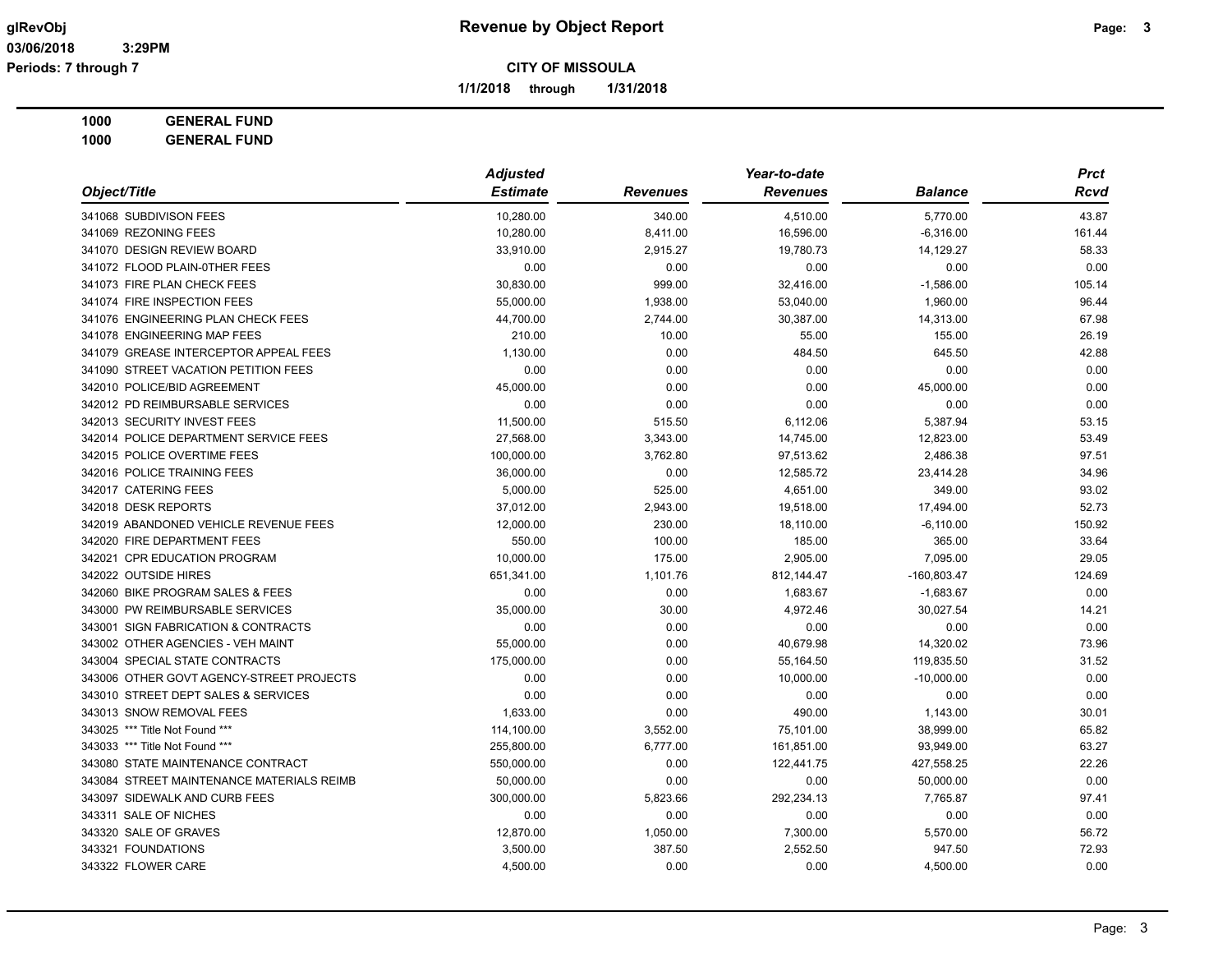**1/1/2018 through 1/31/2018**

**1000 GENERAL FUND**

| Object/Title                              | <b>Adjusted</b> |                 | Year-to-date    |                | <b>Prct</b> |
|-------------------------------------------|-----------------|-----------------|-----------------|----------------|-------------|
|                                           | <b>Estimate</b> | <b>Revenues</b> | <b>Revenues</b> | <b>Balance</b> | <b>Rcvd</b> |
| 341068 SUBDIVISON FEES                    | 10,280.00       | 340.00          | 4,510.00        | 5,770.00       | 43.87       |
| 341069 REZONING FEES                      | 10,280.00       | 8,411.00        | 16,596.00       | $-6,316.00$    | 161.44      |
| 341070 DESIGN REVIEW BOARD                | 33,910.00       | 2,915.27        | 19,780.73       | 14,129.27      | 58.33       |
| 341072 FLOOD PLAIN-0THER FEES             | 0.00            | 0.00            | 0.00            | 0.00           | 0.00        |
| 341073 FIRE PLAN CHECK FEES               | 30,830.00       | 999.00          | 32,416.00       | $-1,586.00$    | 105.14      |
| 341074 FIRE INSPECTION FEES               | 55,000.00       | 1,938.00        | 53,040.00       | 1,960.00       | 96.44       |
| 341076 ENGINEERING PLAN CHECK FEES        | 44,700.00       | 2,744.00        | 30,387.00       | 14,313.00      | 67.98       |
| 341078 ENGINEERING MAP FEES               | 210.00          | 10.00           | 55.00           | 155.00         | 26.19       |
| 341079 GREASE INTERCEPTOR APPEAL FEES     | 1,130.00        | 0.00            | 484.50          | 645.50         | 42.88       |
| 341090 STREET VACATION PETITION FEES      | 0.00            | 0.00            | 0.00            | 0.00           | 0.00        |
| 342010 POLICE/BID AGREEMENT               | 45,000.00       | 0.00            | 0.00            | 45,000.00      | 0.00        |
| 342012 PD REIMBURSABLE SERVICES           | 0.00            | 0.00            | 0.00            | 0.00           | 0.00        |
| 342013 SECURITY INVEST FEES               | 11,500.00       | 515.50          | 6,112.06        | 5,387.94       | 53.15       |
| 342014 POLICE DEPARTMENT SERVICE FEES     | 27,568.00       | 3,343.00        | 14,745.00       | 12,823.00      | 53.49       |
| 342015 POLICE OVERTIME FEES               | 100,000.00      | 3,762.80        | 97,513.62       | 2,486.38       | 97.51       |
| 342016 POLICE TRAINING FEES               | 36,000.00       | 0.00            | 12,585.72       | 23,414.28      | 34.96       |
| 342017 CATERING FEES                      | 5,000.00        | 525.00          | 4,651.00        | 349.00         | 93.02       |
| 342018 DESK REPORTS                       | 37,012.00       | 2,943.00        | 19,518.00       | 17,494.00      | 52.73       |
| 342019 ABANDONED VEHICLE REVENUE FEES     | 12,000.00       | 230.00          | 18,110.00       | $-6,110.00$    | 150.92      |
| 342020 FIRE DEPARTMENT FEES               | 550.00          | 100.00          | 185.00          | 365.00         | 33.64       |
| 342021 CPR EDUCATION PROGRAM              | 10,000.00       | 175.00          | 2,905.00        | 7,095.00       | 29.05       |
| 342022 OUTSIDE HIRES                      | 651,341.00      | 1,101.76        | 812,144.47      | $-160,803.47$  | 124.69      |
| 342060 BIKE PROGRAM SALES & FEES          | 0.00            | 0.00            | 1,683.67        | $-1,683.67$    | 0.00        |
| 343000 PW REIMBURSABLE SERVICES           | 35,000.00       | 30.00           | 4,972.46        | 30,027.54      | 14.21       |
| 343001 SIGN FABRICATION & CONTRACTS       | 0.00            | 0.00            | 0.00            | 0.00           | 0.00        |
| 343002 OTHER AGENCIES - VEH MAINT         | 55,000.00       | 0.00            | 40,679.98       | 14,320.02      | 73.96       |
| 343004 SPECIAL STATE CONTRACTS            | 175,000.00      | 0.00            | 55,164.50       | 119,835.50     | 31.52       |
| 343006 OTHER GOVT AGENCY-STREET PROJECTS  | 0.00            | 0.00            | 10,000.00       | $-10,000.00$   | 0.00        |
| 343010 STREET DEPT SALES & SERVICES       | 0.00            | 0.00            | 0.00            | 0.00           | 0.00        |
| 343013 SNOW REMOVAL FEES                  | 1,633.00        | 0.00            | 490.00          | 1,143.00       | 30.01       |
| 343025 *** Title Not Found ***            | 114,100.00      | 3,552.00        | 75,101.00       | 38,999.00      | 65.82       |
| 343033 *** Title Not Found ***            | 255,800.00      | 6,777.00        | 161,851.00      | 93,949.00      | 63.27       |
| 343080 STATE MAINTENANCE CONTRACT         | 550,000.00      | 0.00            | 122,441.75      | 427,558.25     | 22.26       |
| 343084 STREET MAINTENANCE MATERIALS REIMB | 50,000.00       | 0.00            | 0.00            | 50,000.00      | 0.00        |
| 343097 SIDEWALK AND CURB FEES             | 300,000.00      | 5,823.66        | 292,234.13      | 7,765.87       | 97.41       |
| 343311 SALE OF NICHES                     | 0.00            | 0.00            | 0.00            | 0.00           | 0.00        |
| 343320 SALE OF GRAVES                     | 12,870.00       | 1,050.00        | 7,300.00        | 5,570.00       | 56.72       |
| 343321 FOUNDATIONS                        | 3,500.00        | 387.50          | 2,552.50        | 947.50         | 72.93       |
| 343322 FLOWER CARE                        | 4,500.00        | 0.00            | 0.00            | 4,500.00       | 0.00        |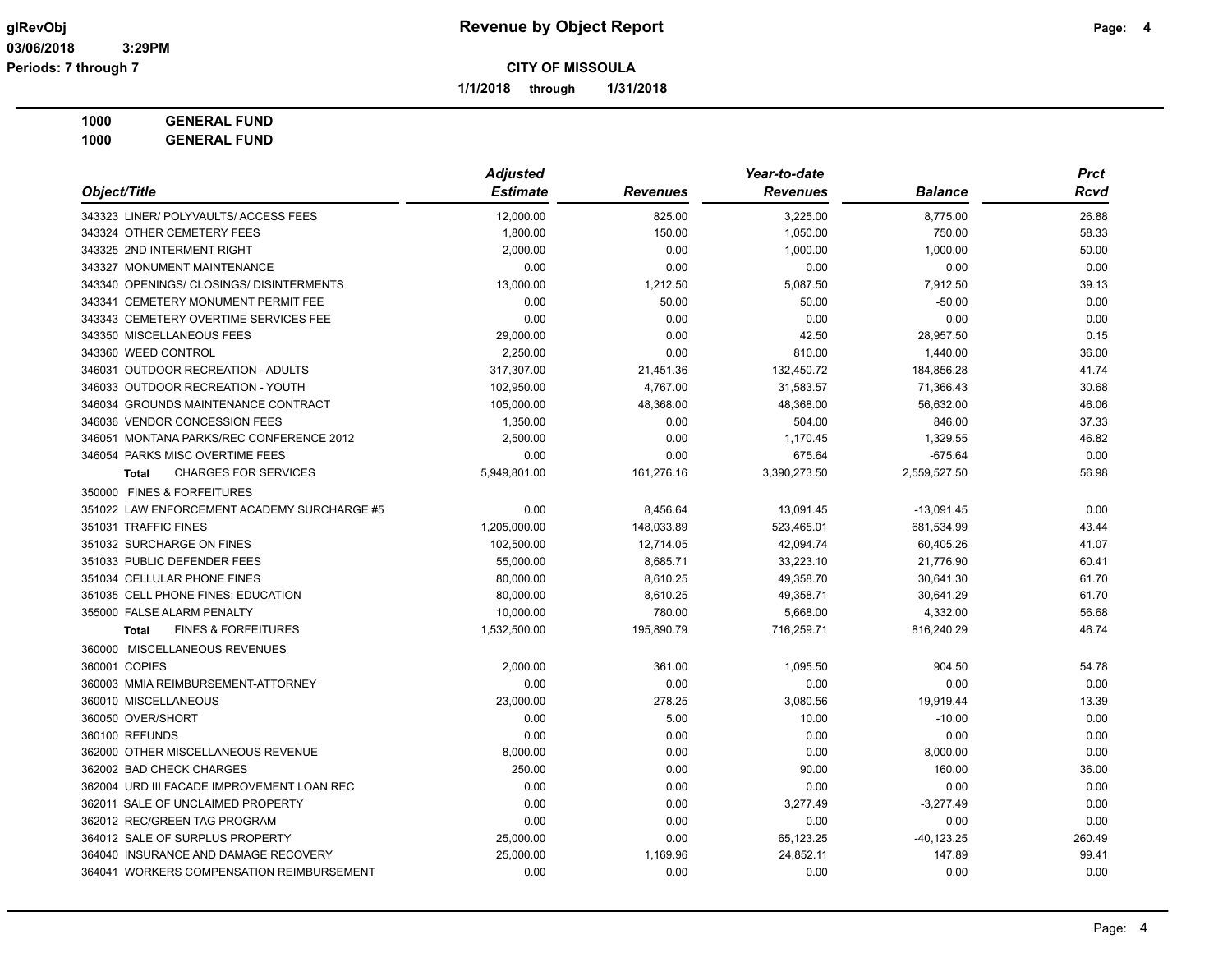**1/1/2018 through 1/31/2018**

### **1000 GENERAL FUND**

| Object/Title                                   | <b>Adjusted</b> |                 | Year-to-date    |                | <b>Prct</b> |
|------------------------------------------------|-----------------|-----------------|-----------------|----------------|-------------|
|                                                | <b>Estimate</b> | <b>Revenues</b> | <b>Revenues</b> | <b>Balance</b> | Rcvd        |
| 343323 LINER/ POLYVAULTS/ ACCESS FEES          | 12,000.00       | 825.00          | 3,225.00        | 8,775.00       | 26.88       |
| 343324 OTHER CEMETERY FEES                     | 1,800.00        | 150.00          | 1,050.00        | 750.00         | 58.33       |
| 343325 2ND INTERMENT RIGHT                     | 2,000.00        | 0.00            | 1,000.00        | 1,000.00       | 50.00       |
| 343327 MONUMENT MAINTENANCE                    | 0.00            | 0.00            | 0.00            | 0.00           | 0.00        |
| 343340 OPENINGS/ CLOSINGS/ DISINTERMENTS       | 13,000.00       | 1,212.50        | 5,087.50        | 7,912.50       | 39.13       |
| 343341 CEMETERY MONUMENT PERMIT FEE            | 0.00            | 50.00           | 50.00           | $-50.00$       | 0.00        |
| 343343 CEMETERY OVERTIME SERVICES FEE          | 0.00            | 0.00            | 0.00            | 0.00           | 0.00        |
| 343350 MISCELLANEOUS FEES                      | 29,000.00       | 0.00            | 42.50           | 28,957.50      | 0.15        |
| 343360 WEED CONTROL                            | 2,250.00        | 0.00            | 810.00          | 1,440.00       | 36.00       |
| 346031 OUTDOOR RECREATION - ADULTS             | 317,307.00      | 21,451.36       | 132,450.72      | 184,856.28     | 41.74       |
| 346033 OUTDOOR RECREATION - YOUTH              | 102,950.00      | 4,767.00        | 31,583.57       | 71,366.43      | 30.68       |
| 346034 GROUNDS MAINTENANCE CONTRACT            | 105,000.00      | 48,368.00       | 48,368.00       | 56,632.00      | 46.06       |
| 346036 VENDOR CONCESSION FEES                  | 1,350.00        | 0.00            | 504.00          | 846.00         | 37.33       |
| 346051 MONTANA PARKS/REC CONFERENCE 2012       | 2,500.00        | 0.00            | 1,170.45        | 1,329.55       | 46.82       |
| 346054 PARKS MISC OVERTIME FEES                | 0.00            | 0.00            | 675.64          | $-675.64$      | 0.00        |
| <b>CHARGES FOR SERVICES</b><br><b>Total</b>    | 5,949,801.00    | 161,276.16      | 3,390,273.50    | 2,559,527.50   | 56.98       |
| 350000 FINES & FORFEITURES                     |                 |                 |                 |                |             |
| 351022 LAW ENFORCEMENT ACADEMY SURCHARGE #5    | 0.00            | 8,456.64        | 13,091.45       | $-13,091.45$   | 0.00        |
| 351031 TRAFFIC FINES                           | 1,205,000.00    | 148,033.89      | 523,465.01      | 681,534.99     | 43.44       |
| 351032 SURCHARGE ON FINES                      | 102,500.00      | 12,714.05       | 42,094.74       | 60,405.26      | 41.07       |
| 351033 PUBLIC DEFENDER FEES                    | 55,000.00       | 8,685.71        | 33,223.10       | 21,776.90      | 60.41       |
| 351034 CELLULAR PHONE FINES                    | 80,000.00       | 8,610.25        | 49,358.70       | 30,641.30      | 61.70       |
| 351035 CELL PHONE FINES: EDUCATION             | 80,000.00       | 8,610.25        | 49,358.71       | 30,641.29      | 61.70       |
| 355000 FALSE ALARM PENALTY                     | 10,000.00       | 780.00          | 5,668.00        | 4,332.00       | 56.68       |
| <b>FINES &amp; FORFEITURES</b><br><b>Total</b> | 1,532,500.00    | 195,890.79      | 716,259.71      | 816,240.29     | 46.74       |
| 360000 MISCELLANEOUS REVENUES                  |                 |                 |                 |                |             |
| 360001 COPIES                                  | 2,000.00        | 361.00          | 1,095.50        | 904.50         | 54.78       |
| 360003 MMIA REIMBURSEMENT-ATTORNEY             | 0.00            | 0.00            | 0.00            | 0.00           | 0.00        |
| 360010 MISCELLANEOUS                           | 23,000.00       | 278.25          | 3,080.56        | 19,919.44      | 13.39       |
| 360050 OVER/SHORT                              | 0.00            | 5.00            | 10.00           | $-10.00$       | 0.00        |
| 360100 REFUNDS                                 | 0.00            | 0.00            | 0.00            | 0.00           | 0.00        |
| 362000 OTHER MISCELLANEOUS REVENUE             | 8,000.00        | 0.00            | 0.00            | 8,000.00       | 0.00        |
| 362002 BAD CHECK CHARGES                       | 250.00          | 0.00            | 90.00           | 160.00         | 36.00       |
| 362004 URD III FACADE IMPROVEMENT LOAN REC     | 0.00            | 0.00            | 0.00            | 0.00           | 0.00        |
| 362011 SALE OF UNCLAIMED PROPERTY              | 0.00            | 0.00            | 3,277.49        | $-3,277.49$    | 0.00        |
| 362012 REC/GREEN TAG PROGRAM                   | 0.00            | 0.00            | 0.00            | 0.00           | 0.00        |
| 364012 SALE OF SURPLUS PROPERTY                | 25,000.00       | 0.00            | 65,123.25       | $-40, 123.25$  | 260.49      |
| 364040 INSURANCE AND DAMAGE RECOVERY           | 25,000.00       | 1,169.96        | 24,852.11       | 147.89         | 99.41       |
| 364041 WORKERS COMPENSATION REIMBURSEMENT      | 0.00            | 0.00            | 0.00            | 0.00           | 0.00        |
|                                                |                 |                 |                 |                |             |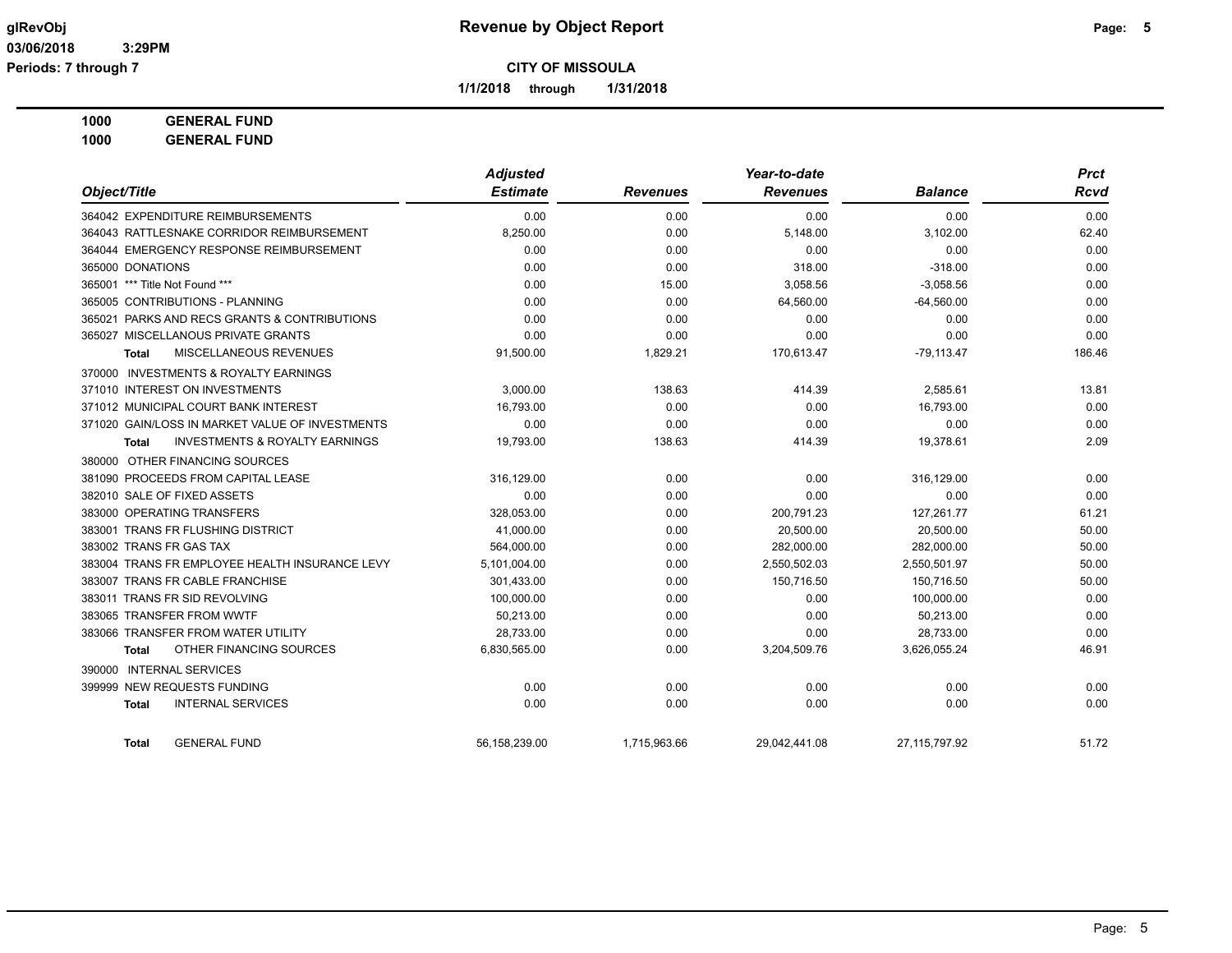**1/1/2018 through 1/31/2018**

**1000 GENERAL FUND**

|                                                    | <b>Adjusted</b> |                 | Year-to-date    |                | <b>Prct</b> |  |
|----------------------------------------------------|-----------------|-----------------|-----------------|----------------|-------------|--|
| Object/Title                                       | <b>Estimate</b> | <b>Revenues</b> | <b>Revenues</b> | <b>Balance</b> | <b>Rcvd</b> |  |
| 364042 EXPENDITURE REIMBURSEMENTS                  | 0.00            | 0.00            | 0.00            | 0.00           | 0.00        |  |
| 364043 RATTLESNAKE CORRIDOR REIMBURSEMENT          | 8,250.00        | 0.00            | 5,148.00        | 3,102.00       | 62.40       |  |
| 364044 EMERGENCY RESPONSE REIMBURSEMENT            | 0.00            | 0.00            | 0.00            | 0.00           | 0.00        |  |
| 365000 DONATIONS                                   | 0.00            | 0.00            | 318.00          | $-318.00$      | 0.00        |  |
| 365001 *** Title Not Found ***                     | 0.00            | 15.00           | 3,058.56        | $-3,058.56$    | 0.00        |  |
| 365005 CONTRIBUTIONS - PLANNING                    | 0.00            | 0.00            | 64,560.00       | $-64,560.00$   | 0.00        |  |
| 365021 PARKS AND RECS GRANTS & CONTRIBUTIONS       | 0.00            | 0.00            | 0.00            | 0.00           | 0.00        |  |
| 365027 MISCELLANOUS PRIVATE GRANTS                 | 0.00            | 0.00            | 0.00            | 0.00           | 0.00        |  |
| MISCELLANEOUS REVENUES<br><b>Total</b>             | 91,500.00       | 1,829.21        | 170,613.47      | $-79,113.47$   | 186.46      |  |
| 370000 INVESTMENTS & ROYALTY EARNINGS              |                 |                 |                 |                |             |  |
| 371010 INTEREST ON INVESTMENTS                     | 3,000.00        | 138.63          | 414.39          | 2,585.61       | 13.81       |  |
| 371012 MUNICIPAL COURT BANK INTEREST               | 16,793.00       | 0.00            | 0.00            | 16,793.00      | 0.00        |  |
| 371020 GAIN/LOSS IN MARKET VALUE OF INVESTMENTS    | 0.00            | 0.00            | 0.00            | 0.00           | 0.00        |  |
| <b>INVESTMENTS &amp; ROYALTY EARNINGS</b><br>Total | 19,793.00       | 138.63          | 414.39          | 19,378.61      | 2.09        |  |
| 380000 OTHER FINANCING SOURCES                     |                 |                 |                 |                |             |  |
| 381090 PROCEEDS FROM CAPITAL LEASE                 | 316,129.00      | 0.00            | 0.00            | 316,129.00     | 0.00        |  |
| 382010 SALE OF FIXED ASSETS                        | 0.00            | 0.00            | 0.00            | 0.00           | 0.00        |  |
| 383000 OPERATING TRANSFERS                         | 328.053.00      | 0.00            | 200,791.23      | 127,261.77     | 61.21       |  |
| 383001 TRANS FR FLUSHING DISTRICT                  | 41,000.00       | 0.00            | 20,500.00       | 20,500.00      | 50.00       |  |
| 383002 TRANS FR GAS TAX                            | 564,000.00      | 0.00            | 282,000.00      | 282,000.00     | 50.00       |  |
| 383004 TRANS FR EMPLOYEE HEALTH INSURANCE LEVY     | 5,101,004.00    | 0.00            | 2,550,502.03    | 2,550,501.97   | 50.00       |  |
| 383007 TRANS FR CABLE FRANCHISE                    | 301,433.00      | 0.00            | 150,716.50      | 150,716.50     | 50.00       |  |
| 383011 TRANS FR SID REVOLVING                      | 100,000.00      | 0.00            | 0.00            | 100,000.00     | 0.00        |  |
| 383065 TRANSFER FROM WWTF                          | 50,213.00       | 0.00            | 0.00            | 50,213.00      | 0.00        |  |
| 383066 TRANSFER FROM WATER UTILITY                 | 28,733.00       | 0.00            | 0.00            | 28,733.00      | 0.00        |  |
| OTHER FINANCING SOURCES<br><b>Total</b>            | 6,830,565.00    | 0.00            | 3,204,509.76    | 3,626,055.24   | 46.91       |  |
| 390000 INTERNAL SERVICES                           |                 |                 |                 |                |             |  |
| 399999 NEW REQUESTS FUNDING                        | 0.00            | 0.00            | 0.00            | 0.00           | 0.00        |  |
| <b>INTERNAL SERVICES</b><br><b>Total</b>           | 0.00            | 0.00            | 0.00            | 0.00           | 0.00        |  |
| <b>GENERAL FUND</b><br><b>Total</b>                | 56.158.239.00   | 1.715.963.66    | 29.042.441.08   | 27.115.797.92  | 51.72       |  |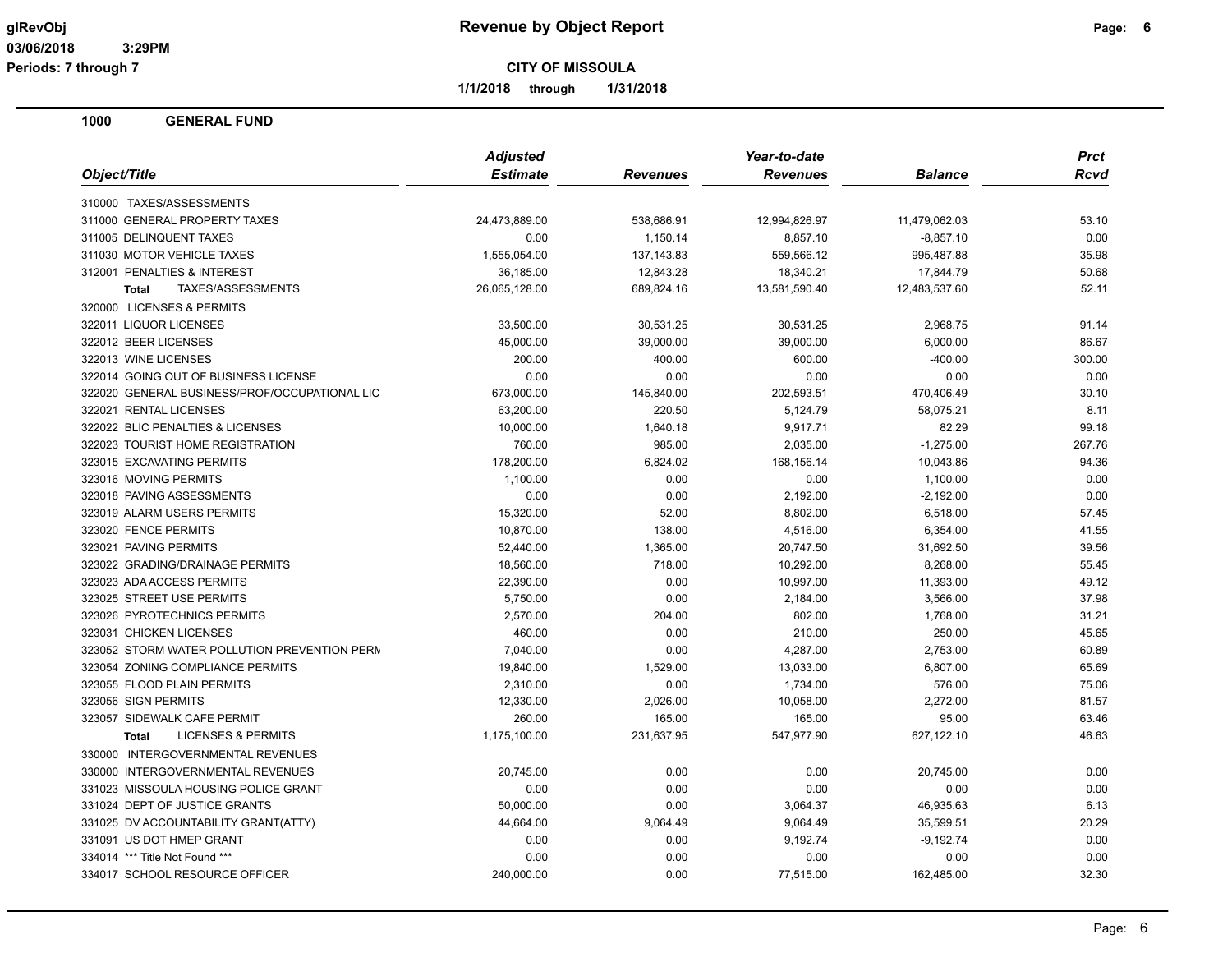**Periods: 7 through 7**

**CITY OF MISSOULA**

**1/1/2018 through 1/31/2018**

|                                               | <b>Adjusted</b> |                 | Year-to-date    |                | <b>Prct</b> |
|-----------------------------------------------|-----------------|-----------------|-----------------|----------------|-------------|
| Object/Title                                  | <b>Estimate</b> | <b>Revenues</b> | <b>Revenues</b> | <b>Balance</b> | Rcvd        |
| 310000 TAXES/ASSESSMENTS                      |                 |                 |                 |                |             |
| 311000 GENERAL PROPERTY TAXES                 | 24,473,889.00   | 538,686.91      | 12,994,826.97   | 11,479,062.03  | 53.10       |
| 311005 DELINQUENT TAXES                       | 0.00            | 1,150.14        | 8,857.10        | $-8,857.10$    | 0.00        |
| 311030 MOTOR VEHICLE TAXES                    | 1,555,054.00    | 137, 143.83     | 559,566.12      | 995,487.88     | 35.98       |
| 312001 PENALTIES & INTEREST                   | 36,185.00       | 12,843.28       | 18,340.21       | 17,844.79      | 50.68       |
| <b>Total</b><br>TAXES/ASSESSMENTS             | 26,065,128.00   | 689,824.16      | 13,581,590.40   | 12,483,537.60  | 52.11       |
| 320000 LICENSES & PERMITS                     |                 |                 |                 |                |             |
| 322011 LIQUOR LICENSES                        | 33,500.00       | 30,531.25       | 30,531.25       | 2,968.75       | 91.14       |
| 322012 BEER LICENSES                          | 45,000.00       | 39,000.00       | 39,000.00       | 6,000.00       | 86.67       |
| 322013 WINE LICENSES                          | 200.00          | 400.00          | 600.00          | $-400.00$      | 300.00      |
| 322014 GOING OUT OF BUSINESS LICENSE          | 0.00            | 0.00            | 0.00            | 0.00           | 0.00        |
| 322020 GENERAL BUSINESS/PROF/OCCUPATIONAL LIC | 673,000.00      | 145,840.00      | 202,593.51      | 470,406.49     | 30.10       |
| 322021 RENTAL LICENSES                        | 63,200.00       | 220.50          | 5,124.79        | 58,075.21      | 8.11        |
| 322022 BLIC PENALTIES & LICENSES              | 10,000.00       | 1,640.18        | 9,917.71        | 82.29          | 99.18       |
| 322023 TOURIST HOME REGISTRATION              | 760.00          | 985.00          | 2,035.00        | $-1,275.00$    | 267.76      |
| 323015 EXCAVATING PERMITS                     | 178,200.00      | 6,824.02        | 168,156.14      | 10,043.86      | 94.36       |
| 323016 MOVING PERMITS                         | 1,100.00        | 0.00            | 0.00            | 1,100.00       | 0.00        |
| 323018 PAVING ASSESSMENTS                     | 0.00            | 0.00            | 2,192.00        | $-2,192.00$    | 0.00        |
| 323019 ALARM USERS PERMITS                    | 15,320.00       | 52.00           | 8,802.00        | 6,518.00       | 57.45       |
| 323020 FENCE PERMITS                          | 10,870.00       | 138.00          | 4,516.00        | 6,354.00       | 41.55       |
| 323021 PAVING PERMITS                         | 52,440.00       | 1,365.00        | 20,747.50       | 31,692.50      | 39.56       |
| 323022 GRADING/DRAINAGE PERMITS               | 18,560.00       | 718.00          | 10,292.00       | 8,268.00       | 55.45       |
| 323023 ADA ACCESS PERMITS                     | 22,390.00       | 0.00            | 10,997.00       | 11,393.00      | 49.12       |
| 323025 STREET USE PERMITS                     | 5,750.00        | 0.00            | 2,184.00        | 3,566.00       | 37.98       |
| 323026 PYROTECHNICS PERMITS                   | 2,570.00        | 204.00          | 802.00          | 1,768.00       | 31.21       |
| 323031 CHICKEN LICENSES                       | 460.00          | 0.00            | 210.00          | 250.00         | 45.65       |
| 323052 STORM WATER POLLUTION PREVENTION PERM  | 7,040.00        | 0.00            | 4,287.00        | 2,753.00       | 60.89       |
| 323054 ZONING COMPLIANCE PERMITS              | 19,840.00       | 1,529.00        | 13,033.00       | 6,807.00       | 65.69       |
| 323055 FLOOD PLAIN PERMITS                    | 2,310.00        | 0.00            | 1,734.00        | 576.00         | 75.06       |
| 323056 SIGN PERMITS                           | 12,330.00       | 2,026.00        | 10,058.00       | 2,272.00       | 81.57       |
| 323057 SIDEWALK CAFE PERMIT                   | 260.00          | 165.00          | 165.00          | 95.00          | 63.46       |
| <b>LICENSES &amp; PERMITS</b><br><b>Total</b> | 1,175,100.00    | 231,637.95      | 547,977.90      | 627,122.10     | 46.63       |
| 330000 INTERGOVERNMENTAL REVENUES             |                 |                 |                 |                |             |
| 330000 INTERGOVERNMENTAL REVENUES             | 20,745.00       | 0.00            | 0.00            | 20,745.00      | 0.00        |
| 331023 MISSOULA HOUSING POLICE GRANT          | 0.00            | 0.00            | 0.00            | 0.00           | 0.00        |
| 331024 DEPT OF JUSTICE GRANTS                 | 50,000.00       | 0.00            | 3,064.37        | 46,935.63      | 6.13        |
| 331025 DV ACCOUNTABILITY GRANT(ATTY)          | 44,664.00       | 9,064.49        | 9,064.49        | 35,599.51      | 20.29       |
| 331091 US DOT HMEP GRANT                      | 0.00            | 0.00            | 9,192.74        | $-9,192.74$    | 0.00        |
| 334014 *** Title Not Found ***                | 0.00            | 0.00            | 0.00            | 0.00           | 0.00        |
| 334017 SCHOOL RESOURCE OFFICER                | 240,000.00      | 0.00            | 77,515.00       | 162,485.00     | 32.30       |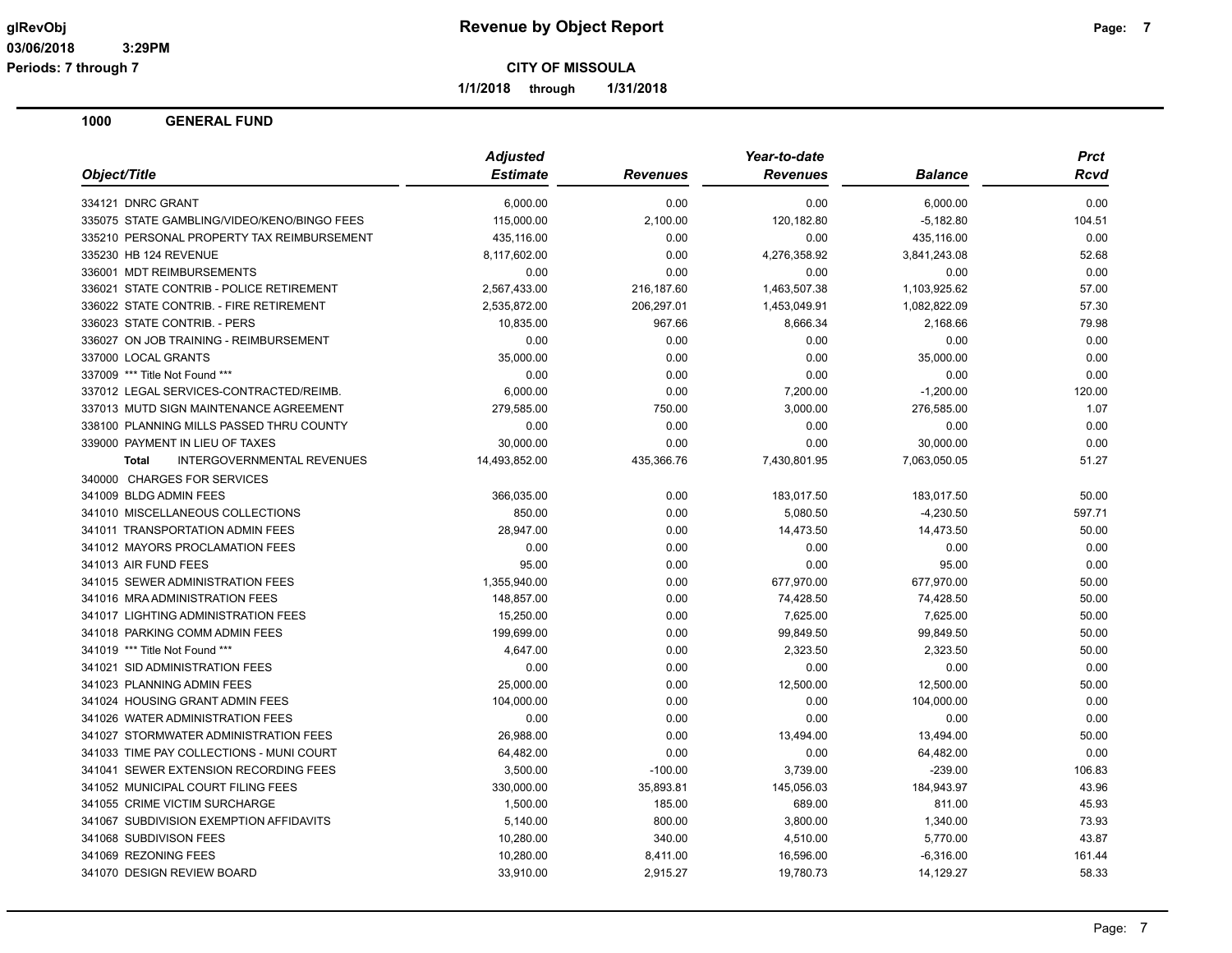**1/1/2018 through 1/31/2018**

| Object/Title<br><b>Estimate</b><br><b>Revenues</b><br><b>Revenues</b><br><b>Balance</b><br>Rcvd<br>334121 DNRC GRANT<br>6,000.00<br>0.00<br>0.00<br>6,000.00<br>0.00<br>120,182.80<br>335075 STATE GAMBLING/VIDEO/KENO/BINGO FEES<br>2,100.00<br>$-5,182.80$<br>104.51<br>115,000.00<br>335210 PERSONAL PROPERTY TAX REIMBURSEMENT<br>435,116.00<br>0.00<br>0.00<br>435,116.00<br>0.00<br>335230 HB 124 REVENUE<br>0.00<br>4,276,358.92<br>8,117,602.00<br>3,841,243.08<br>52.68<br>0.00<br>0.00<br>336001 MDT REIMBURSEMENTS<br>0.00<br>0.00<br>0.00<br>336021 STATE CONTRIB - POLICE RETIREMENT<br>2,567,433.00<br>216,187.60<br>1,463,507.38<br>1,103,925.62<br>57.00<br>336022 STATE CONTRIB. - FIRE RETIREMENT<br>2,535,872.00<br>206,297.01<br>1,453,049.91<br>1,082,822.09<br>57.30<br>336023 STATE CONTRIB. - PERS<br>10,835.00<br>967.66<br>8,666.34<br>2,168.66<br>79.98<br>336027 ON JOB TRAINING - REIMBURSEMENT<br>0.00<br>0.00<br>0.00<br>0.00<br>0.00<br>35,000.00<br>0.00<br>0.00<br>35,000.00<br>337000 LOCAL GRANTS<br>0.00<br>337009 *** Title Not Found ***<br>0.00<br>0.00<br>0.00<br>0.00<br>0.00<br>337012 LEGAL SERVICES-CONTRACTED/REIMB.<br>6,000.00<br>0.00<br>7,200.00<br>$-1,200.00$<br>120.00<br>1.07<br>337013 MUTD SIGN MAINTENANCE AGREEMENT<br>279,585.00<br>750.00<br>3,000.00<br>276,585.00<br>338100 PLANNING MILLS PASSED THRU COUNTY<br>0.00<br>0.00<br>0.00<br>0.00<br>0.00<br>339000 PAYMENT IN LIEU OF TAXES<br>30,000.00<br>0.00<br>0.00<br>30.000.00<br>0.00<br>14,493,852.00<br>435,366.76<br>7,430,801.95<br>7,063,050.05<br>51.27<br><b>INTERGOVERNMENTAL REVENUES</b><br><b>Total</b><br>340000 CHARGES FOR SERVICES<br>341009 BLDG ADMIN FEES<br>366,035.00<br>0.00<br>183,017.50<br>50.00<br>183,017.50<br>341010 MISCELLANEOUS COLLECTIONS<br>850.00<br>0.00<br>5,080.50<br>$-4,230.50$<br>597.71<br>341011 TRANSPORTATION ADMIN FEES<br>28,947.00<br>0.00<br>14,473.50<br>14,473.50<br>50.00<br>341012 MAYORS PROCLAMATION FEES<br>0.00<br>0.00<br>0.00<br>0.00<br>0.00<br>341013 AIR FUND FEES<br>95.00<br>0.00<br>0.00<br>95.00<br>0.00<br>341015 SEWER ADMINISTRATION FEES<br>1,355,940.00<br>0.00<br>677,970.00<br>677,970.00<br>50.00<br>341016 MRA ADMINISTRATION FEES<br>148,857.00<br>0.00<br>74,428.50<br>74,428.50<br>50.00<br>341017 LIGHTING ADMINISTRATION FEES<br>15.250.00<br>0.00<br>7.625.00<br>7.625.00<br>50.00<br>341018 PARKING COMM ADMIN FEES<br>199,699.00<br>0.00<br>99,849.50<br>99,849.50<br>50.00<br>341019 *** Title Not Found ***<br>4,647.00<br>0.00<br>2,323.50<br>2,323.50<br>50.00<br>341021 SID ADMINISTRATION FEES<br>0.00<br>0.00<br>0.00<br>0.00<br>0.00<br>25,000.00<br>12,500.00<br>12,500.00<br>341023 PLANNING ADMIN FEES<br>0.00<br>50.00<br>341024 HOUSING GRANT ADMIN FEES<br>104,000.00<br>0.00<br>0.00<br>104,000.00<br>0.00<br>341026 WATER ADMINISTRATION FEES<br>0.00<br>0.00<br>0.00<br>0.00<br>0.00<br>26,988.00<br>0.00<br>13,494.00<br>13,494.00<br>341027 STORMWATER ADMINISTRATION FEES<br>50.00<br>341033 TIME PAY COLLECTIONS - MUNI COURT<br>0.00<br>0.00<br>64,482.00<br>0.00<br>64,482.00<br>341041 SEWER EXTENSION RECORDING FEES<br>3,500.00<br>3,739.00<br>$-239.00$<br>$-100.00$<br>106.83<br>341052 MUNICIPAL COURT FILING FEES<br>330,000.00<br>35,893.81<br>145,056.03<br>184,943.97<br>43.96<br>341055 CRIME VICTIM SURCHARGE<br>689.00<br>1,500.00<br>185.00<br>811.00<br>45.93<br>341067 SUBDIVISION EXEMPTION AFFIDAVITS<br>5,140.00<br>800.00<br>3,800.00<br>1,340.00<br>73.93<br>341068 SUBDIVISON FEES<br>10,280.00<br>340.00<br>4,510.00<br>5,770.00<br>43.87<br>341069 REZONING FEES<br>10,280.00<br>8,411.00<br>16,596.00<br>$-6,316.00$<br>161.44<br>341070 DESIGN REVIEW BOARD<br>33,910.00<br>2,915.27<br>19,780.73<br>14,129.27<br>58.33 | <b>Adjusted</b> | Year-to-date | <b>Prct</b> |
|--------------------------------------------------------------------------------------------------------------------------------------------------------------------------------------------------------------------------------------------------------------------------------------------------------------------------------------------------------------------------------------------------------------------------------------------------------------------------------------------------------------------------------------------------------------------------------------------------------------------------------------------------------------------------------------------------------------------------------------------------------------------------------------------------------------------------------------------------------------------------------------------------------------------------------------------------------------------------------------------------------------------------------------------------------------------------------------------------------------------------------------------------------------------------------------------------------------------------------------------------------------------------------------------------------------------------------------------------------------------------------------------------------------------------------------------------------------------------------------------------------------------------------------------------------------------------------------------------------------------------------------------------------------------------------------------------------------------------------------------------------------------------------------------------------------------------------------------------------------------------------------------------------------------------------------------------------------------------------------------------------------------------------------------------------------------------------------------------------------------------------------------------------------------------------------------------------------------------------------------------------------------------------------------------------------------------------------------------------------------------------------------------------------------------------------------------------------------------------------------------------------------------------------------------------------------------------------------------------------------------------------------------------------------------------------------------------------------------------------------------------------------------------------------------------------------------------------------------------------------------------------------------------------------------------------------------------------------------------------------------------------------------------------------------------------------------------------------------------------------------------------------------------------------------------------------------------------------------------------------------------------------------------------------------------------------------------------------------------------------------------------------------------------------------------------------------------------------------------------------------------------------------------------------------------------------------------------------------------------------------------------------------------------------------------------------------------------------------------------------------------------------------------|-----------------|--------------|-------------|
|                                                                                                                                                                                                                                                                                                                                                                                                                                                                                                                                                                                                                                                                                                                                                                                                                                                                                                                                                                                                                                                                                                                                                                                                                                                                                                                                                                                                                                                                                                                                                                                                                                                                                                                                                                                                                                                                                                                                                                                                                                                                                                                                                                                                                                                                                                                                                                                                                                                                                                                                                                                                                                                                                                                                                                                                                                                                                                                                                                                                                                                                                                                                                                                                                                                                                                                                                                                                                                                                                                                                                                                                                                                                                                                                                                                |                 |              |             |
|                                                                                                                                                                                                                                                                                                                                                                                                                                                                                                                                                                                                                                                                                                                                                                                                                                                                                                                                                                                                                                                                                                                                                                                                                                                                                                                                                                                                                                                                                                                                                                                                                                                                                                                                                                                                                                                                                                                                                                                                                                                                                                                                                                                                                                                                                                                                                                                                                                                                                                                                                                                                                                                                                                                                                                                                                                                                                                                                                                                                                                                                                                                                                                                                                                                                                                                                                                                                                                                                                                                                                                                                                                                                                                                                                                                |                 |              |             |
|                                                                                                                                                                                                                                                                                                                                                                                                                                                                                                                                                                                                                                                                                                                                                                                                                                                                                                                                                                                                                                                                                                                                                                                                                                                                                                                                                                                                                                                                                                                                                                                                                                                                                                                                                                                                                                                                                                                                                                                                                                                                                                                                                                                                                                                                                                                                                                                                                                                                                                                                                                                                                                                                                                                                                                                                                                                                                                                                                                                                                                                                                                                                                                                                                                                                                                                                                                                                                                                                                                                                                                                                                                                                                                                                                                                |                 |              |             |
|                                                                                                                                                                                                                                                                                                                                                                                                                                                                                                                                                                                                                                                                                                                                                                                                                                                                                                                                                                                                                                                                                                                                                                                                                                                                                                                                                                                                                                                                                                                                                                                                                                                                                                                                                                                                                                                                                                                                                                                                                                                                                                                                                                                                                                                                                                                                                                                                                                                                                                                                                                                                                                                                                                                                                                                                                                                                                                                                                                                                                                                                                                                                                                                                                                                                                                                                                                                                                                                                                                                                                                                                                                                                                                                                                                                |                 |              |             |
|                                                                                                                                                                                                                                                                                                                                                                                                                                                                                                                                                                                                                                                                                                                                                                                                                                                                                                                                                                                                                                                                                                                                                                                                                                                                                                                                                                                                                                                                                                                                                                                                                                                                                                                                                                                                                                                                                                                                                                                                                                                                                                                                                                                                                                                                                                                                                                                                                                                                                                                                                                                                                                                                                                                                                                                                                                                                                                                                                                                                                                                                                                                                                                                                                                                                                                                                                                                                                                                                                                                                                                                                                                                                                                                                                                                |                 |              |             |
|                                                                                                                                                                                                                                                                                                                                                                                                                                                                                                                                                                                                                                                                                                                                                                                                                                                                                                                                                                                                                                                                                                                                                                                                                                                                                                                                                                                                                                                                                                                                                                                                                                                                                                                                                                                                                                                                                                                                                                                                                                                                                                                                                                                                                                                                                                                                                                                                                                                                                                                                                                                                                                                                                                                                                                                                                                                                                                                                                                                                                                                                                                                                                                                                                                                                                                                                                                                                                                                                                                                                                                                                                                                                                                                                                                                |                 |              |             |
|                                                                                                                                                                                                                                                                                                                                                                                                                                                                                                                                                                                                                                                                                                                                                                                                                                                                                                                                                                                                                                                                                                                                                                                                                                                                                                                                                                                                                                                                                                                                                                                                                                                                                                                                                                                                                                                                                                                                                                                                                                                                                                                                                                                                                                                                                                                                                                                                                                                                                                                                                                                                                                                                                                                                                                                                                                                                                                                                                                                                                                                                                                                                                                                                                                                                                                                                                                                                                                                                                                                                                                                                                                                                                                                                                                                |                 |              |             |
|                                                                                                                                                                                                                                                                                                                                                                                                                                                                                                                                                                                                                                                                                                                                                                                                                                                                                                                                                                                                                                                                                                                                                                                                                                                                                                                                                                                                                                                                                                                                                                                                                                                                                                                                                                                                                                                                                                                                                                                                                                                                                                                                                                                                                                                                                                                                                                                                                                                                                                                                                                                                                                                                                                                                                                                                                                                                                                                                                                                                                                                                                                                                                                                                                                                                                                                                                                                                                                                                                                                                                                                                                                                                                                                                                                                |                 |              |             |
|                                                                                                                                                                                                                                                                                                                                                                                                                                                                                                                                                                                                                                                                                                                                                                                                                                                                                                                                                                                                                                                                                                                                                                                                                                                                                                                                                                                                                                                                                                                                                                                                                                                                                                                                                                                                                                                                                                                                                                                                                                                                                                                                                                                                                                                                                                                                                                                                                                                                                                                                                                                                                                                                                                                                                                                                                                                                                                                                                                                                                                                                                                                                                                                                                                                                                                                                                                                                                                                                                                                                                                                                                                                                                                                                                                                |                 |              |             |
|                                                                                                                                                                                                                                                                                                                                                                                                                                                                                                                                                                                                                                                                                                                                                                                                                                                                                                                                                                                                                                                                                                                                                                                                                                                                                                                                                                                                                                                                                                                                                                                                                                                                                                                                                                                                                                                                                                                                                                                                                                                                                                                                                                                                                                                                                                                                                                                                                                                                                                                                                                                                                                                                                                                                                                                                                                                                                                                                                                                                                                                                                                                                                                                                                                                                                                                                                                                                                                                                                                                                                                                                                                                                                                                                                                                |                 |              |             |
|                                                                                                                                                                                                                                                                                                                                                                                                                                                                                                                                                                                                                                                                                                                                                                                                                                                                                                                                                                                                                                                                                                                                                                                                                                                                                                                                                                                                                                                                                                                                                                                                                                                                                                                                                                                                                                                                                                                                                                                                                                                                                                                                                                                                                                                                                                                                                                                                                                                                                                                                                                                                                                                                                                                                                                                                                                                                                                                                                                                                                                                                                                                                                                                                                                                                                                                                                                                                                                                                                                                                                                                                                                                                                                                                                                                |                 |              |             |
|                                                                                                                                                                                                                                                                                                                                                                                                                                                                                                                                                                                                                                                                                                                                                                                                                                                                                                                                                                                                                                                                                                                                                                                                                                                                                                                                                                                                                                                                                                                                                                                                                                                                                                                                                                                                                                                                                                                                                                                                                                                                                                                                                                                                                                                                                                                                                                                                                                                                                                                                                                                                                                                                                                                                                                                                                                                                                                                                                                                                                                                                                                                                                                                                                                                                                                                                                                                                                                                                                                                                                                                                                                                                                                                                                                                |                 |              |             |
|                                                                                                                                                                                                                                                                                                                                                                                                                                                                                                                                                                                                                                                                                                                                                                                                                                                                                                                                                                                                                                                                                                                                                                                                                                                                                                                                                                                                                                                                                                                                                                                                                                                                                                                                                                                                                                                                                                                                                                                                                                                                                                                                                                                                                                                                                                                                                                                                                                                                                                                                                                                                                                                                                                                                                                                                                                                                                                                                                                                                                                                                                                                                                                                                                                                                                                                                                                                                                                                                                                                                                                                                                                                                                                                                                                                |                 |              |             |
|                                                                                                                                                                                                                                                                                                                                                                                                                                                                                                                                                                                                                                                                                                                                                                                                                                                                                                                                                                                                                                                                                                                                                                                                                                                                                                                                                                                                                                                                                                                                                                                                                                                                                                                                                                                                                                                                                                                                                                                                                                                                                                                                                                                                                                                                                                                                                                                                                                                                                                                                                                                                                                                                                                                                                                                                                                                                                                                                                                                                                                                                                                                                                                                                                                                                                                                                                                                                                                                                                                                                                                                                                                                                                                                                                                                |                 |              |             |
|                                                                                                                                                                                                                                                                                                                                                                                                                                                                                                                                                                                                                                                                                                                                                                                                                                                                                                                                                                                                                                                                                                                                                                                                                                                                                                                                                                                                                                                                                                                                                                                                                                                                                                                                                                                                                                                                                                                                                                                                                                                                                                                                                                                                                                                                                                                                                                                                                                                                                                                                                                                                                                                                                                                                                                                                                                                                                                                                                                                                                                                                                                                                                                                                                                                                                                                                                                                                                                                                                                                                                                                                                                                                                                                                                                                |                 |              |             |
|                                                                                                                                                                                                                                                                                                                                                                                                                                                                                                                                                                                                                                                                                                                                                                                                                                                                                                                                                                                                                                                                                                                                                                                                                                                                                                                                                                                                                                                                                                                                                                                                                                                                                                                                                                                                                                                                                                                                                                                                                                                                                                                                                                                                                                                                                                                                                                                                                                                                                                                                                                                                                                                                                                                                                                                                                                                                                                                                                                                                                                                                                                                                                                                                                                                                                                                                                                                                                                                                                                                                                                                                                                                                                                                                                                                |                 |              |             |
|                                                                                                                                                                                                                                                                                                                                                                                                                                                                                                                                                                                                                                                                                                                                                                                                                                                                                                                                                                                                                                                                                                                                                                                                                                                                                                                                                                                                                                                                                                                                                                                                                                                                                                                                                                                                                                                                                                                                                                                                                                                                                                                                                                                                                                                                                                                                                                                                                                                                                                                                                                                                                                                                                                                                                                                                                                                                                                                                                                                                                                                                                                                                                                                                                                                                                                                                                                                                                                                                                                                                                                                                                                                                                                                                                                                |                 |              |             |
|                                                                                                                                                                                                                                                                                                                                                                                                                                                                                                                                                                                                                                                                                                                                                                                                                                                                                                                                                                                                                                                                                                                                                                                                                                                                                                                                                                                                                                                                                                                                                                                                                                                                                                                                                                                                                                                                                                                                                                                                                                                                                                                                                                                                                                                                                                                                                                                                                                                                                                                                                                                                                                                                                                                                                                                                                                                                                                                                                                                                                                                                                                                                                                                                                                                                                                                                                                                                                                                                                                                                                                                                                                                                                                                                                                                |                 |              |             |
|                                                                                                                                                                                                                                                                                                                                                                                                                                                                                                                                                                                                                                                                                                                                                                                                                                                                                                                                                                                                                                                                                                                                                                                                                                                                                                                                                                                                                                                                                                                                                                                                                                                                                                                                                                                                                                                                                                                                                                                                                                                                                                                                                                                                                                                                                                                                                                                                                                                                                                                                                                                                                                                                                                                                                                                                                                                                                                                                                                                                                                                                                                                                                                                                                                                                                                                                                                                                                                                                                                                                                                                                                                                                                                                                                                                |                 |              |             |
|                                                                                                                                                                                                                                                                                                                                                                                                                                                                                                                                                                                                                                                                                                                                                                                                                                                                                                                                                                                                                                                                                                                                                                                                                                                                                                                                                                                                                                                                                                                                                                                                                                                                                                                                                                                                                                                                                                                                                                                                                                                                                                                                                                                                                                                                                                                                                                                                                                                                                                                                                                                                                                                                                                                                                                                                                                                                                                                                                                                                                                                                                                                                                                                                                                                                                                                                                                                                                                                                                                                                                                                                                                                                                                                                                                                |                 |              |             |
|                                                                                                                                                                                                                                                                                                                                                                                                                                                                                                                                                                                                                                                                                                                                                                                                                                                                                                                                                                                                                                                                                                                                                                                                                                                                                                                                                                                                                                                                                                                                                                                                                                                                                                                                                                                                                                                                                                                                                                                                                                                                                                                                                                                                                                                                                                                                                                                                                                                                                                                                                                                                                                                                                                                                                                                                                                                                                                                                                                                                                                                                                                                                                                                                                                                                                                                                                                                                                                                                                                                                                                                                                                                                                                                                                                                |                 |              |             |
|                                                                                                                                                                                                                                                                                                                                                                                                                                                                                                                                                                                                                                                                                                                                                                                                                                                                                                                                                                                                                                                                                                                                                                                                                                                                                                                                                                                                                                                                                                                                                                                                                                                                                                                                                                                                                                                                                                                                                                                                                                                                                                                                                                                                                                                                                                                                                                                                                                                                                                                                                                                                                                                                                                                                                                                                                                                                                                                                                                                                                                                                                                                                                                                                                                                                                                                                                                                                                                                                                                                                                                                                                                                                                                                                                                                |                 |              |             |
|                                                                                                                                                                                                                                                                                                                                                                                                                                                                                                                                                                                                                                                                                                                                                                                                                                                                                                                                                                                                                                                                                                                                                                                                                                                                                                                                                                                                                                                                                                                                                                                                                                                                                                                                                                                                                                                                                                                                                                                                                                                                                                                                                                                                                                                                                                                                                                                                                                                                                                                                                                                                                                                                                                                                                                                                                                                                                                                                                                                                                                                                                                                                                                                                                                                                                                                                                                                                                                                                                                                                                                                                                                                                                                                                                                                |                 |              |             |
|                                                                                                                                                                                                                                                                                                                                                                                                                                                                                                                                                                                                                                                                                                                                                                                                                                                                                                                                                                                                                                                                                                                                                                                                                                                                                                                                                                                                                                                                                                                                                                                                                                                                                                                                                                                                                                                                                                                                                                                                                                                                                                                                                                                                                                                                                                                                                                                                                                                                                                                                                                                                                                                                                                                                                                                                                                                                                                                                                                                                                                                                                                                                                                                                                                                                                                                                                                                                                                                                                                                                                                                                                                                                                                                                                                                |                 |              |             |
|                                                                                                                                                                                                                                                                                                                                                                                                                                                                                                                                                                                                                                                                                                                                                                                                                                                                                                                                                                                                                                                                                                                                                                                                                                                                                                                                                                                                                                                                                                                                                                                                                                                                                                                                                                                                                                                                                                                                                                                                                                                                                                                                                                                                                                                                                                                                                                                                                                                                                                                                                                                                                                                                                                                                                                                                                                                                                                                                                                                                                                                                                                                                                                                                                                                                                                                                                                                                                                                                                                                                                                                                                                                                                                                                                                                |                 |              |             |
|                                                                                                                                                                                                                                                                                                                                                                                                                                                                                                                                                                                                                                                                                                                                                                                                                                                                                                                                                                                                                                                                                                                                                                                                                                                                                                                                                                                                                                                                                                                                                                                                                                                                                                                                                                                                                                                                                                                                                                                                                                                                                                                                                                                                                                                                                                                                                                                                                                                                                                                                                                                                                                                                                                                                                                                                                                                                                                                                                                                                                                                                                                                                                                                                                                                                                                                                                                                                                                                                                                                                                                                                                                                                                                                                                                                |                 |              |             |
|                                                                                                                                                                                                                                                                                                                                                                                                                                                                                                                                                                                                                                                                                                                                                                                                                                                                                                                                                                                                                                                                                                                                                                                                                                                                                                                                                                                                                                                                                                                                                                                                                                                                                                                                                                                                                                                                                                                                                                                                                                                                                                                                                                                                                                                                                                                                                                                                                                                                                                                                                                                                                                                                                                                                                                                                                                                                                                                                                                                                                                                                                                                                                                                                                                                                                                                                                                                                                                                                                                                                                                                                                                                                                                                                                                                |                 |              |             |
|                                                                                                                                                                                                                                                                                                                                                                                                                                                                                                                                                                                                                                                                                                                                                                                                                                                                                                                                                                                                                                                                                                                                                                                                                                                                                                                                                                                                                                                                                                                                                                                                                                                                                                                                                                                                                                                                                                                                                                                                                                                                                                                                                                                                                                                                                                                                                                                                                                                                                                                                                                                                                                                                                                                                                                                                                                                                                                                                                                                                                                                                                                                                                                                                                                                                                                                                                                                                                                                                                                                                                                                                                                                                                                                                                                                |                 |              |             |
|                                                                                                                                                                                                                                                                                                                                                                                                                                                                                                                                                                                                                                                                                                                                                                                                                                                                                                                                                                                                                                                                                                                                                                                                                                                                                                                                                                                                                                                                                                                                                                                                                                                                                                                                                                                                                                                                                                                                                                                                                                                                                                                                                                                                                                                                                                                                                                                                                                                                                                                                                                                                                                                                                                                                                                                                                                                                                                                                                                                                                                                                                                                                                                                                                                                                                                                                                                                                                                                                                                                                                                                                                                                                                                                                                                                |                 |              |             |
|                                                                                                                                                                                                                                                                                                                                                                                                                                                                                                                                                                                                                                                                                                                                                                                                                                                                                                                                                                                                                                                                                                                                                                                                                                                                                                                                                                                                                                                                                                                                                                                                                                                                                                                                                                                                                                                                                                                                                                                                                                                                                                                                                                                                                                                                                                                                                                                                                                                                                                                                                                                                                                                                                                                                                                                                                                                                                                                                                                                                                                                                                                                                                                                                                                                                                                                                                                                                                                                                                                                                                                                                                                                                                                                                                                                |                 |              |             |
|                                                                                                                                                                                                                                                                                                                                                                                                                                                                                                                                                                                                                                                                                                                                                                                                                                                                                                                                                                                                                                                                                                                                                                                                                                                                                                                                                                                                                                                                                                                                                                                                                                                                                                                                                                                                                                                                                                                                                                                                                                                                                                                                                                                                                                                                                                                                                                                                                                                                                                                                                                                                                                                                                                                                                                                                                                                                                                                                                                                                                                                                                                                                                                                                                                                                                                                                                                                                                                                                                                                                                                                                                                                                                                                                                                                |                 |              |             |
|                                                                                                                                                                                                                                                                                                                                                                                                                                                                                                                                                                                                                                                                                                                                                                                                                                                                                                                                                                                                                                                                                                                                                                                                                                                                                                                                                                                                                                                                                                                                                                                                                                                                                                                                                                                                                                                                                                                                                                                                                                                                                                                                                                                                                                                                                                                                                                                                                                                                                                                                                                                                                                                                                                                                                                                                                                                                                                                                                                                                                                                                                                                                                                                                                                                                                                                                                                                                                                                                                                                                                                                                                                                                                                                                                                                |                 |              |             |
|                                                                                                                                                                                                                                                                                                                                                                                                                                                                                                                                                                                                                                                                                                                                                                                                                                                                                                                                                                                                                                                                                                                                                                                                                                                                                                                                                                                                                                                                                                                                                                                                                                                                                                                                                                                                                                                                                                                                                                                                                                                                                                                                                                                                                                                                                                                                                                                                                                                                                                                                                                                                                                                                                                                                                                                                                                                                                                                                                                                                                                                                                                                                                                                                                                                                                                                                                                                                                                                                                                                                                                                                                                                                                                                                                                                |                 |              |             |
|                                                                                                                                                                                                                                                                                                                                                                                                                                                                                                                                                                                                                                                                                                                                                                                                                                                                                                                                                                                                                                                                                                                                                                                                                                                                                                                                                                                                                                                                                                                                                                                                                                                                                                                                                                                                                                                                                                                                                                                                                                                                                                                                                                                                                                                                                                                                                                                                                                                                                                                                                                                                                                                                                                                                                                                                                                                                                                                                                                                                                                                                                                                                                                                                                                                                                                                                                                                                                                                                                                                                                                                                                                                                                                                                                                                |                 |              |             |
|                                                                                                                                                                                                                                                                                                                                                                                                                                                                                                                                                                                                                                                                                                                                                                                                                                                                                                                                                                                                                                                                                                                                                                                                                                                                                                                                                                                                                                                                                                                                                                                                                                                                                                                                                                                                                                                                                                                                                                                                                                                                                                                                                                                                                                                                                                                                                                                                                                                                                                                                                                                                                                                                                                                                                                                                                                                                                                                                                                                                                                                                                                                                                                                                                                                                                                                                                                                                                                                                                                                                                                                                                                                                                                                                                                                |                 |              |             |
|                                                                                                                                                                                                                                                                                                                                                                                                                                                                                                                                                                                                                                                                                                                                                                                                                                                                                                                                                                                                                                                                                                                                                                                                                                                                                                                                                                                                                                                                                                                                                                                                                                                                                                                                                                                                                                                                                                                                                                                                                                                                                                                                                                                                                                                                                                                                                                                                                                                                                                                                                                                                                                                                                                                                                                                                                                                                                                                                                                                                                                                                                                                                                                                                                                                                                                                                                                                                                                                                                                                                                                                                                                                                                                                                                                                |                 |              |             |
|                                                                                                                                                                                                                                                                                                                                                                                                                                                                                                                                                                                                                                                                                                                                                                                                                                                                                                                                                                                                                                                                                                                                                                                                                                                                                                                                                                                                                                                                                                                                                                                                                                                                                                                                                                                                                                                                                                                                                                                                                                                                                                                                                                                                                                                                                                                                                                                                                                                                                                                                                                                                                                                                                                                                                                                                                                                                                                                                                                                                                                                                                                                                                                                                                                                                                                                                                                                                                                                                                                                                                                                                                                                                                                                                                                                |                 |              |             |
|                                                                                                                                                                                                                                                                                                                                                                                                                                                                                                                                                                                                                                                                                                                                                                                                                                                                                                                                                                                                                                                                                                                                                                                                                                                                                                                                                                                                                                                                                                                                                                                                                                                                                                                                                                                                                                                                                                                                                                                                                                                                                                                                                                                                                                                                                                                                                                                                                                                                                                                                                                                                                                                                                                                                                                                                                                                                                                                                                                                                                                                                                                                                                                                                                                                                                                                                                                                                                                                                                                                                                                                                                                                                                                                                                                                |                 |              |             |
|                                                                                                                                                                                                                                                                                                                                                                                                                                                                                                                                                                                                                                                                                                                                                                                                                                                                                                                                                                                                                                                                                                                                                                                                                                                                                                                                                                                                                                                                                                                                                                                                                                                                                                                                                                                                                                                                                                                                                                                                                                                                                                                                                                                                                                                                                                                                                                                                                                                                                                                                                                                                                                                                                                                                                                                                                                                                                                                                                                                                                                                                                                                                                                                                                                                                                                                                                                                                                                                                                                                                                                                                                                                                                                                                                                                |                 |              |             |
|                                                                                                                                                                                                                                                                                                                                                                                                                                                                                                                                                                                                                                                                                                                                                                                                                                                                                                                                                                                                                                                                                                                                                                                                                                                                                                                                                                                                                                                                                                                                                                                                                                                                                                                                                                                                                                                                                                                                                                                                                                                                                                                                                                                                                                                                                                                                                                                                                                                                                                                                                                                                                                                                                                                                                                                                                                                                                                                                                                                                                                                                                                                                                                                                                                                                                                                                                                                                                                                                                                                                                                                                                                                                                                                                                                                |                 |              |             |
|                                                                                                                                                                                                                                                                                                                                                                                                                                                                                                                                                                                                                                                                                                                                                                                                                                                                                                                                                                                                                                                                                                                                                                                                                                                                                                                                                                                                                                                                                                                                                                                                                                                                                                                                                                                                                                                                                                                                                                                                                                                                                                                                                                                                                                                                                                                                                                                                                                                                                                                                                                                                                                                                                                                                                                                                                                                                                                                                                                                                                                                                                                                                                                                                                                                                                                                                                                                                                                                                                                                                                                                                                                                                                                                                                                                |                 |              |             |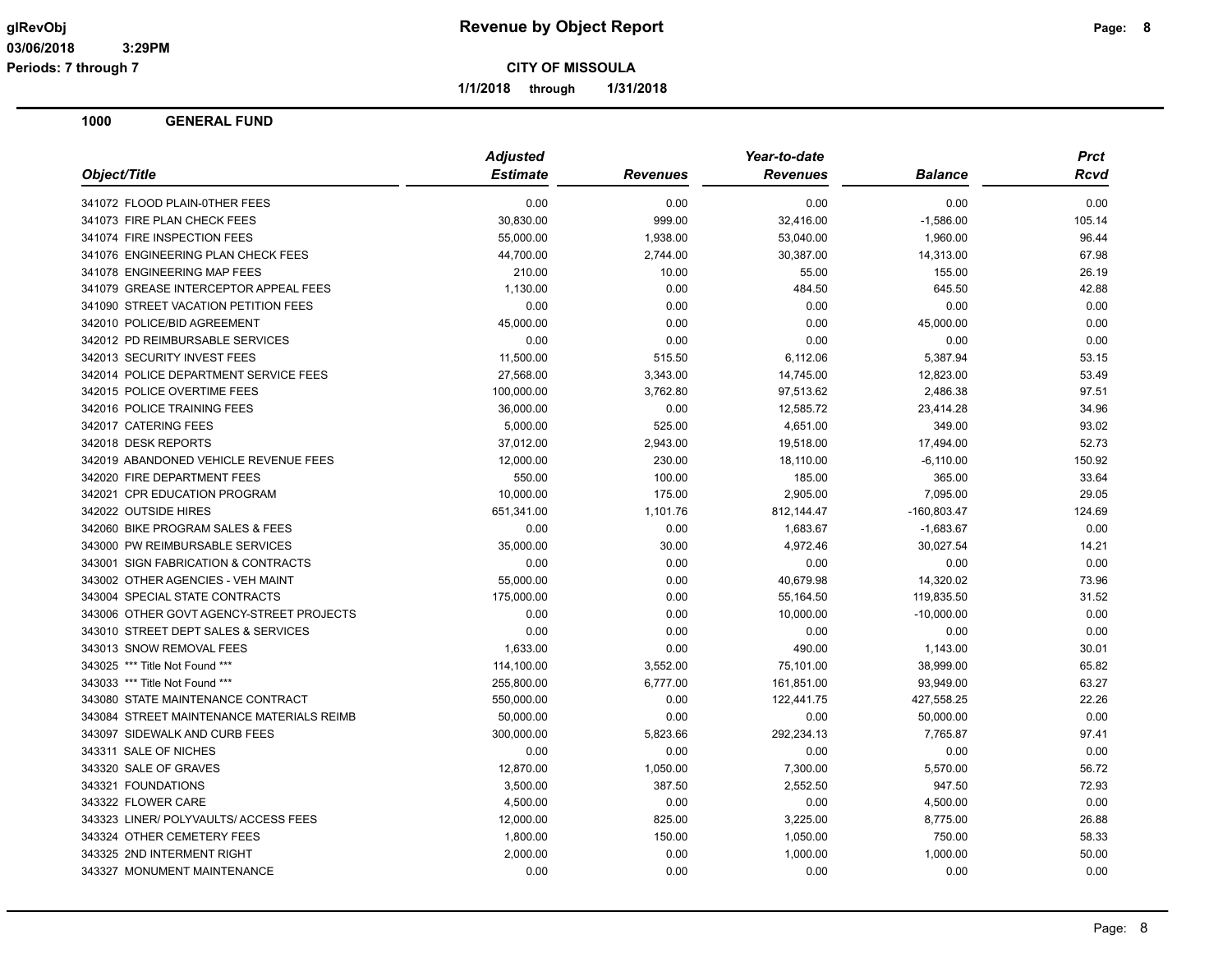**Periods: 7 through 7**

**CITY OF MISSOULA**

**1/1/2018 through 1/31/2018**

|                                           | <b>Adjusted</b> |                 | Year-to-date    |                | <b>Prct</b> |
|-------------------------------------------|-----------------|-----------------|-----------------|----------------|-------------|
| Object/Title                              | <b>Estimate</b> | <b>Revenues</b> | <b>Revenues</b> | <b>Balance</b> | Rcvd        |
| 341072 FLOOD PLAIN-0THER FEES             | 0.00            | 0.00            | 0.00            | 0.00           | 0.00        |
| 341073 FIRE PLAN CHECK FEES               | 30,830.00       | 999.00          | 32,416.00       | $-1,586.00$    | 105.14      |
| 341074 FIRE INSPECTION FEES               | 55,000.00       | 1,938.00        | 53,040.00       | 1,960.00       | 96.44       |
| 341076 ENGINEERING PLAN CHECK FEES        | 44,700.00       | 2,744.00        | 30,387.00       | 14,313.00      | 67.98       |
| 341078 ENGINEERING MAP FEES               | 210.00          | 10.00           | 55.00           | 155.00         | 26.19       |
| 341079 GREASE INTERCEPTOR APPEAL FEES     | 1,130.00        | 0.00            | 484.50          | 645.50         | 42.88       |
| 341090 STREET VACATION PETITION FEES      | 0.00            | 0.00            | 0.00            | 0.00           | 0.00        |
| 342010 POLICE/BID AGREEMENT               | 45,000.00       | 0.00            | 0.00            | 45,000.00      | 0.00        |
| 342012 PD REIMBURSABLE SERVICES           | 0.00            | 0.00            | 0.00            | 0.00           | 0.00        |
| 342013 SECURITY INVEST FEES               | 11,500.00       | 515.50          | 6,112.06        | 5,387.94       | 53.15       |
| 342014 POLICE DEPARTMENT SERVICE FEES     | 27,568.00       | 3,343.00        | 14,745.00       | 12,823.00      | 53.49       |
| 342015 POLICE OVERTIME FEES               | 100,000.00      | 3,762.80        | 97,513.62       | 2,486.38       | 97.51       |
| 342016 POLICE TRAINING FEES               | 36,000.00       | 0.00            | 12,585.72       | 23,414.28      | 34.96       |
| 342017 CATERING FEES                      | 5,000.00        | 525.00          | 4,651.00        | 349.00         | 93.02       |
| 342018 DESK REPORTS                       | 37,012.00       | 2,943.00        | 19,518.00       | 17,494.00      | 52.73       |
| 342019 ABANDONED VEHICLE REVENUE FEES     | 12,000.00       | 230.00          | 18,110.00       | $-6,110.00$    | 150.92      |
| 342020 FIRE DEPARTMENT FEES               | 550.00          | 100.00          | 185.00          | 365.00         | 33.64       |
| 342021 CPR EDUCATION PROGRAM              | 10,000.00       | 175.00          | 2,905.00        | 7,095.00       | 29.05       |
| 342022 OUTSIDE HIRES                      | 651,341.00      | 1,101.76        | 812,144.47      | $-160,803.47$  | 124.69      |
| 342060 BIKE PROGRAM SALES & FEES          | 0.00            | 0.00            | 1,683.67        | $-1,683.67$    | 0.00        |
| 343000 PW REIMBURSABLE SERVICES           | 35,000.00       | 30.00           | 4,972.46        | 30.027.54      | 14.21       |
| 343001 SIGN FABRICATION & CONTRACTS       | 0.00            | 0.00            | 0.00            | 0.00           | 0.00        |
| 343002 OTHER AGENCIES - VEH MAINT         | 55,000.00       | 0.00            | 40,679.98       | 14,320.02      | 73.96       |
| 343004 SPECIAL STATE CONTRACTS            | 175,000.00      | 0.00            | 55,164.50       | 119,835.50     | 31.52       |
| 343006 OTHER GOVT AGENCY-STREET PROJECTS  | 0.00            | 0.00            | 10,000.00       | $-10,000.00$   | 0.00        |
| 343010 STREET DEPT SALES & SERVICES       | 0.00            | 0.00            | 0.00            | 0.00           | 0.00        |
| 343013 SNOW REMOVAL FEES                  | 1,633.00        | 0.00            | 490.00          | 1,143.00       | 30.01       |
| 343025 *** Title Not Found ***            | 114,100.00      | 3,552.00        | 75,101.00       | 38,999.00      | 65.82       |
| 343033 *** Title Not Found ***            | 255,800.00      | 6,777.00        | 161,851.00      | 93,949.00      | 63.27       |
| 343080 STATE MAINTENANCE CONTRACT         | 550,000.00      | 0.00            | 122,441.75      | 427,558.25     | 22.26       |
| 343084 STREET MAINTENANCE MATERIALS REIMB | 50,000.00       | 0.00            | 0.00            | 50,000.00      | 0.00        |
| 343097 SIDEWALK AND CURB FEES             | 300,000.00      | 5,823.66        | 292,234.13      | 7,765.87       | 97.41       |
| 343311 SALE OF NICHES                     | 0.00            | 0.00            | 0.00            | 0.00           | 0.00        |
| 343320 SALE OF GRAVES                     | 12,870.00       | 1,050.00        | 7,300.00        | 5,570.00       | 56.72       |
| 343321 FOUNDATIONS                        | 3,500.00        | 387.50          | 2,552.50        | 947.50         | 72.93       |
| 343322 FLOWER CARE                        | 4,500.00        | 0.00            | 0.00            | 4,500.00       | 0.00        |
| 343323 LINER/ POLYVAULTS/ ACCESS FEES     | 12,000.00       | 825.00          | 3,225.00        | 8,775.00       | 26.88       |
| 343324 OTHER CEMETERY FEES                | 1,800.00        | 150.00          | 1,050.00        | 750.00         | 58.33       |
| 343325 2ND INTERMENT RIGHT                | 2,000.00        | 0.00            | 1,000.00        | 1,000.00       | 50.00       |
| 343327 MONUMENT MAINTENANCE               | 0.00            | 0.00            | 0.00            | 0.00           | 0.00        |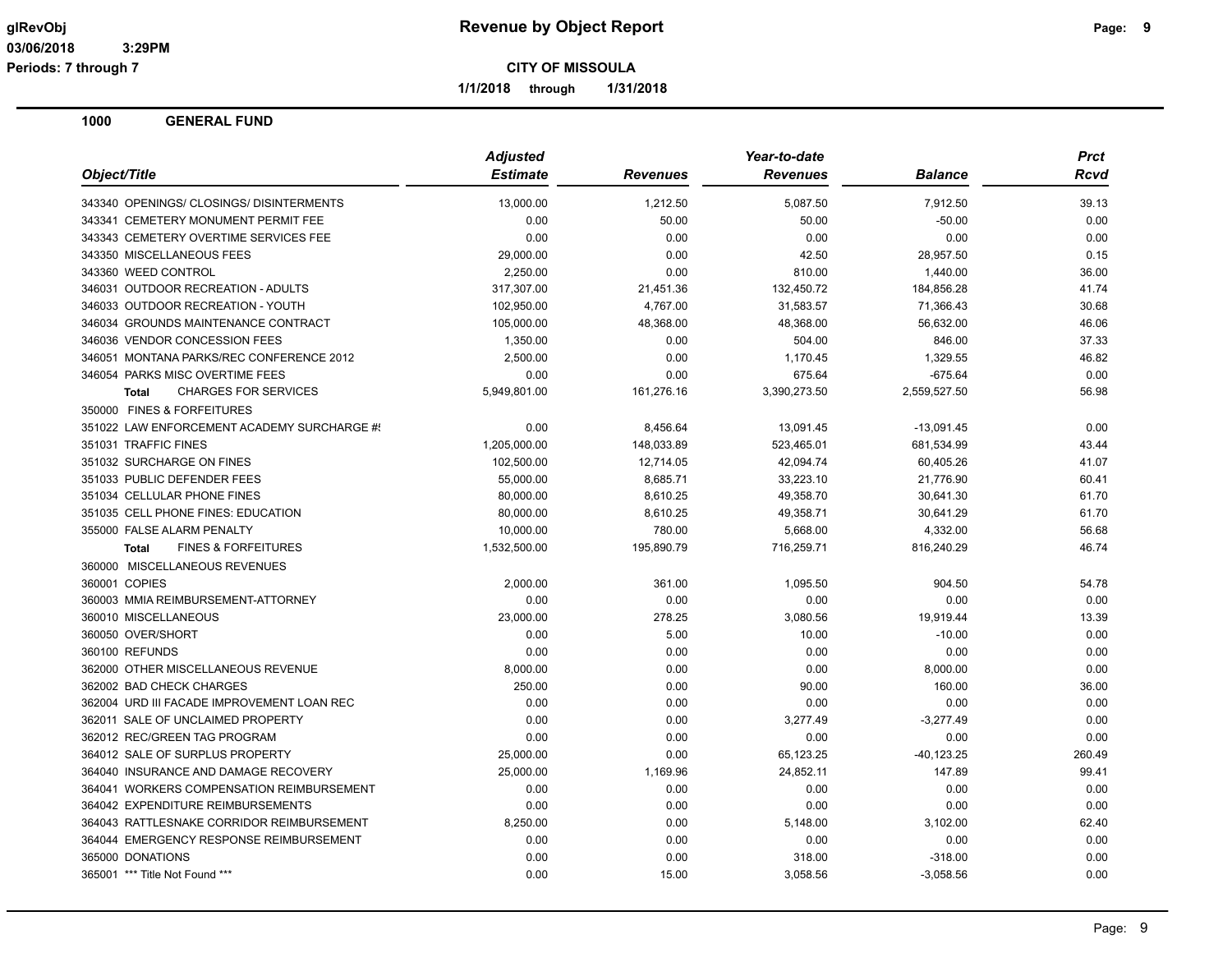**1/1/2018 through 1/31/2018**

|                                                | <b>Adjusted</b> |                 | Year-to-date    |                | <b>Prct</b> |
|------------------------------------------------|-----------------|-----------------|-----------------|----------------|-------------|
| Object/Title                                   | <b>Estimate</b> | <b>Revenues</b> | <b>Revenues</b> | <b>Balance</b> | Rcvd        |
| 343340 OPENINGS/ CLOSINGS/ DISINTERMENTS       | 13,000.00       | 1,212.50        | 5,087.50        | 7,912.50       | 39.13       |
| 343341 CEMETERY MONUMENT PERMIT FEE            | 0.00            | 50.00           | 50.00           | $-50.00$       | 0.00        |
| 343343 CEMETERY OVERTIME SERVICES FEE          | 0.00            | 0.00            | 0.00            | 0.00           | 0.00        |
| 343350 MISCELLANEOUS FEES                      | 29,000.00       | 0.00            | 42.50           | 28,957.50      | 0.15        |
| 343360 WEED CONTROL                            | 2,250.00        | 0.00            | 810.00          | 1,440.00       | 36.00       |
| 346031 OUTDOOR RECREATION - ADULTS             | 317,307.00      | 21,451.36       | 132,450.72      | 184,856.28     | 41.74       |
| 346033 OUTDOOR RECREATION - YOUTH              | 102,950.00      | 4,767.00        | 31,583.57       | 71,366.43      | 30.68       |
| 346034 GROUNDS MAINTENANCE CONTRACT            | 105,000.00      | 48,368.00       | 48,368.00       | 56,632.00      | 46.06       |
| 346036 VENDOR CONCESSION FEES                  | 1,350.00        | 0.00            | 504.00          | 846.00         | 37.33       |
| 346051 MONTANA PARKS/REC CONFERENCE 2012       | 2,500.00        | 0.00            | 1,170.45        | 1,329.55       | 46.82       |
| 346054 PARKS MISC OVERTIME FEES                | 0.00            | 0.00            | 675.64          | $-675.64$      | 0.00        |
| <b>Total</b><br><b>CHARGES FOR SERVICES</b>    | 5,949,801.00    | 161,276.16      | 3,390,273.50    | 2,559,527.50   | 56.98       |
| 350000 FINES & FORFEITURES                     |                 |                 |                 |                |             |
| 351022 LAW ENFORCEMENT ACADEMY SURCHARGE #!    | 0.00            | 8,456.64        | 13,091.45       | $-13,091.45$   | 0.00        |
| 351031 TRAFFIC FINES                           | 1,205,000.00    | 148,033.89      | 523,465.01      | 681,534.99     | 43.44       |
| 351032 SURCHARGE ON FINES                      | 102,500.00      | 12,714.05       | 42,094.74       | 60,405.26      | 41.07       |
| 351033 PUBLIC DEFENDER FEES                    | 55,000.00       | 8,685.71        | 33,223.10       | 21,776.90      | 60.41       |
| 351034 CELLULAR PHONE FINES                    | 80,000.00       | 8,610.25        | 49,358.70       | 30,641.30      | 61.70       |
| 351035 CELL PHONE FINES: EDUCATION             | 80,000.00       | 8,610.25        | 49,358.71       | 30,641.29      | 61.70       |
| 355000 FALSE ALARM PENALTY                     | 10,000.00       | 780.00          | 5,668.00        | 4,332.00       | 56.68       |
| <b>FINES &amp; FORFEITURES</b><br><b>Total</b> | 1,532,500.00    | 195,890.79      | 716,259.71      | 816,240.29     | 46.74       |
| 360000 MISCELLANEOUS REVENUES                  |                 |                 |                 |                |             |
| 360001 COPIES                                  | 2,000.00        | 361.00          | 1,095.50        | 904.50         | 54.78       |
| 360003 MMIA REIMBURSEMENT-ATTORNEY             | 0.00            | 0.00            | 0.00            | 0.00           | 0.00        |
| 360010 MISCELLANEOUS                           | 23,000.00       | 278.25          | 3,080.56        | 19,919.44      | 13.39       |
| 360050 OVER/SHORT                              | 0.00            | 5.00            | 10.00           | $-10.00$       | 0.00        |
| 360100 REFUNDS                                 | 0.00            | 0.00            | 0.00            | 0.00           | 0.00        |
| 362000 OTHER MISCELLANEOUS REVENUE             | 8,000.00        | 0.00            | 0.00            | 8,000.00       | 0.00        |
| 362002 BAD CHECK CHARGES                       | 250.00          | 0.00            | 90.00           | 160.00         | 36.00       |
| 362004 URD III FACADE IMPROVEMENT LOAN REC     | 0.00            | 0.00            | 0.00            | 0.00           | 0.00        |
| 362011 SALE OF UNCLAIMED PROPERTY              | 0.00            | 0.00            | 3,277.49        | $-3,277.49$    | 0.00        |
| 362012 REC/GREEN TAG PROGRAM                   | 0.00            | 0.00            | 0.00            | 0.00           | 0.00        |
| 364012 SALE OF SURPLUS PROPERTY                | 25,000.00       | 0.00            | 65,123.25       | $-40, 123.25$  | 260.49      |
| 364040 INSURANCE AND DAMAGE RECOVERY           | 25,000.00       | 1,169.96        | 24,852.11       | 147.89         | 99.41       |
| 364041 WORKERS COMPENSATION REIMBURSEMENT      | 0.00            | 0.00            | 0.00            | 0.00           | 0.00        |
| 364042 EXPENDITURE REIMBURSEMENTS              | 0.00            | 0.00            | 0.00            | 0.00           | 0.00        |
| 364043 RATTLESNAKE CORRIDOR REIMBURSEMENT      | 8,250.00        | 0.00            | 5,148.00        | 3,102.00       | 62.40       |
| 364044 EMERGENCY RESPONSE REIMBURSEMENT        | 0.00            | 0.00            | 0.00            | 0.00           | 0.00        |
| 365000 DONATIONS                               | 0.00            | 0.00            | 318.00          | $-318.00$      | 0.00        |
| 365001 *** Title Not Found ***                 | 0.00            | 15.00           | 3,058.56        | $-3,058.56$    | 0.00        |
|                                                |                 |                 |                 |                |             |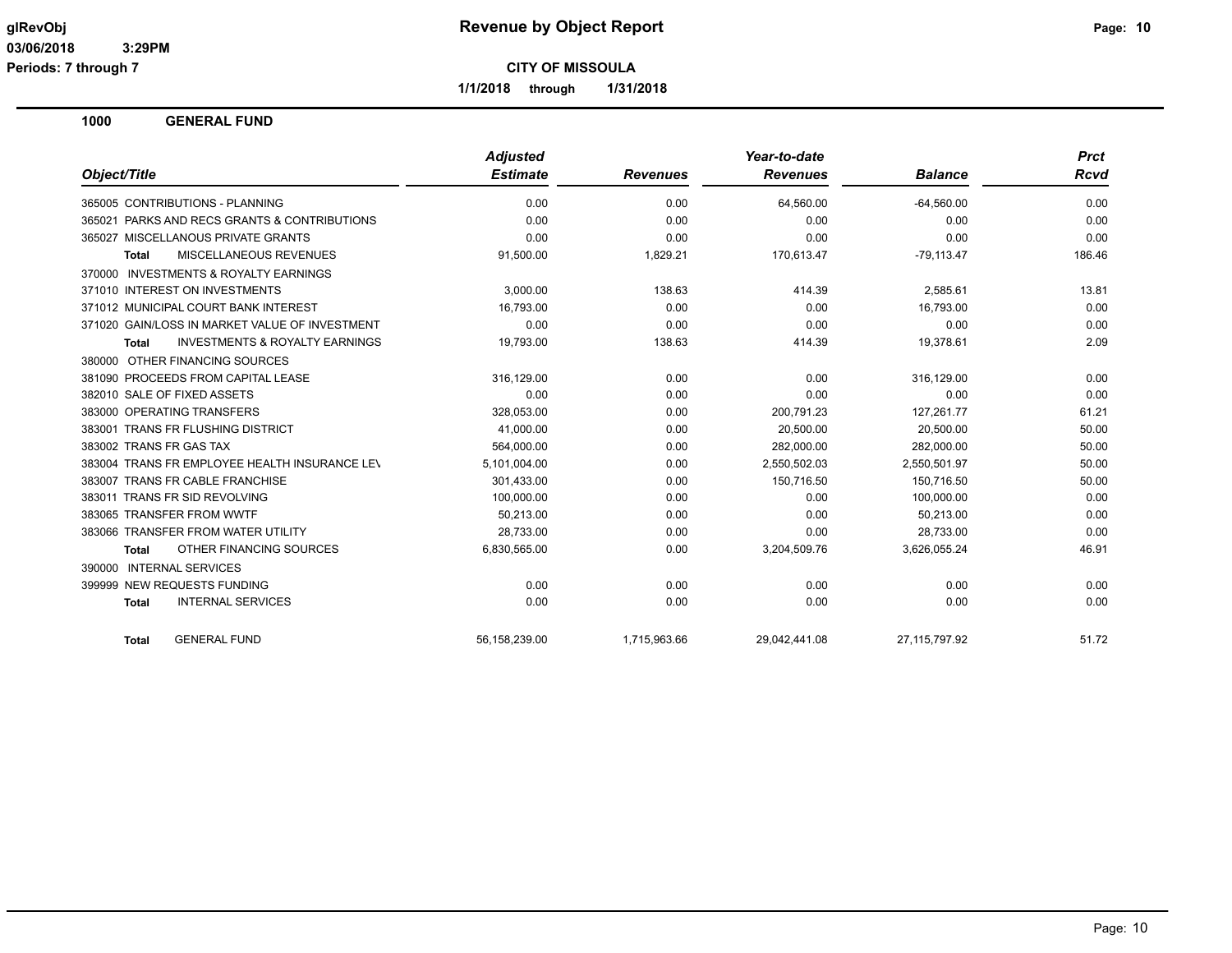**Periods: 7 through 7**

**CITY OF MISSOULA**

**1/1/2018 through 1/31/2018**

|                                                           | <b>Adjusted</b> |                 | Year-to-date    |                  | <b>Prct</b> |
|-----------------------------------------------------------|-----------------|-----------------|-----------------|------------------|-------------|
| Object/Title                                              | <b>Estimate</b> | <b>Revenues</b> | <b>Revenues</b> | <b>Balance</b>   | <b>Rcvd</b> |
| 365005 CONTRIBUTIONS - PLANNING                           | 0.00            | 0.00            | 64,560.00       | $-64,560.00$     | 0.00        |
| PARKS AND RECS GRANTS & CONTRIBUTIONS<br>365021           | 0.00            | 0.00            | 0.00            | 0.00             | 0.00        |
| MISCELLANOUS PRIVATE GRANTS<br>365027                     | 0.00            | 0.00            | 0.00            | 0.00             | 0.00        |
| <b>MISCELLANEOUS REVENUES</b><br><b>Total</b>             | 91,500.00       | 1,829.21        | 170,613.47      | $-79,113.47$     | 186.46      |
| <b>INVESTMENTS &amp; ROYALTY EARNINGS</b><br>370000       |                 |                 |                 |                  |             |
| 371010 INTEREST ON INVESTMENTS                            | 3.000.00        | 138.63          | 414.39          | 2.585.61         | 13.81       |
| 371012 MUNICIPAL COURT BANK INTEREST                      | 16.793.00       | 0.00            | 0.00            | 16.793.00        | 0.00        |
| 371020 GAIN/LOSS IN MARKET VALUE OF INVESTMENT            | 0.00            | 0.00            | 0.00            | 0.00             | 0.00        |
| <b>INVESTMENTS &amp; ROYALTY EARNINGS</b><br><b>Total</b> | 19,793.00       | 138.63          | 414.39          | 19,378.61        | 2.09        |
| OTHER FINANCING SOURCES<br>380000                         |                 |                 |                 |                  |             |
| 381090 PROCEEDS FROM CAPITAL LEASE                        | 316,129.00      | 0.00            | 0.00            | 316,129.00       | 0.00        |
| 382010 SALE OF FIXED ASSETS                               | 0.00            | 0.00            | 0.00            | 0.00             | 0.00        |
| 383000 OPERATING TRANSFERS                                | 328,053.00      | 0.00            | 200,791.23      | 127,261.77       | 61.21       |
| 383001 TRANS FR FLUSHING DISTRICT                         | 41,000.00       | 0.00            | 20,500.00       | 20,500.00        | 50.00       |
| 383002 TRANS FR GAS TAX                                   | 564.000.00      | 0.00            | 282.000.00      | 282.000.00       | 50.00       |
| 383004 TRANS FR EMPLOYEE HEALTH INSURANCE LEV             | 5,101,004.00    | 0.00            | 2,550,502.03    | 2,550,501.97     | 50.00       |
| 383007 TRANS FR CABLE FRANCHISE                           | 301,433.00      | 0.00            | 150,716.50      | 150.716.50       | 50.00       |
| 383011 TRANS FR SID REVOLVING                             | 100,000.00      | 0.00            | 0.00            | 100,000.00       | 0.00        |
| 383065 TRANSFER FROM WWTF                                 | 50,213.00       | 0.00            | 0.00            | 50,213.00        | 0.00        |
| 383066 TRANSFER FROM WATER UTILITY                        | 28,733.00       | 0.00            | 0.00            | 28,733.00        | 0.00        |
| OTHER FINANCING SOURCES<br><b>Total</b>                   | 6,830,565.00    | 0.00            | 3,204,509.76    | 3,626,055.24     | 46.91       |
| 390000 INTERNAL SERVICES                                  |                 |                 |                 |                  |             |
| 399999 NEW REQUESTS FUNDING                               | 0.00            | 0.00            | 0.00            | 0.00             | 0.00        |
| <b>INTERNAL SERVICES</b><br><b>Total</b>                  | 0.00            | 0.00            | 0.00            | 0.00             | 0.00        |
| <b>GENERAL FUND</b><br><b>Total</b>                       | 56,158,239.00   | 1,715,963.66    | 29,042,441.08   | 27, 115, 797. 92 | 51.72       |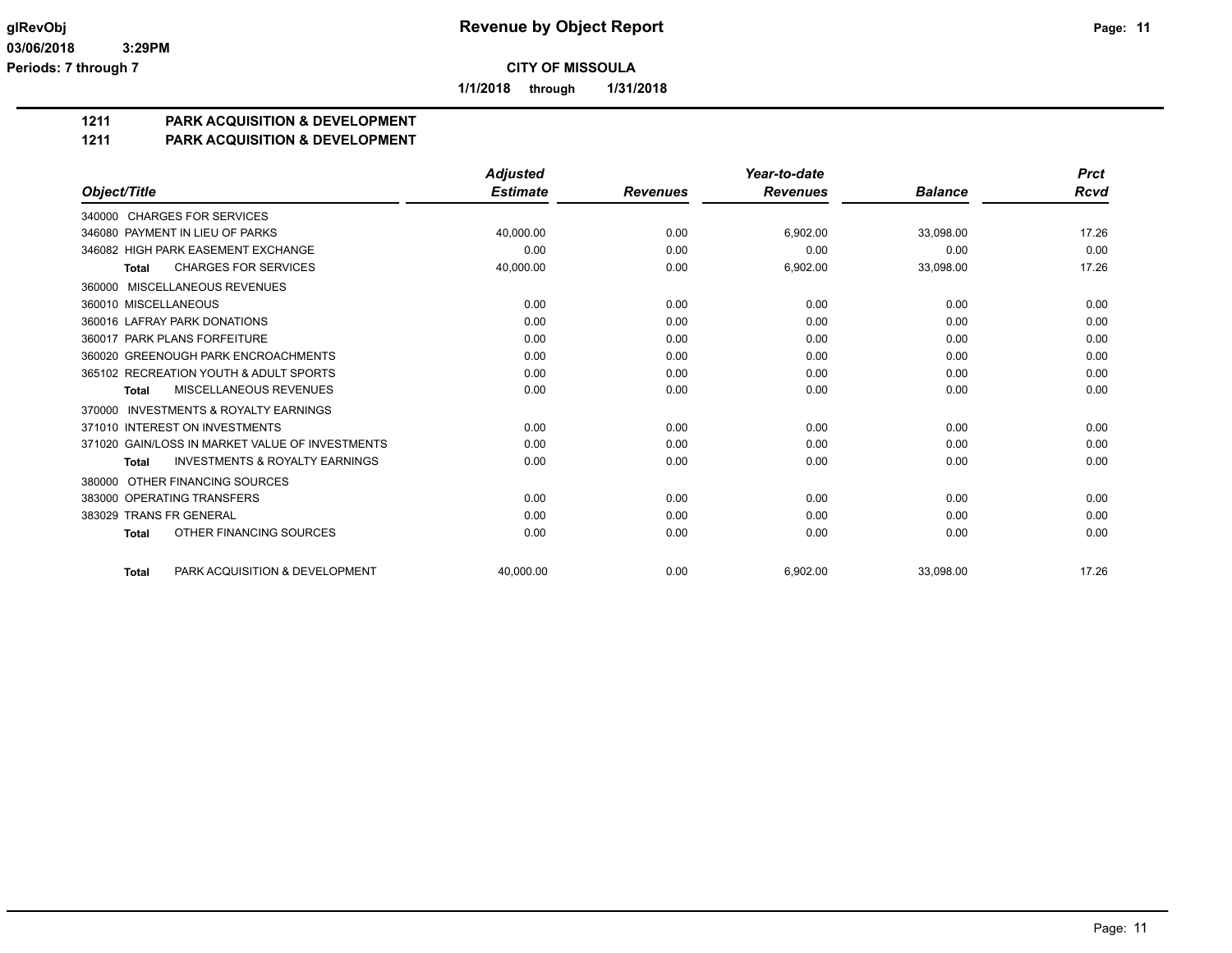**1/1/2018 through 1/31/2018**

## **1211 PARK ACQUISITION & DEVELOPMENT**

#### **1211 PARK ACQUISITION & DEVELOPMENT**

|                                                           | <b>Adjusted</b> |                 | Year-to-date    |                | <b>Prct</b> |
|-----------------------------------------------------------|-----------------|-----------------|-----------------|----------------|-------------|
| Object/Title                                              | <b>Estimate</b> | <b>Revenues</b> | <b>Revenues</b> | <b>Balance</b> | <b>Rcvd</b> |
| 340000 CHARGES FOR SERVICES                               |                 |                 |                 |                |             |
| 346080 PAYMENT IN LIEU OF PARKS                           | 40,000.00       | 0.00            | 6,902.00        | 33,098.00      | 17.26       |
| 346082 HIGH PARK EASEMENT EXCHANGE                        | 0.00            | 0.00            | 0.00            | 0.00           | 0.00        |
| <b>CHARGES FOR SERVICES</b><br><b>Total</b>               | 40,000.00       | 0.00            | 6,902.00        | 33,098.00      | 17.26       |
| 360000 MISCELLANEOUS REVENUES                             |                 |                 |                 |                |             |
| 360010 MISCELLANEOUS                                      | 0.00            | 0.00            | 0.00            | 0.00           | 0.00        |
| 360016 LAFRAY PARK DONATIONS                              | 0.00            | 0.00            | 0.00            | 0.00           | 0.00        |
| 360017 PARK PLANS FORFEITURE                              | 0.00            | 0.00            | 0.00            | 0.00           | 0.00        |
| 360020 GREENOUGH PARK ENCROACHMENTS                       | 0.00            | 0.00            | 0.00            | 0.00           | 0.00        |
| 365102 RECREATION YOUTH & ADULT SPORTS                    | 0.00            | 0.00            | 0.00            | 0.00           | 0.00        |
| MISCELLANEOUS REVENUES<br><b>Total</b>                    | 0.00            | 0.00            | 0.00            | 0.00           | 0.00        |
| <b>INVESTMENTS &amp; ROYALTY EARNINGS</b><br>370000       |                 |                 |                 |                |             |
| 371010 INTEREST ON INVESTMENTS                            | 0.00            | 0.00            | 0.00            | 0.00           | 0.00        |
| 371020 GAIN/LOSS IN MARKET VALUE OF INVESTMENTS           | 0.00            | 0.00            | 0.00            | 0.00           | 0.00        |
| <b>INVESTMENTS &amp; ROYALTY EARNINGS</b><br><b>Total</b> | 0.00            | 0.00            | 0.00            | 0.00           | 0.00        |
| OTHER FINANCING SOURCES<br>380000                         |                 |                 |                 |                |             |
| 383000 OPERATING TRANSFERS                                | 0.00            | 0.00            | 0.00            | 0.00           | 0.00        |
| 383029 TRANS FR GENERAL                                   | 0.00            | 0.00            | 0.00            | 0.00           | 0.00        |
| OTHER FINANCING SOURCES<br><b>Total</b>                   | 0.00            | 0.00            | 0.00            | 0.00           | 0.00        |
| PARK ACQUISITION & DEVELOPMENT<br><b>Total</b>            | 40.000.00       | 0.00            | 6.902.00        | 33.098.00      | 17.26       |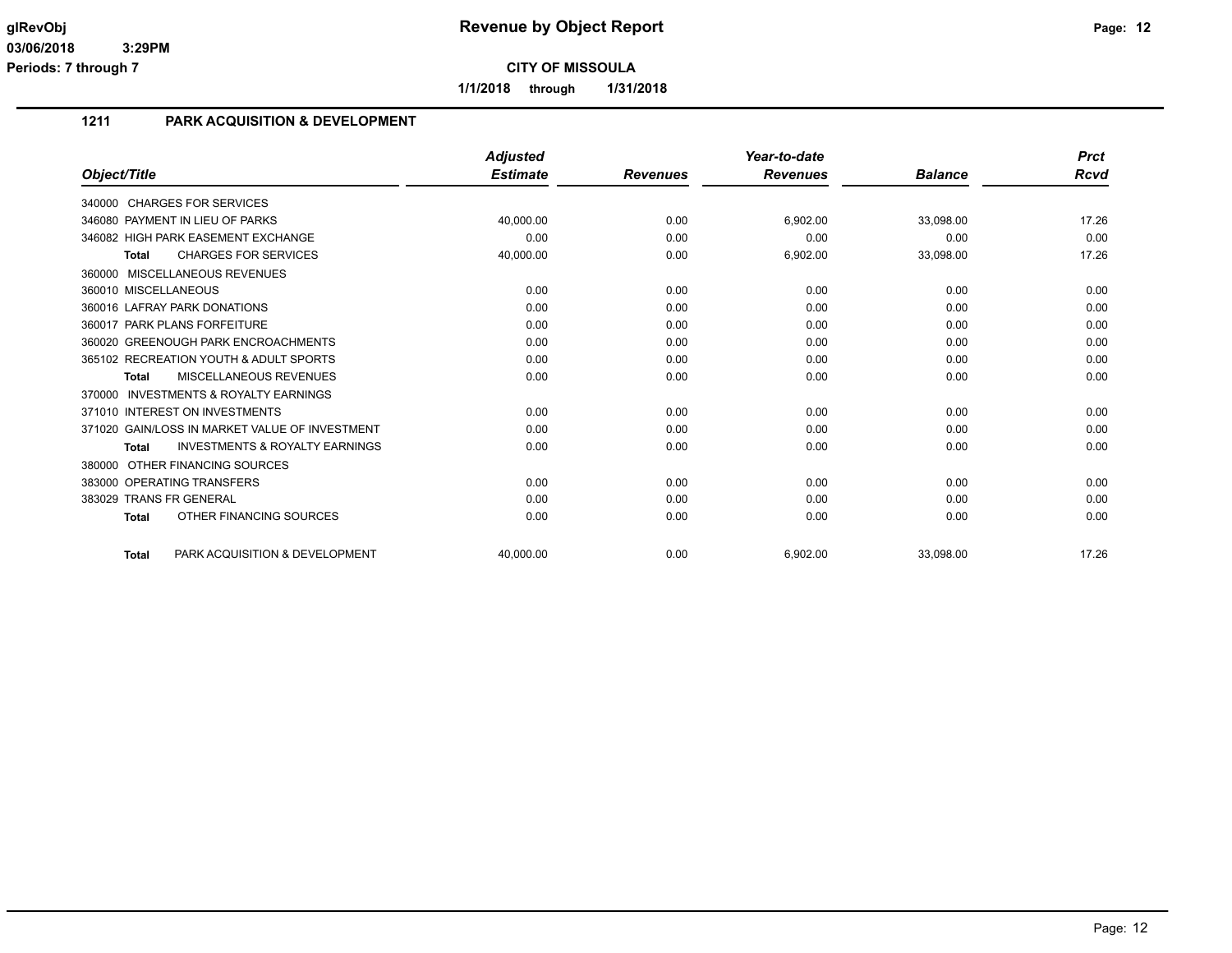**1/1/2018 through 1/31/2018**

## **1211 PARK ACQUISITION & DEVELOPMENT**

|                                                           | <b>Adjusted</b> |                 | Year-to-date    |                | <b>Prct</b> |
|-----------------------------------------------------------|-----------------|-----------------|-----------------|----------------|-------------|
| Object/Title                                              | <b>Estimate</b> | <b>Revenues</b> | <b>Revenues</b> | <b>Balance</b> | <b>Rcvd</b> |
| 340000 CHARGES FOR SERVICES                               |                 |                 |                 |                |             |
| 346080 PAYMENT IN LIEU OF PARKS                           | 40,000.00       | 0.00            | 6,902.00        | 33,098.00      | 17.26       |
| 346082 HIGH PARK EASEMENT EXCHANGE                        | 0.00            | 0.00            | 0.00            | 0.00           | 0.00        |
| <b>CHARGES FOR SERVICES</b><br>Total                      | 40,000.00       | 0.00            | 6,902.00        | 33,098.00      | 17.26       |
| 360000 MISCELLANEOUS REVENUES                             |                 |                 |                 |                |             |
| 360010 MISCELLANEOUS                                      | 0.00            | 0.00            | 0.00            | 0.00           | 0.00        |
| 360016 LAFRAY PARK DONATIONS                              | 0.00            | 0.00            | 0.00            | 0.00           | 0.00        |
| 360017 PARK PLANS FORFEITURE                              | 0.00            | 0.00            | 0.00            | 0.00           | 0.00        |
| 360020 GREENOUGH PARK ENCROACHMENTS                       | 0.00            | 0.00            | 0.00            | 0.00           | 0.00        |
| 365102 RECREATION YOUTH & ADULT SPORTS                    | 0.00            | 0.00            | 0.00            | 0.00           | 0.00        |
| <b>MISCELLANEOUS REVENUES</b><br><b>Total</b>             | 0.00            | 0.00            | 0.00            | 0.00           | 0.00        |
| <b>INVESTMENTS &amp; ROYALTY EARNINGS</b><br>370000       |                 |                 |                 |                |             |
| 371010 INTEREST ON INVESTMENTS                            | 0.00            | 0.00            | 0.00            | 0.00           | 0.00        |
| 371020 GAIN/LOSS IN MARKET VALUE OF INVESTMENT            | 0.00            | 0.00            | 0.00            | 0.00           | 0.00        |
| <b>INVESTMENTS &amp; ROYALTY EARNINGS</b><br><b>Total</b> | 0.00            | 0.00            | 0.00            | 0.00           | 0.00        |
| 380000 OTHER FINANCING SOURCES                            |                 |                 |                 |                |             |
| 383000 OPERATING TRANSFERS                                | 0.00            | 0.00            | 0.00            | 0.00           | 0.00        |
| 383029 TRANS FR GENERAL                                   | 0.00            | 0.00            | 0.00            | 0.00           | 0.00        |
| OTHER FINANCING SOURCES<br><b>Total</b>                   | 0.00            | 0.00            | 0.00            | 0.00           | 0.00        |
| PARK ACQUISITION & DEVELOPMENT<br><b>Total</b>            | 40.000.00       | 0.00            | 6,902.00        | 33.098.00      | 17.26       |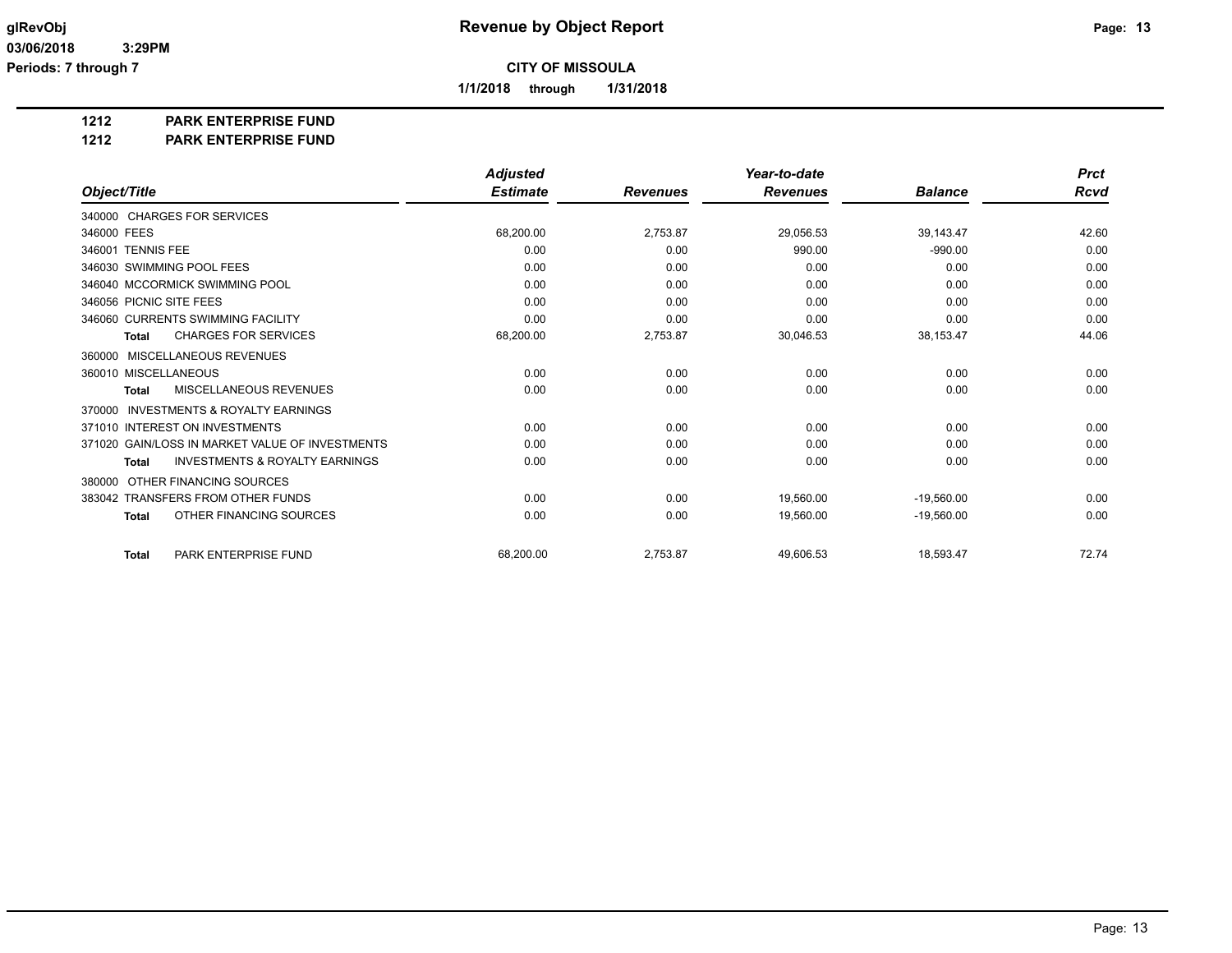**1/1/2018 through 1/31/2018**

#### **1212 PARK ENTERPRISE FUND**

#### **1212 PARK ENTERPRISE FUND**

|                                                           | <b>Adjusted</b> |                 | Year-to-date    |                | <b>Prct</b> |
|-----------------------------------------------------------|-----------------|-----------------|-----------------|----------------|-------------|
| Object/Title                                              | <b>Estimate</b> | <b>Revenues</b> | <b>Revenues</b> | <b>Balance</b> | Rcvd        |
| 340000 CHARGES FOR SERVICES                               |                 |                 |                 |                |             |
| 346000 FEES                                               | 68,200.00       | 2,753.87        | 29,056.53       | 39,143.47      | 42.60       |
| 346001 TENNIS FEE                                         | 0.00            | 0.00            | 990.00          | $-990.00$      | 0.00        |
| 346030 SWIMMING POOL FEES                                 | 0.00            | 0.00            | 0.00            | 0.00           | 0.00        |
| 346040 MCCORMICK SWIMMING POOL                            | 0.00            | 0.00            | 0.00            | 0.00           | 0.00        |
| 346056 PICNIC SITE FEES                                   | 0.00            | 0.00            | 0.00            | 0.00           | 0.00        |
| 346060 CURRENTS SWIMMING FACILITY                         | 0.00            | 0.00            | 0.00            | 0.00           | 0.00        |
| <b>CHARGES FOR SERVICES</b><br><b>Total</b>               | 68,200.00       | 2,753.87        | 30,046.53       | 38,153.47      | 44.06       |
| MISCELLANEOUS REVENUES<br>360000                          |                 |                 |                 |                |             |
| 360010 MISCELLANEOUS                                      | 0.00            | 0.00            | 0.00            | 0.00           | 0.00        |
| <b>MISCELLANEOUS REVENUES</b><br><b>Total</b>             | 0.00            | 0.00            | 0.00            | 0.00           | 0.00        |
| <b>INVESTMENTS &amp; ROYALTY EARNINGS</b><br>370000       |                 |                 |                 |                |             |
| 371010 INTEREST ON INVESTMENTS                            | 0.00            | 0.00            | 0.00            | 0.00           | 0.00        |
| 371020 GAIN/LOSS IN MARKET VALUE OF INVESTMENTS           | 0.00            | 0.00            | 0.00            | 0.00           | 0.00        |
| <b>INVESTMENTS &amp; ROYALTY EARNINGS</b><br><b>Total</b> | 0.00            | 0.00            | 0.00            | 0.00           | 0.00        |
| OTHER FINANCING SOURCES<br>380000                         |                 |                 |                 |                |             |
| 383042 TRANSFERS FROM OTHER FUNDS                         | 0.00            | 0.00            | 19,560.00       | $-19,560.00$   | 0.00        |
| OTHER FINANCING SOURCES<br><b>Total</b>                   | 0.00            | 0.00            | 19,560.00       | $-19.560.00$   | 0.00        |
| PARK ENTERPRISE FUND<br><b>Total</b>                      | 68,200.00       | 2,753.87        | 49,606.53       | 18,593.47      | 72.74       |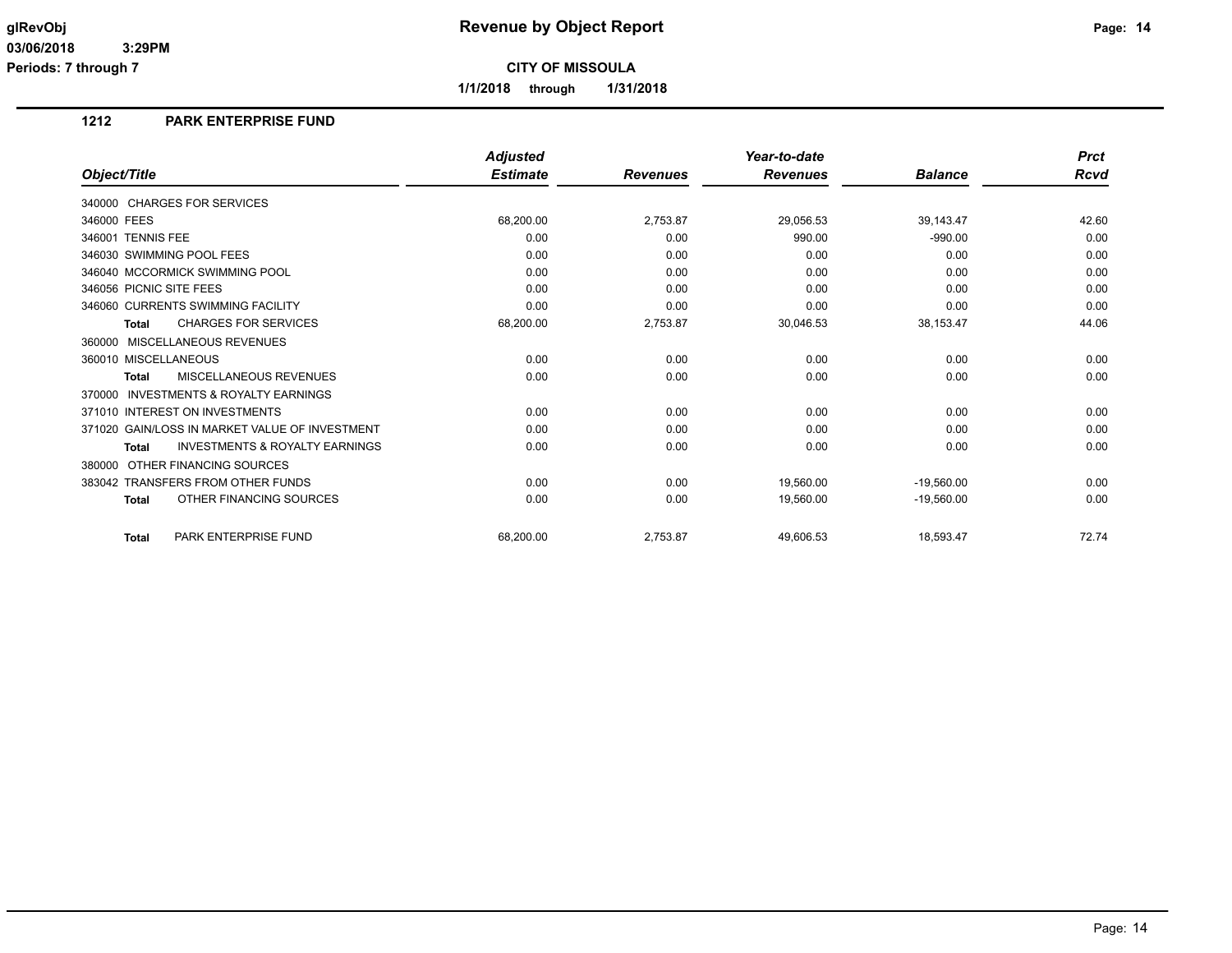**1/1/2018 through 1/31/2018**

## **1212 PARK ENTERPRISE FUND**

|                                                           | <b>Adjusted</b> |                 | Year-to-date    |                | <b>Prct</b> |
|-----------------------------------------------------------|-----------------|-----------------|-----------------|----------------|-------------|
| Object/Title                                              | <b>Estimate</b> | <b>Revenues</b> | <b>Revenues</b> | <b>Balance</b> | <b>Rcvd</b> |
| 340000 CHARGES FOR SERVICES                               |                 |                 |                 |                |             |
| 346000 FEES                                               | 68,200.00       | 2,753.87        | 29,056.53       | 39,143.47      | 42.60       |
| 346001 TENNIS FEE                                         | 0.00            | 0.00            | 990.00          | $-990.00$      | 0.00        |
| 346030 SWIMMING POOL FEES                                 | 0.00            | 0.00            | 0.00            | 0.00           | 0.00        |
| 346040 MCCORMICK SWIMMING POOL                            | 0.00            | 0.00            | 0.00            | 0.00           | 0.00        |
| 346056 PICNIC SITE FEES                                   | 0.00            | 0.00            | 0.00            | 0.00           | 0.00        |
| 346060 CURRENTS SWIMMING FACILITY                         | 0.00            | 0.00            | 0.00            | 0.00           | 0.00        |
| <b>CHARGES FOR SERVICES</b><br><b>Total</b>               | 68,200.00       | 2,753.87        | 30,046.53       | 38,153.47      | 44.06       |
| MISCELLANEOUS REVENUES<br>360000                          |                 |                 |                 |                |             |
| 360010 MISCELLANEOUS                                      | 0.00            | 0.00            | 0.00            | 0.00           | 0.00        |
| <b>MISCELLANEOUS REVENUES</b><br><b>Total</b>             | 0.00            | 0.00            | 0.00            | 0.00           | 0.00        |
| <b>INVESTMENTS &amp; ROYALTY EARNINGS</b><br>370000       |                 |                 |                 |                |             |
| 371010 INTEREST ON INVESTMENTS                            | 0.00            | 0.00            | 0.00            | 0.00           | 0.00        |
| 371020 GAIN/LOSS IN MARKET VALUE OF INVESTMENT            | 0.00            | 0.00            | 0.00            | 0.00           | 0.00        |
| <b>INVESTMENTS &amp; ROYALTY EARNINGS</b><br><b>Total</b> | 0.00            | 0.00            | 0.00            | 0.00           | 0.00        |
| OTHER FINANCING SOURCES<br>380000                         |                 |                 |                 |                |             |
| 383042 TRANSFERS FROM OTHER FUNDS                         | 0.00            | 0.00            | 19,560.00       | $-19,560.00$   | 0.00        |
| OTHER FINANCING SOURCES<br><b>Total</b>                   | 0.00            | 0.00            | 19,560.00       | $-19.560.00$   | 0.00        |
| PARK ENTERPRISE FUND<br><b>Total</b>                      | 68,200.00       | 2,753.87        | 49,606.53       | 18,593.47      | 72.74       |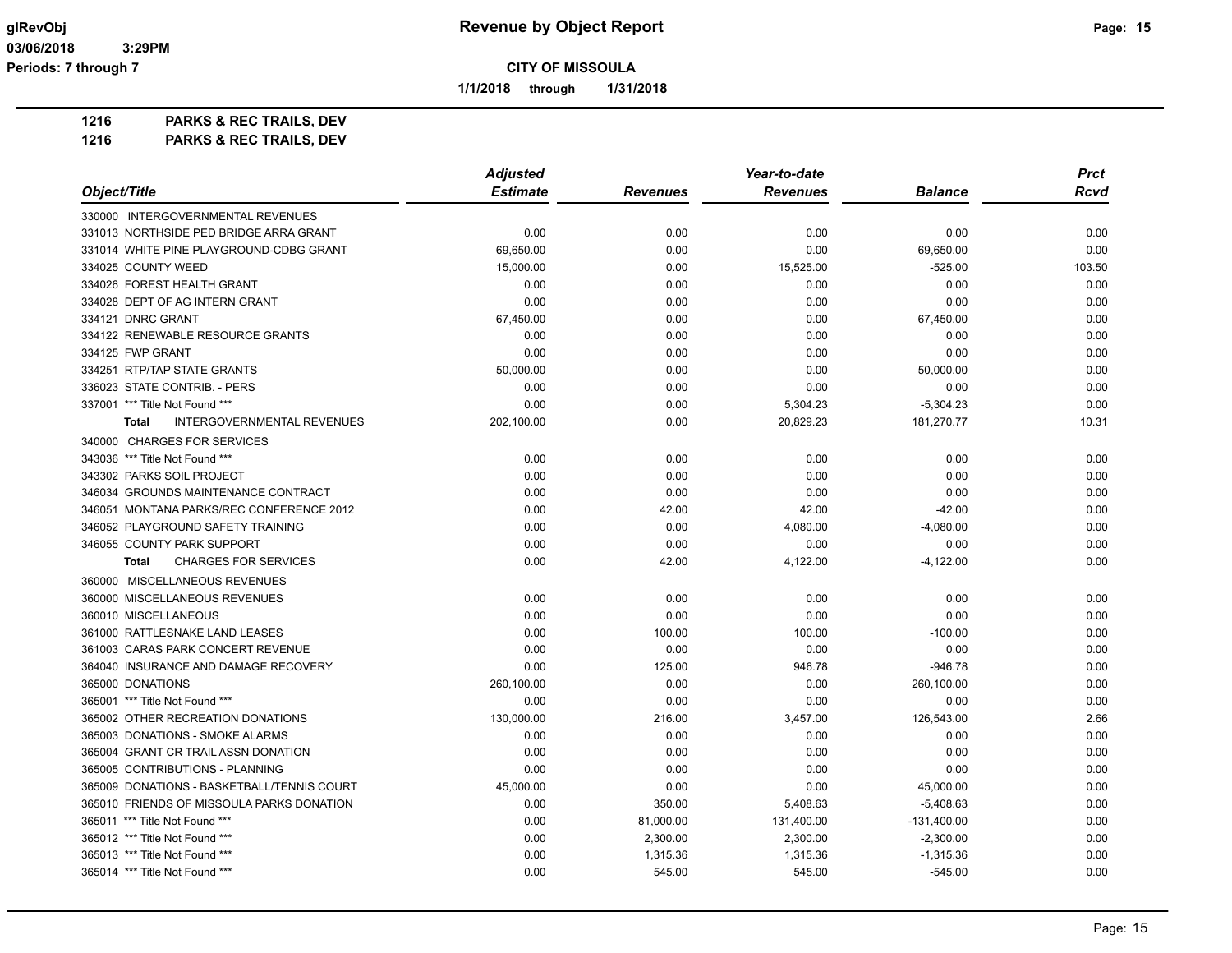**1/1/2018 through 1/31/2018**

**1216 PARKS & REC TRAILS, DEV**

|                                                   | <b>Adjusted</b> |                 | Year-to-date    |                | <b>Prct</b> |
|---------------------------------------------------|-----------------|-----------------|-----------------|----------------|-------------|
| Object/Title                                      | <b>Estimate</b> | <b>Revenues</b> | <b>Revenues</b> | <b>Balance</b> | <b>Rcvd</b> |
| 330000 INTERGOVERNMENTAL REVENUES                 |                 |                 |                 |                |             |
| 331013 NORTHSIDE PED BRIDGE ARRA GRANT            | 0.00            | 0.00            | 0.00            | 0.00           | 0.00        |
| 331014 WHITE PINE PLAYGROUND-CDBG GRANT           | 69,650.00       | 0.00            | 0.00            | 69,650.00      | 0.00        |
| 334025 COUNTY WEED                                | 15,000.00       | 0.00            | 15,525.00       | $-525.00$      | 103.50      |
| 334026 FOREST HEALTH GRANT                        | 0.00            | 0.00            | 0.00            | 0.00           | 0.00        |
| 334028 DEPT OF AG INTERN GRANT                    | 0.00            | 0.00            | 0.00            | 0.00           | 0.00        |
| 334121 DNRC GRANT                                 | 67,450.00       | 0.00            | 0.00            | 67,450.00      | 0.00        |
| 334122 RENEWABLE RESOURCE GRANTS                  | 0.00            | 0.00            | 0.00            | 0.00           | 0.00        |
| 334125 FWP GRANT                                  | 0.00            | 0.00            | 0.00            | 0.00           | 0.00        |
| 334251 RTP/TAP STATE GRANTS                       | 50,000.00       | 0.00            | 0.00            | 50,000.00      | 0.00        |
| 336023 STATE CONTRIB. - PERS                      | 0.00            | 0.00            | 0.00            | 0.00           | 0.00        |
| 337001 *** Title Not Found ***                    | 0.00            | 0.00            | 5,304.23        | $-5,304.23$    | 0.00        |
| <b>INTERGOVERNMENTAL REVENUES</b><br><b>Total</b> | 202,100.00      | 0.00            | 20,829.23       | 181,270.77     | 10.31       |
| 340000 CHARGES FOR SERVICES                       |                 |                 |                 |                |             |
| 343036 *** Title Not Found ***                    | 0.00            | 0.00            | 0.00            | 0.00           | 0.00        |
| 343302 PARKS SOIL PROJECT                         | 0.00            | 0.00            | 0.00            | 0.00           | 0.00        |
| 346034 GROUNDS MAINTENANCE CONTRACT               | 0.00            | 0.00            | 0.00            | 0.00           | 0.00        |
| 346051 MONTANA PARKS/REC CONFERENCE 2012          | 0.00            | 42.00           | 42.00           | $-42.00$       | 0.00        |
| 346052 PLAYGROUND SAFETY TRAINING                 | 0.00            | 0.00            | 4,080.00        | $-4,080.00$    | 0.00        |
| 346055 COUNTY PARK SUPPORT                        | 0.00            | 0.00            | 0.00            | 0.00           | 0.00        |
| <b>CHARGES FOR SERVICES</b><br><b>Total</b>       | 0.00            | 42.00           | 4,122.00        | $-4,122.00$    | 0.00        |
| 360000 MISCELLANEOUS REVENUES                     |                 |                 |                 |                |             |
| 360000 MISCELLANEOUS REVENUES                     | 0.00            | 0.00            | 0.00            | 0.00           | 0.00        |
| 360010 MISCELLANEOUS                              | 0.00            | 0.00            | 0.00            | 0.00           | 0.00        |
| 361000 RATTLESNAKE LAND LEASES                    | 0.00            | 100.00          | 100.00          | $-100.00$      | 0.00        |
| 361003 CARAS PARK CONCERT REVENUE                 | 0.00            | 0.00            | 0.00            | 0.00           | 0.00        |
| 364040 INSURANCE AND DAMAGE RECOVERY              | 0.00            | 125.00          | 946.78          | $-946.78$      | 0.00        |
| 365000 DONATIONS                                  | 260,100.00      | 0.00            | 0.00            | 260,100.00     | 0.00        |
| 365001 *** Title Not Found ***                    | 0.00            | 0.00            | 0.00            | 0.00           | 0.00        |
| 365002 OTHER RECREATION DONATIONS                 | 130,000.00      | 216.00          | 3,457.00        | 126,543.00     | 2.66        |
| 365003 DONATIONS - SMOKE ALARMS                   | 0.00            | 0.00            | 0.00            | 0.00           | 0.00        |
| 365004 GRANT CR TRAIL ASSN DONATION               | 0.00            | 0.00            | 0.00            | 0.00           | 0.00        |
| 365005 CONTRIBUTIONS - PLANNING                   | 0.00            | 0.00            | 0.00            | 0.00           | 0.00        |
| 365009 DONATIONS - BASKETBALL/TENNIS COURT        | 45,000.00       | 0.00            | 0.00            | 45,000.00      | 0.00        |
| 365010 FRIENDS OF MISSOULA PARKS DONATION         | 0.00            | 350.00          | 5,408.63        | $-5,408.63$    | 0.00        |
| 365011 *** Title Not Found ***                    | 0.00            | 81,000.00       | 131,400.00      | $-131,400.00$  | 0.00        |
| 365012 *** Title Not Found ***                    | 0.00            | 2,300.00        | 2,300.00        | $-2,300.00$    | 0.00        |
| 365013 *** Title Not Found ***                    | 0.00            | 1,315.36        | 1,315.36        | $-1,315.36$    | 0.00        |
| 365014 *** Title Not Found ***                    | 0.00            | 545.00          | 545.00          | $-545.00$      | 0.00        |
|                                                   |                 |                 |                 |                |             |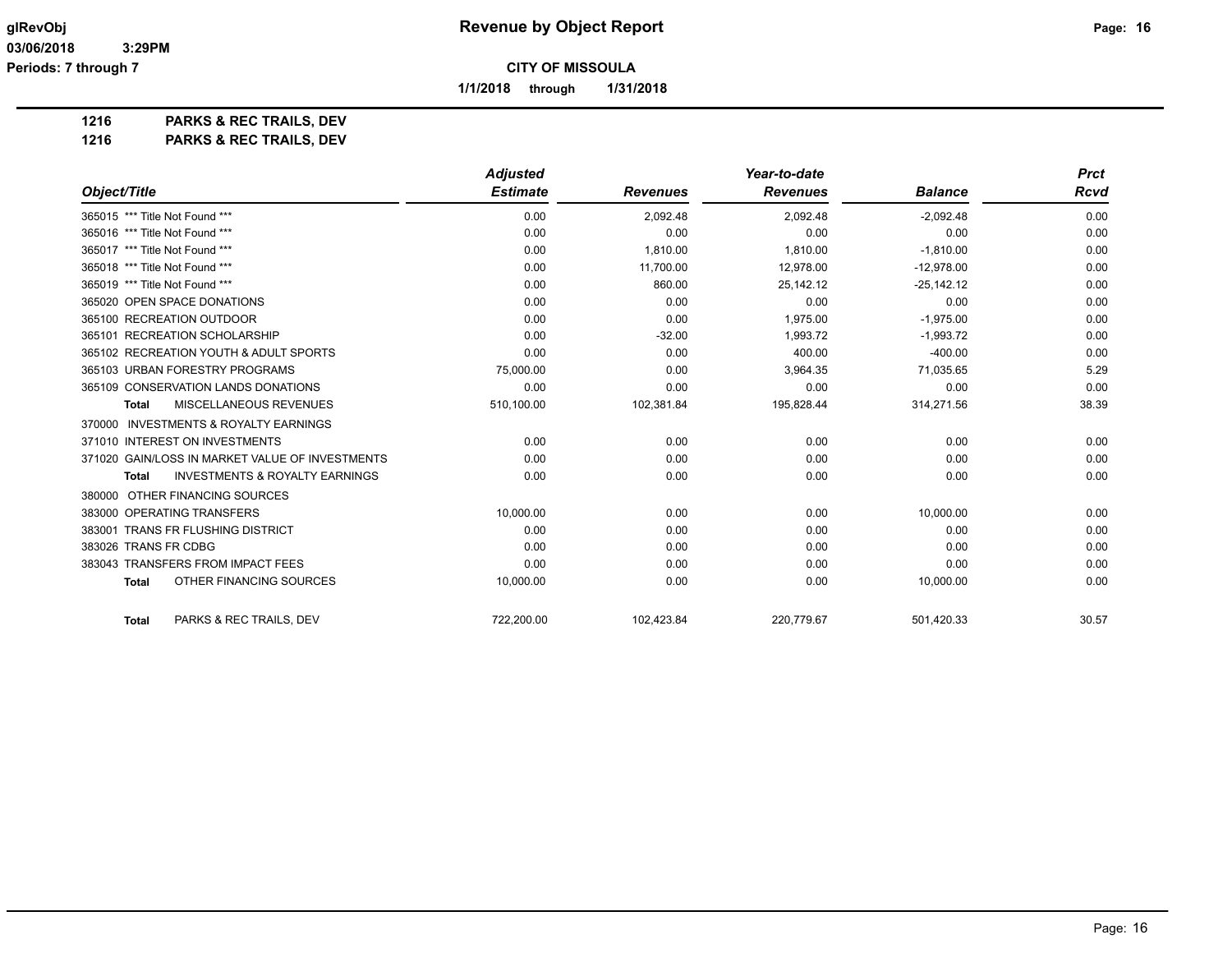**1/1/2018 through 1/31/2018**

**1216 PARKS & REC TRAILS, DEV**

|                                                           | <b>Adjusted</b> |                 | Year-to-date    |                | <b>Prct</b> |
|-----------------------------------------------------------|-----------------|-----------------|-----------------|----------------|-------------|
| Object/Title                                              | <b>Estimate</b> | <b>Revenues</b> | <b>Revenues</b> | <b>Balance</b> | <b>Rcvd</b> |
| 365015 *** Title Not Found ***                            | 0.00            | 2,092.48        | 2,092.48        | $-2,092.48$    | 0.00        |
| 365016 *** Title Not Found ***                            | 0.00            | 0.00            | 0.00            | 0.00           | 0.00        |
| 365017 *** Title Not Found ***                            | 0.00            | 1.810.00        | 1,810.00        | $-1.810.00$    | 0.00        |
| 365018 *** Title Not Found ***                            | 0.00            | 11,700.00       | 12,978.00       | $-12,978.00$   | 0.00        |
| 365019 *** Title Not Found ***                            | 0.00            | 860.00          | 25,142.12       | $-25,142.12$   | 0.00        |
| 365020 OPEN SPACE DONATIONS                               | 0.00            | 0.00            | 0.00            | 0.00           | 0.00        |
| 365100 RECREATION OUTDOOR                                 | 0.00            | 0.00            | 1,975.00        | $-1,975.00$    | 0.00        |
| 365101 RECREATION SCHOLARSHIP                             | 0.00            | $-32.00$        | 1.993.72        | $-1,993.72$    | 0.00        |
| 365102 RECREATION YOUTH & ADULT SPORTS                    | 0.00            | 0.00            | 400.00          | $-400.00$      | 0.00        |
| 365103 URBAN FORESTRY PROGRAMS                            | 75,000.00       | 0.00            | 3,964.35        | 71,035.65      | 5.29        |
| 365109 CONSERVATION LANDS DONATIONS                       | 0.00            | 0.00            | 0.00            | 0.00           | 0.00        |
| MISCELLANEOUS REVENUES<br><b>Total</b>                    | 510,100.00      | 102,381.84      | 195,828.44      | 314,271.56     | 38.39       |
| 370000 INVESTMENTS & ROYALTY EARNINGS                     |                 |                 |                 |                |             |
| 371010 INTEREST ON INVESTMENTS                            | 0.00            | 0.00            | 0.00            | 0.00           | 0.00        |
| 371020 GAIN/LOSS IN MARKET VALUE OF INVESTMENTS           | 0.00            | 0.00            | 0.00            | 0.00           | 0.00        |
| <b>INVESTMENTS &amp; ROYALTY EARNINGS</b><br><b>Total</b> | 0.00            | 0.00            | 0.00            | 0.00           | 0.00        |
| 380000 OTHER FINANCING SOURCES                            |                 |                 |                 |                |             |
| 383000 OPERATING TRANSFERS                                | 10,000.00       | 0.00            | 0.00            | 10,000.00      | 0.00        |
| 383001 TRANS FR FLUSHING DISTRICT                         | 0.00            | 0.00            | 0.00            | 0.00           | 0.00        |
| 383026 TRANS FR CDBG                                      | 0.00            | 0.00            | 0.00            | 0.00           | 0.00        |
| 383043 TRANSFERS FROM IMPACT FEES                         | 0.00            | 0.00            | 0.00            | 0.00           | 0.00        |
| OTHER FINANCING SOURCES<br><b>Total</b>                   | 10,000.00       | 0.00            | 0.00            | 10,000.00      | 0.00        |
| PARKS & REC TRAILS, DEV<br><b>Total</b>                   | 722,200.00      | 102,423.84      | 220,779.67      | 501,420.33     | 30.57       |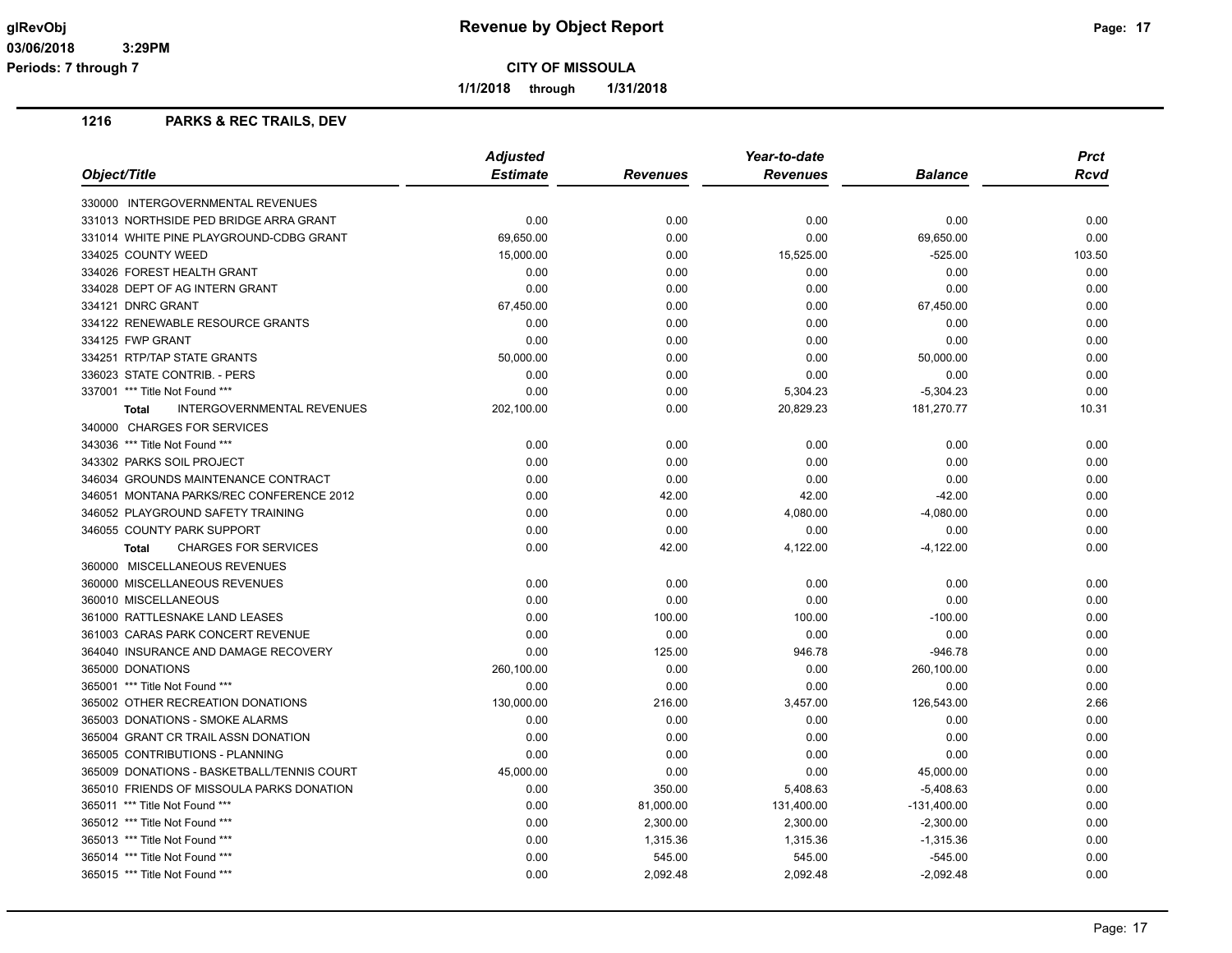**1/1/2018 through 1/31/2018**

| <b>Adjusted</b><br><b>Estimate</b><br>Object/Title<br><b>Revenues</b><br><b>Balance</b><br><b>Revenues</b><br>330000 INTERGOVERNMENTAL REVENUES<br>331013 NORTHSIDE PED BRIDGE ARRA GRANT<br>0.00<br>0.00<br>0.00<br>0.00<br>0.00<br>331014 WHITE PINE PLAYGROUND-CDBG GRANT<br>69,650.00<br>0.00<br>69,650.00<br>334025 COUNTY WEED<br>15,000.00<br>0.00<br>15,525.00<br>$-525.00$ | Rcvd<br>0.00<br>0.00<br>103.50<br>0.00<br>0.00<br>0.00<br>0.00 |
|-------------------------------------------------------------------------------------------------------------------------------------------------------------------------------------------------------------------------------------------------------------------------------------------------------------------------------------------------------------------------------------|----------------------------------------------------------------|
|                                                                                                                                                                                                                                                                                                                                                                                     |                                                                |
|                                                                                                                                                                                                                                                                                                                                                                                     |                                                                |
|                                                                                                                                                                                                                                                                                                                                                                                     |                                                                |
|                                                                                                                                                                                                                                                                                                                                                                                     |                                                                |
|                                                                                                                                                                                                                                                                                                                                                                                     |                                                                |
| 334026 FOREST HEALTH GRANT<br>0.00<br>0.00<br>0.00<br>0.00                                                                                                                                                                                                                                                                                                                          |                                                                |
| 334028 DEPT OF AG INTERN GRANT<br>0.00<br>0.00<br>0.00<br>0.00                                                                                                                                                                                                                                                                                                                      |                                                                |
| 334121 DNRC GRANT<br>67,450.00<br>0.00<br>0.00<br>67,450.00                                                                                                                                                                                                                                                                                                                         |                                                                |
| 334122 RENEWABLE RESOURCE GRANTS<br>0.00<br>0.00<br>0.00<br>0.00                                                                                                                                                                                                                                                                                                                    |                                                                |
| 334125 FWP GRANT<br>0.00<br>0.00<br>0.00<br>0.00                                                                                                                                                                                                                                                                                                                                    | 0.00                                                           |
| 334251 RTP/TAP STATE GRANTS<br>50,000.00<br>0.00<br>0.00<br>50,000.00                                                                                                                                                                                                                                                                                                               | 0.00                                                           |
| 336023 STATE CONTRIB. - PERS<br>0.00<br>0.00<br>0.00<br>0.00                                                                                                                                                                                                                                                                                                                        | 0.00                                                           |
| 337001 *** Title Not Found ***<br>0.00<br>0.00<br>5,304.23<br>$-5,304.23$                                                                                                                                                                                                                                                                                                           | 0.00                                                           |
| 20,829.23<br><b>INTERGOVERNMENTAL REVENUES</b><br>202,100.00<br>0.00<br>181,270.77<br><b>Total</b>                                                                                                                                                                                                                                                                                  | 10.31                                                          |
| 340000 CHARGES FOR SERVICES                                                                                                                                                                                                                                                                                                                                                         |                                                                |
| 343036 *** Title Not Found ***<br>0.00<br>0.00<br>0.00<br>0.00                                                                                                                                                                                                                                                                                                                      | 0.00                                                           |
| 343302 PARKS SOIL PROJECT<br>0.00<br>0.00<br>0.00<br>0.00                                                                                                                                                                                                                                                                                                                           | 0.00                                                           |
| 346034 GROUNDS MAINTENANCE CONTRACT<br>0.00<br>0.00<br>0.00<br>0.00                                                                                                                                                                                                                                                                                                                 | 0.00                                                           |
| 346051 MONTANA PARKS/REC CONFERENCE 2012<br>0.00<br>42.00<br>42.00<br>$-42.00$                                                                                                                                                                                                                                                                                                      | 0.00                                                           |
| 346052 PLAYGROUND SAFETY TRAINING<br>0.00<br>0.00<br>4,080.00<br>$-4,080.00$                                                                                                                                                                                                                                                                                                        | 0.00                                                           |
| 0.00<br>0.00<br>0.00<br>346055 COUNTY PARK SUPPORT<br>0.00                                                                                                                                                                                                                                                                                                                          | 0.00                                                           |
| <b>CHARGES FOR SERVICES</b><br>0.00<br>42.00<br>4,122.00<br>$-4,122.00$<br><b>Total</b>                                                                                                                                                                                                                                                                                             | 0.00                                                           |
| 360000 MISCELLANEOUS REVENUES                                                                                                                                                                                                                                                                                                                                                       |                                                                |
| 360000 MISCELLANEOUS REVENUES<br>0.00<br>0.00<br>0.00<br>0.00                                                                                                                                                                                                                                                                                                                       | 0.00                                                           |
| 360010 MISCELLANEOUS<br>0.00<br>0.00<br>0.00<br>0.00                                                                                                                                                                                                                                                                                                                                | 0.00                                                           |
| 361000 RATTLESNAKE LAND LEASES<br>0.00<br>100.00<br>100.00<br>$-100.00$                                                                                                                                                                                                                                                                                                             | 0.00                                                           |
| 361003 CARAS PARK CONCERT REVENUE<br>0.00<br>0.00<br>0.00<br>0.00                                                                                                                                                                                                                                                                                                                   | 0.00                                                           |
| 364040 INSURANCE AND DAMAGE RECOVERY<br>0.00<br>125.00<br>946.78<br>$-946.78$                                                                                                                                                                                                                                                                                                       | 0.00                                                           |
| 365000 DONATIONS<br>0.00<br>0.00<br>260,100.00<br>260,100.00                                                                                                                                                                                                                                                                                                                        | 0.00                                                           |
| 365001 *** Title Not Found ***<br>0.00<br>0.00<br>0.00<br>0.00                                                                                                                                                                                                                                                                                                                      | 0.00                                                           |
| 365002 OTHER RECREATION DONATIONS<br>130,000.00<br>216.00<br>3,457.00<br>126,543.00                                                                                                                                                                                                                                                                                                 | 2.66                                                           |
| 365003 DONATIONS - SMOKE ALARMS<br>0.00<br>0.00<br>0.00<br>0.00                                                                                                                                                                                                                                                                                                                     | 0.00                                                           |
| 365004 GRANT CR TRAIL ASSN DONATION<br>0.00<br>0.00<br>0.00<br>0.00                                                                                                                                                                                                                                                                                                                 | 0.00                                                           |
| 365005 CONTRIBUTIONS - PLANNING<br>0.00<br>0.00<br>0.00<br>0.00                                                                                                                                                                                                                                                                                                                     | 0.00                                                           |
| 365009 DONATIONS - BASKETBALL/TENNIS COURT<br>45,000.00<br>0.00<br>0.00<br>45,000.00                                                                                                                                                                                                                                                                                                | 0.00                                                           |
| 0.00<br>350.00<br>5,408.63<br>$-5,408.63$<br>365010 FRIENDS OF MISSOULA PARKS DONATION                                                                                                                                                                                                                                                                                              | 0.00                                                           |
| 365011 *** Title Not Found ***<br>0.00<br>81,000.00<br>131,400.00<br>$-131,400.00$                                                                                                                                                                                                                                                                                                  | 0.00                                                           |
| 0.00<br>2,300.00<br>2,300.00<br>$-2,300.00$<br>365012 *** Title Not Found ***                                                                                                                                                                                                                                                                                                       | 0.00                                                           |
| 365013 *** Title Not Found ***<br>0.00<br>1,315.36<br>1,315.36<br>$-1,315.36$                                                                                                                                                                                                                                                                                                       | 0.00                                                           |
| 365014 *** Title Not Found ***<br>0.00<br>545.00<br>545.00<br>$-545.00$                                                                                                                                                                                                                                                                                                             | 0.00                                                           |
| 365015 *** Title Not Found ***<br>0.00<br>2,092.48<br>2,092.48<br>$-2,092.48$                                                                                                                                                                                                                                                                                                       | 0.00                                                           |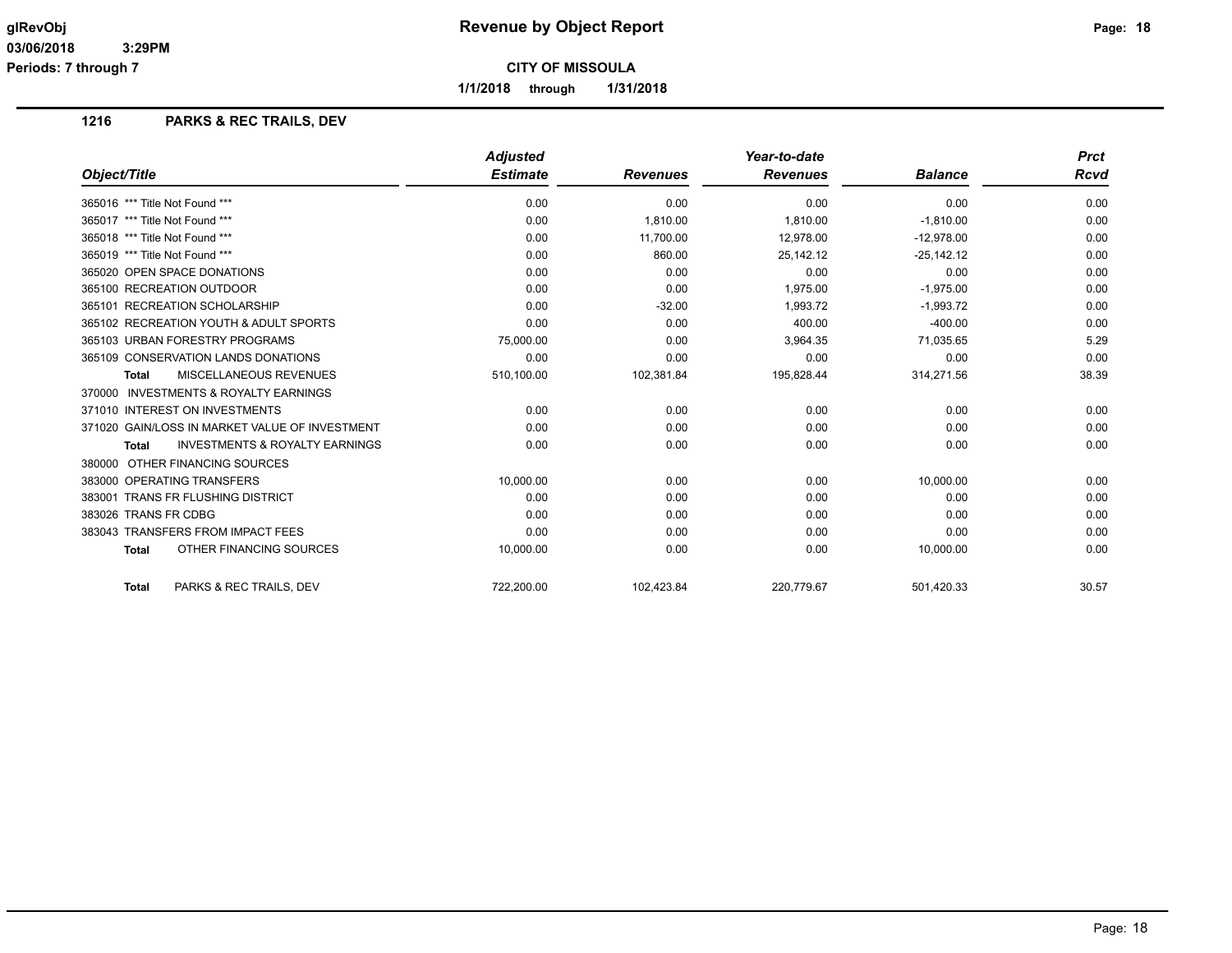**Periods: 7 through 7**

**CITY OF MISSOULA**

**1/1/2018 through 1/31/2018**

|                                                           | <b>Adjusted</b> |                 | Year-to-date    |                | <b>Prct</b> |
|-----------------------------------------------------------|-----------------|-----------------|-----------------|----------------|-------------|
| Object/Title                                              | <b>Estimate</b> | <b>Revenues</b> | <b>Revenues</b> | <b>Balance</b> | Rcvd        |
| 365016 *** Title Not Found ***                            | 0.00            | 0.00            | 0.00            | 0.00           | 0.00        |
| 365017 *** Title Not Found ***                            | 0.00            | 1,810.00        | 1,810.00        | $-1,810.00$    | 0.00        |
| 365018 *** Title Not Found ***                            | 0.00            | 11,700.00       | 12,978.00       | $-12,978.00$   | 0.00        |
| 365019 *** Title Not Found ***                            | 0.00            | 860.00          | 25,142.12       | $-25,142.12$   | 0.00        |
| 365020 OPEN SPACE DONATIONS                               | 0.00            | 0.00            | 0.00            | 0.00           | 0.00        |
| 365100 RECREATION OUTDOOR                                 | 0.00            | 0.00            | 1.975.00        | $-1,975.00$    | 0.00        |
| 365101 RECREATION SCHOLARSHIP                             | 0.00            | $-32.00$        | 1,993.72        | $-1,993.72$    | 0.00        |
| 365102 RECREATION YOUTH & ADULT SPORTS                    | 0.00            | 0.00            | 400.00          | $-400.00$      | 0.00        |
| 365103 URBAN FORESTRY PROGRAMS                            | 75,000.00       | 0.00            | 3.964.35        | 71,035.65      | 5.29        |
| 365109 CONSERVATION LANDS DONATIONS                       | 0.00            | 0.00            | 0.00            | 0.00           | 0.00        |
| <b>MISCELLANEOUS REVENUES</b><br><b>Total</b>             | 510,100.00      | 102,381.84      | 195,828.44      | 314,271.56     | 38.39       |
| 370000 INVESTMENTS & ROYALTY EARNINGS                     |                 |                 |                 |                |             |
| 371010 INTEREST ON INVESTMENTS                            | 0.00            | 0.00            | 0.00            | 0.00           | 0.00        |
| 371020 GAIN/LOSS IN MARKET VALUE OF INVESTMENT            | 0.00            | 0.00            | 0.00            | 0.00           | 0.00        |
| <b>INVESTMENTS &amp; ROYALTY EARNINGS</b><br><b>Total</b> | 0.00            | 0.00            | 0.00            | 0.00           | 0.00        |
| 380000 OTHER FINANCING SOURCES                            |                 |                 |                 |                |             |
| 383000 OPERATING TRANSFERS                                | 10,000.00       | 0.00            | 0.00            | 10,000.00      | 0.00        |
| 383001 TRANS FR FLUSHING DISTRICT                         | 0.00            | 0.00            | 0.00            | 0.00           | 0.00        |
| 383026 TRANS FR CDBG                                      | 0.00            | 0.00            | 0.00            | 0.00           | 0.00        |
| 383043 TRANSFERS FROM IMPACT FEES                         | 0.00            | 0.00            | 0.00            | 0.00           | 0.00        |
| OTHER FINANCING SOURCES<br><b>Total</b>                   | 10,000.00       | 0.00            | 0.00            | 10,000.00      | 0.00        |
| PARKS & REC TRAILS. DEV<br><b>Total</b>                   | 722,200.00      | 102,423.84      | 220,779.67      | 501,420.33     | 30.57       |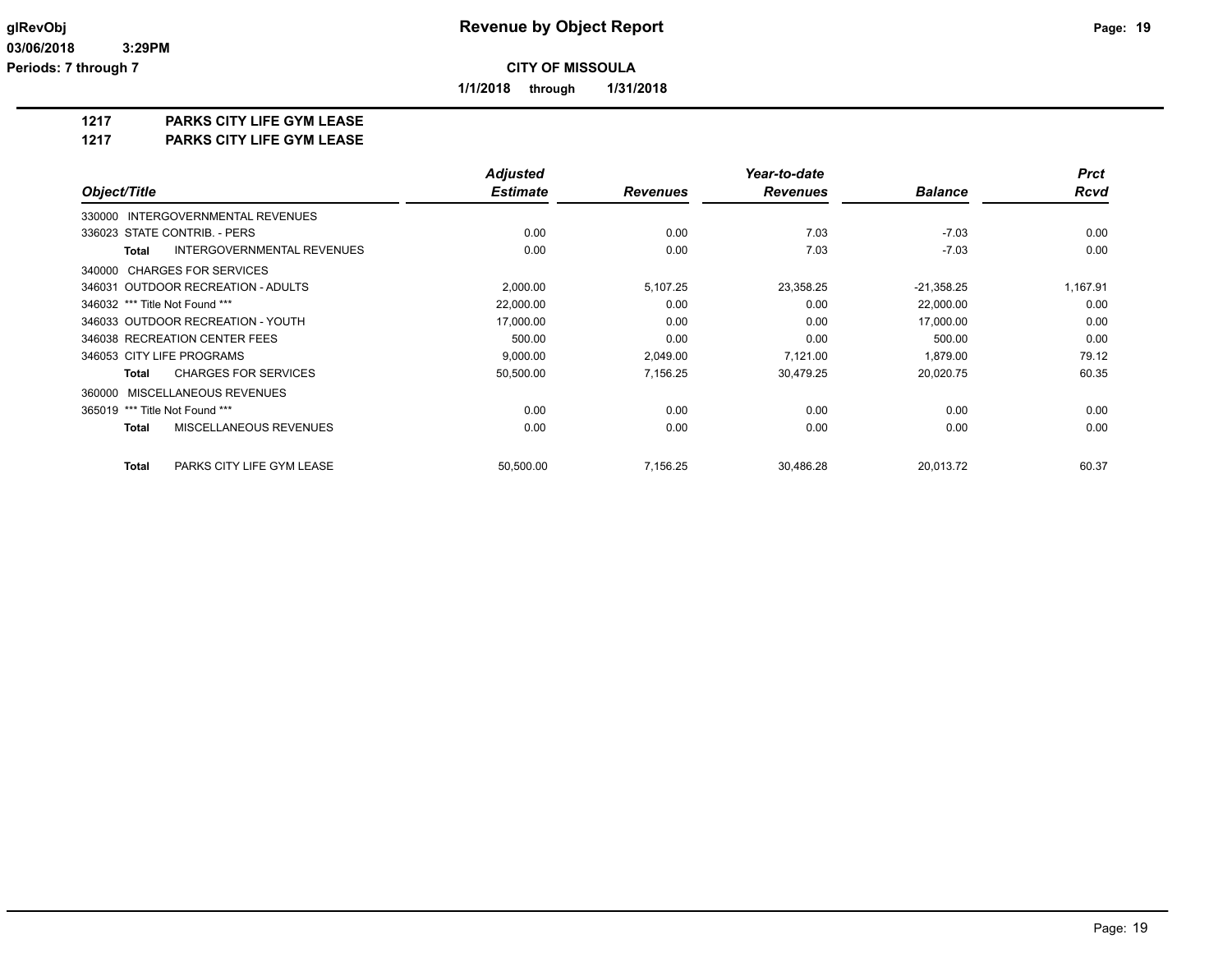**1/1/2018 through 1/31/2018**

### **1217 PARKS CITY LIFE GYM LEASE**

**1217 PARKS CITY LIFE GYM LEASE**

|                                                   | <b>Adjusted</b> |                 | Year-to-date    |                | <b>Prct</b> |
|---------------------------------------------------|-----------------|-----------------|-----------------|----------------|-------------|
| Object/Title                                      | <b>Estimate</b> | <b>Revenues</b> | <b>Revenues</b> | <b>Balance</b> | <b>Rcvd</b> |
| <b>INTERGOVERNMENTAL REVENUES</b><br>330000       |                 |                 |                 |                |             |
| 336023 STATE CONTRIB. - PERS                      | 0.00            | 0.00            | 7.03            | $-7.03$        | 0.00        |
| <b>INTERGOVERNMENTAL REVENUES</b><br><b>Total</b> | 0.00            | 0.00            | 7.03            | $-7.03$        | 0.00        |
| 340000 CHARGES FOR SERVICES                       |                 |                 |                 |                |             |
| 346031 OUTDOOR RECREATION - ADULTS                | 2,000.00        | 5,107.25        | 23,358.25       | $-21,358.25$   | 1,167.91    |
| 346032 *** Title Not Found ***                    | 22,000.00       | 0.00            | 0.00            | 22,000.00      | 0.00        |
| 346033 OUTDOOR RECREATION - YOUTH                 | 17,000.00       | 0.00            | 0.00            | 17,000.00      | 0.00        |
| 346038 RECREATION CENTER FEES                     | 500.00          | 0.00            | 0.00            | 500.00         | 0.00        |
| 346053 CITY LIFE PROGRAMS                         | 9,000.00        | 2,049.00        | 7,121.00        | 1,879.00       | 79.12       |
| <b>CHARGES FOR SERVICES</b><br>Total              | 50,500.00       | 7.156.25        | 30,479.25       | 20,020.75      | 60.35       |
| 360000 MISCELLANEOUS REVENUES                     |                 |                 |                 |                |             |
| 365019 *** Title Not Found ***                    | 0.00            | 0.00            | 0.00            | 0.00           | 0.00        |
| MISCELLANEOUS REVENUES<br><b>Total</b>            | 0.00            | 0.00            | 0.00            | 0.00           | 0.00        |
| PARKS CITY LIFE GYM LEASE<br><b>Total</b>         | 50,500.00       | 7,156.25        | 30.486.28       | 20,013.72      | 60.37       |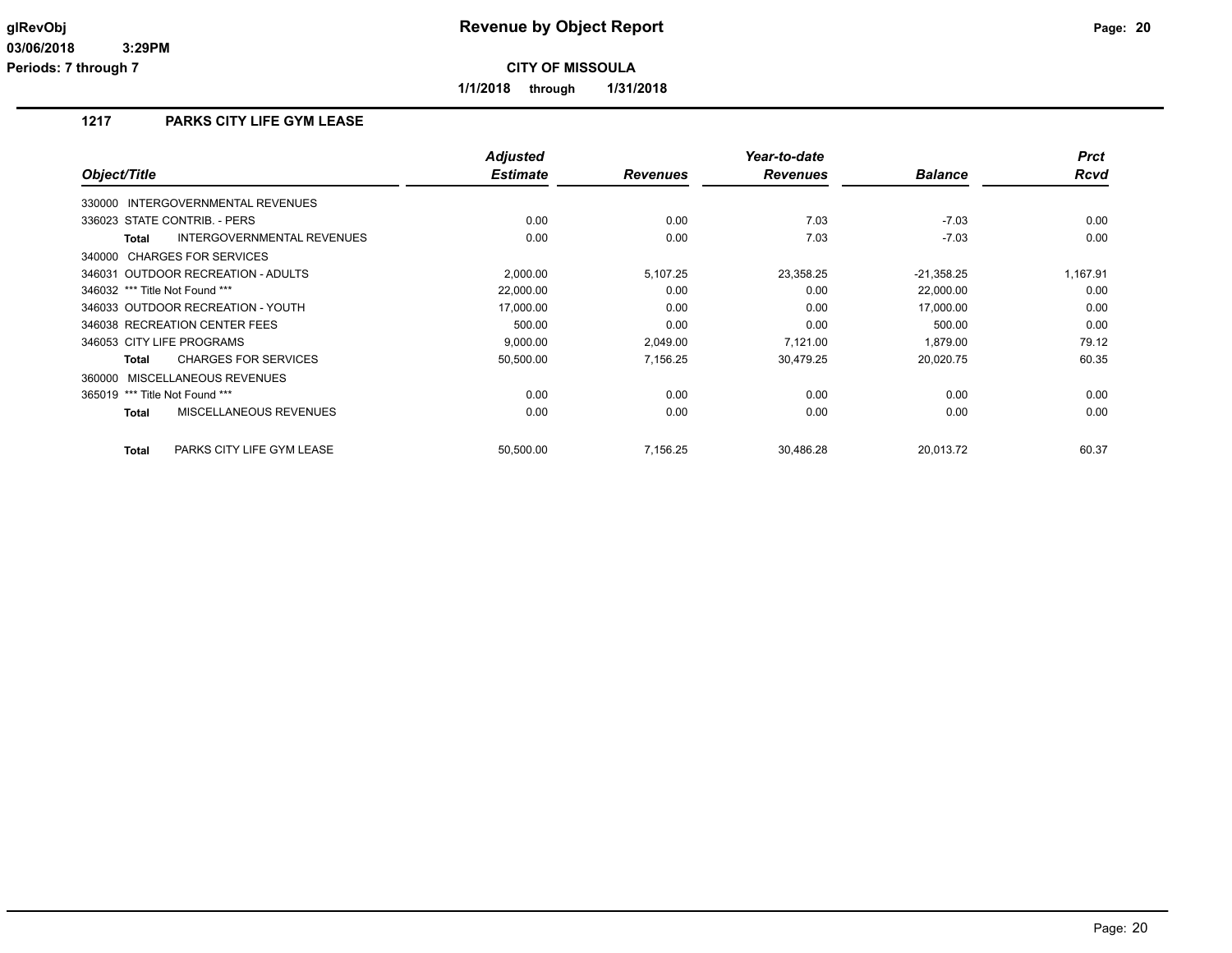**1/1/2018 through 1/31/2018**

## **1217 PARKS CITY LIFE GYM LEASE**

| Object/Title                                | <b>Adjusted</b><br><b>Estimate</b> | <b>Revenues</b> | Year-to-date<br><b>Revenues</b> | <b>Balance</b> | <b>Prct</b><br><b>Rcvd</b> |
|---------------------------------------------|------------------------------------|-----------------|---------------------------------|----------------|----------------------------|
| 330000 INTERGOVERNMENTAL REVENUES           |                                    |                 |                                 |                |                            |
| 336023 STATE CONTRIB. - PERS                | 0.00                               | 0.00            | 7.03                            | $-7.03$        | 0.00                       |
| INTERGOVERNMENTAL REVENUES<br>Total         | 0.00                               | 0.00            | 7.03                            | $-7.03$        | 0.00                       |
| 340000 CHARGES FOR SERVICES                 |                                    |                 |                                 |                |                            |
| 346031 OUTDOOR RECREATION - ADULTS          | 2,000.00                           | 5,107.25        | 23,358.25                       | $-21,358.25$   | 1,167.91                   |
| 346032 *** Title Not Found ***              | 22,000.00                          | 0.00            | 0.00                            | 22,000.00      | 0.00                       |
| 346033 OUTDOOR RECREATION - YOUTH           | 17.000.00                          | 0.00            | 0.00                            | 17,000.00      | 0.00                       |
| 346038 RECREATION CENTER FEES               | 500.00                             | 0.00            | 0.00                            | 500.00         | 0.00                       |
| 346053 CITY LIFE PROGRAMS                   | 9,000.00                           | 2,049.00        | 7,121.00                        | 1,879.00       | 79.12                      |
| <b>CHARGES FOR SERVICES</b><br><b>Total</b> | 50,500.00                          | 7,156.25        | 30,479.25                       | 20,020.75      | 60.35                      |
| <b>MISCELLANEOUS REVENUES</b><br>360000     |                                    |                 |                                 |                |                            |
| *** Title Not Found ***<br>365019           | 0.00                               | 0.00            | 0.00                            | 0.00           | 0.00                       |
| MISCELLANEOUS REVENUES<br><b>Total</b>      | 0.00                               | 0.00            | 0.00                            | 0.00           | 0.00                       |
| PARKS CITY LIFE GYM LEASE<br><b>Total</b>   | 50,500.00                          | 7,156.25        | 30,486.28                       | 20.013.72      | 60.37                      |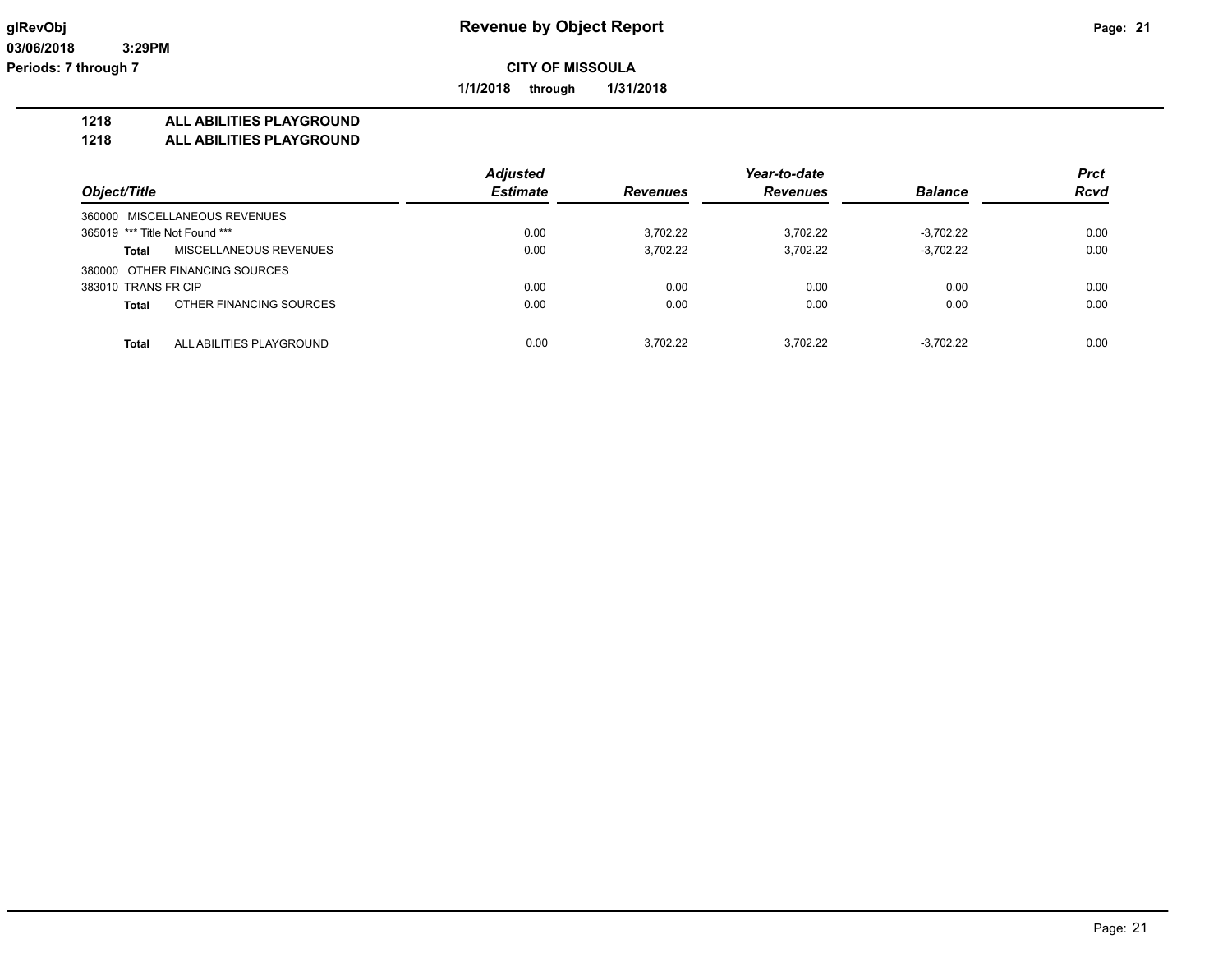**1/1/2018 through 1/31/2018**

#### **1218 ALL ABILITIES PLAYGROUND**

**1218 ALL ABILITIES PLAYGROUND**

|                                          | <b>Adjusted</b> |                 | Year-to-date |                | <b>Prct</b> |
|------------------------------------------|-----------------|-----------------|--------------|----------------|-------------|
| Object/Title                             | <b>Estimate</b> | <b>Revenues</b> | Revenues     | <b>Balance</b> | <b>Rcvd</b> |
| 360000 MISCELLANEOUS REVENUES            |                 |                 |              |                |             |
| 365019 *** Title Not Found ***           | 0.00            | 3,702.22        | 3,702.22     | $-3,702.22$    | 0.00        |
| MISCELLANEOUS REVENUES<br><b>Total</b>   | 0.00            | 3,702.22        | 3,702.22     | $-3,702.22$    | 0.00        |
| 380000 OTHER FINANCING SOURCES           |                 |                 |              |                |             |
| 383010 TRANS FR CIP                      | 0.00            | 0.00            | 0.00         | 0.00           | 0.00        |
| OTHER FINANCING SOURCES<br><b>Total</b>  | 0.00            | 0.00            | 0.00         | 0.00           | 0.00        |
| <b>Total</b><br>ALL ABILITIES PLAYGROUND | 0.00            | 3.702.22        | 3,702.22     | $-3.702.22$    | 0.00        |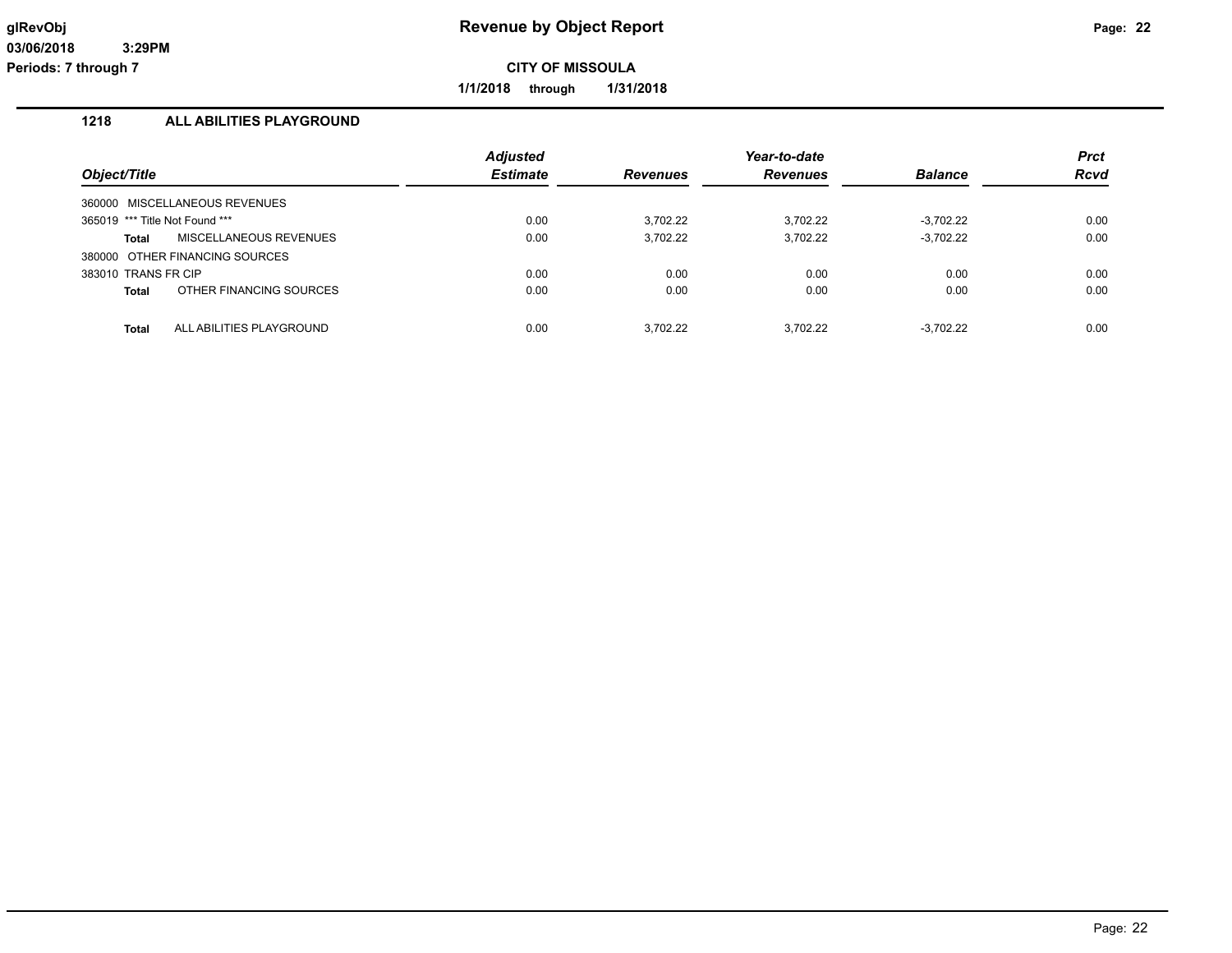**1/1/2018 through 1/31/2018**

## **1218 ALL ABILITIES PLAYGROUND**

|                                |                                | <b>Adjusted</b> |                 | Year-to-date    |                | <b>Prct</b> |
|--------------------------------|--------------------------------|-----------------|-----------------|-----------------|----------------|-------------|
| Object/Title                   |                                | <b>Estimate</b> | <b>Revenues</b> | <b>Revenues</b> | <b>Balance</b> | <b>Rcvd</b> |
| 360000                         | MISCELLANEOUS REVENUES         |                 |                 |                 |                |             |
| 365019 *** Title Not Found *** |                                | 0.00            | 3.702.22        | 3.702.22        | $-3.702.22$    | 0.00        |
| <b>Total</b>                   | <b>MISCELLANEOUS REVENUES</b>  | 0.00            | 3,702.22        | 3,702.22        | $-3,702.22$    | 0.00        |
|                                | 380000 OTHER FINANCING SOURCES |                 |                 |                 |                |             |
| 383010 TRANS FR CIP            |                                | 0.00            | 0.00            | 0.00            | 0.00           | 0.00        |
| <b>Total</b>                   | OTHER FINANCING SOURCES        | 0.00            | 0.00            | 0.00            | 0.00           | 0.00        |
| <b>Total</b>                   | ALL ABILITIES PLAYGROUND       | 0.00            | 3.702.22        | 3.702.22        | $-3.702.22$    | 0.00        |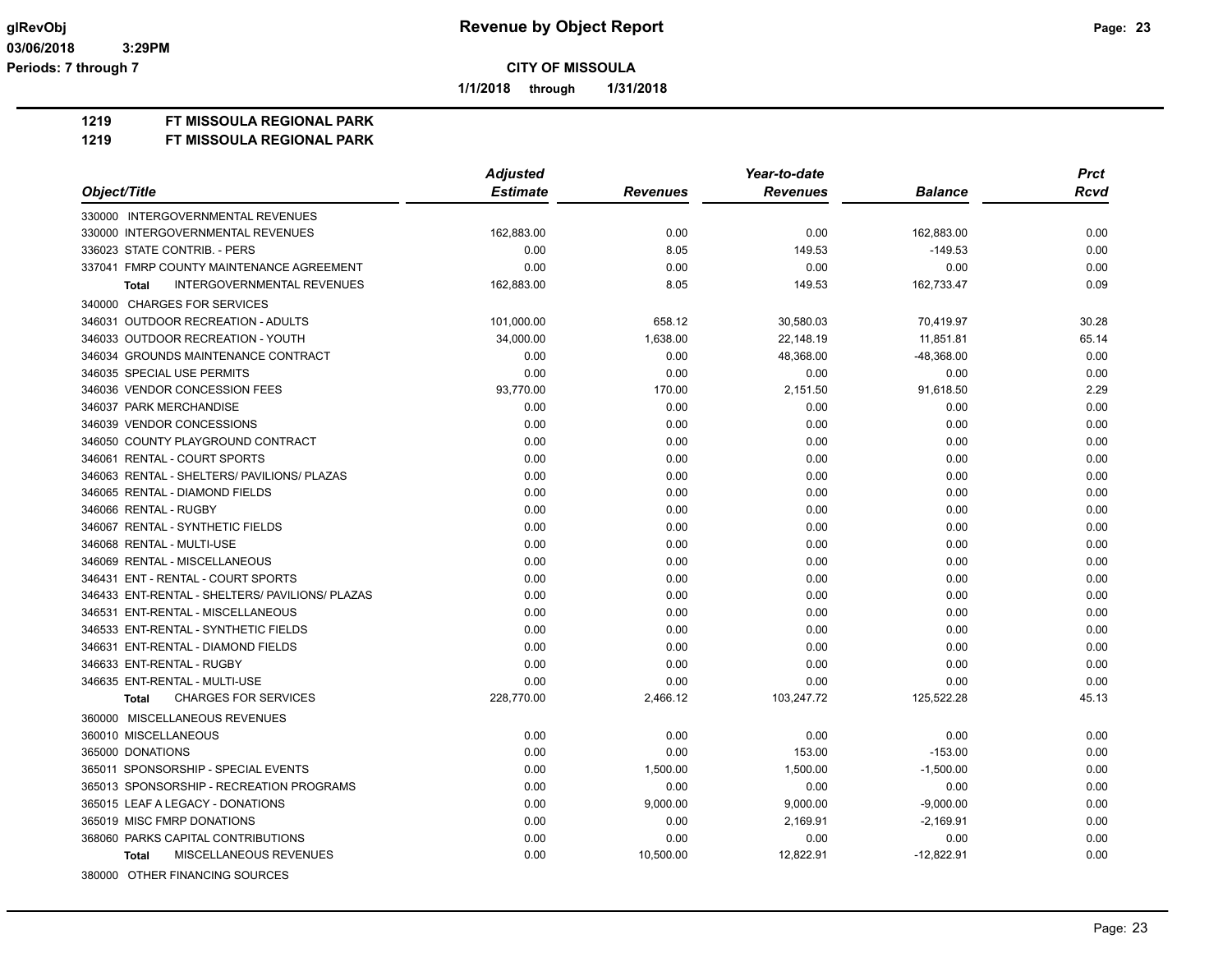**1/1/2018 through 1/31/2018**

**1219 FT MISSOULA REGIONAL PARK**

|                                                   | <b>Adjusted</b> |                 | Year-to-date    |                | <b>Prct</b> |
|---------------------------------------------------|-----------------|-----------------|-----------------|----------------|-------------|
| Object/Title                                      | <b>Estimate</b> | <b>Revenues</b> | <b>Revenues</b> | <b>Balance</b> | <b>Rcvd</b> |
| 330000 INTERGOVERNMENTAL REVENUES                 |                 |                 |                 |                |             |
| 330000 INTERGOVERNMENTAL REVENUES                 | 162,883.00      | 0.00            | 0.00            | 162,883.00     | 0.00        |
| 336023 STATE CONTRIB. - PERS                      | 0.00            | 8.05            | 149.53          | $-149.53$      | 0.00        |
| 337041 FMRP COUNTY MAINTENANCE AGREEMENT          | 0.00            | 0.00            | 0.00            | 0.00           | 0.00        |
| <b>INTERGOVERNMENTAL REVENUES</b><br><b>Total</b> | 162,883.00      | 8.05            | 149.53          | 162,733.47     | 0.09        |
| 340000 CHARGES FOR SERVICES                       |                 |                 |                 |                |             |
| 346031 OUTDOOR RECREATION - ADULTS                | 101,000.00      | 658.12          | 30,580.03       | 70,419.97      | 30.28       |
| 346033 OUTDOOR RECREATION - YOUTH                 | 34,000.00       | 1,638.00        | 22.148.19       | 11.851.81      | 65.14       |
| 346034 GROUNDS MAINTENANCE CONTRACT               | 0.00            | 0.00            | 48,368.00       | -48,368.00     | 0.00        |
| 346035 SPECIAL USE PERMITS                        | 0.00            | 0.00            | 0.00            | 0.00           | 0.00        |
| 346036 VENDOR CONCESSION FEES                     | 93.770.00       | 170.00          | 2,151.50        | 91,618.50      | 2.29        |
| 346037 PARK MERCHANDISE                           | 0.00            | 0.00            | 0.00            | 0.00           | 0.00        |
| 346039 VENDOR CONCESSIONS                         | 0.00            | 0.00            | 0.00            | 0.00           | 0.00        |
| 346050 COUNTY PLAYGROUND CONTRACT                 | 0.00            | 0.00            | 0.00            | 0.00           | 0.00        |
| 346061 RENTAL - COURT SPORTS                      | 0.00            | 0.00            | 0.00            | 0.00           | 0.00        |
| 346063 RENTAL - SHELTERS/ PAVILIONS/ PLAZAS       | 0.00            | 0.00            | 0.00            | 0.00           | 0.00        |
| 346065 RENTAL - DIAMOND FIELDS                    | 0.00            | 0.00            | 0.00            | 0.00           | 0.00        |
| 346066 RENTAL - RUGBY                             | 0.00            | 0.00            | 0.00            | 0.00           | 0.00        |
| 346067 RENTAL - SYNTHETIC FIELDS                  | 0.00            | 0.00            | 0.00            | 0.00           | 0.00        |
| 346068 RENTAL - MULTI-USE                         | 0.00            | 0.00            | 0.00            | 0.00           | 0.00        |
| 346069 RENTAL - MISCELLANEOUS                     | 0.00            | 0.00            | 0.00            | 0.00           | 0.00        |
| 346431 ENT - RENTAL - COURT SPORTS                | 0.00            | 0.00            | 0.00            | 0.00           | 0.00        |
| 346433 ENT-RENTAL - SHELTERS/ PAVILIONS/ PLAZAS   | 0.00            | 0.00            | 0.00            | 0.00           | 0.00        |
| 346531 ENT-RENTAL - MISCELLANEOUS                 | 0.00            | 0.00            | 0.00            | 0.00           | 0.00        |
| 346533 ENT-RENTAL - SYNTHETIC FIELDS              | 0.00            | 0.00            | 0.00            | 0.00           | 0.00        |
| 346631 ENT-RENTAL - DIAMOND FIELDS                | 0.00            | 0.00            | 0.00            | 0.00           | 0.00        |
| 346633 ENT-RENTAL - RUGBY                         | 0.00            | 0.00            | 0.00            | 0.00           | 0.00        |
| 346635 ENT-RENTAL - MULTI-USE                     | 0.00            | 0.00            | 0.00            | 0.00           | 0.00        |
| <b>CHARGES FOR SERVICES</b><br><b>Total</b>       | 228,770.00      | 2,466.12        | 103,247.72      | 125,522.28     | 45.13       |
| 360000 MISCELLANEOUS REVENUES                     |                 |                 |                 |                |             |
| 360010 MISCELLANEOUS                              | 0.00            | 0.00            | 0.00            | 0.00           | 0.00        |
| 365000 DONATIONS                                  | 0.00            | 0.00            | 153.00          | $-153.00$      | 0.00        |
| 365011 SPONSORSHIP - SPECIAL EVENTS               | 0.00            | 1,500.00        | 1,500.00        | $-1,500.00$    | 0.00        |
| 365013 SPONSORSHIP - RECREATION PROGRAMS          | 0.00            | 0.00            | 0.00            | 0.00           | 0.00        |
| 365015 LEAF A LEGACY - DONATIONS                  | 0.00            | 9,000.00        | 9,000.00        | $-9,000.00$    | 0.00        |
| 365019 MISC FMRP DONATIONS                        | 0.00            | 0.00            | 2,169.91        | $-2,169.91$    | 0.00        |
| 368060 PARKS CAPITAL CONTRIBUTIONS                | 0.00            | 0.00            | 0.00            | 0.00           | 0.00        |
| MISCELLANEOUS REVENUES<br><b>Total</b>            | 0.00            | 10,500.00       | 12,822.91       | $-12,822.91$   | 0.00        |
| 380000 OTHER FINANCING SOURCES                    |                 |                 |                 |                |             |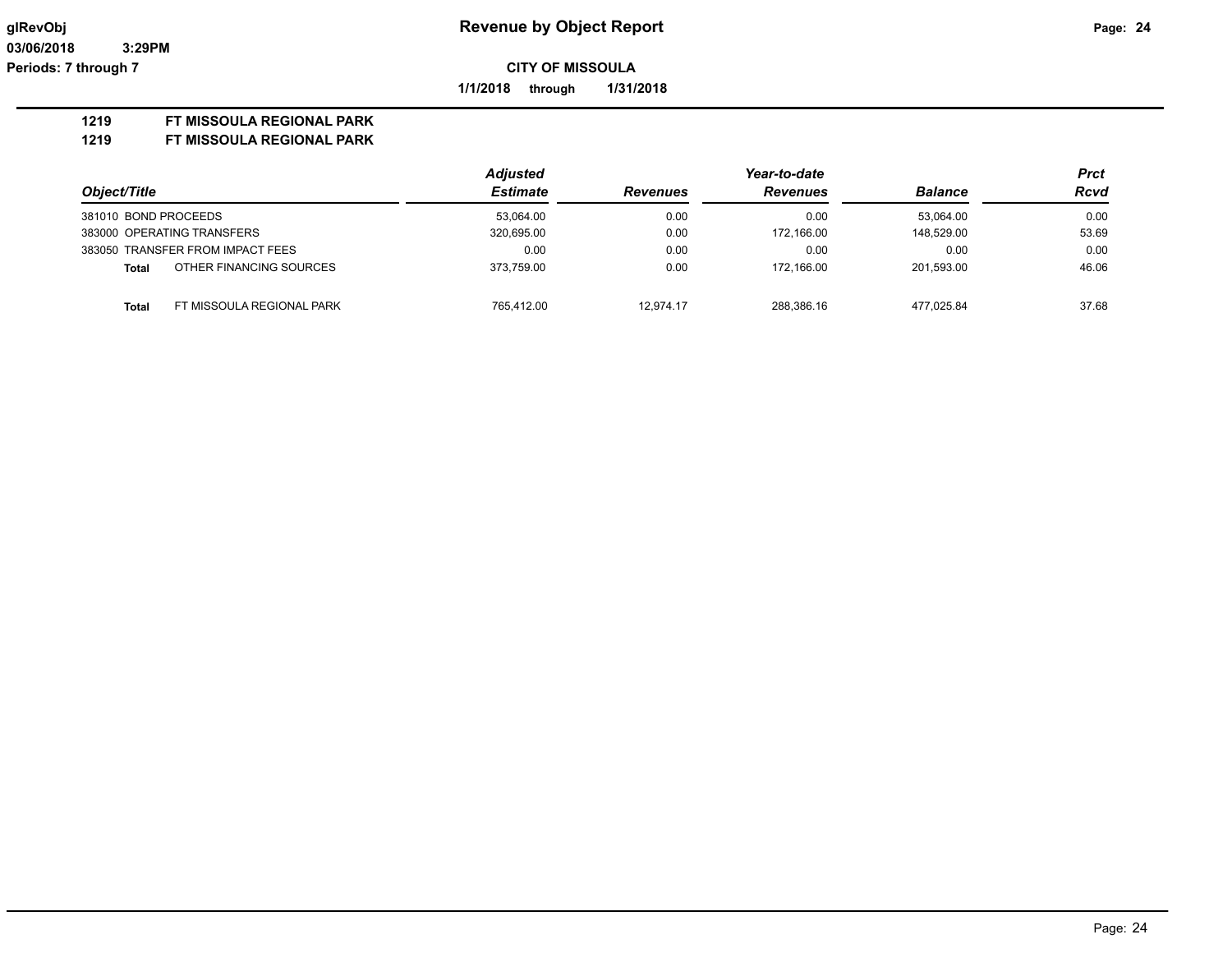**1/1/2018 through 1/31/2018**

#### **1219 FT MISSOULA REGIONAL PARK**

|                      |                                  | <b>Adjusted</b> |                 | Year-to-date |                | Prct        |
|----------------------|----------------------------------|-----------------|-----------------|--------------|----------------|-------------|
| Object/Title         |                                  | <b>Estimate</b> | <b>Revenues</b> | Revenues     | <b>Balance</b> | <b>Rcvd</b> |
| 381010 BOND PROCEEDS |                                  | 53.064.00       | 0.00            | 0.00         | 53.064.00      | 0.00        |
|                      | 383000 OPERATING TRANSFERS       | 320,695.00      | 0.00            | 172.166.00   | 148.529.00     | 53.69       |
|                      | 383050 TRANSFER FROM IMPACT FEES | 0.00            | 0.00            | 0.00         | 0.00           | 0.00        |
| Total                | OTHER FINANCING SOURCES          | 373.759.00      | 0.00            | 172.166.00   | 201.593.00     | 46.06       |
| <b>Total</b>         | FT MISSOULA REGIONAL PARK        | 765.412.00      | 12.974.17       | 288.386.16   | 477.025.84     | 37.68       |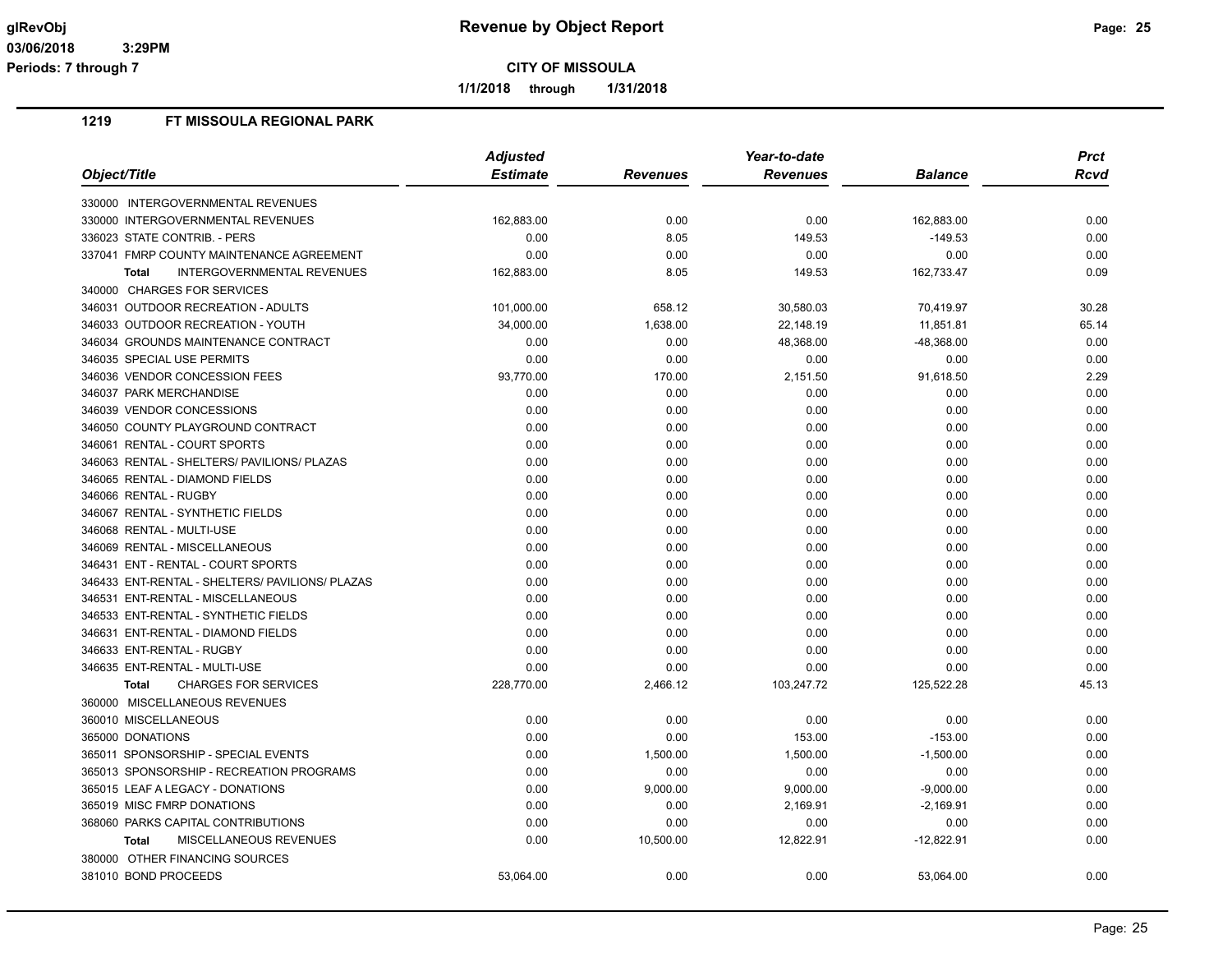**1/1/2018 through 1/31/2018**

|                                                   | <b>Adjusted</b> |                 | Year-to-date    |                | <b>Prct</b> |
|---------------------------------------------------|-----------------|-----------------|-----------------|----------------|-------------|
| Object/Title                                      | <b>Estimate</b> | <b>Revenues</b> | <b>Revenues</b> | <b>Balance</b> | Rcvd        |
| 330000 INTERGOVERNMENTAL REVENUES                 |                 |                 |                 |                |             |
| 330000 INTERGOVERNMENTAL REVENUES                 | 162,883.00      | 0.00            | 0.00            | 162,883.00     | 0.00        |
| 336023 STATE CONTRIB. - PERS                      | 0.00            | 8.05            | 149.53          | $-149.53$      | 0.00        |
| 337041 FMRP COUNTY MAINTENANCE AGREEMENT          | 0.00            | 0.00            | 0.00            | 0.00           | 0.00        |
| <b>INTERGOVERNMENTAL REVENUES</b><br><b>Total</b> | 162,883.00      | 8.05            | 149.53          | 162,733.47     | 0.09        |
| 340000 CHARGES FOR SERVICES                       |                 |                 |                 |                |             |
| 346031 OUTDOOR RECREATION - ADULTS                | 101,000.00      | 658.12          | 30,580.03       | 70,419.97      | 30.28       |
| 346033 OUTDOOR RECREATION - YOUTH                 | 34,000.00       | 1,638.00        | 22,148.19       | 11,851.81      | 65.14       |
| 346034 GROUNDS MAINTENANCE CONTRACT               | 0.00            | 0.00            | 48,368.00       | $-48,368.00$   | 0.00        |
| 346035 SPECIAL USE PERMITS                        | 0.00            | 0.00            | 0.00            | 0.00           | 0.00        |
| 346036 VENDOR CONCESSION FEES                     | 93,770.00       | 170.00          | 2,151.50        | 91,618.50      | 2.29        |
| 346037 PARK MERCHANDISE                           | 0.00            | 0.00            | 0.00            | 0.00           | 0.00        |
| 346039 VENDOR CONCESSIONS                         | 0.00            | 0.00            | 0.00            | 0.00           | 0.00        |
| 346050 COUNTY PLAYGROUND CONTRACT                 | 0.00            | 0.00            | 0.00            | 0.00           | 0.00        |
| 346061 RENTAL - COURT SPORTS                      | 0.00            | 0.00            | 0.00            | 0.00           | 0.00        |
| 346063 RENTAL - SHELTERS/ PAVILIONS/ PLAZAS       | 0.00            | 0.00            | 0.00            | 0.00           | 0.00        |
| 346065 RENTAL - DIAMOND FIELDS                    | 0.00            | 0.00            | 0.00            | 0.00           | 0.00        |
| 346066 RENTAL - RUGBY                             | 0.00            | 0.00            | 0.00            | 0.00           | 0.00        |
| 346067 RENTAL - SYNTHETIC FIELDS                  | 0.00            | 0.00            | 0.00            | 0.00           | 0.00        |
| 346068 RENTAL - MULTI-USE                         | 0.00            | 0.00            | 0.00            | 0.00           | 0.00        |
| 346069 RENTAL - MISCELLANEOUS                     | 0.00            | 0.00            | 0.00            | 0.00           | 0.00        |
| 346431 ENT - RENTAL - COURT SPORTS                | 0.00            | 0.00            | 0.00            | 0.00           | 0.00        |
| 346433 ENT-RENTAL - SHELTERS/ PAVILIONS/ PLAZAS   | 0.00            | 0.00            | 0.00            | 0.00           | 0.00        |
| 346531 ENT-RENTAL - MISCELLANEOUS                 | 0.00            | 0.00            | 0.00            | 0.00           | 0.00        |
| 346533 ENT-RENTAL - SYNTHETIC FIELDS              | 0.00            | 0.00            | 0.00            | 0.00           | 0.00        |
| 346631 ENT-RENTAL - DIAMOND FIELDS                | 0.00            | 0.00            | 0.00            | 0.00           | 0.00        |
| 346633 ENT-RENTAL - RUGBY                         | 0.00            | 0.00            | 0.00            | 0.00           | 0.00        |
| 346635 ENT-RENTAL - MULTI-USE                     | 0.00            | 0.00            | 0.00            | 0.00           | 0.00        |
| <b>CHARGES FOR SERVICES</b><br><b>Total</b>       | 228,770.00      | 2,466.12        | 103,247.72      | 125,522.28     | 45.13       |
| 360000 MISCELLANEOUS REVENUES                     |                 |                 |                 |                |             |
| 360010 MISCELLANEOUS                              | 0.00            | 0.00            | 0.00            | 0.00           | 0.00        |
| 365000 DONATIONS                                  | 0.00            | 0.00            | 153.00          | $-153.00$      | 0.00        |
| 365011 SPONSORSHIP - SPECIAL EVENTS               | 0.00            | 1,500.00        | 1,500.00        | $-1,500.00$    | 0.00        |
| 365013 SPONSORSHIP - RECREATION PROGRAMS          | 0.00            | 0.00            | 0.00            | 0.00           | 0.00        |
| 365015 LEAF A LEGACY - DONATIONS                  | 0.00            | 9,000.00        | 9,000.00        | $-9,000.00$    | 0.00        |
| 365019 MISC FMRP DONATIONS                        | 0.00            | 0.00            | 2,169.91        | $-2,169.91$    | 0.00        |
| 368060 PARKS CAPITAL CONTRIBUTIONS                | 0.00            | 0.00            | 0.00            | 0.00           | 0.00        |
| MISCELLANEOUS REVENUES<br><b>Total</b>            | 0.00            | 10,500.00       | 12,822.91       | $-12,822.91$   | 0.00        |
| 380000 OTHER FINANCING SOURCES                    |                 |                 |                 |                |             |
| 381010 BOND PROCEEDS                              | 53,064.00       | 0.00            | 0.00            | 53,064.00      | 0.00        |
|                                                   |                 |                 |                 |                |             |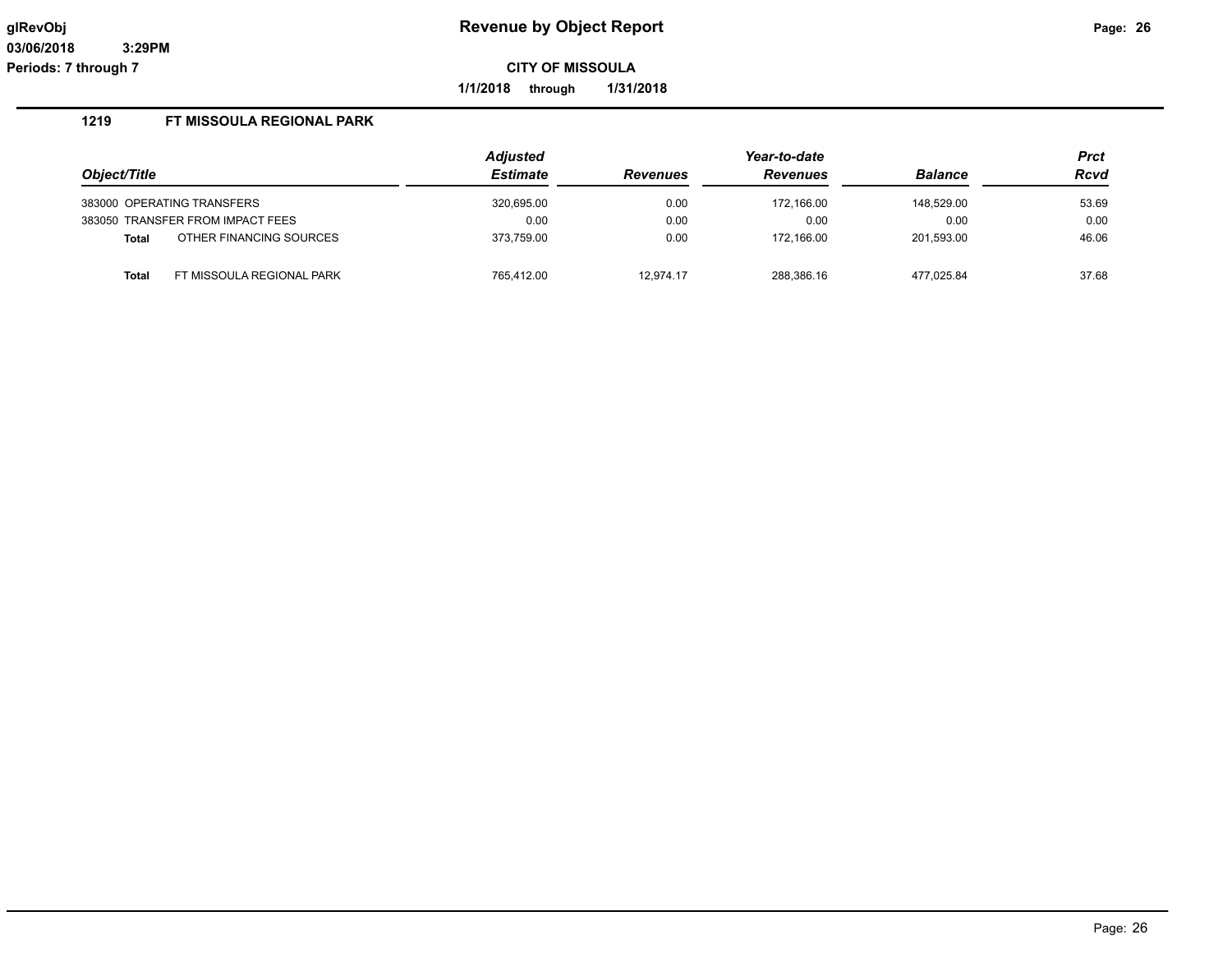**1/1/2018 through 1/31/2018**

|                                         | <b>Adjusted</b> |                 | Year-to-date    |                | <b>Prct</b> |
|-----------------------------------------|-----------------|-----------------|-----------------|----------------|-------------|
| Object/Title                            | <b>Estimate</b> | <b>Revenues</b> | <b>Revenues</b> | <b>Balance</b> | <b>Rcvd</b> |
| 383000 OPERATING TRANSFERS              | 320,695.00      | 0.00            | 172.166.00      | 148.529.00     | 53.69       |
| 383050 TRANSFER FROM IMPACT FEES        | 0.00            | 0.00            | 0.00            | 0.00           | 0.00        |
| OTHER FINANCING SOURCES<br><b>Total</b> | 373.759.00      | 0.00            | 172.166.00      | 201.593.00     | 46.06       |
| FT MISSOULA REGIONAL PARK<br>Total      | 765.412.00      | 12.974.17       | 288,386.16      | 477.025.84     | 37.68       |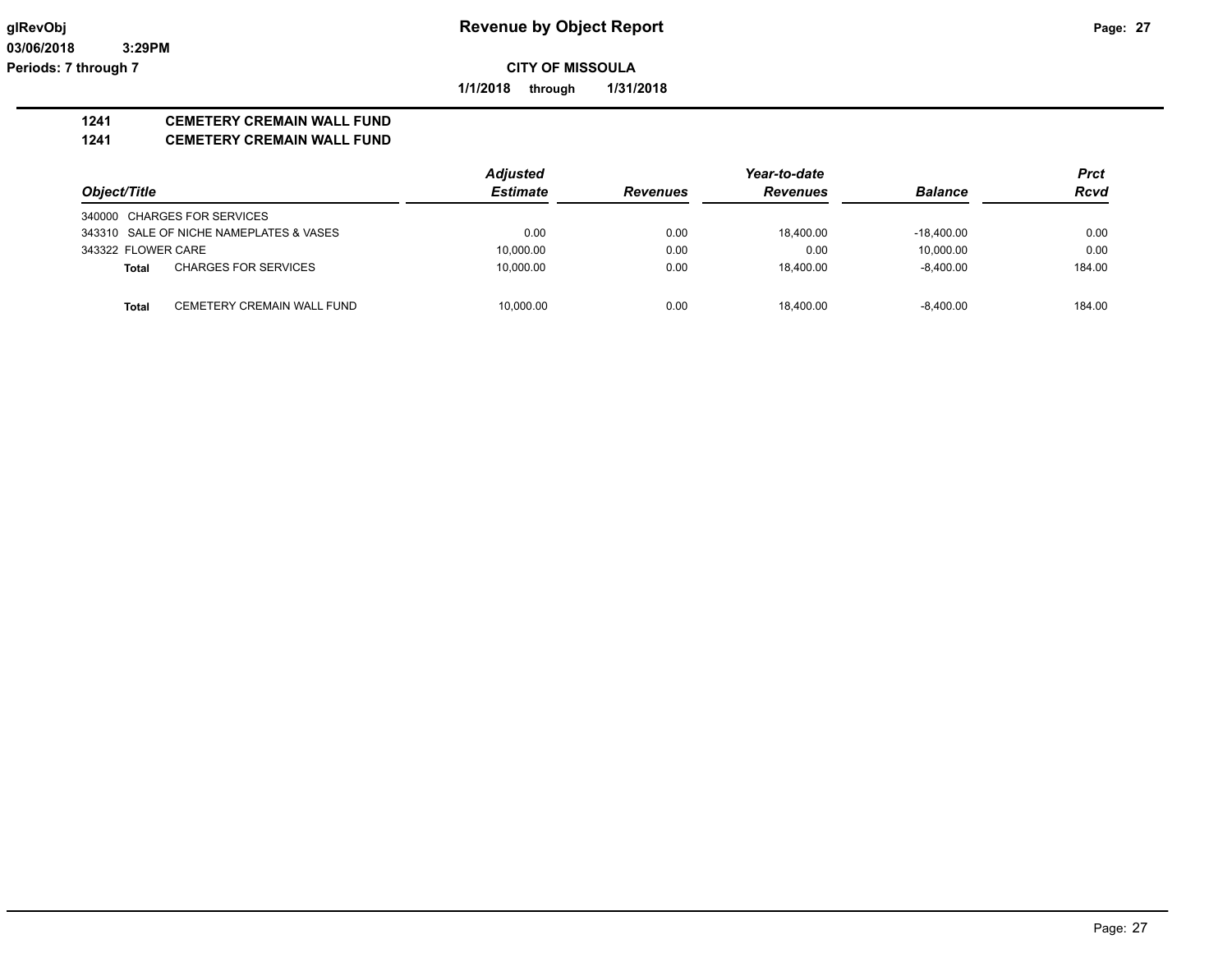**03/06/2018 3:29PM Periods: 7 through 7**

**CITY OF MISSOULA**

**1/1/2018 through 1/31/2018**

## **1241 CEMETERY CREMAIN WALL FUND**

#### **1241 CEMETERY CREMAIN WALL FUND**

|                                            | <b>Adjusted</b> |                 | Year-to-date    |                | <b>Prct</b> |
|--------------------------------------------|-----------------|-----------------|-----------------|----------------|-------------|
| Object/Title                               | <b>Estimate</b> | <b>Revenues</b> | <b>Revenues</b> | <b>Balance</b> | <b>Rcvd</b> |
| 340000 CHARGES FOR SERVICES                |                 |                 |                 |                |             |
| 343310 SALE OF NICHE NAMEPLATES & VASES    | 0.00            | 0.00            | 18.400.00       | $-18.400.00$   | 0.00        |
| 343322 FLOWER CARE                         | 10,000.00       | 0.00            | 0.00            | 10.000.00      | 0.00        |
| <b>CHARGES FOR SERVICES</b><br>Total       | 10,000.00       | 0.00            | 18.400.00       | $-8.400.00$    | 184.00      |
| CEMETERY CREMAIN WALL FUND<br><b>Total</b> | 10.000.00       | 0.00            | 18.400.00       | $-8.400.00$    | 184.00      |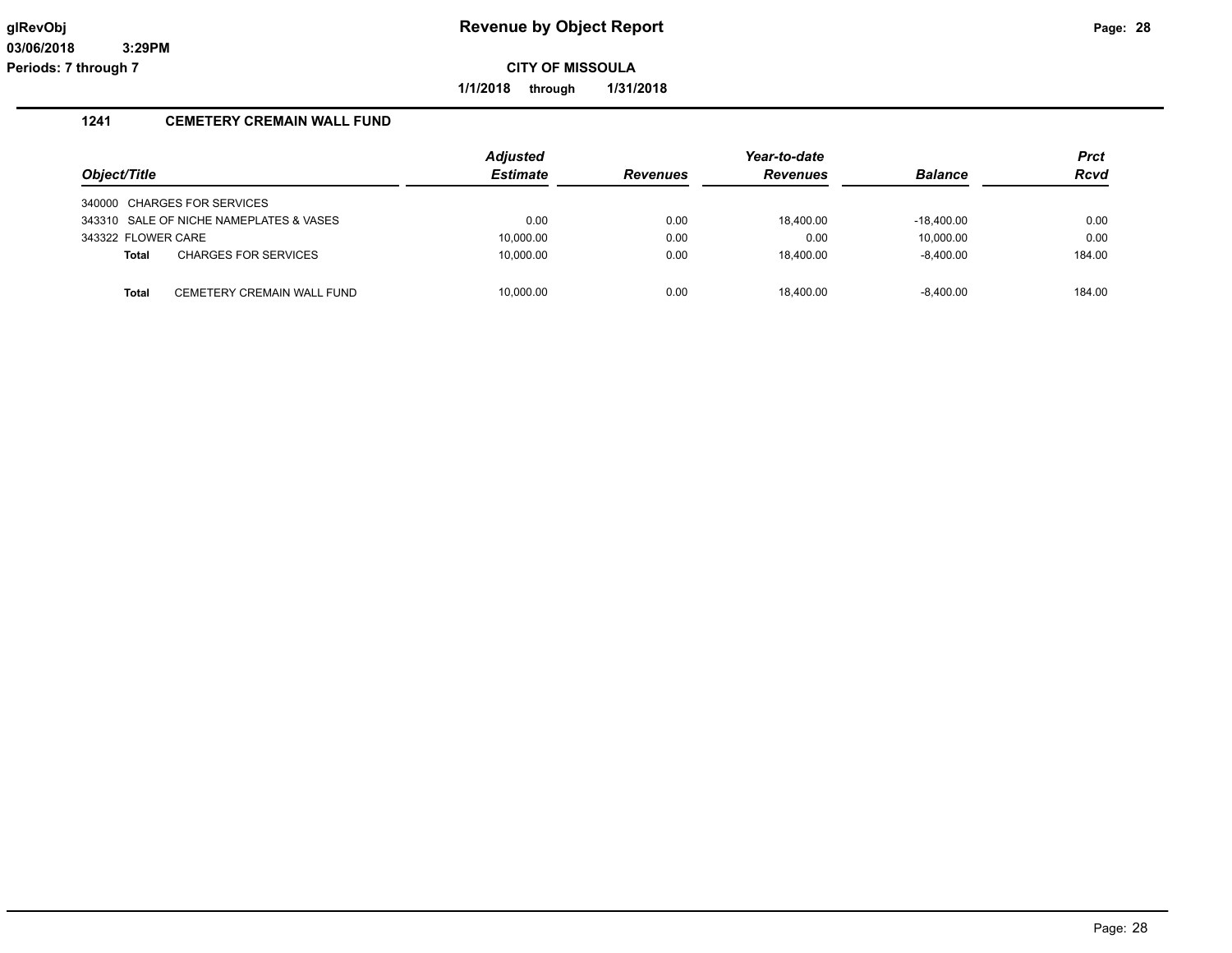**1/1/2018 through 1/31/2018**

## **1241 CEMETERY CREMAIN WALL FUND**

| Object/Title       |                                         | <b>Adjusted</b><br><b>Estimate</b> | <b>Revenues</b> | Year-to-date<br><b>Revenues</b> | <b>Balance</b> | <b>Prct</b><br><b>Rcvd</b> |
|--------------------|-----------------------------------------|------------------------------------|-----------------|---------------------------------|----------------|----------------------------|
|                    | 340000 CHARGES FOR SERVICES             |                                    |                 |                                 |                |                            |
|                    | 343310 SALE OF NICHE NAMEPLATES & VASES | 0.00                               | 0.00            | 18.400.00                       | $-18.400.00$   | 0.00                       |
| 343322 FLOWER CARE |                                         | 10,000.00                          | 0.00            | 0.00                            | 10.000.00      | 0.00                       |
| Total              | <b>CHARGES FOR SERVICES</b>             | 10,000.00                          | 0.00            | 18.400.00                       | $-8.400.00$    | 184.00                     |
|                    |                                         |                                    |                 |                                 |                |                            |
| <b>Total</b>       | CEMETERY CREMAIN WALL FUND              | 10.000.00                          | 0.00            | 18.400.00                       | $-8.400.00$    | 184.00                     |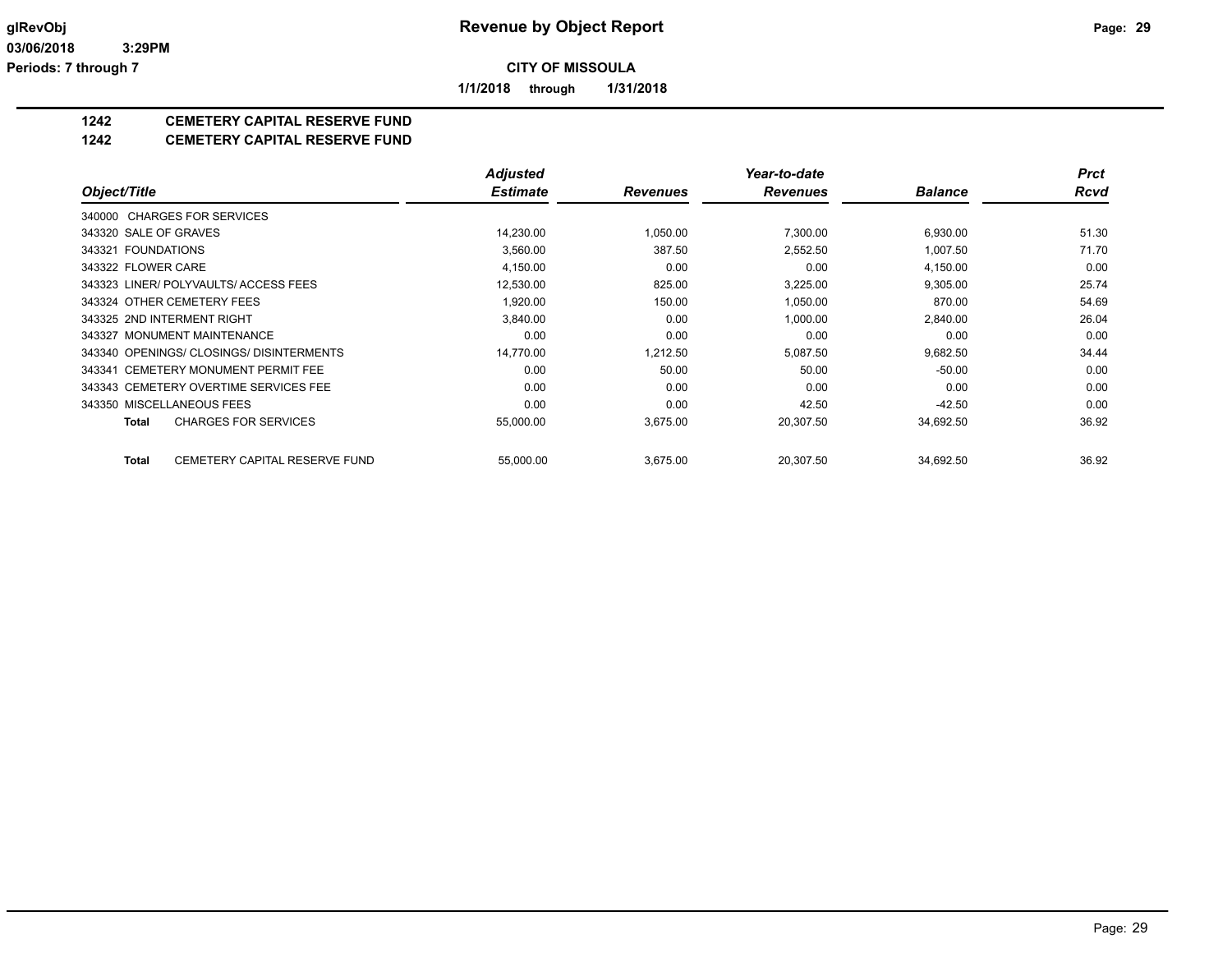**1/1/2018 through 1/31/2018**

## **1242 CEMETERY CAPITAL RESERVE FUND**

#### **1242 CEMETERY CAPITAL RESERVE FUND**

|                            |                                          | <b>Adjusted</b> |                 | Year-to-date    |                | Prct  |
|----------------------------|------------------------------------------|-----------------|-----------------|-----------------|----------------|-------|
| Object/Title               |                                          | <b>Estimate</b> | <b>Revenues</b> | <b>Revenues</b> | <b>Balance</b> | Rcvd  |
|                            | 340000 CHARGES FOR SERVICES              |                 |                 |                 |                |       |
| 343320 SALE OF GRAVES      |                                          | 14,230.00       | 1,050.00        | 7,300.00        | 6,930.00       | 51.30 |
| 343321 FOUNDATIONS         |                                          | 3,560.00        | 387.50          | 2,552.50        | 1,007.50       | 71.70 |
| 343322 FLOWER CARE         |                                          | 4,150.00        | 0.00            | 0.00            | 4,150.00       | 0.00  |
|                            | 343323 LINER/ POLYVAULTS/ ACCESS FEES    | 12,530.00       | 825.00          | 3,225.00        | 9,305.00       | 25.74 |
|                            | 343324 OTHER CEMETERY FEES               | 1,920.00        | 150.00          | 1,050.00        | 870.00         | 54.69 |
| 343325 2ND INTERMENT RIGHT |                                          | 3,840.00        | 0.00            | 1,000.00        | 2,840.00       | 26.04 |
|                            | 343327 MONUMENT MAINTENANCE              | 0.00            | 0.00            | 0.00            | 0.00           | 0.00  |
|                            | 343340 OPENINGS/ CLOSINGS/ DISINTERMENTS | 14.770.00       | 1.212.50        | 5.087.50        | 9,682.50       | 34.44 |
|                            | 343341 CEMETERY MONUMENT PERMIT FEE      | 0.00            | 50.00           | 50.00           | $-50.00$       | 0.00  |
|                            | 343343 CEMETERY OVERTIME SERVICES FEE    | 0.00            | 0.00            | 0.00            | 0.00           | 0.00  |
| 343350 MISCELLANEOUS FEES  |                                          | 0.00            | 0.00            | 42.50           | $-42.50$       | 0.00  |
| Total                      | <b>CHARGES FOR SERVICES</b>              | 55,000.00       | 3,675.00        | 20,307.50       | 34,692.50      | 36.92 |
| <b>Total</b>               | CEMETERY CAPITAL RESERVE FUND            | 55,000.00       | 3,675.00        | 20,307.50       | 34,692.50      | 36.92 |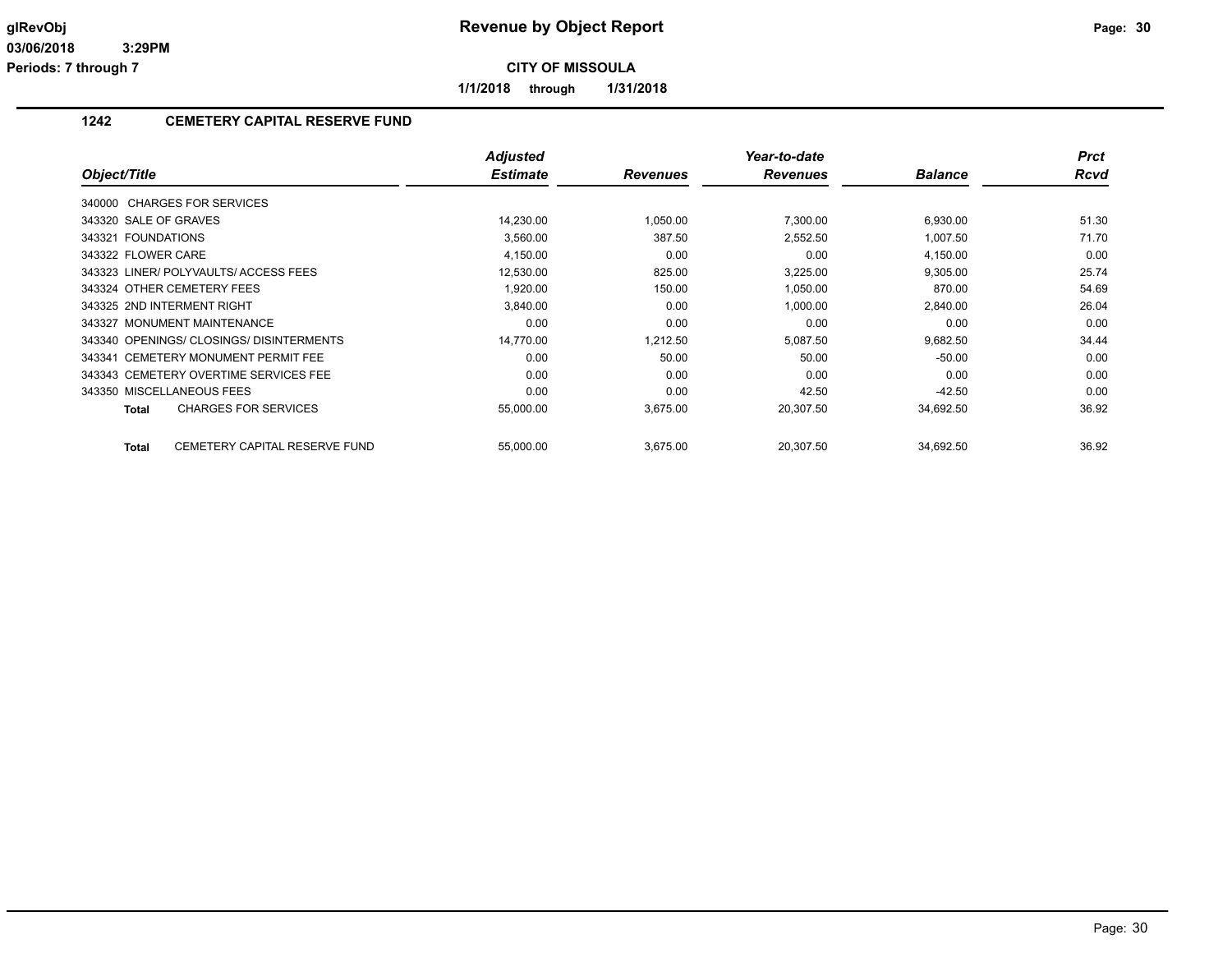**1/1/2018 through 1/31/2018**

## **1242 CEMETERY CAPITAL RESERVE FUND**

|                                               | <b>Adjusted</b> |                 | Year-to-date    |                | <b>Prct</b> |
|-----------------------------------------------|-----------------|-----------------|-----------------|----------------|-------------|
| Object/Title                                  | <b>Estimate</b> | <b>Revenues</b> | <b>Revenues</b> | <b>Balance</b> | <b>Rcvd</b> |
| 340000 CHARGES FOR SERVICES                   |                 |                 |                 |                |             |
| 343320 SALE OF GRAVES                         | 14,230.00       | 1,050.00        | 7,300.00        | 6,930.00       | 51.30       |
| 343321 FOUNDATIONS                            | 3,560.00        | 387.50          | 2,552.50        | 1,007.50       | 71.70       |
| 343322 FLOWER CARE                            | 4,150.00        | 0.00            | 0.00            | 4,150.00       | 0.00        |
| 343323 LINER/POLYVAULTS/ACCESS FEES           | 12,530.00       | 825.00          | 3,225.00        | 9,305.00       | 25.74       |
| 343324 OTHER CEMETERY FEES                    | 1,920.00        | 150.00          | 1,050.00        | 870.00         | 54.69       |
| 343325 2ND INTERMENT RIGHT                    | 3,840.00        | 0.00            | 1,000.00        | 2,840.00       | 26.04       |
| 343327 MONUMENT MAINTENANCE                   | 0.00            | 0.00            | 0.00            | 0.00           | 0.00        |
| 343340 OPENINGS/ CLOSINGS/ DISINTERMENTS      | 14,770.00       | 1,212.50        | 5,087.50        | 9,682.50       | 34.44       |
| 343341 CEMETERY MONUMENT PERMIT FEE           | 0.00            | 50.00           | 50.00           | $-50.00$       | 0.00        |
| 343343 CEMETERY OVERTIME SERVICES FEE         | 0.00            | 0.00            | 0.00            | 0.00           | 0.00        |
| 343350 MISCELLANEOUS FEES                     | 0.00            | 0.00            | 42.50           | $-42.50$       | 0.00        |
| <b>CHARGES FOR SERVICES</b><br>Total          | 55,000.00       | 3,675.00        | 20,307.50       | 34,692.50      | 36.92       |
| CEMETERY CAPITAL RESERVE FUND<br><b>Total</b> | 55,000.00       | 3,675.00        | 20,307.50       | 34,692.50      | 36.92       |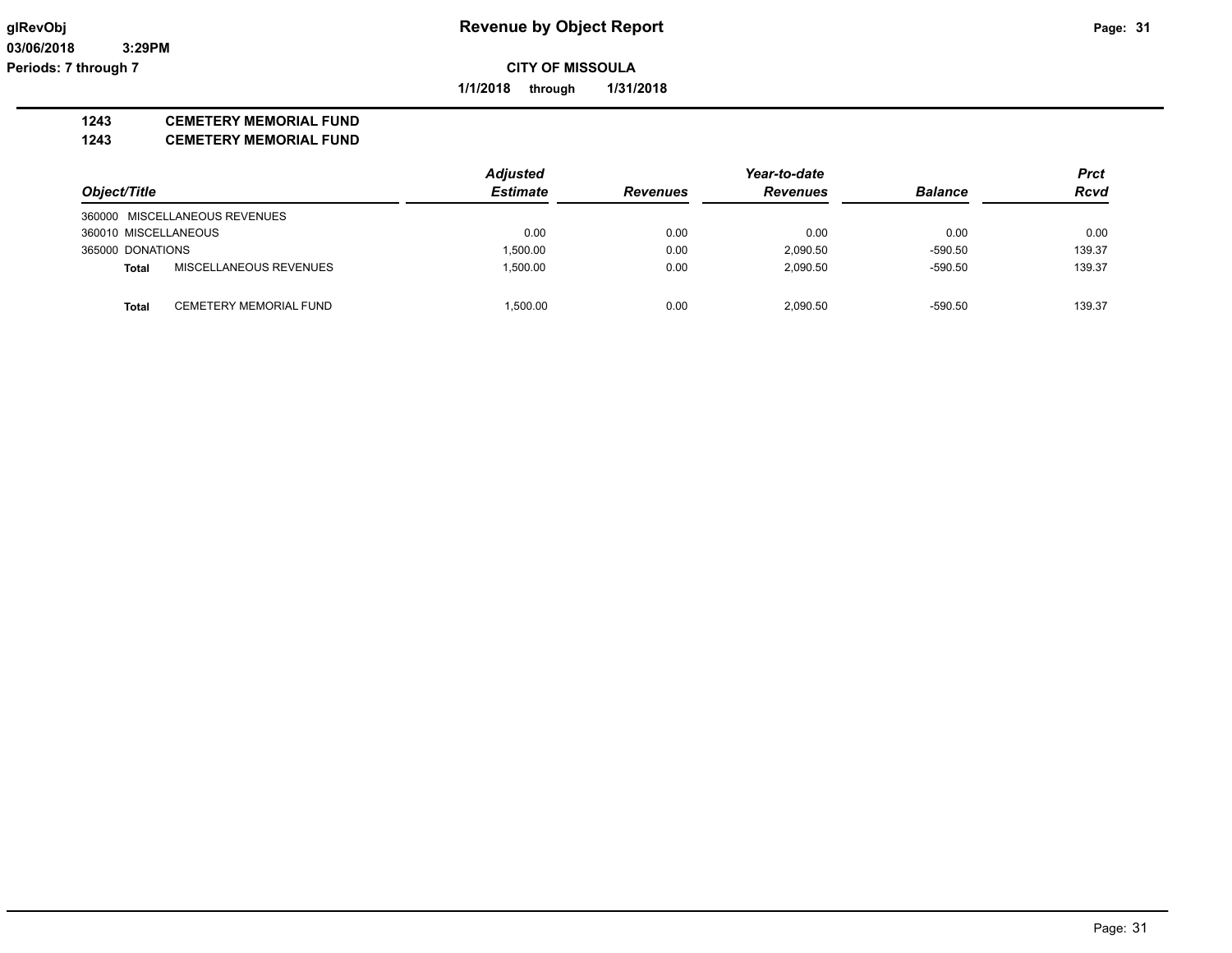**1/1/2018 through 1/31/2018**

#### **1243 CEMETERY MEMORIAL FUND**

**1243 CEMETERY MEMORIAL FUND**

|                      |                               | <b>Adjusted</b> |                 | Year-to-date    |                | <b>Prct</b> |
|----------------------|-------------------------------|-----------------|-----------------|-----------------|----------------|-------------|
| Object/Title         |                               | <b>Estimate</b> | <b>Revenues</b> | <b>Revenues</b> | <b>Balance</b> | <b>Rcvd</b> |
|                      | 360000 MISCELLANEOUS REVENUES |                 |                 |                 |                |             |
| 360010 MISCELLANEOUS |                               | 0.00            | 0.00            | 0.00            | 0.00           | 0.00        |
| 365000 DONATIONS     |                               | 1.500.00        | 0.00            | 2,090.50        | $-590.50$      | 139.37      |
| <b>Total</b>         | <b>MISCELLANEOUS REVENUES</b> | 1.500.00        | 0.00            | 2.090.50        | $-590.50$      | 139.37      |
|                      |                               |                 |                 |                 |                |             |
| <b>Total</b>         | CEMETERY MEMORIAL FUND        | 1.500.00        | 0.00            | 2.090.50        | $-590.50$      | 139.37      |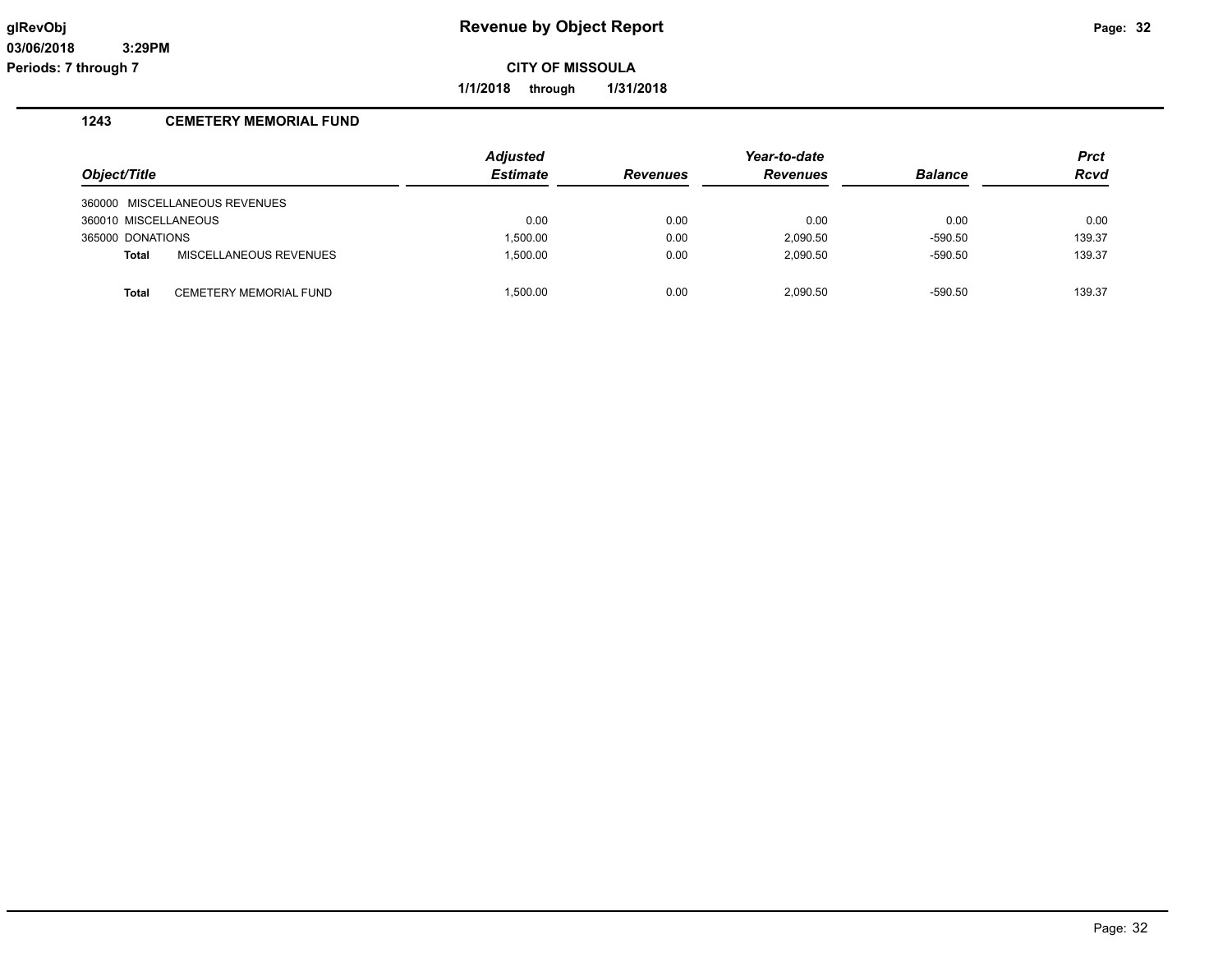**1/1/2018 through 1/31/2018**

## **1243 CEMETERY MEMORIAL FUND**

|                      |                               | Adjusted        |                 | Year-to-date    |                | <b>Prct</b> |
|----------------------|-------------------------------|-----------------|-----------------|-----------------|----------------|-------------|
| Object/Title         |                               | <b>Estimate</b> | <b>Revenues</b> | <b>Revenues</b> | <b>Balance</b> | <b>Rcvd</b> |
|                      | 360000 MISCELLANEOUS REVENUES |                 |                 |                 |                |             |
| 360010 MISCELLANEOUS |                               | 0.00            | 0.00            | 0.00            | 0.00           | 0.00        |
| 365000 DONATIONS     |                               | 1.500.00        | 0.00            | 2.090.50        | $-590.50$      | 139.37      |
| <b>Total</b>         | MISCELLANEOUS REVENUES        | 1.500.00        | 0.00            | 2.090.50        | $-590.50$      | 139.37      |
|                      |                               |                 |                 |                 |                |             |
| Total                | <b>CEMETERY MEMORIAL FUND</b> | 1.500.00        | 0.00            | 2.090.50        | $-590.50$      | 139.37      |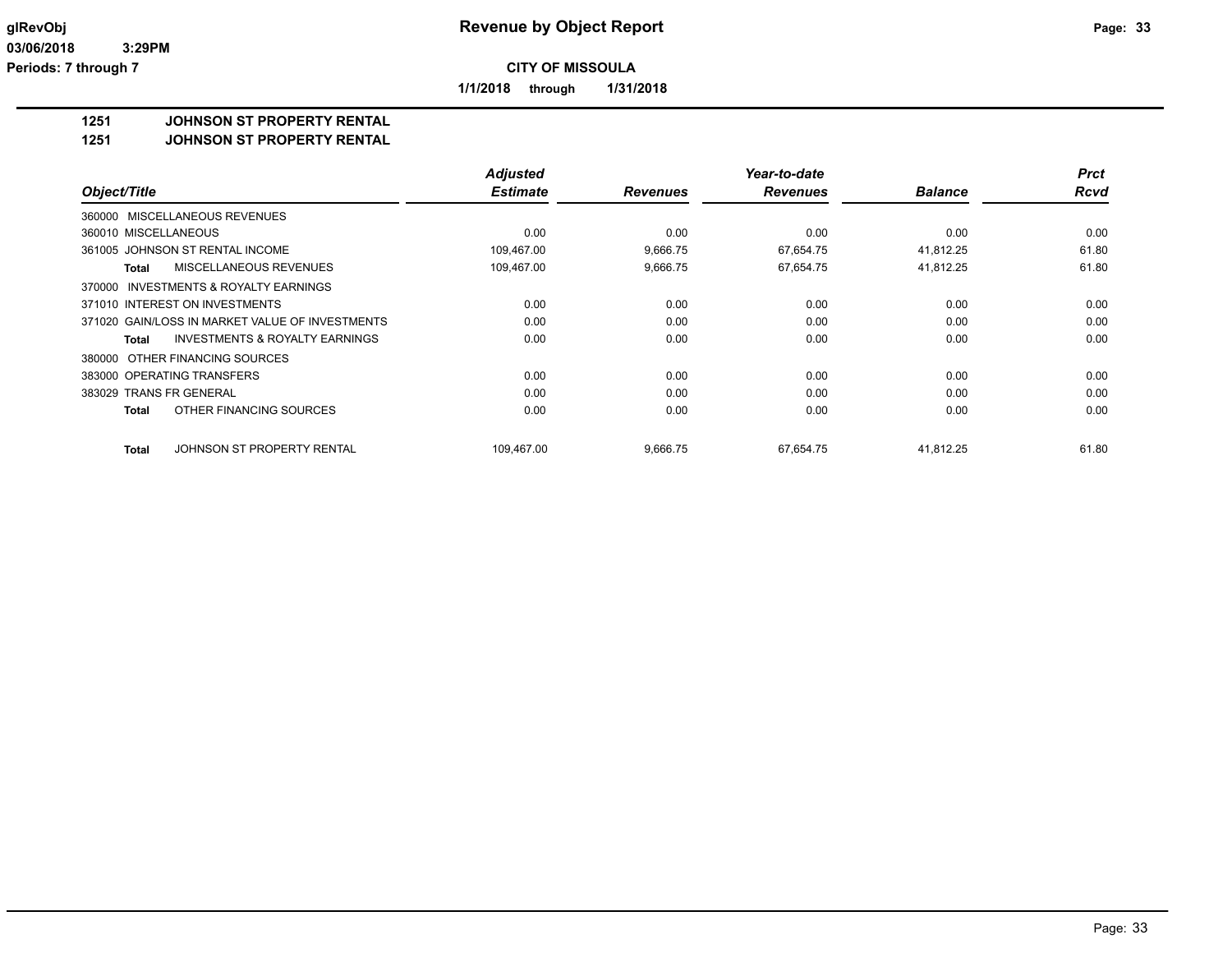**1/1/2018 through 1/31/2018**

### **1251 JOHNSON ST PROPERTY RENTAL**

**1251 JOHNSON ST PROPERTY RENTAL**

|                                                           | <b>Adjusted</b> |                 | Year-to-date    |                | <b>Prct</b> |
|-----------------------------------------------------------|-----------------|-----------------|-----------------|----------------|-------------|
| Object/Title                                              | <b>Estimate</b> | <b>Revenues</b> | <b>Revenues</b> | <b>Balance</b> | <b>Rcvd</b> |
| 360000 MISCELLANEOUS REVENUES                             |                 |                 |                 |                |             |
| 360010 MISCELLANEOUS                                      | 0.00            | 0.00            | 0.00            | 0.00           | 0.00        |
| 361005 JOHNSON ST RENTAL INCOME                           | 109,467.00      | 9,666.75        | 67,654.75       | 41,812.25      | 61.80       |
| MISCELLANEOUS REVENUES<br>Total                           | 109,467.00      | 9,666.75        | 67,654.75       | 41,812.25      | 61.80       |
| INVESTMENTS & ROYALTY EARNINGS<br>370000                  |                 |                 |                 |                |             |
| 371010 INTEREST ON INVESTMENTS                            | 0.00            | 0.00            | 0.00            | 0.00           | 0.00        |
| 371020 GAIN/LOSS IN MARKET VALUE OF INVESTMENTS           | 0.00            | 0.00            | 0.00            | 0.00           | 0.00        |
| <b>INVESTMENTS &amp; ROYALTY EARNINGS</b><br><b>Total</b> | 0.00            | 0.00            | 0.00            | 0.00           | 0.00        |
| 380000 OTHER FINANCING SOURCES                            |                 |                 |                 |                |             |
| 383000 OPERATING TRANSFERS                                | 0.00            | 0.00            | 0.00            | 0.00           | 0.00        |
| 383029 TRANS FR GENERAL                                   | 0.00            | 0.00            | 0.00            | 0.00           | 0.00        |
| OTHER FINANCING SOURCES<br>Total                          | 0.00            | 0.00            | 0.00            | 0.00           | 0.00        |
| JOHNSON ST PROPERTY RENTAL<br>Total                       | 109,467.00      | 9,666.75        | 67,654.75       | 41,812.25      | 61.80       |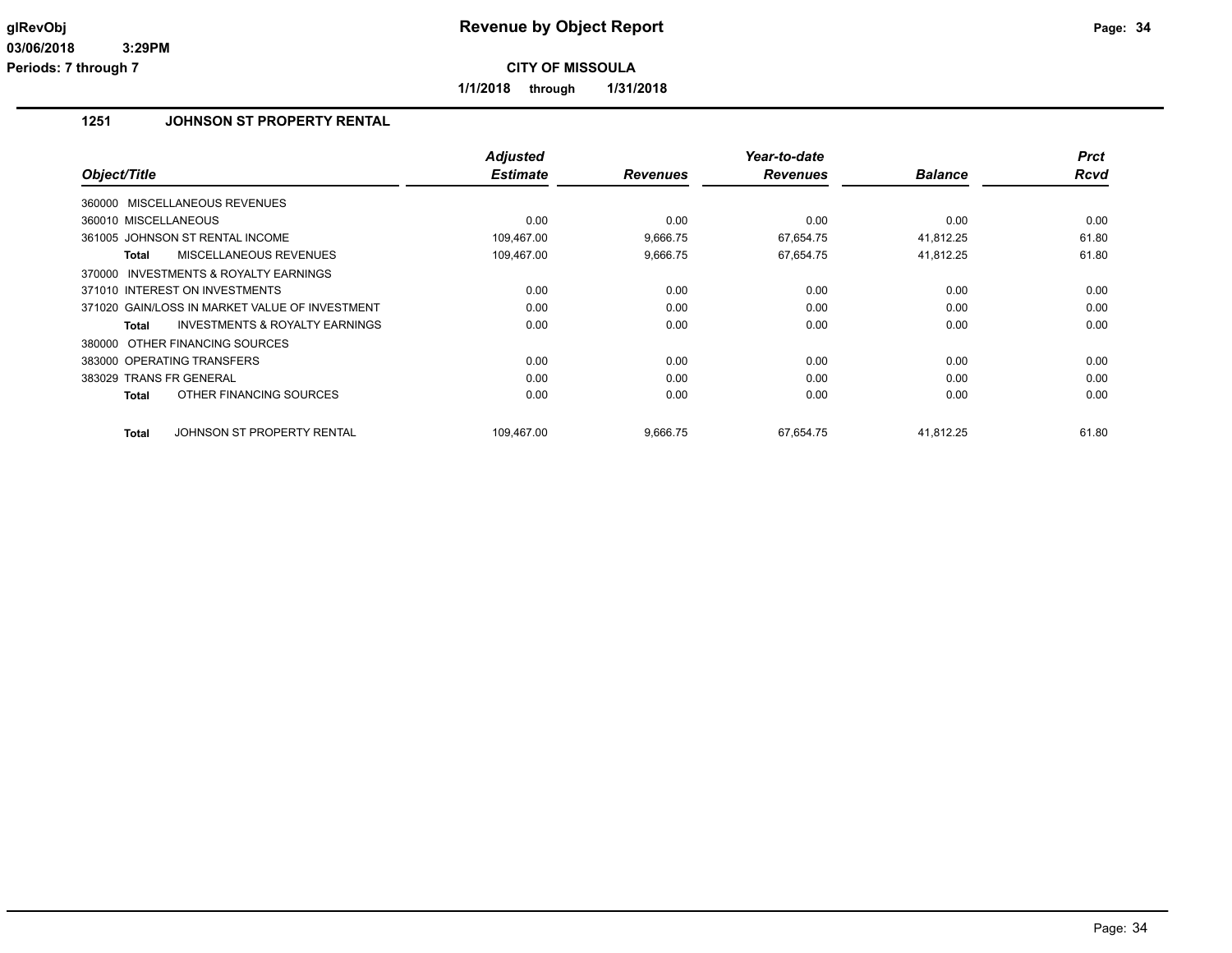**1/1/2018 through 1/31/2018**

## **1251 JOHNSON ST PROPERTY RENTAL**

| Object/Title                                        | <b>Adjusted</b><br><b>Estimate</b> | <b>Revenues</b> | Year-to-date<br><b>Revenues</b> | <b>Balance</b> | <b>Prct</b><br><b>Rcvd</b> |
|-----------------------------------------------------|------------------------------------|-----------------|---------------------------------|----------------|----------------------------|
|                                                     |                                    |                 |                                 |                |                            |
| 360000 MISCELLANEOUS REVENUES                       |                                    |                 |                                 |                |                            |
| 360010 MISCELLANEOUS                                | 0.00                               | 0.00            | 0.00                            | 0.00           | 0.00                       |
| 361005 JOHNSON ST RENTAL INCOME                     | 109,467.00                         | 9,666.75        | 67,654.75                       | 41,812.25      | 61.80                      |
| <b>MISCELLANEOUS REVENUES</b><br>Total              | 109,467.00                         | 9,666.75        | 67,654.75                       | 41,812.25      | 61.80                      |
| <b>INVESTMENTS &amp; ROYALTY EARNINGS</b><br>370000 |                                    |                 |                                 |                |                            |
| 371010 INTEREST ON INVESTMENTS                      | 0.00                               | 0.00            | 0.00                            | 0.00           | 0.00                       |
| 371020 GAIN/LOSS IN MARKET VALUE OF INVESTMENT      | 0.00                               | 0.00            | 0.00                            | 0.00           | 0.00                       |
| <b>INVESTMENTS &amp; ROYALTY EARNINGS</b><br>Total  | 0.00                               | 0.00            | 0.00                            | 0.00           | 0.00                       |
| 380000 OTHER FINANCING SOURCES                      |                                    |                 |                                 |                |                            |
| 383000 OPERATING TRANSFERS                          | 0.00                               | 0.00            | 0.00                            | 0.00           | 0.00                       |
| 383029 TRANS FR GENERAL                             | 0.00                               | 0.00            | 0.00                            | 0.00           | 0.00                       |
| OTHER FINANCING SOURCES<br><b>Total</b>             | 0.00                               | 0.00            | 0.00                            | 0.00           | 0.00                       |
|                                                     |                                    |                 |                                 |                |                            |
| <b>Total</b><br>JOHNSON ST PROPERTY RENTAL          | 109,467.00                         | 9,666.75        | 67,654.75                       | 41,812.25      | 61.80                      |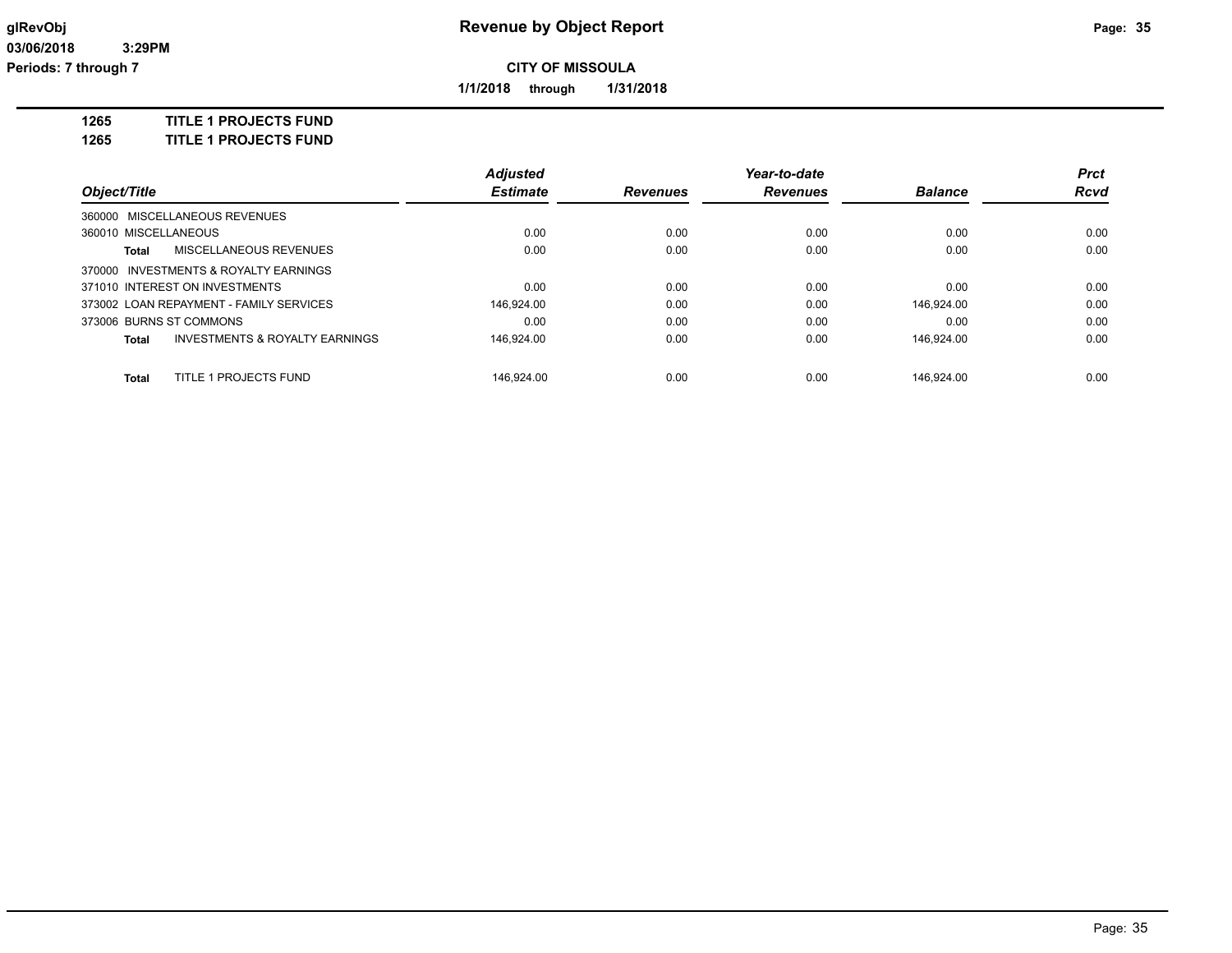**1/1/2018 through 1/31/2018**

**1265 TITLE 1 PROJECTS FUND**

**1265 TITLE 1 PROJECTS FUND**

|                                         |                                           | <b>Adjusted</b> |                 | Year-to-date    |                | <b>Prct</b> |
|-----------------------------------------|-------------------------------------------|-----------------|-----------------|-----------------|----------------|-------------|
| Object/Title                            |                                           | <b>Estimate</b> | <b>Revenues</b> | <b>Revenues</b> | <b>Balance</b> | <b>Rcvd</b> |
| 360000 MISCELLANEOUS REVENUES           |                                           |                 |                 |                 |                |             |
| 360010 MISCELLANEOUS                    |                                           | 0.00            | 0.00            | 0.00            | 0.00           | 0.00        |
| Total                                   | MISCELLANEOUS REVENUES                    | 0.00            | 0.00            | 0.00            | 0.00           | 0.00        |
| 370000 INVESTMENTS & ROYALTY EARNINGS   |                                           |                 |                 |                 |                |             |
| 371010 INTEREST ON INVESTMENTS          |                                           | 0.00            | 0.00            | 0.00            | 0.00           | 0.00        |
| 373002 LOAN REPAYMENT - FAMILY SERVICES |                                           | 146.924.00      | 0.00            | 0.00            | 146.924.00     | 0.00        |
| 373006 BURNS ST COMMONS                 |                                           | 0.00            | 0.00            | 0.00            | 0.00           | 0.00        |
| Total                                   | <b>INVESTMENTS &amp; ROYALTY EARNINGS</b> | 146,924.00      | 0.00            | 0.00            | 146.924.00     | 0.00        |
| Total                                   | TITLE 1 PROJECTS FUND                     | 146.924.00      | 0.00            | 0.00            | 146.924.00     | 0.00        |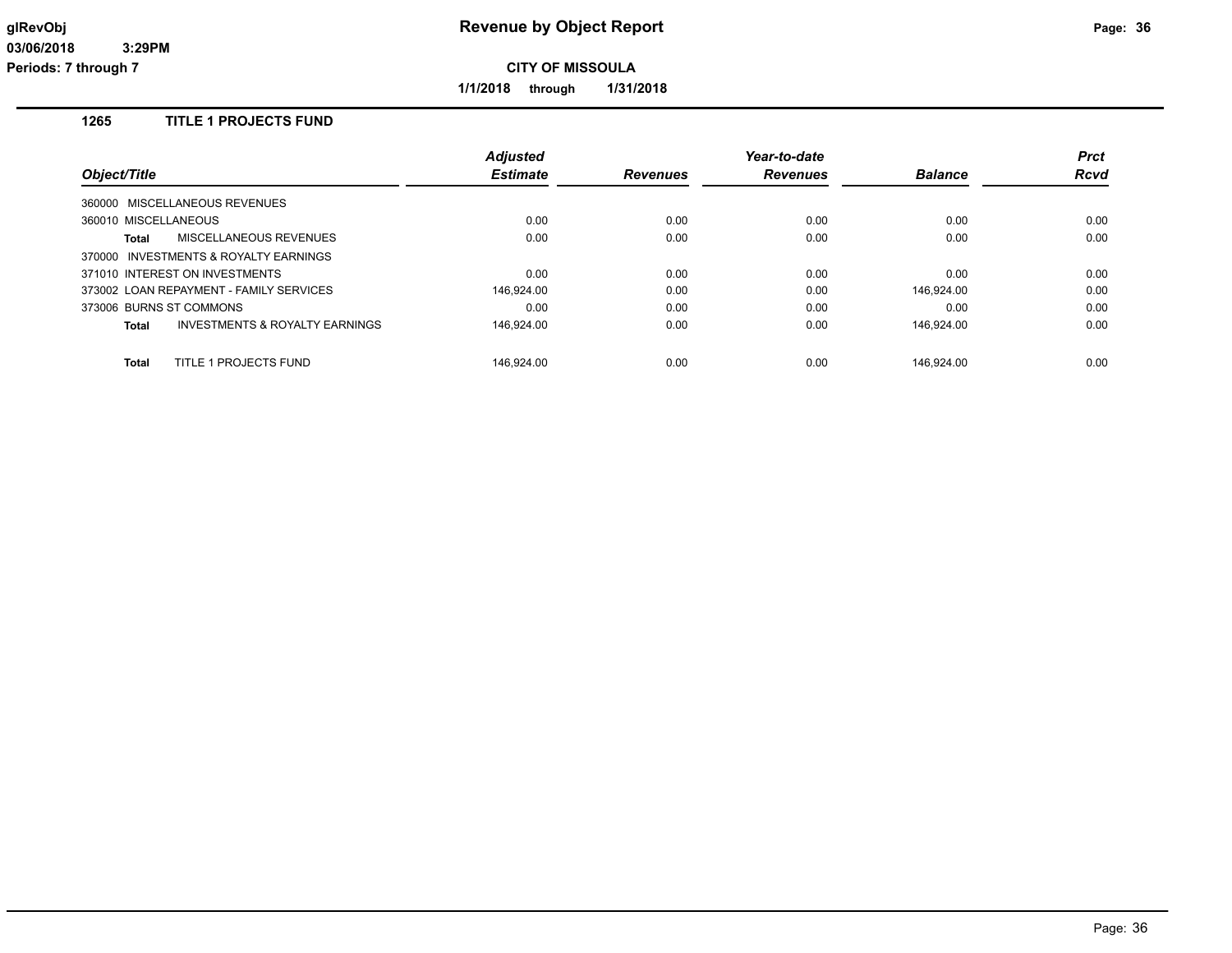**1/1/2018 through 1/31/2018**

## **1265 TITLE 1 PROJECTS FUND**

|                                                    | <b>Adjusted</b> |                 | Year-to-date    |                | <b>Prct</b> |
|----------------------------------------------------|-----------------|-----------------|-----------------|----------------|-------------|
| Object/Title                                       | <b>Estimate</b> | <b>Revenues</b> | <b>Revenues</b> | <b>Balance</b> | <b>Rcvd</b> |
| 360000 MISCELLANEOUS REVENUES                      |                 |                 |                 |                |             |
| 360010 MISCELLANEOUS                               | 0.00            | 0.00            | 0.00            | 0.00           | 0.00        |
| MISCELLANEOUS REVENUES<br>Total                    | 0.00            | 0.00            | 0.00            | 0.00           | 0.00        |
| 370000 INVESTMENTS & ROYALTY EARNINGS              |                 |                 |                 |                |             |
| 371010 INTEREST ON INVESTMENTS                     | 0.00            | 0.00            | 0.00            | 0.00           | 0.00        |
| 373002 LOAN REPAYMENT - FAMILY SERVICES            | 146.924.00      | 0.00            | 0.00            | 146.924.00     | 0.00        |
| 373006 BURNS ST COMMONS                            | 0.00            | 0.00            | 0.00            | 0.00           | 0.00        |
| <b>INVESTMENTS &amp; ROYALTY EARNINGS</b><br>Total | 146.924.00      | 0.00            | 0.00            | 146.924.00     | 0.00        |
| TITLE 1 PROJECTS FUND<br>Total                     | 146.924.00      | 0.00            | 0.00            | 146.924.00     | 0.00        |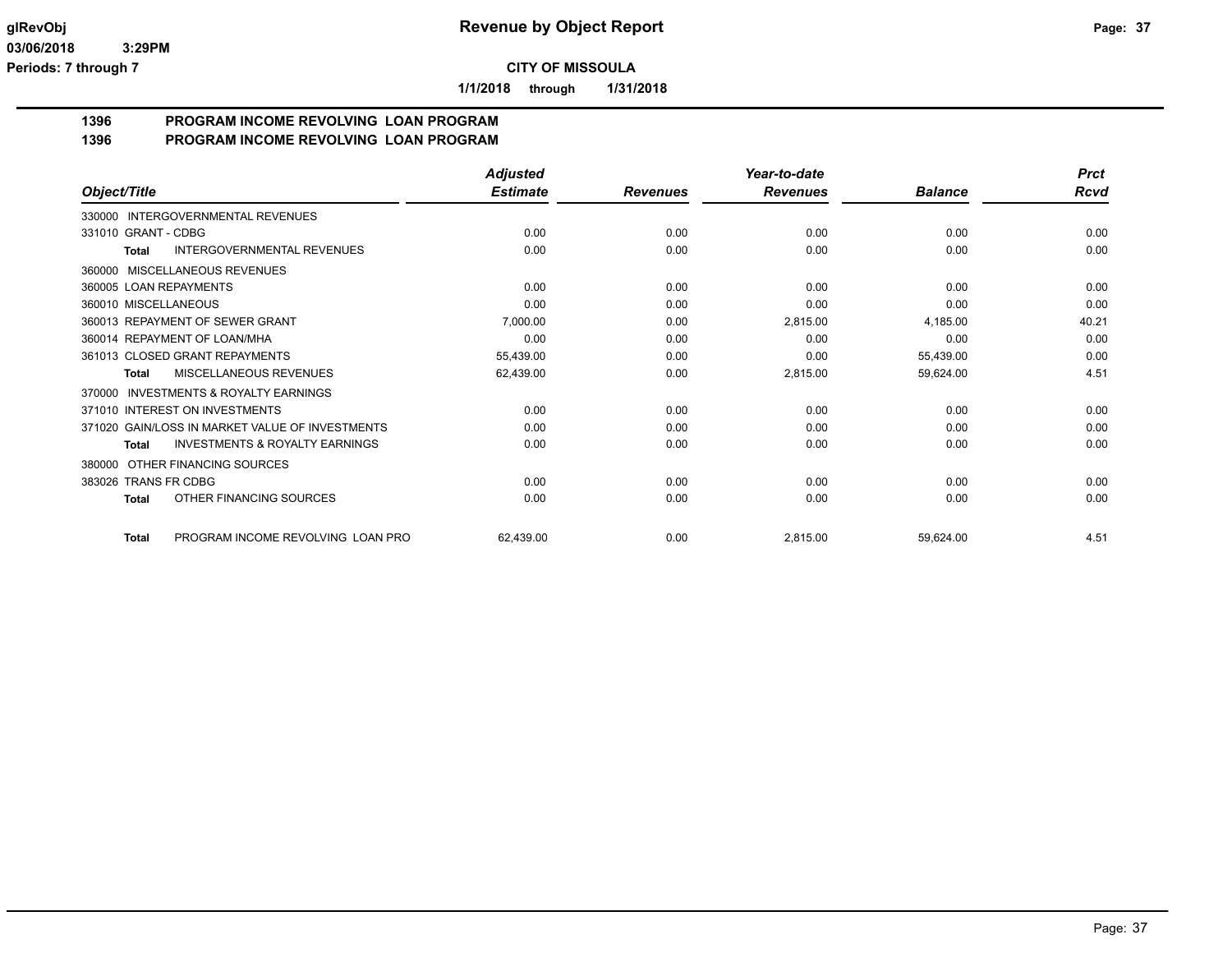**1/1/2018 through 1/31/2018**

#### **1396 PROGRAM INCOME REVOLVING LOAN PROGRAM 1396 PROGRAM INCOME REVOLVING LOAN PROGRAM**

|                                                     | <b>Adjusted</b> |                 | Year-to-date    |                | <b>Prct</b> |
|-----------------------------------------------------|-----------------|-----------------|-----------------|----------------|-------------|
| Object/Title                                        | <b>Estimate</b> | <b>Revenues</b> | <b>Revenues</b> | <b>Balance</b> | <b>Rcvd</b> |
| INTERGOVERNMENTAL REVENUES<br>330000                |                 |                 |                 |                |             |
| 331010 GRANT - CDBG                                 | 0.00            | 0.00            | 0.00            | 0.00           | 0.00        |
| <b>INTERGOVERNMENTAL REVENUES</b><br>Total          | 0.00            | 0.00            | 0.00            | 0.00           | 0.00        |
| <b>MISCELLANEOUS REVENUES</b><br>360000             |                 |                 |                 |                |             |
| 360005 LOAN REPAYMENTS                              | 0.00            | 0.00            | 0.00            | 0.00           | 0.00        |
| 360010 MISCELLANEOUS                                | 0.00            | 0.00            | 0.00            | 0.00           | 0.00        |
| 360013 REPAYMENT OF SEWER GRANT                     | 7,000.00        | 0.00            | 2,815.00        | 4,185.00       | 40.21       |
| 360014 REPAYMENT OF LOAN/MHA                        | 0.00            | 0.00            | 0.00            | 0.00           | 0.00        |
| 361013 CLOSED GRANT REPAYMENTS                      | 55,439.00       | 0.00            | 0.00            | 55,439.00      | 0.00        |
| MISCELLANEOUS REVENUES<br><b>Total</b>              | 62,439.00       | 0.00            | 2,815.00        | 59,624.00      | 4.51        |
| <b>INVESTMENTS &amp; ROYALTY EARNINGS</b><br>370000 |                 |                 |                 |                |             |
| 371010 INTEREST ON INVESTMENTS                      | 0.00            | 0.00            | 0.00            | 0.00           | 0.00        |
| 371020 GAIN/LOSS IN MARKET VALUE OF INVESTMENTS     | 0.00            | 0.00            | 0.00            | 0.00           | 0.00        |
| <b>INVESTMENTS &amp; ROYALTY EARNINGS</b><br>Total  | 0.00            | 0.00            | 0.00            | 0.00           | 0.00        |
| OTHER FINANCING SOURCES<br>380000                   |                 |                 |                 |                |             |
| 383026 TRANS FR CDBG                                | 0.00            | 0.00            | 0.00            | 0.00           | 0.00        |
| OTHER FINANCING SOURCES<br>Total                    | 0.00            | 0.00            | 0.00            | 0.00           | 0.00        |
| PROGRAM INCOME REVOLVING LOAN PRO<br><b>Total</b>   | 62,439.00       | 0.00            | 2,815.00        | 59,624.00      | 4.51        |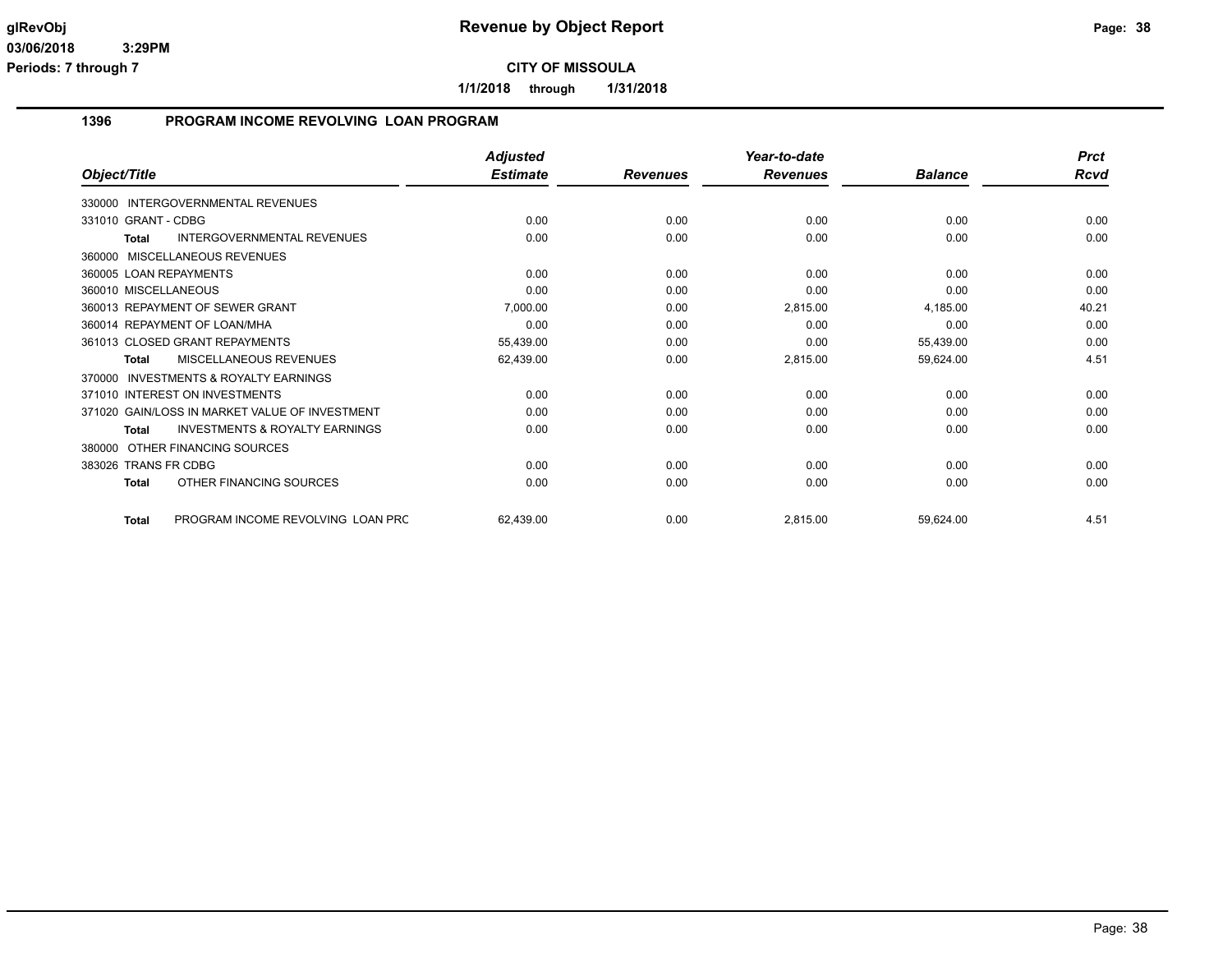**1/1/2018 through 1/31/2018**

## **1396 PROGRAM INCOME REVOLVING LOAN PROGRAM**

|                                                     | <b>Adjusted</b> |                 | Year-to-date    |                | <b>Prct</b> |
|-----------------------------------------------------|-----------------|-----------------|-----------------|----------------|-------------|
| Object/Title                                        | <b>Estimate</b> | <b>Revenues</b> | <b>Revenues</b> | <b>Balance</b> | <b>Rcvd</b> |
| INTERGOVERNMENTAL REVENUES<br>330000                |                 |                 |                 |                |             |
| 331010 GRANT - CDBG                                 | 0.00            | 0.00            | 0.00            | 0.00           | 0.00        |
| <b>INTERGOVERNMENTAL REVENUES</b><br><b>Total</b>   | 0.00            | 0.00            | 0.00            | 0.00           | 0.00        |
| MISCELLANEOUS REVENUES<br>360000                    |                 |                 |                 |                |             |
| 360005 LOAN REPAYMENTS                              | 0.00            | 0.00            | 0.00            | 0.00           | 0.00        |
| 360010 MISCELLANEOUS                                | 0.00            | 0.00            | 0.00            | 0.00           | 0.00        |
| 360013 REPAYMENT OF SEWER GRANT                     | 7,000.00        | 0.00            | 2,815.00        | 4,185.00       | 40.21       |
| 360014 REPAYMENT OF LOAN/MHA                        | 0.00            | 0.00            | 0.00            | 0.00           | 0.00        |
| 361013 CLOSED GRANT REPAYMENTS                      | 55,439.00       | 0.00            | 0.00            | 55,439.00      | 0.00        |
| MISCELLANEOUS REVENUES<br>Total                     | 62,439.00       | 0.00            | 2,815.00        | 59,624.00      | 4.51        |
| <b>INVESTMENTS &amp; ROYALTY EARNINGS</b><br>370000 |                 |                 |                 |                |             |
| 371010 INTEREST ON INVESTMENTS                      | 0.00            | 0.00            | 0.00            | 0.00           | 0.00        |
| 371020 GAIN/LOSS IN MARKET VALUE OF INVESTMENT      | 0.00            | 0.00            | 0.00            | 0.00           | 0.00        |
| <b>INVESTMENTS &amp; ROYALTY EARNINGS</b><br>Total  | 0.00            | 0.00            | 0.00            | 0.00           | 0.00        |
| OTHER FINANCING SOURCES<br>380000                   |                 |                 |                 |                |             |
| 383026 TRANS FR CDBG                                | 0.00            | 0.00            | 0.00            | 0.00           | 0.00        |
| OTHER FINANCING SOURCES<br><b>Total</b>             | 0.00            | 0.00            | 0.00            | 0.00           | 0.00        |
| PROGRAM INCOME REVOLVING LOAN PRC<br><b>Total</b>   | 62,439.00       | 0.00            | 2,815.00        | 59,624.00      | 4.51        |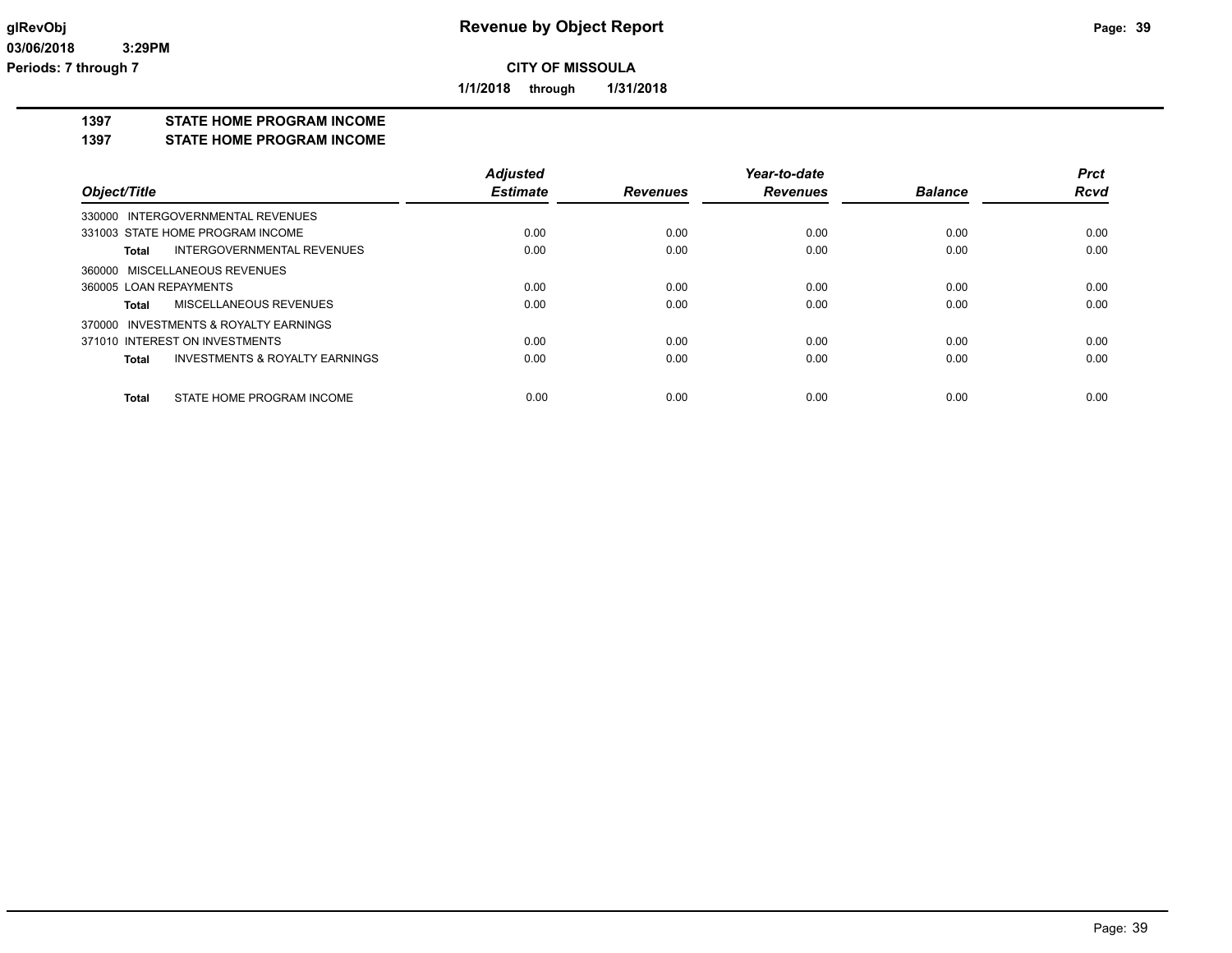**1/1/2018 through 1/31/2018**

#### **1397 STATE HOME PROGRAM INCOME**

**1397 STATE HOME PROGRAM INCOME**

|                                         | <b>Adjusted</b> |                 | Year-to-date    |                | <b>Prct</b> |
|-----------------------------------------|-----------------|-----------------|-----------------|----------------|-------------|
| Object/Title                            | <b>Estimate</b> | <b>Revenues</b> | <b>Revenues</b> | <b>Balance</b> | <b>Rcvd</b> |
| 330000 INTERGOVERNMENTAL REVENUES       |                 |                 |                 |                |             |
| 331003 STATE HOME PROGRAM INCOME        | 0.00            | 0.00            | 0.00            | 0.00           | 0.00        |
| INTERGOVERNMENTAL REVENUES<br>Total     | 0.00            | 0.00            | 0.00            | 0.00           | 0.00        |
| 360000 MISCELLANEOUS REVENUES           |                 |                 |                 |                |             |
| 360005 LOAN REPAYMENTS                  | 0.00            | 0.00            | 0.00            | 0.00           | 0.00        |
| MISCELLANEOUS REVENUES<br>Total         | 0.00            | 0.00            | 0.00            | 0.00           | 0.00        |
| 370000 INVESTMENTS & ROYALTY EARNINGS   |                 |                 |                 |                |             |
| 371010 INTEREST ON INVESTMENTS          | 0.00            | 0.00            | 0.00            | 0.00           | 0.00        |
| INVESTMENTS & ROYALTY EARNINGS<br>Total | 0.00            | 0.00            | 0.00            | 0.00           | 0.00        |
| STATE HOME PROGRAM INCOME<br>Total      | 0.00            | 0.00            | 0.00            | 0.00           | 0.00        |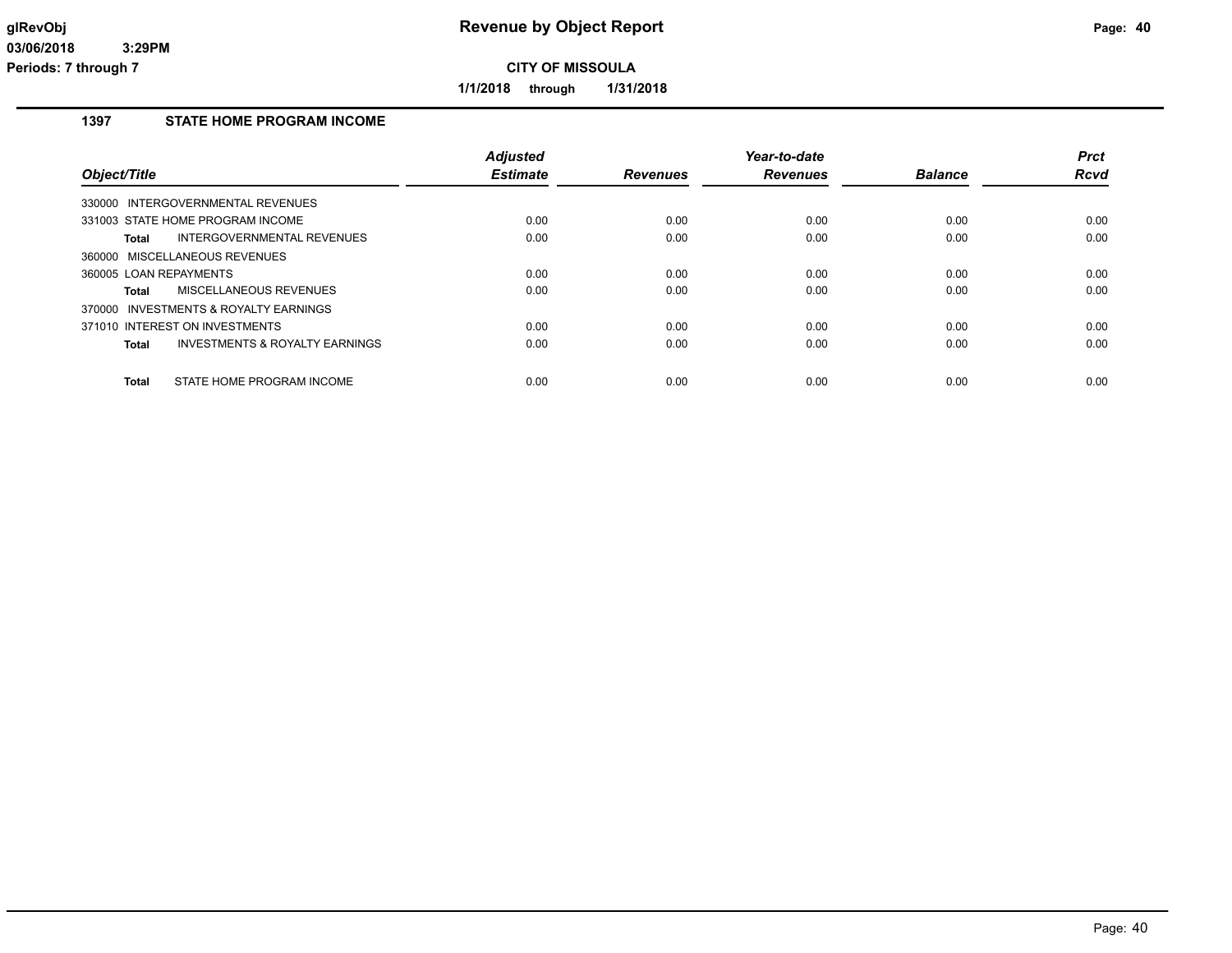**1/1/2018 through 1/31/2018**

## **1397 STATE HOME PROGRAM INCOME**

| Object/Title                            | <b>Adjusted</b><br><b>Estimate</b> | <b>Revenues</b> | Year-to-date<br><b>Revenues</b> | <b>Balance</b> | <b>Prct</b><br>Rcvd |
|-----------------------------------------|------------------------------------|-----------------|---------------------------------|----------------|---------------------|
| INTERGOVERNMENTAL REVENUES<br>330000    |                                    |                 |                                 |                |                     |
| 331003 STATE HOME PROGRAM INCOME        | 0.00                               | 0.00            | 0.00                            | 0.00           | 0.00                |
| INTERGOVERNMENTAL REVENUES<br>Total     | 0.00                               | 0.00            | 0.00                            | 0.00           | 0.00                |
| 360000 MISCELLANEOUS REVENUES           |                                    |                 |                                 |                |                     |
| 360005 LOAN REPAYMENTS                  | 0.00                               | 0.00            | 0.00                            | 0.00           | 0.00                |
| MISCELLANEOUS REVENUES<br>Total         | 0.00                               | 0.00            | 0.00                            | 0.00           | 0.00                |
| 370000 INVESTMENTS & ROYALTY EARNINGS   |                                    |                 |                                 |                |                     |
| 371010 INTEREST ON INVESTMENTS          | 0.00                               | 0.00            | 0.00                            | 0.00           | 0.00                |
| INVESTMENTS & ROYALTY EARNINGS<br>Total | 0.00                               | 0.00            | 0.00                            | 0.00           | 0.00                |
| STATE HOME PROGRAM INCOME<br>Total      | 0.00                               | 0.00            | 0.00                            | 0.00           | 0.00                |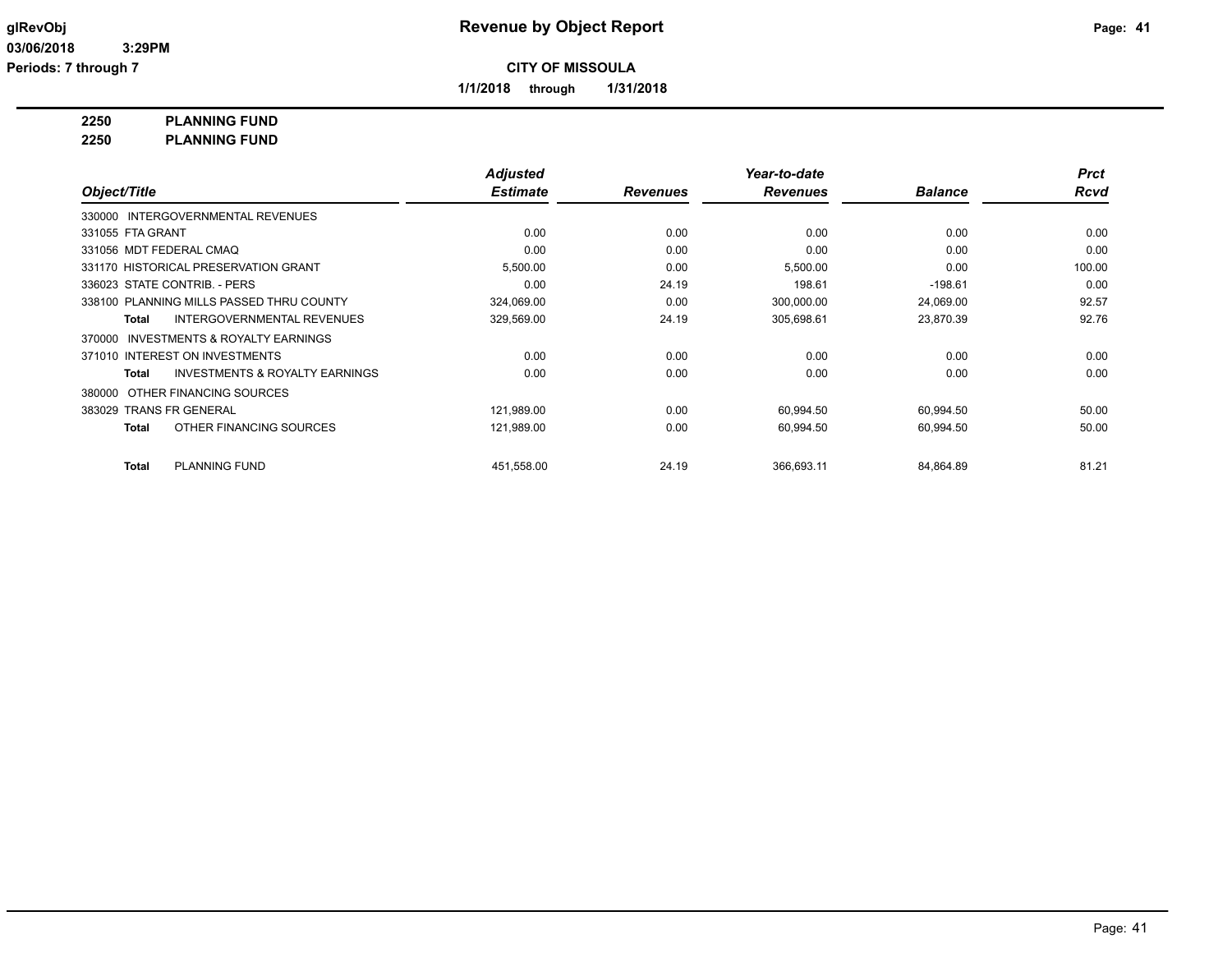**1/1/2018 through 1/31/2018**

**2250 PLANNING FUND**

**2250 PLANNING FUND**

|                         |                                           | <b>Adjusted</b> |                 | Year-to-date    |                | <b>Prct</b> |
|-------------------------|-------------------------------------------|-----------------|-----------------|-----------------|----------------|-------------|
| Object/Title            |                                           | <b>Estimate</b> | <b>Revenues</b> | <b>Revenues</b> | <b>Balance</b> | <b>Rcvd</b> |
|                         | 330000 INTERGOVERNMENTAL REVENUES         |                 |                 |                 |                |             |
| 331055 FTA GRANT        |                                           | 0.00            | 0.00            | 0.00            | 0.00           | 0.00        |
| 331056 MDT FEDERAL CMAQ |                                           | 0.00            | 0.00            | 0.00            | 0.00           | 0.00        |
|                         | 331170 HISTORICAL PRESERVATION GRANT      | 5,500.00        | 0.00            | 5,500.00        | 0.00           | 100.00      |
|                         | 336023 STATE CONTRIB. - PERS              | 0.00            | 24.19           | 198.61          | $-198.61$      | 0.00        |
|                         | 338100 PLANNING MILLS PASSED THRU COUNTY  | 324,069.00      | 0.00            | 300,000.00      | 24,069.00      | 92.57       |
| <b>Total</b>            | <b>INTERGOVERNMENTAL REVENUES</b>         | 329,569.00      | 24.19           | 305,698.61      | 23,870.39      | 92.76       |
| 370000                  | INVESTMENTS & ROYALTY EARNINGS            |                 |                 |                 |                |             |
|                         | 371010 INTEREST ON INVESTMENTS            | 0.00            | 0.00            | 0.00            | 0.00           | 0.00        |
| <b>Total</b>            | <b>INVESTMENTS &amp; ROYALTY EARNINGS</b> | 0.00            | 0.00            | 0.00            | 0.00           | 0.00        |
| 380000                  | OTHER FINANCING SOURCES                   |                 |                 |                 |                |             |
| 383029 TRANS FR GENERAL |                                           | 121,989.00      | 0.00            | 60,994.50       | 60,994.50      | 50.00       |
| <b>Total</b>            | OTHER FINANCING SOURCES                   | 121,989.00      | 0.00            | 60,994.50       | 60,994.50      | 50.00       |
| <b>Total</b>            | <b>PLANNING FUND</b>                      | 451,558.00      | 24.19           | 366,693.11      | 84,864.89      | 81.21       |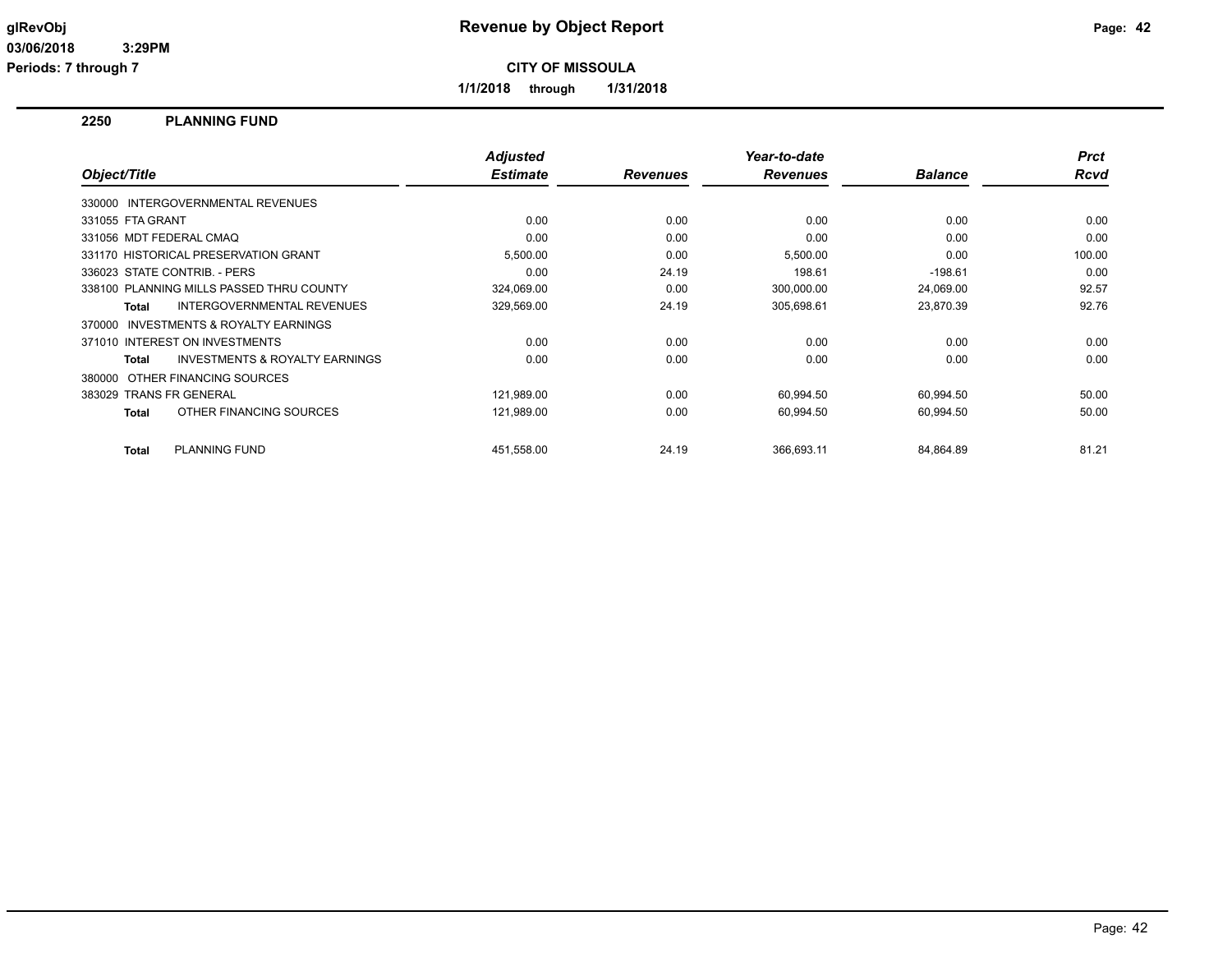**1/1/2018 through 1/31/2018**

## **2250 PLANNING FUND**

| Object/Title     |                                           | <b>Adjusted</b><br><b>Estimate</b> | <b>Revenues</b> | Year-to-date<br><b>Revenues</b> | <b>Balance</b> | <b>Prct</b><br><b>Rcvd</b> |
|------------------|-------------------------------------------|------------------------------------|-----------------|---------------------------------|----------------|----------------------------|
|                  | 330000 INTERGOVERNMENTAL REVENUES         |                                    |                 |                                 |                |                            |
| 331055 FTA GRANT |                                           | 0.00                               | 0.00            | 0.00                            | 0.00           | 0.00                       |
|                  | 331056 MDT FEDERAL CMAQ                   | 0.00                               | 0.00            | 0.00                            | 0.00           | 0.00                       |
|                  | 331170 HISTORICAL PRESERVATION GRANT      | 5,500.00                           | 0.00            | 5,500.00                        | 0.00           | 100.00                     |
|                  | 336023 STATE CONTRIB. - PERS              | 0.00                               | 24.19           | 198.61                          | $-198.61$      | 0.00                       |
|                  | 338100 PLANNING MILLS PASSED THRU COUNTY  | 324,069.00                         | 0.00            | 300,000.00                      | 24,069.00      | 92.57                      |
| Total            | INTERGOVERNMENTAL REVENUES                | 329,569.00                         | 24.19           | 305,698.61                      | 23,870.39      | 92.76                      |
|                  | 370000 INVESTMENTS & ROYALTY EARNINGS     |                                    |                 |                                 |                |                            |
|                  | 371010 INTEREST ON INVESTMENTS            | 0.00                               | 0.00            | 0.00                            | 0.00           | 0.00                       |
| Total            | <b>INVESTMENTS &amp; ROYALTY EARNINGS</b> | 0.00                               | 0.00            | 0.00                            | 0.00           | 0.00                       |
|                  | 380000 OTHER FINANCING SOURCES            |                                    |                 |                                 |                |                            |
|                  | 383029 TRANS FR GENERAL                   | 121,989.00                         | 0.00            | 60,994.50                       | 60,994.50      | 50.00                      |
| Total            | OTHER FINANCING SOURCES                   | 121,989.00                         | 0.00            | 60,994.50                       | 60,994.50      | 50.00                      |
| Total            | <b>PLANNING FUND</b>                      | 451,558.00                         | 24.19           | 366.693.11                      | 84,864.89      | 81.21                      |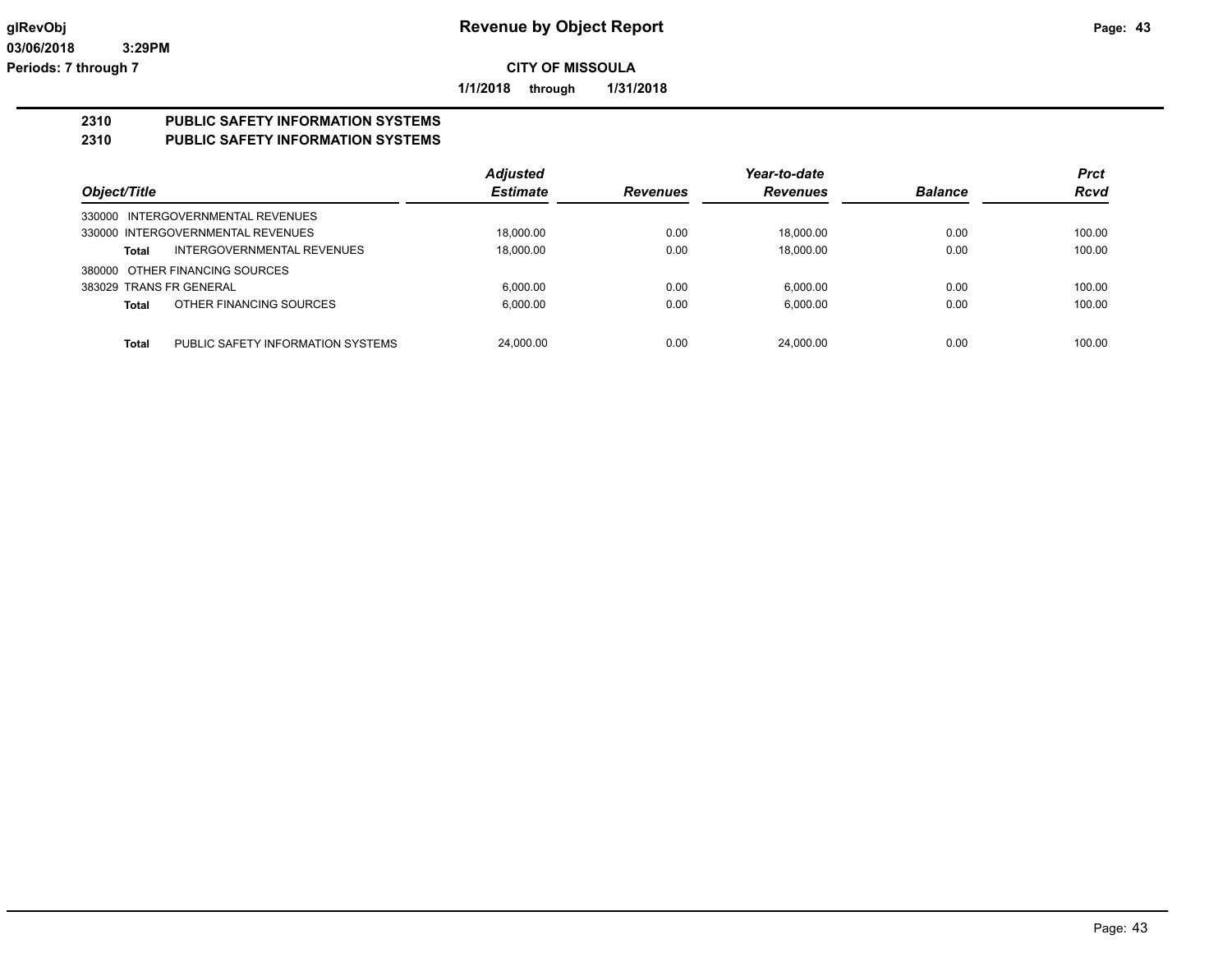**1/1/2018 through 1/31/2018**

## **2310 PUBLIC SAFETY INFORMATION SYSTEMS**

## **2310 PUBLIC SAFETY INFORMATION SYSTEMS**

|                                            | <b>Adjusted</b> |                 | Year-to-date    |                | <b>Prct</b> |
|--------------------------------------------|-----------------|-----------------|-----------------|----------------|-------------|
| Object/Title                               | <b>Estimate</b> | <b>Revenues</b> | <b>Revenues</b> | <b>Balance</b> | <b>Rcvd</b> |
| 330000 INTERGOVERNMENTAL REVENUES          |                 |                 |                 |                |             |
| 330000 INTERGOVERNMENTAL REVENUES          | 18,000.00       | 0.00            | 18.000.00       | 0.00           | 100.00      |
| INTERGOVERNMENTAL REVENUES<br>Total        | 18,000.00       | 0.00            | 18.000.00       | 0.00           | 100.00      |
| 380000 OTHER FINANCING SOURCES             |                 |                 |                 |                |             |
| 383029 TRANS FR GENERAL                    | 6.000.00        | 0.00            | 6.000.00        | 0.00           | 100.00      |
| OTHER FINANCING SOURCES<br><b>Total</b>    | 6.000.00        | 0.00            | 6.000.00        | 0.00           | 100.00      |
|                                            |                 |                 |                 |                |             |
| Total<br>PUBLIC SAFETY INFORMATION SYSTEMS | 24,000.00       | 0.00            | 24.000.00       | 0.00           | 100.00      |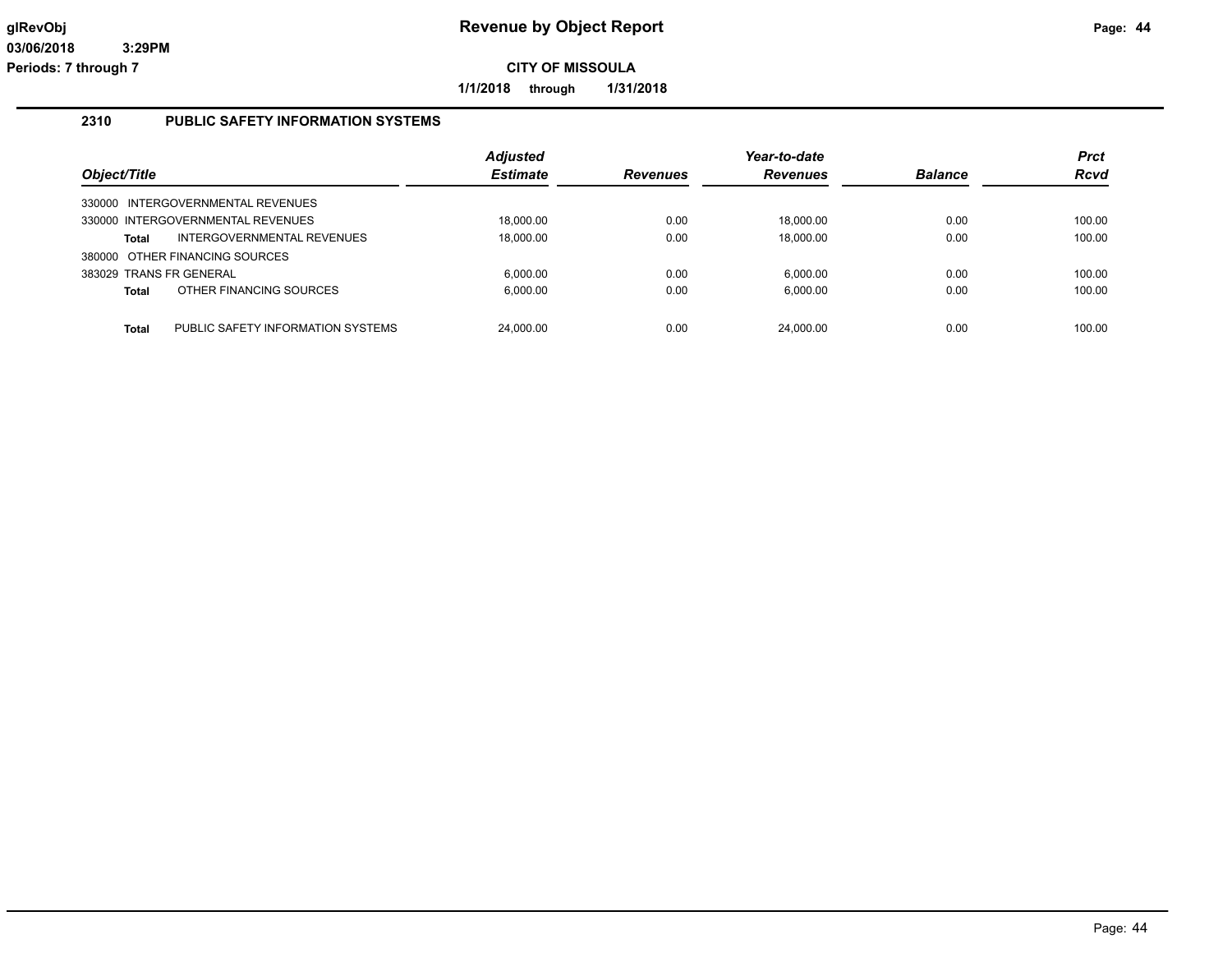**1/1/2018 through 1/31/2018**

### **2310 PUBLIC SAFETY INFORMATION SYSTEMS**

|                         |                                   | <b>Adjusted</b> |                 | Year-to-date    |                | <b>Prct</b> |
|-------------------------|-----------------------------------|-----------------|-----------------|-----------------|----------------|-------------|
| Object/Title            |                                   | <b>Estimate</b> | <b>Revenues</b> | <b>Revenues</b> | <b>Balance</b> | <b>Rcvd</b> |
|                         | 330000 INTERGOVERNMENTAL REVENUES |                 |                 |                 |                |             |
|                         | 330000 INTERGOVERNMENTAL REVENUES | 18.000.00       | 0.00            | 18.000.00       | 0.00           | 100.00      |
| Total                   | INTERGOVERNMENTAL REVENUES        | 18.000.00       | 0.00            | 18.000.00       | 0.00           | 100.00      |
|                         | 380000 OTHER FINANCING SOURCES    |                 |                 |                 |                |             |
| 383029 TRANS FR GENERAL |                                   | 6.000.00        | 0.00            | 6.000.00        | 0.00           | 100.00      |
| Total                   | OTHER FINANCING SOURCES           | 6.000.00        | 0.00            | 6.000.00        | 0.00           | 100.00      |
|                         |                                   |                 |                 |                 |                |             |
| <b>Total</b>            | PUBLIC SAFETY INFORMATION SYSTEMS | 24.000.00       | 0.00            | 24.000.00       | 0.00           | 100.00      |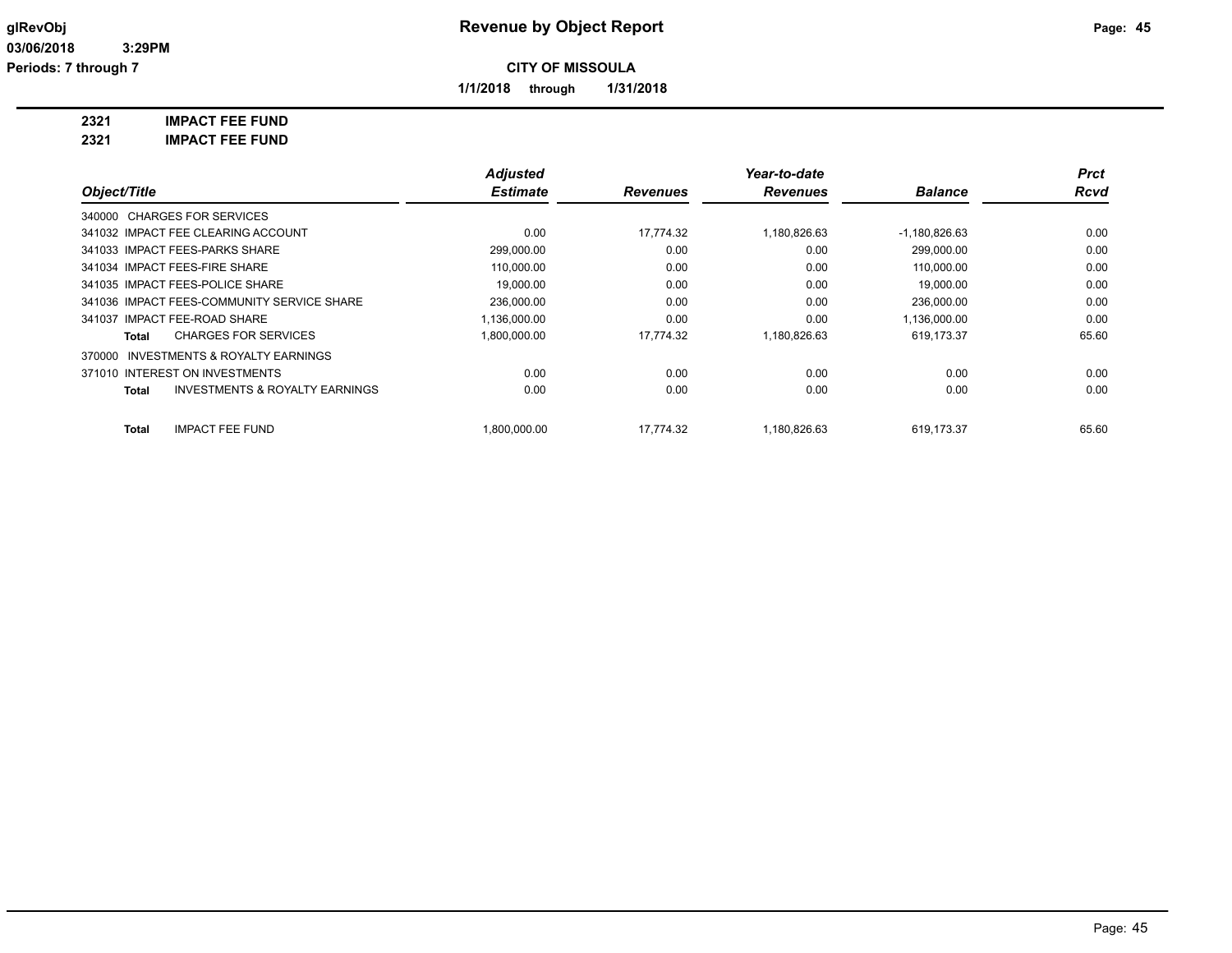**1/1/2018 through 1/31/2018**

**2321 IMPACT FEE FUND**

|                                                     | <b>Adjusted</b> |                 | Year-to-date    |                 | <b>Prct</b> |
|-----------------------------------------------------|-----------------|-----------------|-----------------|-----------------|-------------|
| Object/Title                                        | <b>Estimate</b> | <b>Revenues</b> | <b>Revenues</b> | <b>Balance</b>  | <b>Rcvd</b> |
| 340000 CHARGES FOR SERVICES                         |                 |                 |                 |                 |             |
| 341032 IMPACT FEE CLEARING ACCOUNT                  | 0.00            | 17.774.32       | 1,180,826.63    | $-1,180,826.63$ | 0.00        |
| 341033 IMPACT FEES-PARKS SHARE                      | 299,000.00      | 0.00            | 0.00            | 299.000.00      | 0.00        |
| 341034 IMPACT FEES-FIRE SHARE                       | 110,000.00      | 0.00            | 0.00            | 110,000.00      | 0.00        |
| 341035 IMPACT FEES-POLICE SHARE                     | 19,000.00       | 0.00            | 0.00            | 19,000.00       | 0.00        |
| 341036 IMPACT FEES-COMMUNITY SERVICE SHARE          | 236,000.00      | 0.00            | 0.00            | 236,000.00      | 0.00        |
| 341037 IMPACT FEE-ROAD SHARE                        | 1,136,000.00    | 0.00            | 0.00            | 1,136,000.00    | 0.00        |
| <b>CHARGES FOR SERVICES</b><br>Total                | 1,800,000.00    | 17.774.32       | 1,180,826.63    | 619,173.37      | 65.60       |
| <b>INVESTMENTS &amp; ROYALTY EARNINGS</b><br>370000 |                 |                 |                 |                 |             |
| 371010 INTEREST ON INVESTMENTS                      | 0.00            | 0.00            | 0.00            | 0.00            | 0.00        |
| <b>INVESTMENTS &amp; ROYALTY EARNINGS</b><br>Total  | 0.00            | 0.00            | 0.00            | 0.00            | 0.00        |
| <b>IMPACT FEE FUND</b><br>Total                     | 00.000.000.1    | 17.774.32       | 1,180,826.63    | 619,173.37      | 65.60       |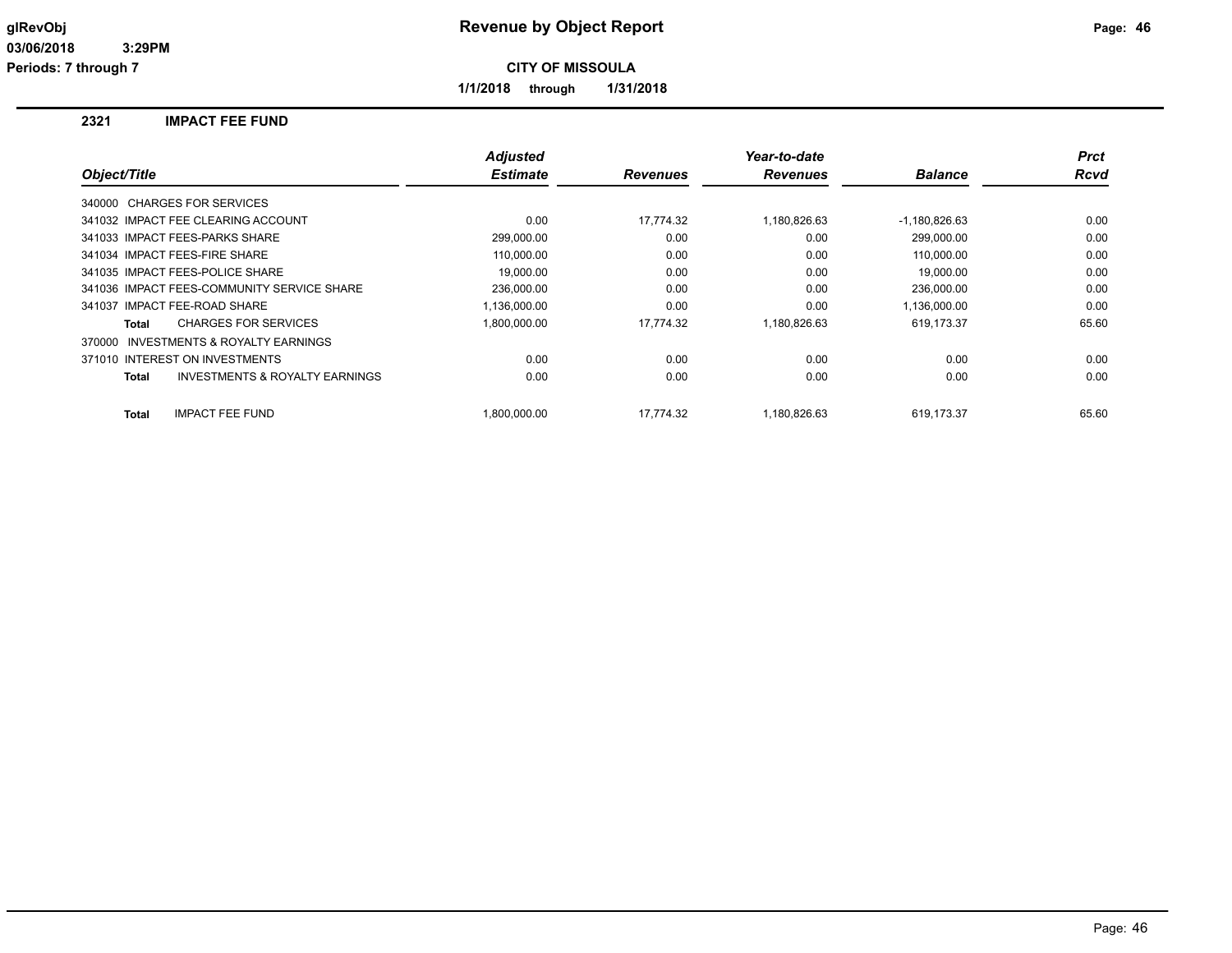**1/1/2018 through 1/31/2018**

## **2321 IMPACT FEE FUND**

|                                                    | <b>Adjusted</b> |                 | Year-to-date    |                 | <b>Prct</b> |
|----------------------------------------------------|-----------------|-----------------|-----------------|-----------------|-------------|
| Object/Title                                       | <b>Estimate</b> | <b>Revenues</b> | <b>Revenues</b> | <b>Balance</b>  | Rcvd        |
| 340000 CHARGES FOR SERVICES                        |                 |                 |                 |                 |             |
| 341032 IMPACT FEE CLEARING ACCOUNT                 | 0.00            | 17.774.32       | 1,180,826.63    | $-1,180,826.63$ | 0.00        |
| 341033 IMPACT FEES-PARKS SHARE                     | 299,000.00      | 0.00            | 0.00            | 299.000.00      | 0.00        |
| 341034 IMPACT FEES-FIRE SHARE                      | 110.000.00      | 0.00            | 0.00            | 110.000.00      | 0.00        |
| 341035 IMPACT FEES-POLICE SHARE                    | 19.000.00       | 0.00            | 0.00            | 19.000.00       | 0.00        |
| 341036 IMPACT FEES-COMMUNITY SERVICE SHARE         | 236,000.00      | 0.00            | 0.00            | 236,000.00      | 0.00        |
| 341037 IMPACT FEE-ROAD SHARE                       | 1,136,000.00    | 0.00            | 0.00            | 1,136,000.00    | 0.00        |
| <b>CHARGES FOR SERVICES</b><br>Total               | 1,800,000.00    | 17.774.32       | 1,180,826.63    | 619,173.37      | 65.60       |
| INVESTMENTS & ROYALTY EARNINGS<br>370000           |                 |                 |                 |                 |             |
| 371010 INTEREST ON INVESTMENTS                     | 0.00            | 0.00            | 0.00            | 0.00            | 0.00        |
| <b>INVESTMENTS &amp; ROYALTY EARNINGS</b><br>Total | 0.00            | 0.00            | 0.00            | 0.00            | 0.00        |
| <b>Total</b><br><b>IMPACT FEE FUND</b>             | 1.800.000.00    | 17.774.32       | 1.180.826.63    | 619.173.37      | 65.60       |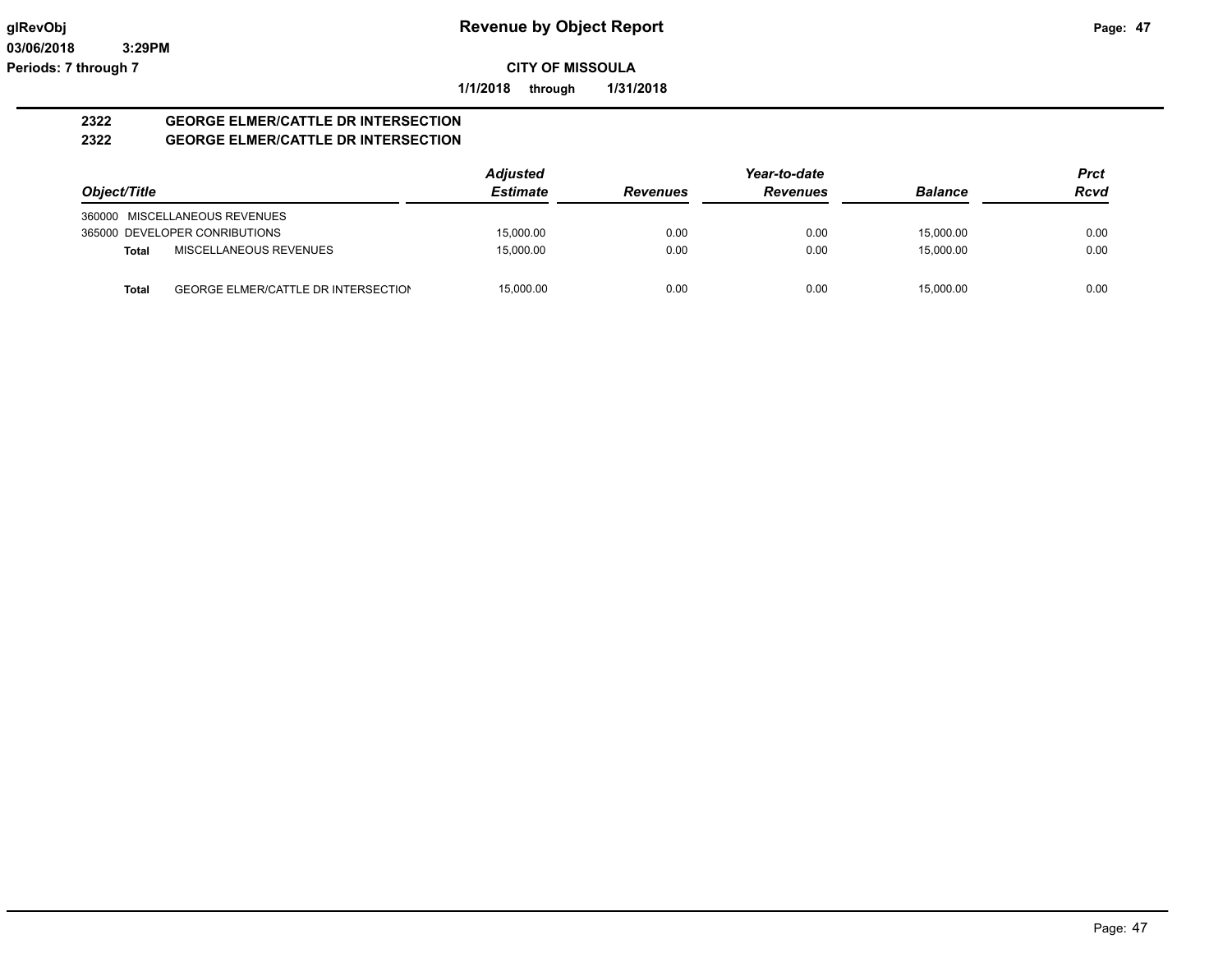**1/1/2018 through 1/31/2018**

#### **2322 GEORGE ELMER/CATTLE DR INTERSECTION 2322 GEORGE ELMER/CATTLE DR INTERSECTION**

|              |                                     | <b>Adjusted</b> |                 | Year-to-date    |                | <b>Prct</b> |
|--------------|-------------------------------------|-----------------|-----------------|-----------------|----------------|-------------|
| Object/Title |                                     | <b>Estimate</b> | <b>Revenues</b> | <b>Revenues</b> | <b>Balance</b> | <b>Rcvd</b> |
|              | 360000 MISCELLANEOUS REVENUES       |                 |                 |                 |                |             |
|              | 365000 DEVELOPER CONRIBUTIONS       | 15,000.00       | 0.00            | 0.00            | 15.000.00      | 0.00        |
| <b>Total</b> | MISCELLANEOUS REVENUES              | 15.000.00       | 0.00            | 0.00            | 15.000.00      | 0.00        |
| Total        | GEORGE ELMER/CATTLE DR INTERSECTION | 15.000.00       | 0.00            | 0.00            | 15.000.00      | 0.00        |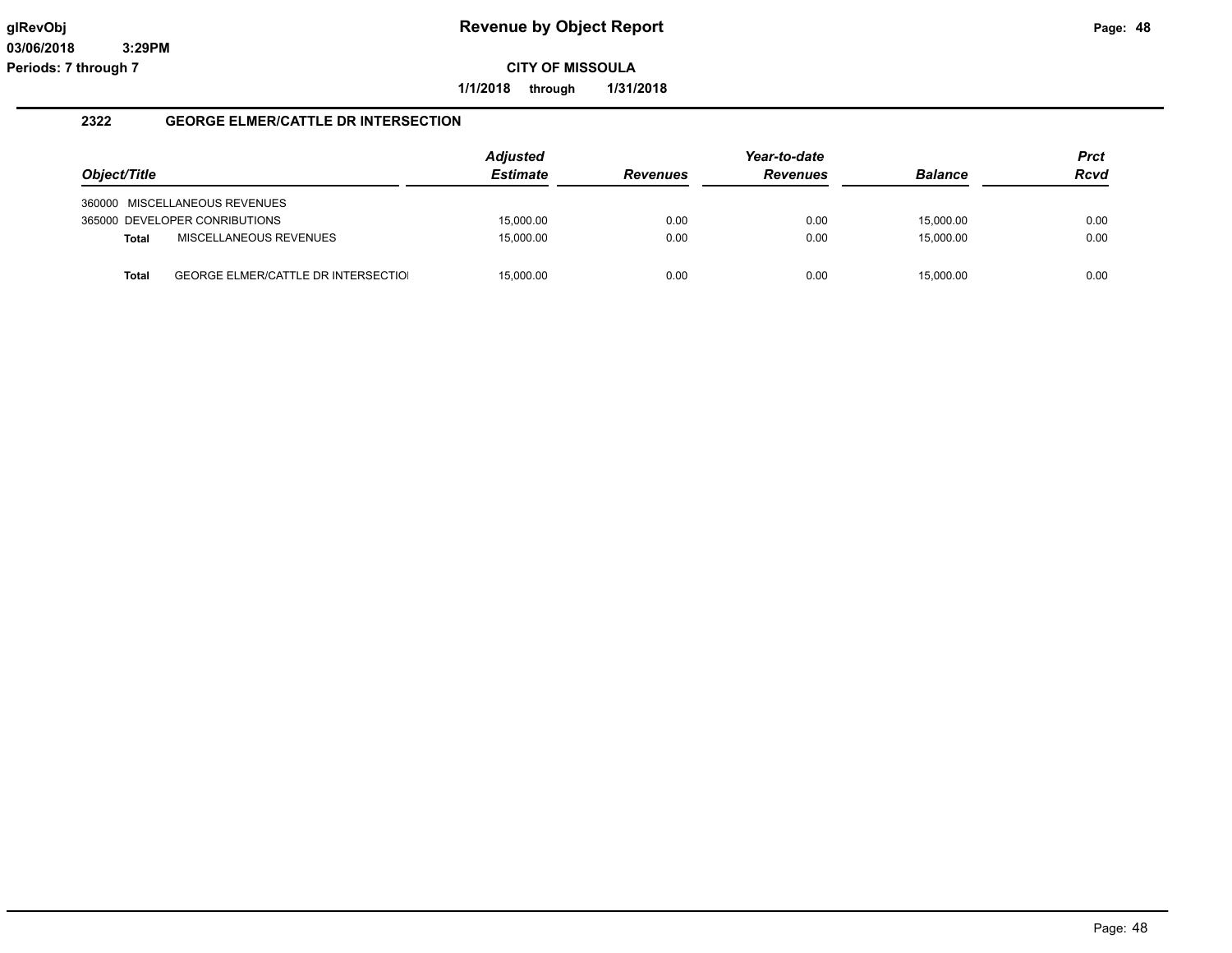**1/1/2018 through 1/31/2018**

## **2322 GEORGE ELMER/CATTLE DR INTERSECTION**

|              |                                            | <b>Adjusted</b> |                 | Year-to-date    |                | <b>Prct</b> |
|--------------|--------------------------------------------|-----------------|-----------------|-----------------|----------------|-------------|
| Object/Title |                                            | <b>Estimate</b> | <b>Revenues</b> | <b>Revenues</b> | <b>Balance</b> | <b>Rcvd</b> |
|              | 360000 MISCELLANEOUS REVENUES              |                 |                 |                 |                |             |
|              | 365000 DEVELOPER CONRIBUTIONS              | 15,000.00       | 0.00            | 0.00            | 15,000.00      | 0.00        |
| <b>Total</b> | MISCELLANEOUS REVENUES                     | 15,000.00       | 0.00            | 0.00            | 15,000.00      | 0.00        |
| <b>Total</b> | <b>GEORGE ELMER/CATTLE DR INTERSECTIOL</b> | 15,000.00       | 0.00            | 0.00            | 15.000.00      | 0.00        |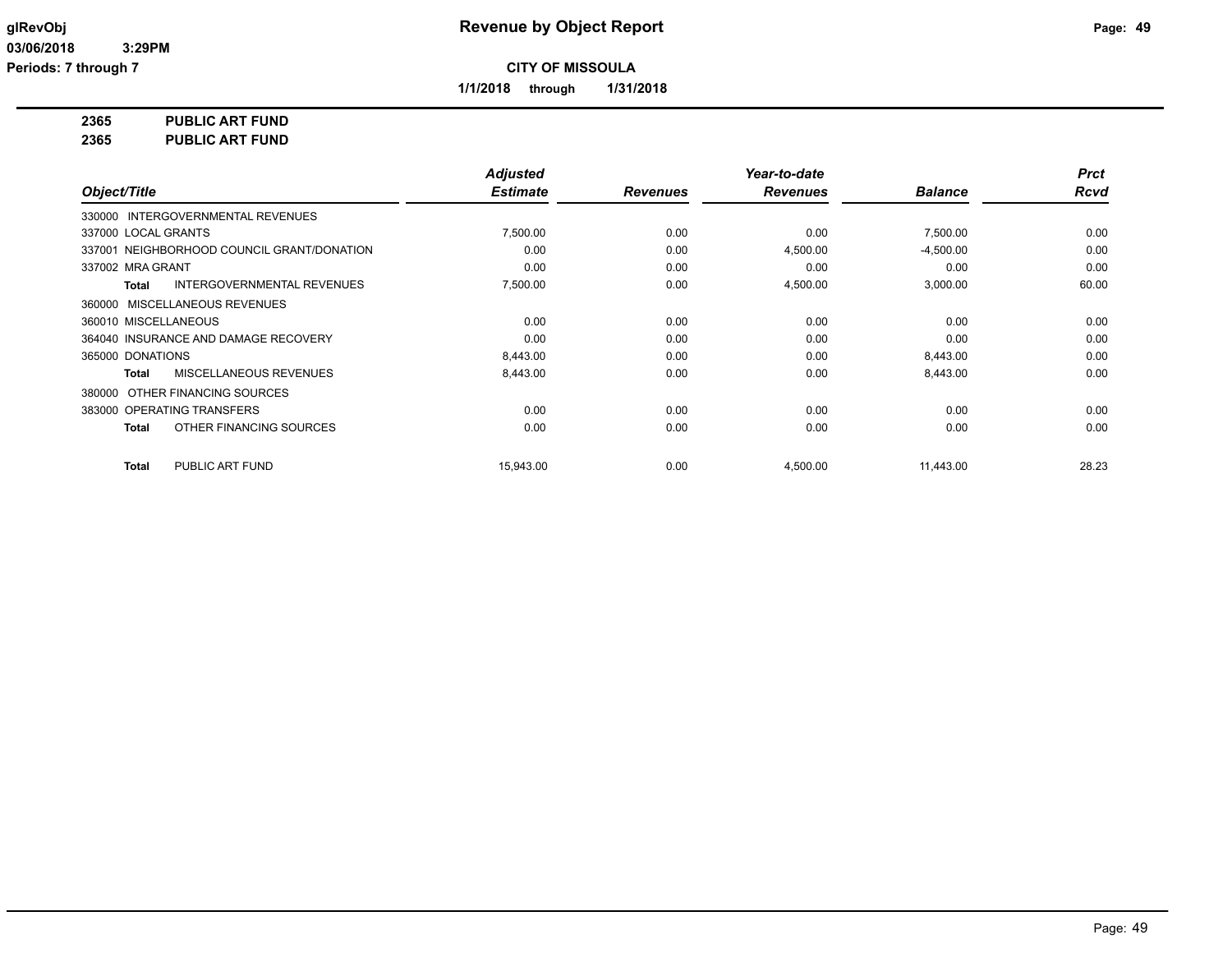**1/1/2018 through 1/31/2018**

**2365 PUBLIC ART FUND**

**2365 PUBLIC ART FUND**

|                                                   | <b>Adjusted</b> |                 | Year-to-date    |                | <b>Prct</b> |
|---------------------------------------------------|-----------------|-----------------|-----------------|----------------|-------------|
| Object/Title                                      | <b>Estimate</b> | <b>Revenues</b> | <b>Revenues</b> | <b>Balance</b> | <b>Rcvd</b> |
| 330000 INTERGOVERNMENTAL REVENUES                 |                 |                 |                 |                |             |
| 337000 LOCAL GRANTS                               | 7,500.00        | 0.00            | 0.00            | 7,500.00       | 0.00        |
| 337001 NEIGHBORHOOD COUNCIL GRANT/DONATION        | 0.00            | 0.00            | 4,500.00        | $-4,500.00$    | 0.00        |
| 337002 MRA GRANT                                  | 0.00            | 0.00            | 0.00            | 0.00           | 0.00        |
| <b>INTERGOVERNMENTAL REVENUES</b><br><b>Total</b> | 7,500.00        | 0.00            | 4,500.00        | 3,000.00       | 60.00       |
| 360000 MISCELLANEOUS REVENUES                     |                 |                 |                 |                |             |
| 360010 MISCELLANEOUS                              | 0.00            | 0.00            | 0.00            | 0.00           | 0.00        |
| 364040 INSURANCE AND DAMAGE RECOVERY              | 0.00            | 0.00            | 0.00            | 0.00           | 0.00        |
| 365000 DONATIONS                                  | 8,443.00        | 0.00            | 0.00            | 8,443.00       | 0.00        |
| MISCELLANEOUS REVENUES<br><b>Total</b>            | 8,443.00        | 0.00            | 0.00            | 8,443.00       | 0.00        |
| 380000 OTHER FINANCING SOURCES                    |                 |                 |                 |                |             |
| 383000 OPERATING TRANSFERS                        | 0.00            | 0.00            | 0.00            | 0.00           | 0.00        |
| OTHER FINANCING SOURCES<br><b>Total</b>           | 0.00            | 0.00            | 0.00            | 0.00           | 0.00        |
| PUBLIC ART FUND<br><b>Total</b>                   | 15,943.00       | 0.00            | 4,500.00        | 11,443.00      | 28.23       |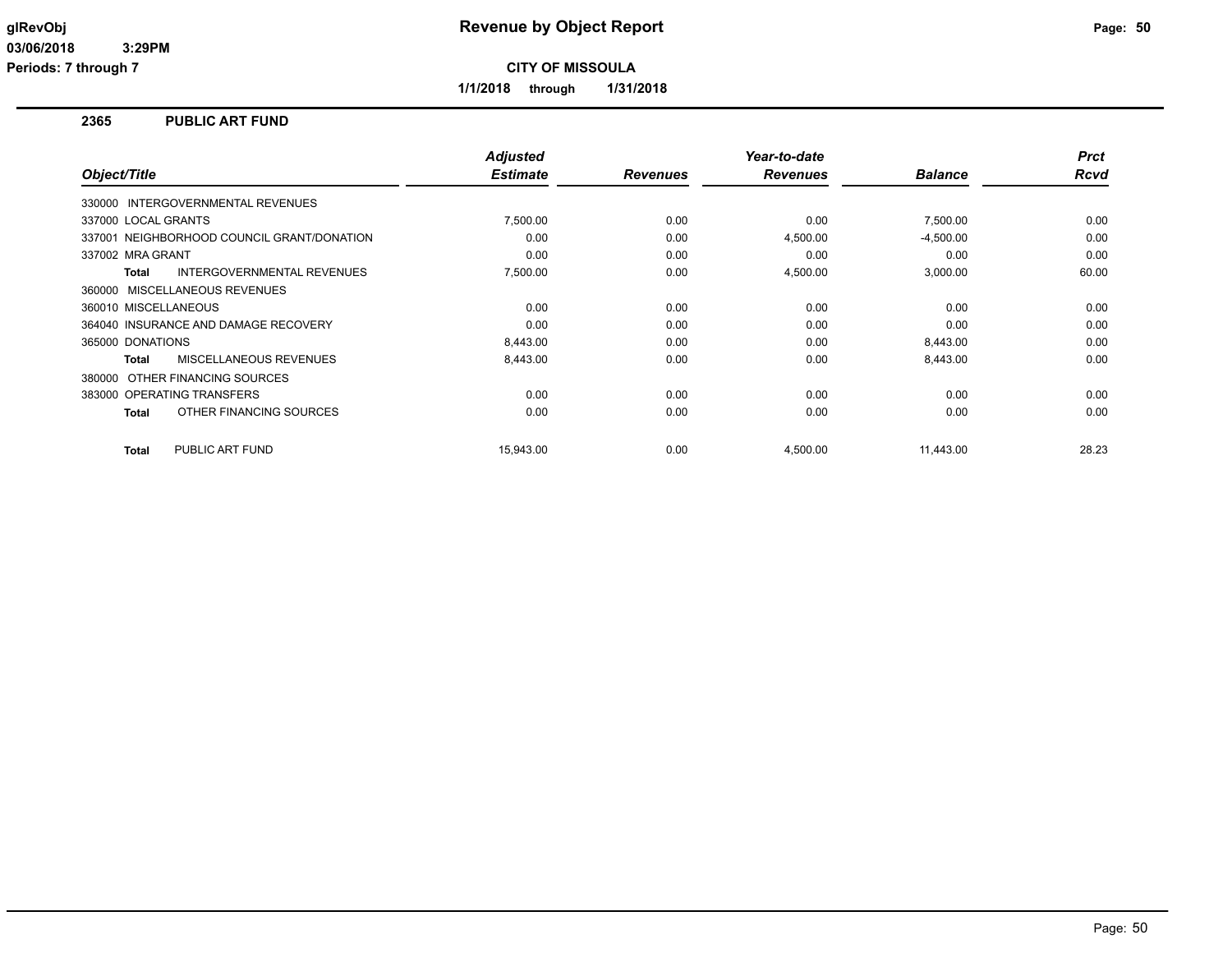**1/1/2018 through 1/31/2018**

## **2365 PUBLIC ART FUND**

| Object/Title                                      | <b>Adjusted</b><br><b>Estimate</b> | <b>Revenues</b> | Year-to-date<br><b>Revenues</b> | <b>Balance</b> | <b>Prct</b><br>Rcvd |
|---------------------------------------------------|------------------------------------|-----------------|---------------------------------|----------------|---------------------|
| 330000 INTERGOVERNMENTAL REVENUES                 |                                    |                 |                                 |                |                     |
| 337000 LOCAL GRANTS                               | 7,500.00                           | 0.00            | 0.00                            | 7,500.00       | 0.00                |
| 337001 NEIGHBORHOOD COUNCIL GRANT/DONATION        | 0.00                               | 0.00            | 4,500.00                        | $-4,500.00$    | 0.00                |
| 337002 MRA GRANT                                  | 0.00                               | 0.00            | 0.00                            | 0.00           | 0.00                |
| <b>INTERGOVERNMENTAL REVENUES</b><br><b>Total</b> | 7,500.00                           | 0.00            | 4,500.00                        | 3,000.00       | 60.00               |
| 360000 MISCELLANEOUS REVENUES                     |                                    |                 |                                 |                |                     |
| 360010 MISCELLANEOUS                              | 0.00                               | 0.00            | 0.00                            | 0.00           | 0.00                |
| 364040 INSURANCE AND DAMAGE RECOVERY              | 0.00                               | 0.00            | 0.00                            | 0.00           | 0.00                |
| 365000 DONATIONS                                  | 8,443.00                           | 0.00            | 0.00                            | 8,443.00       | 0.00                |
| MISCELLANEOUS REVENUES<br><b>Total</b>            | 8,443.00                           | 0.00            | 0.00                            | 8,443.00       | 0.00                |
| OTHER FINANCING SOURCES<br>380000                 |                                    |                 |                                 |                |                     |
| 383000 OPERATING TRANSFERS                        | 0.00                               | 0.00            | 0.00                            | 0.00           | 0.00                |
| OTHER FINANCING SOURCES<br><b>Total</b>           | 0.00                               | 0.00            | 0.00                            | 0.00           | 0.00                |
| PUBLIC ART FUND<br><b>Total</b>                   | 15.943.00                          | 0.00            | 4,500.00                        | 11,443.00      | 28.23               |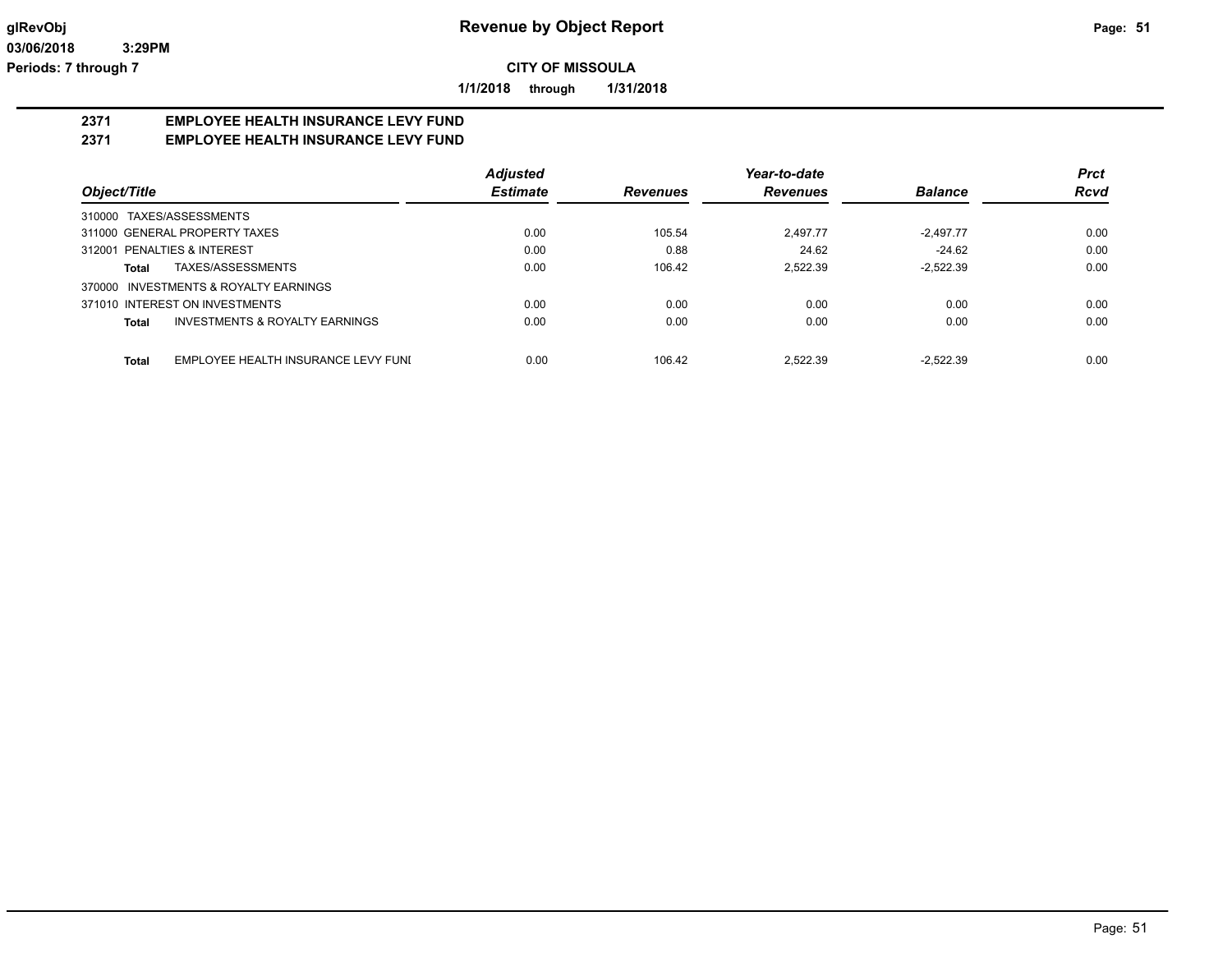**1/1/2018 through 1/31/2018**

# **2371 EMPLOYEE HEALTH INSURANCE LEVY FUND**

## **2371 EMPLOYEE HEALTH INSURANCE LEVY FUND**

|                                              | <b>Adjusted</b> |                 | Year-to-date    |                | <b>Prct</b> |
|----------------------------------------------|-----------------|-----------------|-----------------|----------------|-------------|
| Object/Title                                 | <b>Estimate</b> | <b>Revenues</b> | <b>Revenues</b> | <b>Balance</b> | <b>Rcvd</b> |
| TAXES/ASSESSMENTS<br>310000                  |                 |                 |                 |                |             |
| 311000 GENERAL PROPERTY TAXES                | 0.00            | 105.54          | 2.497.77        | $-2.497.77$    | 0.00        |
| 312001 PENALTIES & INTEREST                  | 0.00            | 0.88            | 24.62           | $-24.62$       | 0.00        |
| TAXES/ASSESSMENTS<br>Total                   | 0.00            | 106.42          | 2.522.39        | $-2.522.39$    | 0.00        |
| INVESTMENTS & ROYALTY EARNINGS<br>370000     |                 |                 |                 |                |             |
| 371010 INTEREST ON INVESTMENTS               | 0.00            | 0.00            | 0.00            | 0.00           | 0.00        |
| INVESTMENTS & ROYALTY EARNINGS<br>Total      | 0.00            | 0.00            | 0.00            | 0.00           | 0.00        |
| EMPLOYEE HEALTH INSURANCE LEVY FUNI<br>Total | 0.00            | 106.42          | 2.522.39        | $-2.522.39$    | 0.00        |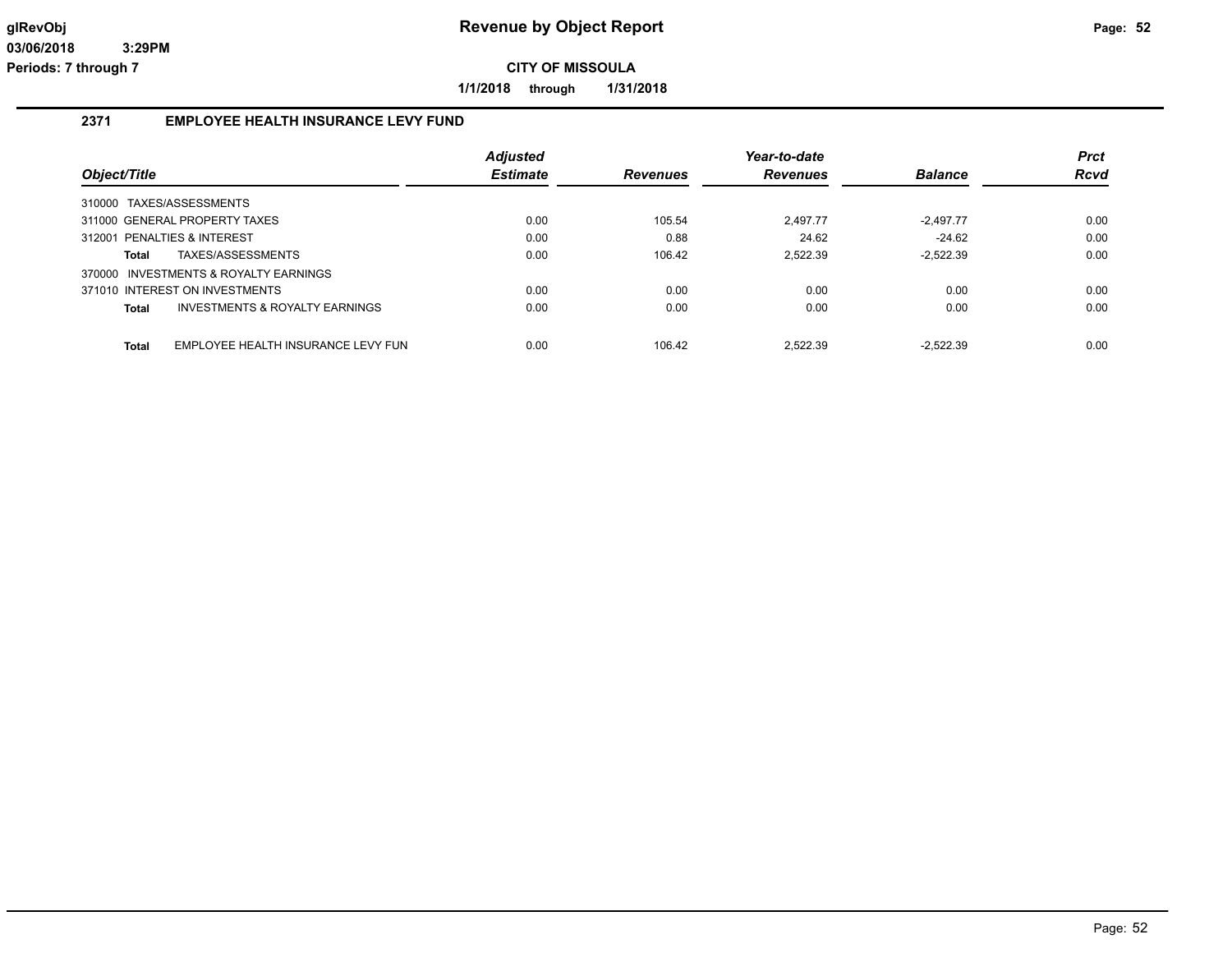**1/1/2018 through 1/31/2018**

## **2371 EMPLOYEE HEALTH INSURANCE LEVY FUND**

| Object/Title                                       | <b>Adjusted</b><br><b>Estimate</b> | <b>Revenues</b> | Year-to-date<br><b>Revenues</b> | <b>Balance</b> | <b>Prct</b><br><b>Rcvd</b> |
|----------------------------------------------------|------------------------------------|-----------------|---------------------------------|----------------|----------------------------|
|                                                    |                                    |                 |                                 |                |                            |
| 310000 TAXES/ASSESSMENTS                           |                                    |                 |                                 |                |                            |
| 311000 GENERAL PROPERTY TAXES                      | 0.00                               | 105.54          | 2.497.77                        | $-2.497.77$    | 0.00                       |
| 312001 PENALTIES & INTEREST                        | 0.00                               | 0.88            | 24.62                           | $-24.62$       | 0.00                       |
| TAXES/ASSESSMENTS<br>Total                         | 0.00                               | 106.42          | 2.522.39                        | $-2.522.39$    | 0.00                       |
| 370000 INVESTMENTS & ROYALTY EARNINGS              |                                    |                 |                                 |                |                            |
| 371010 INTEREST ON INVESTMENTS                     | 0.00                               | 0.00            | 0.00                            | 0.00           | 0.00                       |
| <b>INVESTMENTS &amp; ROYALTY EARNINGS</b><br>Total | 0.00                               | 0.00            | 0.00                            | 0.00           | 0.00                       |
|                                                    |                                    |                 |                                 |                |                            |
| EMPLOYEE HEALTH INSURANCE LEVY FUN<br>Total        | 0.00                               | 106.42          | 2.522.39                        | $-2.522.39$    | 0.00                       |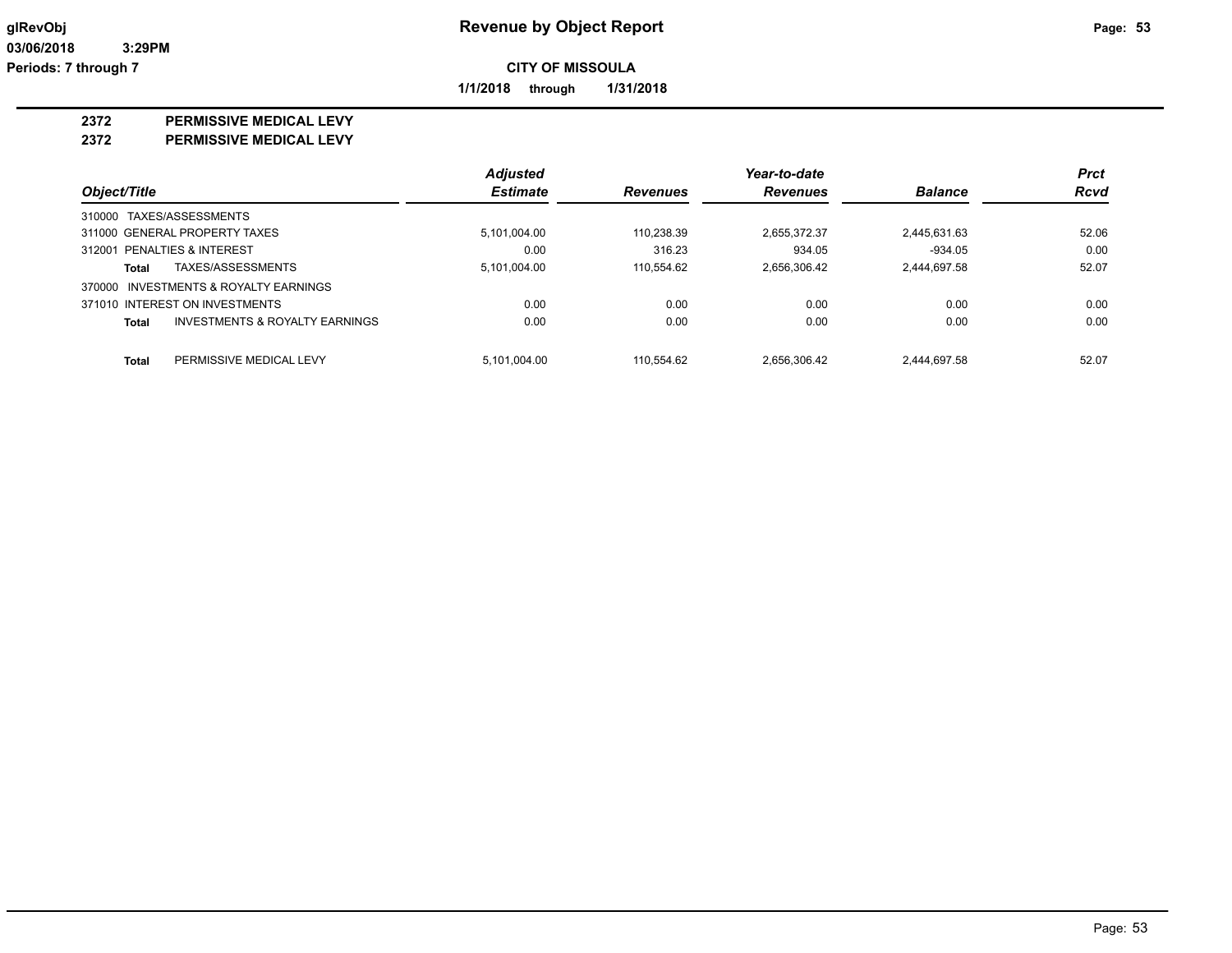**1/1/2018 through 1/31/2018**

## **2372 PERMISSIVE MEDICAL LEVY**

**2372 PERMISSIVE MEDICAL LEVY**

|                                                           | <b>Adjusted</b> |                 | Year-to-date    |                | <b>Prct</b> |
|-----------------------------------------------------------|-----------------|-----------------|-----------------|----------------|-------------|
| Object/Title                                              | <b>Estimate</b> | <b>Revenues</b> | <b>Revenues</b> | <b>Balance</b> | <b>Rcvd</b> |
| 310000 TAXES/ASSESSMENTS                                  |                 |                 |                 |                |             |
| 311000 GENERAL PROPERTY TAXES                             | 5.101.004.00    | 110.238.39      | 2.655.372.37    | 2,445,631.63   | 52.06       |
| 312001 PENALTIES & INTEREST                               | 0.00            | 316.23          | 934.05          | $-934.05$      | 0.00        |
| TAXES/ASSESSMENTS<br>Total                                | 5,101,004.00    | 110.554.62      | 2,656,306.42    | 2,444,697.58   | 52.07       |
| 370000 INVESTMENTS & ROYALTY EARNINGS                     |                 |                 |                 |                |             |
| 371010 INTEREST ON INVESTMENTS                            | 0.00            | 0.00            | 0.00            | 0.00           | 0.00        |
| <b>INVESTMENTS &amp; ROYALTY EARNINGS</b><br><b>Total</b> | 0.00            | 0.00            | 0.00            | 0.00           | 0.00        |
| PERMISSIVE MEDICAL LEVY<br><b>Total</b>                   | 5.101.004.00    | 110.554.62      | 2.656.306.42    | 2,444,697.58   | 52.07       |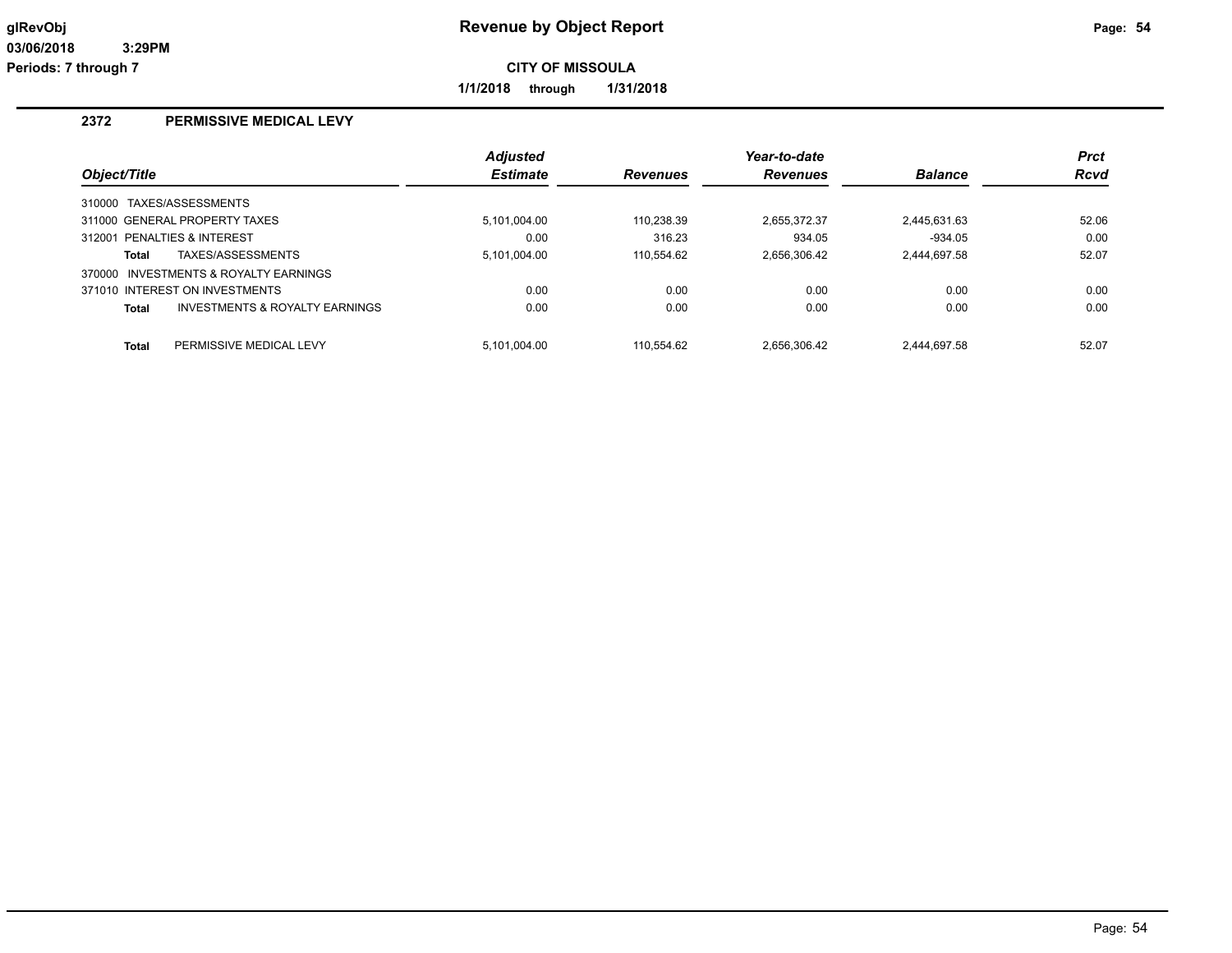**1/1/2018 through 1/31/2018**

## **2372 PERMISSIVE MEDICAL LEVY**

|              |                                       | <b>Adjusted</b> |                 | Year-to-date    |                | <b>Prct</b> |
|--------------|---------------------------------------|-----------------|-----------------|-----------------|----------------|-------------|
| Object/Title |                                       | <b>Estimate</b> | <b>Revenues</b> | <b>Revenues</b> | <b>Balance</b> | <b>Rcvd</b> |
|              | 310000 TAXES/ASSESSMENTS              |                 |                 |                 |                |             |
|              | 311000 GENERAL PROPERTY TAXES         | 5.101.004.00    | 110.238.39      | 2.655.372.37    | 2,445,631.63   | 52.06       |
|              | 312001 PENALTIES & INTEREST           | 0.00            | 316.23          | 934.05          | $-934.05$      | 0.00        |
| Total        | TAXES/ASSESSMENTS                     | 5,101,004.00    | 110.554.62      | 2,656,306.42    | 2.444.697.58   | 52.07       |
|              | 370000 INVESTMENTS & ROYALTY EARNINGS |                 |                 |                 |                |             |
|              | 371010 INTEREST ON INVESTMENTS        | 0.00            | 0.00            | 0.00            | 0.00           | 0.00        |
| Total        | INVESTMENTS & ROYALTY EARNINGS        | 0.00            | 0.00            | 0.00            | 0.00           | 0.00        |
| <b>Total</b> | PERMISSIVE MEDICAL LEVY               | 5.101.004.00    | 110.554.62      | 2.656.306.42    | 2.444.697.58   | 52.07       |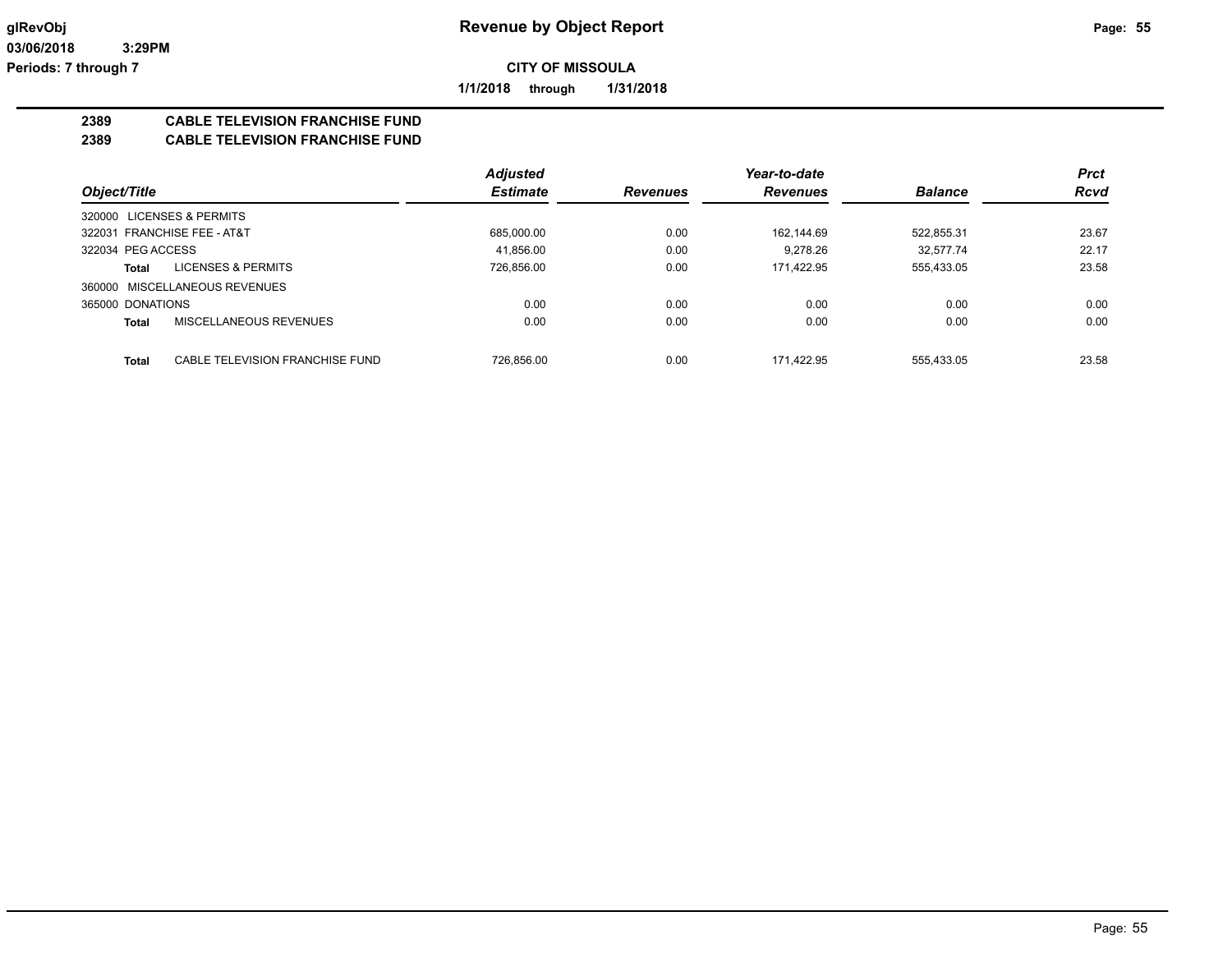**1/1/2018 through 1/31/2018**

## **2389 CABLE TELEVISION FRANCHISE FUND**

**2389 CABLE TELEVISION FRANCHISE FUND**

|                                          | <b>Adjusted</b> |                 | Year-to-date    |                | <b>Prct</b> |
|------------------------------------------|-----------------|-----------------|-----------------|----------------|-------------|
| Object/Title                             | <b>Estimate</b> | <b>Revenues</b> | <b>Revenues</b> | <b>Balance</b> | <b>Rcvd</b> |
| 320000 LICENSES & PERMITS                |                 |                 |                 |                |             |
| 322031 FRANCHISE FEE - AT&T              | 685.000.00      | 0.00            | 162.144.69      | 522,855.31     | 23.67       |
| 322034 PEG ACCESS                        | 41.856.00       | 0.00            | 9.278.26        | 32.577.74      | 22.17       |
| <b>LICENSES &amp; PERMITS</b><br>Total   | 726.856.00      | 0.00            | 171.422.95      | 555,433.05     | 23.58       |
| 360000 MISCELLANEOUS REVENUES            |                 |                 |                 |                |             |
| 365000 DONATIONS                         | 0.00            | 0.00            | 0.00            | 0.00           | 0.00        |
| <b>MISCELLANEOUS REVENUES</b><br>Total   | 0.00            | 0.00            | 0.00            | 0.00           | 0.00        |
| CABLE TELEVISION FRANCHISE FUND<br>Total | 726.856.00      | 0.00            | 171.422.95      | 555.433.05     | 23.58       |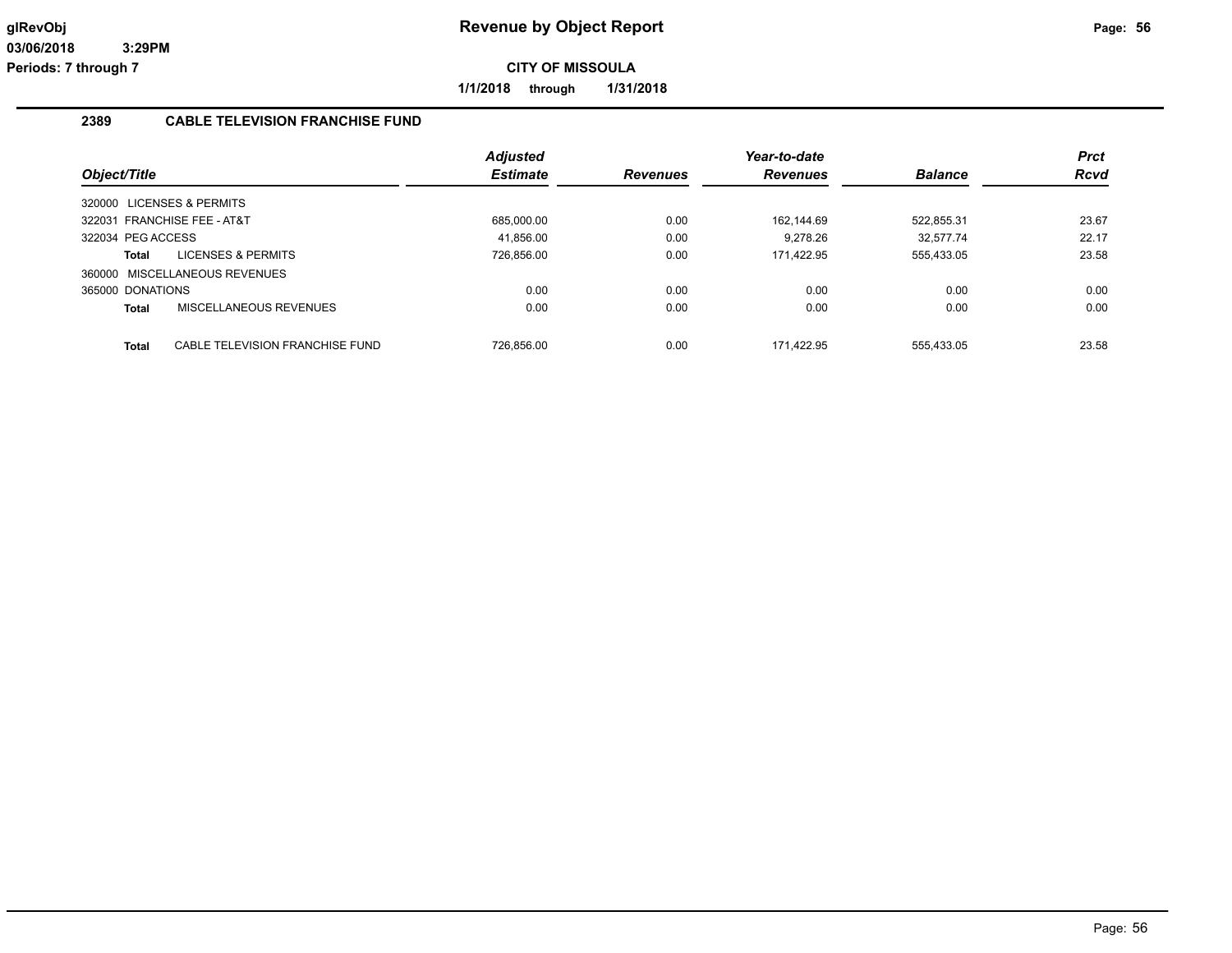**1/1/2018 through 1/31/2018**

#### **2389 CABLE TELEVISION FRANCHISE FUND**

|                   |                                 | <b>Adjusted</b> |                 | Year-to-date |                | <b>Prct</b> |
|-------------------|---------------------------------|-----------------|-----------------|--------------|----------------|-------------|
| Object/Title      |                                 | <b>Estimate</b> | <b>Revenues</b> | Revenues     | <b>Balance</b> | <b>Rcvd</b> |
|                   | 320000 LICENSES & PERMITS       |                 |                 |              |                |             |
|                   | 322031 FRANCHISE FEE - AT&T     | 685.000.00      | 0.00            | 162.144.69   | 522.855.31     | 23.67       |
| 322034 PEG ACCESS |                                 | 41.856.00       | 0.00            | 9.278.26     | 32.577.74      | 22.17       |
| Total             | <b>LICENSES &amp; PERMITS</b>   | 726,856.00      | 0.00            | 171.422.95   | 555,433.05     | 23.58       |
|                   | 360000 MISCELLANEOUS REVENUES   |                 |                 |              |                |             |
| 365000 DONATIONS  |                                 | 0.00            | 0.00            | 0.00         | 0.00           | 0.00        |
| Total             | MISCELLANEOUS REVENUES          | 0.00            | 0.00            | 0.00         | 0.00           | 0.00        |
| <b>Total</b>      | CABLE TELEVISION FRANCHISE FUND | 726.856.00      | 0.00            | 171.422.95   | 555.433.05     | 23.58       |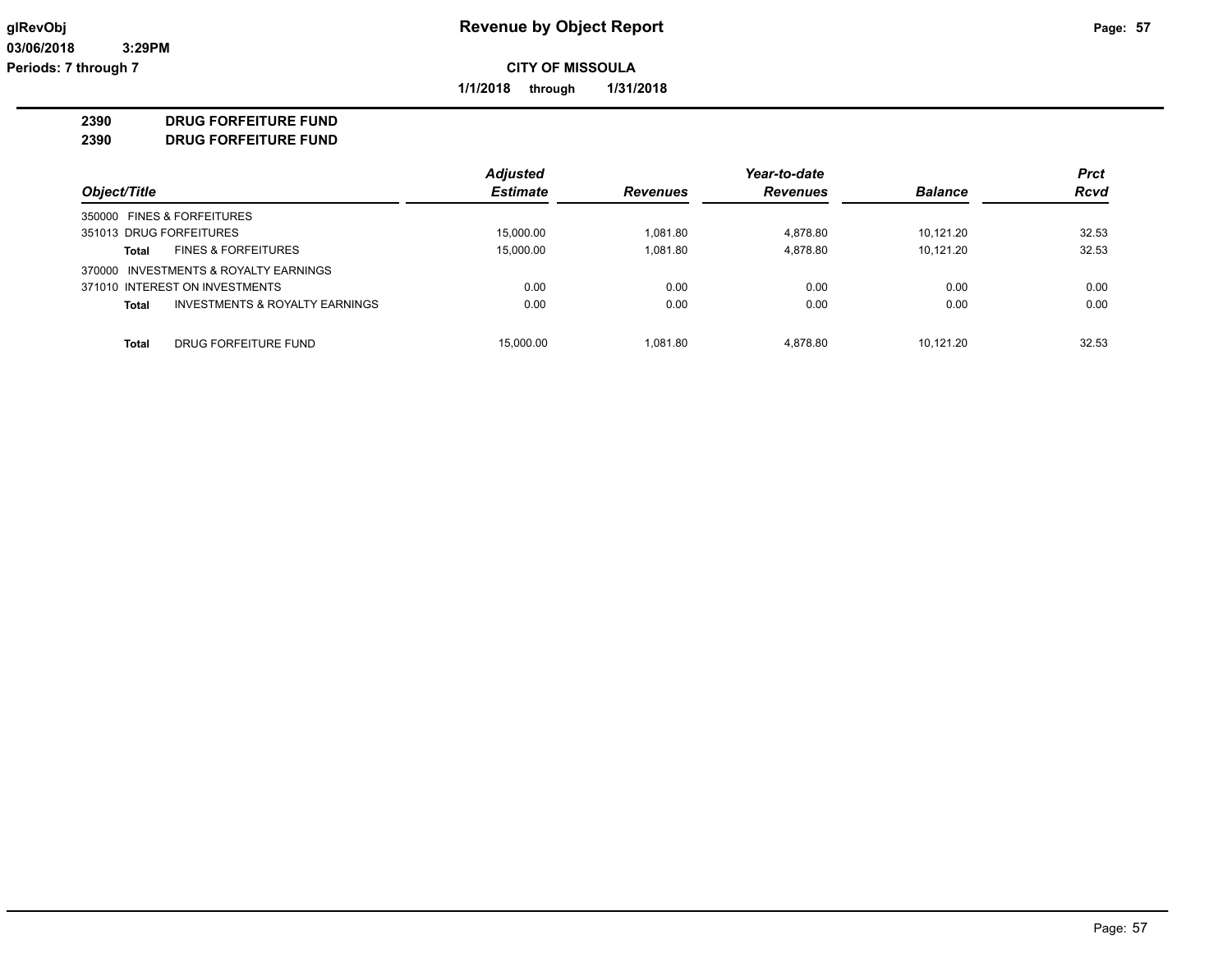**1/1/2018 through 1/31/2018**

## **2390 DRUG FORFEITURE FUND**

**2390 DRUG FORFEITURE FUND**

|                                                | <b>Adjusted</b> |                 | Year-to-date    |                | <b>Prct</b> |
|------------------------------------------------|-----------------|-----------------|-----------------|----------------|-------------|
| Object/Title                                   | <b>Estimate</b> | <b>Revenues</b> | <b>Revenues</b> | <b>Balance</b> | <b>Rcvd</b> |
| 350000 FINES & FORFEITURES                     |                 |                 |                 |                |             |
| 351013 DRUG FORFEITURES                        | 15.000.00       | 1.081.80        | 4.878.80        | 10.121.20      | 32.53       |
| <b>FINES &amp; FORFEITURES</b><br>Total        | 15.000.00       | 1.081.80        | 4.878.80        | 10.121.20      | 32.53       |
| 370000 INVESTMENTS & ROYALTY EARNINGS          |                 |                 |                 |                |             |
| 371010 INTEREST ON INVESTMENTS                 | 0.00            | 0.00            | 0.00            | 0.00           | 0.00        |
| INVESTMENTS & ROYALTY EARNINGS<br><b>Total</b> | 0.00            | 0.00            | 0.00            | 0.00           | 0.00        |
|                                                |                 |                 |                 |                |             |
| Total<br>DRUG FORFEITURE FUND                  | 15,000.00       | 1.081.80        | 4.878.80        | 10.121.20      | 32.53       |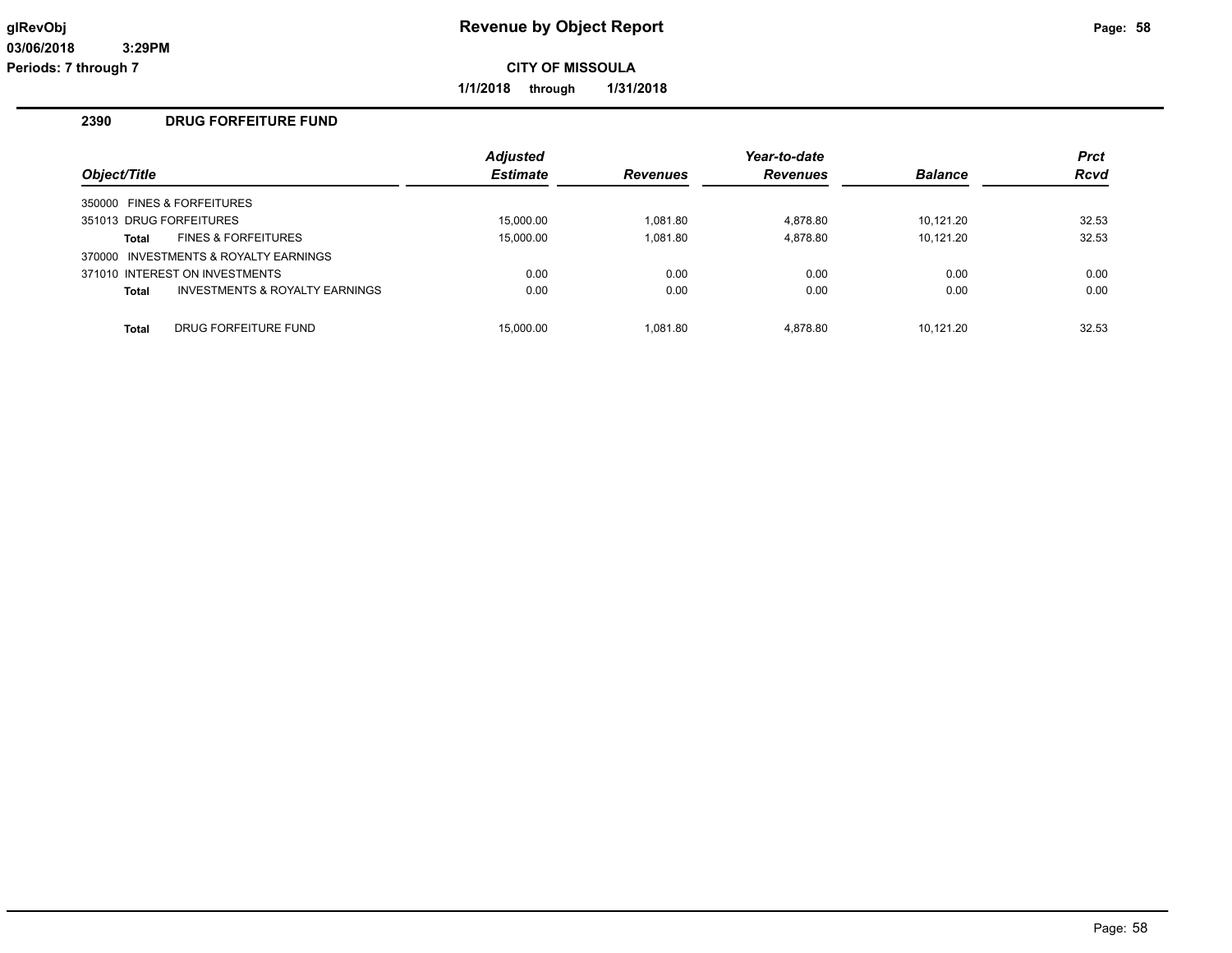**1/1/2018 through 1/31/2018**

## **2390 DRUG FORFEITURE FUND**

|              |                                       | <b>Adjusted</b> |                 | Year-to-date    |                | <b>Prct</b> |
|--------------|---------------------------------------|-----------------|-----------------|-----------------|----------------|-------------|
| Object/Title |                                       | <b>Estimate</b> | <b>Revenues</b> | <b>Revenues</b> | <b>Balance</b> | Rcvd        |
|              | 350000 FINES & FORFEITURES            |                 |                 |                 |                |             |
|              | 351013 DRUG FORFEITURES               | 15.000.00       | 1.081.80        | 4.878.80        | 10.121.20      | 32.53       |
| Total        | <b>FINES &amp; FORFEITURES</b>        | 15,000.00       | 1.081.80        | 4.878.80        | 10.121.20      | 32.53       |
|              | 370000 INVESTMENTS & ROYALTY EARNINGS |                 |                 |                 |                |             |
|              | 371010 INTEREST ON INVESTMENTS        | 0.00            | 0.00            | 0.00            | 0.00           | 0.00        |
| <b>Total</b> | INVESTMENTS & ROYALTY EARNINGS        | 0.00            | 0.00            | 0.00            | 0.00           | 0.00        |
| <b>Total</b> | DRUG FORFEITURE FUND                  | 15.000.00       | 1.081.80        | 4.878.80        | 10.121.20      | 32.53       |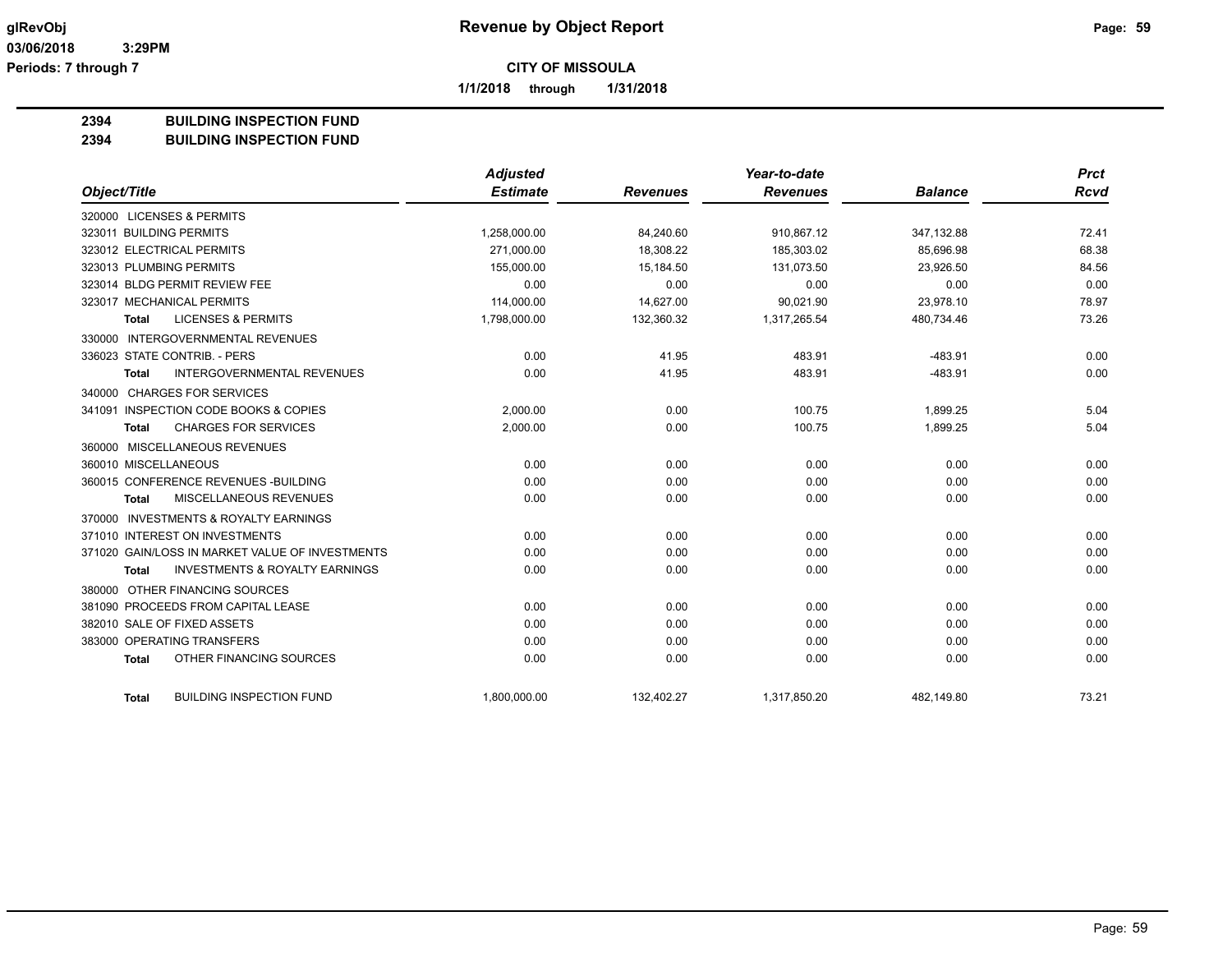**1/1/2018 through 1/31/2018**

## **2394 BUILDING INSPECTION FUND**

#### **2394 BUILDING INSPECTION FUND**

|                                |                                                 | <b>Adjusted</b> |                 | Year-to-date    |                | <b>Prct</b> |
|--------------------------------|-------------------------------------------------|-----------------|-----------------|-----------------|----------------|-------------|
| Object/Title                   |                                                 | <b>Estimate</b> | <b>Revenues</b> | <b>Revenues</b> | <b>Balance</b> | <b>Rcvd</b> |
| 320000 LICENSES & PERMITS      |                                                 |                 |                 |                 |                |             |
| 323011 BUILDING PERMITS        |                                                 | 1,258,000.00    | 84,240.60       | 910,867.12      | 347,132.88     | 72.41       |
| 323012 ELECTRICAL PERMITS      |                                                 | 271,000.00      | 18.308.22       | 185,303.02      | 85.696.98      | 68.38       |
| 323013 PLUMBING PERMITS        |                                                 | 155,000.00      | 15,184.50       | 131,073.50      | 23,926.50      | 84.56       |
| 323014 BLDG PERMIT REVIEW FEE  |                                                 | 0.00            | 0.00            | 0.00            | 0.00           | 0.00        |
| 323017 MECHANICAL PERMITS      |                                                 | 114,000.00      | 14.627.00       | 90.021.90       | 23.978.10      | 78.97       |
| <b>Total</b>                   | <b>LICENSES &amp; PERMITS</b>                   | 1,798,000.00    | 132,360.32      | 1,317,265.54    | 480,734.46     | 73.26       |
|                                | 330000 INTERGOVERNMENTAL REVENUES               |                 |                 |                 |                |             |
| 336023 STATE CONTRIB. - PERS   |                                                 | 0.00            | 41.95           | 483.91          | $-483.91$      | 0.00        |
| <b>Total</b>                   | <b>INTERGOVERNMENTAL REVENUES</b>               | 0.00            | 41.95           | 483.91          | $-483.91$      | 0.00        |
| 340000 CHARGES FOR SERVICES    |                                                 |                 |                 |                 |                |             |
|                                | 341091 INSPECTION CODE BOOKS & COPIES           | 2.000.00        | 0.00            | 100.75          | 1.899.25       | 5.04        |
| Total                          | <b>CHARGES FOR SERVICES</b>                     | 2,000.00        | 0.00            | 100.75          | 1,899.25       | 5.04        |
|                                | 360000 MISCELLANEOUS REVENUES                   |                 |                 |                 |                |             |
| 360010 MISCELLANEOUS           |                                                 | 0.00            | 0.00            | 0.00            | 0.00           | 0.00        |
|                                | 360015 CONFERENCE REVENUES - BUILDING           | 0.00            | 0.00            | 0.00            | 0.00           | 0.00        |
| Total                          | MISCELLANEOUS REVENUES                          | 0.00            | 0.00            | 0.00            | 0.00           | 0.00        |
| 370000                         | <b>INVESTMENTS &amp; ROYALTY EARNINGS</b>       |                 |                 |                 |                |             |
| 371010 INTEREST ON INVESTMENTS |                                                 | 0.00            | 0.00            | 0.00            | 0.00           | 0.00        |
|                                | 371020 GAIN/LOSS IN MARKET VALUE OF INVESTMENTS | 0.00            | 0.00            | 0.00            | 0.00           | 0.00        |
| <b>Total</b>                   | <b>INVESTMENTS &amp; ROYALTY EARNINGS</b>       | 0.00            | 0.00            | 0.00            | 0.00           | 0.00        |
|                                | 380000 OTHER FINANCING SOURCES                  |                 |                 |                 |                |             |
|                                | 381090 PROCEEDS FROM CAPITAL LEASE              | 0.00            | 0.00            | 0.00            | 0.00           | 0.00        |
| 382010 SALE OF FIXED ASSETS    |                                                 | 0.00            | 0.00            | 0.00            | 0.00           | 0.00        |
| 383000 OPERATING TRANSFERS     |                                                 | 0.00            | 0.00            | 0.00            | 0.00           | 0.00        |
| <b>Total</b>                   | OTHER FINANCING SOURCES                         | 0.00            | 0.00            | 0.00            | 0.00           | 0.00        |
| Total                          | <b>BUILDING INSPECTION FUND</b>                 | 1,800,000.00    | 132,402.27      | 1,317,850.20    | 482,149.80     | 73.21       |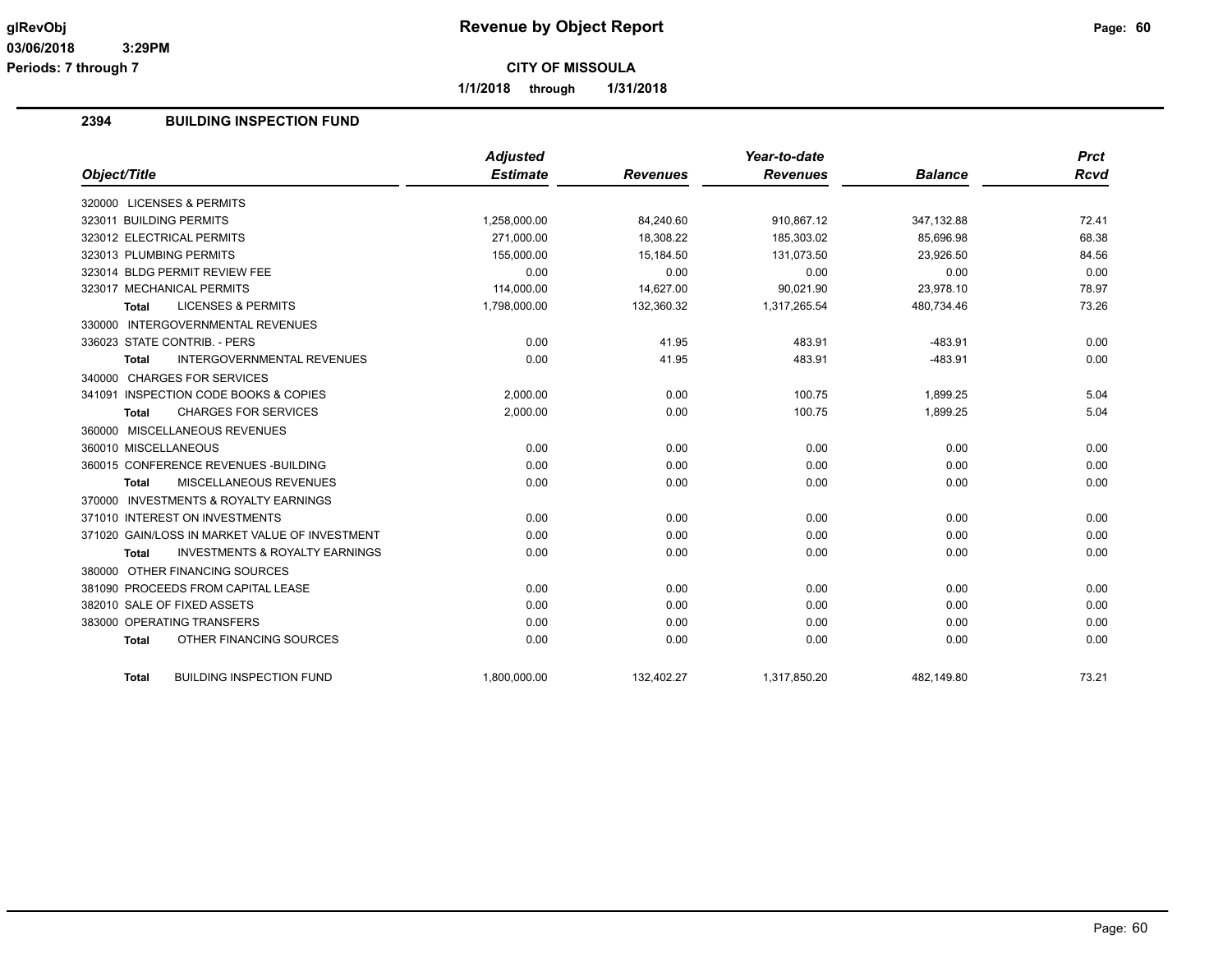**Periods: 7 through 7**

**CITY OF MISSOULA**

**1/1/2018 through 1/31/2018**

## **2394 BUILDING INSPECTION FUND**

|                                                           | <b>Adjusted</b> |                 | Year-to-date    |                | <b>Prct</b> |
|-----------------------------------------------------------|-----------------|-----------------|-----------------|----------------|-------------|
| Object/Title                                              | <b>Estimate</b> | <b>Revenues</b> | <b>Revenues</b> | <b>Balance</b> | Rcvd        |
| 320000 LICENSES & PERMITS                                 |                 |                 |                 |                |             |
| 323011 BUILDING PERMITS                                   | 1,258,000.00    | 84,240.60       | 910,867.12      | 347,132.88     | 72.41       |
| 323012 ELECTRICAL PERMITS                                 | 271.000.00      | 18.308.22       | 185.303.02      | 85.696.98      | 68.38       |
| 323013 PLUMBING PERMITS                                   | 155,000.00      | 15,184.50       | 131,073.50      | 23,926.50      | 84.56       |
| 323014 BLDG PERMIT REVIEW FEE                             | 0.00            | 0.00            | 0.00            | 0.00           | 0.00        |
| 323017 MECHANICAL PERMITS                                 | 114,000.00      | 14,627.00       | 90,021.90       | 23,978.10      | 78.97       |
| <b>LICENSES &amp; PERMITS</b><br><b>Total</b>             | 1,798,000.00    | 132,360.32      | 1,317,265.54    | 480,734.46     | 73.26       |
| 330000 INTERGOVERNMENTAL REVENUES                         |                 |                 |                 |                |             |
| 336023 STATE CONTRIB. - PERS                              | 0.00            | 41.95           | 483.91          | $-483.91$      | 0.00        |
| INTERGOVERNMENTAL REVENUES<br><b>Total</b>                | 0.00            | 41.95           | 483.91          | $-483.91$      | 0.00        |
| 340000 CHARGES FOR SERVICES                               |                 |                 |                 |                |             |
| 341091 INSPECTION CODE BOOKS & COPIES                     | 2.000.00        | 0.00            | 100.75          | 1.899.25       | 5.04        |
| <b>CHARGES FOR SERVICES</b><br><b>Total</b>               | 2,000.00        | 0.00            | 100.75          | 1,899.25       | 5.04        |
| 360000 MISCELLANEOUS REVENUES                             |                 |                 |                 |                |             |
| 360010 MISCELLANEOUS                                      | 0.00            | 0.00            | 0.00            | 0.00           | 0.00        |
| 360015 CONFERENCE REVENUES - BUILDING                     | 0.00            | 0.00            | 0.00            | 0.00           | 0.00        |
| MISCELLANEOUS REVENUES<br><b>Total</b>                    | 0.00            | 0.00            | 0.00            | 0.00           | 0.00        |
| 370000 INVESTMENTS & ROYALTY EARNINGS                     |                 |                 |                 |                |             |
| 371010 INTEREST ON INVESTMENTS                            | 0.00            | 0.00            | 0.00            | 0.00           | 0.00        |
| 371020 GAIN/LOSS IN MARKET VALUE OF INVESTMENT            | 0.00            | 0.00            | 0.00            | 0.00           | 0.00        |
| <b>INVESTMENTS &amp; ROYALTY EARNINGS</b><br><b>Total</b> | 0.00            | 0.00            | 0.00            | 0.00           | 0.00        |
| 380000 OTHER FINANCING SOURCES                            |                 |                 |                 |                |             |
| 381090 PROCEEDS FROM CAPITAL LEASE                        | 0.00            | 0.00            | 0.00            | 0.00           | 0.00        |
| 382010 SALE OF FIXED ASSETS                               | 0.00            | 0.00            | 0.00            | 0.00           | 0.00        |
| 383000 OPERATING TRANSFERS                                | 0.00            | 0.00            | 0.00            | 0.00           | 0.00        |
| OTHER FINANCING SOURCES<br><b>Total</b>                   | 0.00            | 0.00            | 0.00            | 0.00           | 0.00        |
| <b>BUILDING INSPECTION FUND</b><br>Total                  | 1,800,000.00    | 132,402.27      | 1,317,850.20    | 482,149.80     | 73.21       |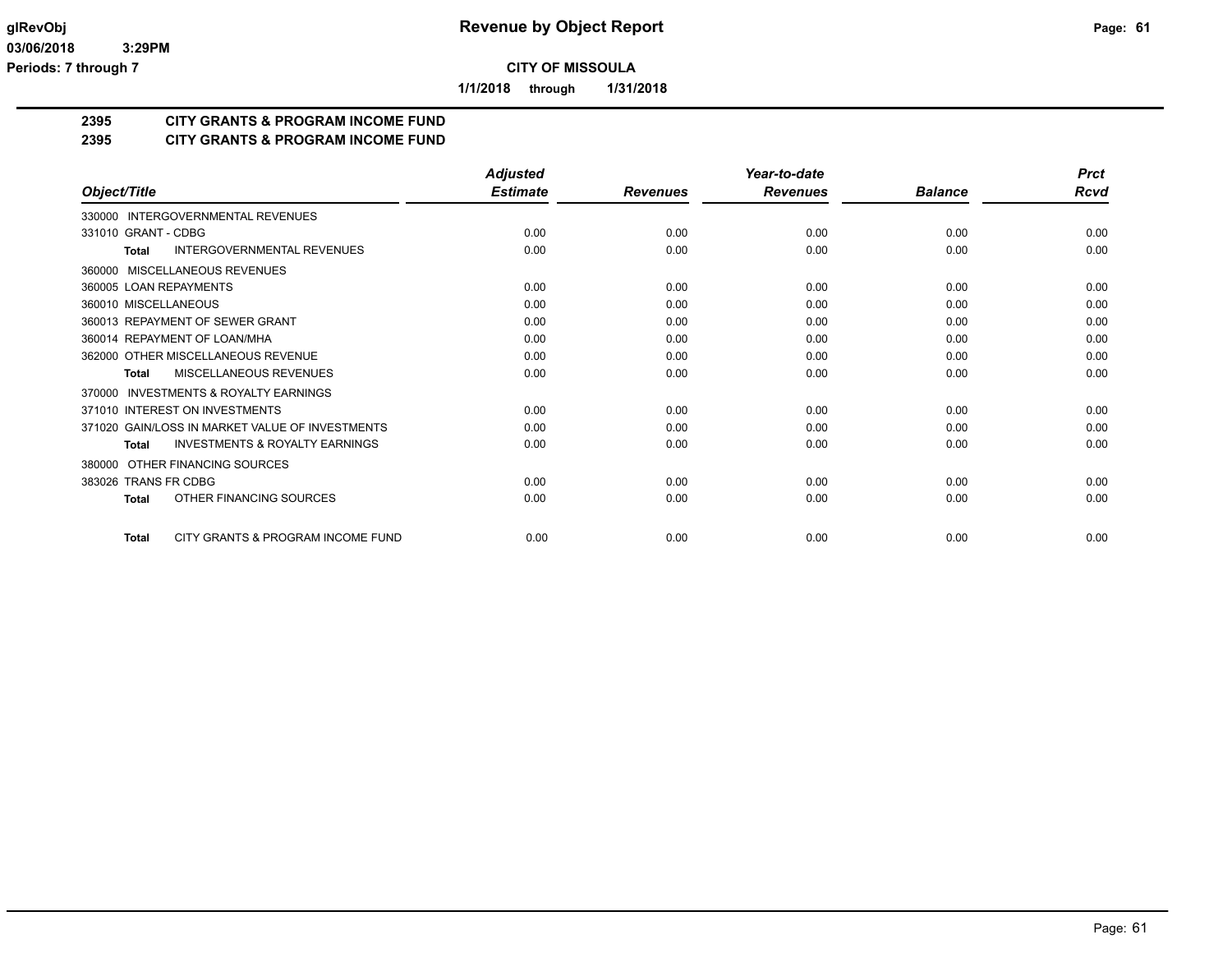**1/1/2018 through 1/31/2018**

## **2395 CITY GRANTS & PROGRAM INCOME FUND**

## **2395 CITY GRANTS & PROGRAM INCOME FUND**

|                                                     | <b>Adjusted</b> |                 | Year-to-date    |                | <b>Prct</b> |
|-----------------------------------------------------|-----------------|-----------------|-----------------|----------------|-------------|
| Object/Title                                        | <b>Estimate</b> | <b>Revenues</b> | <b>Revenues</b> | <b>Balance</b> | <b>Rcvd</b> |
| 330000 INTERGOVERNMENTAL REVENUES                   |                 |                 |                 |                |             |
| 331010 GRANT - CDBG                                 | 0.00            | 0.00            | 0.00            | 0.00           | 0.00        |
| <b>INTERGOVERNMENTAL REVENUES</b><br><b>Total</b>   | 0.00            | 0.00            | 0.00            | 0.00           | 0.00        |
| MISCELLANEOUS REVENUES<br>360000                    |                 |                 |                 |                |             |
| 360005 LOAN REPAYMENTS                              | 0.00            | 0.00            | 0.00            | 0.00           | 0.00        |
| 360010 MISCELLANEOUS                                | 0.00            | 0.00            | 0.00            | 0.00           | 0.00        |
| 360013 REPAYMENT OF SEWER GRANT                     | 0.00            | 0.00            | 0.00            | 0.00           | 0.00        |
| 360014 REPAYMENT OF LOAN/MHA                        | 0.00            | 0.00            | 0.00            | 0.00           | 0.00        |
| 362000 OTHER MISCELLANEOUS REVENUE                  | 0.00            | 0.00            | 0.00            | 0.00           | 0.00        |
| MISCELLANEOUS REVENUES<br><b>Total</b>              | 0.00            | 0.00            | 0.00            | 0.00           | 0.00        |
| <b>INVESTMENTS &amp; ROYALTY EARNINGS</b><br>370000 |                 |                 |                 |                |             |
| 371010 INTEREST ON INVESTMENTS                      | 0.00            | 0.00            | 0.00            | 0.00           | 0.00        |
| 371020 GAIN/LOSS IN MARKET VALUE OF INVESTMENTS     | 0.00            | 0.00            | 0.00            | 0.00           | 0.00        |
| <b>INVESTMENTS &amp; ROYALTY EARNINGS</b><br>Total  | 0.00            | 0.00            | 0.00            | 0.00           | 0.00        |
| OTHER FINANCING SOURCES<br>380000                   |                 |                 |                 |                |             |
| 383026 TRANS FR CDBG                                | 0.00            | 0.00            | 0.00            | 0.00           | 0.00        |
| OTHER FINANCING SOURCES<br><b>Total</b>             | 0.00            | 0.00            | 0.00            | 0.00           | 0.00        |
| CITY GRANTS & PROGRAM INCOME FUND<br><b>Total</b>   | 0.00            | 0.00            | 0.00            | 0.00           | 0.00        |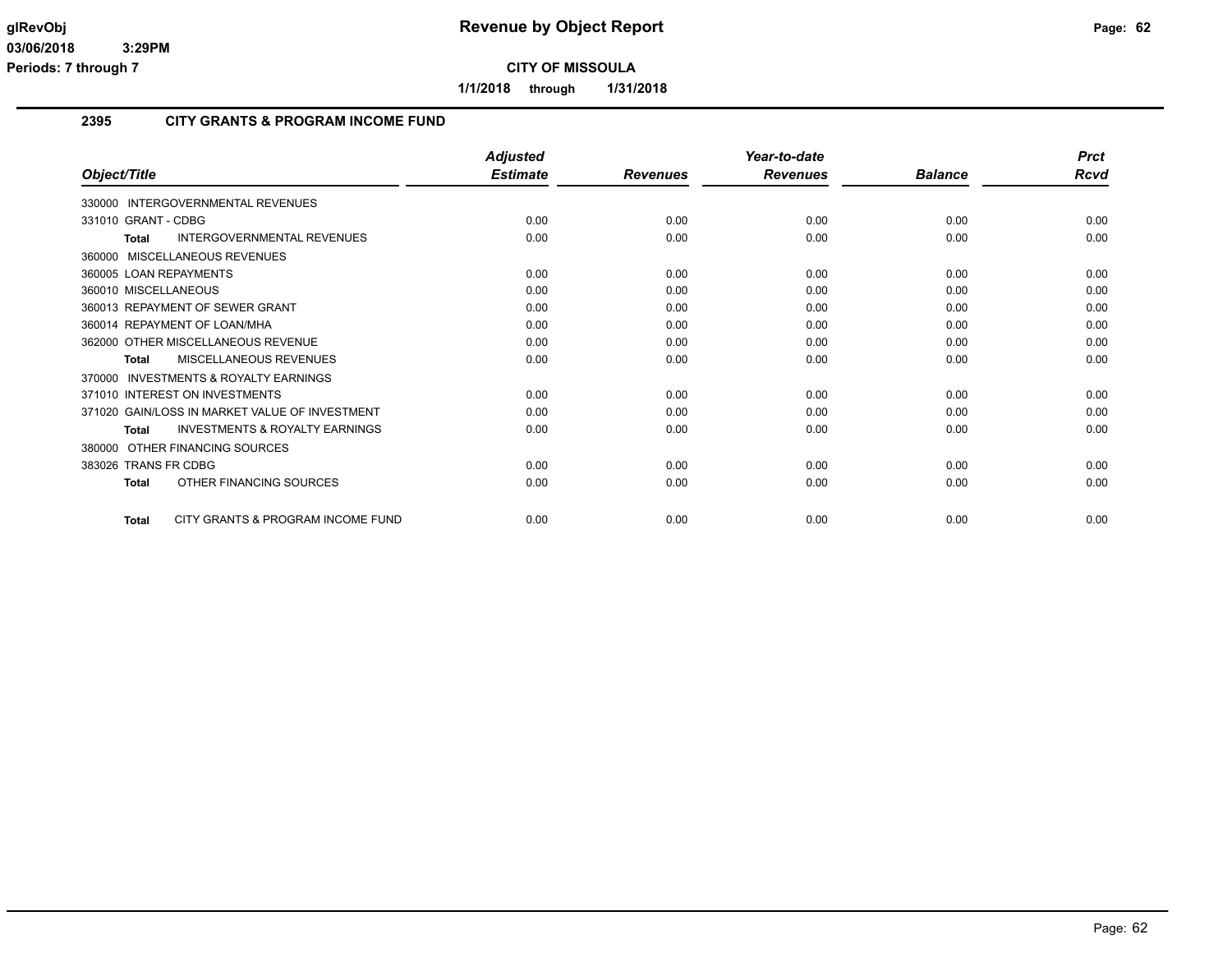**1/1/2018 through 1/31/2018**

#### **2395 CITY GRANTS & PROGRAM INCOME FUND**

|                                                           | <b>Adjusted</b> |                 | Year-to-date    |                | <b>Prct</b> |
|-----------------------------------------------------------|-----------------|-----------------|-----------------|----------------|-------------|
| Object/Title                                              | <b>Estimate</b> | <b>Revenues</b> | <b>Revenues</b> | <b>Balance</b> | <b>Rcvd</b> |
| 330000 INTERGOVERNMENTAL REVENUES                         |                 |                 |                 |                |             |
| 331010 GRANT - CDBG                                       | 0.00            | 0.00            | 0.00            | 0.00           | 0.00        |
| <b>INTERGOVERNMENTAL REVENUES</b><br><b>Total</b>         | 0.00            | 0.00            | 0.00            | 0.00           | 0.00        |
| 360000 MISCELLANEOUS REVENUES                             |                 |                 |                 |                |             |
| 360005 LOAN REPAYMENTS                                    | 0.00            | 0.00            | 0.00            | 0.00           | 0.00        |
| 360010 MISCELLANEOUS                                      | 0.00            | 0.00            | 0.00            | 0.00           | 0.00        |
| 360013 REPAYMENT OF SEWER GRANT                           | 0.00            | 0.00            | 0.00            | 0.00           | 0.00        |
| 360014 REPAYMENT OF LOAN/MHA                              | 0.00            | 0.00            | 0.00            | 0.00           | 0.00        |
| 362000 OTHER MISCELLANEOUS REVENUE                        | 0.00            | 0.00            | 0.00            | 0.00           | 0.00        |
| MISCELLANEOUS REVENUES<br><b>Total</b>                    | 0.00            | 0.00            | 0.00            | 0.00           | 0.00        |
| 370000 INVESTMENTS & ROYALTY EARNINGS                     |                 |                 |                 |                |             |
| 371010 INTEREST ON INVESTMENTS                            | 0.00            | 0.00            | 0.00            | 0.00           | 0.00        |
| 371020 GAIN/LOSS IN MARKET VALUE OF INVESTMENT            | 0.00            | 0.00            | 0.00            | 0.00           | 0.00        |
| <b>INVESTMENTS &amp; ROYALTY EARNINGS</b><br><b>Total</b> | 0.00            | 0.00            | 0.00            | 0.00           | 0.00        |
| 380000 OTHER FINANCING SOURCES                            |                 |                 |                 |                |             |
| 383026 TRANS FR CDBG                                      | 0.00            | 0.00            | 0.00            | 0.00           | 0.00        |
| OTHER FINANCING SOURCES<br><b>Total</b>                   | 0.00            | 0.00            | 0.00            | 0.00           | 0.00        |
| CITY GRANTS & PROGRAM INCOME FUND<br><b>Total</b>         | 0.00            | 0.00            | 0.00            | 0.00           | 0.00        |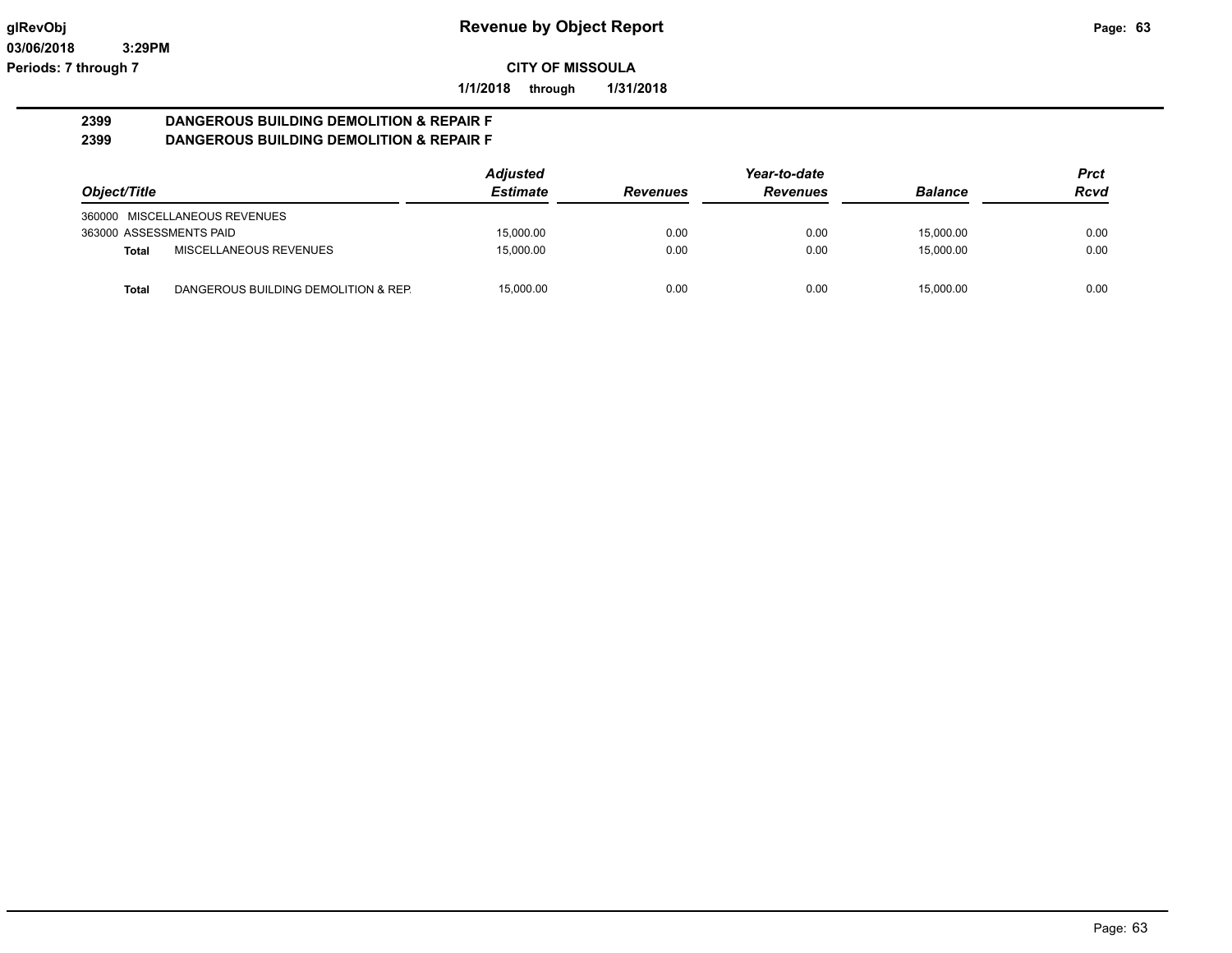**1/1/2018 through 1/31/2018**

#### **2399 DANGEROUS BUILDING DEMOLITION & REPAIR F 2399 DANGEROUS BUILDING DEMOLITION & REPAIR F**

|                         |                                      | <b>Adjusted</b> |                 | Year-to-date    |                | <b>Prct</b> |
|-------------------------|--------------------------------------|-----------------|-----------------|-----------------|----------------|-------------|
| Object/Title            |                                      | <b>Estimate</b> | <b>Revenues</b> | <b>Revenues</b> | <b>Balance</b> | <b>Rcvd</b> |
|                         | 360000 MISCELLANEOUS REVENUES        |                 |                 |                 |                |             |
| 363000 ASSESSMENTS PAID |                                      | 15,000.00       | 0.00            | 0.00            | 15,000.00      | 0.00        |
| <b>Total</b>            | MISCELLANEOUS REVENUES               | 15.000.00       | 0.00            | 0.00            | 15.000.00      | 0.00        |
| Total                   | DANGEROUS BUILDING DEMOLITION & REP. | 15.000.00       | 0.00            | 0.00            | 15.000.00      | 0.00        |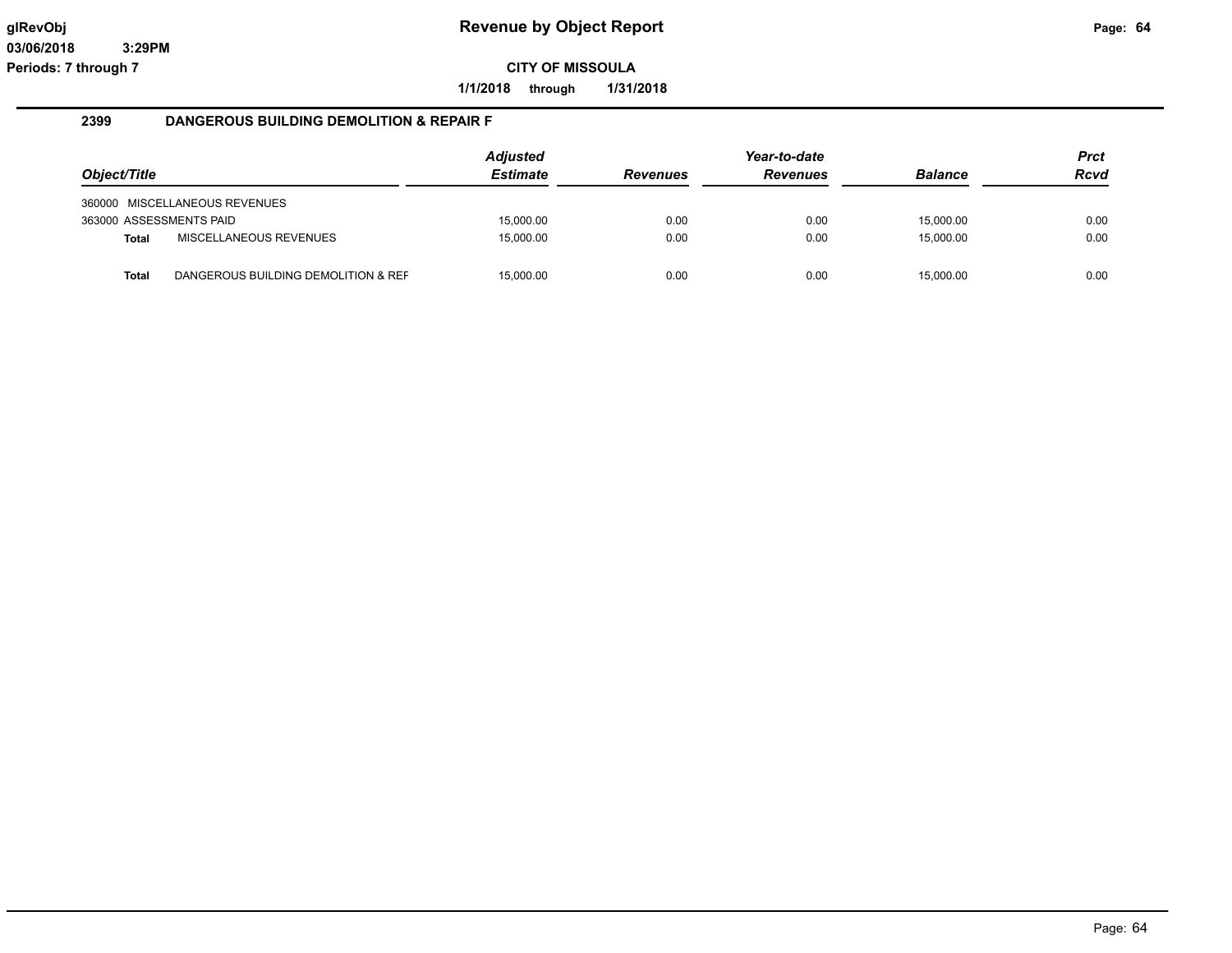**1/1/2018 through 1/31/2018**

#### **2399 DANGEROUS BUILDING DEMOLITION & REPAIR F**

|                         |                                     | <b>Adjusted</b> |                 | Year-to-date    |                | Prct |
|-------------------------|-------------------------------------|-----------------|-----------------|-----------------|----------------|------|
| Object/Title            |                                     | <b>Estimate</b> | <b>Revenues</b> | <b>Revenues</b> | <b>Balance</b> | Rcvd |
|                         | 360000 MISCELLANEOUS REVENUES       |                 |                 |                 |                |      |
| 363000 ASSESSMENTS PAID |                                     | 15.000.00       | 0.00            | 0.00            | 15,000.00      | 0.00 |
| <b>Total</b>            | MISCELLANEOUS REVENUES              | 15,000.00       | 0.00            | 0.00            | 15,000.00      | 0.00 |
| Total                   | DANGEROUS BUILDING DEMOLITION & REF | 15.000.00       | 0.00            | 0.00            | 15.000.00      | 0.00 |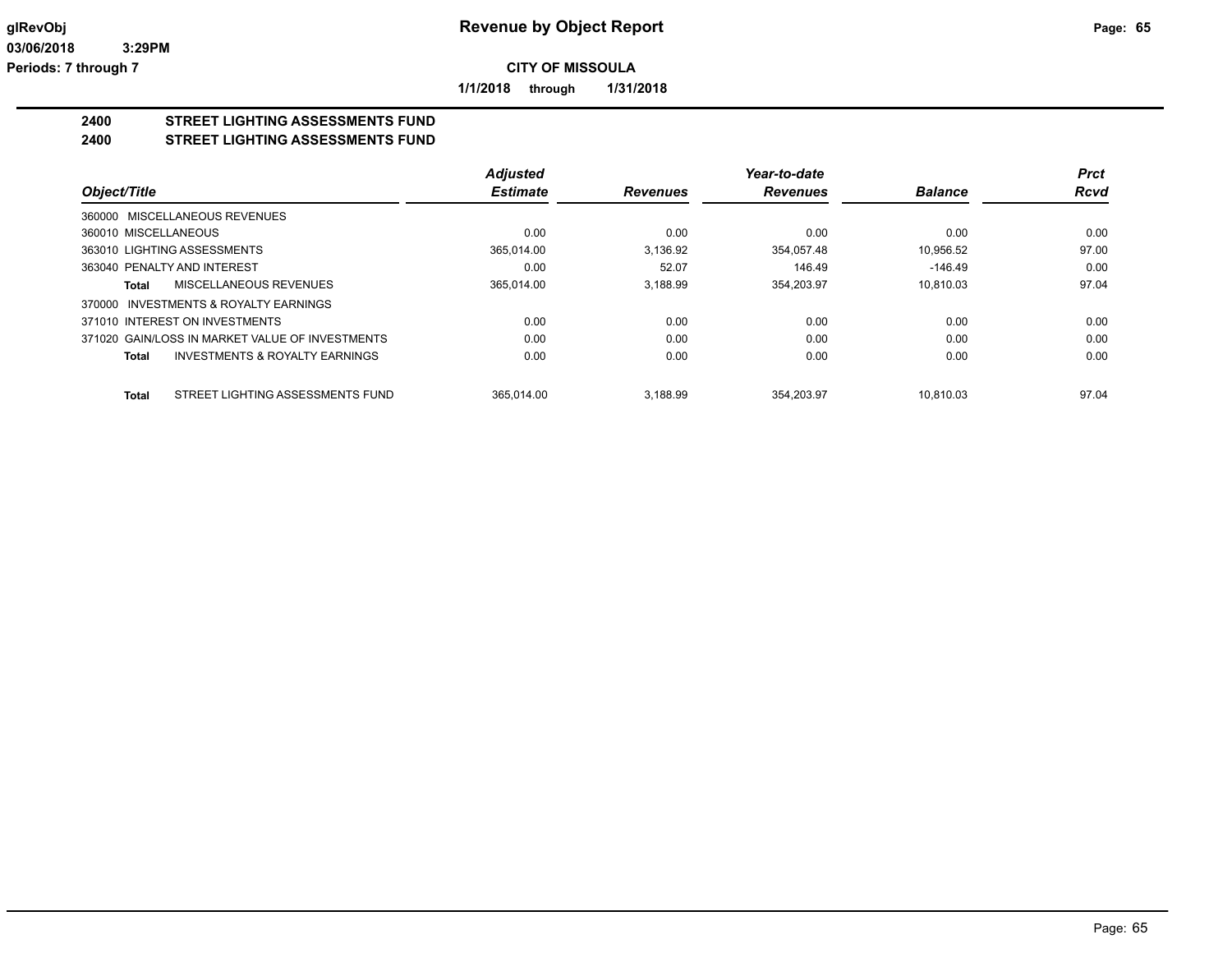**1/1/2018 through 1/31/2018**

## **2400 STREET LIGHTING ASSESSMENTS FUND**

**2400 STREET LIGHTING ASSESSMENTS FUND**

|                                                           | <b>Adjusted</b> |                 | Year-to-date    |                | Prct        |
|-----------------------------------------------------------|-----------------|-----------------|-----------------|----------------|-------------|
| Object/Title                                              | <b>Estimate</b> | <b>Revenues</b> | <b>Revenues</b> | <b>Balance</b> | <b>Rcvd</b> |
| 360000 MISCELLANEOUS REVENUES                             |                 |                 |                 |                |             |
| 360010 MISCELLANEOUS                                      | 0.00            | 0.00            | 0.00            | 0.00           | 0.00        |
| 363010 LIGHTING ASSESSMENTS                               | 365,014.00      | 3.136.92        | 354.057.48      | 10.956.52      | 97.00       |
| 363040 PENALTY AND INTEREST                               | 0.00            | 52.07           | 146.49          | $-146.49$      | 0.00        |
| MISCELLANEOUS REVENUES<br>Total                           | 365.014.00      | 3.188.99        | 354,203.97      | 10.810.03      | 97.04       |
| 370000 INVESTMENTS & ROYALTY EARNINGS                     |                 |                 |                 |                |             |
| 371010 INTEREST ON INVESTMENTS                            | 0.00            | 0.00            | 0.00            | 0.00           | 0.00        |
| 371020 GAIN/LOSS IN MARKET VALUE OF INVESTMENTS           | 0.00            | 0.00            | 0.00            | 0.00           | 0.00        |
| <b>INVESTMENTS &amp; ROYALTY EARNINGS</b><br><b>Total</b> | 0.00            | 0.00            | 0.00            | 0.00           | 0.00        |
| STREET LIGHTING ASSESSMENTS FUND<br><b>Total</b>          | 365.014.00      | 3.188.99        | 354.203.97      | 10.810.03      | 97.04       |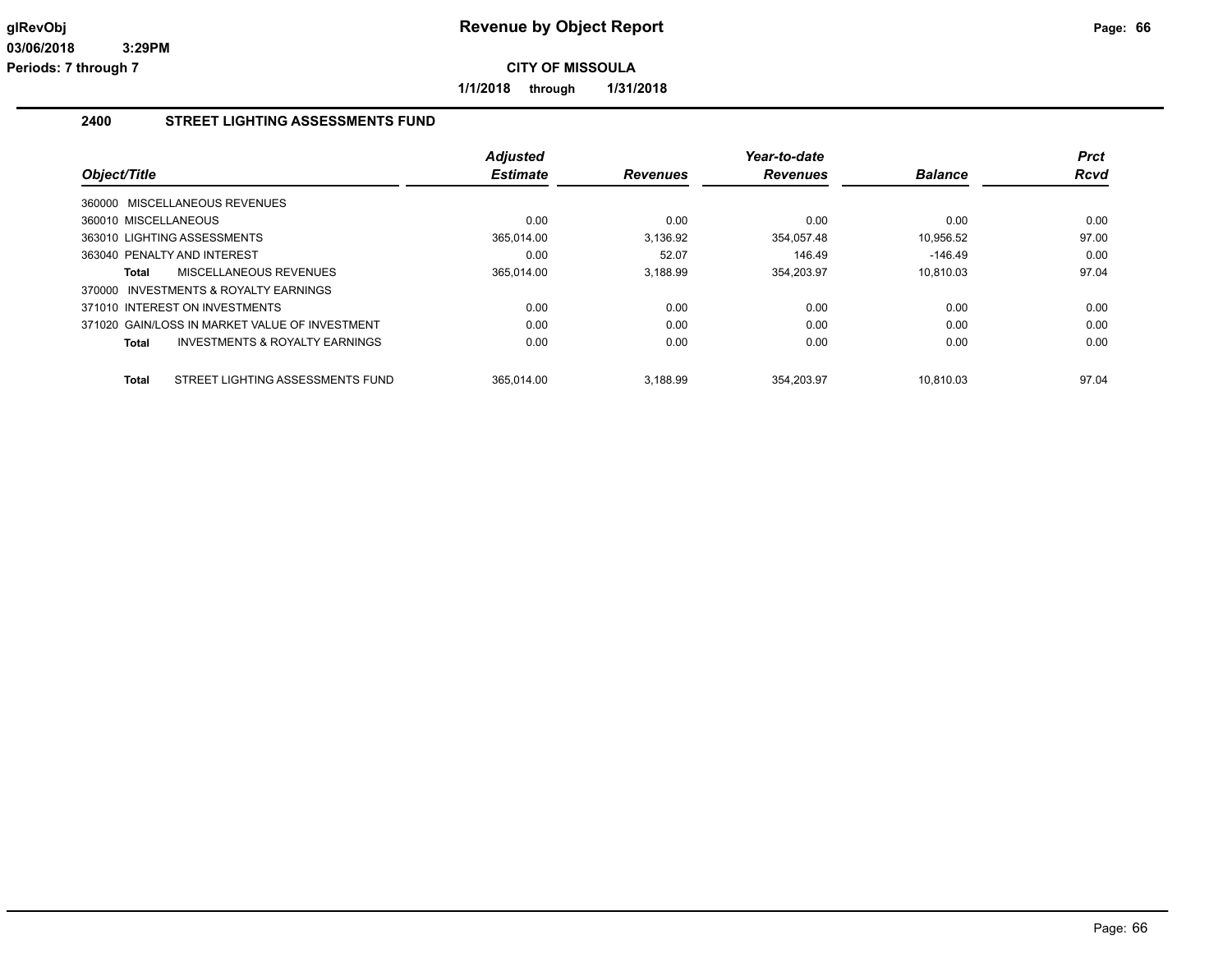**1/1/2018 through 1/31/2018**

### **2400 STREET LIGHTING ASSESSMENTS FUND**

|                                                  | <b>Adjusted</b> |                 | Year-to-date    |                | Prct        |
|--------------------------------------------------|-----------------|-----------------|-----------------|----------------|-------------|
| Object/Title                                     | <b>Estimate</b> | <b>Revenues</b> | <b>Revenues</b> | <b>Balance</b> | <b>Rcvd</b> |
| 360000 MISCELLANEOUS REVENUES                    |                 |                 |                 |                |             |
| 360010 MISCELLANEOUS                             | 0.00            | 0.00            | 0.00            | 0.00           | 0.00        |
| 363010 LIGHTING ASSESSMENTS                      | 365,014.00      | 3,136.92        | 354,057.48      | 10,956.52      | 97.00       |
| 363040 PENALTY AND INTEREST                      | 0.00            | 52.07           | 146.49          | $-146.49$      | 0.00        |
| MISCELLANEOUS REVENUES<br>Total                  | 365,014.00      | 3,188.99        | 354,203.97      | 10.810.03      | 97.04       |
| 370000 INVESTMENTS & ROYALTY EARNINGS            |                 |                 |                 |                |             |
| 371010 INTEREST ON INVESTMENTS                   | 0.00            | 0.00            | 0.00            | 0.00           | 0.00        |
| 371020 GAIN/LOSS IN MARKET VALUE OF INVESTMENT   | 0.00            | 0.00            | 0.00            | 0.00           | 0.00        |
| INVESTMENTS & ROYALTY EARNINGS<br>Total          | 0.00            | 0.00            | 0.00            | 0.00           | 0.00        |
|                                                  |                 |                 |                 |                |             |
| STREET LIGHTING ASSESSMENTS FUND<br><b>Total</b> | 365.014.00      | 3.188.99        | 354.203.97      | 10.810.03      | 97.04       |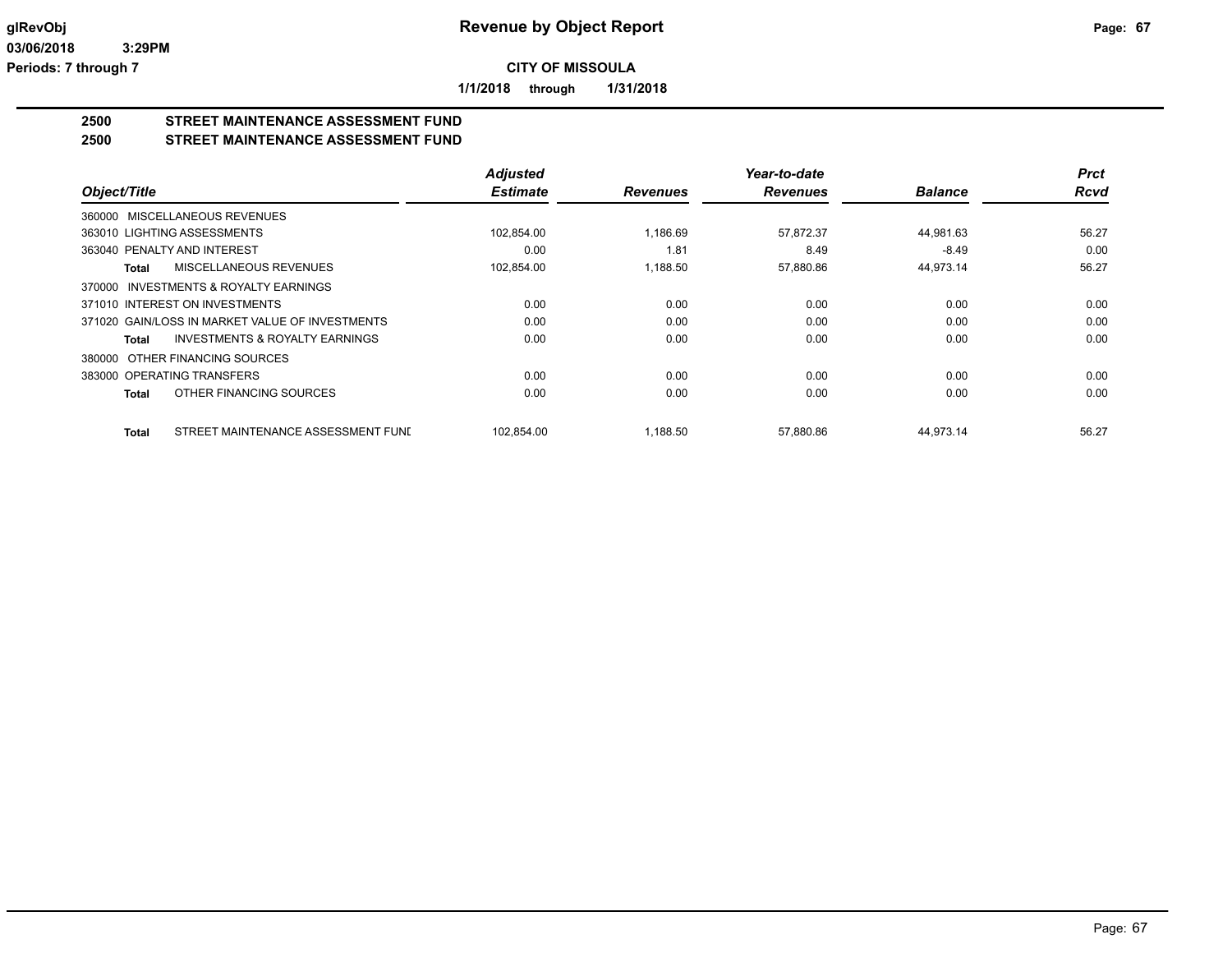**1/1/2018 through 1/31/2018**

# **2500 STREET MAINTENANCE ASSESSMENT FUND**

## **2500 STREET MAINTENANCE ASSESSMENT FUND**

|                                                    | <b>Adjusted</b> |                 | Year-to-date    |                | <b>Prct</b> |
|----------------------------------------------------|-----------------|-----------------|-----------------|----------------|-------------|
| Object/Title                                       | <b>Estimate</b> | <b>Revenues</b> | <b>Revenues</b> | <b>Balance</b> | <b>Rcvd</b> |
| 360000 MISCELLANEOUS REVENUES                      |                 |                 |                 |                |             |
| 363010 LIGHTING ASSESSMENTS                        | 102,854.00      | 1,186.69        | 57,872.37       | 44,981.63      | 56.27       |
| 363040 PENALTY AND INTEREST                        | 0.00            | 1.81            | 8.49            | $-8.49$        | 0.00        |
| MISCELLANEOUS REVENUES<br>Total                    | 102,854.00      | 1,188.50        | 57,880.86       | 44,973.14      | 56.27       |
| INVESTMENTS & ROYALTY EARNINGS<br>370000           |                 |                 |                 |                |             |
| 371010 INTEREST ON INVESTMENTS                     | 0.00            | 0.00            | 0.00            | 0.00           | 0.00        |
| 371020 GAIN/LOSS IN MARKET VALUE OF INVESTMENTS    | 0.00            | 0.00            | 0.00            | 0.00           | 0.00        |
| <b>INVESTMENTS &amp; ROYALTY EARNINGS</b><br>Total | 0.00            | 0.00            | 0.00            | 0.00           | 0.00        |
| 380000 OTHER FINANCING SOURCES                     |                 |                 |                 |                |             |
| 383000 OPERATING TRANSFERS                         | 0.00            | 0.00            | 0.00            | 0.00           | 0.00        |
| OTHER FINANCING SOURCES<br>Total                   | 0.00            | 0.00            | 0.00            | 0.00           | 0.00        |
| STREET MAINTENANCE ASSESSMENT FUND<br>Total        | 102,854.00      | 1,188.50        | 57,880.86       | 44,973.14      | 56.27       |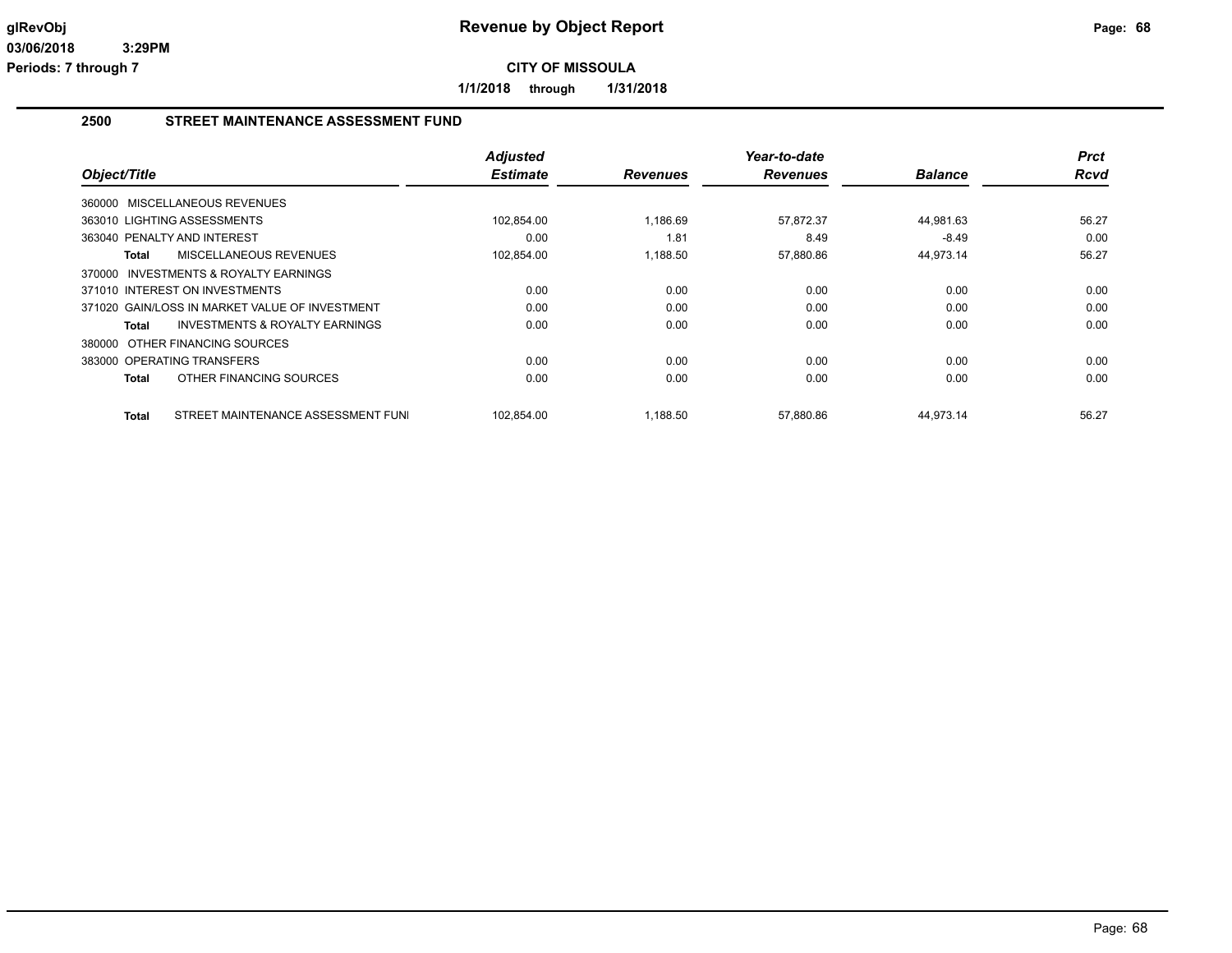**1/1/2018 through 1/31/2018**

### **2500 STREET MAINTENANCE ASSESSMENT FUND**

|                                                    | <b>Adjusted</b> |                 | Year-to-date    |                | <b>Prct</b> |
|----------------------------------------------------|-----------------|-----------------|-----------------|----------------|-------------|
| Object/Title                                       | <b>Estimate</b> | <b>Revenues</b> | <b>Revenues</b> | <b>Balance</b> | Rcvd        |
| 360000 MISCELLANEOUS REVENUES                      |                 |                 |                 |                |             |
| 363010 LIGHTING ASSESSMENTS                        | 102,854.00      | 1,186.69        | 57,872.37       | 44,981.63      | 56.27       |
| 363040 PENALTY AND INTEREST                        | 0.00            | 1.81            | 8.49            | $-8.49$        | 0.00        |
| MISCELLANEOUS REVENUES<br>Total                    | 102,854.00      | 1,188.50        | 57,880.86       | 44,973.14      | 56.27       |
| 370000 INVESTMENTS & ROYALTY EARNINGS              |                 |                 |                 |                |             |
| 371010 INTEREST ON INVESTMENTS                     | 0.00            | 0.00            | 0.00            | 0.00           | 0.00        |
| 371020 GAIN/LOSS IN MARKET VALUE OF INVESTMENT     | 0.00            | 0.00            | 0.00            | 0.00           | 0.00        |
| <b>INVESTMENTS &amp; ROYALTY EARNINGS</b><br>Total | 0.00            | 0.00            | 0.00            | 0.00           | 0.00        |
| 380000 OTHER FINANCING SOURCES                     |                 |                 |                 |                |             |
| 383000 OPERATING TRANSFERS                         | 0.00            | 0.00            | 0.00            | 0.00           | 0.00        |
| OTHER FINANCING SOURCES<br>Total                   | 0.00            | 0.00            | 0.00            | 0.00           | 0.00        |
| STREET MAINTENANCE ASSESSMENT FUNI<br>Total        | 102,854.00      | 1,188.50        | 57,880.86       | 44,973.14      | 56.27       |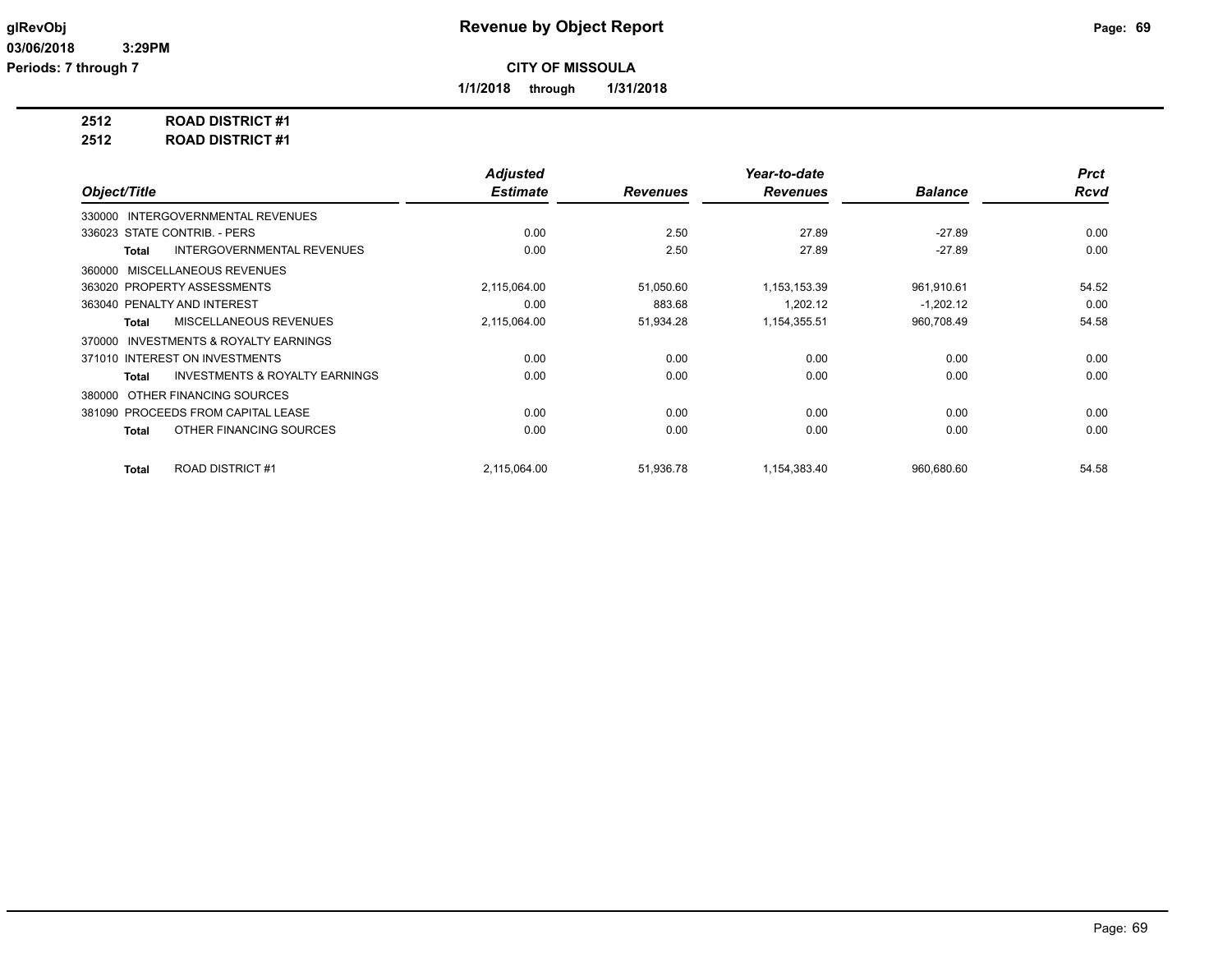**1/1/2018 through 1/31/2018**

**2512 ROAD DISTRICT #1**

**2512 ROAD DISTRICT #1**

|                                                           | <b>Adjusted</b> |                 | Year-to-date    |                | <b>Prct</b> |
|-----------------------------------------------------------|-----------------|-----------------|-----------------|----------------|-------------|
| Object/Title                                              | <b>Estimate</b> | <b>Revenues</b> | <b>Revenues</b> | <b>Balance</b> | Rcvd        |
| 330000 INTERGOVERNMENTAL REVENUES                         |                 |                 |                 |                |             |
| 336023 STATE CONTRIB. - PERS                              | 0.00            | 2.50            | 27.89           | $-27.89$       | 0.00        |
| <b>INTERGOVERNMENTAL REVENUES</b><br><b>Total</b>         | 0.00            | 2.50            | 27.89           | $-27.89$       | 0.00        |
| MISCELLANEOUS REVENUES<br>360000                          |                 |                 |                 |                |             |
| 363020 PROPERTY ASSESSMENTS                               | 2,115,064.00    | 51,050.60       | 1,153,153.39    | 961,910.61     | 54.52       |
| 363040 PENALTY AND INTEREST                               | 0.00            | 883.68          | 1.202.12        | $-1,202.12$    | 0.00        |
| MISCELLANEOUS REVENUES<br><b>Total</b>                    | 2,115,064.00    | 51,934.28       | 1,154,355.51    | 960,708.49     | 54.58       |
| INVESTMENTS & ROYALTY EARNINGS<br>370000                  |                 |                 |                 |                |             |
| 371010 INTEREST ON INVESTMENTS                            | 0.00            | 0.00            | 0.00            | 0.00           | 0.00        |
| <b>INVESTMENTS &amp; ROYALTY EARNINGS</b><br><b>Total</b> | 0.00            | 0.00            | 0.00            | 0.00           | 0.00        |
| OTHER FINANCING SOURCES<br>380000                         |                 |                 |                 |                |             |
| 381090 PROCEEDS FROM CAPITAL LEASE                        | 0.00            | 0.00            | 0.00            | 0.00           | 0.00        |
| OTHER FINANCING SOURCES<br><b>Total</b>                   | 0.00            | 0.00            | 0.00            | 0.00           | 0.00        |
|                                                           |                 |                 |                 |                |             |
| <b>ROAD DISTRICT #1</b><br><b>Total</b>                   | 2,115,064.00    | 51,936.78       | 1,154,383.40    | 960,680.60     | 54.58       |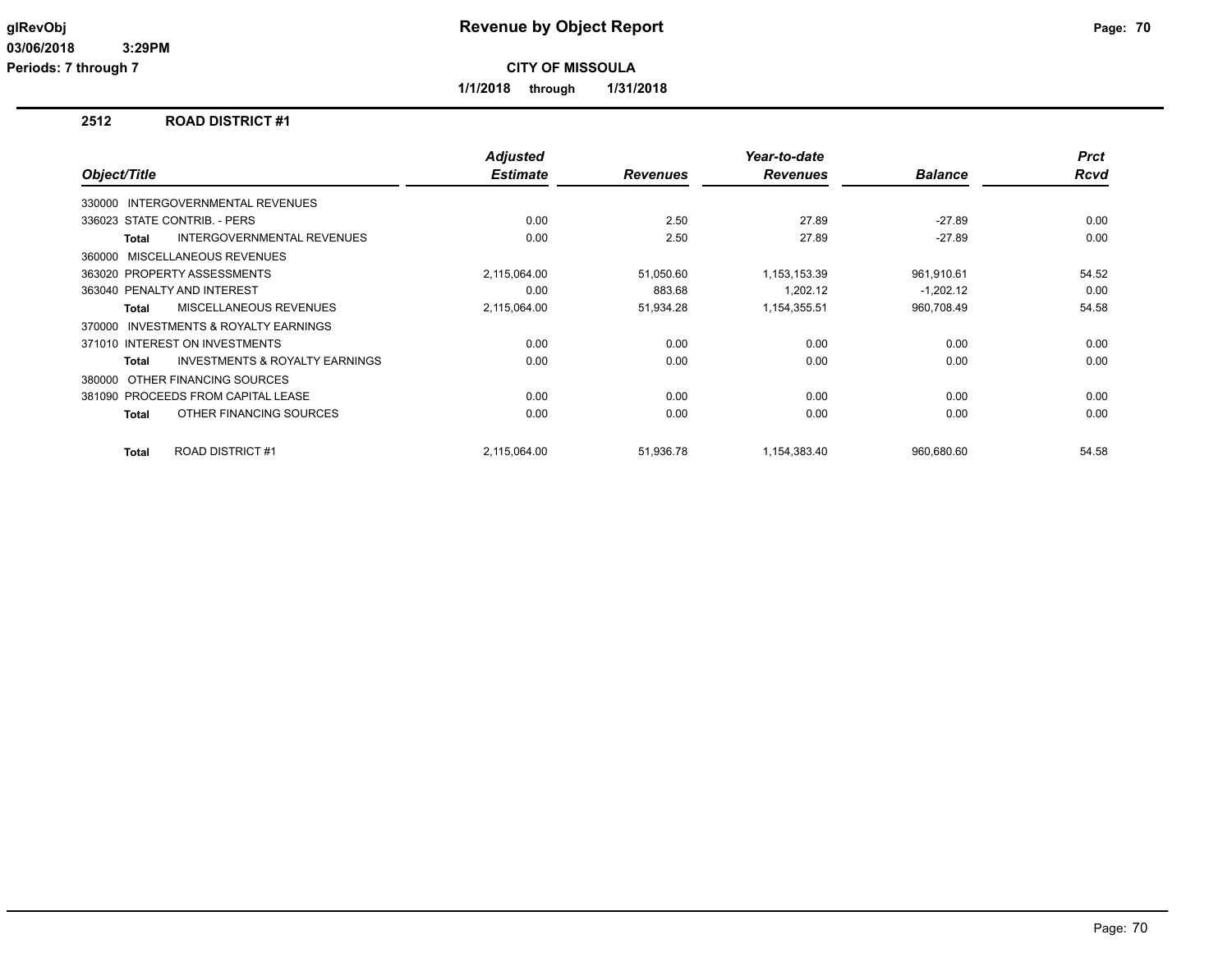**Periods: 7 through 7**

**CITY OF MISSOULA**

**1/1/2018 through 1/31/2018**

## **2512 ROAD DISTRICT #1**

| Object/Title |                                           | <b>Adjusted</b><br><b>Estimate</b> | <b>Revenues</b> | Year-to-date<br><b>Revenues</b> | <b>Balance</b> | <b>Prct</b><br><b>Rcvd</b> |
|--------------|-------------------------------------------|------------------------------------|-----------------|---------------------------------|----------------|----------------------------|
|              |                                           |                                    |                 |                                 |                |                            |
|              | 330000 INTERGOVERNMENTAL REVENUES         |                                    |                 |                                 |                |                            |
|              | 336023 STATE CONTRIB. - PERS              | 0.00                               | 2.50            | 27.89                           | $-27.89$       | 0.00                       |
| Total        | <b>INTERGOVERNMENTAL REVENUES</b>         | 0.00                               | 2.50            | 27.89                           | $-27.89$       | 0.00                       |
|              | 360000 MISCELLANEOUS REVENUES             |                                    |                 |                                 |                |                            |
|              | 363020 PROPERTY ASSESSMENTS               | 2,115,064.00                       | 51,050.60       | 1,153,153.39                    | 961,910.61     | 54.52                      |
|              | 363040 PENALTY AND INTEREST               | 0.00                               | 883.68          | 1.202.12                        | $-1,202.12$    | 0.00                       |
| <b>Total</b> | MISCELLANEOUS REVENUES                    | 2,115,064.00                       | 51,934.28       | 1,154,355.51                    | 960,708.49     | 54.58                      |
|              | 370000 INVESTMENTS & ROYALTY EARNINGS     |                                    |                 |                                 |                |                            |
|              | 371010 INTEREST ON INVESTMENTS            | 0.00                               | 0.00            | 0.00                            | 0.00           | 0.00                       |
| Total        | <b>INVESTMENTS &amp; ROYALTY EARNINGS</b> | 0.00                               | 0.00            | 0.00                            | 0.00           | 0.00                       |
|              | 380000 OTHER FINANCING SOURCES            |                                    |                 |                                 |                |                            |
|              | 381090 PROCEEDS FROM CAPITAL LEASE        | 0.00                               | 0.00            | 0.00                            | 0.00           | 0.00                       |
| Total        | OTHER FINANCING SOURCES                   | 0.00                               | 0.00            | 0.00                            | 0.00           | 0.00                       |
| Total        | <b>ROAD DISTRICT #1</b>                   | 2,115,064.00                       | 51,936.78       | 1,154,383.40                    | 960.680.60     | 54.58                      |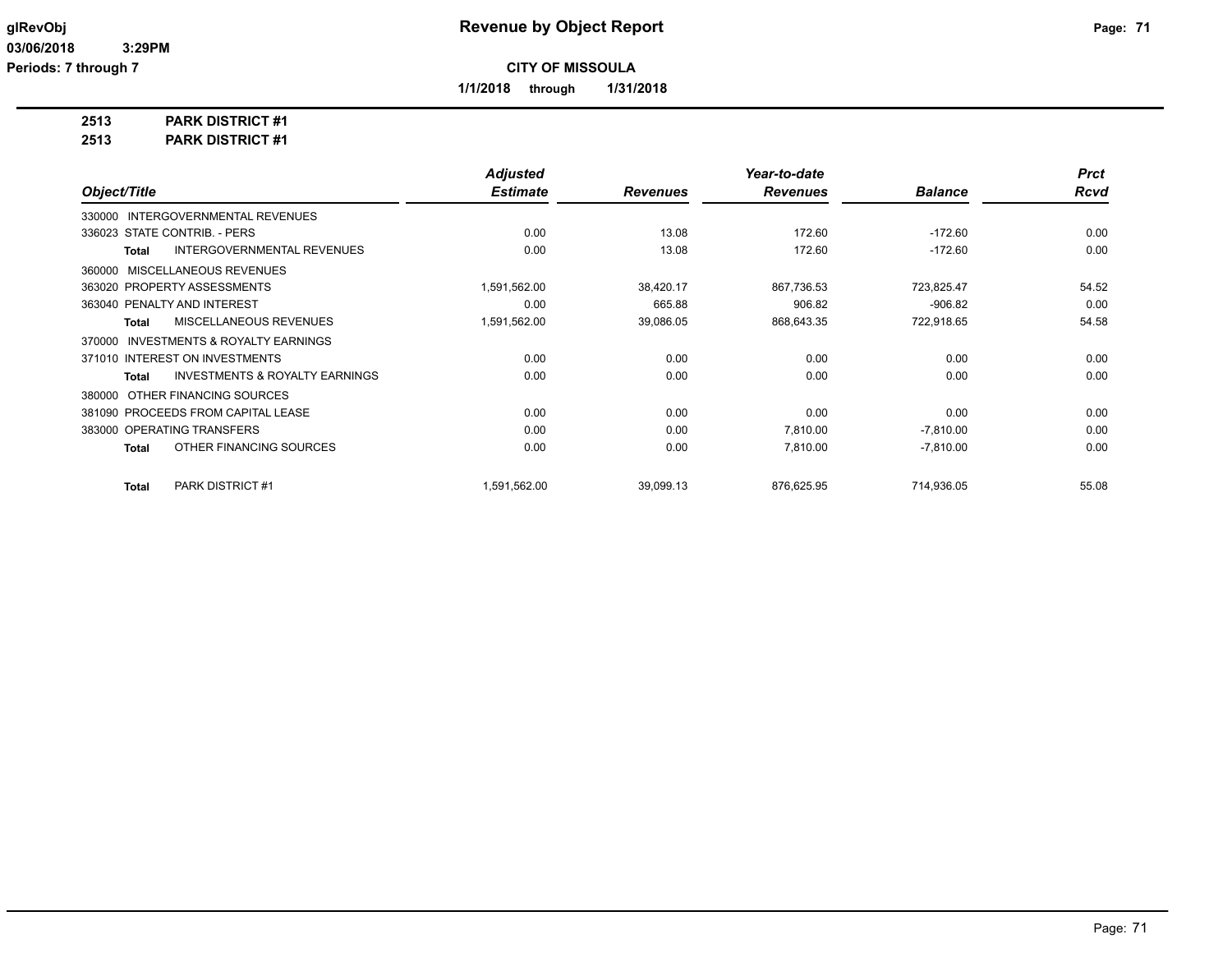**1/1/2018 through 1/31/2018**

**2513 PARK DISTRICT #1**

**2513 PARK DISTRICT #1**

|                                                           | <b>Adjusted</b> |                 | Year-to-date    |                | <b>Prct</b> |
|-----------------------------------------------------------|-----------------|-----------------|-----------------|----------------|-------------|
| Object/Title                                              | <b>Estimate</b> | <b>Revenues</b> | <b>Revenues</b> | <b>Balance</b> | Rcvd        |
| 330000 INTERGOVERNMENTAL REVENUES                         |                 |                 |                 |                |             |
| 336023 STATE CONTRIB. - PERS                              | 0.00            | 13.08           | 172.60          | $-172.60$      | 0.00        |
| <b>INTERGOVERNMENTAL REVENUES</b><br><b>Total</b>         | 0.00            | 13.08           | 172.60          | $-172.60$      | 0.00        |
| 360000 MISCELLANEOUS REVENUES                             |                 |                 |                 |                |             |
| 363020 PROPERTY ASSESSMENTS                               | 1,591,562.00    | 38,420.17       | 867,736.53      | 723,825.47     | 54.52       |
| 363040 PENALTY AND INTEREST                               | 0.00            | 665.88          | 906.82          | $-906.82$      | 0.00        |
| MISCELLANEOUS REVENUES<br><b>Total</b>                    | 1,591,562.00    | 39,086.05       | 868,643.35      | 722,918.65     | 54.58       |
| 370000 INVESTMENTS & ROYALTY EARNINGS                     |                 |                 |                 |                |             |
| 371010 INTEREST ON INVESTMENTS                            | 0.00            | 0.00            | 0.00            | 0.00           | 0.00        |
| <b>INVESTMENTS &amp; ROYALTY EARNINGS</b><br><b>Total</b> | 0.00            | 0.00            | 0.00            | 0.00           | 0.00        |
| OTHER FINANCING SOURCES<br>380000                         |                 |                 |                 |                |             |
| 381090 PROCEEDS FROM CAPITAL LEASE                        | 0.00            | 0.00            | 0.00            | 0.00           | 0.00        |
| 383000 OPERATING TRANSFERS                                | 0.00            | 0.00            | 7.810.00        | $-7,810.00$    | 0.00        |
| OTHER FINANCING SOURCES<br><b>Total</b>                   | 0.00            | 0.00            | 7,810.00        | $-7,810.00$    | 0.00        |
| <b>PARK DISTRICT #1</b><br><b>Total</b>                   | 1,591,562.00    | 39,099.13       | 876,625.95      | 714,936.05     | 55.08       |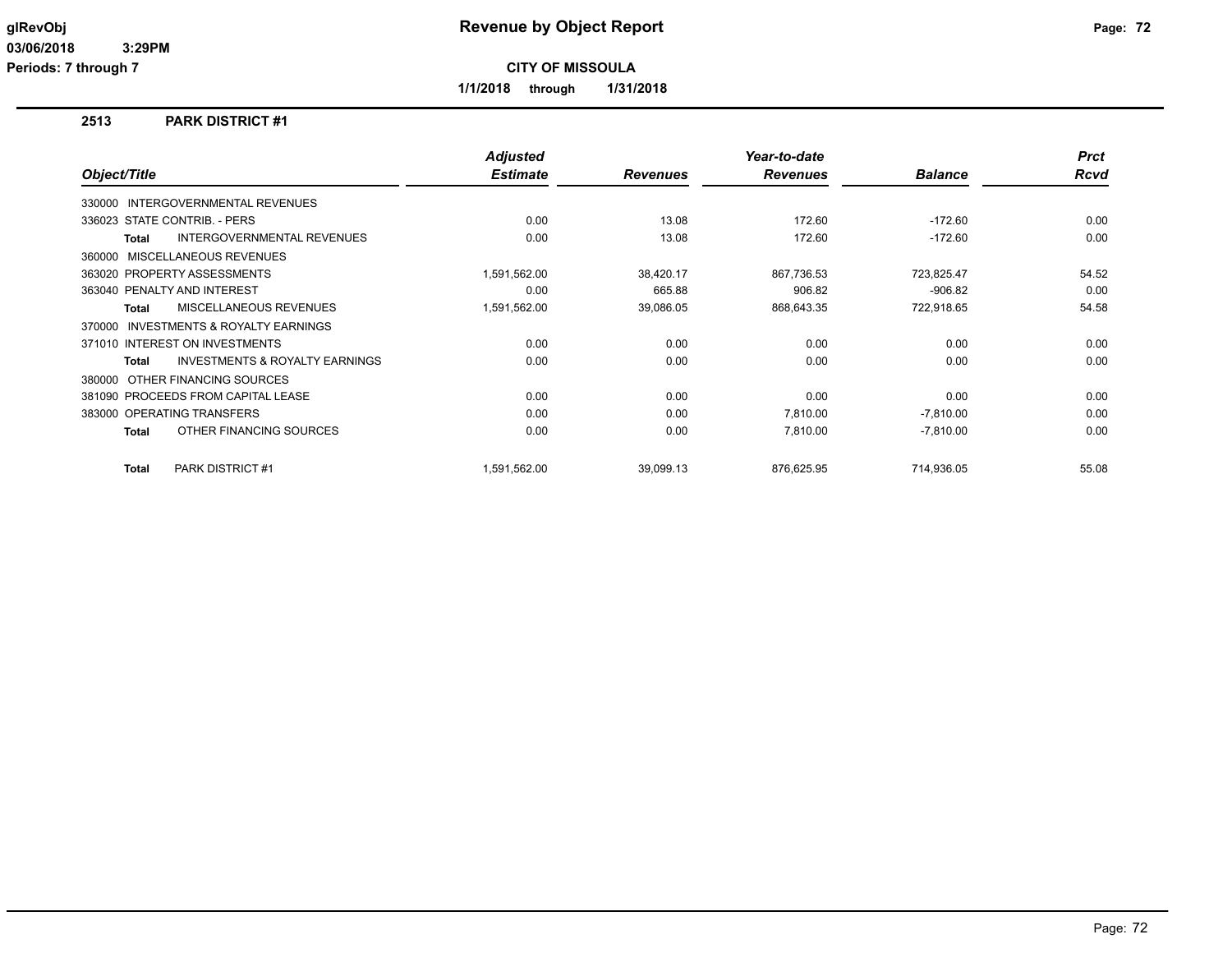**Periods: 7 through 7**

**CITY OF MISSOULA**

**1/1/2018 through 1/31/2018**

## **2513 PARK DISTRICT #1**

|                                                           | <b>Adjusted</b> |                 | Year-to-date    |                | <b>Prct</b> |
|-----------------------------------------------------------|-----------------|-----------------|-----------------|----------------|-------------|
| Object/Title                                              | <b>Estimate</b> | <b>Revenues</b> | <b>Revenues</b> | <b>Balance</b> | Rcvd        |
| 330000 INTERGOVERNMENTAL REVENUES                         |                 |                 |                 |                |             |
| 336023 STATE CONTRIB. - PERS                              | 0.00            | 13.08           | 172.60          | $-172.60$      | 0.00        |
| <b>INTERGOVERNMENTAL REVENUES</b><br><b>Total</b>         | 0.00            | 13.08           | 172.60          | $-172.60$      | 0.00        |
| 360000 MISCELLANEOUS REVENUES                             |                 |                 |                 |                |             |
| 363020 PROPERTY ASSESSMENTS                               | 1,591,562.00    | 38,420.17       | 867,736.53      | 723,825.47     | 54.52       |
| 363040 PENALTY AND INTEREST                               | 0.00            | 665.88          | 906.82          | $-906.82$      | 0.00        |
| MISCELLANEOUS REVENUES<br><b>Total</b>                    | 1,591,562.00    | 39,086.05       | 868,643.35      | 722,918.65     | 54.58       |
| INVESTMENTS & ROYALTY EARNINGS<br>370000                  |                 |                 |                 |                |             |
| 371010 INTEREST ON INVESTMENTS                            | 0.00            | 0.00            | 0.00            | 0.00           | 0.00        |
| <b>INVESTMENTS &amp; ROYALTY EARNINGS</b><br><b>Total</b> | 0.00            | 0.00            | 0.00            | 0.00           | 0.00        |
| OTHER FINANCING SOURCES<br>380000                         |                 |                 |                 |                |             |
| 381090 PROCEEDS FROM CAPITAL LEASE                        | 0.00            | 0.00            | 0.00            | 0.00           | 0.00        |
| 383000 OPERATING TRANSFERS                                | 0.00            | 0.00            | 7,810.00        | $-7,810.00$    | 0.00        |
| OTHER FINANCING SOURCES<br><b>Total</b>                   | 0.00            | 0.00            | 7,810.00        | $-7,810.00$    | 0.00        |
| <b>PARK DISTRICT #1</b><br><b>Total</b>                   | 1,591,562.00    | 39,099.13       | 876,625.95      | 714.936.05     | 55.08       |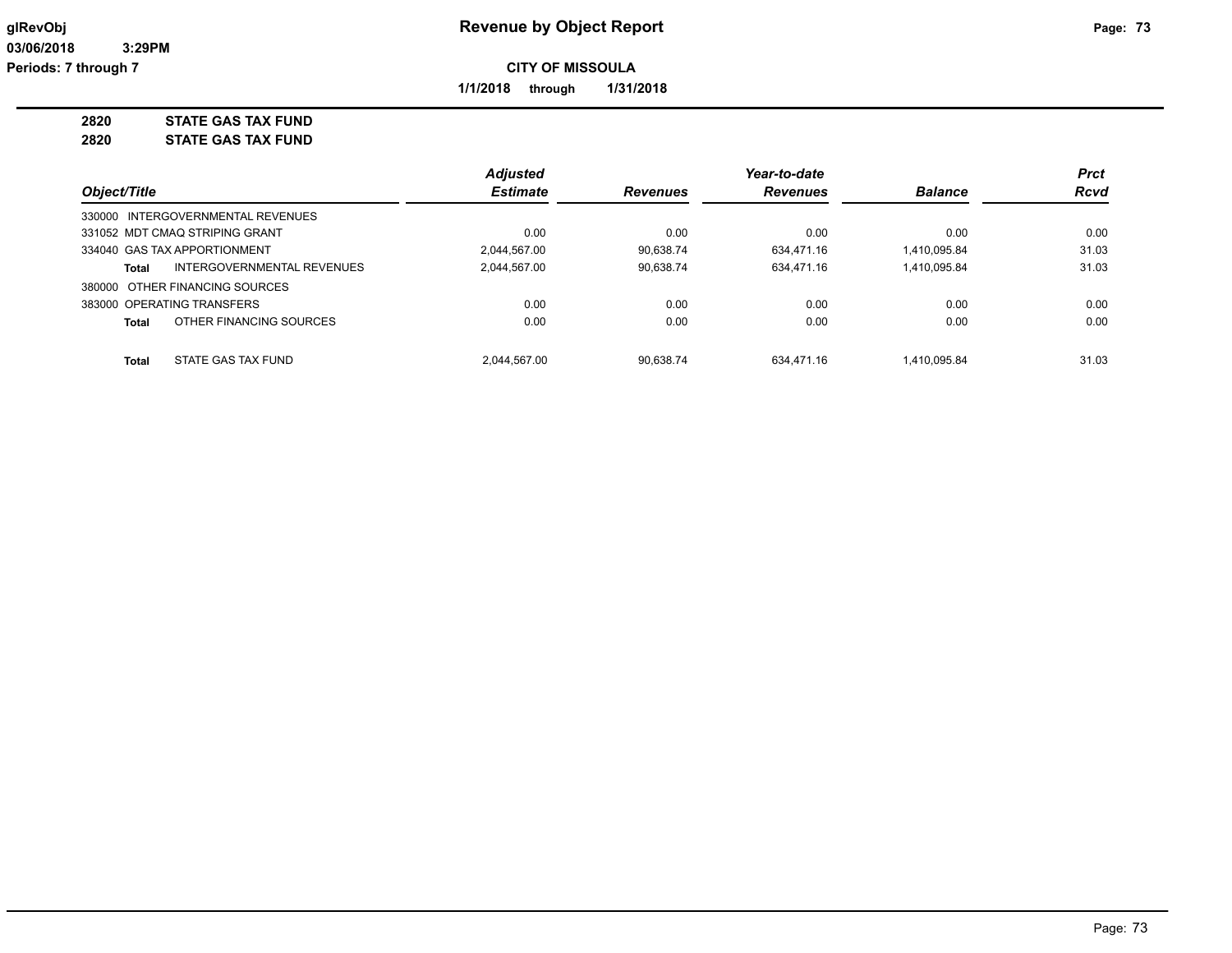**1/1/2018 through 1/31/2018**

**2820 STATE GAS TAX FUND 2820 STATE GAS TAX FUND**

|              |                                   | <b>Adjusted</b> |                 | Year-to-date    |                | <b>Prct</b> |
|--------------|-----------------------------------|-----------------|-----------------|-----------------|----------------|-------------|
| Object/Title |                                   | <b>Estimate</b> | <b>Revenues</b> | <b>Revenues</b> | <b>Balance</b> | <b>Rcvd</b> |
|              | 330000 INTERGOVERNMENTAL REVENUES |                 |                 |                 |                |             |
|              | 331052 MDT CMAQ STRIPING GRANT    | 0.00            | 0.00            | 0.00            | 0.00           | 0.00        |
|              | 334040 GAS TAX APPORTIONMENT      | 2.044.567.00    | 90.638.74       | 634.471.16      | 1,410,095.84   | 31.03       |
| Total        | INTERGOVERNMENTAL REVENUES        | 2.044.567.00    | 90.638.74       | 634.471.16      | 1.410.095.84   | 31.03       |
|              | 380000 OTHER FINANCING SOURCES    |                 |                 |                 |                |             |
|              | 383000 OPERATING TRANSFERS        | 0.00            | 0.00            | 0.00            | 0.00           | 0.00        |
| Total        | OTHER FINANCING SOURCES           | 0.00            | 0.00            | 0.00            | 0.00           | 0.00        |
| Total        | STATE GAS TAX FUND                | 2.044.567.00    | 90.638.74       | 634.471.16      | 1.410.095.84   | 31.03       |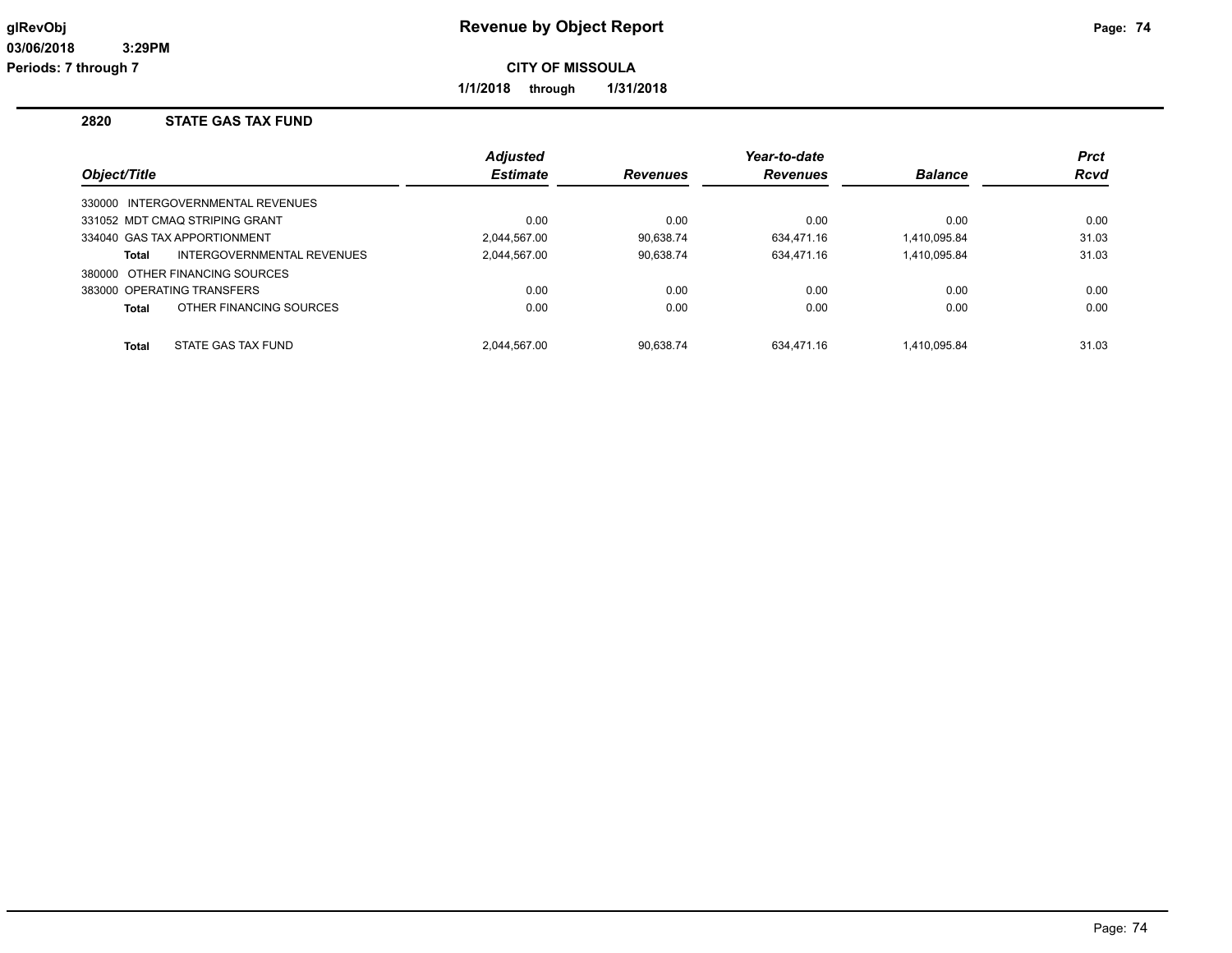**1/1/2018 through 1/31/2018**

## **2820 STATE GAS TAX FUND**

|              |                                   | <b>Adjusted</b> |                 | Year-to-date    |                | <b>Prct</b> |
|--------------|-----------------------------------|-----------------|-----------------|-----------------|----------------|-------------|
| Object/Title |                                   | <b>Estimate</b> | <b>Revenues</b> | <b>Revenues</b> | <b>Balance</b> | <b>Rcvd</b> |
|              | 330000 INTERGOVERNMENTAL REVENUES |                 |                 |                 |                |             |
|              | 331052 MDT CMAQ STRIPING GRANT    | 0.00            | 0.00            | 0.00            | 0.00           | 0.00        |
|              | 334040 GAS TAX APPORTIONMENT      | 2.044.567.00    | 90.638.74       | 634.471.16      | 1,410,095.84   | 31.03       |
| Total        | INTERGOVERNMENTAL REVENUES        | 2,044,567.00    | 90,638.74       | 634.471.16      | 1,410,095.84   | 31.03       |
|              | 380000 OTHER FINANCING SOURCES    |                 |                 |                 |                |             |
|              | 383000 OPERATING TRANSFERS        | 0.00            | 0.00            | 0.00            | 0.00           | 0.00        |
| Total        | OTHER FINANCING SOURCES           | 0.00            | 0.00            | 0.00            | 0.00           | 0.00        |
| <b>Total</b> | STATE GAS TAX FUND                | 2.044.567.00    | 90.638.74       | 634.471.16      | 1.410.095.84   | 31.03       |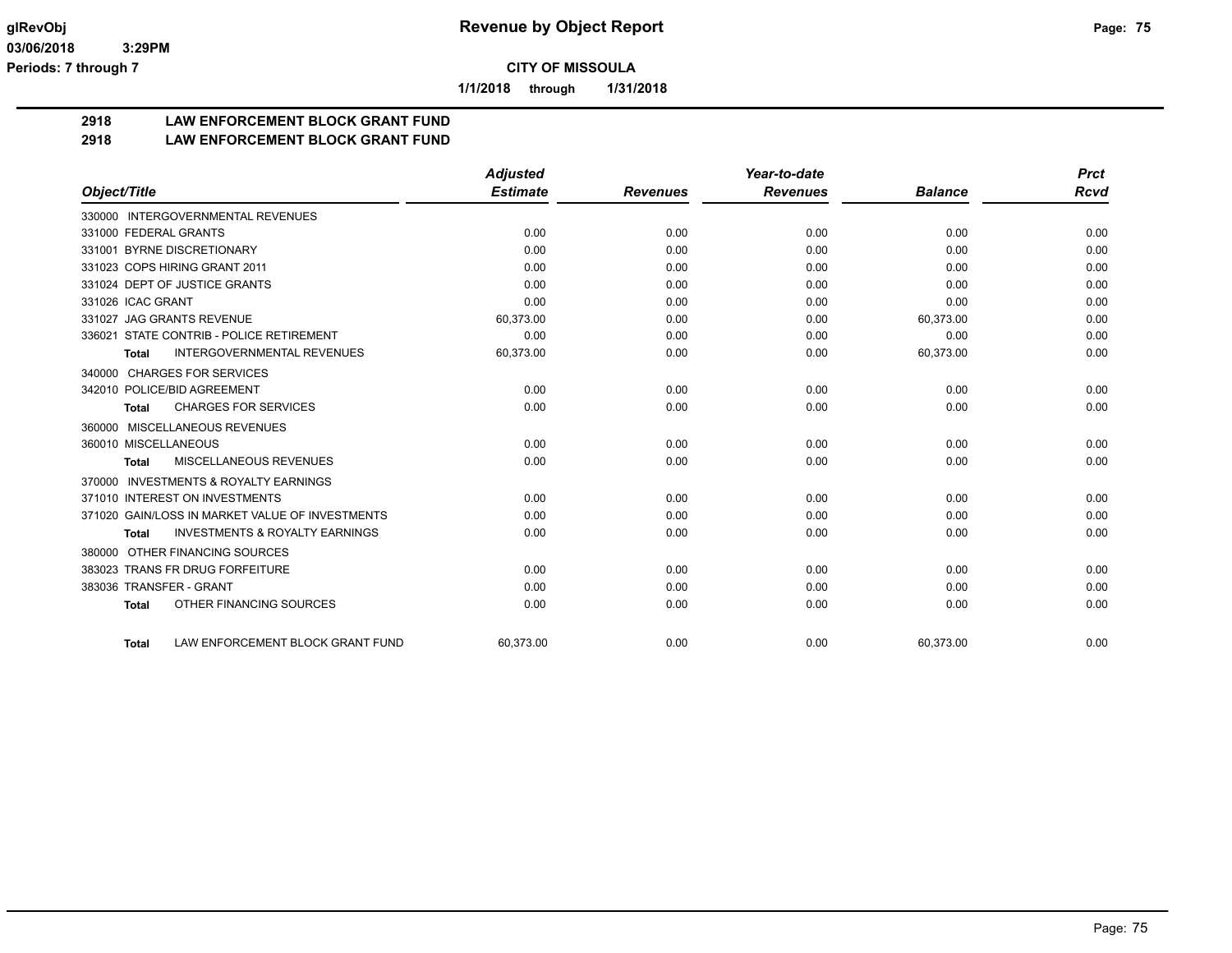**1/1/2018 through 1/31/2018**

## **2918 LAW ENFORCEMENT BLOCK GRANT FUND**

## **2918 LAW ENFORCEMENT BLOCK GRANT FUND**

|                                                           | <b>Adjusted</b> |                 | Year-to-date    |                | <b>Prct</b> |
|-----------------------------------------------------------|-----------------|-----------------|-----------------|----------------|-------------|
| Object/Title                                              | <b>Estimate</b> | <b>Revenues</b> | <b>Revenues</b> | <b>Balance</b> | <b>Rcvd</b> |
| 330000 INTERGOVERNMENTAL REVENUES                         |                 |                 |                 |                |             |
| 331000 FEDERAL GRANTS                                     | 0.00            | 0.00            | 0.00            | 0.00           | 0.00        |
| 331001 BYRNE DISCRETIONARY                                | 0.00            | 0.00            | 0.00            | 0.00           | 0.00        |
| 331023 COPS HIRING GRANT 2011                             | 0.00            | 0.00            | 0.00            | 0.00           | 0.00        |
| 331024 DEPT OF JUSTICE GRANTS                             | 0.00            | 0.00            | 0.00            | 0.00           | 0.00        |
| 331026 ICAC GRANT                                         | 0.00            | 0.00            | 0.00            | 0.00           | 0.00        |
| 331027 JAG GRANTS REVENUE                                 | 60,373.00       | 0.00            | 0.00            | 60,373.00      | 0.00        |
| 336021 STATE CONTRIB - POLICE RETIREMENT                  | 0.00            | 0.00            | 0.00            | 0.00           | 0.00        |
| <b>INTERGOVERNMENTAL REVENUES</b><br><b>Total</b>         | 60,373.00       | 0.00            | 0.00            | 60,373.00      | 0.00        |
| <b>CHARGES FOR SERVICES</b><br>340000                     |                 |                 |                 |                |             |
| 342010 POLICE/BID AGREEMENT                               | 0.00            | 0.00            | 0.00            | 0.00           | 0.00        |
| <b>CHARGES FOR SERVICES</b><br>Total                      | 0.00            | 0.00            | 0.00            | 0.00           | 0.00        |
| MISCELLANEOUS REVENUES<br>360000                          |                 |                 |                 |                |             |
| 360010 MISCELLANEOUS                                      | 0.00            | 0.00            | 0.00            | 0.00           | 0.00        |
| MISCELLANEOUS REVENUES<br><b>Total</b>                    | 0.00            | 0.00            | 0.00            | 0.00           | 0.00        |
| <b>INVESTMENTS &amp; ROYALTY EARNINGS</b><br>370000       |                 |                 |                 |                |             |
| 371010 INTEREST ON INVESTMENTS                            | 0.00            | 0.00            | 0.00            | 0.00           | 0.00        |
| 371020 GAIN/LOSS IN MARKET VALUE OF INVESTMENTS           | 0.00            | 0.00            | 0.00            | 0.00           | 0.00        |
| <b>INVESTMENTS &amp; ROYALTY EARNINGS</b><br><b>Total</b> | 0.00            | 0.00            | 0.00            | 0.00           | 0.00        |
| OTHER FINANCING SOURCES<br>380000                         |                 |                 |                 |                |             |
| 383023 TRANS FR DRUG FORFEITURE                           | 0.00            | 0.00            | 0.00            | 0.00           | 0.00        |
| 383036 TRANSFER - GRANT                                   | 0.00            | 0.00            | 0.00            | 0.00           | 0.00        |
| OTHER FINANCING SOURCES<br><b>Total</b>                   | 0.00            | 0.00            | 0.00            | 0.00           | 0.00        |
| LAW ENFORCEMENT BLOCK GRANT FUND<br><b>Total</b>          | 60,373.00       | 0.00            | 0.00            | 60,373.00      | 0.00        |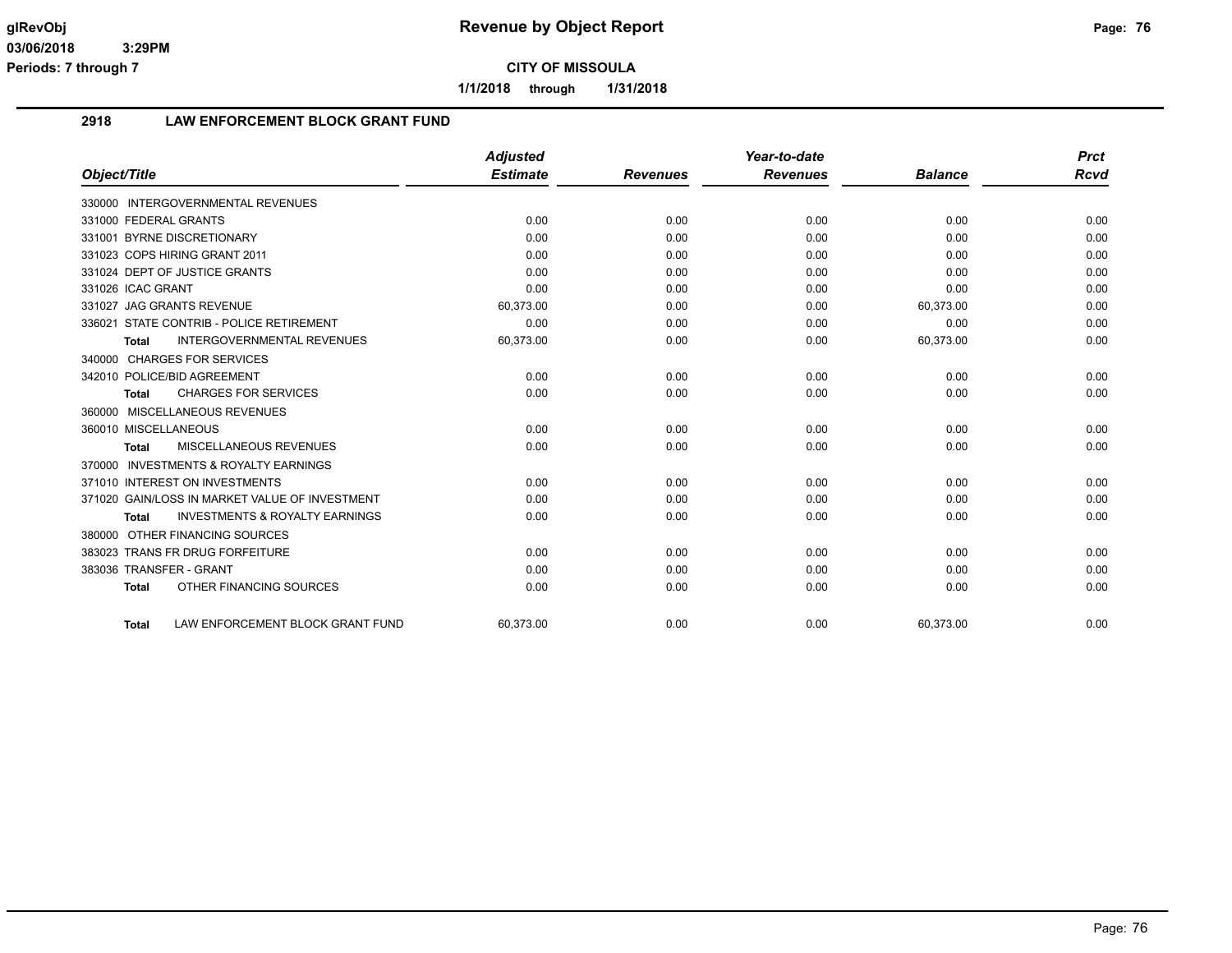**1/1/2018 through 1/31/2018**

## **2918 LAW ENFORCEMENT BLOCK GRANT FUND**

|                                                           | <b>Adjusted</b> |                 | Year-to-date    |                | <b>Prct</b> |
|-----------------------------------------------------------|-----------------|-----------------|-----------------|----------------|-------------|
| Object/Title                                              | <b>Estimate</b> | <b>Revenues</b> | <b>Revenues</b> | <b>Balance</b> | Rcvd        |
| 330000 INTERGOVERNMENTAL REVENUES                         |                 |                 |                 |                |             |
| 331000 FEDERAL GRANTS                                     | 0.00            | 0.00            | 0.00            | 0.00           | 0.00        |
| 331001 BYRNE DISCRETIONARY                                | 0.00            | 0.00            | 0.00            | 0.00           | 0.00        |
| 331023 COPS HIRING GRANT 2011                             | 0.00            | 0.00            | 0.00            | 0.00           | 0.00        |
| 331024 DEPT OF JUSTICE GRANTS                             | 0.00            | 0.00            | 0.00            | 0.00           | 0.00        |
| 331026 ICAC GRANT                                         | 0.00            | 0.00            | 0.00            | 0.00           | 0.00        |
| 331027 JAG GRANTS REVENUE                                 | 60,373.00       | 0.00            | 0.00            | 60,373.00      | 0.00        |
| 336021 STATE CONTRIB - POLICE RETIREMENT                  | 0.00            | 0.00            | 0.00            | 0.00           | 0.00        |
| <b>INTERGOVERNMENTAL REVENUES</b><br><b>Total</b>         | 60,373.00       | 0.00            | 0.00            | 60,373.00      | 0.00        |
| 340000 CHARGES FOR SERVICES                               |                 |                 |                 |                |             |
| 342010 POLICE/BID AGREEMENT                               | 0.00            | 0.00            | 0.00            | 0.00           | 0.00        |
| <b>CHARGES FOR SERVICES</b><br><b>Total</b>               | 0.00            | 0.00            | 0.00            | 0.00           | 0.00        |
| 360000 MISCELLANEOUS REVENUES                             |                 |                 |                 |                |             |
| 360010 MISCELLANEOUS                                      | 0.00            | 0.00            | 0.00            | 0.00           | 0.00        |
| MISCELLANEOUS REVENUES<br><b>Total</b>                    | 0.00            | 0.00            | 0.00            | 0.00           | 0.00        |
| 370000 INVESTMENTS & ROYALTY EARNINGS                     |                 |                 |                 |                |             |
| 371010 INTEREST ON INVESTMENTS                            | 0.00            | 0.00            | 0.00            | 0.00           | 0.00        |
| 371020 GAIN/LOSS IN MARKET VALUE OF INVESTMENT            | 0.00            | 0.00            | 0.00            | 0.00           | 0.00        |
| <b>INVESTMENTS &amp; ROYALTY EARNINGS</b><br><b>Total</b> | 0.00            | 0.00            | 0.00            | 0.00           | 0.00        |
| 380000 OTHER FINANCING SOURCES                            |                 |                 |                 |                |             |
| 383023 TRANS FR DRUG FORFEITURE                           | 0.00            | 0.00            | 0.00            | 0.00           | 0.00        |
| 383036 TRANSFER - GRANT                                   | 0.00            | 0.00            | 0.00            | 0.00           | 0.00        |
| OTHER FINANCING SOURCES<br><b>Total</b>                   | 0.00            | 0.00            | 0.00            | 0.00           | 0.00        |
| LAW ENFORCEMENT BLOCK GRANT FUND<br>Total                 | 60.373.00       | 0.00            | 0.00            | 60.373.00      | 0.00        |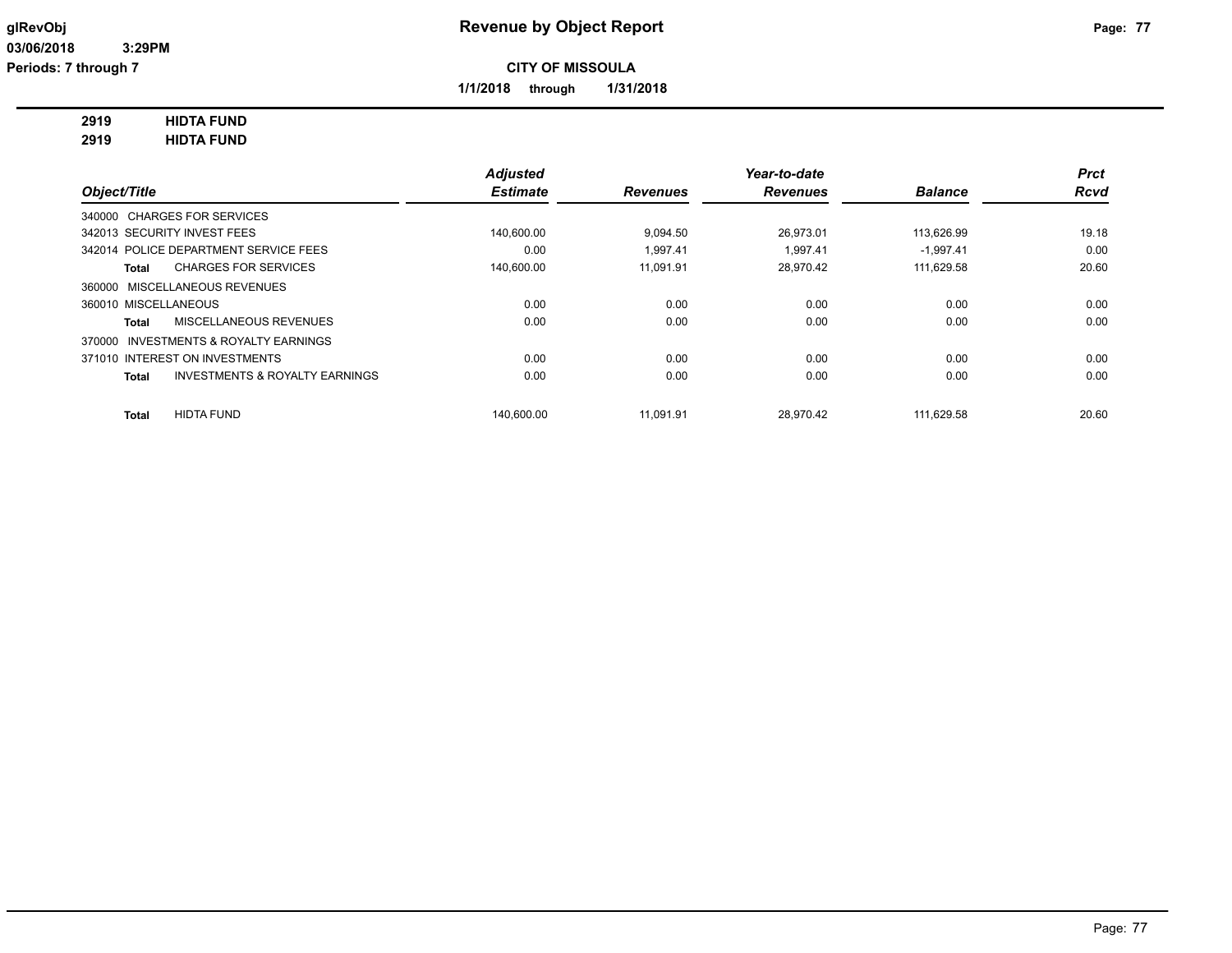**1/1/2018 through 1/31/2018**

## **2919 HIDTA FUND**

**2919 HIDTA FUND**

|                                                           | <b>Adjusted</b> |                 | Year-to-date    |                | <b>Prct</b> |
|-----------------------------------------------------------|-----------------|-----------------|-----------------|----------------|-------------|
| Object/Title                                              | <b>Estimate</b> | <b>Revenues</b> | <b>Revenues</b> | <b>Balance</b> | <b>Rcvd</b> |
| 340000 CHARGES FOR SERVICES                               |                 |                 |                 |                |             |
| 342013 SECURITY INVEST FEES                               | 140,600.00      | 9.094.50        | 26.973.01       | 113,626.99     | 19.18       |
| 342014 POLICE DEPARTMENT SERVICE FEES                     | 0.00            | 1.997.41        | 1.997.41        | $-1.997.41$    | 0.00        |
| <b>CHARGES FOR SERVICES</b><br><b>Total</b>               | 140,600.00      | 11.091.91       | 28,970.42       | 111,629.58     | 20.60       |
| 360000 MISCELLANEOUS REVENUES                             |                 |                 |                 |                |             |
| 360010 MISCELLANEOUS                                      | 0.00            | 0.00            | 0.00            | 0.00           | 0.00        |
| MISCELLANEOUS REVENUES<br><b>Total</b>                    | 0.00            | 0.00            | 0.00            | 0.00           | 0.00        |
| INVESTMENTS & ROYALTY EARNINGS<br>370000                  |                 |                 |                 |                |             |
| 371010 INTEREST ON INVESTMENTS                            | 0.00            | 0.00            | 0.00            | 0.00           | 0.00        |
| <b>INVESTMENTS &amp; ROYALTY EARNINGS</b><br><b>Total</b> | 0.00            | 0.00            | 0.00            | 0.00           | 0.00        |
| <b>HIDTA FUND</b><br><b>Total</b>                         | 140.600.00      | 11.091.91       | 28.970.42       | 111.629.58     | 20.60       |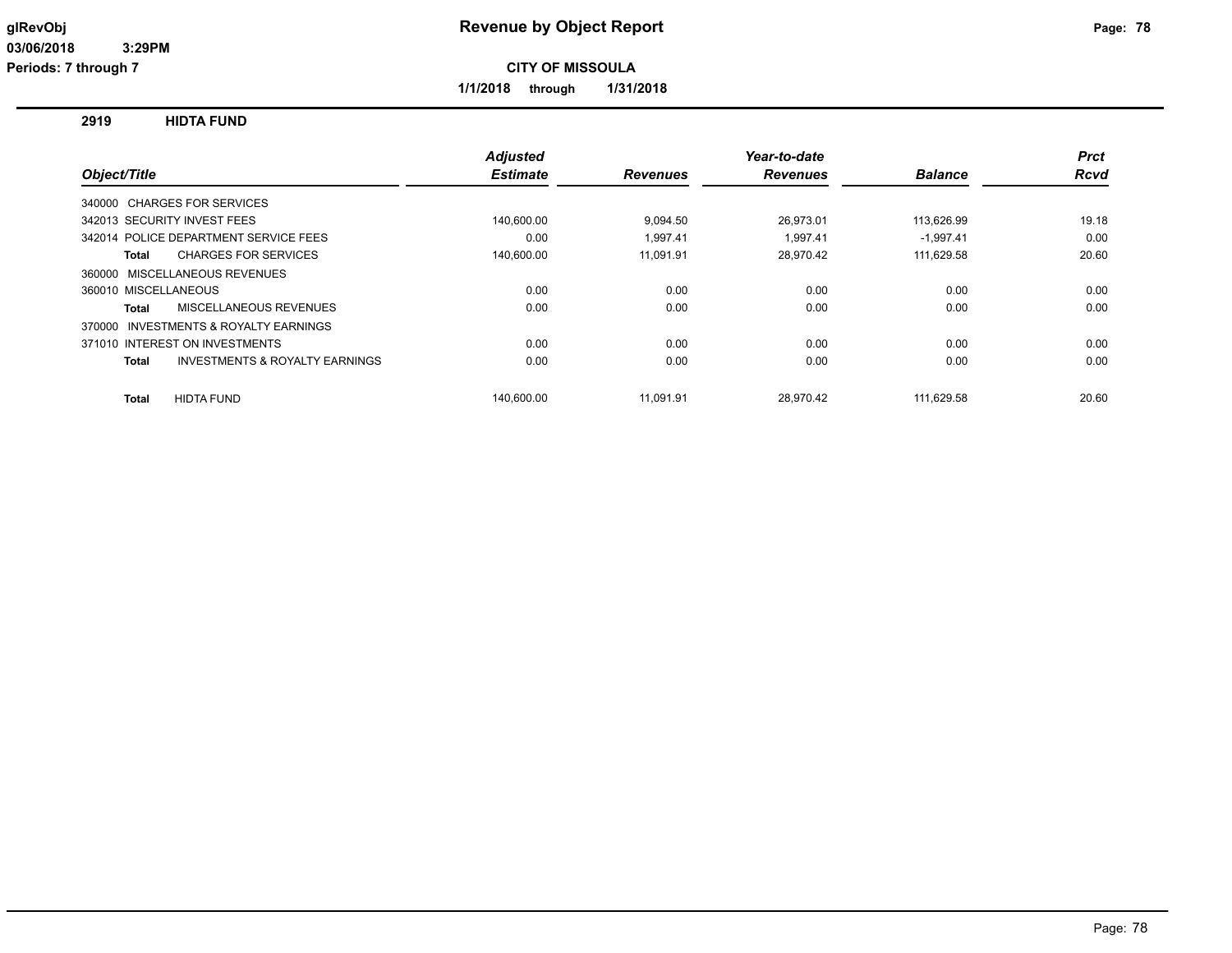**1/1/2018 through 1/31/2018**

**2919 HIDTA FUND**

|                                                           | <b>Adjusted</b> |                 | Year-to-date    |                | <b>Prct</b> |
|-----------------------------------------------------------|-----------------|-----------------|-----------------|----------------|-------------|
| Object/Title                                              | <b>Estimate</b> | <b>Revenues</b> | <b>Revenues</b> | <b>Balance</b> | Rcvd        |
| 340000 CHARGES FOR SERVICES                               |                 |                 |                 |                |             |
| 342013 SECURITY INVEST FEES                               | 140,600.00      | 9,094.50        | 26,973.01       | 113,626.99     | 19.18       |
| 342014 POLICE DEPARTMENT SERVICE FEES                     | 0.00            | 1.997.41        | 1.997.41        | $-1.997.41$    | 0.00        |
| <b>CHARGES FOR SERVICES</b><br><b>Total</b>               | 140,600.00      | 11,091.91       | 28,970.42       | 111,629.58     | 20.60       |
| 360000 MISCELLANEOUS REVENUES                             |                 |                 |                 |                |             |
| 360010 MISCELLANEOUS                                      | 0.00            | 0.00            | 0.00            | 0.00           | 0.00        |
| MISCELLANEOUS REVENUES<br>Total                           | 0.00            | 0.00            | 0.00            | 0.00           | 0.00        |
| 370000 INVESTMENTS & ROYALTY EARNINGS                     |                 |                 |                 |                |             |
| 371010 INTEREST ON INVESTMENTS                            | 0.00            | 0.00            | 0.00            | 0.00           | 0.00        |
| <b>INVESTMENTS &amp; ROYALTY EARNINGS</b><br><b>Total</b> | 0.00            | 0.00            | 0.00            | 0.00           | 0.00        |
| <b>HIDTA FUND</b><br><b>Total</b>                         | 140.600.00      | 11.091.91       | 28.970.42       | 111.629.58     | 20.60       |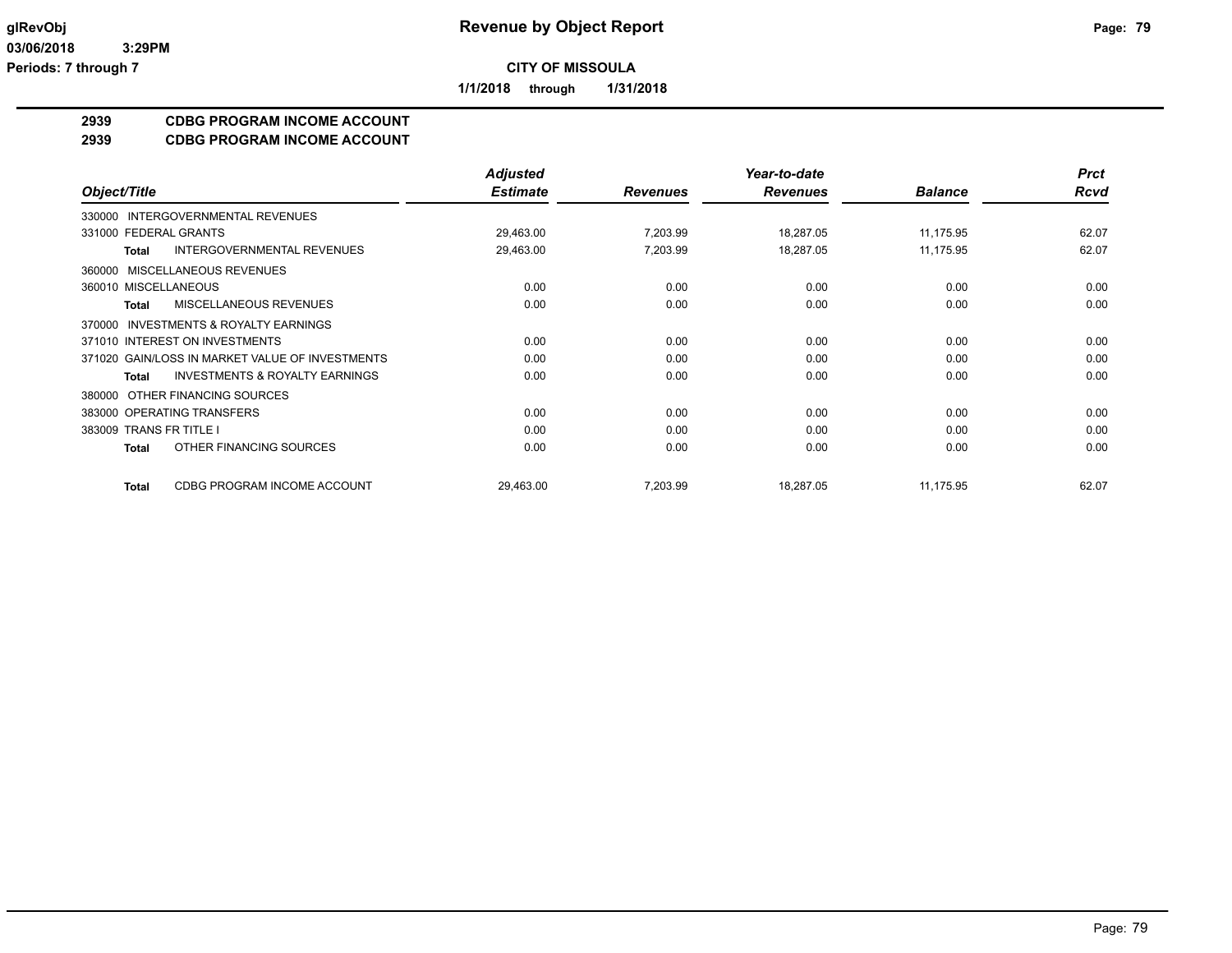**1/1/2018 through 1/31/2018**

## **2939 CDBG PROGRAM INCOME ACCOUNT**

#### **2939 CDBG PROGRAM INCOME ACCOUNT**

|                                                           | <b>Adjusted</b> |                 | Year-to-date    |                | <b>Prct</b> |
|-----------------------------------------------------------|-----------------|-----------------|-----------------|----------------|-------------|
| Object/Title                                              | <b>Estimate</b> | <b>Revenues</b> | <b>Revenues</b> | <b>Balance</b> | <b>Rcvd</b> |
| INTERGOVERNMENTAL REVENUES<br>330000                      |                 |                 |                 |                |             |
| 331000 FEDERAL GRANTS                                     | 29,463.00       | 7,203.99        | 18,287.05       | 11,175.95      | 62.07       |
| INTERGOVERNMENTAL REVENUES<br><b>Total</b>                | 29,463.00       | 7,203.99        | 18,287.05       | 11,175.95      | 62.07       |
| MISCELLANEOUS REVENUES<br>360000                          |                 |                 |                 |                |             |
| 360010 MISCELLANEOUS                                      | 0.00            | 0.00            | 0.00            | 0.00           | 0.00        |
| MISCELLANEOUS REVENUES<br><b>Total</b>                    | 0.00            | 0.00            | 0.00            | 0.00           | 0.00        |
| <b>INVESTMENTS &amp; ROYALTY EARNINGS</b><br>370000       |                 |                 |                 |                |             |
| 371010 INTEREST ON INVESTMENTS                            | 0.00            | 0.00            | 0.00            | 0.00           | 0.00        |
| 371020 GAIN/LOSS IN MARKET VALUE OF INVESTMENTS           | 0.00            | 0.00            | 0.00            | 0.00           | 0.00        |
| <b>INVESTMENTS &amp; ROYALTY EARNINGS</b><br><b>Total</b> | 0.00            | 0.00            | 0.00            | 0.00           | 0.00        |
| OTHER FINANCING SOURCES<br>380000                         |                 |                 |                 |                |             |
| 383000 OPERATING TRANSFERS                                | 0.00            | 0.00            | 0.00            | 0.00           | 0.00        |
| 383009 TRANS FR TITLE I                                   | 0.00            | 0.00            | 0.00            | 0.00           | 0.00        |
| OTHER FINANCING SOURCES<br>Total                          | 0.00            | 0.00            | 0.00            | 0.00           | 0.00        |
| CDBG PROGRAM INCOME ACCOUNT<br><b>Total</b>               | 29,463.00       | 7,203.99        | 18,287.05       | 11,175.95      | 62.07       |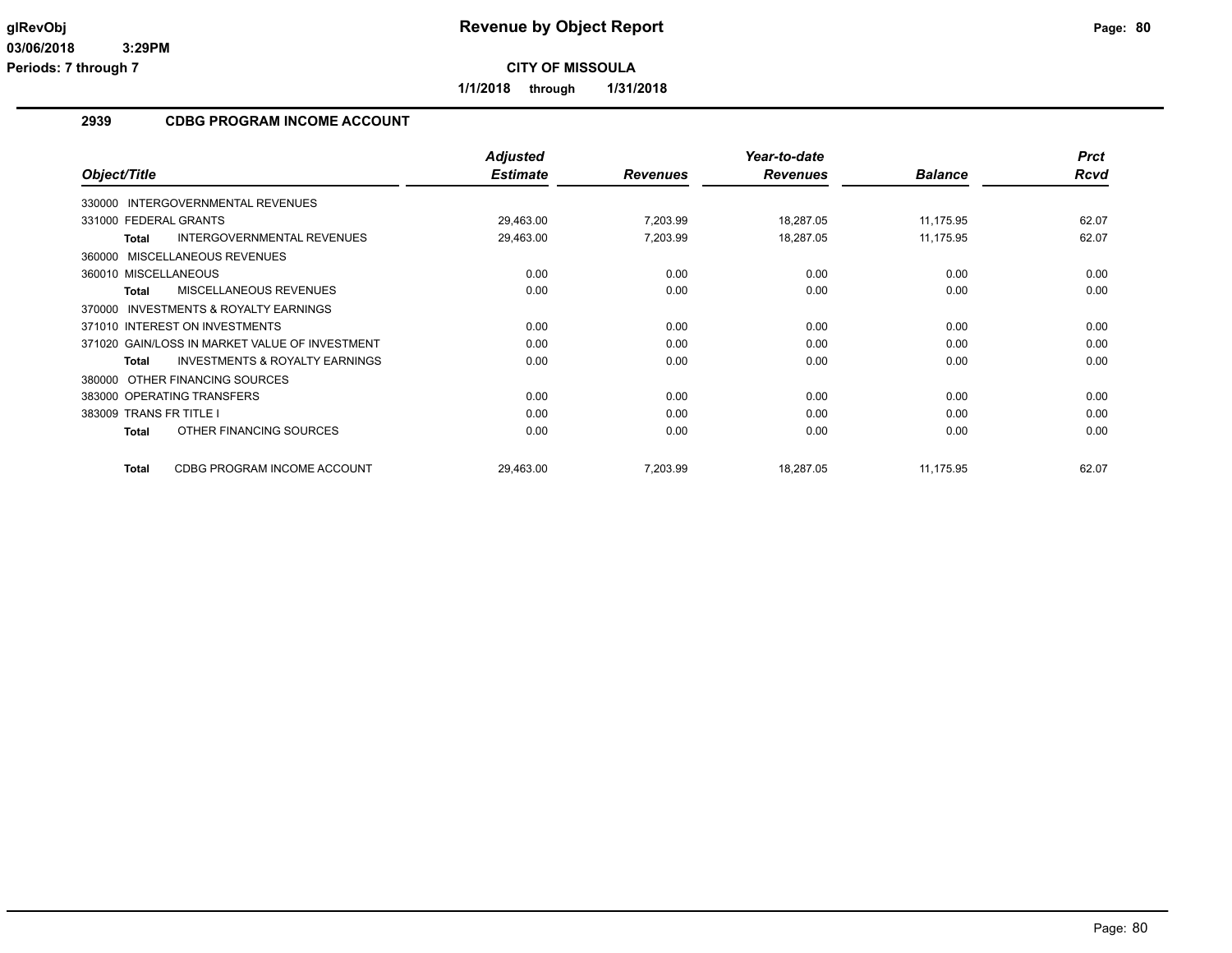**1/1/2018 through 1/31/2018**

## **2939 CDBG PROGRAM INCOME ACCOUNT**

|                                                           | <b>Adjusted</b> |                 | Year-to-date    |                | <b>Prct</b> |
|-----------------------------------------------------------|-----------------|-----------------|-----------------|----------------|-------------|
| Object/Title                                              | <b>Estimate</b> | <b>Revenues</b> | <b>Revenues</b> | <b>Balance</b> | Rcvd        |
| 330000 INTERGOVERNMENTAL REVENUES                         |                 |                 |                 |                |             |
| 331000 FEDERAL GRANTS                                     | 29,463.00       | 7,203.99        | 18,287.05       | 11,175.95      | 62.07       |
| <b>INTERGOVERNMENTAL REVENUES</b><br><b>Total</b>         | 29,463.00       | 7,203.99        | 18,287.05       | 11,175.95      | 62.07       |
| 360000 MISCELLANEOUS REVENUES                             |                 |                 |                 |                |             |
| 360010 MISCELLANEOUS                                      | 0.00            | 0.00            | 0.00            | 0.00           | 0.00        |
| MISCELLANEOUS REVENUES<br><b>Total</b>                    | 0.00            | 0.00            | 0.00            | 0.00           | 0.00        |
| <b>INVESTMENTS &amp; ROYALTY EARNINGS</b><br>370000       |                 |                 |                 |                |             |
| 371010 INTEREST ON INVESTMENTS                            | 0.00            | 0.00            | 0.00            | 0.00           | 0.00        |
| 371020 GAIN/LOSS IN MARKET VALUE OF INVESTMENT            | 0.00            | 0.00            | 0.00            | 0.00           | 0.00        |
| <b>INVESTMENTS &amp; ROYALTY EARNINGS</b><br><b>Total</b> | 0.00            | 0.00            | 0.00            | 0.00           | 0.00        |
| OTHER FINANCING SOURCES<br>380000                         |                 |                 |                 |                |             |
| 383000 OPERATING TRANSFERS                                | 0.00            | 0.00            | 0.00            | 0.00           | 0.00        |
| 383009 TRANS FR TITLE I                                   | 0.00            | 0.00            | 0.00            | 0.00           | 0.00        |
| OTHER FINANCING SOURCES<br><b>Total</b>                   | 0.00            | 0.00            | 0.00            | 0.00           | 0.00        |
| CDBG PROGRAM INCOME ACCOUNT<br><b>Total</b>               | 29,463.00       | 7,203.99        | 18,287.05       | 11,175.95      | 62.07       |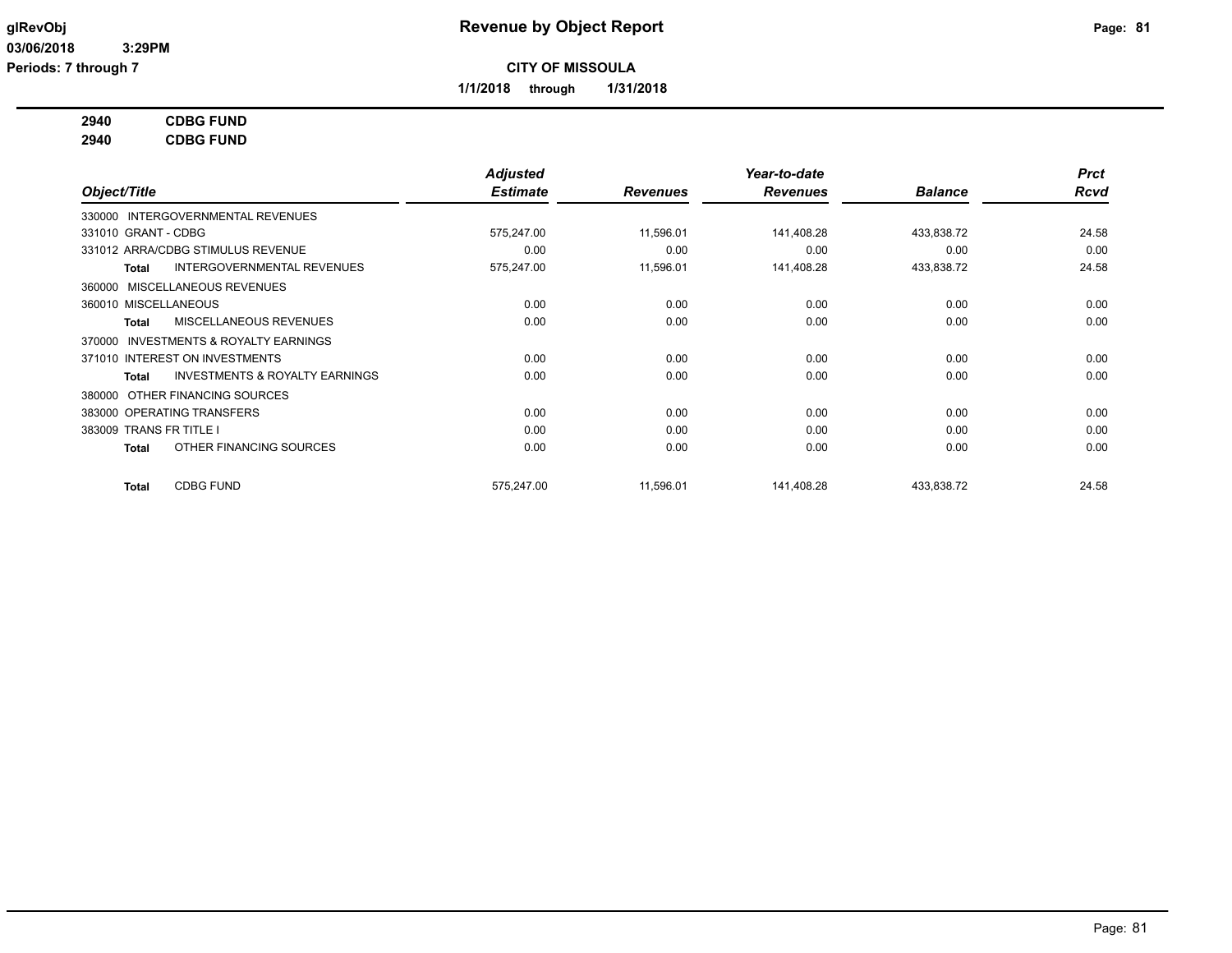**1/1/2018 through 1/31/2018**

## **2940 CDBG FUND**

**2940 CDBG FUND**

|                                |                                           | <b>Adjusted</b> |                 | Year-to-date    |                | <b>Prct</b> |
|--------------------------------|-------------------------------------------|-----------------|-----------------|-----------------|----------------|-------------|
| Object/Title                   |                                           | <b>Estimate</b> | <b>Revenues</b> | <b>Revenues</b> | <b>Balance</b> | <b>Rcvd</b> |
|                                | 330000 INTERGOVERNMENTAL REVENUES         |                 |                 |                 |                |             |
| 331010 GRANT - CDBG            |                                           | 575,247.00      | 11,596.01       | 141,408.28      | 433,838.72     | 24.58       |
|                                | 331012 ARRA/CDBG STIMULUS REVENUE         | 0.00            | 0.00            | 0.00            | 0.00           | 0.00        |
| Total                          | INTERGOVERNMENTAL REVENUES                | 575,247.00      | 11,596.01       | 141,408.28      | 433,838.72     | 24.58       |
| 360000 MISCELLANEOUS REVENUES  |                                           |                 |                 |                 |                |             |
| 360010 MISCELLANEOUS           |                                           | 0.00            | 0.00            | 0.00            | 0.00           | 0.00        |
| Total                          | MISCELLANEOUS REVENUES                    | 0.00            | 0.00            | 0.00            | 0.00           | 0.00        |
| 370000                         | <b>INVESTMENTS &amp; ROYALTY EARNINGS</b> |                 |                 |                 |                |             |
| 371010 INTEREST ON INVESTMENTS |                                           | 0.00            | 0.00            | 0.00            | 0.00           | 0.00        |
| Total                          | <b>INVESTMENTS &amp; ROYALTY EARNINGS</b> | 0.00            | 0.00            | 0.00            | 0.00           | 0.00        |
| 380000                         | OTHER FINANCING SOURCES                   |                 |                 |                 |                |             |
| 383000 OPERATING TRANSFERS     |                                           | 0.00            | 0.00            | 0.00            | 0.00           | 0.00        |
| 383009 TRANS FR TITLE I        |                                           | 0.00            | 0.00            | 0.00            | 0.00           | 0.00        |
| Total                          | OTHER FINANCING SOURCES                   | 0.00            | 0.00            | 0.00            | 0.00           | 0.00        |
| Total                          | <b>CDBG FUND</b>                          | 575,247.00      | 11,596.01       | 141,408.28      | 433,838.72     | 24.58       |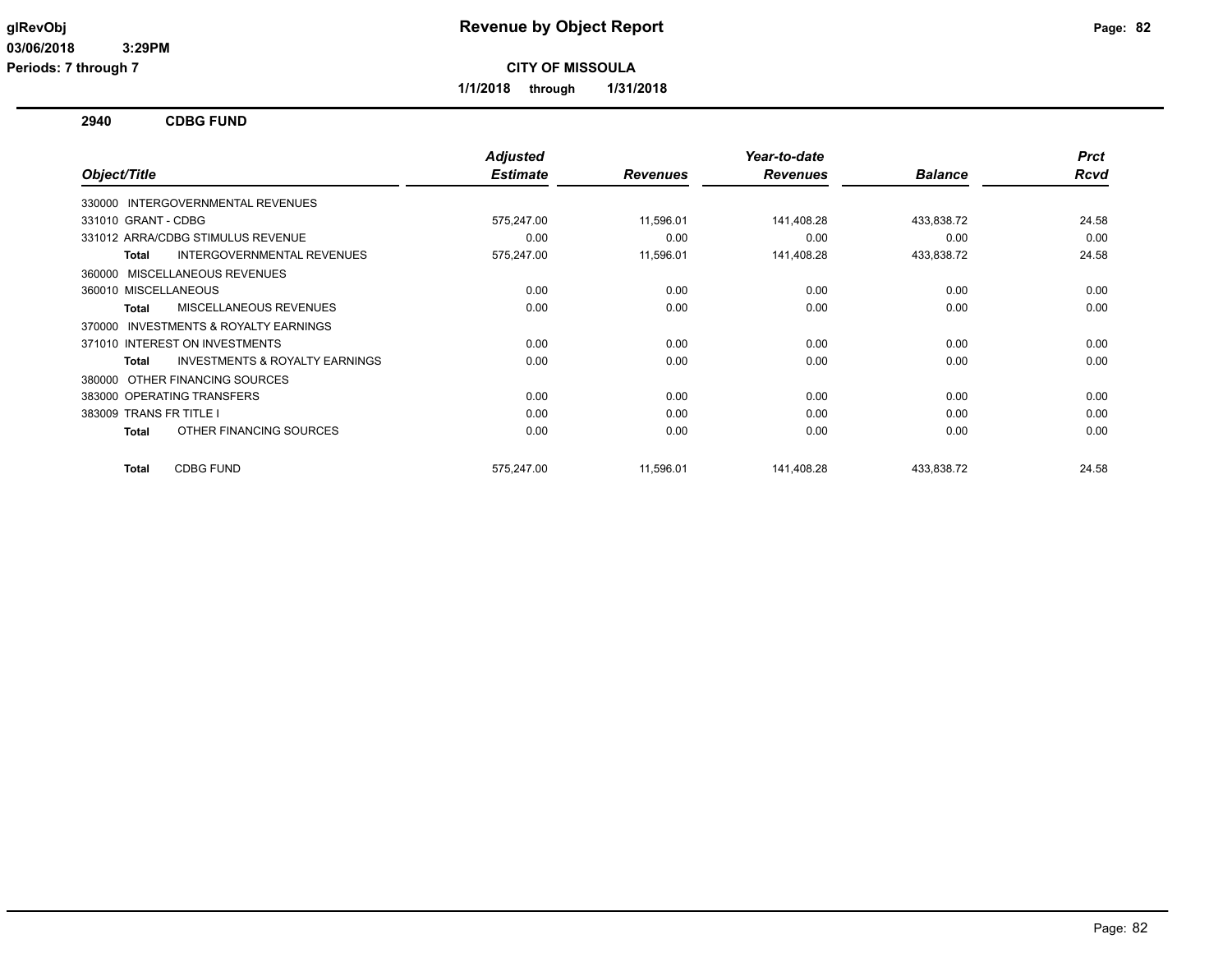**1/1/2018 through 1/31/2018**

**2940 CDBG FUND**

|                                                           | <b>Adjusted</b> |                 | Year-to-date    |                | <b>Prct</b> |
|-----------------------------------------------------------|-----------------|-----------------|-----------------|----------------|-------------|
| Object/Title                                              | <b>Estimate</b> | <b>Revenues</b> | <b>Revenues</b> | <b>Balance</b> | Rcvd        |
| 330000 INTERGOVERNMENTAL REVENUES                         |                 |                 |                 |                |             |
| 331010 GRANT - CDBG                                       | 575,247.00      | 11,596.01       | 141,408.28      | 433,838.72     | 24.58       |
| 331012 ARRA/CDBG STIMULUS REVENUE                         | 0.00            | 0.00            | 0.00            | 0.00           | 0.00        |
| <b>INTERGOVERNMENTAL REVENUES</b><br><b>Total</b>         | 575,247.00      | 11,596.01       | 141,408.28      | 433,838.72     | 24.58       |
| 360000 MISCELLANEOUS REVENUES                             |                 |                 |                 |                |             |
| 360010 MISCELLANEOUS                                      | 0.00            | 0.00            | 0.00            | 0.00           | 0.00        |
| MISCELLANEOUS REVENUES<br><b>Total</b>                    | 0.00            | 0.00            | 0.00            | 0.00           | 0.00        |
| INVESTMENTS & ROYALTY EARNINGS<br>370000                  |                 |                 |                 |                |             |
| 371010 INTEREST ON INVESTMENTS                            | 0.00            | 0.00            | 0.00            | 0.00           | 0.00        |
| <b>INVESTMENTS &amp; ROYALTY EARNINGS</b><br><b>Total</b> | 0.00            | 0.00            | 0.00            | 0.00           | 0.00        |
| OTHER FINANCING SOURCES<br>380000                         |                 |                 |                 |                |             |
| 383000 OPERATING TRANSFERS                                | 0.00            | 0.00            | 0.00            | 0.00           | 0.00        |
| 383009 TRANS FR TITLE I                                   | 0.00            | 0.00            | 0.00            | 0.00           | 0.00        |
| OTHER FINANCING SOURCES<br><b>Total</b>                   | 0.00            | 0.00            | 0.00            | 0.00           | 0.00        |
| <b>CDBG FUND</b><br><b>Total</b>                          | 575,247.00      | 11,596.01       | 141,408.28      | 433,838.72     | 24.58       |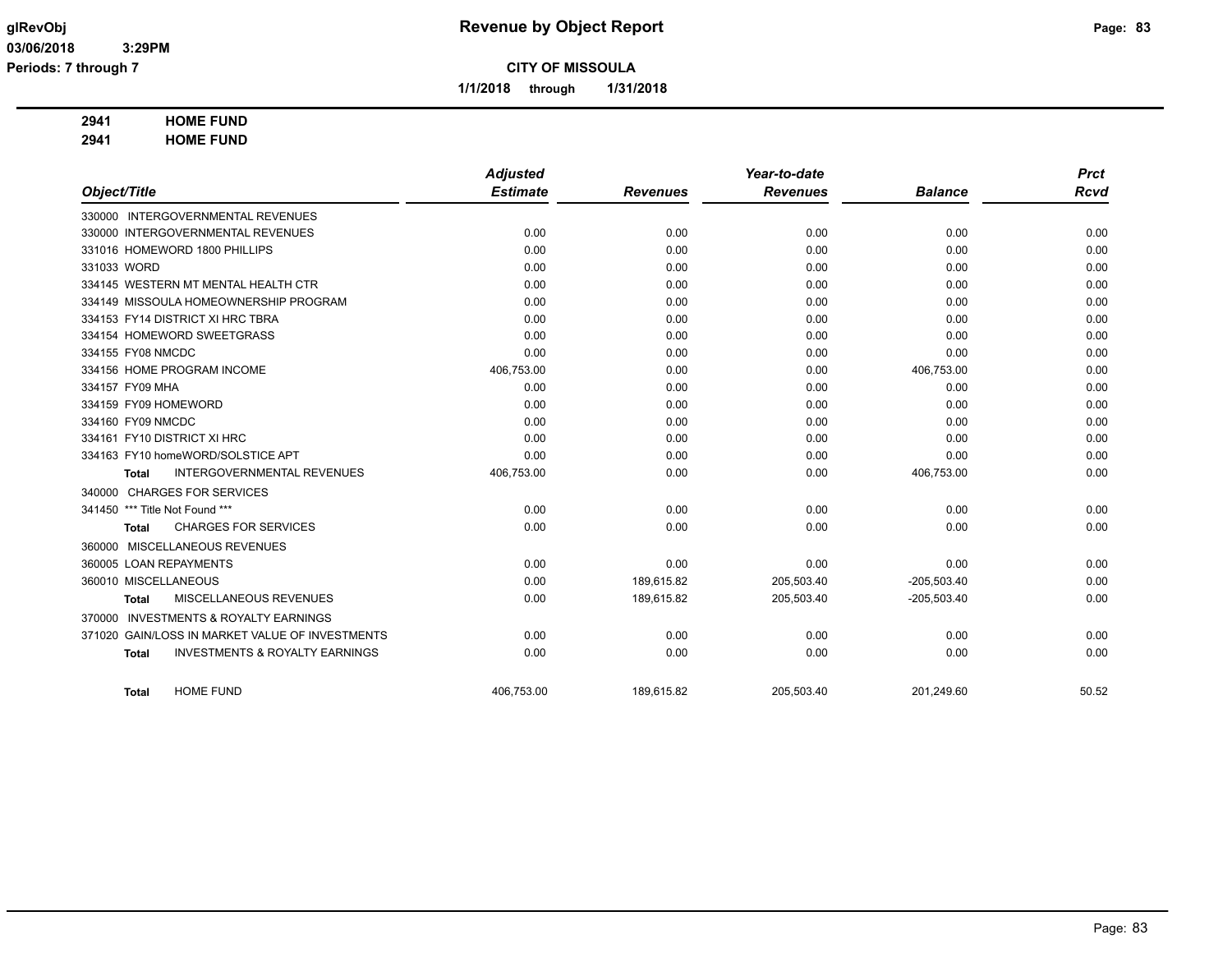**1/1/2018 through 1/31/2018**

## **2941 HOME FUND**

**2941 HOME FUND**

|                                                           | <b>Adjusted</b> |                 | Year-to-date    |                | <b>Prct</b> |
|-----------------------------------------------------------|-----------------|-----------------|-----------------|----------------|-------------|
| Object/Title                                              | <b>Estimate</b> | <b>Revenues</b> | <b>Revenues</b> | <b>Balance</b> | <b>Rcvd</b> |
| 330000 INTERGOVERNMENTAL REVENUES                         |                 |                 |                 |                |             |
| 330000 INTERGOVERNMENTAL REVENUES                         | 0.00            | 0.00            | 0.00            | 0.00           | 0.00        |
| 331016 HOMEWORD 1800 PHILLIPS                             | 0.00            | 0.00            | 0.00            | 0.00           | 0.00        |
| 331033 WORD                                               | 0.00            | 0.00            | 0.00            | 0.00           | 0.00        |
| 334145 WESTERN MT MENTAL HEALTH CTR                       | 0.00            | 0.00            | 0.00            | 0.00           | 0.00        |
| 334149 MISSOULA HOMEOWNERSHIP PROGRAM                     | 0.00            | 0.00            | 0.00            | 0.00           | 0.00        |
| 334153 FY14 DISTRICT XI HRC TBRA                          | 0.00            | 0.00            | 0.00            | 0.00           | 0.00        |
| 334154 HOMEWORD SWEETGRASS                                | 0.00            | 0.00            | 0.00            | 0.00           | 0.00        |
| 334155 FY08 NMCDC                                         | 0.00            | 0.00            | 0.00            | 0.00           | 0.00        |
| 334156 HOME PROGRAM INCOME                                | 406,753.00      | 0.00            | 0.00            | 406,753.00     | 0.00        |
| 334157 FY09 MHA                                           | 0.00            | 0.00            | 0.00            | 0.00           | 0.00        |
| 334159 FY09 HOMEWORD                                      | 0.00            | 0.00            | 0.00            | 0.00           | 0.00        |
| 334160 FY09 NMCDC                                         | 0.00            | 0.00            | 0.00            | 0.00           | 0.00        |
| 334161 FY10 DISTRICT XI HRC                               | 0.00            | 0.00            | 0.00            | 0.00           | 0.00        |
| 334163 FY10 homeWORD/SOLSTICE APT                         | 0.00            | 0.00            | 0.00            | 0.00           | 0.00        |
| <b>INTERGOVERNMENTAL REVENUES</b><br><b>Total</b>         | 406,753.00      | 0.00            | 0.00            | 406,753.00     | 0.00        |
| <b>CHARGES FOR SERVICES</b><br>340000                     |                 |                 |                 |                |             |
| 341450 *** Title Not Found ***                            | 0.00            | 0.00            | 0.00            | 0.00           | 0.00        |
| <b>CHARGES FOR SERVICES</b><br><b>Total</b>               | 0.00            | 0.00            | 0.00            | 0.00           | 0.00        |
| 360000 MISCELLANEOUS REVENUES                             |                 |                 |                 |                |             |
| 360005 LOAN REPAYMENTS                                    | 0.00            | 0.00            | 0.00            | 0.00           | 0.00        |
| 360010 MISCELLANEOUS                                      | 0.00            | 189,615.82      | 205,503.40      | $-205,503.40$  | 0.00        |
| MISCELLANEOUS REVENUES<br><b>Total</b>                    | 0.00            | 189,615.82      | 205,503.40      | $-205,503.40$  | 0.00        |
| <b>INVESTMENTS &amp; ROYALTY EARNINGS</b><br>370000       |                 |                 |                 |                |             |
| 371020 GAIN/LOSS IN MARKET VALUE OF INVESTMENTS           | 0.00            | 0.00            | 0.00            | 0.00           | 0.00        |
| <b>INVESTMENTS &amp; ROYALTY EARNINGS</b><br><b>Total</b> | 0.00            | 0.00            | 0.00            | 0.00           | 0.00        |
| <b>HOME FUND</b><br><b>Total</b>                          | 406,753.00      | 189,615.82      | 205,503.40      | 201,249.60     | 50.52       |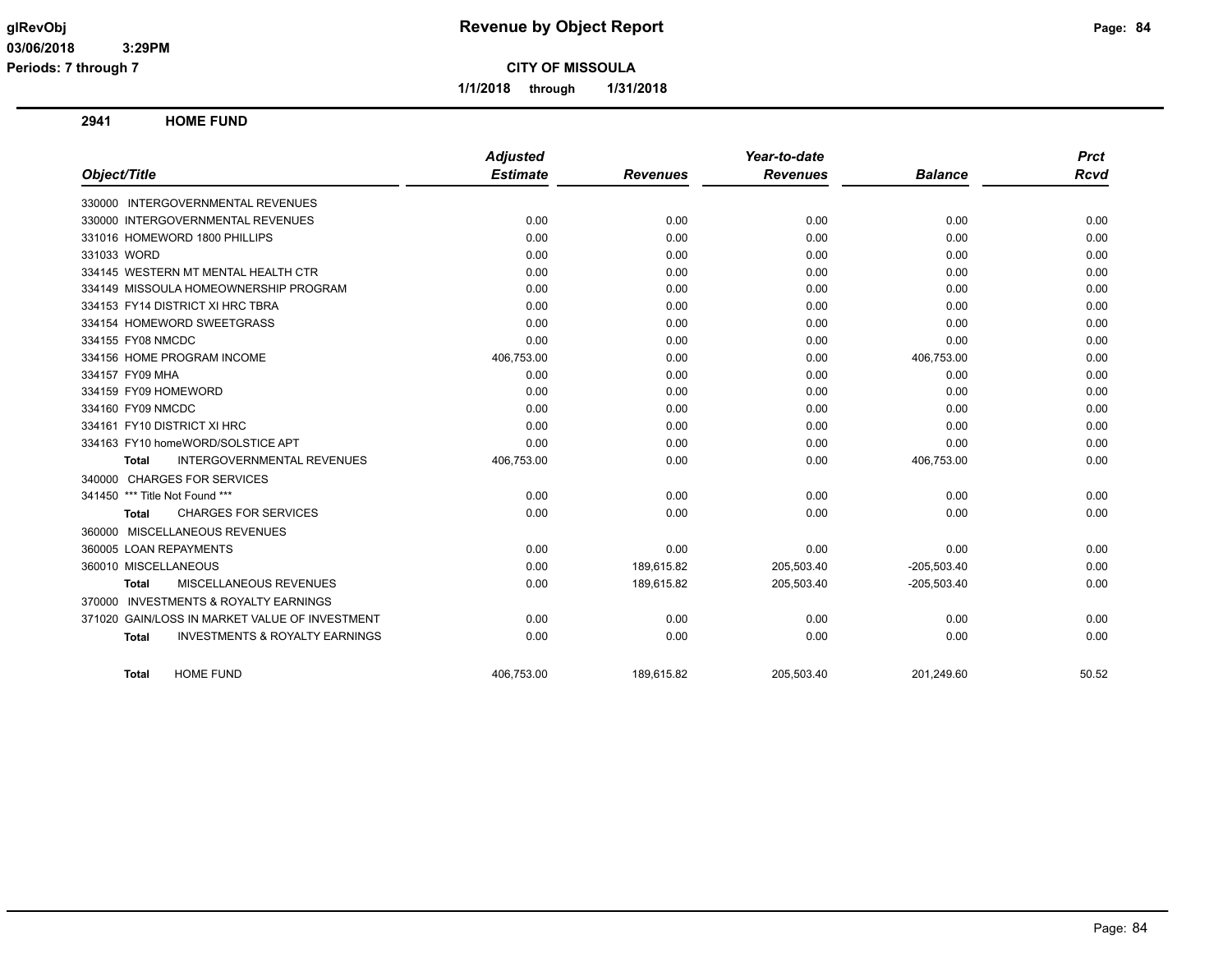**1/1/2018 through 1/31/2018**

**2941 HOME FUND**

|                                                           | <b>Adjusted</b> |                 | Year-to-date    |                | <b>Prct</b> |
|-----------------------------------------------------------|-----------------|-----------------|-----------------|----------------|-------------|
| Object/Title                                              | <b>Estimate</b> | <b>Revenues</b> | <b>Revenues</b> | <b>Balance</b> | <b>Rcvd</b> |
| 330000 INTERGOVERNMENTAL REVENUES                         |                 |                 |                 |                |             |
| 330000 INTERGOVERNMENTAL REVENUES                         | 0.00            | 0.00            | 0.00            | 0.00           | 0.00        |
| 331016 HOMEWORD 1800 PHILLIPS                             | 0.00            | 0.00            | 0.00            | 0.00           | 0.00        |
| 331033 WORD                                               | 0.00            | 0.00            | 0.00            | 0.00           | 0.00        |
| 334145 WESTERN MT MENTAL HEALTH CTR                       | 0.00            | 0.00            | 0.00            | 0.00           | 0.00        |
| 334149 MISSOULA HOMEOWNERSHIP PROGRAM                     | 0.00            | 0.00            | 0.00            | 0.00           | 0.00        |
| 334153 FY14 DISTRICT XI HRC TBRA                          | 0.00            | 0.00            | 0.00            | 0.00           | 0.00        |
| 334154 HOMEWORD SWEETGRASS                                | 0.00            | 0.00            | 0.00            | 0.00           | 0.00        |
| 334155 FY08 NMCDC                                         | 0.00            | 0.00            | 0.00            | 0.00           | 0.00        |
| 334156 HOME PROGRAM INCOME                                | 406,753.00      | 0.00            | 0.00            | 406,753.00     | 0.00        |
| 334157 FY09 MHA                                           | 0.00            | 0.00            | 0.00            | 0.00           | 0.00        |
| 334159 FY09 HOMEWORD                                      | 0.00            | 0.00            | 0.00            | 0.00           | 0.00        |
| 334160 FY09 NMCDC                                         | 0.00            | 0.00            | 0.00            | 0.00           | 0.00        |
| 334161 FY10 DISTRICT XI HRC                               | 0.00            | 0.00            | 0.00            | 0.00           | 0.00        |
| 334163 FY10 homeWORD/SOLSTICE APT                         | 0.00            | 0.00            | 0.00            | 0.00           | 0.00        |
| <b>INTERGOVERNMENTAL REVENUES</b><br>Total                | 406,753.00      | 0.00            | 0.00            | 406,753.00     | 0.00        |
| 340000 CHARGES FOR SERVICES                               |                 |                 |                 |                |             |
| 341450 *** Title Not Found ***                            | 0.00            | 0.00            | 0.00            | 0.00           | 0.00        |
| <b>CHARGES FOR SERVICES</b><br><b>Total</b>               | 0.00            | 0.00            | 0.00            | 0.00           | 0.00        |
| 360000 MISCELLANEOUS REVENUES                             |                 |                 |                 |                |             |
| 360005 LOAN REPAYMENTS                                    | 0.00            | 0.00            | 0.00            | 0.00           | 0.00        |
| 360010 MISCELLANEOUS                                      | 0.00            | 189.615.82      | 205,503.40      | $-205,503.40$  | 0.00        |
| MISCELLANEOUS REVENUES<br>Total                           | 0.00            | 189,615.82      | 205,503.40      | $-205,503.40$  | 0.00        |
| <b>INVESTMENTS &amp; ROYALTY EARNINGS</b><br>370000       |                 |                 |                 |                |             |
| 371020 GAIN/LOSS IN MARKET VALUE OF INVESTMENT            | 0.00            | 0.00            | 0.00            | 0.00           | 0.00        |
| <b>INVESTMENTS &amp; ROYALTY EARNINGS</b><br><b>Total</b> | 0.00            | 0.00            | 0.00            | 0.00           | 0.00        |
| <b>HOME FUND</b><br><b>Total</b>                          | 406,753.00      | 189,615.82      | 205,503.40      | 201,249.60     | 50.52       |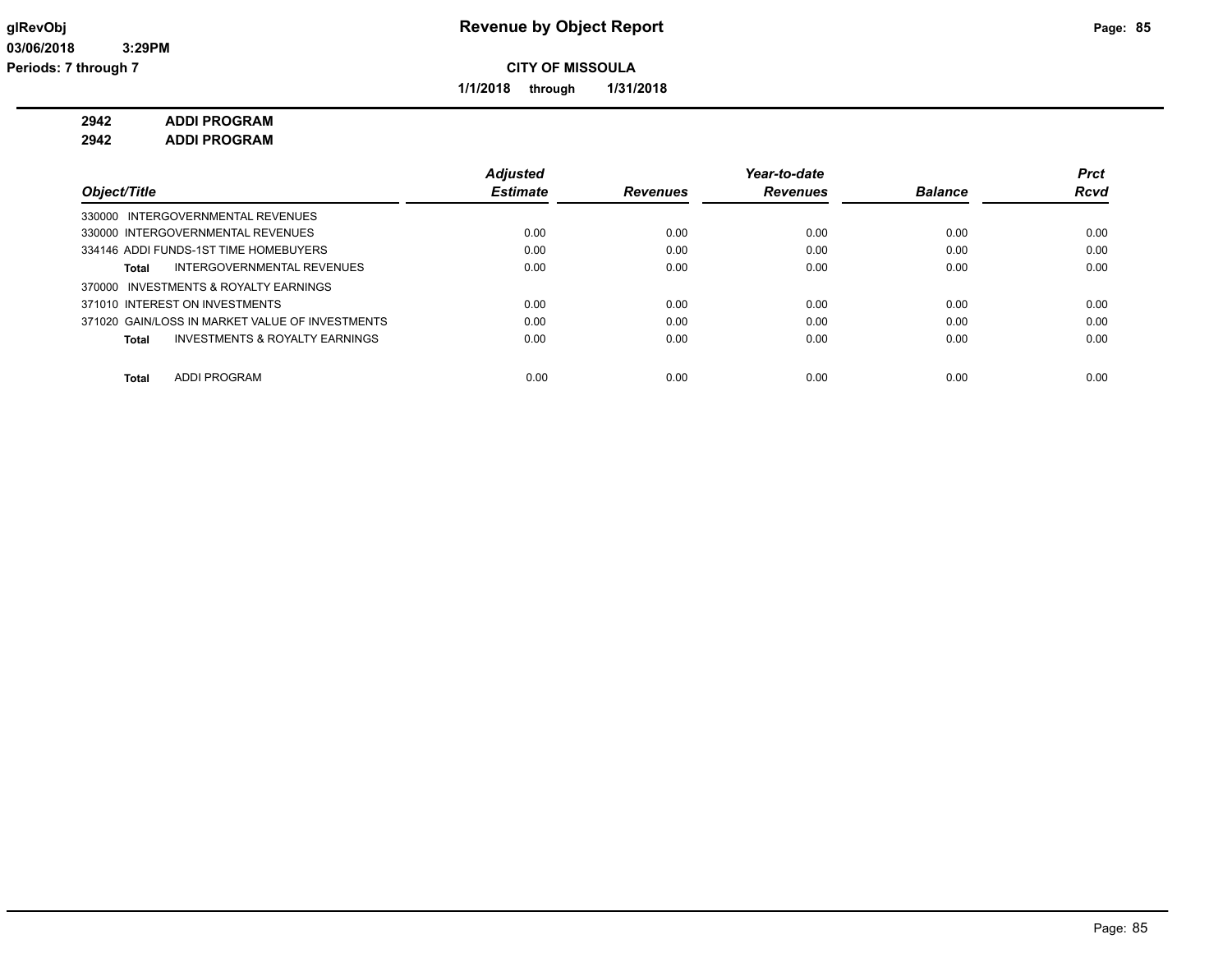**1/1/2018 through 1/31/2018**

## **2942 ADDI PROGRAM**

**2942 ADDI PROGRAM**

|                                                           | <b>Adjusted</b> |                 | Year-to-date    |                | <b>Prct</b> |
|-----------------------------------------------------------|-----------------|-----------------|-----------------|----------------|-------------|
| Object/Title                                              | <b>Estimate</b> | <b>Revenues</b> | <b>Revenues</b> | <b>Balance</b> | <b>Rcvd</b> |
| 330000 INTERGOVERNMENTAL REVENUES                         |                 |                 |                 |                |             |
| 330000 INTERGOVERNMENTAL REVENUES                         | 0.00            | 0.00            | 0.00            | 0.00           | 0.00        |
| 334146 ADDI FUNDS-1ST TIME HOMEBUYERS                     | 0.00            | 0.00            | 0.00            | 0.00           | 0.00        |
| INTERGOVERNMENTAL REVENUES<br>Total                       | 0.00            | 0.00            | 0.00            | 0.00           | 0.00        |
| 370000 INVESTMENTS & ROYALTY EARNINGS                     |                 |                 |                 |                |             |
| 371010 INTEREST ON INVESTMENTS                            | 0.00            | 0.00            | 0.00            | 0.00           | 0.00        |
| 371020 GAIN/LOSS IN MARKET VALUE OF INVESTMENTS           | 0.00            | 0.00            | 0.00            | 0.00           | 0.00        |
| <b>INVESTMENTS &amp; ROYALTY EARNINGS</b><br><b>Total</b> | 0.00            | 0.00            | 0.00            | 0.00           | 0.00        |
| ADDI PROGRAM<br>Total                                     | 0.00            | 0.00            | 0.00            | 0.00           | 0.00        |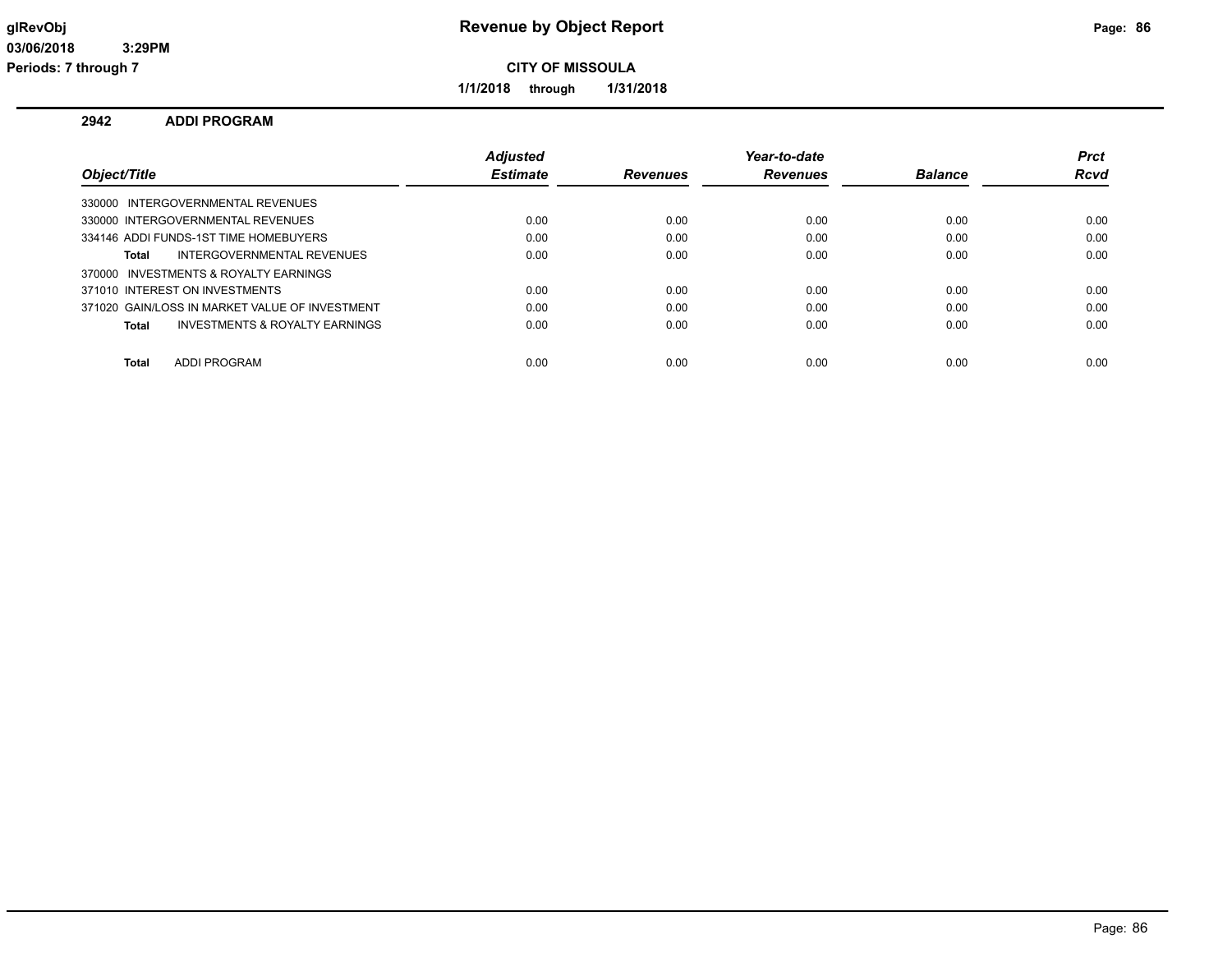**1/1/2018 through 1/31/2018**

## **2942 ADDI PROGRAM**

|                                                | <b>Adjusted</b> |                 | Year-to-date    |                | <b>Prct</b> |
|------------------------------------------------|-----------------|-----------------|-----------------|----------------|-------------|
| Object/Title                                   | <b>Estimate</b> | <b>Revenues</b> | <b>Revenues</b> | <b>Balance</b> | <b>Rcvd</b> |
| 330000 INTERGOVERNMENTAL REVENUES              |                 |                 |                 |                |             |
| 330000 INTERGOVERNMENTAL REVENUES              | 0.00            | 0.00            | 0.00            | 0.00           | 0.00        |
| 334146 ADDI FUNDS-1ST TIME HOMEBUYERS          | 0.00            | 0.00            | 0.00            | 0.00           | 0.00        |
| INTERGOVERNMENTAL REVENUES<br>Total            | 0.00            | 0.00            | 0.00            | 0.00           | 0.00        |
| 370000 INVESTMENTS & ROYALTY EARNINGS          |                 |                 |                 |                |             |
| 371010 INTEREST ON INVESTMENTS                 | 0.00            | 0.00            | 0.00            | 0.00           | 0.00        |
| 371020 GAIN/LOSS IN MARKET VALUE OF INVESTMENT | 0.00            | 0.00            | 0.00            | 0.00           | 0.00        |
| INVESTMENTS & ROYALTY EARNINGS<br>Total        | 0.00            | 0.00            | 0.00            | 0.00           | 0.00        |
|                                                |                 |                 |                 |                |             |
| ADDI PROGRAM<br>Total                          | 0.00            | 0.00            | 0.00            | 0.00           | 0.00        |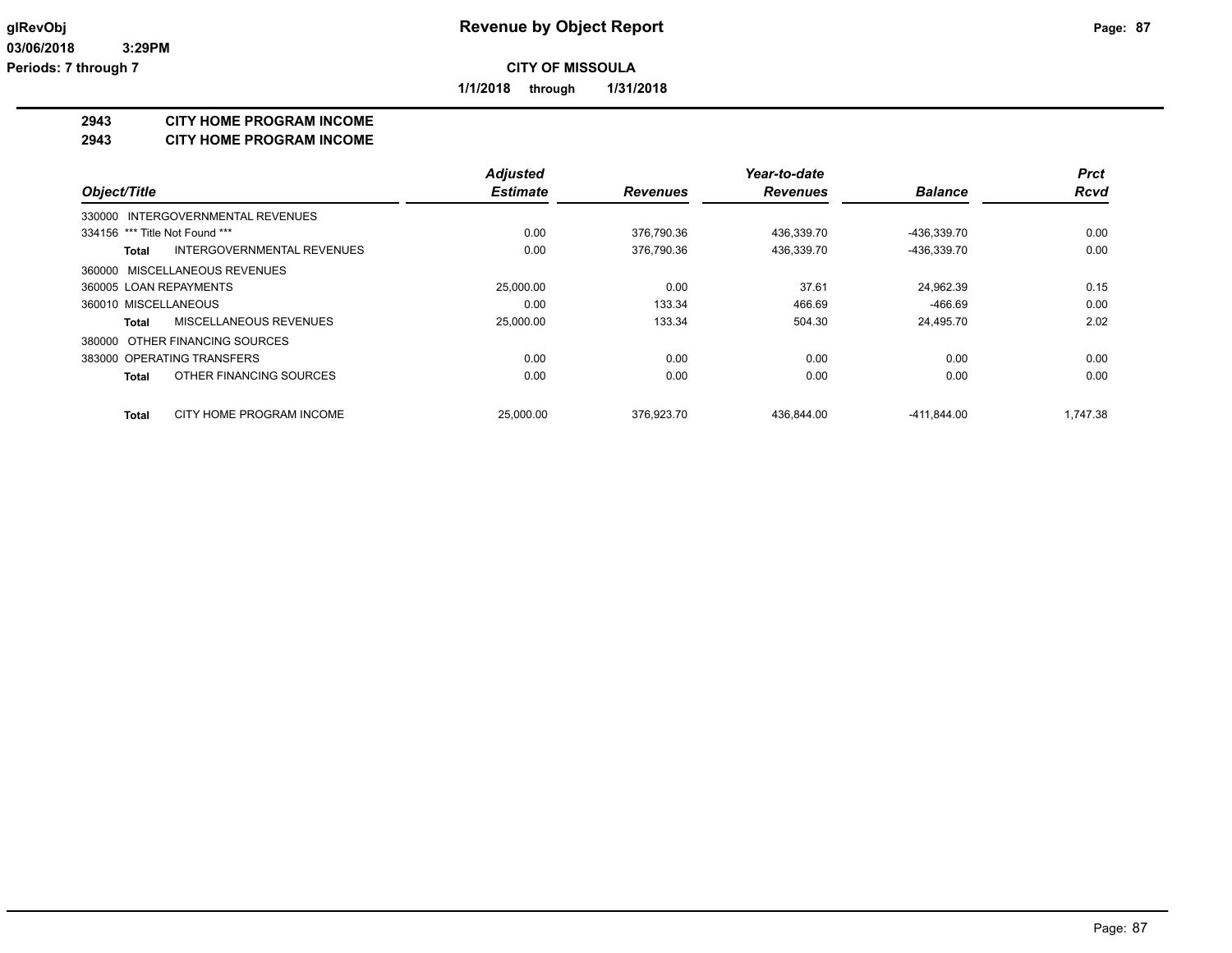**1/1/2018 through 1/31/2018**

#### **2943 CITY HOME PROGRAM INCOME**

**2943 CITY HOME PROGRAM INCOME**

|                                            | <b>Adjusted</b> |                 | Year-to-date    |                | <b>Prct</b> |
|--------------------------------------------|-----------------|-----------------|-----------------|----------------|-------------|
| Object/Title                               | <b>Estimate</b> | <b>Revenues</b> | <b>Revenues</b> | <b>Balance</b> | <b>Rcvd</b> |
| 330000 INTERGOVERNMENTAL REVENUES          |                 |                 |                 |                |             |
| 334156 *** Title Not Found ***             | 0.00            | 376.790.36      | 436,339.70      | -436,339.70    | 0.00        |
| <b>INTERGOVERNMENTAL REVENUES</b><br>Total | 0.00            | 376,790.36      | 436,339.70      | -436,339.70    | 0.00        |
| 360000 MISCELLANEOUS REVENUES              |                 |                 |                 |                |             |
| 360005 LOAN REPAYMENTS                     | 25,000.00       | 0.00            | 37.61           | 24.962.39      | 0.15        |
| 360010 MISCELLANEOUS                       | 0.00            | 133.34          | 466.69          | -466.69        | 0.00        |
| MISCELLANEOUS REVENUES<br>Total            | 25,000.00       | 133.34          | 504.30          | 24.495.70      | 2.02        |
| 380000 OTHER FINANCING SOURCES             |                 |                 |                 |                |             |
| 383000 OPERATING TRANSFERS                 | 0.00            | 0.00            | 0.00            | 0.00           | 0.00        |
| OTHER FINANCING SOURCES<br><b>Total</b>    | 0.00            | 0.00            | 0.00            | 0.00           | 0.00        |
| CITY HOME PROGRAM INCOME<br><b>Total</b>   | 25.000.00       | 376.923.70      | 436.844.00      | $-411.844.00$  | 1.747.38    |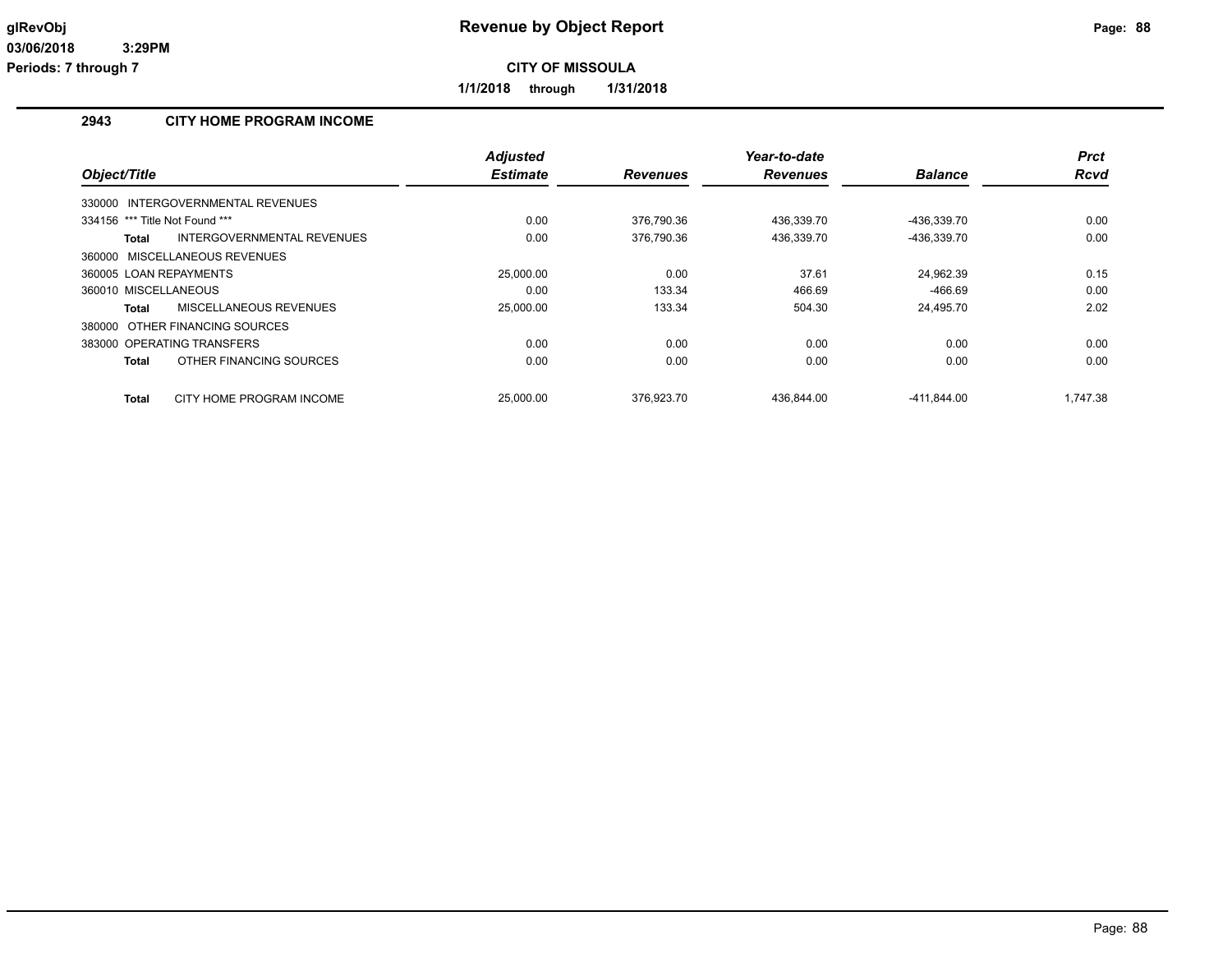**1/1/2018 through 1/31/2018**

## **2943 CITY HOME PROGRAM INCOME**

|                                            | <b>Adjusted</b> |                 | Year-to-date    |                | <b>Prct</b> |
|--------------------------------------------|-----------------|-----------------|-----------------|----------------|-------------|
| Object/Title                               | <b>Estimate</b> | <b>Revenues</b> | <b>Revenues</b> | <b>Balance</b> | <b>Rcvd</b> |
| INTERGOVERNMENTAL REVENUES<br>330000       |                 |                 |                 |                |             |
| 334156 *** Title Not Found ***             | 0.00            | 376,790.36      | 436,339.70      | -436.339.70    | 0.00        |
| INTERGOVERNMENTAL REVENUES<br><b>Total</b> | 0.00            | 376,790.36      | 436,339.70      | -436,339.70    | 0.00        |
| 360000 MISCELLANEOUS REVENUES              |                 |                 |                 |                |             |
| 360005 LOAN REPAYMENTS                     | 25,000.00       | 0.00            | 37.61           | 24.962.39      | 0.15        |
| 360010 MISCELLANEOUS                       | 0.00            | 133.34          | 466.69          | $-466.69$      | 0.00        |
| MISCELLANEOUS REVENUES<br><b>Total</b>     | 25,000.00       | 133.34          | 504.30          | 24,495.70      | 2.02        |
| 380000 OTHER FINANCING SOURCES             |                 |                 |                 |                |             |
| 383000 OPERATING TRANSFERS                 | 0.00            | 0.00            | 0.00            | 0.00           | 0.00        |
| OTHER FINANCING SOURCES<br><b>Total</b>    | 0.00            | 0.00            | 0.00            | 0.00           | 0.00        |
| CITY HOME PROGRAM INCOME<br><b>Total</b>   | 25,000.00       | 376.923.70      | 436.844.00      | -411.844.00    | 1.747.38    |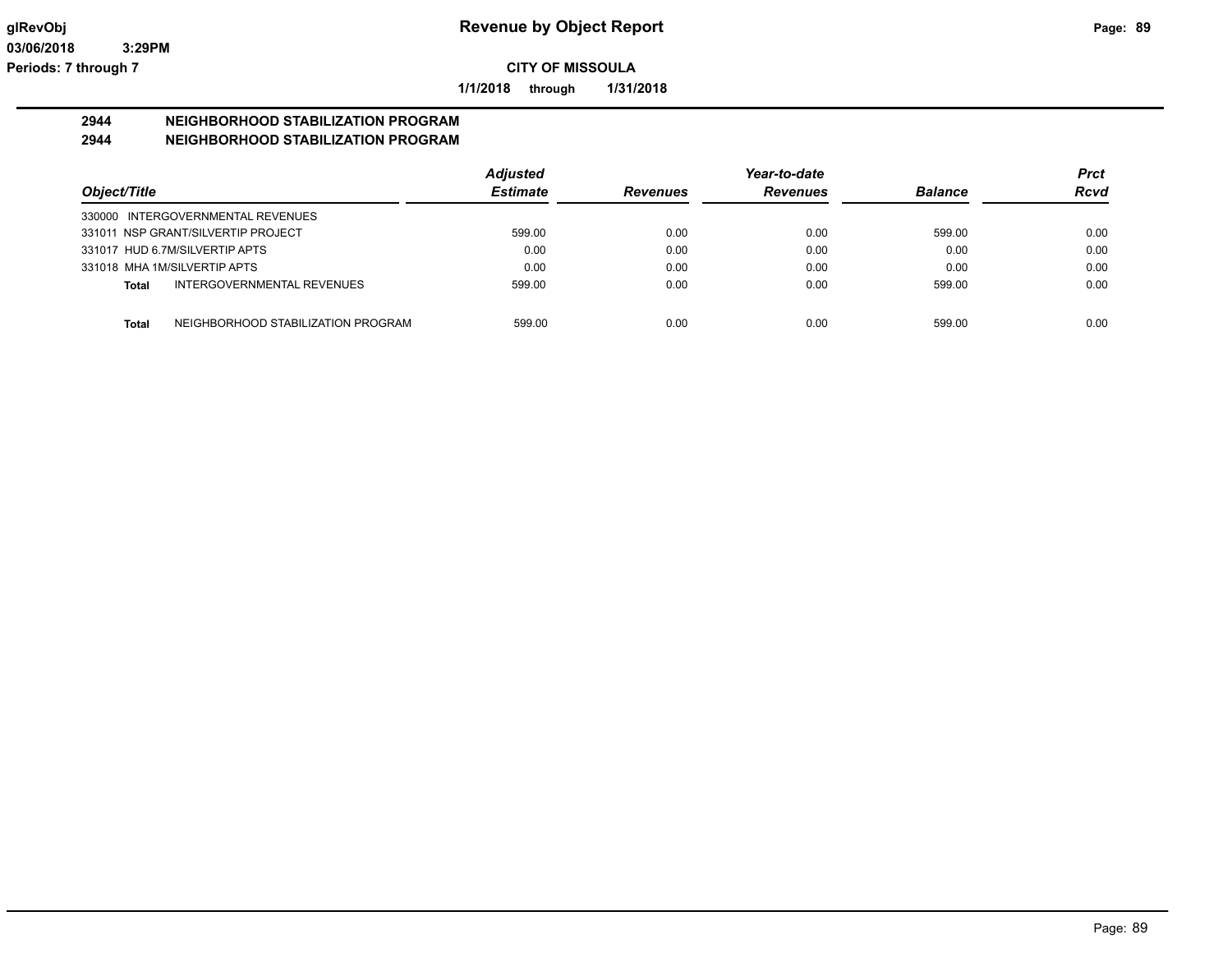**1/1/2018 through 1/31/2018**

### **2944 NEIGHBORHOOD STABILIZATION PROGRAM 2944 NEIGHBORHOOD STABILIZATION PROGRAM**

|                                                    | <b>Adjusted</b> |                 | Year-to-date    |                | Prct        |
|----------------------------------------------------|-----------------|-----------------|-----------------|----------------|-------------|
| Object/Title                                       | <b>Estimate</b> | <b>Revenues</b> | <b>Revenues</b> | <b>Balance</b> | <b>Rcvd</b> |
| 330000 INTERGOVERNMENTAL REVENUES                  |                 |                 |                 |                |             |
| 331011 NSP GRANT/SILVERTIP PROJECT                 | 599.00          | 0.00            | 0.00            | 599.00         | 0.00        |
| 331017 HUD 6.7M/SILVERTIP APTS                     | 0.00            | 0.00            | 0.00            | 0.00           | 0.00        |
| 331018 MHA 1M/SILVERTIP APTS                       | 0.00            | 0.00            | 0.00            | 0.00           | 0.00        |
| INTERGOVERNMENTAL REVENUES<br>Total                | 599.00          | 0.00            | 0.00            | 599.00         | 0.00        |
|                                                    |                 |                 |                 |                |             |
| NEIGHBORHOOD STABILIZATION PROGRAM<br><b>Total</b> | 599.00          | 0.00            | 0.00            | 599.00         | 0.00        |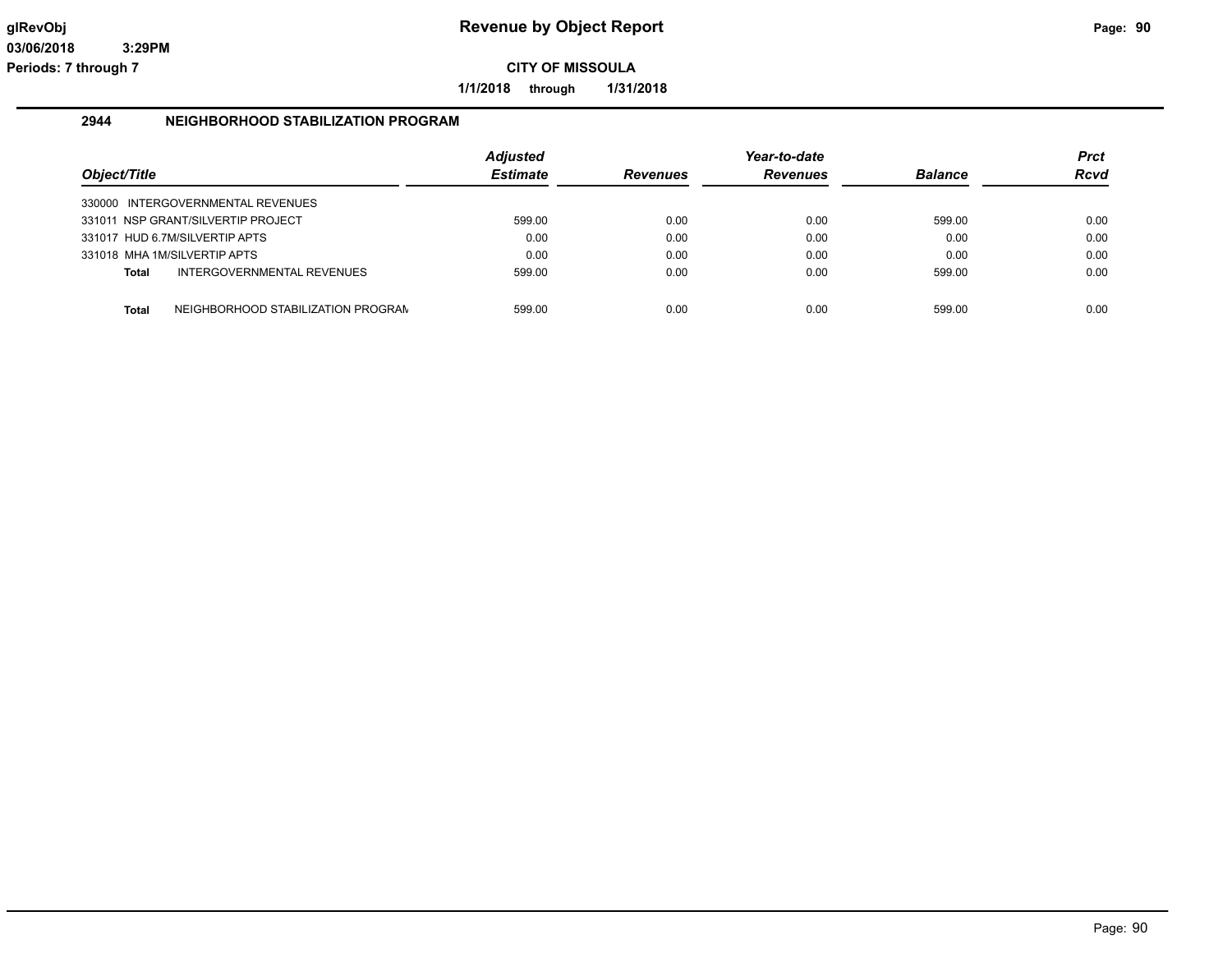**1/1/2018 through 1/31/2018**

#### **2944 NEIGHBORHOOD STABILIZATION PROGRAM**

| Object/Title |                                    | <b>Adjusted</b><br><b>Estimate</b> | <b>Revenues</b> | Year-to-date<br><b>Revenues</b> | <b>Balance</b> | <b>Prct</b><br><b>Rcvd</b> |
|--------------|------------------------------------|------------------------------------|-----------------|---------------------------------|----------------|----------------------------|
|              | 330000 INTERGOVERNMENTAL REVENUES  |                                    |                 |                                 |                |                            |
|              | 331011 NSP GRANT/SILVERTIP PROJECT | 599.00                             | 0.00            | 0.00                            | 599.00         | 0.00                       |
|              | 331017 HUD 6.7M/SILVERTIP APTS     | 0.00                               | 0.00            | 0.00                            | 0.00           | 0.00                       |
|              | 331018 MHA 1M/SILVERTIP APTS       | 0.00                               | 0.00            | 0.00                            | 0.00           | 0.00                       |
| <b>Total</b> | INTERGOVERNMENTAL REVENUES         | 599.00                             | 0.00            | 0.00                            | 599.00         | 0.00                       |
| <b>Total</b> | NEIGHBORHOOD STABILIZATION PROGRAN | 599.00                             | 0.00            | 0.00                            | 599.00         | 0.00                       |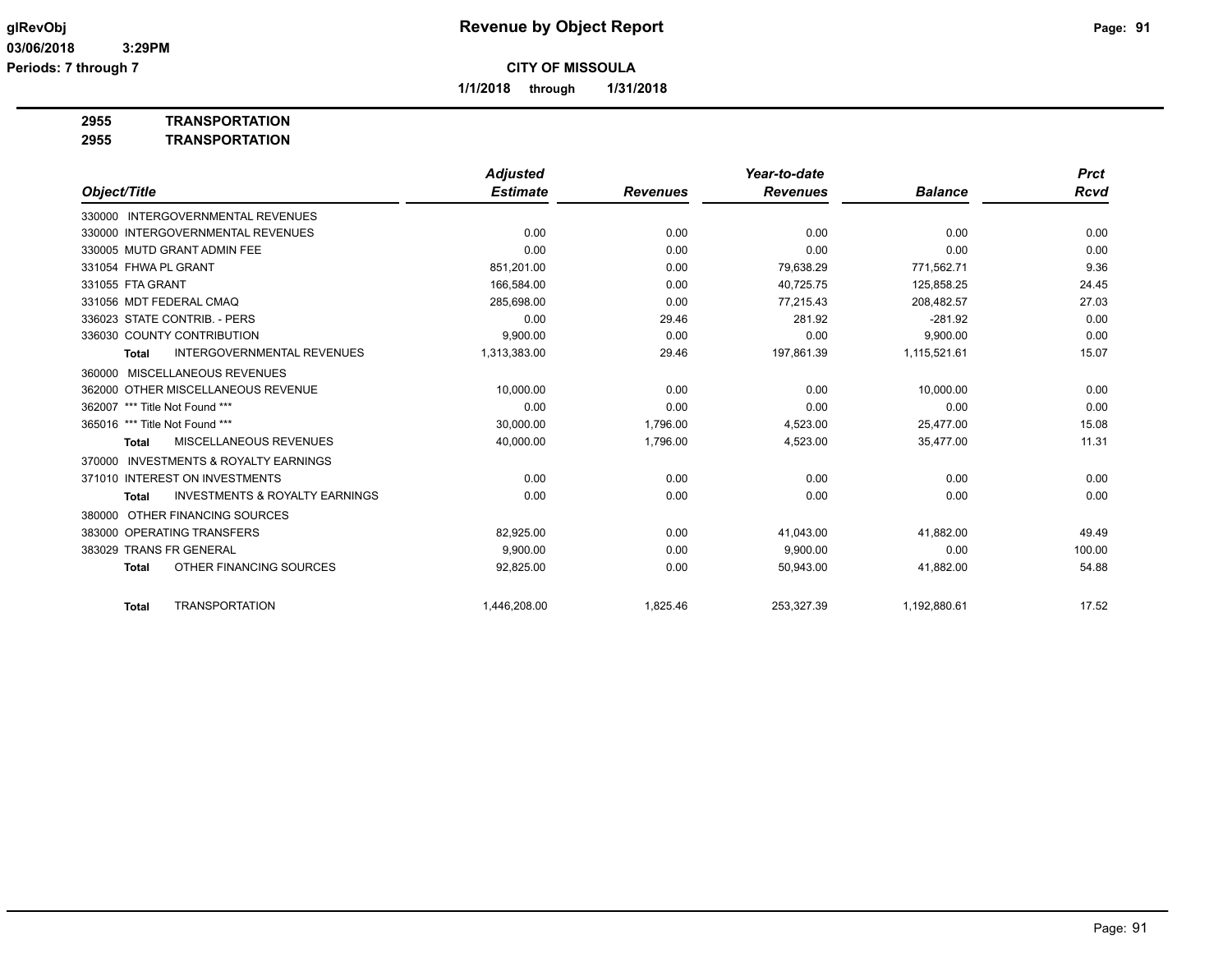**1/1/2018 through 1/31/2018**

**2955 TRANSPORTATION**

| 2955 | <b>TRANSPORTATION</b> |
|------|-----------------------|
|      |                       |

|                                                           | <b>Adjusted</b> |                 | Year-to-date    |                | <b>Prct</b> |
|-----------------------------------------------------------|-----------------|-----------------|-----------------|----------------|-------------|
| Object/Title                                              | <b>Estimate</b> | <b>Revenues</b> | <b>Revenues</b> | <b>Balance</b> | <b>Rcvd</b> |
| 330000 INTERGOVERNMENTAL REVENUES                         |                 |                 |                 |                |             |
| 330000 INTERGOVERNMENTAL REVENUES                         | 0.00            | 0.00            | 0.00            | 0.00           | 0.00        |
| 330005 MUTD GRANT ADMIN FEE                               | 0.00            | 0.00            | 0.00            | 0.00           | 0.00        |
| 331054 FHWA PL GRANT                                      | 851,201.00      | 0.00            | 79.638.29       | 771,562.71     | 9.36        |
| 331055 FTA GRANT                                          | 166,584.00      | 0.00            | 40,725.75       | 125,858.25     | 24.45       |
| 331056 MDT FEDERAL CMAQ                                   | 285.698.00      | 0.00            | 77.215.43       | 208.482.57     | 27.03       |
| 336023 STATE CONTRIB. - PERS                              | 0.00            | 29.46           | 281.92          | $-281.92$      | 0.00        |
| 336030 COUNTY CONTRIBUTION                                | 9.900.00        | 0.00            | 0.00            | 9.900.00       | 0.00        |
| <b>INTERGOVERNMENTAL REVENUES</b><br><b>Total</b>         | 1,313,383.00    | 29.46           | 197,861.39      | 1,115,521.61   | 15.07       |
| 360000 MISCELLANEOUS REVENUES                             |                 |                 |                 |                |             |
| 362000 OTHER MISCELLANEOUS REVENUE                        | 10,000.00       | 0.00            | 0.00            | 10,000.00      | 0.00        |
| *** Title Not Found ***<br>362007                         | 0.00            | 0.00            | 0.00            | 0.00           | 0.00        |
| 365016 *** Title Not Found ***                            | 30,000.00       | 1,796.00        | 4,523.00        | 25,477.00      | 15.08       |
| <b>MISCELLANEOUS REVENUES</b><br><b>Total</b>             | 40,000.00       | 1,796.00        | 4,523.00        | 35,477.00      | 11.31       |
| 370000 INVESTMENTS & ROYALTY EARNINGS                     |                 |                 |                 |                |             |
| 371010 INTEREST ON INVESTMENTS                            | 0.00            | 0.00            | 0.00            | 0.00           | 0.00        |
| <b>INVESTMENTS &amp; ROYALTY EARNINGS</b><br><b>Total</b> | 0.00            | 0.00            | 0.00            | 0.00           | 0.00        |
| OTHER FINANCING SOURCES<br>380000                         |                 |                 |                 |                |             |
| 383000 OPERATING TRANSFERS                                | 82.925.00       | 0.00            | 41.043.00       | 41,882.00      | 49.49       |
| 383029 TRANS FR GENERAL                                   | 9,900.00        | 0.00            | 9,900.00        | 0.00           | 100.00      |
| OTHER FINANCING SOURCES<br><b>Total</b>                   | 92,825.00       | 0.00            | 50,943.00       | 41,882.00      | 54.88       |
| <b>TRANSPORTATION</b><br><b>Total</b>                     | 1,446,208.00    | 1,825.46        | 253,327.39      | 1,192,880.61   | 17.52       |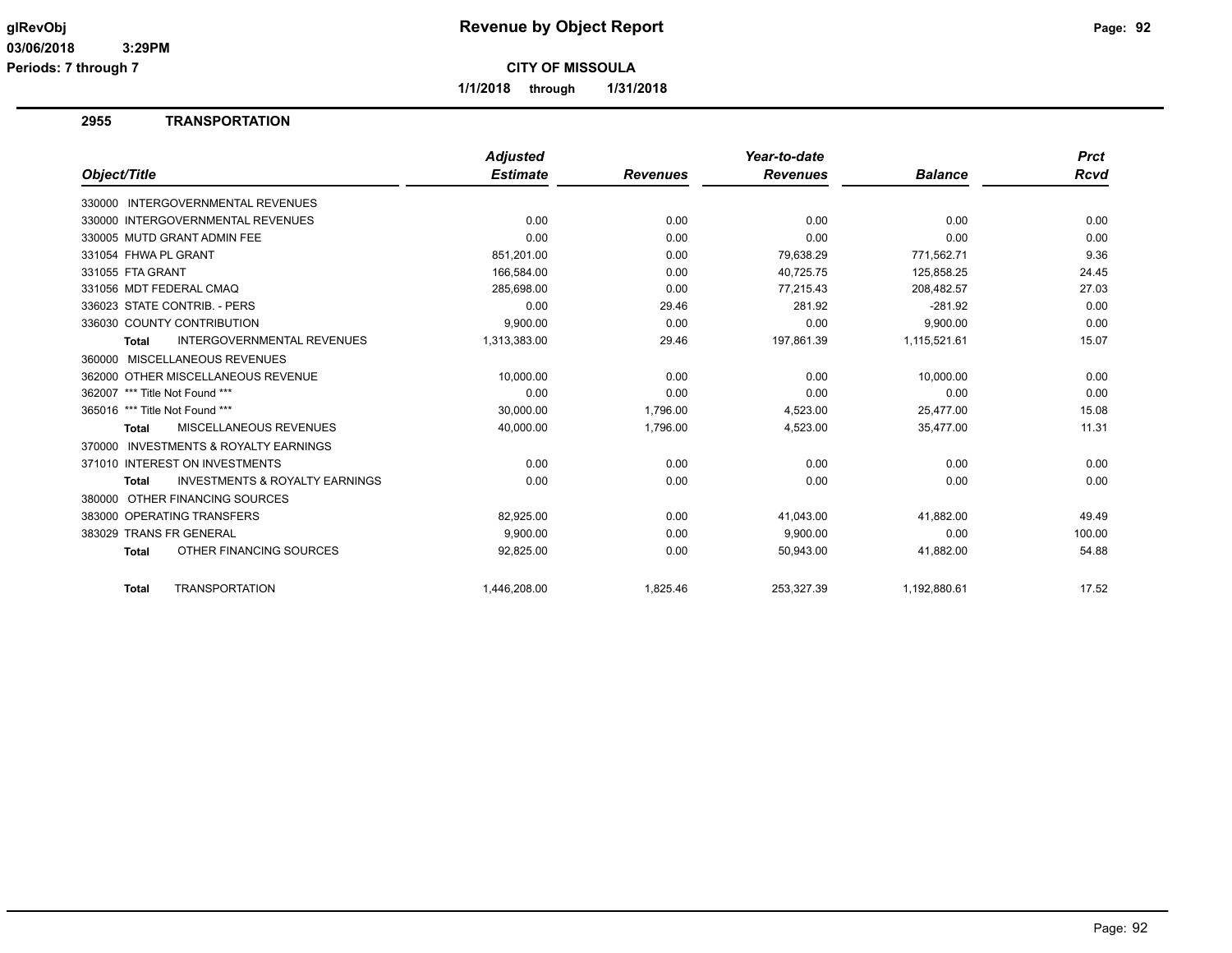**Periods: 7 through 7**

**CITY OF MISSOULA**

**1/1/2018 through 1/31/2018**

## **2955 TRANSPORTATION**

|                                                           | <b>Adjusted</b> |                 | Year-to-date    |                | <b>Prct</b> |
|-----------------------------------------------------------|-----------------|-----------------|-----------------|----------------|-------------|
| Object/Title                                              | <b>Estimate</b> | <b>Revenues</b> | <b>Revenues</b> | <b>Balance</b> | Rcvd        |
| 330000 INTERGOVERNMENTAL REVENUES                         |                 |                 |                 |                |             |
| 330000 INTERGOVERNMENTAL REVENUES                         | 0.00            | 0.00            | 0.00            | 0.00           | 0.00        |
| 330005 MUTD GRANT ADMIN FEE                               | 0.00            | 0.00            | 0.00            | 0.00           | 0.00        |
| 331054 FHWA PL GRANT                                      | 851.201.00      | 0.00            | 79.638.29       | 771.562.71     | 9.36        |
| 331055 FTA GRANT                                          | 166,584.00      | 0.00            | 40,725.75       | 125,858.25     | 24.45       |
| 331056 MDT FEDERAL CMAQ                                   | 285,698.00      | 0.00            | 77,215.43       | 208,482.57     | 27.03       |
| 336023 STATE CONTRIB. - PERS                              | 0.00            | 29.46           | 281.92          | $-281.92$      | 0.00        |
| 336030 COUNTY CONTRIBUTION                                | 9,900.00        | 0.00            | 0.00            | 9,900.00       | 0.00        |
| <b>INTERGOVERNMENTAL REVENUES</b><br><b>Total</b>         | 1,313,383.00    | 29.46           | 197,861.39      | 1,115,521.61   | 15.07       |
| MISCELLANEOUS REVENUES<br>360000                          |                 |                 |                 |                |             |
| 362000 OTHER MISCELLANEOUS REVENUE                        | 10,000.00       | 0.00            | 0.00            | 10,000.00      | 0.00        |
| 362007 *** Title Not Found ***                            | 0.00            | 0.00            | 0.00            | 0.00           | 0.00        |
| 365016 *** Title Not Found ***                            | 30,000.00       | 1,796.00        | 4,523.00        | 25,477.00      | 15.08       |
| <b>MISCELLANEOUS REVENUES</b><br><b>Total</b>             | 40,000.00       | 1,796.00        | 4,523.00        | 35,477.00      | 11.31       |
| INVESTMENTS & ROYALTY EARNINGS<br>370000                  |                 |                 |                 |                |             |
| 371010 INTEREST ON INVESTMENTS                            | 0.00            | 0.00            | 0.00            | 0.00           | 0.00        |
| <b>INVESTMENTS &amp; ROYALTY EARNINGS</b><br><b>Total</b> | 0.00            | 0.00            | 0.00            | 0.00           | 0.00        |
| OTHER FINANCING SOURCES<br>380000                         |                 |                 |                 |                |             |
| 383000 OPERATING TRANSFERS                                | 82,925.00       | 0.00            | 41,043.00       | 41,882.00      | 49.49       |
| 383029 TRANS FR GENERAL                                   | 9,900.00        | 0.00            | 9,900.00        | 0.00           | 100.00      |
| OTHER FINANCING SOURCES<br><b>Total</b>                   | 92,825.00       | 0.00            | 50,943.00       | 41,882.00      | 54.88       |
|                                                           |                 |                 |                 |                |             |
| <b>TRANSPORTATION</b><br><b>Total</b>                     | 1,446,208.00    | 1,825.46        | 253,327.39      | 1,192,880.61   | 17.52       |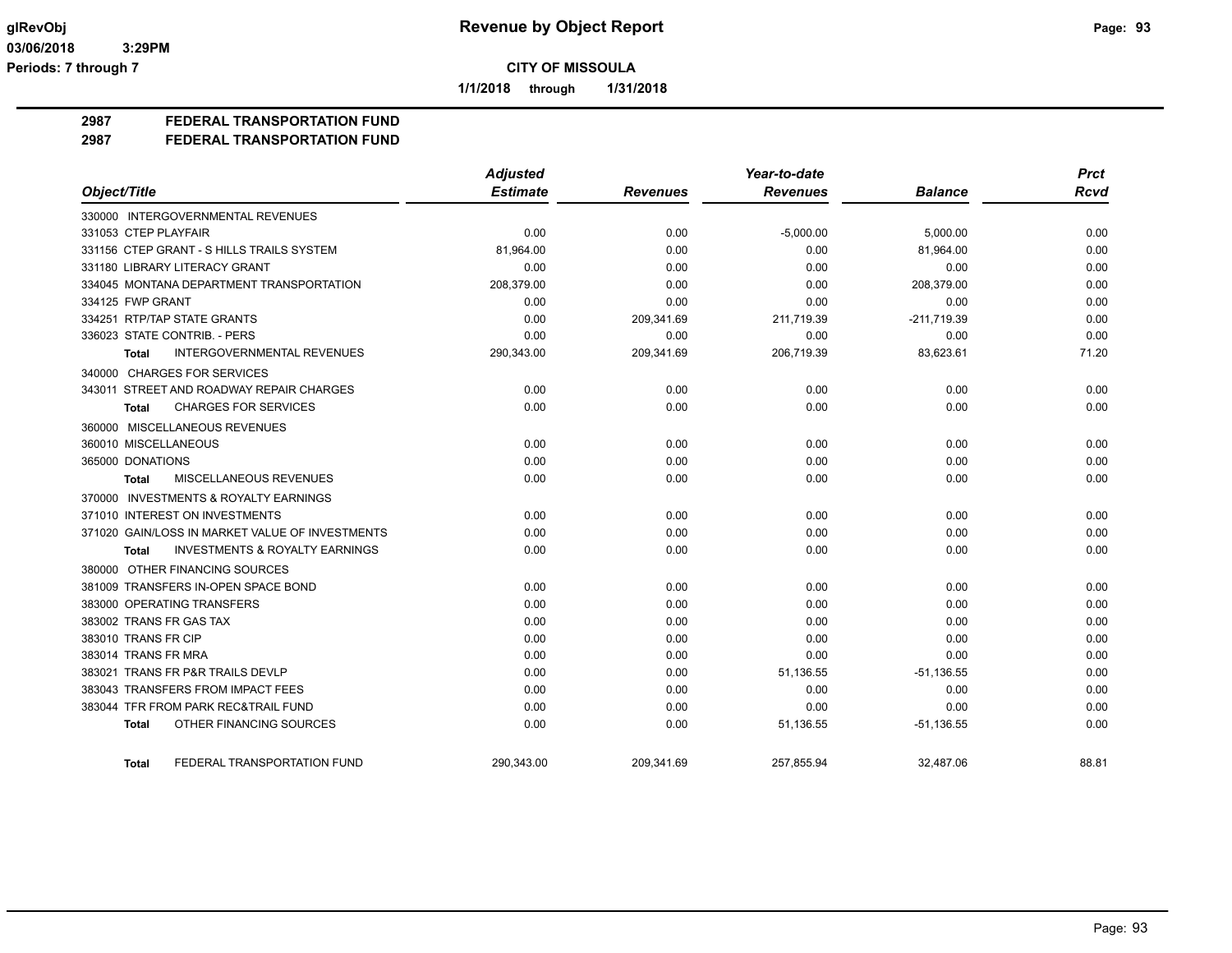**1/1/2018 through 1/31/2018**

## **2987 FEDERAL TRANSPORTATION FUND**

#### **2987 FEDERAL TRANSPORTATION FUND**

|                                                    | <b>Adjusted</b> |                 | Year-to-date    |                | <b>Prct</b> |
|----------------------------------------------------|-----------------|-----------------|-----------------|----------------|-------------|
| Object/Title                                       | <b>Estimate</b> | <b>Revenues</b> | <b>Revenues</b> | <b>Balance</b> | <b>Rcvd</b> |
| 330000 INTERGOVERNMENTAL REVENUES                  |                 |                 |                 |                |             |
| 331053 CTEP PLAYFAIR                               | 0.00            | 0.00            | $-5,000.00$     | 5,000.00       | 0.00        |
| 331156 CTEP GRANT - S HILLS TRAILS SYSTEM          | 81,964.00       | 0.00            | 0.00            | 81,964.00      | 0.00        |
| 331180 LIBRARY LITERACY GRANT                      | 0.00            | 0.00            | 0.00            | 0.00           | 0.00        |
| 334045 MONTANA DEPARTMENT TRANSPORTATION           | 208,379.00      | 0.00            | 0.00            | 208,379.00     | 0.00        |
| 334125 FWP GRANT                                   | 0.00            | 0.00            | 0.00            | 0.00           | 0.00        |
| 334251 RTP/TAP STATE GRANTS                        | 0.00            | 209,341.69      | 211,719.39      | $-211,719.39$  | 0.00        |
| 336023 STATE CONTRIB. - PERS                       | 0.00            | 0.00            | 0.00            | 0.00           | 0.00        |
| <b>INTERGOVERNMENTAL REVENUES</b><br><b>Total</b>  | 290,343.00      | 209,341.69      | 206,719.39      | 83,623.61      | 71.20       |
| 340000 CHARGES FOR SERVICES                        |                 |                 |                 |                |             |
| 343011 STREET AND ROADWAY REPAIR CHARGES           | 0.00            | 0.00            | 0.00            | 0.00           | 0.00        |
| <b>CHARGES FOR SERVICES</b><br><b>Total</b>        | 0.00            | 0.00            | 0.00            | 0.00           | 0.00        |
| 360000 MISCELLANEOUS REVENUES                      |                 |                 |                 |                |             |
| 360010 MISCELLANEOUS                               | 0.00            | 0.00            | 0.00            | 0.00           | 0.00        |
| 365000 DONATIONS                                   | 0.00            | 0.00            | 0.00            | 0.00           | 0.00        |
| <b>MISCELLANEOUS REVENUES</b><br><b>Total</b>      | 0.00            | 0.00            | 0.00            | 0.00           | 0.00        |
| 370000 INVESTMENTS & ROYALTY EARNINGS              |                 |                 |                 |                |             |
| 371010 INTEREST ON INVESTMENTS                     | 0.00            | 0.00            | 0.00            | 0.00           | 0.00        |
| 371020 GAIN/LOSS IN MARKET VALUE OF INVESTMENTS    | 0.00            | 0.00            | 0.00            | 0.00           | 0.00        |
| <b>INVESTMENTS &amp; ROYALTY EARNINGS</b><br>Total | 0.00            | 0.00            | 0.00            | 0.00           | 0.00        |
| 380000 OTHER FINANCING SOURCES                     |                 |                 |                 |                |             |
| 381009 TRANSFERS IN-OPEN SPACE BOND                | 0.00            | 0.00            | 0.00            | 0.00           | 0.00        |
| 383000 OPERATING TRANSFERS                         | 0.00            | 0.00            | 0.00            | 0.00           | 0.00        |
| 383002 TRANS FR GAS TAX                            | 0.00            | 0.00            | 0.00            | 0.00           | 0.00        |
| 383010 TRANS FR CIP                                | 0.00            | 0.00            | 0.00            | 0.00           | 0.00        |
| 383014 TRANS FR MRA                                | 0.00            | 0.00            | 0.00            | 0.00           | 0.00        |
| 383021 TRANS FR P&R TRAILS DEVLP                   | 0.00            | 0.00            | 51,136.55       | $-51,136.55$   | 0.00        |
| 383043 TRANSFERS FROM IMPACT FEES                  | 0.00            | 0.00            | 0.00            | 0.00           | 0.00        |
| 383044 TFR FROM PARK REC&TRAIL FUND                | 0.00            | 0.00            | 0.00            | 0.00           | 0.00        |
| OTHER FINANCING SOURCES<br><b>Total</b>            | 0.00            | 0.00            | 51,136.55       | $-51, 136.55$  | 0.00        |
| FEDERAL TRANSPORTATION FUND<br><b>Total</b>        | 290,343.00      | 209,341.69      | 257,855.94      | 32,487.06      | 88.81       |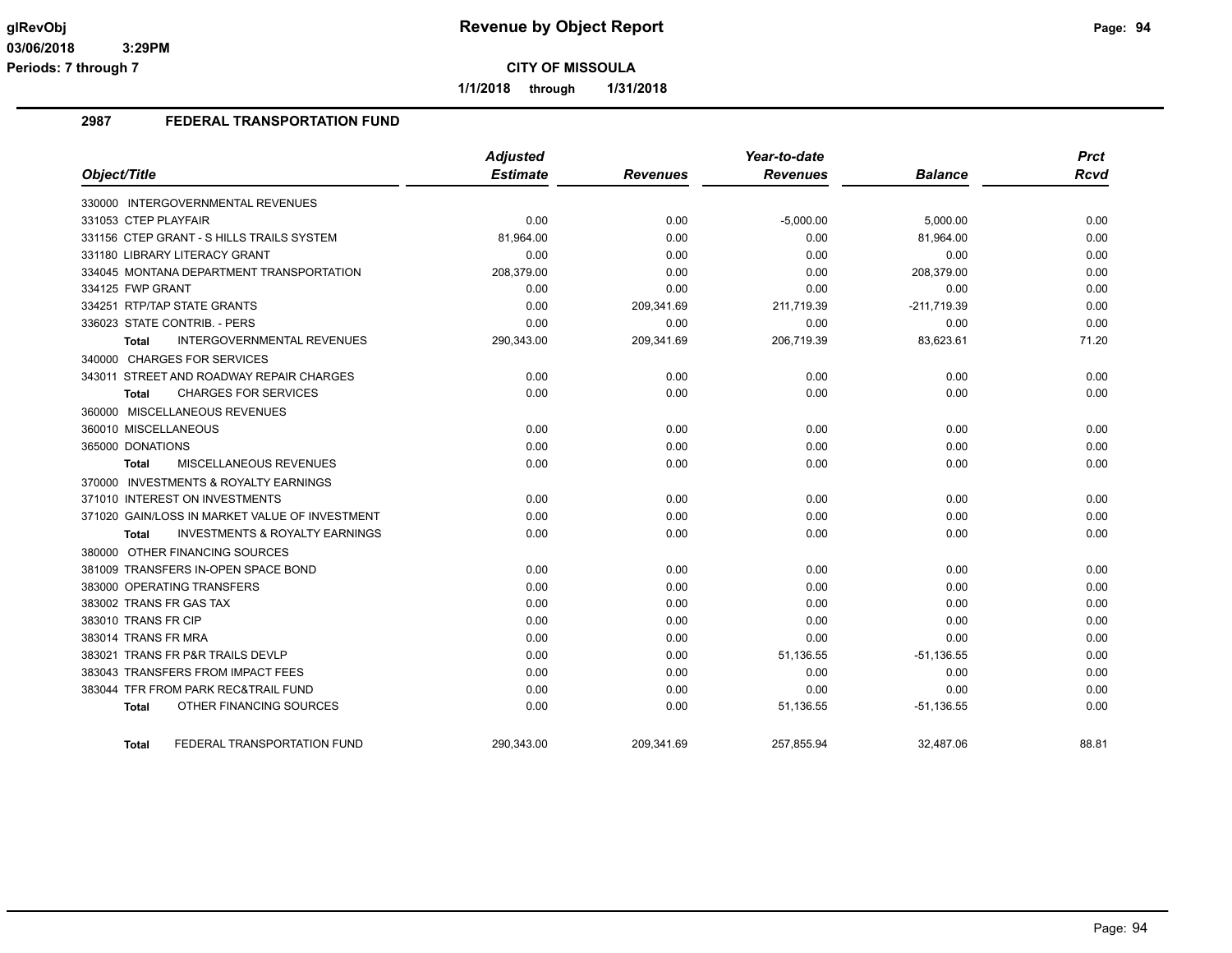**1/1/2018 through 1/31/2018**

## **2987 FEDERAL TRANSPORTATION FUND**

|                                                    | <b>Adjusted</b> |                 | Year-to-date    |                | <b>Prct</b> |
|----------------------------------------------------|-----------------|-----------------|-----------------|----------------|-------------|
| Object/Title                                       | <b>Estimate</b> | <b>Revenues</b> | <b>Revenues</b> | <b>Balance</b> | <b>Rcvd</b> |
| 330000 INTERGOVERNMENTAL REVENUES                  |                 |                 |                 |                |             |
| 331053 CTEP PLAYFAIR                               | 0.00            | 0.00            | $-5,000.00$     | 5,000.00       | 0.00        |
| 331156 CTEP GRANT - S HILLS TRAILS SYSTEM          | 81,964.00       | 0.00            | 0.00            | 81,964.00      | 0.00        |
| 331180 LIBRARY LITERACY GRANT                      | 0.00            | 0.00            | 0.00            | 0.00           | 0.00        |
| 334045 MONTANA DEPARTMENT TRANSPORTATION           | 208,379.00      | 0.00            | 0.00            | 208,379.00     | 0.00        |
| 334125 FWP GRANT                                   | 0.00            | 0.00            | 0.00            | 0.00           | 0.00        |
| 334251 RTP/TAP STATE GRANTS                        | 0.00            | 209,341.69      | 211,719.39      | $-211,719.39$  | 0.00        |
| 336023 STATE CONTRIB. - PERS                       | 0.00            | 0.00            | 0.00            | 0.00           | 0.00        |
| INTERGOVERNMENTAL REVENUES<br>Total                | 290,343.00      | 209,341.69      | 206,719.39      | 83,623.61      | 71.20       |
| 340000 CHARGES FOR SERVICES                        |                 |                 |                 |                |             |
| 343011 STREET AND ROADWAY REPAIR CHARGES           | 0.00            | 0.00            | 0.00            | 0.00           | 0.00        |
| <b>CHARGES FOR SERVICES</b><br><b>Total</b>        | 0.00            | 0.00            | 0.00            | 0.00           | 0.00        |
| 360000 MISCELLANEOUS REVENUES                      |                 |                 |                 |                |             |
| 360010 MISCELLANEOUS                               | 0.00            | 0.00            | 0.00            | 0.00           | 0.00        |
| 365000 DONATIONS                                   | 0.00            | 0.00            | 0.00            | 0.00           | 0.00        |
| MISCELLANEOUS REVENUES<br>Total                    | 0.00            | 0.00            | 0.00            | 0.00           | 0.00        |
| 370000 INVESTMENTS & ROYALTY EARNINGS              |                 |                 |                 |                |             |
| 371010 INTEREST ON INVESTMENTS                     | 0.00            | 0.00            | 0.00            | 0.00           | 0.00        |
| 371020 GAIN/LOSS IN MARKET VALUE OF INVESTMENT     | 0.00            | 0.00            | 0.00            | 0.00           | 0.00        |
| <b>INVESTMENTS &amp; ROYALTY EARNINGS</b><br>Total | 0.00            | 0.00            | 0.00            | 0.00           | 0.00        |
| 380000 OTHER FINANCING SOURCES                     |                 |                 |                 |                |             |
| 381009 TRANSFERS IN-OPEN SPACE BOND                | 0.00            | 0.00            | 0.00            | 0.00           | 0.00        |
| 383000 OPERATING TRANSFERS                         | 0.00            | 0.00            | 0.00            | 0.00           | 0.00        |
| 383002 TRANS FR GAS TAX                            | 0.00            | 0.00            | 0.00            | 0.00           | 0.00        |
| 383010 TRANS FR CIP                                | 0.00            | 0.00            | 0.00            | 0.00           | 0.00        |
| 383014 TRANS FR MRA                                | 0.00            | 0.00            | 0.00            | 0.00           | 0.00        |
| 383021 TRANS FR P&R TRAILS DEVLP                   | 0.00            | 0.00            | 51,136.55       | $-51,136.55$   | 0.00        |
| 383043 TRANSFERS FROM IMPACT FEES                  | 0.00            | 0.00            | 0.00            | 0.00           | 0.00        |
| 383044 TFR FROM PARK REC&TRAIL FUND                | 0.00            | 0.00            | 0.00            | 0.00           | 0.00        |
| OTHER FINANCING SOURCES<br><b>Total</b>            | 0.00            | 0.00            | 51,136.55       | $-51,136.55$   | 0.00        |
| FEDERAL TRANSPORTATION FUND<br>Total               | 290,343.00      | 209,341.69      | 257,855.94      | 32,487.06      | 88.81       |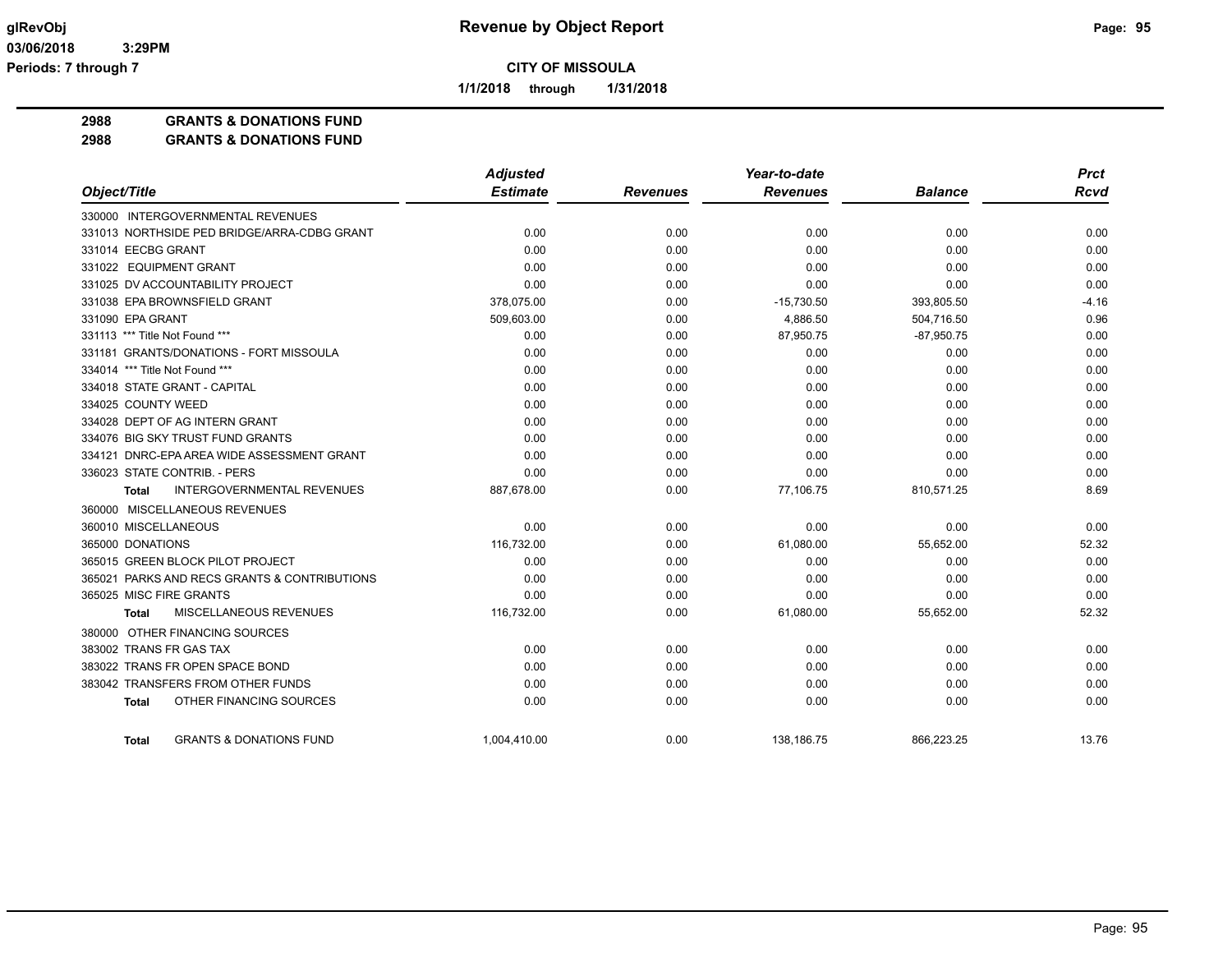**1/1/2018 through 1/31/2018**

**2988 GRANTS & DONATIONS FUND**

**2988 GRANTS & DONATIONS FUND**

|                                                    | <b>Adjusted</b> |                 | Year-to-date    |                | <b>Prct</b> |
|----------------------------------------------------|-----------------|-----------------|-----------------|----------------|-------------|
| Object/Title                                       | <b>Estimate</b> | <b>Revenues</b> | <b>Revenues</b> | <b>Balance</b> | <b>Rcvd</b> |
| 330000 INTERGOVERNMENTAL REVENUES                  |                 |                 |                 |                |             |
| 331013 NORTHSIDE PED BRIDGE/ARRA-CDBG GRANT        | 0.00            | 0.00            | 0.00            | 0.00           | 0.00        |
| 331014 EECBG GRANT                                 | 0.00            | 0.00            | 0.00            | 0.00           | 0.00        |
| 331022 EQUIPMENT GRANT                             | 0.00            | 0.00            | 0.00            | 0.00           | 0.00        |
| 331025 DV ACCOUNTABILITY PROJECT                   | 0.00            | 0.00            | 0.00            | 0.00           | 0.00        |
| 331038 EPA BROWNSFIELD GRANT                       | 378,075.00      | 0.00            | $-15,730.50$    | 393,805.50     | $-4.16$     |
| 331090 EPA GRANT                                   | 509,603.00      | 0.00            | 4,886.50        | 504,716.50     | 0.96        |
| 331113 *** Title Not Found ***                     | 0.00            | 0.00            | 87,950.75       | $-87,950.75$   | 0.00        |
| 331181 GRANTS/DONATIONS - FORT MISSOULA            | 0.00            | 0.00            | 0.00            | 0.00           | 0.00        |
| 334014 *** Title Not Found ***                     | 0.00            | 0.00            | 0.00            | 0.00           | 0.00        |
| 334018 STATE GRANT - CAPITAL                       | 0.00            | 0.00            | 0.00            | 0.00           | 0.00        |
| 334025 COUNTY WEED                                 | 0.00            | 0.00            | 0.00            | 0.00           | 0.00        |
| 334028 DEPT OF AG INTERN GRANT                     | 0.00            | 0.00            | 0.00            | 0.00           | 0.00        |
| 334076 BIG SKY TRUST FUND GRANTS                   | 0.00            | 0.00            | 0.00            | 0.00           | 0.00        |
| 334121 DNRC-EPA AREA WIDE ASSESSMENT GRANT         | 0.00            | 0.00            | 0.00            | 0.00           | 0.00        |
| 336023 STATE CONTRIB. - PERS                       | 0.00            | 0.00            | 0.00            | 0.00           | 0.00        |
| INTERGOVERNMENTAL REVENUES<br><b>Total</b>         | 887,678.00      | 0.00            | 77,106.75       | 810,571.25     | 8.69        |
| 360000 MISCELLANEOUS REVENUES                      |                 |                 |                 |                |             |
| 360010 MISCELLANEOUS                               | 0.00            | 0.00            | 0.00            | 0.00           | 0.00        |
| 365000 DONATIONS                                   | 116,732.00      | 0.00            | 61,080.00       | 55,652.00      | 52.32       |
| 365015 GREEN BLOCK PILOT PROJECT                   | 0.00            | 0.00            | 0.00            | 0.00           | 0.00        |
| 365021 PARKS AND RECS GRANTS & CONTRIBUTIONS       | 0.00            | 0.00            | 0.00            | 0.00           | 0.00        |
| 365025 MISC FIRE GRANTS                            | 0.00            | 0.00            | 0.00            | 0.00           | 0.00        |
| <b>MISCELLANEOUS REVENUES</b><br><b>Total</b>      | 116,732.00      | 0.00            | 61,080.00       | 55,652.00      | 52.32       |
| 380000 OTHER FINANCING SOURCES                     |                 |                 |                 |                |             |
| 383002 TRANS FR GAS TAX                            | 0.00            | 0.00            | 0.00            | 0.00           | 0.00        |
| 383022 TRANS FR OPEN SPACE BOND                    | 0.00            | 0.00            | 0.00            | 0.00           | 0.00        |
| 383042 TRANSFERS FROM OTHER FUNDS                  | 0.00            | 0.00            | 0.00            | 0.00           | 0.00        |
| OTHER FINANCING SOURCES<br><b>Total</b>            | 0.00            | 0.00            | 0.00            | 0.00           | 0.00        |
| <b>GRANTS &amp; DONATIONS FUND</b><br><b>Total</b> | 1,004,410.00    | 0.00            | 138,186.75      | 866,223.25     | 13.76       |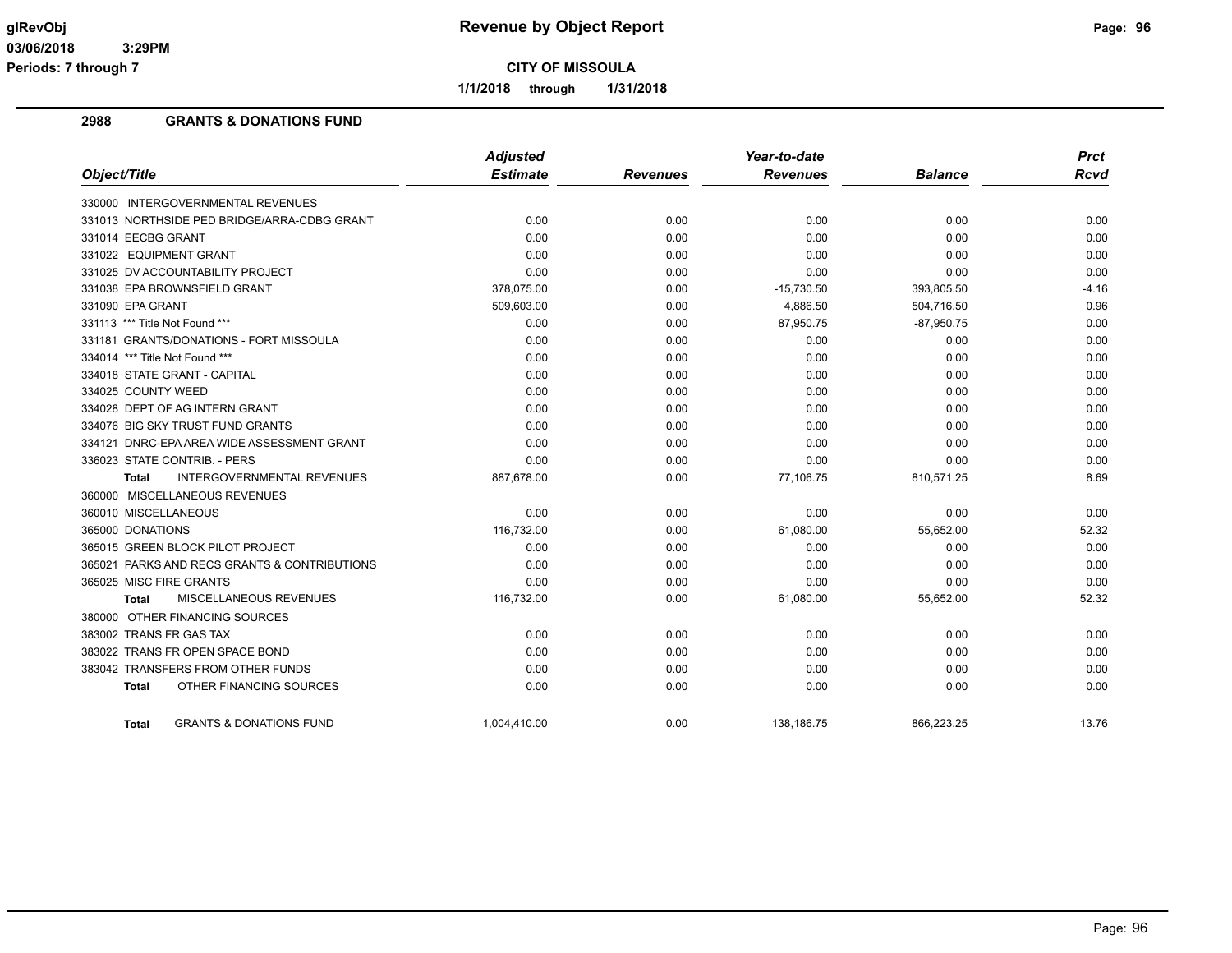**1/1/2018 through 1/31/2018**

## **2988 GRANTS & DONATIONS FUND**

|                                                   | <b>Adjusted</b> |                 | Year-to-date    |                | <b>Prct</b> |
|---------------------------------------------------|-----------------|-----------------|-----------------|----------------|-------------|
| Object/Title                                      | <b>Estimate</b> | <b>Revenues</b> | <b>Revenues</b> | <b>Balance</b> | <b>Rcvd</b> |
| 330000 INTERGOVERNMENTAL REVENUES                 |                 |                 |                 |                |             |
| 331013 NORTHSIDE PED BRIDGE/ARRA-CDBG GRANT       | 0.00            | 0.00            | 0.00            | 0.00           | 0.00        |
| 331014 EECBG GRANT                                | 0.00            | 0.00            | 0.00            | 0.00           | 0.00        |
| 331022 EQUIPMENT GRANT                            | 0.00            | 0.00            | 0.00            | 0.00           | 0.00        |
| 331025 DV ACCOUNTABILITY PROJECT                  | 0.00            | 0.00            | 0.00            | 0.00           | 0.00        |
| 331038 EPA BROWNSFIELD GRANT                      | 378,075.00      | 0.00            | $-15,730.50$    | 393,805.50     | $-4.16$     |
| 331090 EPA GRANT                                  | 509,603.00      | 0.00            | 4,886.50        | 504,716.50     | 0.96        |
| 331113 *** Title Not Found ***                    | 0.00            | 0.00            | 87,950.75       | $-87,950.75$   | 0.00        |
| 331181 GRANTS/DONATIONS - FORT MISSOULA           | 0.00            | 0.00            | 0.00            | 0.00           | 0.00        |
| 334014 *** Title Not Found ***                    | 0.00            | 0.00            | 0.00            | 0.00           | 0.00        |
| 334018 STATE GRANT - CAPITAL                      | 0.00            | 0.00            | 0.00            | 0.00           | 0.00        |
| 334025 COUNTY WEED                                | 0.00            | 0.00            | 0.00            | 0.00           | 0.00        |
| 334028 DEPT OF AG INTERN GRANT                    | 0.00            | 0.00            | 0.00            | 0.00           | 0.00        |
| 334076 BIG SKY TRUST FUND GRANTS                  | 0.00            | 0.00            | 0.00            | 0.00           | 0.00        |
| 334121 DNRC-EPA AREA WIDE ASSESSMENT GRANT        | 0.00            | 0.00            | 0.00            | 0.00           | 0.00        |
| 336023 STATE CONTRIB. - PERS                      | 0.00            | 0.00            | 0.00            | 0.00           | 0.00        |
| <b>INTERGOVERNMENTAL REVENUES</b><br><b>Total</b> | 887,678.00      | 0.00            | 77,106.75       | 810,571.25     | 8.69        |
| 360000 MISCELLANEOUS REVENUES                     |                 |                 |                 |                |             |
| 360010 MISCELLANEOUS                              | 0.00            | 0.00            | 0.00            | 0.00           | 0.00        |
| 365000 DONATIONS                                  | 116,732.00      | 0.00            | 61,080.00       | 55,652.00      | 52.32       |
| 365015 GREEN BLOCK PILOT PROJECT                  | 0.00            | 0.00            | 0.00            | 0.00           | 0.00        |
| 365021 PARKS AND RECS GRANTS & CONTRIBUTIONS      | 0.00            | 0.00            | 0.00            | 0.00           | 0.00        |
| 365025 MISC FIRE GRANTS                           | 0.00            | 0.00            | 0.00            | 0.00           | 0.00        |
| MISCELLANEOUS REVENUES<br>Total                   | 116,732.00      | 0.00            | 61,080.00       | 55,652.00      | 52.32       |
| 380000 OTHER FINANCING SOURCES                    |                 |                 |                 |                |             |
| 383002 TRANS FR GAS TAX                           | 0.00            | 0.00            | 0.00            | 0.00           | 0.00        |
| 383022 TRANS FR OPEN SPACE BOND                   | 0.00            | 0.00            | 0.00            | 0.00           | 0.00        |
| 383042 TRANSFERS FROM OTHER FUNDS                 | 0.00            | 0.00            | 0.00            | 0.00           | 0.00        |
| OTHER FINANCING SOURCES<br>Total                  | 0.00            | 0.00            | 0.00            | 0.00           | 0.00        |
| <b>GRANTS &amp; DONATIONS FUND</b><br>Total       | 1.004.410.00    | 0.00            | 138.186.75      | 866.223.25     | 13.76       |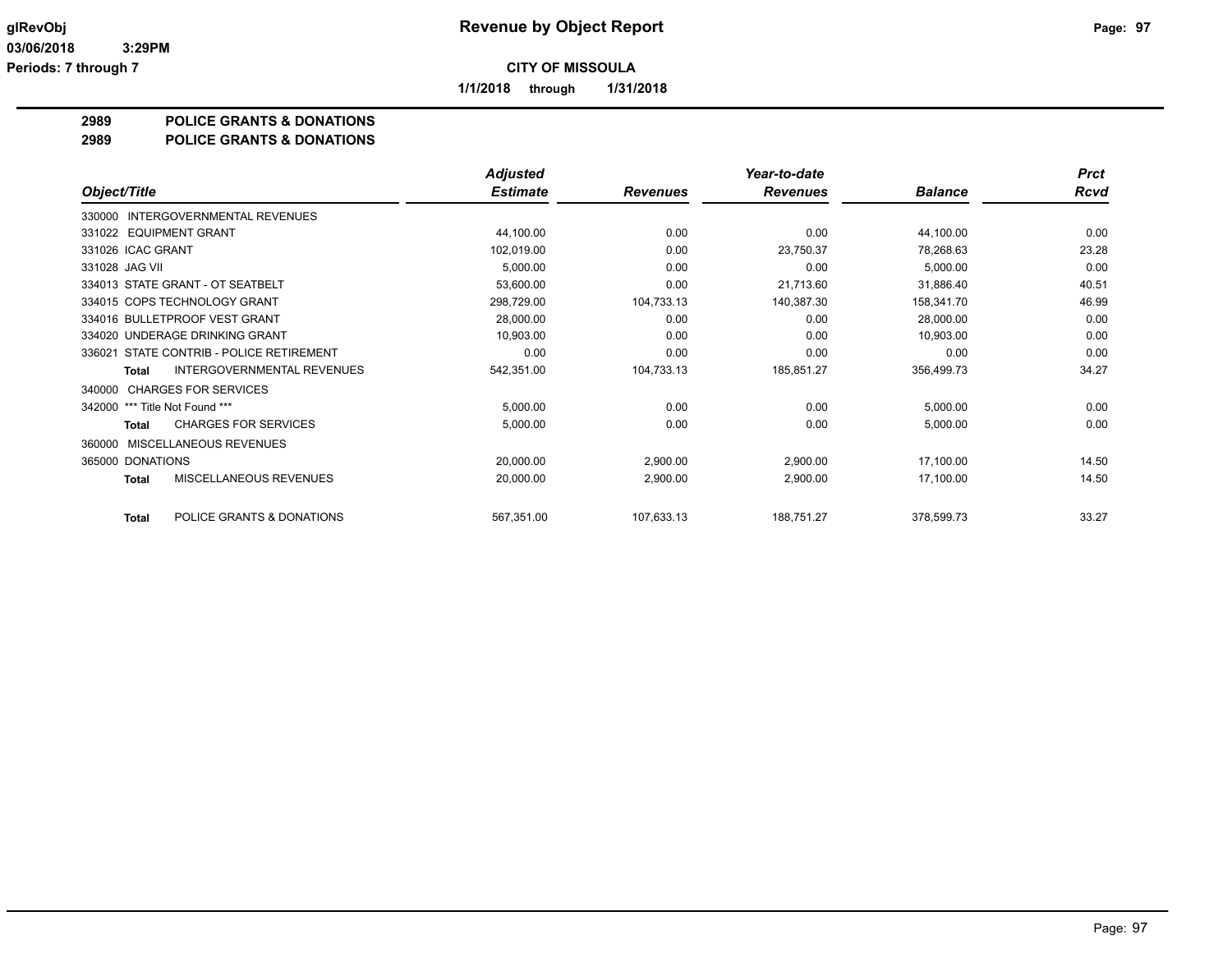**1/1/2018 through 1/31/2018**

## **2989 POLICE GRANTS & DONATIONS**

#### **2989 POLICE GRANTS & DONATIONS**

|                                            | <b>Adjusted</b> |                 | Year-to-date    |                | <b>Prct</b> |
|--------------------------------------------|-----------------|-----------------|-----------------|----------------|-------------|
| Object/Title                               | <b>Estimate</b> | <b>Revenues</b> | <b>Revenues</b> | <b>Balance</b> | <b>Rcvd</b> |
| INTERGOVERNMENTAL REVENUES<br>330000       |                 |                 |                 |                |             |
| 331022 EQUIPMENT GRANT                     | 44,100.00       | 0.00            | 0.00            | 44,100.00      | 0.00        |
| 331026 ICAC GRANT                          | 102,019.00      | 0.00            | 23,750.37       | 78,268.63      | 23.28       |
| 331028 JAG VII                             | 5,000.00        | 0.00            | 0.00            | 5,000.00       | 0.00        |
| 334013 STATE GRANT - OT SEATBELT           | 53,600.00       | 0.00            | 21,713.60       | 31,886.40      | 40.51       |
| 334015 COPS TECHNOLOGY GRANT               | 298,729.00      | 104,733.13      | 140,387.30      | 158,341.70     | 46.99       |
| 334016 BULLETPROOF VEST GRANT              | 28,000.00       | 0.00            | 0.00            | 28,000.00      | 0.00        |
| 334020 UNDERAGE DRINKING GRANT             | 10,903.00       | 0.00            | 0.00            | 10,903.00      | 0.00        |
| 336021 STATE CONTRIB - POLICE RETIREMENT   | 0.00            | 0.00            | 0.00            | 0.00           | 0.00        |
| <b>INTERGOVERNMENTAL REVENUES</b><br>Total | 542,351.00      | 104,733.13      | 185,851.27      | 356,499.73     | 34.27       |
| <b>CHARGES FOR SERVICES</b><br>340000      |                 |                 |                 |                |             |
| *** Title Not Found ***<br>342000          | 5,000.00        | 0.00            | 0.00            | 5,000.00       | 0.00        |
| <b>CHARGES FOR SERVICES</b><br>Total       | 5,000.00        | 0.00            | 0.00            | 5,000.00       | 0.00        |
| MISCELLANEOUS REVENUES<br>360000           |                 |                 |                 |                |             |
| 365000 DONATIONS                           | 20,000.00       | 2,900.00        | 2,900.00        | 17,100.00      | 14.50       |
| MISCELLANEOUS REVENUES<br><b>Total</b>     | 20,000.00       | 2,900.00        | 2,900.00        | 17,100.00      | 14.50       |
| POLICE GRANTS & DONATIONS<br><b>Total</b>  | 567,351.00      | 107,633.13      | 188,751.27      | 378,599.73     | 33.27       |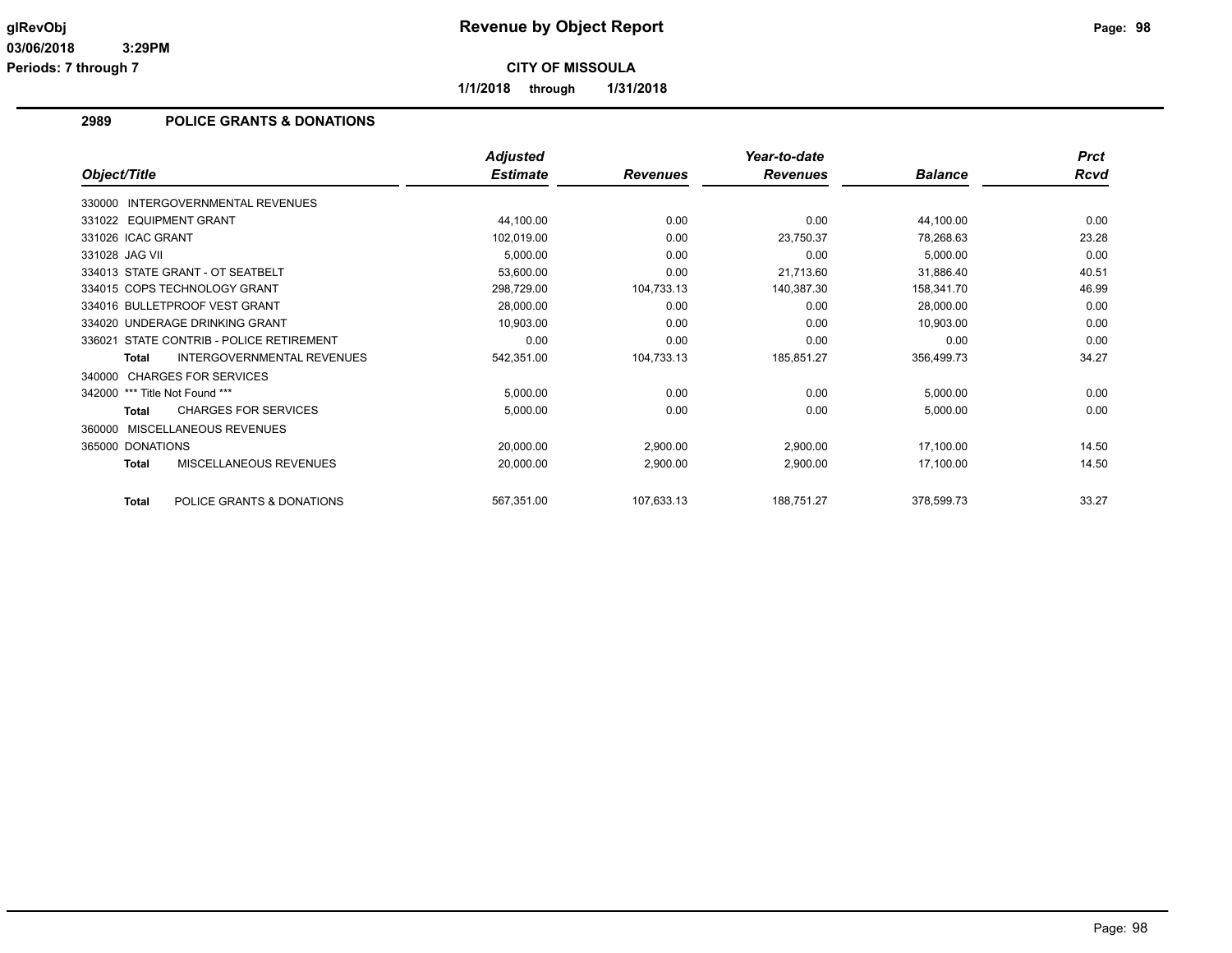**1/1/2018 through 1/31/2018**

## **2989 POLICE GRANTS & DONATIONS**

|                                                   | <b>Adjusted</b> |                 | Year-to-date    |                | <b>Prct</b> |
|---------------------------------------------------|-----------------|-----------------|-----------------|----------------|-------------|
| Object/Title                                      | <b>Estimate</b> | <b>Revenues</b> | <b>Revenues</b> | <b>Balance</b> | Rcvd        |
| 330000 INTERGOVERNMENTAL REVENUES                 |                 |                 |                 |                |             |
| 331022 EQUIPMENT GRANT                            | 44,100.00       | 0.00            | 0.00            | 44,100.00      | 0.00        |
| 331026 ICAC GRANT                                 | 102,019.00      | 0.00            | 23,750.37       | 78,268.63      | 23.28       |
| 331028 JAG VII                                    | 5,000.00        | 0.00            | 0.00            | 5,000.00       | 0.00        |
| 334013 STATE GRANT - OT SEATBELT                  | 53,600.00       | 0.00            | 21,713.60       | 31,886.40      | 40.51       |
| 334015 COPS TECHNOLOGY GRANT                      | 298,729.00      | 104,733.13      | 140,387.30      | 158,341.70     | 46.99       |
| 334016 BULLETPROOF VEST GRANT                     | 28,000.00       | 0.00            | 0.00            | 28,000.00      | 0.00        |
| 334020 UNDERAGE DRINKING GRANT                    | 10,903.00       | 0.00            | 0.00            | 10,903.00      | 0.00        |
| STATE CONTRIB - POLICE RETIREMENT<br>336021       | 0.00            | 0.00            | 0.00            | 0.00           | 0.00        |
| <b>INTERGOVERNMENTAL REVENUES</b><br><b>Total</b> | 542,351.00      | 104,733.13      | 185,851.27      | 356,499.73     | 34.27       |
| 340000 CHARGES FOR SERVICES                       |                 |                 |                 |                |             |
| 342000 *** Title Not Found ***                    | 5,000.00        | 0.00            | 0.00            | 5,000.00       | 0.00        |
| <b>CHARGES FOR SERVICES</b><br><b>Total</b>       | 5,000.00        | 0.00            | 0.00            | 5,000.00       | 0.00        |
| 360000 MISCELLANEOUS REVENUES                     |                 |                 |                 |                |             |
| 365000 DONATIONS                                  | 20,000.00       | 2,900.00        | 2,900.00        | 17,100.00      | 14.50       |
| MISCELLANEOUS REVENUES<br><b>Total</b>            | 20,000.00       | 2,900.00        | 2,900.00        | 17,100.00      | 14.50       |
| POLICE GRANTS & DONATIONS<br>Total                | 567,351.00      | 107,633.13      | 188,751.27      | 378,599.73     | 33.27       |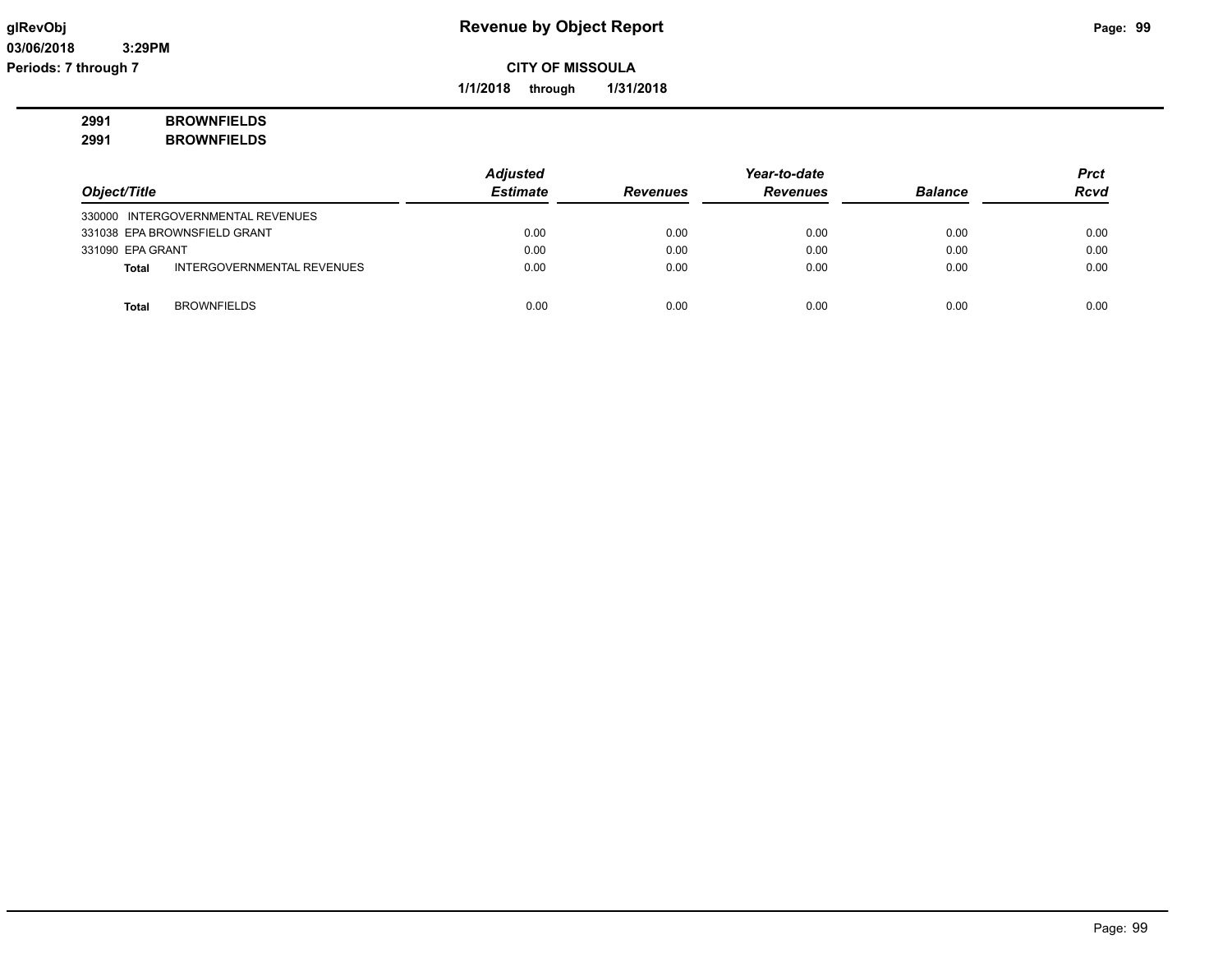**1/1/2018 through 1/31/2018**

## **2991 BROWNFIELDS 2991 BROWNFIELDS**

|                  |                                   | <b>Adjusted</b> |                 | Year-to-date    |                | <b>Prct</b> |
|------------------|-----------------------------------|-----------------|-----------------|-----------------|----------------|-------------|
| Object/Title     |                                   | <b>Estimate</b> | <b>Revenues</b> | <b>Revenues</b> | <b>Balance</b> | <b>Rcvd</b> |
|                  | 330000 INTERGOVERNMENTAL REVENUES |                 |                 |                 |                |             |
|                  | 331038 EPA BROWNSFIELD GRANT      | 0.00            | 0.00            | 0.00            | 0.00           | 0.00        |
| 331090 EPA GRANT |                                   | 0.00            | 0.00            | 0.00            | 0.00           | 0.00        |
| Total            | INTERGOVERNMENTAL REVENUES        | 0.00            | 0.00            | 0.00            | 0.00           | 0.00        |
|                  |                                   |                 |                 |                 |                |             |
| <b>Total</b>     | <b>BROWNFIELDS</b>                | 0.00            | 0.00            | 0.00            | 0.00           | 0.00        |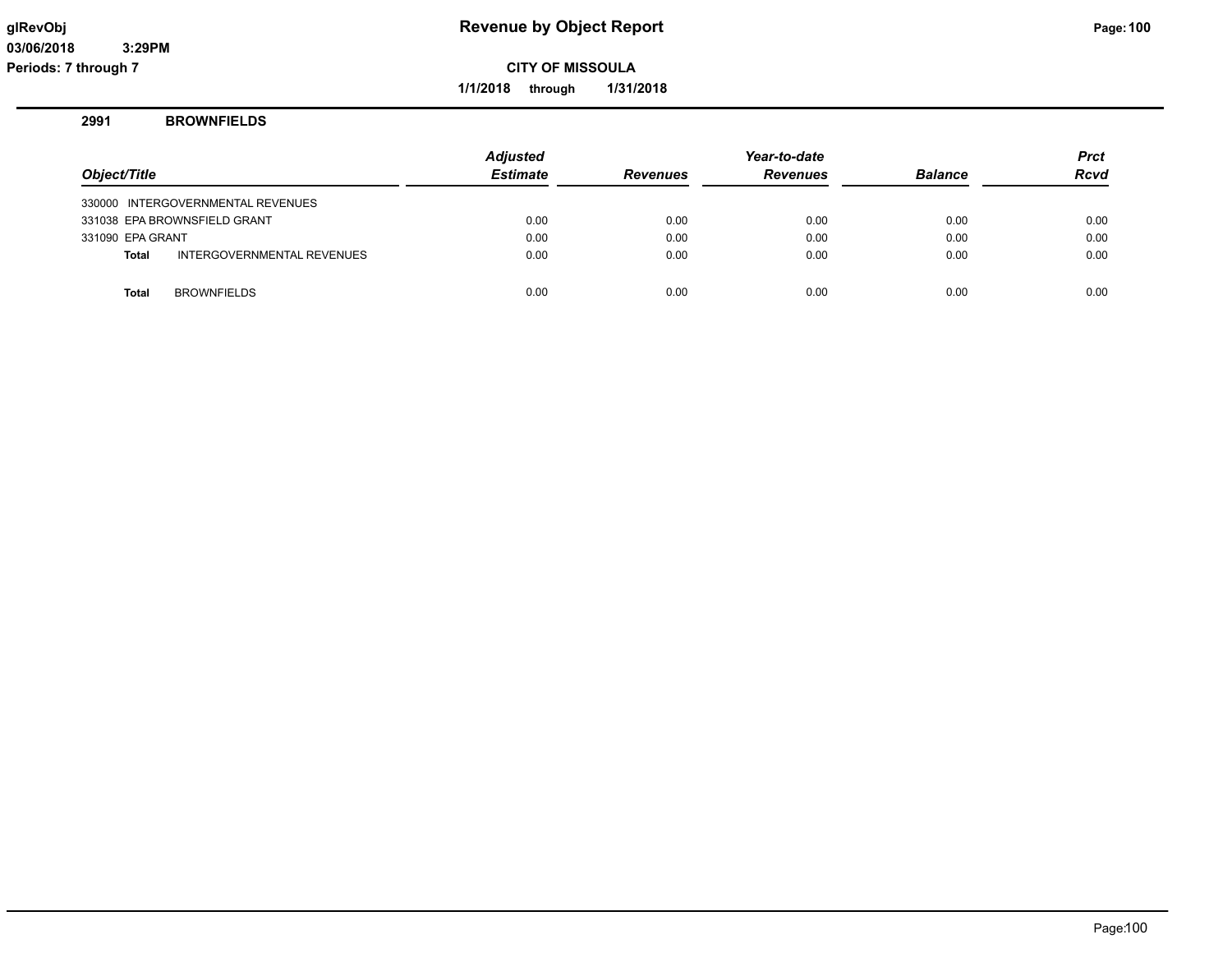**1/1/2018 through 1/31/2018**

## **2991 BROWNFIELDS**

|                  |                                   | Adjusted        |                 | Year-to-date    |                | <b>Prct</b> |
|------------------|-----------------------------------|-----------------|-----------------|-----------------|----------------|-------------|
| Object/Title     |                                   | <b>Estimate</b> | <b>Revenues</b> | <b>Revenues</b> | <b>Balance</b> | <b>Rcvd</b> |
|                  | 330000 INTERGOVERNMENTAL REVENUES |                 |                 |                 |                |             |
|                  | 331038 EPA BROWNSFIELD GRANT      | 0.00            | 0.00            | 0.00            | 0.00           | 0.00        |
| 331090 EPA GRANT |                                   | 0.00            | 0.00            | 0.00            | 0.00           | 0.00        |
| <b>Total</b>     | INTERGOVERNMENTAL REVENUES        | 0.00            | 0.00            | 0.00            | 0.00           | 0.00        |
|                  |                                   |                 |                 |                 |                |             |
| <b>Total</b>     | <b>BROWNFIELDS</b>                | 0.00            | 0.00            | 0.00            | 0.00           | 0.00        |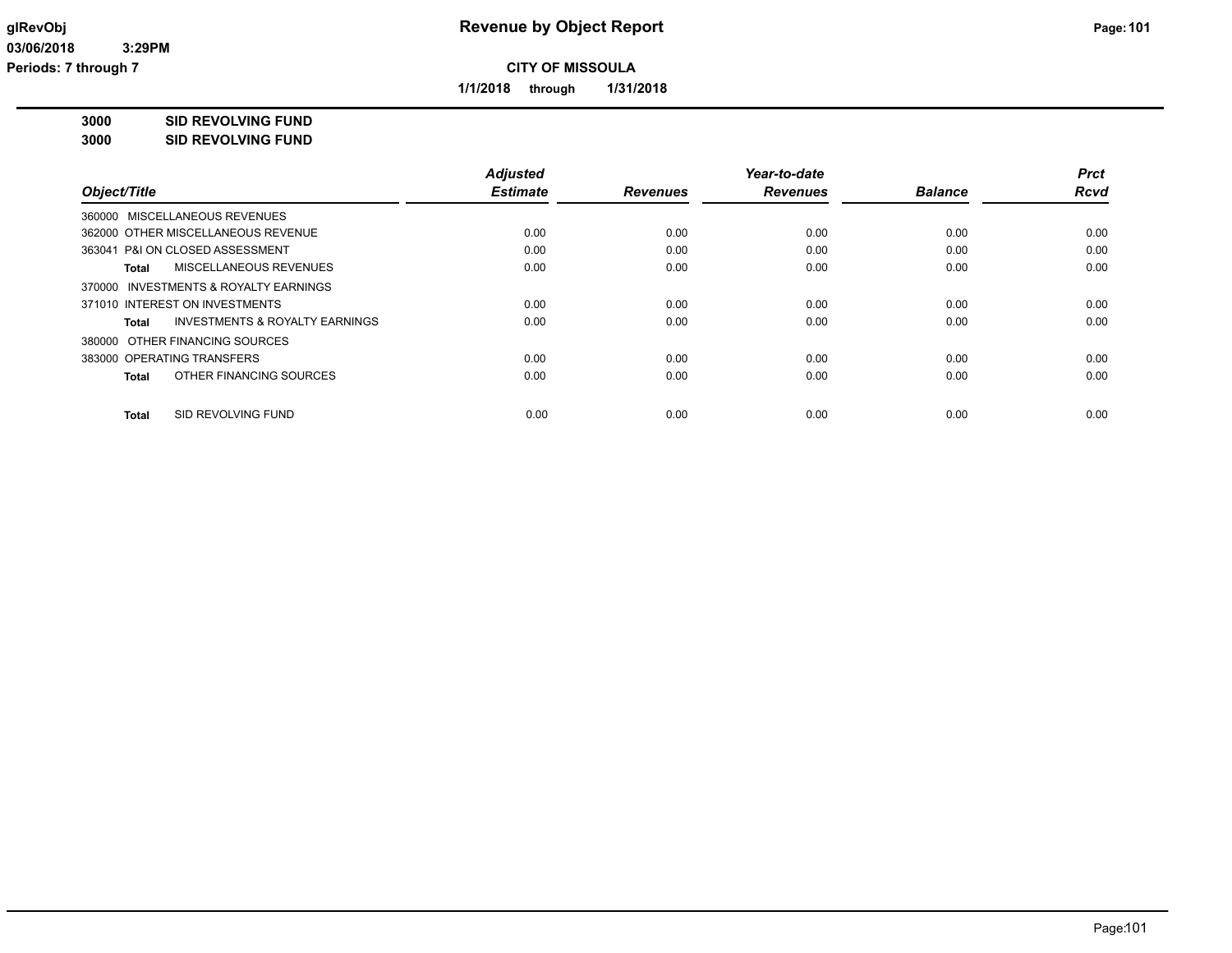**1/1/2018 through 1/31/2018**

**3000 SID REVOLVING FUND**

**3000 SID REVOLVING FUND**

| Object/Title                                       | <b>Adjusted</b><br><b>Estimate</b> | <b>Revenues</b> | Year-to-date<br><b>Revenues</b> | <b>Balance</b> | <b>Prct</b><br><b>Rcvd</b> |
|----------------------------------------------------|------------------------------------|-----------------|---------------------------------|----------------|----------------------------|
|                                                    |                                    |                 |                                 |                |                            |
| 360000 MISCELLANEOUS REVENUES                      |                                    |                 |                                 |                |                            |
| 362000 OTHER MISCELLANEOUS REVENUE                 | 0.00                               | 0.00            | 0.00                            | 0.00           | 0.00                       |
| 363041 P&I ON CLOSED ASSESSMENT                    | 0.00                               | 0.00            | 0.00                            | 0.00           | 0.00                       |
| MISCELLANEOUS REVENUES<br>Total                    | 0.00                               | 0.00            | 0.00                            | 0.00           | 0.00                       |
| 370000 INVESTMENTS & ROYALTY EARNINGS              |                                    |                 |                                 |                |                            |
| 371010 INTEREST ON INVESTMENTS                     | 0.00                               | 0.00            | 0.00                            | 0.00           | 0.00                       |
| <b>INVESTMENTS &amp; ROYALTY EARNINGS</b><br>Total | 0.00                               | 0.00            | 0.00                            | 0.00           | 0.00                       |
| 380000 OTHER FINANCING SOURCES                     |                                    |                 |                                 |                |                            |
| 383000 OPERATING TRANSFERS                         | 0.00                               | 0.00            | 0.00                            | 0.00           | 0.00                       |
| OTHER FINANCING SOURCES<br>Total                   | 0.00                               | 0.00            | 0.00                            | 0.00           | 0.00                       |
| SID REVOLVING FUND<br><b>Total</b>                 | 0.00                               | 0.00            | 0.00                            | 0.00           | 0.00                       |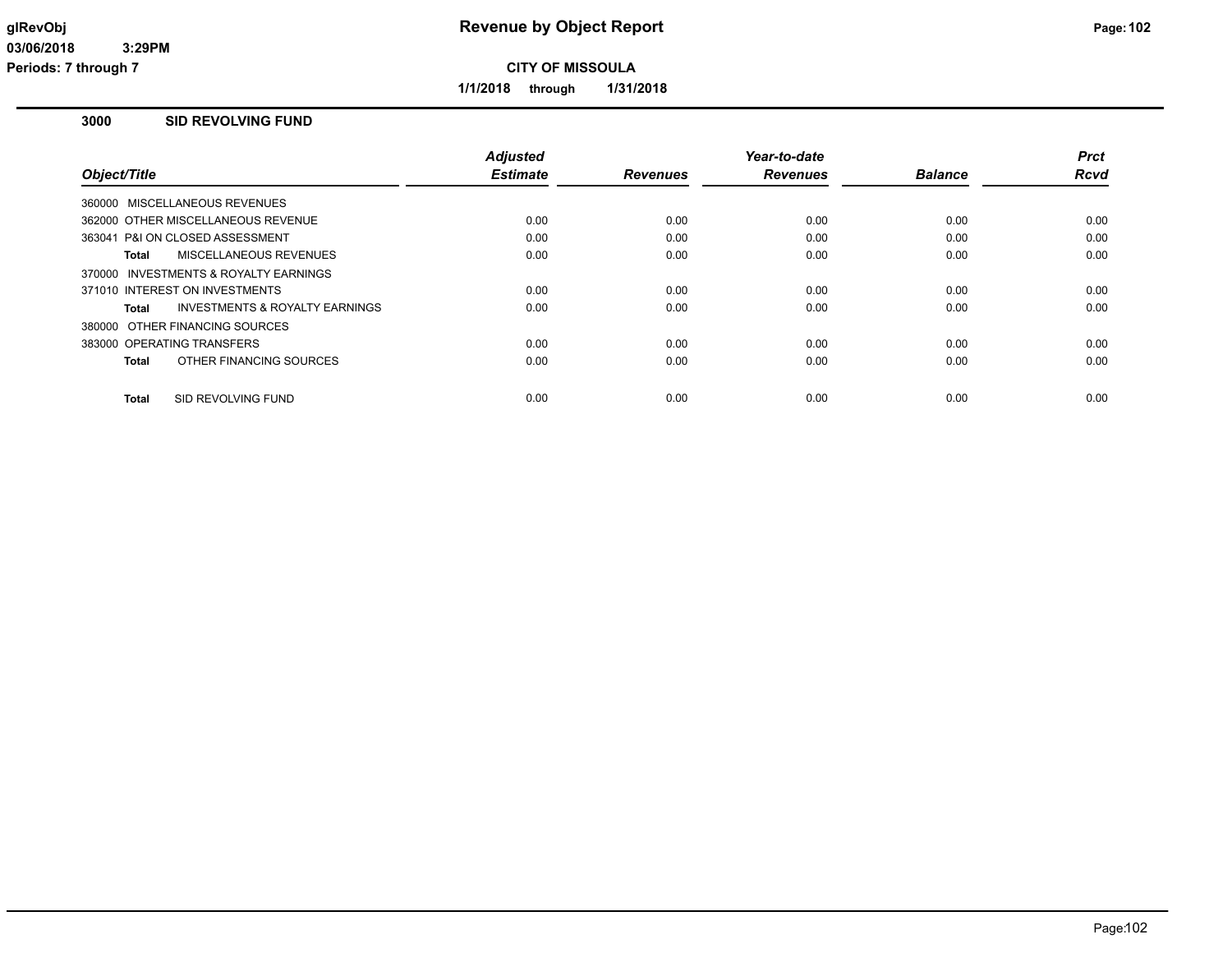**1/1/2018 through 1/31/2018**

## **3000 SID REVOLVING FUND**

|                                                    | <b>Adjusted</b> |                 | Year-to-date    |                | <b>Prct</b> |
|----------------------------------------------------|-----------------|-----------------|-----------------|----------------|-------------|
| Object/Title                                       | <b>Estimate</b> | <b>Revenues</b> | <b>Revenues</b> | <b>Balance</b> | <b>Rcvd</b> |
| 360000 MISCELLANEOUS REVENUES                      |                 |                 |                 |                |             |
| 362000 OTHER MISCELLANEOUS REVENUE                 | 0.00            | 0.00            | 0.00            | 0.00           | 0.00        |
| 363041 P&I ON CLOSED ASSESSMENT                    | 0.00            | 0.00            | 0.00            | 0.00           | 0.00        |
| MISCELLANEOUS REVENUES<br>Total                    | 0.00            | 0.00            | 0.00            | 0.00           | 0.00        |
| INVESTMENTS & ROYALTY EARNINGS<br>370000           |                 |                 |                 |                |             |
| 371010 INTEREST ON INVESTMENTS                     | 0.00            | 0.00            | 0.00            | 0.00           | 0.00        |
| <b>INVESTMENTS &amp; ROYALTY EARNINGS</b><br>Total | 0.00            | 0.00            | 0.00            | 0.00           | 0.00        |
| 380000 OTHER FINANCING SOURCES                     |                 |                 |                 |                |             |
| 383000 OPERATING TRANSFERS                         | 0.00            | 0.00            | 0.00            | 0.00           | 0.00        |
| OTHER FINANCING SOURCES<br>Total                   | 0.00            | 0.00            | 0.00            | 0.00           | 0.00        |
|                                                    |                 |                 |                 |                |             |
| SID REVOLVING FUND<br><b>Total</b>                 | 0.00            | 0.00            | 0.00            | 0.00           | 0.00        |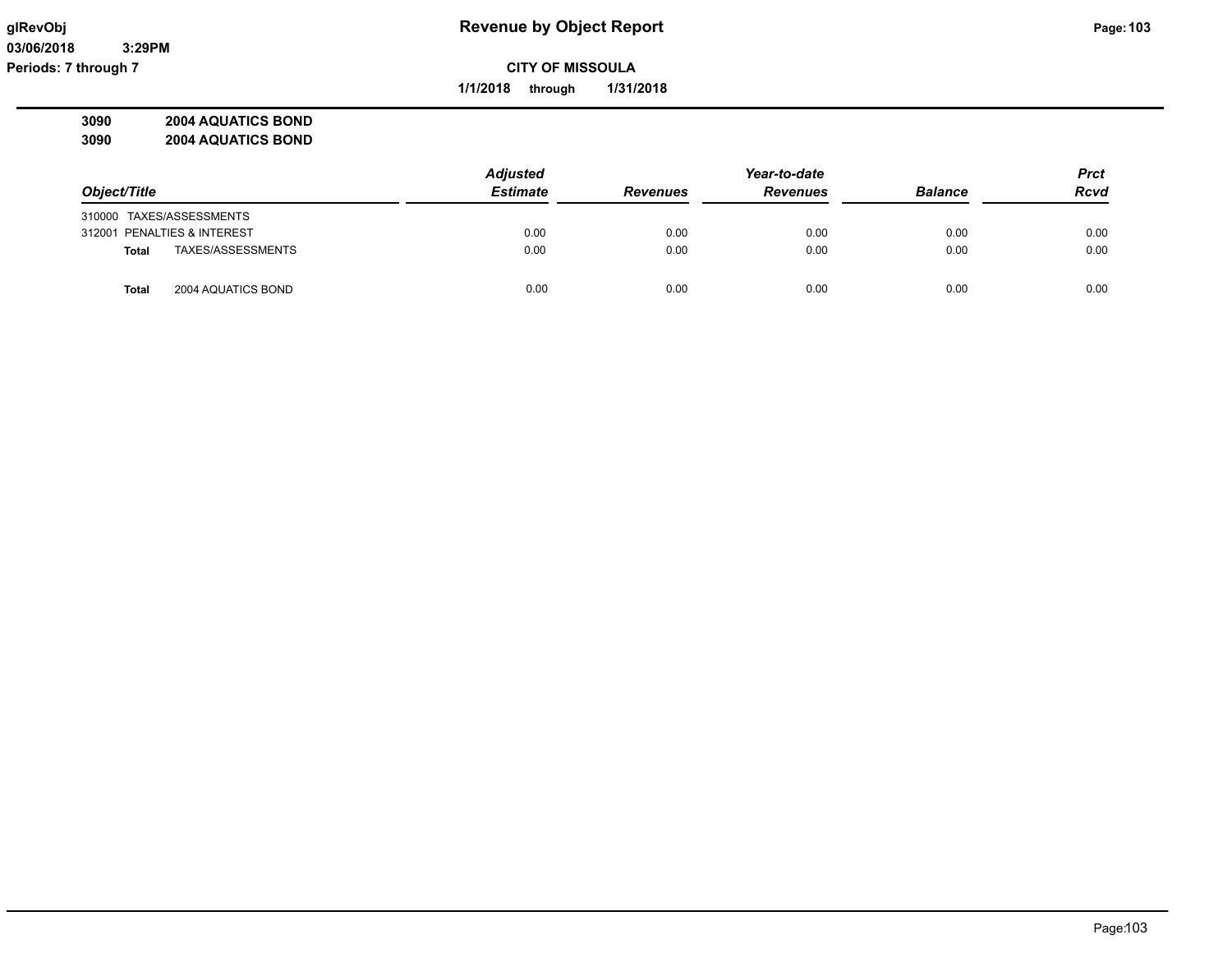**03/06/2018 3:29PM Periods: 7 through 7**

**CITY OF MISSOULA**

**1/1/2018 through 1/31/2018**

**3090 2004 AQUATICS BOND 3090 2004 AQUATICS BOND**

|                                    | <b>Adjusted</b> |                 | Year-to-date    |                | <b>Prct</b> |
|------------------------------------|-----------------|-----------------|-----------------|----------------|-------------|
| Object/Title                       | <b>Estimate</b> | <b>Revenues</b> | <b>Revenues</b> | <b>Balance</b> | <b>Rcvd</b> |
| 310000 TAXES/ASSESSMENTS           |                 |                 |                 |                |             |
| 312001 PENALTIES & INTEREST        | 0.00            | 0.00            | 0.00            | 0.00           | 0.00        |
| TAXES/ASSESSMENTS<br><b>Total</b>  | 0.00            | 0.00            | 0.00            | 0.00           | 0.00        |
| 2004 AQUATICS BOND<br><b>Total</b> | 0.00            | 0.00            | 0.00            | 0.00           | 0.00        |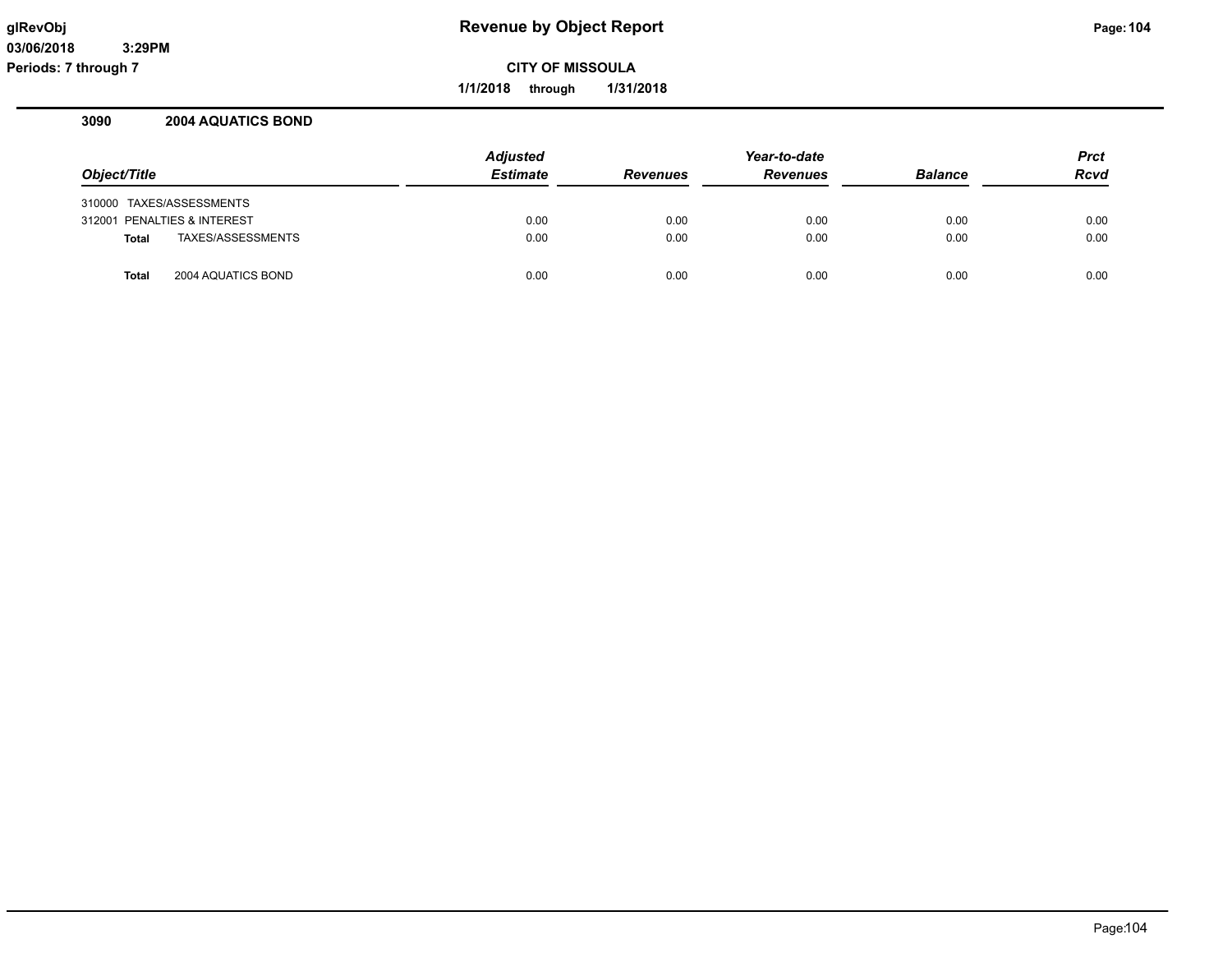**1/1/2018 through 1/31/2018**

## **3090 2004 AQUATICS BOND**

|                                    | <b>Adjusted</b> |                 | Year-to-date    |                | <b>Prct</b> |
|------------------------------------|-----------------|-----------------|-----------------|----------------|-------------|
| Object/Title                       | <b>Estimate</b> | <b>Revenues</b> | <b>Revenues</b> | <b>Balance</b> | Rcvd        |
| 310000 TAXES/ASSESSMENTS           |                 |                 |                 |                |             |
| 312001 PENALTIES & INTEREST        | 0.00            | 0.00            | 0.00            | 0.00           | 0.00        |
| TAXES/ASSESSMENTS<br><b>Total</b>  | 0.00            | 0.00            | 0.00            | 0.00           | 0.00        |
| 2004 AQUATICS BOND<br><b>Total</b> | 0.00            | 0.00            | 0.00            | 0.00           | 0.00        |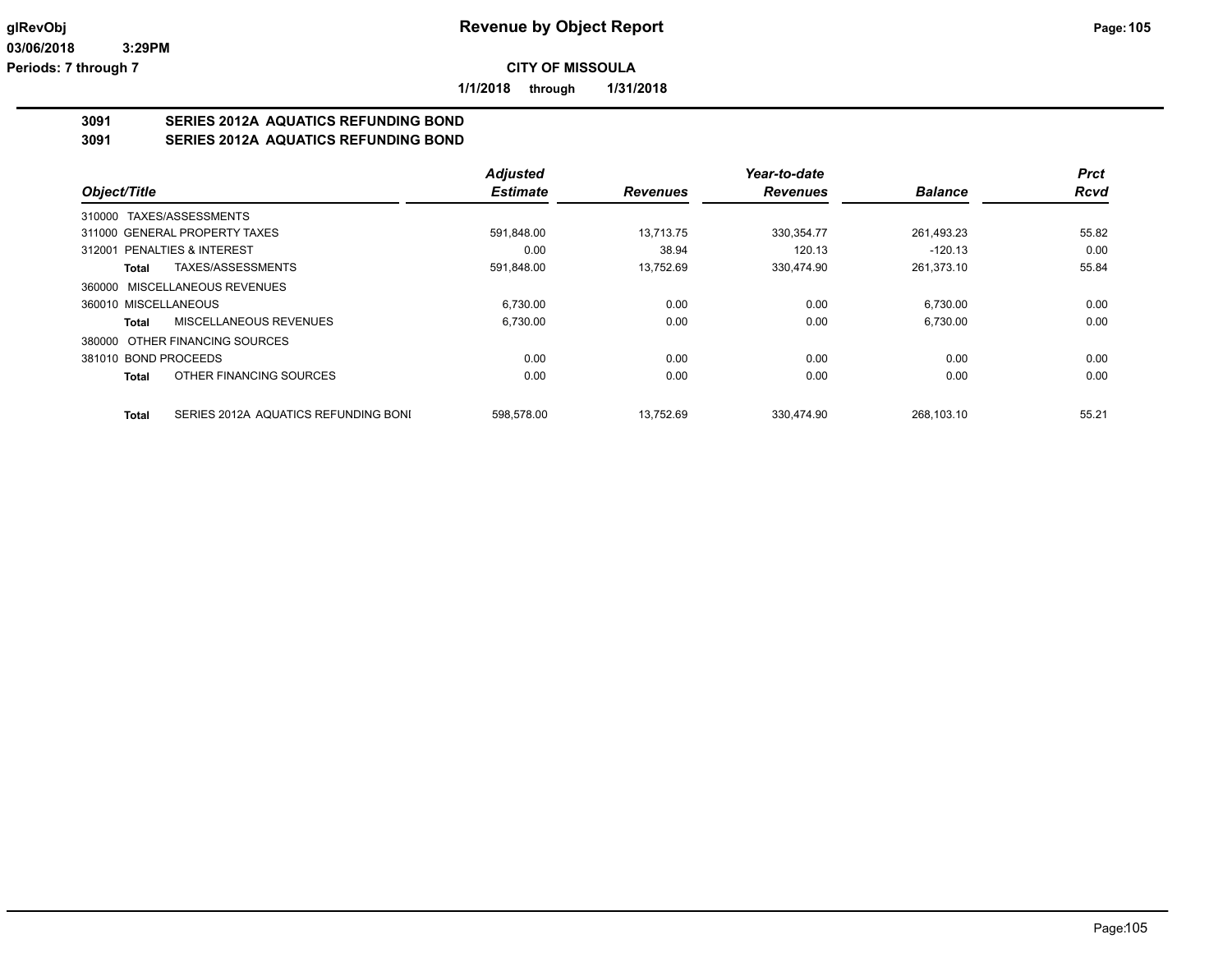**1/1/2018 through 1/31/2018**

# **3091 SERIES 2012A AQUATICS REFUNDING BOND**

**3091 SERIES 2012A AQUATICS REFUNDING BOND**

|                                               | <b>Adjusted</b> |                 | Year-to-date    |                | <b>Prct</b> |
|-----------------------------------------------|-----------------|-----------------|-----------------|----------------|-------------|
| Object/Title                                  | <b>Estimate</b> | <b>Revenues</b> | <b>Revenues</b> | <b>Balance</b> | <b>Rcvd</b> |
| 310000 TAXES/ASSESSMENTS                      |                 |                 |                 |                |             |
| 311000 GENERAL PROPERTY TAXES                 | 591.848.00      | 13.713.75       | 330.354.77      | 261,493.23     | 55.82       |
| <b>PENALTIES &amp; INTEREST</b><br>312001     | 0.00            | 38.94           | 120.13          | $-120.13$      | 0.00        |
| TAXES/ASSESSMENTS<br>Total                    | 591,848.00      | 13,752.69       | 330,474.90      | 261,373.10     | 55.84       |
| 360000 MISCELLANEOUS REVENUES                 |                 |                 |                 |                |             |
| 360010 MISCELLANEOUS                          | 6,730.00        | 0.00            | 0.00            | 6,730.00       | 0.00        |
| MISCELLANEOUS REVENUES<br>Total               | 6,730.00        | 0.00            | 0.00            | 6,730.00       | 0.00        |
| OTHER FINANCING SOURCES<br>380000             |                 |                 |                 |                |             |
| 381010 BOND PROCEEDS                          | 0.00            | 0.00            | 0.00            | 0.00           | 0.00        |
| OTHER FINANCING SOURCES<br><b>Total</b>       | 0.00            | 0.00            | 0.00            | 0.00           | 0.00        |
| SERIES 2012A AQUATICS REFUNDING BONI<br>Total | 598.578.00      | 13.752.69       | 330.474.90      | 268.103.10     | 55.21       |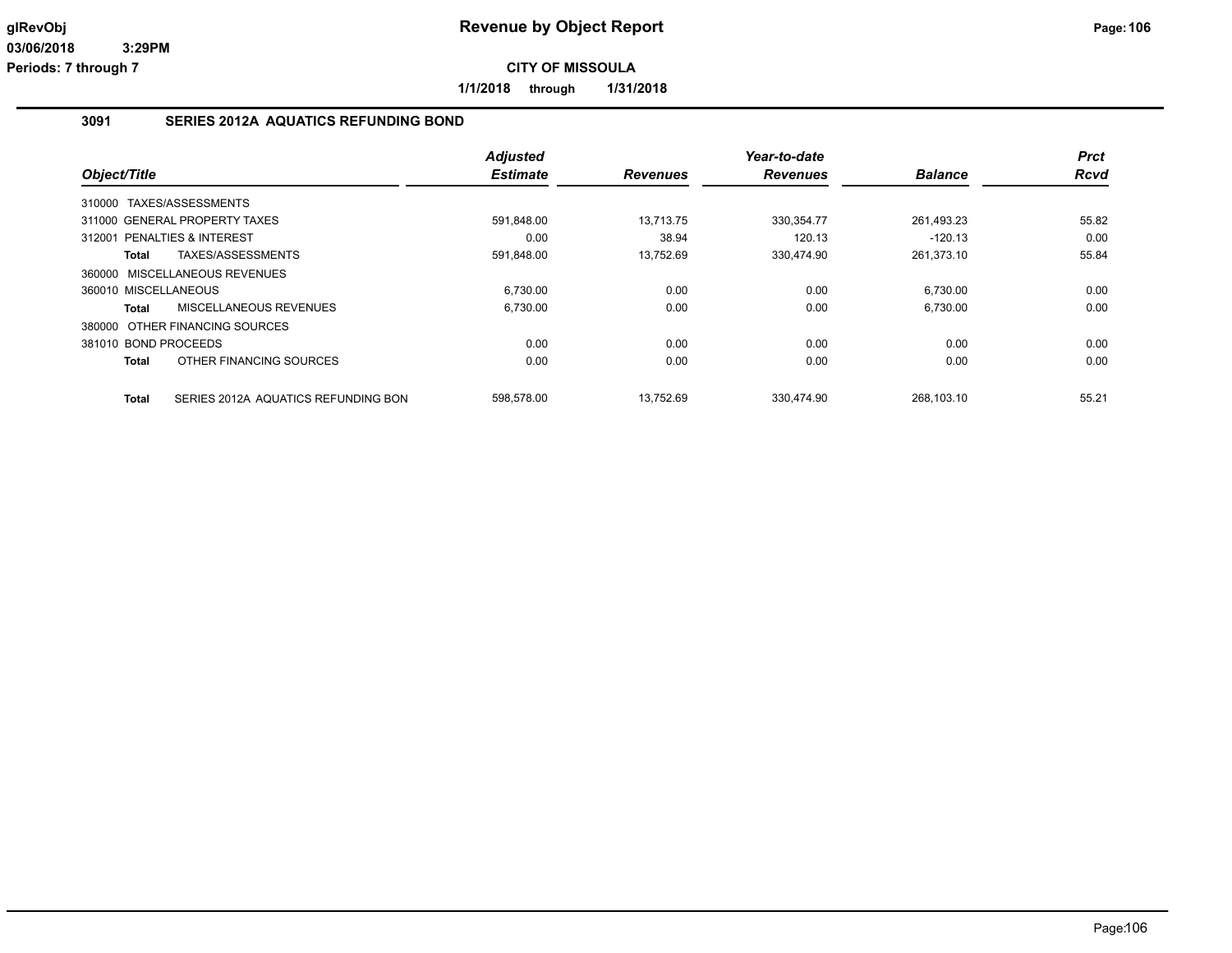**1/1/2018 through 1/31/2018**

### **3091 SERIES 2012A AQUATICS REFUNDING BOND**

|                      |                                     | <b>Adjusted</b> |                 | Year-to-date    |                | <b>Prct</b> |
|----------------------|-------------------------------------|-----------------|-----------------|-----------------|----------------|-------------|
| Object/Title         |                                     | <b>Estimate</b> | <b>Revenues</b> | <b>Revenues</b> | <b>Balance</b> | <b>Rcvd</b> |
| 310000               | TAXES/ASSESSMENTS                   |                 |                 |                 |                |             |
|                      | 311000 GENERAL PROPERTY TAXES       | 591,848.00      | 13,713.75       | 330, 354. 77    | 261,493.23     | 55.82       |
|                      | 312001 PENALTIES & INTEREST         | 0.00            | 38.94           | 120.13          | $-120.13$      | 0.00        |
| Total                | TAXES/ASSESSMENTS                   | 591,848.00      | 13,752.69       | 330,474.90      | 261,373.10     | 55.84       |
|                      | 360000 MISCELLANEOUS REVENUES       |                 |                 |                 |                |             |
| 360010 MISCELLANEOUS |                                     | 6,730.00        | 0.00            | 0.00            | 6,730.00       | 0.00        |
| <b>Total</b>         | <b>MISCELLANEOUS REVENUES</b>       | 6,730.00        | 0.00            | 0.00            | 6.730.00       | 0.00        |
|                      | 380000 OTHER FINANCING SOURCES      |                 |                 |                 |                |             |
| 381010 BOND PROCEEDS |                                     | 0.00            | 0.00            | 0.00            | 0.00           | 0.00        |
| <b>Total</b>         | OTHER FINANCING SOURCES             | 0.00            | 0.00            | 0.00            | 0.00           | 0.00        |
| <b>Total</b>         | SERIES 2012A AQUATICS REFUNDING BON | 598.578.00      | 13.752.69       | 330.474.90      | 268.103.10     | 55.21       |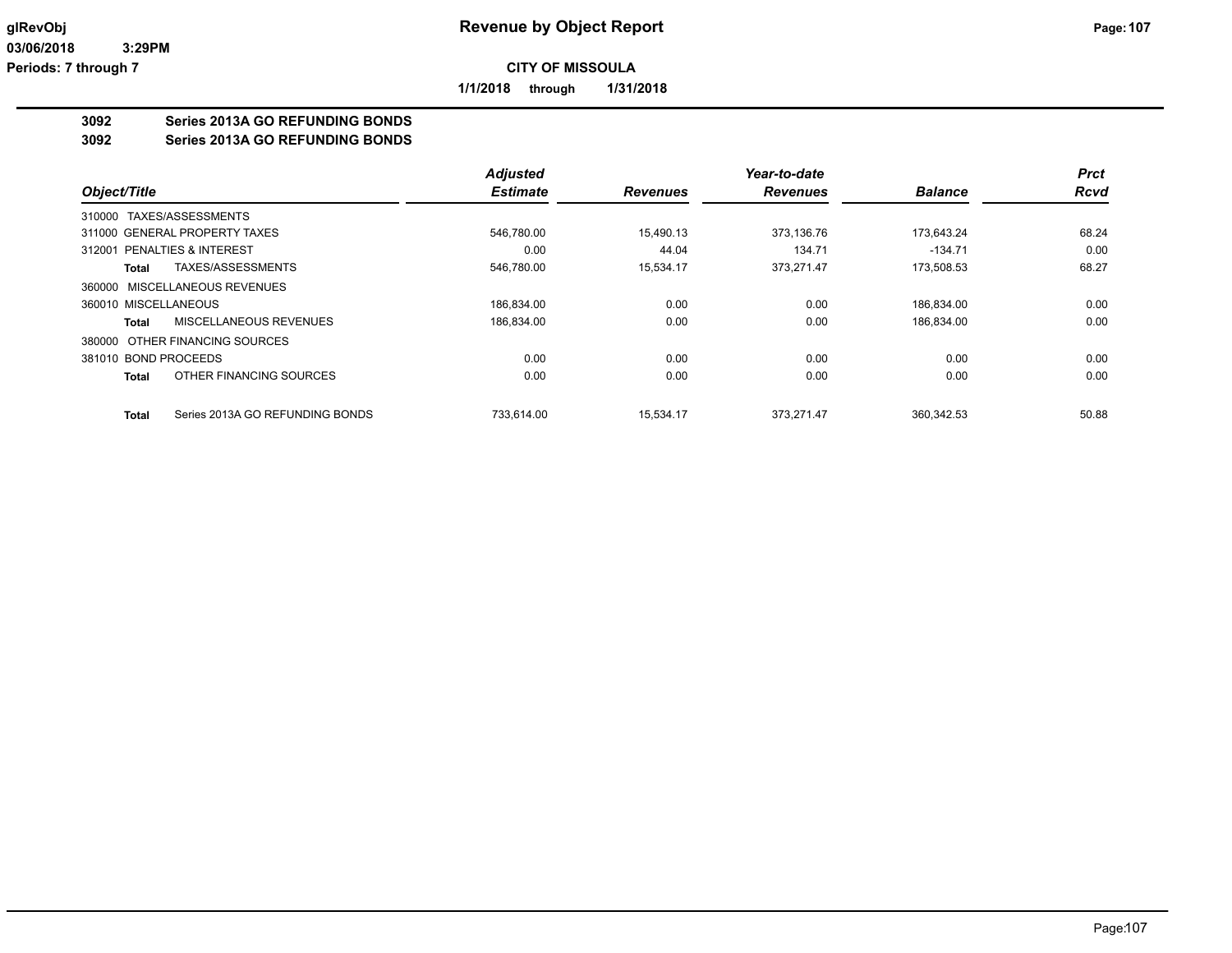**1/1/2018 through 1/31/2018**

## **3092 Series 2013A GO REFUNDING BONDS**

**3092 Series 2013A GO REFUNDING BONDS**

|                               |                                 | <b>Adjusted</b> |                 | Year-to-date    |                | <b>Prct</b> |
|-------------------------------|---------------------------------|-----------------|-----------------|-----------------|----------------|-------------|
| Object/Title                  |                                 | <b>Estimate</b> | <b>Revenues</b> | <b>Revenues</b> | <b>Balance</b> | <b>Rcvd</b> |
| 310000 TAXES/ASSESSMENTS      |                                 |                 |                 |                 |                |             |
| 311000 GENERAL PROPERTY TAXES |                                 | 546.780.00      | 15.490.13       | 373.136.76      | 173.643.24     | 68.24       |
| 312001 PENALTIES & INTEREST   |                                 | 0.00            | 44.04           | 134.71          | $-134.71$      | 0.00        |
| Total                         | TAXES/ASSESSMENTS               | 546,780.00      | 15,534.17       | 373,271.47      | 173,508.53     | 68.27       |
|                               | 360000 MISCELLANEOUS REVENUES   |                 |                 |                 |                |             |
| 360010 MISCELLANEOUS          |                                 | 186.834.00      | 0.00            | 0.00            | 186.834.00     | 0.00        |
| Total                         | MISCELLANEOUS REVENUES          | 186,834.00      | 0.00            | 0.00            | 186,834.00     | 0.00        |
|                               | 380000 OTHER FINANCING SOURCES  |                 |                 |                 |                |             |
| 381010 BOND PROCEEDS          |                                 | 0.00            | 0.00            | 0.00            | 0.00           | 0.00        |
| Total                         | OTHER FINANCING SOURCES         | 0.00            | 0.00            | 0.00            | 0.00           | 0.00        |
| Total                         | Series 2013A GO REFUNDING BONDS | 733.614.00      | 15.534.17       | 373.271.47      | 360.342.53     | 50.88       |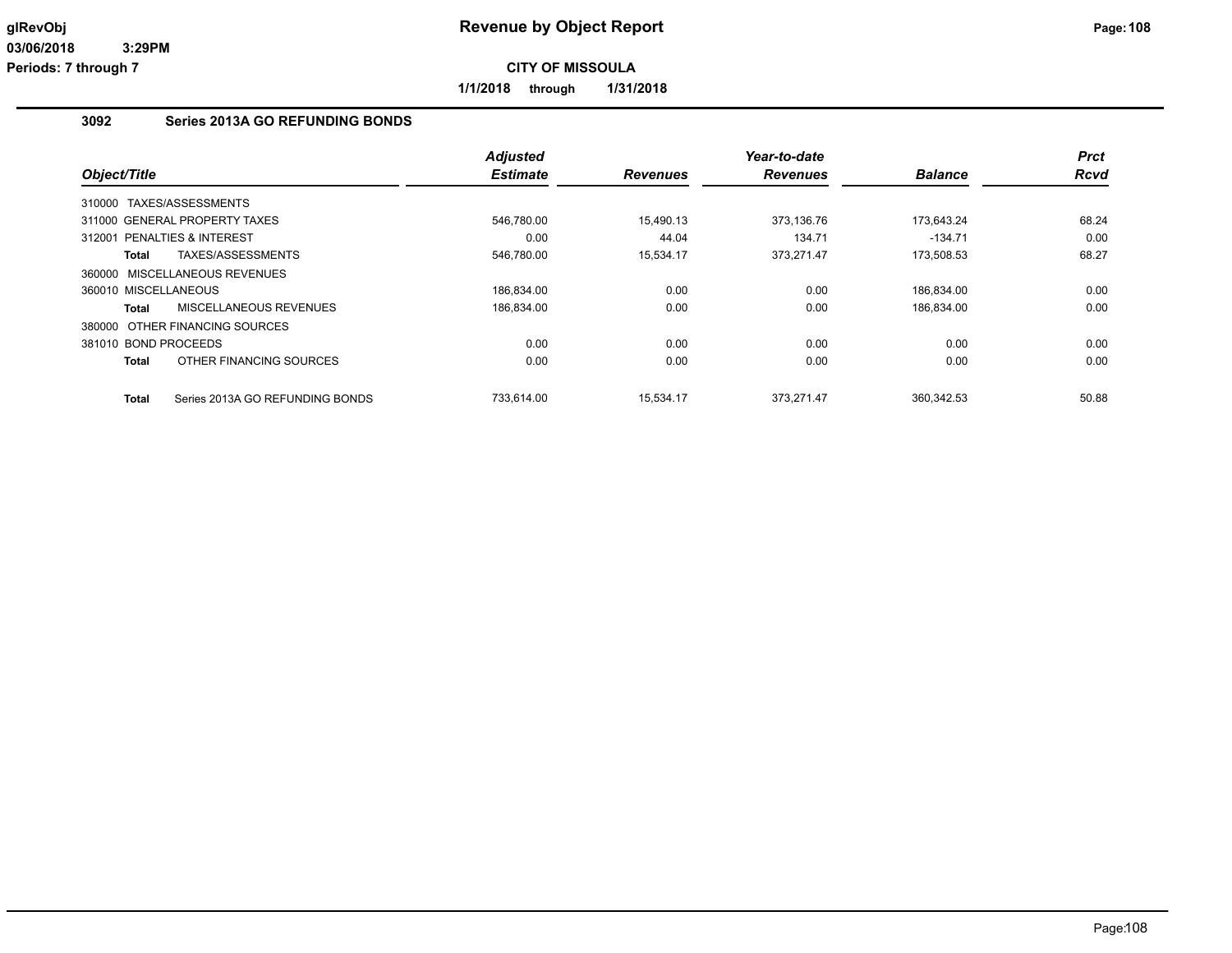**1/1/2018 through 1/31/2018**

## **3092 Series 2013A GO REFUNDING BONDS**

| Object/Title                             | <b>Adjusted</b> |                 | Year-to-date    |                | <b>Prct</b> |
|------------------------------------------|-----------------|-----------------|-----------------|----------------|-------------|
|                                          | <b>Estimate</b> | <b>Revenues</b> | <b>Revenues</b> | <b>Balance</b> | <b>Rcvd</b> |
| 310000 TAXES/ASSESSMENTS                 |                 |                 |                 |                |             |
| 311000 GENERAL PROPERTY TAXES            | 546,780.00      | 15,490.13       | 373,136.76      | 173,643.24     | 68.24       |
| 312001 PENALTIES & INTEREST              | 0.00            | 44.04           | 134.71          | $-134.71$      | 0.00        |
| TAXES/ASSESSMENTS<br>Total               | 546,780.00      | 15,534.17       | 373,271.47      | 173,508.53     | 68.27       |
| 360000 MISCELLANEOUS REVENUES            |                 |                 |                 |                |             |
| 360010 MISCELLANEOUS                     | 186,834.00      | 0.00            | 0.00            | 186,834.00     | 0.00        |
| MISCELLANEOUS REVENUES<br>Total          | 186,834.00      | 0.00            | 0.00            | 186,834.00     | 0.00        |
| 380000 OTHER FINANCING SOURCES           |                 |                 |                 |                |             |
| 381010 BOND PROCEEDS                     | 0.00            | 0.00            | 0.00            | 0.00           | 0.00        |
| OTHER FINANCING SOURCES<br>Total         | 0.00            | 0.00            | 0.00            | 0.00           | 0.00        |
| Series 2013A GO REFUNDING BONDS<br>Total | 733.614.00      | 15.534.17       | 373.271.47      | 360.342.53     | 50.88       |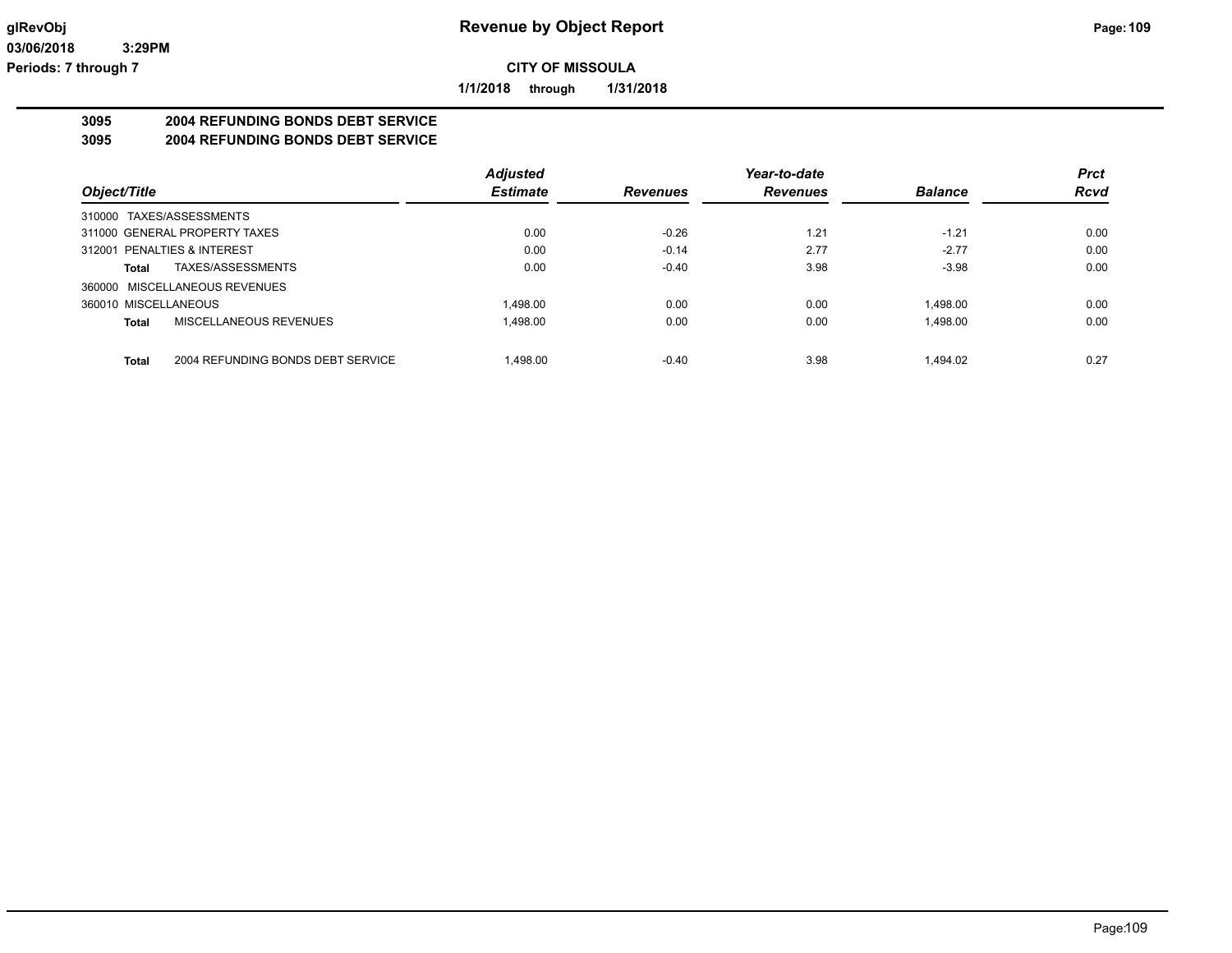**1/1/2018 through 1/31/2018**

# **3095 2004 REFUNDING BONDS DEBT SERVICE**

# **3095 2004 REFUNDING BONDS DEBT SERVICE**

|                                            | <b>Adjusted</b> |                 | Year-to-date    |                | <b>Prct</b> |
|--------------------------------------------|-----------------|-----------------|-----------------|----------------|-------------|
| Object/Title                               | <b>Estimate</b> | <b>Revenues</b> | <b>Revenues</b> | <b>Balance</b> | <b>Rcvd</b> |
| 310000 TAXES/ASSESSMENTS                   |                 |                 |                 |                |             |
| 311000 GENERAL PROPERTY TAXES              | 0.00            | $-0.26$         | 1.21            | $-1.21$        | 0.00        |
| 312001 PENALTIES & INTEREST                | 0.00            | $-0.14$         | 2.77            | $-2.77$        | 0.00        |
| TAXES/ASSESSMENTS<br>Total                 | 0.00            | $-0.40$         | 3.98            | $-3.98$        | 0.00        |
| 360000 MISCELLANEOUS REVENUES              |                 |                 |                 |                |             |
| 360010 MISCELLANEOUS                       | 1.498.00        | 0.00            | 0.00            | 1.498.00       | 0.00        |
| MISCELLANEOUS REVENUES<br>Total            | 1,498.00        | 0.00            | 0.00            | 1.498.00       | 0.00        |
| 2004 REFUNDING BONDS DEBT SERVICE<br>Total | 1.498.00        | $-0.40$         | 3.98            | 1.494.02       | 0.27        |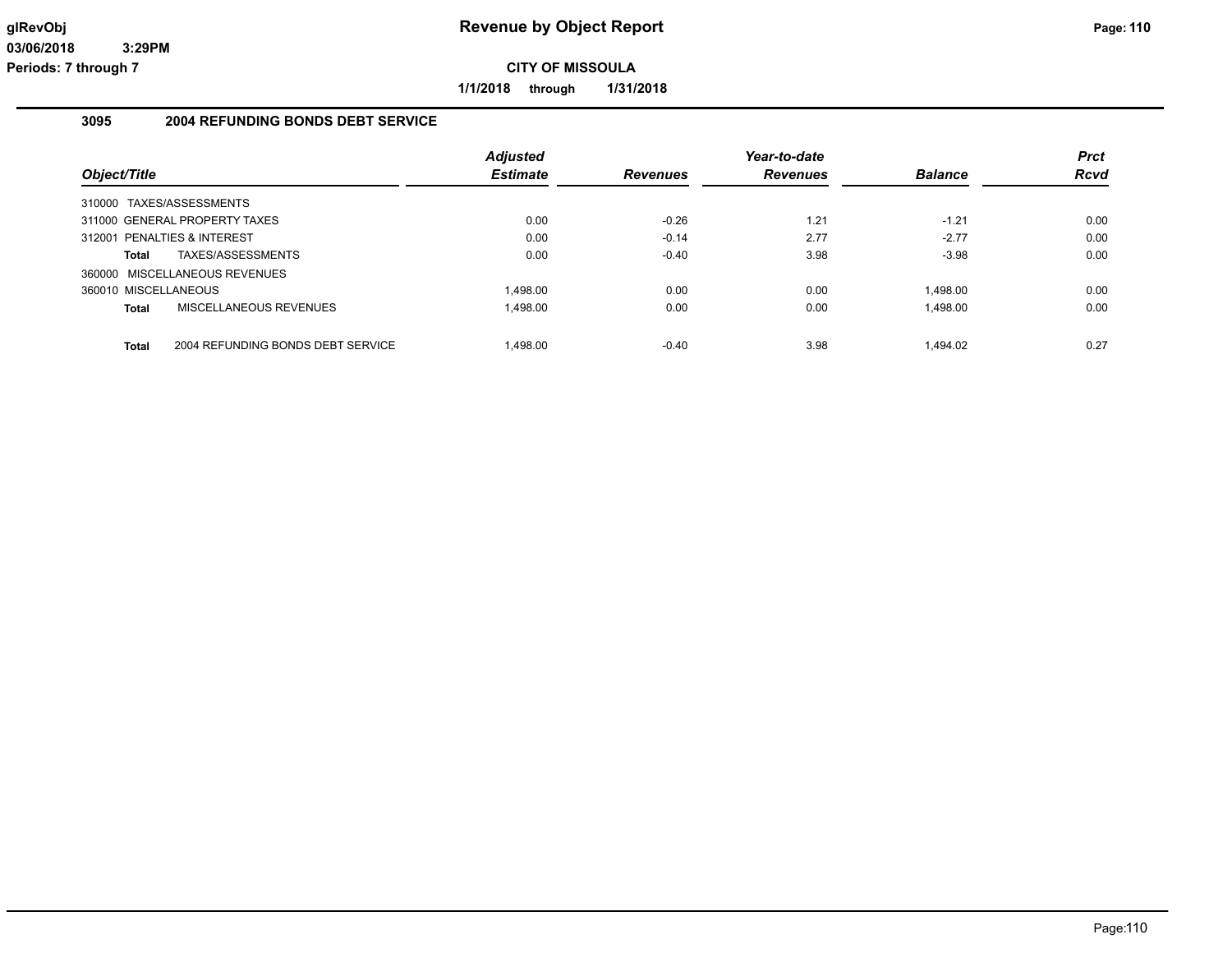**1/1/2018 through 1/31/2018**

# **3095 2004 REFUNDING BONDS DEBT SERVICE**

|                             |                                   | <b>Adjusted</b> |                 | Year-to-date    |                | <b>Prct</b> |
|-----------------------------|-----------------------------------|-----------------|-----------------|-----------------|----------------|-------------|
| Object/Title                |                                   | <b>Estimate</b> | <b>Revenues</b> | <b>Revenues</b> | <b>Balance</b> | <b>Rcvd</b> |
| 310000 TAXES/ASSESSMENTS    |                                   |                 |                 |                 |                |             |
|                             | 311000 GENERAL PROPERTY TAXES     | 0.00            | $-0.26$         | 1.21            | $-1.21$        | 0.00        |
| 312001 PENALTIES & INTEREST |                                   | 0.00            | $-0.14$         | 2.77            | $-2.77$        | 0.00        |
| Total                       | TAXES/ASSESSMENTS                 | 0.00            | $-0.40$         | 3.98            | $-3.98$        | 0.00        |
|                             | 360000 MISCELLANEOUS REVENUES     |                 |                 |                 |                |             |
| 360010 MISCELLANEOUS        |                                   | 1.498.00        | 0.00            | 0.00            | 1.498.00       | 0.00        |
| Total                       | MISCELLANEOUS REVENUES            | 1.498.00        | 0.00            | 0.00            | 1.498.00       | 0.00        |
| Total                       | 2004 REFUNDING BONDS DEBT SERVICE | 1.498.00        | $-0.40$         | 3.98            | 1.494.02       | 0.27        |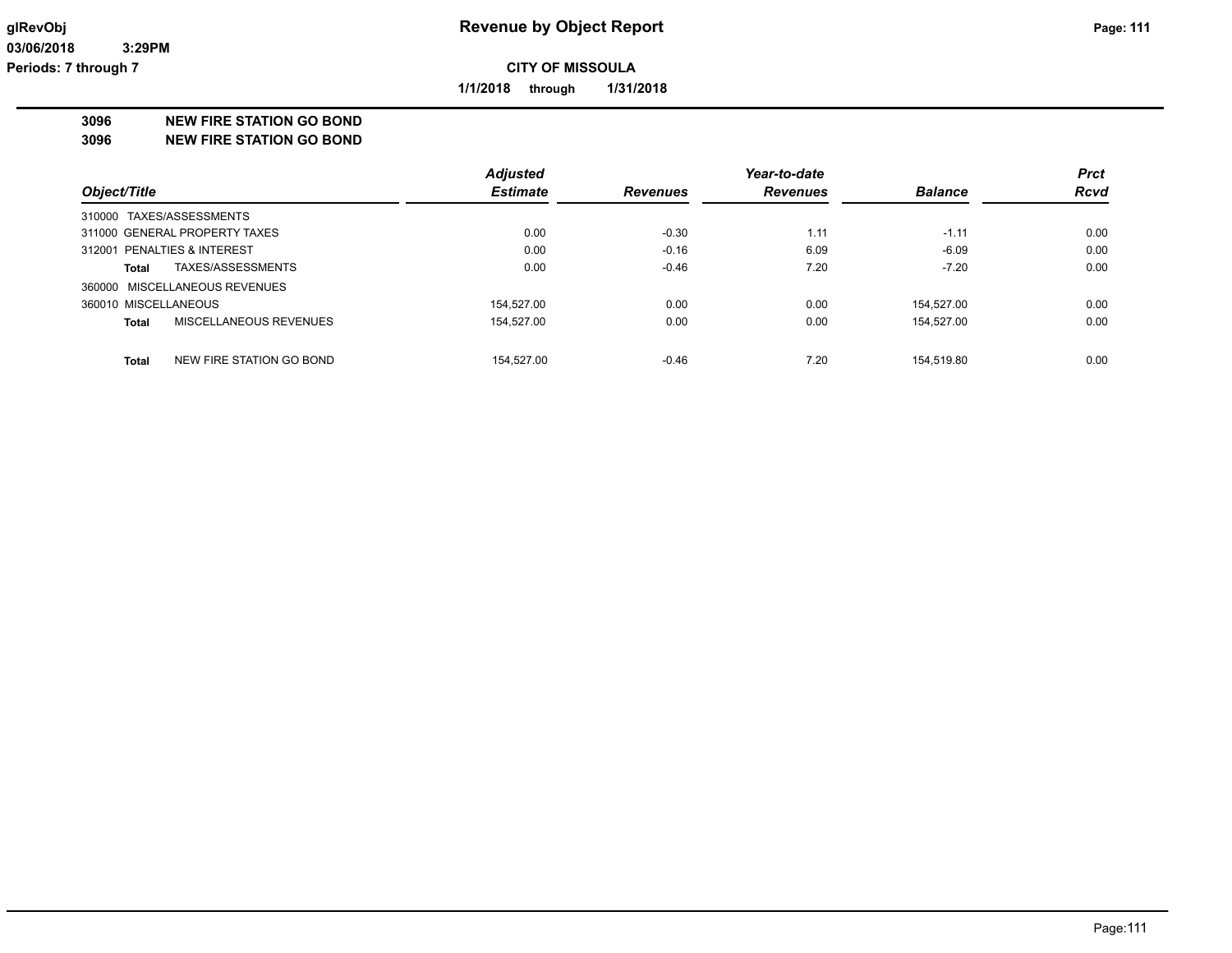**1/1/2018 through 1/31/2018**

**3096 NEW FIRE STATION GO BOND**

**3096 NEW FIRE STATION GO BOND**

|                                   | <b>Adjusted</b> |                 | Year-to-date    |                | <b>Prct</b> |
|-----------------------------------|-----------------|-----------------|-----------------|----------------|-------------|
| Object/Title                      | <b>Estimate</b> | <b>Revenues</b> | <b>Revenues</b> | <b>Balance</b> | <b>Rcvd</b> |
| 310000 TAXES/ASSESSMENTS          |                 |                 |                 |                |             |
| 311000 GENERAL PROPERTY TAXES     | 0.00            | $-0.30$         | 1.11            | $-1.11$        | 0.00        |
| 312001 PENALTIES & INTEREST       | 0.00            | $-0.16$         | 6.09            | $-6.09$        | 0.00        |
| TAXES/ASSESSMENTS<br>Total        | 0.00            | $-0.46$         | 7.20            | $-7.20$        | 0.00        |
| 360000 MISCELLANEOUS REVENUES     |                 |                 |                 |                |             |
| 360010 MISCELLANEOUS              | 154.527.00      | 0.00            | 0.00            | 154.527.00     | 0.00        |
| MISCELLANEOUS REVENUES<br>Total   | 154,527.00      | 0.00            | 0.00            | 154,527.00     | 0.00        |
| NEW FIRE STATION GO BOND<br>Total | 154.527.00      | $-0.46$         | 7.20            | 154.519.80     | 0.00        |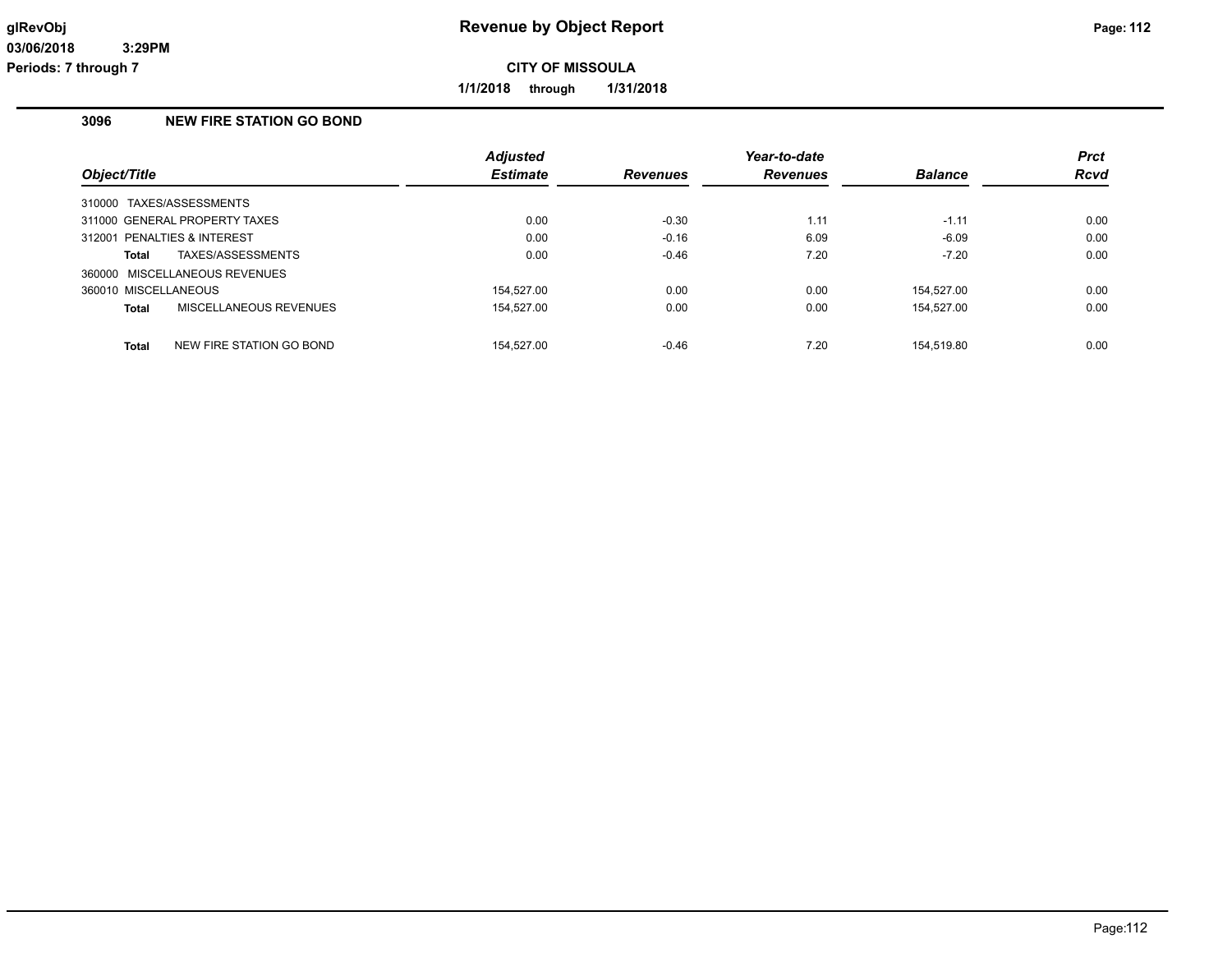**1/1/2018 through 1/31/2018**

# **3096 NEW FIRE STATION GO BOND**

|                                          | <b>Adjusted</b> |                 | Year-to-date    |                | <b>Prct</b> |
|------------------------------------------|-----------------|-----------------|-----------------|----------------|-------------|
| Object/Title                             | <b>Estimate</b> | <b>Revenues</b> | <b>Revenues</b> | <b>Balance</b> | <b>Rcvd</b> |
| 310000 TAXES/ASSESSMENTS                 |                 |                 |                 |                |             |
| 311000 GENERAL PROPERTY TAXES            | 0.00            | $-0.30$         | 1.11            | $-1.11$        | 0.00        |
| 312001 PENALTIES & INTEREST              | 0.00            | $-0.16$         | 6.09            | $-6.09$        | 0.00        |
| TAXES/ASSESSMENTS<br>Total               | 0.00            | $-0.46$         | 7.20            | $-7.20$        | 0.00        |
| 360000 MISCELLANEOUS REVENUES            |                 |                 |                 |                |             |
| 360010 MISCELLANEOUS                     | 154.527.00      | 0.00            | 0.00            | 154.527.00     | 0.00        |
| MISCELLANEOUS REVENUES<br><b>Total</b>   | 154.527.00      | 0.00            | 0.00            | 154.527.00     | 0.00        |
|                                          |                 |                 |                 |                |             |
| NEW FIRE STATION GO BOND<br><b>Total</b> | 154.527.00      | $-0.46$         | 7.20            | 154.519.80     | 0.00        |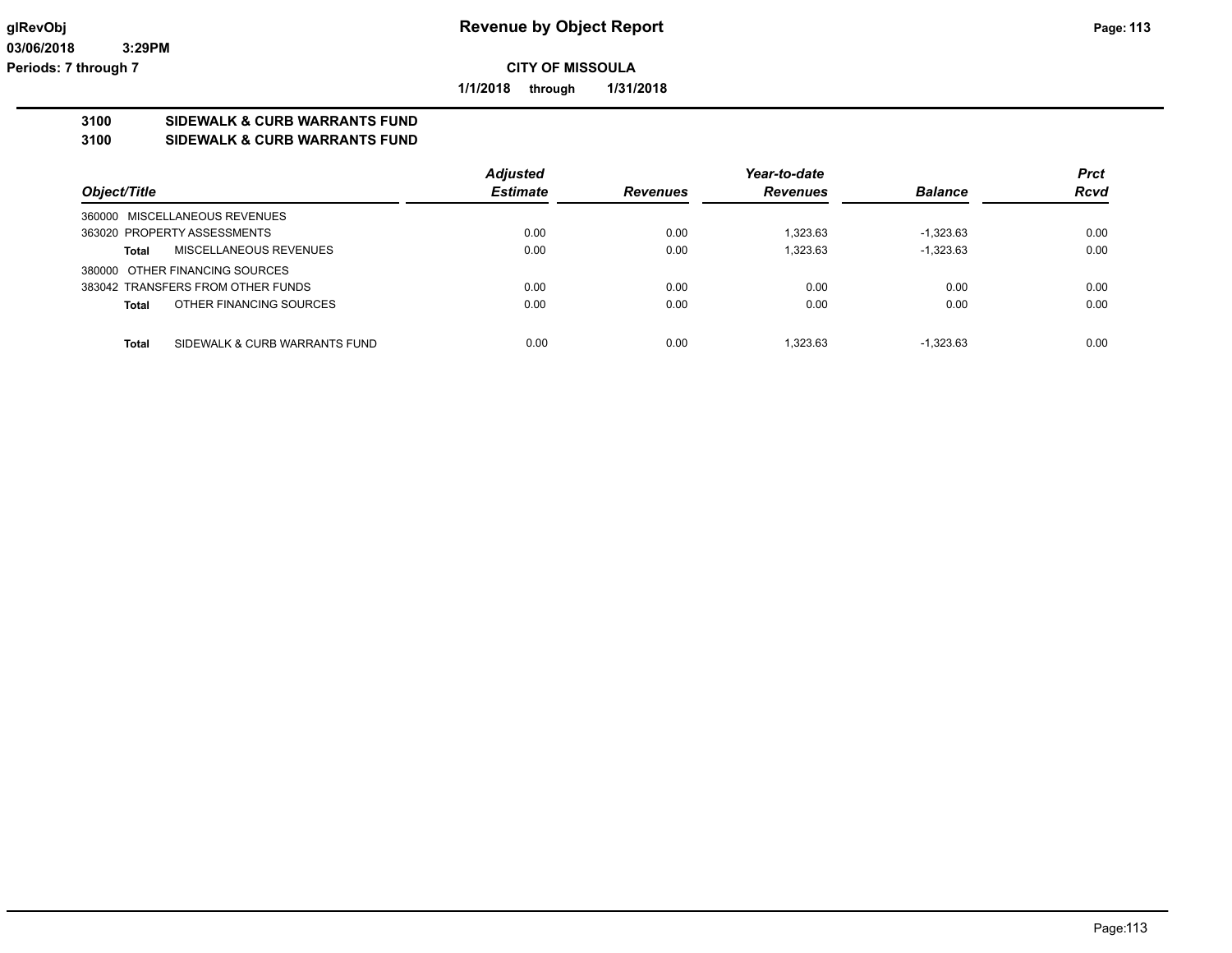**1/1/2018 through 1/31/2018**

# **3100 SIDEWALK & CURB WARRANTS FUND**

**3100 SIDEWALK & CURB WARRANTS FUND**

|                                               | <b>Adjusted</b> |                 | Year-to-date    |                | <b>Prct</b> |
|-----------------------------------------------|-----------------|-----------------|-----------------|----------------|-------------|
| Object/Title                                  | <b>Estimate</b> | <b>Revenues</b> | <b>Revenues</b> | <b>Balance</b> | <b>Rcvd</b> |
| 360000 MISCELLANEOUS REVENUES                 |                 |                 |                 |                |             |
| 363020 PROPERTY ASSESSMENTS                   | 0.00            | 0.00            | 1.323.63        | $-1.323.63$    | 0.00        |
| MISCELLANEOUS REVENUES<br><b>Total</b>        | 0.00            | 0.00            | 1,323.63        | $-1,323.63$    | 0.00        |
| 380000 OTHER FINANCING SOURCES                |                 |                 |                 |                |             |
| 383042 TRANSFERS FROM OTHER FUNDS             | 0.00            | 0.00            | 0.00            | 0.00           | 0.00        |
| OTHER FINANCING SOURCES<br><b>Total</b>       | 0.00            | 0.00            | 0.00            | 0.00           | 0.00        |
|                                               |                 |                 |                 |                |             |
| <b>Total</b><br>SIDEWALK & CURB WARRANTS FUND | 0.00            | 0.00            | 1.323.63        | $-1.323.63$    | 0.00        |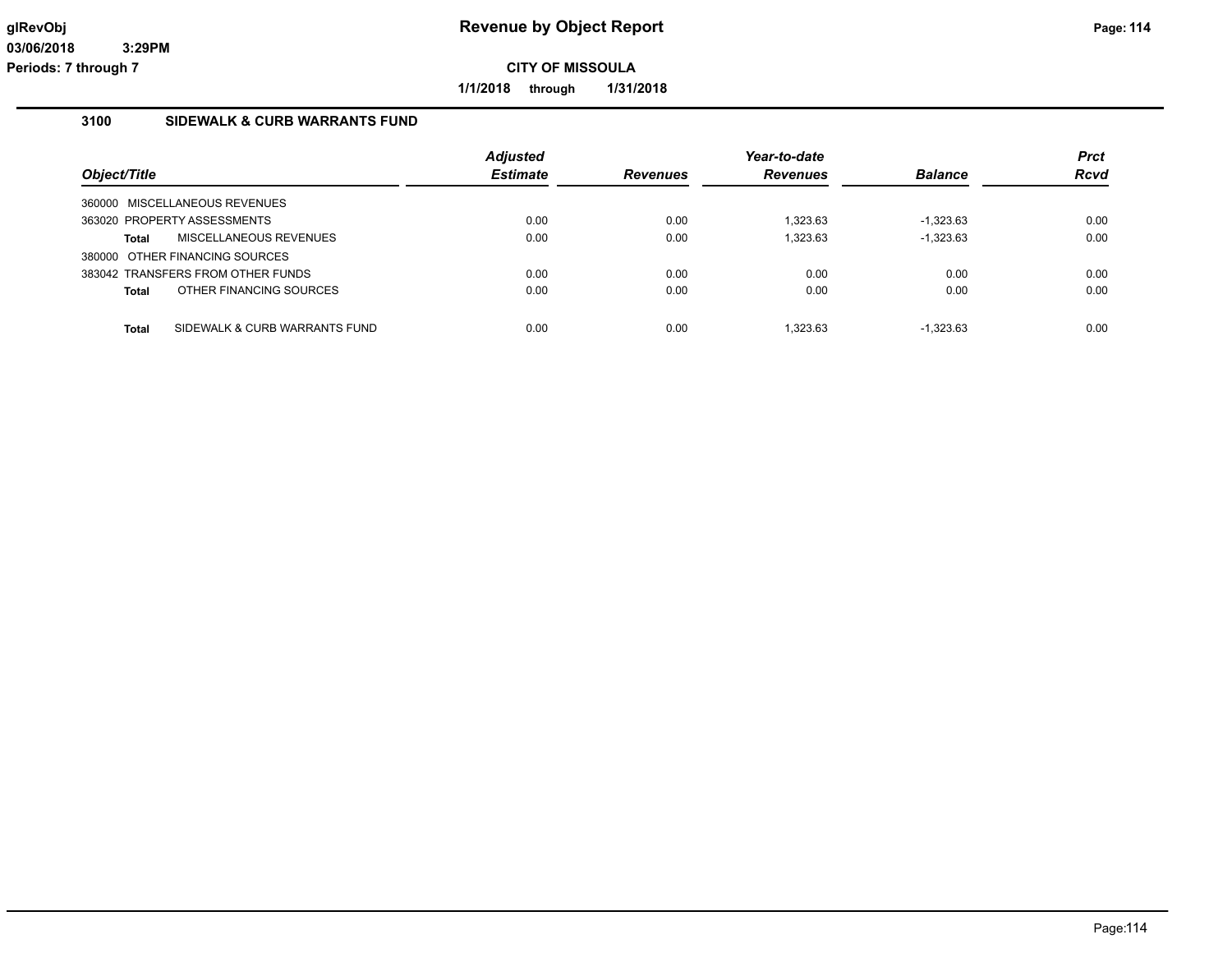**1/1/2018 through 1/31/2018**

# **3100 SIDEWALK & CURB WARRANTS FUND**

| Object/Title                                  | <b>Adjusted</b><br><b>Estimate</b> | <b>Revenues</b> | Year-to-date<br><b>Revenues</b> | <b>Balance</b> | <b>Prct</b><br>Rcvd |
|-----------------------------------------------|------------------------------------|-----------------|---------------------------------|----------------|---------------------|
| 360000 MISCELLANEOUS REVENUES                 |                                    |                 |                                 |                |                     |
| 363020 PROPERTY ASSESSMENTS                   | 0.00                               | 0.00            | 1.323.63                        | $-1.323.63$    | 0.00                |
| MISCELLANEOUS REVENUES<br>Total               | 0.00                               | 0.00            | 1.323.63                        | $-1,323.63$    | 0.00                |
| 380000 OTHER FINANCING SOURCES                |                                    |                 |                                 |                |                     |
| 383042 TRANSFERS FROM OTHER FUNDS             | 0.00                               | 0.00            | 0.00                            | 0.00           | 0.00                |
| OTHER FINANCING SOURCES<br><b>Total</b>       | 0.00                               | 0.00            | 0.00                            | 0.00           | 0.00                |
|                                               |                                    |                 |                                 |                |                     |
| SIDEWALK & CURB WARRANTS FUND<br><b>Total</b> | 0.00                               | 0.00            | 1.323.63                        | $-1.323.63$    | 0.00                |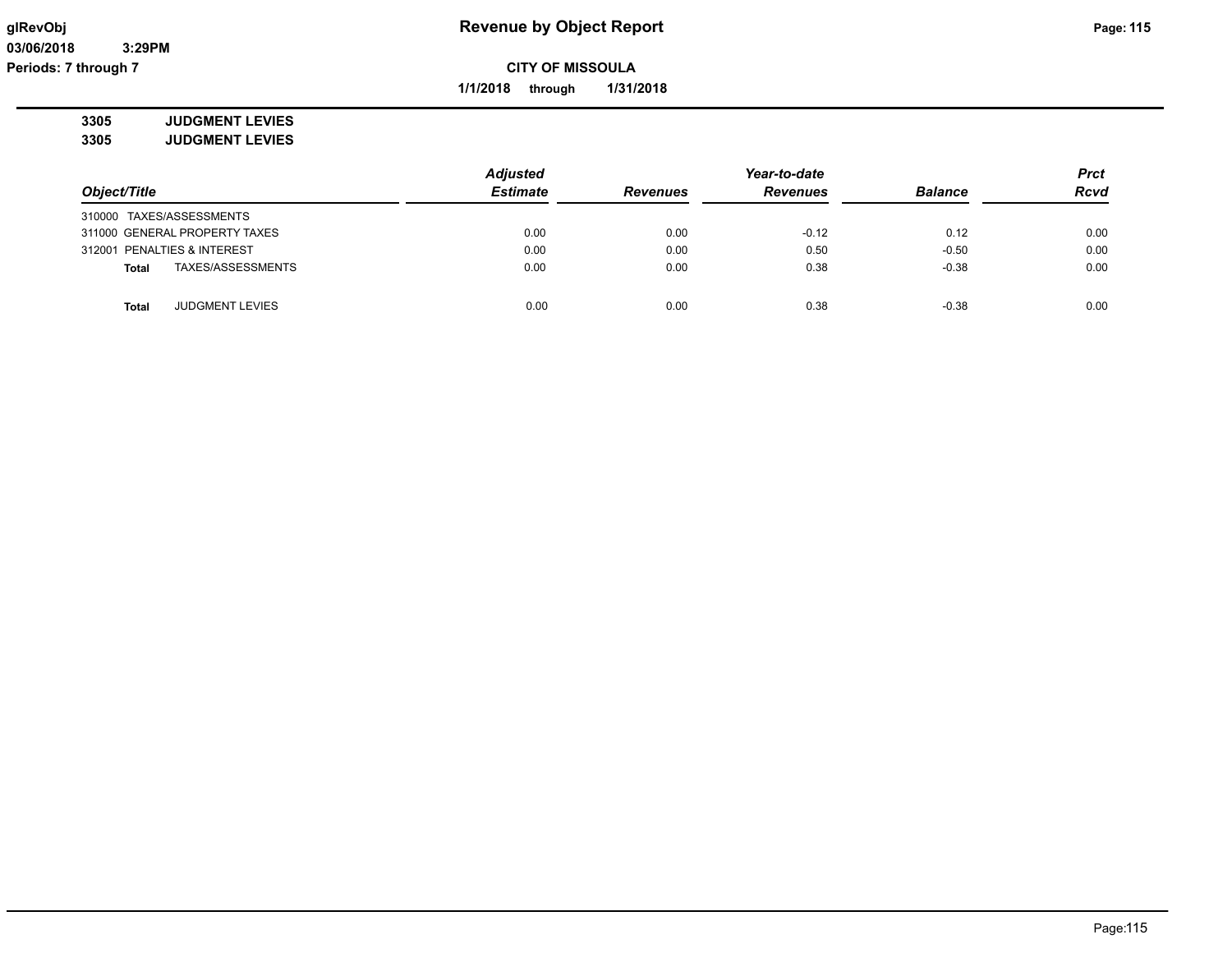**1/1/2018 through 1/31/2018**

**3305 JUDGMENT LEVIES**

**3305 JUDGMENT LEVIES**

|                                   | <b>Adjusted</b> |                 | Year-to-date    |                |             |
|-----------------------------------|-----------------|-----------------|-----------------|----------------|-------------|
| Object/Title                      | <b>Estimate</b> | <b>Revenues</b> | <b>Revenues</b> | <b>Balance</b> | <b>Rcvd</b> |
| 310000 TAXES/ASSESSMENTS          |                 |                 |                 |                |             |
| 311000 GENERAL PROPERTY TAXES     | 0.00            | 0.00            | $-0.12$         | 0.12           | 0.00        |
| 312001 PENALTIES & INTEREST       | 0.00            | 0.00            | 0.50            | $-0.50$        | 0.00        |
| TAXES/ASSESSMENTS<br><b>Total</b> | 0.00            | 0.00            | 0.38            | $-0.38$        | 0.00        |
| <b>JUDGMENT LEVIES</b><br>Total   | 0.00            | 0.00            | 0.38            | $-0.38$        | 0.00        |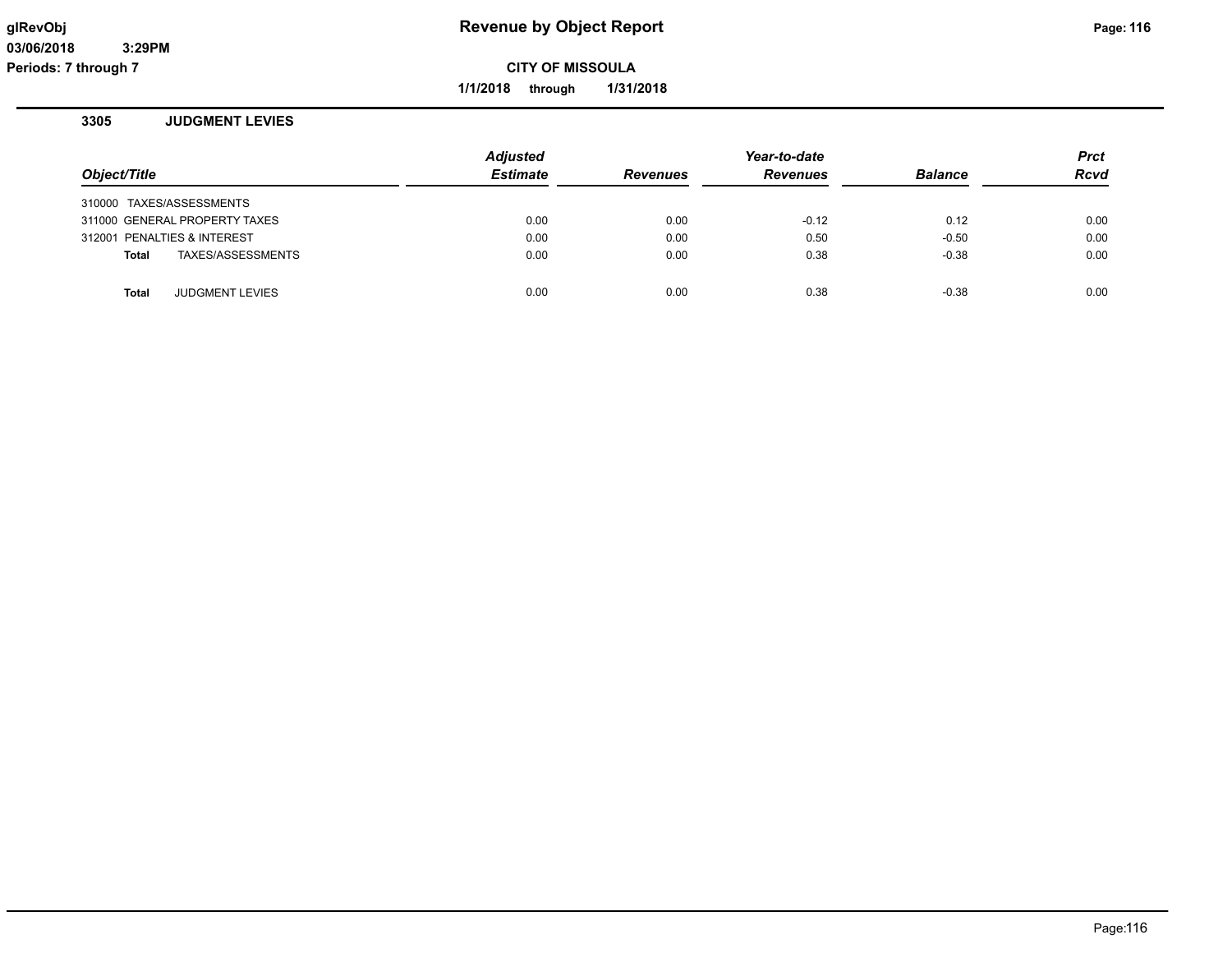**1/1/2018 through 1/31/2018**

#### **3305 JUDGMENT LEVIES**

| Object/Title |                               | <b>Adjusted</b><br><b>Estimate</b> | <b>Revenues</b> | Year-to-date<br><b>Revenues</b> | <b>Balance</b> | <b>Prct</b><br><b>Rcvd</b> |
|--------------|-------------------------------|------------------------------------|-----------------|---------------------------------|----------------|----------------------------|
|              | 310000 TAXES/ASSESSMENTS      |                                    |                 |                                 |                |                            |
|              | 311000 GENERAL PROPERTY TAXES | 0.00                               | 0.00            | $-0.12$                         | 0.12           | 0.00                       |
|              | 312001 PENALTIES & INTEREST   | 0.00                               | 0.00            | 0.50                            | $-0.50$        | 0.00                       |
| Total        | TAXES/ASSESSMENTS             | 0.00                               | 0.00            | 0.38                            | $-0.38$        | 0.00                       |
|              |                               |                                    |                 |                                 |                |                            |
| Total        | <b>JUDGMENT LEVIES</b>        | 0.00                               | 0.00            | 0.38                            | $-0.38$        | 0.00                       |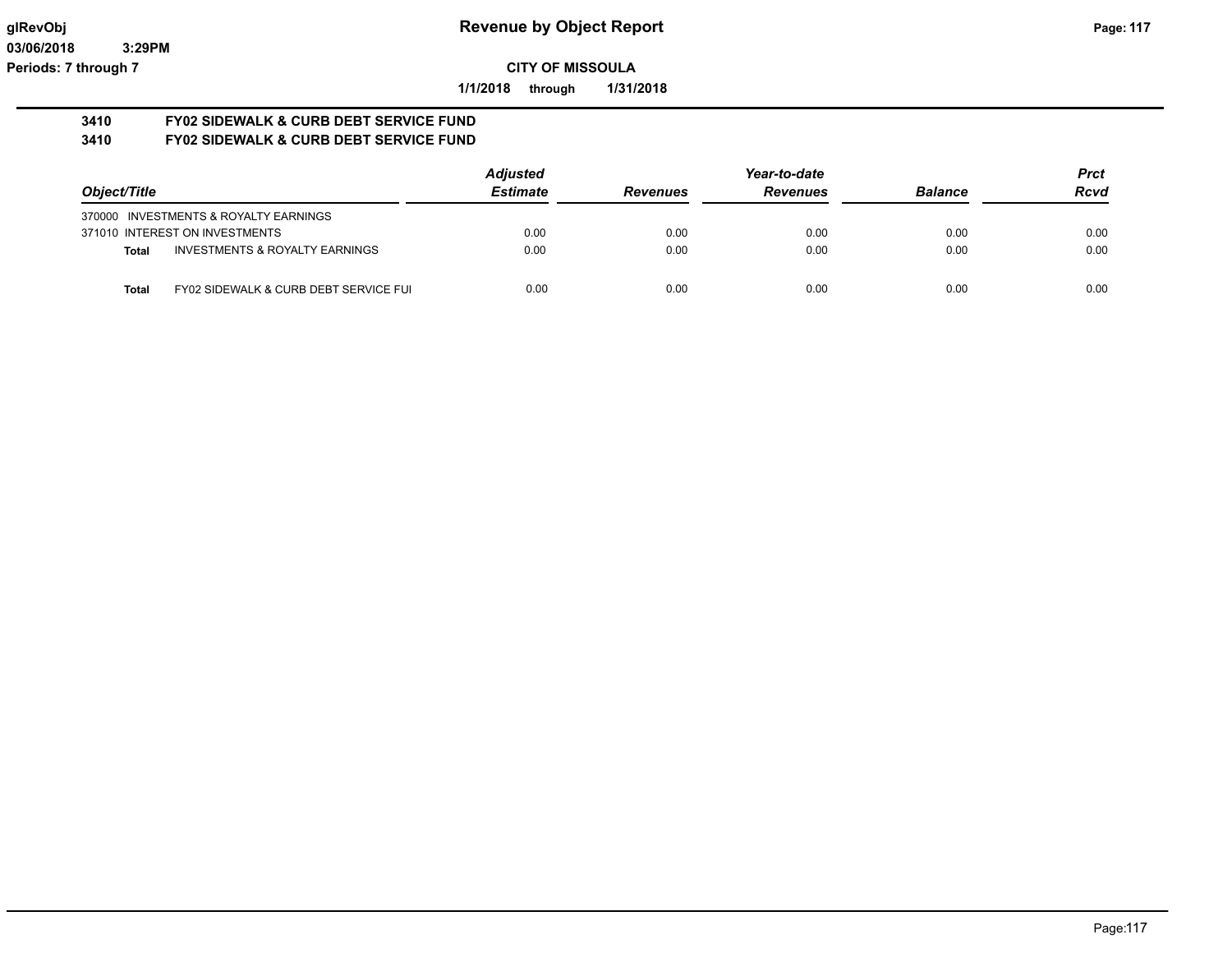**1/1/2018 through 1/31/2018**

#### **3410 FY02 SIDEWALK & CURB DEBT SERVICE FUND 3410 FY02 SIDEWALK & CURB DEBT SERVICE FUND**

|                                                           | <b>Adjusted</b> |                 | Year-to-date    |                | <b>Prct</b> |
|-----------------------------------------------------------|-----------------|-----------------|-----------------|----------------|-------------|
| Object/Title                                              | <b>Estimate</b> | <b>Revenues</b> | <b>Revenues</b> | <b>Balance</b> | <b>Rcvd</b> |
| 370000 INVESTMENTS & ROYALTY EARNINGS                     |                 |                 |                 |                |             |
| 371010 INTEREST ON INVESTMENTS                            | 0.00            | 0.00            | 0.00            | 0.00           | 0.00        |
| <b>INVESTMENTS &amp; ROYALTY EARNINGS</b><br><b>Total</b> | 0.00            | 0.00            | 0.00            | 0.00           | 0.00        |
| FY02 SIDEWALK & CURB DEBT SERVICE FUI<br><b>Total</b>     | 0.00            | 0.00            | 0.00            | 0.00           | 0.00        |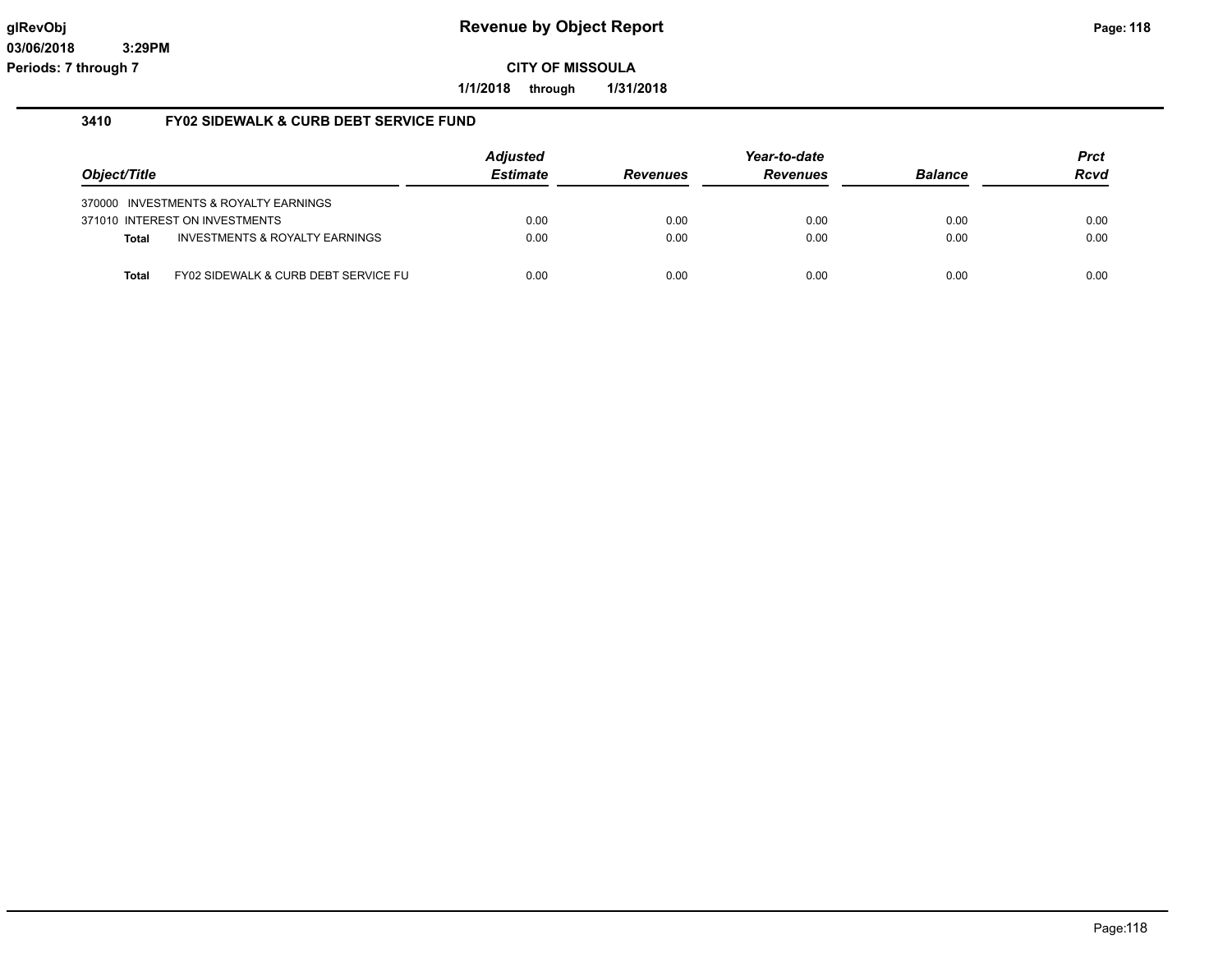**1/1/2018 through 1/31/2018**

#### **3410 FY02 SIDEWALK & CURB DEBT SERVICE FUND**

|              |                                           | <b>Adjusted</b> |                 | Year-to-date    |                | Prct |
|--------------|-------------------------------------------|-----------------|-----------------|-----------------|----------------|------|
| Object/Title |                                           | <b>Estimate</b> | <b>Revenues</b> | <b>Revenues</b> | <b>Balance</b> | Rcvd |
|              | 370000 INVESTMENTS & ROYALTY EARNINGS     |                 |                 |                 |                |      |
|              | 371010 INTEREST ON INVESTMENTS            | 0.00            | 0.00            | 0.00            | 0.00           | 0.00 |
| <b>Total</b> | <b>INVESTMENTS &amp; ROYALTY EARNINGS</b> | 0.00            | 0.00            | 0.00            | 0.00           | 0.00 |
| Total        | FY02 SIDEWALK & CURB DEBT SERVICE FU      | 0.00            | 0.00            | 0.00            | 0.00           | 0.00 |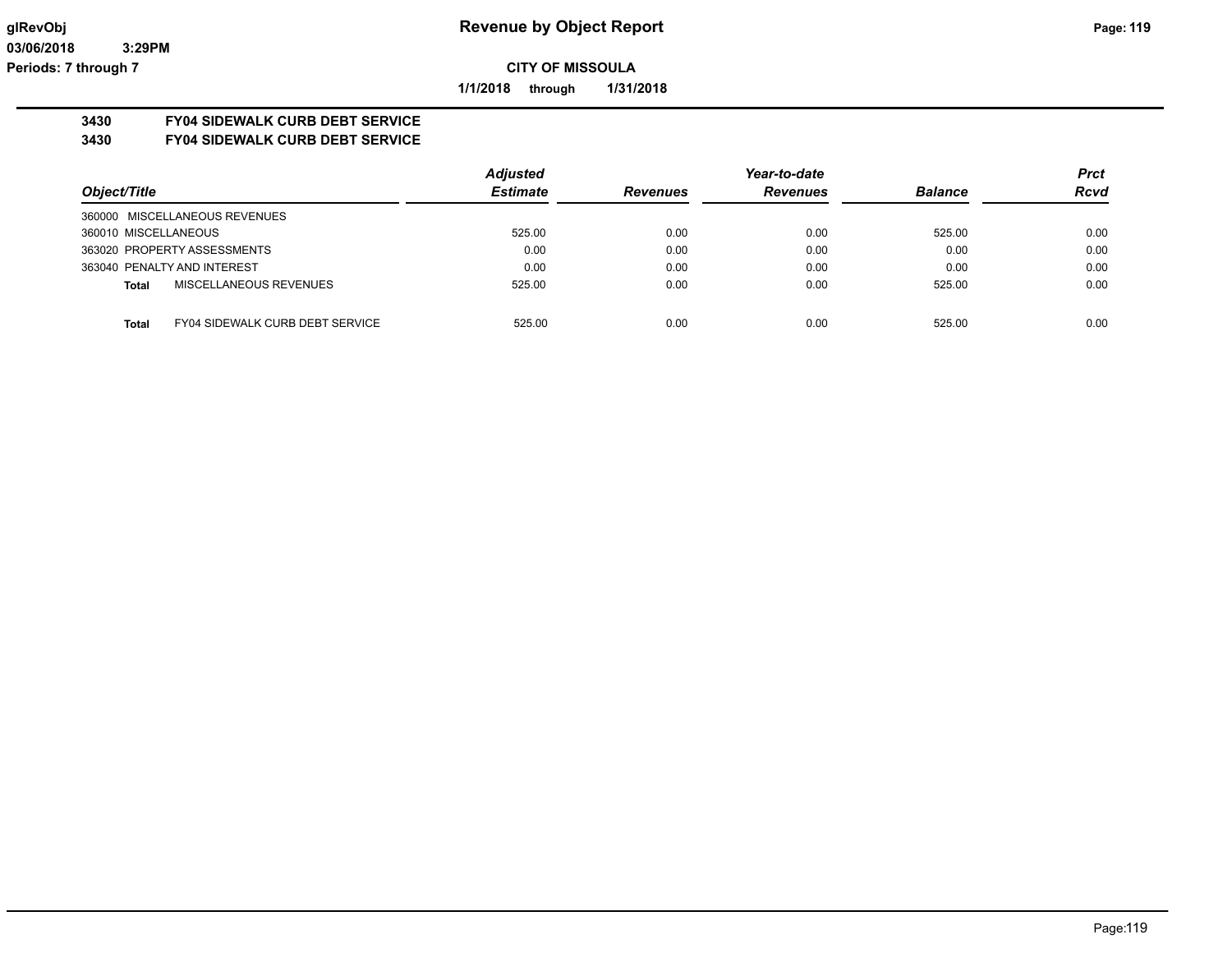**1/1/2018 through 1/31/2018**

# **3430 FY04 SIDEWALK CURB DEBT SERVICE**

#### **3430 FY04 SIDEWALK CURB DEBT SERVICE**

|                                                 | <b>Adjusted</b> |                 | Year-to-date    |                | <b>Prct</b> |
|-------------------------------------------------|-----------------|-----------------|-----------------|----------------|-------------|
| Object/Title                                    | <b>Estimate</b> | <b>Revenues</b> | <b>Revenues</b> | <b>Balance</b> | <b>Rcvd</b> |
| 360000 MISCELLANEOUS REVENUES                   |                 |                 |                 |                |             |
| 360010 MISCELLANEOUS                            | 525.00          | 0.00            | 0.00            | 525.00         | 0.00        |
| 363020 PROPERTY ASSESSMENTS                     | 0.00            | 0.00            | 0.00            | 0.00           | 0.00        |
| 363040 PENALTY AND INTEREST                     | 0.00            | 0.00            | 0.00            | 0.00           | 0.00        |
| MISCELLANEOUS REVENUES<br>Total                 | 525.00          | 0.00            | 0.00            | 525.00         | 0.00        |
|                                                 |                 |                 |                 |                |             |
| <b>FY04 SIDEWALK CURB DEBT SERVICE</b><br>Total | 525.00          | 0.00            | 0.00            | 525.00         | 0.00        |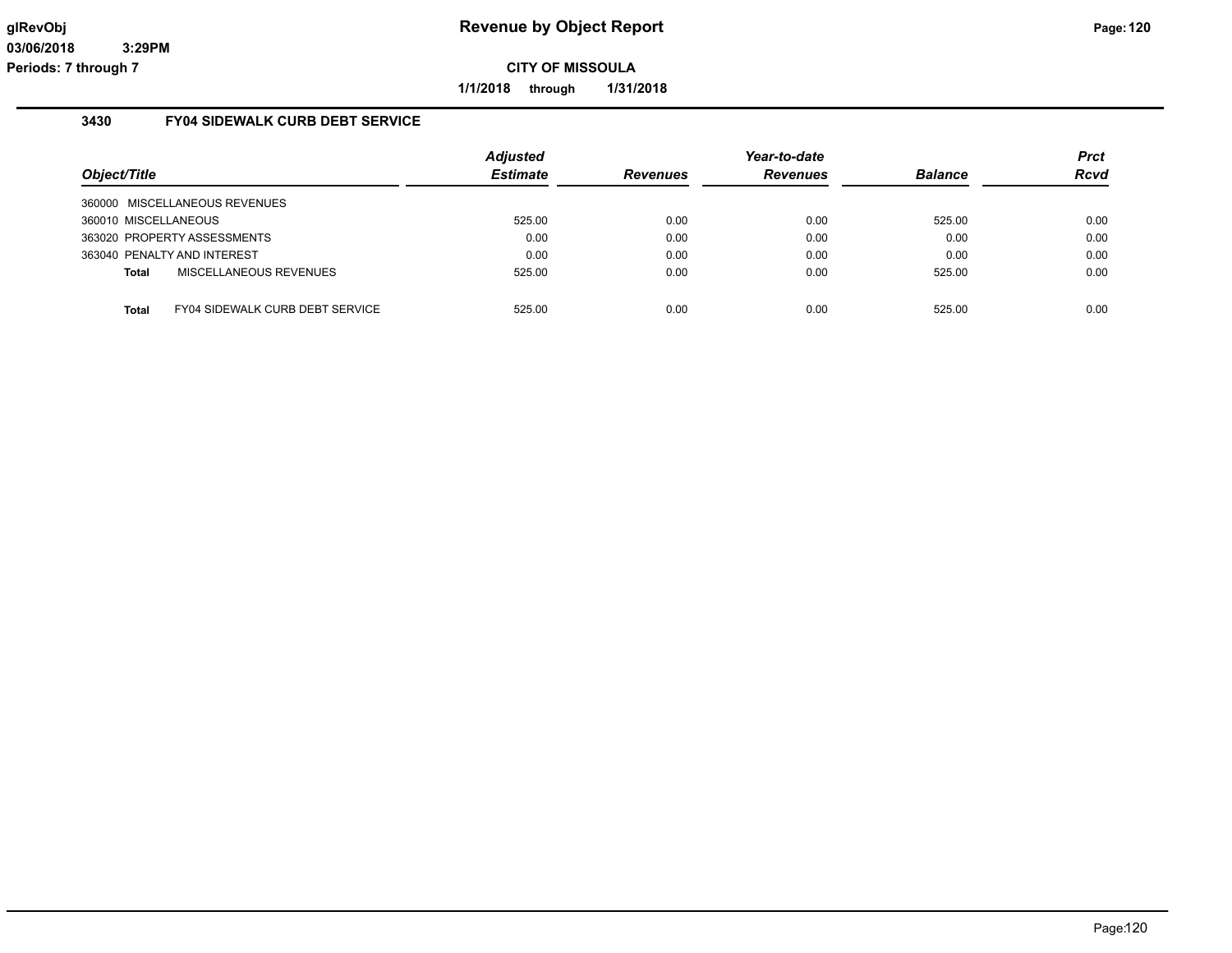**1/1/2018 through 1/31/2018**

#### **3430 FY04 SIDEWALK CURB DEBT SERVICE**

| Object/Title         |                                        | <b>Adjusted</b><br><b>Estimate</b> | <b>Revenues</b> | Year-to-date<br><b>Revenues</b> | <b>Balance</b> | <b>Prct</b><br><b>Rcvd</b> |
|----------------------|----------------------------------------|------------------------------------|-----------------|---------------------------------|----------------|----------------------------|
|                      | 360000 MISCELLANEOUS REVENUES          |                                    |                 |                                 |                |                            |
| 360010 MISCELLANEOUS |                                        | 525.00                             | 0.00            | 0.00                            | 525.00         | 0.00                       |
|                      | 363020 PROPERTY ASSESSMENTS            | 0.00                               | 0.00            | 0.00                            | 0.00           | 0.00                       |
|                      | 363040 PENALTY AND INTEREST            | 0.00                               | 0.00            | 0.00                            | 0.00           | 0.00                       |
| Total                | MISCELLANEOUS REVENUES                 | 525.00                             | 0.00            | 0.00                            | 525.00         | 0.00                       |
|                      |                                        |                                    |                 |                                 |                |                            |
| Total                | <b>FY04 SIDEWALK CURB DEBT SERVICE</b> | 525.00                             | 0.00            | 0.00                            | 525.00         | 0.00                       |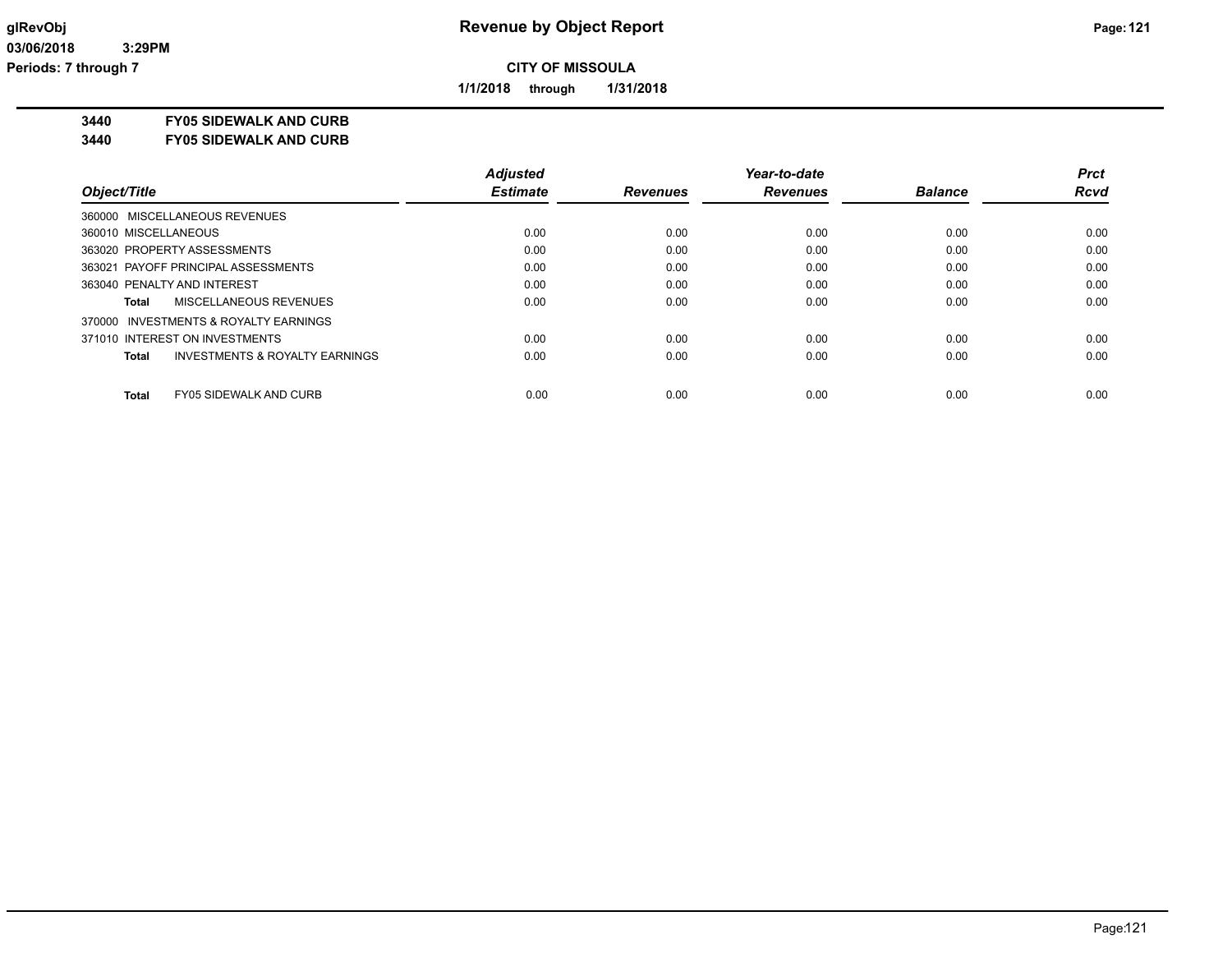**1/1/2018 through 1/31/2018**

**3440 FY05 SIDEWALK AND CURB**

**3440 FY05 SIDEWALK AND CURB**

|                                                    | <b>Adjusted</b> |                 | Year-to-date    |                | Prct        |
|----------------------------------------------------|-----------------|-----------------|-----------------|----------------|-------------|
| Object/Title                                       | <b>Estimate</b> | <b>Revenues</b> | <b>Revenues</b> | <b>Balance</b> | <b>Rcvd</b> |
| 360000 MISCELLANEOUS REVENUES                      |                 |                 |                 |                |             |
| 360010 MISCELLANEOUS                               | 0.00            | 0.00            | 0.00            | 0.00           | 0.00        |
| 363020 PROPERTY ASSESSMENTS                        | 0.00            | 0.00            | 0.00            | 0.00           | 0.00        |
| 363021 PAYOFF PRINCIPAL ASSESSMENTS                | 0.00            | 0.00            | 0.00            | 0.00           | 0.00        |
| 363040 PENALTY AND INTEREST                        | 0.00            | 0.00            | 0.00            | 0.00           | 0.00        |
| MISCELLANEOUS REVENUES<br>Total                    | 0.00            | 0.00            | 0.00            | 0.00           | 0.00        |
| 370000 INVESTMENTS & ROYALTY EARNINGS              |                 |                 |                 |                |             |
| 371010 INTEREST ON INVESTMENTS                     | 0.00            | 0.00            | 0.00            | 0.00           | 0.00        |
| <b>INVESTMENTS &amp; ROYALTY EARNINGS</b><br>Total | 0.00            | 0.00            | 0.00            | 0.00           | 0.00        |
| <b>Total</b><br><b>FY05 SIDEWALK AND CURB</b>      | 0.00            | 0.00            | 0.00            | 0.00           | 0.00        |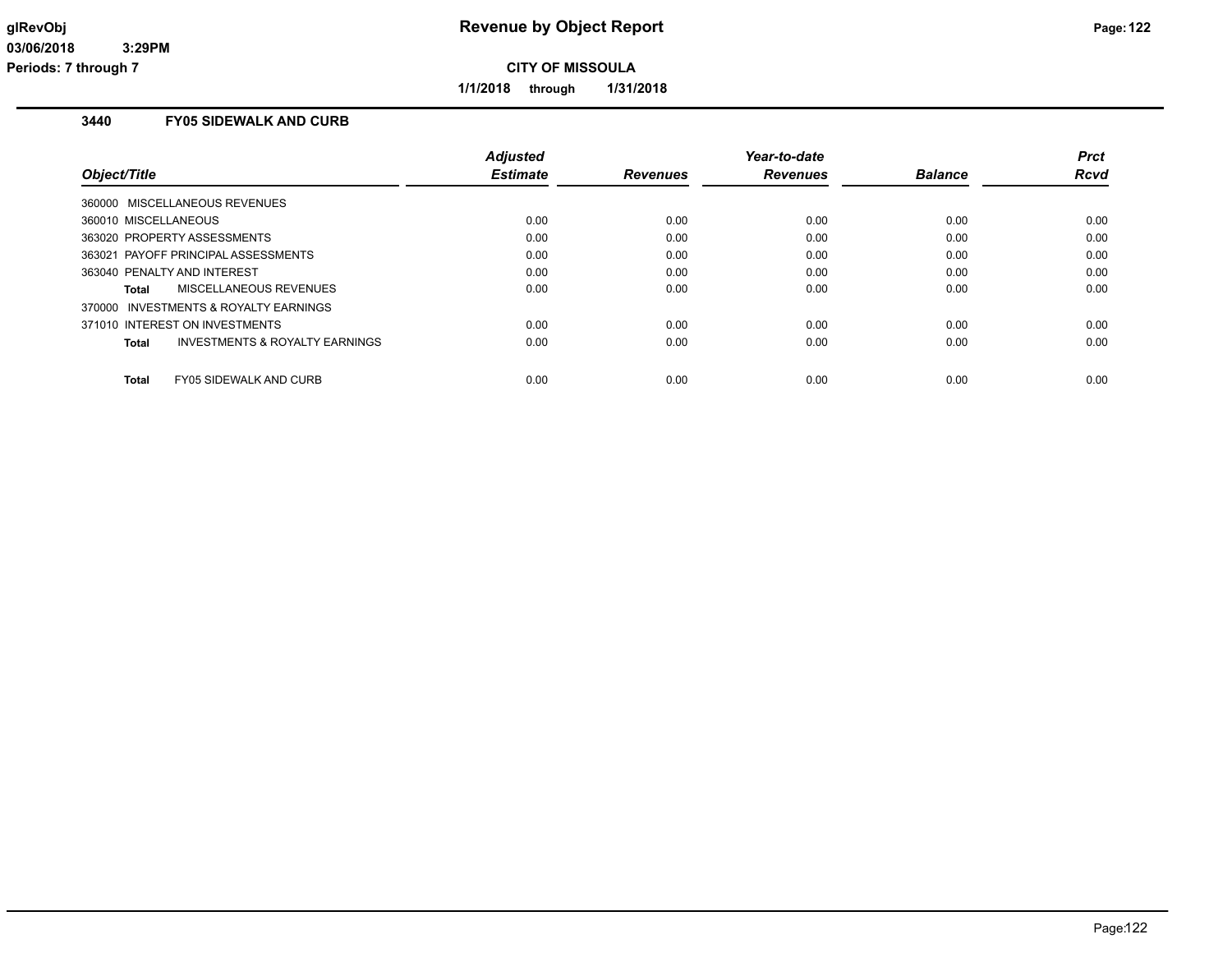**1/1/2018 through 1/31/2018**

# **3440 FY05 SIDEWALK AND CURB**

| Object/Title                                       | <b>Adjusted</b><br><b>Estimate</b> | <b>Revenues</b> | Year-to-date<br><b>Revenues</b> | <b>Balance</b> | <b>Prct</b><br><b>Rcvd</b> |
|----------------------------------------------------|------------------------------------|-----------------|---------------------------------|----------------|----------------------------|
| 360000 MISCELLANEOUS REVENUES                      |                                    |                 |                                 |                |                            |
| 360010 MISCELLANEOUS                               | 0.00                               | 0.00            | 0.00                            | 0.00           | 0.00                       |
| 363020 PROPERTY ASSESSMENTS                        | 0.00                               | 0.00            | 0.00                            | 0.00           | 0.00                       |
| 363021 PAYOFF PRINCIPAL ASSESSMENTS                | 0.00                               | 0.00            | 0.00                            | 0.00           | 0.00                       |
| 363040 PENALTY AND INTEREST                        | 0.00                               | 0.00            | 0.00                            | 0.00           | 0.00                       |
| MISCELLANEOUS REVENUES<br>Total                    | 0.00                               | 0.00            | 0.00                            | 0.00           | 0.00                       |
| 370000 INVESTMENTS & ROYALTY EARNINGS              |                                    |                 |                                 |                |                            |
| 371010 INTEREST ON INVESTMENTS                     | 0.00                               | 0.00            | 0.00                            | 0.00           | 0.00                       |
| <b>INVESTMENTS &amp; ROYALTY EARNINGS</b><br>Total | 0.00                               | 0.00            | 0.00                            | 0.00           | 0.00                       |
|                                                    |                                    |                 |                                 |                |                            |
| <b>FY05 SIDEWALK AND CURB</b><br>Total             | 0.00                               | 0.00            | 0.00                            | 0.00           | 0.00                       |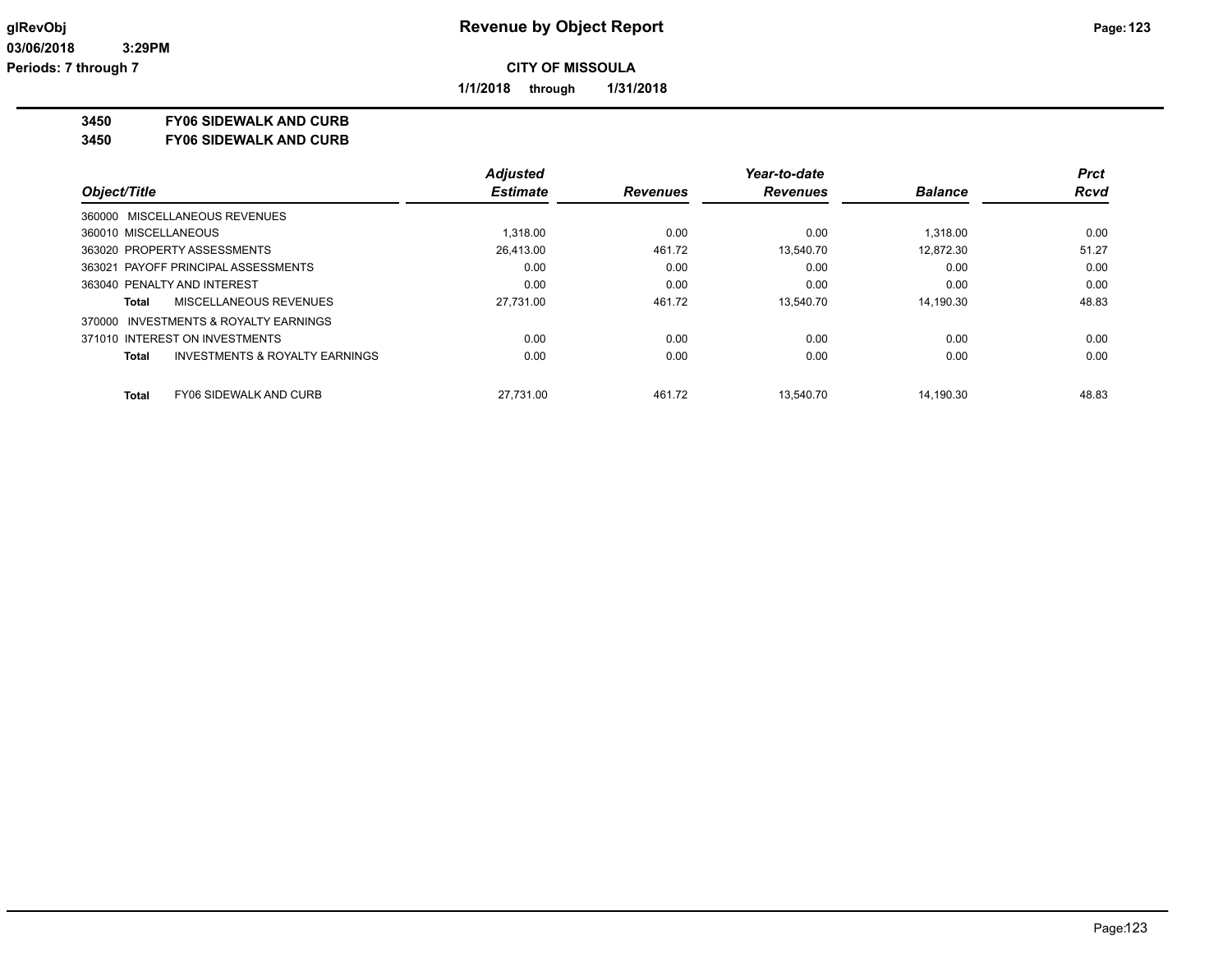**1/1/2018 through 1/31/2018**

**3450 FY06 SIDEWALK AND CURB**

**3450 FY06 SIDEWALK AND CURB**

|                                                           | <b>Adjusted</b> |                 | Year-to-date    |                | <b>Prct</b> |
|-----------------------------------------------------------|-----------------|-----------------|-----------------|----------------|-------------|
| Object/Title                                              | <b>Estimate</b> | <b>Revenues</b> | <b>Revenues</b> | <b>Balance</b> | <b>Rcvd</b> |
| 360000 MISCELLANEOUS REVENUES                             |                 |                 |                 |                |             |
| 360010 MISCELLANEOUS                                      | 1.318.00        | 0.00            | 0.00            | 1.318.00       | 0.00        |
| 363020 PROPERTY ASSESSMENTS                               | 26,413.00       | 461.72          | 13.540.70       | 12.872.30      | 51.27       |
| 363021 PAYOFF PRINCIPAL ASSESSMENTS                       | 0.00            | 0.00            | 0.00            | 0.00           | 0.00        |
| 363040 PENALTY AND INTEREST                               | 0.00            | 0.00            | 0.00            | 0.00           | 0.00        |
| MISCELLANEOUS REVENUES<br>Total                           | 27.731.00       | 461.72          | 13.540.70       | 14.190.30      | 48.83       |
| 370000 INVESTMENTS & ROYALTY EARNINGS                     |                 |                 |                 |                |             |
| 371010 INTEREST ON INVESTMENTS                            | 0.00            | 0.00            | 0.00            | 0.00           | 0.00        |
| <b>INVESTMENTS &amp; ROYALTY EARNINGS</b><br><b>Total</b> | 0.00            | 0.00            | 0.00            | 0.00           | 0.00        |
| <b>FY06 SIDEWALK AND CURB</b><br><b>Total</b>             | 27.731.00       | 461.72          | 13.540.70       | 14.190.30      | 48.83       |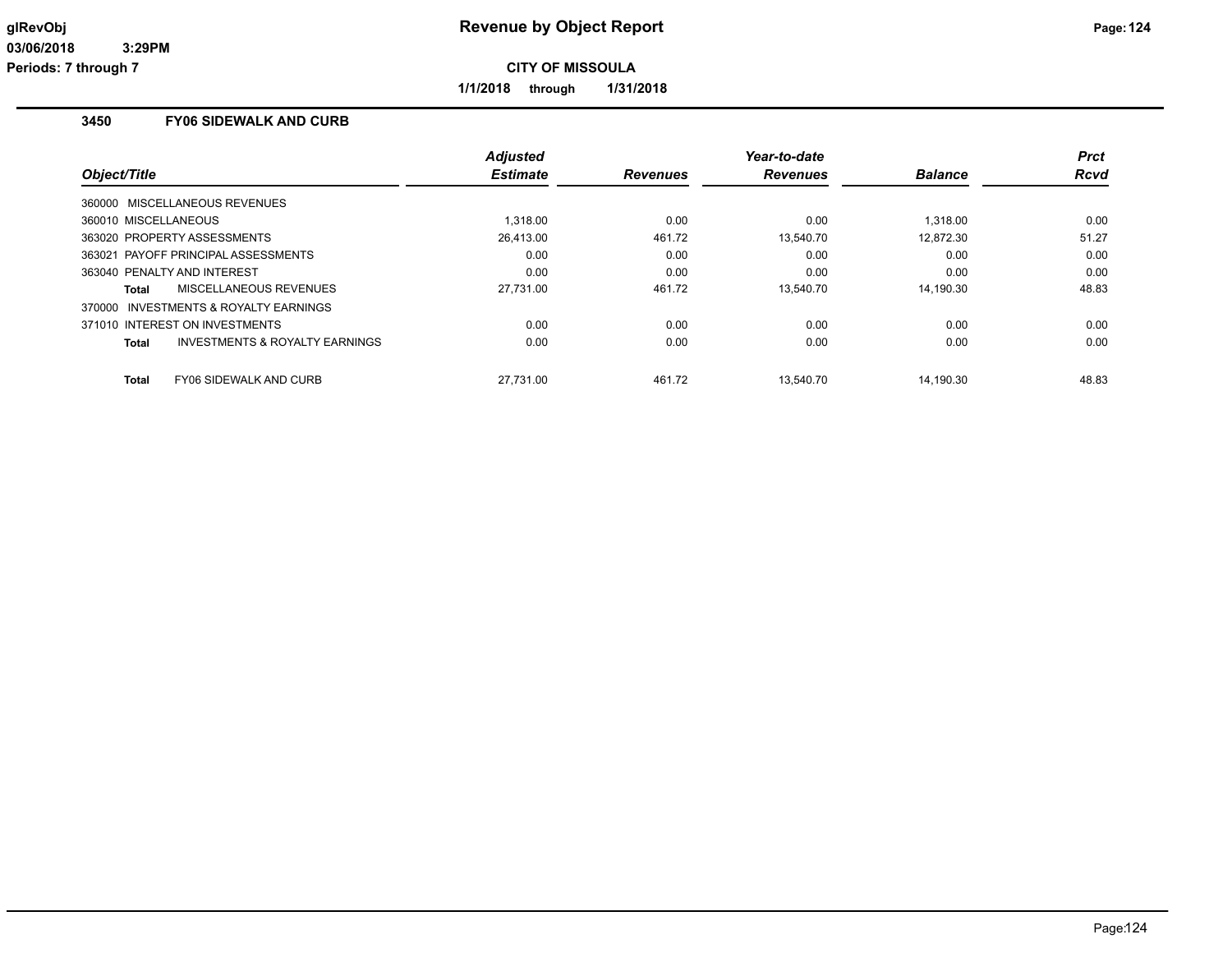**1/1/2018 through 1/31/2018**

# **3450 FY06 SIDEWALK AND CURB**

| Object/Title                                       | <b>Adjusted</b><br><b>Estimate</b> | <b>Revenues</b> | Year-to-date<br><b>Revenues</b> | <b>Balance</b> | <b>Prct</b><br>Rcvd |
|----------------------------------------------------|------------------------------------|-----------------|---------------------------------|----------------|---------------------|
| 360000 MISCELLANEOUS REVENUES                      |                                    |                 |                                 |                |                     |
| 360010 MISCELLANEOUS                               | 1.318.00                           | 0.00            | 0.00                            | 1.318.00       | 0.00                |
| 363020 PROPERTY ASSESSMENTS                        | 26.413.00                          | 461.72          | 13.540.70                       | 12.872.30      | 51.27               |
| 363021 PAYOFF PRINCIPAL ASSESSMENTS                | 0.00                               | 0.00            | 0.00                            | 0.00           | 0.00                |
| 363040 PENALTY AND INTEREST                        | 0.00                               | 0.00            | 0.00                            | 0.00           | 0.00                |
| <b>MISCELLANEOUS REVENUES</b><br>Total             | 27,731.00                          | 461.72          | 13,540.70                       | 14.190.30      | 48.83               |
| 370000 INVESTMENTS & ROYALTY EARNINGS              |                                    |                 |                                 |                |                     |
| 371010 INTEREST ON INVESTMENTS                     | 0.00                               | 0.00            | 0.00                            | 0.00           | 0.00                |
| <b>INVESTMENTS &amp; ROYALTY EARNINGS</b><br>Total | 0.00                               | 0.00            | 0.00                            | 0.00           | 0.00                |
| <b>FY06 SIDEWALK AND CURB</b><br>Total             | 27.731.00                          | 461.72          | 13.540.70                       | 14.190.30      | 48.83               |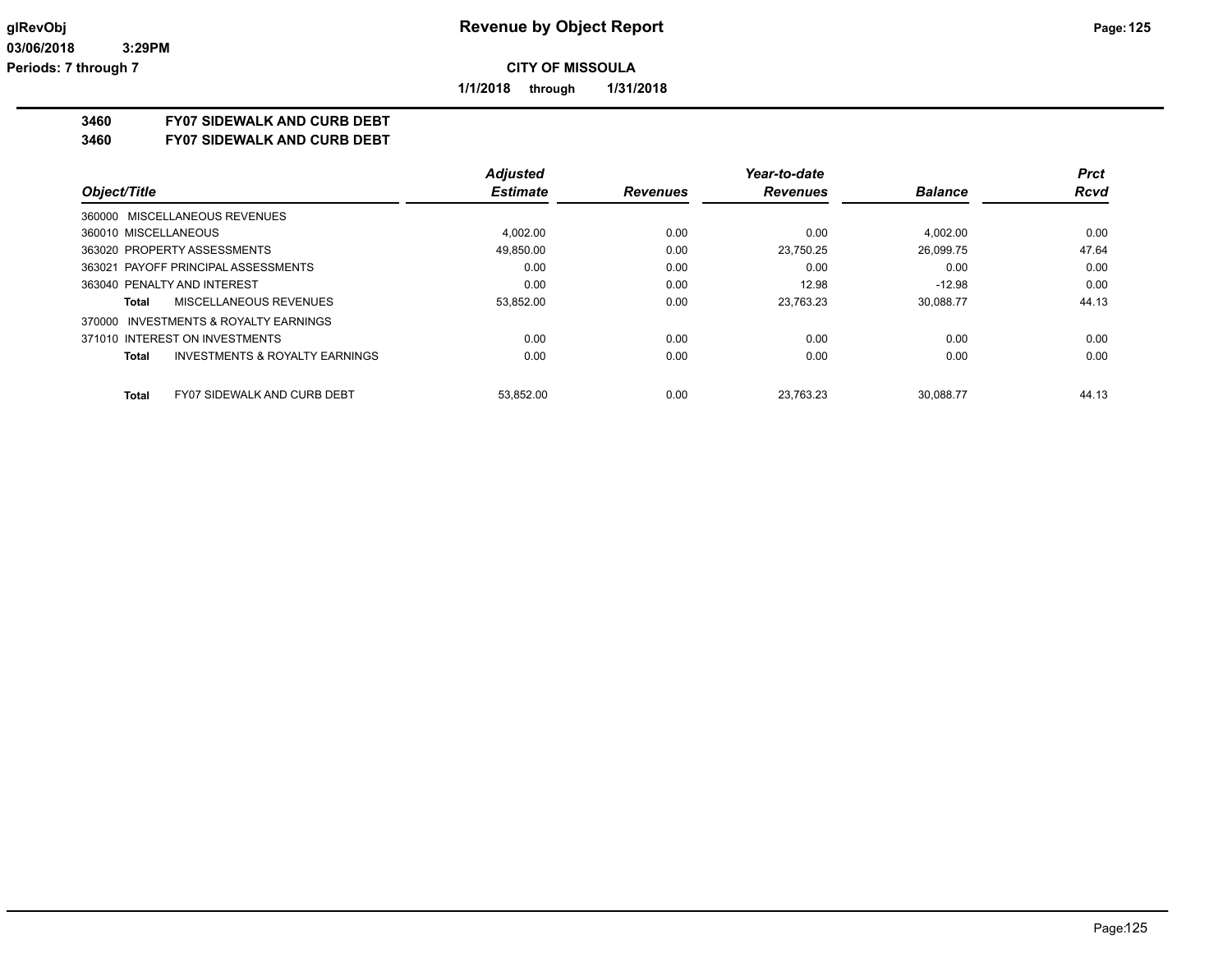**1/1/2018 through 1/31/2018**

## **3460 FY07 SIDEWALK AND CURB DEBT**

**3460 FY07 SIDEWALK AND CURB DEBT**

|                                                    | <b>Adjusted</b> |                 | Year-to-date    |                | Prct        |
|----------------------------------------------------|-----------------|-----------------|-----------------|----------------|-------------|
| Object/Title                                       | <b>Estimate</b> | <b>Revenues</b> | <b>Revenues</b> | <b>Balance</b> | <b>Rcvd</b> |
| 360000 MISCELLANEOUS REVENUES                      |                 |                 |                 |                |             |
| 360010 MISCELLANEOUS                               | 4.002.00        | 0.00            | 0.00            | 4.002.00       | 0.00        |
| 363020 PROPERTY ASSESSMENTS                        | 49.850.00       | 0.00            | 23.750.25       | 26.099.75      | 47.64       |
| 363021 PAYOFF PRINCIPAL ASSESSMENTS                | 0.00            | 0.00            | 0.00            | 0.00           | 0.00        |
| 363040 PENALTY AND INTEREST                        | 0.00            | 0.00            | 12.98           | $-12.98$       | 0.00        |
| MISCELLANEOUS REVENUES<br>Total                    | 53,852.00       | 0.00            | 23.763.23       | 30.088.77      | 44.13       |
| 370000 INVESTMENTS & ROYALTY EARNINGS              |                 |                 |                 |                |             |
| 371010 INTEREST ON INVESTMENTS                     | 0.00            | 0.00            | 0.00            | 0.00           | 0.00        |
| <b>INVESTMENTS &amp; ROYALTY EARNINGS</b><br>Total | 0.00            | 0.00            | 0.00            | 0.00           | 0.00        |
| <b>FY07 SIDEWALK AND CURB DEBT</b><br><b>Total</b> | 53.852.00       | 0.00            | 23.763.23       | 30.088.77      | 44.13       |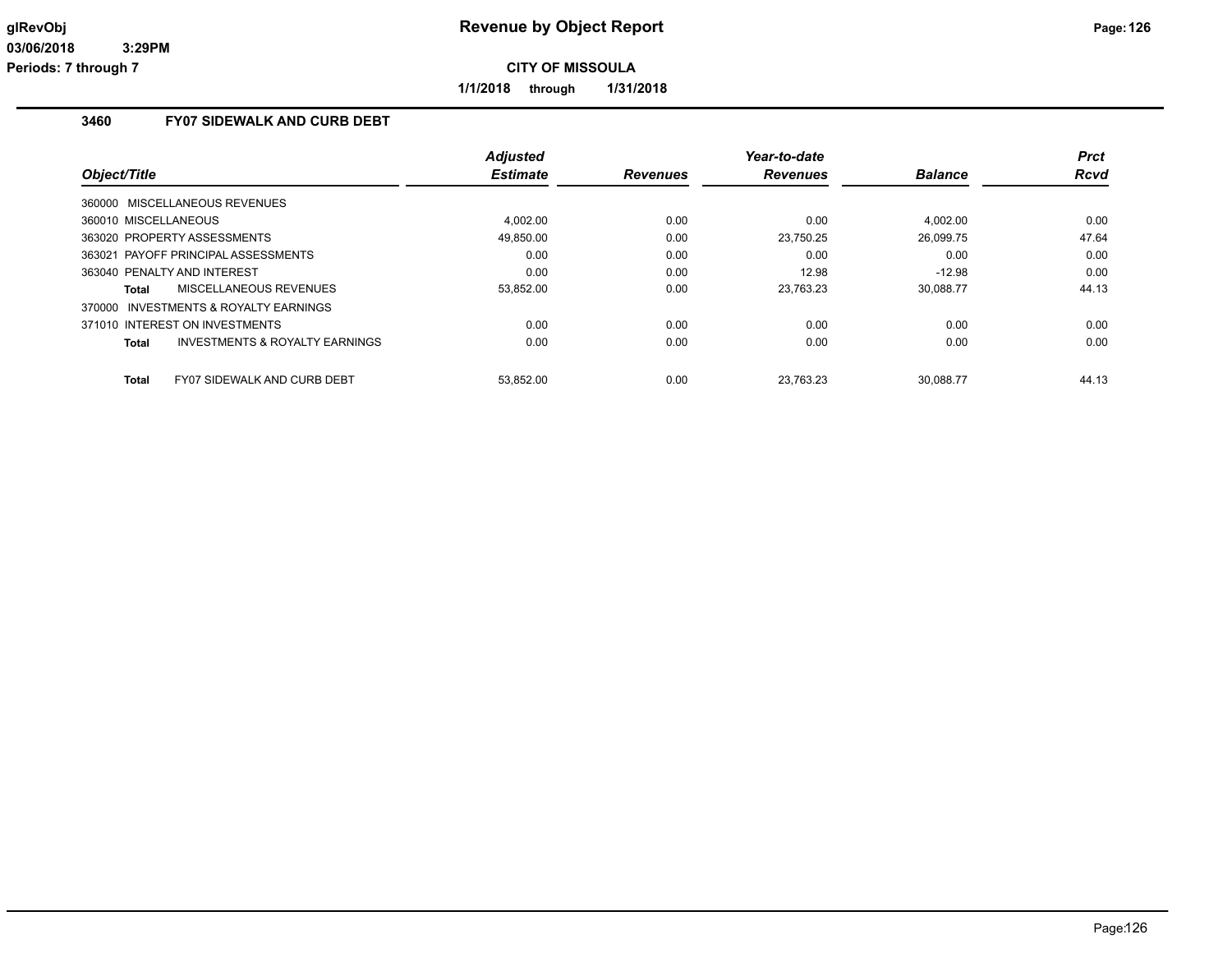**1/1/2018 through 1/31/2018**

# **3460 FY07 SIDEWALK AND CURB DEBT**

| Object/Title                                       | <b>Adjusted</b><br><b>Estimate</b> | <b>Revenues</b> | Year-to-date<br><b>Revenues</b> | <b>Balance</b> | <b>Prct</b><br><b>Rcvd</b> |
|----------------------------------------------------|------------------------------------|-----------------|---------------------------------|----------------|----------------------------|
| 360000 MISCELLANEOUS REVENUES                      |                                    |                 |                                 |                |                            |
| 360010 MISCELLANEOUS                               | 4.002.00                           | 0.00            | 0.00                            | 4.002.00       | 0.00                       |
| 363020 PROPERTY ASSESSMENTS                        | 49,850.00                          | 0.00            | 23,750.25                       | 26,099.75      | 47.64                      |
| 363021 PAYOFF PRINCIPAL ASSESSMENTS                | 0.00                               | 0.00            | 0.00                            | 0.00           | 0.00                       |
| 363040 PENALTY AND INTEREST                        | 0.00                               | 0.00            | 12.98                           | $-12.98$       | 0.00                       |
| MISCELLANEOUS REVENUES<br>Total                    | 53,852.00                          | 0.00            | 23,763.23                       | 30.088.77      | 44.13                      |
| 370000 INVESTMENTS & ROYALTY EARNINGS              |                                    |                 |                                 |                |                            |
| 371010 INTEREST ON INVESTMENTS                     | 0.00                               | 0.00            | 0.00                            | 0.00           | 0.00                       |
| <b>INVESTMENTS &amp; ROYALTY EARNINGS</b><br>Total | 0.00                               | 0.00            | 0.00                            | 0.00           | 0.00                       |
|                                                    |                                    |                 |                                 |                |                            |
| <b>FY07 SIDEWALK AND CURB DEBT</b><br>Total        | 53.852.00                          | 0.00            | 23.763.23                       | 30.088.77      | 44.13                      |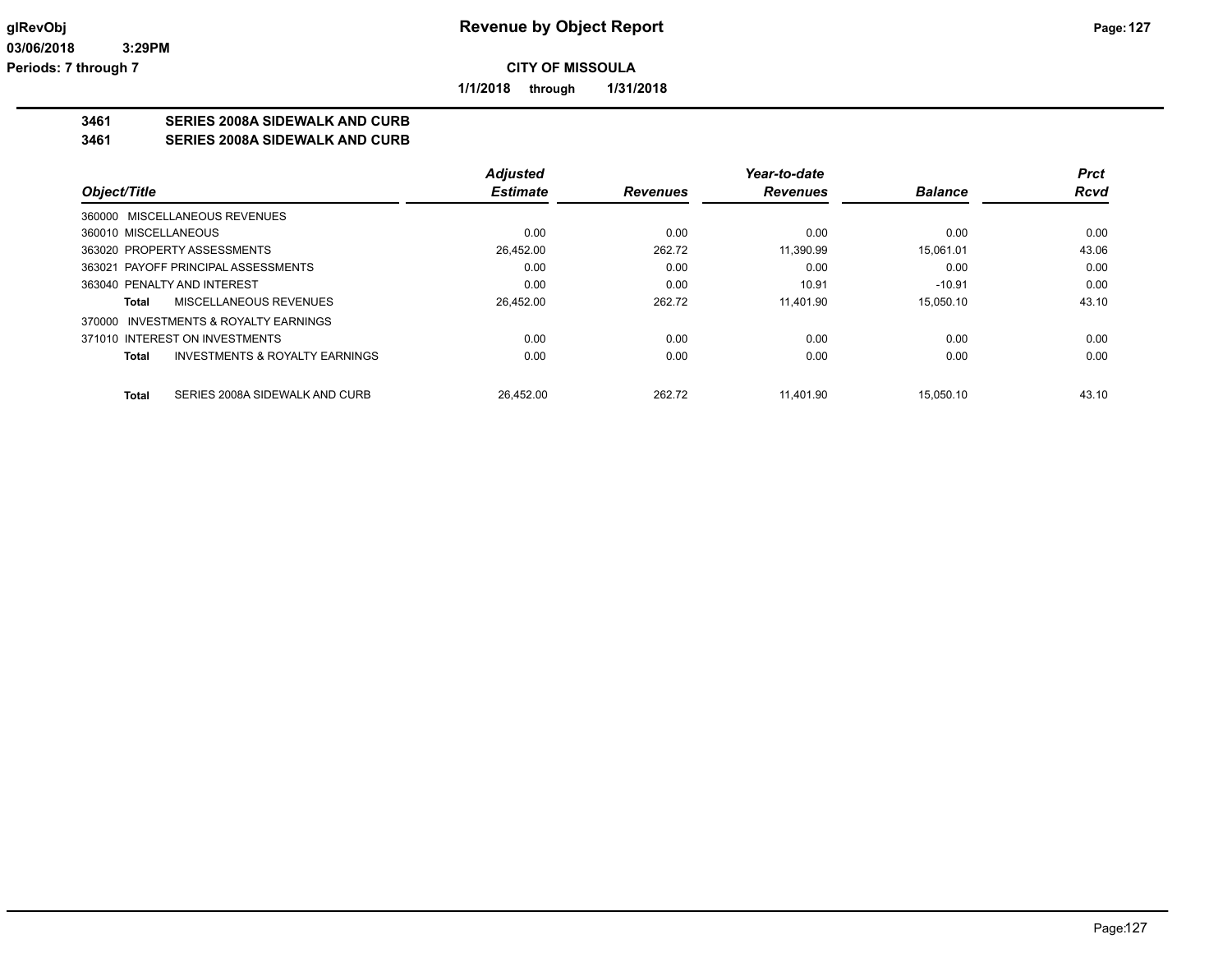**1/1/2018 through 1/31/2018**

# **3461 SERIES 2008A SIDEWALK AND CURB**

**3461 SERIES 2008A SIDEWALK AND CURB**

|                                                           | <b>Adjusted</b> |                 | Year-to-date    |                | Prct        |
|-----------------------------------------------------------|-----------------|-----------------|-----------------|----------------|-------------|
| Object/Title                                              | <b>Estimate</b> | <b>Revenues</b> | <b>Revenues</b> | <b>Balance</b> | <b>Rcvd</b> |
| 360000 MISCELLANEOUS REVENUES                             |                 |                 |                 |                |             |
| 360010 MISCELLANEOUS                                      | 0.00            | 0.00            | 0.00            | 0.00           | 0.00        |
| 363020 PROPERTY ASSESSMENTS                               | 26.452.00       | 262.72          | 11.390.99       | 15.061.01      | 43.06       |
| 363021 PAYOFF PRINCIPAL ASSESSMENTS                       | 0.00            | 0.00            | 0.00            | 0.00           | 0.00        |
| 363040 PENALTY AND INTEREST                               | 0.00            | 0.00            | 10.91           | $-10.91$       | 0.00        |
| MISCELLANEOUS REVENUES<br>Total                           | 26,452.00       | 262.72          | 11.401.90       | 15.050.10      | 43.10       |
| 370000 INVESTMENTS & ROYALTY EARNINGS                     |                 |                 |                 |                |             |
| 371010 INTEREST ON INVESTMENTS                            | 0.00            | 0.00            | 0.00            | 0.00           | 0.00        |
| <b>INVESTMENTS &amp; ROYALTY EARNINGS</b><br><b>Total</b> | 0.00            | 0.00            | 0.00            | 0.00           | 0.00        |
| SERIES 2008A SIDEWALK AND CURB<br><b>Total</b>            | 26.452.00       | 262.72          | 11.401.90       | 15.050.10      | 43.10       |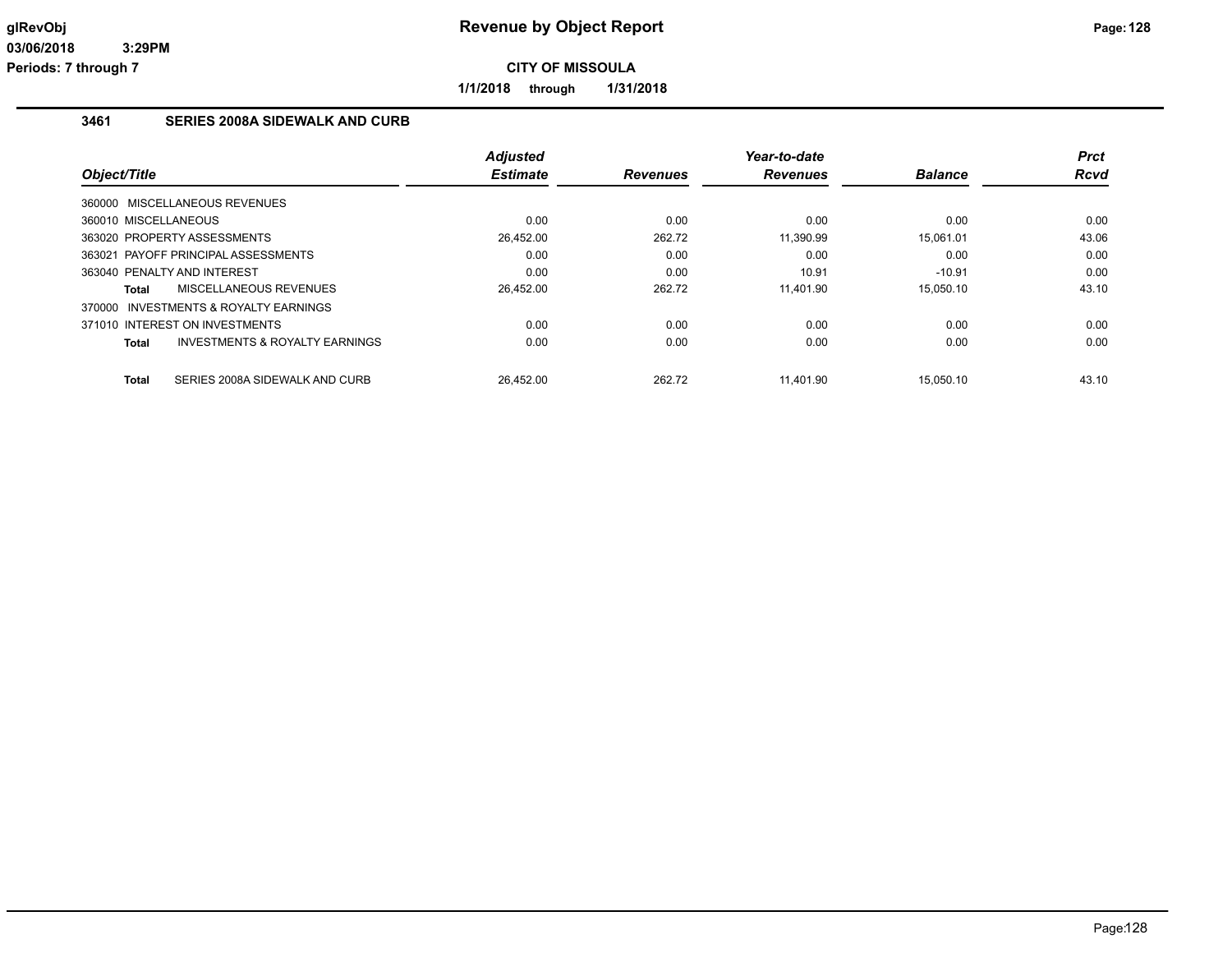**1/1/2018 through 1/31/2018**

#### **3461 SERIES 2008A SIDEWALK AND CURB**

| Object/Title                                              | <b>Adjusted</b><br><b>Estimate</b> | <b>Revenues</b> | Year-to-date<br><b>Revenues</b> | <b>Balance</b> | Prct<br><b>Rcvd</b> |
|-----------------------------------------------------------|------------------------------------|-----------------|---------------------------------|----------------|---------------------|
| 360000 MISCELLANEOUS REVENUES                             |                                    |                 |                                 |                |                     |
| 360010 MISCELLANEOUS                                      | 0.00                               | 0.00            | 0.00                            | 0.00           | 0.00                |
| 363020 PROPERTY ASSESSMENTS                               | 26,452.00                          | 262.72          | 11,390.99                       | 15.061.01      | 43.06               |
| 363021 PAYOFF PRINCIPAL ASSESSMENTS                       | 0.00                               | 0.00            | 0.00                            | 0.00           | 0.00                |
| 363040 PENALTY AND INTEREST                               | 0.00                               | 0.00            | 10.91                           | $-10.91$       | 0.00                |
| <b>MISCELLANEOUS REVENUES</b><br>Total                    | 26,452.00                          | 262.72          | 11.401.90                       | 15.050.10      | 43.10               |
| 370000 INVESTMENTS & ROYALTY EARNINGS                     |                                    |                 |                                 |                |                     |
| 371010 INTEREST ON INVESTMENTS                            | 0.00                               | 0.00            | 0.00                            | 0.00           | 0.00                |
| <b>INVESTMENTS &amp; ROYALTY EARNINGS</b><br><b>Total</b> | 0.00                               | 0.00            | 0.00                            | 0.00           | 0.00                |
| SERIES 2008A SIDEWALK AND CURB<br><b>Total</b>            | 26.452.00                          | 262.72          | 11.401.90                       | 15.050.10      | 43.10               |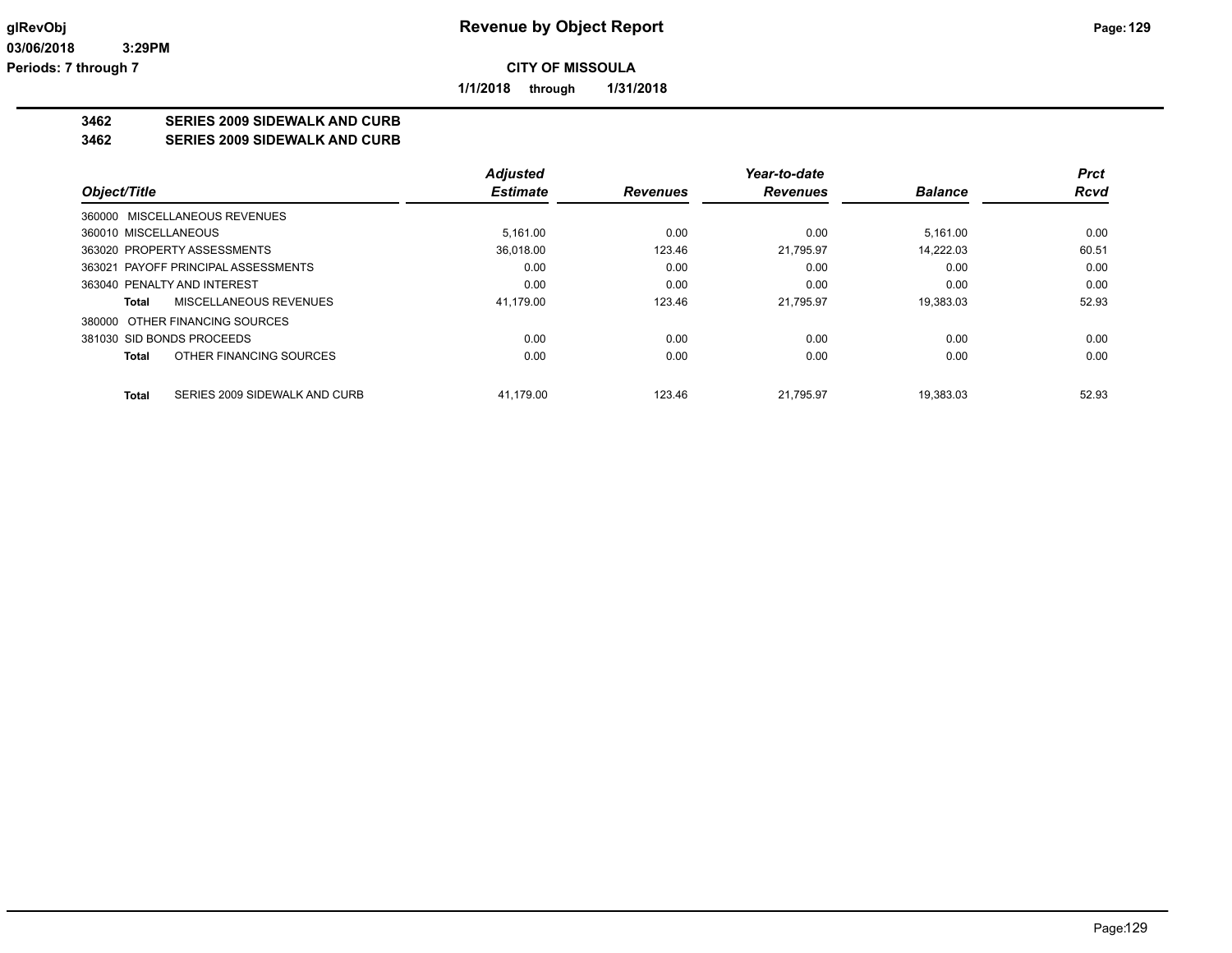**1/1/2018 through 1/31/2018**

# **3462 SERIES 2009 SIDEWALK AND CURB**

**3462 SERIES 2009 SIDEWALK AND CURB**

|                                        | <b>Adjusted</b> |                 | Year-to-date    |                | Prct        |
|----------------------------------------|-----------------|-----------------|-----------------|----------------|-------------|
| Object/Title                           | <b>Estimate</b> | <b>Revenues</b> | <b>Revenues</b> | <b>Balance</b> | <b>Rcvd</b> |
| 360000 MISCELLANEOUS REVENUES          |                 |                 |                 |                |             |
| 360010 MISCELLANEOUS                   | 5.161.00        | 0.00            | 0.00            | 5.161.00       | 0.00        |
| 363020 PROPERTY ASSESSMENTS            | 36.018.00       | 123.46          | 21.795.97       | 14.222.03      | 60.51       |
| 363021 PAYOFF PRINCIPAL ASSESSMENTS    | 0.00            | 0.00            | 0.00            | 0.00           | 0.00        |
| 363040 PENALTY AND INTEREST            | 0.00            | 0.00            | 0.00            | 0.00           | 0.00        |
| MISCELLANEOUS REVENUES<br>Total        | 41.179.00       | 123.46          | 21.795.97       | 19.383.03      | 52.93       |
| 380000 OTHER FINANCING SOURCES         |                 |                 |                 |                |             |
| 381030 SID BONDS PROCEEDS              | 0.00            | 0.00            | 0.00            | 0.00           | 0.00        |
| OTHER FINANCING SOURCES<br>Total       | 0.00            | 0.00            | 0.00            | 0.00           | 0.00        |
| Total<br>SERIES 2009 SIDEWALK AND CURB | 41.179.00       | 123.46          | 21.795.97       | 19.383.03      | 52.93       |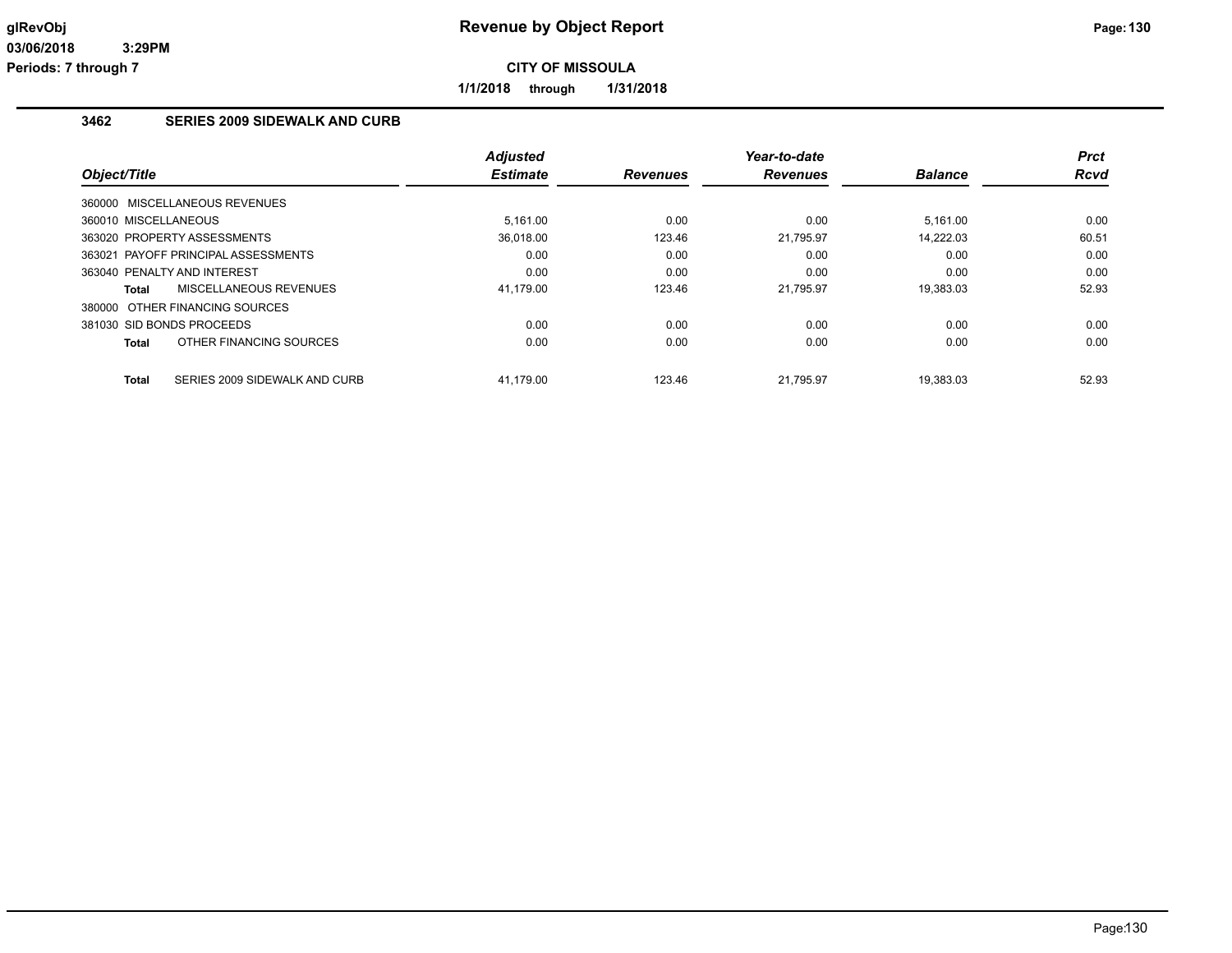**1/1/2018 through 1/31/2018**

# **3462 SERIES 2009 SIDEWALK AND CURB**

| Object/Title                   |                                     | <b>Adjusted</b><br><b>Estimate</b> | <b>Revenues</b> | Year-to-date<br><b>Revenues</b> | <b>Balance</b> | <b>Prct</b><br>Rcvd |
|--------------------------------|-------------------------------------|------------------------------------|-----------------|---------------------------------|----------------|---------------------|
| 360000 MISCELLANEOUS REVENUES  |                                     |                                    |                 |                                 |                |                     |
| 360010 MISCELLANEOUS           |                                     | 5.161.00                           | 0.00            | 0.00                            | 5.161.00       | 0.00                |
| 363020 PROPERTY ASSESSMENTS    |                                     | 36,018.00                          | 123.46          | 21,795.97                       | 14.222.03      | 60.51               |
|                                | 363021 PAYOFF PRINCIPAL ASSESSMENTS | 0.00                               | 0.00            | 0.00                            | 0.00           | 0.00                |
| 363040 PENALTY AND INTEREST    |                                     | 0.00                               | 0.00            | 0.00                            | 0.00           | 0.00                |
| Total                          | <b>MISCELLANEOUS REVENUES</b>       | 41.179.00                          | 123.46          | 21,795.97                       | 19.383.03      | 52.93               |
| 380000 OTHER FINANCING SOURCES |                                     |                                    |                 |                                 |                |                     |
| 381030 SID BONDS PROCEEDS      |                                     | 0.00                               | 0.00            | 0.00                            | 0.00           | 0.00                |
| Total                          | OTHER FINANCING SOURCES             | 0.00                               | 0.00            | 0.00                            | 0.00           | 0.00                |
| <b>Total</b>                   | SERIES 2009 SIDEWALK AND CURB       | 41.179.00                          | 123.46          | 21.795.97                       | 19.383.03      | 52.93               |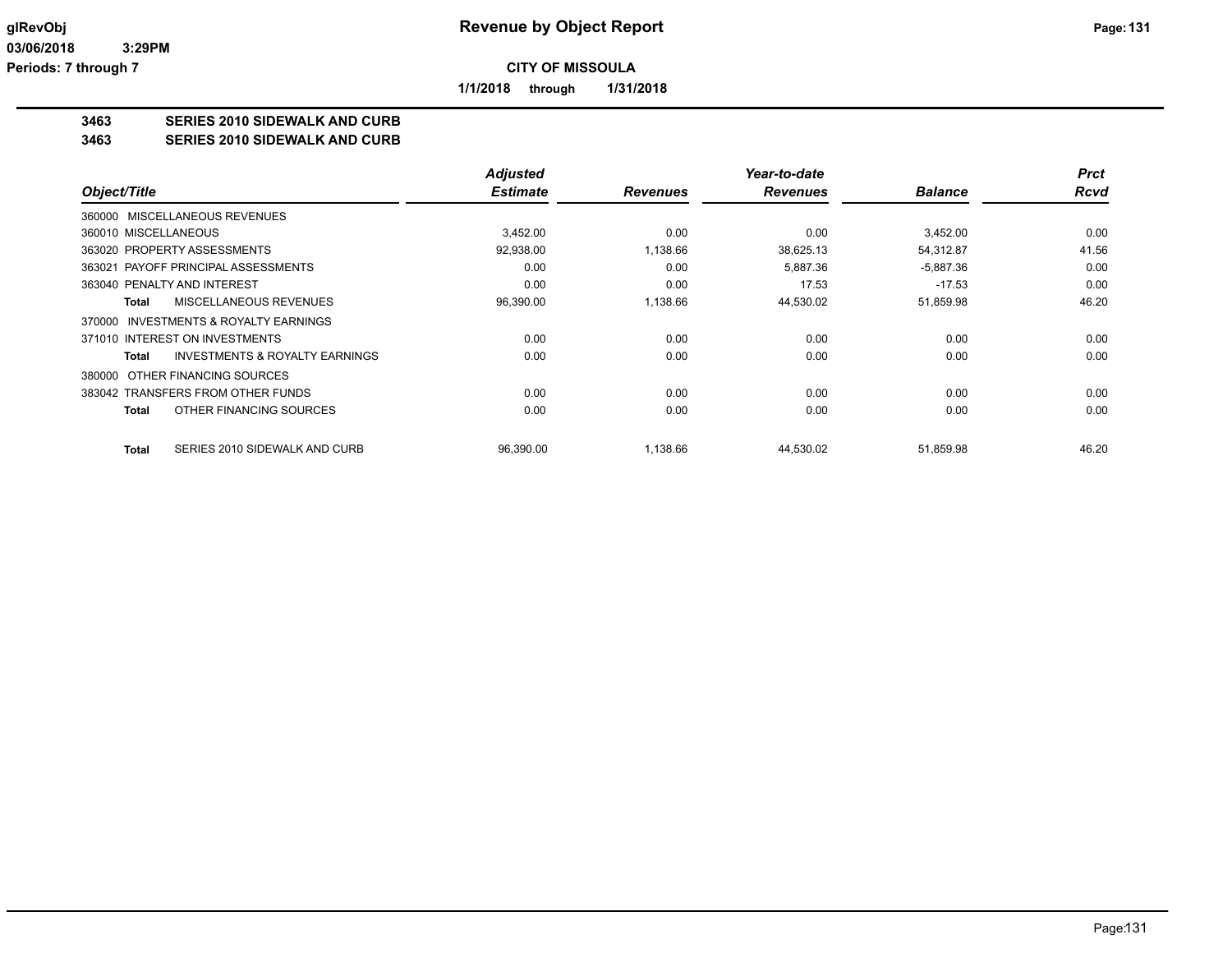**1/1/2018 through 1/31/2018**

# **3463 SERIES 2010 SIDEWALK AND CURB**

**3463 SERIES 2010 SIDEWALK AND CURB**

|                                                    | <b>Adjusted</b> |                 | Year-to-date    |                | <b>Prct</b> |
|----------------------------------------------------|-----------------|-----------------|-----------------|----------------|-------------|
| Object/Title                                       | <b>Estimate</b> | <b>Revenues</b> | <b>Revenues</b> | <b>Balance</b> | <b>Rcvd</b> |
| 360000 MISCELLANEOUS REVENUES                      |                 |                 |                 |                |             |
| 360010 MISCELLANEOUS                               | 3.452.00        | 0.00            | 0.00            | 3.452.00       | 0.00        |
| 363020 PROPERTY ASSESSMENTS                        | 92,938.00       | 1,138.66        | 38,625.13       | 54.312.87      | 41.56       |
| 363021 PAYOFF PRINCIPAL ASSESSMENTS                | 0.00            | 0.00            | 5,887.36        | $-5,887.36$    | 0.00        |
| 363040 PENALTY AND INTEREST                        | 0.00            | 0.00            | 17.53           | $-17.53$       | 0.00        |
| MISCELLANEOUS REVENUES<br>Total                    | 96,390.00       | 1,138.66        | 44,530.02       | 51,859.98      | 46.20       |
| INVESTMENTS & ROYALTY EARNINGS<br>370000           |                 |                 |                 |                |             |
| 371010 INTEREST ON INVESTMENTS                     | 0.00            | 0.00            | 0.00            | 0.00           | 0.00        |
| <b>INVESTMENTS &amp; ROYALTY EARNINGS</b><br>Total | 0.00            | 0.00            | 0.00            | 0.00           | 0.00        |
| OTHER FINANCING SOURCES<br>380000                  |                 |                 |                 |                |             |
| 383042 TRANSFERS FROM OTHER FUNDS                  | 0.00            | 0.00            | 0.00            | 0.00           | 0.00        |
| OTHER FINANCING SOURCES<br>Total                   | 0.00            | 0.00            | 0.00            | 0.00           | 0.00        |
| SERIES 2010 SIDEWALK AND CURB<br><b>Total</b>      | 96,390.00       | 1,138.66        | 44,530.02       | 51,859.98      | 46.20       |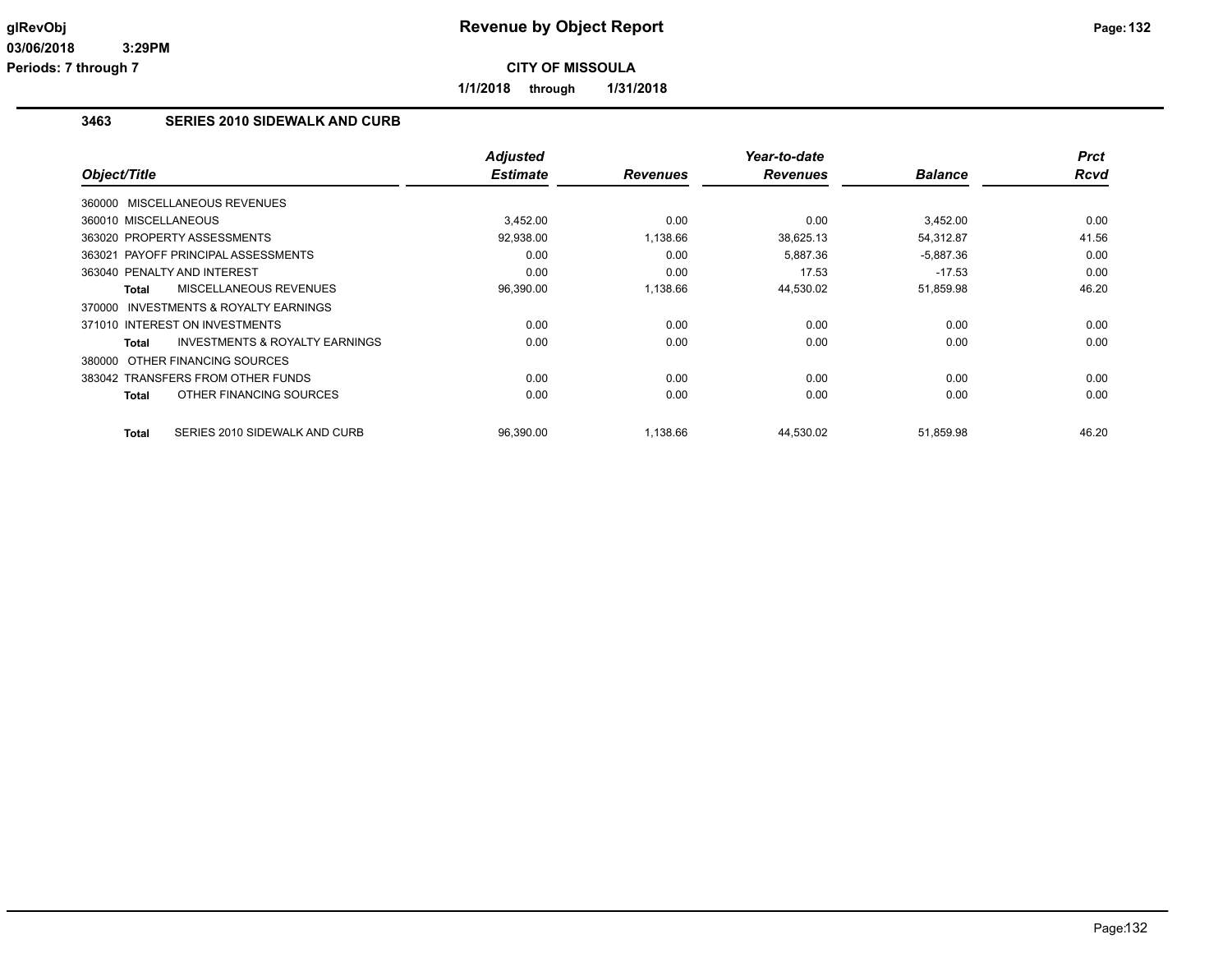**1/1/2018 through 1/31/2018**

#### **3463 SERIES 2010 SIDEWALK AND CURB**

| Object/Title                                        | <b>Adjusted</b><br><b>Estimate</b> | <b>Revenues</b> | Year-to-date<br><b>Revenues</b> | <b>Balance</b> | <b>Prct</b><br><b>Rcvd</b> |
|-----------------------------------------------------|------------------------------------|-----------------|---------------------------------|----------------|----------------------------|
|                                                     |                                    |                 |                                 |                |                            |
| 360000 MISCELLANEOUS REVENUES                       |                                    |                 |                                 |                |                            |
| 360010 MISCELLANEOUS                                | 3,452.00                           | 0.00            | 0.00                            | 3,452.00       | 0.00                       |
| 363020 PROPERTY ASSESSMENTS                         | 92,938.00                          | 1.138.66        | 38,625.13                       | 54,312.87      | 41.56                      |
| 363021 PAYOFF PRINCIPAL ASSESSMENTS                 | 0.00                               | 0.00            | 5.887.36                        | $-5,887.36$    | 0.00                       |
| 363040 PENALTY AND INTEREST                         | 0.00                               | 0.00            | 17.53                           | $-17.53$       | 0.00                       |
| <b>MISCELLANEOUS REVENUES</b><br><b>Total</b>       | 96,390.00                          | 1,138.66        | 44,530.02                       | 51,859.98      | 46.20                      |
| <b>INVESTMENTS &amp; ROYALTY EARNINGS</b><br>370000 |                                    |                 |                                 |                |                            |
| 371010 INTEREST ON INVESTMENTS                      | 0.00                               | 0.00            | 0.00                            | 0.00           | 0.00                       |
| <b>INVESTMENTS &amp; ROYALTY EARNINGS</b><br>Total  | 0.00                               | 0.00            | 0.00                            | 0.00           | 0.00                       |
| 380000 OTHER FINANCING SOURCES                      |                                    |                 |                                 |                |                            |
| 383042 TRANSFERS FROM OTHER FUNDS                   | 0.00                               | 0.00            | 0.00                            | 0.00           | 0.00                       |
| OTHER FINANCING SOURCES<br><b>Total</b>             | 0.00                               | 0.00            | 0.00                            | 0.00           | 0.00                       |
|                                                     |                                    |                 |                                 |                |                            |
| <b>Total</b><br>SERIES 2010 SIDEWALK AND CURB       | 96,390.00                          | 1,138.66        | 44,530.02                       | 51,859.98      | 46.20                      |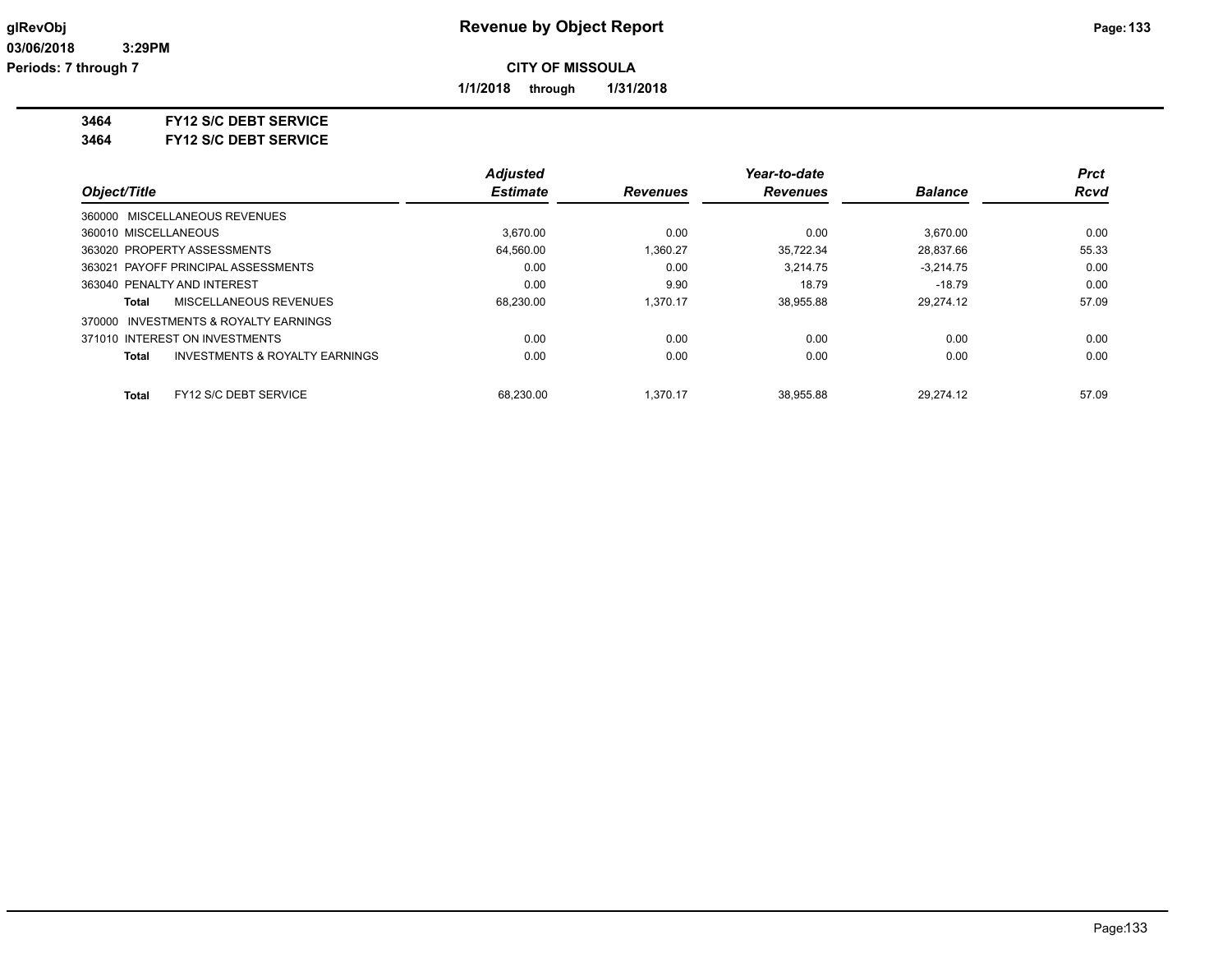**1/1/2018 through 1/31/2018**

#### **3464 FY12 S/C DEBT SERVICE**

**3464 FY12 S/C DEBT SERVICE**

|                                                | <b>Adjusted</b> |                 | Year-to-date    |                | Prct        |
|------------------------------------------------|-----------------|-----------------|-----------------|----------------|-------------|
| Object/Title                                   | <b>Estimate</b> | <b>Revenues</b> | <b>Revenues</b> | <b>Balance</b> | <b>Rcvd</b> |
| 360000 MISCELLANEOUS REVENUES                  |                 |                 |                 |                |             |
| 360010 MISCELLANEOUS                           | 3.670.00        | 0.00            | 0.00            | 3.670.00       | 0.00        |
| 363020 PROPERTY ASSESSMENTS                    | 64,560.00       | 1,360.27        | 35.722.34       | 28,837.66      | 55.33       |
| 363021 PAYOFF PRINCIPAL ASSESSMENTS            | 0.00            | 0.00            | 3.214.75        | $-3.214.75$    | 0.00        |
| 363040 PENALTY AND INTEREST                    | 0.00            | 9.90            | 18.79           | $-18.79$       | 0.00        |
| <b>MISCELLANEOUS REVENUES</b><br>Total         | 68,230.00       | 1.370.17        | 38,955.88       | 29.274.12      | 57.09       |
| INVESTMENTS & ROYALTY EARNINGS<br>370000       |                 |                 |                 |                |             |
| 371010 INTEREST ON INVESTMENTS                 | 0.00            | 0.00            | 0.00            | 0.00           | 0.00        |
| INVESTMENTS & ROYALTY EARNINGS<br><b>Total</b> | 0.00            | 0.00            | 0.00            | 0.00           | 0.00        |
| FY12 S/C DEBT SERVICE<br>Total                 | 68.230.00       | 1.370.17        | 38.955.88       | 29.274.12      | 57.09       |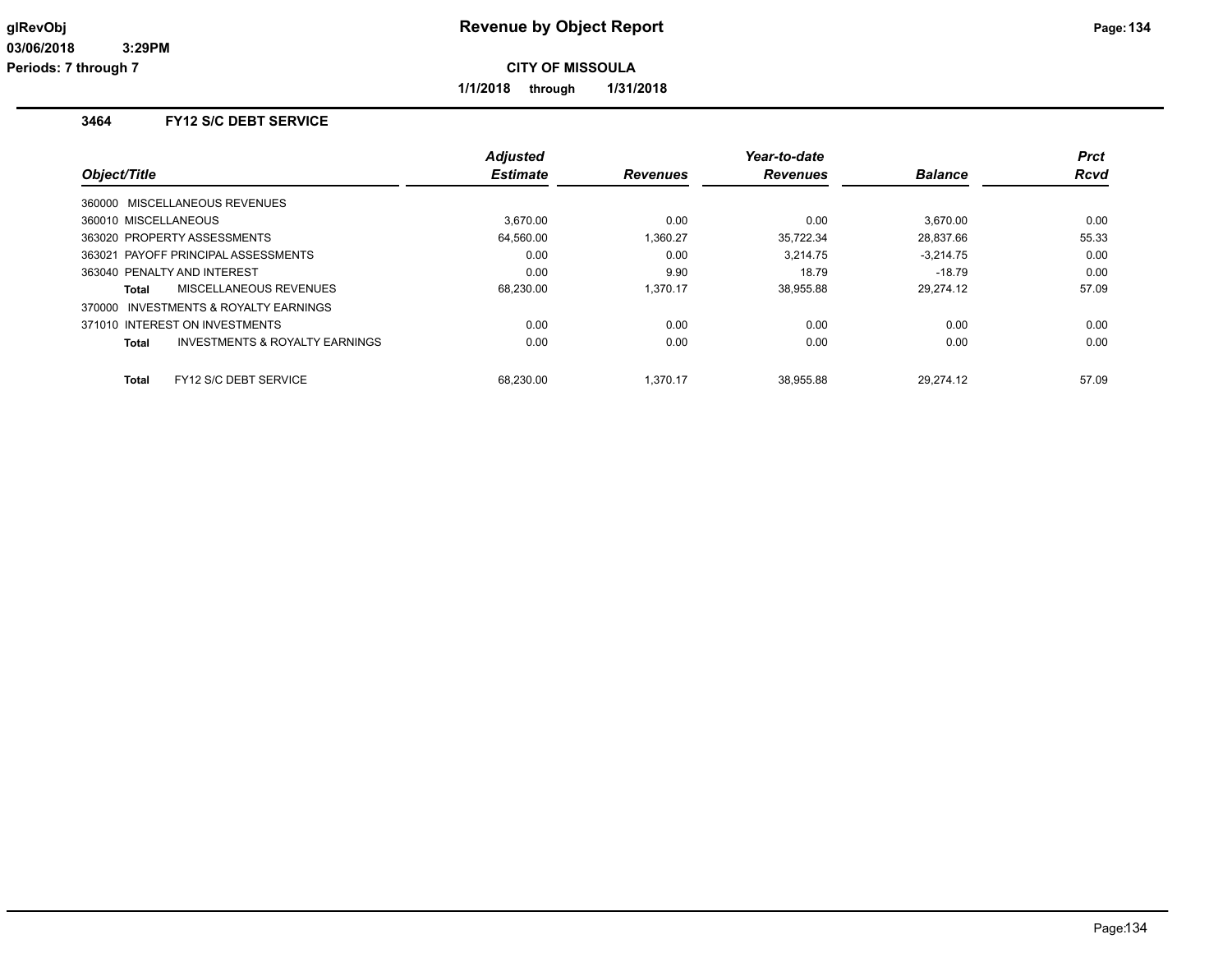**1/1/2018 through 1/31/2018**

# **3464 FY12 S/C DEBT SERVICE**

| Object/Title                                       | <b>Adjusted</b><br><b>Estimate</b> | <b>Revenues</b> | Year-to-date<br><b>Revenues</b> | <b>Balance</b> | <b>Prct</b><br><b>Rcvd</b> |
|----------------------------------------------------|------------------------------------|-----------------|---------------------------------|----------------|----------------------------|
|                                                    |                                    |                 |                                 |                |                            |
| 360000 MISCELLANEOUS REVENUES                      |                                    |                 |                                 |                |                            |
| 360010 MISCELLANEOUS                               | 3.670.00                           | 0.00            | 0.00                            | 3.670.00       | 0.00                       |
| 363020 PROPERTY ASSESSMENTS                        | 64.560.00                          | 1.360.27        | 35,722.34                       | 28,837.66      | 55.33                      |
| 363021 PAYOFF PRINCIPAL ASSESSMENTS                | 0.00                               | 0.00            | 3.214.75                        | $-3.214.75$    | 0.00                       |
| 363040 PENALTY AND INTEREST                        | 0.00                               | 9.90            | 18.79                           | $-18.79$       | 0.00                       |
| MISCELLANEOUS REVENUES<br>Total                    | 68,230.00                          | 1.370.17        | 38,955.88                       | 29,274.12      | 57.09                      |
| 370000 INVESTMENTS & ROYALTY EARNINGS              |                                    |                 |                                 |                |                            |
| 371010 INTEREST ON INVESTMENTS                     | 0.00                               | 0.00            | 0.00                            | 0.00           | 0.00                       |
| <b>INVESTMENTS &amp; ROYALTY EARNINGS</b><br>Total | 0.00                               | 0.00            | 0.00                            | 0.00           | 0.00                       |
|                                                    |                                    |                 |                                 |                |                            |
| FY12 S/C DEBT SERVICE<br>Total                     | 68.230.00                          | 1.370.17        | 38.955.88                       | 29.274.12      | 57.09                      |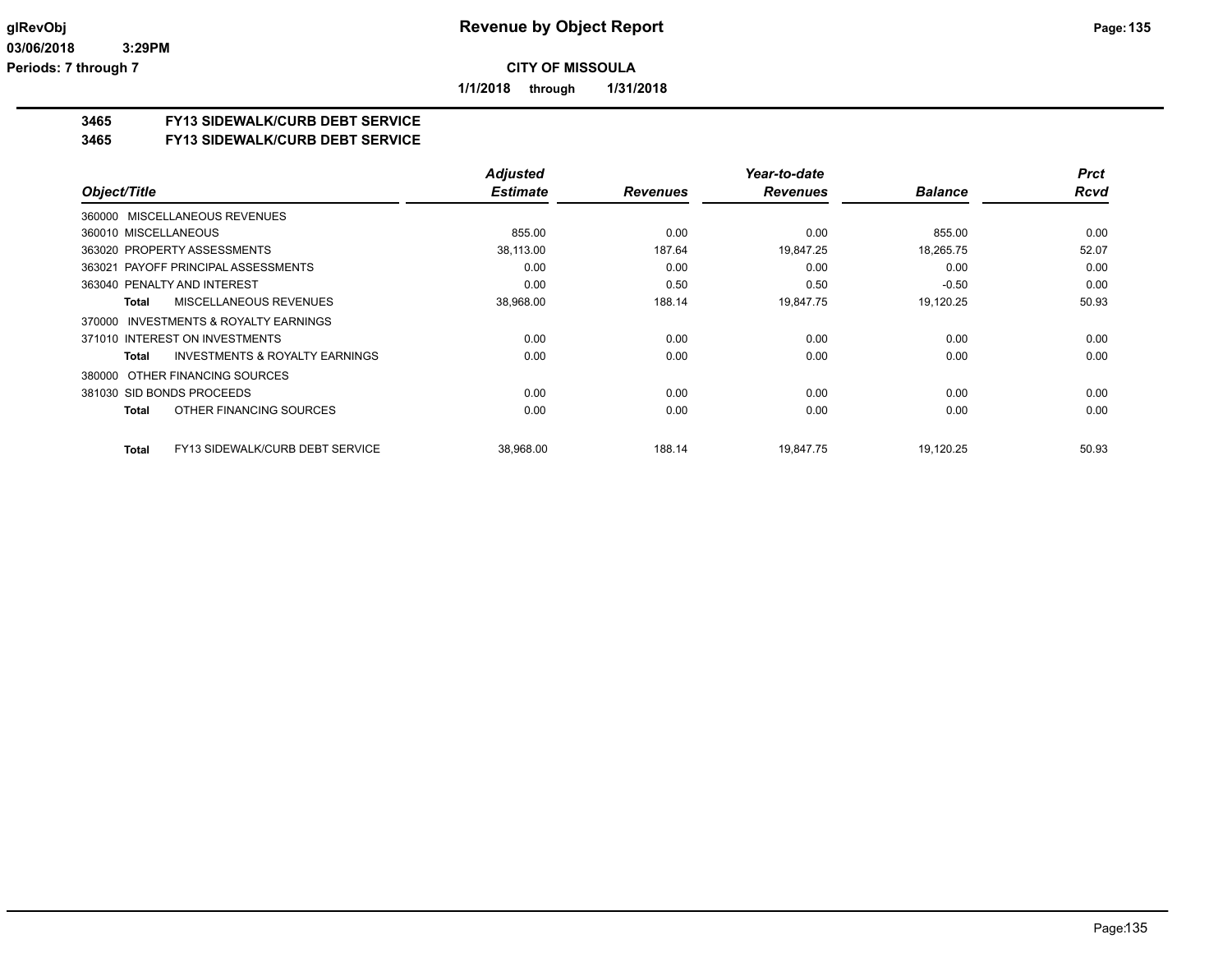**1/1/2018 through 1/31/2018**

## **3465 FY13 SIDEWALK/CURB DEBT SERVICE**

#### **3465 FY13 SIDEWALK/CURB DEBT SERVICE**

|                                                 | <b>Adjusted</b> |                 | Year-to-date    |                | <b>Prct</b> |
|-------------------------------------------------|-----------------|-----------------|-----------------|----------------|-------------|
| Object/Title                                    | <b>Estimate</b> | <b>Revenues</b> | <b>Revenues</b> | <b>Balance</b> | <b>Rcvd</b> |
| 360000 MISCELLANEOUS REVENUES                   |                 |                 |                 |                |             |
| 360010 MISCELLANEOUS                            | 855.00          | 0.00            | 0.00            | 855.00         | 0.00        |
| 363020 PROPERTY ASSESSMENTS                     | 38,113.00       | 187.64          | 19,847.25       | 18,265.75      | 52.07       |
| 363021 PAYOFF PRINCIPAL ASSESSMENTS             | 0.00            | 0.00            | 0.00            | 0.00           | 0.00        |
| 363040 PENALTY AND INTEREST                     | 0.00            | 0.50            | 0.50            | $-0.50$        | 0.00        |
| <b>MISCELLANEOUS REVENUES</b><br><b>Total</b>   | 38,968.00       | 188.14          | 19,847.75       | 19,120.25      | 50.93       |
| INVESTMENTS & ROYALTY EARNINGS<br>370000        |                 |                 |                 |                |             |
| 371010 INTEREST ON INVESTMENTS                  | 0.00            | 0.00            | 0.00            | 0.00           | 0.00        |
| INVESTMENTS & ROYALTY EARNINGS<br>Total         | 0.00            | 0.00            | 0.00            | 0.00           | 0.00        |
| OTHER FINANCING SOURCES<br>380000               |                 |                 |                 |                |             |
| 381030 SID BONDS PROCEEDS                       | 0.00            | 0.00            | 0.00            | 0.00           | 0.00        |
| OTHER FINANCING SOURCES<br><b>Total</b>         | 0.00            | 0.00            | 0.00            | 0.00           | 0.00        |
| FY13 SIDEWALK/CURB DEBT SERVICE<br><b>Total</b> | 38,968.00       | 188.14          | 19.847.75       | 19,120.25      | 50.93       |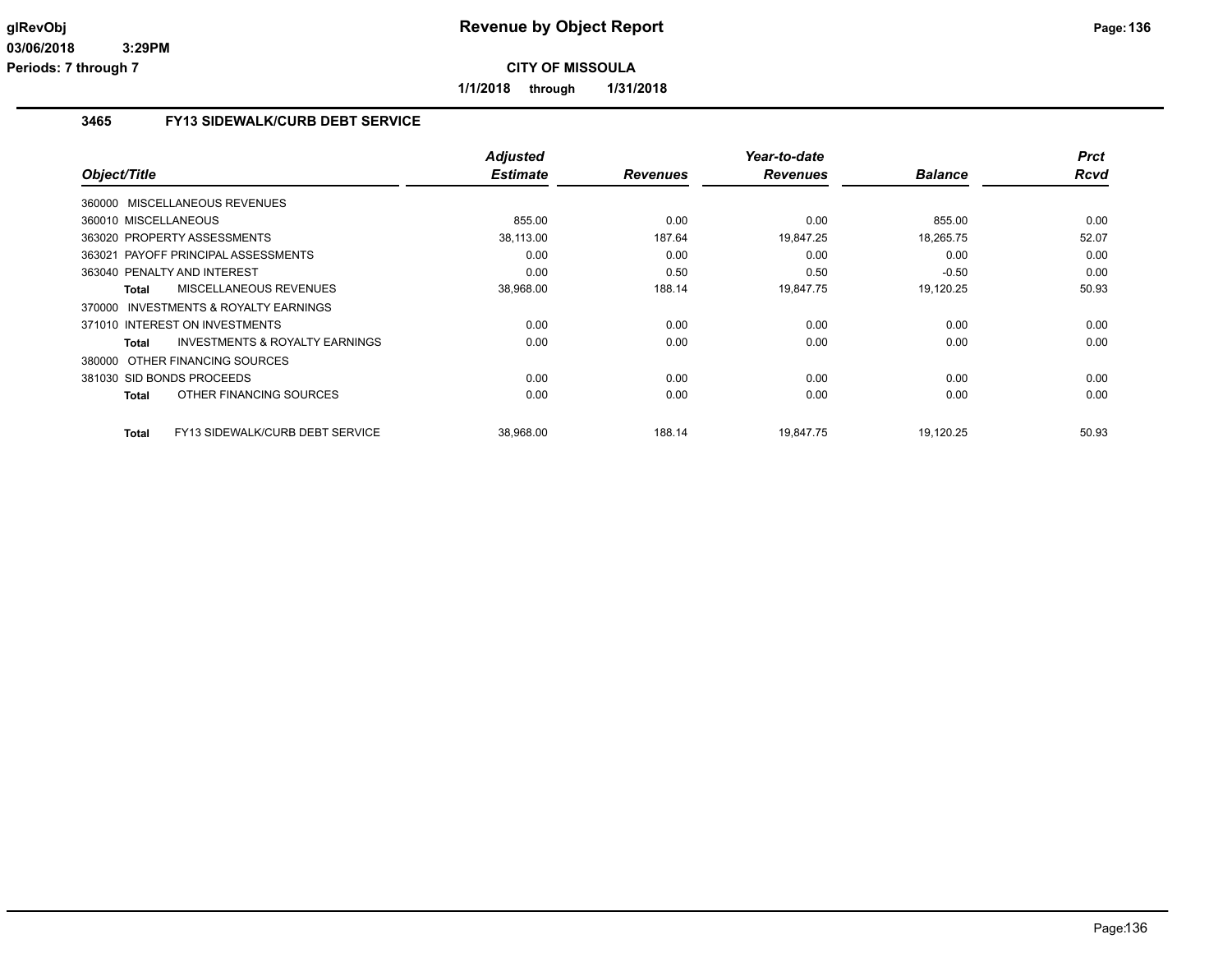**1/1/2018 through 1/31/2018**

# **3465 FY13 SIDEWALK/CURB DEBT SERVICE**

| Object/Title                                              | <b>Adjusted</b><br><b>Estimate</b> | <b>Revenues</b> | Year-to-date<br><b>Revenues</b> | <b>Balance</b> | <b>Prct</b><br>Rcvd |
|-----------------------------------------------------------|------------------------------------|-----------------|---------------------------------|----------------|---------------------|
| MISCELLANEOUS REVENUES<br>360000                          |                                    |                 |                                 |                |                     |
| 360010 MISCELLANEOUS                                      | 855.00                             | 0.00            | 0.00                            | 855.00         | 0.00                |
| 363020 PROPERTY ASSESSMENTS                               | 38,113.00                          | 187.64          | 19,847.25                       | 18,265.75      | 52.07               |
| 363021 PAYOFF PRINCIPAL ASSESSMENTS                       | 0.00                               | 0.00            | 0.00                            | 0.00           | 0.00                |
| 363040 PENALTY AND INTEREST                               | 0.00                               | 0.50            | 0.50                            | $-0.50$        | 0.00                |
| <b>MISCELLANEOUS REVENUES</b><br><b>Total</b>             | 38,968.00                          | 188.14          | 19,847.75                       | 19,120.25      | 50.93               |
| <b>INVESTMENTS &amp; ROYALTY EARNINGS</b><br>370000       |                                    |                 |                                 |                |                     |
| 371010 INTEREST ON INVESTMENTS                            | 0.00                               | 0.00            | 0.00                            | 0.00           | 0.00                |
| <b>INVESTMENTS &amp; ROYALTY EARNINGS</b><br><b>Total</b> | 0.00                               | 0.00            | 0.00                            | 0.00           | 0.00                |
| 380000 OTHER FINANCING SOURCES                            |                                    |                 |                                 |                |                     |
| 381030 SID BONDS PROCEEDS                                 | 0.00                               | 0.00            | 0.00                            | 0.00           | 0.00                |
| OTHER FINANCING SOURCES<br><b>Total</b>                   | 0.00                               | 0.00            | 0.00                            | 0.00           | 0.00                |
| FY13 SIDEWALK/CURB DEBT SERVICE<br><b>Total</b>           | 38,968.00                          | 188.14          | 19,847.75                       | 19,120.25      | 50.93               |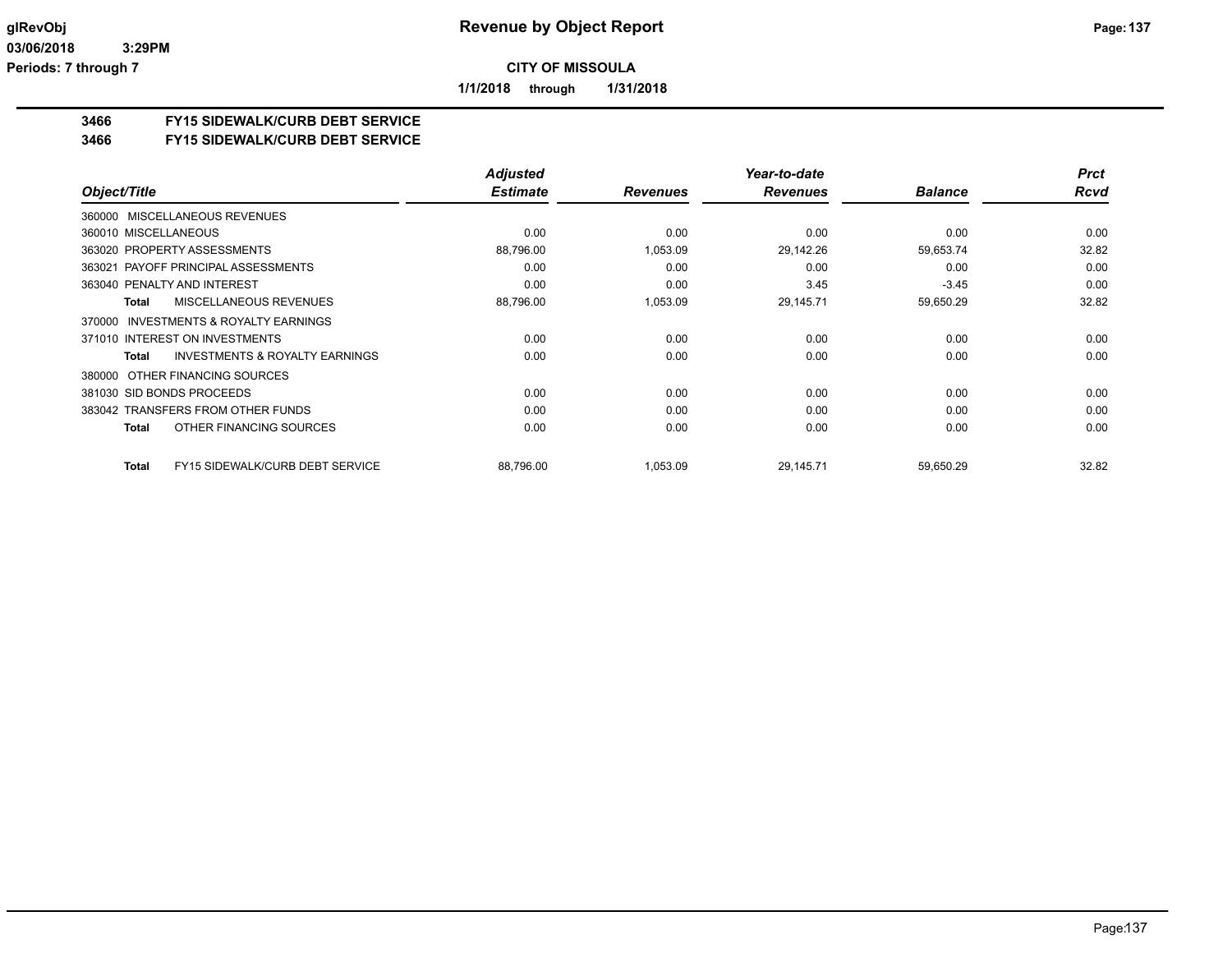**1/1/2018 through 1/31/2018**

## **3466 FY15 SIDEWALK/CURB DEBT SERVICE**

#### **3466 FY15 SIDEWALK/CURB DEBT SERVICE**

|                                                     | <b>Adjusted</b> |                 | Year-to-date    |                | <b>Prct</b> |
|-----------------------------------------------------|-----------------|-----------------|-----------------|----------------|-------------|
| Object/Title                                        | <b>Estimate</b> | <b>Revenues</b> | <b>Revenues</b> | <b>Balance</b> | <b>Rcvd</b> |
| 360000 MISCELLANEOUS REVENUES                       |                 |                 |                 |                |             |
| 360010 MISCELLANEOUS                                | 0.00            | 0.00            | 0.00            | 0.00           | 0.00        |
| 363020 PROPERTY ASSESSMENTS                         | 88,796.00       | 1,053.09        | 29,142.26       | 59,653.74      | 32.82       |
| 363021 PAYOFF PRINCIPAL ASSESSMENTS                 | 0.00            | 0.00            | 0.00            | 0.00           | 0.00        |
| 363040 PENALTY AND INTEREST                         | 0.00            | 0.00            | 3.45            | $-3.45$        | 0.00        |
| MISCELLANEOUS REVENUES<br>Total                     | 88,796.00       | 1,053.09        | 29,145.71       | 59,650.29      | 32.82       |
| <b>INVESTMENTS &amp; ROYALTY EARNINGS</b><br>370000 |                 |                 |                 |                |             |
| 371010 INTEREST ON INVESTMENTS                      | 0.00            | 0.00            | 0.00            | 0.00           | 0.00        |
| <b>INVESTMENTS &amp; ROYALTY EARNINGS</b><br>Total  | 0.00            | 0.00            | 0.00            | 0.00           | 0.00        |
| 380000 OTHER FINANCING SOURCES                      |                 |                 |                 |                |             |
| 381030 SID BONDS PROCEEDS                           | 0.00            | 0.00            | 0.00            | 0.00           | 0.00        |
| 383042 TRANSFERS FROM OTHER FUNDS                   | 0.00            | 0.00            | 0.00            | 0.00           | 0.00        |
| OTHER FINANCING SOURCES<br>Total                    | 0.00            | 0.00            | 0.00            | 0.00           | 0.00        |
| <b>FY15 SIDEWALK/CURB DEBT SERVICE</b><br>Total     | 88,796.00       | 1,053.09        | 29,145.71       | 59,650.29      | 32.82       |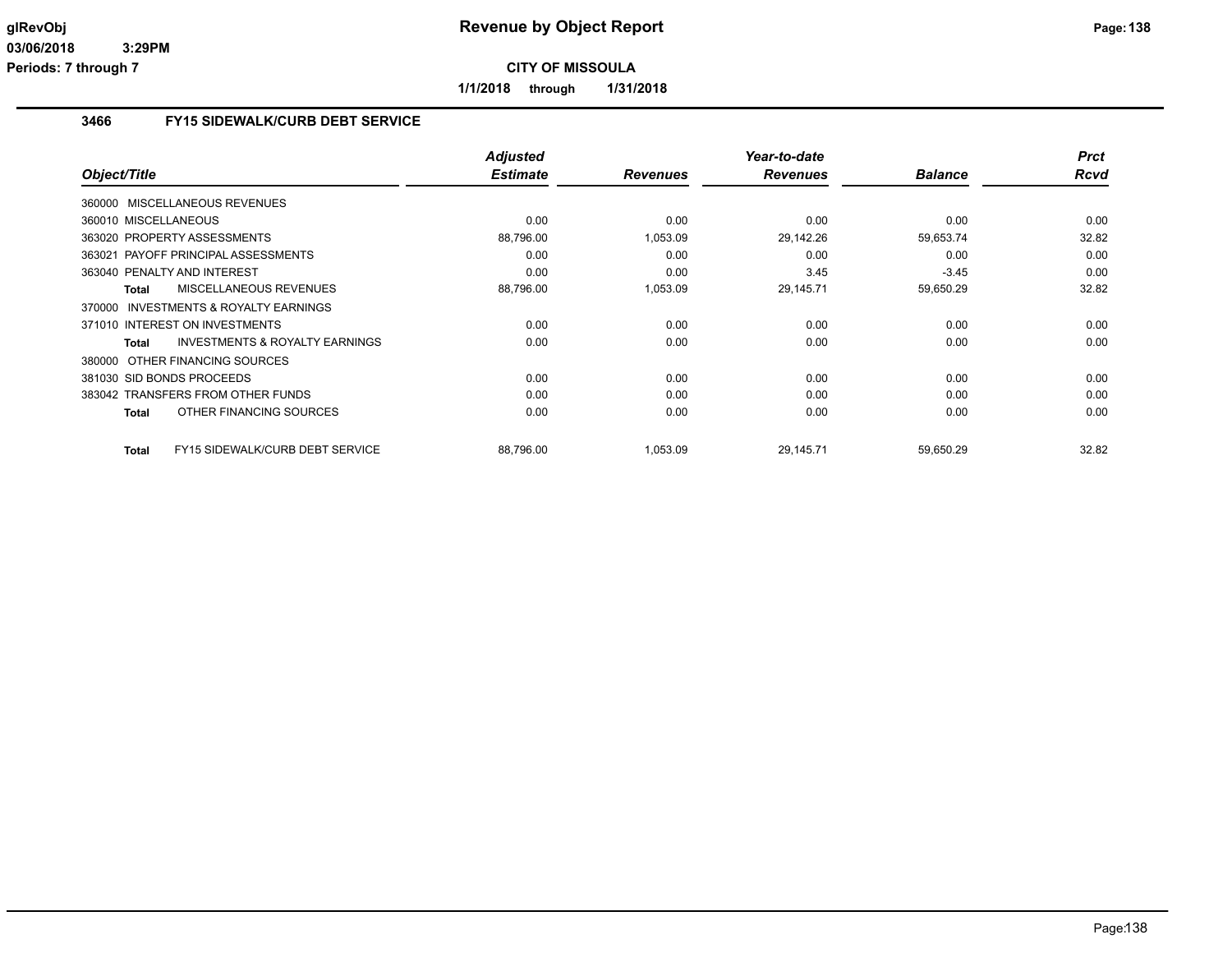**1/1/2018 through 1/31/2018**

# **3466 FY15 SIDEWALK/CURB DEBT SERVICE**

|                                                     | <b>Adjusted</b> |                 | Year-to-date    |                | <b>Prct</b> |
|-----------------------------------------------------|-----------------|-----------------|-----------------|----------------|-------------|
| Object/Title                                        | <b>Estimate</b> | <b>Revenues</b> | <b>Revenues</b> | <b>Balance</b> | <b>Rcvd</b> |
| 360000 MISCELLANEOUS REVENUES                       |                 |                 |                 |                |             |
| 360010 MISCELLANEOUS                                | 0.00            | 0.00            | 0.00            | 0.00           | 0.00        |
| 363020 PROPERTY ASSESSMENTS                         | 88,796.00       | 1,053.09        | 29,142.26       | 59,653.74      | 32.82       |
| 363021 PAYOFF PRINCIPAL ASSESSMENTS                 | 0.00            | 0.00            | 0.00            | 0.00           | 0.00        |
| 363040 PENALTY AND INTEREST                         | 0.00            | 0.00            | 3.45            | $-3.45$        | 0.00        |
| <b>MISCELLANEOUS REVENUES</b><br><b>Total</b>       | 88,796.00       | 1,053.09        | 29,145.71       | 59,650.29      | 32.82       |
| <b>INVESTMENTS &amp; ROYALTY EARNINGS</b><br>370000 |                 |                 |                 |                |             |
| 371010 INTEREST ON INVESTMENTS                      | 0.00            | 0.00            | 0.00            | 0.00           | 0.00        |
| <b>INVESTMENTS &amp; ROYALTY EARNINGS</b><br>Total  | 0.00            | 0.00            | 0.00            | 0.00           | 0.00        |
| 380000 OTHER FINANCING SOURCES                      |                 |                 |                 |                |             |
| 381030 SID BONDS PROCEEDS                           | 0.00            | 0.00            | 0.00            | 0.00           | 0.00        |
| 383042 TRANSFERS FROM OTHER FUNDS                   | 0.00            | 0.00            | 0.00            | 0.00           | 0.00        |
| OTHER FINANCING SOURCES<br><b>Total</b>             | 0.00            | 0.00            | 0.00            | 0.00           | 0.00        |
| FY15 SIDEWALK/CURB DEBT SERVICE<br><b>Total</b>     | 88.796.00       | 1.053.09        | 29.145.71       | 59.650.29      | 32.82       |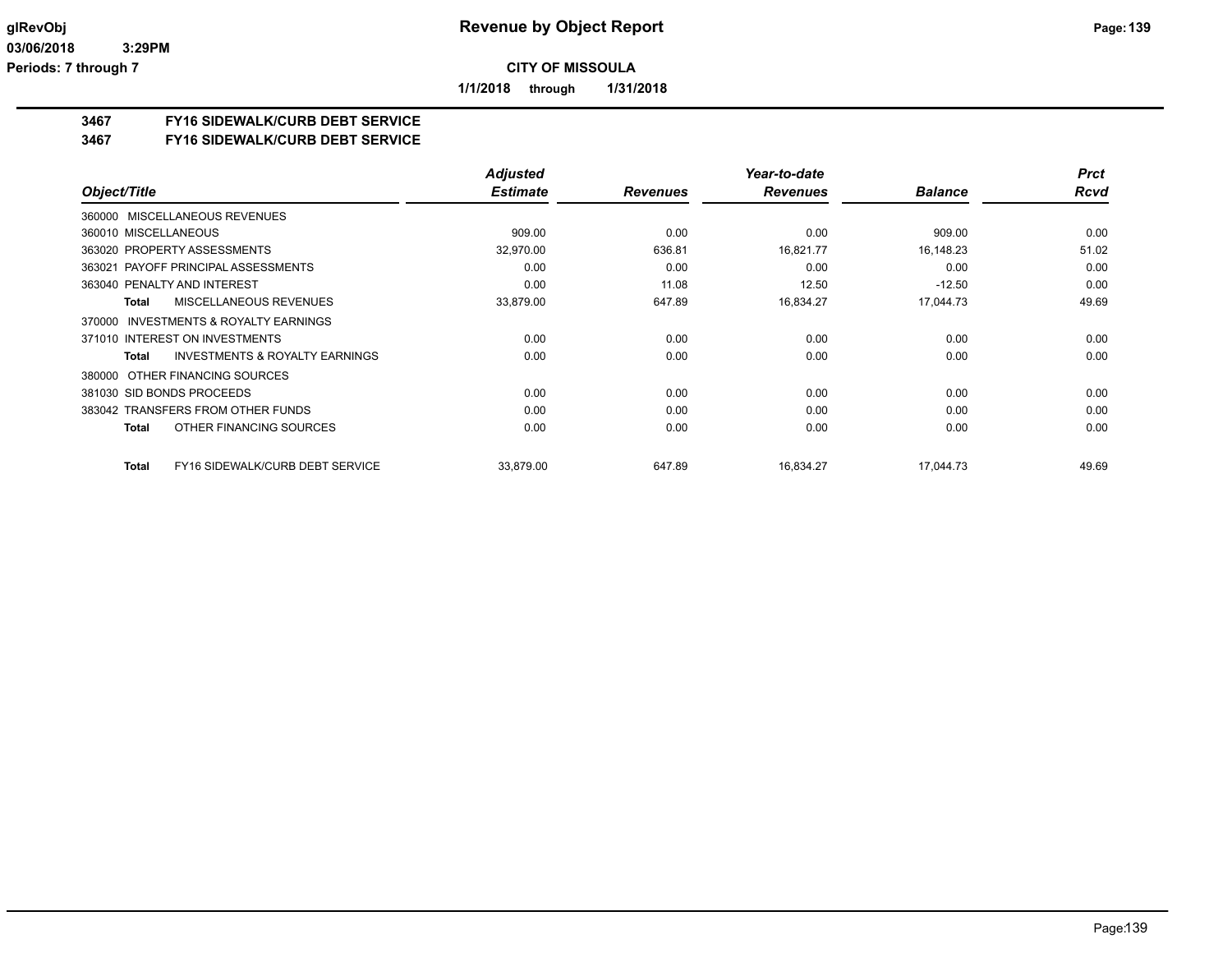**1/1/2018 through 1/31/2018**

# **3467 FY16 SIDEWALK/CURB DEBT SERVICE**

#### **3467 FY16 SIDEWALK/CURB DEBT SERVICE**

|                                                           | <b>Adjusted</b> |                 | Year-to-date    |                | <b>Prct</b> |
|-----------------------------------------------------------|-----------------|-----------------|-----------------|----------------|-------------|
| Object/Title                                              | <b>Estimate</b> | <b>Revenues</b> | <b>Revenues</b> | <b>Balance</b> | <b>Rcvd</b> |
| 360000 MISCELLANEOUS REVENUES                             |                 |                 |                 |                |             |
| 360010 MISCELLANEOUS                                      | 909.00          | 0.00            | 0.00            | 909.00         | 0.00        |
| 363020 PROPERTY ASSESSMENTS                               | 32,970.00       | 636.81          | 16.821.77       | 16,148.23      | 51.02       |
| 363021 PAYOFF PRINCIPAL ASSESSMENTS                       | 0.00            | 0.00            | 0.00            | 0.00           | 0.00        |
| 363040 PENALTY AND INTEREST                               | 0.00            | 11.08           | 12.50           | $-12.50$       | 0.00        |
| <b>MISCELLANEOUS REVENUES</b><br><b>Total</b>             | 33,879.00       | 647.89          | 16,834.27       | 17.044.73      | 49.69       |
| <b>INVESTMENTS &amp; ROYALTY EARNINGS</b><br>370000       |                 |                 |                 |                |             |
| 371010 INTEREST ON INVESTMENTS                            | 0.00            | 0.00            | 0.00            | 0.00           | 0.00        |
| <b>INVESTMENTS &amp; ROYALTY EARNINGS</b><br><b>Total</b> | 0.00            | 0.00            | 0.00            | 0.00           | 0.00        |
| OTHER FINANCING SOURCES<br>380000                         |                 |                 |                 |                |             |
| 381030 SID BONDS PROCEEDS                                 | 0.00            | 0.00            | 0.00            | 0.00           | 0.00        |
| 383042 TRANSFERS FROM OTHER FUNDS                         | 0.00            | 0.00            | 0.00            | 0.00           | 0.00        |
| OTHER FINANCING SOURCES<br><b>Total</b>                   | 0.00            | 0.00            | 0.00            | 0.00           | 0.00        |
| FY16 SIDEWALK/CURB DEBT SERVICE<br><b>Total</b>           | 33,879.00       | 647.89          | 16,834.27       | 17,044.73      | 49.69       |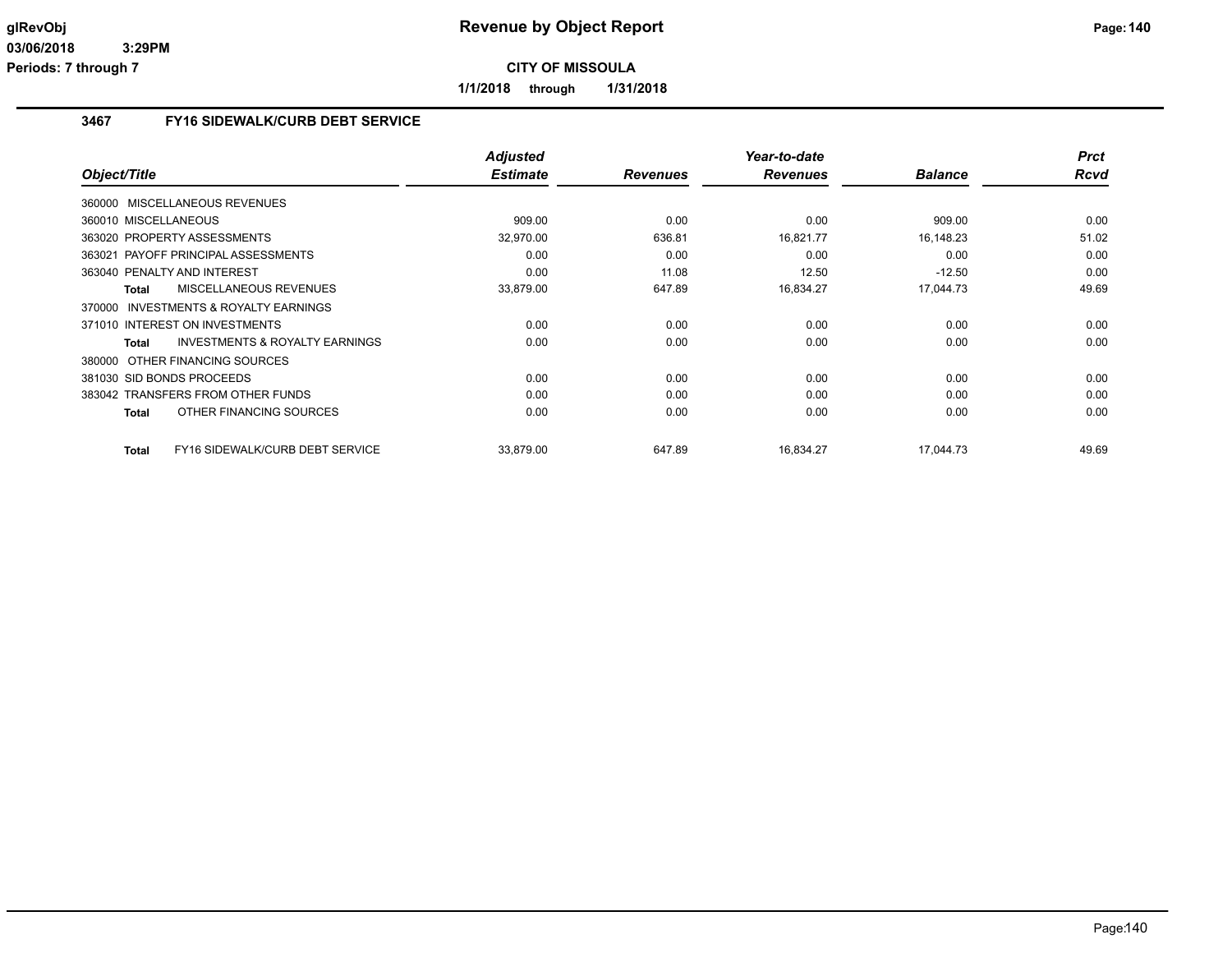**1/1/2018 through 1/31/2018**

# **3467 FY16 SIDEWALK/CURB DEBT SERVICE**

|                                                    | <b>Adjusted</b> |                 | Year-to-date    |                | <b>Prct</b> |
|----------------------------------------------------|-----------------|-----------------|-----------------|----------------|-------------|
| Object/Title                                       | <b>Estimate</b> | <b>Revenues</b> | <b>Revenues</b> | <b>Balance</b> | <b>Rcvd</b> |
| 360000 MISCELLANEOUS REVENUES                      |                 |                 |                 |                |             |
| 360010 MISCELLANEOUS                               | 909.00          | 0.00            | 0.00            | 909.00         | 0.00        |
| 363020 PROPERTY ASSESSMENTS                        | 32,970.00       | 636.81          | 16,821.77       | 16,148.23      | 51.02       |
| 363021 PAYOFF PRINCIPAL ASSESSMENTS                | 0.00            | 0.00            | 0.00            | 0.00           | 0.00        |
| 363040 PENALTY AND INTEREST                        | 0.00            | 11.08           | 12.50           | $-12.50$       | 0.00        |
| <b>MISCELLANEOUS REVENUES</b><br><b>Total</b>      | 33,879.00       | 647.89          | 16,834.27       | 17,044.73      | 49.69       |
| 370000 INVESTMENTS & ROYALTY EARNINGS              |                 |                 |                 |                |             |
| 371010 INTEREST ON INVESTMENTS                     | 0.00            | 0.00            | 0.00            | 0.00           | 0.00        |
| <b>INVESTMENTS &amp; ROYALTY EARNINGS</b><br>Total | 0.00            | 0.00            | 0.00            | 0.00           | 0.00        |
| 380000 OTHER FINANCING SOURCES                     |                 |                 |                 |                |             |
| 381030 SID BONDS PROCEEDS                          | 0.00            | 0.00            | 0.00            | 0.00           | 0.00        |
| 383042 TRANSFERS FROM OTHER FUNDS                  | 0.00            | 0.00            | 0.00            | 0.00           | 0.00        |
| OTHER FINANCING SOURCES<br><b>Total</b>            | 0.00            | 0.00            | 0.00            | 0.00           | 0.00        |
| FY16 SIDEWALK/CURB DEBT SERVICE<br><b>Total</b>    | 33.879.00       | 647.89          | 16,834.27       | 17.044.73      | 49.69       |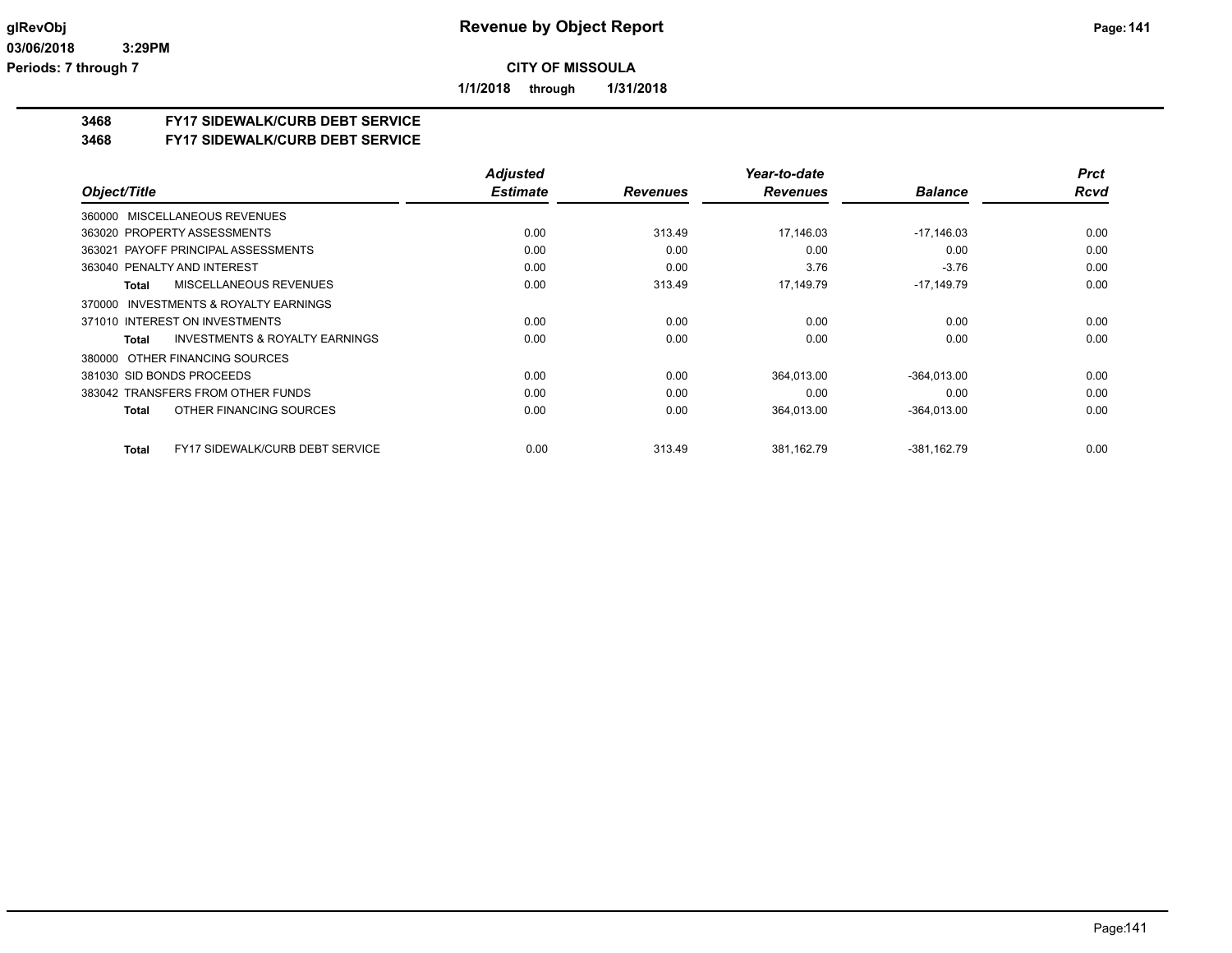**1/1/2018 through 1/31/2018**

## **3468 FY17 SIDEWALK/CURB DEBT SERVICE**

#### **3468 FY17 SIDEWALK/CURB DEBT SERVICE**

|                                                           | <b>Adjusted</b> |                 | Year-to-date    |                | <b>Prct</b> |
|-----------------------------------------------------------|-----------------|-----------------|-----------------|----------------|-------------|
| Object/Title                                              | <b>Estimate</b> | <b>Revenues</b> | <b>Revenues</b> | <b>Balance</b> | <b>Rcvd</b> |
| 360000 MISCELLANEOUS REVENUES                             |                 |                 |                 |                |             |
| 363020 PROPERTY ASSESSMENTS                               | 0.00            | 313.49          | 17.146.03       | $-17,146.03$   | 0.00        |
| 363021 PAYOFF PRINCIPAL ASSESSMENTS                       | 0.00            | 0.00            | 0.00            | 0.00           | 0.00        |
| 363040 PENALTY AND INTEREST                               | 0.00            | 0.00            | 3.76            | $-3.76$        | 0.00        |
| MISCELLANEOUS REVENUES<br>Total                           | 0.00            | 313.49          | 17.149.79       | $-17,149.79$   | 0.00        |
| INVESTMENTS & ROYALTY EARNINGS<br>370000                  |                 |                 |                 |                |             |
| 371010 INTEREST ON INVESTMENTS                            | 0.00            | 0.00            | 0.00            | 0.00           | 0.00        |
| <b>INVESTMENTS &amp; ROYALTY EARNINGS</b><br><b>Total</b> | 0.00            | 0.00            | 0.00            | 0.00           | 0.00        |
| 380000 OTHER FINANCING SOURCES                            |                 |                 |                 |                |             |
| 381030 SID BONDS PROCEEDS                                 | 0.00            | 0.00            | 364,013.00      | $-364.013.00$  | 0.00        |
| 383042 TRANSFERS FROM OTHER FUNDS                         | 0.00            | 0.00            | 0.00            | 0.00           | 0.00        |
| OTHER FINANCING SOURCES<br><b>Total</b>                   | 0.00            | 0.00            | 364,013.00      | $-364,013.00$  | 0.00        |
| <b>FY17 SIDEWALK/CURB DEBT SERVICE</b><br>Total           | 0.00            | 313.49          | 381,162.79      | $-381,162.79$  | 0.00        |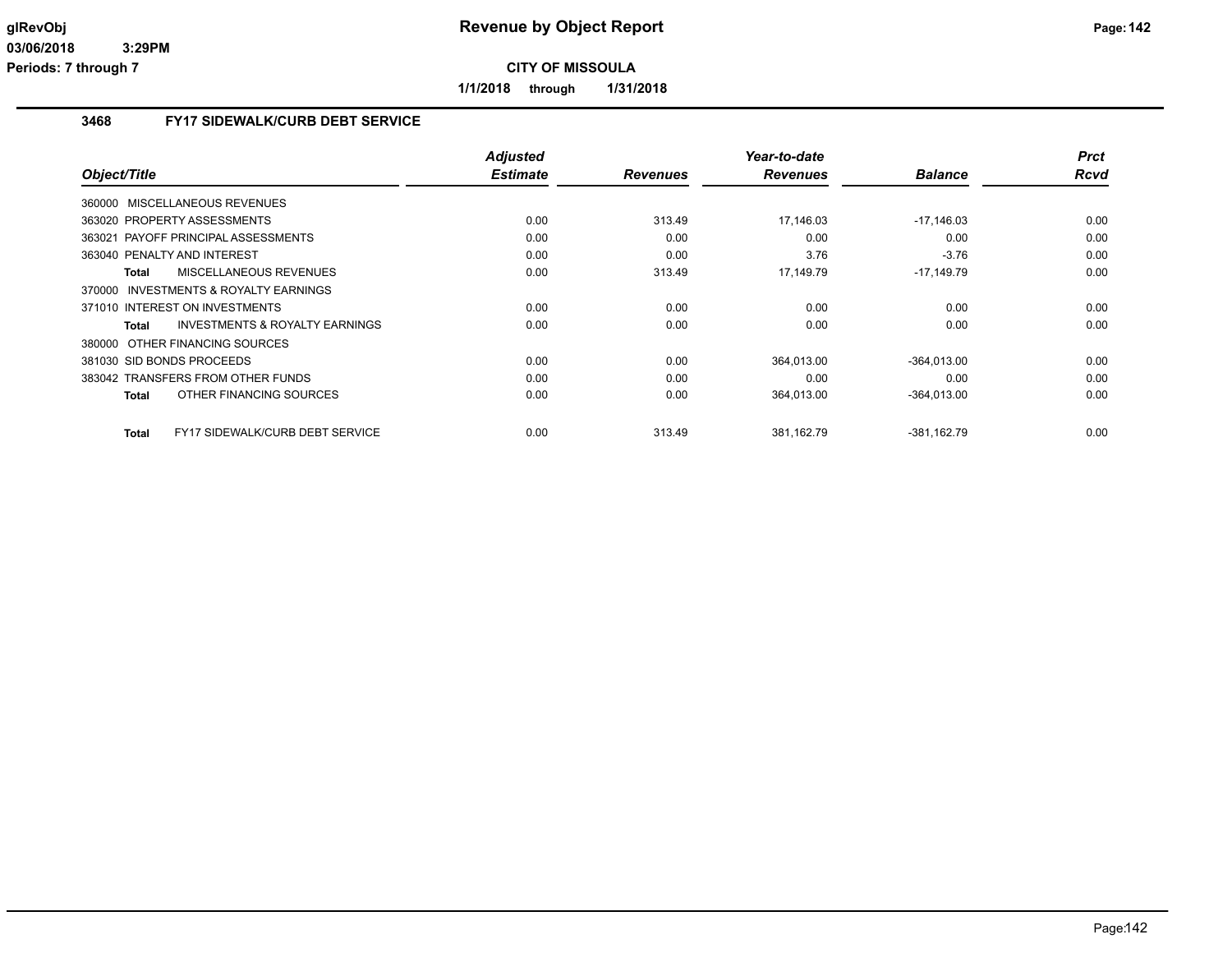**1/1/2018 through 1/31/2018**

# **3468 FY17 SIDEWALK/CURB DEBT SERVICE**

| Object/Title                                           | <b>Adjusted</b><br><b>Estimate</b> | <b>Revenues</b> | Year-to-date<br><b>Revenues</b> | <b>Balance</b> | <b>Prct</b><br>Rcvd |
|--------------------------------------------------------|------------------------------------|-----------------|---------------------------------|----------------|---------------------|
|                                                        |                                    |                 |                                 |                |                     |
| MISCELLANEOUS REVENUES<br>360000                       |                                    |                 |                                 |                |                     |
| 363020 PROPERTY ASSESSMENTS                            | 0.00                               | 313.49          | 17,146.03                       | $-17,146.03$   | 0.00                |
| 363021 PAYOFF PRINCIPAL ASSESSMENTS                    | 0.00                               | 0.00            | 0.00                            | 0.00           | 0.00                |
| 363040 PENALTY AND INTEREST                            | 0.00                               | 0.00            | 3.76                            | $-3.76$        | 0.00                |
| MISCELLANEOUS REVENUES<br>Total                        | 0.00                               | 313.49          | 17,149.79                       | -17,149.79     | 0.00                |
| 370000 INVESTMENTS & ROYALTY EARNINGS                  |                                    |                 |                                 |                |                     |
| 371010 INTEREST ON INVESTMENTS                         | 0.00                               | 0.00            | 0.00                            | 0.00           | 0.00                |
| <b>INVESTMENTS &amp; ROYALTY EARNINGS</b><br>Total     | 0.00                               | 0.00            | 0.00                            | 0.00           | 0.00                |
| 380000 OTHER FINANCING SOURCES                         |                                    |                 |                                 |                |                     |
| 381030 SID BONDS PROCEEDS                              | 0.00                               | 0.00            | 364,013.00                      | $-364,013.00$  | 0.00                |
| 383042 TRANSFERS FROM OTHER FUNDS                      | 0.00                               | 0.00            | 0.00                            | 0.00           | 0.00                |
| OTHER FINANCING SOURCES<br><b>Total</b>                | 0.00                               | 0.00            | 364,013.00                      | $-364,013.00$  | 0.00                |
|                                                        |                                    |                 |                                 |                |                     |
| <b>FY17 SIDEWALK/CURB DEBT SERVICE</b><br><b>Total</b> | 0.00                               | 313.49          | 381,162.79                      | $-381,162.79$  | 0.00                |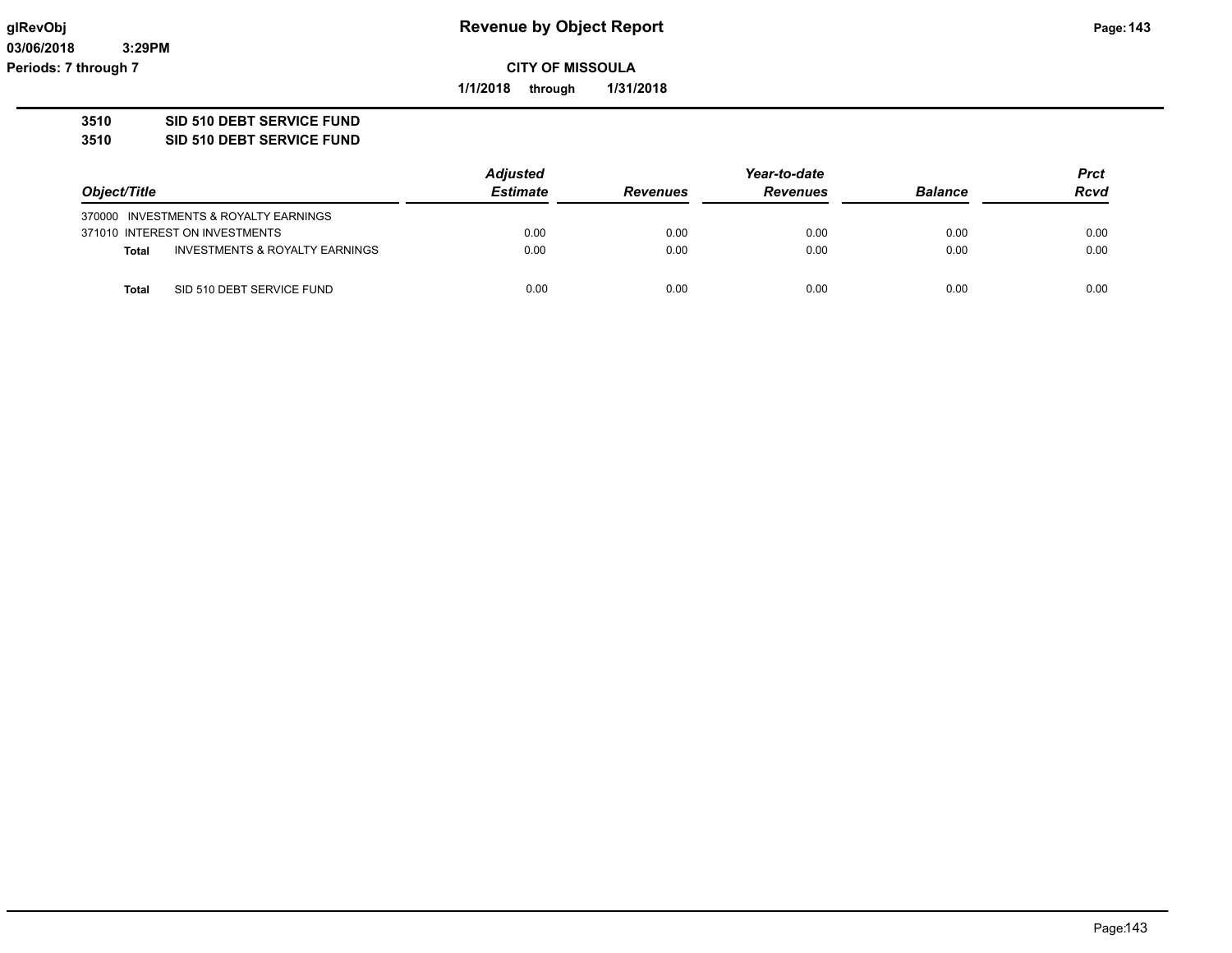**03/06/2018 3:29PM Periods: 7 through 7**

**CITY OF MISSOULA**

**1/1/2018 through 1/31/2018**

# **3510 SID 510 DEBT SERVICE FUND**

**3510 SID 510 DEBT SERVICE FUND**

|              |                                       | <b>Adjusted</b> | Year-to-date    |                 |                | <b>Prct</b> |
|--------------|---------------------------------------|-----------------|-----------------|-----------------|----------------|-------------|
| Object/Title |                                       | <b>Estimate</b> | <b>Revenues</b> | <b>Revenues</b> | <b>Balance</b> | <b>Rcvd</b> |
|              | 370000 INVESTMENTS & ROYALTY EARNINGS |                 |                 |                 |                |             |
|              | 371010 INTEREST ON INVESTMENTS        | 0.00            | 0.00            | 0.00            | 0.00           | 0.00        |
| <b>Total</b> | INVESTMENTS & ROYALTY EARNINGS        | 0.00            | 0.00            | 0.00            | 0.00           | 0.00        |
| Total        | SID 510 DEBT SERVICE FUND             | 0.00            | 0.00            | 0.00            | 0.00           | 0.00        |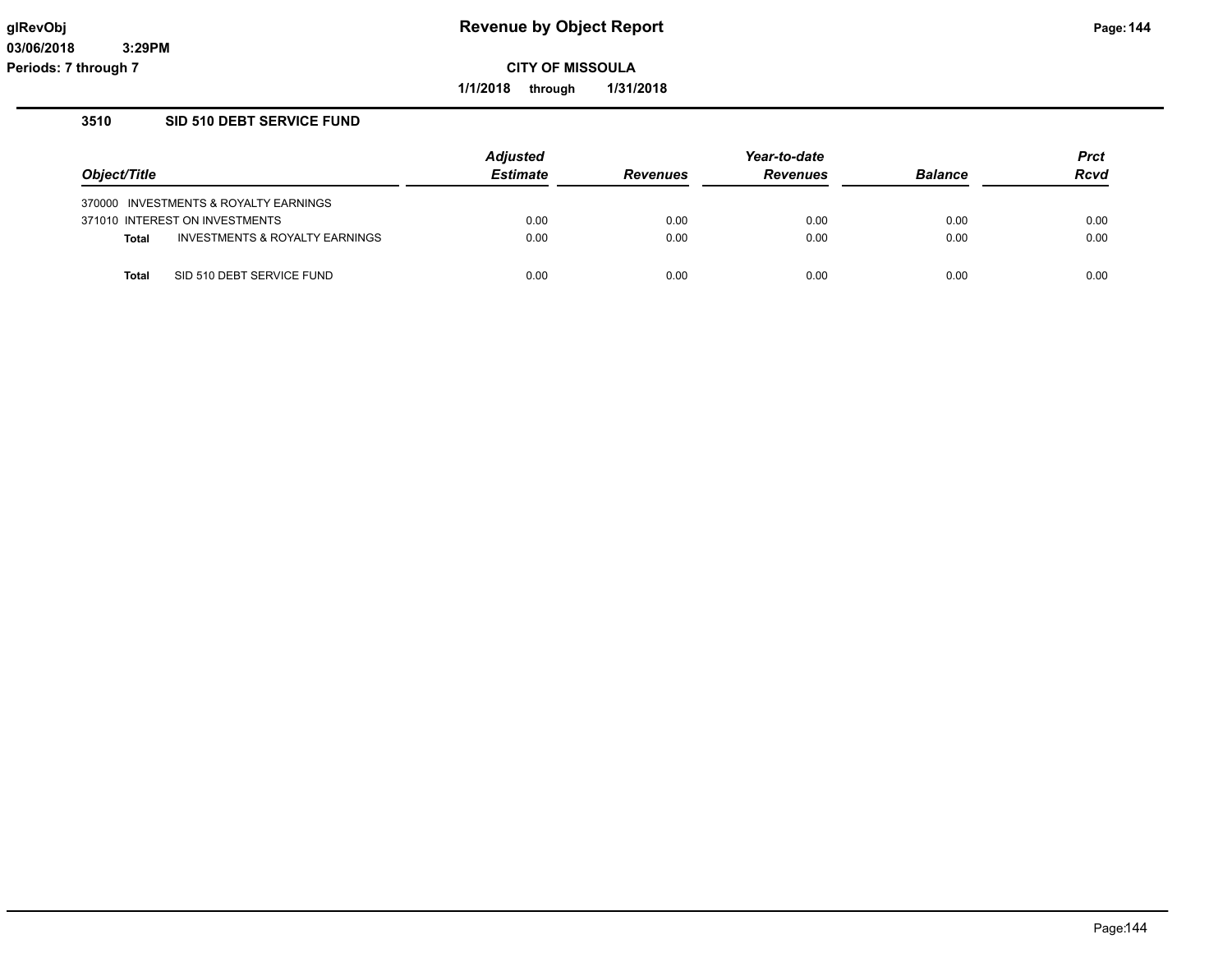**1/1/2018 through 1/31/2018**

#### **3510 SID 510 DEBT SERVICE FUND**

|              |                                       | <b>Adjusted</b> |                 | <b>Prct</b>     |                |             |
|--------------|---------------------------------------|-----------------|-----------------|-----------------|----------------|-------------|
| Object/Title |                                       | <b>Estimate</b> | <b>Revenues</b> | <b>Revenues</b> | <b>Balance</b> | <b>Rcvd</b> |
|              | 370000 INVESTMENTS & ROYALTY EARNINGS |                 |                 |                 |                |             |
|              | 371010 INTEREST ON INVESTMENTS        | 0.00            | 0.00            | 0.00            | 0.00           | 0.00        |
| <b>Total</b> | INVESTMENTS & ROYALTY EARNINGS        | 0.00            | 0.00            | 0.00            | 0.00           | 0.00        |
| Total        | SID 510 DEBT SERVICE FUND             | 0.00            | 0.00            | 0.00            | 0.00           | 0.00        |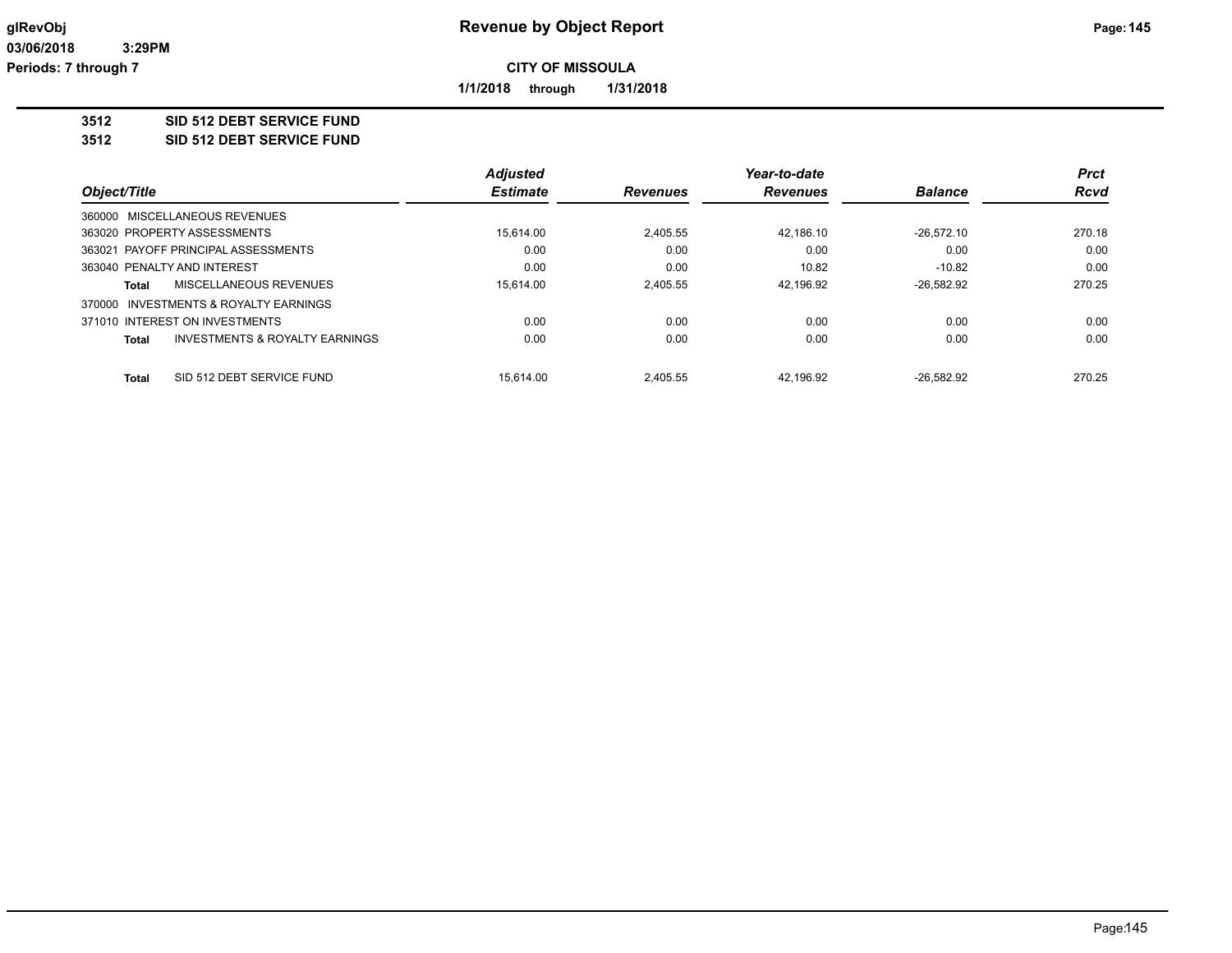**1/1/2018 through 1/31/2018**

#### **3512 SID 512 DEBT SERVICE FUND**

#### **3512 SID 512 DEBT SERVICE FUND**

|                                                           | <b>Adjusted</b> |                 | Year-to-date    |                | <b>Prct</b> |
|-----------------------------------------------------------|-----------------|-----------------|-----------------|----------------|-------------|
| Object/Title                                              | <b>Estimate</b> | <b>Revenues</b> | <b>Revenues</b> | <b>Balance</b> | <b>Rcvd</b> |
| 360000 MISCELLANEOUS REVENUES                             |                 |                 |                 |                |             |
| 363020 PROPERTY ASSESSMENTS                               | 15.614.00       | 2.405.55        | 42.186.10       | $-26.572.10$   | 270.18      |
| 363021 PAYOFF PRINCIPAL ASSESSMENTS                       | 0.00            | 0.00            | 0.00            | 0.00           | 0.00        |
| 363040 PENALTY AND INTEREST                               | 0.00            | 0.00            | 10.82           | $-10.82$       | 0.00        |
| <b>MISCELLANEOUS REVENUES</b><br>Total                    | 15.614.00       | 2.405.55        | 42.196.92       | $-26.582.92$   | 270.25      |
| INVESTMENTS & ROYALTY EARNINGS<br>370000                  |                 |                 |                 |                |             |
| 371010 INTEREST ON INVESTMENTS                            | 0.00            | 0.00            | 0.00            | 0.00           | 0.00        |
| <b>INVESTMENTS &amp; ROYALTY EARNINGS</b><br><b>Total</b> | 0.00            | 0.00            | 0.00            | 0.00           | 0.00        |
| SID 512 DEBT SERVICE FUND<br>Total                        | 15.614.00       | 2.405.55        | 42.196.92       | $-26.582.92$   | 270.25      |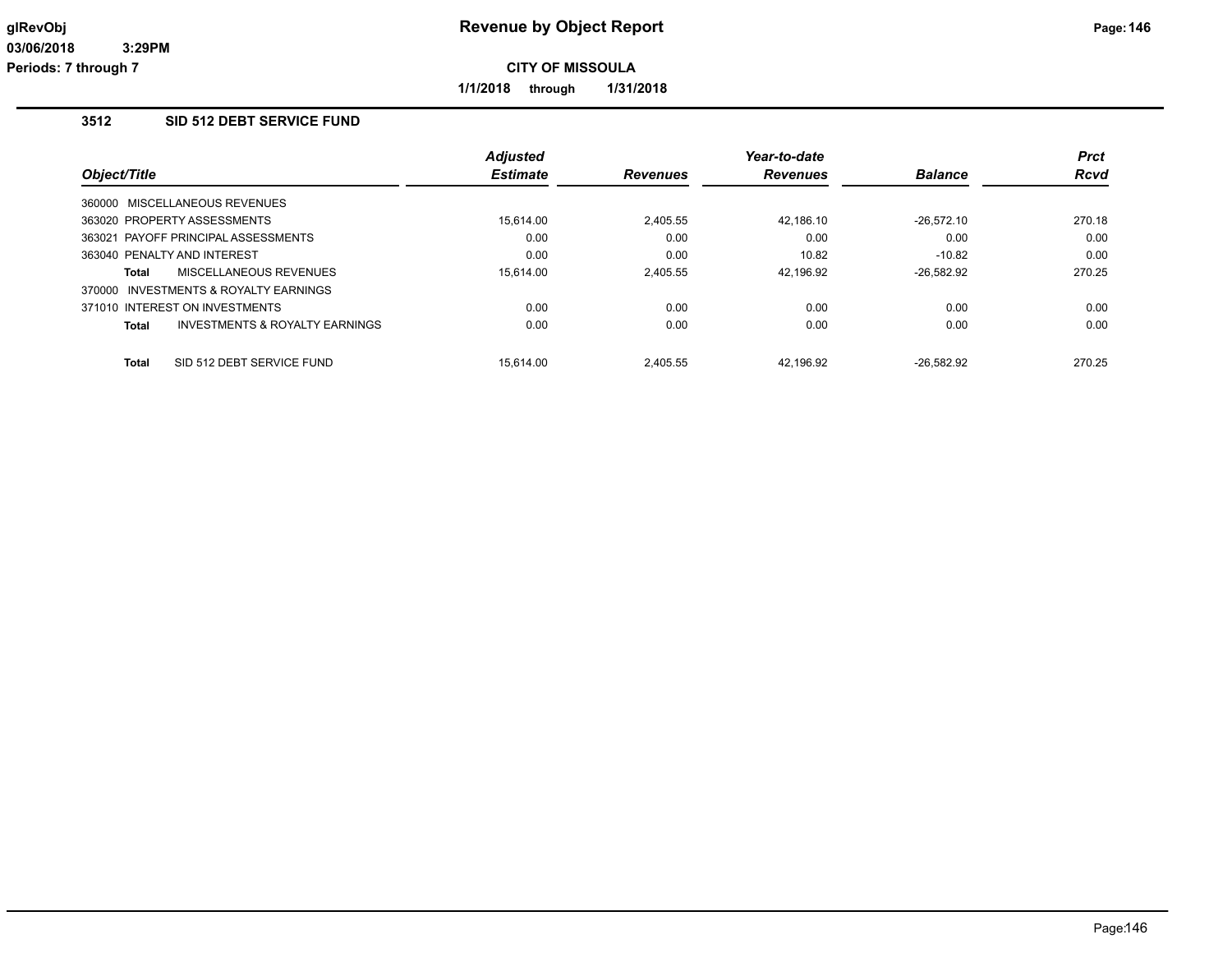**1/1/2018 through 1/31/2018**

# **3512 SID 512 DEBT SERVICE FUND**

|              |                                           | <b>Adjusted</b> |                 | Year-to-date    |                | <b>Prct</b> |
|--------------|-------------------------------------------|-----------------|-----------------|-----------------|----------------|-------------|
| Object/Title |                                           | <b>Estimate</b> | <b>Revenues</b> | <b>Revenues</b> | <b>Balance</b> | <b>Rcvd</b> |
|              | 360000 MISCELLANEOUS REVENUES             |                 |                 |                 |                |             |
|              | 363020 PROPERTY ASSESSMENTS               | 15.614.00       | 2.405.55        | 42.186.10       | $-26.572.10$   | 270.18      |
|              | 363021 PAYOFF PRINCIPAL ASSESSMENTS       | 0.00            | 0.00            | 0.00            | 0.00           | 0.00        |
|              | 363040 PENALTY AND INTEREST               | 0.00            | 0.00            | 10.82           | $-10.82$       | 0.00        |
| Total        | MISCELLANEOUS REVENUES                    | 15.614.00       | 2.405.55        | 42.196.92       | $-26.582.92$   | 270.25      |
|              | 370000 INVESTMENTS & ROYALTY EARNINGS     |                 |                 |                 |                |             |
|              | 371010 INTEREST ON INVESTMENTS            | 0.00            | 0.00            | 0.00            | 0.00           | 0.00        |
| <b>Total</b> | <b>INVESTMENTS &amp; ROYALTY EARNINGS</b> | 0.00            | 0.00            | 0.00            | 0.00           | 0.00        |
| <b>Total</b> | SID 512 DEBT SERVICE FUND                 | 15.614.00       | 2.405.55        | 42.196.92       | $-26.582.92$   | 270.25      |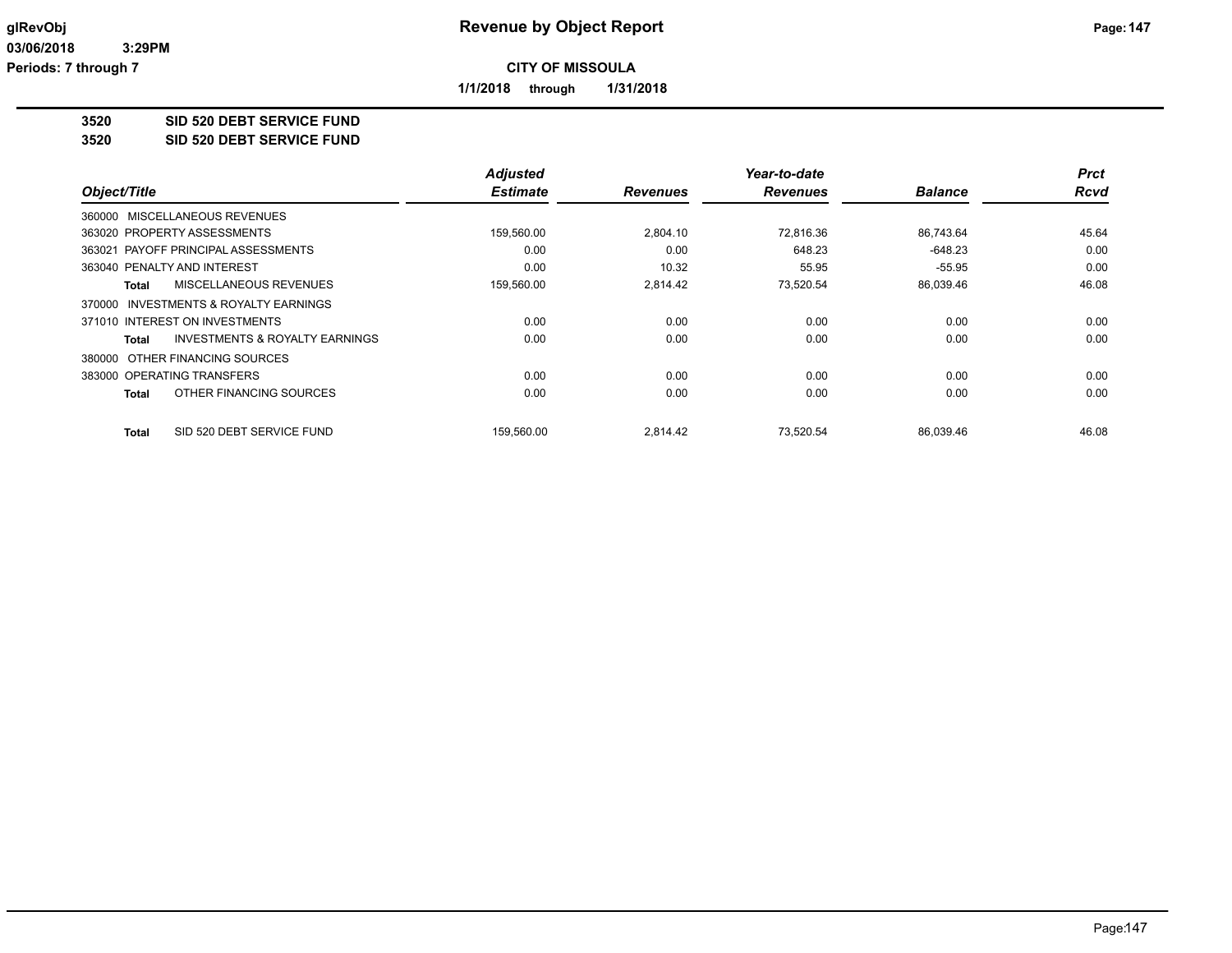**1/1/2018 through 1/31/2018**

**3520 SID 520 DEBT SERVICE FUND**

**3520 SID 520 DEBT SERVICE FUND**

|                                                    | <b>Adjusted</b> |                 | Year-to-date    |                | <b>Prct</b> |
|----------------------------------------------------|-----------------|-----------------|-----------------|----------------|-------------|
| Object/Title                                       | <b>Estimate</b> | <b>Revenues</b> | <b>Revenues</b> | <b>Balance</b> | <b>Rcvd</b> |
| 360000 MISCELLANEOUS REVENUES                      |                 |                 |                 |                |             |
| 363020 PROPERTY ASSESSMENTS                        | 159,560.00      | 2,804.10        | 72.816.36       | 86,743.64      | 45.64       |
| PAYOFF PRINCIPAL ASSESSMENTS<br>363021             | 0.00            | 0.00            | 648.23          | $-648.23$      | 0.00        |
| 363040 PENALTY AND INTEREST                        | 0.00            | 10.32           | 55.95           | $-55.95$       | 0.00        |
| MISCELLANEOUS REVENUES<br><b>Total</b>             | 159,560.00      | 2.814.42        | 73,520.54       | 86,039.46      | 46.08       |
| 370000 INVESTMENTS & ROYALTY EARNINGS              |                 |                 |                 |                |             |
| 371010 INTEREST ON INVESTMENTS                     | 0.00            | 0.00            | 0.00            | 0.00           | 0.00        |
| <b>INVESTMENTS &amp; ROYALTY EARNINGS</b><br>Total | 0.00            | 0.00            | 0.00            | 0.00           | 0.00        |
| 380000 OTHER FINANCING SOURCES                     |                 |                 |                 |                |             |
| 383000 OPERATING TRANSFERS                         | 0.00            | 0.00            | 0.00            | 0.00           | 0.00        |
| OTHER FINANCING SOURCES<br><b>Total</b>            | 0.00            | 0.00            | 0.00            | 0.00           | 0.00        |
| SID 520 DEBT SERVICE FUND<br><b>Total</b>          | 159,560.00      | 2,814.42        | 73.520.54       | 86,039.46      | 46.08       |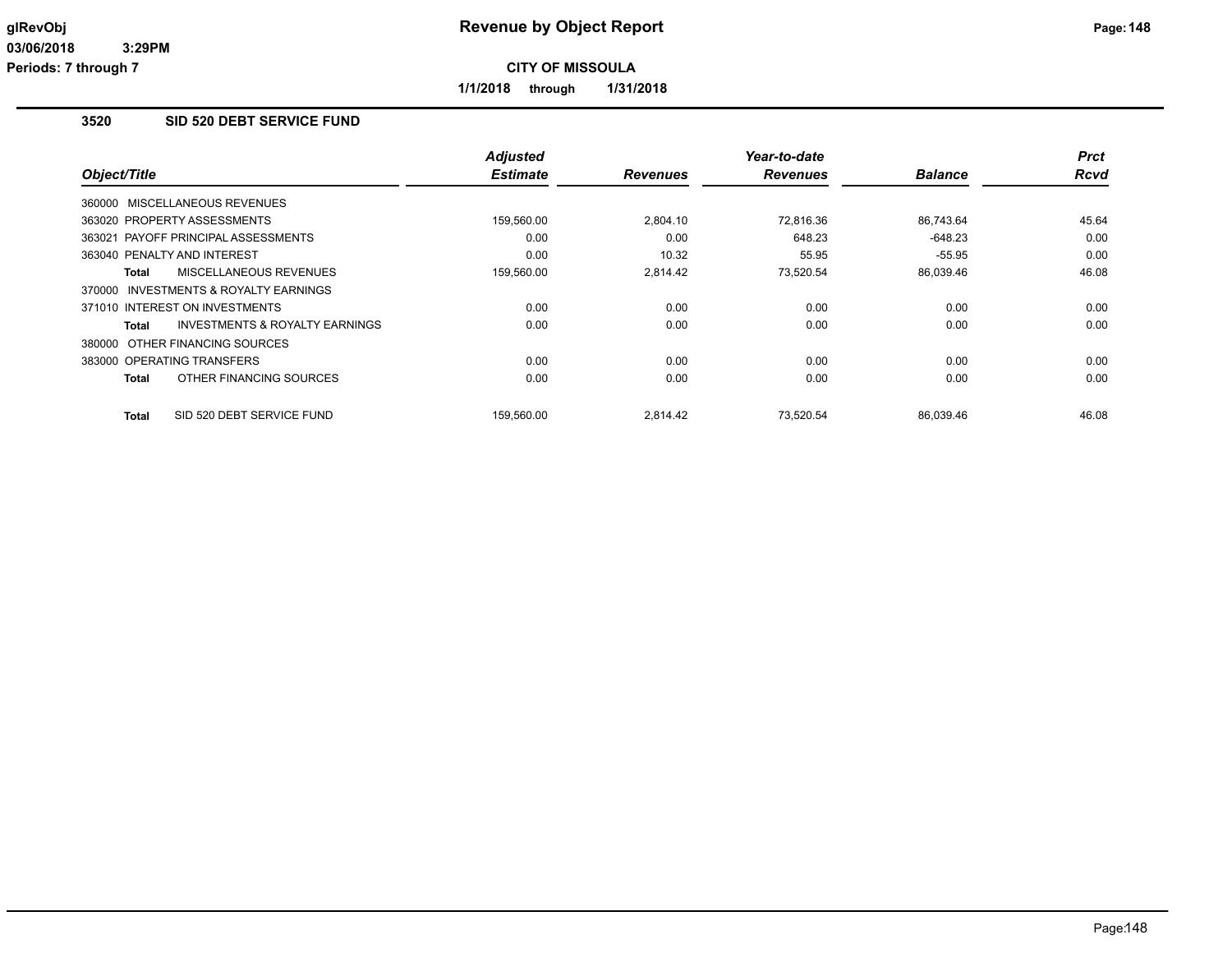**1/1/2018 through 1/31/2018**

## **3520 SID 520 DEBT SERVICE FUND**

|                                                           | <b>Adjusted</b> |                 | Year-to-date    |                | <b>Prct</b> |
|-----------------------------------------------------------|-----------------|-----------------|-----------------|----------------|-------------|
| Object/Title                                              | <b>Estimate</b> | <b>Revenues</b> | <b>Revenues</b> | <b>Balance</b> | Rcvd        |
| 360000 MISCELLANEOUS REVENUES                             |                 |                 |                 |                |             |
| 363020 PROPERTY ASSESSMENTS                               | 159,560.00      | 2,804.10        | 72.816.36       | 86.743.64      | 45.64       |
| 363021 PAYOFF PRINCIPAL ASSESSMENTS                       | 0.00            | 0.00            | 648.23          | $-648.23$      | 0.00        |
| 363040 PENALTY AND INTEREST                               | 0.00            | 10.32           | 55.95           | $-55.95$       | 0.00        |
| MISCELLANEOUS REVENUES<br><b>Total</b>                    | 159,560.00      | 2,814.42        | 73,520.54       | 86,039.46      | 46.08       |
| 370000 INVESTMENTS & ROYALTY EARNINGS                     |                 |                 |                 |                |             |
| 371010 INTEREST ON INVESTMENTS                            | 0.00            | 0.00            | 0.00            | 0.00           | 0.00        |
| <b>INVESTMENTS &amp; ROYALTY EARNINGS</b><br><b>Total</b> | 0.00            | 0.00            | 0.00            | 0.00           | 0.00        |
| 380000 OTHER FINANCING SOURCES                            |                 |                 |                 |                |             |
| 383000 OPERATING TRANSFERS                                | 0.00            | 0.00            | 0.00            | 0.00           | 0.00        |
| OTHER FINANCING SOURCES<br>Total                          | 0.00            | 0.00            | 0.00            | 0.00           | 0.00        |
| SID 520 DEBT SERVICE FUND<br><b>Total</b>                 | 159,560.00      | 2,814.42        | 73.520.54       | 86,039.46      | 46.08       |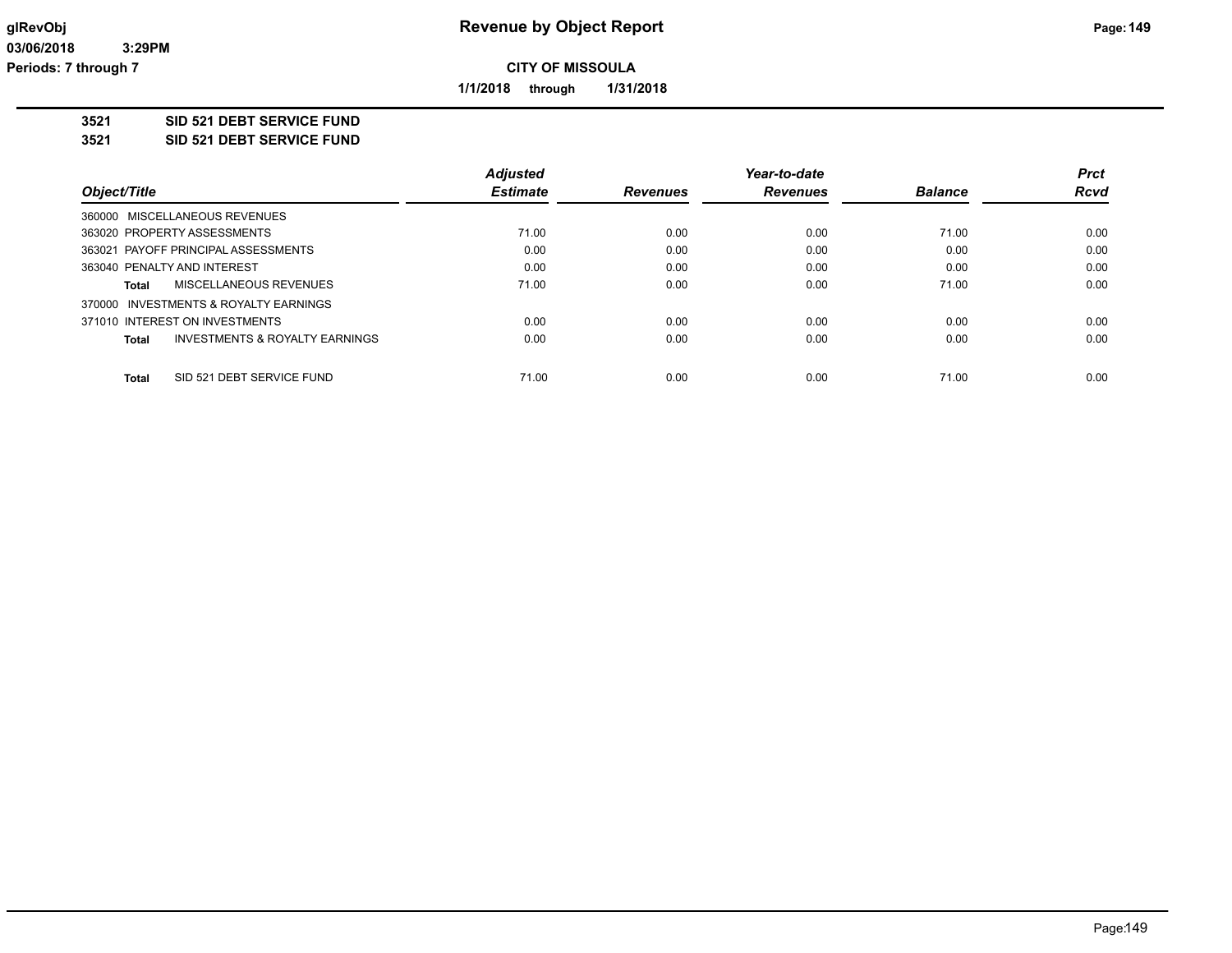**1/1/2018 through 1/31/2018**

**3521 SID 521 DEBT SERVICE FUND**

**3521 SID 521 DEBT SERVICE FUND**

|                                                    | <b>Adjusted</b> |                 | Year-to-date    |                | <b>Prct</b> |
|----------------------------------------------------|-----------------|-----------------|-----------------|----------------|-------------|
| Object/Title                                       | <b>Estimate</b> | <b>Revenues</b> | <b>Revenues</b> | <b>Balance</b> | <b>Rcvd</b> |
| 360000 MISCELLANEOUS REVENUES                      |                 |                 |                 |                |             |
| 363020 PROPERTY ASSESSMENTS                        | 71.00           | 0.00            | 0.00            | 71.00          | 0.00        |
| 363021 PAYOFF PRINCIPAL ASSESSMENTS                | 0.00            | 0.00            | 0.00            | 0.00           | 0.00        |
| 363040 PENALTY AND INTEREST                        | 0.00            | 0.00            | 0.00            | 0.00           | 0.00        |
| MISCELLANEOUS REVENUES<br>Total                    | 71.00           | 0.00            | 0.00            | 71.00          | 0.00        |
| 370000 INVESTMENTS & ROYALTY EARNINGS              |                 |                 |                 |                |             |
| 371010 INTEREST ON INVESTMENTS                     | 0.00            | 0.00            | 0.00            | 0.00           | 0.00        |
| <b>INVESTMENTS &amp; ROYALTY EARNINGS</b><br>Total | 0.00            | 0.00            | 0.00            | 0.00           | 0.00        |
| SID 521 DEBT SERVICE FUND<br>Total                 | 71.00           | 0.00            | 0.00            | 71.00          | 0.00        |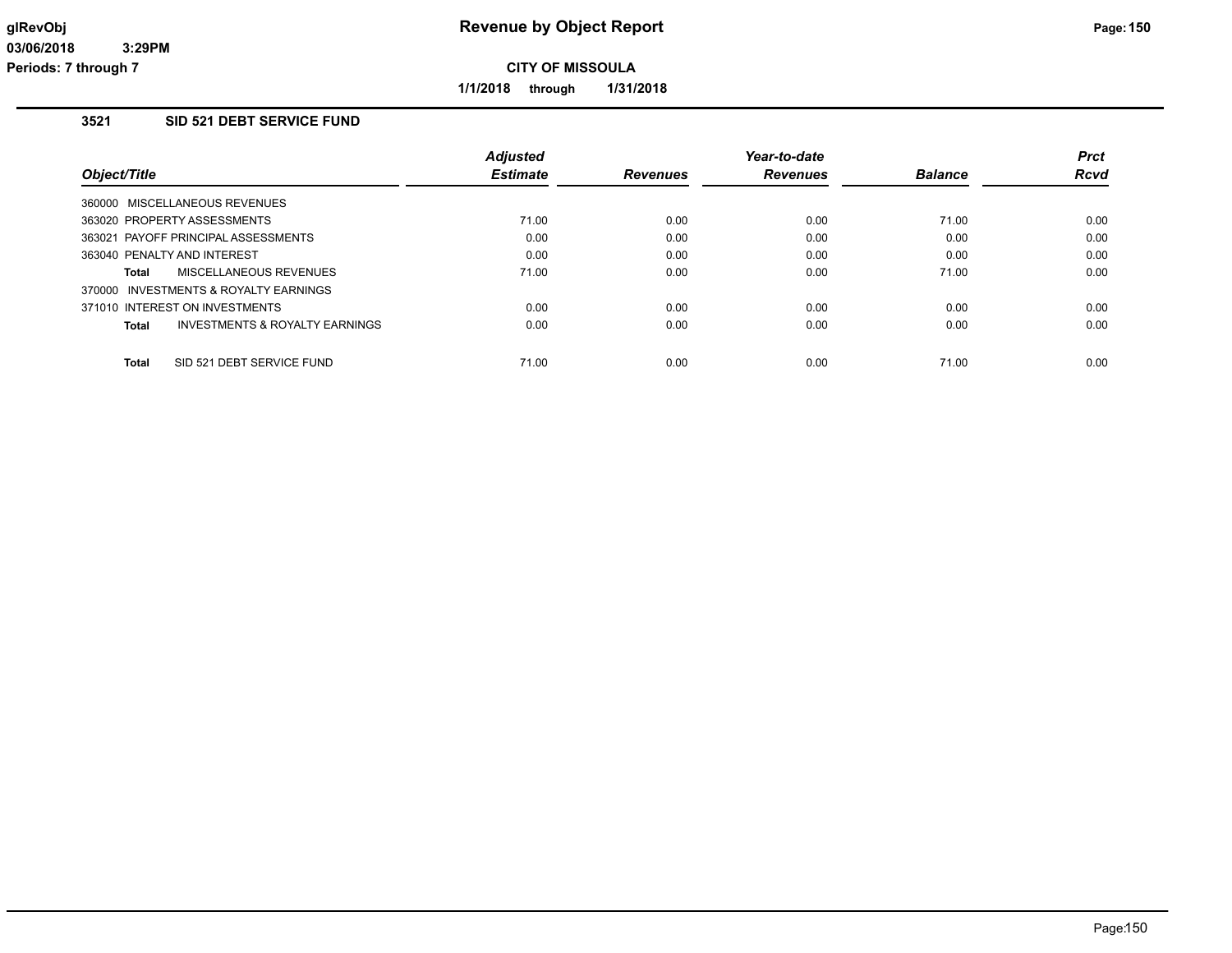**1/1/2018 through 1/31/2018**

# **3521 SID 521 DEBT SERVICE FUND**

|                                           | <b>Adiusted</b> |                 | Year-to-date    |                | <b>Prct</b> |
|-------------------------------------------|-----------------|-----------------|-----------------|----------------|-------------|
| Object/Title                              | <b>Estimate</b> | <b>Revenues</b> | <b>Revenues</b> | <b>Balance</b> | Rcvd        |
| 360000 MISCELLANEOUS REVENUES             |                 |                 |                 |                |             |
| 363020 PROPERTY ASSESSMENTS               | 71.00           | 0.00            | 0.00            | 71.00          | 0.00        |
| 363021 PAYOFF PRINCIPAL ASSESSMENTS       | 0.00            | 0.00            | 0.00            | 0.00           | 0.00        |
| 363040 PENALTY AND INTEREST               | 0.00            | 0.00            | 0.00            | 0.00           | 0.00        |
| <b>MISCELLANEOUS REVENUES</b><br>Total    | 71.00           | 0.00            | 0.00            | 71.00          | 0.00        |
| 370000 INVESTMENTS & ROYALTY EARNINGS     |                 |                 |                 |                |             |
| 371010 INTEREST ON INVESTMENTS            | 0.00            | 0.00            | 0.00            | 0.00           | 0.00        |
| INVESTMENTS & ROYALTY EARNINGS<br>Total   | 0.00            | 0.00            | 0.00            | 0.00           | 0.00        |
| SID 521 DEBT SERVICE FUND<br><b>Total</b> | 71.00           | 0.00            | 0.00            | 71.00          | 0.00        |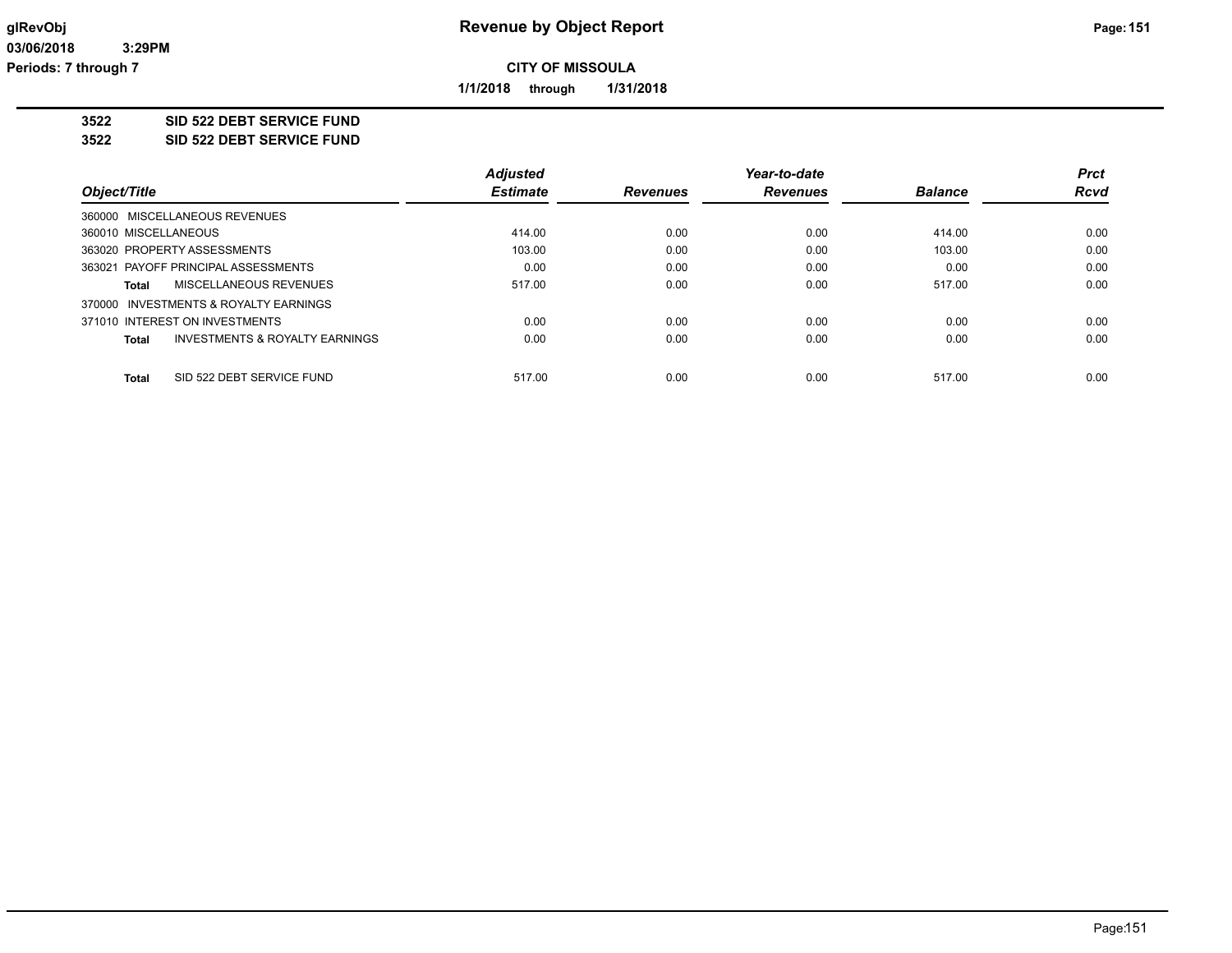**1/1/2018 through 1/31/2018**

#### **3522 SID 522 DEBT SERVICE FUND**

**3522 SID 522 DEBT SERVICE FUND**

|                                                    | <b>Adjusted</b> |                 | Year-to-date    |                | <b>Prct</b> |
|----------------------------------------------------|-----------------|-----------------|-----------------|----------------|-------------|
| Object/Title                                       | <b>Estimate</b> | <b>Revenues</b> | <b>Revenues</b> | <b>Balance</b> | <b>Rcvd</b> |
| 360000 MISCELLANEOUS REVENUES                      |                 |                 |                 |                |             |
| 360010 MISCELLANEOUS                               | 414.00          | 0.00            | 0.00            | 414.00         | 0.00        |
| 363020 PROPERTY ASSESSMENTS                        | 103.00          | 0.00            | 0.00            | 103.00         | 0.00        |
| 363021 PAYOFF PRINCIPAL ASSESSMENTS                | 0.00            | 0.00            | 0.00            | 0.00           | 0.00        |
| MISCELLANEOUS REVENUES<br>Total                    | 517.00          | 0.00            | 0.00            | 517.00         | 0.00        |
| 370000 INVESTMENTS & ROYALTY EARNINGS              |                 |                 |                 |                |             |
| 371010 INTEREST ON INVESTMENTS                     | 0.00            | 0.00            | 0.00            | 0.00           | 0.00        |
| <b>INVESTMENTS &amp; ROYALTY EARNINGS</b><br>Total | 0.00            | 0.00            | 0.00            | 0.00           | 0.00        |
| SID 522 DEBT SERVICE FUND<br>Total                 | 517.00          | 0.00            | 0.00            | 517.00         | 0.00        |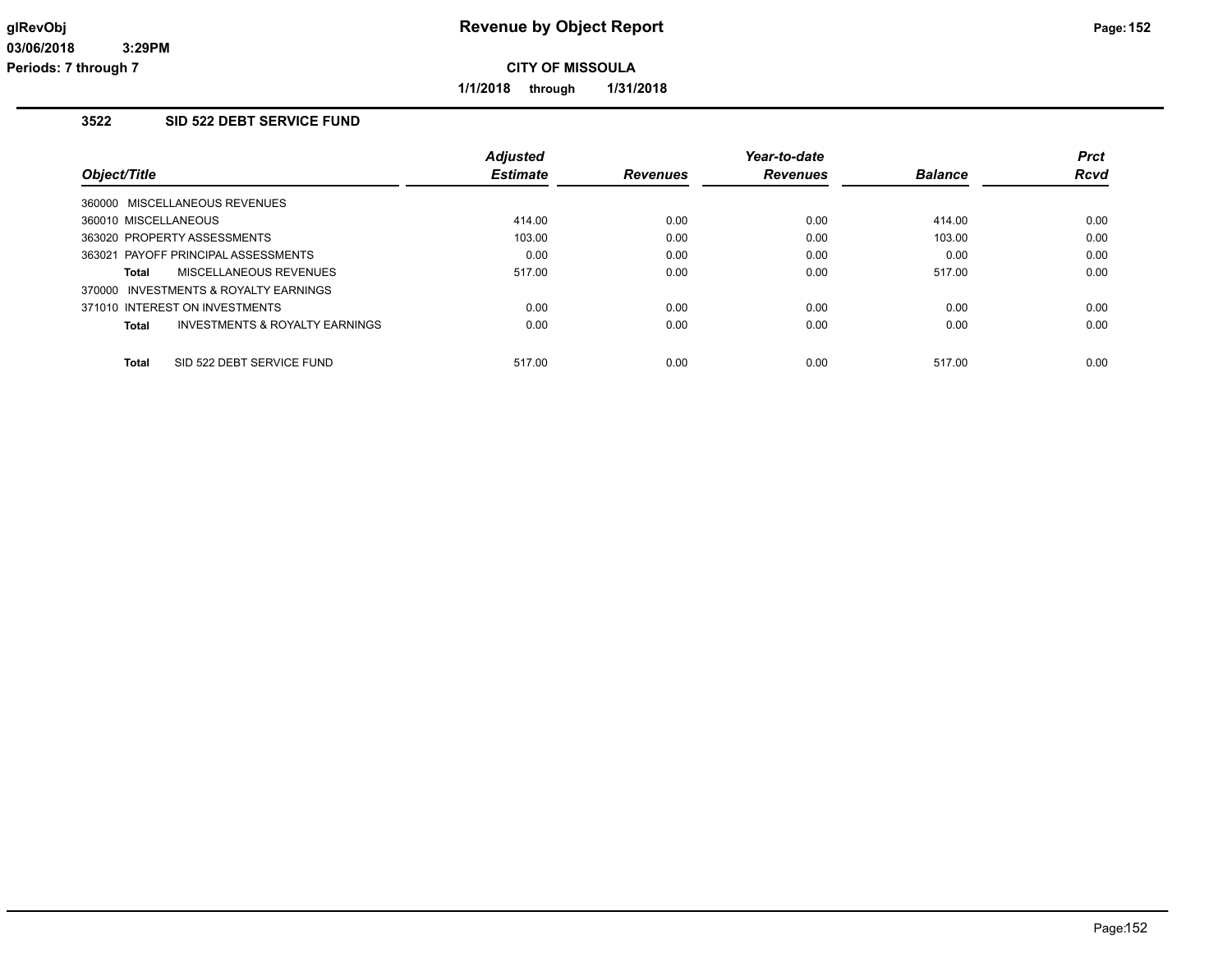**1/1/2018 through 1/31/2018**

# **3522 SID 522 DEBT SERVICE FUND**

|                                                    | <b>Adjusted</b> |                 | Year-to-date    |                | <b>Prct</b> |
|----------------------------------------------------|-----------------|-----------------|-----------------|----------------|-------------|
| Object/Title                                       | <b>Estimate</b> | <b>Revenues</b> | <b>Revenues</b> | <b>Balance</b> | <b>Rcvd</b> |
| 360000 MISCELLANEOUS REVENUES                      |                 |                 |                 |                |             |
| 360010 MISCELLANEOUS                               | 414.00          | 0.00            | 0.00            | 414.00         | 0.00        |
| 363020 PROPERTY ASSESSMENTS                        | 103.00          | 0.00            | 0.00            | 103.00         | 0.00        |
| 363021 PAYOFF PRINCIPAL ASSESSMENTS                | 0.00            | 0.00            | 0.00            | 0.00           | 0.00        |
| MISCELLANEOUS REVENUES<br>Total                    | 517.00          | 0.00            | 0.00            | 517.00         | 0.00        |
| 370000 INVESTMENTS & ROYALTY EARNINGS              |                 |                 |                 |                |             |
| 371010 INTEREST ON INVESTMENTS                     | 0.00            | 0.00            | 0.00            | 0.00           | 0.00        |
| <b>INVESTMENTS &amp; ROYALTY EARNINGS</b><br>Total | 0.00            | 0.00            | 0.00            | 0.00           | 0.00        |
| <b>Total</b><br>SID 522 DEBT SERVICE FUND          | 517.00          | 0.00            | 0.00            | 517.00         | 0.00        |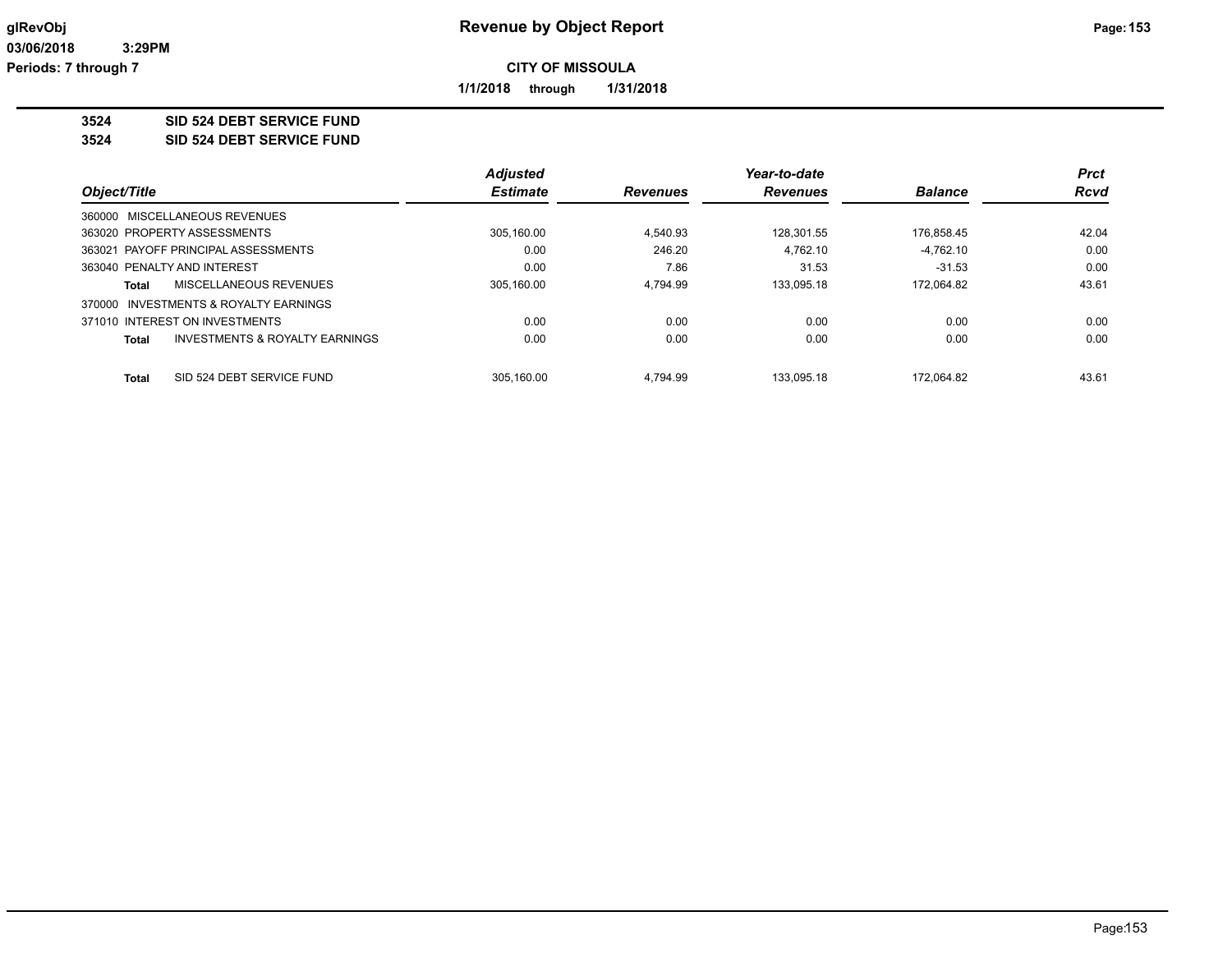**1/1/2018 through 1/31/2018**

**3524 SID 524 DEBT SERVICE FUND**

**3524 SID 524 DEBT SERVICE FUND**

|                                                | <b>Adjusted</b> |                 | Year-to-date    |                | <b>Prct</b> |
|------------------------------------------------|-----------------|-----------------|-----------------|----------------|-------------|
| Object/Title                                   | <b>Estimate</b> | <b>Revenues</b> | <b>Revenues</b> | <b>Balance</b> | <b>Rcvd</b> |
| 360000 MISCELLANEOUS REVENUES                  |                 |                 |                 |                |             |
| 363020 PROPERTY ASSESSMENTS                    | 305,160.00      | 4.540.93        | 128.301.55      | 176,858.45     | 42.04       |
| 363021 PAYOFF PRINCIPAL ASSESSMENTS            | 0.00            | 246.20          | 4.762.10        | $-4.762.10$    | 0.00        |
| 363040 PENALTY AND INTEREST                    | 0.00            | 7.86            | 31.53           | $-31.53$       | 0.00        |
| MISCELLANEOUS REVENUES<br>Total                | 305.160.00      | 4.794.99        | 133.095.18      | 172.064.82     | 43.61       |
| INVESTMENTS & ROYALTY EARNINGS<br>370000       |                 |                 |                 |                |             |
| 371010 INTEREST ON INVESTMENTS                 | 0.00            | 0.00            | 0.00            | 0.00           | 0.00        |
| INVESTMENTS & ROYALTY EARNINGS<br><b>Total</b> | 0.00            | 0.00            | 0.00            | 0.00           | 0.00        |
|                                                |                 |                 |                 |                |             |
| SID 524 DEBT SERVICE FUND<br><b>Total</b>      | 305.160.00      | 4.794.99        | 133.095.18      | 172.064.82     | 43.61       |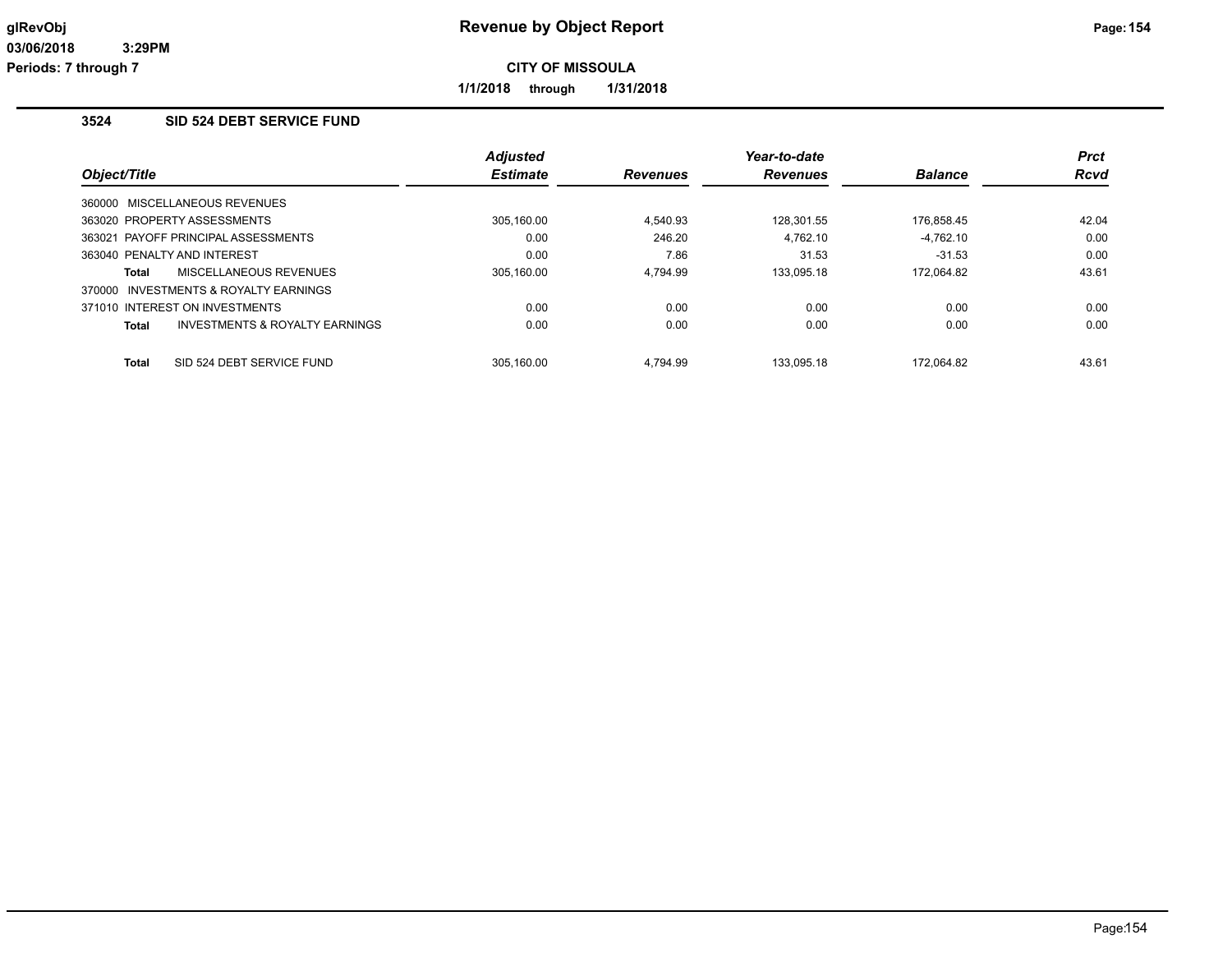**1/1/2018 through 1/31/2018**

# **3524 SID 524 DEBT SERVICE FUND**

|              |                                       | <b>Adjusted</b> |                 | Year-to-date    |                | <b>Prct</b> |
|--------------|---------------------------------------|-----------------|-----------------|-----------------|----------------|-------------|
| Object/Title |                                       | <b>Estimate</b> | <b>Revenues</b> | <b>Revenues</b> | <b>Balance</b> | <b>Rcvd</b> |
|              | 360000 MISCELLANEOUS REVENUES         |                 |                 |                 |                |             |
|              | 363020 PROPERTY ASSESSMENTS           | 305,160.00      | 4.540.93        | 128.301.55      | 176,858.45     | 42.04       |
|              | 363021 PAYOFF PRINCIPAL ASSESSMENTS   | 0.00            | 246.20          | 4.762.10        | $-4.762.10$    | 0.00        |
|              | 363040 PENALTY AND INTEREST           | 0.00            | 7.86            | 31.53           | $-31.53$       | 0.00        |
| Total        | MISCELLANEOUS REVENUES                | 305.160.00      | 4.794.99        | 133.095.18      | 172.064.82     | 43.61       |
|              | 370000 INVESTMENTS & ROYALTY EARNINGS |                 |                 |                 |                |             |
|              | 371010 INTEREST ON INVESTMENTS        | 0.00            | 0.00            | 0.00            | 0.00           | 0.00        |
| <b>Total</b> | INVESTMENTS & ROYALTY EARNINGS        | 0.00            | 0.00            | 0.00            | 0.00           | 0.00        |
| <b>Total</b> | SID 524 DEBT SERVICE FUND             | 305.160.00      | 4.794.99        | 133.095.18      | 172.064.82     | 43.61       |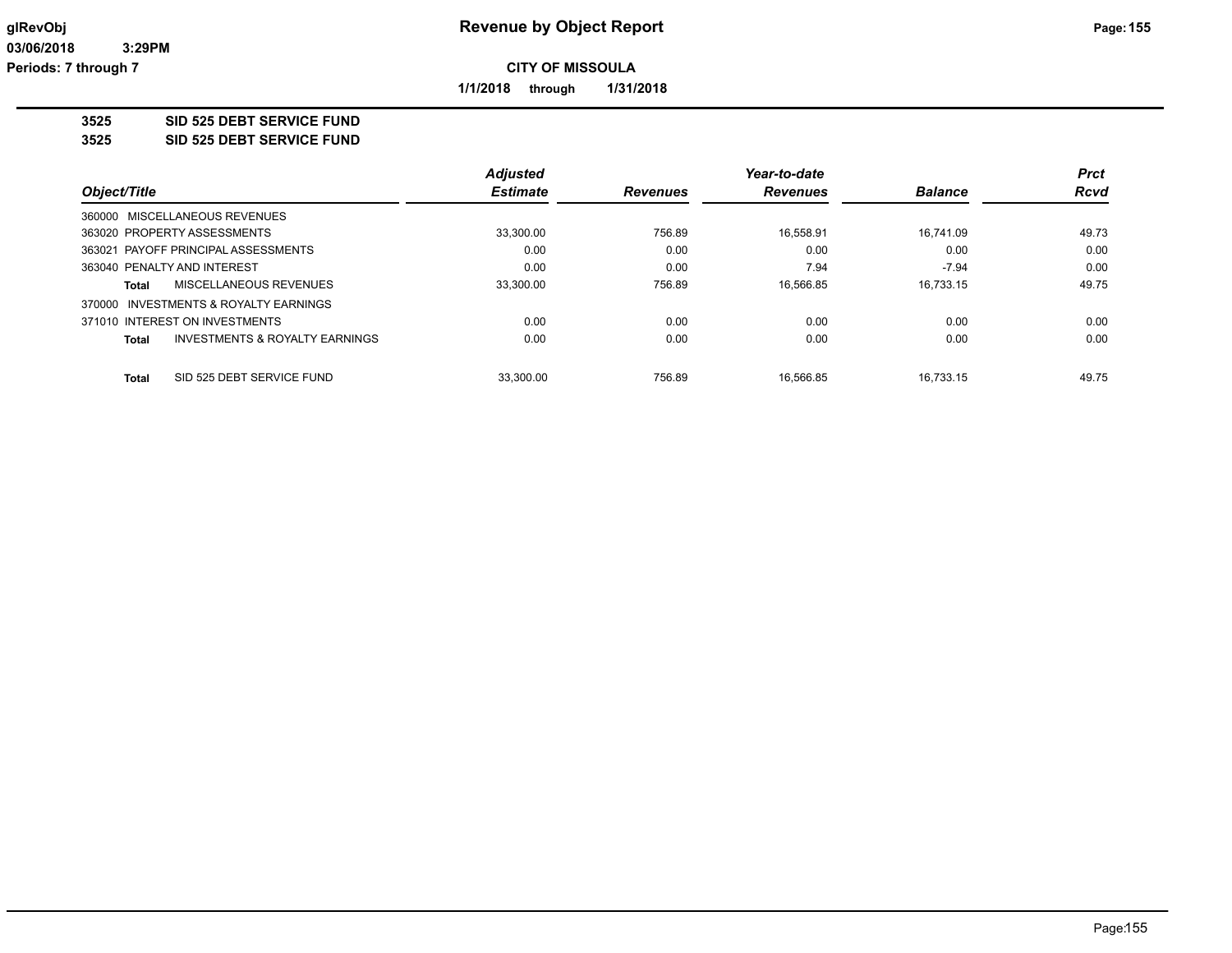**1/1/2018 through 1/31/2018**

**3525 SID 525 DEBT SERVICE FUND**

**3525 SID 525 DEBT SERVICE FUND**

|                                                           | <b>Adjusted</b> |                 | Year-to-date    |                | <b>Prct</b> |
|-----------------------------------------------------------|-----------------|-----------------|-----------------|----------------|-------------|
| Object/Title                                              | <b>Estimate</b> | <b>Revenues</b> | <b>Revenues</b> | <b>Balance</b> | <b>Rcvd</b> |
| 360000 MISCELLANEOUS REVENUES                             |                 |                 |                 |                |             |
| 363020 PROPERTY ASSESSMENTS                               | 33,300.00       | 756.89          | 16.558.91       | 16.741.09      | 49.73       |
| 363021 PAYOFF PRINCIPAL ASSESSMENTS                       | 0.00            | 0.00            | 0.00            | 0.00           | 0.00        |
| 363040 PENALTY AND INTEREST                               | 0.00            | 0.00            | 7.94            | $-7.94$        | 0.00        |
| MISCELLANEOUS REVENUES<br>Total                           | 33,300.00       | 756.89          | 16.566.85       | 16.733.15      | 49.75       |
| 370000 INVESTMENTS & ROYALTY EARNINGS                     |                 |                 |                 |                |             |
| 371010 INTEREST ON INVESTMENTS                            | 0.00            | 0.00            | 0.00            | 0.00           | 0.00        |
| <b>INVESTMENTS &amp; ROYALTY EARNINGS</b><br><b>Total</b> | 0.00            | 0.00            | 0.00            | 0.00           | 0.00        |
|                                                           |                 |                 |                 |                |             |
| SID 525 DEBT SERVICE FUND<br><b>Total</b>                 | 33.300.00       | 756.89          | 16.566.85       | 16.733.15      | 49.75       |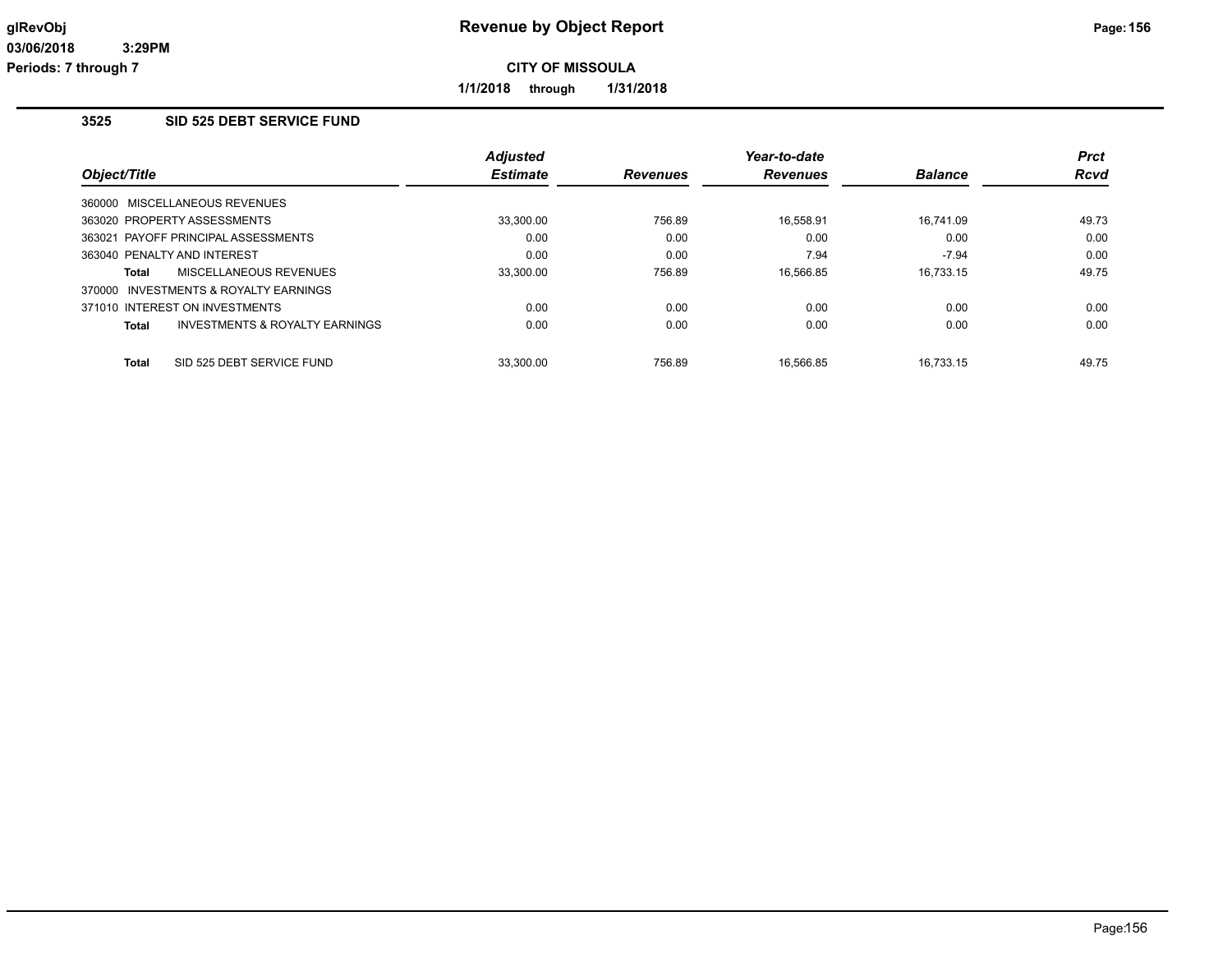**1/1/2018 through 1/31/2018**

## **3525 SID 525 DEBT SERVICE FUND**

|                                       |                                           | <b>Adjusted</b> |                 | Year-to-date    |                | <b>Prct</b> |
|---------------------------------------|-------------------------------------------|-----------------|-----------------|-----------------|----------------|-------------|
| Object/Title                          |                                           | <b>Estimate</b> | <b>Revenues</b> | <b>Revenues</b> | <b>Balance</b> | <b>Rcvd</b> |
| 360000 MISCELLANEOUS REVENUES         |                                           |                 |                 |                 |                |             |
| 363020 PROPERTY ASSESSMENTS           |                                           | 33,300.00       | 756.89          | 16.558.91       | 16.741.09      | 49.73       |
| 363021 PAYOFF PRINCIPAL ASSESSMENTS   |                                           | 0.00            | 0.00            | 0.00            | 0.00           | 0.00        |
| 363040 PENALTY AND INTEREST           |                                           | 0.00            | 0.00            | 7.94            | $-7.94$        | 0.00        |
| Total                                 | MISCELLANEOUS REVENUES                    | 33.300.00       | 756.89          | 16.566.85       | 16.733.15      | 49.75       |
| 370000 INVESTMENTS & ROYALTY EARNINGS |                                           |                 |                 |                 |                |             |
| 371010 INTEREST ON INVESTMENTS        |                                           | 0.00            | 0.00            | 0.00            | 0.00           | 0.00        |
| Total                                 | <b>INVESTMENTS &amp; ROYALTY EARNINGS</b> | 0.00            | 0.00            | 0.00            | 0.00           | 0.00        |
| <b>Total</b>                          | SID 525 DEBT SERVICE FUND                 | 33.300.00       | 756.89          | 16.566.85       | 16.733.15      | 49.75       |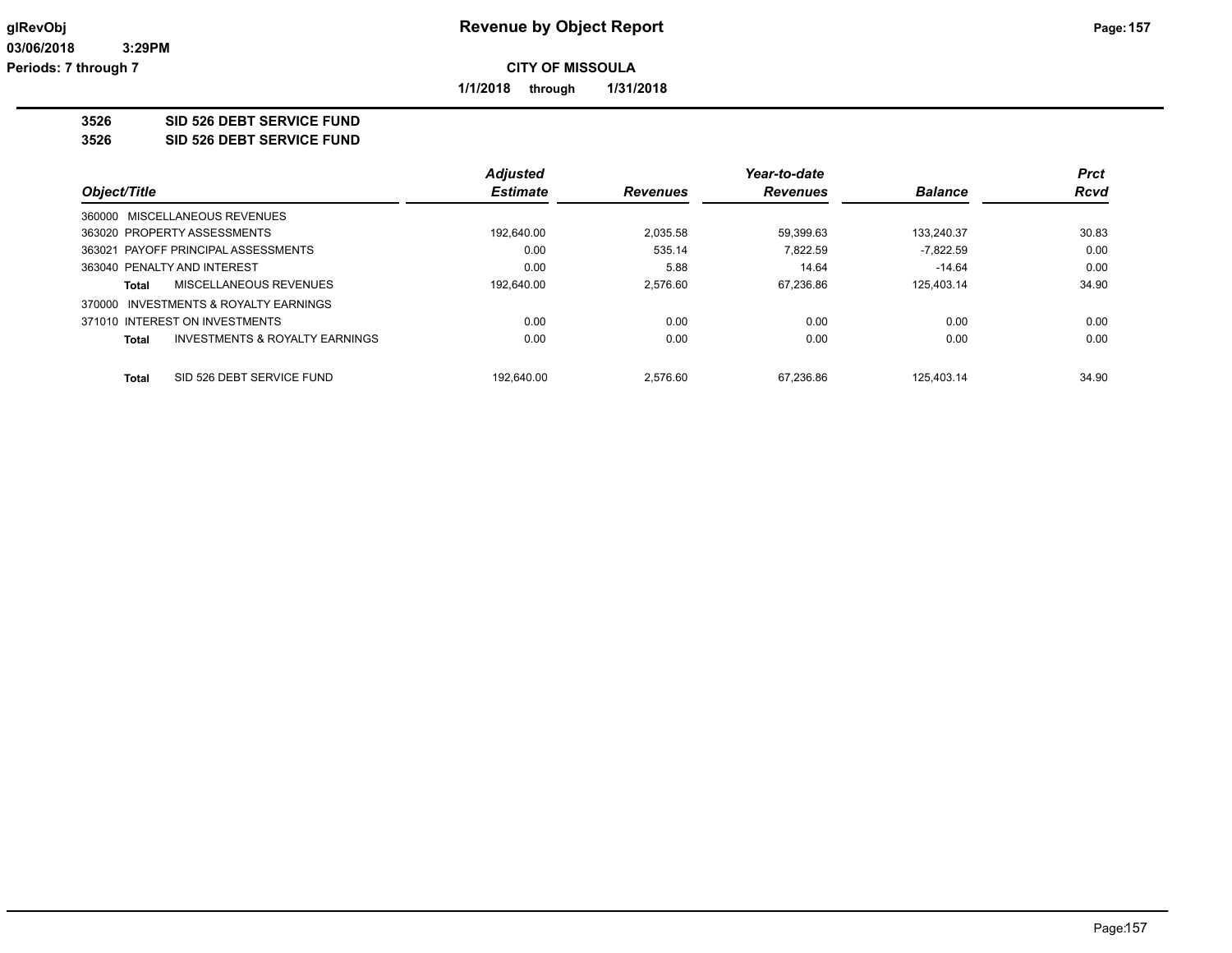**1/1/2018 through 1/31/2018**

**3526 SID 526 DEBT SERVICE FUND**

**3526 SID 526 DEBT SERVICE FUND**

|                                |                                     | <b>Adjusted</b> |          | Year-to-date<br><b>Revenues</b> | <b>Balance</b> | <b>Prct</b><br><b>Rcvd</b> |
|--------------------------------|-------------------------------------|-----------------|----------|---------------------------------|----------------|----------------------------|
| Object/Title                   | <b>Estimate</b>                     | <b>Revenues</b> |          |                                 |                |                            |
| 360000 MISCELLANEOUS REVENUES  |                                     |                 |          |                                 |                |                            |
| 363020 PROPERTY ASSESSMENTS    |                                     | 192,640.00      | 2.035.58 | 59.399.63                       | 133.240.37     | 30.83                      |
|                                | 363021 PAYOFF PRINCIPAL ASSESSMENTS | 0.00            | 535.14   | 7.822.59                        | $-7.822.59$    | 0.00                       |
| 363040 PENALTY AND INTEREST    |                                     | 0.00            | 5.88     | 14.64                           | $-14.64$       | 0.00                       |
| Total                          | MISCELLANEOUS REVENUES              | 192.640.00      | 2.576.60 | 67.236.86                       | 125.403.14     | 34.90                      |
| 370000                         | INVESTMENTS & ROYALTY EARNINGS      |                 |          |                                 |                |                            |
| 371010 INTEREST ON INVESTMENTS |                                     | 0.00            | 0.00     | 0.00                            | 0.00           | 0.00                       |
| <b>Total</b>                   | INVESTMENTS & ROYALTY EARNINGS      | 0.00            | 0.00     | 0.00                            | 0.00           | 0.00                       |
| <b>Total</b>                   | SID 526 DEBT SERVICE FUND           | 192.640.00      | 2.576.60 | 67.236.86                       | 125.403.14     | 34.90                      |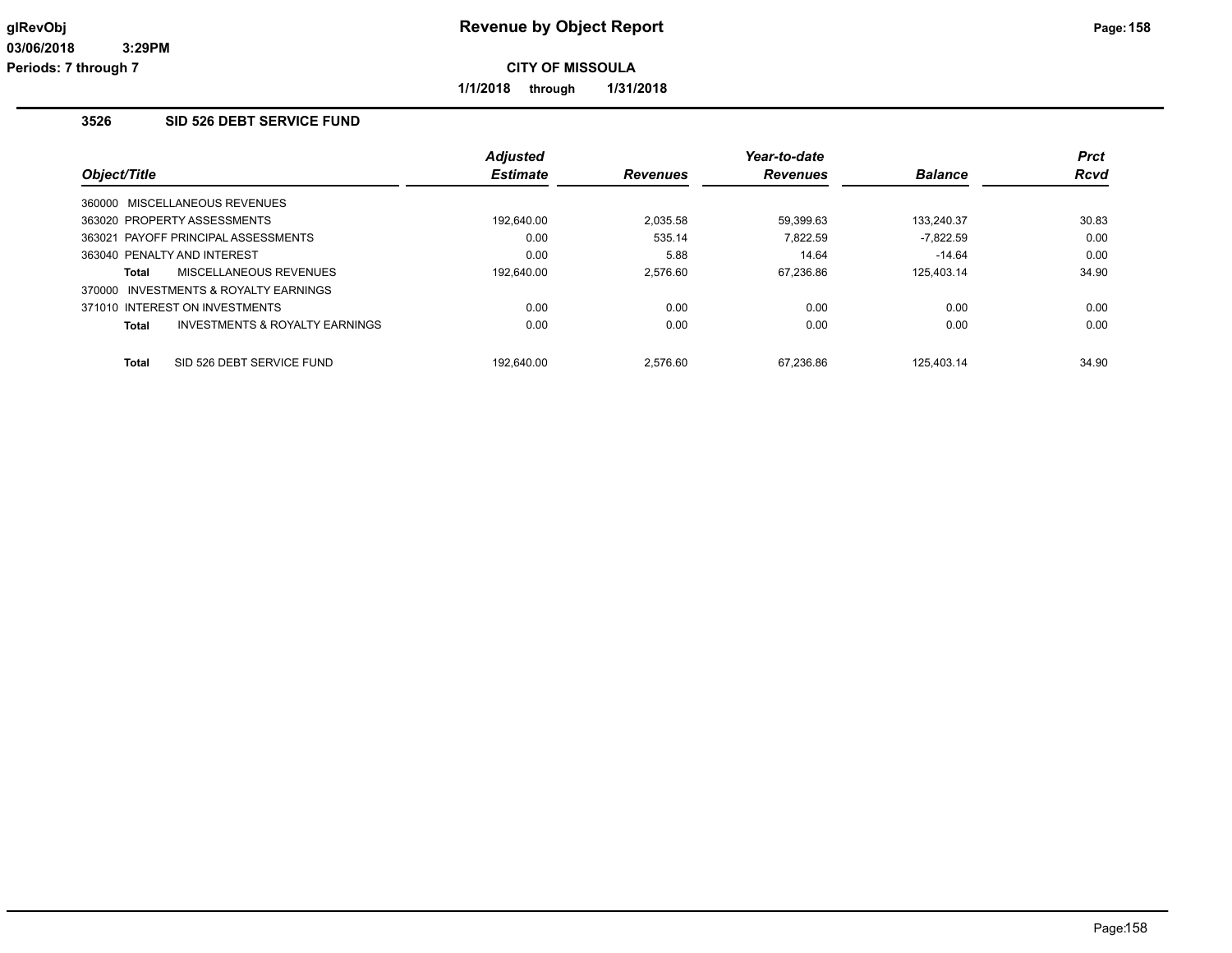**1/1/2018 through 1/31/2018**

## **3526 SID 526 DEBT SERVICE FUND**

|              |                                       | <b>Adjusted</b> |                 | Year-to-date    |                | <b>Prct</b> |
|--------------|---------------------------------------|-----------------|-----------------|-----------------|----------------|-------------|
| Object/Title |                                       | <b>Estimate</b> | <b>Revenues</b> | <b>Revenues</b> | <b>Balance</b> | <b>Rcvd</b> |
|              | 360000 MISCELLANEOUS REVENUES         |                 |                 |                 |                |             |
|              | 363020 PROPERTY ASSESSMENTS           | 192.640.00      | 2.035.58        | 59,399.63       | 133.240.37     | 30.83       |
|              | 363021 PAYOFF PRINCIPAL ASSESSMENTS   | 0.00            | 535.14          | 7.822.59        | $-7.822.59$    | 0.00        |
|              | 363040 PENALTY AND INTEREST           | 0.00            | 5.88            | 14.64           | $-14.64$       | 0.00        |
| Total        | MISCELLANEOUS REVENUES                | 192.640.00      | 2.576.60        | 67.236.86       | 125.403.14     | 34.90       |
|              | 370000 INVESTMENTS & ROYALTY EARNINGS |                 |                 |                 |                |             |
|              | 371010 INTEREST ON INVESTMENTS        | 0.00            | 0.00            | 0.00            | 0.00           | 0.00        |
| <b>Total</b> | INVESTMENTS & ROYALTY EARNINGS        | 0.00            | 0.00            | 0.00            | 0.00           | 0.00        |
| Total        | SID 526 DEBT SERVICE FUND             | 192.640.00      | 2.576.60        | 67.236.86       | 125.403.14     | 34.90       |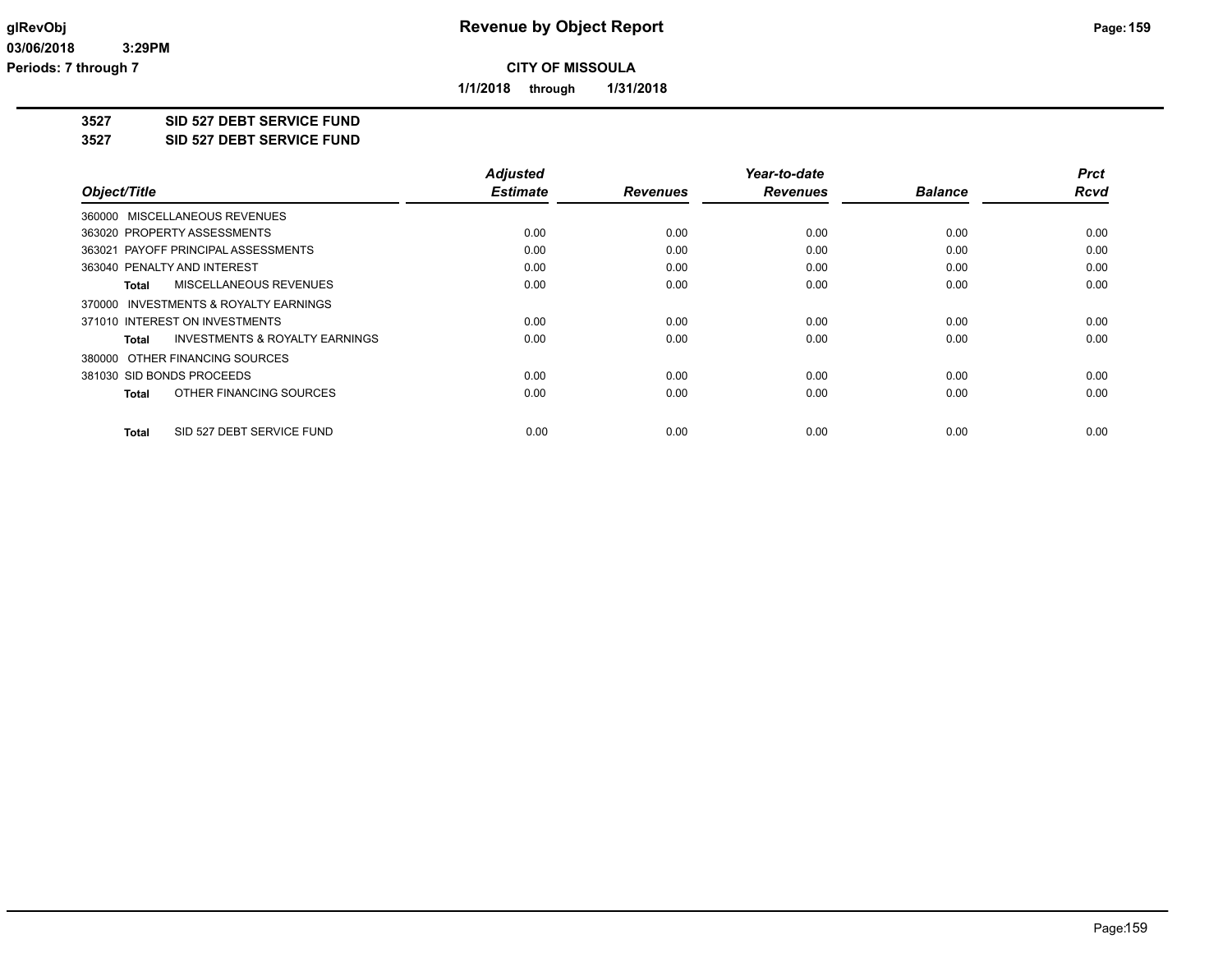**1/1/2018 through 1/31/2018**

**3527 SID 527 DEBT SERVICE FUND**

**3527 SID 527 DEBT SERVICE FUND**

|                                                     | <b>Adjusted</b> |                 | Year-to-date    |                | <b>Prct</b> |
|-----------------------------------------------------|-----------------|-----------------|-----------------|----------------|-------------|
| Object/Title                                        | <b>Estimate</b> | <b>Revenues</b> | <b>Revenues</b> | <b>Balance</b> | <b>Rcvd</b> |
| 360000 MISCELLANEOUS REVENUES                       |                 |                 |                 |                |             |
| 363020 PROPERTY ASSESSMENTS                         | 0.00            | 0.00            | 0.00            | 0.00           | 0.00        |
| 363021 PAYOFF PRINCIPAL ASSESSMENTS                 | 0.00            | 0.00            | 0.00            | 0.00           | 0.00        |
| 363040 PENALTY AND INTEREST                         | 0.00            | 0.00            | 0.00            | 0.00           | 0.00        |
| MISCELLANEOUS REVENUES<br><b>Total</b>              | 0.00            | 0.00            | 0.00            | 0.00           | 0.00        |
| <b>INVESTMENTS &amp; ROYALTY EARNINGS</b><br>370000 |                 |                 |                 |                |             |
| 371010 INTEREST ON INVESTMENTS                      | 0.00            | 0.00            | 0.00            | 0.00           | 0.00        |
| <b>INVESTMENTS &amp; ROYALTY EARNINGS</b><br>Total  | 0.00            | 0.00            | 0.00            | 0.00           | 0.00        |
| 380000 OTHER FINANCING SOURCES                      |                 |                 |                 |                |             |
| 381030 SID BONDS PROCEEDS                           | 0.00            | 0.00            | 0.00            | 0.00           | 0.00        |
| OTHER FINANCING SOURCES<br><b>Total</b>             | 0.00            | 0.00            | 0.00            | 0.00           | 0.00        |
| SID 527 DEBT SERVICE FUND<br><b>Total</b>           | 0.00            | 0.00            | 0.00            | 0.00           | 0.00        |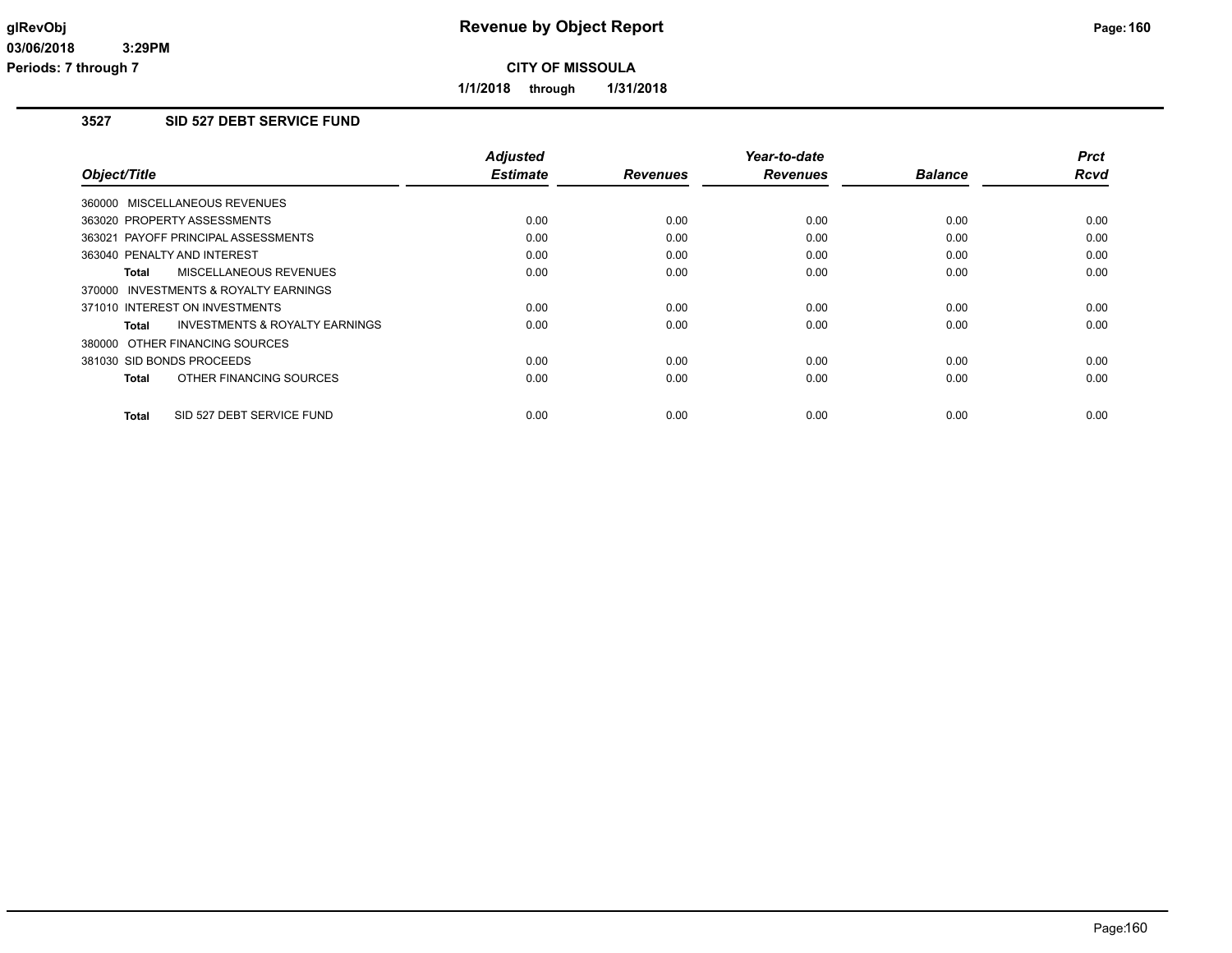**1/1/2018 through 1/31/2018**

## **3527 SID 527 DEBT SERVICE FUND**

|                                           | <b>Adjusted</b> |                 | Year-to-date    |                | <b>Prct</b> |
|-------------------------------------------|-----------------|-----------------|-----------------|----------------|-------------|
| Object/Title                              | <b>Estimate</b> | <b>Revenues</b> | <b>Revenues</b> | <b>Balance</b> | Rcvd        |
| 360000 MISCELLANEOUS REVENUES             |                 |                 |                 |                |             |
| 363020 PROPERTY ASSESSMENTS               | 0.00            | 0.00            | 0.00            | 0.00           | 0.00        |
| 363021 PAYOFF PRINCIPAL ASSESSMENTS       | 0.00            | 0.00            | 0.00            | 0.00           | 0.00        |
| 363040 PENALTY AND INTEREST               | 0.00            | 0.00            | 0.00            | 0.00           | 0.00        |
| <b>MISCELLANEOUS REVENUES</b><br>Total    | 0.00            | 0.00            | 0.00            | 0.00           | 0.00        |
| 370000 INVESTMENTS & ROYALTY EARNINGS     |                 |                 |                 |                |             |
| 371010 INTEREST ON INVESTMENTS            | 0.00            | 0.00            | 0.00            | 0.00           | 0.00        |
| INVESTMENTS & ROYALTY EARNINGS<br>Total   | 0.00            | 0.00            | 0.00            | 0.00           | 0.00        |
| 380000 OTHER FINANCING SOURCES            |                 |                 |                 |                |             |
| 381030 SID BONDS PROCEEDS                 | 0.00            | 0.00            | 0.00            | 0.00           | 0.00        |
| OTHER FINANCING SOURCES<br><b>Total</b>   | 0.00            | 0.00            | 0.00            | 0.00           | 0.00        |
| SID 527 DEBT SERVICE FUND<br><b>Total</b> | 0.00            | 0.00            | 0.00            | 0.00           | 0.00        |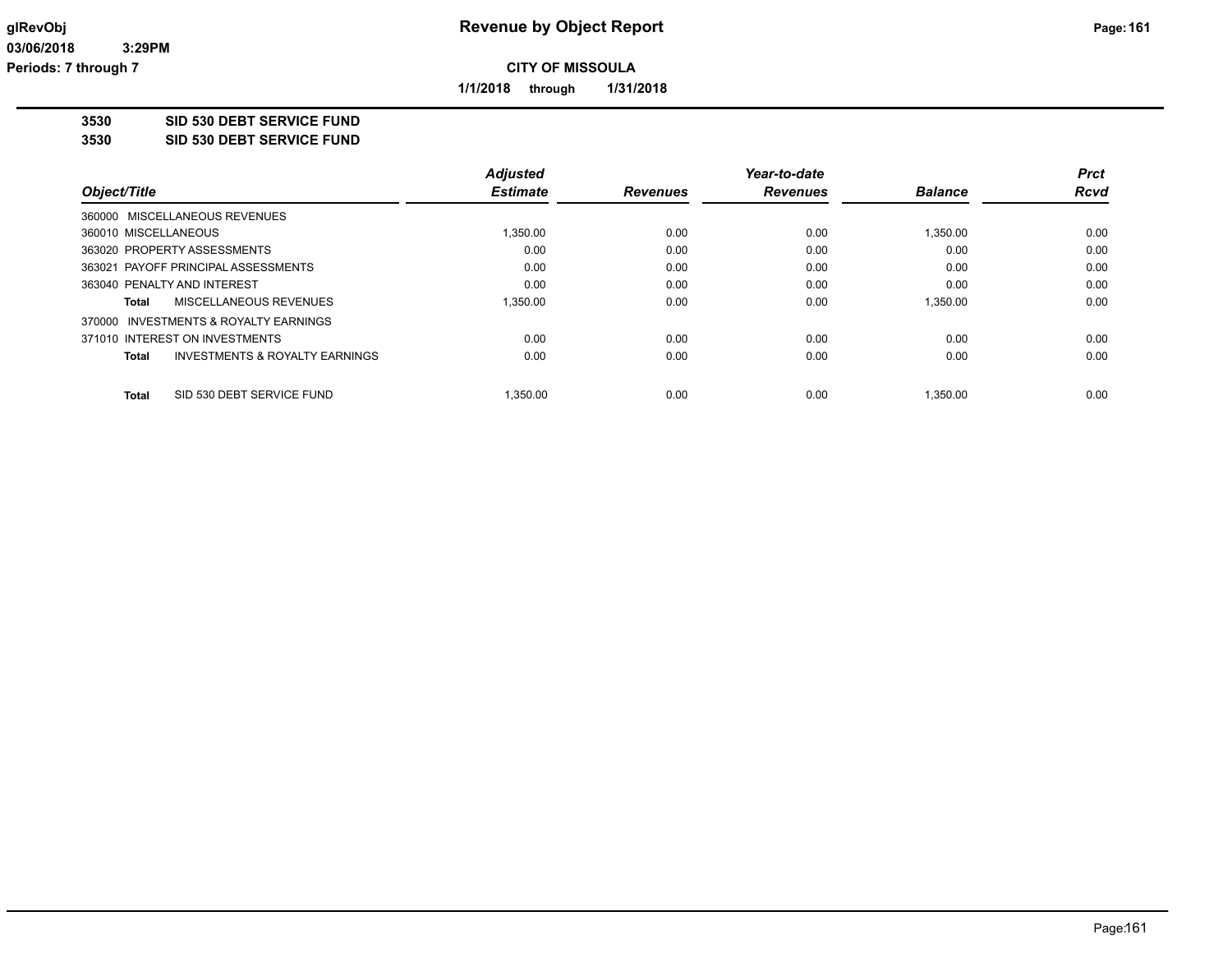**1/1/2018 through 1/31/2018**

**3530 SID 530 DEBT SERVICE FUND**

**3530 SID 530 DEBT SERVICE FUND**

|                                                    | <b>Adjusted</b> |                 | Year-to-date    |                | Prct        |
|----------------------------------------------------|-----------------|-----------------|-----------------|----------------|-------------|
| Object/Title                                       | <b>Estimate</b> | <b>Revenues</b> | <b>Revenues</b> | <b>Balance</b> | <b>Rcvd</b> |
| 360000 MISCELLANEOUS REVENUES                      |                 |                 |                 |                |             |
| 360010 MISCELLANEOUS                               | 1.350.00        | 0.00            | 0.00            | 1,350.00       | 0.00        |
| 363020 PROPERTY ASSESSMENTS                        | 0.00            | 0.00            | 0.00            | 0.00           | 0.00        |
| 363021 PAYOFF PRINCIPAL ASSESSMENTS                | 0.00            | 0.00            | 0.00            | 0.00           | 0.00        |
| 363040 PENALTY AND INTEREST                        | 0.00            | 0.00            | 0.00            | 0.00           | 0.00        |
| MISCELLANEOUS REVENUES<br>Total                    | 1.350.00        | 0.00            | 0.00            | 1.350.00       | 0.00        |
| 370000 INVESTMENTS & ROYALTY EARNINGS              |                 |                 |                 |                |             |
| 371010 INTEREST ON INVESTMENTS                     | 0.00            | 0.00            | 0.00            | 0.00           | 0.00        |
| <b>INVESTMENTS &amp; ROYALTY EARNINGS</b><br>Total | 0.00            | 0.00            | 0.00            | 0.00           | 0.00        |
| SID 530 DEBT SERVICE FUND<br><b>Total</b>          | 1.350.00        | 0.00            | 0.00            | 1.350.00       | 0.00        |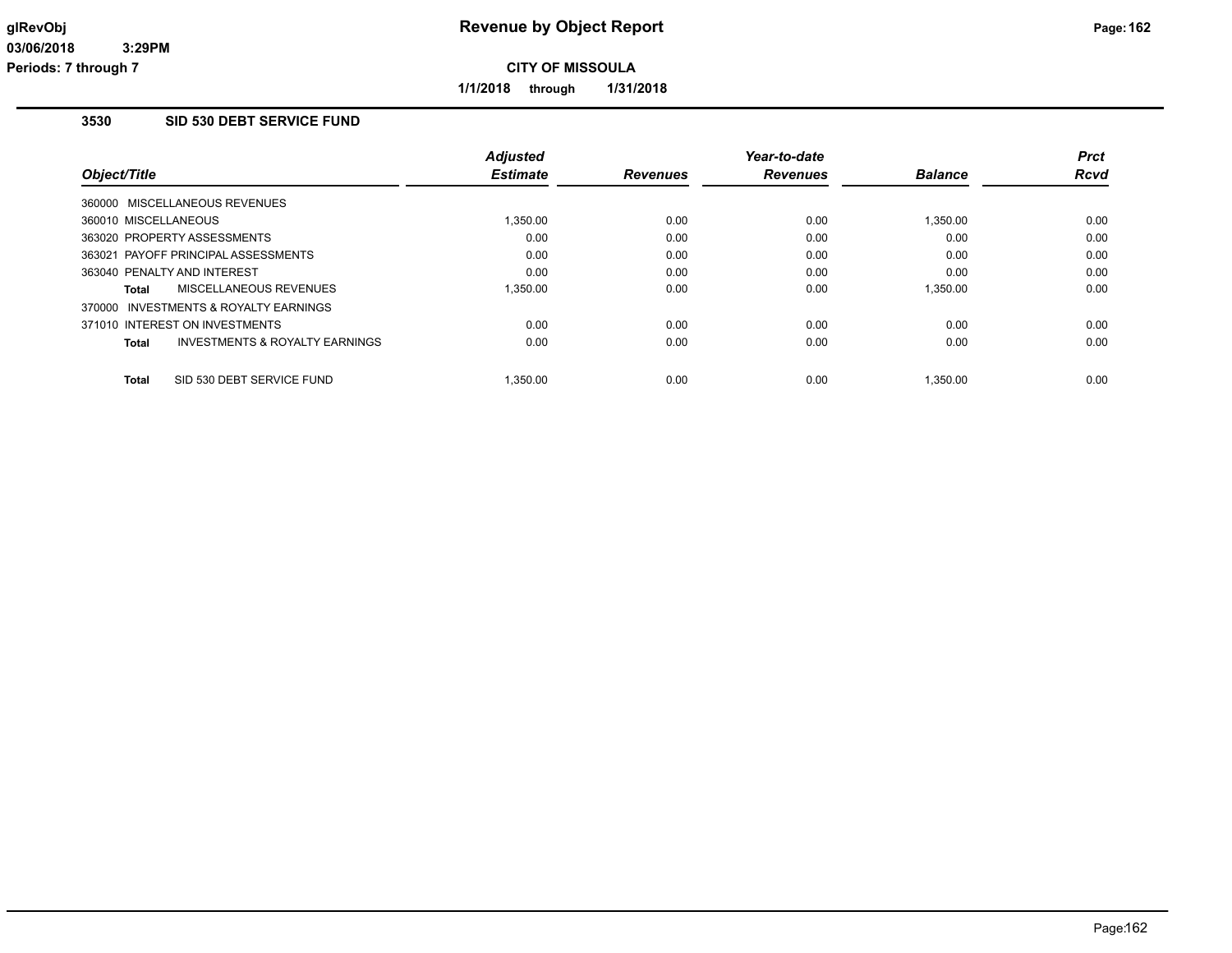**1/1/2018 through 1/31/2018**

## **3530 SID 530 DEBT SERVICE FUND**

| Object/Title         |                                           | <b>Adjusted</b><br><b>Estimate</b> | <b>Revenues</b> | Year-to-date<br><b>Revenues</b> | <b>Balance</b> | <b>Prct</b><br>Rcvd |
|----------------------|-------------------------------------------|------------------------------------|-----------------|---------------------------------|----------------|---------------------|
|                      | 360000 MISCELLANEOUS REVENUES             |                                    |                 |                                 |                |                     |
| 360010 MISCELLANEOUS |                                           | 1,350.00                           | 0.00            | 0.00                            | 1,350.00       | 0.00                |
|                      | 363020 PROPERTY ASSESSMENTS               | 0.00                               | 0.00            | 0.00                            | 0.00           | 0.00                |
|                      | 363021 PAYOFF PRINCIPAL ASSESSMENTS       | 0.00                               | 0.00            | 0.00                            | 0.00           | 0.00                |
|                      | 363040 PENALTY AND INTEREST               | 0.00                               | 0.00            | 0.00                            | 0.00           | 0.00                |
| Total                | MISCELLANEOUS REVENUES                    | 1.350.00                           | 0.00            | 0.00                            | 1.350.00       | 0.00                |
|                      | 370000 INVESTMENTS & ROYALTY EARNINGS     |                                    |                 |                                 |                |                     |
|                      | 371010 INTEREST ON INVESTMENTS            | 0.00                               | 0.00            | 0.00                            | 0.00           | 0.00                |
| Total                | <b>INVESTMENTS &amp; ROYALTY EARNINGS</b> | 0.00                               | 0.00            | 0.00                            | 0.00           | 0.00                |
| Total                | SID 530 DEBT SERVICE FUND                 | 1.350.00                           | 0.00            | 0.00                            | 1.350.00       | 0.00                |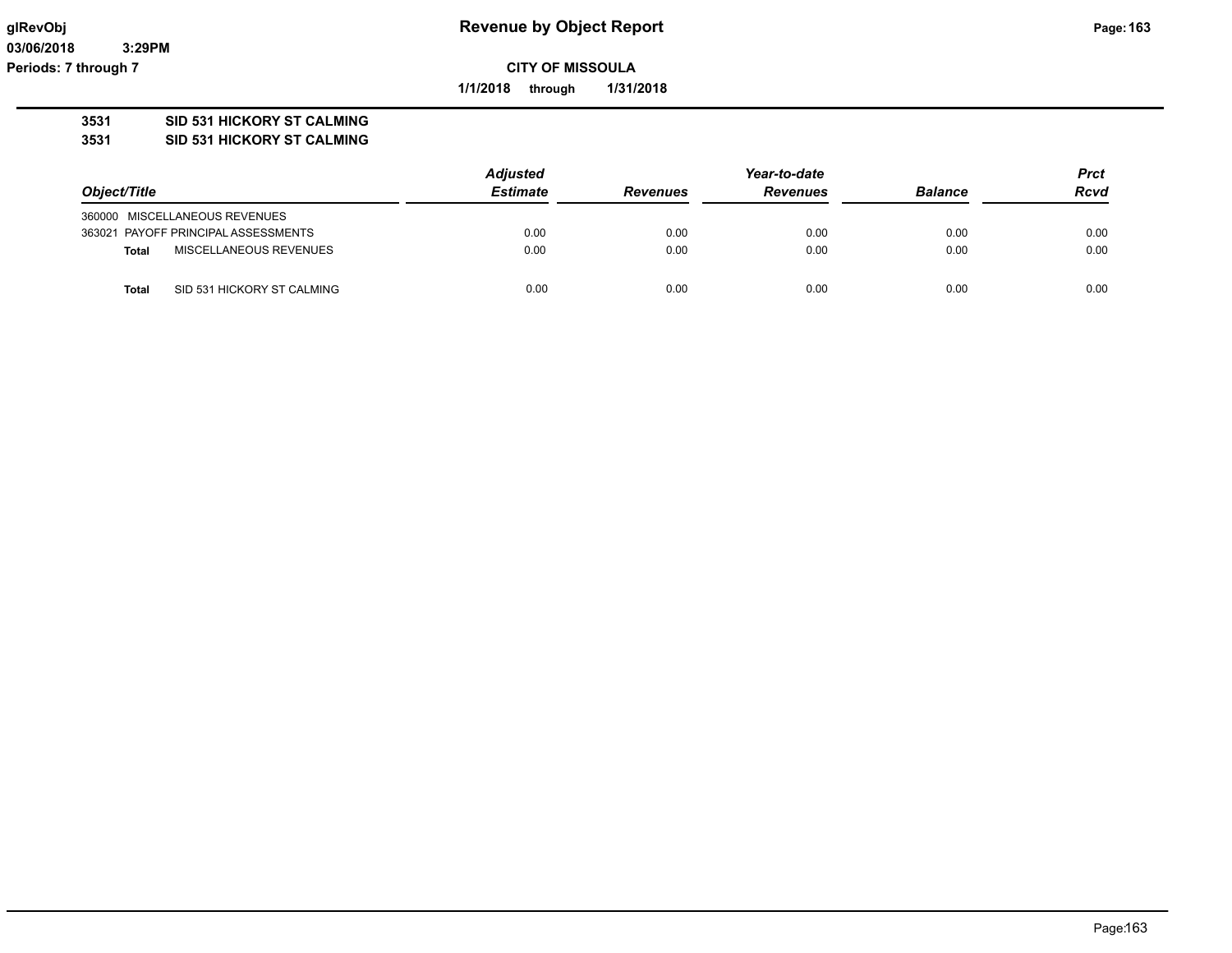**03/06/2018 3:29PM Periods: 7 through 7**

# **glRevObj Revenue by Object Report Page:163**

**CITY OF MISSOULA**

**1/1/2018 through 1/31/2018**

## **3531 SID 531 HICKORY ST CALMING**

**3531 SID 531 HICKORY ST CALMING**

|                                            | <b>Adjusted</b> |                 | Year-to-date    |                | <b>Prct</b><br><b>Rcvd</b> |
|--------------------------------------------|-----------------|-----------------|-----------------|----------------|----------------------------|
| Object/Title                               | <b>Estimate</b> | <b>Revenues</b> | <b>Revenues</b> | <b>Balance</b> |                            |
| 360000 MISCELLANEOUS REVENUES              |                 |                 |                 |                |                            |
| 363021 PAYOFF PRINCIPAL ASSESSMENTS        | 0.00            | 0.00            | 0.00            | 0.00           | 0.00                       |
| MISCELLANEOUS REVENUES<br><b>Total</b>     | 0.00            | 0.00            | 0.00            | 0.00           | 0.00                       |
| SID 531 HICKORY ST CALMING<br><b>Total</b> | 0.00            | 0.00            | 0.00            | 0.00           | 0.00                       |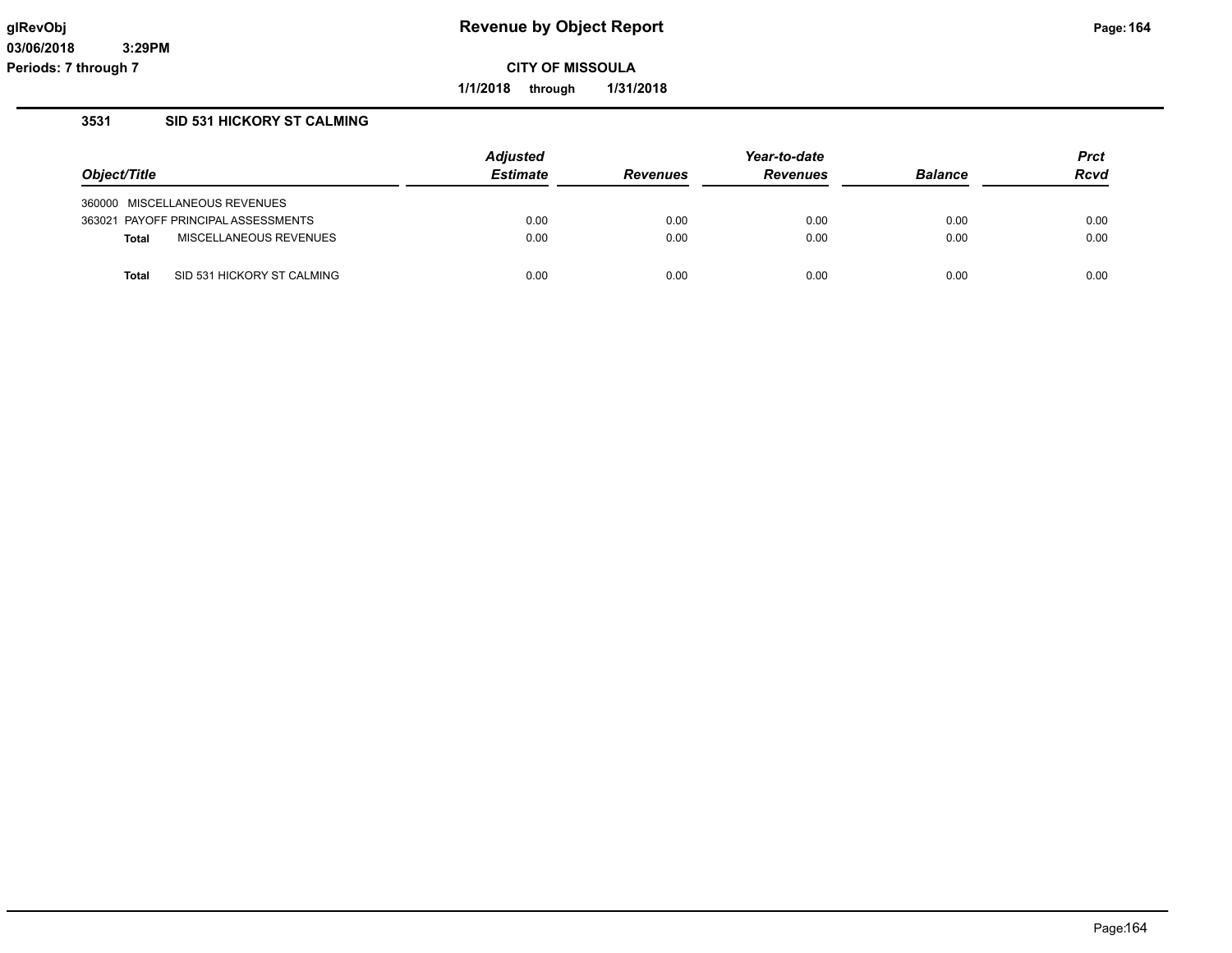**1/1/2018 through 1/31/2018**

## **3531 SID 531 HICKORY ST CALMING**

|                                            | <b>Adjusted</b> |                 | Year-to-date    |                | <b>Prct</b> |
|--------------------------------------------|-----------------|-----------------|-----------------|----------------|-------------|
| Object/Title                               | <b>Estimate</b> | <b>Revenues</b> | <b>Revenues</b> | <b>Balance</b> | Rcvd        |
| 360000 MISCELLANEOUS REVENUES              |                 |                 |                 |                |             |
| 363021 PAYOFF PRINCIPAL ASSESSMENTS        | 0.00            | 0.00            | 0.00            | 0.00           | 0.00        |
| MISCELLANEOUS REVENUES<br><b>Total</b>     | 0.00            | 0.00            | 0.00            | 0.00           | 0.00        |
| SID 531 HICKORY ST CALMING<br><b>Total</b> | 0.00            | 0.00            | 0.00            | 0.00           | 0.00        |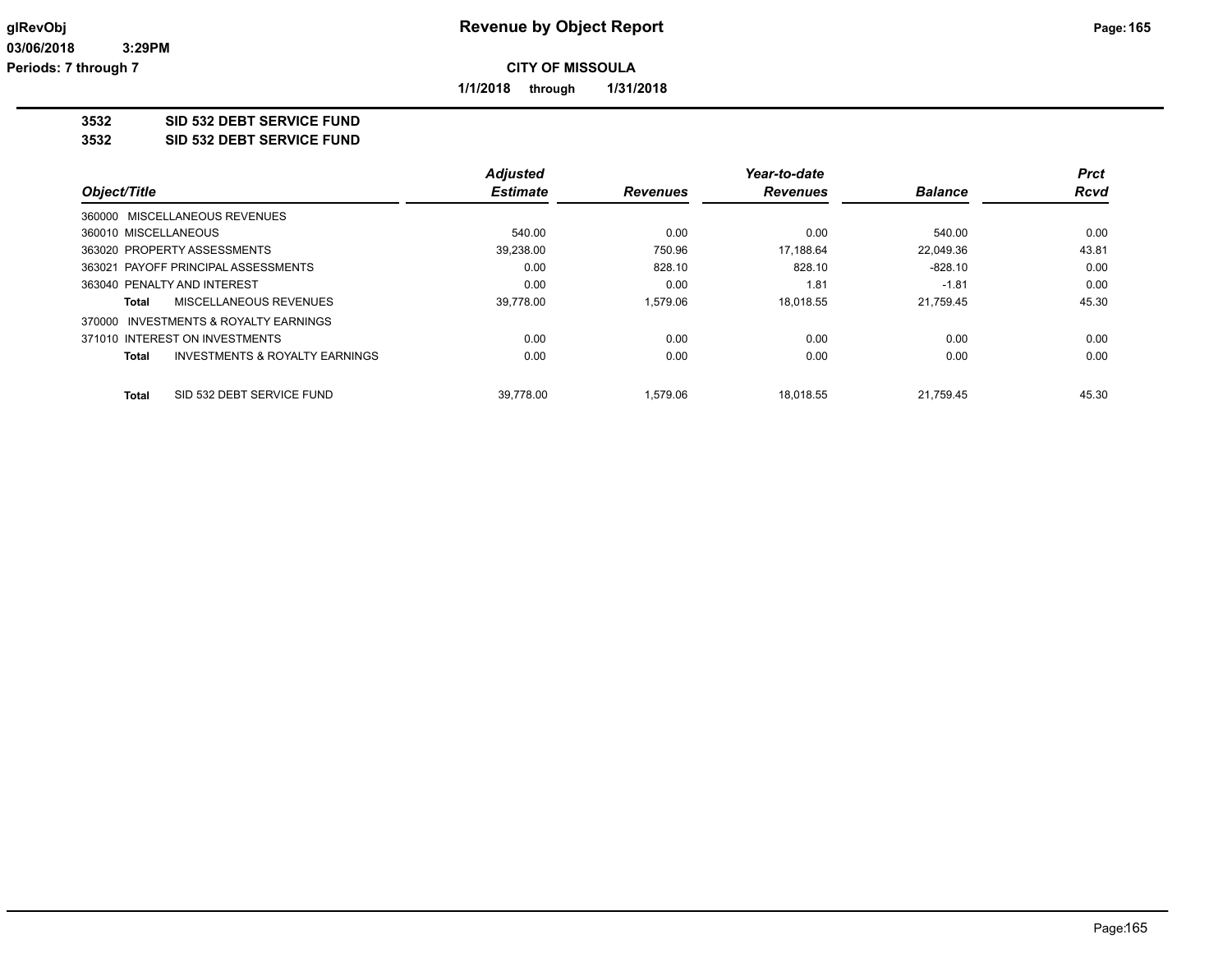**1/1/2018 through 1/31/2018**

#### **3532 SID 532 DEBT SERVICE FUND**

**3532 SID 532 DEBT SERVICE FUND**

|                                                           | <b>Adjusted</b> |                 | Year-to-date    |                | <b>Prct</b> |
|-----------------------------------------------------------|-----------------|-----------------|-----------------|----------------|-------------|
| Object/Title<br>360000 MISCELLANEOUS REVENUES             | <b>Estimate</b> | <b>Revenues</b> | <b>Revenues</b> | <b>Balance</b> | <b>Rcvd</b> |
|                                                           |                 |                 |                 |                |             |
| 360010 MISCELLANEOUS                                      | 540.00          | 0.00            | 0.00            | 540.00         | 0.00        |
| 363020 PROPERTY ASSESSMENTS                               | 39,238.00       | 750.96          | 17.188.64       | 22.049.36      | 43.81       |
| 363021 PAYOFF PRINCIPAL ASSESSMENTS                       | 0.00            | 828.10          | 828.10          | $-828.10$      | 0.00        |
| 363040 PENALTY AND INTEREST                               | 0.00            | 0.00            | 1.81            | $-1.81$        | 0.00        |
| MISCELLANEOUS REVENUES<br>Total                           | 39.778.00       | 1.579.06        | 18.018.55       | 21.759.45      | 45.30       |
| INVESTMENTS & ROYALTY EARNINGS<br>370000                  |                 |                 |                 |                |             |
| 371010 INTEREST ON INVESTMENTS                            | 0.00            | 0.00            | 0.00            | 0.00           | 0.00        |
| <b>INVESTMENTS &amp; ROYALTY EARNINGS</b><br><b>Total</b> | 0.00            | 0.00            | 0.00            | 0.00           | 0.00        |
| SID 532 DEBT SERVICE FUND<br>Total                        | 39.778.00       | 1.579.06        | 18.018.55       | 21.759.45      | 45.30       |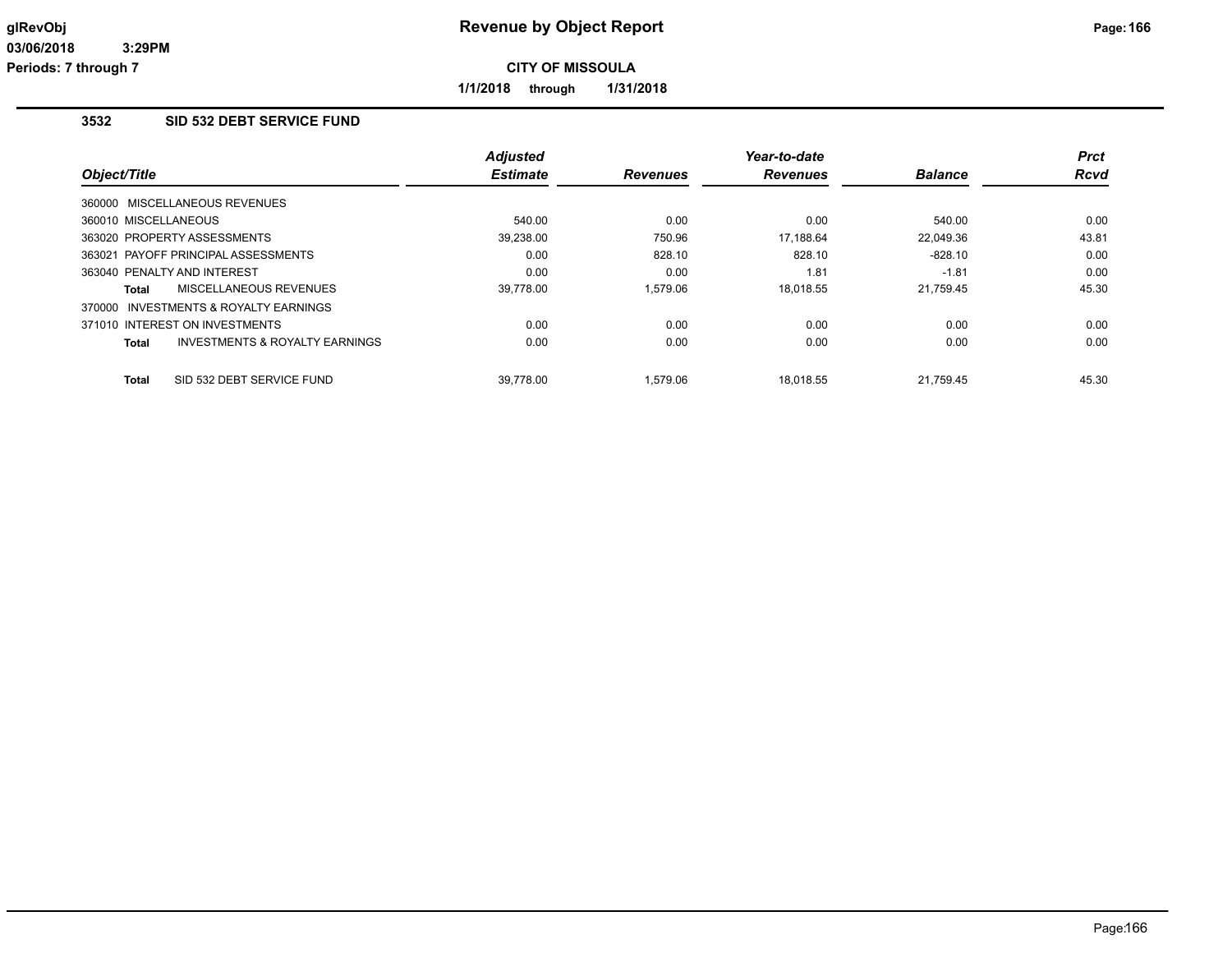**1/1/2018 through 1/31/2018**

# **3532 SID 532 DEBT SERVICE FUND**

| Object/Title                                       | Adjusted<br><b>Estimate</b> | <b>Revenues</b> | Year-to-date<br><b>Revenues</b> | <b>Balance</b> | <b>Prct</b><br>Rcvd |
|----------------------------------------------------|-----------------------------|-----------------|---------------------------------|----------------|---------------------|
| 360000 MISCELLANEOUS REVENUES                      |                             |                 |                                 |                |                     |
| 360010 MISCELLANEOUS                               | 540.00                      | 0.00            | 0.00                            | 540.00         | 0.00                |
| 363020 PROPERTY ASSESSMENTS                        | 39,238.00                   | 750.96          | 17.188.64                       | 22.049.36      | 43.81               |
| 363021 PAYOFF PRINCIPAL ASSESSMENTS                | 0.00                        | 828.10          | 828.10                          | $-828.10$      | 0.00                |
| 363040 PENALTY AND INTEREST                        | 0.00                        | 0.00            | 1.81                            | $-1.81$        | 0.00                |
| <b>MISCELLANEOUS REVENUES</b><br>Total             | 39.778.00                   | 1.579.06        | 18.018.55                       | 21,759.45      | 45.30               |
| 370000 INVESTMENTS & ROYALTY EARNINGS              |                             |                 |                                 |                |                     |
| 371010 INTEREST ON INVESTMENTS                     | 0.00                        | 0.00            | 0.00                            | 0.00           | 0.00                |
| <b>INVESTMENTS &amp; ROYALTY EARNINGS</b><br>Total | 0.00                        | 0.00            | 0.00                            | 0.00           | 0.00                |
| SID 532 DEBT SERVICE FUND<br><b>Total</b>          | 39.778.00                   | 1.579.06        | 18.018.55                       | 21.759.45      | 45.30               |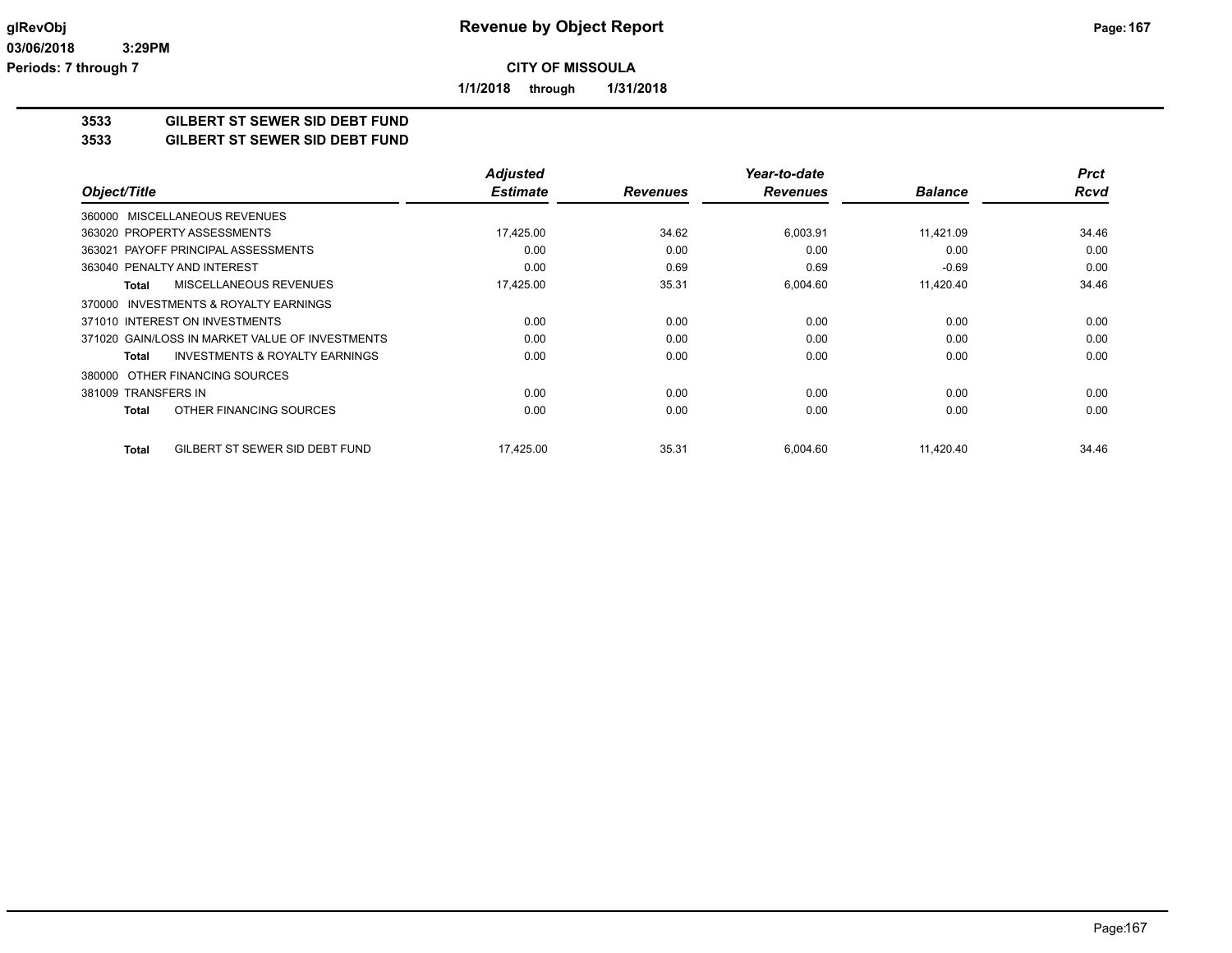**1/1/2018 through 1/31/2018**

# **3533 GILBERT ST SEWER SID DEBT FUND**

**3533 GILBERT ST SEWER SID DEBT FUND**

|                                                    | <b>Adjusted</b> |                 | Year-to-date    |                | <b>Prct</b> |
|----------------------------------------------------|-----------------|-----------------|-----------------|----------------|-------------|
| Object/Title                                       | <b>Estimate</b> | <b>Revenues</b> | <b>Revenues</b> | <b>Balance</b> | <b>Rcvd</b> |
| 360000 MISCELLANEOUS REVENUES                      |                 |                 |                 |                |             |
| 363020 PROPERTY ASSESSMENTS                        | 17,425.00       | 34.62           | 6,003.91        | 11,421.09      | 34.46       |
| 363021 PAYOFF PRINCIPAL ASSESSMENTS                | 0.00            | 0.00            | 0.00            | 0.00           | 0.00        |
| 363040 PENALTY AND INTEREST                        | 0.00            | 0.69            | 0.69            | $-0.69$        | 0.00        |
| MISCELLANEOUS REVENUES<br><b>Total</b>             | 17,425.00       | 35.31           | 6,004.60        | 11,420.40      | 34.46       |
| 370000 INVESTMENTS & ROYALTY EARNINGS              |                 |                 |                 |                |             |
| 371010 INTEREST ON INVESTMENTS                     | 0.00            | 0.00            | 0.00            | 0.00           | 0.00        |
| 371020 GAIN/LOSS IN MARKET VALUE OF INVESTMENTS    | 0.00            | 0.00            | 0.00            | 0.00           | 0.00        |
| <b>INVESTMENTS &amp; ROYALTY EARNINGS</b><br>Total | 0.00            | 0.00            | 0.00            | 0.00           | 0.00        |
| OTHER FINANCING SOURCES<br>380000                  |                 |                 |                 |                |             |
| 381009 TRANSFERS IN                                | 0.00            | 0.00            | 0.00            | 0.00           | 0.00        |
| OTHER FINANCING SOURCES<br>Total                   | 0.00            | 0.00            | 0.00            | 0.00           | 0.00        |
| GILBERT ST SEWER SID DEBT FUND<br><b>Total</b>     | 17,425.00       | 35.31           | 6,004.60        | 11,420.40      | 34.46       |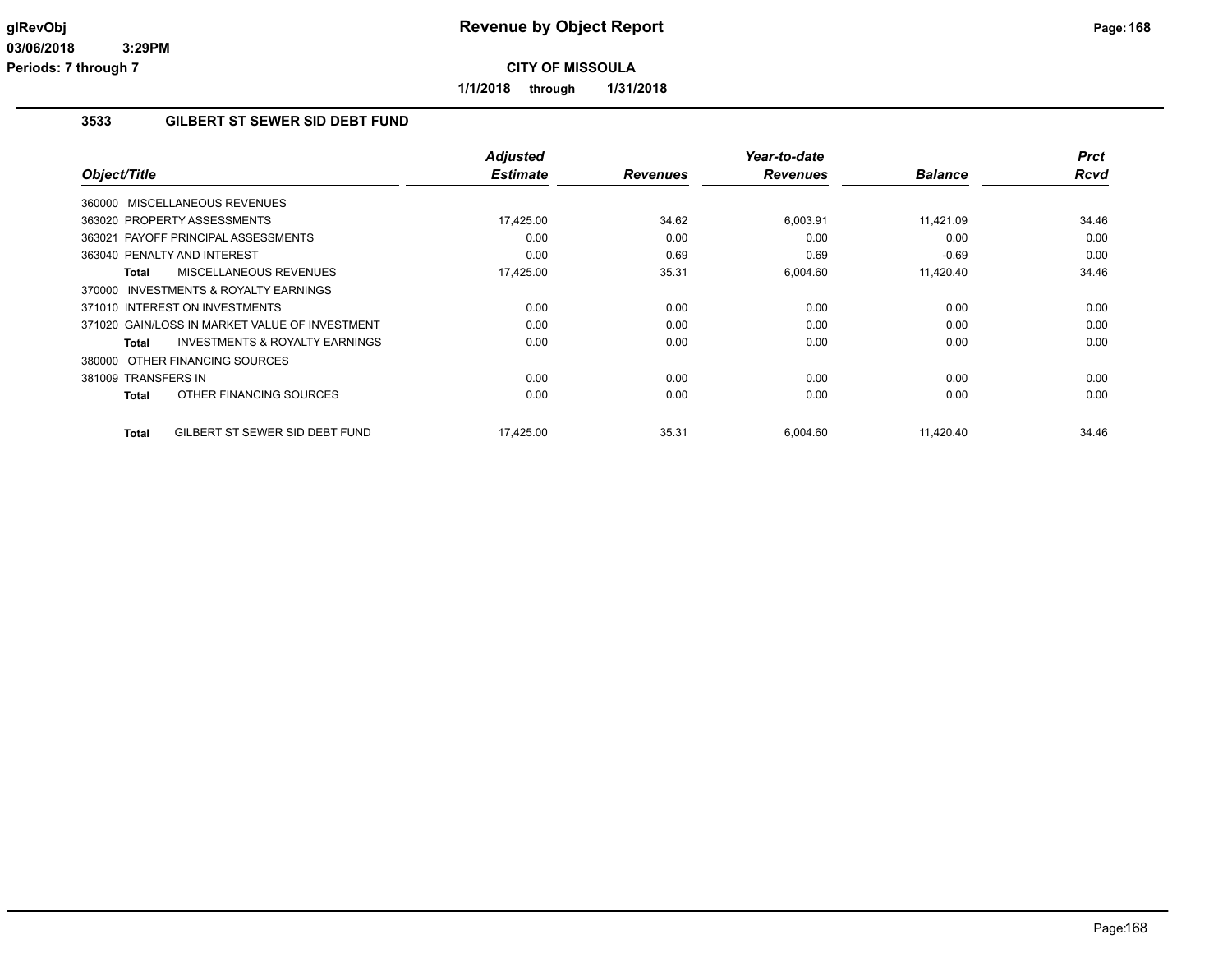**1/1/2018 through 1/31/2018**

## **3533 GILBERT ST SEWER SID DEBT FUND**

| Object/Title                                              | <b>Adjusted</b><br><b>Estimate</b> | <b>Revenues</b> | Year-to-date<br><b>Revenues</b> | <b>Balance</b> | <b>Prct</b><br><b>Rcvd</b> |
|-----------------------------------------------------------|------------------------------------|-----------------|---------------------------------|----------------|----------------------------|
| 360000 MISCELLANEOUS REVENUES                             |                                    |                 |                                 |                |                            |
| 363020 PROPERTY ASSESSMENTS                               | 17,425.00                          | 34.62           | 6,003.91                        | 11,421.09      | 34.46                      |
| 363021 PAYOFF PRINCIPAL ASSESSMENTS                       | 0.00                               | 0.00            | 0.00                            | 0.00           | 0.00                       |
| 363040 PENALTY AND INTEREST                               | 0.00                               | 0.69            | 0.69                            | $-0.69$        | 0.00                       |
| MISCELLANEOUS REVENUES<br>Total                           | 17,425.00                          | 35.31           | 6,004.60                        | 11,420.40      | 34.46                      |
| 370000 INVESTMENTS & ROYALTY EARNINGS                     |                                    |                 |                                 |                |                            |
| 371010 INTEREST ON INVESTMENTS                            | 0.00                               | 0.00            | 0.00                            | 0.00           | 0.00                       |
| 371020 GAIN/LOSS IN MARKET VALUE OF INVESTMENT            | 0.00                               | 0.00            | 0.00                            | 0.00           | 0.00                       |
| <b>INVESTMENTS &amp; ROYALTY EARNINGS</b><br><b>Total</b> | 0.00                               | 0.00            | 0.00                            | 0.00           | 0.00                       |
| 380000 OTHER FINANCING SOURCES                            |                                    |                 |                                 |                |                            |
| 381009 TRANSFERS IN                                       | 0.00                               | 0.00            | 0.00                            | 0.00           | 0.00                       |
| OTHER FINANCING SOURCES<br><b>Total</b>                   | 0.00                               | 0.00            | 0.00                            | 0.00           | 0.00                       |
| GILBERT ST SEWER SID DEBT FUND<br><b>Total</b>            | 17,425.00                          | 35.31           | 6,004.60                        | 11,420.40      | 34.46                      |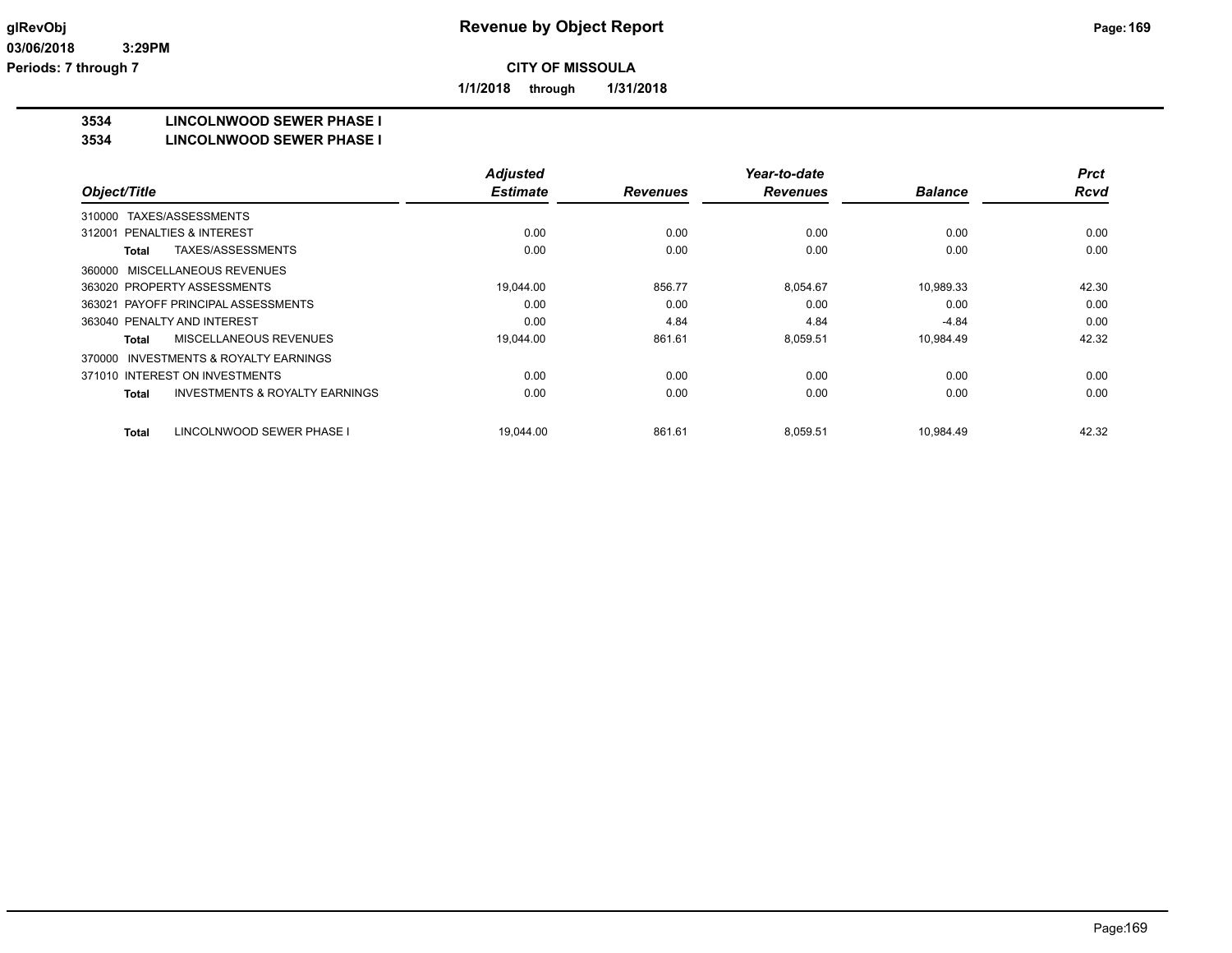**1/1/2018 through 1/31/2018**

#### **3534 LINCOLNWOOD SEWER PHASE I**

#### **3534 LINCOLNWOOD SEWER PHASE I**

|                                                     | <b>Adjusted</b> |                 | Year-to-date    |                | <b>Prct</b> |
|-----------------------------------------------------|-----------------|-----------------|-----------------|----------------|-------------|
| Object/Title                                        | <b>Estimate</b> | <b>Revenues</b> | <b>Revenues</b> | <b>Balance</b> | <b>Rcvd</b> |
| TAXES/ASSESSMENTS<br>310000                         |                 |                 |                 |                |             |
| 312001 PENALTIES & INTEREST                         | 0.00            | 0.00            | 0.00            | 0.00           | 0.00        |
| TAXES/ASSESSMENTS<br>Total                          | 0.00            | 0.00            | 0.00            | 0.00           | 0.00        |
| 360000 MISCELLANEOUS REVENUES                       |                 |                 |                 |                |             |
| 363020 PROPERTY ASSESSMENTS                         | 19.044.00       | 856.77          | 8.054.67        | 10.989.33      | 42.30       |
| 363021 PAYOFF PRINCIPAL ASSESSMENTS                 | 0.00            | 0.00            | 0.00            | 0.00           | 0.00        |
| 363040 PENALTY AND INTEREST                         | 0.00            | 4.84            | 4.84            | $-4.84$        | 0.00        |
| MISCELLANEOUS REVENUES<br>Total                     | 19,044.00       | 861.61          | 8,059.51        | 10,984.49      | 42.32       |
| <b>INVESTMENTS &amp; ROYALTY EARNINGS</b><br>370000 |                 |                 |                 |                |             |
| 371010 INTEREST ON INVESTMENTS                      | 0.00            | 0.00            | 0.00            | 0.00           | 0.00        |
| <b>INVESTMENTS &amp; ROYALTY EARNINGS</b><br>Total  | 0.00            | 0.00            | 0.00            | 0.00           | 0.00        |
| LINCOLNWOOD SEWER PHASE I<br>Total                  | 19,044.00       | 861.61          | 8,059.51        | 10,984.49      | 42.32       |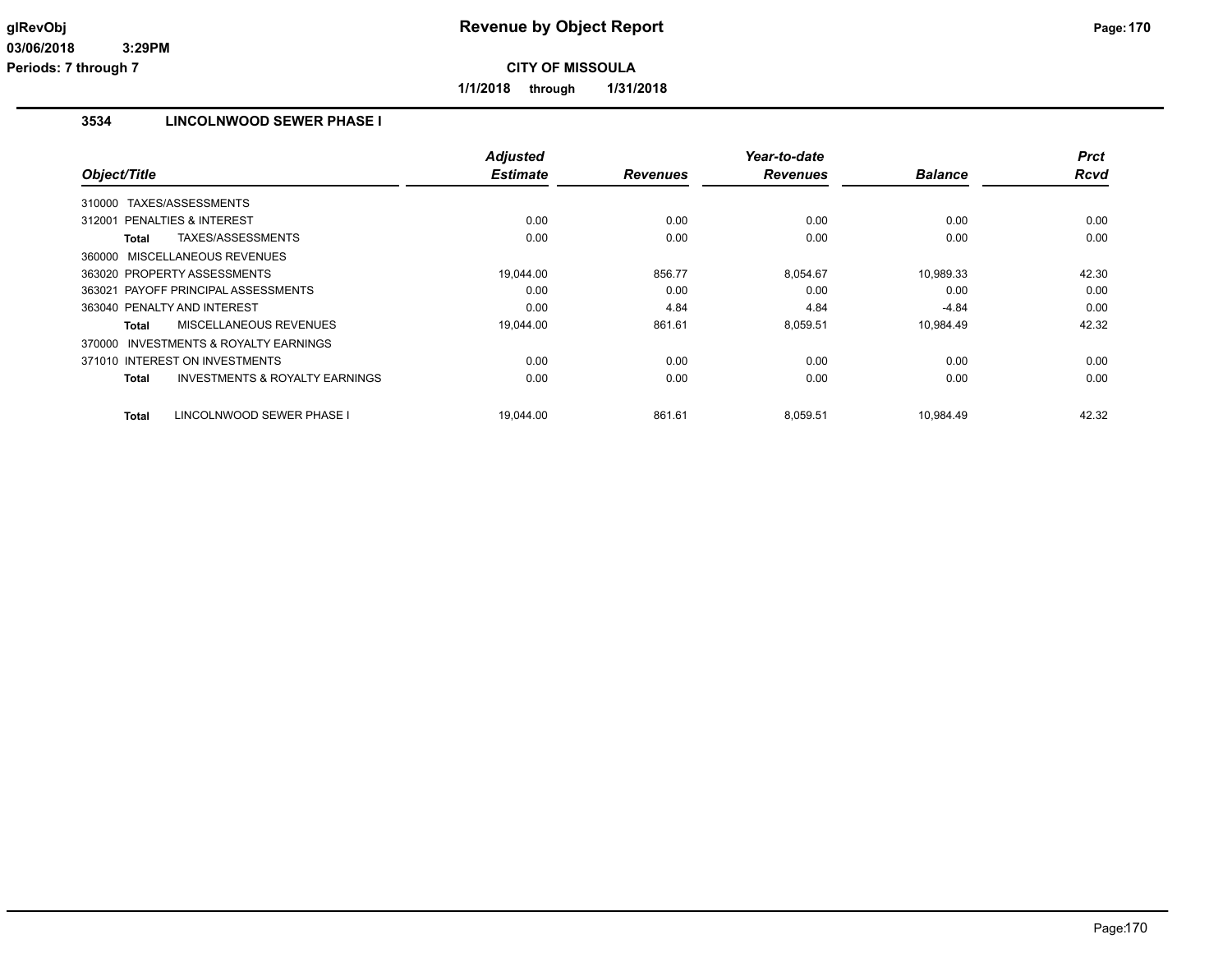**1/1/2018 through 1/31/2018**

## **3534 LINCOLNWOOD SEWER PHASE I**

|                                                     | <b>Adjusted</b> |                 | Year-to-date    |                | <b>Prct</b> |
|-----------------------------------------------------|-----------------|-----------------|-----------------|----------------|-------------|
| Object/Title                                        | <b>Estimate</b> | <b>Revenues</b> | <b>Revenues</b> | <b>Balance</b> | Rcvd        |
| 310000 TAXES/ASSESSMENTS                            |                 |                 |                 |                |             |
| 312001 PENALTIES & INTEREST                         | 0.00            | 0.00            | 0.00            | 0.00           | 0.00        |
| TAXES/ASSESSMENTS<br>Total                          | 0.00            | 0.00            | 0.00            | 0.00           | 0.00        |
| 360000 MISCELLANEOUS REVENUES                       |                 |                 |                 |                |             |
| 363020 PROPERTY ASSESSMENTS                         | 19.044.00       | 856.77          | 8,054.67        | 10,989.33      | 42.30       |
| 363021 PAYOFF PRINCIPAL ASSESSMENTS                 | 0.00            | 0.00            | 0.00            | 0.00           | 0.00        |
| 363040 PENALTY AND INTEREST                         | 0.00            | 4.84            | 4.84            | $-4.84$        | 0.00        |
| MISCELLANEOUS REVENUES<br>Total                     | 19,044.00       | 861.61          | 8,059.51        | 10,984.49      | 42.32       |
| <b>INVESTMENTS &amp; ROYALTY EARNINGS</b><br>370000 |                 |                 |                 |                |             |
| 371010 INTEREST ON INVESTMENTS                      | 0.00            | 0.00            | 0.00            | 0.00           | 0.00        |
| <b>INVESTMENTS &amp; ROYALTY EARNINGS</b><br>Total  | 0.00            | 0.00            | 0.00            | 0.00           | 0.00        |
| LINCOLNWOOD SEWER PHASE I<br><b>Total</b>           | 19.044.00       | 861.61          | 8.059.51        | 10.984.49      | 42.32       |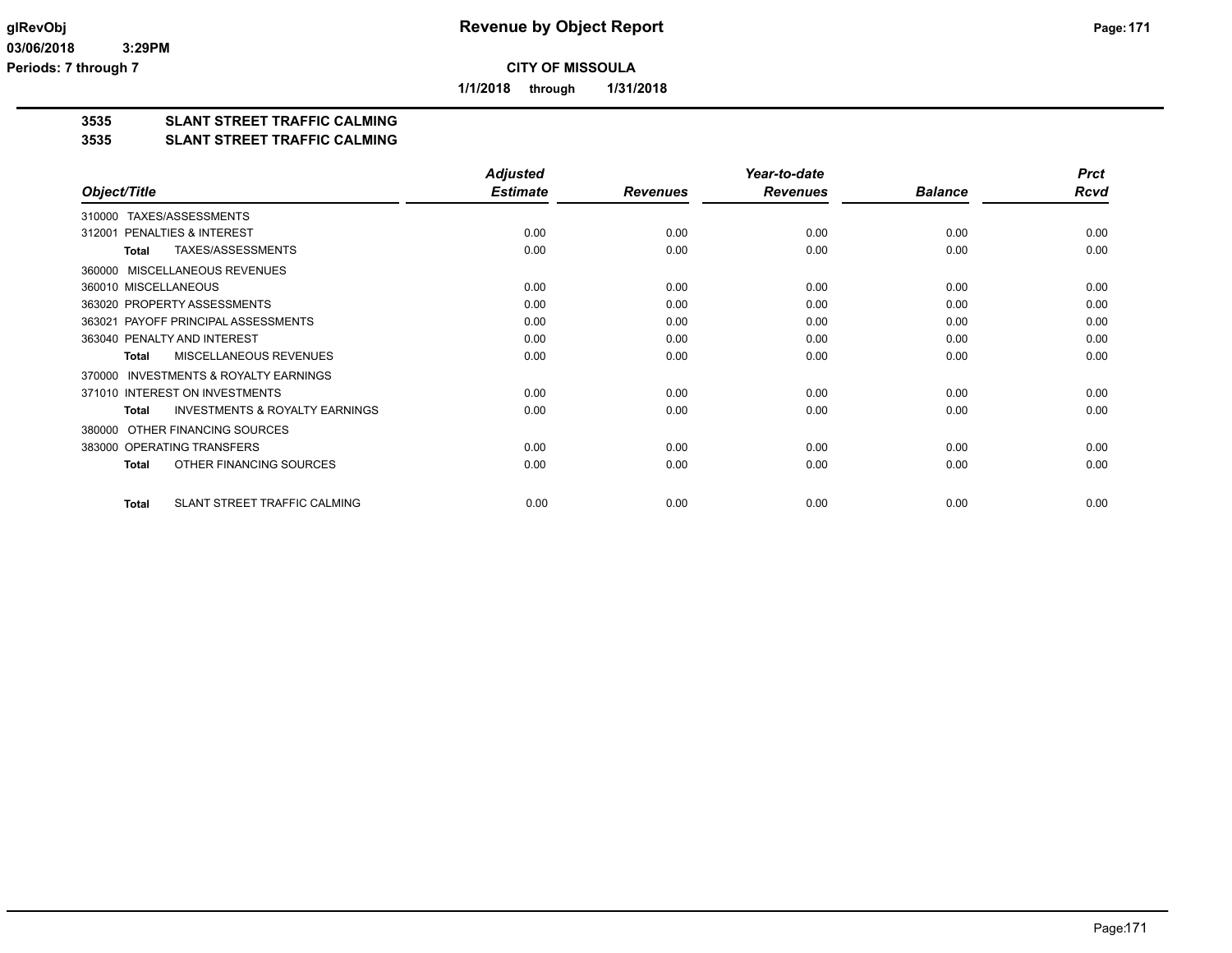**1/1/2018 through 1/31/2018**

# **3535 SLANT STREET TRAFFIC CALMING**

#### **3535 SLANT STREET TRAFFIC CALMING**

|                                                           | <b>Adjusted</b> |                 | Year-to-date    |                | <b>Prct</b> |
|-----------------------------------------------------------|-----------------|-----------------|-----------------|----------------|-------------|
| Object/Title                                              | <b>Estimate</b> | <b>Revenues</b> | <b>Revenues</b> | <b>Balance</b> | <b>Rcvd</b> |
| TAXES/ASSESSMENTS<br>310000                               |                 |                 |                 |                |             |
| PENALTIES & INTEREST<br>312001                            | 0.00            | 0.00            | 0.00            | 0.00           | 0.00        |
| TAXES/ASSESSMENTS<br><b>Total</b>                         | 0.00            | 0.00            | 0.00            | 0.00           | 0.00        |
| MISCELLANEOUS REVENUES<br>360000                          |                 |                 |                 |                |             |
| 360010 MISCELLANEOUS                                      | 0.00            | 0.00            | 0.00            | 0.00           | 0.00        |
| 363020 PROPERTY ASSESSMENTS                               | 0.00            | 0.00            | 0.00            | 0.00           | 0.00        |
| 363021 PAYOFF PRINCIPAL ASSESSMENTS                       | 0.00            | 0.00            | 0.00            | 0.00           | 0.00        |
| 363040 PENALTY AND INTEREST                               | 0.00            | 0.00            | 0.00            | 0.00           | 0.00        |
| MISCELLANEOUS REVENUES<br><b>Total</b>                    | 0.00            | 0.00            | 0.00            | 0.00           | 0.00        |
| <b>INVESTMENTS &amp; ROYALTY EARNINGS</b><br>370000       |                 |                 |                 |                |             |
| 371010 INTEREST ON INVESTMENTS                            | 0.00            | 0.00            | 0.00            | 0.00           | 0.00        |
| <b>INVESTMENTS &amp; ROYALTY EARNINGS</b><br><b>Total</b> | 0.00            | 0.00            | 0.00            | 0.00           | 0.00        |
| OTHER FINANCING SOURCES<br>380000                         |                 |                 |                 |                |             |
| 383000 OPERATING TRANSFERS                                | 0.00            | 0.00            | 0.00            | 0.00           | 0.00        |
| OTHER FINANCING SOURCES<br><b>Total</b>                   | 0.00            | 0.00            | 0.00            | 0.00           | 0.00        |
| SLANT STREET TRAFFIC CALMING<br>Total                     | 0.00            | 0.00            | 0.00            | 0.00           | 0.00        |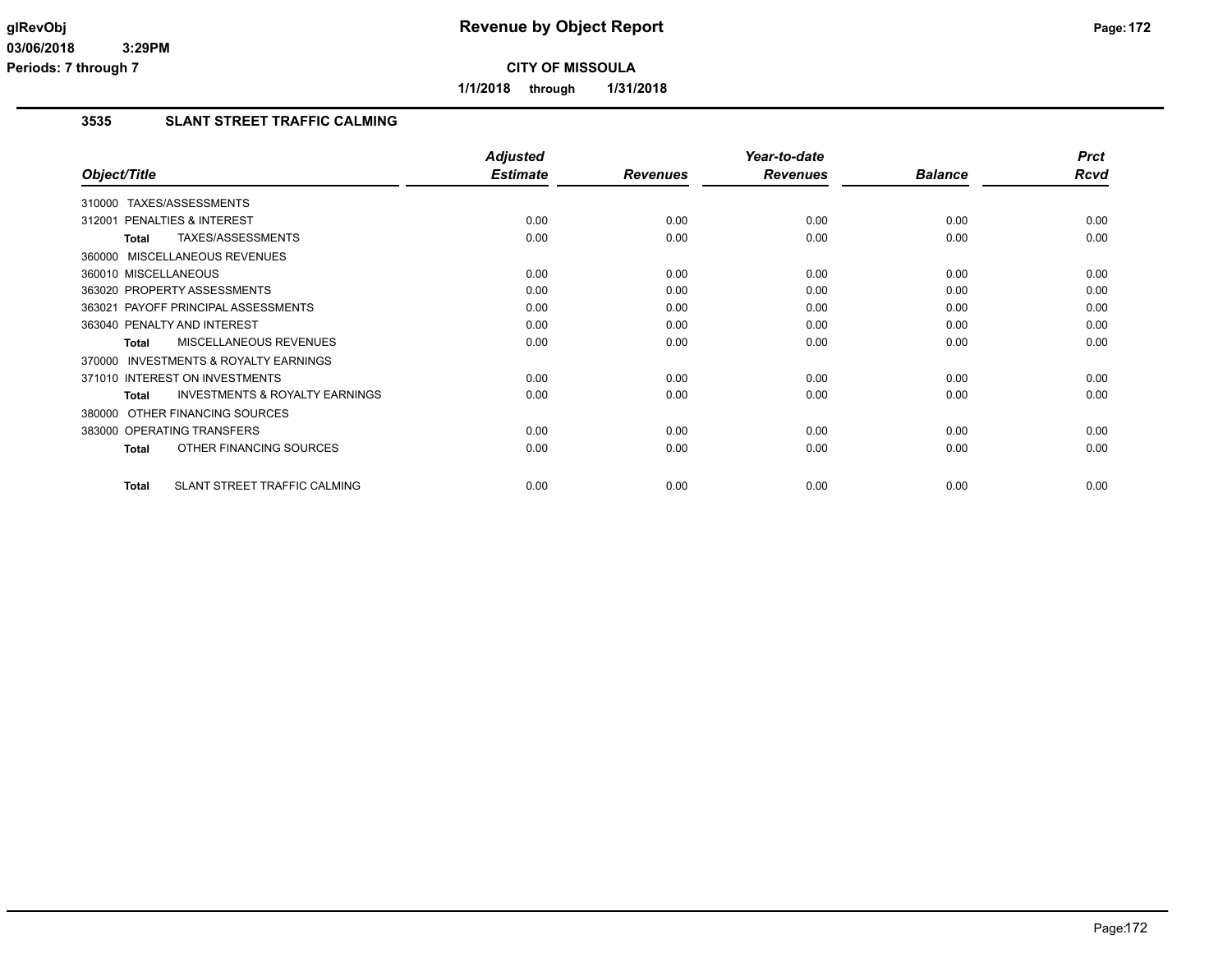**1/1/2018 through 1/31/2018**

### **3535 SLANT STREET TRAFFIC CALMING**

|                                                     | <b>Adjusted</b> |                 | Year-to-date    |                | <b>Prct</b> |
|-----------------------------------------------------|-----------------|-----------------|-----------------|----------------|-------------|
| Object/Title                                        | <b>Estimate</b> | <b>Revenues</b> | <b>Revenues</b> | <b>Balance</b> | Rcvd        |
| TAXES/ASSESSMENTS<br>310000                         |                 |                 |                 |                |             |
| 312001 PENALTIES & INTEREST                         | 0.00            | 0.00            | 0.00            | 0.00           | 0.00        |
| TAXES/ASSESSMENTS<br>Total                          | 0.00            | 0.00            | 0.00            | 0.00           | 0.00        |
| 360000 MISCELLANEOUS REVENUES                       |                 |                 |                 |                |             |
| 360010 MISCELLANEOUS                                | 0.00            | 0.00            | 0.00            | 0.00           | 0.00        |
| 363020 PROPERTY ASSESSMENTS                         | 0.00            | 0.00            | 0.00            | 0.00           | 0.00        |
| 363021 PAYOFF PRINCIPAL ASSESSMENTS                 | 0.00            | 0.00            | 0.00            | 0.00           | 0.00        |
| 363040 PENALTY AND INTEREST                         | 0.00            | 0.00            | 0.00            | 0.00           | 0.00        |
| <b>MISCELLANEOUS REVENUES</b><br>Total              | 0.00            | 0.00            | 0.00            | 0.00           | 0.00        |
| 370000 INVESTMENTS & ROYALTY EARNINGS               |                 |                 |                 |                |             |
| 371010 INTEREST ON INVESTMENTS                      | 0.00            | 0.00            | 0.00            | 0.00           | 0.00        |
| <b>INVESTMENTS &amp; ROYALTY EARNINGS</b><br>Total  | 0.00            | 0.00            | 0.00            | 0.00           | 0.00        |
| 380000 OTHER FINANCING SOURCES                      |                 |                 |                 |                |             |
| 383000 OPERATING TRANSFERS                          | 0.00            | 0.00            | 0.00            | 0.00           | 0.00        |
| OTHER FINANCING SOURCES<br><b>Total</b>             | 0.00            | 0.00            | 0.00            | 0.00           | 0.00        |
| <b>SLANT STREET TRAFFIC CALMING</b><br><b>Total</b> | 0.00            | 0.00            | 0.00            | 0.00           | 0.00        |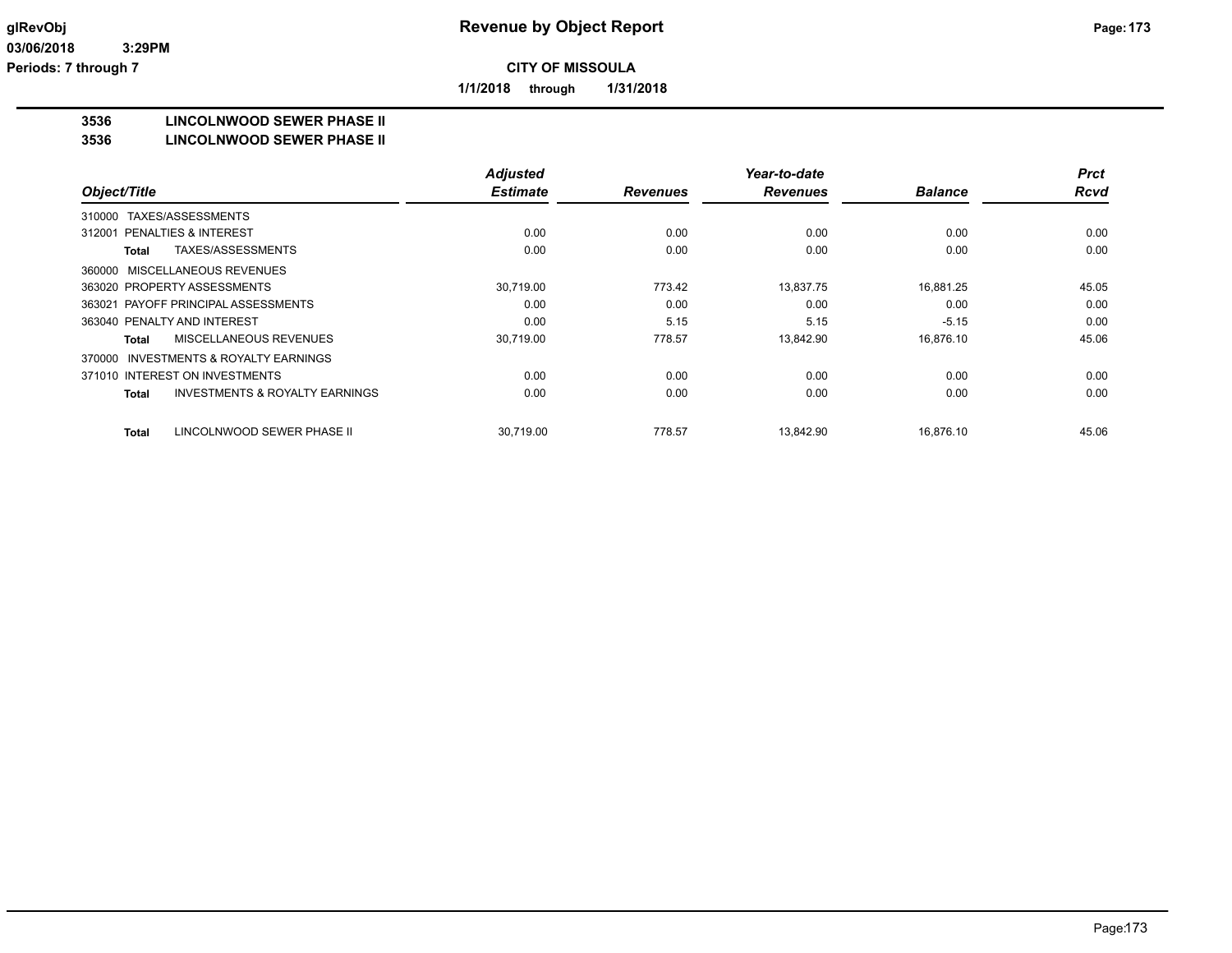**1/1/2018 through 1/31/2018**

#### **3536 LINCOLNWOOD SEWER PHASE II**

#### **3536 LINCOLNWOOD SEWER PHASE II**

|                                                           | <b>Adjusted</b> |                 | Year-to-date    |                | <b>Prct</b> |
|-----------------------------------------------------------|-----------------|-----------------|-----------------|----------------|-------------|
| Object/Title                                              | <b>Estimate</b> | <b>Revenues</b> | <b>Revenues</b> | <b>Balance</b> | <b>Rcvd</b> |
| 310000 TAXES/ASSESSMENTS                                  |                 |                 |                 |                |             |
| 312001 PENALTIES & INTEREST                               | 0.00            | 0.00            | 0.00            | 0.00           | 0.00        |
| TAXES/ASSESSMENTS<br>Total                                | 0.00            | 0.00            | 0.00            | 0.00           | 0.00        |
| 360000 MISCELLANEOUS REVENUES                             |                 |                 |                 |                |             |
| 363020 PROPERTY ASSESSMENTS                               | 30,719.00       | 773.42          | 13,837.75       | 16,881.25      | 45.05       |
| 363021 PAYOFF PRINCIPAL ASSESSMENTS                       | 0.00            | 0.00            | 0.00            | 0.00           | 0.00        |
| 363040 PENALTY AND INTEREST                               | 0.00            | 5.15            | 5.15            | $-5.15$        | 0.00        |
| MISCELLANEOUS REVENUES<br>Total                           | 30,719.00       | 778.57          | 13,842.90       | 16,876.10      | 45.06       |
| 370000 INVESTMENTS & ROYALTY EARNINGS                     |                 |                 |                 |                |             |
| 371010 INTEREST ON INVESTMENTS                            | 0.00            | 0.00            | 0.00            | 0.00           | 0.00        |
| <b>INVESTMENTS &amp; ROYALTY EARNINGS</b><br><b>Total</b> | 0.00            | 0.00            | 0.00            | 0.00           | 0.00        |
| LINCOLNWOOD SEWER PHASE II<br><b>Total</b>                | 30,719.00       | 778.57          | 13,842.90       | 16,876.10      | 45.06       |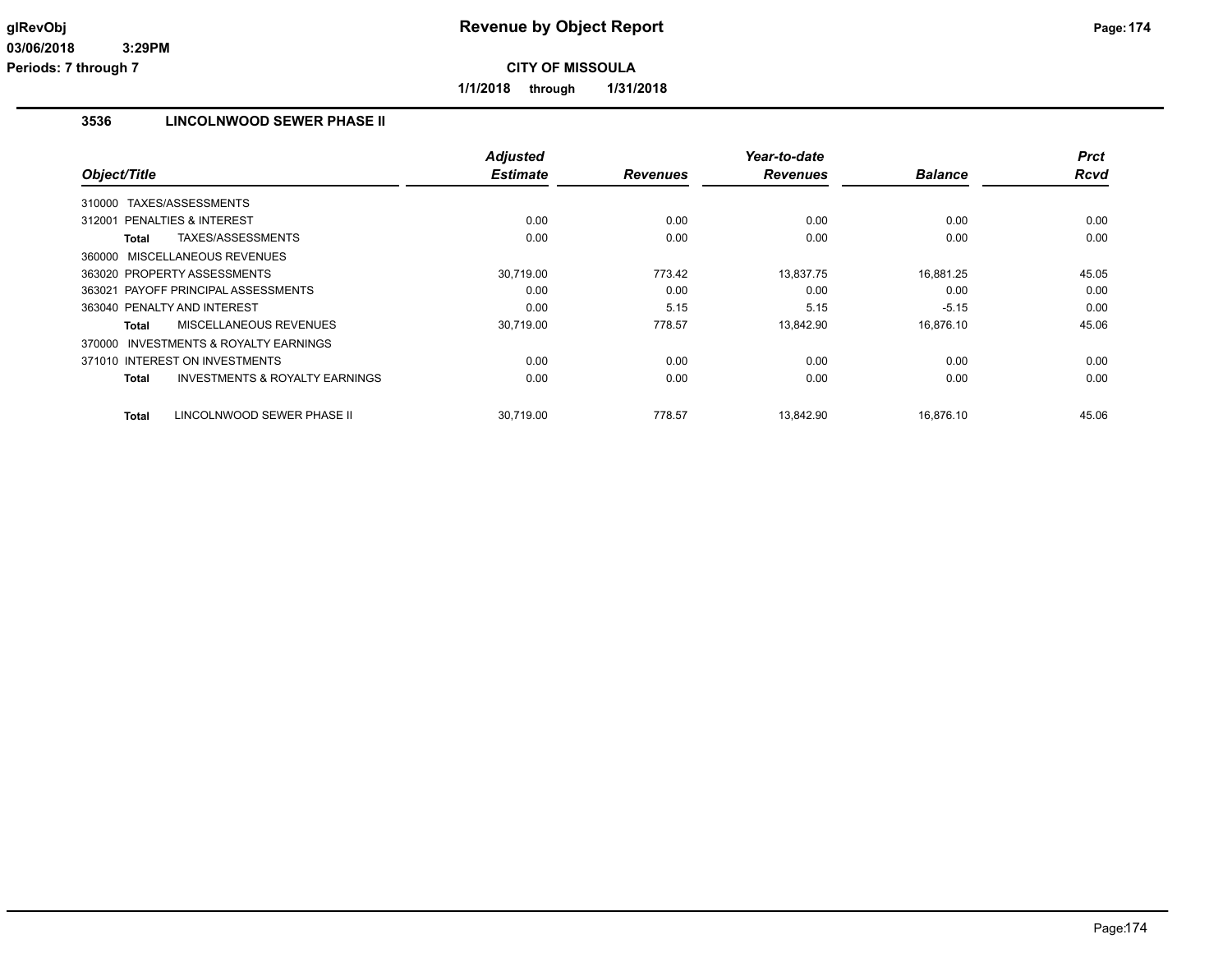**1/1/2018 through 1/31/2018**

## **3536 LINCOLNWOOD SEWER PHASE II**

|                                                    | <b>Adjusted</b> |                 | Year-to-date    |                | <b>Prct</b> |
|----------------------------------------------------|-----------------|-----------------|-----------------|----------------|-------------|
| Object/Title                                       | <b>Estimate</b> | <b>Revenues</b> | <b>Revenues</b> | <b>Balance</b> | Rcvd        |
| 310000 TAXES/ASSESSMENTS                           |                 |                 |                 |                |             |
| 312001 PENALTIES & INTEREST                        | 0.00            | 0.00            | 0.00            | 0.00           | 0.00        |
| TAXES/ASSESSMENTS<br>Total                         | 0.00            | 0.00            | 0.00            | 0.00           | 0.00        |
| 360000 MISCELLANEOUS REVENUES                      |                 |                 |                 |                |             |
| 363020 PROPERTY ASSESSMENTS                        | 30,719.00       | 773.42          | 13,837.75       | 16.881.25      | 45.05       |
| 363021 PAYOFF PRINCIPAL ASSESSMENTS                | 0.00            | 0.00            | 0.00            | 0.00           | 0.00        |
| 363040 PENALTY AND INTEREST                        | 0.00            | 5.15            | 5.15            | $-5.15$        | 0.00        |
| <b>MISCELLANEOUS REVENUES</b><br>Total             | 30,719.00       | 778.57          | 13,842.90       | 16.876.10      | 45.06       |
| INVESTMENTS & ROYALTY EARNINGS<br>370000           |                 |                 |                 |                |             |
| 371010 INTEREST ON INVESTMENTS                     | 0.00            | 0.00            | 0.00            | 0.00           | 0.00        |
| <b>INVESTMENTS &amp; ROYALTY EARNINGS</b><br>Total | 0.00            | 0.00            | 0.00            | 0.00           | 0.00        |
| LINCOLNWOOD SEWER PHASE II<br>Total                | 30.719.00       | 778.57          | 13.842.90       | 16.876.10      | 45.06       |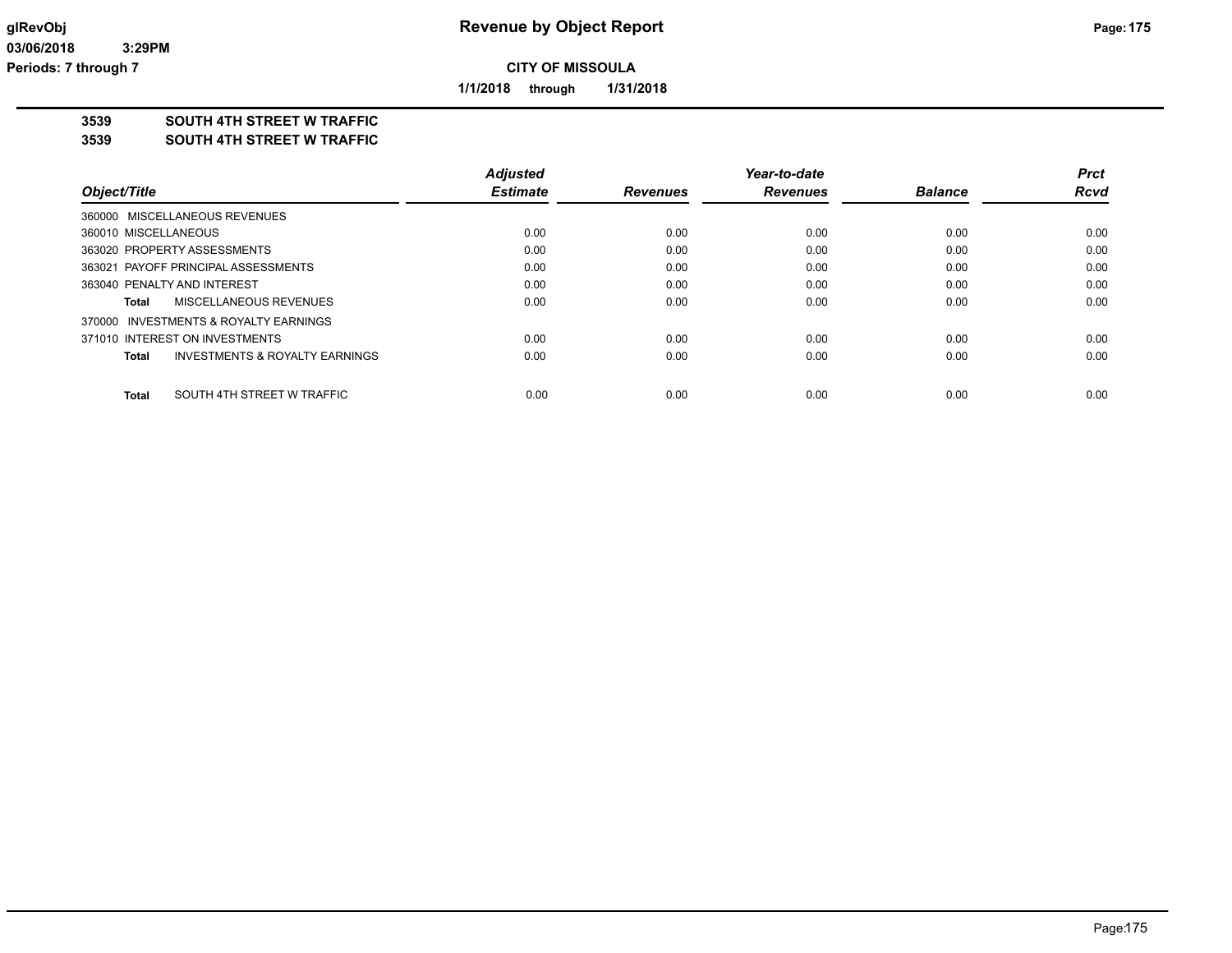**1/1/2018 through 1/31/2018**

## **3539 SOUTH 4TH STREET W TRAFFIC**

#### **3539 SOUTH 4TH STREET W TRAFFIC**

|                                            | <b>Adjusted</b> |                 | Year-to-date    |                | Prct        |
|--------------------------------------------|-----------------|-----------------|-----------------|----------------|-------------|
| Object/Title                               | <b>Estimate</b> | <b>Revenues</b> | <b>Revenues</b> | <b>Balance</b> | <b>Rcvd</b> |
| 360000 MISCELLANEOUS REVENUES              |                 |                 |                 |                |             |
| 360010 MISCELLANEOUS                       | 0.00            | 0.00            | 0.00            | 0.00           | 0.00        |
| 363020 PROPERTY ASSESSMENTS                | 0.00            | 0.00            | 0.00            | 0.00           | 0.00        |
| 363021 PAYOFF PRINCIPAL ASSESSMENTS        | 0.00            | 0.00            | 0.00            | 0.00           | 0.00        |
| 363040 PENALTY AND INTEREST                | 0.00            | 0.00            | 0.00            | 0.00           | 0.00        |
| MISCELLANEOUS REVENUES<br>Total            | 0.00            | 0.00            | 0.00            | 0.00           | 0.00        |
| 370000 INVESTMENTS & ROYALTY EARNINGS      |                 |                 |                 |                |             |
| 371010 INTEREST ON INVESTMENTS             | 0.00            | 0.00            | 0.00            | 0.00           | 0.00        |
| INVESTMENTS & ROYALTY EARNINGS<br>Total    | 0.00            | 0.00            | 0.00            | 0.00           | 0.00        |
| SOUTH 4TH STREET W TRAFFIC<br><b>Total</b> | 0.00            | 0.00            | 0.00            | 0.00           | 0.00        |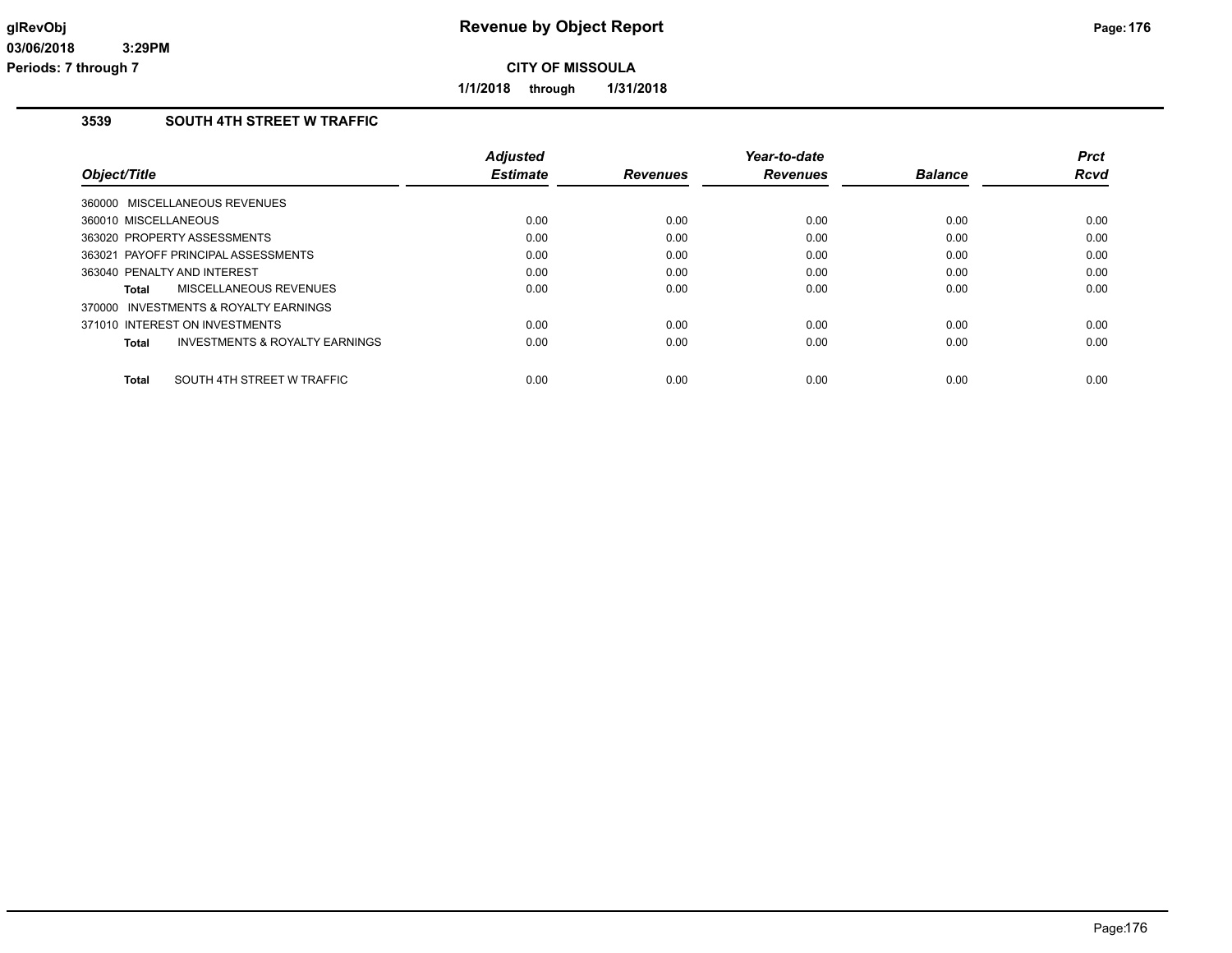**1/1/2018 through 1/31/2018**

## **3539 SOUTH 4TH STREET W TRAFFIC**

| Object/Title                            | <b>Adjusted</b><br><b>Estimate</b> | <b>Revenues</b> | Year-to-date<br><b>Revenues</b> | <b>Balance</b> | <b>Prct</b><br><b>Rcvd</b> |
|-----------------------------------------|------------------------------------|-----------------|---------------------------------|----------------|----------------------------|
| 360000 MISCELLANEOUS REVENUES           |                                    |                 |                                 |                |                            |
| 360010 MISCELLANEOUS                    | 0.00                               | 0.00            | 0.00                            | 0.00           | 0.00                       |
| 363020 PROPERTY ASSESSMENTS             | 0.00                               | 0.00            | 0.00                            | 0.00           | 0.00                       |
| 363021 PAYOFF PRINCIPAL ASSESSMENTS     | 0.00                               | 0.00            | 0.00                            | 0.00           | 0.00                       |
| 363040 PENALTY AND INTEREST             | 0.00                               | 0.00            | 0.00                            | 0.00           | 0.00                       |
| MISCELLANEOUS REVENUES<br>Total         | 0.00                               | 0.00            | 0.00                            | 0.00           | 0.00                       |
| 370000 INVESTMENTS & ROYALTY EARNINGS   |                                    |                 |                                 |                |                            |
| 371010 INTEREST ON INVESTMENTS          | 0.00                               | 0.00            | 0.00                            | 0.00           | 0.00                       |
| INVESTMENTS & ROYALTY EARNINGS<br>Total | 0.00                               | 0.00            | 0.00                            | 0.00           | 0.00                       |
| SOUTH 4TH STREET W TRAFFIC<br>Total     | 0.00                               | 0.00            | 0.00                            | 0.00           | 0.00                       |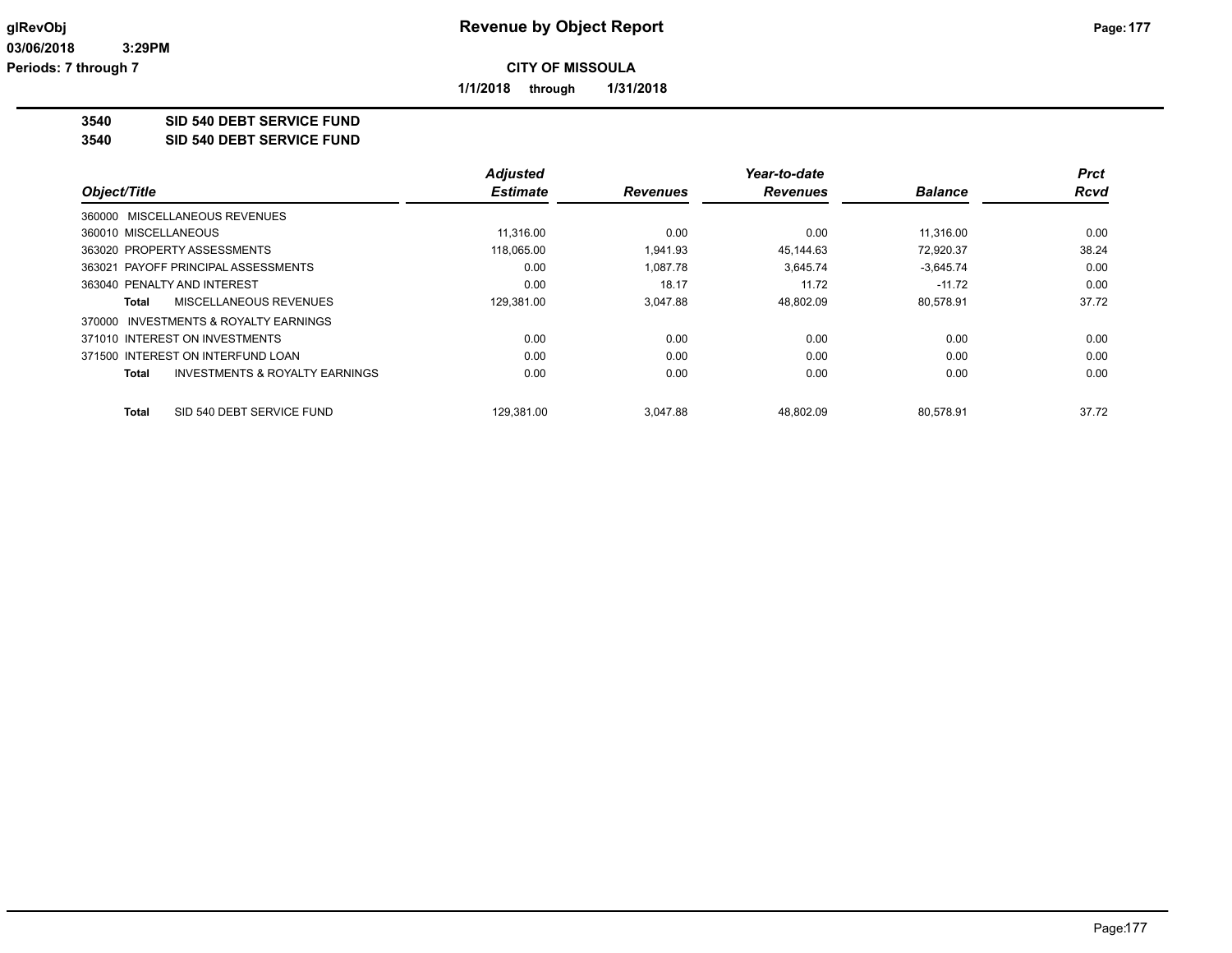**1/1/2018 through 1/31/2018**

**3540 SID 540 DEBT SERVICE FUND**

**3540 SID 540 DEBT SERVICE FUND**

|                                                    | <b>Adjusted</b> |                 | Year-to-date    |                | <b>Prct</b> |
|----------------------------------------------------|-----------------|-----------------|-----------------|----------------|-------------|
| Object/Title                                       | <b>Estimate</b> | <b>Revenues</b> | <b>Revenues</b> | <b>Balance</b> | <b>Rcvd</b> |
| 360000 MISCELLANEOUS REVENUES                      |                 |                 |                 |                |             |
| 360010 MISCELLANEOUS                               | 11,316.00       | 0.00            | 0.00            | 11.316.00      | 0.00        |
| 363020 PROPERTY ASSESSMENTS                        | 118.065.00      | 1.941.93        | 45.144.63       | 72,920.37      | 38.24       |
| 363021 PAYOFF PRINCIPAL ASSESSMENTS                | 0.00            | 1.087.78        | 3,645.74        | $-3,645.74$    | 0.00        |
| 363040 PENALTY AND INTEREST                        | 0.00            | 18.17           | 11.72           | $-11.72$       | 0.00        |
| MISCELLANEOUS REVENUES<br>Total                    | 129.381.00      | 3.047.88        | 48.802.09       | 80.578.91      | 37.72       |
| INVESTMENTS & ROYALTY EARNINGS<br>370000           |                 |                 |                 |                |             |
| 371010 INTEREST ON INVESTMENTS                     | 0.00            | 0.00            | 0.00            | 0.00           | 0.00        |
| 371500 INTEREST ON INTERFUND LOAN                  | 0.00            | 0.00            | 0.00            | 0.00           | 0.00        |
| <b>INVESTMENTS &amp; ROYALTY EARNINGS</b><br>Total | 0.00            | 0.00            | 0.00            | 0.00           | 0.00        |
| SID 540 DEBT SERVICE FUND<br>Total                 | 129,381.00      | 3.047.88        | 48,802.09       | 80.578.91      | 37.72       |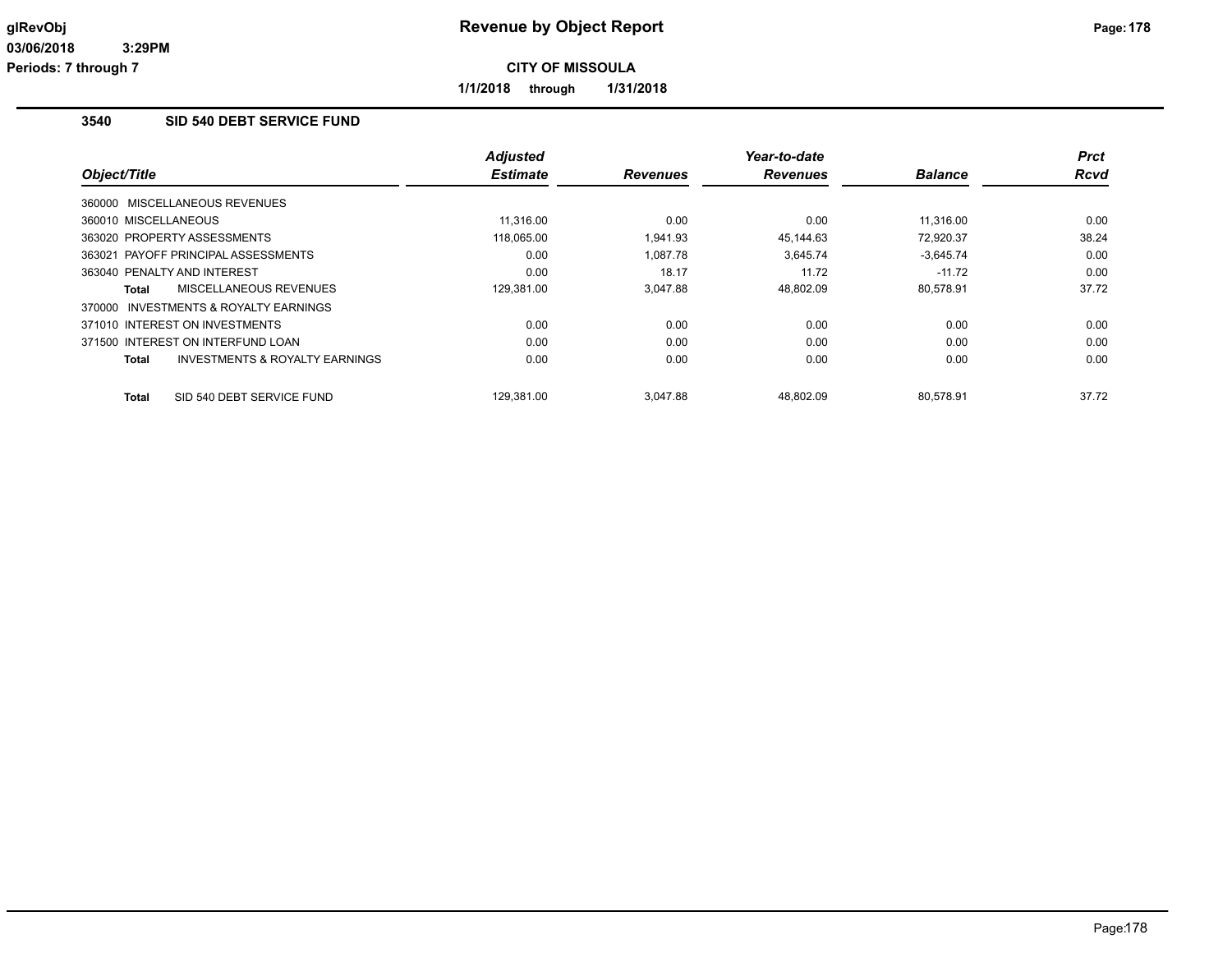**1/1/2018 through 1/31/2018**

## **3540 SID 540 DEBT SERVICE FUND**

|                                                    | <b>Adjusted</b> |                 | Year-to-date    |                | <b>Prct</b> |
|----------------------------------------------------|-----------------|-----------------|-----------------|----------------|-------------|
| Object/Title                                       | <b>Estimate</b> | <b>Revenues</b> | <b>Revenues</b> | <b>Balance</b> | <b>Rcvd</b> |
| 360000 MISCELLANEOUS REVENUES                      |                 |                 |                 |                |             |
| 360010 MISCELLANEOUS                               | 11.316.00       | 0.00            | 0.00            | 11.316.00      | 0.00        |
| 363020 PROPERTY ASSESSMENTS                        | 118,065.00      | 1.941.93        | 45.144.63       | 72.920.37      | 38.24       |
| 363021 PAYOFF PRINCIPAL ASSESSMENTS                | 0.00            | 1.087.78        | 3.645.74        | $-3.645.74$    | 0.00        |
| 363040 PENALTY AND INTEREST                        | 0.00            | 18.17           | 11.72           | $-11.72$       | 0.00        |
| MISCELLANEOUS REVENUES<br>Total                    | 129,381.00      | 3,047.88        | 48,802.09       | 80,578.91      | 37.72       |
| 370000 INVESTMENTS & ROYALTY EARNINGS              |                 |                 |                 |                |             |
| 371010 INTEREST ON INVESTMENTS                     | 0.00            | 0.00            | 0.00            | 0.00           | 0.00        |
| 371500 INTEREST ON INTERFUND LOAN                  | 0.00            | 0.00            | 0.00            | 0.00           | 0.00        |
| <b>INVESTMENTS &amp; ROYALTY EARNINGS</b><br>Total | 0.00            | 0.00            | 0.00            | 0.00           | 0.00        |
| SID 540 DEBT SERVICE FUND<br>Total                 | 129.381.00      | 3.047.88        | 48.802.09       | 80.578.91      | 37.72       |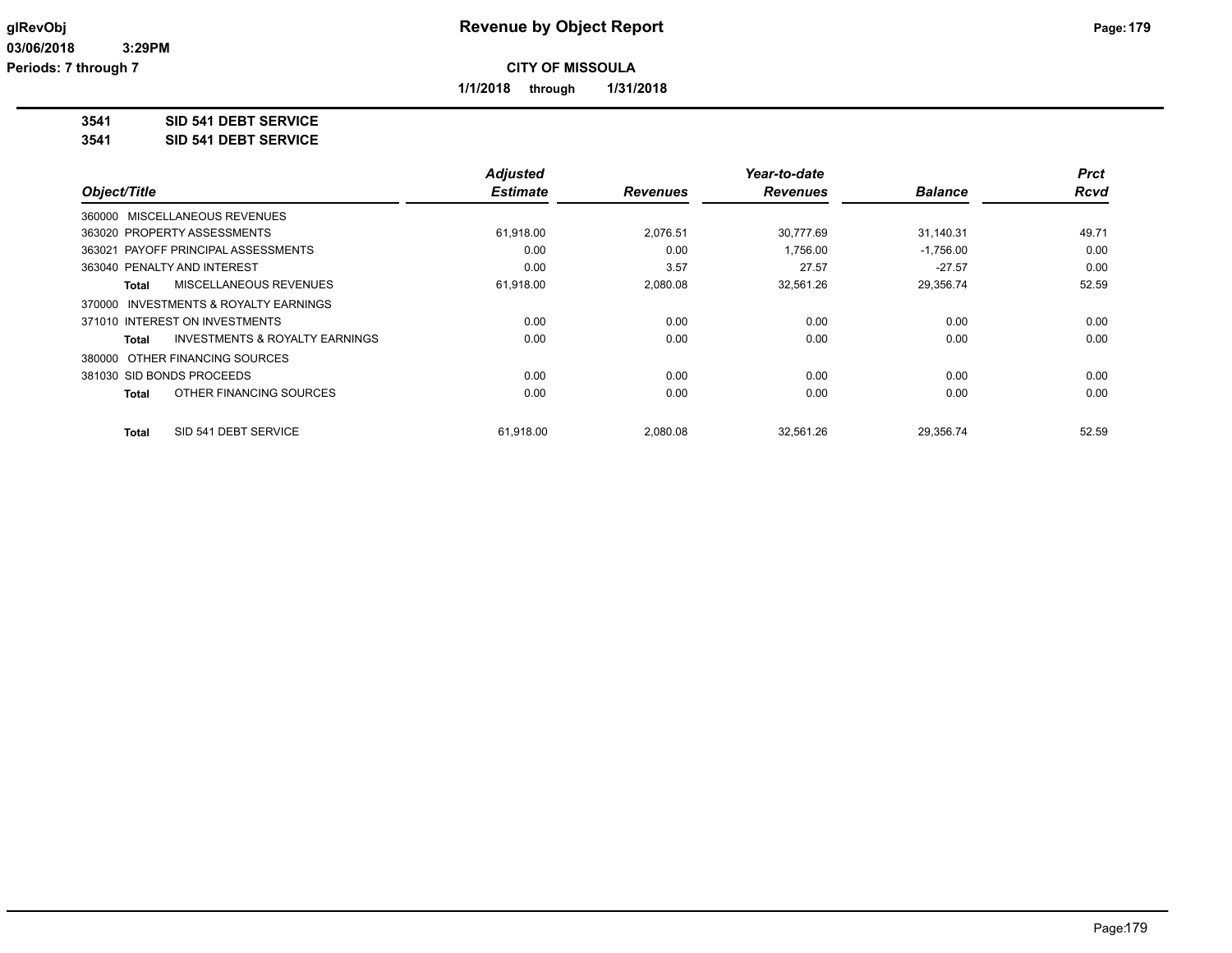**1/1/2018 through 1/31/2018**

**3541 SID 541 DEBT SERVICE**

**3541 SID 541 DEBT SERVICE**

|                                                    | <b>Adjusted</b> |                 | Year-to-date    |                | <b>Prct</b> |
|----------------------------------------------------|-----------------|-----------------|-----------------|----------------|-------------|
| Object/Title                                       | <b>Estimate</b> | <b>Revenues</b> | <b>Revenues</b> | <b>Balance</b> | <b>Rcvd</b> |
| 360000 MISCELLANEOUS REVENUES                      |                 |                 |                 |                |             |
| 363020 PROPERTY ASSESSMENTS                        | 61,918.00       | 2,076.51        | 30.777.69       | 31,140.31      | 49.71       |
| PAYOFF PRINCIPAL ASSESSMENTS<br>363021             | 0.00            | 0.00            | 1,756.00        | $-1,756.00$    | 0.00        |
| 363040 PENALTY AND INTEREST                        | 0.00            | 3.57            | 27.57           | $-27.57$       | 0.00        |
| MISCELLANEOUS REVENUES<br><b>Total</b>             | 61,918.00       | 2,080.08        | 32,561.26       | 29,356.74      | 52.59       |
| 370000 INVESTMENTS & ROYALTY EARNINGS              |                 |                 |                 |                |             |
| 371010 INTEREST ON INVESTMENTS                     | 0.00            | 0.00            | 0.00            | 0.00           | 0.00        |
| <b>INVESTMENTS &amp; ROYALTY EARNINGS</b><br>Total | 0.00            | 0.00            | 0.00            | 0.00           | 0.00        |
| 380000 OTHER FINANCING SOURCES                     |                 |                 |                 |                |             |
| 381030 SID BONDS PROCEEDS                          | 0.00            | 0.00            | 0.00            | 0.00           | 0.00        |
| OTHER FINANCING SOURCES<br><b>Total</b>            | 0.00            | 0.00            | 0.00            | 0.00           | 0.00        |
| SID 541 DEBT SERVICE<br><b>Total</b>               | 61,918.00       | 2,080.08        | 32,561.26       | 29,356.74      | 52.59       |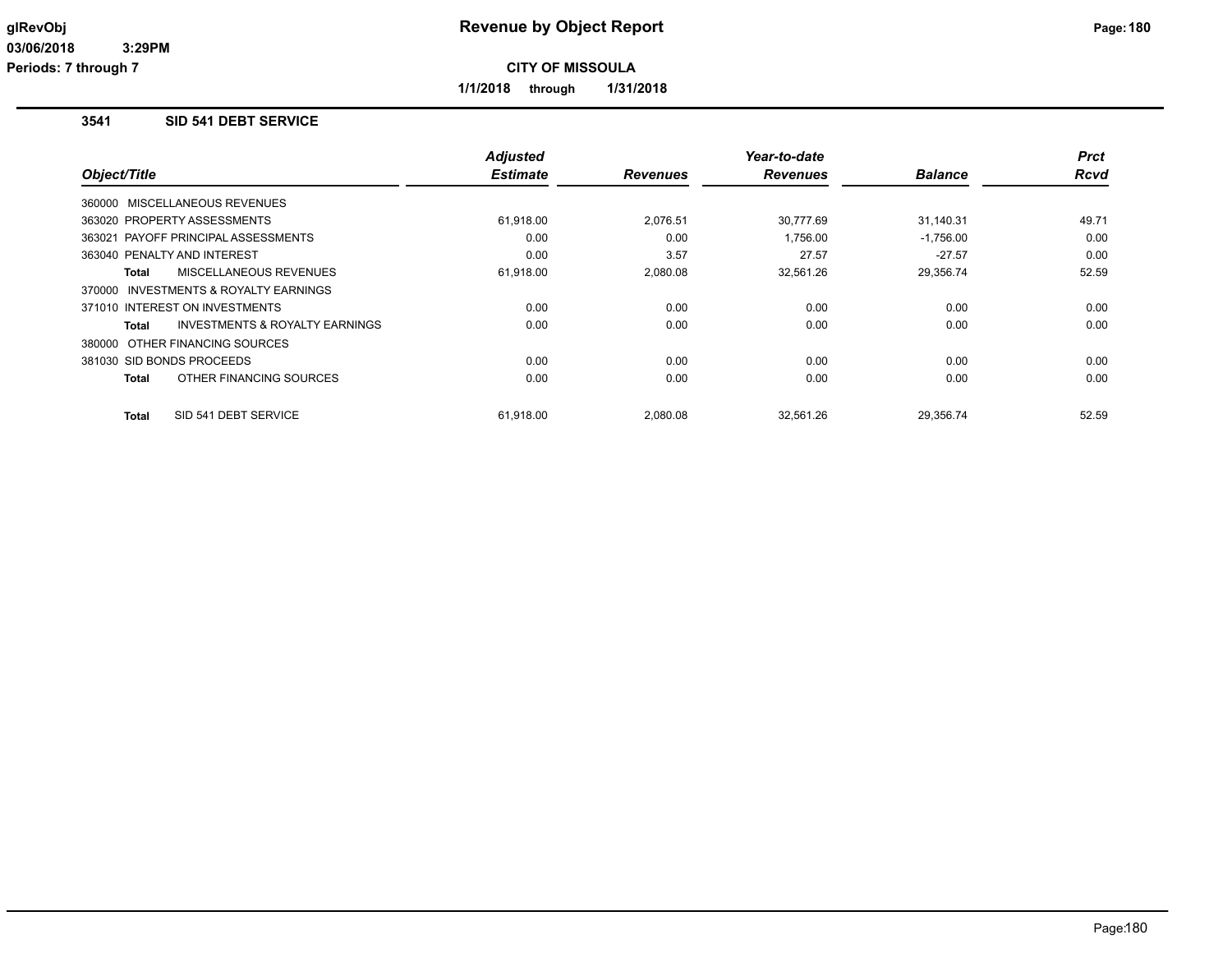**1/1/2018 through 1/31/2018**

## **3541 SID 541 DEBT SERVICE**

|                                                | <b>Adjusted</b> |                 | Year-to-date    |                | <b>Prct</b> |
|------------------------------------------------|-----------------|-----------------|-----------------|----------------|-------------|
| Object/Title                                   | <b>Estimate</b> | <b>Revenues</b> | <b>Revenues</b> | <b>Balance</b> | <b>Rcvd</b> |
| 360000 MISCELLANEOUS REVENUES                  |                 |                 |                 |                |             |
| 363020 PROPERTY ASSESSMENTS                    | 61,918.00       | 2,076.51        | 30.777.69       | 31.140.31      | 49.71       |
| 363021 PAYOFF PRINCIPAL ASSESSMENTS            | 0.00            | 0.00            | 1,756.00        | $-1,756.00$    | 0.00        |
| 363040 PENALTY AND INTEREST                    | 0.00            | 3.57            | 27.57           | $-27.57$       | 0.00        |
| MISCELLANEOUS REVENUES<br>Total                | 61,918.00       | 2,080.08        | 32,561.26       | 29,356.74      | 52.59       |
| 370000 INVESTMENTS & ROYALTY EARNINGS          |                 |                 |                 |                |             |
| 371010 INTEREST ON INVESTMENTS                 | 0.00            | 0.00            | 0.00            | 0.00           | 0.00        |
| INVESTMENTS & ROYALTY EARNINGS<br><b>Total</b> | 0.00            | 0.00            | 0.00            | 0.00           | 0.00        |
| 380000 OTHER FINANCING SOURCES                 |                 |                 |                 |                |             |
| 381030 SID BONDS PROCEEDS                      | 0.00            | 0.00            | 0.00            | 0.00           | 0.00        |
| OTHER FINANCING SOURCES<br><b>Total</b>        | 0.00            | 0.00            | 0.00            | 0.00           | 0.00        |
| SID 541 DEBT SERVICE<br><b>Total</b>           | 61,918.00       | 2,080.08        | 32,561.26       | 29,356.74      | 52.59       |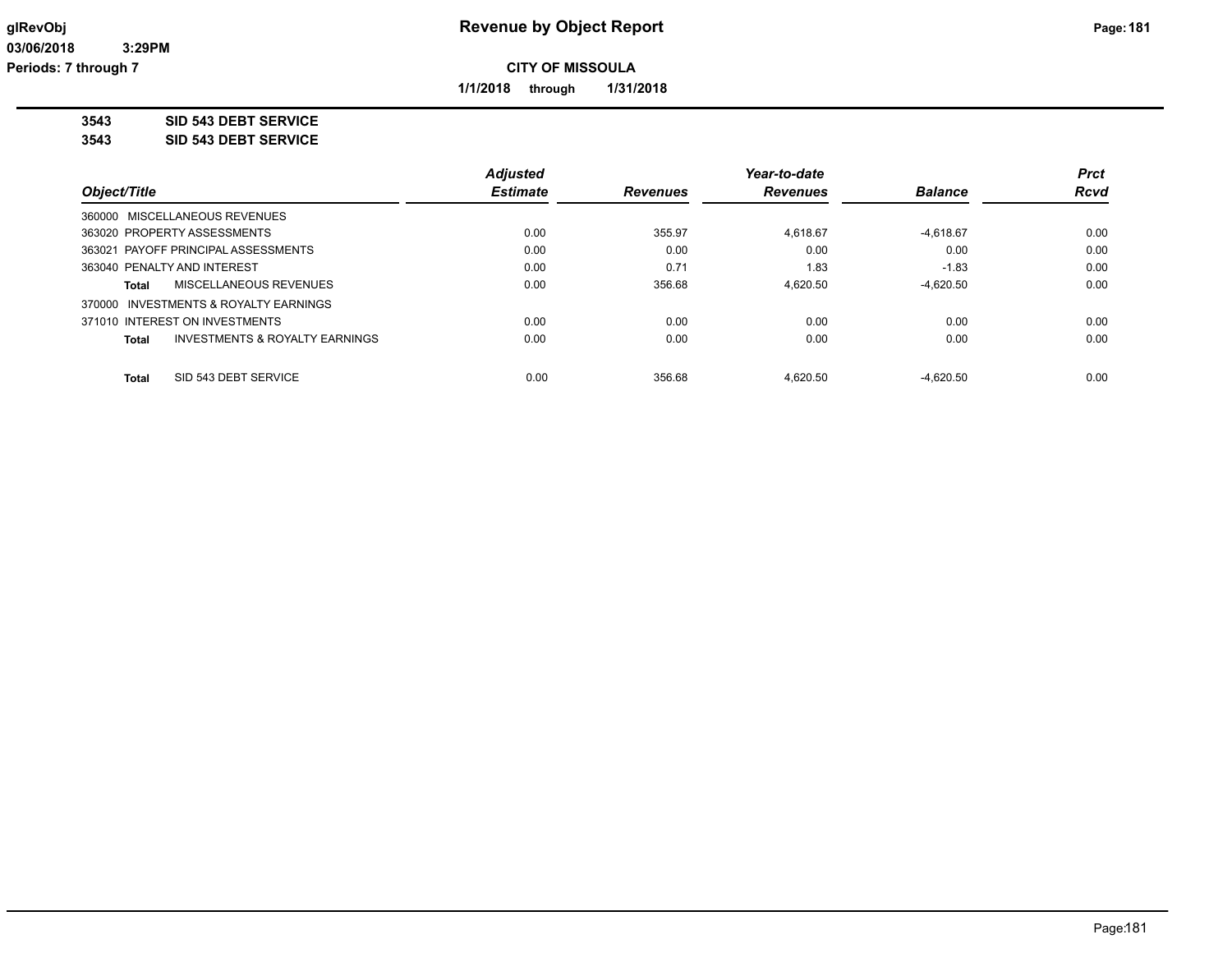**1/1/2018 through 1/31/2018**

**3543 SID 543 DEBT SERVICE**

**3543 SID 543 DEBT SERVICE**

|                                                    | <b>Adjusted</b> |                 | Year-to-date    |                | <b>Prct</b> |
|----------------------------------------------------|-----------------|-----------------|-----------------|----------------|-------------|
| Object/Title                                       | <b>Estimate</b> | <b>Revenues</b> | <b>Revenues</b> | <b>Balance</b> | <b>Rcvd</b> |
| 360000 MISCELLANEOUS REVENUES                      |                 |                 |                 |                |             |
| 363020 PROPERTY ASSESSMENTS                        | 0.00            | 355.97          | 4.618.67        | $-4.618.67$    | 0.00        |
| 363021 PAYOFF PRINCIPAL ASSESSMENTS                | 0.00            | 0.00            | 0.00            | 0.00           | 0.00        |
| 363040 PENALTY AND INTEREST                        | 0.00            | 0.71            | 1.83            | $-1.83$        | 0.00        |
| MISCELLANEOUS REVENUES<br>Total                    | 0.00            | 356.68          | 4.620.50        | $-4.620.50$    | 0.00        |
| 370000 INVESTMENTS & ROYALTY EARNINGS              |                 |                 |                 |                |             |
| 371010 INTEREST ON INVESTMENTS                     | 0.00            | 0.00            | 0.00            | 0.00           | 0.00        |
| <b>INVESTMENTS &amp; ROYALTY EARNINGS</b><br>Total | 0.00            | 0.00            | 0.00            | 0.00           | 0.00        |
| SID 543 DEBT SERVICE<br><b>Total</b>               | 0.00            | 356.68          | 4.620.50        | $-4.620.50$    | 0.00        |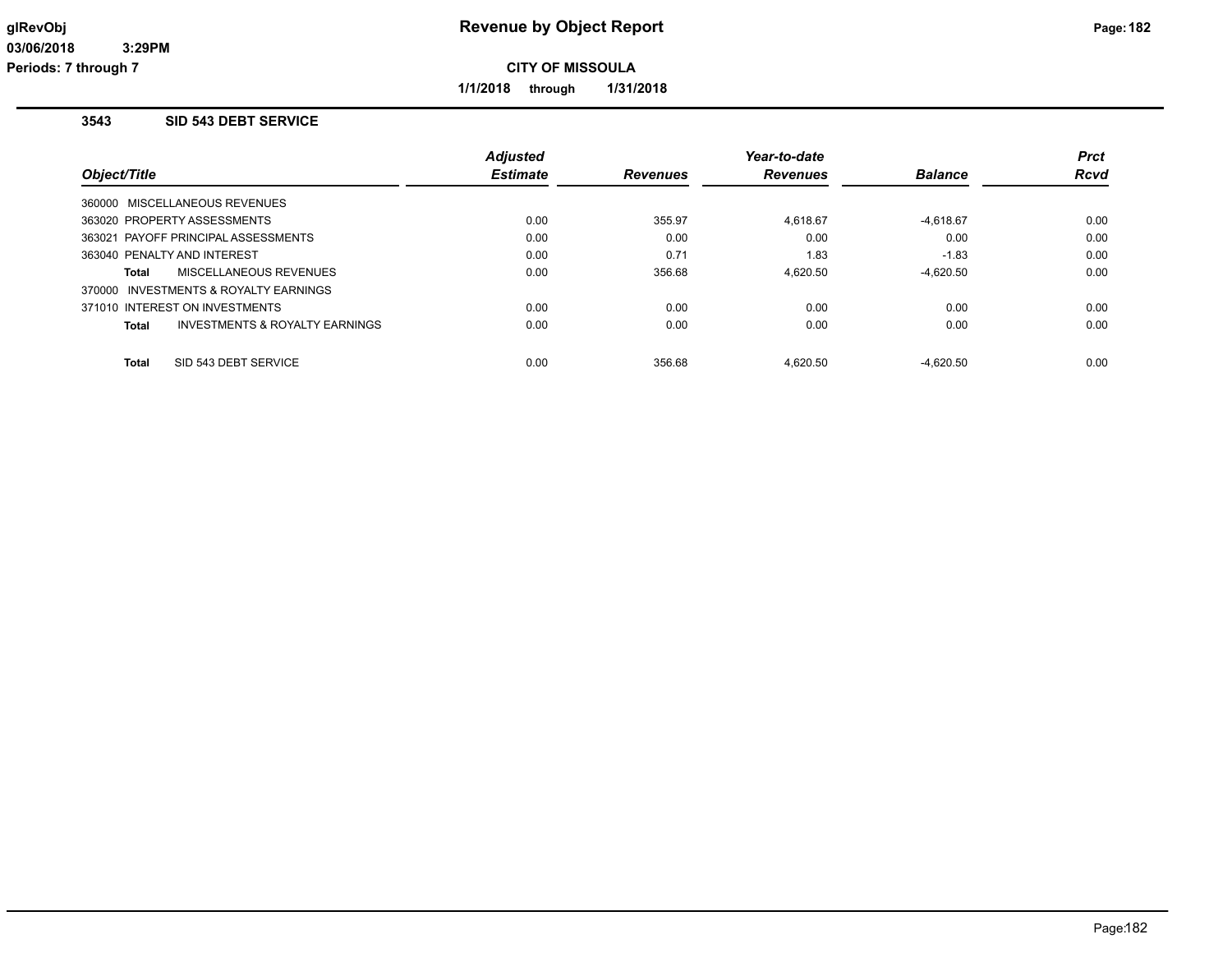**1/1/2018 through 1/31/2018**

## **3543 SID 543 DEBT SERVICE**

|                                |                                       | <b>Adjusted</b> |                 | Year-to-date    |                | <b>Prct</b> |
|--------------------------------|---------------------------------------|-----------------|-----------------|-----------------|----------------|-------------|
| Object/Title                   |                                       | <b>Estimate</b> | <b>Revenues</b> | <b>Revenues</b> | <b>Balance</b> | <b>Rcvd</b> |
| 360000 MISCELLANEOUS REVENUES  |                                       |                 |                 |                 |                |             |
| 363020 PROPERTY ASSESSMENTS    |                                       | 0.00            | 355.97          | 4,618.67        | $-4,618.67$    | 0.00        |
|                                | 363021 PAYOFF PRINCIPAL ASSESSMENTS   | 0.00            | 0.00            | 0.00            | 0.00           | 0.00        |
| 363040 PENALTY AND INTEREST    |                                       | 0.00            | 0.71            | 1.83            | $-1.83$        | 0.00        |
| Total                          | MISCELLANEOUS REVENUES                | 0.00            | 356.68          | 4.620.50        | $-4.620.50$    | 0.00        |
|                                | 370000 INVESTMENTS & ROYALTY EARNINGS |                 |                 |                 |                |             |
| 371010 INTEREST ON INVESTMENTS |                                       | 0.00            | 0.00            | 0.00            | 0.00           | 0.00        |
| Total                          | INVESTMENTS & ROYALTY EARNINGS        | 0.00            | 0.00            | 0.00            | 0.00           | 0.00        |
| Total                          | SID 543 DEBT SERVICE                  | 0.00            | 356.68          | 4.620.50        | $-4.620.50$    | 0.00        |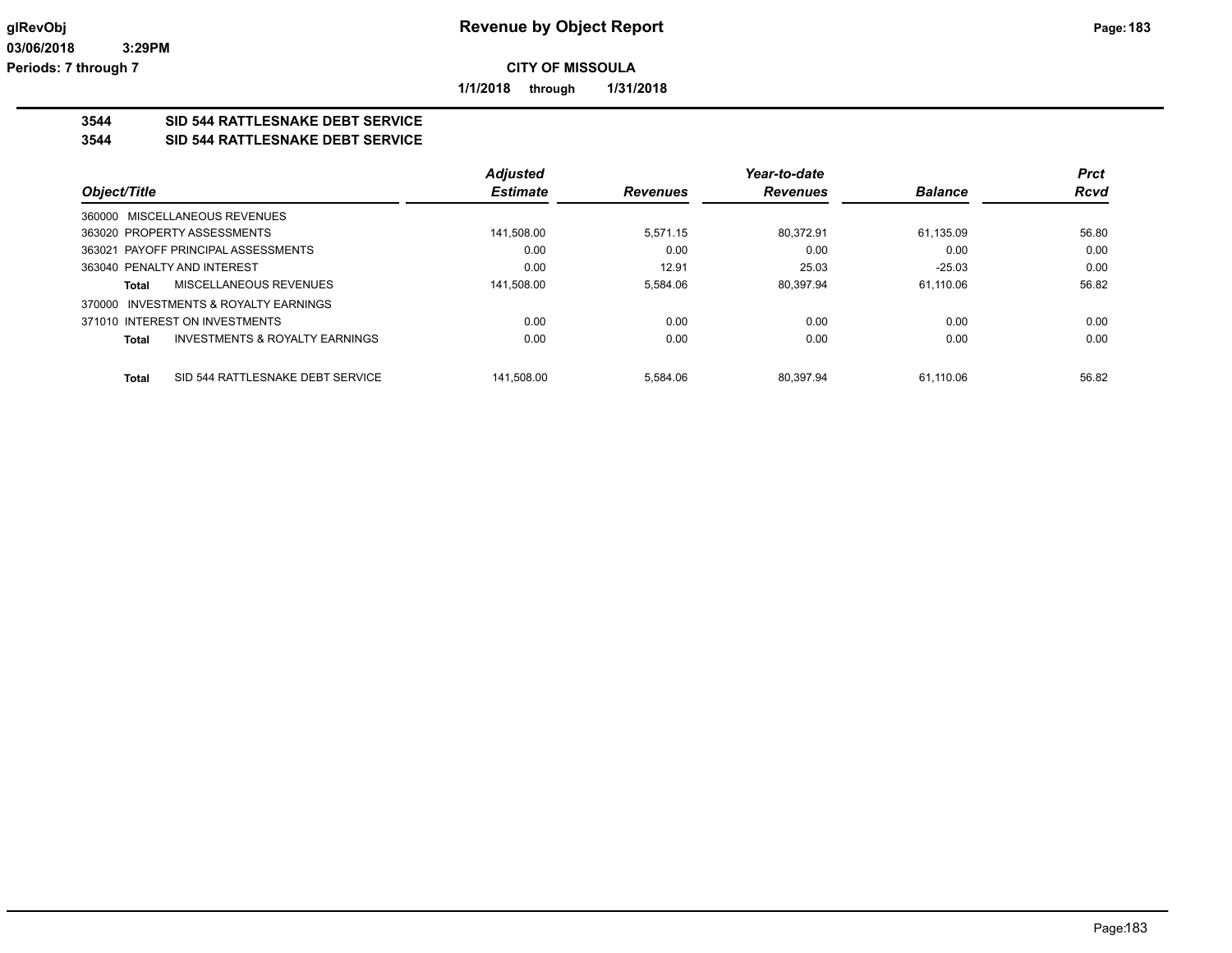**1/1/2018 through 1/31/2018**

## **3544 SID 544 RATTLESNAKE DEBT SERVICE**

#### **3544 SID 544 RATTLESNAKE DEBT SERVICE**

|                                                  | <b>Adjusted</b> |                 | Year-to-date    |                | <b>Prct</b> |
|--------------------------------------------------|-----------------|-----------------|-----------------|----------------|-------------|
| Object/Title                                     | <b>Estimate</b> | <b>Revenues</b> | <b>Revenues</b> | <b>Balance</b> | <b>Rcvd</b> |
| 360000 MISCELLANEOUS REVENUES                    |                 |                 |                 |                |             |
| 363020 PROPERTY ASSESSMENTS                      | 141.508.00      | 5.571.15        | 80.372.91       | 61.135.09      | 56.80       |
| 363021 PAYOFF PRINCIPAL ASSESSMENTS              | 0.00            | 0.00            | 0.00            | 0.00           | 0.00        |
| 363040 PENALTY AND INTEREST                      | 0.00            | 12.91           | 25.03           | $-25.03$       | 0.00        |
| MISCELLANEOUS REVENUES<br>Total                  | 141,508.00      | 5.584.06        | 80.397.94       | 61.110.06      | 56.82       |
| INVESTMENTS & ROYALTY EARNINGS<br>370000         |                 |                 |                 |                |             |
| 371010 INTEREST ON INVESTMENTS                   | 0.00            | 0.00            | 0.00            | 0.00           | 0.00        |
| INVESTMENTS & ROYALTY EARNINGS<br>Total          | 0.00            | 0.00            | 0.00            | 0.00           | 0.00        |
|                                                  |                 |                 |                 |                |             |
| SID 544 RATTLESNAKE DEBT SERVICE<br><b>Total</b> | 141.508.00      | 5.584.06        | 80.397.94       | 61.110.06      | 56.82       |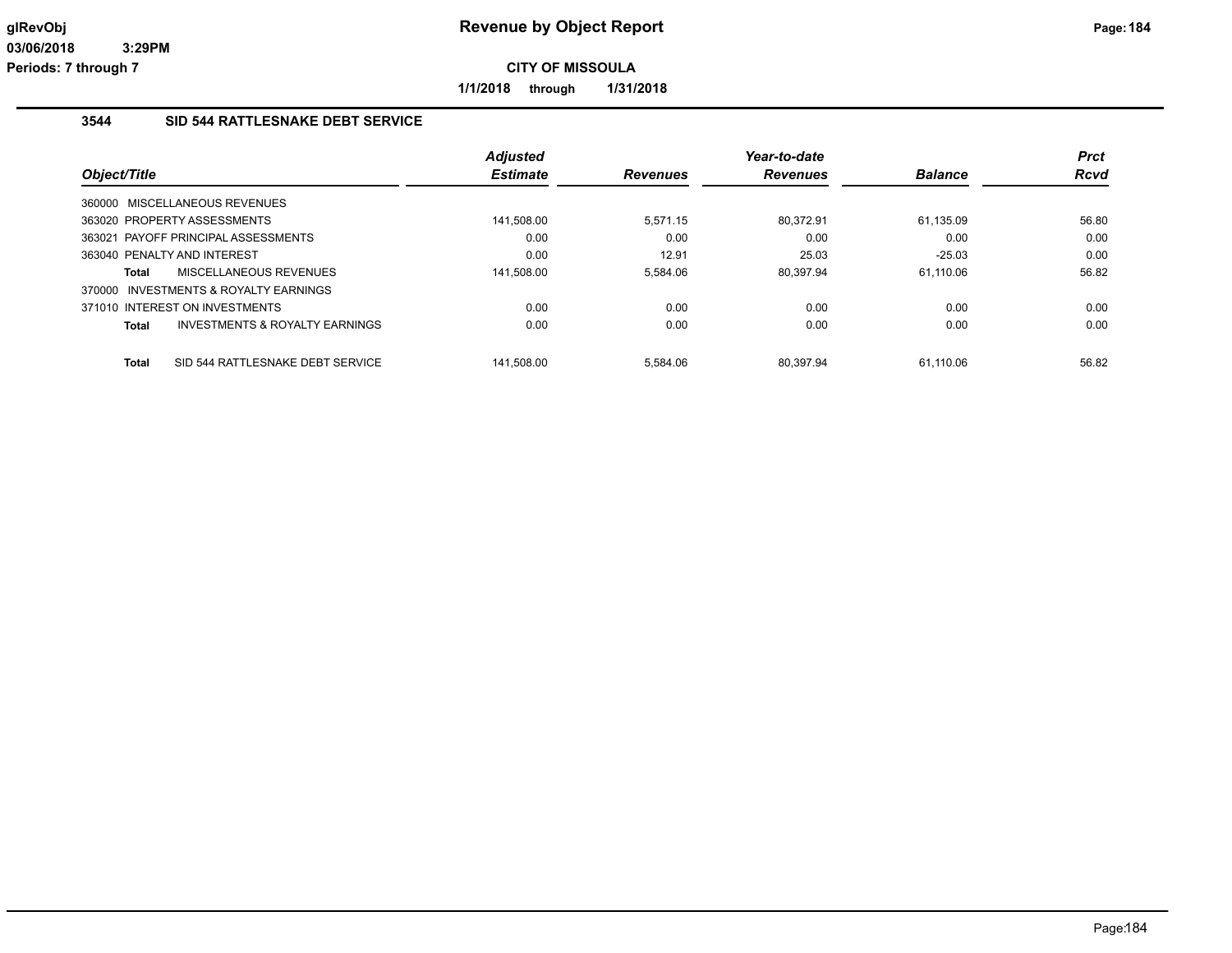**1/1/2018 through 1/31/2018**

## **3544 SID 544 RATTLESNAKE DEBT SERVICE**

|              |                                           | <b>Adjusted</b> |                 | Year-to-date    |                | <b>Prct</b> |
|--------------|-------------------------------------------|-----------------|-----------------|-----------------|----------------|-------------|
| Object/Title |                                           | <b>Estimate</b> | <b>Revenues</b> | <b>Revenues</b> | <b>Balance</b> | <b>Rcvd</b> |
|              | 360000 MISCELLANEOUS REVENUES             |                 |                 |                 |                |             |
|              | 363020 PROPERTY ASSESSMENTS               | 141,508.00      | 5.571.15        | 80.372.91       | 61.135.09      | 56.80       |
|              | 363021 PAYOFF PRINCIPAL ASSESSMENTS       | 0.00            | 0.00            | 0.00            | 0.00           | 0.00        |
|              | 363040 PENALTY AND INTEREST               | 0.00            | 12.91           | 25.03           | $-25.03$       | 0.00        |
| Total        | MISCELLANEOUS REVENUES                    | 141,508.00      | 5.584.06        | 80.397.94       | 61.110.06      | 56.82       |
|              | 370000 INVESTMENTS & ROYALTY EARNINGS     |                 |                 |                 |                |             |
|              | 371010 INTEREST ON INVESTMENTS            | 0.00            | 0.00            | 0.00            | 0.00           | 0.00        |
| <b>Total</b> | <b>INVESTMENTS &amp; ROYALTY EARNINGS</b> | 0.00            | 0.00            | 0.00            | 0.00           | 0.00        |
| <b>Total</b> | SID 544 RATTLESNAKE DEBT SERVICE          | 141.508.00      | 5.584.06        | 80.397.94       | 61.110.06      | 56.82       |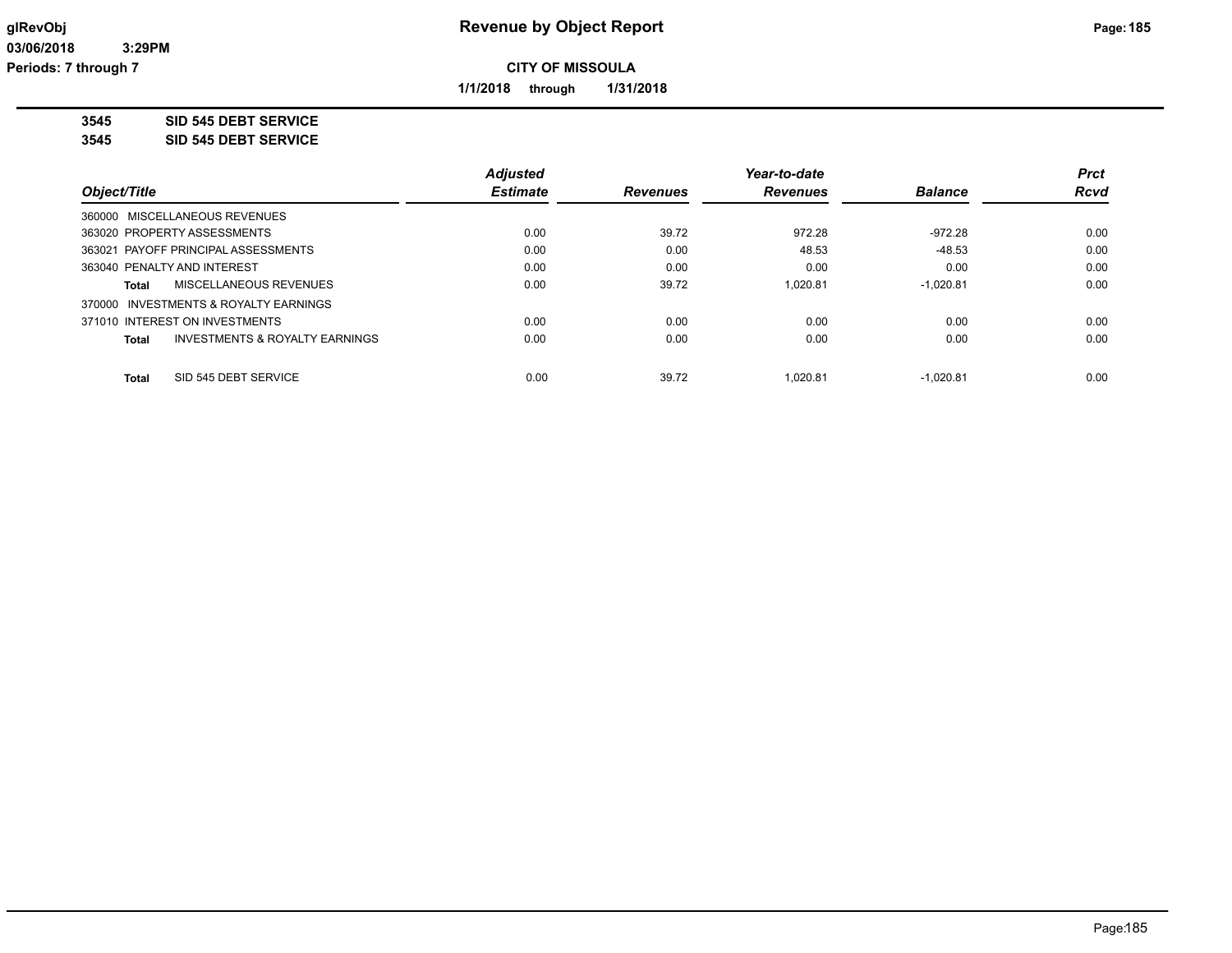**1/1/2018 through 1/31/2018**

**3545 SID 545 DEBT SERVICE**

**3545 SID 545 DEBT SERVICE**

|                                                    | <b>Adjusted</b> |                 | Year-to-date    |                | <b>Prct</b> |
|----------------------------------------------------|-----------------|-----------------|-----------------|----------------|-------------|
| Object/Title                                       | <b>Estimate</b> | <b>Revenues</b> | <b>Revenues</b> | <b>Balance</b> | <b>Rcvd</b> |
| 360000 MISCELLANEOUS REVENUES                      |                 |                 |                 |                |             |
| 363020 PROPERTY ASSESSMENTS                        | 0.00            | 39.72           | 972.28          | $-972.28$      | 0.00        |
| 363021 PAYOFF PRINCIPAL ASSESSMENTS                | 0.00            | 0.00            | 48.53           | $-48.53$       | 0.00        |
| 363040 PENALTY AND INTEREST                        | 0.00            | 0.00            | 0.00            | 0.00           | 0.00        |
| MISCELLANEOUS REVENUES<br>Total                    | 0.00            | 39.72           | 1.020.81        | $-1.020.81$    | 0.00        |
| 370000 INVESTMENTS & ROYALTY EARNINGS              |                 |                 |                 |                |             |
| 371010 INTEREST ON INVESTMENTS                     | 0.00            | 0.00            | 0.00            | 0.00           | 0.00        |
| <b>INVESTMENTS &amp; ROYALTY EARNINGS</b><br>Total | 0.00            | 0.00            | 0.00            | 0.00           | 0.00        |
| SID 545 DEBT SERVICE<br><b>Total</b>               | 0.00            | 39.72           | 1.020.81        | $-1.020.81$    | 0.00        |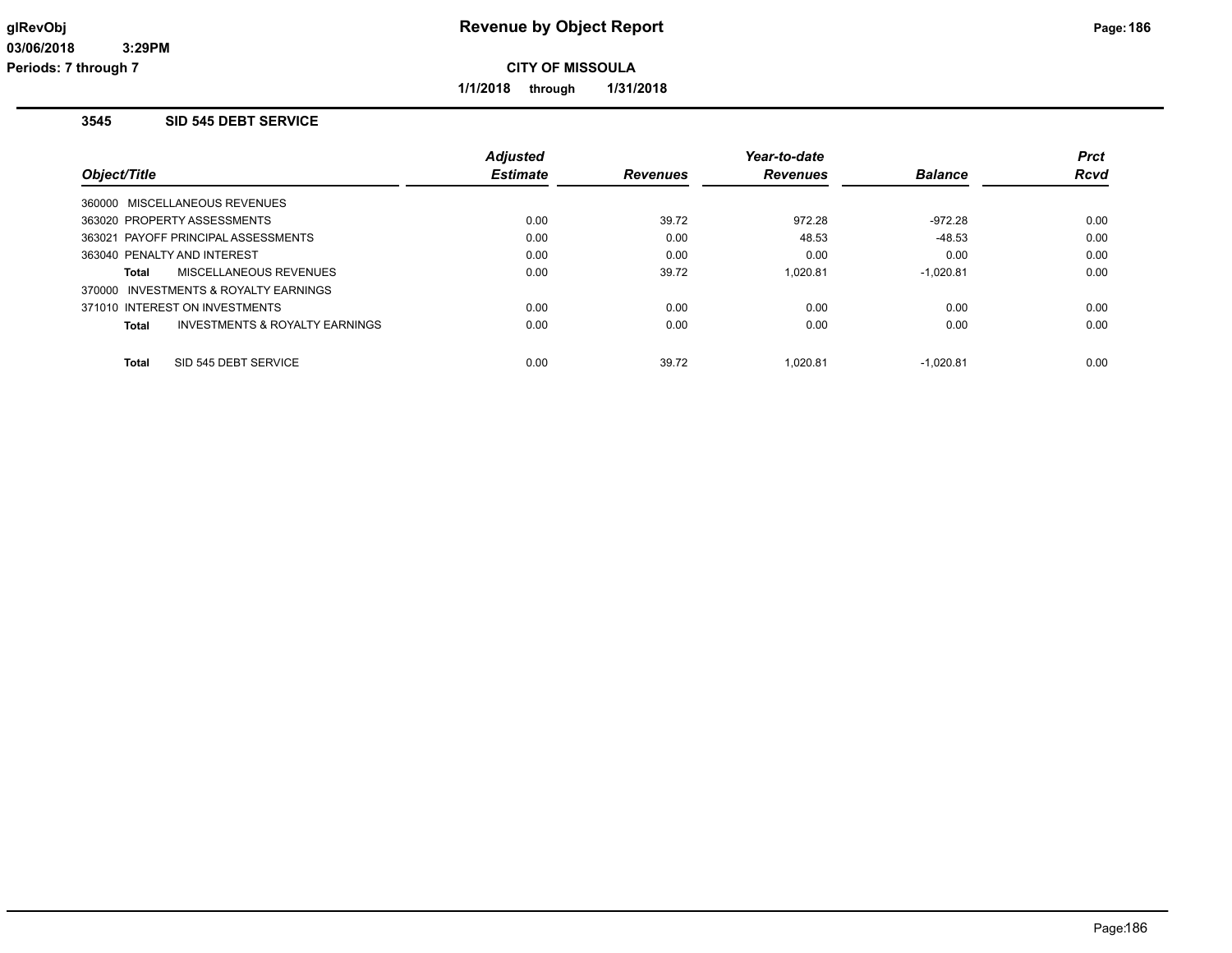**1/1/2018 through 1/31/2018**

## **3545 SID 545 DEBT SERVICE**

|                                       |                                | <b>Adjusted</b> |                 | Year-to-date    |                | <b>Prct</b> |
|---------------------------------------|--------------------------------|-----------------|-----------------|-----------------|----------------|-------------|
| Object/Title                          |                                | <b>Estimate</b> | <b>Revenues</b> | <b>Revenues</b> | <b>Balance</b> | <b>Rcvd</b> |
| 360000 MISCELLANEOUS REVENUES         |                                |                 |                 |                 |                |             |
| 363020 PROPERTY ASSESSMENTS           |                                | 0.00            | 39.72           | 972.28          | $-972.28$      | 0.00        |
| 363021 PAYOFF PRINCIPAL ASSESSMENTS   |                                | 0.00            | 0.00            | 48.53           | $-48.53$       | 0.00        |
| 363040 PENALTY AND INTEREST           |                                | 0.00            | 0.00            | 0.00            | 0.00           | 0.00        |
| Total                                 | MISCELLANEOUS REVENUES         | 0.00            | 39.72           | 1.020.81        | $-1.020.81$    | 0.00        |
| 370000 INVESTMENTS & ROYALTY EARNINGS |                                |                 |                 |                 |                |             |
| 371010 INTEREST ON INVESTMENTS        |                                | 0.00            | 0.00            | 0.00            | 0.00           | 0.00        |
| Total                                 | INVESTMENTS & ROYALTY EARNINGS | 0.00            | 0.00            | 0.00            | 0.00           | 0.00        |
| SID 545 DEBT SERVICE<br>Total         |                                | 0.00            | 39.72           | 1.020.81        | $-1.020.81$    | 0.00        |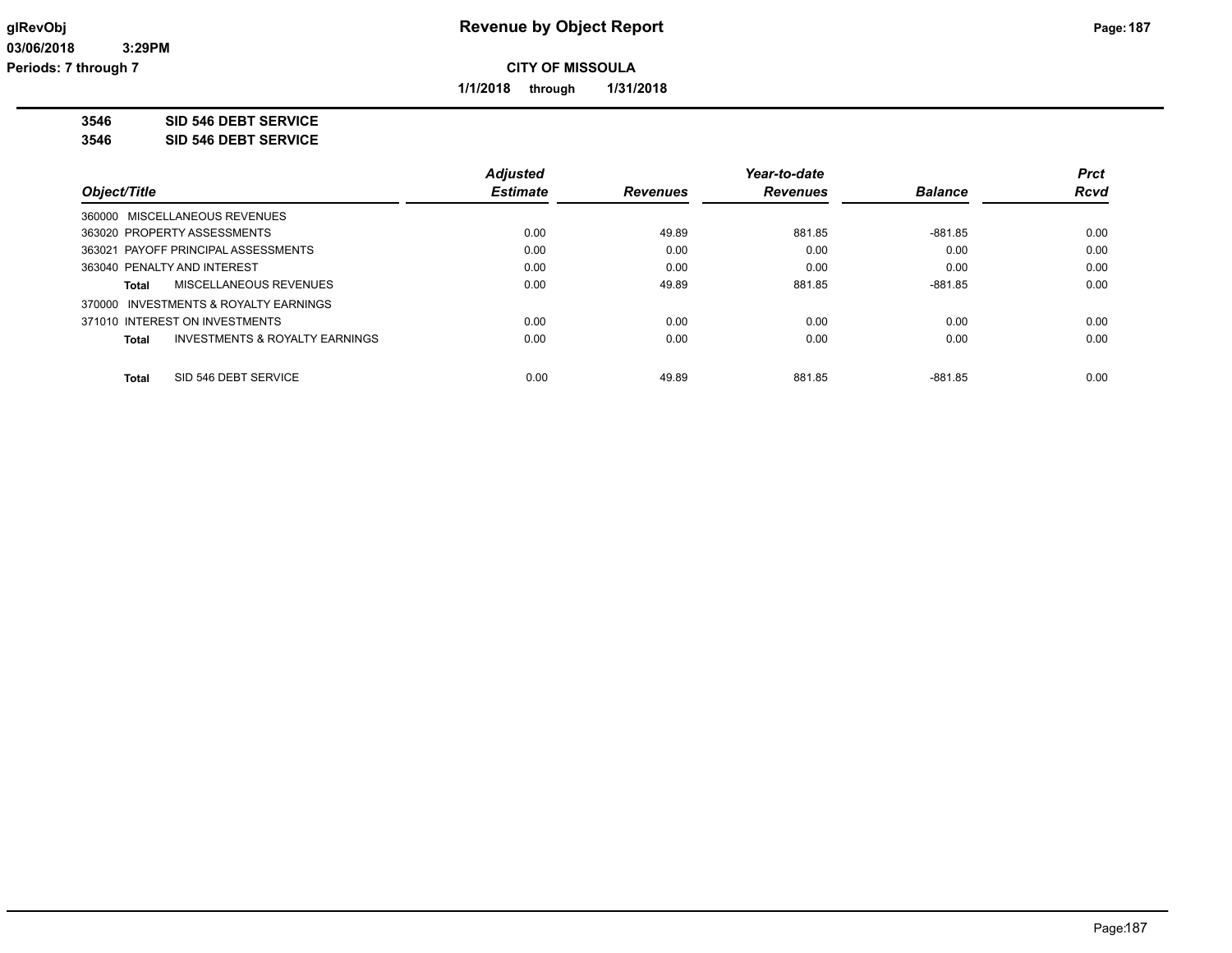**1/1/2018 through 1/31/2018**

**3546 SID 546 DEBT SERVICE**

**3546 SID 546 DEBT SERVICE**

|                                                    | <b>Adjusted</b> |                 | Year-to-date    |                | <b>Prct</b> |
|----------------------------------------------------|-----------------|-----------------|-----------------|----------------|-------------|
| Object/Title                                       | <b>Estimate</b> | <b>Revenues</b> | <b>Revenues</b> | <b>Balance</b> | <b>Rcvd</b> |
| 360000 MISCELLANEOUS REVENUES                      |                 |                 |                 |                |             |
| 363020 PROPERTY ASSESSMENTS                        | 0.00            | 49.89           | 881.85          | $-881.85$      | 0.00        |
| 363021 PAYOFF PRINCIPAL ASSESSMENTS                | 0.00            | 0.00            | 0.00            | 0.00           | 0.00        |
| 363040 PENALTY AND INTEREST                        | 0.00            | 0.00            | 0.00            | 0.00           | 0.00        |
| <b>MISCELLANEOUS REVENUES</b><br>Total             | 0.00            | 49.89           | 881.85          | $-881.85$      | 0.00        |
| 370000 INVESTMENTS & ROYALTY EARNINGS              |                 |                 |                 |                |             |
| 371010 INTEREST ON INVESTMENTS                     | 0.00            | 0.00            | 0.00            | 0.00           | 0.00        |
| <b>INVESTMENTS &amp; ROYALTY EARNINGS</b><br>Total | 0.00            | 0.00            | 0.00            | 0.00           | 0.00        |
|                                                    |                 |                 |                 |                |             |
| SID 546 DEBT SERVICE<br><b>Total</b>               | 0.00            | 49.89           | 881.85          | $-881.85$      | 0.00        |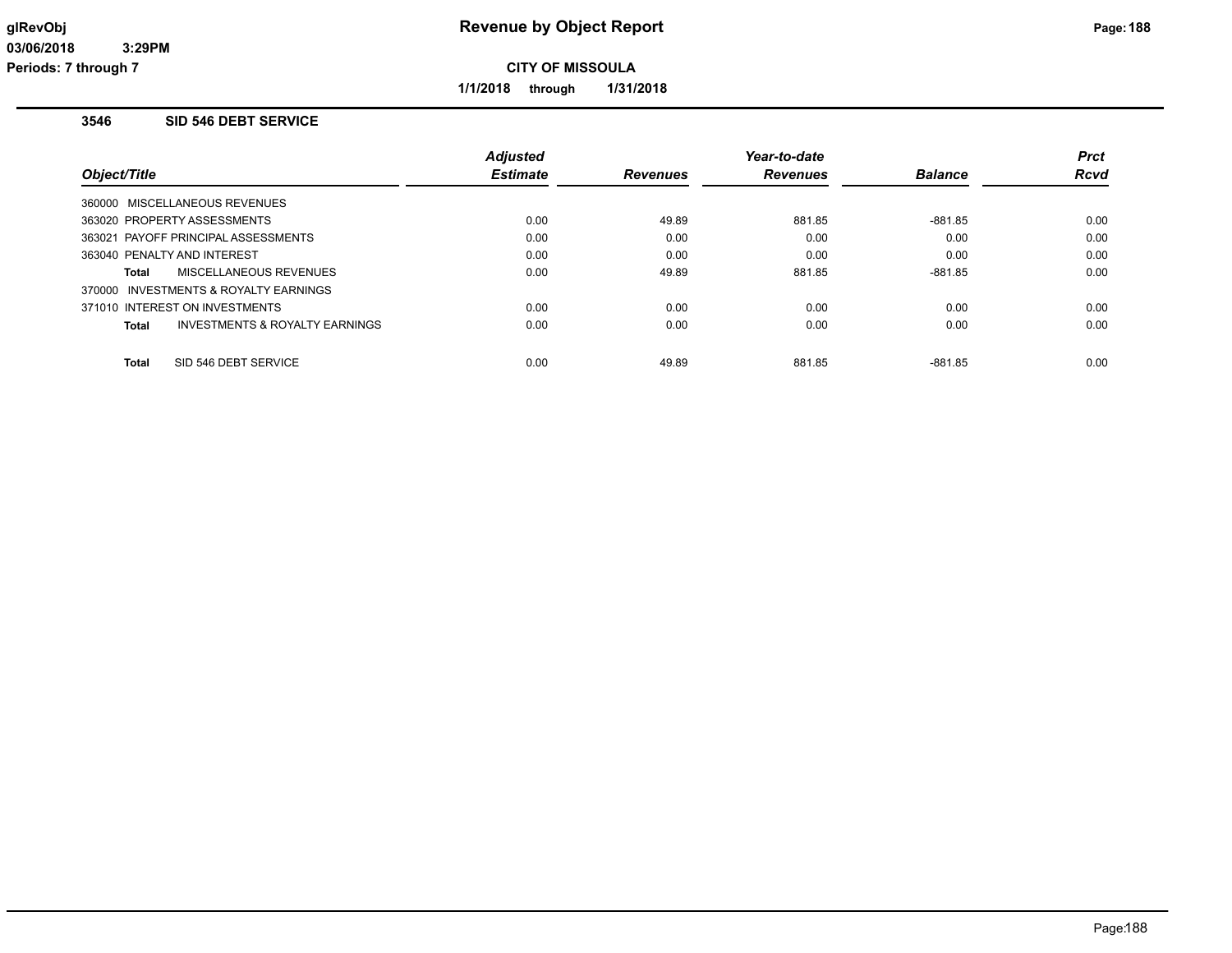**1/1/2018 through 1/31/2018**

## **3546 SID 546 DEBT SERVICE**

|                                                           | <b>Adjusted</b> |                 | Year-to-date    |                | <b>Prct</b> |
|-----------------------------------------------------------|-----------------|-----------------|-----------------|----------------|-------------|
| Object/Title                                              | <b>Estimate</b> | <b>Revenues</b> | <b>Revenues</b> | <b>Balance</b> | <b>Rcvd</b> |
| 360000 MISCELLANEOUS REVENUES                             |                 |                 |                 |                |             |
| 363020 PROPERTY ASSESSMENTS                               | 0.00            | 49.89           | 881.85          | $-881.85$      | 0.00        |
| 363021 PAYOFF PRINCIPAL ASSESSMENTS                       | 0.00            | 0.00            | 0.00            | 0.00           | 0.00        |
| 363040 PENALTY AND INTEREST                               | 0.00            | 0.00            | 0.00            | 0.00           | 0.00        |
| MISCELLANEOUS REVENUES<br>Total                           | 0.00            | 49.89           | 881.85          | $-881.85$      | 0.00        |
| 370000 INVESTMENTS & ROYALTY EARNINGS                     |                 |                 |                 |                |             |
| 371010 INTEREST ON INVESTMENTS                            | 0.00            | 0.00            | 0.00            | 0.00           | 0.00        |
| <b>INVESTMENTS &amp; ROYALTY EARNINGS</b><br><b>Total</b> | 0.00            | 0.00            | 0.00            | 0.00           | 0.00        |
| SID 546 DEBT SERVICE<br><b>Total</b>                      | 0.00            | 49.89           | 881.85          | $-881.85$      | 0.00        |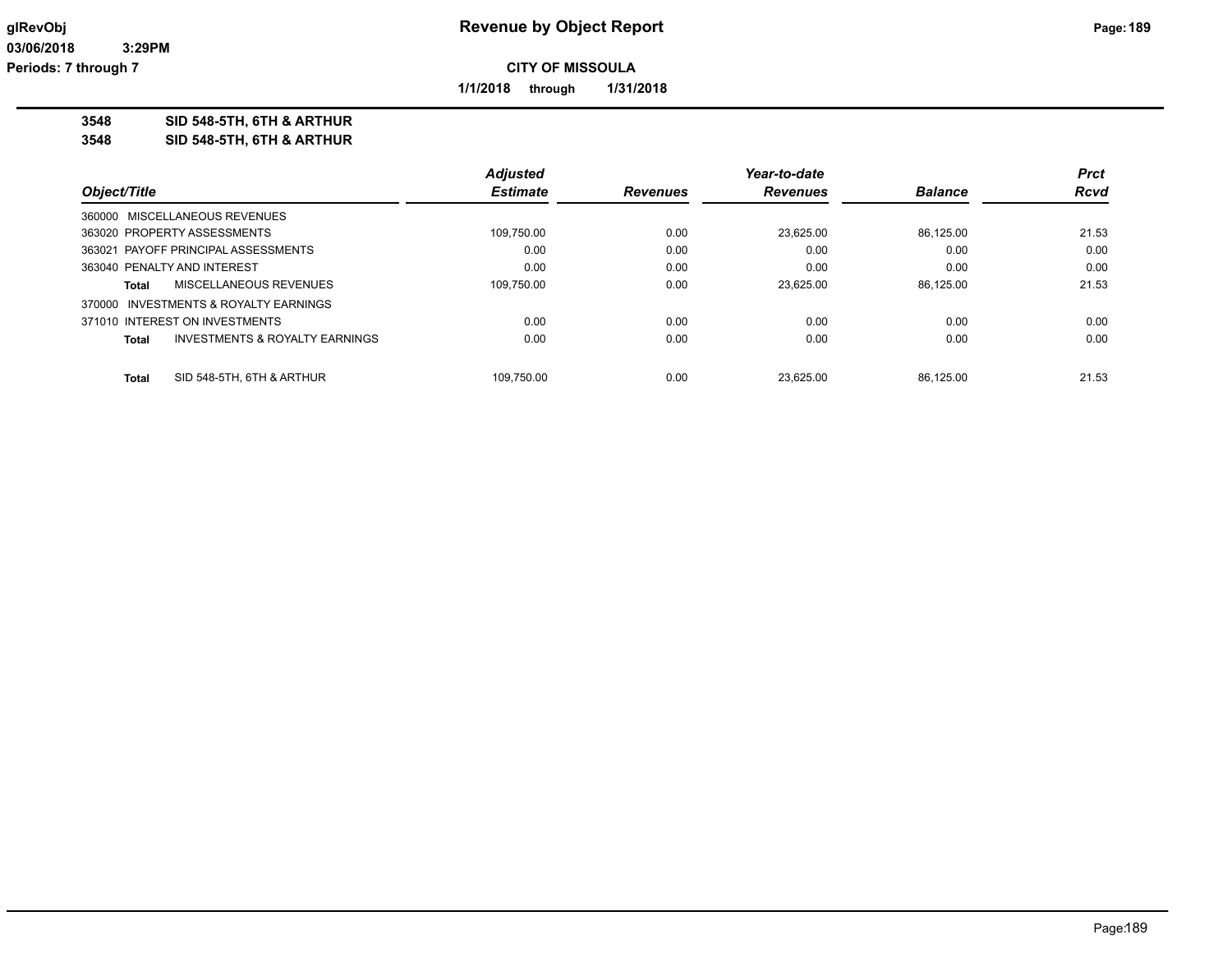**1/1/2018 through 1/31/2018**

**3548 SID 548-5TH, 6TH & ARTHUR**

**3548 SID 548-5TH, 6TH & ARTHUR**

|                                                    | <b>Adjusted</b> |                 | Year-to-date    |                | <b>Prct</b> |
|----------------------------------------------------|-----------------|-----------------|-----------------|----------------|-------------|
| Object/Title                                       | <b>Estimate</b> | <b>Revenues</b> | <b>Revenues</b> | <b>Balance</b> | <b>Rcvd</b> |
| 360000 MISCELLANEOUS REVENUES                      |                 |                 |                 |                |             |
| 363020 PROPERTY ASSESSMENTS                        | 109,750.00      | 0.00            | 23.625.00       | 86.125.00      | 21.53       |
| 363021 PAYOFF PRINCIPAL ASSESSMENTS                | 0.00            | 0.00            | 0.00            | 0.00           | 0.00        |
| 363040 PENALTY AND INTEREST                        | 0.00            | 0.00            | 0.00            | 0.00           | 0.00        |
| MISCELLANEOUS REVENUES<br>Total                    | 109.750.00      | 0.00            | 23.625.00       | 86.125.00      | 21.53       |
| 370000 INVESTMENTS & ROYALTY EARNINGS              |                 |                 |                 |                |             |
| 371010 INTEREST ON INVESTMENTS                     | 0.00            | 0.00            | 0.00            | 0.00           | 0.00        |
| <b>INVESTMENTS &amp; ROYALTY EARNINGS</b><br>Total | 0.00            | 0.00            | 0.00            | 0.00           | 0.00        |
| SID 548-5TH, 6TH & ARTHUR<br><b>Total</b>          | 109.750.00      | 0.00            | 23.625.00       | 86.125.00      | 21.53       |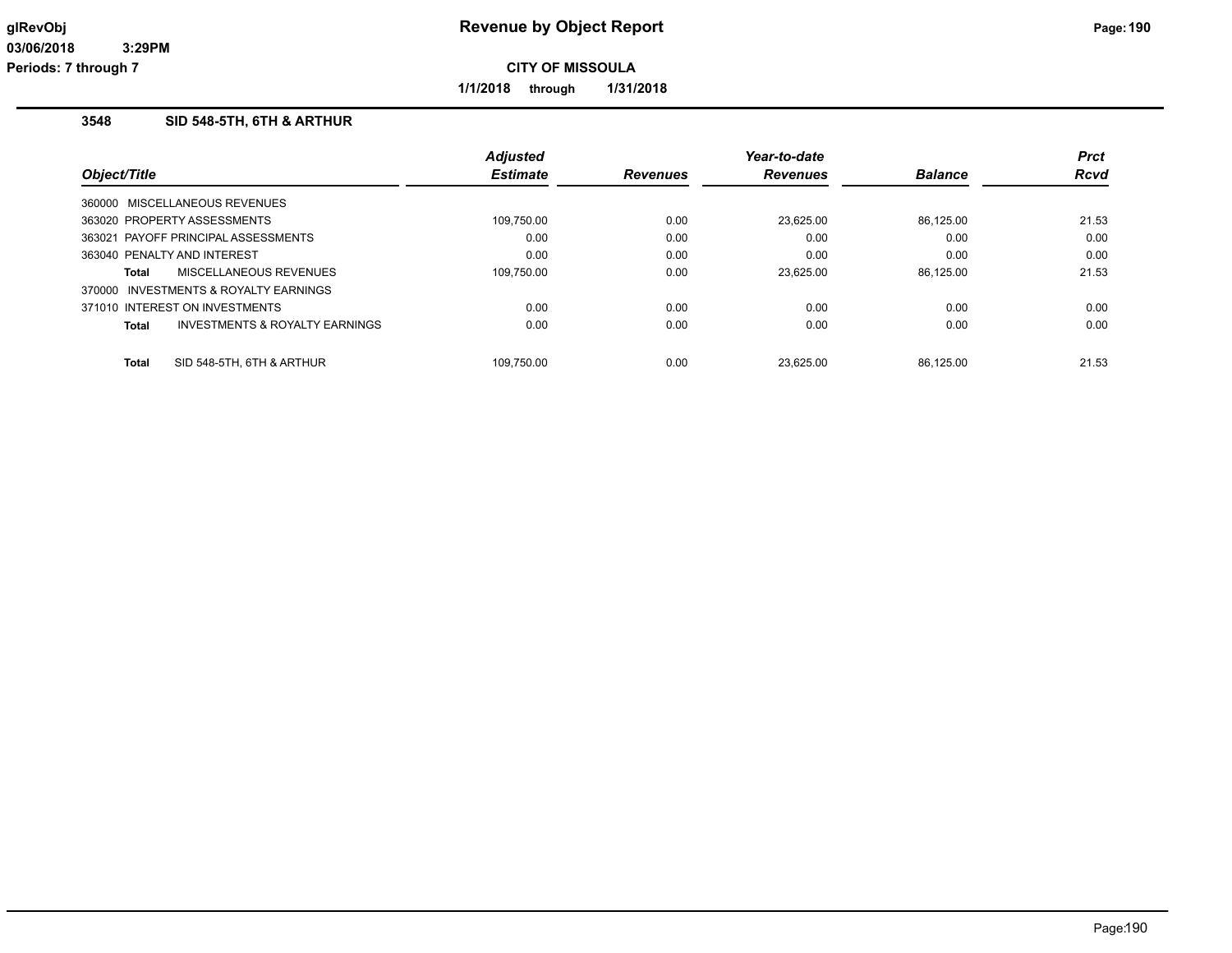**1/1/2018 through 1/31/2018**

#### **3548 SID 548-5TH, 6TH & ARTHUR**

|                                       |                                | <b>Adjusted</b> |                 | Year-to-date    |                | <b>Prct</b> |
|---------------------------------------|--------------------------------|-----------------|-----------------|-----------------|----------------|-------------|
| Object/Title                          |                                | <b>Estimate</b> | <b>Revenues</b> | <b>Revenues</b> | <b>Balance</b> | <b>Rcvd</b> |
| 360000 MISCELLANEOUS REVENUES         |                                |                 |                 |                 |                |             |
| 363020 PROPERTY ASSESSMENTS           |                                | 109,750.00      | 0.00            | 23.625.00       | 86.125.00      | 21.53       |
| 363021 PAYOFF PRINCIPAL ASSESSMENTS   |                                | 0.00            | 0.00            | 0.00            | 0.00           | 0.00        |
| 363040 PENALTY AND INTEREST           |                                | 0.00            | 0.00            | 0.00            | 0.00           | 0.00        |
| <b>Total</b>                          | MISCELLANEOUS REVENUES         | 109.750.00      | 0.00            | 23.625.00       | 86.125.00      | 21.53       |
| 370000 INVESTMENTS & ROYALTY EARNINGS |                                |                 |                 |                 |                |             |
| 371010 INTEREST ON INVESTMENTS        |                                | 0.00            | 0.00            | 0.00            | 0.00           | 0.00        |
| <b>Total</b>                          | INVESTMENTS & ROYALTY EARNINGS | 0.00            | 0.00            | 0.00            | 0.00           | 0.00        |
| <b>Total</b>                          | SID 548-5TH, 6TH & ARTHUR      | 109.750.00      | 0.00            | 23.625.00       | 86.125.00      | 21.53       |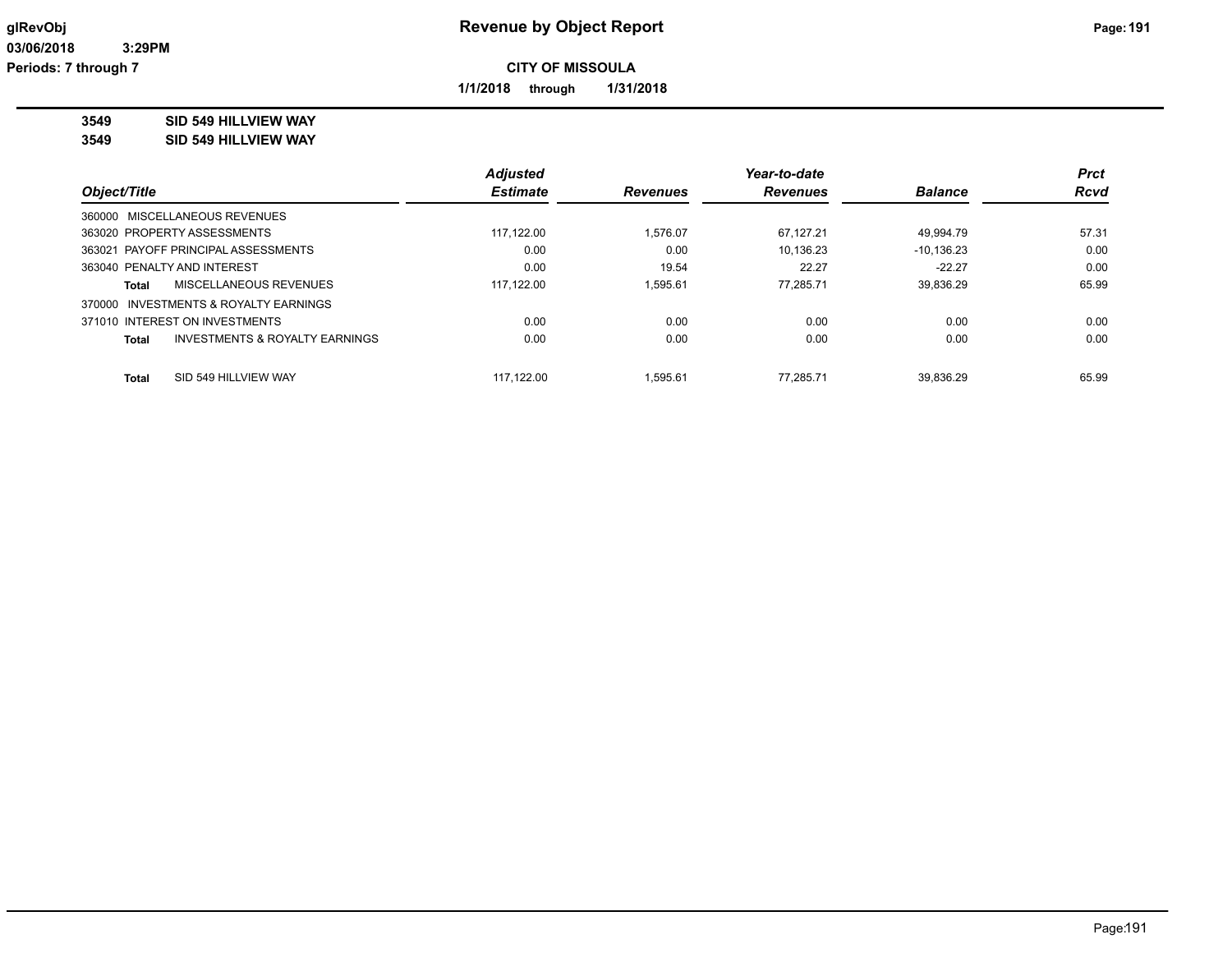**1/1/2018 through 1/31/2018**

## **3549 SID 549 HILLVIEW WAY**

**3549 SID 549 HILLVIEW WAY**

|                                                           | <b>Adjusted</b> |                 | Year-to-date    |                | <b>Prct</b> |
|-----------------------------------------------------------|-----------------|-----------------|-----------------|----------------|-------------|
| Object/Title                                              | <b>Estimate</b> | <b>Revenues</b> | <b>Revenues</b> | <b>Balance</b> | <b>Rcvd</b> |
| 360000 MISCELLANEOUS REVENUES                             |                 |                 |                 |                |             |
| 363020 PROPERTY ASSESSMENTS                               | 117.122.00      | 1.576.07        | 67.127.21       | 49.994.79      | 57.31       |
| 363021 PAYOFF PRINCIPAL ASSESSMENTS                       | 0.00            | 0.00            | 10.136.23       | $-10.136.23$   | 0.00        |
| 363040 PENALTY AND INTEREST                               | 0.00            | 19.54           | 22.27           | $-22.27$       | 0.00        |
| MISCELLANEOUS REVENUES<br>Total                           | 117,122.00      | 1.595.61        | 77.285.71       | 39,836.29      | 65.99       |
| INVESTMENTS & ROYALTY EARNINGS<br>370000                  |                 |                 |                 |                |             |
| 371010 INTEREST ON INVESTMENTS                            | 0.00            | 0.00            | 0.00            | 0.00           | 0.00        |
| <b>INVESTMENTS &amp; ROYALTY EARNINGS</b><br><b>Total</b> | 0.00            | 0.00            | 0.00            | 0.00           | 0.00        |
|                                                           |                 |                 |                 |                |             |
| SID 549 HILLVIEW WAY<br><b>Total</b>                      | 117.122.00      | 1.595.61        | 77.285.71       | 39.836.29      | 65.99       |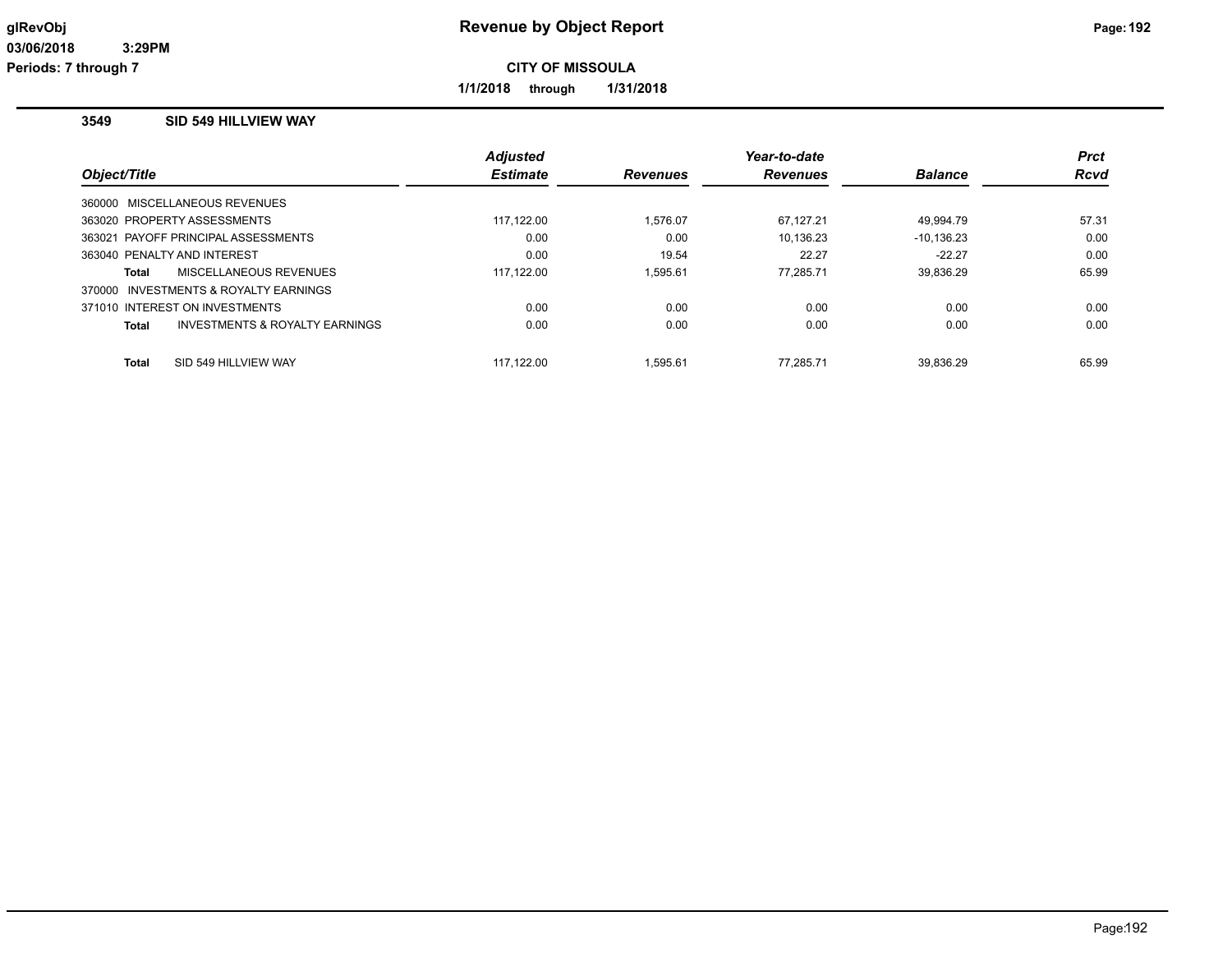**1/1/2018 through 1/31/2018**

## **3549 SID 549 HILLVIEW WAY**

|              |                                       | <b>Adjusted</b> |                 | Year-to-date    |                | <b>Prct</b> |
|--------------|---------------------------------------|-----------------|-----------------|-----------------|----------------|-------------|
| Object/Title |                                       | <b>Estimate</b> | <b>Revenues</b> | <b>Revenues</b> | <b>Balance</b> | <b>Rcvd</b> |
|              | 360000 MISCELLANEOUS REVENUES         |                 |                 |                 |                |             |
|              | 363020 PROPERTY ASSESSMENTS           | 117.122.00      | 1.576.07        | 67,127.21       | 49.994.79      | 57.31       |
|              | 363021 PAYOFF PRINCIPAL ASSESSMENTS   | 0.00            | 0.00            | 10.136.23       | $-10.136.23$   | 0.00        |
|              | 363040 PENALTY AND INTEREST           | 0.00            | 19.54           | 22.27           | $-22.27$       | 0.00        |
| Total        | MISCELLANEOUS REVENUES                | 117.122.00      | 1.595.61        | 77.285.71       | 39.836.29      | 65.99       |
|              | 370000 INVESTMENTS & ROYALTY EARNINGS |                 |                 |                 |                |             |
|              | 371010 INTEREST ON INVESTMENTS        | 0.00            | 0.00            | 0.00            | 0.00           | 0.00        |
| Total        | INVESTMENTS & ROYALTY EARNINGS        | 0.00            | 0.00            | 0.00            | 0.00           | 0.00        |
| <b>Total</b> | SID 549 HILLVIEW WAY                  | 117.122.00      | 1.595.61        | 77.285.71       | 39.836.29      | 65.99       |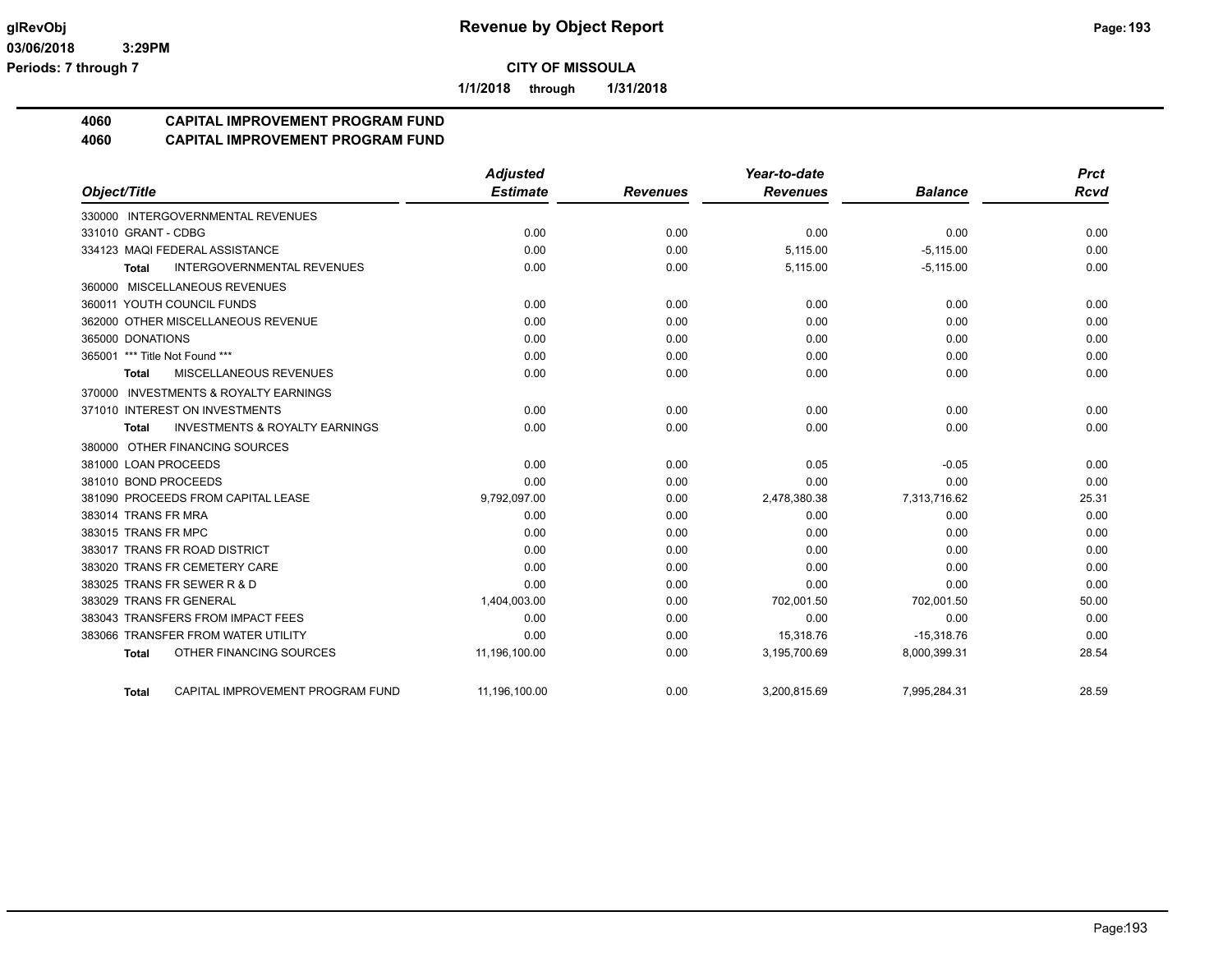**1/1/2018 through 1/31/2018**

# **4060 CAPITAL IMPROVEMENT PROGRAM FUND**

## **4060 CAPITAL IMPROVEMENT PROGRAM FUND**

|                                    |                                           | <b>Adjusted</b> |                 | Year-to-date    |                | <b>Prct</b> |
|------------------------------------|-------------------------------------------|-----------------|-----------------|-----------------|----------------|-------------|
| Object/Title                       |                                           | <b>Estimate</b> | <b>Revenues</b> | <b>Revenues</b> | <b>Balance</b> | <b>Rcvd</b> |
| 330000 INTERGOVERNMENTAL REVENUES  |                                           |                 |                 |                 |                |             |
| 331010 GRANT - CDBG                |                                           | 0.00            | 0.00            | 0.00            | 0.00           | 0.00        |
| 334123 MAQI FEDERAL ASSISTANCE     |                                           | 0.00            | 0.00            | 5,115.00        | $-5,115.00$    | 0.00        |
| Total                              | <b>INTERGOVERNMENTAL REVENUES</b>         | 0.00            | 0.00            | 5,115.00        | $-5,115.00$    | 0.00        |
| 360000 MISCELLANEOUS REVENUES      |                                           |                 |                 |                 |                |             |
| 360011 YOUTH COUNCIL FUNDS         |                                           | 0.00            | 0.00            | 0.00            | 0.00           | 0.00        |
| 362000 OTHER MISCELLANEOUS REVENUE |                                           | 0.00            | 0.00            | 0.00            | 0.00           | 0.00        |
| 365000 DONATIONS                   |                                           | 0.00            | 0.00            | 0.00            | 0.00           | 0.00        |
| 365001 *** Title Not Found ***     |                                           | 0.00            | 0.00            | 0.00            | 0.00           | 0.00        |
| <b>Total</b>                       | MISCELLANEOUS REVENUES                    | 0.00            | 0.00            | 0.00            | 0.00           | 0.00        |
| 370000                             | <b>INVESTMENTS &amp; ROYALTY EARNINGS</b> |                 |                 |                 |                |             |
| 371010 INTEREST ON INVESTMENTS     |                                           | 0.00            | 0.00            | 0.00            | 0.00           | 0.00        |
| <b>Total</b>                       | <b>INVESTMENTS &amp; ROYALTY EARNINGS</b> | 0.00            | 0.00            | 0.00            | 0.00           | 0.00        |
| 380000 OTHER FINANCING SOURCES     |                                           |                 |                 |                 |                |             |
| 381000 LOAN PROCEEDS               |                                           | 0.00            | 0.00            | 0.05            | $-0.05$        | 0.00        |
| 381010 BOND PROCEEDS               |                                           | 0.00            | 0.00            | 0.00            | 0.00           | 0.00        |
| 381090 PROCEEDS FROM CAPITAL LEASE |                                           | 9,792,097.00    | 0.00            | 2,478,380.38    | 7,313,716.62   | 25.31       |
| 383014 TRANS FR MRA                |                                           | 0.00            | 0.00            | 0.00            | 0.00           | 0.00        |
| 383015 TRANS FR MPC                |                                           | 0.00            | 0.00            | 0.00            | 0.00           | 0.00        |
| 383017 TRANS FR ROAD DISTRICT      |                                           | 0.00            | 0.00            | 0.00            | 0.00           | 0.00        |
| 383020 TRANS FR CEMETERY CARE      |                                           | 0.00            | 0.00            | 0.00            | 0.00           | 0.00        |
| 383025 TRANS FR SEWER R & D        |                                           | 0.00            | 0.00            | 0.00            | 0.00           | 0.00        |
| 383029 TRANS FR GENERAL            |                                           | 1,404,003.00    | 0.00            | 702,001.50      | 702.001.50     | 50.00       |
| 383043 TRANSFERS FROM IMPACT FEES  |                                           | 0.00            | 0.00            | 0.00            | 0.00           | 0.00        |
| 383066 TRANSFER FROM WATER UTILITY |                                           | 0.00            | 0.00            | 15,318.76       | $-15,318.76$   | 0.00        |
| Total                              | OTHER FINANCING SOURCES                   | 11,196,100.00   | 0.00            | 3,195,700.69    | 8,000,399.31   | 28.54       |
| Total                              | CAPITAL IMPROVEMENT PROGRAM FUND          | 11,196,100.00   | 0.00            | 3,200,815.69    | 7,995,284.31   | 28.59       |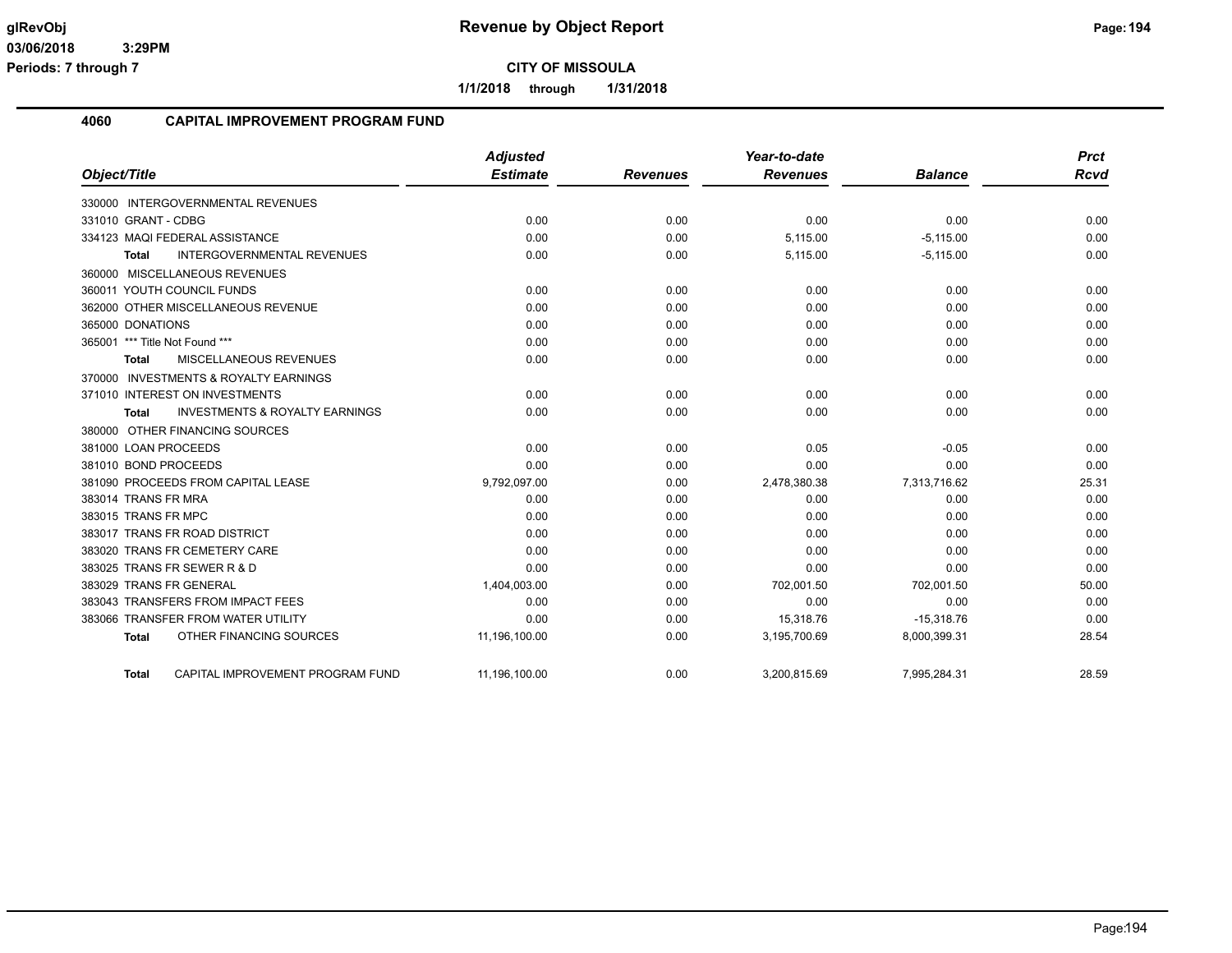**1/1/2018 through 1/31/2018**

#### **4060 CAPITAL IMPROVEMENT PROGRAM FUND**

|                                                    | <b>Adjusted</b> |                 | Year-to-date    |                | <b>Prct</b> |
|----------------------------------------------------|-----------------|-----------------|-----------------|----------------|-------------|
| Object/Title                                       | <b>Estimate</b> | <b>Revenues</b> | <b>Revenues</b> | <b>Balance</b> | <b>Rcvd</b> |
| 330000 INTERGOVERNMENTAL REVENUES                  |                 |                 |                 |                |             |
| 331010 GRANT - CDBG                                | 0.00            | 0.00            | 0.00            | 0.00           | 0.00        |
| 334123 MAQI FEDERAL ASSISTANCE                     | 0.00            | 0.00            | 5,115.00        | $-5,115.00$    | 0.00        |
| <b>INTERGOVERNMENTAL REVENUES</b><br>Total         | 0.00            | 0.00            | 5,115.00        | $-5,115.00$    | 0.00        |
| 360000 MISCELLANEOUS REVENUES                      |                 |                 |                 |                |             |
| 360011 YOUTH COUNCIL FUNDS                         | 0.00            | 0.00            | 0.00            | 0.00           | 0.00        |
| 362000 OTHER MISCELLANEOUS REVENUE                 | 0.00            | 0.00            | 0.00            | 0.00           | 0.00        |
| 365000 DONATIONS                                   | 0.00            | 0.00            | 0.00            | 0.00           | 0.00        |
| 365001 *** Title Not Found ***                     | 0.00            | 0.00            | 0.00            | 0.00           | 0.00        |
| MISCELLANEOUS REVENUES<br><b>Total</b>             | 0.00            | 0.00            | 0.00            | 0.00           | 0.00        |
| 370000 INVESTMENTS & ROYALTY EARNINGS              |                 |                 |                 |                |             |
| 371010 INTEREST ON INVESTMENTS                     | 0.00            | 0.00            | 0.00            | 0.00           | 0.00        |
| <b>INVESTMENTS &amp; ROYALTY EARNINGS</b><br>Total | 0.00            | 0.00            | 0.00            | 0.00           | 0.00        |
| 380000 OTHER FINANCING SOURCES                     |                 |                 |                 |                |             |
| 381000 LOAN PROCEEDS                               | 0.00            | 0.00            | 0.05            | $-0.05$        | 0.00        |
| 381010 BOND PROCEEDS                               | 0.00            | 0.00            | 0.00            | 0.00           | 0.00        |
| 381090 PROCEEDS FROM CAPITAL LEASE                 | 9,792,097.00    | 0.00            | 2,478,380.38    | 7,313,716.62   | 25.31       |
| 383014 TRANS FR MRA                                | 0.00            | 0.00            | 0.00            | 0.00           | 0.00        |
| 383015 TRANS FR MPC                                | 0.00            | 0.00            | 0.00            | 0.00           | 0.00        |
| 383017 TRANS FR ROAD DISTRICT                      | 0.00            | 0.00            | 0.00            | 0.00           | 0.00        |
| 383020 TRANS FR CEMETERY CARE                      | 0.00            | 0.00            | 0.00            | 0.00           | 0.00        |
| 383025 TRANS FR SEWER R & D                        | 0.00            | 0.00            | 0.00            | 0.00           | 0.00        |
| 383029 TRANS FR GENERAL                            | 1,404,003.00    | 0.00            | 702,001.50      | 702,001.50     | 50.00       |
| 383043 TRANSFERS FROM IMPACT FEES                  | 0.00            | 0.00            | 0.00            | 0.00           | 0.00        |
| 383066 TRANSFER FROM WATER UTILITY                 | 0.00            | 0.00            | 15,318.76       | $-15,318.76$   | 0.00        |
| OTHER FINANCING SOURCES<br><b>Total</b>            | 11,196,100.00   | 0.00            | 3,195,700.69    | 8,000,399.31   | 28.54       |
| CAPITAL IMPROVEMENT PROGRAM FUND<br>Total          | 11,196,100.00   | 0.00            | 3,200,815.69    | 7,995,284.31   | 28.59       |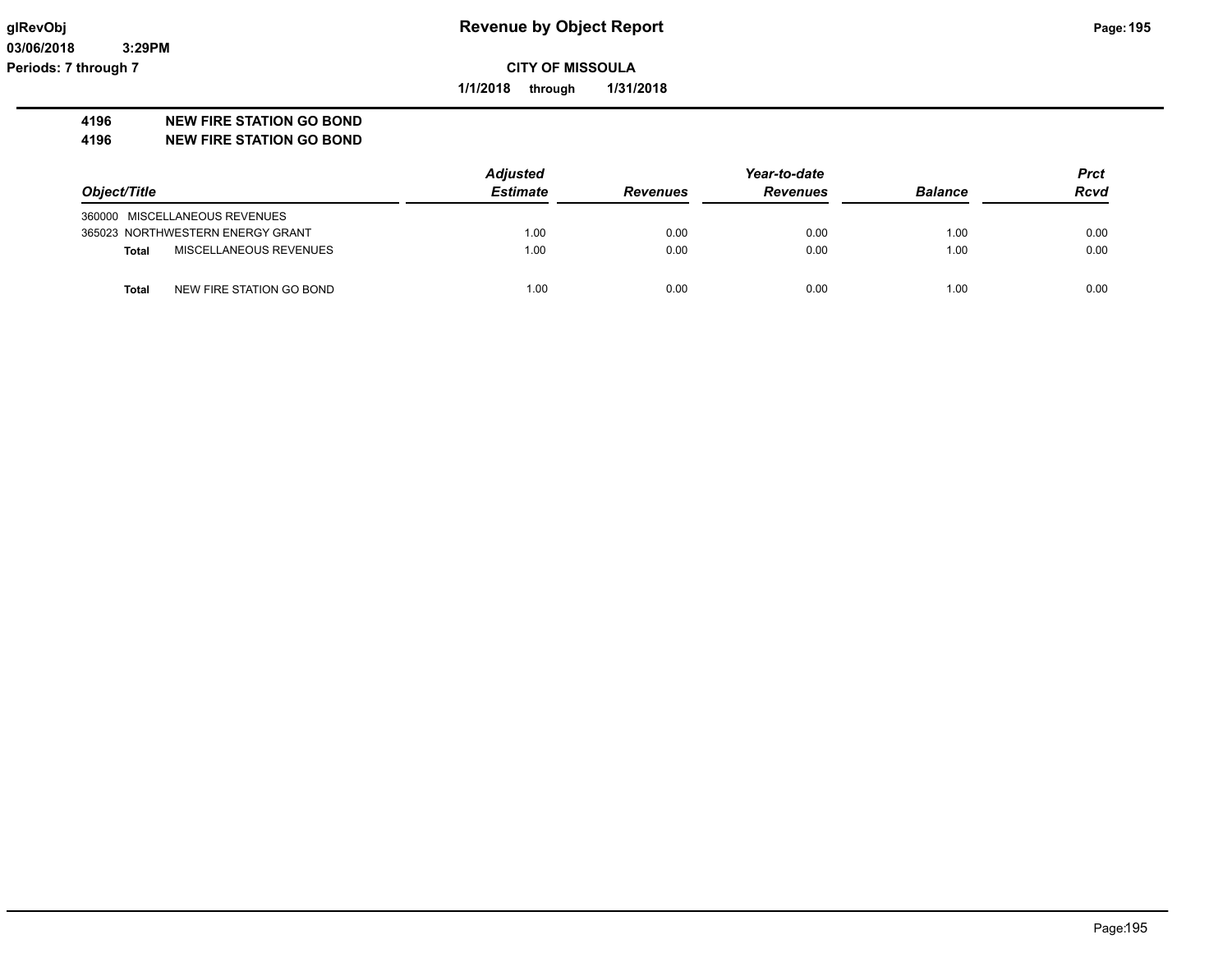**03/06/2018 3:29PM Periods: 7 through 7**

**CITY OF MISSOULA**

**1/1/2018 through 1/31/2018**

### **4196 NEW FIRE STATION GO BOND**

**4196 NEW FIRE STATION GO BOND**

|                                          | <b>Adjusted</b> | Year-to-date    |                 |                | <b>Prct</b> |
|------------------------------------------|-----------------|-----------------|-----------------|----------------|-------------|
| Object/Title                             | <b>Estimate</b> | <b>Revenues</b> | <b>Revenues</b> | <b>Balance</b> | <b>Rcvd</b> |
| 360000 MISCELLANEOUS REVENUES            |                 |                 |                 |                |             |
| 365023 NORTHWESTERN ENERGY GRANT         | 1.00            | 0.00            | 0.00            | 1.00           | 0.00        |
| MISCELLANEOUS REVENUES<br><b>Total</b>   | 1.00            | 0.00            | 0.00            | 1.00           | 0.00        |
| NEW FIRE STATION GO BOND<br><b>Total</b> | 1.00            | 0.00            | 0.00            | 1.00           | 0.00        |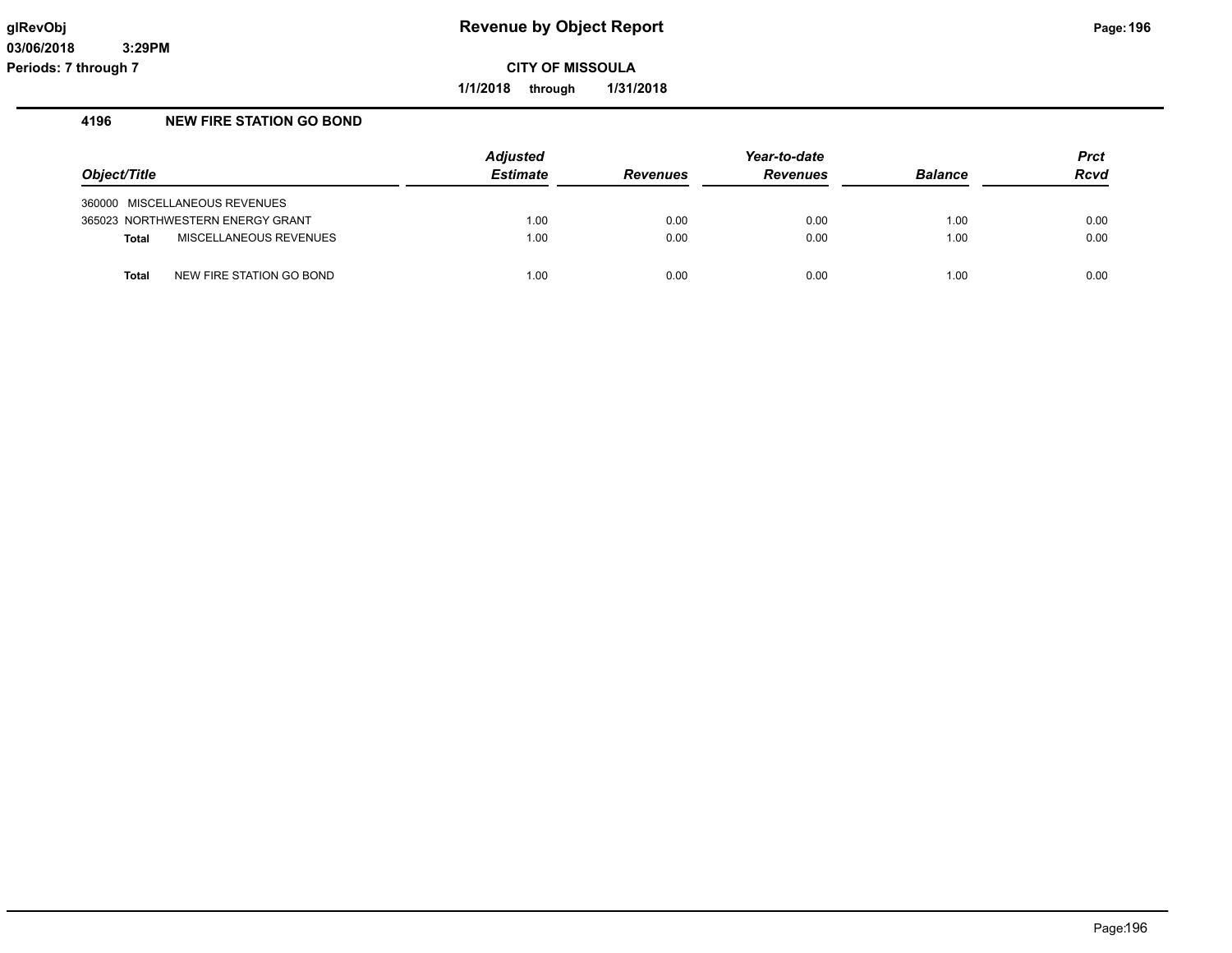**1/1/2018 through 1/31/2018**

## **4196 NEW FIRE STATION GO BOND**

|                                          | <b>Adjusted</b> | Year-to-date    |                 |                | <b>Prct</b> |
|------------------------------------------|-----------------|-----------------|-----------------|----------------|-------------|
| Object/Title                             | <b>Estimate</b> | <b>Revenues</b> | <b>Revenues</b> | <b>Balance</b> | Rcvd        |
| 360000 MISCELLANEOUS REVENUES            |                 |                 |                 |                |             |
| 365023 NORTHWESTERN ENERGY GRANT         | 1.00            | 0.00            | 0.00            | 1.00           | 0.00        |
| MISCELLANEOUS REVENUES<br><b>Total</b>   | 1.00            | 0.00            | 0.00            | 1.00           | 0.00        |
| NEW FIRE STATION GO BOND<br><b>Total</b> | 1.00            | 0.00            | 0.00            | 1.00           | 0.00        |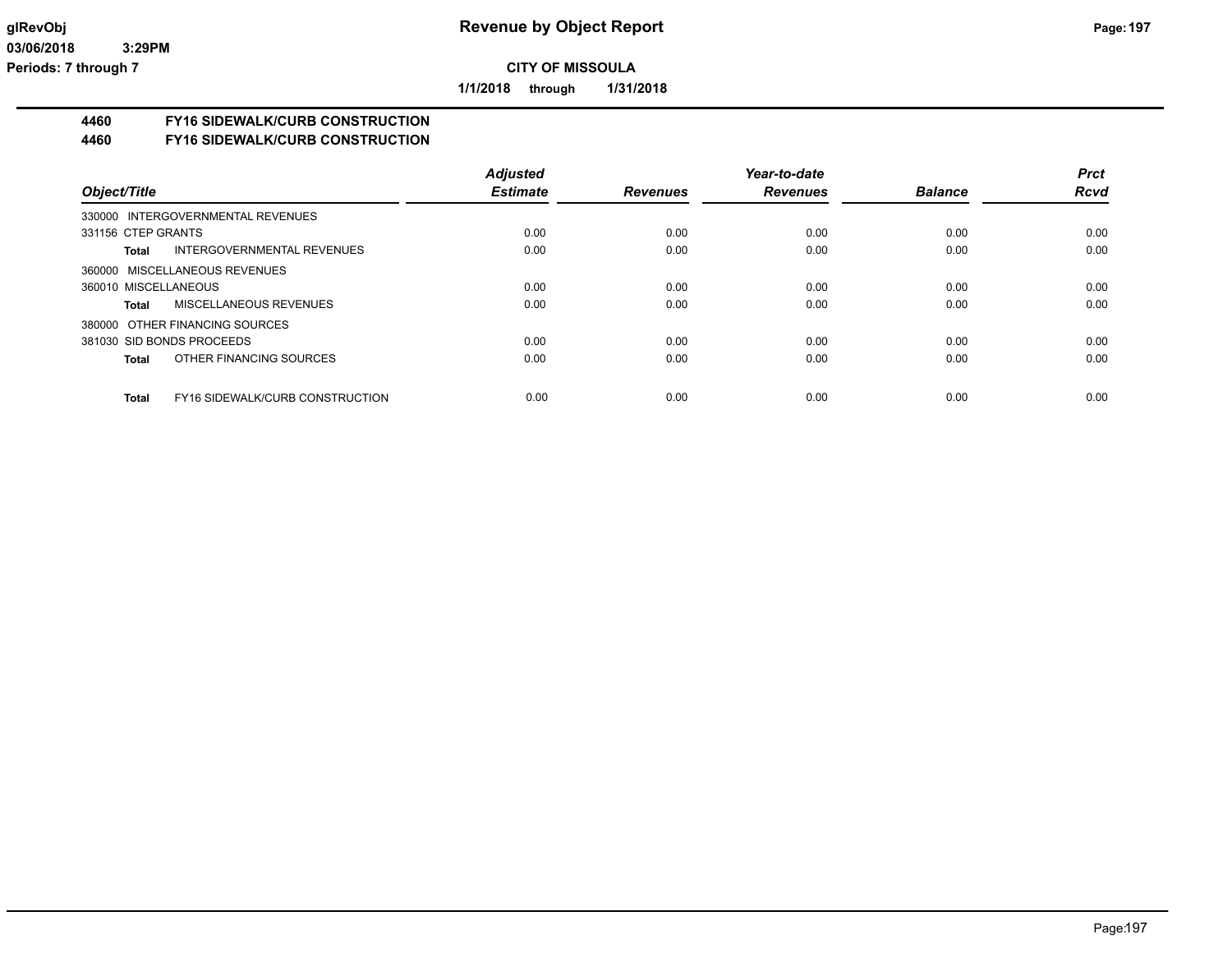**1/1/2018 through 1/31/2018**

# **4460 FY16 SIDEWALK/CURB CONSTRUCTION**

#### **4460 FY16 SIDEWALK/CURB CONSTRUCTION**

|                                                 | <b>Adjusted</b> |                 | Year-to-date    |                | <b>Prct</b> |
|-------------------------------------------------|-----------------|-----------------|-----------------|----------------|-------------|
| Object/Title                                    | <b>Estimate</b> | <b>Revenues</b> | <b>Revenues</b> | <b>Balance</b> | <b>Rcvd</b> |
| 330000 INTERGOVERNMENTAL REVENUES               |                 |                 |                 |                |             |
| 331156 CTEP GRANTS                              | 0.00            | 0.00            | 0.00            | 0.00           | 0.00        |
| INTERGOVERNMENTAL REVENUES<br>Total             | 0.00            | 0.00            | 0.00            | 0.00           | 0.00        |
| 360000 MISCELLANEOUS REVENUES                   |                 |                 |                 |                |             |
| 360010 MISCELLANEOUS                            | 0.00            | 0.00            | 0.00            | 0.00           | 0.00        |
| <b>MISCELLANEOUS REVENUES</b><br>Total          | 0.00            | 0.00            | 0.00            | 0.00           | 0.00        |
| 380000 OTHER FINANCING SOURCES                  |                 |                 |                 |                |             |
| 381030 SID BONDS PROCEEDS                       | 0.00            | 0.00            | 0.00            | 0.00           | 0.00        |
| OTHER FINANCING SOURCES<br>Total                | 0.00            | 0.00            | 0.00            | 0.00           | 0.00        |
|                                                 |                 |                 |                 |                |             |
| <b>FY16 SIDEWALK/CURB CONSTRUCTION</b><br>Total | 0.00            | 0.00            | 0.00            | 0.00           | 0.00        |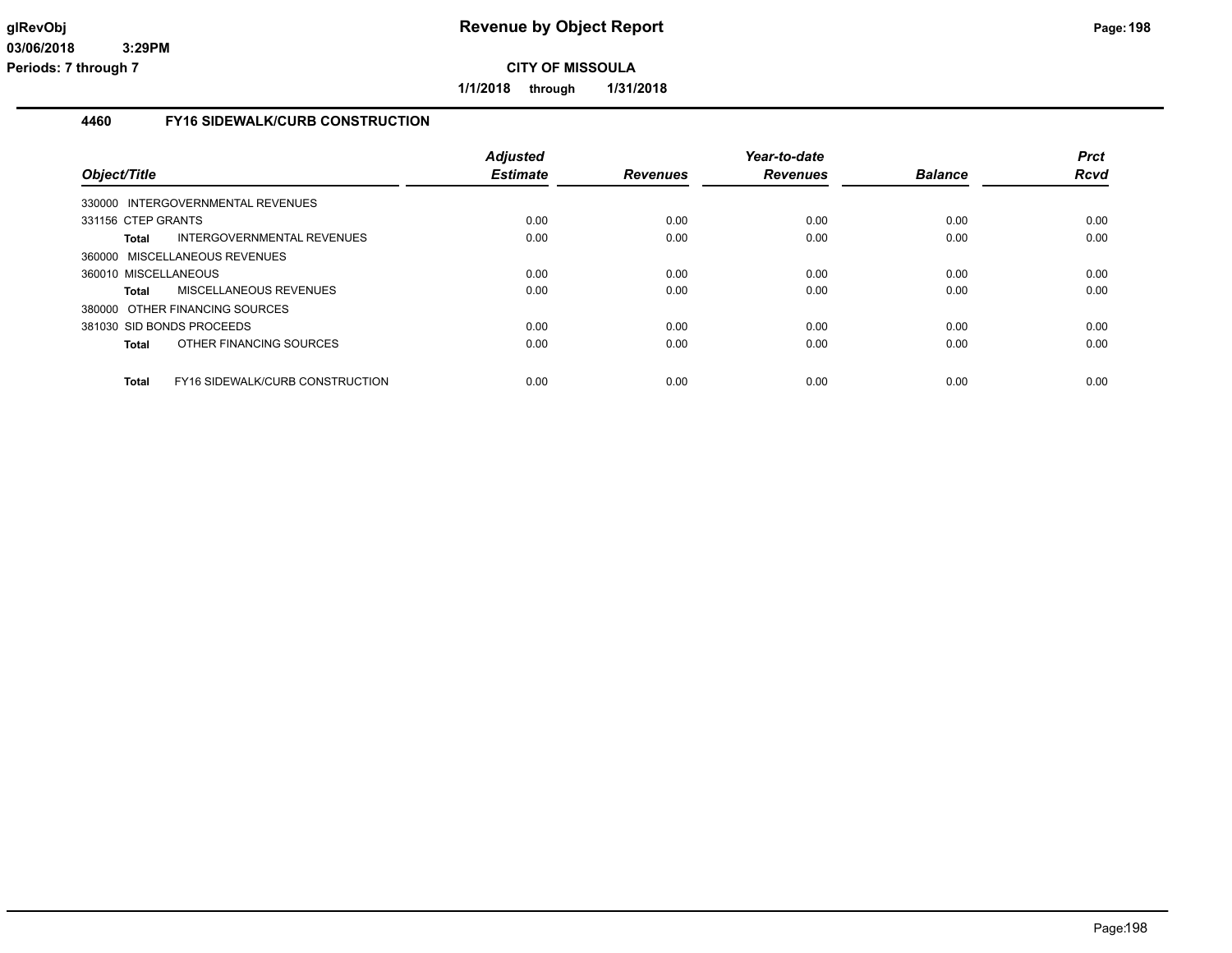**1/1/2018 through 1/31/2018**

## **4460 FY16 SIDEWALK/CURB CONSTRUCTION**

| Object/Title                                    | <b>Adjusted</b><br><b>Estimate</b> | <b>Revenues</b> | Year-to-date<br><b>Revenues</b> | <b>Balance</b> | <b>Prct</b><br>Rcvd |
|-------------------------------------------------|------------------------------------|-----------------|---------------------------------|----------------|---------------------|
| 330000 INTERGOVERNMENTAL REVENUES               |                                    |                 |                                 |                |                     |
| 331156 CTEP GRANTS                              | 0.00                               | 0.00            | 0.00                            | 0.00           | 0.00                |
| INTERGOVERNMENTAL REVENUES<br>Total             | 0.00                               | 0.00            | 0.00                            | 0.00           | 0.00                |
| 360000 MISCELLANEOUS REVENUES                   |                                    |                 |                                 |                |                     |
| 360010 MISCELLANEOUS                            | 0.00                               | 0.00            | 0.00                            | 0.00           | 0.00                |
| <b>MISCELLANEOUS REVENUES</b><br>Total          | 0.00                               | 0.00            | 0.00                            | 0.00           | 0.00                |
| 380000 OTHER FINANCING SOURCES                  |                                    |                 |                                 |                |                     |
| 381030 SID BONDS PROCEEDS                       | 0.00                               | 0.00            | 0.00                            | 0.00           | 0.00                |
| OTHER FINANCING SOURCES<br>Total                | 0.00                               | 0.00            | 0.00                            | 0.00           | 0.00                |
| FY16 SIDEWALK/CURB CONSTRUCTION<br><b>Total</b> | 0.00                               | 0.00            | 0.00                            | 0.00           | 0.00                |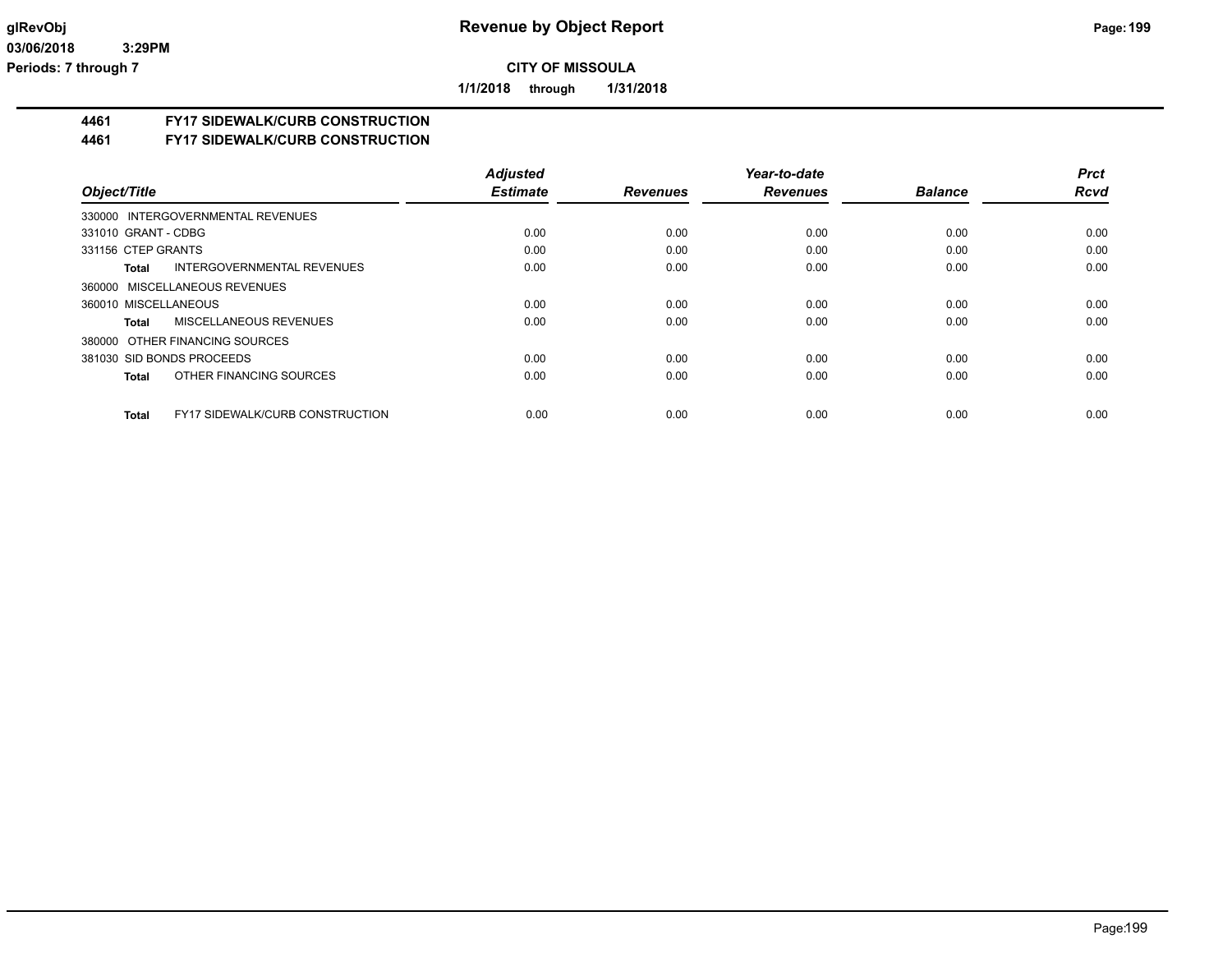**1/1/2018 through 1/31/2018**

## **4461 FY17 SIDEWALK/CURB CONSTRUCTION**

**4461 FY17 SIDEWALK/CURB CONSTRUCTION**

|                                                        | <b>Adjusted</b> |                 | Year-to-date    |                | <b>Prct</b> |
|--------------------------------------------------------|-----------------|-----------------|-----------------|----------------|-------------|
| Object/Title                                           | <b>Estimate</b> | <b>Revenues</b> | <b>Revenues</b> | <b>Balance</b> | <b>Rcvd</b> |
| 330000 INTERGOVERNMENTAL REVENUES                      |                 |                 |                 |                |             |
| 331010 GRANT - CDBG                                    | 0.00            | 0.00            | 0.00            | 0.00           | 0.00        |
| 331156 CTEP GRANTS                                     | 0.00            | 0.00            | 0.00            | 0.00           | 0.00        |
| INTERGOVERNMENTAL REVENUES<br>Total                    | 0.00            | 0.00            | 0.00            | 0.00           | 0.00        |
| 360000 MISCELLANEOUS REVENUES                          |                 |                 |                 |                |             |
| 360010 MISCELLANEOUS                                   | 0.00            | 0.00            | 0.00            | 0.00           | 0.00        |
| <b>MISCELLANEOUS REVENUES</b><br>Total                 | 0.00            | 0.00            | 0.00            | 0.00           | 0.00        |
| 380000 OTHER FINANCING SOURCES                         |                 |                 |                 |                |             |
| 381030 SID BONDS PROCEEDS                              | 0.00            | 0.00            | 0.00            | 0.00           | 0.00        |
| OTHER FINANCING SOURCES<br><b>Total</b>                | 0.00            | 0.00            | 0.00            | 0.00           | 0.00        |
| <b>FY17 SIDEWALK/CURB CONSTRUCTION</b><br><b>Total</b> | 0.00            | 0.00            | 0.00            | 0.00           | 0.00        |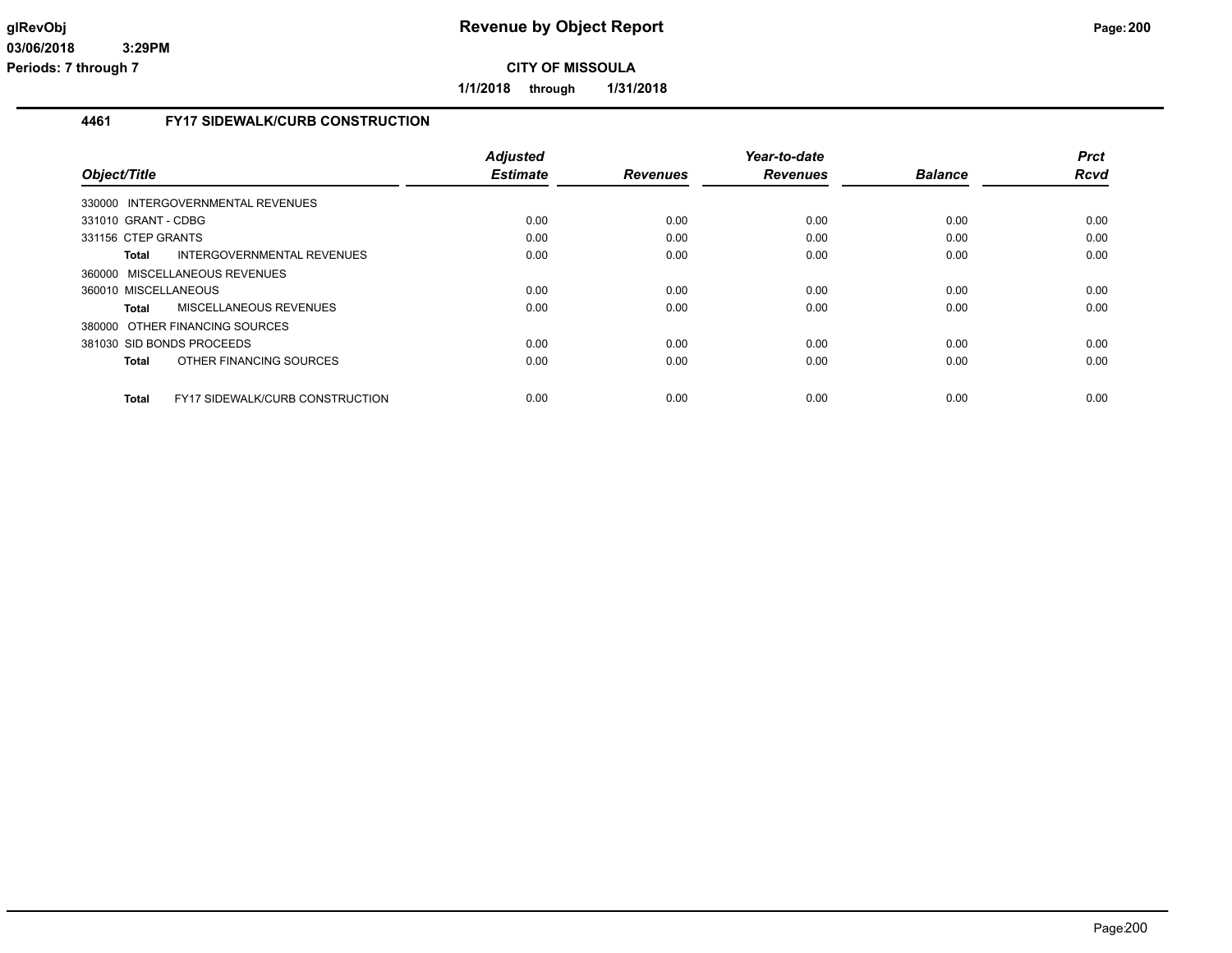**1/1/2018 through 1/31/2018**

## **4461 FY17 SIDEWALK/CURB CONSTRUCTION**

|                                                        | <b>Adjusted</b> |                 | Year-to-date    |                | <b>Prct</b> |
|--------------------------------------------------------|-----------------|-----------------|-----------------|----------------|-------------|
| Object/Title                                           | <b>Estimate</b> | <b>Revenues</b> | <b>Revenues</b> | <b>Balance</b> | <b>Rcvd</b> |
| 330000 INTERGOVERNMENTAL REVENUES                      |                 |                 |                 |                |             |
| 331010 GRANT - CDBG                                    | 0.00            | 0.00            | 0.00            | 0.00           | 0.00        |
| 331156 CTEP GRANTS                                     | 0.00            | 0.00            | 0.00            | 0.00           | 0.00        |
| INTERGOVERNMENTAL REVENUES<br><b>Total</b>             | 0.00            | 0.00            | 0.00            | 0.00           | 0.00        |
| 360000 MISCELLANEOUS REVENUES                          |                 |                 |                 |                |             |
| 360010 MISCELLANEOUS                                   | 0.00            | 0.00            | 0.00            | 0.00           | 0.00        |
| MISCELLANEOUS REVENUES<br><b>Total</b>                 | 0.00            | 0.00            | 0.00            | 0.00           | 0.00        |
| 380000 OTHER FINANCING SOURCES                         |                 |                 |                 |                |             |
| 381030 SID BONDS PROCEEDS                              | 0.00            | 0.00            | 0.00            | 0.00           | 0.00        |
| OTHER FINANCING SOURCES<br><b>Total</b>                | 0.00            | 0.00            | 0.00            | 0.00           | 0.00        |
| <b>FY17 SIDEWALK/CURB CONSTRUCTION</b><br><b>Total</b> | 0.00            | 0.00            | 0.00            | 0.00           | 0.00        |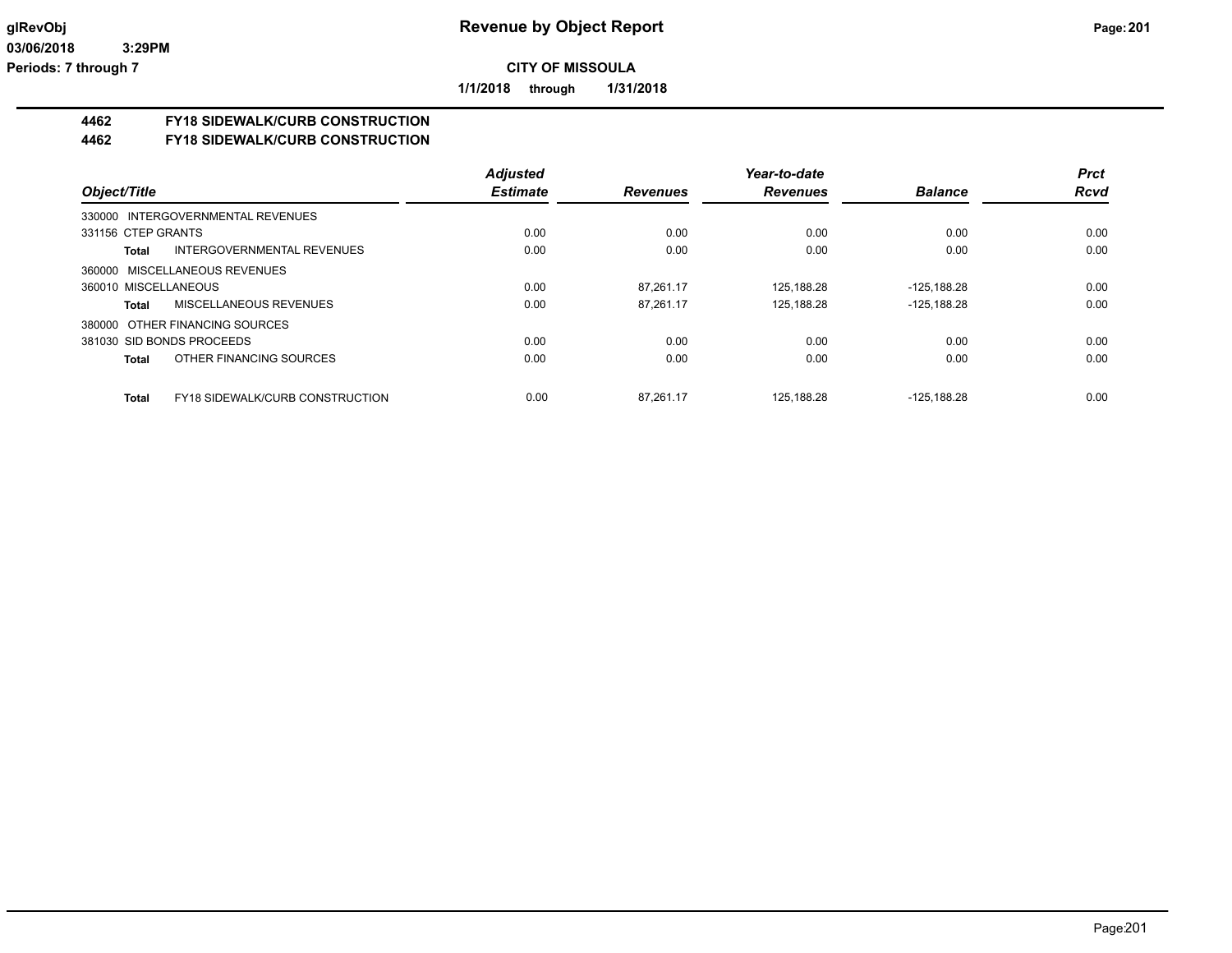**1/1/2018 through 1/31/2018**

## **4462 FY18 SIDEWALK/CURB CONSTRUCTION**

#### **4462 FY18 SIDEWALK/CURB CONSTRUCTION**

|                                                 | <b>Adjusted</b> |                 | Year-to-date    |                | <b>Prct</b> |
|-------------------------------------------------|-----------------|-----------------|-----------------|----------------|-------------|
| Object/Title                                    | <b>Estimate</b> | <b>Revenues</b> | <b>Revenues</b> | <b>Balance</b> | <b>Rcvd</b> |
| 330000 INTERGOVERNMENTAL REVENUES               |                 |                 |                 |                |             |
| 331156 CTEP GRANTS                              | 0.00            | 0.00            | 0.00            | 0.00           | 0.00        |
| INTERGOVERNMENTAL REVENUES<br>Total             | 0.00            | 0.00            | 0.00            | 0.00           | 0.00        |
| 360000 MISCELLANEOUS REVENUES                   |                 |                 |                 |                |             |
| 360010 MISCELLANEOUS                            | 0.00            | 87.261.17       | 125.188.28      | $-125.188.28$  | 0.00        |
| MISCELLANEOUS REVENUES<br>Total                 | 0.00            | 87,261.17       | 125,188.28      | $-125, 188.28$ | 0.00        |
| 380000 OTHER FINANCING SOURCES                  |                 |                 |                 |                |             |
| 381030 SID BONDS PROCEEDS                       | 0.00            | 0.00            | 0.00            | 0.00           | 0.00        |
| OTHER FINANCING SOURCES<br><b>Total</b>         | 0.00            | 0.00            | 0.00            | 0.00           | 0.00        |
|                                                 |                 |                 |                 |                |             |
| <b>FY18 SIDEWALK/CURB CONSTRUCTION</b><br>Total | 0.00            | 87.261.17       | 125.188.28      | $-125.188.28$  | 0.00        |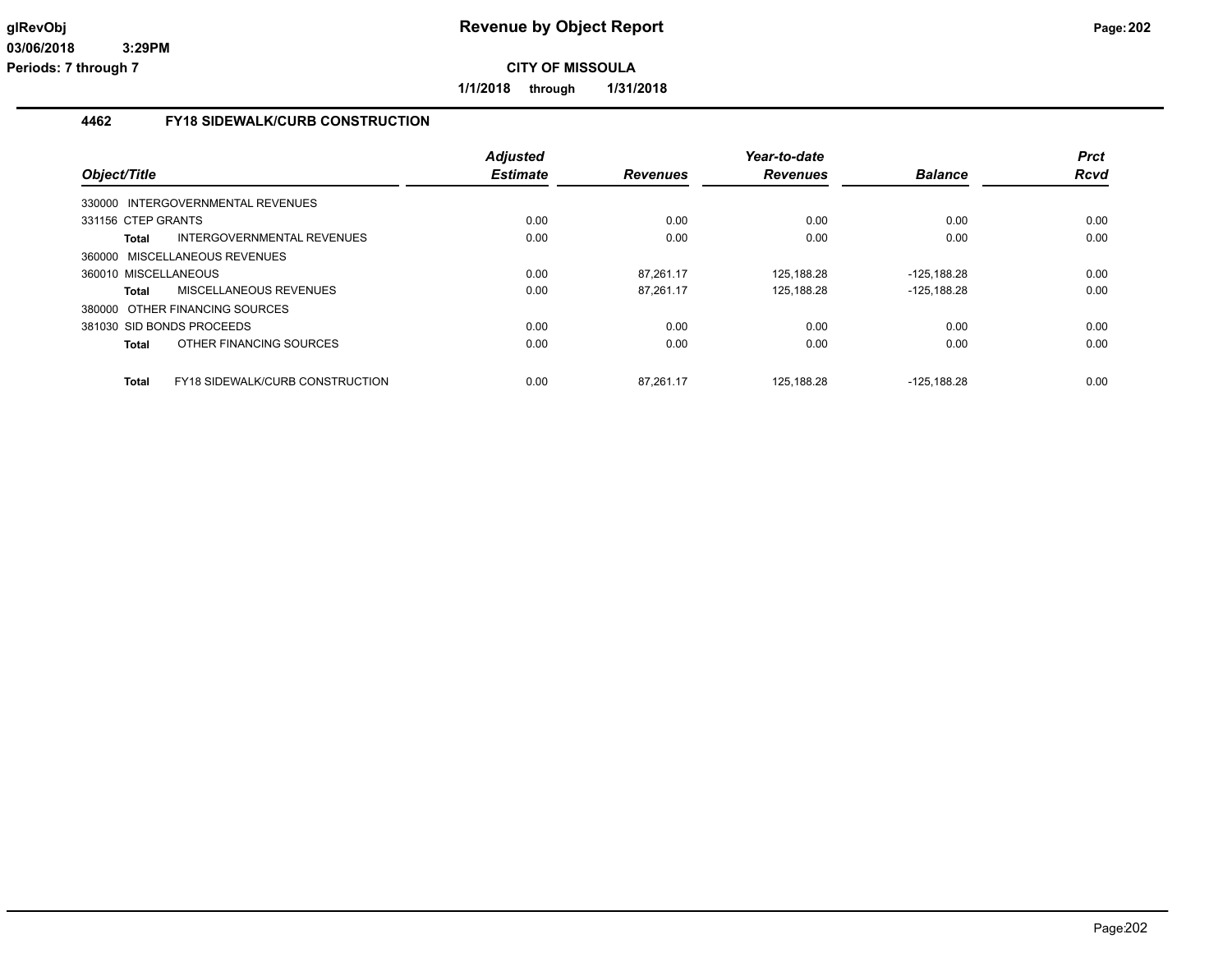**1/1/2018 through 1/31/2018**

## **4462 FY18 SIDEWALK/CURB CONSTRUCTION**

| Object/Title                      |                                        | <b>Adjusted</b><br><b>Estimate</b> | <b>Revenues</b> | Year-to-date<br><b>Revenues</b> | <b>Balance</b> | <b>Prct</b><br><b>Rcvd</b> |
|-----------------------------------|----------------------------------------|------------------------------------|-----------------|---------------------------------|----------------|----------------------------|
| 330000 INTERGOVERNMENTAL REVENUES |                                        |                                    |                 |                                 |                |                            |
|                                   |                                        |                                    |                 |                                 |                |                            |
| 331156 CTEP GRANTS                |                                        | 0.00                               | 0.00            | 0.00                            | 0.00           | 0.00                       |
| Total                             | INTERGOVERNMENTAL REVENUES             | 0.00                               | 0.00            | 0.00                            | 0.00           | 0.00                       |
| 360000 MISCELLANEOUS REVENUES     |                                        |                                    |                 |                                 |                |                            |
| 360010 MISCELLANEOUS              |                                        | 0.00                               | 87.261.17       | 125,188.28                      | -125.188.28    | 0.00                       |
| Total                             | MISCELLANEOUS REVENUES                 | 0.00                               | 87,261.17       | 125,188.28                      | $-125.188.28$  | 0.00                       |
| 380000 OTHER FINANCING SOURCES    |                                        |                                    |                 |                                 |                |                            |
| 381030 SID BONDS PROCEEDS         |                                        | 0.00                               | 0.00            | 0.00                            | 0.00           | 0.00                       |
| <b>Total</b>                      | OTHER FINANCING SOURCES                | 0.00                               | 0.00            | 0.00                            | 0.00           | 0.00                       |
| <b>Total</b>                      | <b>FY18 SIDEWALK/CURB CONSTRUCTION</b> | 0.00                               | 87.261.17       | 125.188.28                      | -125.188.28    | 0.00                       |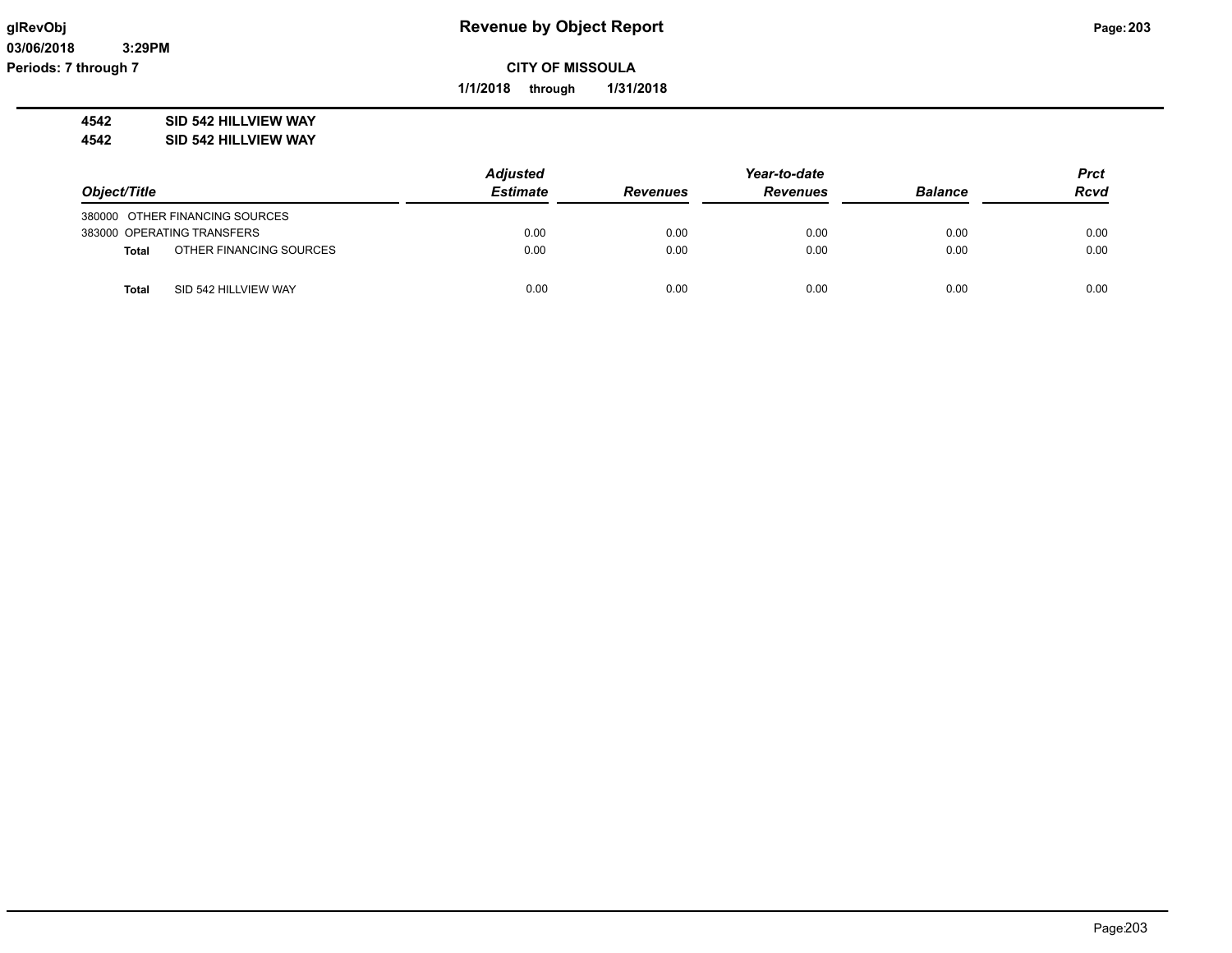**1/1/2018 through 1/31/2018**

**4542 SID 542 HILLVIEW WAY**

**4542 SID 542 HILLVIEW WAY**

|                                         | <b>Adjusted</b> | Year-to-date    |                 |                | <b>Prct</b> |
|-----------------------------------------|-----------------|-----------------|-----------------|----------------|-------------|
| Object/Title                            | <b>Estimate</b> | <b>Revenues</b> | <b>Revenues</b> | <b>Balance</b> | <b>Rcvd</b> |
| 380000 OTHER FINANCING SOURCES          |                 |                 |                 |                |             |
| 383000 OPERATING TRANSFERS              | 0.00            | 0.00            | 0.00            | 0.00           | 0.00        |
| OTHER FINANCING SOURCES<br><b>Total</b> | 0.00            | 0.00            | 0.00            | 0.00           | 0.00        |
| SID 542 HILLVIEW WAY<br><b>Total</b>    | 0.00            | 0.00            | 0.00            | 0.00           | 0.00        |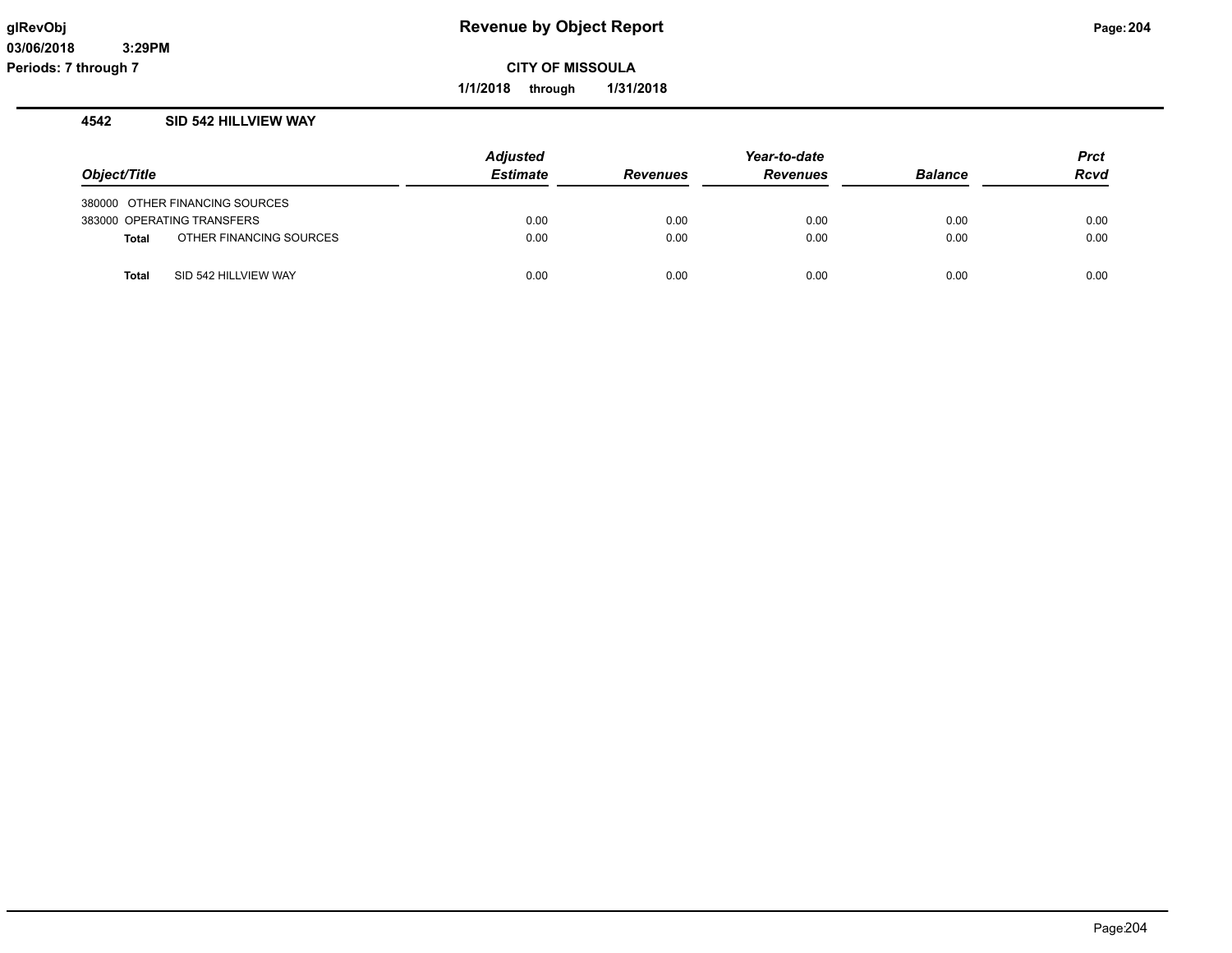**1/1/2018 through 1/31/2018**

## **4542 SID 542 HILLVIEW WAY**

|              |                                | <b>Adjusted</b> | Year-to-date    |                 |                | Prct        |
|--------------|--------------------------------|-----------------|-----------------|-----------------|----------------|-------------|
| Object/Title |                                | <b>Estimate</b> | <b>Revenues</b> | <b>Revenues</b> | <b>Balance</b> | <b>Rcvd</b> |
|              | 380000 OTHER FINANCING SOURCES |                 |                 |                 |                |             |
|              | 383000 OPERATING TRANSFERS     | 0.00            | 0.00            | 0.00            | 0.00           | 0.00        |
| <b>Total</b> | OTHER FINANCING SOURCES        | 0.00            | 0.00            | 0.00            | 0.00           | 0.00        |
| <b>Total</b> | SID 542 HILLVIEW WAY           | 0.00            | 0.00            | 0.00            | 0.00           | 0.00        |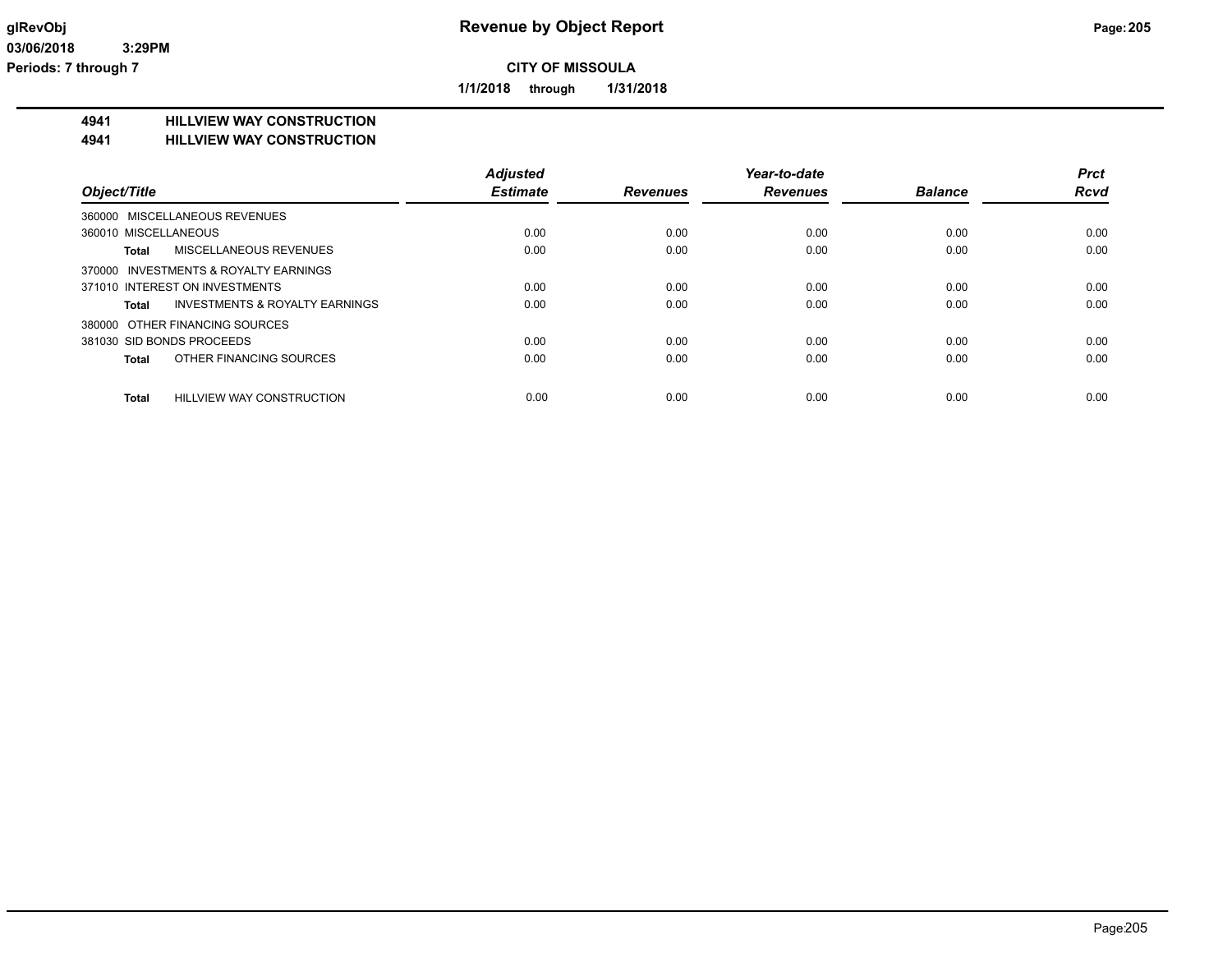**1/1/2018 through 1/31/2018**

#### **4941 HILLVIEW WAY CONSTRUCTION**

#### **4941 HILLVIEW WAY CONSTRUCTION**

|                                               | <b>Adjusted</b> |                 | Year-to-date    |                | <b>Prct</b> |
|-----------------------------------------------|-----------------|-----------------|-----------------|----------------|-------------|
| Object/Title                                  | <b>Estimate</b> | <b>Revenues</b> | <b>Revenues</b> | <b>Balance</b> | <b>Rcvd</b> |
| 360000 MISCELLANEOUS REVENUES                 |                 |                 |                 |                |             |
| 360010 MISCELLANEOUS                          | 0.00            | 0.00            | 0.00            | 0.00           | 0.00        |
| <b>MISCELLANEOUS REVENUES</b><br><b>Total</b> | 0.00            | 0.00            | 0.00            | 0.00           | 0.00        |
| 370000 INVESTMENTS & ROYALTY EARNINGS         |                 |                 |                 |                |             |
| 371010 INTEREST ON INVESTMENTS                | 0.00            | 0.00            | 0.00            | 0.00           | 0.00        |
| INVESTMENTS & ROYALTY EARNINGS<br>Total       | 0.00            | 0.00            | 0.00            | 0.00           | 0.00        |
| 380000 OTHER FINANCING SOURCES                |                 |                 |                 |                |             |
| 381030 SID BONDS PROCEEDS                     | 0.00            | 0.00            | 0.00            | 0.00           | 0.00        |
| OTHER FINANCING SOURCES<br>Total              | 0.00            | 0.00            | 0.00            | 0.00           | 0.00        |
| HILLVIEW WAY CONSTRUCTION<br><b>Total</b>     | 0.00            | 0.00            | 0.00            | 0.00           | 0.00        |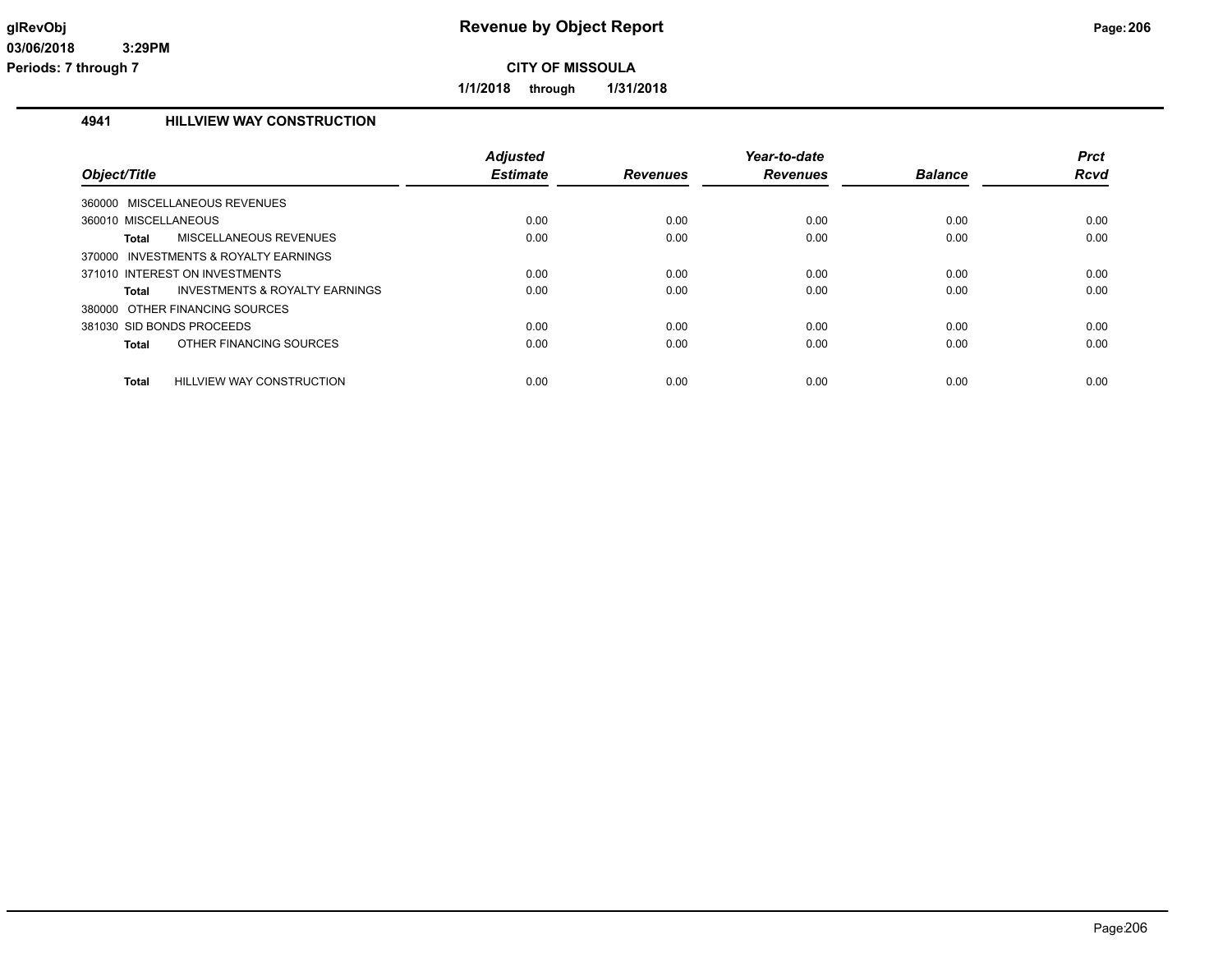**1/1/2018 through 1/31/2018**

## **4941 HILLVIEW WAY CONSTRUCTION**

| Object/Title                                       | <b>Adjusted</b><br><b>Estimate</b> | <b>Revenues</b> | Year-to-date<br><b>Revenues</b> | <b>Balance</b> | <b>Prct</b><br>Rcvd |
|----------------------------------------------------|------------------------------------|-----------------|---------------------------------|----------------|---------------------|
| MISCELLANEOUS REVENUES<br>360000                   |                                    |                 |                                 |                |                     |
| 360010 MISCELLANEOUS                               | 0.00                               | 0.00            | 0.00                            | 0.00           | 0.00                |
| Total<br>MISCELLANEOUS REVENUES                    | 0.00                               | 0.00            | 0.00                            | 0.00           | 0.00                |
| INVESTMENTS & ROYALTY EARNINGS<br>370000           |                                    |                 |                                 |                |                     |
| 371010 INTEREST ON INVESTMENTS                     | 0.00                               | 0.00            | 0.00                            | 0.00           | 0.00                |
| <b>INVESTMENTS &amp; ROYALTY EARNINGS</b><br>Total | 0.00                               | 0.00            | 0.00                            | 0.00           | 0.00                |
| 380000 OTHER FINANCING SOURCES                     |                                    |                 |                                 |                |                     |
| 381030 SID BONDS PROCEEDS                          | 0.00                               | 0.00            | 0.00                            | 0.00           | 0.00                |
| OTHER FINANCING SOURCES<br>Total                   | 0.00                               | 0.00            | 0.00                            | 0.00           | 0.00                |
| Total<br>HILLVIEW WAY CONSTRUCTION                 | 0.00                               | 0.00            | 0.00                            | 0.00           | 0.00                |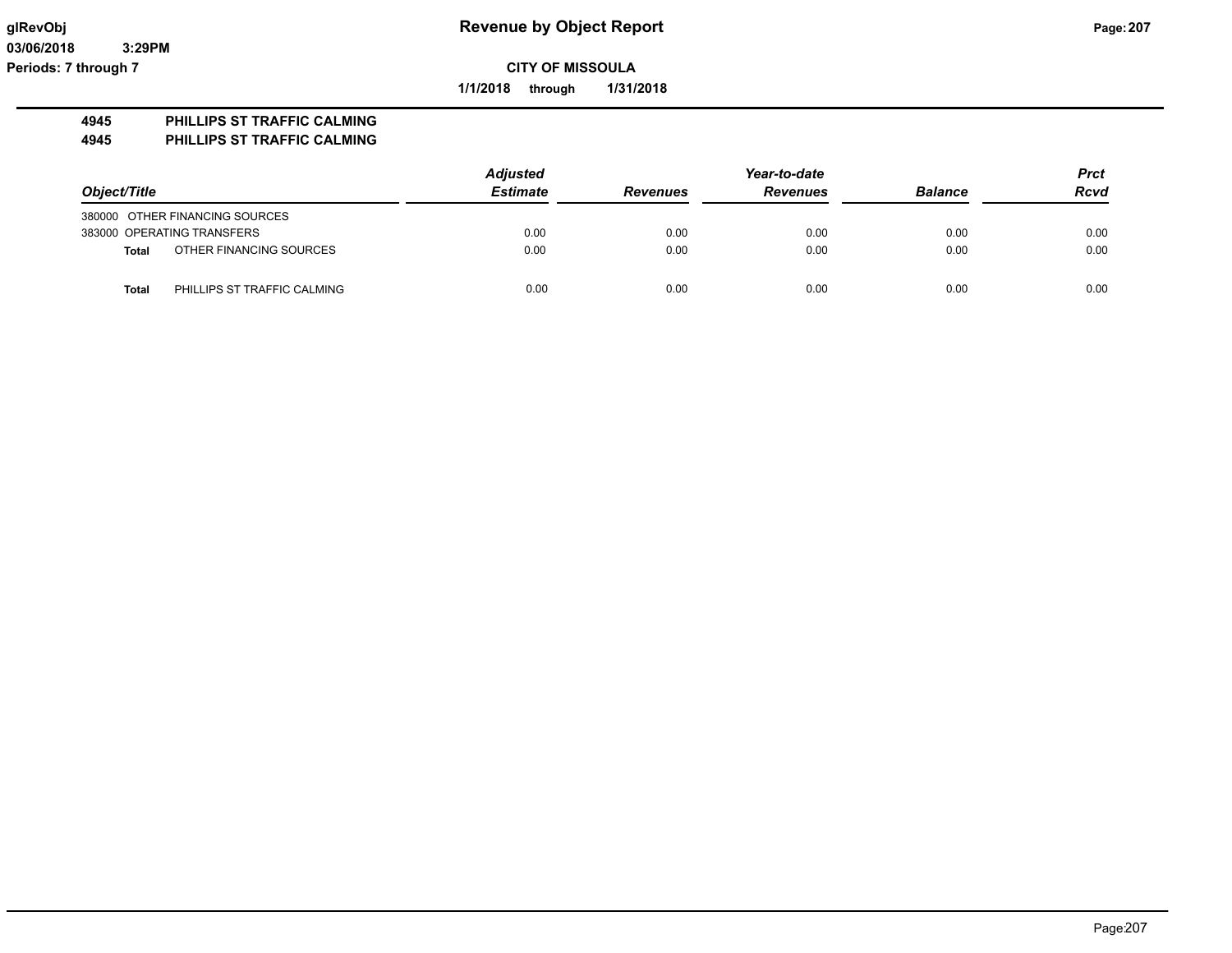**03/06/2018 3:29PM Periods: 7 through 7**

**CITY OF MISSOULA**

**1/1/2018 through 1/31/2018**

## **4945 PHILLIPS ST TRAFFIC CALMING**

**4945 PHILLIPS ST TRAFFIC CALMING**

|                                             | <b>Adjusted</b> |                 | Year-to-date    |                | <b>Prct</b> |
|---------------------------------------------|-----------------|-----------------|-----------------|----------------|-------------|
| Object/Title                                | <b>Estimate</b> | <b>Revenues</b> | <b>Revenues</b> | <b>Balance</b> | <b>Rcvd</b> |
| 380000 OTHER FINANCING SOURCES              |                 |                 |                 |                |             |
| 383000 OPERATING TRANSFERS                  | 0.00            | 0.00            | 0.00            | 0.00           | 0.00        |
| OTHER FINANCING SOURCES<br><b>Total</b>     | 0.00            | 0.00            | 0.00            | 0.00           | 0.00        |
| PHILLIPS ST TRAFFIC CALMING<br><b>Total</b> | 0.00            | 0.00            | 0.00            | 0.00           | 0.00        |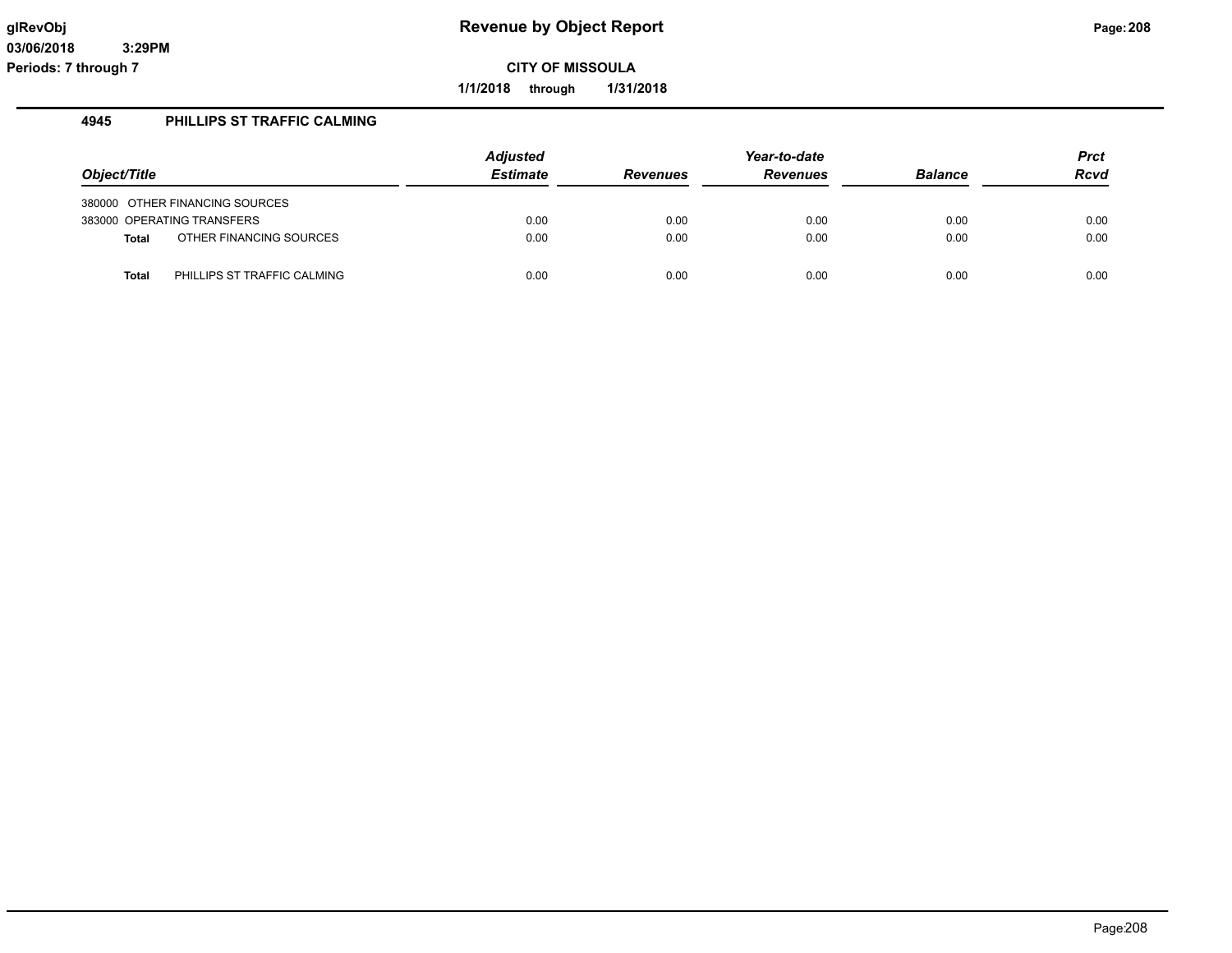**1/1/2018 through 1/31/2018**

## **4945 PHILLIPS ST TRAFFIC CALMING**

| Object/Title |                                | <b>Adjusted</b><br><b>Estimate</b> | <b>Revenues</b> | Year-to-date<br><b>Revenues</b> | <b>Balance</b> | <b>Prct</b><br><b>Rcvd</b> |
|--------------|--------------------------------|------------------------------------|-----------------|---------------------------------|----------------|----------------------------|
|              | 380000 OTHER FINANCING SOURCES |                                    |                 |                                 |                |                            |
|              | 383000 OPERATING TRANSFERS     | 0.00                               | 0.00            | 0.00                            | 0.00           | 0.00                       |
| <b>Total</b> | OTHER FINANCING SOURCES        | 0.00                               | 0.00            | 0.00                            | 0.00           | 0.00                       |
| <b>Total</b> | PHILLIPS ST TRAFFIC CALMING    | 0.00                               | 0.00            | 0.00                            | 0.00           | 0.00                       |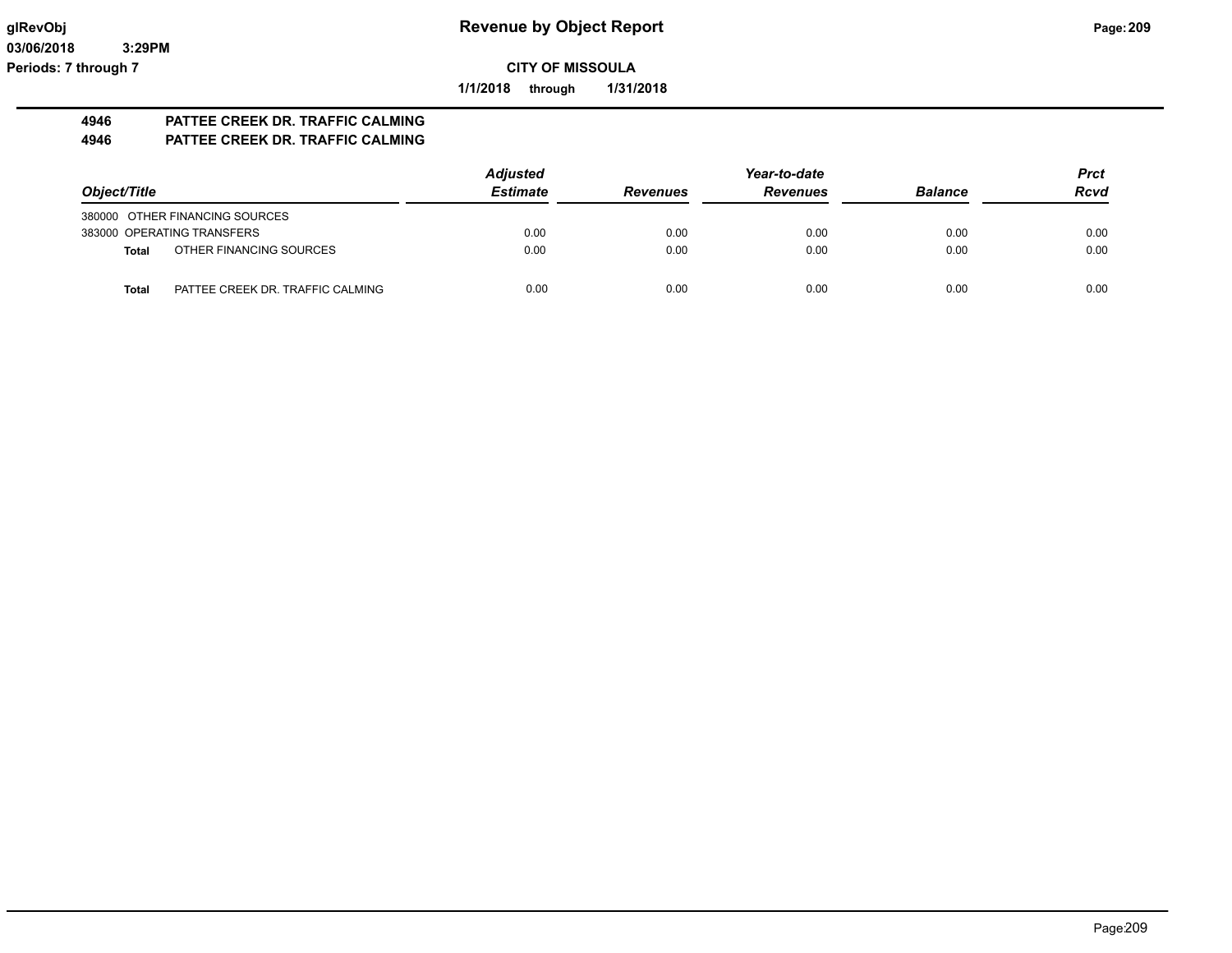**1/1/2018 through 1/31/2018**

# **4946 PATTEE CREEK DR. TRAFFIC CALMING**

## **4946 PATTEE CREEK DR. TRAFFIC CALMING**

|                                           | <b>Adjusted</b> |                 | Year-to-date    |                | <b>Prct</b> |
|-------------------------------------------|-----------------|-----------------|-----------------|----------------|-------------|
| Object/Title                              | <b>Estimate</b> | <b>Revenues</b> | <b>Revenues</b> | <b>Balance</b> | <b>Rcvd</b> |
| 380000 OTHER FINANCING SOURCES            |                 |                 |                 |                |             |
| 383000 OPERATING TRANSFERS                | 0.00            | 0.00            | 0.00            | 0.00           | 0.00        |
| OTHER FINANCING SOURCES<br>Total          | 0.00            | 0.00            | 0.00            | 0.00           | 0.00        |
| PATTEE CREEK DR. TRAFFIC CALMING<br>Total | 0.00            | 0.00            | 0.00            | 0.00           | 0.00        |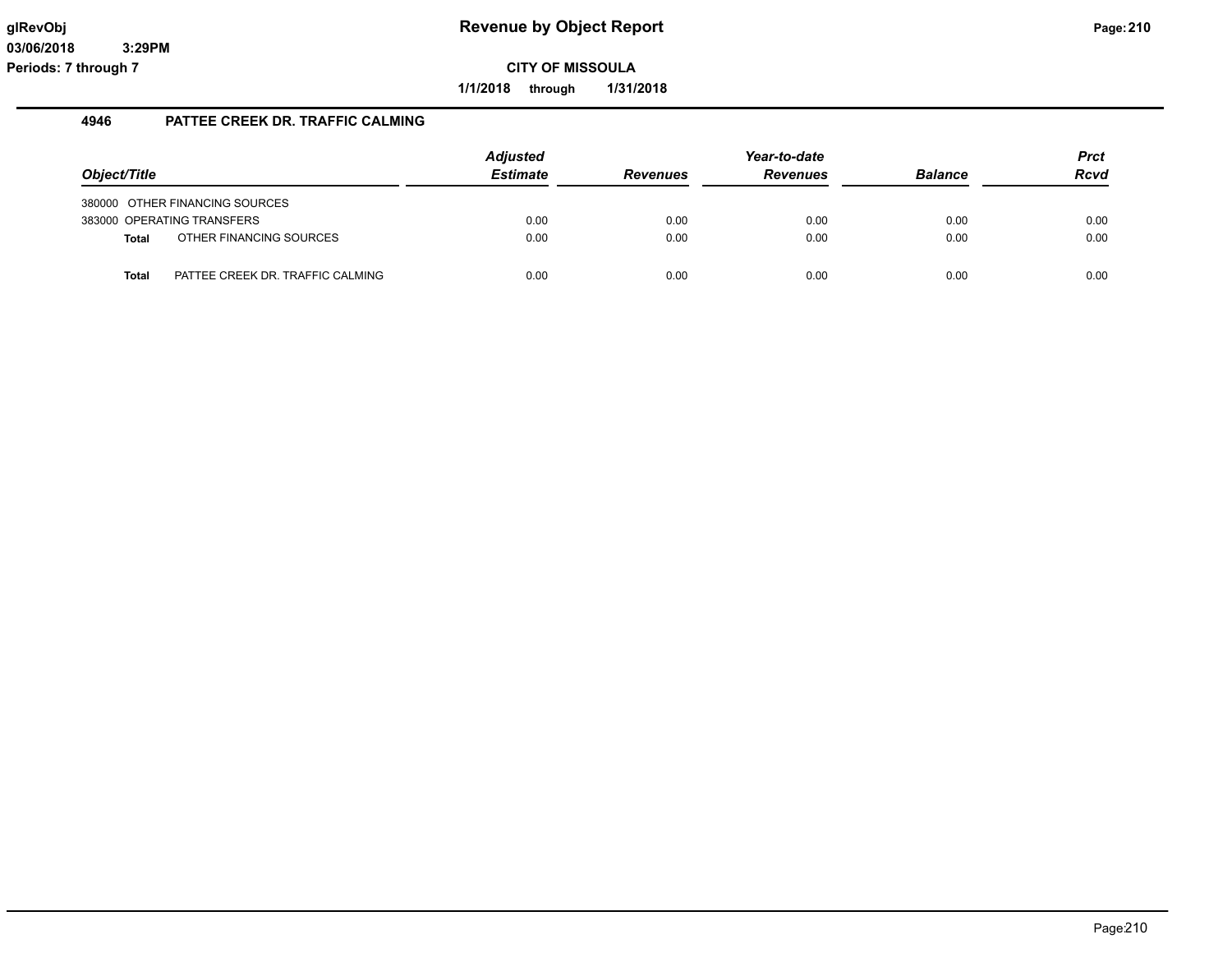**1/1/2018 through 1/31/2018**

## **4946 PATTEE CREEK DR. TRAFFIC CALMING**

|              |                                  | <b>Adjusted</b> |                 | Year-to-date    |                | <b>Prct</b> |
|--------------|----------------------------------|-----------------|-----------------|-----------------|----------------|-------------|
| Object/Title |                                  | <b>Estimate</b> | <b>Revenues</b> | <b>Revenues</b> | <b>Balance</b> | <b>Rcvd</b> |
|              | 380000 OTHER FINANCING SOURCES   |                 |                 |                 |                |             |
|              | 383000 OPERATING TRANSFERS       | 0.00            | 0.00            | 0.00            | 0.00           | 0.00        |
| <b>Total</b> | OTHER FINANCING SOURCES          | 0.00            | 0.00            | 0.00            | 0.00           | 0.00        |
| Total        | PATTEE CREEK DR. TRAFFIC CALMING | 0.00            | 0.00            | 0.00            | 0.00           | 0.00        |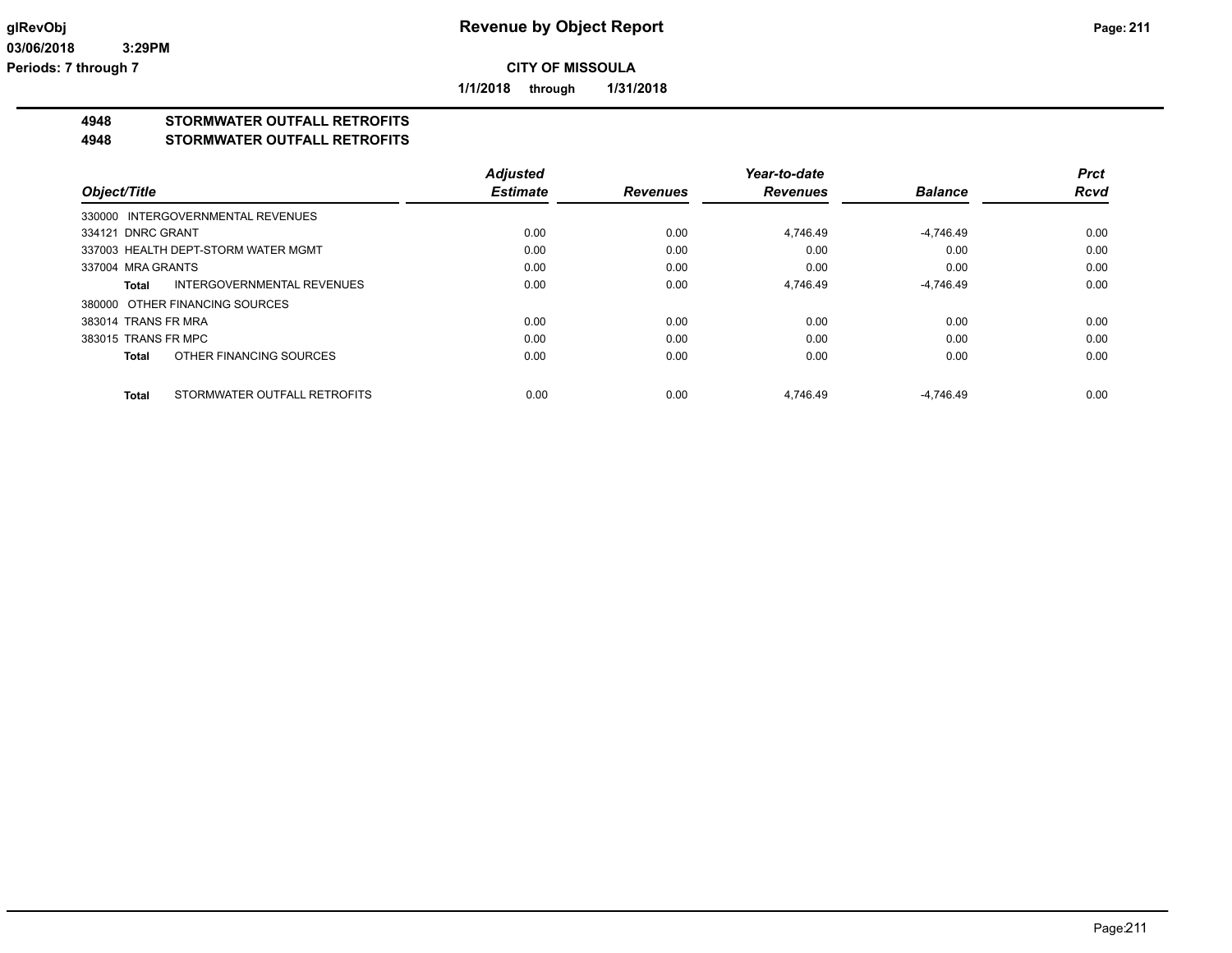**1/1/2018 through 1/31/2018**

# **4948 STORMWATER OUTFALL RETROFITS**

#### **4948 STORMWATER OUTFALL RETROFITS**

|                     |                                     | <b>Adjusted</b> |                 | Year-to-date    |                | <b>Prct</b> |
|---------------------|-------------------------------------|-----------------|-----------------|-----------------|----------------|-------------|
| Object/Title        |                                     | <b>Estimate</b> | <b>Revenues</b> | <b>Revenues</b> | <b>Balance</b> | <b>Rcvd</b> |
|                     | 330000 INTERGOVERNMENTAL REVENUES   |                 |                 |                 |                |             |
| 334121 DNRC GRANT   |                                     | 0.00            | 0.00            | 4.746.49        | $-4,746.49$    | 0.00        |
|                     | 337003 HEALTH DEPT-STORM WATER MGMT | 0.00            | 0.00            | 0.00            | 0.00           | 0.00        |
| 337004 MRA GRANTS   |                                     | 0.00            | 0.00            | 0.00            | 0.00           | 0.00        |
| Total               | INTERGOVERNMENTAL REVENUES          | 0.00            | 0.00            | 4,746.49        | $-4,746.49$    | 0.00        |
|                     | 380000 OTHER FINANCING SOURCES      |                 |                 |                 |                |             |
| 383014 TRANS FR MRA |                                     | 0.00            | 0.00            | 0.00            | 0.00           | 0.00        |
| 383015 TRANS FR MPC |                                     | 0.00            | 0.00            | 0.00            | 0.00           | 0.00        |
| <b>Total</b>        | OTHER FINANCING SOURCES             | 0.00            | 0.00            | 0.00            | 0.00           | 0.00        |
| <b>Total</b>        | STORMWATER OUTFALL RETROFITS        | 0.00            | 0.00            | 4.746.49        | $-4.746.49$    | 0.00        |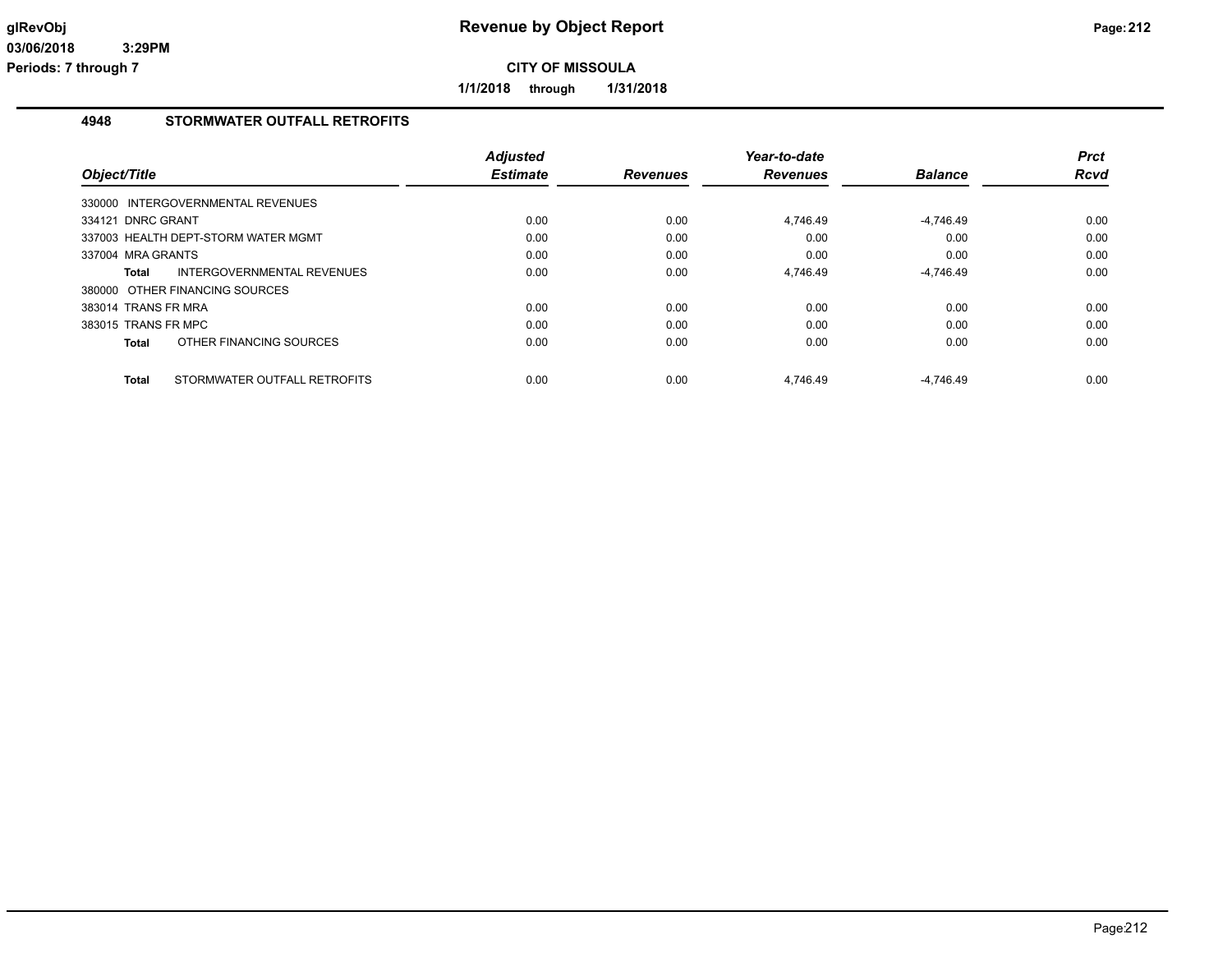**1/1/2018 through 1/31/2018**

## **4948 STORMWATER OUTFALL RETROFITS**

| Object/Title                                 | <b>Adjusted</b><br><b>Estimate</b> | <b>Revenues</b> | Year-to-date<br><b>Revenues</b> | <b>Balance</b> | <b>Prct</b><br><b>Rcvd</b> |
|----------------------------------------------|------------------------------------|-----------------|---------------------------------|----------------|----------------------------|
| 330000 INTERGOVERNMENTAL REVENUES            |                                    |                 |                                 |                |                            |
| 334121 DNRC GRANT                            | 0.00                               | 0.00            | 4,746.49                        | $-4,746.49$    | 0.00                       |
| 337003 HEALTH DEPT-STORM WATER MGMT          | 0.00                               | 0.00            | 0.00                            | 0.00           | 0.00                       |
| 337004 MRA GRANTS                            | 0.00                               | 0.00            | 0.00                            | 0.00           | 0.00                       |
| <b>INTERGOVERNMENTAL REVENUES</b><br>Total   | 0.00                               | 0.00            | 4,746.49                        | $-4,746.49$    | 0.00                       |
| 380000 OTHER FINANCING SOURCES               |                                    |                 |                                 |                |                            |
| 383014 TRANS FR MRA                          | 0.00                               | 0.00            | 0.00                            | 0.00           | 0.00                       |
| 383015 TRANS FR MPC                          | 0.00                               | 0.00            | 0.00                            | 0.00           | 0.00                       |
| OTHER FINANCING SOURCES<br>Total             | 0.00                               | 0.00            | 0.00                            | 0.00           | 0.00                       |
| STORMWATER OUTFALL RETROFITS<br><b>Total</b> | 0.00                               | 0.00            | 4.746.49                        | $-4.746.49$    | 0.00                       |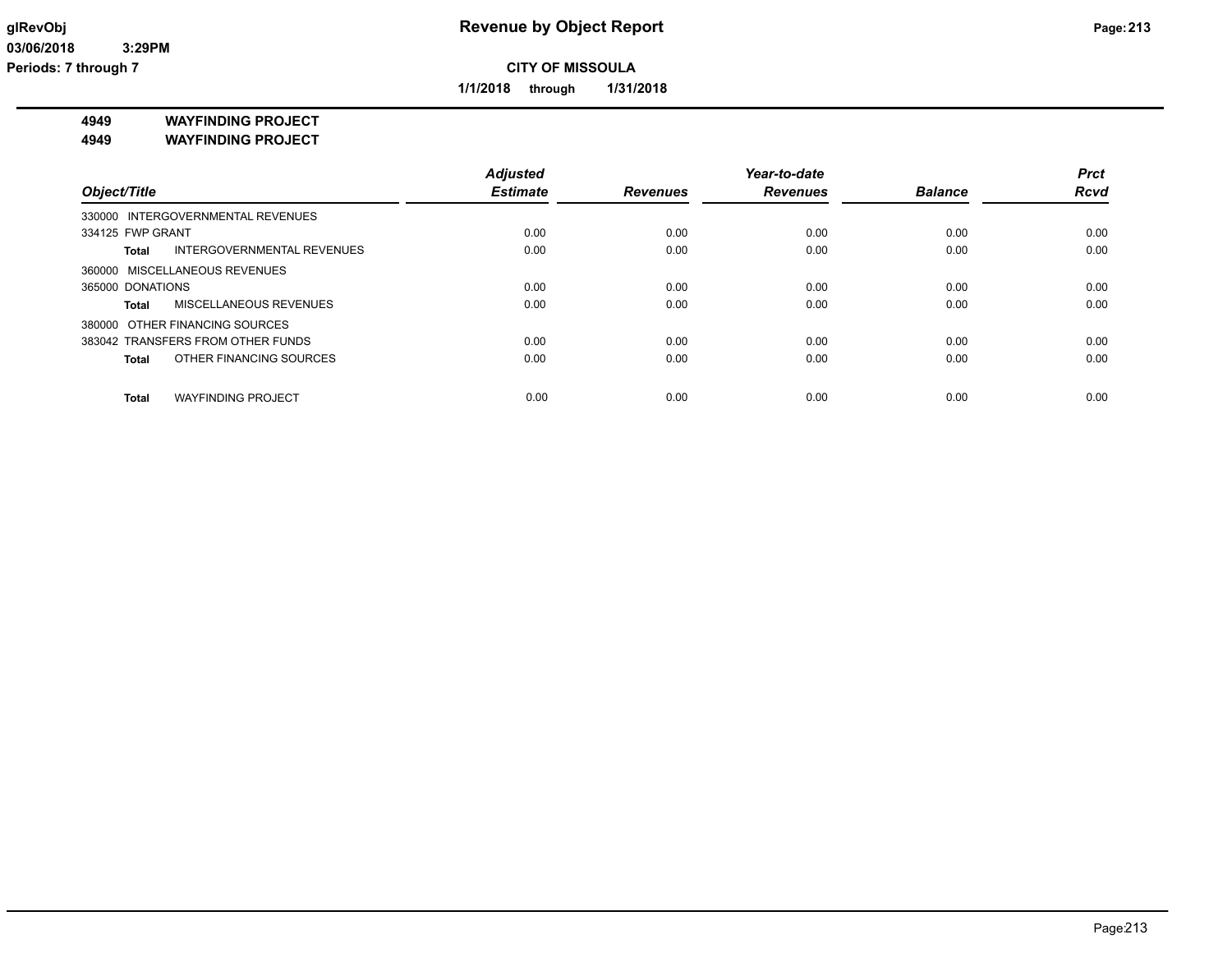**1/1/2018 through 1/31/2018**

**4949 WAYFINDING PROJECT**

**4949 WAYFINDING PROJECT**

|                                           | <b>Adjusted</b> |                 | Year-to-date    |                | <b>Prct</b> |
|-------------------------------------------|-----------------|-----------------|-----------------|----------------|-------------|
| Object/Title                              | <b>Estimate</b> | <b>Revenues</b> | <b>Revenues</b> | <b>Balance</b> | <b>Rcvd</b> |
| 330000 INTERGOVERNMENTAL REVENUES         |                 |                 |                 |                |             |
| 334125 FWP GRANT                          | 0.00            | 0.00            | 0.00            | 0.00           | 0.00        |
| INTERGOVERNMENTAL REVENUES<br>Total       | 0.00            | 0.00            | 0.00            | 0.00           | 0.00        |
| 360000 MISCELLANEOUS REVENUES             |                 |                 |                 |                |             |
| 365000 DONATIONS                          | 0.00            | 0.00            | 0.00            | 0.00           | 0.00        |
| <b>MISCELLANEOUS REVENUES</b><br>Total    | 0.00            | 0.00            | 0.00            | 0.00           | 0.00        |
| 380000 OTHER FINANCING SOURCES            |                 |                 |                 |                |             |
| 383042 TRANSFERS FROM OTHER FUNDS         | 0.00            | 0.00            | 0.00            | 0.00           | 0.00        |
| OTHER FINANCING SOURCES<br><b>Total</b>   | 0.00            | 0.00            | 0.00            | 0.00           | 0.00        |
| <b>WAYFINDING PROJECT</b><br><b>Total</b> | 0.00            | 0.00            | 0.00            | 0.00           | 0.00        |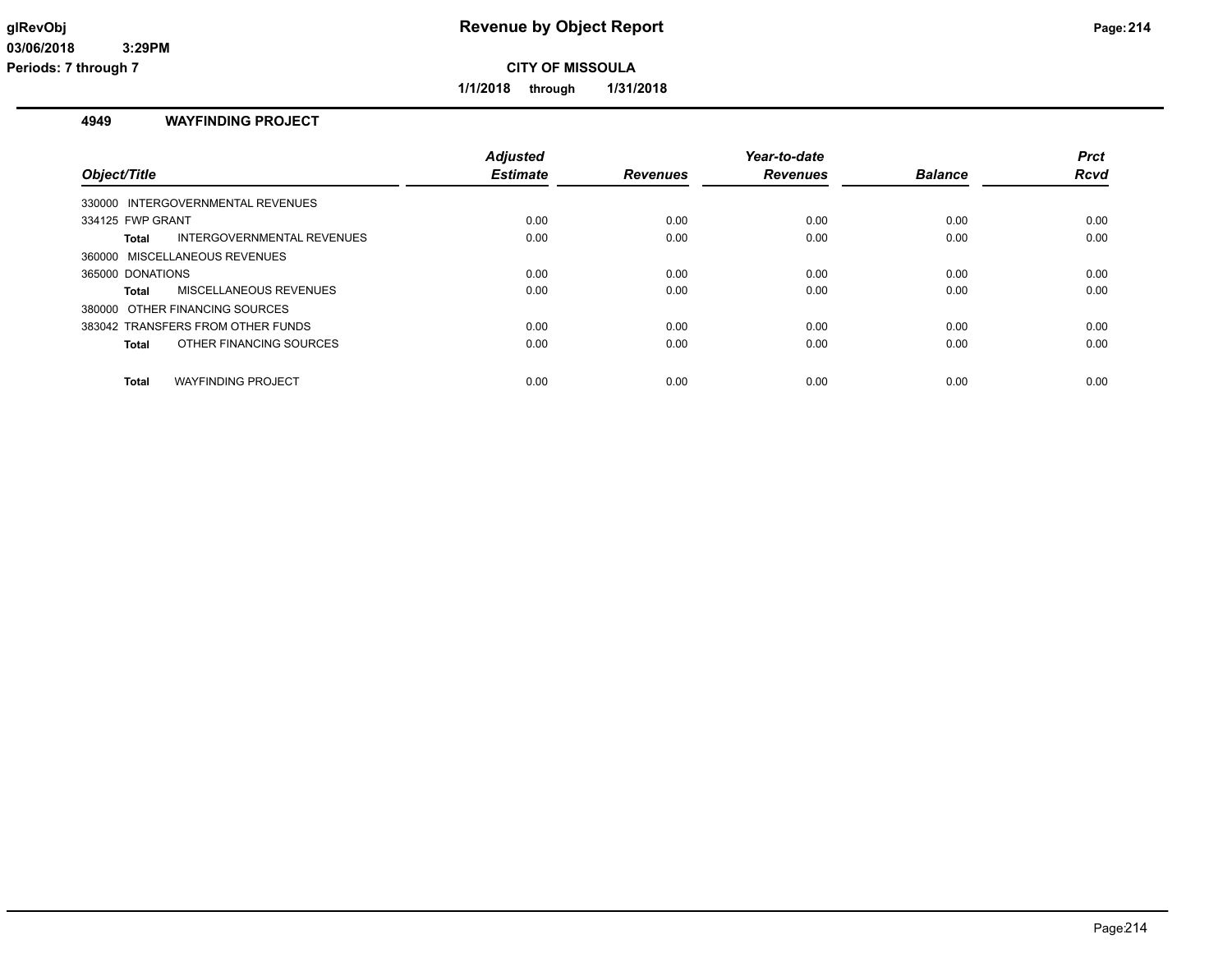**1/1/2018 through 1/31/2018**

## **4949 WAYFINDING PROJECT**

| Object/Title                              | <b>Adjusted</b><br><b>Estimate</b> | <b>Revenues</b> | Year-to-date<br><b>Revenues</b> | <b>Balance</b> | <b>Prct</b><br>Rcvd |
|-------------------------------------------|------------------------------------|-----------------|---------------------------------|----------------|---------------------|
| 330000 INTERGOVERNMENTAL REVENUES         |                                    |                 |                                 |                |                     |
| 334125 FWP GRANT                          | 0.00                               | 0.00            | 0.00                            | 0.00           | 0.00                |
| Total<br>INTERGOVERNMENTAL REVENUES       | 0.00                               | 0.00            | 0.00                            | 0.00           | 0.00                |
| 360000 MISCELLANEOUS REVENUES             |                                    |                 |                                 |                |                     |
| 365000 DONATIONS                          | 0.00                               | 0.00            | 0.00                            | 0.00           | 0.00                |
| MISCELLANEOUS REVENUES<br><b>Total</b>    | 0.00                               | 0.00            | 0.00                            | 0.00           | 0.00                |
| 380000 OTHER FINANCING SOURCES            |                                    |                 |                                 |                |                     |
| 383042 TRANSFERS FROM OTHER FUNDS         | 0.00                               | 0.00            | 0.00                            | 0.00           | 0.00                |
| OTHER FINANCING SOURCES<br><b>Total</b>   | 0.00                               | 0.00            | 0.00                            | 0.00           | 0.00                |
| <b>WAYFINDING PROJECT</b><br><b>Total</b> | 0.00                               | 0.00            | 0.00                            | 0.00           | 0.00                |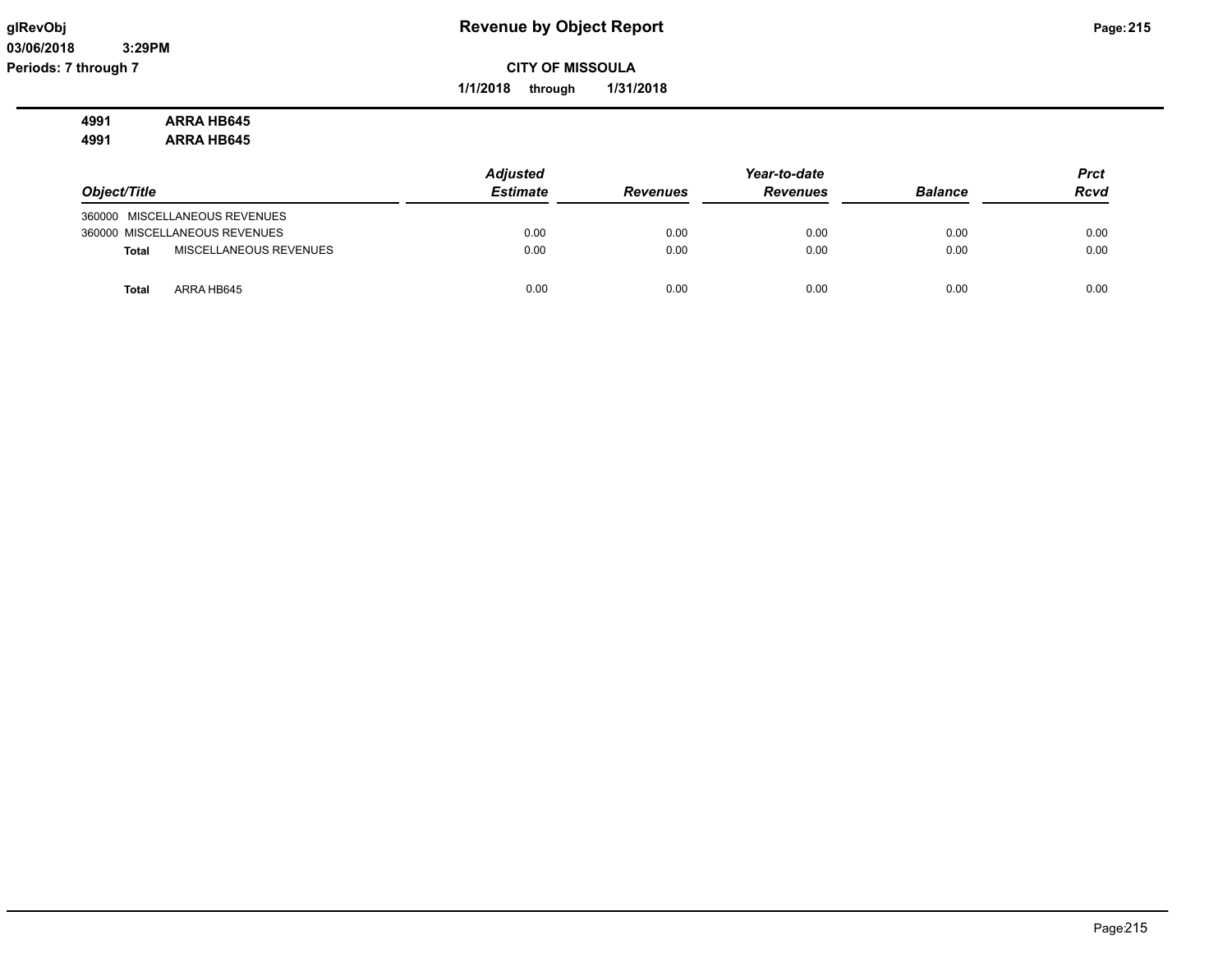**03/06/2018 3:29PM Periods: 7 through 7**

## **glRevObj Revenue by Object Report Page:215**

**CITY OF MISSOULA**

**1/1/2018 through 1/31/2018**

#### **4991 ARRA HB645 4991 ARRA HB645**

|                                        | <b>Adjusted</b> |                 | Year-to-date    |                | <b>Prct</b> |
|----------------------------------------|-----------------|-----------------|-----------------|----------------|-------------|
| Object/Title                           | <b>Estimate</b> | <b>Revenues</b> | <b>Revenues</b> | <b>Balance</b> | <b>Rcvd</b> |
| 360000 MISCELLANEOUS REVENUES          |                 |                 |                 |                |             |
| 360000 MISCELLANEOUS REVENUES          | 0.00            | 0.00            | 0.00            | 0.00           | 0.00        |
| MISCELLANEOUS REVENUES<br><b>Total</b> | 0.00            | 0.00            | 0.00            | 0.00           | 0.00        |
| ARRA HB645<br><b>Total</b>             | 0.00            | 0.00            | 0.00            | 0.00           | 0.00        |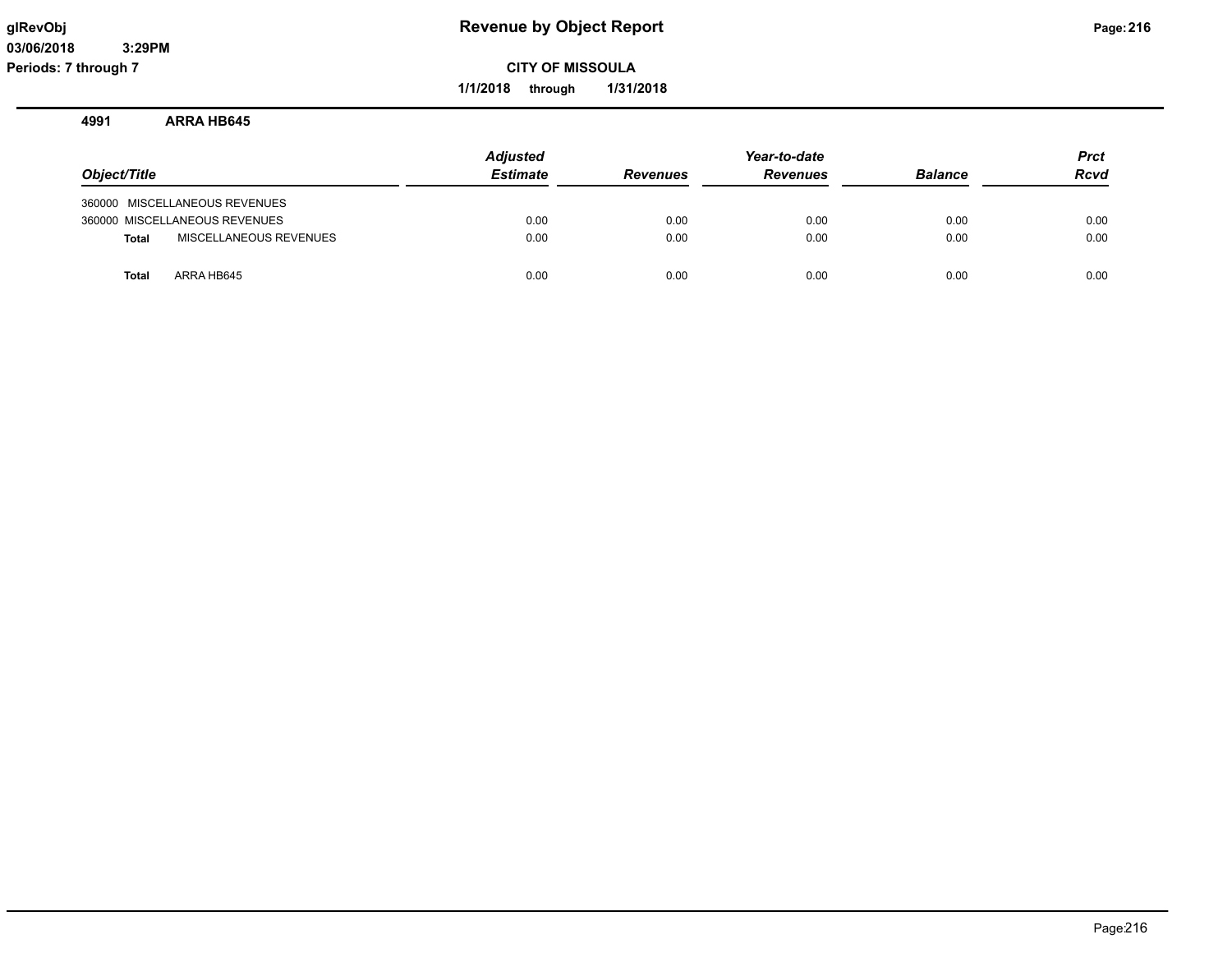**1/1/2018 through 1/31/2018**

#### **4991 ARRA HB645**

| Object/Title |                               | <b>Adjusted</b><br><b>Estimate</b> | <b>Revenues</b> | Year-to-date<br><b>Revenues</b> | <b>Balance</b> | <b>Prct</b><br>Rcvd |
|--------------|-------------------------------|------------------------------------|-----------------|---------------------------------|----------------|---------------------|
|              | 360000 MISCELLANEOUS REVENUES |                                    |                 |                                 |                |                     |
|              | 360000 MISCELLANEOUS REVENUES | 0.00                               | 0.00            | 0.00                            | 0.00           | 0.00                |
| <b>Total</b> | MISCELLANEOUS REVENUES        | 0.00                               | 0.00            | 0.00                            | 0.00           | 0.00                |
| <b>Total</b> | ARRA HB645                    | 0.00                               | 0.00            | 0.00                            | 0.00           | 0.00                |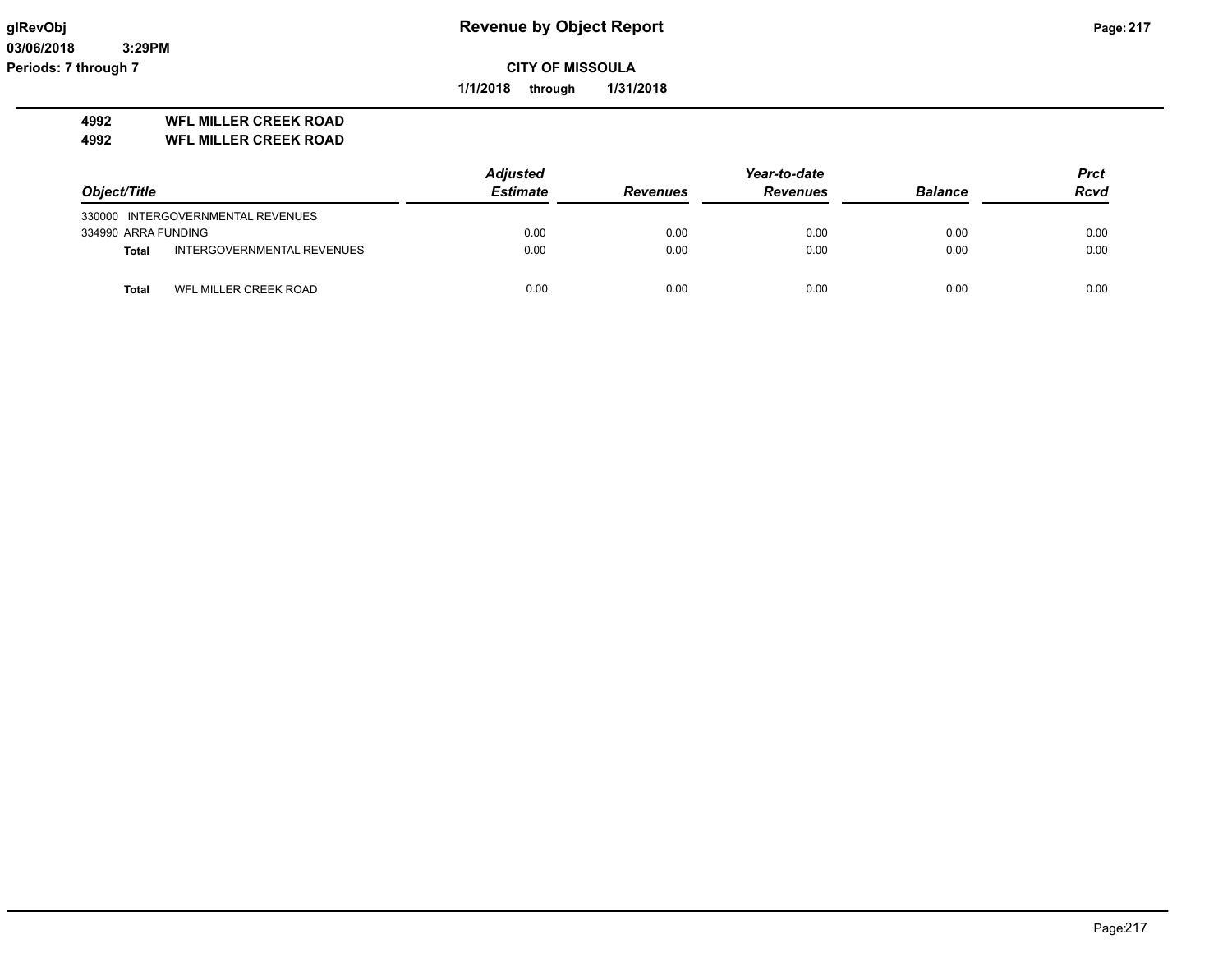**03/06/2018 3:29PM Periods: 7 through 7**

**CITY OF MISSOULA**

**1/1/2018 through 1/31/2018**

### **4992 WFL MILLER CREEK ROAD**

**4992 WFL MILLER CREEK ROAD**

|                     |                                   | Adjusted        |                 | Year-to-date    |                | <b>Prct</b> |
|---------------------|-----------------------------------|-----------------|-----------------|-----------------|----------------|-------------|
| Object/Title        |                                   | <b>Estimate</b> | <b>Revenues</b> | <b>Revenues</b> | <b>Balance</b> | <b>Rcvd</b> |
|                     | 330000 INTERGOVERNMENTAL REVENUES |                 |                 |                 |                |             |
| 334990 ARRA FUNDING |                                   | 0.00            | 0.00            | 0.00            | 0.00           | 0.00        |
| <b>Total</b>        | INTERGOVERNMENTAL REVENUES        | 0.00            | 0.00            | 0.00            | 0.00           | 0.00        |
| Total               | WFL MILLER CREEK ROAD             | 0.00            | 0.00            | 0.00            | 0.00           | 0.00        |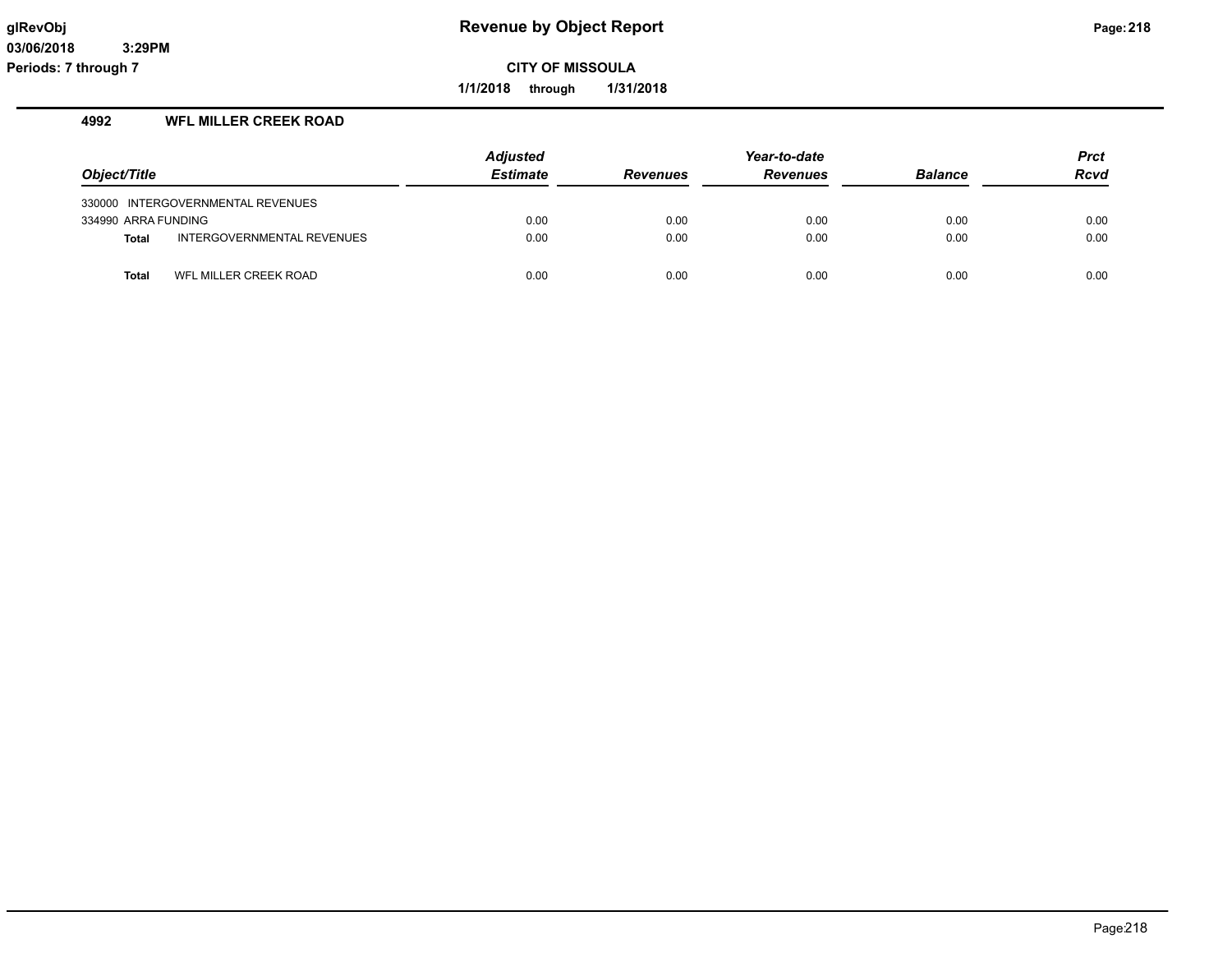**1/1/2018 through 1/31/2018**

### **4992 WFL MILLER CREEK ROAD**

|                     |                                   | <b>Adjusted</b> |                 | Year-to-date    |                | <b>Prct</b> |
|---------------------|-----------------------------------|-----------------|-----------------|-----------------|----------------|-------------|
| Object/Title        |                                   | <b>Estimate</b> | <b>Revenues</b> | <b>Revenues</b> | <b>Balance</b> | <b>Rcvd</b> |
|                     | 330000 INTERGOVERNMENTAL REVENUES |                 |                 |                 |                |             |
| 334990 ARRA FUNDING |                                   | 0.00            | 0.00            | 0.00            | 0.00           | 0.00        |
| <b>Total</b>        | INTERGOVERNMENTAL REVENUES        | 0.00            | 0.00            | 0.00            | 0.00           | 0.00        |
| Total               | WFL MILLER CREEK ROAD             | 0.00            | 0.00            | 0.00            | 0.00           | 0.00        |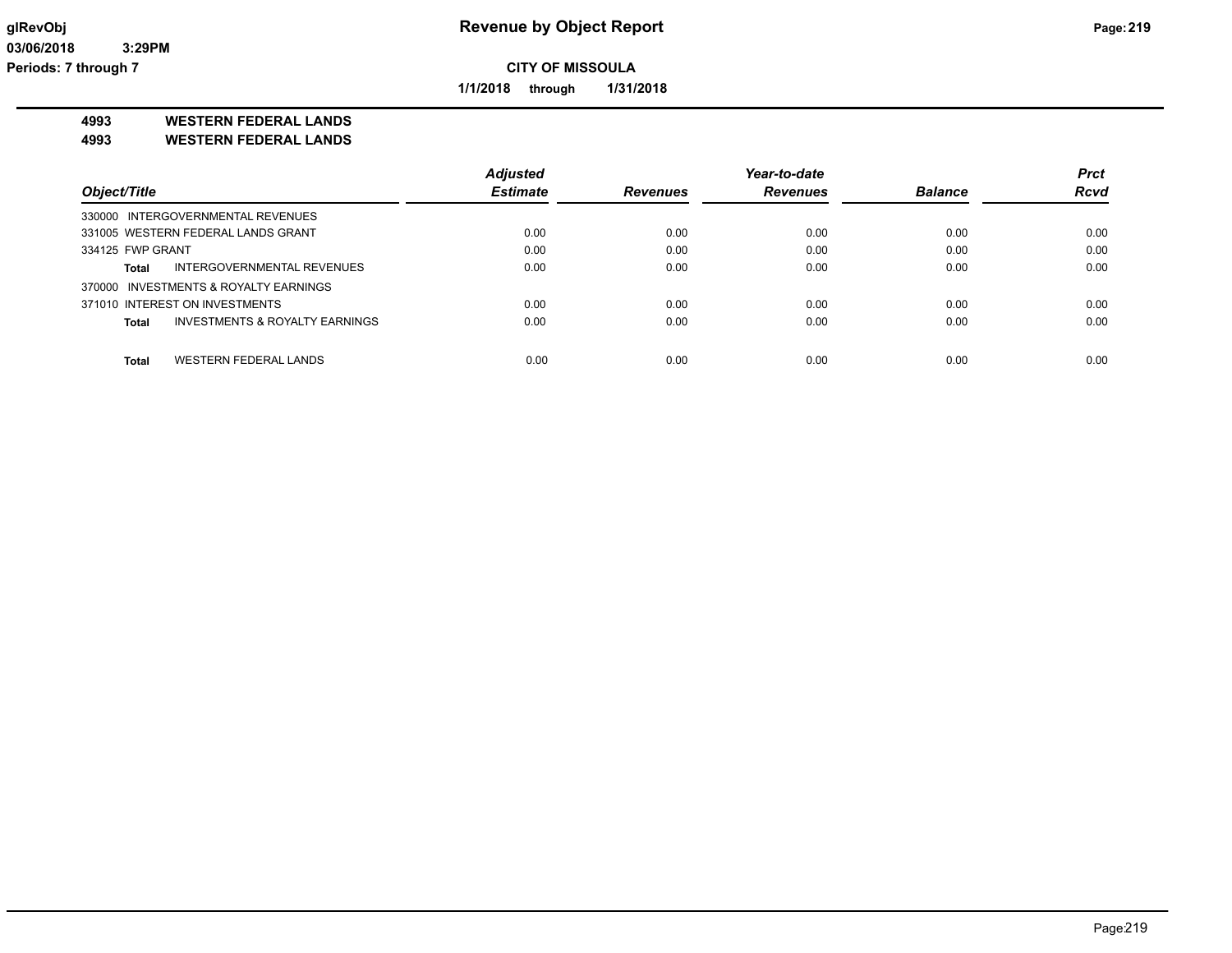**1/1/2018 through 1/31/2018**

**4993 WESTERN FEDERAL LANDS**

**4993 WESTERN FEDERAL LANDS**

|                                         | <b>Adjusted</b> |                 | Year-to-date    |                | <b>Prct</b> |
|-----------------------------------------|-----------------|-----------------|-----------------|----------------|-------------|
| Object/Title                            | <b>Estimate</b> | <b>Revenues</b> | <b>Revenues</b> | <b>Balance</b> | <b>Rcvd</b> |
| 330000 INTERGOVERNMENTAL REVENUES       |                 |                 |                 |                |             |
| 331005 WESTERN FEDERAL LANDS GRANT      | 0.00            | 0.00            | 0.00            | 0.00           | 0.00        |
| 334125 FWP GRANT                        | 0.00            | 0.00            | 0.00            | 0.00           | 0.00        |
| INTERGOVERNMENTAL REVENUES<br>Total     | 0.00            | 0.00            | 0.00            | 0.00           | 0.00        |
| 370000 INVESTMENTS & ROYALTY EARNINGS   |                 |                 |                 |                |             |
| 371010 INTEREST ON INVESTMENTS          | 0.00            | 0.00            | 0.00            | 0.00           | 0.00        |
| INVESTMENTS & ROYALTY EARNINGS<br>Total | 0.00            | 0.00            | 0.00            | 0.00           | 0.00        |
|                                         |                 |                 |                 |                |             |
| WESTERN FEDERAL LANDS<br>Total          | 0.00            | 0.00            | 0.00            | 0.00           | 0.00        |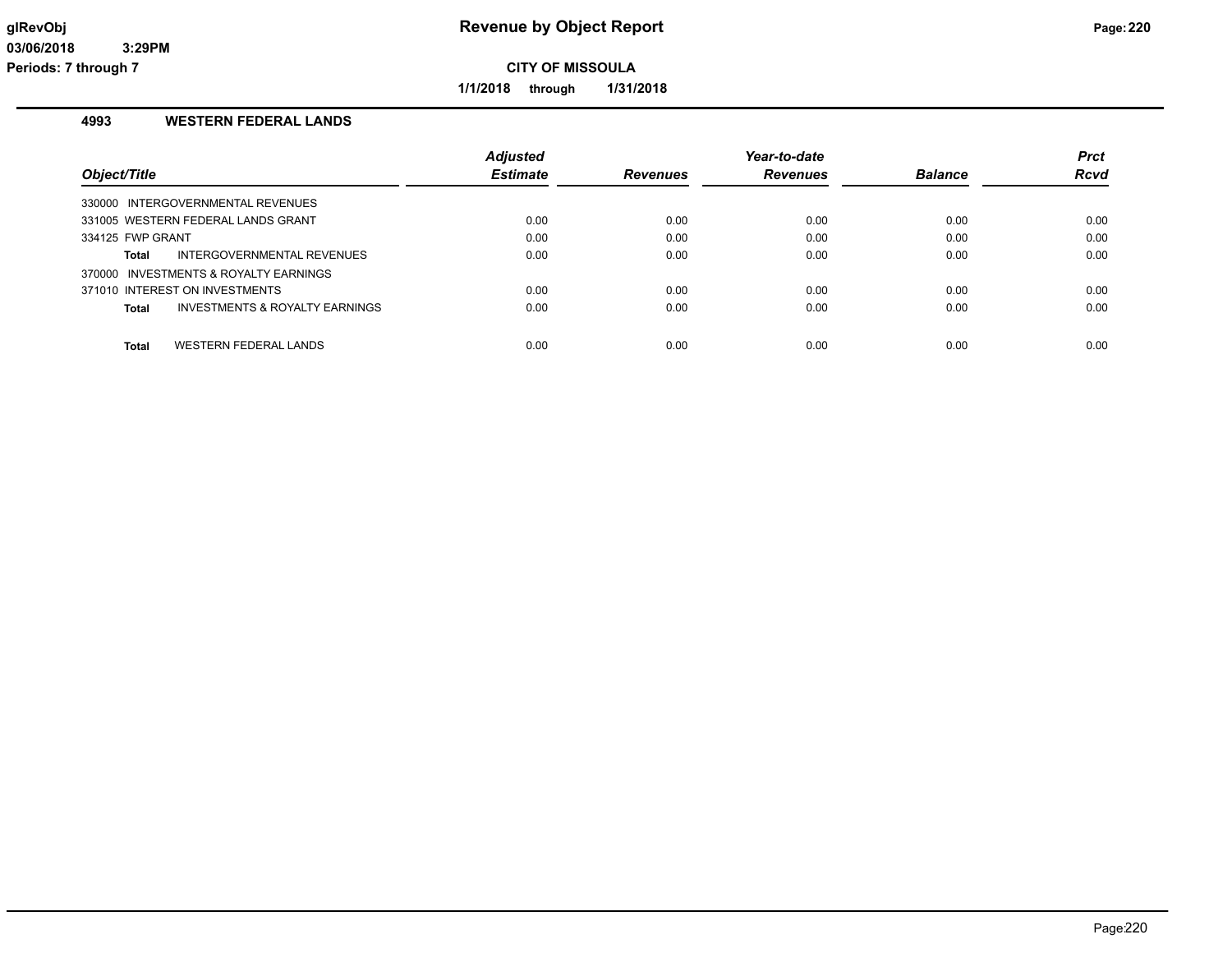**1/1/2018 through 1/31/2018**

### **4993 WESTERN FEDERAL LANDS**

|                                                    | <b>Adjusted</b> |                 | Year-to-date    |                | <b>Prct</b> |
|----------------------------------------------------|-----------------|-----------------|-----------------|----------------|-------------|
| Object/Title                                       | <b>Estimate</b> | <b>Revenues</b> | <b>Revenues</b> | <b>Balance</b> | <b>Rcvd</b> |
| 330000 INTERGOVERNMENTAL REVENUES                  |                 |                 |                 |                |             |
| 331005 WESTERN FEDERAL LANDS GRANT                 | 0.00            | 0.00            | 0.00            | 0.00           | 0.00        |
| 334125 FWP GRANT                                   | 0.00            | 0.00            | 0.00            | 0.00           | 0.00        |
| INTERGOVERNMENTAL REVENUES<br>Total                | 0.00            | 0.00            | 0.00            | 0.00           | 0.00        |
| 370000 INVESTMENTS & ROYALTY EARNINGS              |                 |                 |                 |                |             |
| 371010 INTEREST ON INVESTMENTS                     | 0.00            | 0.00            | 0.00            | 0.00           | 0.00        |
| <b>INVESTMENTS &amp; ROYALTY EARNINGS</b><br>Total | 0.00            | 0.00            | 0.00            | 0.00           | 0.00        |
|                                                    |                 |                 |                 |                |             |
| WESTERN FEDERAL LANDS<br><b>Total</b>              | 0.00            | 0.00            | 0.00            | 0.00           | 0.00        |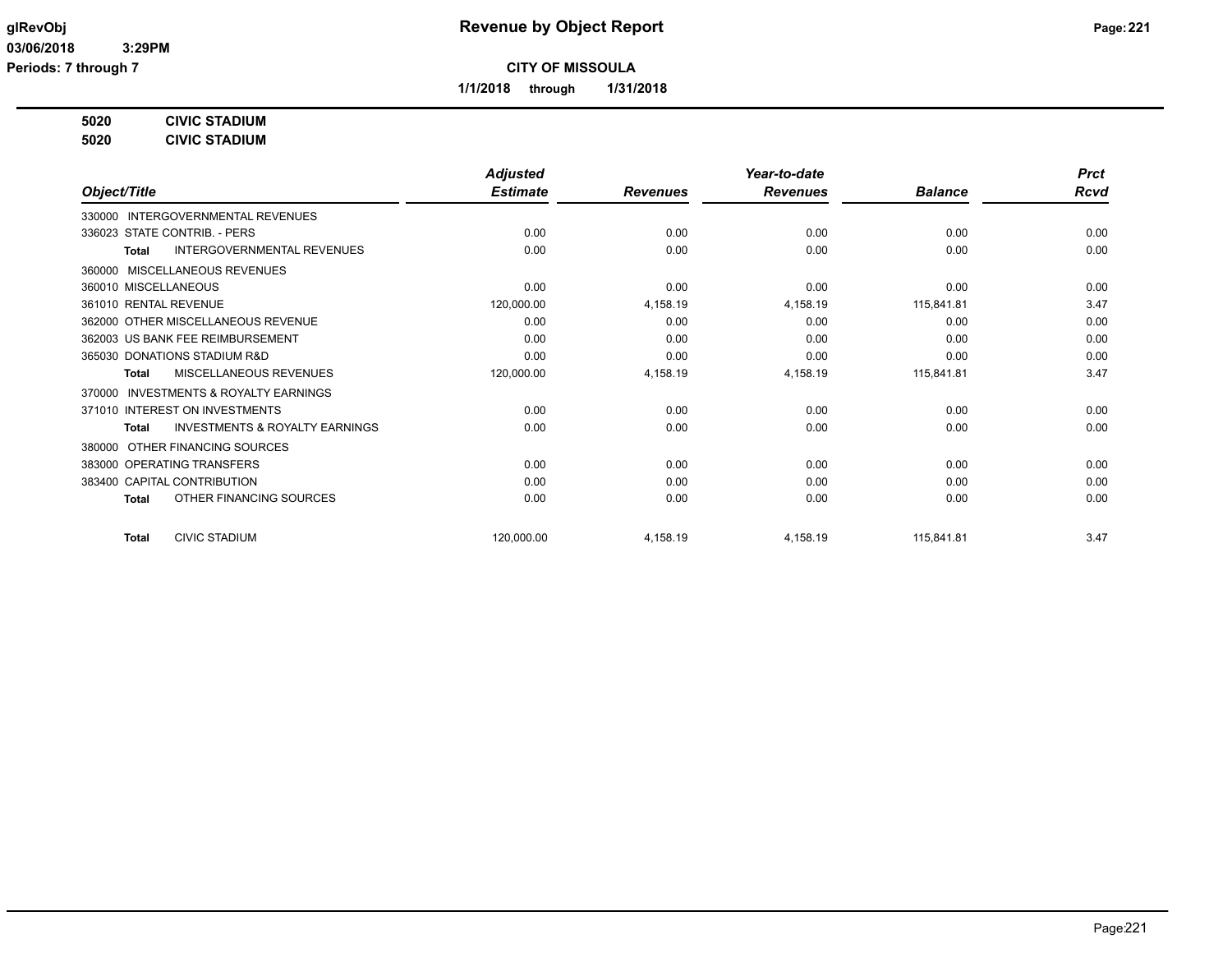**1/1/2018 through 1/31/2018**

### **5020 CIVIC STADIUM**

**5020 CIVIC STADIUM**

|                                                           | <b>Adjusted</b> |                 | Year-to-date    |                | <b>Prct</b> |
|-----------------------------------------------------------|-----------------|-----------------|-----------------|----------------|-------------|
| Object/Title                                              | <b>Estimate</b> | <b>Revenues</b> | <b>Revenues</b> | <b>Balance</b> | <b>Rcvd</b> |
| 330000 INTERGOVERNMENTAL REVENUES                         |                 |                 |                 |                |             |
| 336023 STATE CONTRIB. - PERS                              | 0.00            | 0.00            | 0.00            | 0.00           | 0.00        |
| <b>INTERGOVERNMENTAL REVENUES</b><br><b>Total</b>         | 0.00            | 0.00            | 0.00            | 0.00           | 0.00        |
| MISCELLANEOUS REVENUES<br>360000                          |                 |                 |                 |                |             |
| 360010 MISCELLANEOUS                                      | 0.00            | 0.00            | 0.00            | 0.00           | 0.00        |
| 361010 RENTAL REVENUE                                     | 120,000.00      | 4,158.19        | 4,158.19        | 115,841.81     | 3.47        |
| 362000 OTHER MISCELLANEOUS REVENUE                        | 0.00            | 0.00            | 0.00            | 0.00           | 0.00        |
| 362003 US BANK FEE REIMBURSEMENT                          | 0.00            | 0.00            | 0.00            | 0.00           | 0.00        |
| 365030 DONATIONS STADIUM R&D                              | 0.00            | 0.00            | 0.00            | 0.00           | 0.00        |
| MISCELLANEOUS REVENUES<br><b>Total</b>                    | 120,000.00      | 4,158.19        | 4,158.19        | 115,841.81     | 3.47        |
| <b>INVESTMENTS &amp; ROYALTY EARNINGS</b><br>370000       |                 |                 |                 |                |             |
| 371010 INTEREST ON INVESTMENTS                            | 0.00            | 0.00            | 0.00            | 0.00           | 0.00        |
| <b>INVESTMENTS &amp; ROYALTY EARNINGS</b><br><b>Total</b> | 0.00            | 0.00            | 0.00            | 0.00           | 0.00        |
| OTHER FINANCING SOURCES<br>380000                         |                 |                 |                 |                |             |
| 383000 OPERATING TRANSFERS                                | 0.00            | 0.00            | 0.00            | 0.00           | 0.00        |
| 383400 CAPITAL CONTRIBUTION                               | 0.00            | 0.00            | 0.00            | 0.00           | 0.00        |
| OTHER FINANCING SOURCES<br><b>Total</b>                   | 0.00            | 0.00            | 0.00            | 0.00           | 0.00        |
| <b>CIVIC STADIUM</b><br><b>Total</b>                      | 120,000.00      | 4,158.19        | 4,158.19        | 115,841.81     | 3.47        |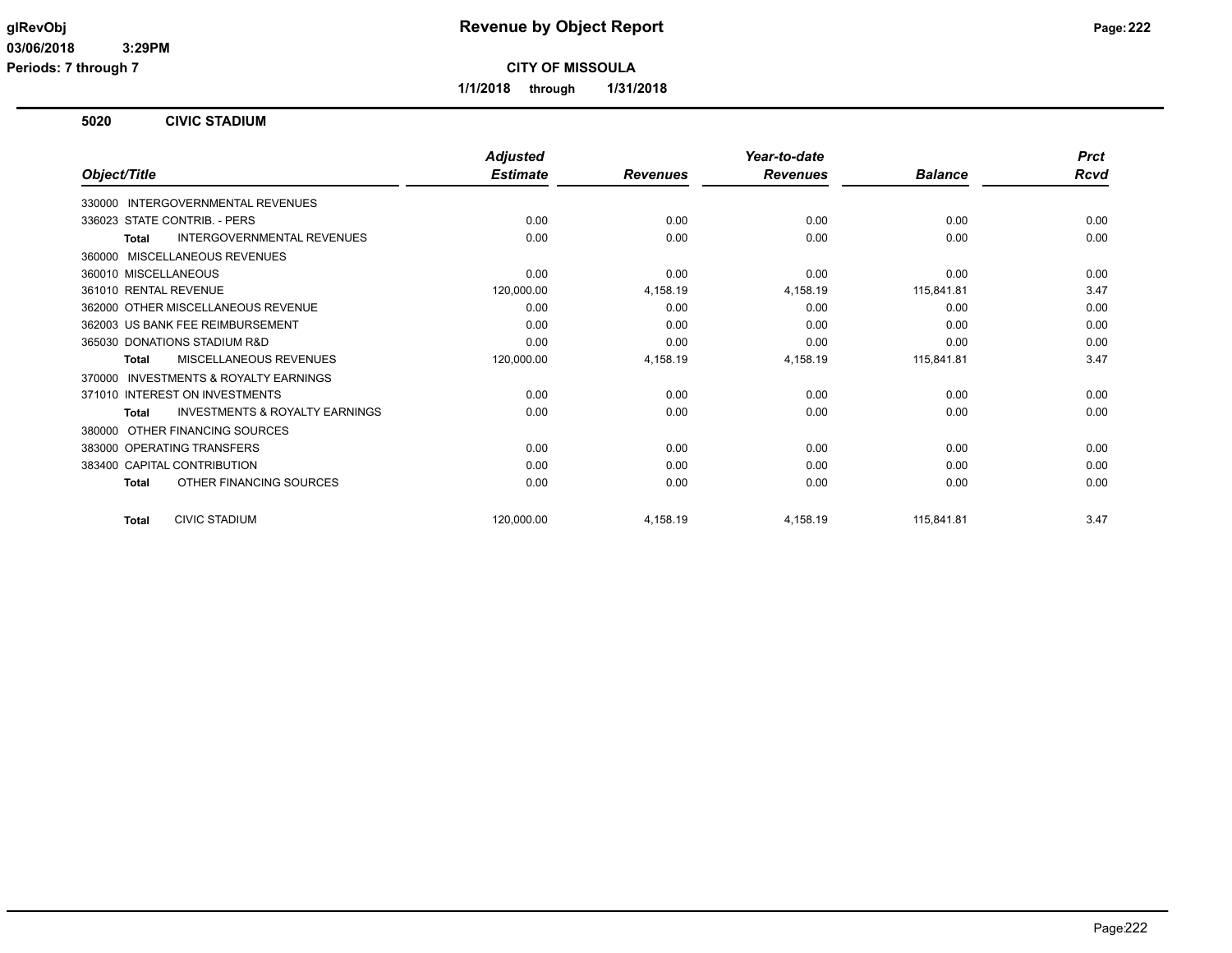**Periods: 7 through 7**

**CITY OF MISSOULA**

**1/1/2018 through 1/31/2018**

### **5020 CIVIC STADIUM**

|                                                           | <b>Adjusted</b> |                 | Year-to-date    |                | <b>Prct</b> |
|-----------------------------------------------------------|-----------------|-----------------|-----------------|----------------|-------------|
| Object/Title                                              | <b>Estimate</b> | <b>Revenues</b> | <b>Revenues</b> | <b>Balance</b> | <b>Rcvd</b> |
| 330000 INTERGOVERNMENTAL REVENUES                         |                 |                 |                 |                |             |
| 336023 STATE CONTRIB. - PERS                              | 0.00            | 0.00            | 0.00            | 0.00           | 0.00        |
| INTERGOVERNMENTAL REVENUES<br><b>Total</b>                | 0.00            | 0.00            | 0.00            | 0.00           | 0.00        |
| MISCELLANEOUS REVENUES<br>360000                          |                 |                 |                 |                |             |
| 360010 MISCELLANEOUS                                      | 0.00            | 0.00            | 0.00            | 0.00           | 0.00        |
| 361010 RENTAL REVENUE                                     | 120,000.00      | 4,158.19        | 4,158.19        | 115,841.81     | 3.47        |
| 362000 OTHER MISCELLANEOUS REVENUE                        | 0.00            | 0.00            | 0.00            | 0.00           | 0.00        |
| 362003 US BANK FEE REIMBURSEMENT                          | 0.00            | 0.00            | 0.00            | 0.00           | 0.00        |
| 365030 DONATIONS STADIUM R&D                              | 0.00            | 0.00            | 0.00            | 0.00           | 0.00        |
| <b>MISCELLANEOUS REVENUES</b><br><b>Total</b>             | 120,000.00      | 4,158.19        | 4,158.19        | 115,841.81     | 3.47        |
| INVESTMENTS & ROYALTY EARNINGS<br>370000                  |                 |                 |                 |                |             |
| 371010 INTEREST ON INVESTMENTS                            | 0.00            | 0.00            | 0.00            | 0.00           | 0.00        |
| <b>INVESTMENTS &amp; ROYALTY EARNINGS</b><br><b>Total</b> | 0.00            | 0.00            | 0.00            | 0.00           | 0.00        |
| OTHER FINANCING SOURCES<br>380000                         |                 |                 |                 |                |             |
| 383000 OPERATING TRANSFERS                                | 0.00            | 0.00            | 0.00            | 0.00           | 0.00        |
| 383400 CAPITAL CONTRIBUTION                               | 0.00            | 0.00            | 0.00            | 0.00           | 0.00        |
| OTHER FINANCING SOURCES<br><b>Total</b>                   | 0.00            | 0.00            | 0.00            | 0.00           | 0.00        |
| <b>CIVIC STADIUM</b><br><b>Total</b>                      | 120,000.00      | 4,158.19        | 4,158.19        | 115,841.81     | 3.47        |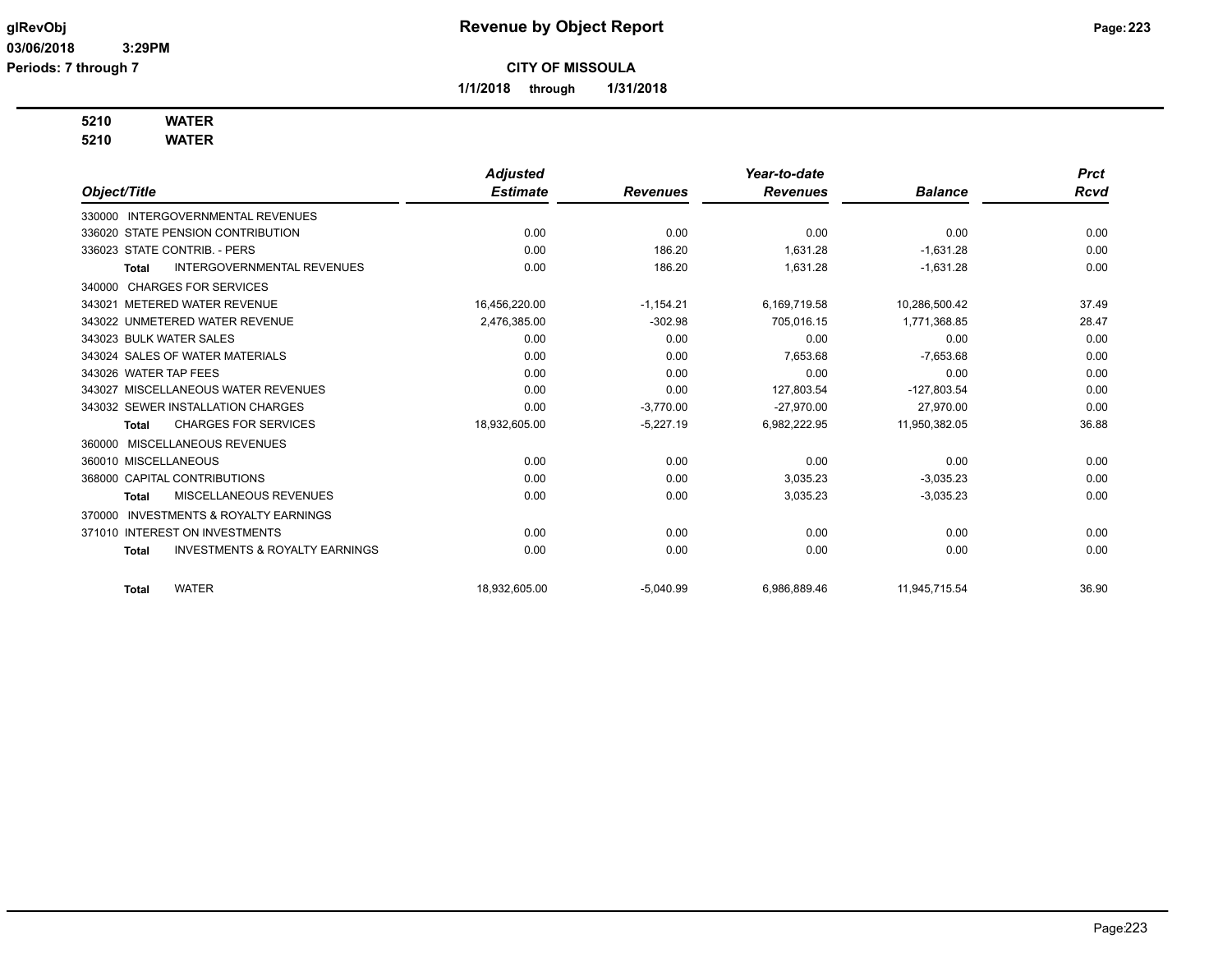**1/1/2018 through 1/31/2018**

# **5210 WATER**

**5210 WATER**

|                                                           | <b>Adjusted</b> |                 | Year-to-date    |                | <b>Prct</b> |
|-----------------------------------------------------------|-----------------|-----------------|-----------------|----------------|-------------|
| Object/Title                                              | <b>Estimate</b> | <b>Revenues</b> | <b>Revenues</b> | <b>Balance</b> | <b>Rcvd</b> |
| INTERGOVERNMENTAL REVENUES<br>330000                      |                 |                 |                 |                |             |
| 336020 STATE PENSION CONTRIBUTION                         | 0.00            | 0.00            | 0.00            | 0.00           | 0.00        |
| 336023 STATE CONTRIB. - PERS                              | 0.00            | 186.20          | 1,631.28        | $-1,631.28$    | 0.00        |
| INTERGOVERNMENTAL REVENUES<br><b>Total</b>                | 0.00            | 186.20          | 1,631.28        | $-1,631.28$    | 0.00        |
| 340000 CHARGES FOR SERVICES                               |                 |                 |                 |                |             |
| 343021 METERED WATER REVENUE                              | 16,456,220.00   | $-1,154.21$     | 6,169,719.58    | 10,286,500.42  | 37.49       |
| 343022 UNMETERED WATER REVENUE                            | 2,476,385.00    | $-302.98$       | 705,016.15      | 1,771,368.85   | 28.47       |
| 343023 BULK WATER SALES                                   | 0.00            | 0.00            | 0.00            | 0.00           | 0.00        |
| 343024 SALES OF WATER MATERIALS                           | 0.00            | 0.00            | 7,653.68        | $-7,653.68$    | 0.00        |
| 343026 WATER TAP FEES                                     | 0.00            | 0.00            | 0.00            | 0.00           | 0.00        |
| 343027 MISCELLANEOUS WATER REVENUES                       | 0.00            | 0.00            | 127.803.54      | $-127,803.54$  | 0.00        |
| 343032 SEWER INSTALLATION CHARGES                         | 0.00            | $-3,770.00$     | $-27.970.00$    | 27.970.00      | 0.00        |
| <b>CHARGES FOR SERVICES</b><br>Total                      | 18,932,605.00   | $-5,227.19$     | 6,982,222.95    | 11,950,382.05  | 36.88       |
| MISCELLANEOUS REVENUES<br>360000                          |                 |                 |                 |                |             |
| 360010 MISCELLANEOUS                                      | 0.00            | 0.00            | 0.00            | 0.00           | 0.00        |
| 368000 CAPITAL CONTRIBUTIONS                              | 0.00            | 0.00            | 3,035.23        | $-3,035.23$    | 0.00        |
| MISCELLANEOUS REVENUES<br>Total                           | 0.00            | 0.00            | 3,035.23        | $-3,035.23$    | 0.00        |
| <b>INVESTMENTS &amp; ROYALTY EARNINGS</b><br>370000       |                 |                 |                 |                |             |
| 371010 INTEREST ON INVESTMENTS                            | 0.00            | 0.00            | 0.00            | 0.00           | 0.00        |
| <b>INVESTMENTS &amp; ROYALTY EARNINGS</b><br><b>Total</b> | 0.00            | 0.00            | 0.00            | 0.00           | 0.00        |
|                                                           |                 |                 |                 |                |             |
| <b>WATER</b><br><b>Total</b>                              | 18.932.605.00   | $-5,040.99$     | 6,986,889.46    | 11.945.715.54  | 36.90       |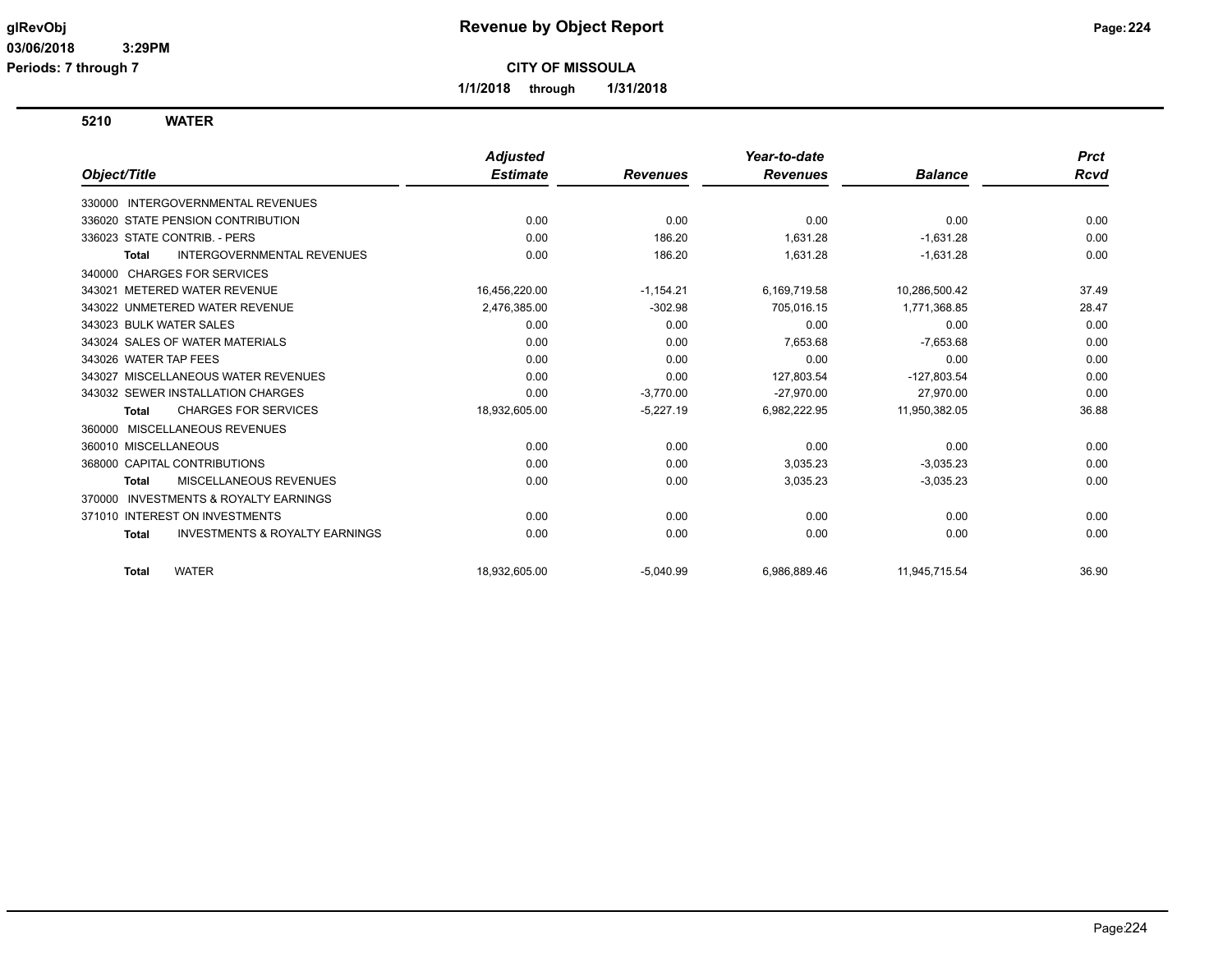**1/1/2018 through 1/31/2018**

**5210 WATER**

|                                                           | <b>Adjusted</b> |                 | Year-to-date    |                | <b>Prct</b> |
|-----------------------------------------------------------|-----------------|-----------------|-----------------|----------------|-------------|
| Object/Title                                              | <b>Estimate</b> | <b>Revenues</b> | <b>Revenues</b> | <b>Balance</b> | Rcvd        |
| <b>INTERGOVERNMENTAL REVENUES</b><br>330000               |                 |                 |                 |                |             |
| 336020 STATE PENSION CONTRIBUTION                         | 0.00            | 0.00            | 0.00            | 0.00           | 0.00        |
| 336023 STATE CONTRIB. - PERS                              | 0.00            | 186.20          | 1,631.28        | $-1,631.28$    | 0.00        |
| <b>INTERGOVERNMENTAL REVENUES</b><br><b>Total</b>         | 0.00            | 186.20          | 1,631.28        | $-1,631.28$    | 0.00        |
| 340000 CHARGES FOR SERVICES                               |                 |                 |                 |                |             |
| 343021 METERED WATER REVENUE                              | 16,456,220.00   | $-1,154.21$     | 6,169,719.58    | 10,286,500.42  | 37.49       |
| 343022 UNMETERED WATER REVENUE                            | 2,476,385.00    | $-302.98$       | 705,016.15      | 1,771,368.85   | 28.47       |
| 343023 BULK WATER SALES                                   | 0.00            | 0.00            | 0.00            | 0.00           | 0.00        |
| 343024 SALES OF WATER MATERIALS                           | 0.00            | 0.00            | 7,653.68        | $-7,653.68$    | 0.00        |
| 343026 WATER TAP FEES                                     | 0.00            | 0.00            | 0.00            | 0.00           | 0.00        |
| 343027 MISCELLANEOUS WATER REVENUES                       | 0.00            | 0.00            | 127,803.54      | $-127,803.54$  | 0.00        |
| 343032 SEWER INSTALLATION CHARGES                         | 0.00            | $-3,770.00$     | $-27,970.00$    | 27,970.00      | 0.00        |
| <b>CHARGES FOR SERVICES</b><br><b>Total</b>               | 18,932,605.00   | $-5,227.19$     | 6,982,222.95    | 11,950,382.05  | 36.88       |
| 360000 MISCELLANEOUS REVENUES                             |                 |                 |                 |                |             |
| 360010 MISCELLANEOUS                                      | 0.00            | 0.00            | 0.00            | 0.00           | 0.00        |
| 368000 CAPITAL CONTRIBUTIONS                              | 0.00            | 0.00            | 3,035.23        | $-3,035.23$    | 0.00        |
| <b>MISCELLANEOUS REVENUES</b><br><b>Total</b>             | 0.00            | 0.00            | 3,035.23        | $-3,035.23$    | 0.00        |
| <b>INVESTMENTS &amp; ROYALTY EARNINGS</b><br>370000       |                 |                 |                 |                |             |
| 371010 INTEREST ON INVESTMENTS                            | 0.00            | 0.00            | 0.00            | 0.00           | 0.00        |
| <b>INVESTMENTS &amp; ROYALTY EARNINGS</b><br><b>Total</b> | 0.00            | 0.00            | 0.00            | 0.00           | 0.00        |
| <b>WATER</b><br><b>Total</b>                              | 18,932,605.00   | $-5,040.99$     | 6,986,889.46    | 11,945,715.54  | 36.90       |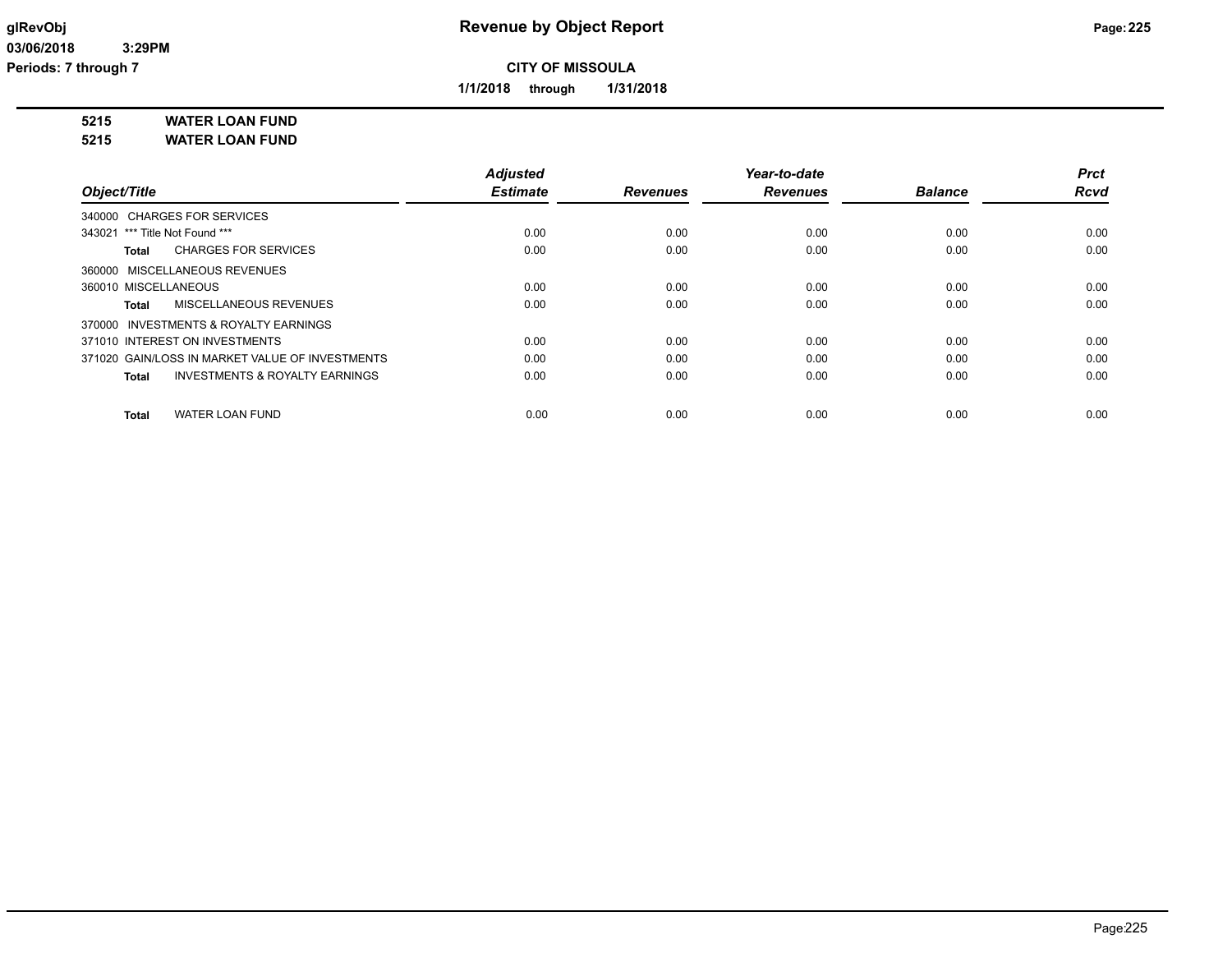**1/1/2018 through 1/31/2018**

**5215 WATER LOAN FUND**

**5215 WATER LOAN FUND**

|                                                    | <b>Adjusted</b> |                 | Year-to-date    |                | Prct        |
|----------------------------------------------------|-----------------|-----------------|-----------------|----------------|-------------|
| Object/Title                                       | <b>Estimate</b> | <b>Revenues</b> | <b>Revenues</b> | <b>Balance</b> | <b>Rcvd</b> |
| 340000 CHARGES FOR SERVICES                        |                 |                 |                 |                |             |
| 343021 *** Title Not Found ***                     | 0.00            | 0.00            | 0.00            | 0.00           | 0.00        |
| <b>CHARGES FOR SERVICES</b><br>Total               | 0.00            | 0.00            | 0.00            | 0.00           | 0.00        |
| 360000 MISCELLANEOUS REVENUES                      |                 |                 |                 |                |             |
| 360010 MISCELLANEOUS                               | 0.00            | 0.00            | 0.00            | 0.00           | 0.00        |
| <b>MISCELLANEOUS REVENUES</b><br>Total             | 0.00            | 0.00            | 0.00            | 0.00           | 0.00        |
| 370000 INVESTMENTS & ROYALTY EARNINGS              |                 |                 |                 |                |             |
| 371010 INTEREST ON INVESTMENTS                     | 0.00            | 0.00            | 0.00            | 0.00           | 0.00        |
| 371020 GAIN/LOSS IN MARKET VALUE OF INVESTMENTS    | 0.00            | 0.00            | 0.00            | 0.00           | 0.00        |
| <b>INVESTMENTS &amp; ROYALTY EARNINGS</b><br>Total | 0.00            | 0.00            | 0.00            | 0.00           | 0.00        |
| <b>WATER LOAN FUND</b><br><b>Total</b>             | 0.00            | 0.00            | 0.00            | 0.00           | 0.00        |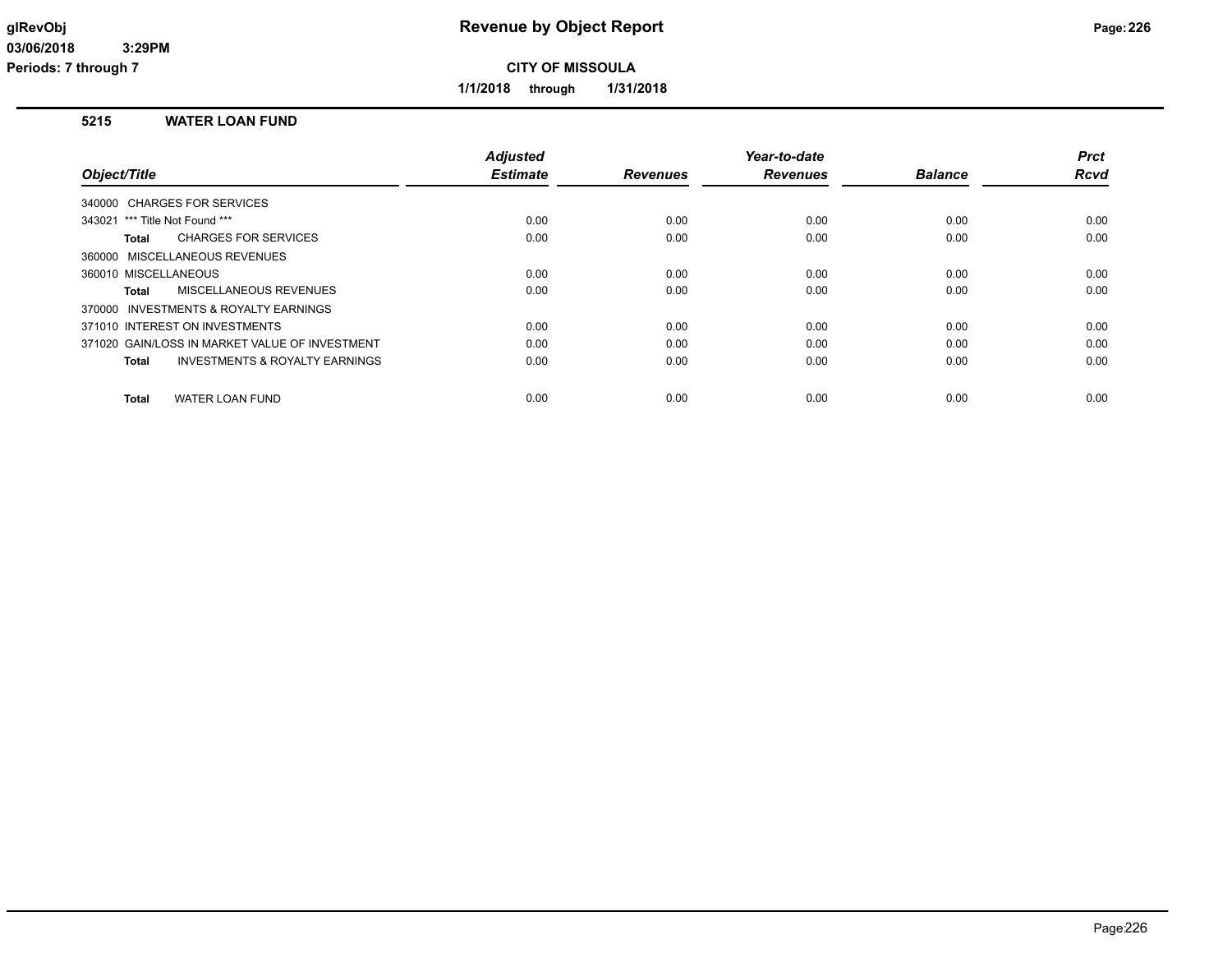**1/1/2018 through 1/31/2018**

### **5215 WATER LOAN FUND**

|                                                           | <b>Adjusted</b> |                 | Year-to-date    |                | <b>Prct</b> |
|-----------------------------------------------------------|-----------------|-----------------|-----------------|----------------|-------------|
| Object/Title                                              | <b>Estimate</b> | <b>Revenues</b> | <b>Revenues</b> | <b>Balance</b> | <b>Rcvd</b> |
| 340000 CHARGES FOR SERVICES                               |                 |                 |                 |                |             |
| 343021 *** Title Not Found ***                            | 0.00            | 0.00            | 0.00            | 0.00           | 0.00        |
| <b>CHARGES FOR SERVICES</b><br>Total                      | 0.00            | 0.00            | 0.00            | 0.00           | 0.00        |
| 360000 MISCELLANEOUS REVENUES                             |                 |                 |                 |                |             |
| 360010 MISCELLANEOUS                                      | 0.00            | 0.00            | 0.00            | 0.00           | 0.00        |
| MISCELLANEOUS REVENUES<br>Total                           | 0.00            | 0.00            | 0.00            | 0.00           | 0.00        |
| 370000 INVESTMENTS & ROYALTY EARNINGS                     |                 |                 |                 |                |             |
| 371010 INTEREST ON INVESTMENTS                            | 0.00            | 0.00            | 0.00            | 0.00           | 0.00        |
| 371020 GAIN/LOSS IN MARKET VALUE OF INVESTMENT            | 0.00            | 0.00            | 0.00            | 0.00           | 0.00        |
| <b>INVESTMENTS &amp; ROYALTY EARNINGS</b><br><b>Total</b> | 0.00            | 0.00            | 0.00            | 0.00           | 0.00        |
| <b>WATER LOAN FUND</b><br><b>Total</b>                    | 0.00            | 0.00            | 0.00            | 0.00           | 0.00        |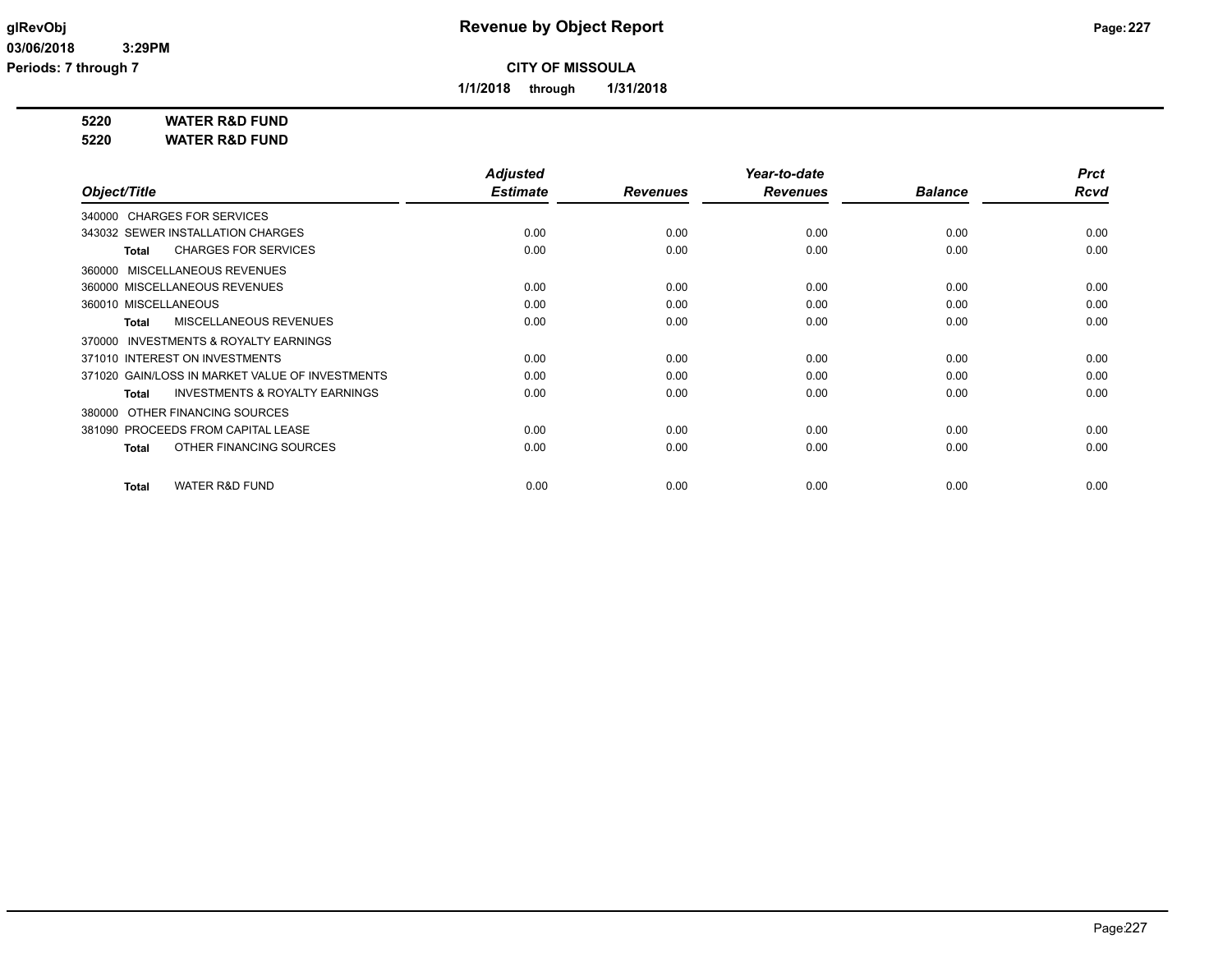**1/1/2018 through 1/31/2018**

**5220 WATER R&D FUND**

**5220 WATER R&D FUND**

|                                                           | <b>Adjusted</b> |                 | Year-to-date    |                | <b>Prct</b> |
|-----------------------------------------------------------|-----------------|-----------------|-----------------|----------------|-------------|
| Object/Title                                              | <b>Estimate</b> | <b>Revenues</b> | <b>Revenues</b> | <b>Balance</b> | <b>Rcvd</b> |
| 340000 CHARGES FOR SERVICES                               |                 |                 |                 |                |             |
| 343032 SEWER INSTALLATION CHARGES                         | 0.00            | 0.00            | 0.00            | 0.00           | 0.00        |
| <b>CHARGES FOR SERVICES</b><br><b>Total</b>               | 0.00            | 0.00            | 0.00            | 0.00           | 0.00        |
| 360000 MISCELLANEOUS REVENUES                             |                 |                 |                 |                |             |
| 360000 MISCELLANEOUS REVENUES                             | 0.00            | 0.00            | 0.00            | 0.00           | 0.00        |
| 360010 MISCELLANEOUS                                      | 0.00            | 0.00            | 0.00            | 0.00           | 0.00        |
| <b>MISCELLANEOUS REVENUES</b><br><b>Total</b>             | 0.00            | 0.00            | 0.00            | 0.00           | 0.00        |
| <b>INVESTMENTS &amp; ROYALTY EARNINGS</b><br>370000       |                 |                 |                 |                |             |
| 371010 INTEREST ON INVESTMENTS                            | 0.00            | 0.00            | 0.00            | 0.00           | 0.00        |
| 371020 GAIN/LOSS IN MARKET VALUE OF INVESTMENTS           | 0.00            | 0.00            | 0.00            | 0.00           | 0.00        |
| <b>INVESTMENTS &amp; ROYALTY EARNINGS</b><br><b>Total</b> | 0.00            | 0.00            | 0.00            | 0.00           | 0.00        |
| OTHER FINANCING SOURCES<br>380000                         |                 |                 |                 |                |             |
| 381090 PROCEEDS FROM CAPITAL LEASE                        | 0.00            | 0.00            | 0.00            | 0.00           | 0.00        |
| OTHER FINANCING SOURCES<br><b>Total</b>                   | 0.00            | 0.00            | 0.00            | 0.00           | 0.00        |
| <b>WATER R&amp;D FUND</b><br><b>Total</b>                 | 0.00            | 0.00            | 0.00            | 0.00           | 0.00        |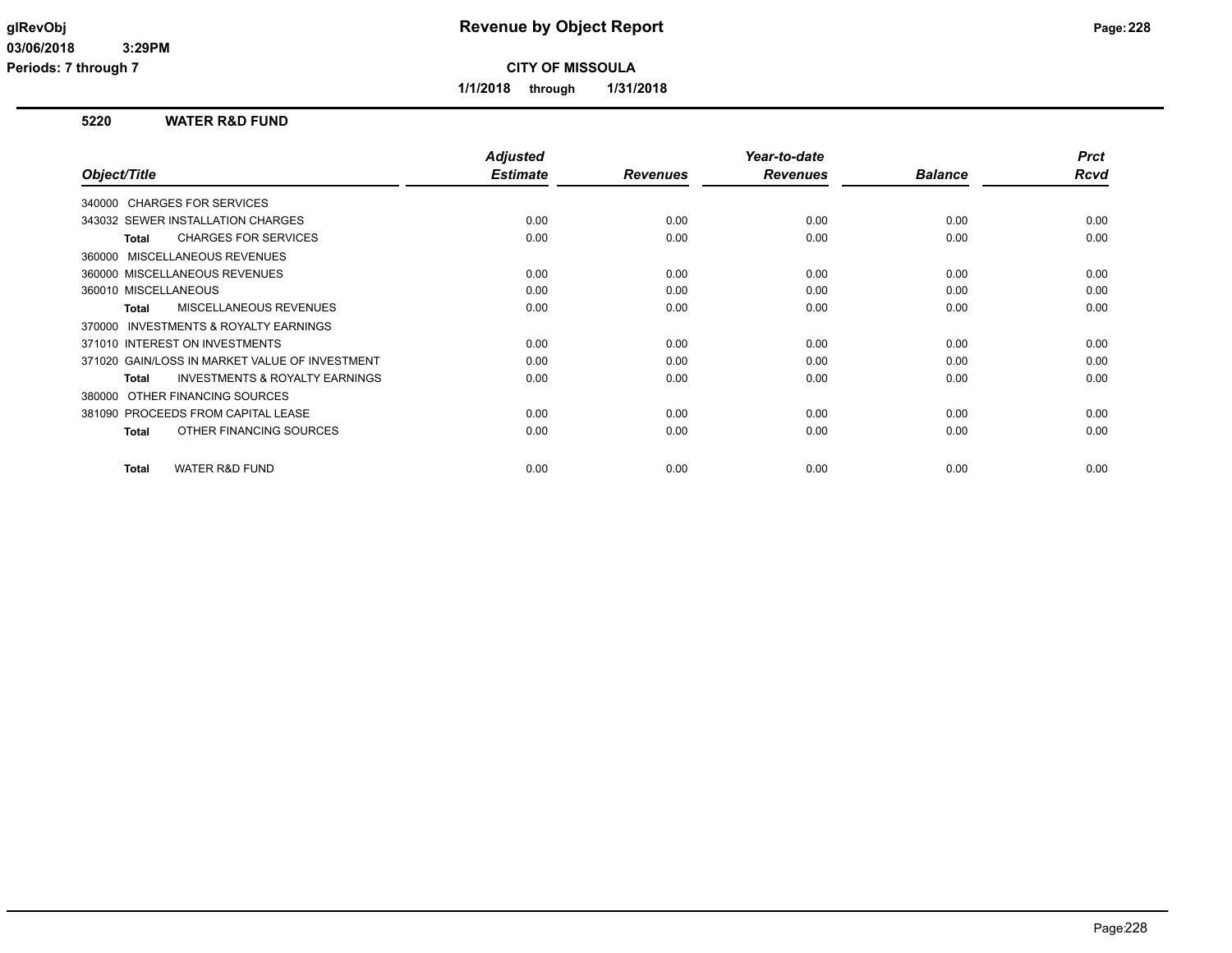**1/1/2018 through 1/31/2018**

### **5220 WATER R&D FUND**

|                                                           | <b>Adjusted</b> |                 | Year-to-date    |                | <b>Prct</b> |
|-----------------------------------------------------------|-----------------|-----------------|-----------------|----------------|-------------|
| Object/Title                                              | <b>Estimate</b> | <b>Revenues</b> | <b>Revenues</b> | <b>Balance</b> | Rcvd        |
| 340000 CHARGES FOR SERVICES                               |                 |                 |                 |                |             |
| 343032 SEWER INSTALLATION CHARGES                         | 0.00            | 0.00            | 0.00            | 0.00           | 0.00        |
| <b>CHARGES FOR SERVICES</b><br><b>Total</b>               | 0.00            | 0.00            | 0.00            | 0.00           | 0.00        |
| 360000 MISCELLANEOUS REVENUES                             |                 |                 |                 |                |             |
| 360000 MISCELLANEOUS REVENUES                             | 0.00            | 0.00            | 0.00            | 0.00           | 0.00        |
| 360010 MISCELLANEOUS                                      | 0.00            | 0.00            | 0.00            | 0.00           | 0.00        |
| MISCELLANEOUS REVENUES<br><b>Total</b>                    | 0.00            | 0.00            | 0.00            | 0.00           | 0.00        |
| INVESTMENTS & ROYALTY EARNINGS<br>370000                  |                 |                 |                 |                |             |
| 371010 INTEREST ON INVESTMENTS                            | 0.00            | 0.00            | 0.00            | 0.00           | 0.00        |
| 371020 GAIN/LOSS IN MARKET VALUE OF INVESTMENT            | 0.00            | 0.00            | 0.00            | 0.00           | 0.00        |
| <b>INVESTMENTS &amp; ROYALTY EARNINGS</b><br><b>Total</b> | 0.00            | 0.00            | 0.00            | 0.00           | 0.00        |
| OTHER FINANCING SOURCES<br>380000                         |                 |                 |                 |                |             |
| 381090 PROCEEDS FROM CAPITAL LEASE                        | 0.00            | 0.00            | 0.00            | 0.00           | 0.00        |
| OTHER FINANCING SOURCES<br><b>Total</b>                   | 0.00            | 0.00            | 0.00            | 0.00           | 0.00        |
|                                                           |                 |                 |                 |                |             |
| <b>WATER R&amp;D FUND</b><br><b>Total</b>                 | 0.00            | 0.00            | 0.00            | 0.00           | 0.00        |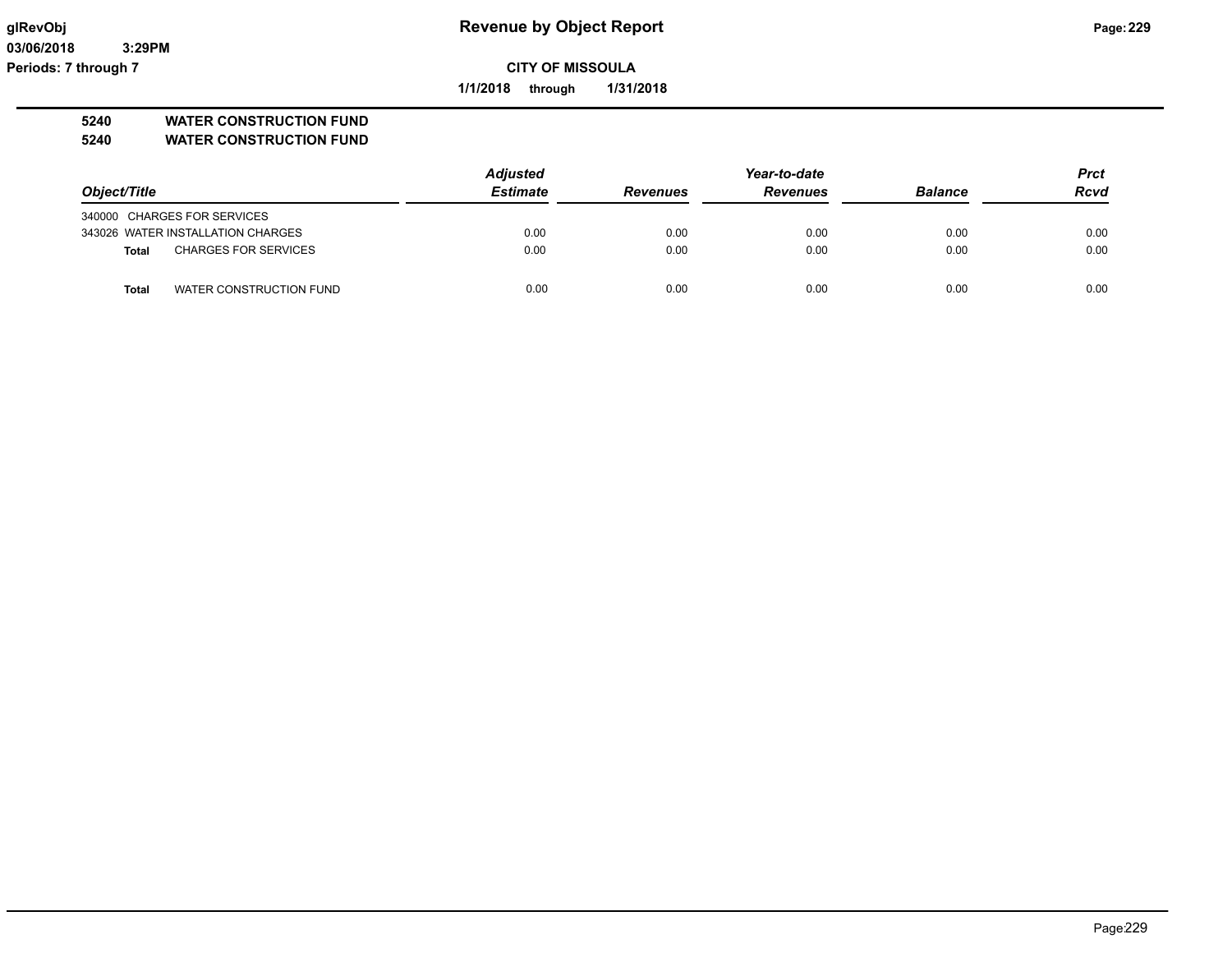**03/06/2018 3:29PM Periods: 7 through 7**

# **glRevObj Revenue by Object Report Page:229**

**CITY OF MISSOULA**

**1/1/2018 through 1/31/2018**

### **5240 WATER CONSTRUCTION FUND**

**5240 WATER CONSTRUCTION FUND**

|                                             | <b>Adjusted</b> | Year-to-date    |                 |                | <b>Prct</b> |
|---------------------------------------------|-----------------|-----------------|-----------------|----------------|-------------|
| Object/Title                                | <b>Estimate</b> | <b>Revenues</b> | <b>Revenues</b> | <b>Balance</b> | <b>Rcvd</b> |
| 340000 CHARGES FOR SERVICES                 |                 |                 |                 |                |             |
| 343026 WATER INSTALLATION CHARGES           | 0.00            | 0.00            | 0.00            | 0.00           | 0.00        |
| <b>CHARGES FOR SERVICES</b><br><b>Total</b> | 0.00            | 0.00            | 0.00            | 0.00           | 0.00        |
| WATER CONSTRUCTION FUND<br>Total            | 0.00            | 0.00            | 0.00            | 0.00           | 0.00        |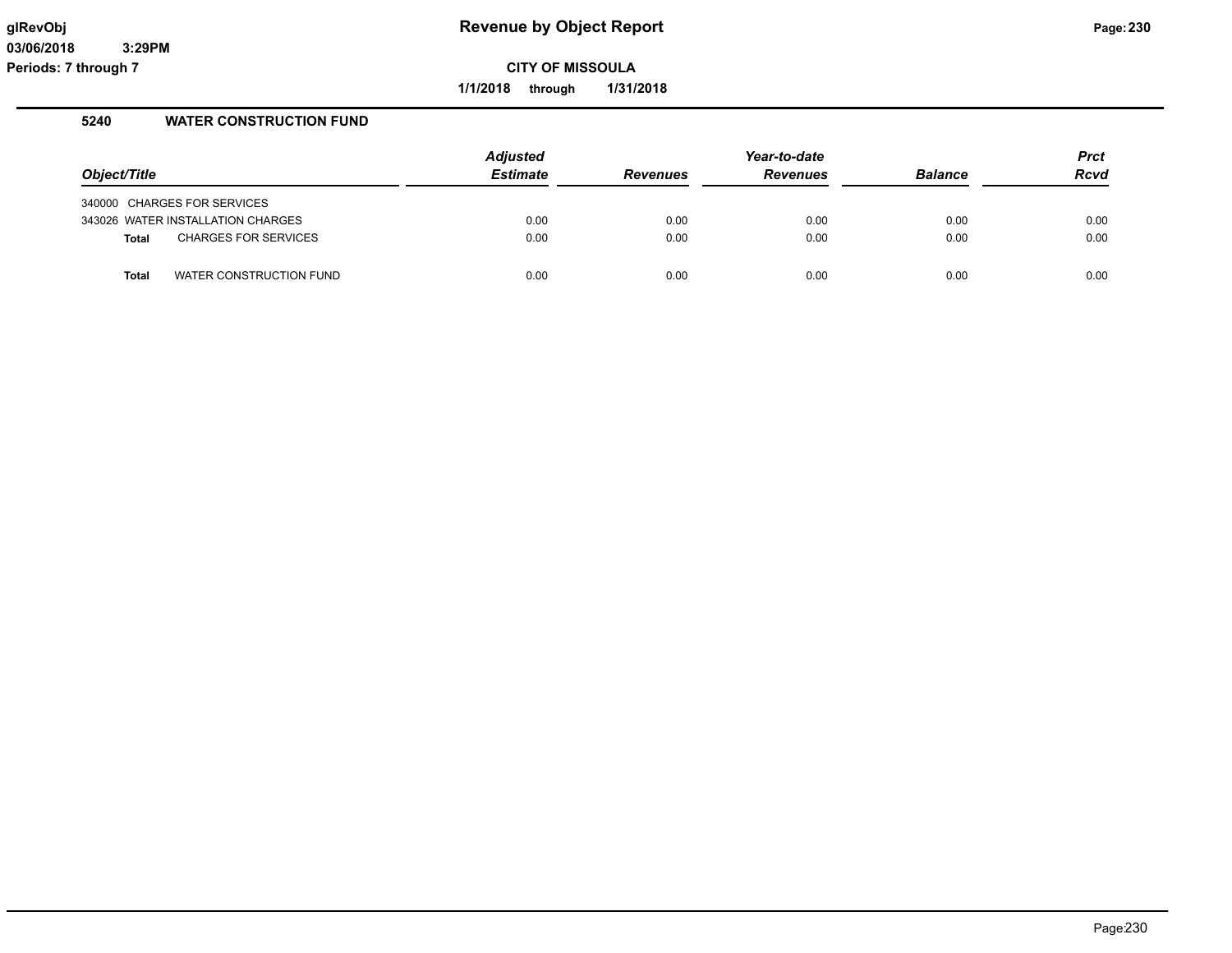**1/1/2018 through 1/31/2018**

### **5240 WATER CONSTRUCTION FUND**

| Object/Title |                                   | <b>Adjusted</b><br>Estimate | <b>Revenues</b> | Year-to-date<br><b>Revenues</b> | <b>Balance</b> | <b>Prct</b><br><b>Rcvd</b> |
|--------------|-----------------------------------|-----------------------------|-----------------|---------------------------------|----------------|----------------------------|
|              | 340000 CHARGES FOR SERVICES       |                             |                 |                                 |                |                            |
|              | 343026 WATER INSTALLATION CHARGES | 0.00                        | 0.00            | 0.00                            | 0.00           | 0.00                       |
| Total        | <b>CHARGES FOR SERVICES</b>       | 0.00                        | 0.00            | 0.00                            | 0.00           | 0.00                       |
| <b>Total</b> | WATER CONSTRUCTION FUND           | 0.00                        | 0.00            | 0.00                            | 0.00           | 0.00                       |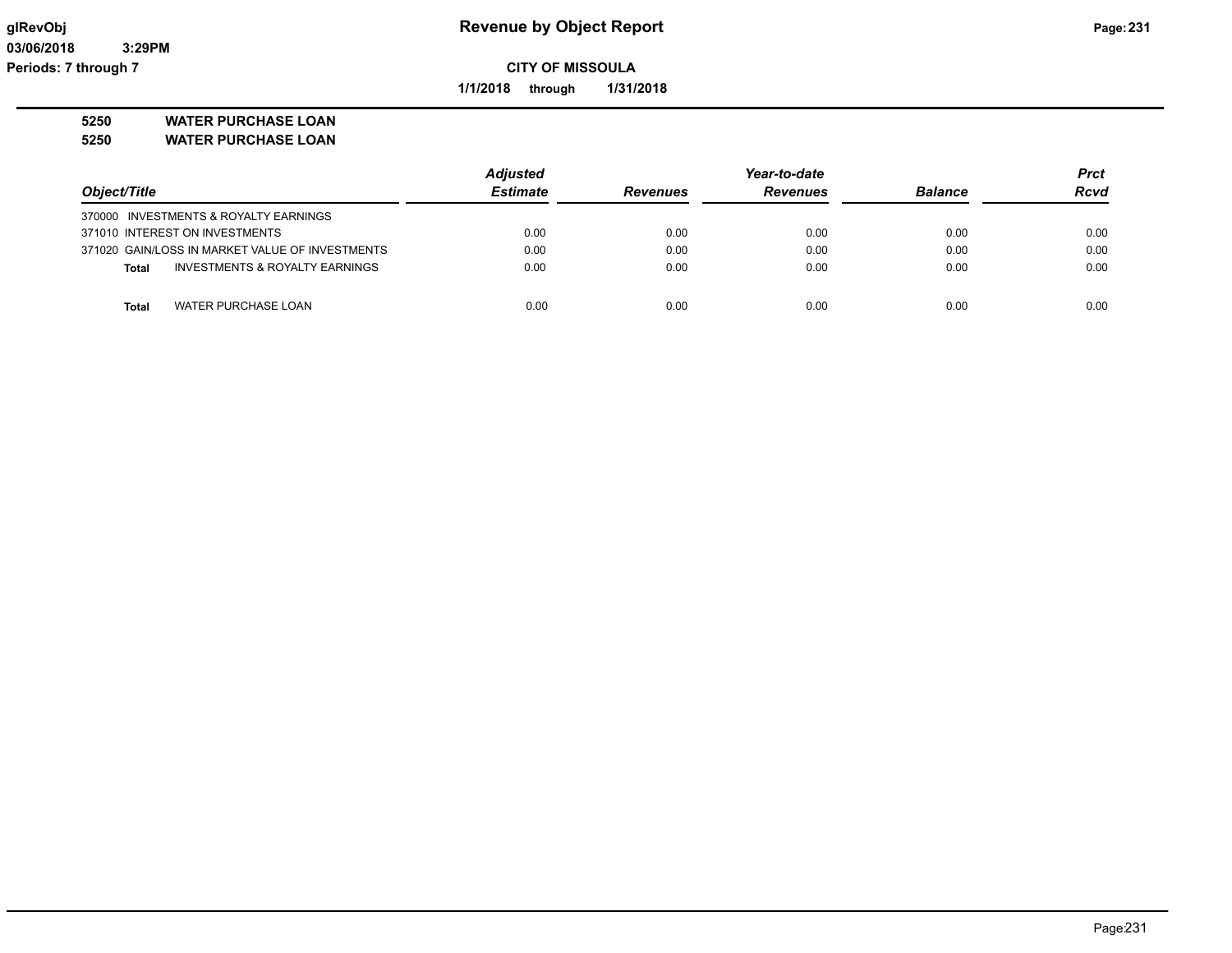**1/1/2018 through 1/31/2018**

**5250 WATER PURCHASE LOAN**

**5250 WATER PURCHASE LOAN**

|                                                 | <b>Adjusted</b> |                 | Year-to-date    |                | <b>Prct</b> |
|-------------------------------------------------|-----------------|-----------------|-----------------|----------------|-------------|
| Object/Title                                    | <b>Estimate</b> | <b>Revenues</b> | <b>Revenues</b> | <b>Balance</b> | <b>Rcvd</b> |
| 370000 INVESTMENTS & ROYALTY EARNINGS           |                 |                 |                 |                |             |
| 371010 INTEREST ON INVESTMENTS                  | 0.00            | 0.00            | 0.00            | 0.00           | 0.00        |
| 371020 GAIN/LOSS IN MARKET VALUE OF INVESTMENTS | 0.00            | 0.00            | 0.00            | 0.00           | 0.00        |
| INVESTMENTS & ROYALTY EARNINGS<br>Total         | 0.00            | 0.00            | 0.00            | 0.00           | 0.00        |
|                                                 |                 |                 |                 |                |             |
| WATER PURCHASE LOAN<br>Total                    | 0.00            | 0.00            | 0.00            | 0.00           | 0.00        |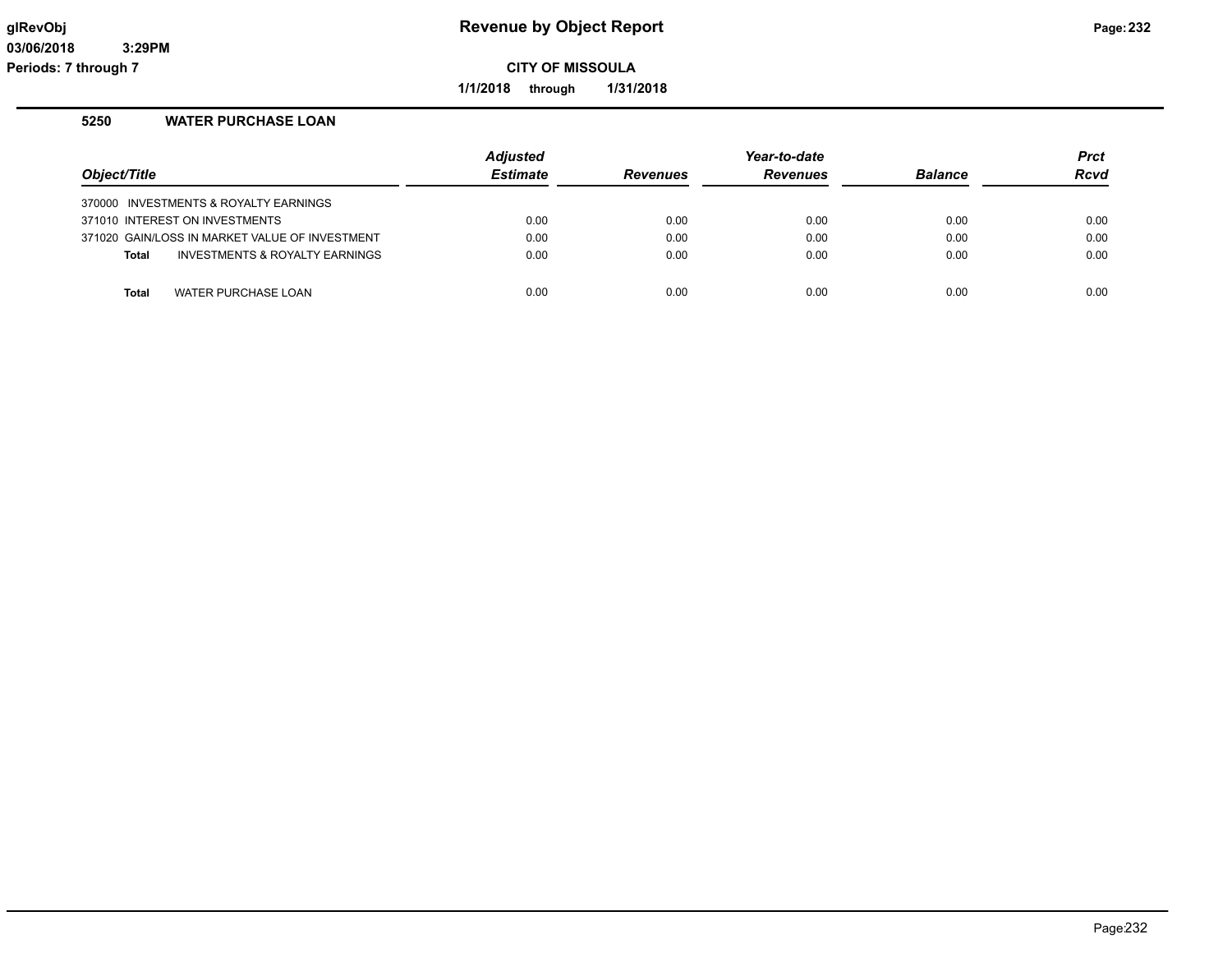**1/1/2018 through 1/31/2018**

### **5250 WATER PURCHASE LOAN**

|                                                | <b>Adjusted</b> |                 | Year-to-date    |                | <b>Prct</b> |
|------------------------------------------------|-----------------|-----------------|-----------------|----------------|-------------|
| Object/Title                                   | <b>Estimate</b> | <b>Revenues</b> | <b>Revenues</b> | <b>Balance</b> | <b>Rcvd</b> |
| 370000 INVESTMENTS & ROYALTY EARNINGS          |                 |                 |                 |                |             |
| 371010 INTEREST ON INVESTMENTS                 | 0.00            | 0.00            | 0.00            | 0.00           | 0.00        |
| 371020 GAIN/LOSS IN MARKET VALUE OF INVESTMENT | 0.00            | 0.00            | 0.00            | 0.00           | 0.00        |
| INVESTMENTS & ROYALTY EARNINGS<br><b>Total</b> | 0.00            | 0.00            | 0.00            | 0.00           | 0.00        |
|                                                |                 |                 |                 |                |             |
| WATER PURCHASE LOAN<br><b>Total</b>            | 0.00            | 0.00            | 0.00            | 0.00           | 0.00        |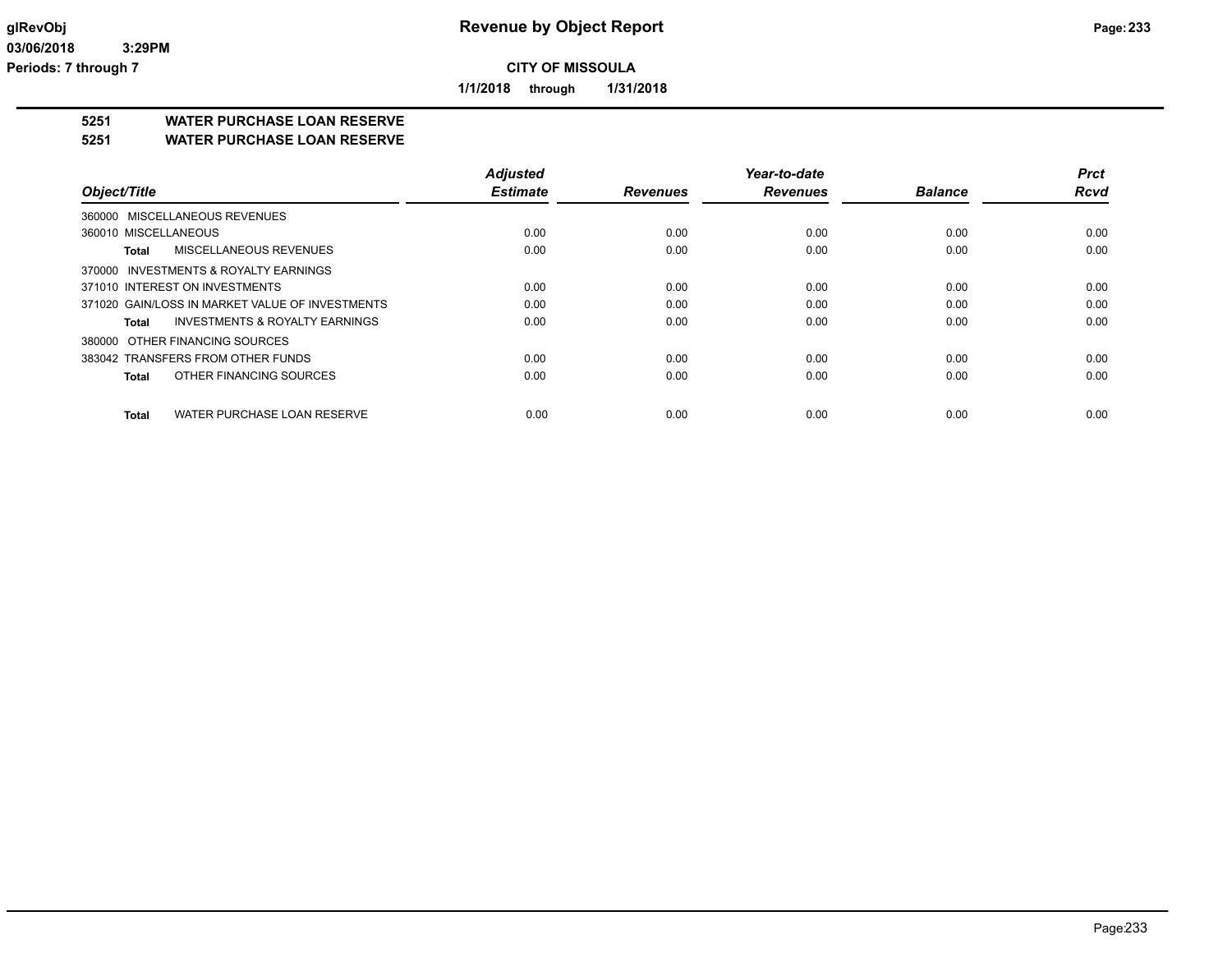**1/1/2018 through 1/31/2018**

### **5251 WATER PURCHASE LOAN RESERVE**

**5251 WATER PURCHASE LOAN RESERVE**

|                                                    | <b>Adjusted</b> |                 | Year-to-date    |                | <b>Prct</b> |
|----------------------------------------------------|-----------------|-----------------|-----------------|----------------|-------------|
| Object/Title                                       | <b>Estimate</b> | <b>Revenues</b> | <b>Revenues</b> | <b>Balance</b> | <b>Rcvd</b> |
| 360000 MISCELLANEOUS REVENUES                      |                 |                 |                 |                |             |
| 360010 MISCELLANEOUS                               | 0.00            | 0.00            | 0.00            | 0.00           | 0.00        |
| MISCELLANEOUS REVENUES<br><b>Total</b>             | 0.00            | 0.00            | 0.00            | 0.00           | 0.00        |
| 370000 INVESTMENTS & ROYALTY EARNINGS              |                 |                 |                 |                |             |
| 371010 INTEREST ON INVESTMENTS                     | 0.00            | 0.00            | 0.00            | 0.00           | 0.00        |
| 371020 GAIN/LOSS IN MARKET VALUE OF INVESTMENTS    | 0.00            | 0.00            | 0.00            | 0.00           | 0.00        |
| <b>INVESTMENTS &amp; ROYALTY EARNINGS</b><br>Total | 0.00            | 0.00            | 0.00            | 0.00           | 0.00        |
| 380000 OTHER FINANCING SOURCES                     |                 |                 |                 |                |             |
| 383042 TRANSFERS FROM OTHER FUNDS                  | 0.00            | 0.00            | 0.00            | 0.00           | 0.00        |
| OTHER FINANCING SOURCES<br><b>Total</b>            | 0.00            | 0.00            | 0.00            | 0.00           | 0.00        |
| WATER PURCHASE LOAN RESERVE<br><b>Total</b>        | 0.00            | 0.00            | 0.00            | 0.00           | 0.00        |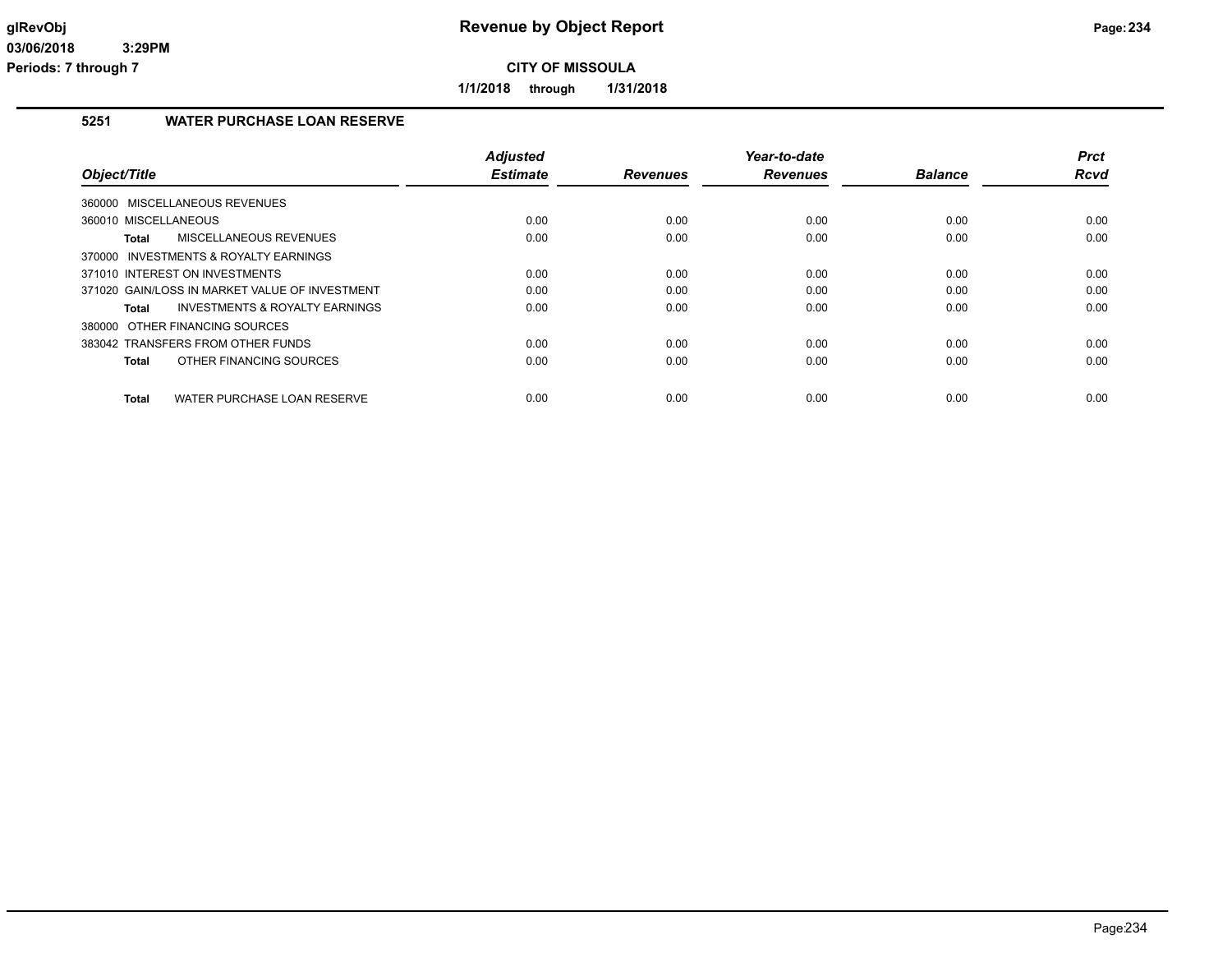**1/1/2018 through 1/31/2018**

### **5251 WATER PURCHASE LOAN RESERVE**

|                                                | <b>Adjusted</b> |                 | Year-to-date    |                | <b>Prct</b> |
|------------------------------------------------|-----------------|-----------------|-----------------|----------------|-------------|
| Object/Title                                   | <b>Estimate</b> | <b>Revenues</b> | <b>Revenues</b> | <b>Balance</b> | Rcvd        |
| MISCELLANEOUS REVENUES<br>360000               |                 |                 |                 |                |             |
| 360010 MISCELLANEOUS                           | 0.00            | 0.00            | 0.00            | 0.00           | 0.00        |
| MISCELLANEOUS REVENUES<br>Total                | 0.00            | 0.00            | 0.00            | 0.00           | 0.00        |
| 370000 INVESTMENTS & ROYALTY EARNINGS          |                 |                 |                 |                |             |
| 371010 INTEREST ON INVESTMENTS                 | 0.00            | 0.00            | 0.00            | 0.00           | 0.00        |
| 371020 GAIN/LOSS IN MARKET VALUE OF INVESTMENT | 0.00            | 0.00            | 0.00            | 0.00           | 0.00        |
| INVESTMENTS & ROYALTY EARNINGS<br>Total        | 0.00            | 0.00            | 0.00            | 0.00           | 0.00        |
| 380000 OTHER FINANCING SOURCES                 |                 |                 |                 |                |             |
| 383042 TRANSFERS FROM OTHER FUNDS              | 0.00            | 0.00            | 0.00            | 0.00           | 0.00        |
| OTHER FINANCING SOURCES<br>Total               | 0.00            | 0.00            | 0.00            | 0.00           | 0.00        |
| WATER PURCHASE LOAN RESERVE<br>Total           | 0.00            | 0.00            | 0.00            | 0.00           | 0.00        |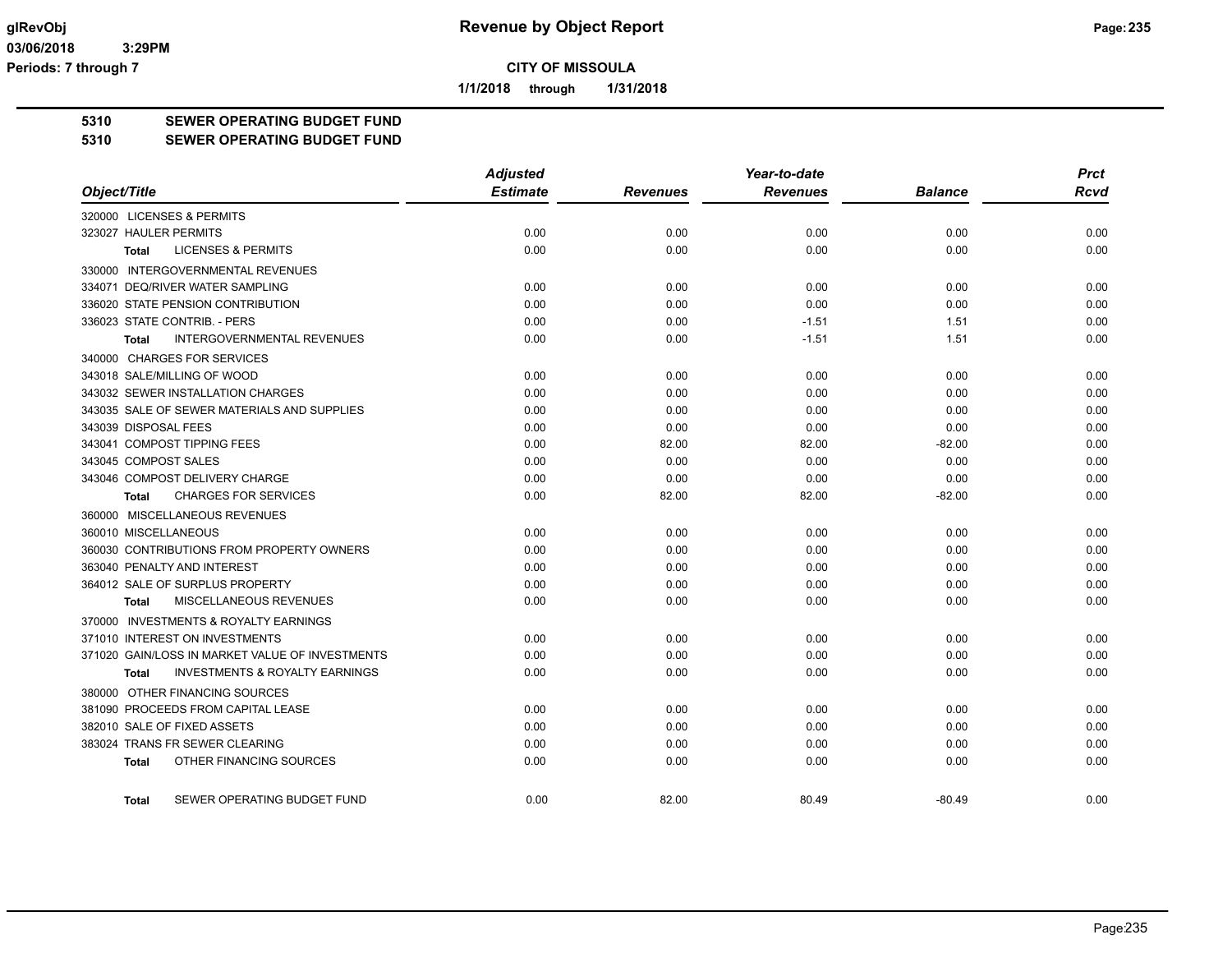**1/1/2018 through 1/31/2018**

# **5310 SEWER OPERATING BUDGET FUND**

#### **5310 SEWER OPERATING BUDGET FUND**

|                                                           | <b>Adjusted</b> |                 | Year-to-date    |                | <b>Prct</b> |
|-----------------------------------------------------------|-----------------|-----------------|-----------------|----------------|-------------|
| Object/Title                                              | <b>Estimate</b> | <b>Revenues</b> | <b>Revenues</b> | <b>Balance</b> | <b>Rcvd</b> |
| 320000 LICENSES & PERMITS                                 |                 |                 |                 |                |             |
| 323027 HAULER PERMITS                                     | 0.00            | 0.00            | 0.00            | 0.00           | 0.00        |
| <b>LICENSES &amp; PERMITS</b><br>Total                    | 0.00            | 0.00            | 0.00            | 0.00           | 0.00        |
| 330000 INTERGOVERNMENTAL REVENUES                         |                 |                 |                 |                |             |
| 334071 DEQ/RIVER WATER SAMPLING                           | 0.00            | 0.00            | 0.00            | 0.00           | 0.00        |
| 336020 STATE PENSION CONTRIBUTION                         | 0.00            | 0.00            | 0.00            | 0.00           | 0.00        |
| 336023 STATE CONTRIB. - PERS                              | 0.00            | 0.00            | $-1.51$         | 1.51           | 0.00        |
| <b>INTERGOVERNMENTAL REVENUES</b><br><b>Total</b>         | 0.00            | 0.00            | $-1.51$         | 1.51           | 0.00        |
| 340000 CHARGES FOR SERVICES                               |                 |                 |                 |                |             |
| 343018 SALE/MILLING OF WOOD                               | 0.00            | 0.00            | 0.00            | 0.00           | 0.00        |
| 343032 SEWER INSTALLATION CHARGES                         | 0.00            | 0.00            | 0.00            | 0.00           | 0.00        |
| 343035 SALE OF SEWER MATERIALS AND SUPPLIES               | 0.00            | 0.00            | 0.00            | 0.00           | 0.00        |
| 343039 DISPOSAL FEES                                      | 0.00            | 0.00            | 0.00            | 0.00           | 0.00        |
| 343041 COMPOST TIPPING FEES                               | 0.00            | 82.00           | 82.00           | $-82.00$       | 0.00        |
| 343045 COMPOST SALES                                      | 0.00            | 0.00            | 0.00            | 0.00           | 0.00        |
| 343046 COMPOST DELIVERY CHARGE                            | 0.00            | 0.00            | 0.00            | 0.00           | 0.00        |
| <b>CHARGES FOR SERVICES</b><br><b>Total</b>               | 0.00            | 82.00           | 82.00           | $-82.00$       | 0.00        |
| 360000 MISCELLANEOUS REVENUES                             |                 |                 |                 |                |             |
| 360010 MISCELLANEOUS                                      | 0.00            | 0.00            | 0.00            | 0.00           | 0.00        |
| 360030 CONTRIBUTIONS FROM PROPERTY OWNERS                 | 0.00            | 0.00            | 0.00            | 0.00           | 0.00        |
| 363040 PENALTY AND INTEREST                               | 0.00            | 0.00            | 0.00            | 0.00           | 0.00        |
| 364012 SALE OF SURPLUS PROPERTY                           | 0.00            | 0.00            | 0.00            | 0.00           | 0.00        |
| MISCELLANEOUS REVENUES<br><b>Total</b>                    | 0.00            | 0.00            | 0.00            | 0.00           | 0.00        |
| 370000 INVESTMENTS & ROYALTY EARNINGS                     |                 |                 |                 |                |             |
| 371010 INTEREST ON INVESTMENTS                            | 0.00            | 0.00            | 0.00            | 0.00           | 0.00        |
| 371020 GAIN/LOSS IN MARKET VALUE OF INVESTMENTS           | 0.00            | 0.00            | 0.00            | 0.00           | 0.00        |
| <b>INVESTMENTS &amp; ROYALTY EARNINGS</b><br><b>Total</b> | 0.00            | 0.00            | 0.00            | 0.00           | 0.00        |
| 380000 OTHER FINANCING SOURCES                            |                 |                 |                 |                |             |
| 381090 PROCEEDS FROM CAPITAL LEASE                        | 0.00            | 0.00            | 0.00            | 0.00           | 0.00        |
| 382010 SALE OF FIXED ASSETS                               | 0.00            | 0.00            | 0.00            | 0.00           | 0.00        |
| 383024 TRANS FR SEWER CLEARING                            | 0.00            | 0.00            | 0.00            | 0.00           | 0.00        |
| OTHER FINANCING SOURCES<br><b>Total</b>                   | 0.00            | 0.00            | 0.00            | 0.00           | 0.00        |
| SEWER OPERATING BUDGET FUND<br><b>Total</b>               | 0.00            | 82.00           | 80.49           | $-80.49$       | 0.00        |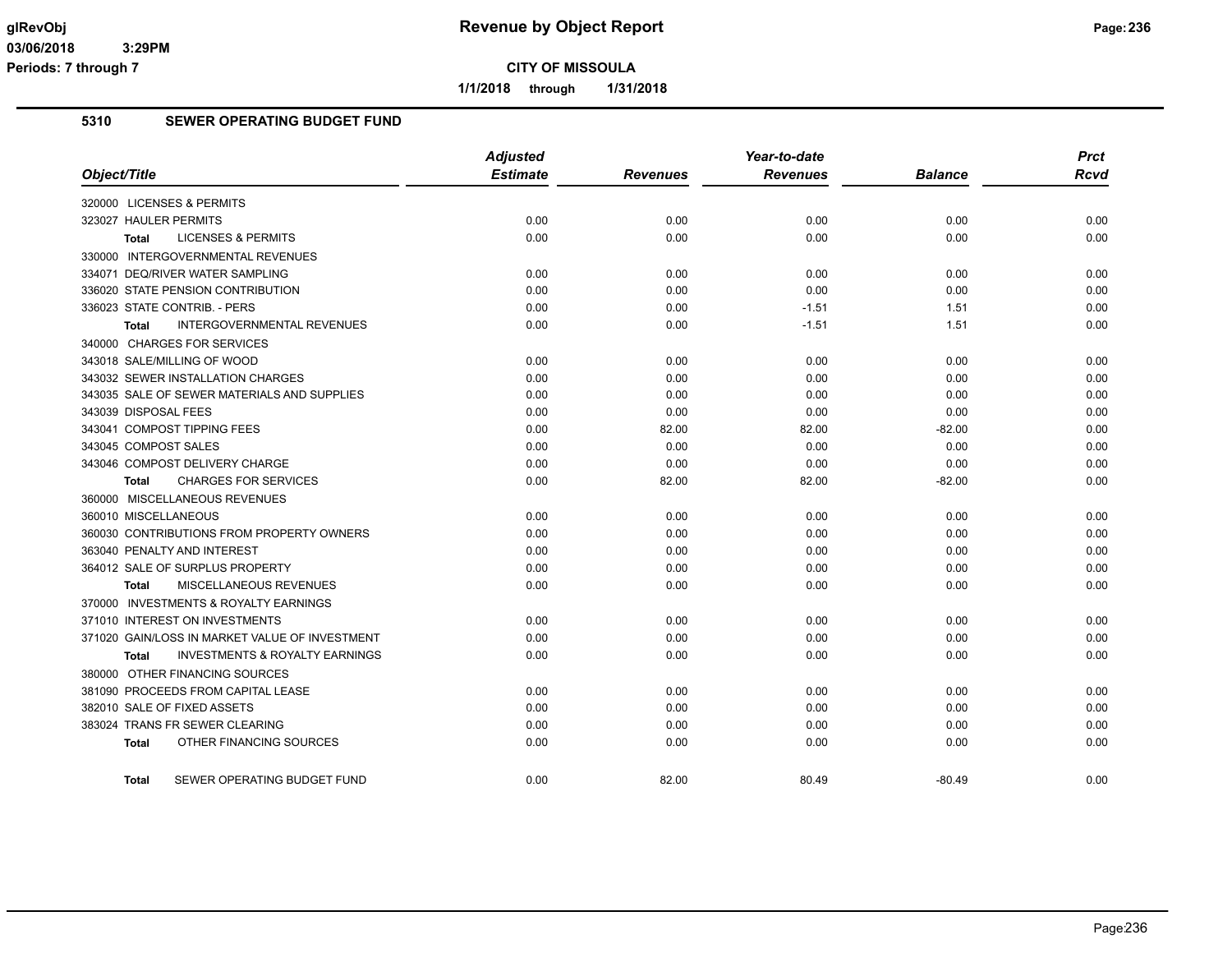**1/1/2018 through 1/31/2018**

### **5310 SEWER OPERATING BUDGET FUND**

|                                                    | <b>Adjusted</b> |                 | Year-to-date    |                | <b>Prct</b> |
|----------------------------------------------------|-----------------|-----------------|-----------------|----------------|-------------|
| Object/Title                                       | <b>Estimate</b> | <b>Revenues</b> | <b>Revenues</b> | <b>Balance</b> | <b>Rcvd</b> |
| 320000 LICENSES & PERMITS                          |                 |                 |                 |                |             |
| 323027 HAULER PERMITS                              | 0.00            | 0.00            | 0.00            | 0.00           | 0.00        |
| <b>LICENSES &amp; PERMITS</b><br>Total             | 0.00            | 0.00            | 0.00            | 0.00           | 0.00        |
| 330000 INTERGOVERNMENTAL REVENUES                  |                 |                 |                 |                |             |
| 334071 DEQ/RIVER WATER SAMPLING                    | 0.00            | 0.00            | 0.00            | 0.00           | 0.00        |
| 336020 STATE PENSION CONTRIBUTION                  | 0.00            | 0.00            | 0.00            | 0.00           | 0.00        |
| 336023 STATE CONTRIB. - PERS                       | 0.00            | 0.00            | $-1.51$         | 1.51           | 0.00        |
| <b>INTERGOVERNMENTAL REVENUES</b><br>Total         | 0.00            | 0.00            | $-1.51$         | 1.51           | 0.00        |
| 340000 CHARGES FOR SERVICES                        |                 |                 |                 |                |             |
| 343018 SALE/MILLING OF WOOD                        | 0.00            | 0.00            | 0.00            | 0.00           | 0.00        |
| 343032 SEWER INSTALLATION CHARGES                  | 0.00            | 0.00            | 0.00            | 0.00           | 0.00        |
| 343035 SALE OF SEWER MATERIALS AND SUPPLIES        | 0.00            | 0.00            | 0.00            | 0.00           | 0.00        |
| 343039 DISPOSAL FEES                               | 0.00            | 0.00            | 0.00            | 0.00           | 0.00        |
| 343041 COMPOST TIPPING FEES                        | 0.00            | 82.00           | 82.00           | $-82.00$       | 0.00        |
| 343045 COMPOST SALES                               | 0.00            | 0.00            | 0.00            | 0.00           | 0.00        |
| 343046 COMPOST DELIVERY CHARGE                     | 0.00            | 0.00            | 0.00            | 0.00           | 0.00        |
| <b>CHARGES FOR SERVICES</b><br>Total               | 0.00            | 82.00           | 82.00           | $-82.00$       | 0.00        |
| 360000 MISCELLANEOUS REVENUES                      |                 |                 |                 |                |             |
| 360010 MISCELLANEOUS                               | 0.00            | 0.00            | 0.00            | 0.00           | 0.00        |
| 360030 CONTRIBUTIONS FROM PROPERTY OWNERS          | 0.00            | 0.00            | 0.00            | 0.00           | 0.00        |
| 363040 PENALTY AND INTEREST                        | 0.00            | 0.00            | 0.00            | 0.00           | 0.00        |
| 364012 SALE OF SURPLUS PROPERTY                    | 0.00            | 0.00            | 0.00            | 0.00           | 0.00        |
| MISCELLANEOUS REVENUES<br>Total                    | 0.00            | 0.00            | 0.00            | 0.00           | 0.00        |
| 370000 INVESTMENTS & ROYALTY EARNINGS              |                 |                 |                 |                |             |
| 371010 INTEREST ON INVESTMENTS                     | 0.00            | 0.00            | 0.00            | 0.00           | 0.00        |
| 371020 GAIN/LOSS IN MARKET VALUE OF INVESTMENT     | 0.00            | 0.00            | 0.00            | 0.00           | 0.00        |
| <b>INVESTMENTS &amp; ROYALTY EARNINGS</b><br>Total | 0.00            | 0.00            | 0.00            | 0.00           | 0.00        |
| 380000 OTHER FINANCING SOURCES                     |                 |                 |                 |                |             |
| 381090 PROCEEDS FROM CAPITAL LEASE                 | 0.00            | 0.00            | 0.00            | 0.00           | 0.00        |
| 382010 SALE OF FIXED ASSETS                        | 0.00            | 0.00            | 0.00            | 0.00           | 0.00        |
| 383024 TRANS FR SEWER CLEARING                     | 0.00            | 0.00            | 0.00            | 0.00           | 0.00        |
| OTHER FINANCING SOURCES<br>Total                   | 0.00            | 0.00            | 0.00            | 0.00           | 0.00        |
| SEWER OPERATING BUDGET FUND<br><b>Total</b>        | 0.00            | 82.00           | 80.49           | $-80.49$       | 0.00        |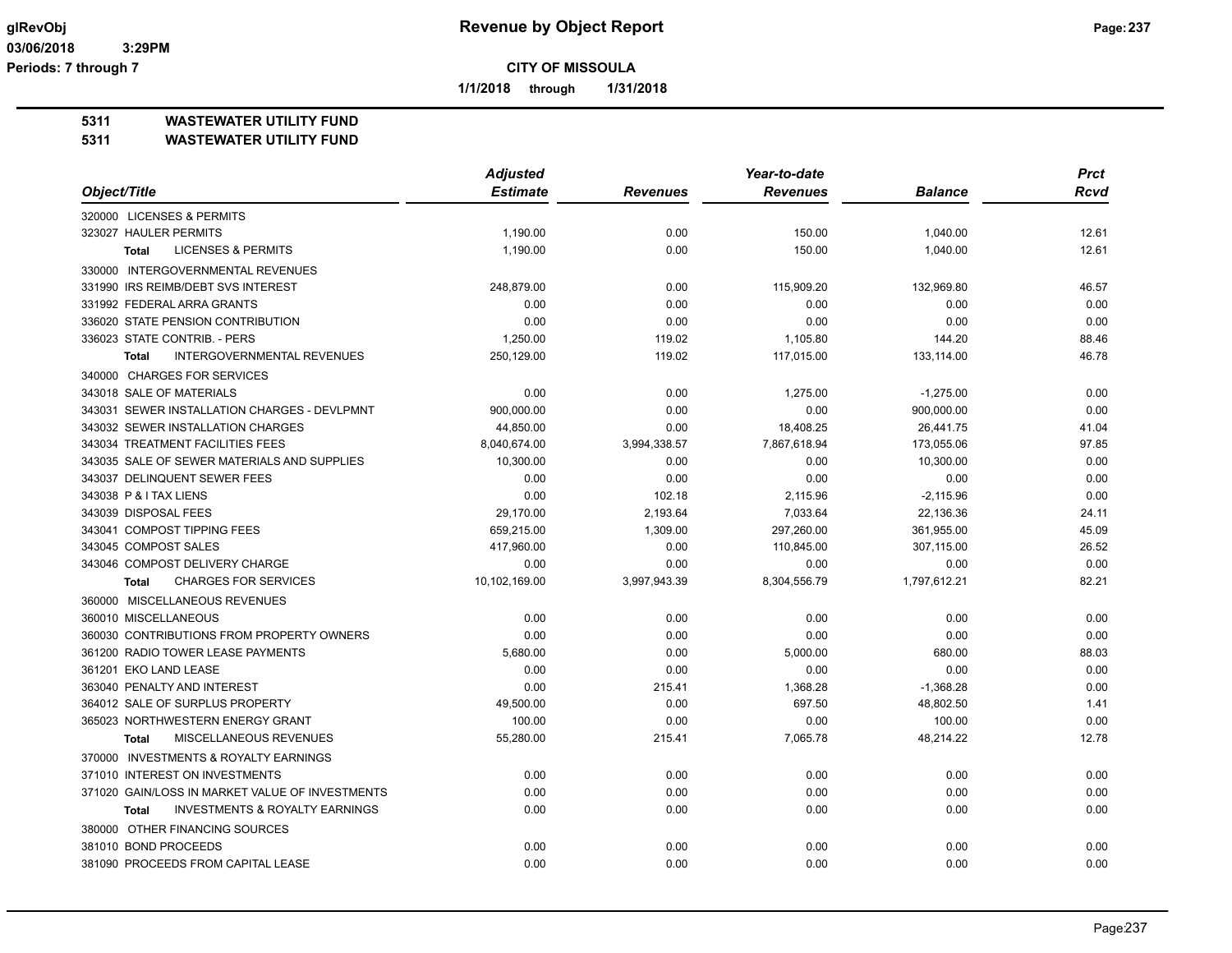**1/1/2018 through 1/31/2018**

### **5311 WASTEWATER UTILITY FUND**

| Object/Title<br><b>Estimate</b><br><b>Revenues</b><br><b>Revenues</b><br><b>Balance</b><br>Rcvd<br>320000 LICENSES & PERMITS<br>323027 HAULER PERMITS<br>1,190.00<br>0.00<br>150.00<br>12.61<br>1,040.00<br><b>LICENSES &amp; PERMITS</b><br>1,190.00<br>0.00<br>150.00<br>1,040.00<br>12.61<br><b>Total</b><br>330000 INTERGOVERNMENTAL REVENUES<br>331990 IRS REIMB/DEBT SVS INTEREST<br>248,879.00<br>0.00<br>115,909.20<br>132,969.80<br>46.57<br>331992 FEDERAL ARRA GRANTS<br>0.00<br>0.00<br>0.00<br>0.00<br>0.00<br>336020 STATE PENSION CONTRIBUTION<br>0.00<br>0.00<br>0.00<br>0.00<br>0.00<br>336023 STATE CONTRIB. - PERS<br>1,250.00<br>119.02<br>1,105.80<br>144.20<br>88.46<br>250,129.00<br>119.02<br>46.78<br><b>INTERGOVERNMENTAL REVENUES</b><br>117,015.00<br>133,114.00<br><b>Total</b><br>340000 CHARGES FOR SERVICES<br>343018 SALE OF MATERIALS<br>0.00<br>0.00<br>1,275.00<br>$-1,275.00$<br>0.00<br>343031 SEWER INSTALLATION CHARGES - DEVLPMNT<br>900,000.00<br>0.00<br>0.00<br>900,000.00<br>0.00 |
|--------------------------------------------------------------------------------------------------------------------------------------------------------------------------------------------------------------------------------------------------------------------------------------------------------------------------------------------------------------------------------------------------------------------------------------------------------------------------------------------------------------------------------------------------------------------------------------------------------------------------------------------------------------------------------------------------------------------------------------------------------------------------------------------------------------------------------------------------------------------------------------------------------------------------------------------------------------------------------------------------------------------------------|
|                                                                                                                                                                                                                                                                                                                                                                                                                                                                                                                                                                                                                                                                                                                                                                                                                                                                                                                                                                                                                                |
|                                                                                                                                                                                                                                                                                                                                                                                                                                                                                                                                                                                                                                                                                                                                                                                                                                                                                                                                                                                                                                |
|                                                                                                                                                                                                                                                                                                                                                                                                                                                                                                                                                                                                                                                                                                                                                                                                                                                                                                                                                                                                                                |
|                                                                                                                                                                                                                                                                                                                                                                                                                                                                                                                                                                                                                                                                                                                                                                                                                                                                                                                                                                                                                                |
|                                                                                                                                                                                                                                                                                                                                                                                                                                                                                                                                                                                                                                                                                                                                                                                                                                                                                                                                                                                                                                |
|                                                                                                                                                                                                                                                                                                                                                                                                                                                                                                                                                                                                                                                                                                                                                                                                                                                                                                                                                                                                                                |
|                                                                                                                                                                                                                                                                                                                                                                                                                                                                                                                                                                                                                                                                                                                                                                                                                                                                                                                                                                                                                                |
|                                                                                                                                                                                                                                                                                                                                                                                                                                                                                                                                                                                                                                                                                                                                                                                                                                                                                                                                                                                                                                |
|                                                                                                                                                                                                                                                                                                                                                                                                                                                                                                                                                                                                                                                                                                                                                                                                                                                                                                                                                                                                                                |
|                                                                                                                                                                                                                                                                                                                                                                                                                                                                                                                                                                                                                                                                                                                                                                                                                                                                                                                                                                                                                                |
|                                                                                                                                                                                                                                                                                                                                                                                                                                                                                                                                                                                                                                                                                                                                                                                                                                                                                                                                                                                                                                |
|                                                                                                                                                                                                                                                                                                                                                                                                                                                                                                                                                                                                                                                                                                                                                                                                                                                                                                                                                                                                                                |
|                                                                                                                                                                                                                                                                                                                                                                                                                                                                                                                                                                                                                                                                                                                                                                                                                                                                                                                                                                                                                                |
| 18,408.25<br>343032 SEWER INSTALLATION CHARGES<br>44,850.00<br>0.00<br>26,441.75<br>41.04                                                                                                                                                                                                                                                                                                                                                                                                                                                                                                                                                                                                                                                                                                                                                                                                                                                                                                                                      |
| 343034 TREATMENT FACILITIES FEES<br>7,867,618.94<br>8,040,674.00<br>3,994,338.57<br>173,055.06<br>97.85                                                                                                                                                                                                                                                                                                                                                                                                                                                                                                                                                                                                                                                                                                                                                                                                                                                                                                                        |
| 343035 SALE OF SEWER MATERIALS AND SUPPLIES<br>0.00<br>10,300.00<br>0.00<br>10,300.00<br>0.00                                                                                                                                                                                                                                                                                                                                                                                                                                                                                                                                                                                                                                                                                                                                                                                                                                                                                                                                  |
| 343037 DELINQUENT SEWER FEES<br>0.00<br>0.00<br>0.00<br>0.00<br>0.00                                                                                                                                                                                                                                                                                                                                                                                                                                                                                                                                                                                                                                                                                                                                                                                                                                                                                                                                                           |
| 343038 P & I TAX LIENS<br>0.00<br>102.18<br>2,115.96<br>$-2,115.96$<br>0.00                                                                                                                                                                                                                                                                                                                                                                                                                                                                                                                                                                                                                                                                                                                                                                                                                                                                                                                                                    |
| 343039 DISPOSAL FEES<br>29,170.00<br>2,193.64<br>7,033.64<br>22,136.36<br>24.11                                                                                                                                                                                                                                                                                                                                                                                                                                                                                                                                                                                                                                                                                                                                                                                                                                                                                                                                                |
| 343041 COMPOST TIPPING FEES<br>659,215.00<br>297,260.00<br>1,309.00<br>361,955.00<br>45.09                                                                                                                                                                                                                                                                                                                                                                                                                                                                                                                                                                                                                                                                                                                                                                                                                                                                                                                                     |
| 343045 COMPOST SALES<br>417,960.00<br>0.00<br>110,845.00<br>307,115.00<br>26.52                                                                                                                                                                                                                                                                                                                                                                                                                                                                                                                                                                                                                                                                                                                                                                                                                                                                                                                                                |
| 343046 COMPOST DELIVERY CHARGE<br>0.00<br>0.00<br>0.00<br>0.00<br>0.00                                                                                                                                                                                                                                                                                                                                                                                                                                                                                                                                                                                                                                                                                                                                                                                                                                                                                                                                                         |
| 1,797,612.21<br><b>CHARGES FOR SERVICES</b><br>10,102,169.00<br>3,997,943.39<br>8,304,556.79<br>82.21<br><b>Total</b>                                                                                                                                                                                                                                                                                                                                                                                                                                                                                                                                                                                                                                                                                                                                                                                                                                                                                                          |
| 360000 MISCELLANEOUS REVENUES                                                                                                                                                                                                                                                                                                                                                                                                                                                                                                                                                                                                                                                                                                                                                                                                                                                                                                                                                                                                  |
| 360010 MISCELLANEOUS<br>0.00<br>0.00<br>0.00<br>0.00<br>0.00                                                                                                                                                                                                                                                                                                                                                                                                                                                                                                                                                                                                                                                                                                                                                                                                                                                                                                                                                                   |
| 360030 CONTRIBUTIONS FROM PROPERTY OWNERS<br>0.00<br>0.00<br>0.00<br>0.00<br>0.00                                                                                                                                                                                                                                                                                                                                                                                                                                                                                                                                                                                                                                                                                                                                                                                                                                                                                                                                              |
| 361200 RADIO TOWER LEASE PAYMENTS<br>5,680.00<br>0.00<br>5,000.00<br>680.00<br>88.03                                                                                                                                                                                                                                                                                                                                                                                                                                                                                                                                                                                                                                                                                                                                                                                                                                                                                                                                           |
| 361201 EKO LAND LEASE<br>0.00<br>0.00<br>0.00<br>0.00<br>0.00                                                                                                                                                                                                                                                                                                                                                                                                                                                                                                                                                                                                                                                                                                                                                                                                                                                                                                                                                                  |
| 363040 PENALTY AND INTEREST<br>0.00<br>215.41<br>1,368.28<br>$-1,368.28$<br>0.00                                                                                                                                                                                                                                                                                                                                                                                                                                                                                                                                                                                                                                                                                                                                                                                                                                                                                                                                               |
| 0.00<br>364012 SALE OF SURPLUS PROPERTY<br>49,500.00<br>697.50<br>48,802.50<br>1.41                                                                                                                                                                                                                                                                                                                                                                                                                                                                                                                                                                                                                                                                                                                                                                                                                                                                                                                                            |
| 365023 NORTHWESTERN ENERGY GRANT<br>100.00<br>0.00<br>0.00<br>100.00<br>0.00                                                                                                                                                                                                                                                                                                                                                                                                                                                                                                                                                                                                                                                                                                                                                                                                                                                                                                                                                   |
| MISCELLANEOUS REVENUES<br>7,065.78<br>12.78<br>55,280.00<br>215.41<br>48,214.22<br><b>Total</b>                                                                                                                                                                                                                                                                                                                                                                                                                                                                                                                                                                                                                                                                                                                                                                                                                                                                                                                                |
| 370000 INVESTMENTS & ROYALTY EARNINGS                                                                                                                                                                                                                                                                                                                                                                                                                                                                                                                                                                                                                                                                                                                                                                                                                                                                                                                                                                                          |
| 371010 INTEREST ON INVESTMENTS<br>0.00<br>0.00<br>0.00<br>0.00<br>0.00                                                                                                                                                                                                                                                                                                                                                                                                                                                                                                                                                                                                                                                                                                                                                                                                                                                                                                                                                         |
| 371020 GAIN/LOSS IN MARKET VALUE OF INVESTMENTS<br>0.00<br>0.00<br>0.00<br>0.00<br>0.00                                                                                                                                                                                                                                                                                                                                                                                                                                                                                                                                                                                                                                                                                                                                                                                                                                                                                                                                        |
| <b>INVESTMENTS &amp; ROYALTY EARNINGS</b><br>0.00<br>0.00<br>0.00<br>0.00<br>0.00<br><b>Total</b>                                                                                                                                                                                                                                                                                                                                                                                                                                                                                                                                                                                                                                                                                                                                                                                                                                                                                                                              |
| 380000 OTHER FINANCING SOURCES                                                                                                                                                                                                                                                                                                                                                                                                                                                                                                                                                                                                                                                                                                                                                                                                                                                                                                                                                                                                 |
| 381010 BOND PROCEEDS<br>0.00<br>0.00<br>0.00<br>0.00<br>0.00                                                                                                                                                                                                                                                                                                                                                                                                                                                                                                                                                                                                                                                                                                                                                                                                                                                                                                                                                                   |
| 381090 PROCEEDS FROM CAPITAL LEASE<br>0.00<br>0.00<br>0.00<br>0.00<br>0.00                                                                                                                                                                                                                                                                                                                                                                                                                                                                                                                                                                                                                                                                                                                                                                                                                                                                                                                                                     |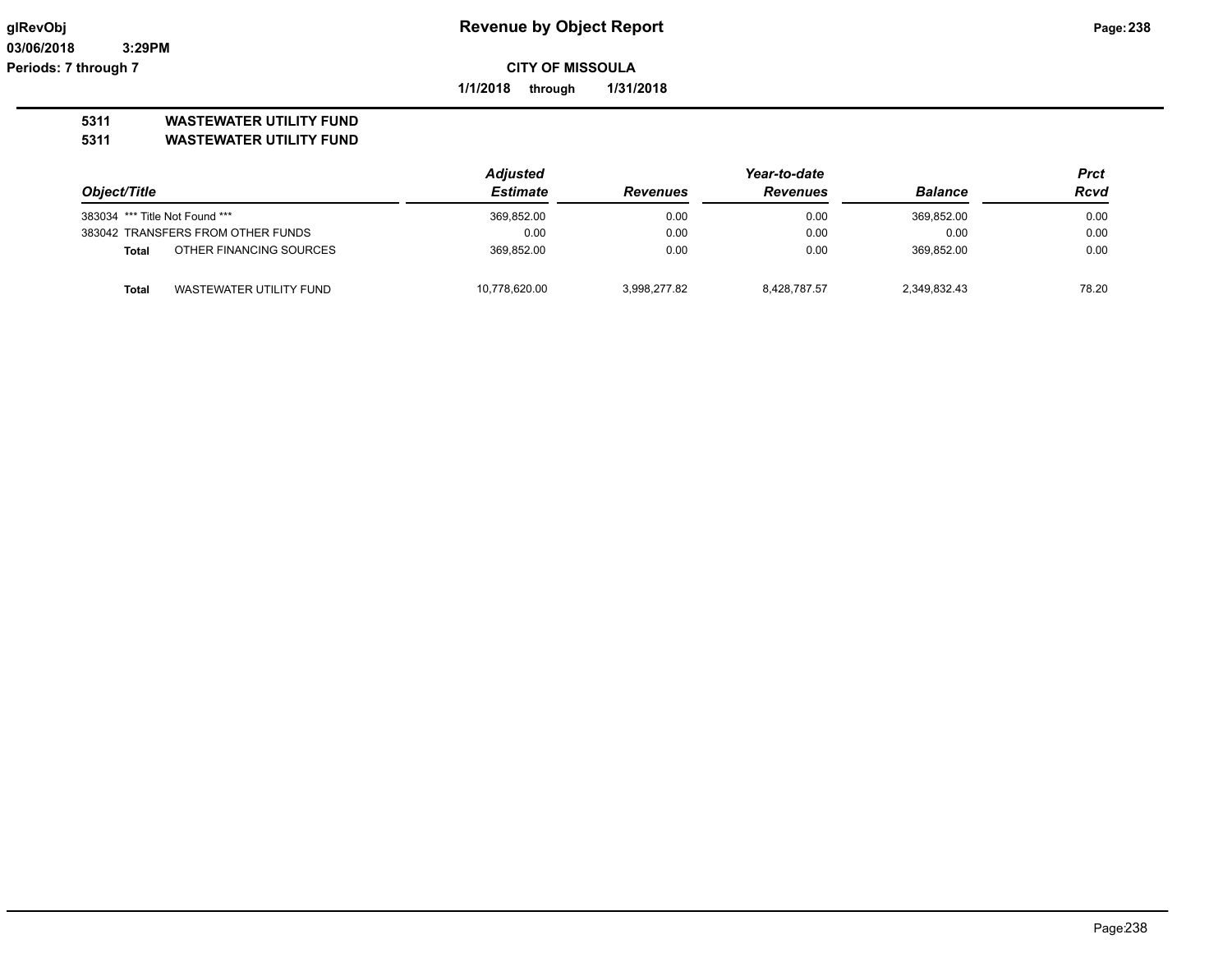**1/1/2018 through 1/31/2018**

# **5311 WASTEWATER UTILITY FUND**

|                                |                                   | <b>Adjusted</b> | Year-to-date    |                 |                | Prct  |
|--------------------------------|-----------------------------------|-----------------|-----------------|-----------------|----------------|-------|
| Object/Title                   |                                   | Estimate        | <b>Revenues</b> | <b>Revenues</b> | <b>Balance</b> | Rcvd  |
| 383034 *** Title Not Found *** |                                   | 369,852.00      | 0.00            | 0.00            | 369.852.00     | 0.00  |
|                                | 383042 TRANSFERS FROM OTHER FUNDS | 0.00            | 0.00            | 0.00            | 0.00           | 0.00  |
| <b>Total</b>                   | OTHER FINANCING SOURCES           | 369.852.00      | 0.00            | 0.00            | 369.852.00     | 0.00  |
| Total                          | WASTEWATER UTILITY FUND           | 10,778,620.00   | 3.998.277.82    | 8.428.787.57    | 2,349,832.43   | 78.20 |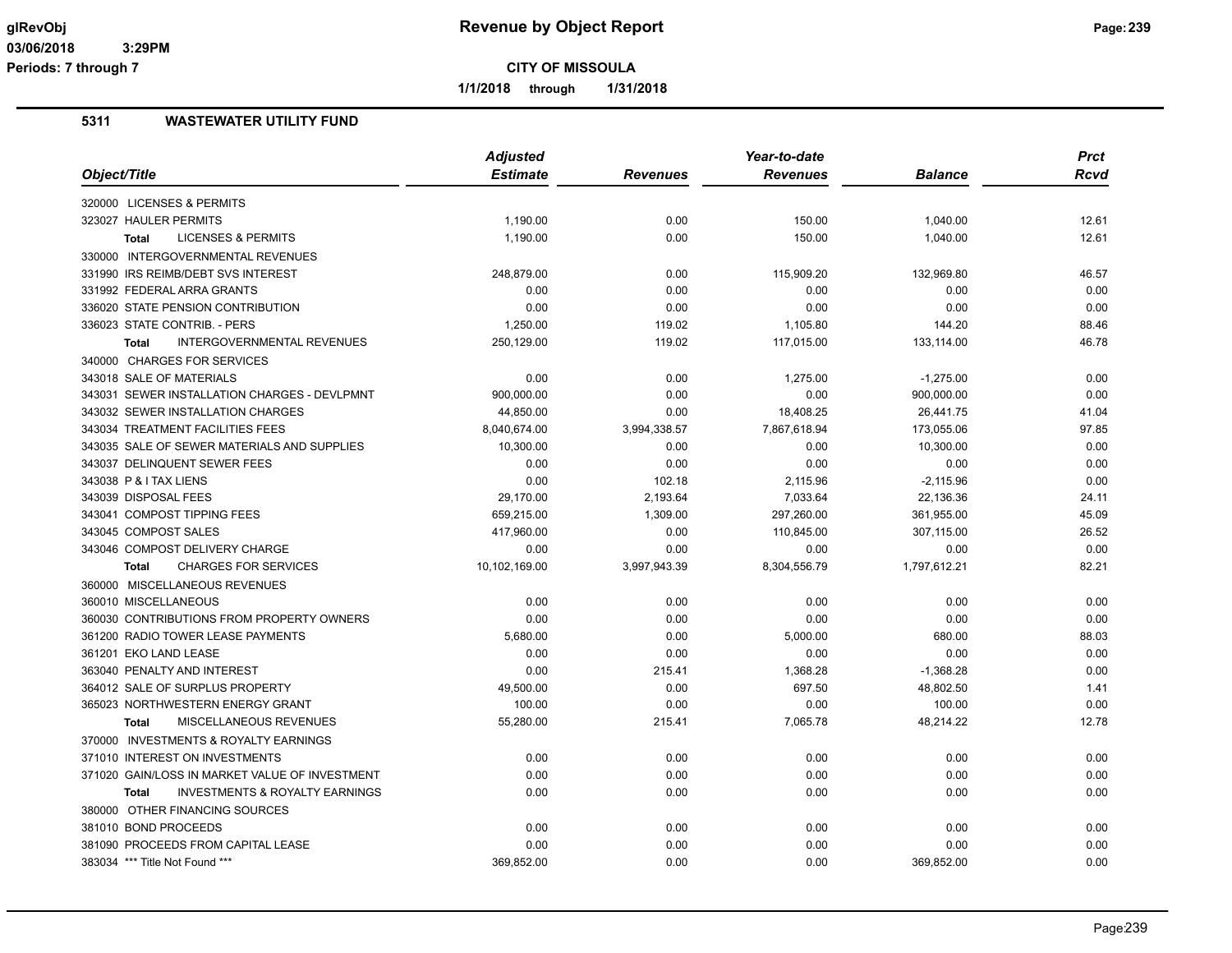**1/1/2018 through 1/31/2018**

|                                                           | <b>Adjusted</b> |                 | Year-to-date    |                | <b>Prct</b> |
|-----------------------------------------------------------|-----------------|-----------------|-----------------|----------------|-------------|
| Object/Title                                              | <b>Estimate</b> | <b>Revenues</b> | <b>Revenues</b> | <b>Balance</b> | <b>Rcvd</b> |
| 320000 LICENSES & PERMITS                                 |                 |                 |                 |                |             |
| 323027 HAULER PERMITS                                     | 1,190.00        | 0.00            | 150.00          | 1,040.00       | 12.61       |
| <b>LICENSES &amp; PERMITS</b><br><b>Total</b>             | 1,190.00        | 0.00            | 150.00          | 1,040.00       | 12.61       |
| 330000 INTERGOVERNMENTAL REVENUES                         |                 |                 |                 |                |             |
| 331990 IRS REIMB/DEBT SVS INTEREST                        | 248,879.00      | 0.00            | 115,909.20      | 132,969.80     | 46.57       |
| 331992 FEDERAL ARRA GRANTS                                | 0.00            | 0.00            | 0.00            | 0.00           | 0.00        |
| 336020 STATE PENSION CONTRIBUTION                         | 0.00            | 0.00            | 0.00            | 0.00           | 0.00        |
| 336023 STATE CONTRIB. - PERS                              | 1,250.00        | 119.02          | 1,105.80        | 144.20         | 88.46       |
| <b>INTERGOVERNMENTAL REVENUES</b><br><b>Total</b>         | 250,129.00      | 119.02          | 117,015.00      | 133,114.00     | 46.78       |
| 340000 CHARGES FOR SERVICES                               |                 |                 |                 |                |             |
| 343018 SALE OF MATERIALS                                  | 0.00            | 0.00            | 1,275.00        | $-1,275.00$    | 0.00        |
| 343031 SEWER INSTALLATION CHARGES - DEVLPMNT              | 900,000.00      | 0.00            | 0.00            | 900,000.00     | 0.00        |
| 343032 SEWER INSTALLATION CHARGES                         | 44,850.00       | 0.00            | 18,408.25       | 26,441.75      | 41.04       |
| 343034 TREATMENT FACILITIES FEES                          | 8,040,674.00    | 3,994,338.57    | 7,867,618.94    | 173,055.06     | 97.85       |
| 343035 SALE OF SEWER MATERIALS AND SUPPLIES               | 10,300.00       | 0.00            | 0.00            | 10,300.00      | 0.00        |
| 343037 DELINQUENT SEWER FEES                              | 0.00            | 0.00            | 0.00            | 0.00           | 0.00        |
| 343038 P & I TAX LIENS                                    | 0.00            | 102.18          | 2,115.96        | $-2,115.96$    | 0.00        |
| 343039 DISPOSAL FEES                                      | 29,170.00       | 2,193.64        | 7,033.64        | 22,136.36      | 24.11       |
| 343041 COMPOST TIPPING FEES                               | 659,215.00      | 1,309.00        | 297,260.00      | 361,955.00     | 45.09       |
| 343045 COMPOST SALES                                      | 417,960.00      | 0.00            | 110,845.00      | 307,115.00     | 26.52       |
| 343046 COMPOST DELIVERY CHARGE                            | 0.00            | 0.00            | 0.00            | 0.00           | 0.00        |
| <b>CHARGES FOR SERVICES</b><br><b>Total</b>               | 10,102,169.00   | 3,997,943.39    | 8,304,556.79    | 1,797,612.21   | 82.21       |
| 360000 MISCELLANEOUS REVENUES                             |                 |                 |                 |                |             |
| 360010 MISCELLANEOUS                                      | 0.00            | 0.00            | 0.00            | 0.00           | 0.00        |
| 360030 CONTRIBUTIONS FROM PROPERTY OWNERS                 | 0.00            | 0.00            | 0.00            | 0.00           | 0.00        |
| 361200 RADIO TOWER LEASE PAYMENTS                         | 5,680.00        | 0.00            | 5,000.00        | 680.00         | 88.03       |
| 361201 EKO LAND LEASE                                     | 0.00            | 0.00            | 0.00            | 0.00           | 0.00        |
| 363040 PENALTY AND INTEREST                               | 0.00            | 215.41          | 1,368.28        | $-1,368.28$    | 0.00        |
| 364012 SALE OF SURPLUS PROPERTY                           | 49,500.00       | 0.00            | 697.50          | 48,802.50      | 1.41        |
| 365023 NORTHWESTERN ENERGY GRANT                          | 100.00          | 0.00            | 0.00            | 100.00         | 0.00        |
| MISCELLANEOUS REVENUES<br><b>Total</b>                    | 55,280.00       | 215.41          | 7,065.78        | 48,214.22      | 12.78       |
| 370000 INVESTMENTS & ROYALTY EARNINGS                     |                 |                 |                 |                |             |
| 371010 INTEREST ON INVESTMENTS                            | 0.00            | 0.00            | 0.00            | 0.00           | 0.00        |
| 371020 GAIN/LOSS IN MARKET VALUE OF INVESTMENT            | 0.00            | 0.00            | 0.00            | 0.00           | 0.00        |
| <b>INVESTMENTS &amp; ROYALTY EARNINGS</b><br><b>Total</b> | 0.00            | 0.00            | 0.00            | 0.00           | 0.00        |
| 380000 OTHER FINANCING SOURCES                            |                 |                 |                 |                |             |
| 381010 BOND PROCEEDS                                      | 0.00            | 0.00            | 0.00            | 0.00           | 0.00        |
| 381090 PROCEEDS FROM CAPITAL LEASE                        | 0.00            | 0.00            | 0.00            | 0.00           | 0.00        |
| 383034 *** Title Not Found ***                            | 369,852.00      | 0.00            | 0.00            | 369,852.00     | 0.00        |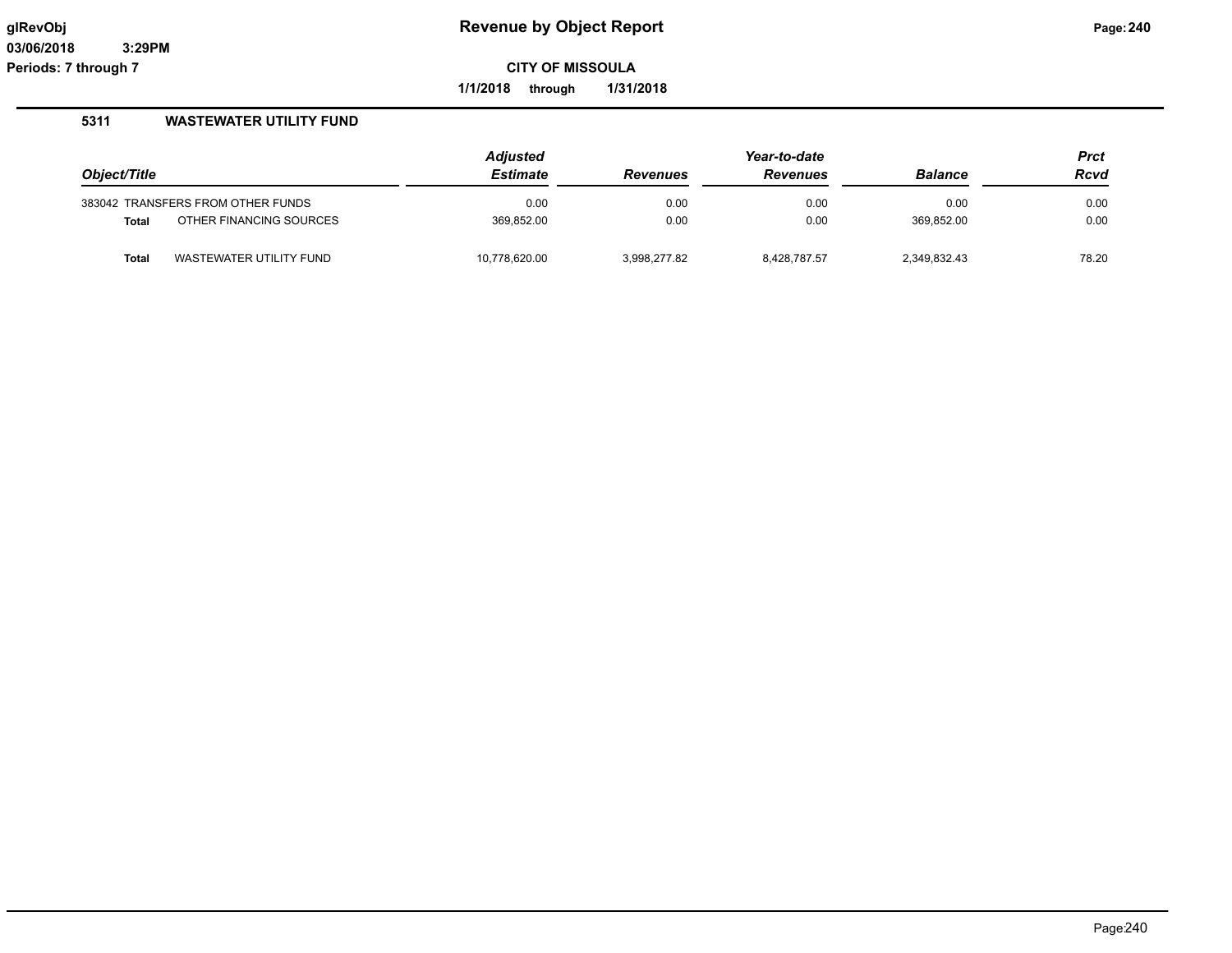**1/1/2018 through 1/31/2018**

|              |                                   | <b>Adjusted</b> | Year-to-date    |                 |                | <b>Prct</b> |
|--------------|-----------------------------------|-----------------|-----------------|-----------------|----------------|-------------|
| Object/Title |                                   | <b>Estimate</b> | <b>Revenues</b> | <b>Revenues</b> | <b>Balance</b> | Rcvd        |
|              | 383042 TRANSFERS FROM OTHER FUNDS | 0.00            | 0.00            | 0.00            | 0.00           | 0.00        |
| <b>Total</b> | OTHER FINANCING SOURCES           | 369,852.00      | 0.00            | 0.00            | 369.852.00     | 0.00        |
| <b>Total</b> | WASTEWATER UTILITY FUND           | 10,778,620.00   | 3.998.277.82    | 8.428.787.57    | 2,349,832.43   | 78.20       |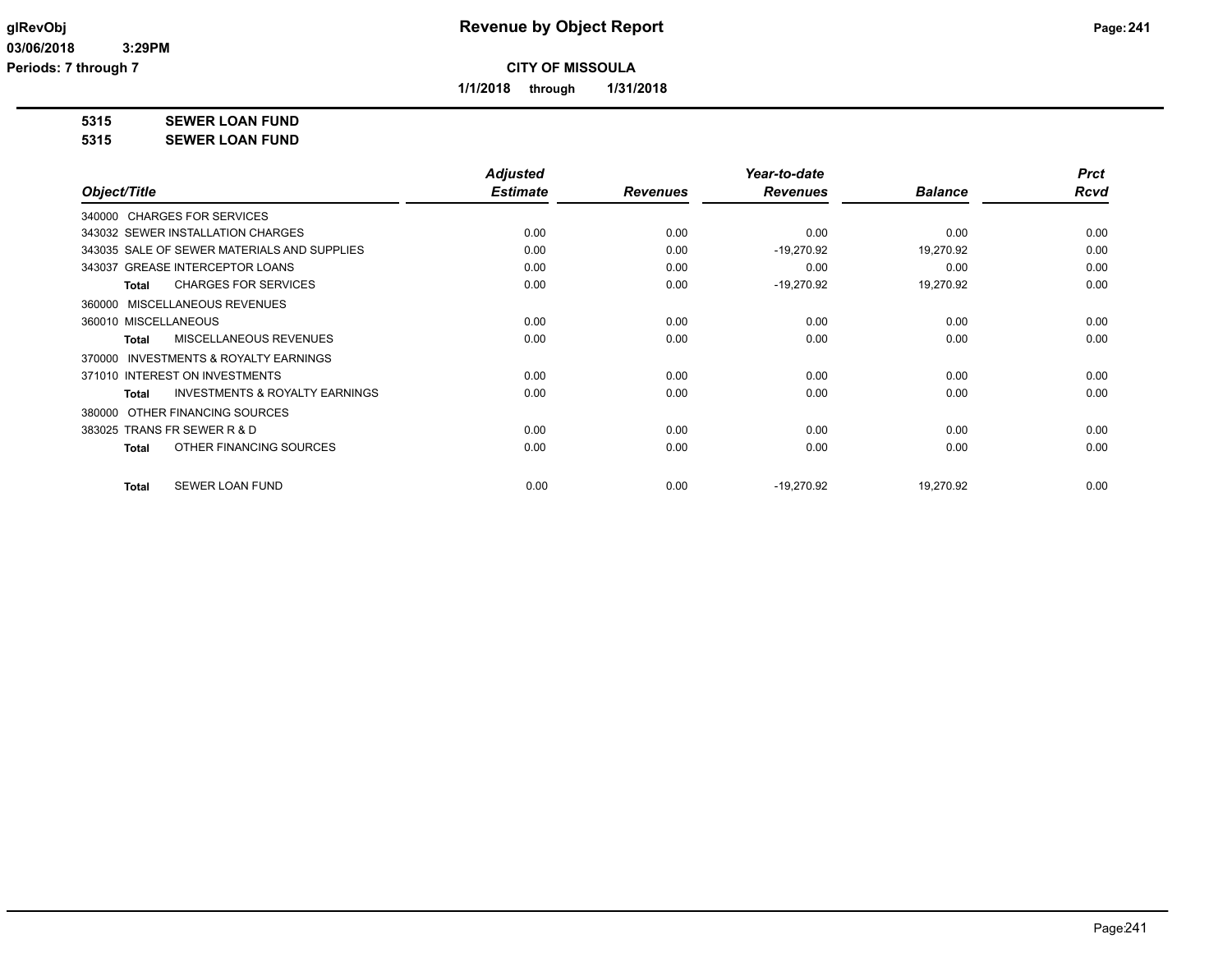**1/1/2018 through 1/31/2018**

**5315 SEWER LOAN FUND**

**5315 SEWER LOAN FUND**

|                                                           | <b>Adjusted</b> |                 | Year-to-date    |                | <b>Prct</b> |
|-----------------------------------------------------------|-----------------|-----------------|-----------------|----------------|-------------|
| Object/Title                                              | <b>Estimate</b> | <b>Revenues</b> | <b>Revenues</b> | <b>Balance</b> | <b>Rcvd</b> |
| 340000 CHARGES FOR SERVICES                               |                 |                 |                 |                |             |
| 343032 SEWER INSTALLATION CHARGES                         | 0.00            | 0.00            | 0.00            | 0.00           | 0.00        |
| 343035 SALE OF SEWER MATERIALS AND SUPPLIES               | 0.00            | 0.00            | $-19,270.92$    | 19,270.92      | 0.00        |
| 343037 GREASE INTERCEPTOR LOANS                           | 0.00            | 0.00            | 0.00            | 0.00           | 0.00        |
| <b>CHARGES FOR SERVICES</b><br><b>Total</b>               | 0.00            | 0.00            | $-19,270.92$    | 19,270.92      | 0.00        |
| MISCELLANEOUS REVENUES<br>360000                          |                 |                 |                 |                |             |
| 360010 MISCELLANEOUS                                      | 0.00            | 0.00            | 0.00            | 0.00           | 0.00        |
| <b>MISCELLANEOUS REVENUES</b><br><b>Total</b>             | 0.00            | 0.00            | 0.00            | 0.00           | 0.00        |
| <b>INVESTMENTS &amp; ROYALTY EARNINGS</b><br>370000       |                 |                 |                 |                |             |
| 371010 INTEREST ON INVESTMENTS                            | 0.00            | 0.00            | 0.00            | 0.00           | 0.00        |
| <b>INVESTMENTS &amp; ROYALTY EARNINGS</b><br><b>Total</b> | 0.00            | 0.00            | 0.00            | 0.00           | 0.00        |
| OTHER FINANCING SOURCES<br>380000                         |                 |                 |                 |                |             |
| 383025 TRANS FR SEWER R & D                               | 0.00            | 0.00            | 0.00            | 0.00           | 0.00        |
| OTHER FINANCING SOURCES<br><b>Total</b>                   | 0.00            | 0.00            | 0.00            | 0.00           | 0.00        |
| <b>SEWER LOAN FUND</b><br><b>Total</b>                    | 0.00            | 0.00            | $-19,270.92$    | 19,270.92      | 0.00        |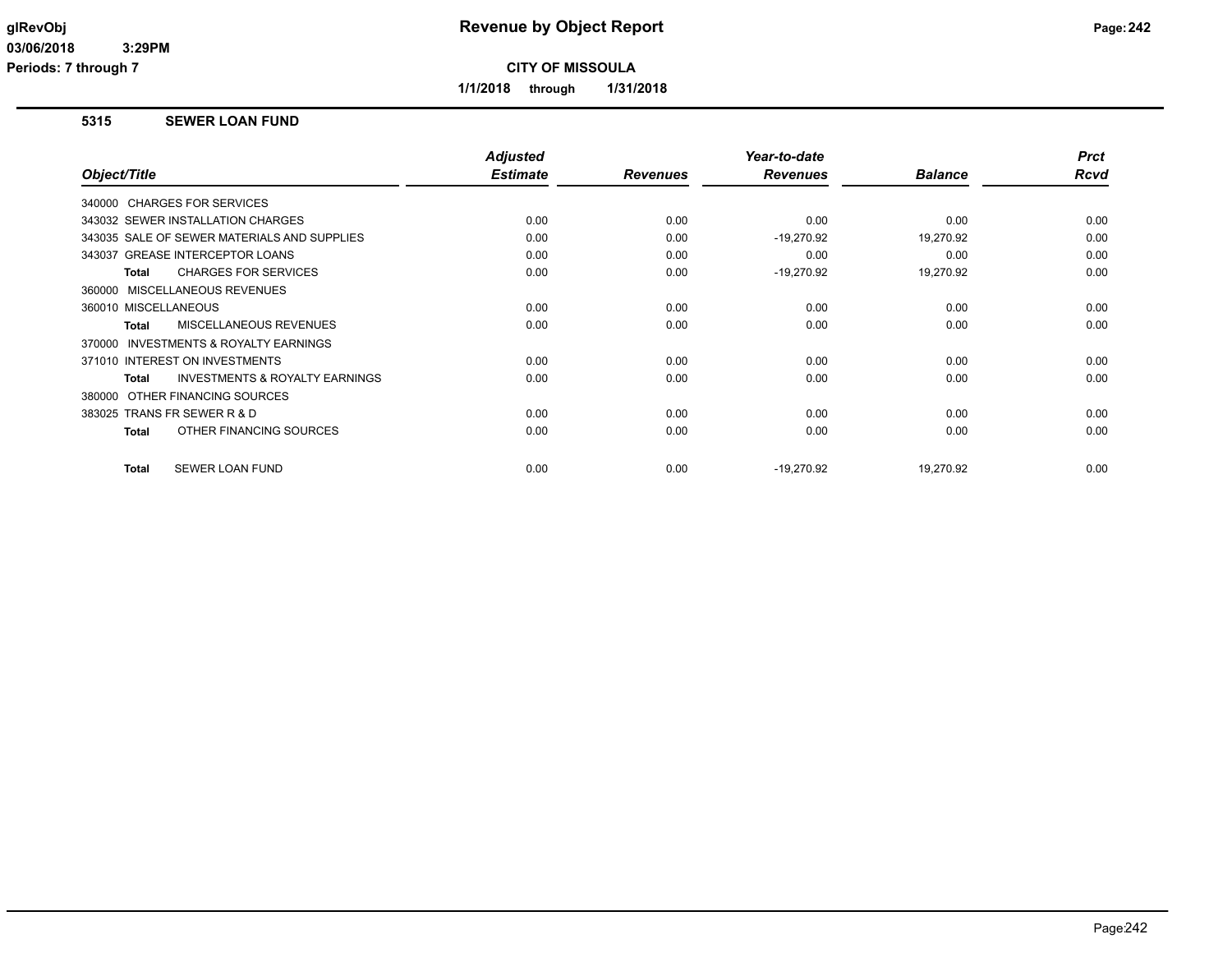**Periods: 7 through 7**

**CITY OF MISSOULA**

**1/1/2018 through 1/31/2018**

### **5315 SEWER LOAN FUND**

|                                                    | <b>Adjusted</b> |                 | Year-to-date    |                | <b>Prct</b> |
|----------------------------------------------------|-----------------|-----------------|-----------------|----------------|-------------|
| Object/Title                                       | <b>Estimate</b> | <b>Revenues</b> | <b>Revenues</b> | <b>Balance</b> | <b>Rcvd</b> |
| 340000 CHARGES FOR SERVICES                        |                 |                 |                 |                |             |
| 343032 SEWER INSTALLATION CHARGES                  | 0.00            | 0.00            | 0.00            | 0.00           | 0.00        |
| 343035 SALE OF SEWER MATERIALS AND SUPPLIES        | 0.00            | 0.00            | $-19,270.92$    | 19,270.92      | 0.00        |
| 343037 GREASE INTERCEPTOR LOANS                    | 0.00            | 0.00            | 0.00            | 0.00           | 0.00        |
| <b>CHARGES FOR SERVICES</b><br>Total               | 0.00            | 0.00            | $-19,270.92$    | 19,270.92      | 0.00        |
| 360000 MISCELLANEOUS REVENUES                      |                 |                 |                 |                |             |
| 360010 MISCELLANEOUS                               | 0.00            | 0.00            | 0.00            | 0.00           | 0.00        |
| MISCELLANEOUS REVENUES<br>Total                    | 0.00            | 0.00            | 0.00            | 0.00           | 0.00        |
| INVESTMENTS & ROYALTY EARNINGS<br>370000           |                 |                 |                 |                |             |
| 371010 INTEREST ON INVESTMENTS                     | 0.00            | 0.00            | 0.00            | 0.00           | 0.00        |
| <b>INVESTMENTS &amp; ROYALTY EARNINGS</b><br>Total | 0.00            | 0.00            | 0.00            | 0.00           | 0.00        |
| OTHER FINANCING SOURCES<br>380000                  |                 |                 |                 |                |             |
| 383025 TRANS FR SEWER R & D                        | 0.00            | 0.00            | 0.00            | 0.00           | 0.00        |
| OTHER FINANCING SOURCES<br><b>Total</b>            | 0.00            | 0.00            | 0.00            | 0.00           | 0.00        |
| <b>SEWER LOAN FUND</b><br><b>Total</b>             | 0.00            | 0.00            | $-19,270.92$    | 19,270.92      | 0.00        |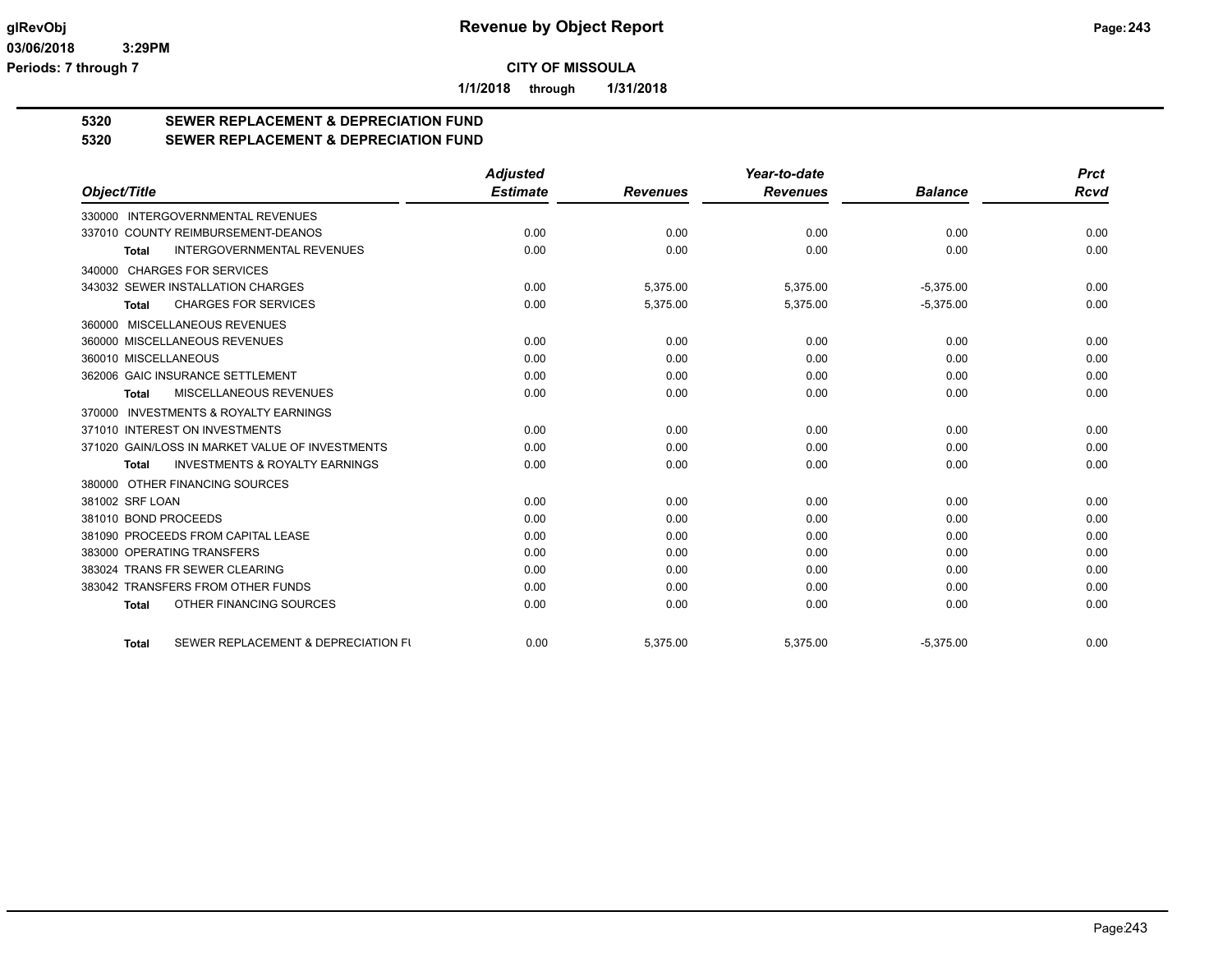**1/1/2018 through 1/31/2018**

# **5320 SEWER REPLACEMENT & DEPRECIATION FUND**

# **5320 SEWER REPLACEMENT & DEPRECIATION FUND**

|                                                           | <b>Adjusted</b> |                 | Year-to-date    |                | <b>Prct</b> |
|-----------------------------------------------------------|-----------------|-----------------|-----------------|----------------|-------------|
| Object/Title                                              | <b>Estimate</b> | <b>Revenues</b> | <b>Revenues</b> | <b>Balance</b> | <b>Rcvd</b> |
| 330000 INTERGOVERNMENTAL REVENUES                         |                 |                 |                 |                |             |
| 337010 COUNTY REIMBURSEMENT-DEANOS                        | 0.00            | 0.00            | 0.00            | 0.00           | 0.00        |
| <b>INTERGOVERNMENTAL REVENUES</b><br><b>Total</b>         | 0.00            | 0.00            | 0.00            | 0.00           | 0.00        |
| 340000 CHARGES FOR SERVICES                               |                 |                 |                 |                |             |
| 343032 SEWER INSTALLATION CHARGES                         | 0.00            | 5,375.00        | 5,375.00        | $-5,375.00$    | 0.00        |
| <b>CHARGES FOR SERVICES</b><br><b>Total</b>               | 0.00            | 5,375.00        | 5,375.00        | $-5,375.00$    | 0.00        |
| 360000 MISCELLANEOUS REVENUES                             |                 |                 |                 |                |             |
| 360000 MISCELLANEOUS REVENUES                             | 0.00            | 0.00            | 0.00            | 0.00           | 0.00        |
| 360010 MISCELLANEOUS                                      | 0.00            | 0.00            | 0.00            | 0.00           | 0.00        |
| 362006 GAIC INSURANCE SETTLEMENT                          | 0.00            | 0.00            | 0.00            | 0.00           | 0.00        |
| MISCELLANEOUS REVENUES<br>Total                           | 0.00            | 0.00            | 0.00            | 0.00           | 0.00        |
| <b>INVESTMENTS &amp; ROYALTY EARNINGS</b><br>370000       |                 |                 |                 |                |             |
| 371010 INTEREST ON INVESTMENTS                            | 0.00            | 0.00            | 0.00            | 0.00           | 0.00        |
| 371020 GAIN/LOSS IN MARKET VALUE OF INVESTMENTS           | 0.00            | 0.00            | 0.00            | 0.00           | 0.00        |
| <b>INVESTMENTS &amp; ROYALTY EARNINGS</b><br><b>Total</b> | 0.00            | 0.00            | 0.00            | 0.00           | 0.00        |
| 380000 OTHER FINANCING SOURCES                            |                 |                 |                 |                |             |
| 381002 SRF LOAN                                           | 0.00            | 0.00            | 0.00            | 0.00           | 0.00        |
| 381010 BOND PROCEEDS                                      | 0.00            | 0.00            | 0.00            | 0.00           | 0.00        |
| 381090 PROCEEDS FROM CAPITAL LEASE                        | 0.00            | 0.00            | 0.00            | 0.00           | 0.00        |
| 383000 OPERATING TRANSFERS                                | 0.00            | 0.00            | 0.00            | 0.00           | 0.00        |
| 383024 TRANS FR SEWER CLEARING                            | 0.00            | 0.00            | 0.00            | 0.00           | 0.00        |
| 383042 TRANSFERS FROM OTHER FUNDS                         | 0.00            | 0.00            | 0.00            | 0.00           | 0.00        |
| OTHER FINANCING SOURCES<br><b>Total</b>                   | 0.00            | 0.00            | 0.00            | 0.00           | 0.00        |
| SEWER REPLACEMENT & DEPRECIATION FU<br><b>Total</b>       | 0.00            | 5.375.00        | 5.375.00        | $-5,375.00$    | 0.00        |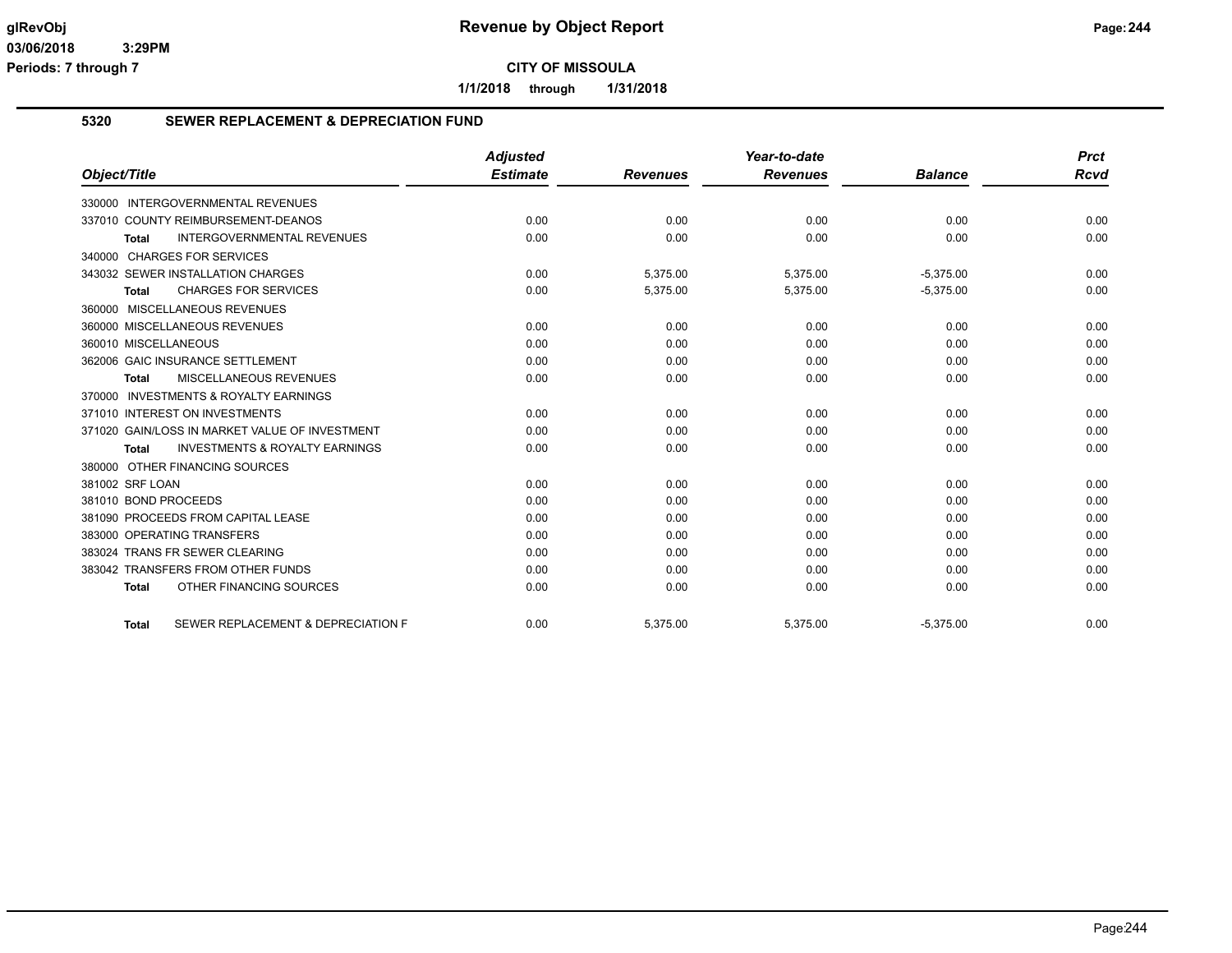**1/1/2018 through 1/31/2018**

### **5320 SEWER REPLACEMENT & DEPRECIATION FUND**

|                                                    | <b>Adjusted</b> |                 | Year-to-date    |                | <b>Prct</b> |
|----------------------------------------------------|-----------------|-----------------|-----------------|----------------|-------------|
| Object/Title                                       | <b>Estimate</b> | <b>Revenues</b> | <b>Revenues</b> | <b>Balance</b> | <b>Rcvd</b> |
| 330000 INTERGOVERNMENTAL REVENUES                  |                 |                 |                 |                |             |
| 337010 COUNTY REIMBURSEMENT-DEANOS                 | 0.00            | 0.00            | 0.00            | 0.00           | 0.00        |
| <b>INTERGOVERNMENTAL REVENUES</b><br><b>Total</b>  | 0.00            | 0.00            | 0.00            | 0.00           | 0.00        |
| 340000 CHARGES FOR SERVICES                        |                 |                 |                 |                |             |
| 343032 SEWER INSTALLATION CHARGES                  | 0.00            | 5,375.00        | 5,375.00        | $-5,375.00$    | 0.00        |
| <b>CHARGES FOR SERVICES</b><br><b>Total</b>        | 0.00            | 5,375.00        | 5,375.00        | $-5,375.00$    | 0.00        |
| 360000 MISCELLANEOUS REVENUES                      |                 |                 |                 |                |             |
| 360000 MISCELLANEOUS REVENUES                      | 0.00            | 0.00            | 0.00            | 0.00           | 0.00        |
| 360010 MISCELLANEOUS                               | 0.00            | 0.00            | 0.00            | 0.00           | 0.00        |
| 362006 GAIC INSURANCE SETTLEMENT                   | 0.00            | 0.00            | 0.00            | 0.00           | 0.00        |
| <b>MISCELLANEOUS REVENUES</b><br><b>Total</b>      | 0.00            | 0.00            | 0.00            | 0.00           | 0.00        |
| 370000 INVESTMENTS & ROYALTY EARNINGS              |                 |                 |                 |                |             |
| 371010 INTEREST ON INVESTMENTS                     | 0.00            | 0.00            | 0.00            | 0.00           | 0.00        |
| 371020 GAIN/LOSS IN MARKET VALUE OF INVESTMENT     | 0.00            | 0.00            | 0.00            | 0.00           | 0.00        |
| <b>INVESTMENTS &amp; ROYALTY EARNINGS</b><br>Total | 0.00            | 0.00            | 0.00            | 0.00           | 0.00        |
| 380000 OTHER FINANCING SOURCES                     |                 |                 |                 |                |             |
| 381002 SRF LOAN                                    | 0.00            | 0.00            | 0.00            | 0.00           | 0.00        |
| 381010 BOND PROCEEDS                               | 0.00            | 0.00            | 0.00            | 0.00           | 0.00        |
| 381090 PROCEEDS FROM CAPITAL LEASE                 | 0.00            | 0.00            | 0.00            | 0.00           | 0.00        |
| 383000 OPERATING TRANSFERS                         | 0.00            | 0.00            | 0.00            | 0.00           | 0.00        |
| 383024 TRANS FR SEWER CLEARING                     | 0.00            | 0.00            | 0.00            | 0.00           | 0.00        |
| 383042 TRANSFERS FROM OTHER FUNDS                  | 0.00            | 0.00            | 0.00            | 0.00           | 0.00        |
| OTHER FINANCING SOURCES<br><b>Total</b>            | 0.00            | 0.00            | 0.00            | 0.00           | 0.00        |
| SEWER REPLACEMENT & DEPRECIATION F<br><b>Total</b> | 0.00            | 5,375.00        | 5,375.00        | $-5,375.00$    | 0.00        |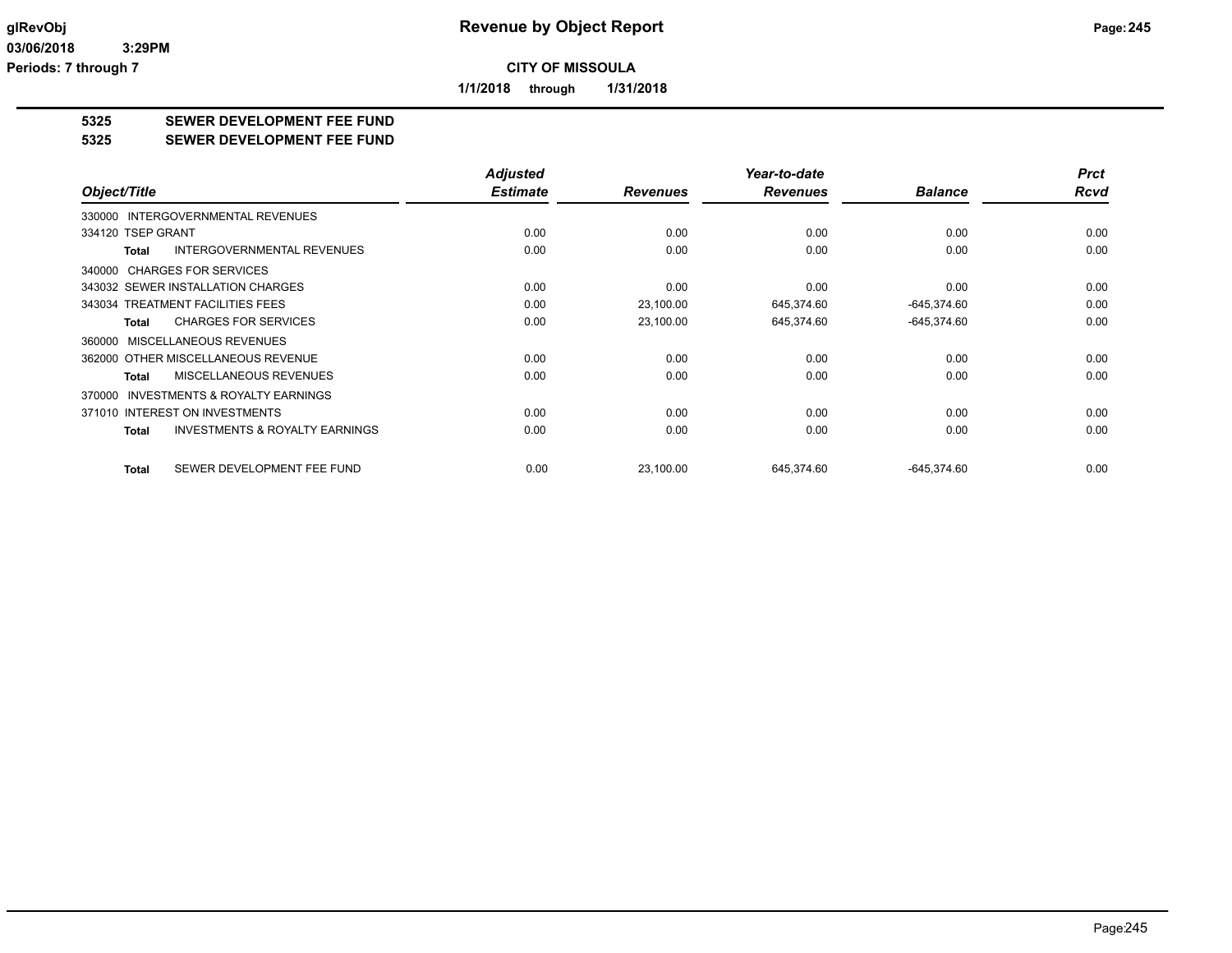**1/1/2018 through 1/31/2018**

# **5325 SEWER DEVELOPMENT FEE FUND**

#### **5325 SEWER DEVELOPMENT FEE FUND**

|                                                           | <b>Adjusted</b> |                 | Year-to-date    |                | <b>Prct</b> |
|-----------------------------------------------------------|-----------------|-----------------|-----------------|----------------|-------------|
| Object/Title                                              | <b>Estimate</b> | <b>Revenues</b> | <b>Revenues</b> | <b>Balance</b> | <b>Rcvd</b> |
| <b>INTERGOVERNMENTAL REVENUES</b><br>330000               |                 |                 |                 |                |             |
| 334120 TSEP GRANT                                         | 0.00            | 0.00            | 0.00            | 0.00           | 0.00        |
| <b>INTERGOVERNMENTAL REVENUES</b><br><b>Total</b>         | 0.00            | 0.00            | 0.00            | 0.00           | 0.00        |
| 340000 CHARGES FOR SERVICES                               |                 |                 |                 |                |             |
| 343032 SEWER INSTALLATION CHARGES                         | 0.00            | 0.00            | 0.00            | 0.00           | 0.00        |
| 343034 TREATMENT FACILITIES FEES                          | 0.00            | 23,100.00       | 645,374.60      | $-645,374.60$  | 0.00        |
| <b>CHARGES FOR SERVICES</b><br><b>Total</b>               | 0.00            | 23,100.00       | 645,374.60      | $-645,374.60$  | 0.00        |
| MISCELLANEOUS REVENUES<br>360000                          |                 |                 |                 |                |             |
| 362000 OTHER MISCELLANEOUS REVENUE                        | 0.00            | 0.00            | 0.00            | 0.00           | 0.00        |
| MISCELLANEOUS REVENUES<br><b>Total</b>                    | 0.00            | 0.00            | 0.00            | 0.00           | 0.00        |
| <b>INVESTMENTS &amp; ROYALTY EARNINGS</b><br>370000       |                 |                 |                 |                |             |
| 371010 INTEREST ON INVESTMENTS                            | 0.00            | 0.00            | 0.00            | 0.00           | 0.00        |
| <b>INVESTMENTS &amp; ROYALTY EARNINGS</b><br><b>Total</b> | 0.00            | 0.00            | 0.00            | 0.00           | 0.00        |
|                                                           |                 |                 |                 |                |             |
| SEWER DEVELOPMENT FEE FUND<br><b>Total</b>                | 0.00            | 23,100.00       | 645,374.60      | $-645,374.60$  | 0.00        |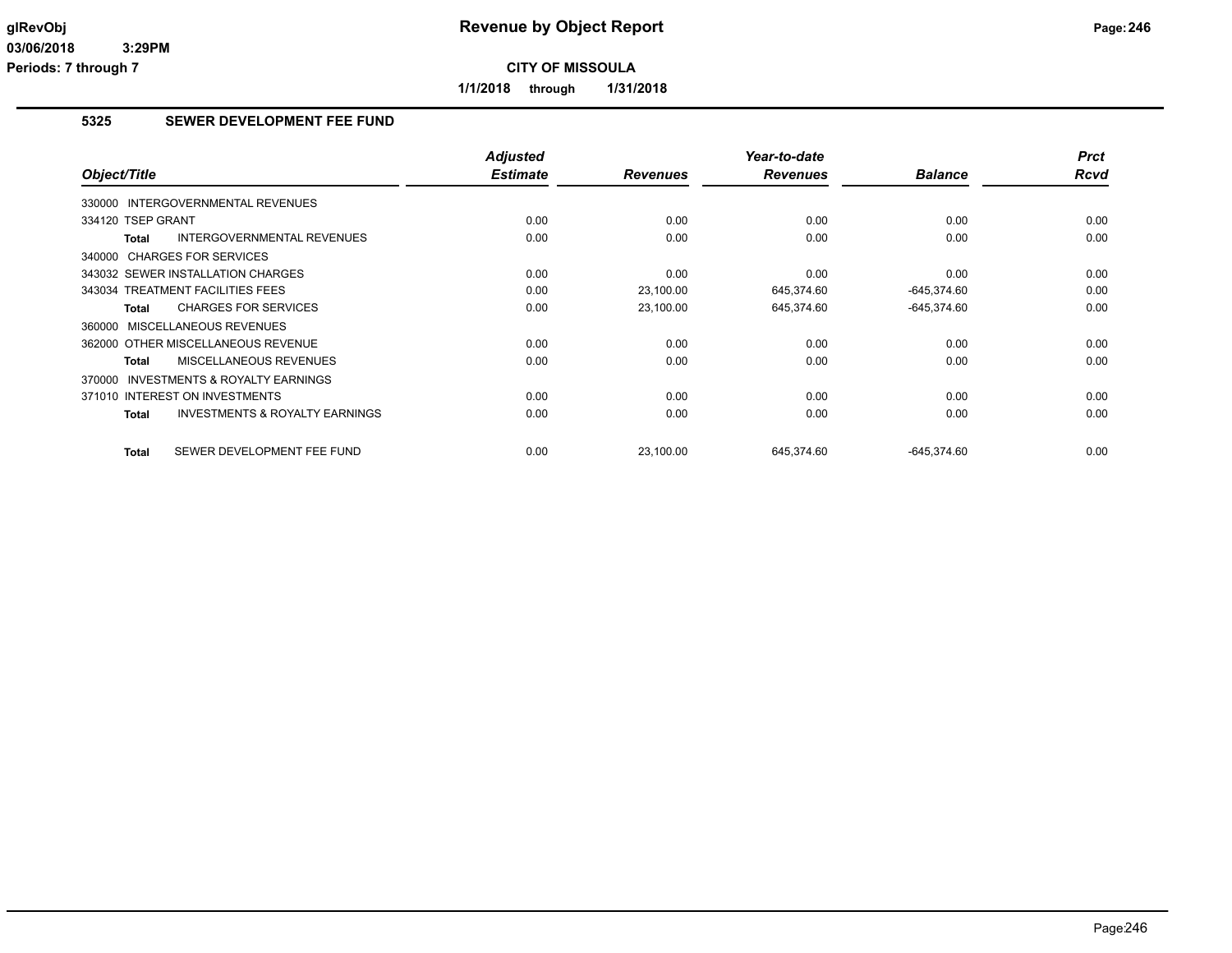**1/1/2018 through 1/31/2018**

# **5325 SEWER DEVELOPMENT FEE FUND**

| Object/Title                                              | <b>Adjusted</b><br><b>Estimate</b> | <b>Revenues</b> | Year-to-date<br><b>Revenues</b> | <b>Balance</b> | <b>Prct</b><br><b>Rcvd</b> |
|-----------------------------------------------------------|------------------------------------|-----------------|---------------------------------|----------------|----------------------------|
| 330000 INTERGOVERNMENTAL REVENUES                         |                                    |                 |                                 |                |                            |
| 334120 TSEP GRANT                                         | 0.00                               | 0.00            | 0.00                            | 0.00           | 0.00                       |
| <b>INTERGOVERNMENTAL REVENUES</b><br><b>Total</b>         | 0.00                               | 0.00            | 0.00                            | 0.00           | 0.00                       |
| 340000 CHARGES FOR SERVICES                               |                                    |                 |                                 |                |                            |
| 343032 SEWER INSTALLATION CHARGES                         | 0.00                               | 0.00            | 0.00                            | 0.00           | 0.00                       |
| 343034 TREATMENT FACILITIES FEES                          | 0.00                               | 23,100.00       | 645,374.60                      | $-645,374.60$  | 0.00                       |
| <b>CHARGES FOR SERVICES</b><br><b>Total</b>               | 0.00                               | 23,100.00       | 645,374.60                      | $-645,374.60$  | 0.00                       |
| 360000 MISCELLANEOUS REVENUES                             |                                    |                 |                                 |                |                            |
| 362000 OTHER MISCELLANEOUS REVENUE                        | 0.00                               | 0.00            | 0.00                            | 0.00           | 0.00                       |
| MISCELLANEOUS REVENUES<br><b>Total</b>                    | 0.00                               | 0.00            | 0.00                            | 0.00           | 0.00                       |
| <b>INVESTMENTS &amp; ROYALTY EARNINGS</b><br>370000       |                                    |                 |                                 |                |                            |
| 371010 INTEREST ON INVESTMENTS                            | 0.00                               | 0.00            | 0.00                            | 0.00           | 0.00                       |
| <b>INVESTMENTS &amp; ROYALTY EARNINGS</b><br><b>Total</b> | 0.00                               | 0.00            | 0.00                            | 0.00           | 0.00                       |
| SEWER DEVELOPMENT FEE FUND<br><b>Total</b>                | 0.00                               | 23.100.00       | 645.374.60                      | $-645.374.60$  | 0.00                       |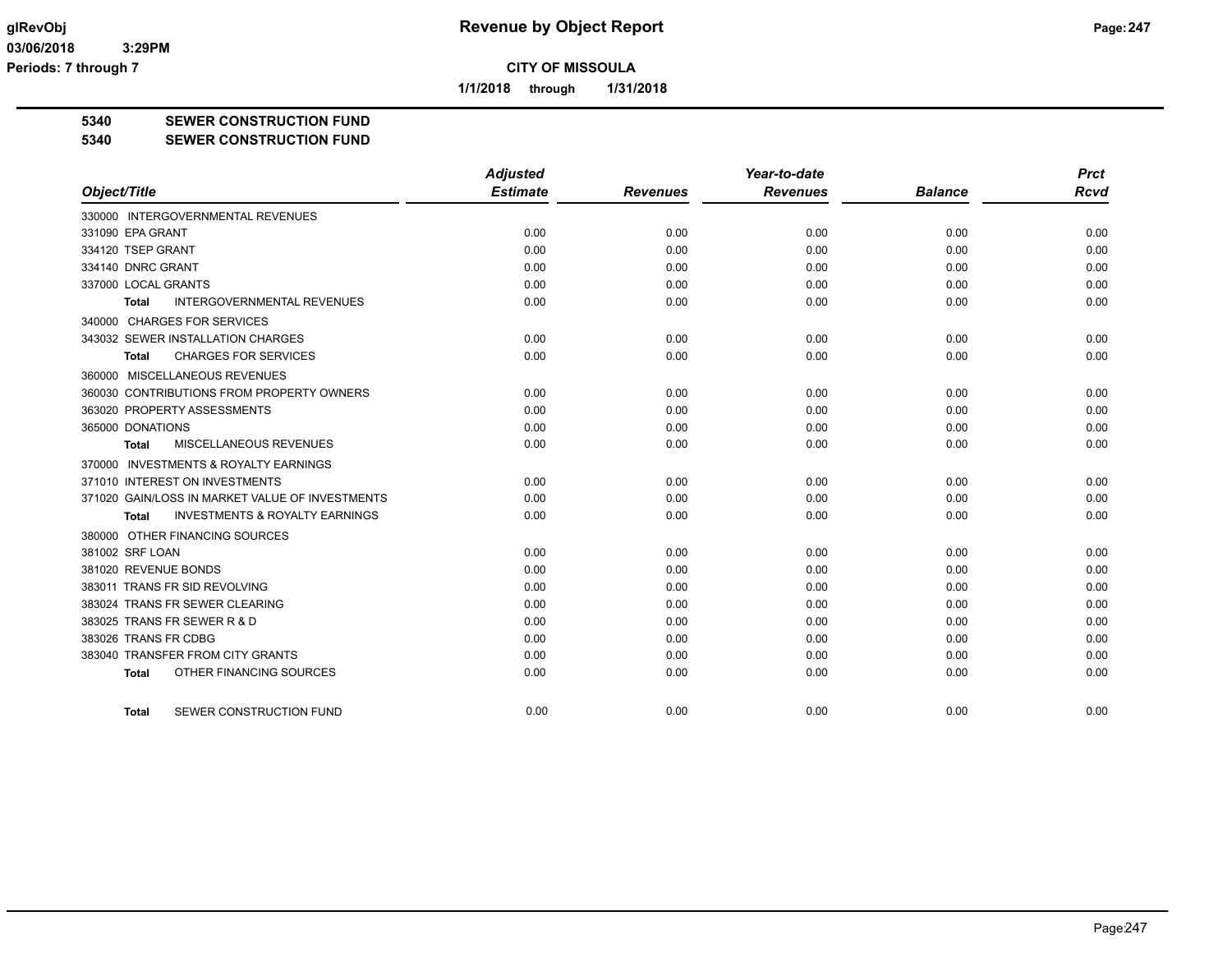**1/1/2018 through 1/31/2018**

**5340 SEWER CONSTRUCTION FUND**

**5340 SEWER CONSTRUCTION FUND**

|                                                           | <b>Adjusted</b> |                 | Year-to-date    |                | <b>Prct</b> |
|-----------------------------------------------------------|-----------------|-----------------|-----------------|----------------|-------------|
| Object/Title                                              | <b>Estimate</b> | <b>Revenues</b> | <b>Revenues</b> | <b>Balance</b> | <b>Rcvd</b> |
| 330000 INTERGOVERNMENTAL REVENUES                         |                 |                 |                 |                |             |
| 331090 EPA GRANT                                          | 0.00            | 0.00            | 0.00            | 0.00           | 0.00        |
| 334120 TSEP GRANT                                         | 0.00            | 0.00            | 0.00            | 0.00           | 0.00        |
| 334140 DNRC GRANT                                         | 0.00            | 0.00            | 0.00            | 0.00           | 0.00        |
| 337000 LOCAL GRANTS                                       | 0.00            | 0.00            | 0.00            | 0.00           | 0.00        |
| <b>INTERGOVERNMENTAL REVENUES</b><br><b>Total</b>         | 0.00            | 0.00            | 0.00            | 0.00           | 0.00        |
| 340000 CHARGES FOR SERVICES                               |                 |                 |                 |                |             |
| 343032 SEWER INSTALLATION CHARGES                         | 0.00            | 0.00            | 0.00            | 0.00           | 0.00        |
| <b>CHARGES FOR SERVICES</b><br>Total                      | 0.00            | 0.00            | 0.00            | 0.00           | 0.00        |
| 360000 MISCELLANEOUS REVENUES                             |                 |                 |                 |                |             |
| 360030 CONTRIBUTIONS FROM PROPERTY OWNERS                 | 0.00            | 0.00            | 0.00            | 0.00           | 0.00        |
| 363020 PROPERTY ASSESSMENTS                               | 0.00            | 0.00            | 0.00            | 0.00           | 0.00        |
| 365000 DONATIONS                                          | 0.00            | 0.00            | 0.00            | 0.00           | 0.00        |
| MISCELLANEOUS REVENUES<br>Total                           | 0.00            | 0.00            | 0.00            | 0.00           | 0.00        |
| 370000 INVESTMENTS & ROYALTY EARNINGS                     |                 |                 |                 |                |             |
| 371010 INTEREST ON INVESTMENTS                            | 0.00            | 0.00            | 0.00            | 0.00           | 0.00        |
| 371020 GAIN/LOSS IN MARKET VALUE OF INVESTMENTS           | 0.00            | 0.00            | 0.00            | 0.00           | 0.00        |
| <b>INVESTMENTS &amp; ROYALTY EARNINGS</b><br><b>Total</b> | 0.00            | 0.00            | 0.00            | 0.00           | 0.00        |
| 380000 OTHER FINANCING SOURCES                            |                 |                 |                 |                |             |
| 381002 SRF LOAN                                           | 0.00            | 0.00            | 0.00            | 0.00           | 0.00        |
| 381020 REVENUE BONDS                                      | 0.00            | 0.00            | 0.00            | 0.00           | 0.00        |
| 383011 TRANS FR SID REVOLVING                             | 0.00            | 0.00            | 0.00            | 0.00           | 0.00        |
| 383024 TRANS FR SEWER CLEARING                            | 0.00            | 0.00            | 0.00            | 0.00           | 0.00        |
| 383025 TRANS FR SEWER R & D                               | 0.00            | 0.00            | 0.00            | 0.00           | 0.00        |
| 383026 TRANS FR CDBG                                      | 0.00            | 0.00            | 0.00            | 0.00           | 0.00        |
| 383040 TRANSFER FROM CITY GRANTS                          | 0.00            | 0.00            | 0.00            | 0.00           | 0.00        |
| OTHER FINANCING SOURCES<br><b>Total</b>                   | 0.00            | 0.00            | 0.00            | 0.00           | 0.00        |
| SEWER CONSTRUCTION FUND<br><b>Total</b>                   | 0.00            | 0.00            | 0.00            | 0.00           | 0.00        |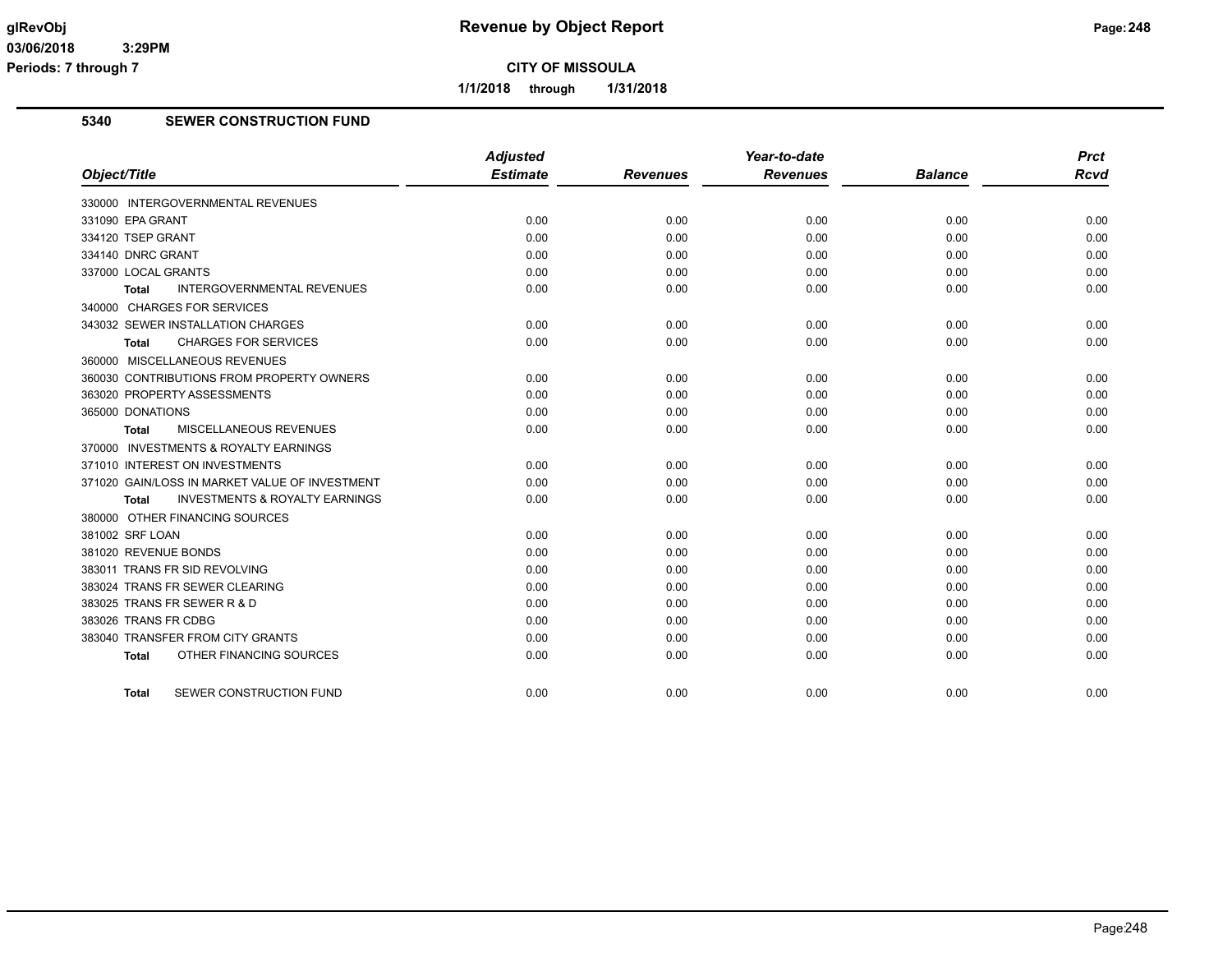**1/1/2018 through 1/31/2018**

# **5340 SEWER CONSTRUCTION FUND**

|                                                           | <b>Adjusted</b> |                 | Year-to-date    |                | <b>Prct</b> |
|-----------------------------------------------------------|-----------------|-----------------|-----------------|----------------|-------------|
| Object/Title                                              | <b>Estimate</b> | <b>Revenues</b> | <b>Revenues</b> | <b>Balance</b> | Rcvd        |
| 330000 INTERGOVERNMENTAL REVENUES                         |                 |                 |                 |                |             |
| 331090 EPA GRANT                                          | 0.00            | 0.00            | 0.00            | 0.00           | 0.00        |
| 334120 TSEP GRANT                                         | 0.00            | 0.00            | 0.00            | 0.00           | 0.00        |
| 334140 DNRC GRANT                                         | 0.00            | 0.00            | 0.00            | 0.00           | 0.00        |
| 337000 LOCAL GRANTS                                       | 0.00            | 0.00            | 0.00            | 0.00           | 0.00        |
| <b>INTERGOVERNMENTAL REVENUES</b><br><b>Total</b>         | 0.00            | 0.00            | 0.00            | 0.00           | 0.00        |
| 340000 CHARGES FOR SERVICES                               |                 |                 |                 |                |             |
| 343032 SEWER INSTALLATION CHARGES                         | 0.00            | 0.00            | 0.00            | 0.00           | 0.00        |
| <b>CHARGES FOR SERVICES</b><br>Total                      | 0.00            | 0.00            | 0.00            | 0.00           | 0.00        |
| 360000 MISCELLANEOUS REVENUES                             |                 |                 |                 |                |             |
| 360030 CONTRIBUTIONS FROM PROPERTY OWNERS                 | 0.00            | 0.00            | 0.00            | 0.00           | 0.00        |
| 363020 PROPERTY ASSESSMENTS                               | 0.00            | 0.00            | 0.00            | 0.00           | 0.00        |
| 365000 DONATIONS                                          | 0.00            | 0.00            | 0.00            | 0.00           | 0.00        |
| MISCELLANEOUS REVENUES<br><b>Total</b>                    | 0.00            | 0.00            | 0.00            | 0.00           | 0.00        |
| 370000 INVESTMENTS & ROYALTY EARNINGS                     |                 |                 |                 |                |             |
| 371010 INTEREST ON INVESTMENTS                            | 0.00            | 0.00            | 0.00            | 0.00           | 0.00        |
| 371020 GAIN/LOSS IN MARKET VALUE OF INVESTMENT            | 0.00            | 0.00            | 0.00            | 0.00           | 0.00        |
| <b>INVESTMENTS &amp; ROYALTY EARNINGS</b><br><b>Total</b> | 0.00            | 0.00            | 0.00            | 0.00           | 0.00        |
| 380000 OTHER FINANCING SOURCES                            |                 |                 |                 |                |             |
| 381002 SRF LOAN                                           | 0.00            | 0.00            | 0.00            | 0.00           | 0.00        |
| 381020 REVENUE BONDS                                      | 0.00            | 0.00            | 0.00            | 0.00           | 0.00        |
| 383011 TRANS FR SID REVOLVING                             | 0.00            | 0.00            | 0.00            | 0.00           | 0.00        |
| 383024 TRANS FR SEWER CLEARING                            | 0.00            | 0.00            | 0.00            | 0.00           | 0.00        |
| 383025 TRANS FR SEWER R & D                               | 0.00            | 0.00            | 0.00            | 0.00           | 0.00        |
| 383026 TRANS FR CDBG                                      | 0.00            | 0.00            | 0.00            | 0.00           | 0.00        |
| 383040 TRANSFER FROM CITY GRANTS                          | 0.00            | 0.00            | 0.00            | 0.00           | 0.00        |
| OTHER FINANCING SOURCES<br><b>Total</b>                   | 0.00            | 0.00            | 0.00            | 0.00           | 0.00        |
| SEWER CONSTRUCTION FUND<br><b>Total</b>                   | 0.00            | 0.00            | 0.00            | 0.00           | 0.00        |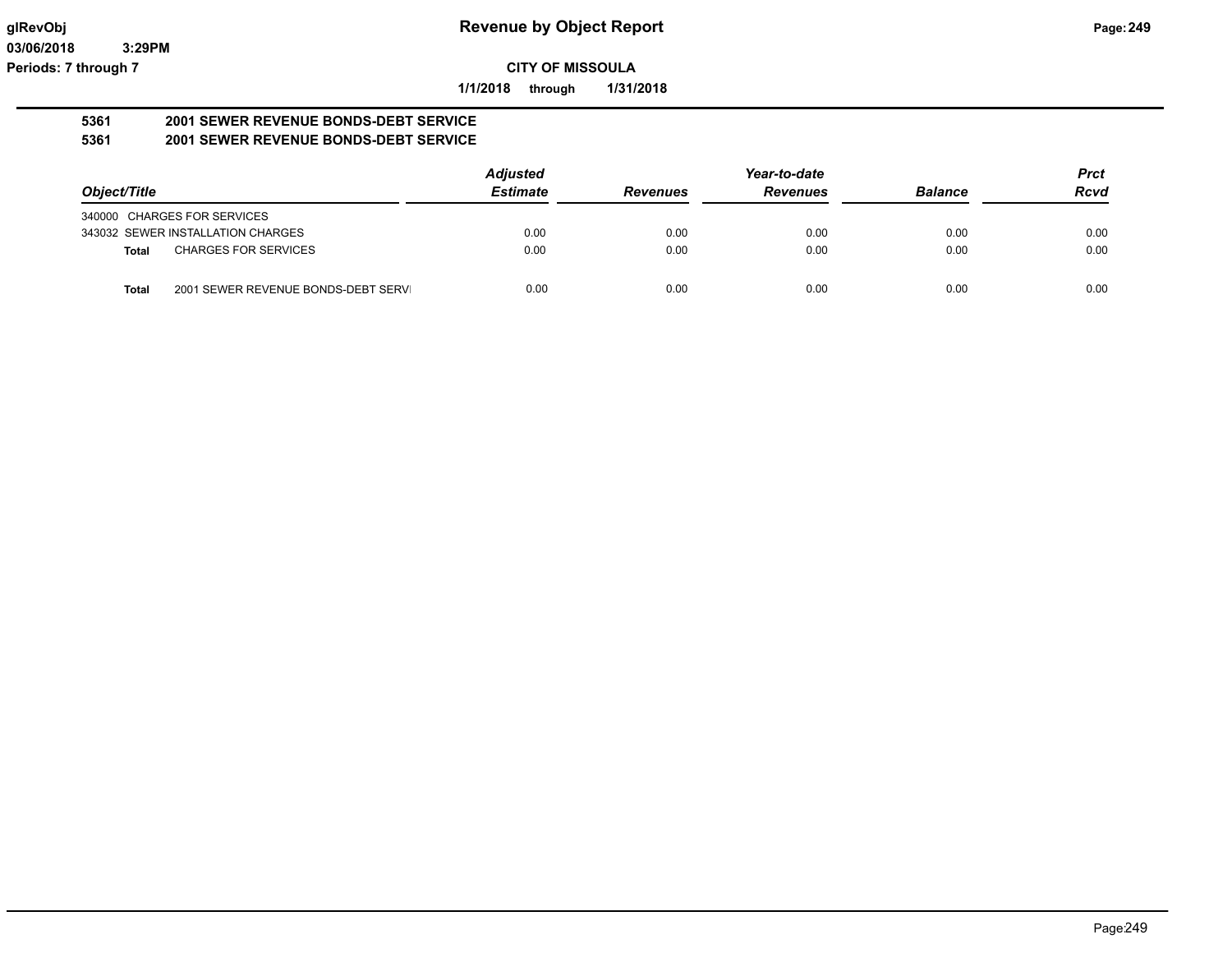**1/1/2018 through 1/31/2018**

#### **5361 2001 SEWER REVENUE BONDS-DEBT SERVICE 5361 2001 SEWER REVENUE BONDS-DEBT SERVICE**

|                                                     | <b>Adjusted</b> |                 | Year-to-date    |                | <b>Prct</b> |
|-----------------------------------------------------|-----------------|-----------------|-----------------|----------------|-------------|
| Object/Title                                        | <b>Estimate</b> | <b>Revenues</b> | <b>Revenues</b> | <b>Balance</b> | <b>Rcvd</b> |
| 340000 CHARGES FOR SERVICES                         |                 |                 |                 |                |             |
| 343032 SEWER INSTALLATION CHARGES                   | 0.00            | 0.00            | 0.00            | 0.00           | 0.00        |
| <b>CHARGES FOR SERVICES</b><br><b>Total</b>         | 0.00            | 0.00            | 0.00            | 0.00           | 0.00        |
| 2001 SEWER REVENUE BONDS-DEBT SERVI<br><b>Total</b> | 0.00            | 0.00            | 0.00            | 0.00           | 0.00        |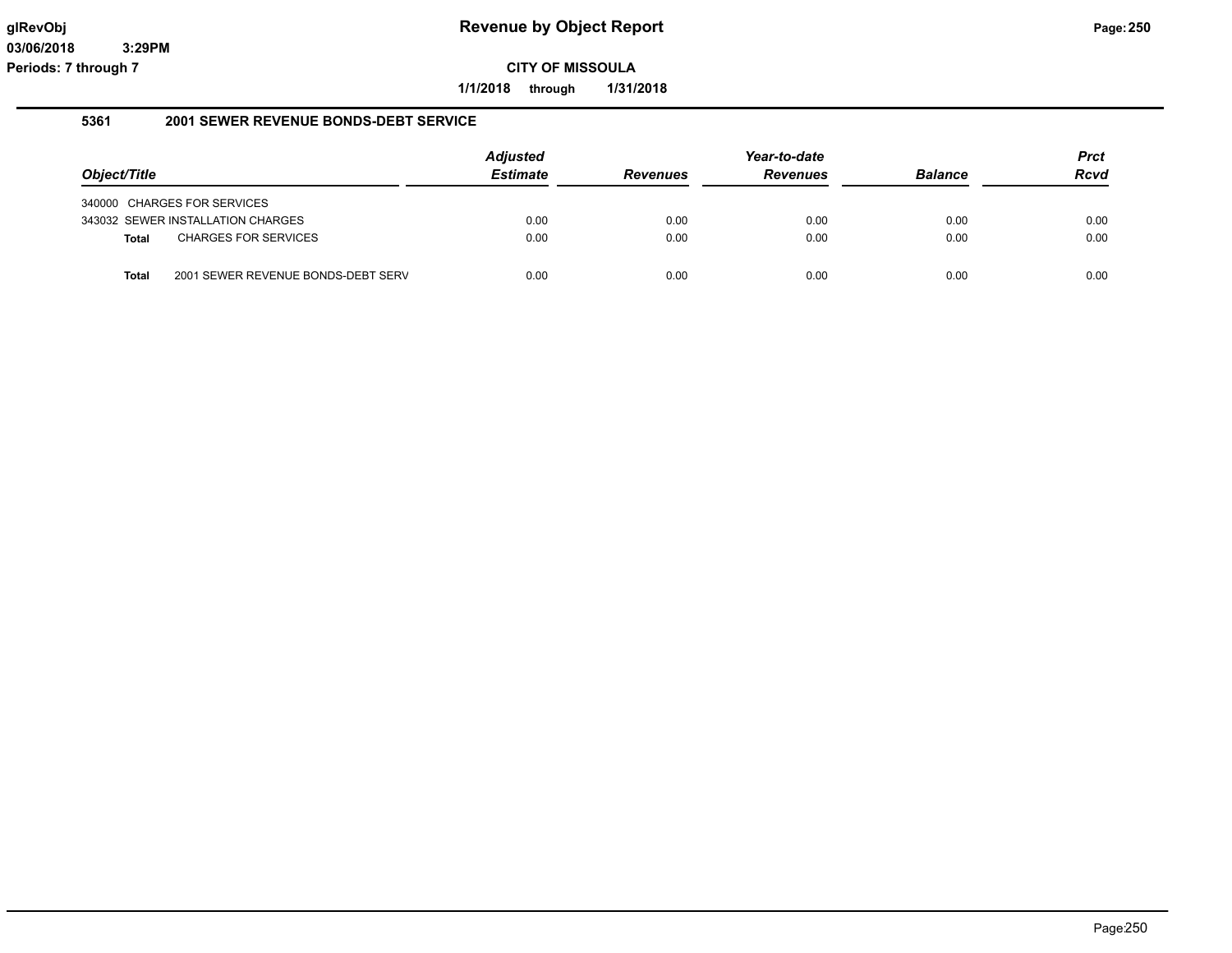**1/1/2018 through 1/31/2018**

#### **5361 2001 SEWER REVENUE BONDS-DEBT SERVICE**

|              |                                    | <b>Adjusted</b> |                 | Year-to-date    |                | Prct |
|--------------|------------------------------------|-----------------|-----------------|-----------------|----------------|------|
| Object/Title |                                    | <b>Estimate</b> | <b>Revenues</b> | <b>Revenues</b> | <b>Balance</b> | Rcvd |
|              | 340000 CHARGES FOR SERVICES        |                 |                 |                 |                |      |
|              | 343032 SEWER INSTALLATION CHARGES  | 0.00            | 0.00            | 0.00            | 0.00           | 0.00 |
| Total        | <b>CHARGES FOR SERVICES</b>        | 0.00            | 0.00            | 0.00            | 0.00           | 0.00 |
| <b>Total</b> | 2001 SEWER REVENUE BONDS-DEBT SERV | 0.00            | 0.00            | 0.00            | 0.00           | 0.00 |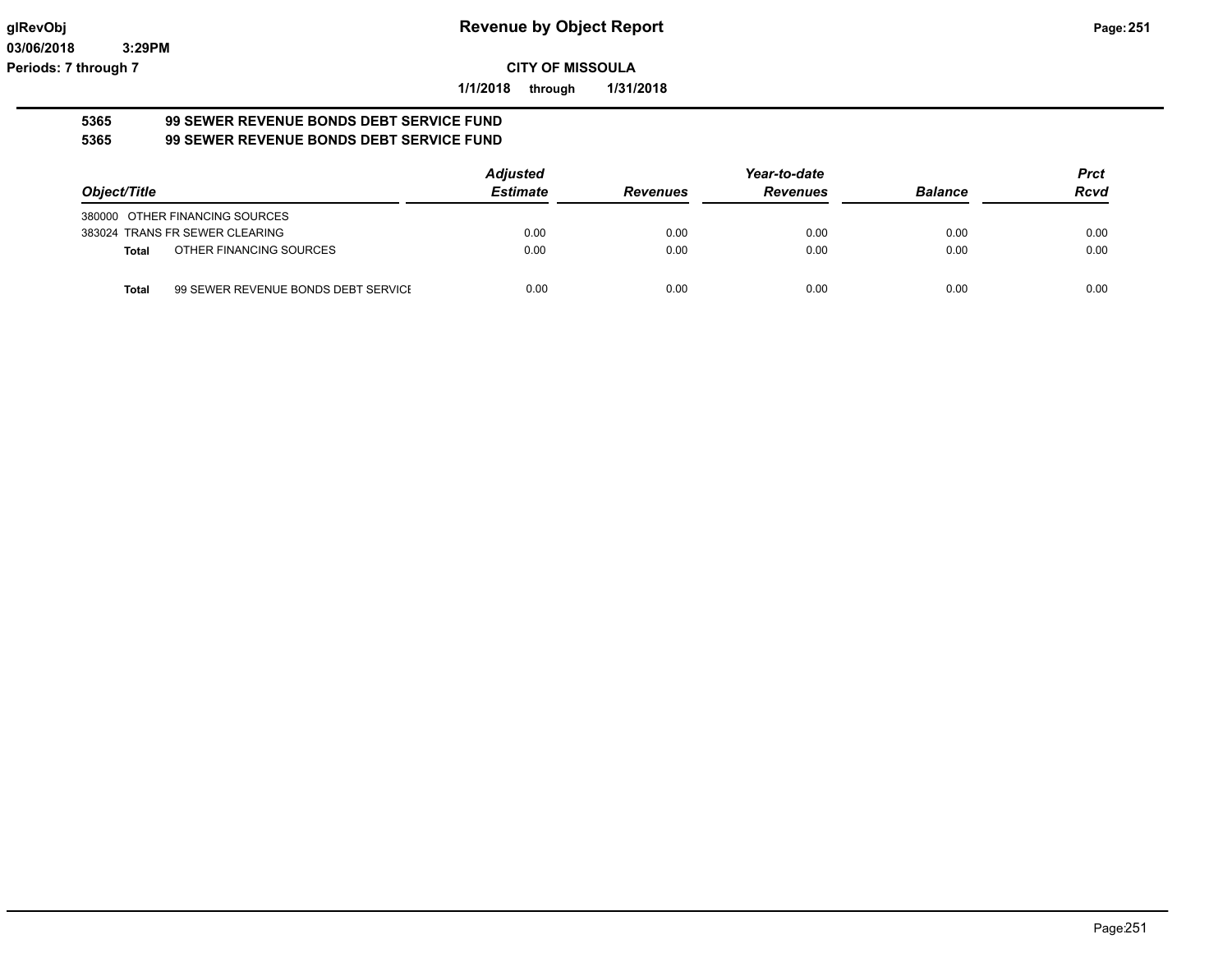**1/1/2018 through 1/31/2018**

#### **5365 99 SEWER REVENUE BONDS DEBT SERVICE FUND 5365 99 SEWER REVENUE BONDS DEBT SERVICE FUND**

|              |                                     | <b>Adjusted</b> |                 | Year-to-date    |                | <b>Prct</b> |
|--------------|-------------------------------------|-----------------|-----------------|-----------------|----------------|-------------|
| Object/Title |                                     | <b>Estimate</b> | <b>Revenues</b> | <b>Revenues</b> | <b>Balance</b> | <b>Rcvd</b> |
|              | 380000 OTHER FINANCING SOURCES      |                 |                 |                 |                |             |
|              | 383024 TRANS FR SEWER CLEARING      | 0.00            | 0.00            | 0.00            | 0.00           | 0.00        |
| <b>Total</b> | OTHER FINANCING SOURCES             | 0.00            | 0.00            | 0.00            | 0.00           | 0.00        |
| Total        | 99 SEWER REVENUE BONDS DEBT SERVICE | 0.00            | 0.00            | 0.00            | 0.00           | 0.00        |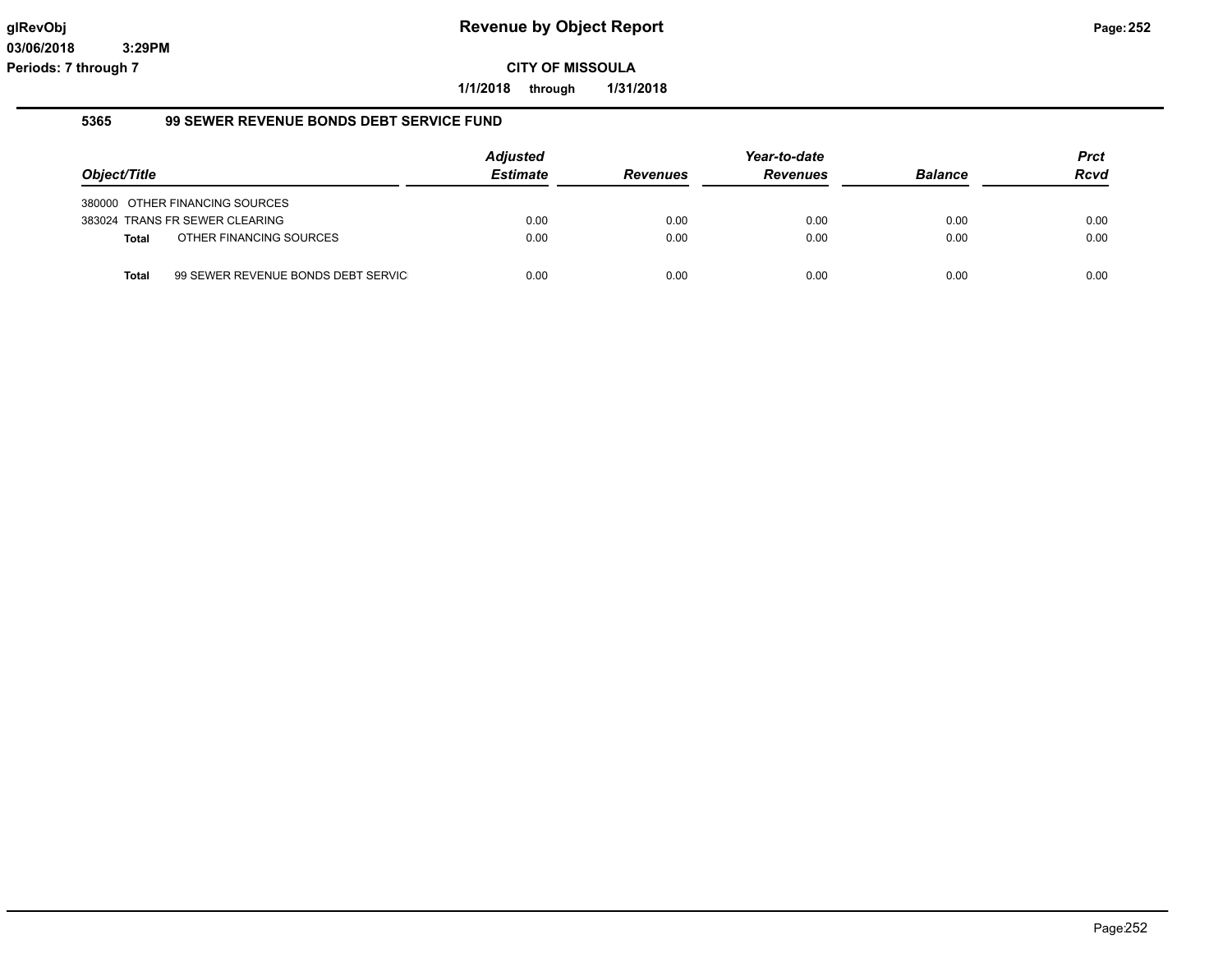**1/1/2018 through 1/31/2018**

#### **5365 99 SEWER REVENUE BONDS DEBT SERVICE FUND**

|              |                                    | <b>Adjusted</b> |                 | Year-to-date    |                | <b>Prct</b> |
|--------------|------------------------------------|-----------------|-----------------|-----------------|----------------|-------------|
| Object/Title |                                    | <b>Estimate</b> | <b>Revenues</b> | <b>Revenues</b> | <b>Balance</b> | <b>Rcvd</b> |
|              | 380000 OTHER FINANCING SOURCES     |                 |                 |                 |                |             |
|              | 383024 TRANS FR SEWER CLEARING     | 0.00            | 0.00            | 0.00            | 0.00           | 0.00        |
| <b>Total</b> | OTHER FINANCING SOURCES            | 0.00            | 0.00            | 0.00            | 0.00           | 0.00        |
| Total        | 99 SEWER REVENUE BONDS DEBT SERVIC | 0.00            | 0.00            | 0.00            | 0.00           | 0.00        |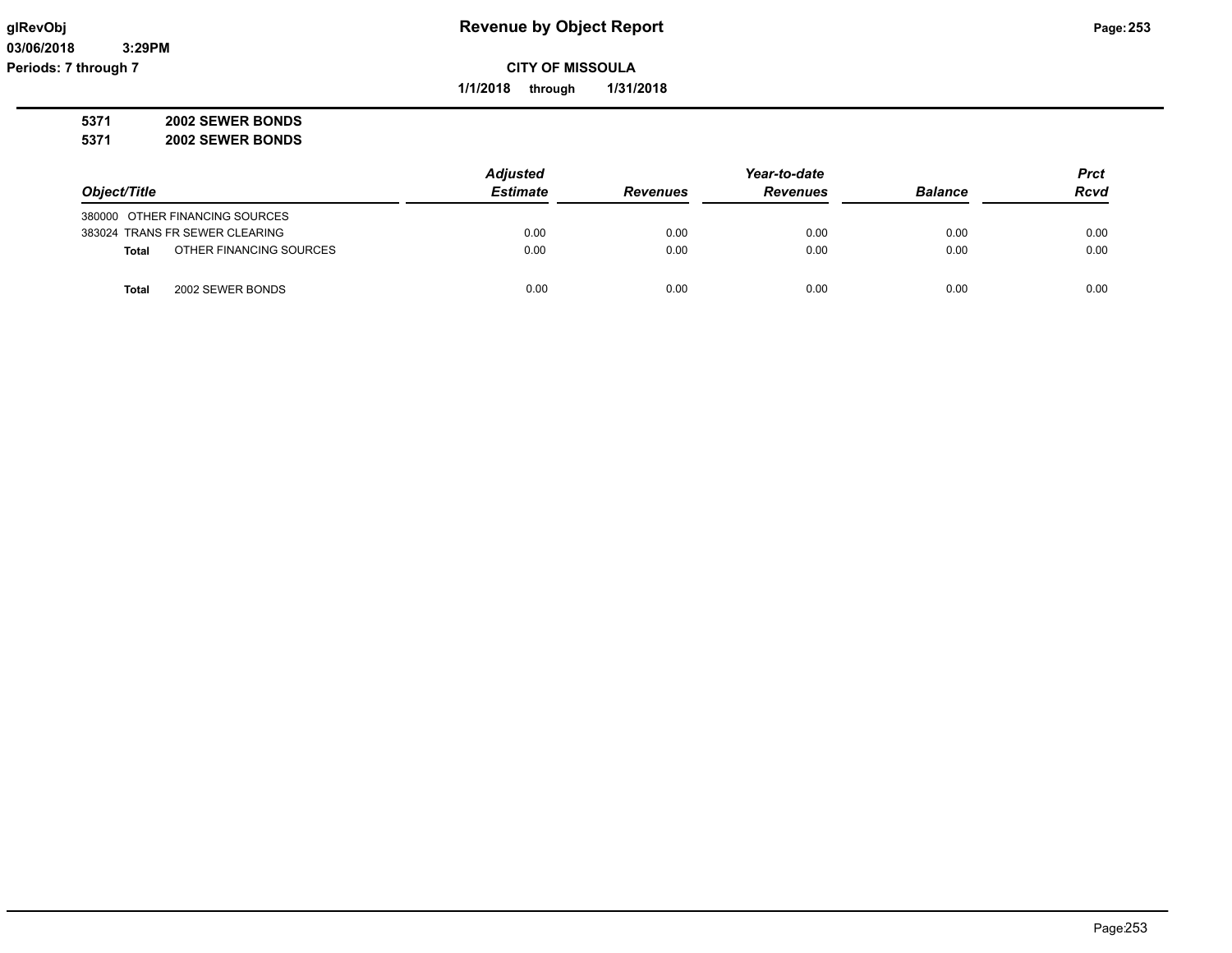## **glRevObj Revenue by Object Report Page:253**

**CITY OF MISSOULA**

**1/1/2018 through 1/31/2018**

**5371 2002 SEWER BONDS 5371 2002 SEWER BONDS**

|                                         | <b>Adjusted</b> |                 | Year-to-date    |                | <b>Prct</b> |
|-----------------------------------------|-----------------|-----------------|-----------------|----------------|-------------|
| Object/Title                            | <b>Estimate</b> | <b>Revenues</b> | <b>Revenues</b> | <b>Balance</b> | Rcvd        |
| 380000 OTHER FINANCING SOURCES          |                 |                 |                 |                |             |
| 383024 TRANS FR SEWER CLEARING          | 0.00            | 0.00            | 0.00            | 0.00           | 0.00        |
| OTHER FINANCING SOURCES<br><b>Total</b> | 0.00            | 0.00            | 0.00            | 0.00           | 0.00        |
| 2002 SEWER BONDS<br>Total               | 0.00            | 0.00            | 0.00            | 0.00           | 0.00        |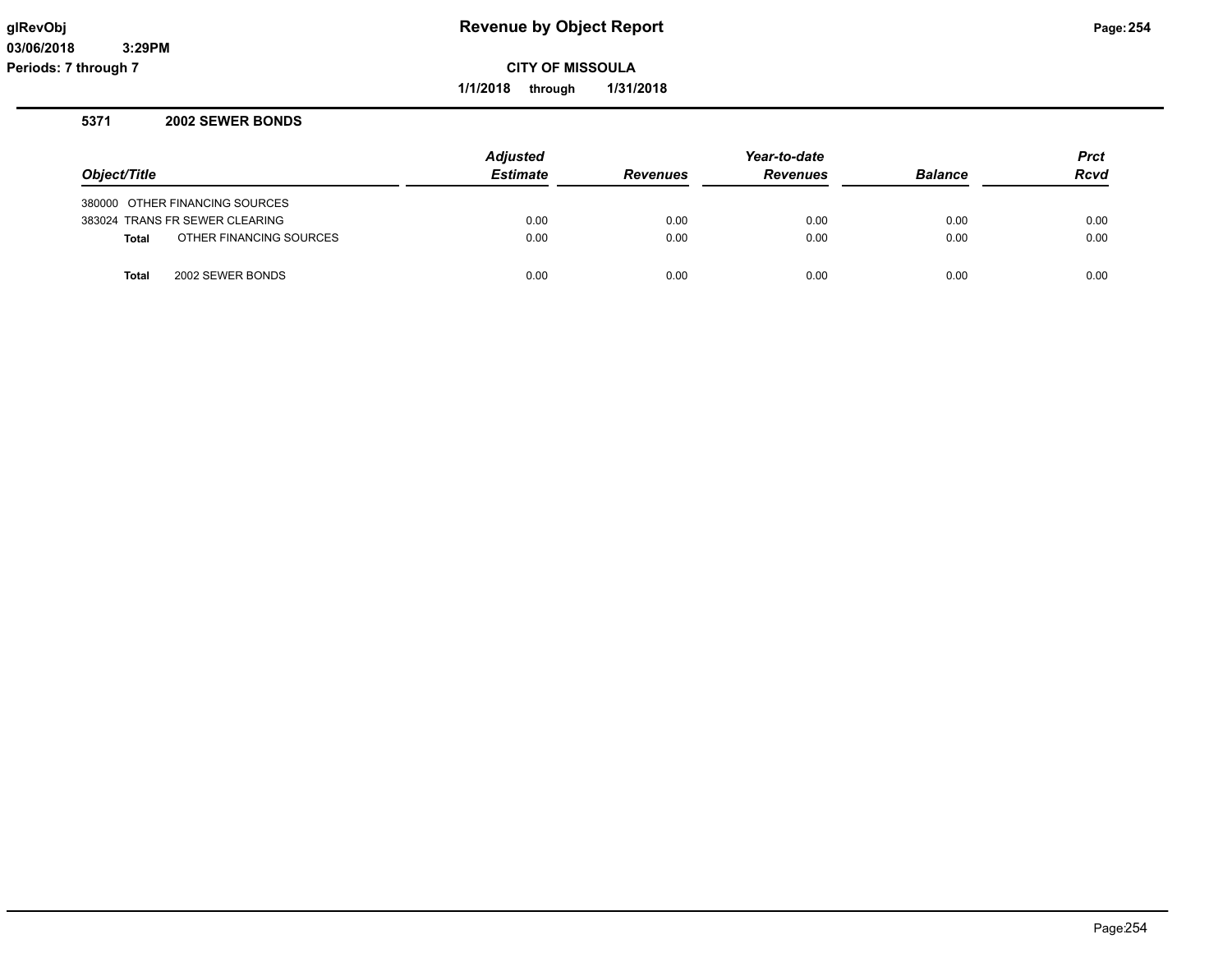## **glRevObj Revenue by Object Report Page:254**

**CITY OF MISSOULA**

**1/1/2018 through 1/31/2018**

## **5371 2002 SEWER BONDS**

|                                         | <b>Adjusted</b> |                 | Year-to-date    |                | <b>Prct</b> |
|-----------------------------------------|-----------------|-----------------|-----------------|----------------|-------------|
| Object/Title                            | <b>Estimate</b> | <b>Revenues</b> | <b>Revenues</b> | <b>Balance</b> | Rcvd        |
| 380000 OTHER FINANCING SOURCES          |                 |                 |                 |                |             |
| 383024 TRANS FR SEWER CLEARING          | 0.00            | 0.00            | 0.00            | 0.00           | 0.00        |
| OTHER FINANCING SOURCES<br><b>Total</b> | 0.00            | 0.00            | 0.00            | 0.00           | 0.00        |
| 2002 SEWER BONDS<br><b>Total</b>        | 0.00            | 0.00            | 0.00            | 0.00           | 0.00        |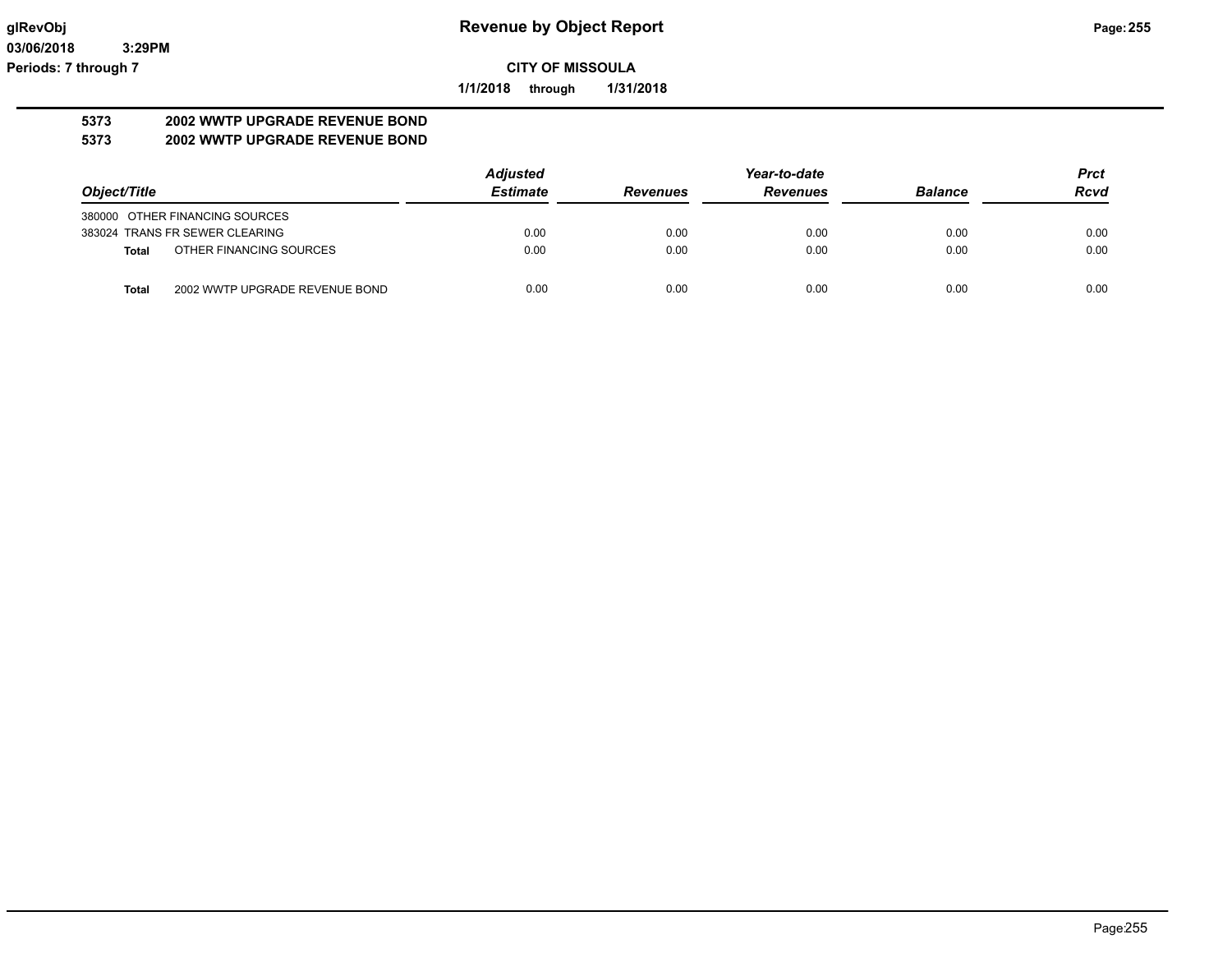**1/1/2018 through 1/31/2018**

# **5373 2002 WWTP UPGRADE REVENUE BOND**

## **5373 2002 WWTP UPGRADE REVENUE BOND**

|                                         | <b>Adjusted</b> |                 | Year-to-date    |                | <b>Prct</b> |
|-----------------------------------------|-----------------|-----------------|-----------------|----------------|-------------|
| Object/Title                            | <b>Estimate</b> | <b>Revenues</b> | <b>Revenues</b> | <b>Balance</b> | <b>Rcvd</b> |
| 380000 OTHER FINANCING SOURCES          |                 |                 |                 |                |             |
| 383024 TRANS FR SEWER CLEARING          | 0.00            | 0.00            | 0.00            | 0.00           | 0.00        |
| OTHER FINANCING SOURCES<br>Total        | 0.00            | 0.00            | 0.00            | 0.00           | 0.00        |
| 2002 WWTP UPGRADE REVENUE BOND<br>Total | 0.00            | 0.00            | 0.00            | 0.00           | 0.00        |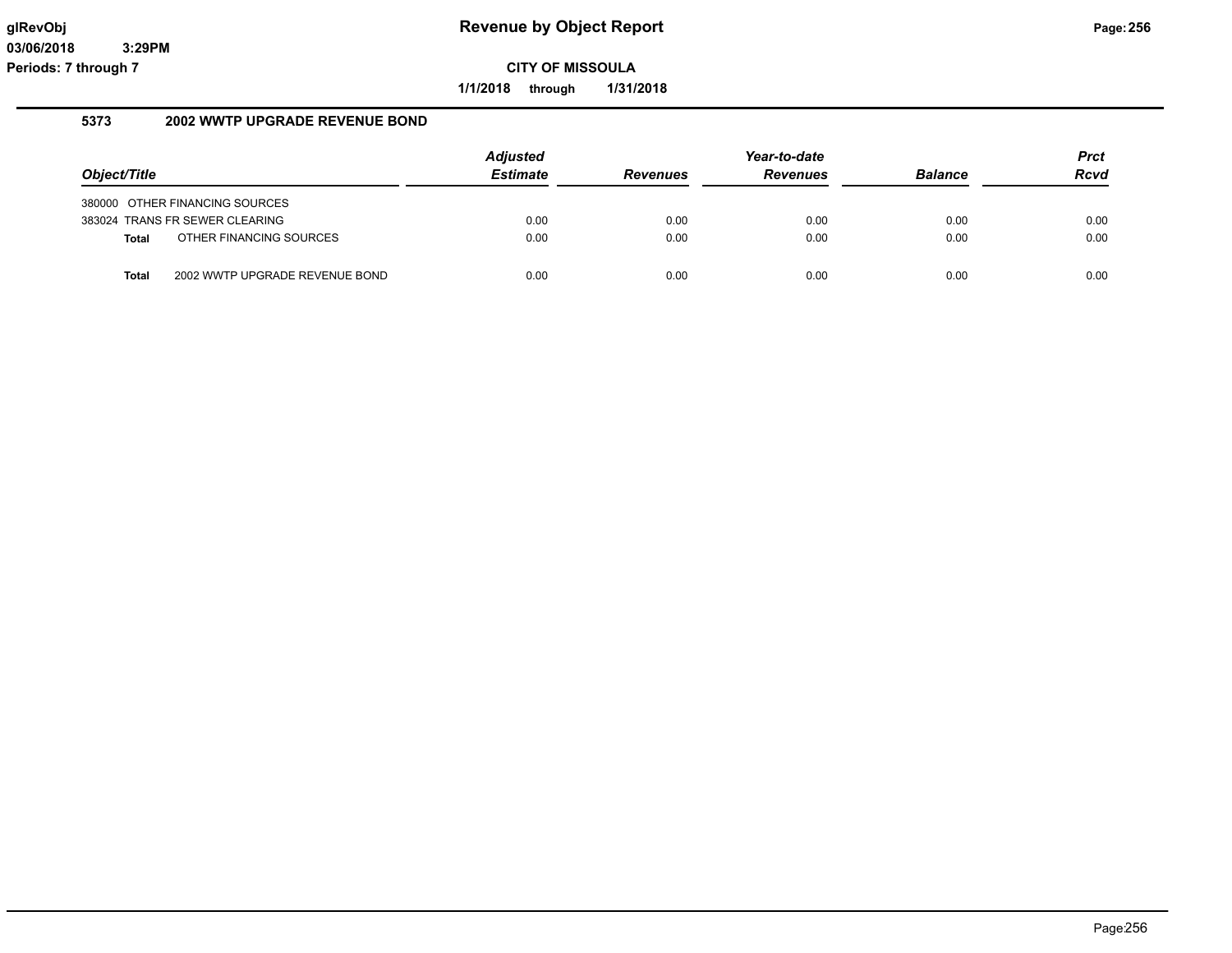**1/1/2018 through 1/31/2018**

## **5373 2002 WWTP UPGRADE REVENUE BOND**

|              |                                | <b>Adjusted</b> |                 | Year-to-date    |                | <b>Prct</b> |
|--------------|--------------------------------|-----------------|-----------------|-----------------|----------------|-------------|
| Object/Title |                                | <b>Estimate</b> | <b>Revenues</b> | <b>Revenues</b> | <b>Balance</b> | <b>Rcvd</b> |
|              | 380000 OTHER FINANCING SOURCES |                 |                 |                 |                |             |
|              | 383024 TRANS FR SEWER CLEARING | 0.00            | 0.00            | 0.00            | 0.00           | 0.00        |
| <b>Total</b> | OTHER FINANCING SOURCES        | 0.00            | 0.00            | 0.00            | 0.00           | 0.00        |
| <b>Total</b> | 2002 WWTP UPGRADE REVENUE BOND | 0.00            | 0.00            | 0.00            | 0.00           | 0.00        |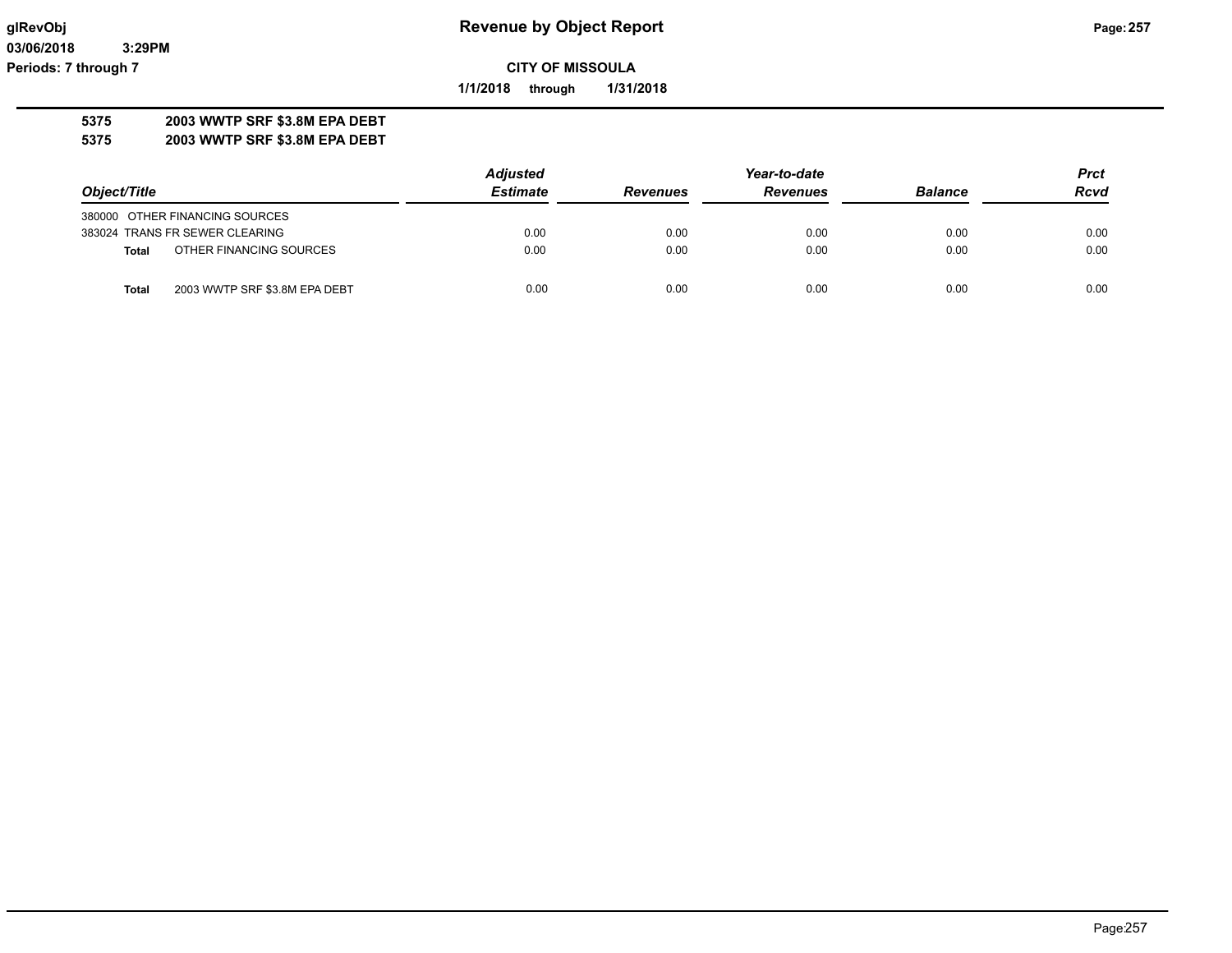**03/06/2018 3:29PM Periods: 7 through 7**

**CITY OF MISSOULA**

**1/1/2018 through 1/31/2018**

## **5375 2003 WWTP SRF \$3.8M EPA DEBT**

**5375 2003 WWTP SRF \$3.8M EPA DEBT**

|                                         | <b>Adjusted</b> | Prct            |                 |                |             |
|-----------------------------------------|-----------------|-----------------|-----------------|----------------|-------------|
| Object/Title                            | <b>Estimate</b> | <b>Revenues</b> | <b>Revenues</b> | <b>Balance</b> | <b>Rcvd</b> |
| 380000 OTHER FINANCING SOURCES          |                 |                 |                 |                |             |
| 383024 TRANS FR SEWER CLEARING          | 0.00            | 0.00            | 0.00            | 0.00           | 0.00        |
| OTHER FINANCING SOURCES<br><b>Total</b> | 0.00            | 0.00            | 0.00            | 0.00           | 0.00        |
| 2003 WWTP SRF \$3.8M EPA DEBT<br>Total  | 0.00            | 0.00            | 0.00            | 0.00           | 0.00        |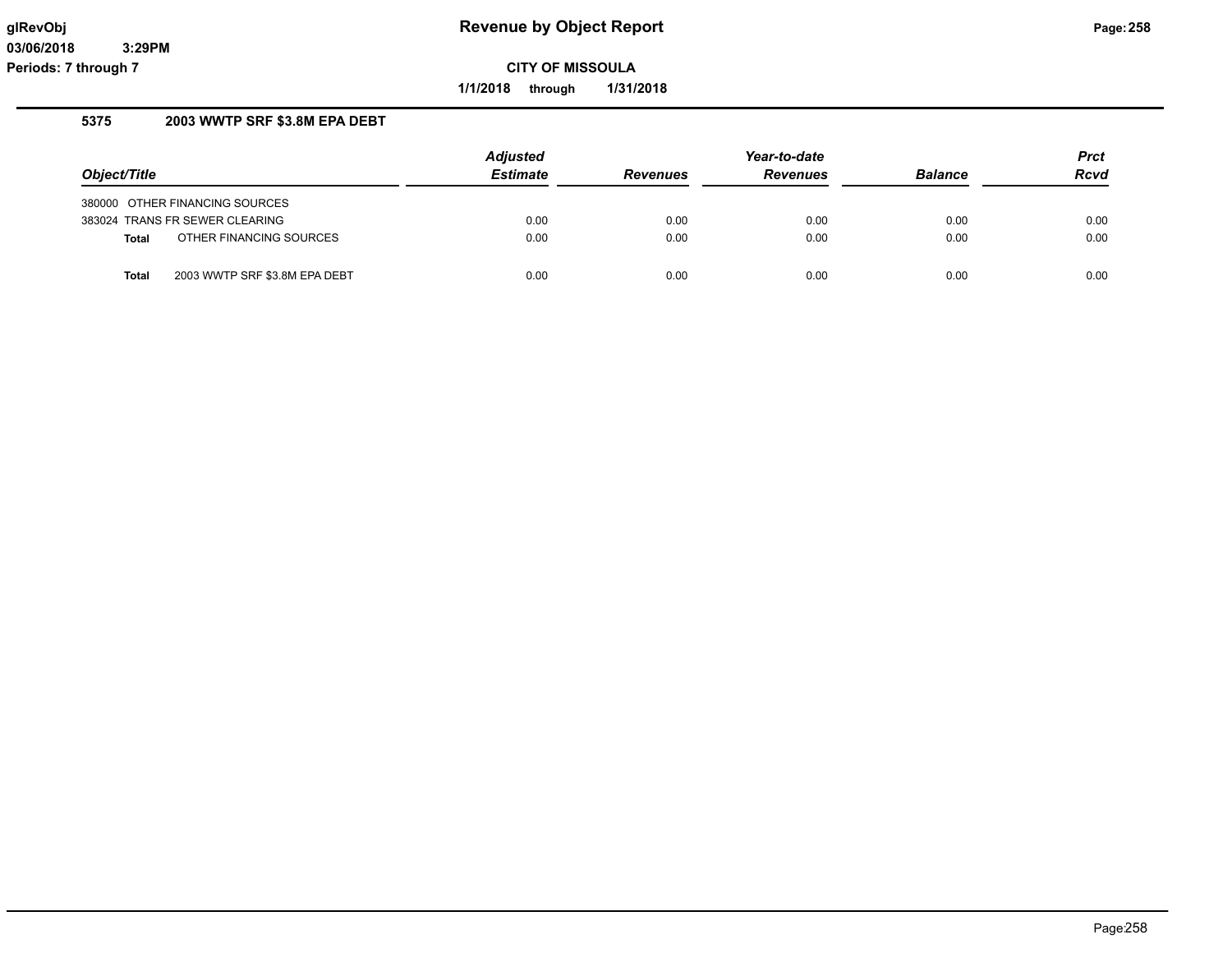**1/1/2018 through 1/31/2018**

## **5375 2003 WWTP SRF \$3.8M EPA DEBT**

|              |                                | Adjusted        |                 | Year-to-date    |                | <b>Prct</b> |
|--------------|--------------------------------|-----------------|-----------------|-----------------|----------------|-------------|
| Object/Title |                                | <b>Estimate</b> | <b>Revenues</b> | <b>Revenues</b> | <b>Balance</b> | <b>Rcvd</b> |
|              | 380000 OTHER FINANCING SOURCES |                 |                 |                 |                |             |
|              | 383024 TRANS FR SEWER CLEARING | 0.00            | 0.00            | 0.00            | 0.00           | 0.00        |
| <b>Total</b> | OTHER FINANCING SOURCES        | 0.00            | 0.00            | 0.00            | 0.00           | 0.00        |
|              |                                |                 |                 |                 |                |             |
| <b>Total</b> | 2003 WWTP SRF \$3.8M EPA DEBT  | 0.00            | 0.00            | 0.00            | 0.00           | 0.00        |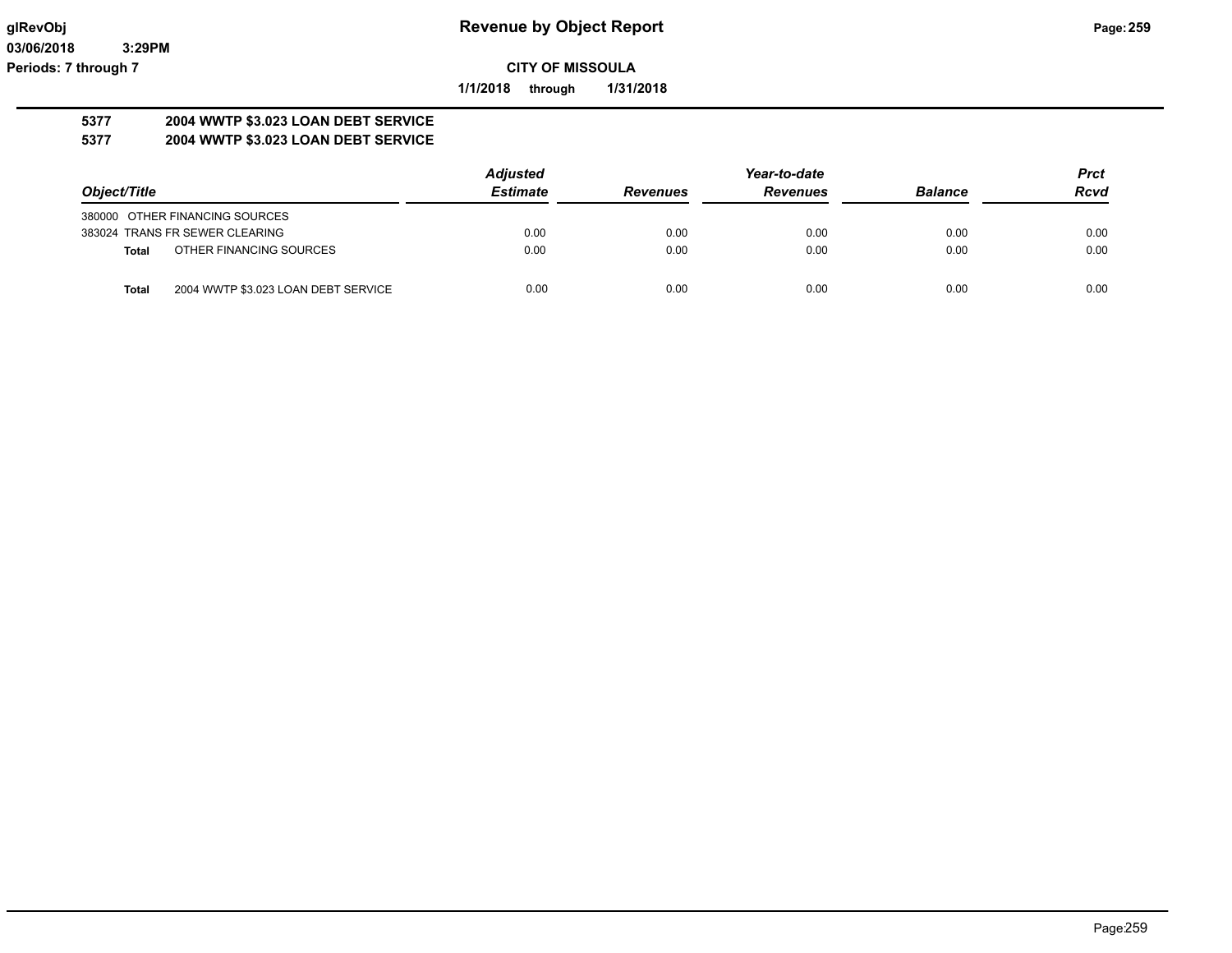**1/1/2018 through 1/31/2018**

#### **5377 2004 WWTP \$3.023 LOAN DEBT SERVICE 5377 2004 WWTP \$3.023 LOAN DEBT SERVICE**

|                                                     | <b>Adjusted</b> |                 | Year-to-date    |                | <b>Prct</b> |
|-----------------------------------------------------|-----------------|-----------------|-----------------|----------------|-------------|
| Object/Title                                        | <b>Estimate</b> | <b>Revenues</b> | <b>Revenues</b> | <b>Balance</b> | <b>Rcvd</b> |
| 380000 OTHER FINANCING SOURCES                      |                 |                 |                 |                |             |
| 383024 TRANS FR SEWER CLEARING                      | 0.00            | 0.00            | 0.00            | 0.00           | 0.00        |
| OTHER FINANCING SOURCES<br>Total                    | 0.00            | 0.00            | 0.00            | 0.00           | 0.00        |
| 2004 WWTP \$3.023 LOAN DEBT SERVICE<br><b>Total</b> | 0.00            | 0.00            | 0.00            | 0.00           | 0.00        |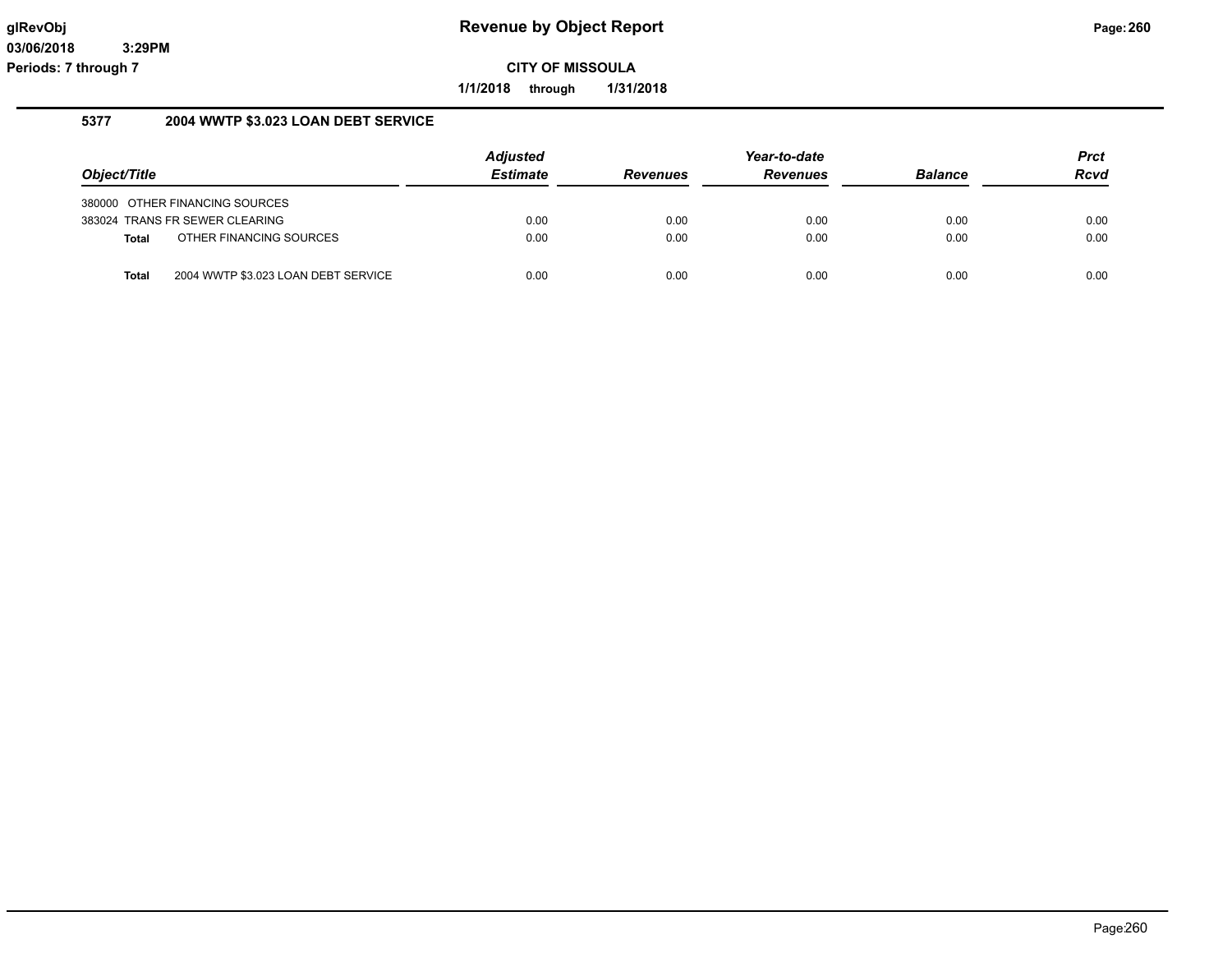**1/1/2018 through 1/31/2018**

## **5377 2004 WWTP \$3.023 LOAN DEBT SERVICE**

|              |                                     | <b>Adjusted</b> |                 | Year-to-date    |                | Prct |
|--------------|-------------------------------------|-----------------|-----------------|-----------------|----------------|------|
| Object/Title |                                     | <b>Estimate</b> | <b>Revenues</b> | <b>Revenues</b> | <b>Balance</b> | Rcvd |
|              | 380000 OTHER FINANCING SOURCES      |                 |                 |                 |                |      |
|              | 383024 TRANS FR SEWER CLEARING      | 0.00            | 0.00            | 0.00            | 0.00           | 0.00 |
| Total        | OTHER FINANCING SOURCES             | 0.00            | 0.00            | 0.00            | 0.00           | 0.00 |
| <b>Total</b> | 2004 WWTP \$3.023 LOAN DEBT SERVICE | 0.00            | 0.00            | 0.00            | 0.00           | 0.00 |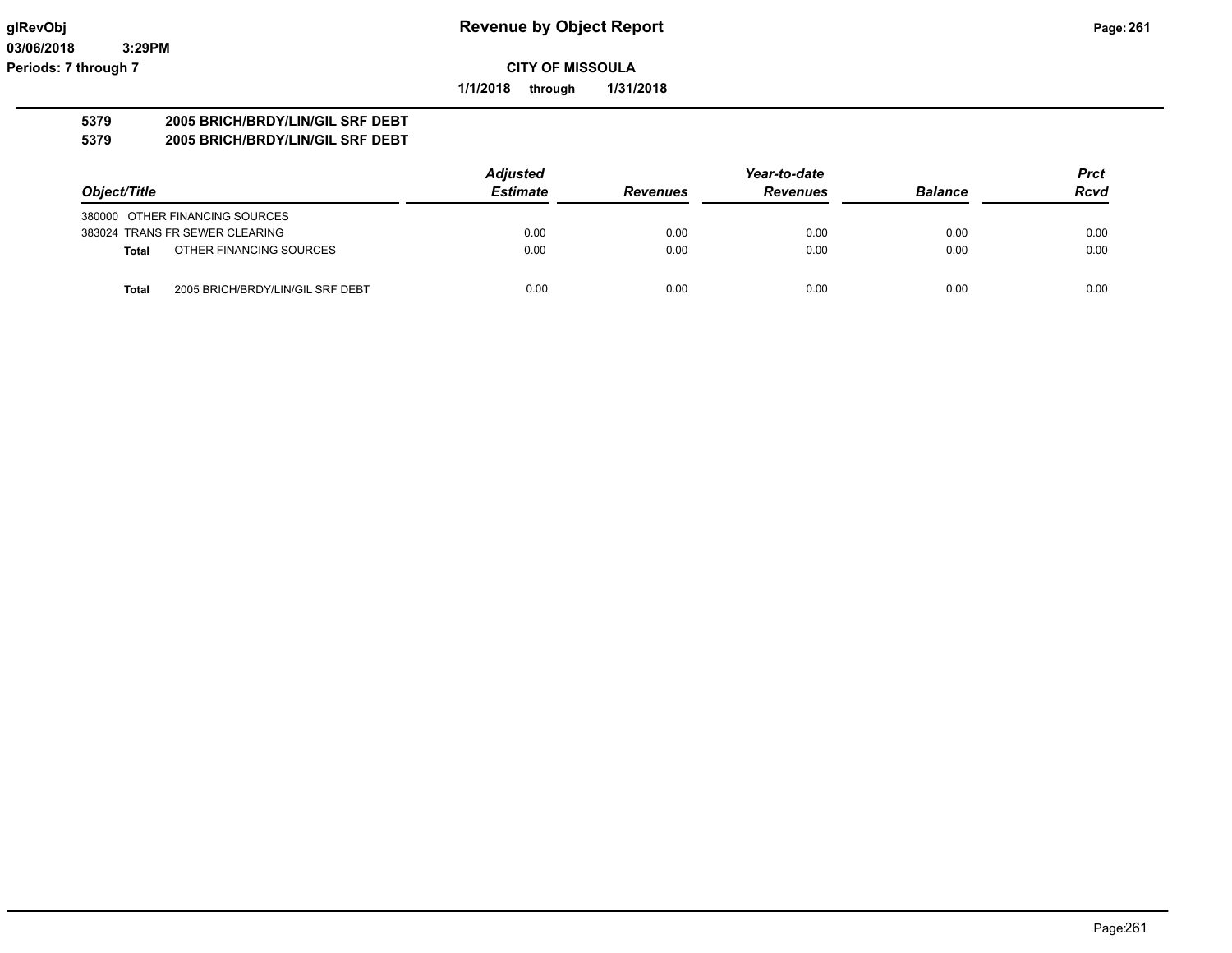**1/1/2018 through 1/31/2018**

## **5379 2005 BRICH/BRDY/LIN/GIL SRF DEBT**

**5379 2005 BRICH/BRDY/LIN/GIL SRF DEBT**

|                                                  | <b>Adjusted</b> |                 | Year-to-date    |                |             |
|--------------------------------------------------|-----------------|-----------------|-----------------|----------------|-------------|
| Object/Title                                     | <b>Estimate</b> | <b>Revenues</b> | <b>Revenues</b> | <b>Balance</b> | <b>Rcvd</b> |
| 380000 OTHER FINANCING SOURCES                   |                 |                 |                 |                |             |
| 383024 TRANS FR SEWER CLEARING                   | 0.00            | 0.00            | 0.00            | 0.00           | 0.00        |
| OTHER FINANCING SOURCES<br><b>Total</b>          | 0.00            | 0.00            | 0.00            | 0.00           | 0.00        |
| 2005 BRICH/BRDY/LIN/GIL SRF DEBT<br><b>Total</b> | 0.00            | 0.00            | 0.00            | 0.00           | 0.00        |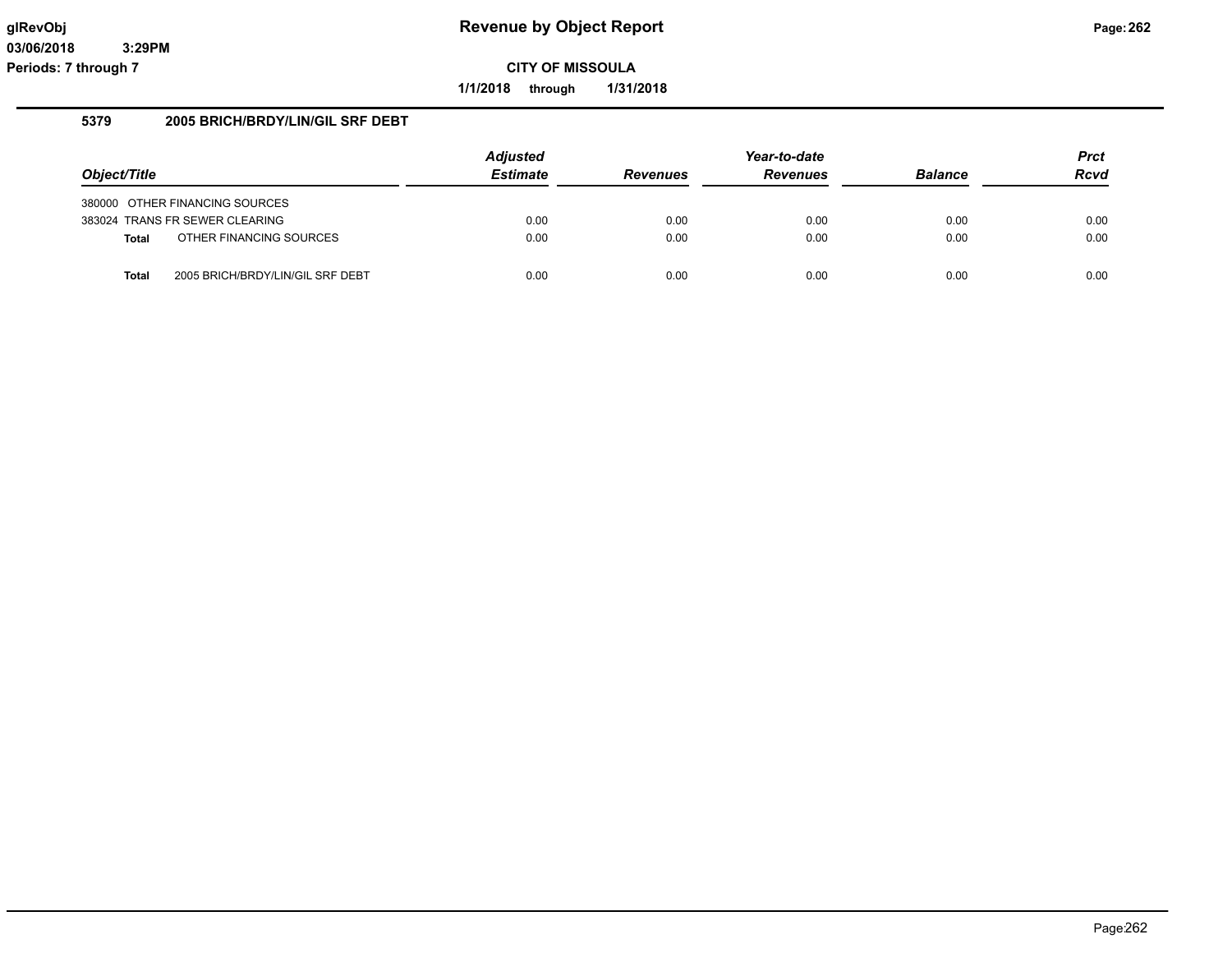**1/1/2018 through 1/31/2018**

### **5379 2005 BRICH/BRDY/LIN/GIL SRF DEBT**

|              |                                  | <b>Adjusted</b> |                 | Year-to-date    |                | <b>Prct</b> |
|--------------|----------------------------------|-----------------|-----------------|-----------------|----------------|-------------|
| Object/Title |                                  | <b>Estimate</b> | <b>Revenues</b> | <b>Revenues</b> | <b>Balance</b> | <b>Rcvd</b> |
|              | 380000 OTHER FINANCING SOURCES   |                 |                 |                 |                |             |
|              | 383024 TRANS FR SEWER CLEARING   | 0.00            | 0.00            | 0.00            | 0.00           | 0.00        |
| <b>Total</b> | OTHER FINANCING SOURCES          | 0.00            | 0.00            | 0.00            | 0.00           | 0.00        |
| <b>Total</b> | 2005 BRICH/BRDY/LIN/GIL SRF DEBT | 0.00            | 0.00            | 0.00            | 0.00           | 0.00        |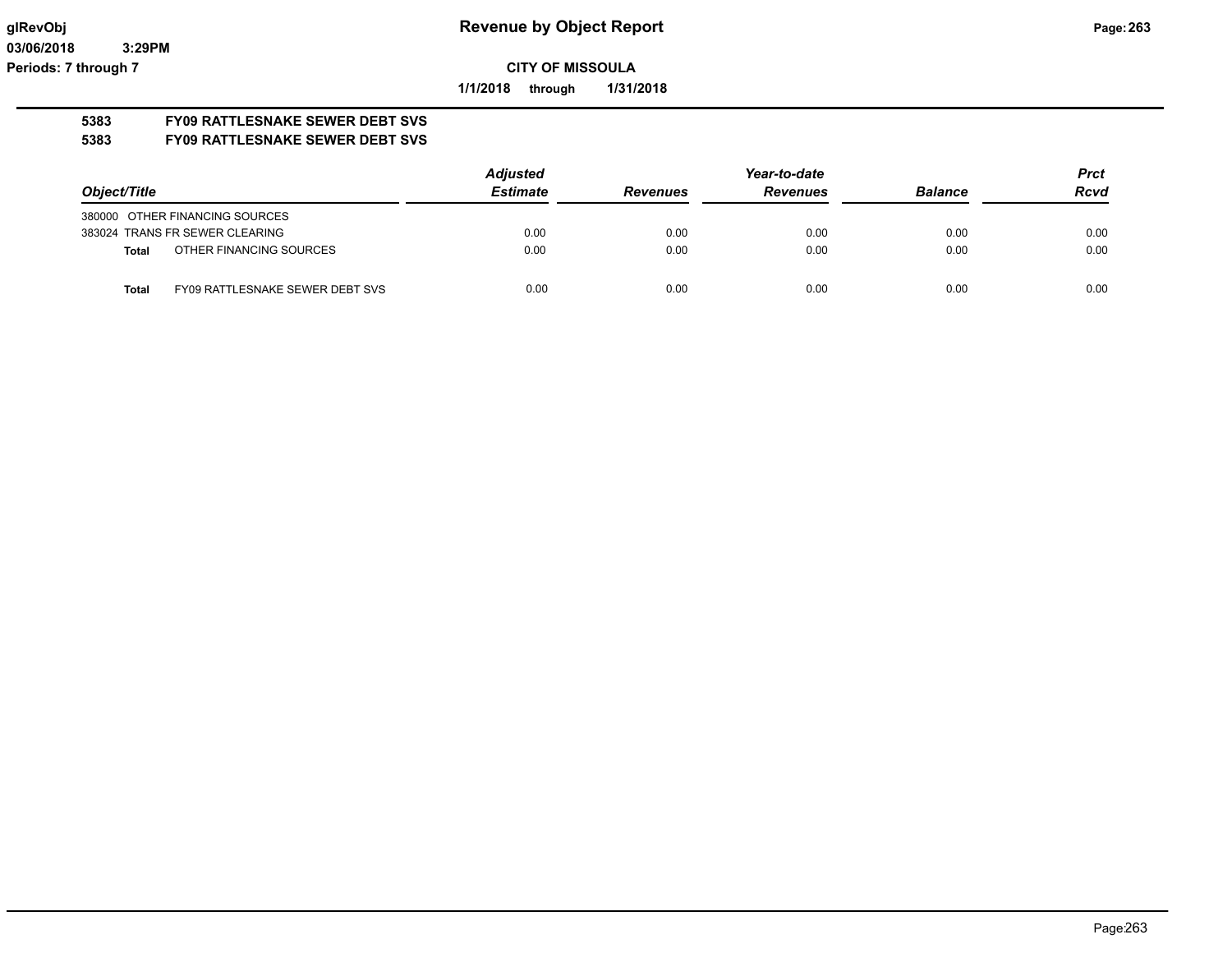**1/1/2018 through 1/31/2018**

# **5383 FY09 RATTLESNAKE SEWER DEBT SVS**

## **5383 FY09 RATTLESNAKE SEWER DEBT SVS**

|                                          | <b>Adjusted</b> |                 | Year-to-date    |                | <b>Prct</b> |
|------------------------------------------|-----------------|-----------------|-----------------|----------------|-------------|
| Object/Title                             | <b>Estimate</b> | <b>Revenues</b> | <b>Revenues</b> | <b>Balance</b> | Rcvd        |
| 380000 OTHER FINANCING SOURCES           |                 |                 |                 |                |             |
| 383024 TRANS FR SEWER CLEARING           | 0.00            | 0.00            | 0.00            | 0.00           | 0.00        |
| OTHER FINANCING SOURCES<br>Total         | 0.00            | 0.00            | 0.00            | 0.00           | 0.00        |
| FY09 RATTLESNAKE SEWER DEBT SVS<br>Total | 0.00            | 0.00            | 0.00            | 0.00           | 0.00        |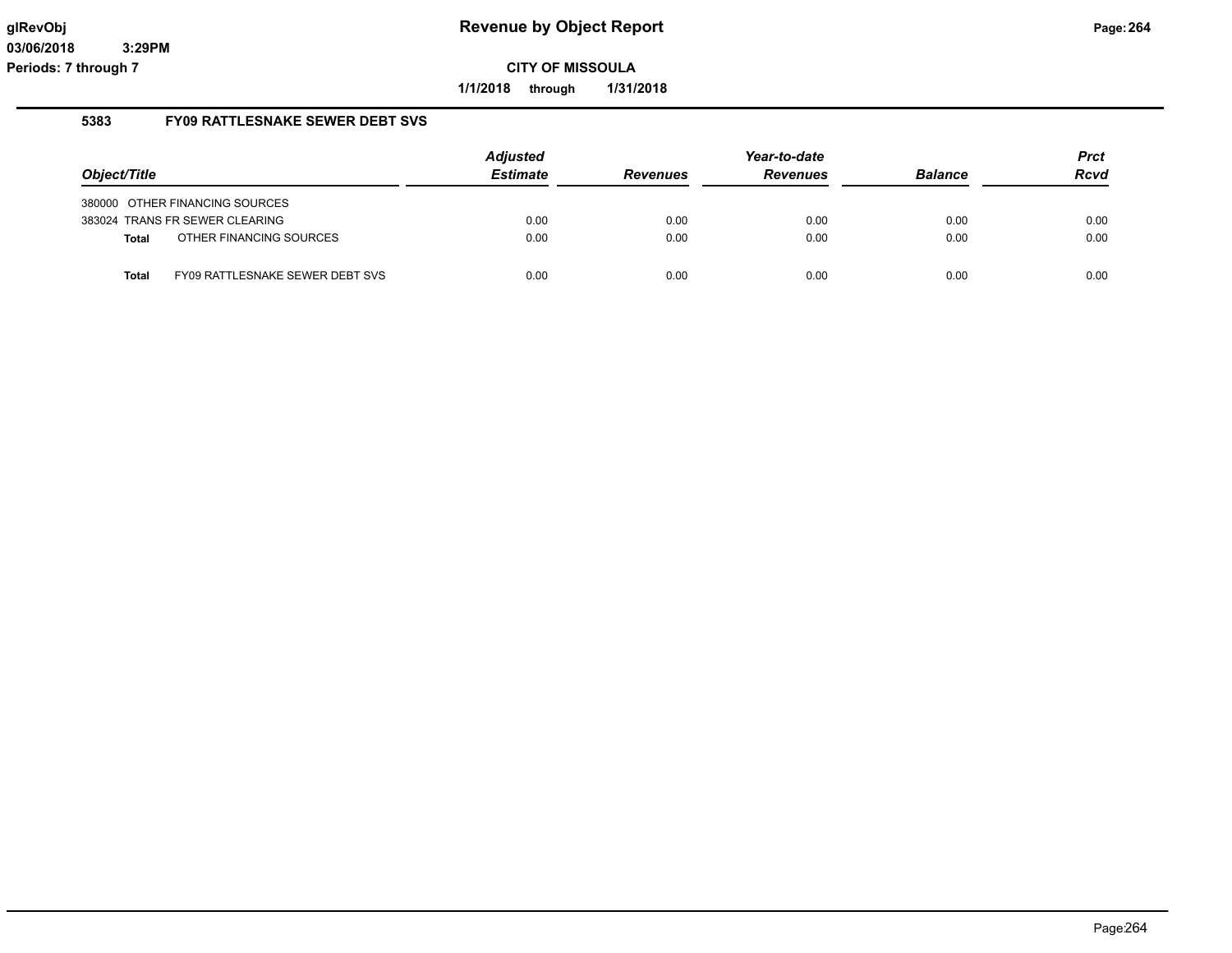**1/1/2018 through 1/31/2018**

#### **5383 FY09 RATTLESNAKE SEWER DEBT SVS**

|              |                                 | <b>Adjusted</b> |                 | Year-to-date    |                | Prct |
|--------------|---------------------------------|-----------------|-----------------|-----------------|----------------|------|
| Object/Title |                                 | <b>Estimate</b> | <b>Revenues</b> | <b>Revenues</b> | <b>Balance</b> | Rcvd |
|              | 380000 OTHER FINANCING SOURCES  |                 |                 |                 |                |      |
|              | 383024 TRANS FR SEWER CLEARING  | 0.00            | 0.00            | 0.00            | 0.00           | 0.00 |
| <b>Total</b> | OTHER FINANCING SOURCES         | 0.00            | 0.00            | 0.00            | 0.00           | 0.00 |
| <b>Total</b> | FY09 RATTLESNAKE SEWER DEBT SVS | 0.00            | 0.00            | 0.00            | 0.00           | 0.00 |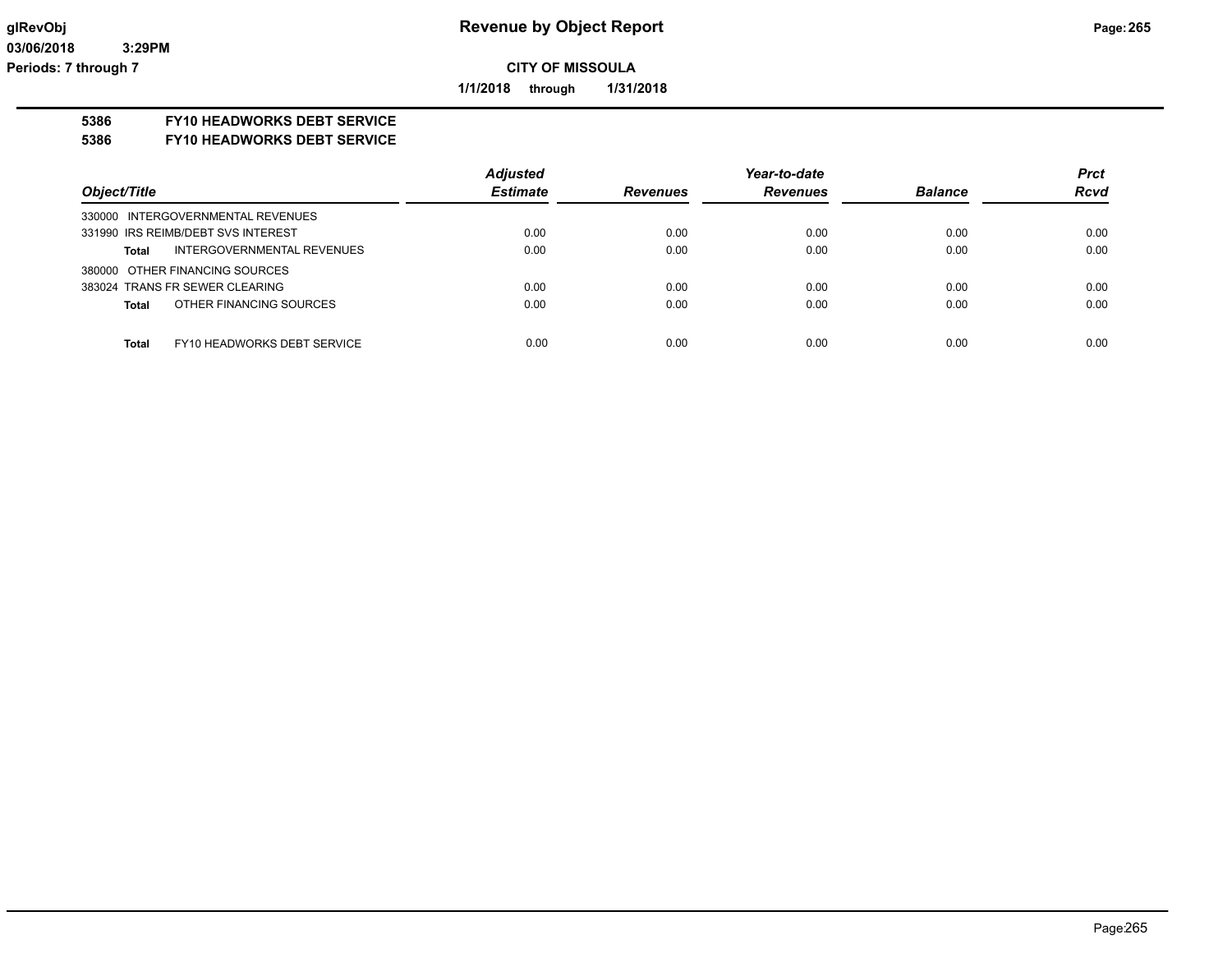**1/1/2018 through 1/31/2018**

## **5386 FY10 HEADWORKS DEBT SERVICE**

#### **5386 FY10 HEADWORKS DEBT SERVICE**

|                                             | <b>Adjusted</b> |                 | Year-to-date    |                | <b>Prct</b> |
|---------------------------------------------|-----------------|-----------------|-----------------|----------------|-------------|
| Object/Title                                | <b>Estimate</b> | <b>Revenues</b> | <b>Revenues</b> | <b>Balance</b> | <b>Rcvd</b> |
| 330000 INTERGOVERNMENTAL REVENUES           |                 |                 |                 |                |             |
| 331990 IRS REIMB/DEBT SVS INTEREST          | 0.00            | 0.00            | 0.00            | 0.00           | 0.00        |
| INTERGOVERNMENTAL REVENUES<br><b>Total</b>  | 0.00            | 0.00            | 0.00            | 0.00           | 0.00        |
| 380000 OTHER FINANCING SOURCES              |                 |                 |                 |                |             |
| 383024 TRANS FR SEWER CLEARING              | 0.00            | 0.00            | 0.00            | 0.00           | 0.00        |
| OTHER FINANCING SOURCES<br><b>Total</b>     | 0.00            | 0.00            | 0.00            | 0.00           | 0.00        |
|                                             |                 |                 |                 |                |             |
| <b>Total</b><br>FY10 HEADWORKS DEBT SERVICE | 0.00            | 0.00            | 0.00            | 0.00           | 0.00        |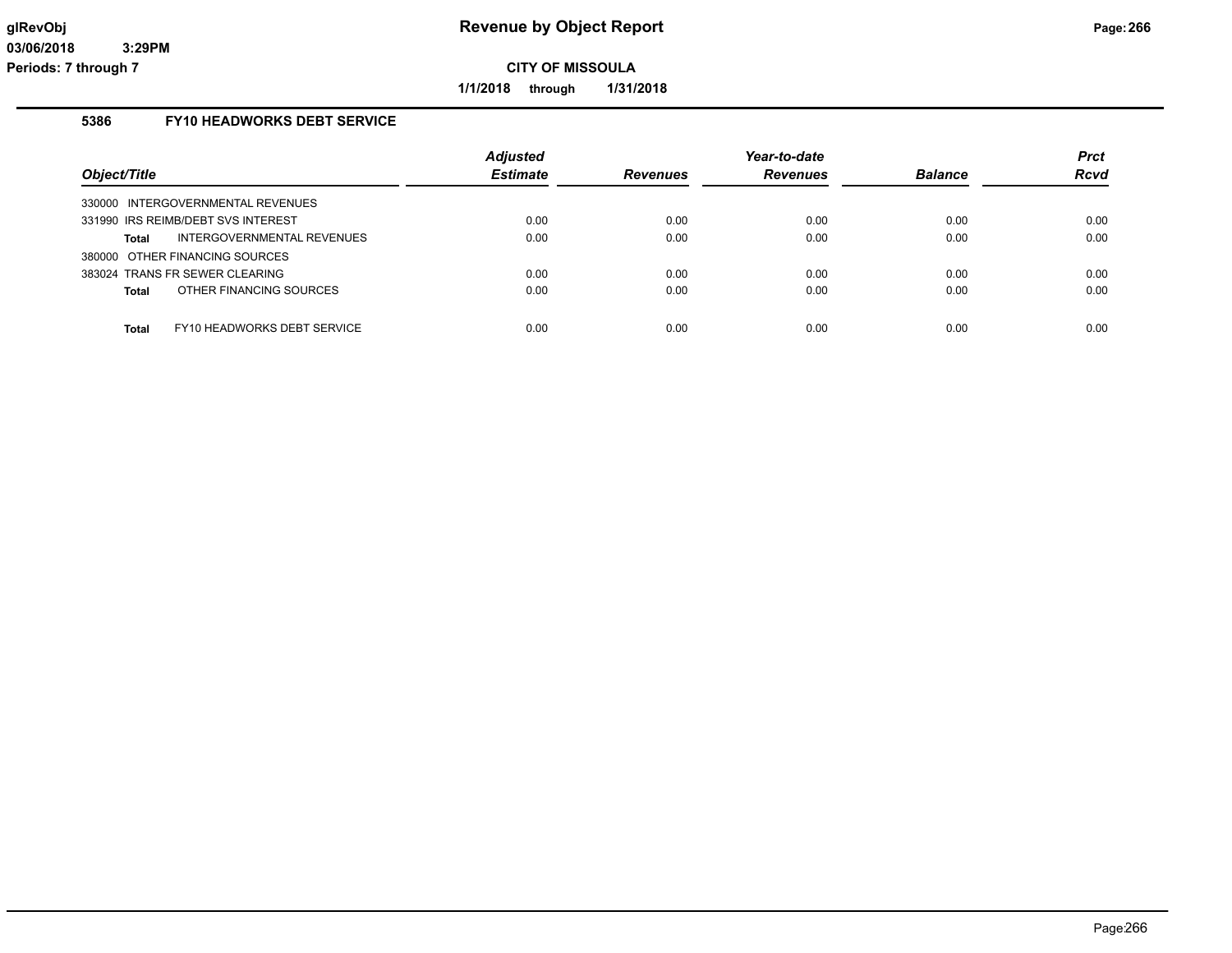**1/1/2018 through 1/31/2018**

## **5386 FY10 HEADWORKS DEBT SERVICE**

| Object/Title                            | <b>Adjusted</b><br><b>Estimate</b> | <b>Revenues</b> | Year-to-date<br><b>Revenues</b> | <b>Balance</b> | <b>Prct</b><br>Rcvd |
|-----------------------------------------|------------------------------------|-----------------|---------------------------------|----------------|---------------------|
| INTERGOVERNMENTAL REVENUES<br>330000    |                                    |                 |                                 |                |                     |
| 331990 IRS REIMB/DEBT SVS INTEREST      | 0.00                               | 0.00            | 0.00                            | 0.00           | 0.00                |
| INTERGOVERNMENTAL REVENUES<br>Total     | 0.00                               | 0.00            | 0.00                            | 0.00           | 0.00                |
| 380000 OTHER FINANCING SOURCES          |                                    |                 |                                 |                |                     |
| 383024 TRANS FR SEWER CLEARING          | 0.00                               | 0.00            | 0.00                            | 0.00           | 0.00                |
| OTHER FINANCING SOURCES<br><b>Total</b> | 0.00                               | 0.00            | 0.00                            | 0.00           | 0.00                |
| FY10 HEADWORKS DEBT SERVICE<br>Total    | 0.00                               | 0.00            | 0.00                            | 0.00           | 0.00                |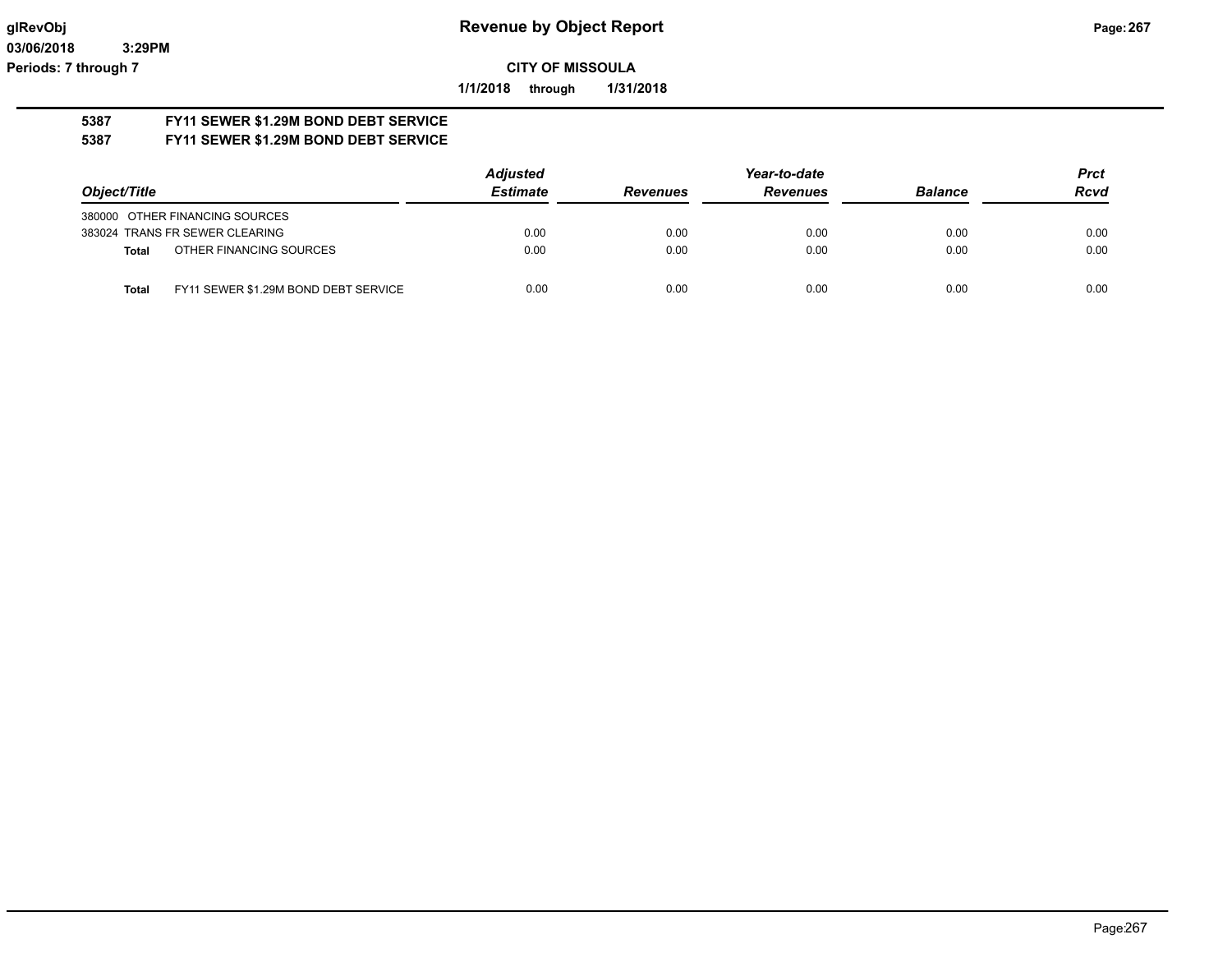**1/1/2018 through 1/31/2018**

#### **5387 FY11 SEWER \$1.29M BOND DEBT SERVICE 5387 FY11 SEWER \$1.29M BOND DEBT SERVICE**

|                                                      | <b>Adjusted</b> | Year-to-date    |                 |                | <b>Prct</b> |
|------------------------------------------------------|-----------------|-----------------|-----------------|----------------|-------------|
| Object/Title                                         | <b>Estimate</b> | <b>Revenues</b> | <b>Revenues</b> | <b>Balance</b> | <b>Rcvd</b> |
| 380000 OTHER FINANCING SOURCES                       |                 |                 |                 |                |             |
| 383024 TRANS FR SEWER CLEARING                       | 0.00            | 0.00            | 0.00            | 0.00           | 0.00        |
| OTHER FINANCING SOURCES<br><b>Total</b>              | 0.00            | 0.00            | 0.00            | 0.00           | 0.00        |
| FY11 SEWER \$1.29M BOND DEBT SERVICE<br><b>Total</b> | 0.00            | 0.00            | 0.00            | 0.00           | 0.00        |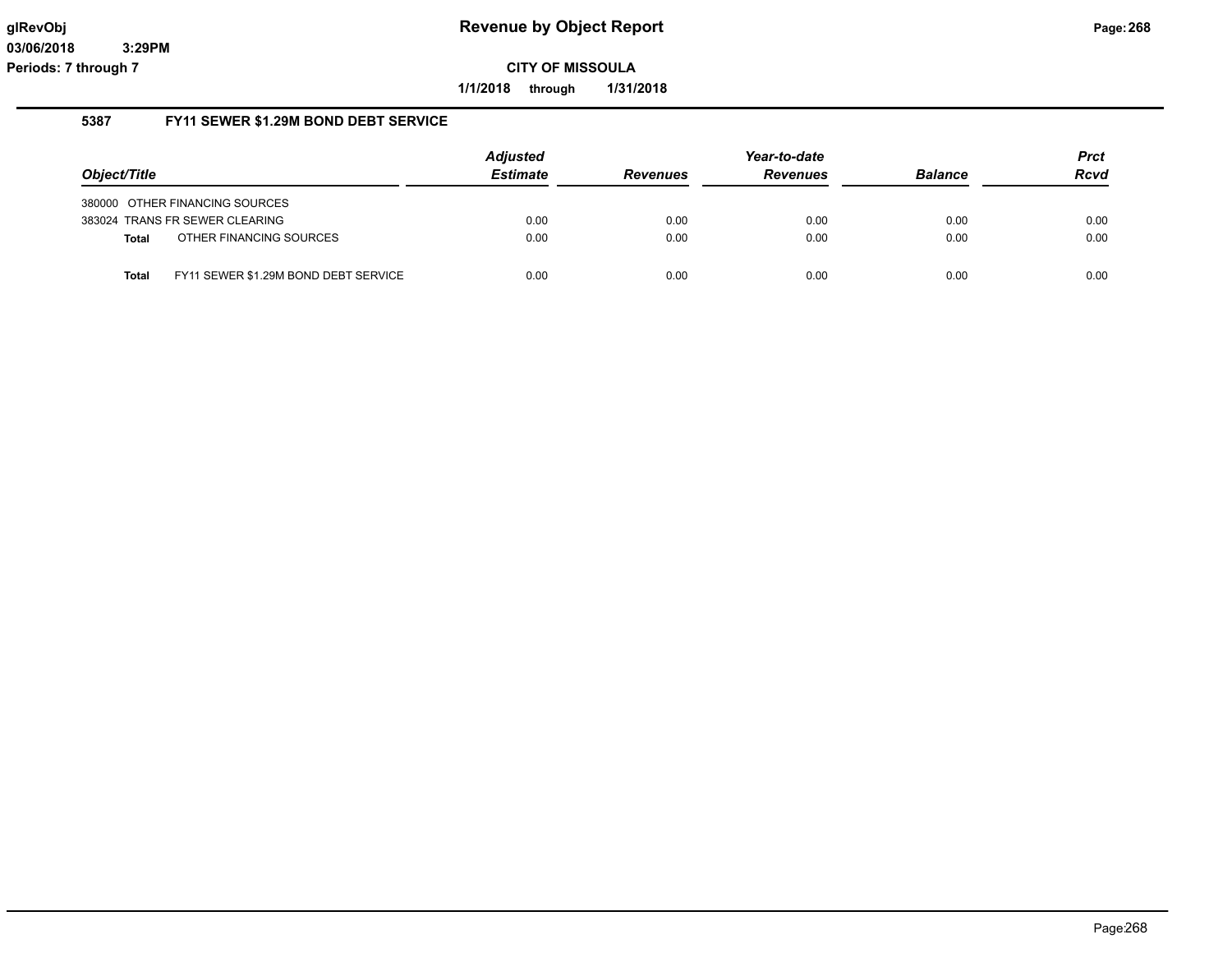**1/1/2018 through 1/31/2018**

#### **5387 FY11 SEWER \$1.29M BOND DEBT SERVICE**

|              |                                      | <b>Adjusted</b> | Year-to-date    |                 |                | <b>Prct</b> |
|--------------|--------------------------------------|-----------------|-----------------|-----------------|----------------|-------------|
| Object/Title |                                      | <b>Estimate</b> | <b>Revenues</b> | <b>Revenues</b> | <b>Balance</b> | <b>Rcvd</b> |
|              | 380000 OTHER FINANCING SOURCES       |                 |                 |                 |                |             |
|              | 383024 TRANS FR SEWER CLEARING       | 0.00            | 0.00            | 0.00            | 0.00           | 0.00        |
| <b>Total</b> | OTHER FINANCING SOURCES              | 0.00            | 0.00            | 0.00            | 0.00           | 0.00        |
| <b>Total</b> | FY11 SEWER \$1.29M BOND DEBT SERVICE | 0.00            | 0.00            | 0.00            | 0.00           | 0.00        |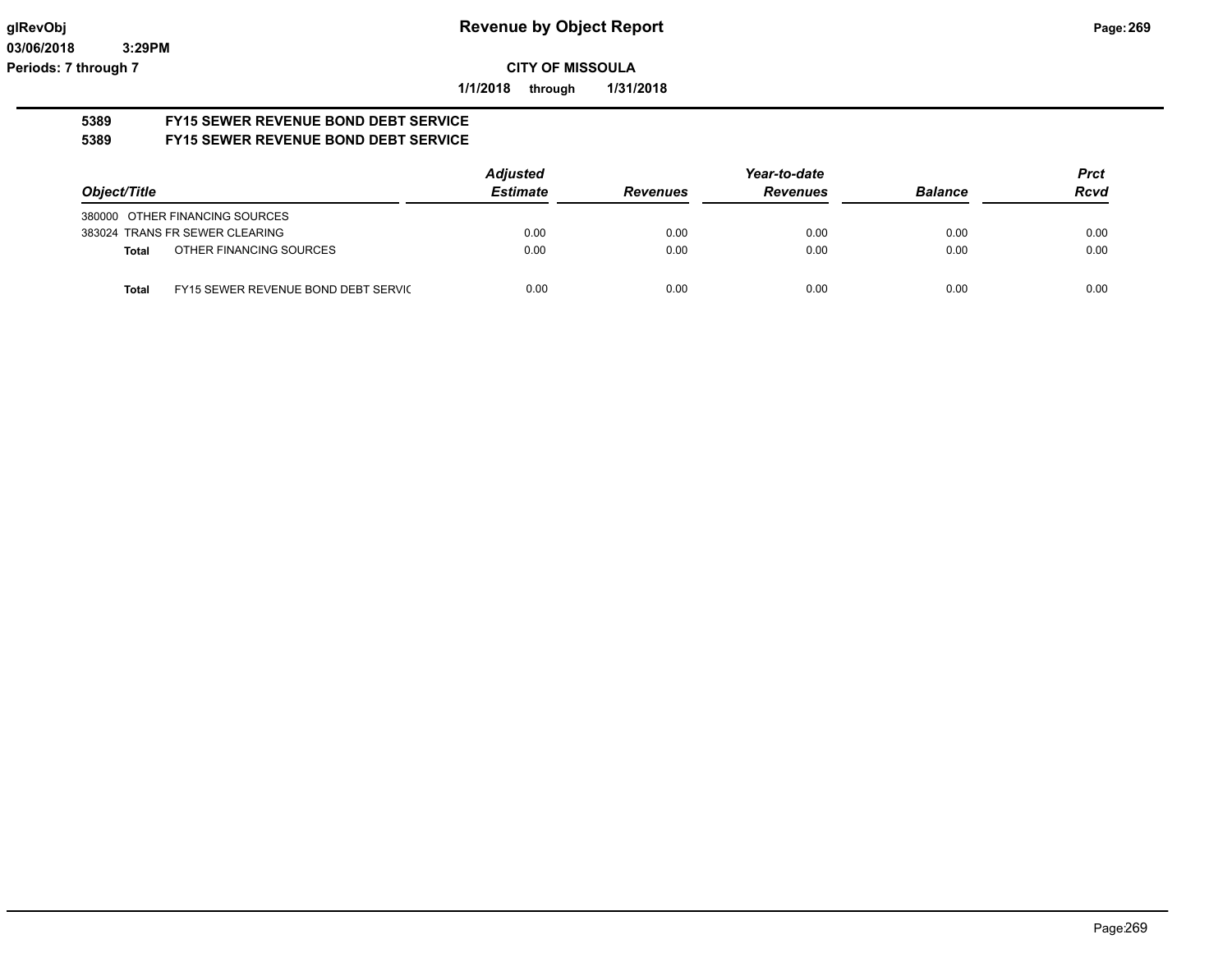**1/1/2018 through 1/31/2018**

#### **5389 FY15 SEWER REVENUE BOND DEBT SERVICE 5389 FY15 SEWER REVENUE BOND DEBT SERVICE**

|              |                                     | <b>Adjusted</b> | Year-to-date    |                 |                | <b>Prct</b> |
|--------------|-------------------------------------|-----------------|-----------------|-----------------|----------------|-------------|
| Object/Title |                                     | <b>Estimate</b> | <b>Revenues</b> | <b>Revenues</b> | <b>Balance</b> | <b>Rcvd</b> |
|              | 380000 OTHER FINANCING SOURCES      |                 |                 |                 |                |             |
|              | 383024 TRANS FR SEWER CLEARING      | 0.00            | 0.00            | 0.00            | 0.00           | 0.00        |
| <b>Total</b> | OTHER FINANCING SOURCES             | 0.00            | 0.00            | 0.00            | 0.00           | 0.00        |
| Total        | FY15 SEWER REVENUE BOND DEBT SERVIC | 0.00            | 0.00            | 0.00            | 0.00           | 0.00        |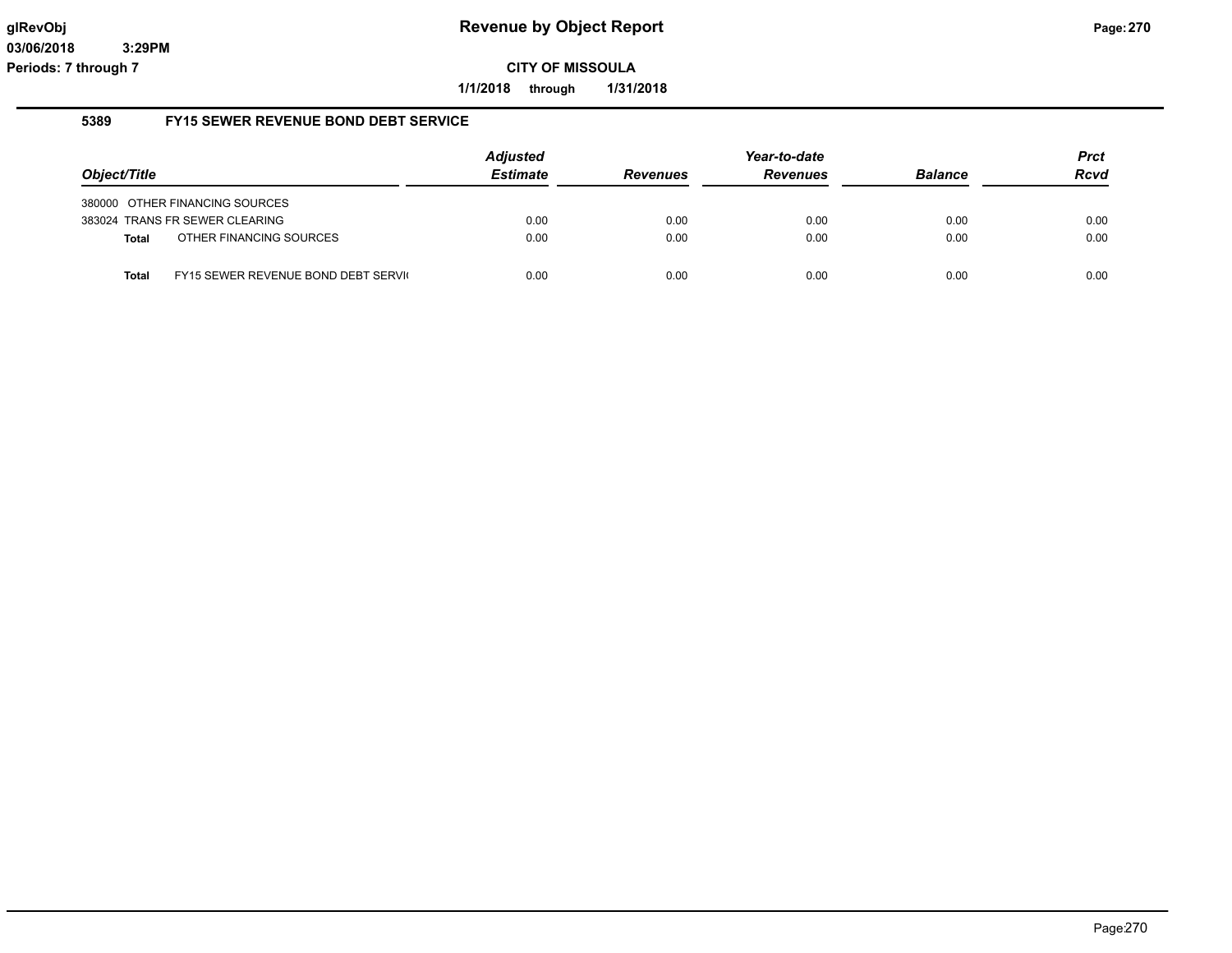**1/1/2018 through 1/31/2018**

#### **5389 FY15 SEWER REVENUE BOND DEBT SERVICE**

|              |                                     | <b>Adjusted</b> |                 | Year-to-date    |                | <b>Prct</b> |
|--------------|-------------------------------------|-----------------|-----------------|-----------------|----------------|-------------|
| Object/Title |                                     | <b>Estimate</b> | <b>Revenues</b> | <b>Revenues</b> | <b>Balance</b> | <b>Rcvd</b> |
|              | 380000 OTHER FINANCING SOURCES      |                 |                 |                 |                |             |
|              | 383024 TRANS FR SEWER CLEARING      | 0.00            | 0.00            | 0.00            | 0.00           | 0.00        |
| <b>Total</b> | OTHER FINANCING SOURCES             | 0.00            | 0.00            | 0.00            | 0.00           | 0.00        |
| Total        | FY15 SEWER REVENUE BOND DEBT SERVIC | 0.00            | 0.00            | 0.00            | 0.00           | 0.00        |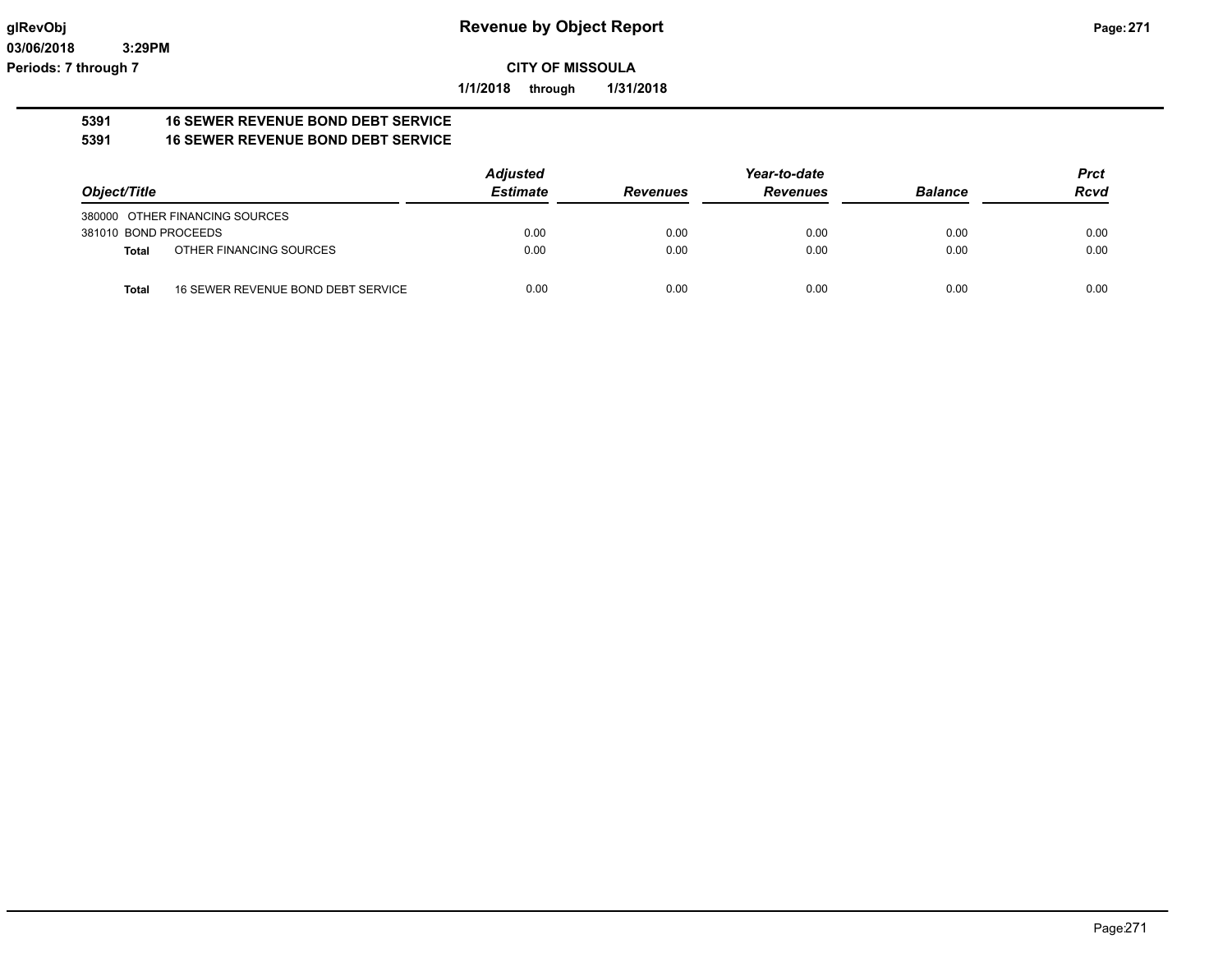**1/1/2018 through 1/31/2018**

#### **5391 16 SEWER REVENUE BOND DEBT SERVICE 5391 16 SEWER REVENUE BOND DEBT SERVICE**

|                      |                                    | <b>Adjusted</b> |                 | Year-to-date    |                | <b>Prct</b> |
|----------------------|------------------------------------|-----------------|-----------------|-----------------|----------------|-------------|
| Object/Title         |                                    | <b>Estimate</b> | <b>Revenues</b> | <b>Revenues</b> | <b>Balance</b> | <b>Rcvd</b> |
|                      | 380000 OTHER FINANCING SOURCES     |                 |                 |                 |                |             |
| 381010 BOND PROCEEDS |                                    | 0.00            | 0.00            | 0.00            | 0.00           | 0.00        |
| Total                | OTHER FINANCING SOURCES            | 0.00            | 0.00            | 0.00            | 0.00           | 0.00        |
| <b>Total</b>         | 16 SEWER REVENUE BOND DEBT SERVICE | 0.00            | 0.00            | 0.00            | 0.00           | 0.00        |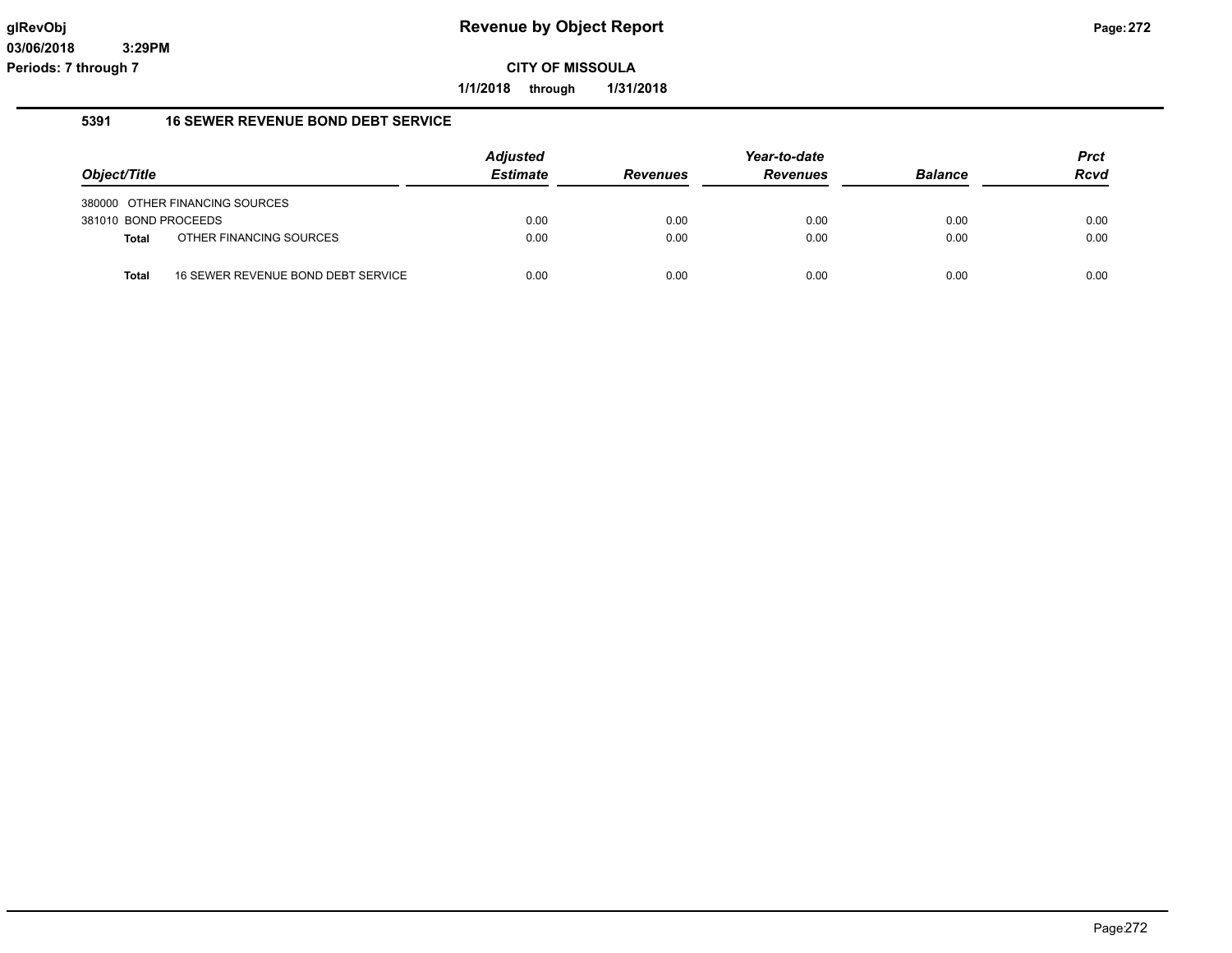**1/1/2018 through 1/31/2018**

#### **5391 16 SEWER REVENUE BOND DEBT SERVICE**

|                      |                                    | <b>Adjusted</b><br><b>Estimate</b> |                 | Year-to-date    | <b>Balance</b> | <b>Prct</b><br><b>Rcvd</b> |
|----------------------|------------------------------------|------------------------------------|-----------------|-----------------|----------------|----------------------------|
| Object/Title         |                                    |                                    | <b>Revenues</b> | <b>Revenues</b> |                |                            |
|                      | 380000 OTHER FINANCING SOURCES     |                                    |                 |                 |                |                            |
| 381010 BOND PROCEEDS |                                    | 0.00                               | 0.00            | 0.00            | 0.00           | 0.00                       |
| Total                | OTHER FINANCING SOURCES            | 0.00                               | 0.00            | 0.00            | 0.00           | 0.00                       |
| Total                | 16 SEWER REVENUE BOND DEBT SERVICE | 0.00                               | 0.00            | 0.00            | 0.00           | 0.00                       |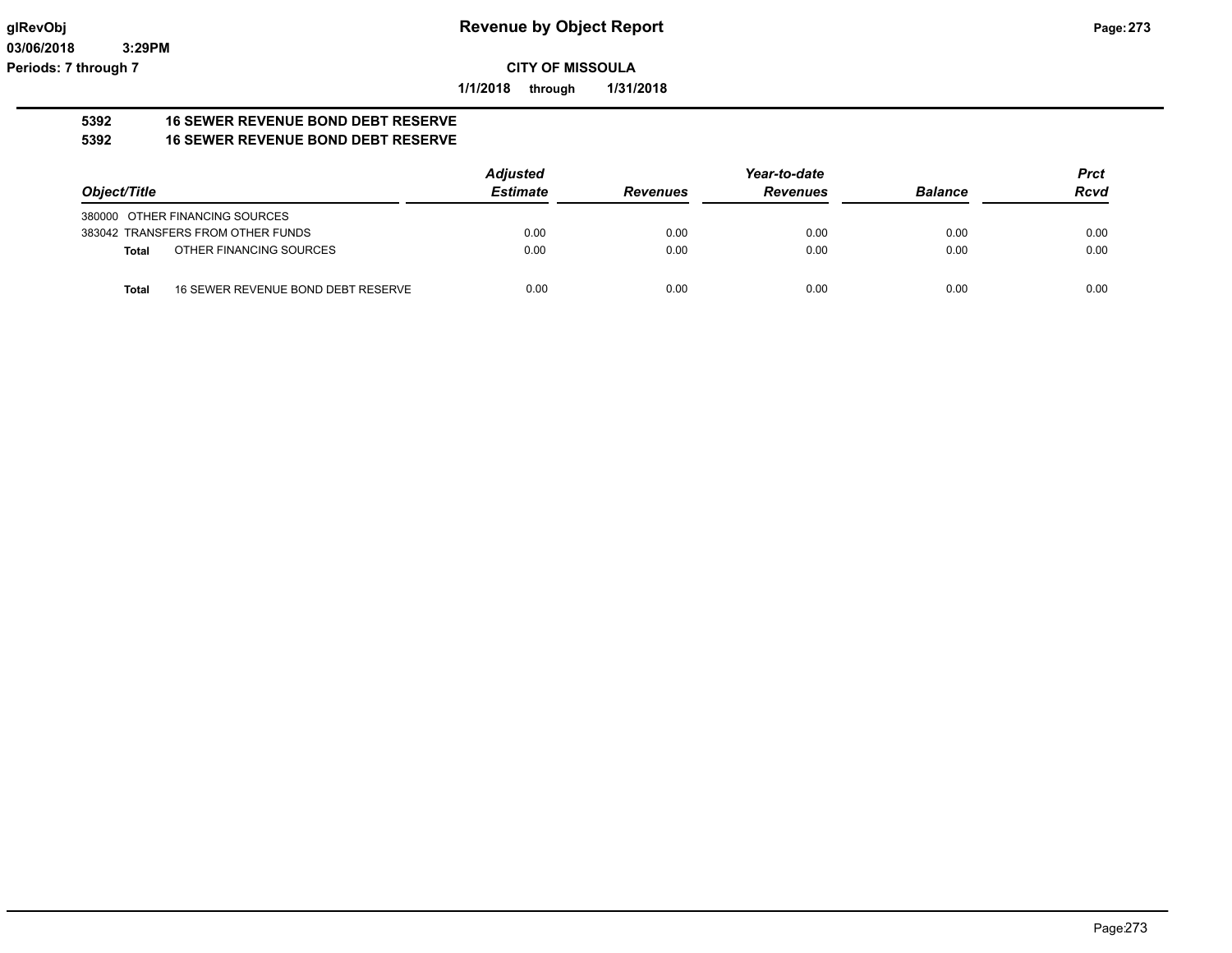**1/1/2018 through 1/31/2018**

#### **5392 16 SEWER REVENUE BOND DEBT RESERVE 5392 16 SEWER REVENUE BOND DEBT RESERVE**

|                                             | <b>Adjusted</b> | Year-to-date    |                 |                | <b>Prct</b> |
|---------------------------------------------|-----------------|-----------------|-----------------|----------------|-------------|
| Object/Title                                | <b>Estimate</b> | <b>Revenues</b> | <b>Revenues</b> | <b>Balance</b> | <b>Rcvd</b> |
| 380000 OTHER FINANCING SOURCES              |                 |                 |                 |                |             |
| 383042 TRANSFERS FROM OTHER FUNDS           | 0.00            | 0.00            | 0.00            | 0.00           | 0.00        |
| OTHER FINANCING SOURCES<br>Total            | 0.00            | 0.00            | 0.00            | 0.00           | 0.00        |
| 16 SEWER REVENUE BOND DEBT RESERVE<br>Total | 0.00            | 0.00            | 0.00            | 0.00           | 0.00        |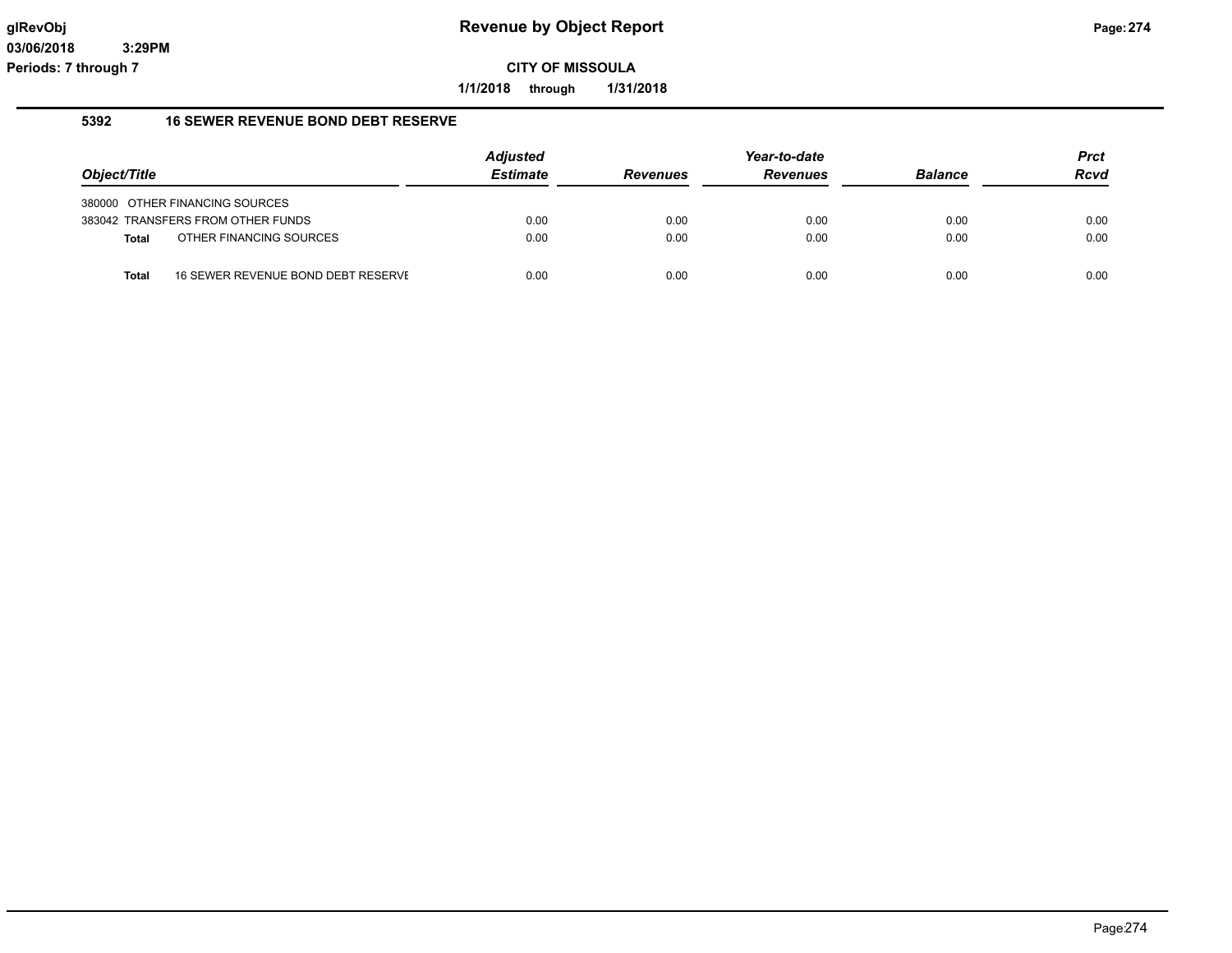**1/1/2018 through 1/31/2018**

#### **5392 16 SEWER REVENUE BOND DEBT RESERVE**

|              |                                    | <b>Adjusted</b> | Year-to-date    |                 |                | <b>Prct</b> |
|--------------|------------------------------------|-----------------|-----------------|-----------------|----------------|-------------|
| Object/Title |                                    | <b>Estimate</b> | <b>Revenues</b> | <b>Revenues</b> | <b>Balance</b> | <b>Rcvd</b> |
|              | 380000 OTHER FINANCING SOURCES     |                 |                 |                 |                |             |
|              | 383042 TRANSFERS FROM OTHER FUNDS  | 0.00            | 0.00            | 0.00            | 0.00           | 0.00        |
| <b>Total</b> | OTHER FINANCING SOURCES            | 0.00            | 0.00            | 0.00            | 0.00           | 0.00        |
| <b>Total</b> | 16 SEWER REVENUE BOND DEBT RESERVE | 0.00            | 0.00            | 0.00            | 0.00           | 0.00        |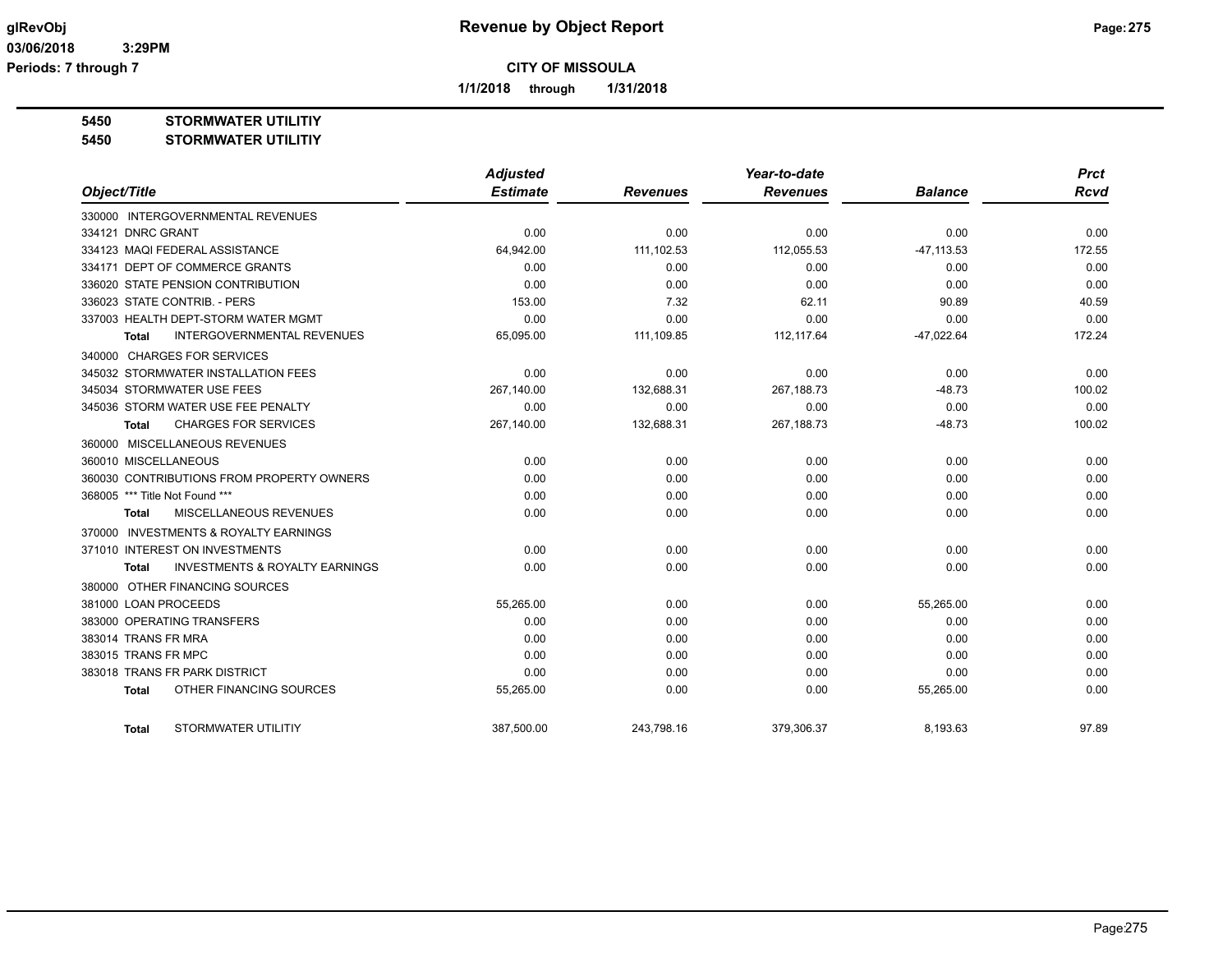**1/1/2018 through 1/31/2018**

**5450 STORMWATER UTILITIY**

**5450 STORMWATER UTILITIY**

|                                                     | <b>Adjusted</b> |                 | Year-to-date    |                | <b>Prct</b> |
|-----------------------------------------------------|-----------------|-----------------|-----------------|----------------|-------------|
| Object/Title                                        | <b>Estimate</b> | <b>Revenues</b> | <b>Revenues</b> | <b>Balance</b> | <b>Rcvd</b> |
| 330000 INTERGOVERNMENTAL REVENUES                   |                 |                 |                 |                |             |
| 334121 DNRC GRANT                                   | 0.00            | 0.00            | 0.00            | 0.00           | 0.00        |
| 334123 MAQI FEDERAL ASSISTANCE                      | 64,942.00       | 111,102.53      | 112,055.53      | $-47, 113.53$  | 172.55      |
| 334171 DEPT OF COMMERCE GRANTS                      | 0.00            | 0.00            | 0.00            | 0.00           | 0.00        |
| 336020 STATE PENSION CONTRIBUTION                   | 0.00            | 0.00            | 0.00            | 0.00           | 0.00        |
| 336023 STATE CONTRIB. - PERS                        | 153.00          | 7.32            | 62.11           | 90.89          | 40.59       |
| 337003 HEALTH DEPT-STORM WATER MGMT                 | 0.00            | 0.00            | 0.00            | 0.00           | 0.00        |
| INTERGOVERNMENTAL REVENUES<br>Total                 | 65,095.00       | 111,109.85      | 112,117.64      | $-47,022.64$   | 172.24      |
| 340000 CHARGES FOR SERVICES                         |                 |                 |                 |                |             |
| 345032 STORMWATER INSTALLATION FEES                 | 0.00            | 0.00            | 0.00            | 0.00           | 0.00        |
| 345034 STORMWATER USE FEES                          | 267,140.00      | 132,688.31      | 267,188.73      | $-48.73$       | 100.02      |
| 345036 STORM WATER USE FEE PENALTY                  | 0.00            | 0.00            | 0.00            | 0.00           | 0.00        |
| <b>CHARGES FOR SERVICES</b><br>Total                | 267,140.00      | 132,688.31      | 267,188.73      | $-48.73$       | 100.02      |
| 360000 MISCELLANEOUS REVENUES                       |                 |                 |                 |                |             |
| 360010 MISCELLANEOUS                                | 0.00            | 0.00            | 0.00            | 0.00           | 0.00        |
| 360030 CONTRIBUTIONS FROM PROPERTY OWNERS           | 0.00            | 0.00            | 0.00            | 0.00           | 0.00        |
| 368005 *** Title Not Found ***                      | 0.00            | 0.00            | 0.00            | 0.00           | 0.00        |
| <b>MISCELLANEOUS REVENUES</b><br><b>Total</b>       | 0.00            | 0.00            | 0.00            | 0.00           | 0.00        |
| <b>INVESTMENTS &amp; ROYALTY EARNINGS</b><br>370000 |                 |                 |                 |                |             |
| 371010 INTEREST ON INVESTMENTS                      | 0.00            | 0.00            | 0.00            | 0.00           | 0.00        |
| <b>INVESTMENTS &amp; ROYALTY EARNINGS</b><br>Total  | 0.00            | 0.00            | 0.00            | 0.00           | 0.00        |
| 380000 OTHER FINANCING SOURCES                      |                 |                 |                 |                |             |
| 381000 LOAN PROCEEDS                                | 55,265.00       | 0.00            | 0.00            | 55,265.00      | 0.00        |
| 383000 OPERATING TRANSFERS                          | 0.00            | 0.00            | 0.00            | 0.00           | 0.00        |
| 383014 TRANS FR MRA                                 | 0.00            | 0.00            | 0.00            | 0.00           | 0.00        |
| 383015 TRANS FR MPC                                 | 0.00            | 0.00            | 0.00            | 0.00           | 0.00        |
| 383018 TRANS FR PARK DISTRICT                       | 0.00            | 0.00            | 0.00            | 0.00           | 0.00        |
| OTHER FINANCING SOURCES<br><b>Total</b>             | 55,265.00       | 0.00            | 0.00            | 55,265.00      | 0.00        |
| <b>STORMWATER UTILITIY</b><br>Total                 | 387,500.00      | 243,798.16      | 379,306.37      | 8,193.63       | 97.89       |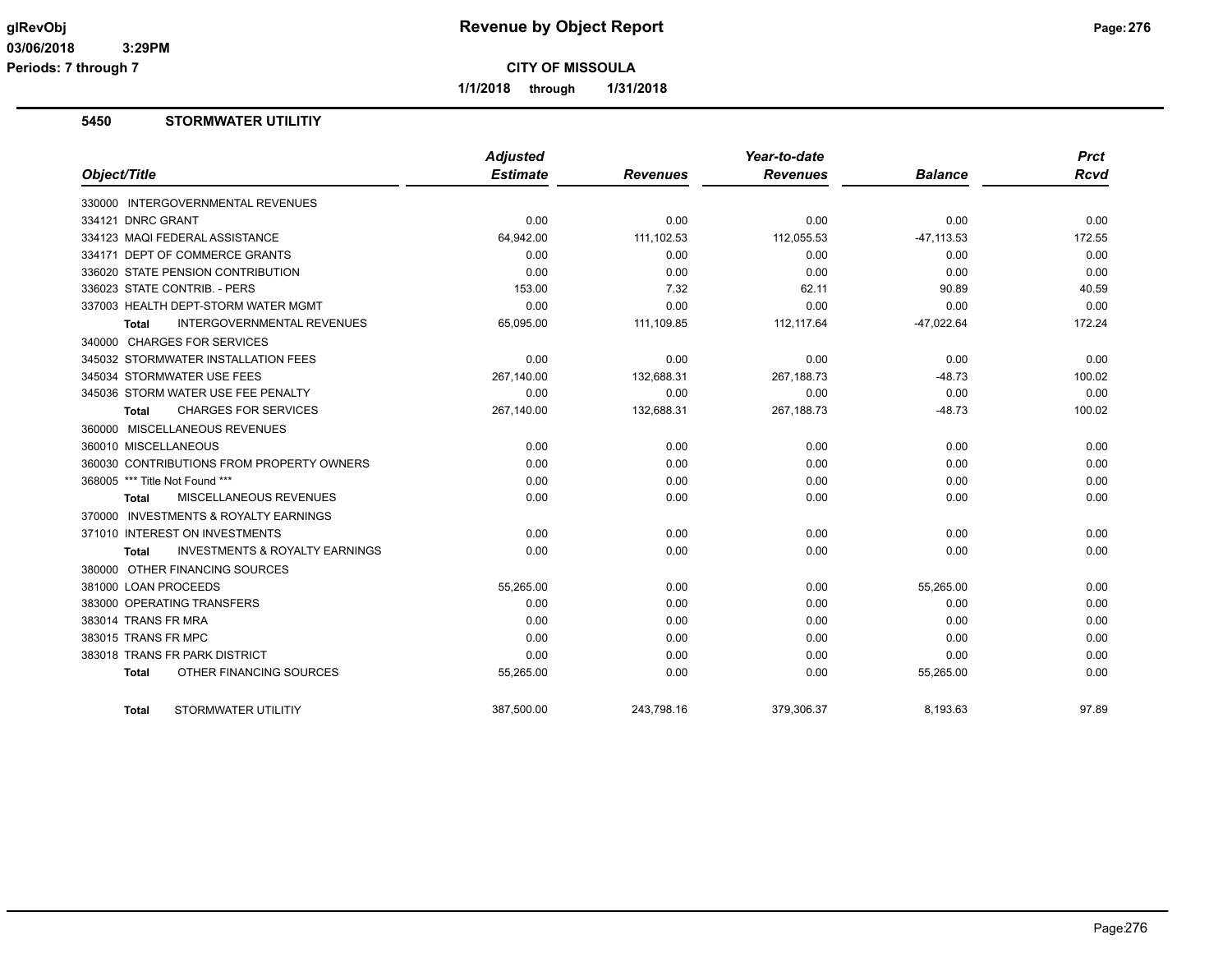**1/1/2018 through 1/31/2018**

## **5450 STORMWATER UTILITIY**

| Object/Title                                       | <b>Adjusted</b><br><b>Estimate</b> | <b>Revenues</b> | Year-to-date<br><b>Revenues</b> | <b>Balance</b> | <b>Prct</b><br>Rcvd |
|----------------------------------------------------|------------------------------------|-----------------|---------------------------------|----------------|---------------------|
| 330000 INTERGOVERNMENTAL REVENUES                  |                                    |                 |                                 |                |                     |
| 334121 DNRC GRANT                                  | 0.00                               | 0.00            | 0.00                            | 0.00           | 0.00                |
| 334123 MAQI FEDERAL ASSISTANCE                     | 64,942.00                          | 111,102.53      | 112,055.53                      | $-47, 113.53$  | 172.55              |
| 334171 DEPT OF COMMERCE GRANTS                     | 0.00                               | 0.00            | 0.00                            | 0.00           | 0.00                |
| 336020 STATE PENSION CONTRIBUTION                  | 0.00                               | 0.00            | 0.00                            | 0.00           | 0.00                |
| 336023 STATE CONTRIB. - PERS                       | 153.00                             | 7.32            | 62.11                           | 90.89          | 40.59               |
| 337003 HEALTH DEPT-STORM WATER MGMT                | 0.00                               | 0.00            | 0.00                            | 0.00           | 0.00                |
| <b>INTERGOVERNMENTAL REVENUES</b><br>Total         | 65,095.00                          | 111,109.85      | 112, 117.64                     | $-47,022.64$   | 172.24              |
| 340000 CHARGES FOR SERVICES                        |                                    |                 |                                 |                |                     |
| 345032 STORMWATER INSTALLATION FEES                | 0.00                               | 0.00            | 0.00                            | 0.00           | 0.00                |
| 345034 STORMWATER USE FEES                         | 267,140.00                         | 132,688.31      | 267,188.73                      | $-48.73$       | 100.02              |
| 345036 STORM WATER USE FEE PENALTY                 | 0.00                               | 0.00            | 0.00                            | 0.00           | 0.00                |
| <b>CHARGES FOR SERVICES</b><br>Total               | 267,140.00                         | 132,688.31      | 267, 188. 73                    | $-48.73$       | 100.02              |
| 360000 MISCELLANEOUS REVENUES                      |                                    |                 |                                 |                |                     |
| 360010 MISCELLANEOUS                               | 0.00                               | 0.00            | 0.00                            | 0.00           | 0.00                |
| 360030 CONTRIBUTIONS FROM PROPERTY OWNERS          | 0.00                               | 0.00            | 0.00                            | 0.00           | 0.00                |
| 368005 *** Title Not Found ***                     | 0.00                               | 0.00            | 0.00                            | 0.00           | 0.00                |
| <b>MISCELLANEOUS REVENUES</b><br>Total             | 0.00                               | 0.00            | 0.00                            | 0.00           | 0.00                |
| 370000 INVESTMENTS & ROYALTY EARNINGS              |                                    |                 |                                 |                |                     |
| 371010 INTEREST ON INVESTMENTS                     | 0.00                               | 0.00            | 0.00                            | 0.00           | 0.00                |
| <b>INVESTMENTS &amp; ROYALTY EARNINGS</b><br>Total | 0.00                               | 0.00            | 0.00                            | 0.00           | 0.00                |
| 380000 OTHER FINANCING SOURCES                     |                                    |                 |                                 |                |                     |
| 381000 LOAN PROCEEDS                               | 55,265.00                          | 0.00            | 0.00                            | 55,265.00      | 0.00                |
| 383000 OPERATING TRANSFERS                         | 0.00                               | 0.00            | 0.00                            | 0.00           | 0.00                |
| 383014 TRANS FR MRA                                | 0.00                               | 0.00            | 0.00                            | 0.00           | 0.00                |
| 383015 TRANS FR MPC                                | 0.00                               | 0.00            | 0.00                            | 0.00           | 0.00                |
| 383018 TRANS FR PARK DISTRICT                      | 0.00                               | 0.00            | 0.00                            | 0.00           | 0.00                |
| OTHER FINANCING SOURCES<br><b>Total</b>            | 55,265.00                          | 0.00            | 0.00                            | 55,265.00      | 0.00                |
| STORMWATER UTILITIY<br><b>Total</b>                | 387.500.00                         | 243.798.16      | 379.306.37                      | 8.193.63       | 97.89               |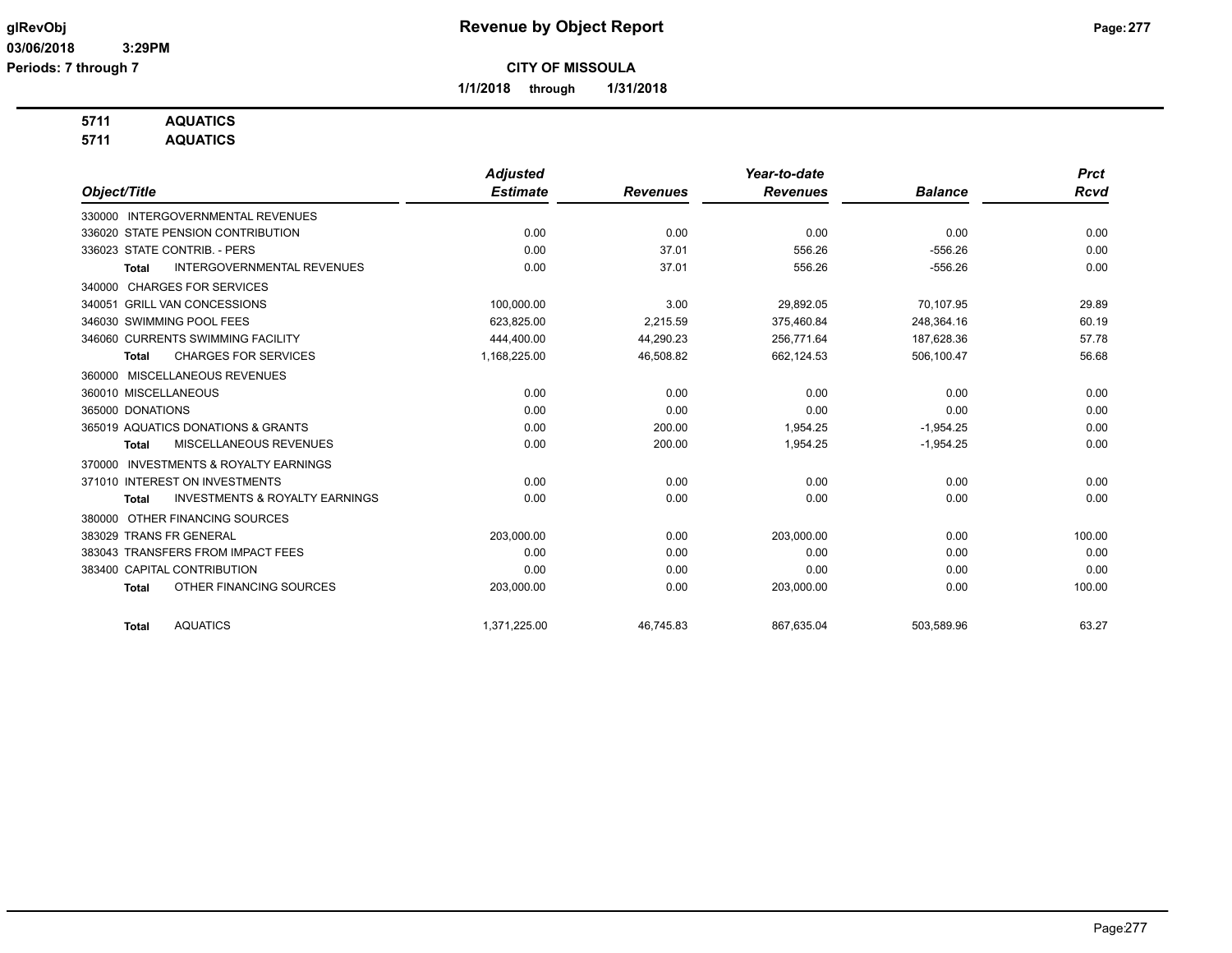**1/1/2018 through 1/31/2018**

## **5711 AQUATICS**

**5711 AQUATICS**

|                                                           | <b>Adjusted</b> |                 | Year-to-date    |                | <b>Prct</b> |
|-----------------------------------------------------------|-----------------|-----------------|-----------------|----------------|-------------|
| Object/Title                                              | <b>Estimate</b> | <b>Revenues</b> | <b>Revenues</b> | <b>Balance</b> | <b>Rcvd</b> |
| 330000 INTERGOVERNMENTAL REVENUES                         |                 |                 |                 |                |             |
| 336020 STATE PENSION CONTRIBUTION                         | 0.00            | 0.00            | 0.00            | 0.00           | 0.00        |
| 336023 STATE CONTRIB. - PERS                              | 0.00            | 37.01           | 556.26          | $-556.26$      | 0.00        |
| <b>INTERGOVERNMENTAL REVENUES</b><br><b>Total</b>         | 0.00            | 37.01           | 556.26          | $-556.26$      | 0.00        |
| <b>CHARGES FOR SERVICES</b><br>340000                     |                 |                 |                 |                |             |
| 340051 GRILL VAN CONCESSIONS                              | 100,000.00      | 3.00            | 29,892.05       | 70,107.95      | 29.89       |
| 346030 SWIMMING POOL FEES                                 | 623,825.00      | 2,215.59        | 375,460.84      | 248,364.16     | 60.19       |
| 346060 CURRENTS SWIMMING FACILITY                         | 444,400.00      | 44,290.23       | 256,771.64      | 187,628.36     | 57.78       |
| <b>CHARGES FOR SERVICES</b><br><b>Total</b>               | 1,168,225.00    | 46,508.82       | 662,124.53      | 506,100.47     | 56.68       |
| MISCELLANEOUS REVENUES<br>360000                          |                 |                 |                 |                |             |
| 360010 MISCELLANEOUS                                      | 0.00            | 0.00            | 0.00            | 0.00           | 0.00        |
| 365000 DONATIONS                                          | 0.00            | 0.00            | 0.00            | 0.00           | 0.00        |
| 365019 AQUATICS DONATIONS & GRANTS                        | 0.00            | 200.00          | 1,954.25        | $-1,954.25$    | 0.00        |
| MISCELLANEOUS REVENUES<br><b>Total</b>                    | 0.00            | 200.00          | 1,954.25        | $-1,954.25$    | 0.00        |
| <b>INVESTMENTS &amp; ROYALTY EARNINGS</b><br>370000       |                 |                 |                 |                |             |
| 371010 INTEREST ON INVESTMENTS                            | 0.00            | 0.00            | 0.00            | 0.00           | 0.00        |
| <b>INVESTMENTS &amp; ROYALTY EARNINGS</b><br><b>Total</b> | 0.00            | 0.00            | 0.00            | 0.00           | 0.00        |
| OTHER FINANCING SOURCES<br>380000                         |                 |                 |                 |                |             |
| 383029 TRANS FR GENERAL                                   | 203.000.00      | 0.00            | 203.000.00      | 0.00           | 100.00      |
| 383043 TRANSFERS FROM IMPACT FEES                         | 0.00            | 0.00            | 0.00            | 0.00           | 0.00        |
| 383400 CAPITAL CONTRIBUTION                               | 0.00            | 0.00            | 0.00            | 0.00           | 0.00        |
| OTHER FINANCING SOURCES<br><b>Total</b>                   | 203,000.00      | 0.00            | 203,000.00      | 0.00           | 100.00      |
|                                                           |                 |                 |                 |                |             |
| <b>AQUATICS</b><br><b>Total</b>                           | 1,371,225.00    | 46.745.83       | 867,635.04      | 503.589.96     | 63.27       |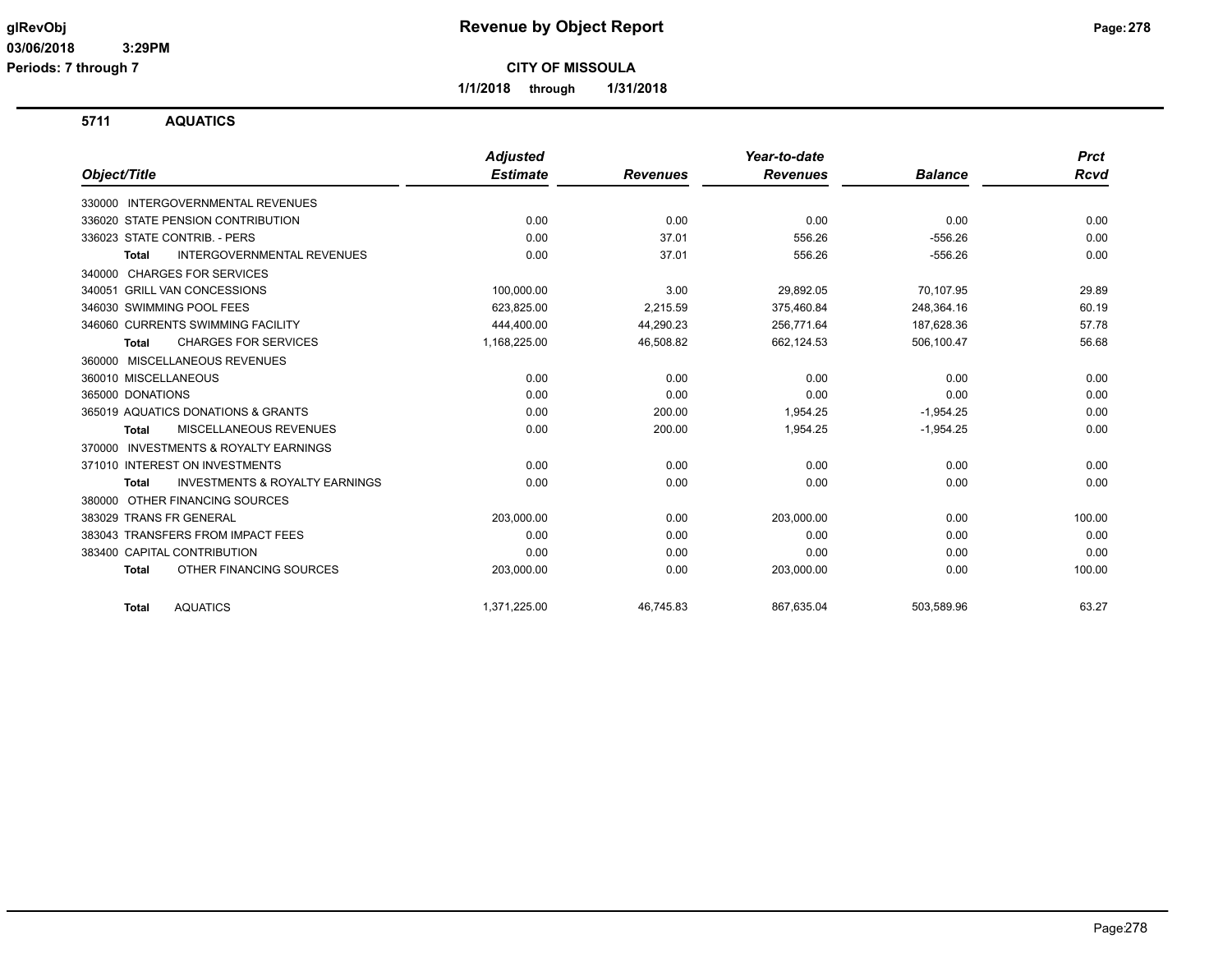**1/1/2018 through 1/31/2018**

**5711 AQUATICS**

|                                                           | <b>Adjusted</b> |                 | Year-to-date    |                | <b>Prct</b> |
|-----------------------------------------------------------|-----------------|-----------------|-----------------|----------------|-------------|
| Object/Title                                              | <b>Estimate</b> | <b>Revenues</b> | <b>Revenues</b> | <b>Balance</b> | <b>Rcvd</b> |
| 330000 INTERGOVERNMENTAL REVENUES                         |                 |                 |                 |                |             |
| 336020 STATE PENSION CONTRIBUTION                         | 0.00            | 0.00            | 0.00            | 0.00           | 0.00        |
| 336023 STATE CONTRIB. - PERS                              | 0.00            | 37.01           | 556.26          | $-556.26$      | 0.00        |
| <b>INTERGOVERNMENTAL REVENUES</b><br><b>Total</b>         | 0.00            | 37.01           | 556.26          | $-556.26$      | 0.00        |
| <b>CHARGES FOR SERVICES</b><br>340000                     |                 |                 |                 |                |             |
| 340051 GRILL VAN CONCESSIONS                              | 100,000.00      | 3.00            | 29,892.05       | 70,107.95      | 29.89       |
| 346030 SWIMMING POOL FEES                                 | 623,825.00      | 2,215.59        | 375,460.84      | 248,364.16     | 60.19       |
| 346060 CURRENTS SWIMMING FACILITY                         | 444,400.00      | 44,290.23       | 256,771.64      | 187,628.36     | 57.78       |
| <b>CHARGES FOR SERVICES</b><br>Total                      | 1,168,225.00    | 46,508.82       | 662,124.53      | 506,100.47     | 56.68       |
| MISCELLANEOUS REVENUES<br>360000                          |                 |                 |                 |                |             |
| 360010 MISCELLANEOUS                                      | 0.00            | 0.00            | 0.00            | 0.00           | 0.00        |
| 365000 DONATIONS                                          | 0.00            | 0.00            | 0.00            | 0.00           | 0.00        |
| 365019 AQUATICS DONATIONS & GRANTS                        | 0.00            | 200.00          | 1,954.25        | $-1,954.25$    | 0.00        |
| MISCELLANEOUS REVENUES<br>Total                           | 0.00            | 200.00          | 1,954.25        | $-1,954.25$    | 0.00        |
| <b>INVESTMENTS &amp; ROYALTY EARNINGS</b><br>370000       |                 |                 |                 |                |             |
| 371010 INTEREST ON INVESTMENTS                            | 0.00            | 0.00            | 0.00            | 0.00           | 0.00        |
| <b>INVESTMENTS &amp; ROYALTY EARNINGS</b><br><b>Total</b> | 0.00            | 0.00            | 0.00            | 0.00           | 0.00        |
| OTHER FINANCING SOURCES<br>380000                         |                 |                 |                 |                |             |
| 383029 TRANS FR GENERAL                                   | 203,000.00      | 0.00            | 203,000.00      | 0.00           | 100.00      |
| 383043 TRANSFERS FROM IMPACT FEES                         | 0.00            | 0.00            | 0.00            | 0.00           | 0.00        |
| 383400 CAPITAL CONTRIBUTION                               | 0.00            | 0.00            | 0.00            | 0.00           | 0.00        |
| OTHER FINANCING SOURCES<br><b>Total</b>                   | 203,000.00      | 0.00            | 203,000.00      | 0.00           | 100.00      |
| <b>AQUATICS</b><br><b>Total</b>                           | 1,371,225.00    | 46.745.83       | 867.635.04      | 503,589.96     | 63.27       |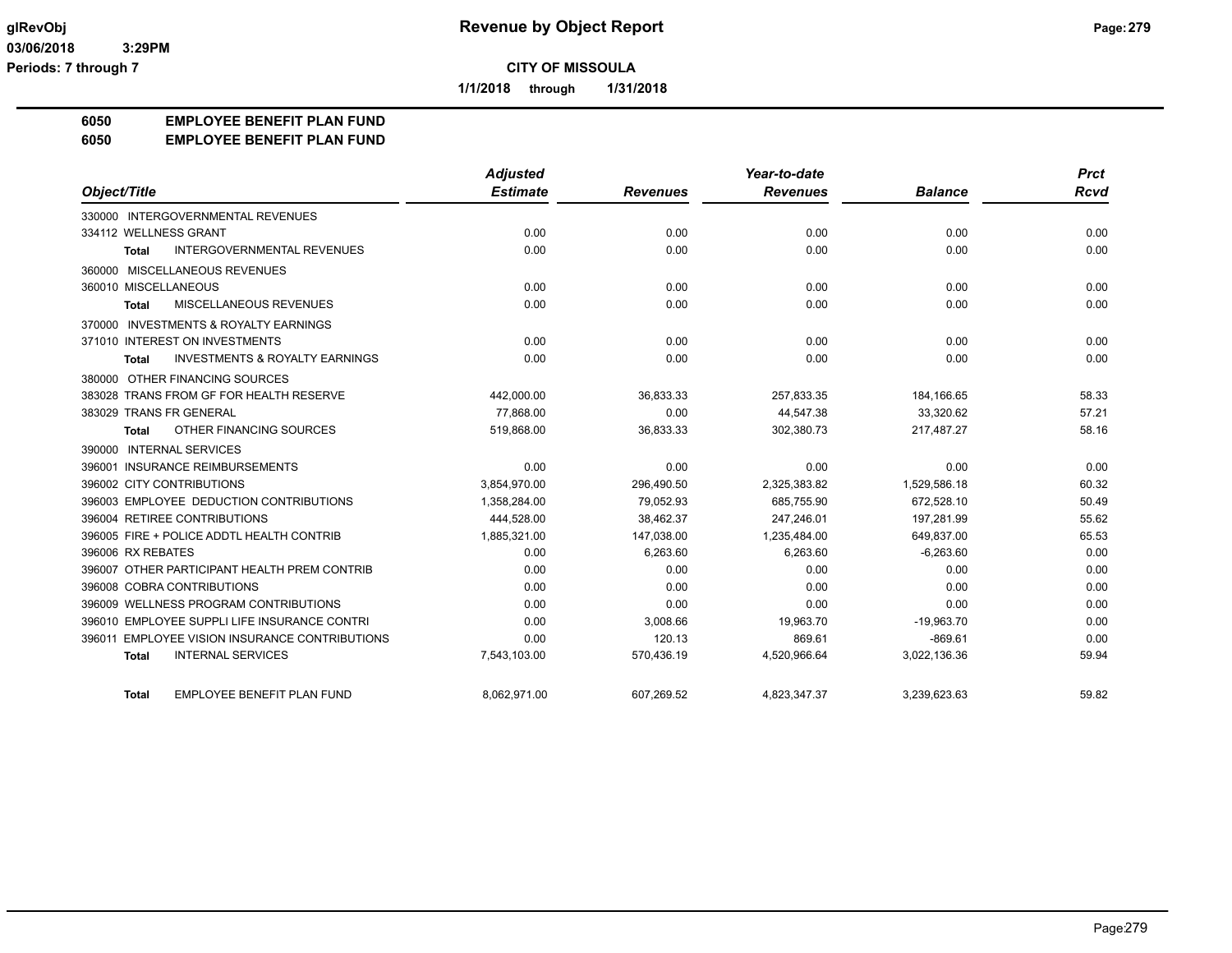**1/1/2018 through 1/31/2018**

#### **6050 EMPLOYEE BENEFIT PLAN FUND**

#### **6050 EMPLOYEE BENEFIT PLAN FUND**

|                                                    | <b>Adjusted</b> |                 | Year-to-date    |                | <b>Prct</b> |
|----------------------------------------------------|-----------------|-----------------|-----------------|----------------|-------------|
| Object/Title                                       | <b>Estimate</b> | <b>Revenues</b> | <b>Revenues</b> | <b>Balance</b> | Rcvd        |
| 330000 INTERGOVERNMENTAL REVENUES                  |                 |                 |                 |                |             |
| 334112 WELLNESS GRANT                              | 0.00            | 0.00            | 0.00            | 0.00           | 0.00        |
| INTERGOVERNMENTAL REVENUES<br><b>Total</b>         | 0.00            | 0.00            | 0.00            | 0.00           | 0.00        |
| 360000 MISCELLANEOUS REVENUES                      |                 |                 |                 |                |             |
| 360010 MISCELLANEOUS                               | 0.00            | 0.00            | 0.00            | 0.00           | 0.00        |
| MISCELLANEOUS REVENUES<br><b>Total</b>             | 0.00            | 0.00            | 0.00            | 0.00           | 0.00        |
| 370000 INVESTMENTS & ROYALTY EARNINGS              |                 |                 |                 |                |             |
| 371010 INTEREST ON INVESTMENTS                     | 0.00            | 0.00            | 0.00            | 0.00           | 0.00        |
| <b>INVESTMENTS &amp; ROYALTY EARNINGS</b><br>Total | 0.00            | 0.00            | 0.00            | 0.00           | 0.00        |
| 380000 OTHER FINANCING SOURCES                     |                 |                 |                 |                |             |
| 383028 TRANS FROM GF FOR HEALTH RESERVE            | 442,000.00      | 36,833.33       | 257,833.35      | 184,166.65     | 58.33       |
| 383029 TRANS FR GENERAL                            | 77.868.00       | 0.00            | 44,547.38       | 33,320.62      | 57.21       |
| OTHER FINANCING SOURCES<br>Total                   | 519,868.00      | 36,833.33       | 302,380.73      | 217,487.27     | 58.16       |
| 390000 INTERNAL SERVICES                           |                 |                 |                 |                |             |
| 396001 INSURANCE REIMBURSEMENTS                    | 0.00            | 0.00            | 0.00            | 0.00           | 0.00        |
| 396002 CITY CONTRIBUTIONS                          | 3,854,970.00    | 296,490.50      | 2,325,383.82    | 1,529,586.18   | 60.32       |
| 396003 EMPLOYEE DEDUCTION CONTRIBUTIONS            | 1,358,284.00    | 79,052.93       | 685,755.90      | 672,528.10     | 50.49       |
| 396004 RETIREE CONTRIBUTIONS                       | 444,528.00      | 38,462.37       | 247,246.01      | 197,281.99     | 55.62       |
| 396005 FIRE + POLICE ADDTL HEALTH CONTRIB          | 1,885,321.00    | 147,038.00      | 1,235,484.00    | 649,837.00     | 65.53       |
| 396006 RX REBATES                                  | 0.00            | 6,263.60        | 6.263.60        | $-6.263.60$    | 0.00        |
| 396007 OTHER PARTICIPANT HEALTH PREM CONTRIB       | 0.00            | 0.00            | 0.00            | 0.00           | 0.00        |
| 396008 COBRA CONTRIBUTIONS                         | 0.00            | 0.00            | 0.00            | 0.00           | 0.00        |
| 396009 WELLNESS PROGRAM CONTRIBUTIONS              | 0.00            | 0.00            | 0.00            | 0.00           | 0.00        |
| 396010 EMPLOYEE SUPPLI LIFE INSURANCE CONTRI       | 0.00            | 3,008.66        | 19,963.70       | $-19,963.70$   | 0.00        |
| 396011 EMPLOYEE VISION INSURANCE CONTRIBUTIONS     | 0.00            | 120.13          | 869.61          | $-869.61$      | 0.00        |
| <b>INTERNAL SERVICES</b><br><b>Total</b>           | 7,543,103.00    | 570,436.19      | 4,520,966.64    | 3,022,136.36   | 59.94       |
| <b>EMPLOYEE BENEFIT PLAN FUND</b><br><b>Total</b>  | 8.062.971.00    | 607.269.52      | 4,823,347.37    | 3,239,623.63   | 59.82       |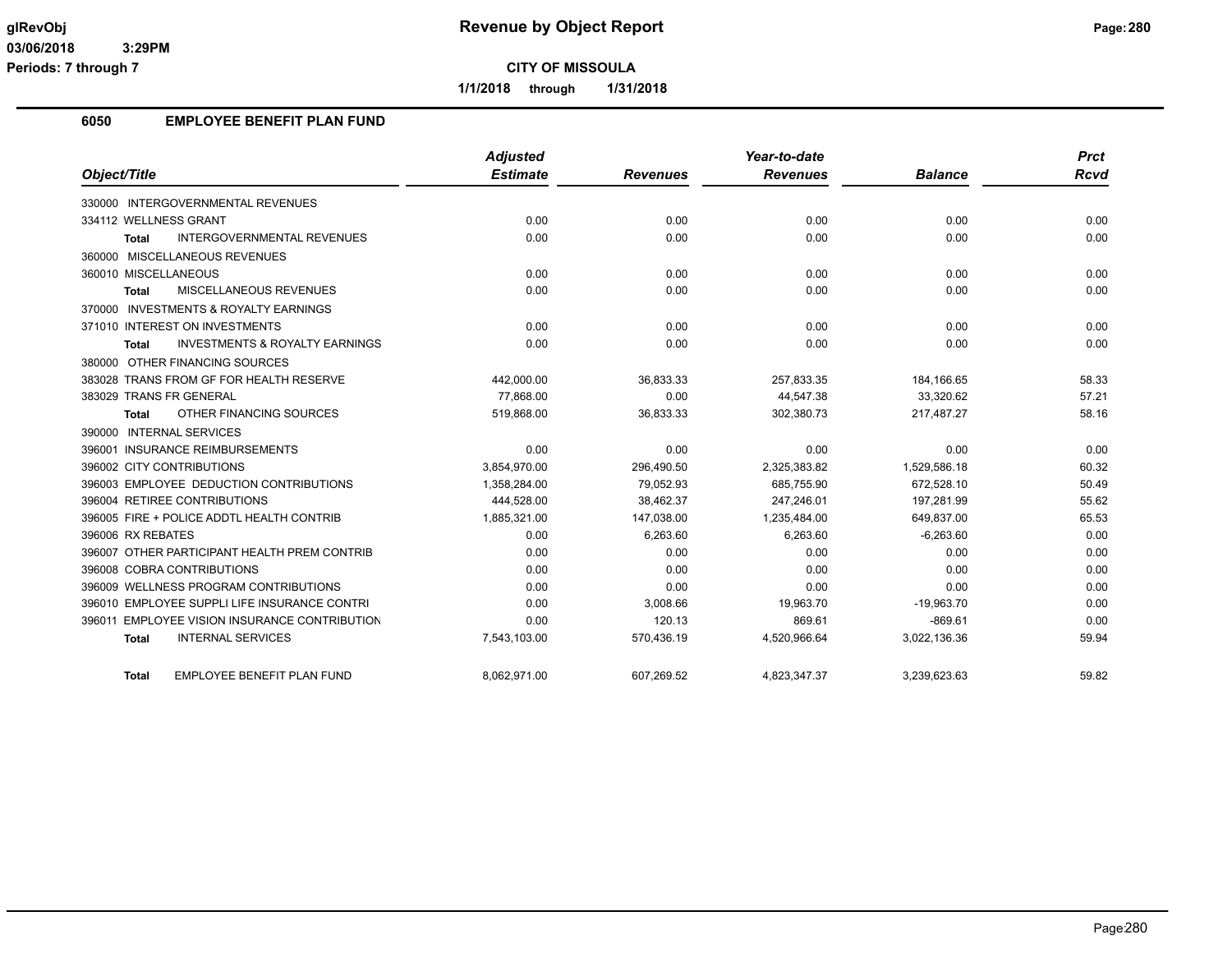**Periods: 7 through 7**

**CITY OF MISSOULA**

**1/1/2018 through 1/31/2018**

### **6050 EMPLOYEE BENEFIT PLAN FUND**

|                                                           | <b>Adjusted</b> |                 | Year-to-date    |                | <b>Prct</b> |
|-----------------------------------------------------------|-----------------|-----------------|-----------------|----------------|-------------|
| Object/Title                                              | <b>Estimate</b> | <b>Revenues</b> | <b>Revenues</b> | <b>Balance</b> | Rcvd        |
| 330000 INTERGOVERNMENTAL REVENUES                         |                 |                 |                 |                |             |
| 334112 WELLNESS GRANT                                     | 0.00            | 0.00            | 0.00            | 0.00           | 0.00        |
| <b>INTERGOVERNMENTAL REVENUES</b><br><b>Total</b>         | 0.00            | 0.00            | 0.00            | 0.00           | 0.00        |
| 360000 MISCELLANEOUS REVENUES                             |                 |                 |                 |                |             |
| 360010 MISCELLANEOUS                                      | 0.00            | 0.00            | 0.00            | 0.00           | 0.00        |
| <b>MISCELLANEOUS REVENUES</b><br><b>Total</b>             | 0.00            | 0.00            | 0.00            | 0.00           | 0.00        |
| 370000 INVESTMENTS & ROYALTY EARNINGS                     |                 |                 |                 |                |             |
| 371010 INTEREST ON INVESTMENTS                            | 0.00            | 0.00            | 0.00            | 0.00           | 0.00        |
| <b>INVESTMENTS &amp; ROYALTY EARNINGS</b><br><b>Total</b> | 0.00            | 0.00            | 0.00            | 0.00           | 0.00        |
| 380000 OTHER FINANCING SOURCES                            |                 |                 |                 |                |             |
| 383028 TRANS FROM GF FOR HEALTH RESERVE                   | 442,000.00      | 36,833.33       | 257,833.35      | 184,166.65     | 58.33       |
| 383029 TRANS FR GENERAL                                   | 77,868.00       | 0.00            | 44,547.38       | 33,320.62      | 57.21       |
| OTHER FINANCING SOURCES<br><b>Total</b>                   | 519,868.00      | 36,833.33       | 302,380.73      | 217,487.27     | 58.16       |
| 390000 INTERNAL SERVICES                                  |                 |                 |                 |                |             |
| 396001 INSURANCE REIMBURSEMENTS                           | 0.00            | 0.00            | 0.00            | 0.00           | 0.00        |
| 396002 CITY CONTRIBUTIONS                                 | 3,854,970.00    | 296,490.50      | 2,325,383.82    | 1,529,586.18   | 60.32       |
| 396003 EMPLOYEE DEDUCTION CONTRIBUTIONS                   | 1,358,284.00    | 79,052.93       | 685,755.90      | 672,528.10     | 50.49       |
| 396004 RETIREE CONTRIBUTIONS                              | 444,528.00      | 38,462.37       | 247.246.01      | 197,281.99     | 55.62       |
| 396005 FIRE + POLICE ADDTL HEALTH CONTRIB                 | 1,885,321.00    | 147,038.00      | 1,235,484.00    | 649,837.00     | 65.53       |
| 396006 RX REBATES                                         | 0.00            | 6,263.60        | 6,263.60        | $-6,263.60$    | 0.00        |
| 396007 OTHER PARTICIPANT HEALTH PREM CONTRIB              | 0.00            | 0.00            | 0.00            | 0.00           | 0.00        |
| 396008 COBRA CONTRIBUTIONS                                | 0.00            | 0.00            | 0.00            | 0.00           | 0.00        |
| 396009 WELLNESS PROGRAM CONTRIBUTIONS                     | 0.00            | 0.00            | 0.00            | 0.00           | 0.00        |
| 396010 EMPLOYEE SUPPLI LIFE INSURANCE CONTRI              | 0.00            | 3,008.66        | 19,963.70       | $-19,963.70$   | 0.00        |
| 396011 EMPLOYEE VISION INSURANCE CONTRIBUTION             | 0.00            | 120.13          | 869.61          | $-869.61$      | 0.00        |
| <b>INTERNAL SERVICES</b><br><b>Total</b>                  | 7,543,103.00    | 570,436.19      | 4,520,966.64    | 3,022,136.36   | 59.94       |
| EMPLOYEE BENEFIT PLAN FUND<br>Total                       | 8.062.971.00    | 607.269.52      | 4,823,347.37    | 3.239.623.63   | 59.82       |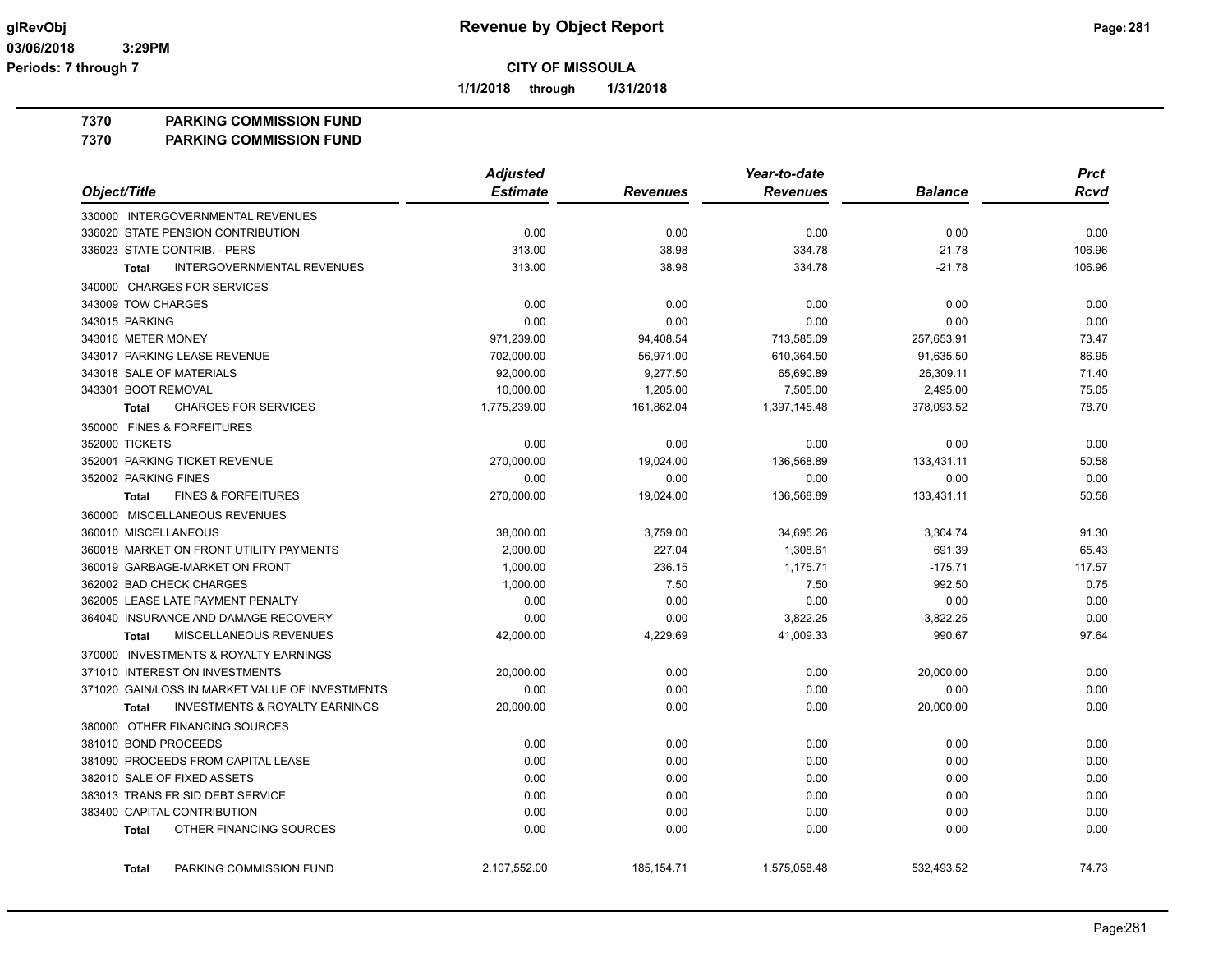**1/1/2018 through 1/31/2018**

**7370 PARKING COMMISSION FUND**

**7370 PARKING COMMISSION FUND**

|                                                           | <b>Adjusted</b> |                 | Year-to-date    |                | <b>Prct</b> |
|-----------------------------------------------------------|-----------------|-----------------|-----------------|----------------|-------------|
| Object/Title                                              | <b>Estimate</b> | <b>Revenues</b> | <b>Revenues</b> | <b>Balance</b> | <b>Rcvd</b> |
| 330000 INTERGOVERNMENTAL REVENUES                         |                 |                 |                 |                |             |
| 336020 STATE PENSION CONTRIBUTION                         | 0.00            | 0.00            | 0.00            | 0.00           | 0.00        |
| 336023 STATE CONTRIB. - PERS                              | 313.00          | 38.98           | 334.78          | $-21.78$       | 106.96      |
| <b>INTERGOVERNMENTAL REVENUES</b><br><b>Total</b>         | 313.00          | 38.98           | 334.78          | $-21.78$       | 106.96      |
| 340000 CHARGES FOR SERVICES                               |                 |                 |                 |                |             |
| 343009 TOW CHARGES                                        | 0.00            | 0.00            | 0.00            | 0.00           | 0.00        |
| 343015 PARKING                                            | 0.00            | 0.00            | 0.00            | 0.00           | 0.00        |
| 343016 METER MONEY                                        | 971,239.00      | 94,408.54       | 713,585.09      | 257,653.91     | 73.47       |
| 343017 PARKING LEASE REVENUE                              | 702,000.00      | 56,971.00       | 610,364.50      | 91,635.50      | 86.95       |
| 343018 SALE OF MATERIALS                                  | 92,000.00       | 9,277.50        | 65,690.89       | 26,309.11      | 71.40       |
| 343301 BOOT REMOVAL                                       | 10,000.00       | 1,205.00        | 7,505.00        | 2,495.00       | 75.05       |
| <b>CHARGES FOR SERVICES</b><br><b>Total</b>               | 1,775,239.00    | 161,862.04      | 1,397,145.48    | 378,093.52     | 78.70       |
| 350000 FINES & FORFEITURES                                |                 |                 |                 |                |             |
| 352000 TICKETS                                            | 0.00            | 0.00            | 0.00            | 0.00           | 0.00        |
| 352001 PARKING TICKET REVENUE                             | 270,000.00      | 19,024.00       | 136,568.89      | 133,431.11     | 50.58       |
| 352002 PARKING FINES                                      | 0.00            | 0.00            | 0.00            | 0.00           | 0.00        |
| <b>FINES &amp; FORFEITURES</b><br><b>Total</b>            | 270,000.00      | 19,024.00       | 136,568.89      | 133,431.11     | 50.58       |
| 360000 MISCELLANEOUS REVENUES                             |                 |                 |                 |                |             |
| 360010 MISCELLANEOUS                                      | 38,000.00       | 3,759.00        | 34,695.26       | 3,304.74       | 91.30       |
| 360018 MARKET ON FRONT UTILITY PAYMENTS                   | 2,000.00        | 227.04          | 1,308.61        | 691.39         | 65.43       |
| 360019 GARBAGE-MARKET ON FRONT                            | 1,000.00        | 236.15          | 1,175.71        | $-175.71$      | 117.57      |
| 362002 BAD CHECK CHARGES                                  | 1,000.00        | 7.50            | 7.50            | 992.50         | 0.75        |
| 362005 LEASE LATE PAYMENT PENALTY                         | 0.00            | 0.00            | 0.00            | 0.00           | 0.00        |
| 364040 INSURANCE AND DAMAGE RECOVERY                      | 0.00            | 0.00            | 3,822.25        | $-3,822.25$    | 0.00        |
| MISCELLANEOUS REVENUES<br><b>Total</b>                    | 42,000.00       | 4,229.69        | 41,009.33       | 990.67         | 97.64       |
| 370000 INVESTMENTS & ROYALTY EARNINGS                     |                 |                 |                 |                |             |
| 371010 INTEREST ON INVESTMENTS                            | 20,000.00       | 0.00            | 0.00            | 20,000.00      | 0.00        |
| 371020 GAIN/LOSS IN MARKET VALUE OF INVESTMENTS           | 0.00            | 0.00            | 0.00            | 0.00           | 0.00        |
| <b>INVESTMENTS &amp; ROYALTY EARNINGS</b><br><b>Total</b> | 20,000.00       | 0.00            | 0.00            | 20,000.00      | 0.00        |
| 380000 OTHER FINANCING SOURCES                            |                 |                 |                 |                |             |
| 381010 BOND PROCEEDS                                      | 0.00            | 0.00            | 0.00            | 0.00           | 0.00        |
| 381090 PROCEEDS FROM CAPITAL LEASE                        | 0.00            | 0.00            | 0.00            | 0.00           | 0.00        |
| 382010 SALE OF FIXED ASSETS                               | 0.00            | 0.00            | 0.00            | 0.00           | 0.00        |
| 383013 TRANS FR SID DEBT SERVICE                          | 0.00            | 0.00            | 0.00            | 0.00           | 0.00        |
| 383400 CAPITAL CONTRIBUTION                               | 0.00            | 0.00            | 0.00            | 0.00           | 0.00        |
| OTHER FINANCING SOURCES<br><b>Total</b>                   | 0.00            | 0.00            | 0.00            | 0.00           | 0.00        |
| PARKING COMMISSION FUND<br><b>Total</b>                   | 2.107.552.00    | 185, 154.71     | 1,575,058.48    | 532.493.52     | 74.73       |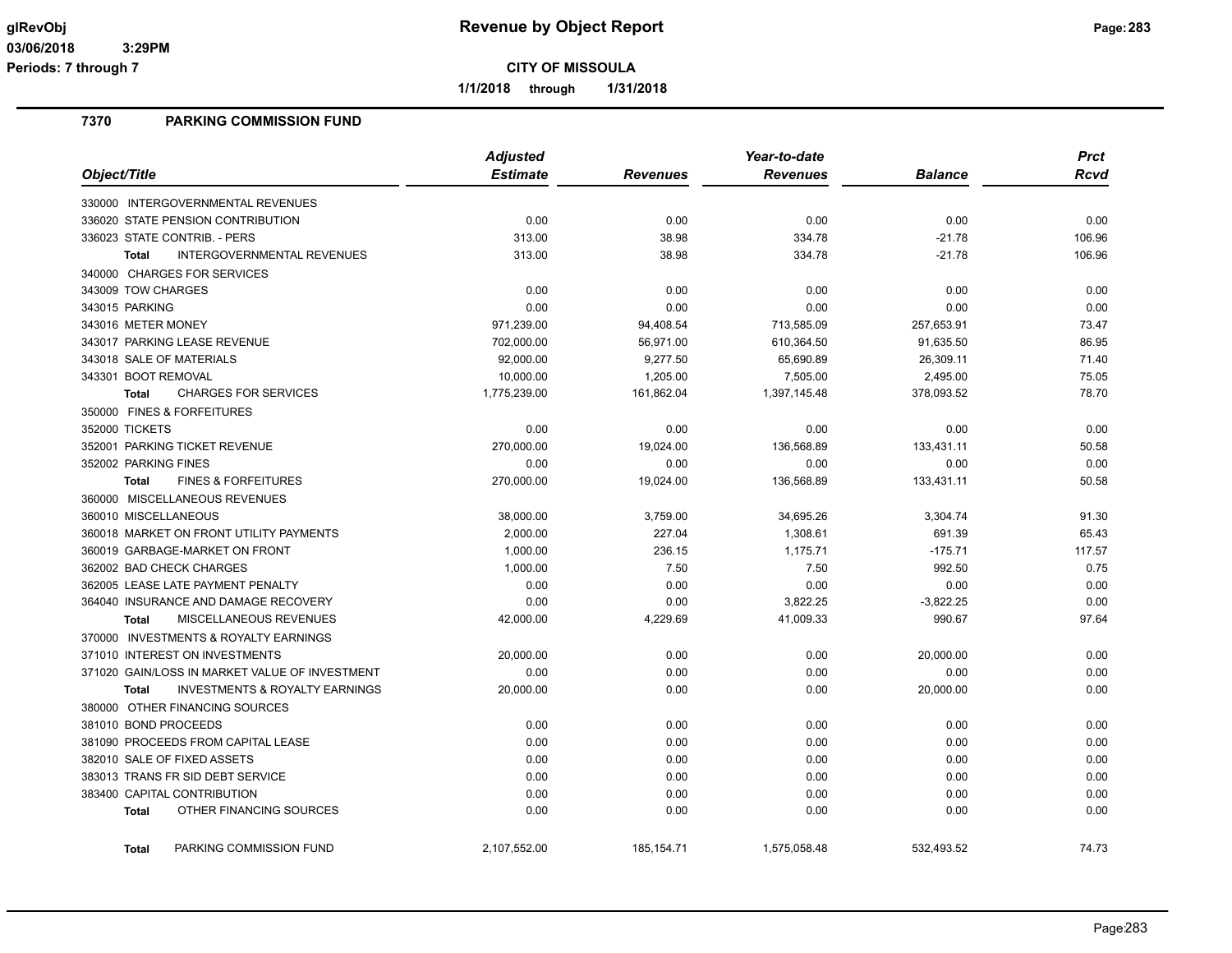**1/1/2018 through 1/31/2018**

## **7370 PARKING COMMISSION FUND**

|                                                           | <b>Adjusted</b> |                 | Year-to-date    |                | <b>Prct</b> |
|-----------------------------------------------------------|-----------------|-----------------|-----------------|----------------|-------------|
| Object/Title                                              | <b>Estimate</b> | <b>Revenues</b> | <b>Revenues</b> | <b>Balance</b> | <b>Rcvd</b> |
| 330000 INTERGOVERNMENTAL REVENUES                         |                 |                 |                 |                |             |
| 336020 STATE PENSION CONTRIBUTION                         | 0.00            | 0.00            | 0.00            | 0.00           | 0.00        |
| 336023 STATE CONTRIB. - PERS                              | 313.00          | 38.98           | 334.78          | $-21.78$       | 106.96      |
| <b>INTERGOVERNMENTAL REVENUES</b><br><b>Total</b>         | 313.00          | 38.98           | 334.78          | $-21.78$       | 106.96      |
| 340000 CHARGES FOR SERVICES                               |                 |                 |                 |                |             |
| 343009 TOW CHARGES                                        | 0.00            | 0.00            | 0.00            | 0.00           | 0.00        |
| 343015 PARKING                                            | 0.00            | 0.00            | 0.00            | 0.00           | 0.00        |
| 343016 METER MONEY                                        | 971,239.00      | 94,408.54       | 713,585.09      | 257,653.91     | 73.47       |
| 343017 PARKING LEASE REVENUE                              | 702,000.00      | 56,971.00       | 610,364.50      | 91,635.50      | 86.95       |
| 343018 SALE OF MATERIALS                                  | 92,000.00       | 9,277.50        | 65,690.89       | 26,309.11      | 71.40       |
| 343301 BOOT REMOVAL                                       | 10,000.00       | 1,205.00        | 7,505.00        | 2,495.00       | 75.05       |
| <b>CHARGES FOR SERVICES</b><br><b>Total</b>               | 1,775,239.00    | 161,862.04      | 1,397,145.48    | 378,093.52     | 78.70       |
| 350000 FINES & FORFEITURES                                |                 |                 |                 |                |             |
| 352000 TICKETS                                            | 0.00            | 0.00            | 0.00            | 0.00           | 0.00        |
| 352001 PARKING TICKET REVENUE                             | 270,000.00      | 19,024.00       | 136,568.89      | 133,431.11     | 50.58       |
| 352002 PARKING FINES                                      | 0.00            | 0.00            | 0.00            | 0.00           | 0.00        |
| <b>FINES &amp; FORFEITURES</b><br><b>Total</b>            | 270,000.00      | 19,024.00       | 136,568.89      | 133,431.11     | 50.58       |
| 360000 MISCELLANEOUS REVENUES                             |                 |                 |                 |                |             |
| 360010 MISCELLANEOUS                                      | 38,000.00       | 3,759.00        | 34,695.26       | 3,304.74       | 91.30       |
| 360018 MARKET ON FRONT UTILITY PAYMENTS                   | 2,000.00        | 227.04          | 1,308.61        | 691.39         | 65.43       |
| 360019 GARBAGE-MARKET ON FRONT                            | 1,000.00        | 236.15          | 1,175.71        | $-175.71$      | 117.57      |
| 362002 BAD CHECK CHARGES                                  | 1,000.00        | 7.50            | 7.50            | 992.50         | 0.75        |
| 362005 LEASE LATE PAYMENT PENALTY                         | 0.00            | 0.00            | 0.00            | 0.00           | 0.00        |
| 364040 INSURANCE AND DAMAGE RECOVERY                      | 0.00            | 0.00            | 3,822.25        | $-3,822.25$    | 0.00        |
| MISCELLANEOUS REVENUES<br><b>Total</b>                    | 42,000.00       | 4,229.69        | 41,009.33       | 990.67         | 97.64       |
| 370000 INVESTMENTS & ROYALTY EARNINGS                     |                 |                 |                 |                |             |
| 371010 INTEREST ON INVESTMENTS                            | 20,000.00       | 0.00            | 0.00            | 20,000.00      | 0.00        |
| 371020 GAIN/LOSS IN MARKET VALUE OF INVESTMENT            | 0.00            | 0.00            | 0.00            | 0.00           | 0.00        |
| <b>INVESTMENTS &amp; ROYALTY EARNINGS</b><br><b>Total</b> | 20,000.00       | 0.00            | 0.00            | 20,000.00      | 0.00        |
| 380000 OTHER FINANCING SOURCES                            |                 |                 |                 |                |             |
| 381010 BOND PROCEEDS                                      | 0.00            | 0.00            | 0.00            | 0.00           | 0.00        |
| 381090 PROCEEDS FROM CAPITAL LEASE                        | 0.00            | 0.00            | 0.00            | 0.00           | 0.00        |
| 382010 SALE OF FIXED ASSETS                               | 0.00            | 0.00            | 0.00            | 0.00           | 0.00        |
| 383013 TRANS FR SID DEBT SERVICE                          | 0.00            | 0.00            | 0.00            | 0.00           | 0.00        |
| 383400 CAPITAL CONTRIBUTION                               | 0.00            | 0.00            | 0.00            | 0.00           | 0.00        |
| OTHER FINANCING SOURCES<br><b>Total</b>                   | 0.00            | 0.00            | 0.00            | 0.00           | 0.00        |
|                                                           |                 |                 |                 |                |             |
| PARKING COMMISSION FUND<br><b>Total</b>                   | 2.107.552.00    | 185, 154.71     | 1,575,058.48    | 532.493.52     | 74.73       |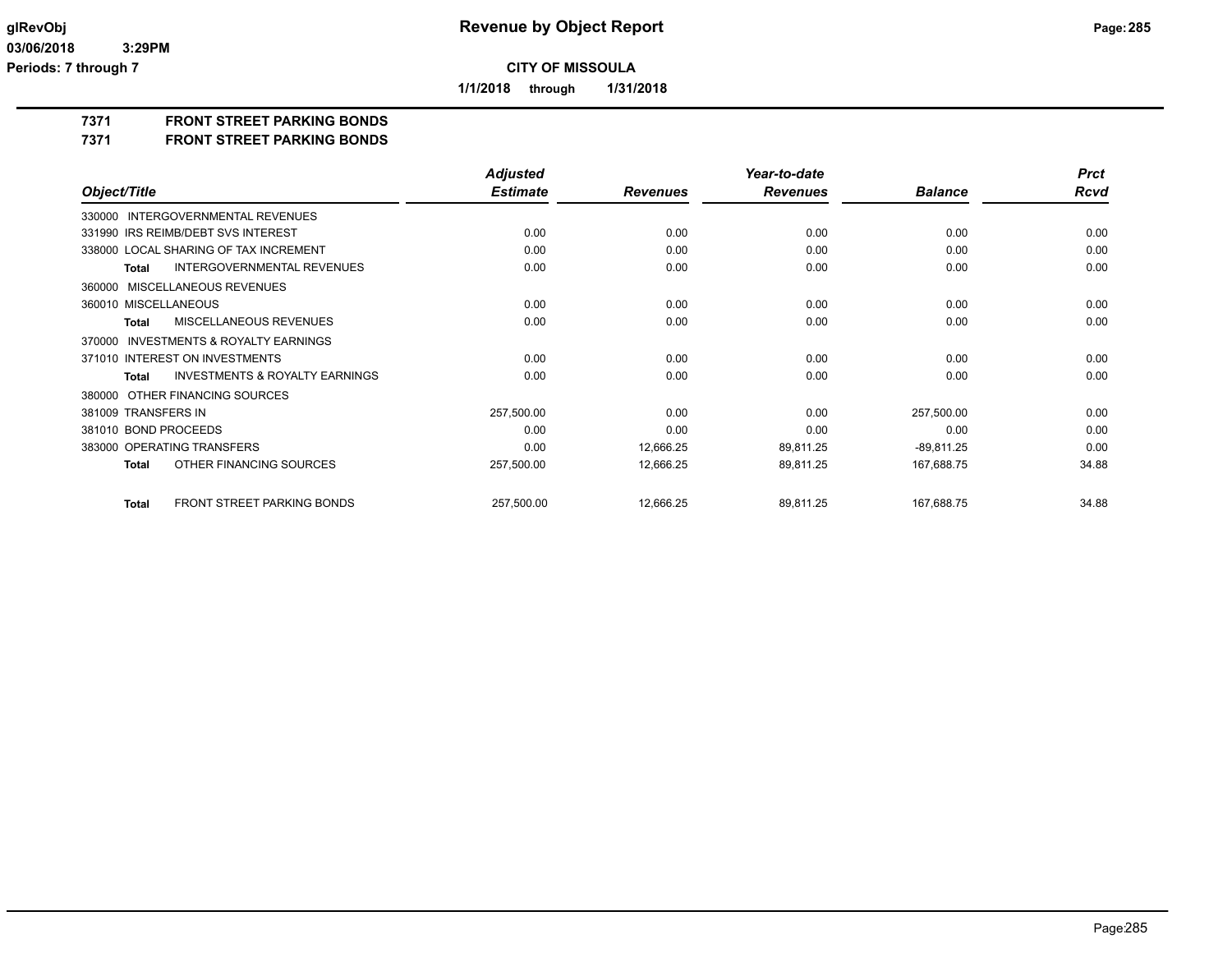**1/1/2018 through 1/31/2018**

## **7371 FRONT STREET PARKING BONDS**

**7371 FRONT STREET PARKING BONDS**

|                                                           | <b>Adjusted</b> |                 | Year-to-date    |                | <b>Prct</b> |
|-----------------------------------------------------------|-----------------|-----------------|-----------------|----------------|-------------|
| Object/Title                                              | <b>Estimate</b> | <b>Revenues</b> | <b>Revenues</b> | <b>Balance</b> | Rcvd        |
| 330000 INTERGOVERNMENTAL REVENUES                         |                 |                 |                 |                |             |
| 331990 IRS REIMB/DEBT SVS INTEREST                        | 0.00            | 0.00            | 0.00            | 0.00           | 0.00        |
| 338000 LOCAL SHARING OF TAX INCREMENT                     | 0.00            | 0.00            | 0.00            | 0.00           | 0.00        |
| <b>INTERGOVERNMENTAL REVENUES</b><br><b>Total</b>         | 0.00            | 0.00            | 0.00            | 0.00           | 0.00        |
| MISCELLANEOUS REVENUES<br>360000                          |                 |                 |                 |                |             |
| 360010 MISCELLANEOUS                                      | 0.00            | 0.00            | 0.00            | 0.00           | 0.00        |
| <b>MISCELLANEOUS REVENUES</b><br>Total                    | 0.00            | 0.00            | 0.00            | 0.00           | 0.00        |
| <b>INVESTMENTS &amp; ROYALTY EARNINGS</b><br>370000       |                 |                 |                 |                |             |
| 371010 INTEREST ON INVESTMENTS                            | 0.00            | 0.00            | 0.00            | 0.00           | 0.00        |
| <b>INVESTMENTS &amp; ROYALTY EARNINGS</b><br><b>Total</b> | 0.00            | 0.00            | 0.00            | 0.00           | 0.00        |
| OTHER FINANCING SOURCES<br>380000                         |                 |                 |                 |                |             |
| 381009 TRANSFERS IN                                       | 257,500.00      | 0.00            | 0.00            | 257,500.00     | 0.00        |
| 381010 BOND PROCEEDS                                      | 0.00            | 0.00            | 0.00            | 0.00           | 0.00        |
| 383000 OPERATING TRANSFERS                                | 0.00            | 12,666.25       | 89,811.25       | $-89,811.25$   | 0.00        |
| OTHER FINANCING SOURCES<br><b>Total</b>                   | 257,500.00      | 12,666.25       | 89,811.25       | 167,688.75     | 34.88       |
| FRONT STREET PARKING BONDS<br><b>Total</b>                | 257,500.00      | 12,666.25       | 89,811.25       | 167,688.75     | 34.88       |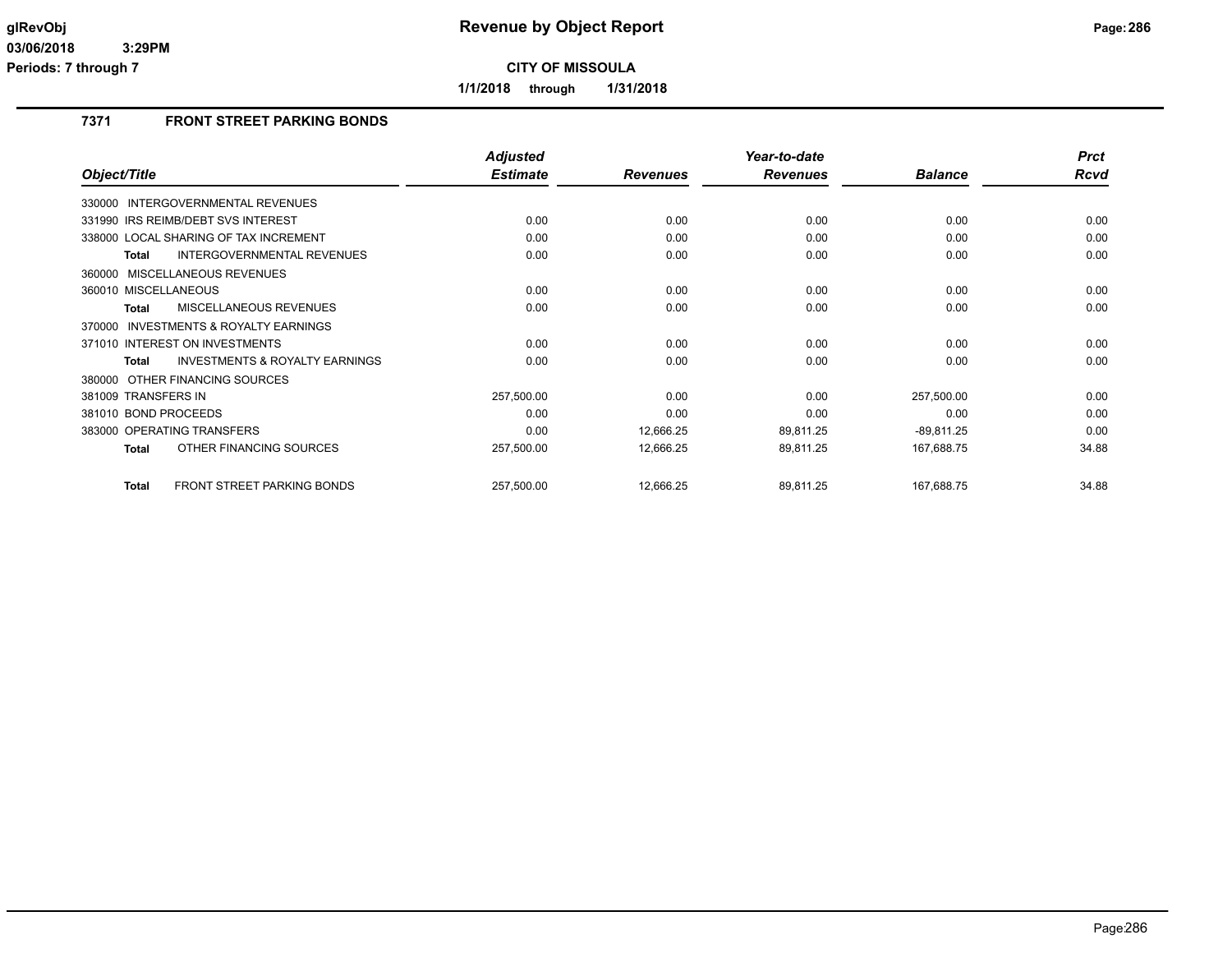**1/1/2018 through 1/31/2018**

## **7371 FRONT STREET PARKING BONDS**

|                                                     | <b>Adjusted</b> |                 | Year-to-date    |                | <b>Prct</b> |
|-----------------------------------------------------|-----------------|-----------------|-----------------|----------------|-------------|
| Object/Title                                        | <b>Estimate</b> | <b>Revenues</b> | <b>Revenues</b> | <b>Balance</b> | <b>Rcvd</b> |
| <b>INTERGOVERNMENTAL REVENUES</b><br>330000         |                 |                 |                 |                |             |
| 331990 IRS REIMB/DEBT SVS INTEREST                  | 0.00            | 0.00            | 0.00            | 0.00           | 0.00        |
| 338000 LOCAL SHARING OF TAX INCREMENT               | 0.00            | 0.00            | 0.00            | 0.00           | 0.00        |
| <b>INTERGOVERNMENTAL REVENUES</b><br>Total          | 0.00            | 0.00            | 0.00            | 0.00           | 0.00        |
| 360000 MISCELLANEOUS REVENUES                       |                 |                 |                 |                |             |
| 360010 MISCELLANEOUS                                | 0.00            | 0.00            | 0.00            | 0.00           | 0.00        |
| <b>MISCELLANEOUS REVENUES</b><br><b>Total</b>       | 0.00            | 0.00            | 0.00            | 0.00           | 0.00        |
| <b>INVESTMENTS &amp; ROYALTY EARNINGS</b><br>370000 |                 |                 |                 |                |             |
| 371010 INTEREST ON INVESTMENTS                      | 0.00            | 0.00            | 0.00            | 0.00           | 0.00        |
| <b>INVESTMENTS &amp; ROYALTY EARNINGS</b><br>Total  | 0.00            | 0.00            | 0.00            | 0.00           | 0.00        |
| 380000 OTHER FINANCING SOURCES                      |                 |                 |                 |                |             |
| 381009 TRANSFERS IN                                 | 257,500.00      | 0.00            | 0.00            | 257,500.00     | 0.00        |
| 381010 BOND PROCEEDS                                | 0.00            | 0.00            | 0.00            | 0.00           | 0.00        |
| 383000 OPERATING TRANSFERS                          | 0.00            | 12,666.25       | 89,811.25       | $-89,811.25$   | 0.00        |
| OTHER FINANCING SOURCES<br><b>Total</b>             | 257,500.00      | 12,666.25       | 89,811.25       | 167,688.75     | 34.88       |
| <b>FRONT STREET PARKING BONDS</b><br><b>Total</b>   | 257,500.00      | 12,666.25       | 89,811.25       | 167,688.75     | 34.88       |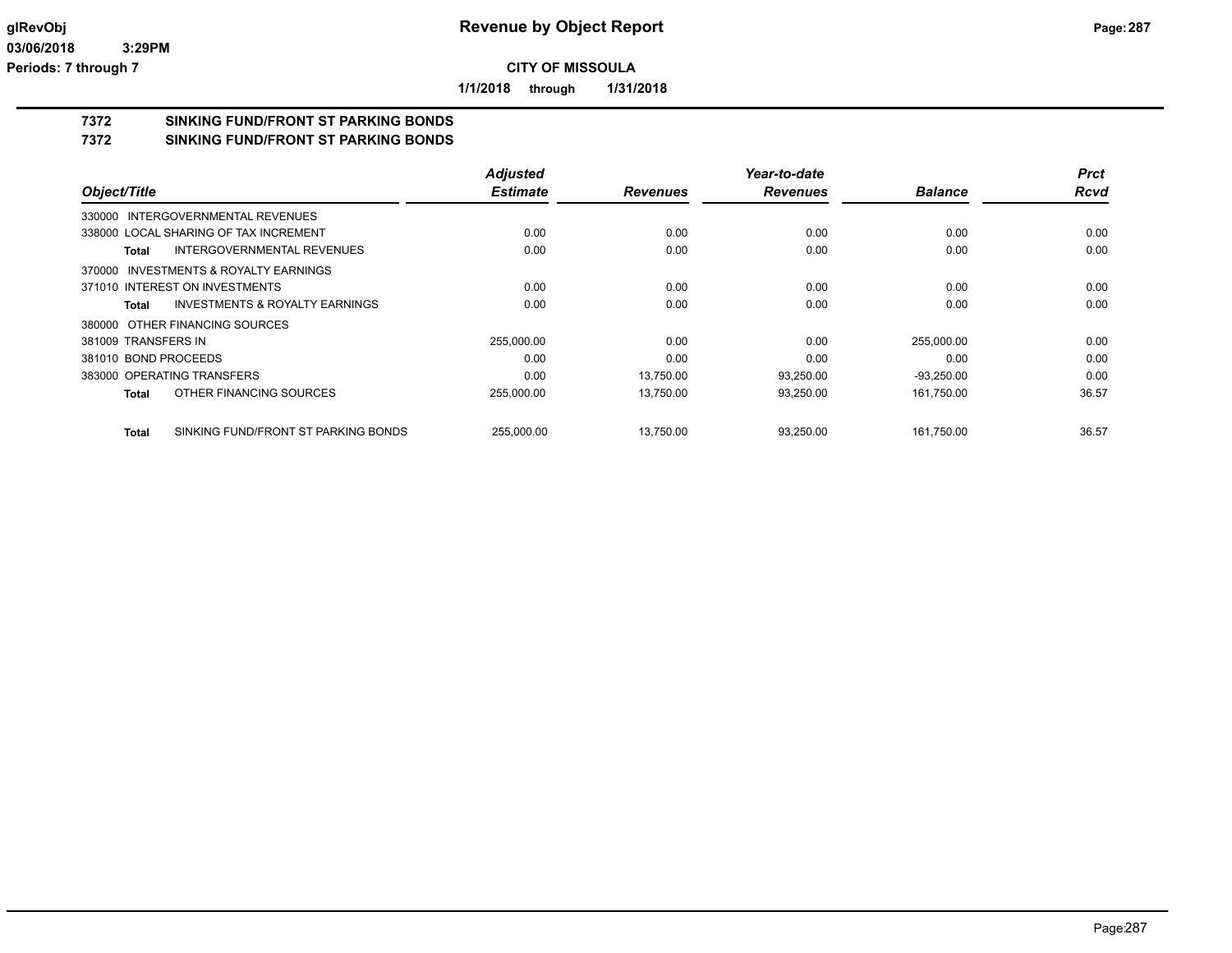**1/1/2018 through 1/31/2018**

# **7372 SINKING FUND/FRONT ST PARKING BONDS**

**7372 SINKING FUND/FRONT ST PARKING BONDS**

|                                              | <b>Adjusted</b> |                 | Year-to-date    |                | <b>Prct</b> |
|----------------------------------------------|-----------------|-----------------|-----------------|----------------|-------------|
| Object/Title                                 | <b>Estimate</b> | <b>Revenues</b> | <b>Revenues</b> | <b>Balance</b> | <b>Rcvd</b> |
| 330000 INTERGOVERNMENTAL REVENUES            |                 |                 |                 |                |             |
| 338000 LOCAL SHARING OF TAX INCREMENT        | 0.00            | 0.00            | 0.00            | 0.00           | 0.00        |
| INTERGOVERNMENTAL REVENUES<br>Total          | 0.00            | 0.00            | 0.00            | 0.00           | 0.00        |
| 370000 INVESTMENTS & ROYALTY EARNINGS        |                 |                 |                 |                |             |
| 371010 INTEREST ON INVESTMENTS               | 0.00            | 0.00            | 0.00            | 0.00           | 0.00        |
| INVESTMENTS & ROYALTY EARNINGS<br>Total      | 0.00            | 0.00            | 0.00            | 0.00           | 0.00        |
| 380000 OTHER FINANCING SOURCES               |                 |                 |                 |                |             |
| 381009 TRANSFERS IN                          | 255,000.00      | 0.00            | 0.00            | 255,000.00     | 0.00        |
| 381010 BOND PROCEEDS                         | 0.00            | 0.00            | 0.00            | 0.00           | 0.00        |
| 383000 OPERATING TRANSFERS                   | 0.00            | 13.750.00       | 93,250.00       | $-93,250.00$   | 0.00        |
| OTHER FINANCING SOURCES<br>Total             | 255,000.00      | 13,750.00       | 93,250.00       | 161,750.00     | 36.57       |
| SINKING FUND/FRONT ST PARKING BONDS<br>Total | 255,000.00      | 13,750.00       | 93,250.00       | 161,750.00     | 36.57       |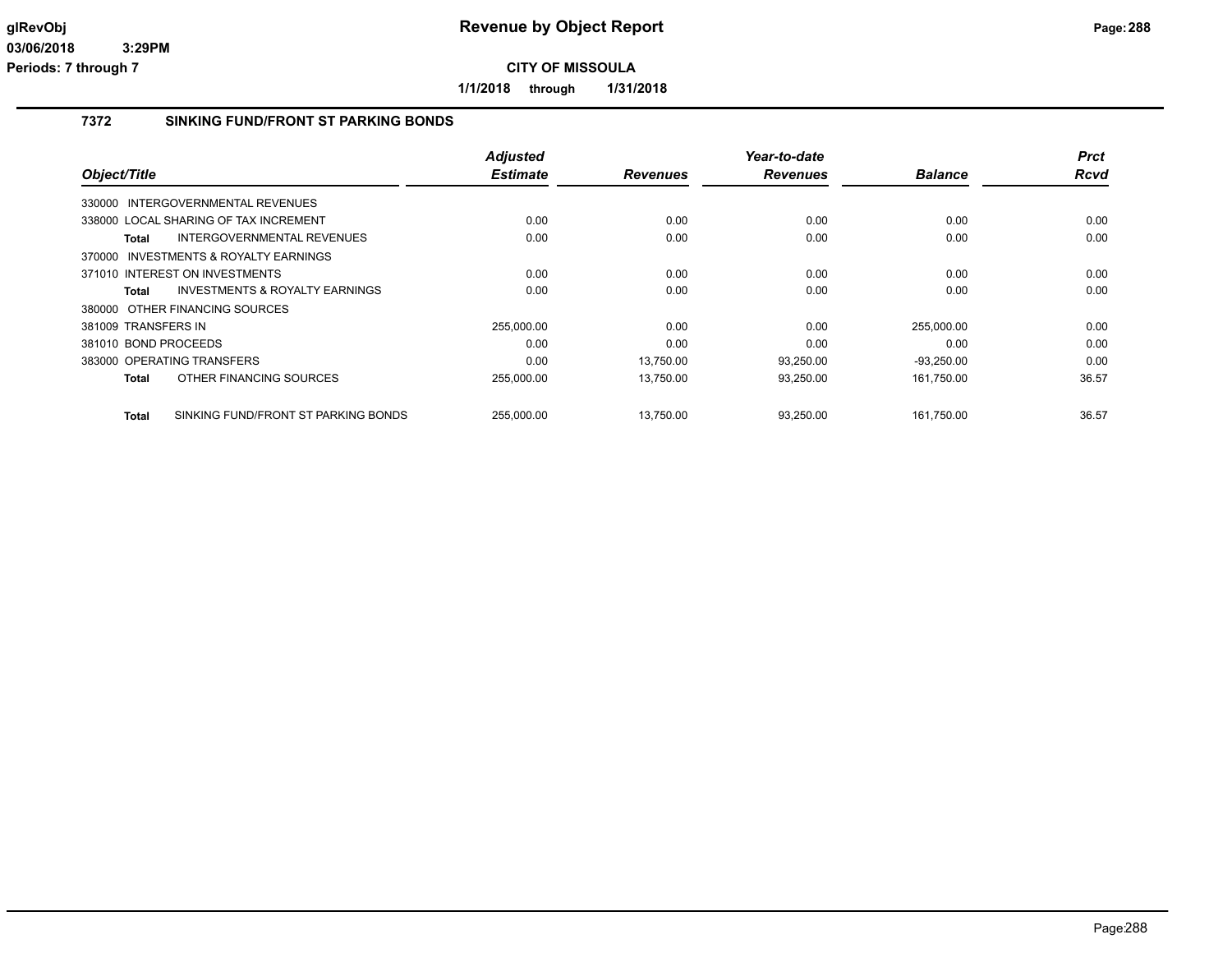**1/1/2018 through 1/31/2018**

## **7372 SINKING FUND/FRONT ST PARKING BONDS**

|                                                     | <b>Adjusted</b> |                 | Year-to-date    |                | <b>Prct</b> |
|-----------------------------------------------------|-----------------|-----------------|-----------------|----------------|-------------|
| Object/Title                                        | <b>Estimate</b> | <b>Revenues</b> | <b>Revenues</b> | <b>Balance</b> | <b>Rcvd</b> |
| 330000 INTERGOVERNMENTAL REVENUES                   |                 |                 |                 |                |             |
| 338000 LOCAL SHARING OF TAX INCREMENT               | 0.00            | 0.00            | 0.00            | 0.00           | 0.00        |
| INTERGOVERNMENTAL REVENUES<br><b>Total</b>          | 0.00            | 0.00            | 0.00            | 0.00           | 0.00        |
| 370000 INVESTMENTS & ROYALTY EARNINGS               |                 |                 |                 |                |             |
| 371010 INTEREST ON INVESTMENTS                      | 0.00            | 0.00            | 0.00            | 0.00           | 0.00        |
| INVESTMENTS & ROYALTY EARNINGS<br>Total             | 0.00            | 0.00            | 0.00            | 0.00           | 0.00        |
| 380000 OTHER FINANCING SOURCES                      |                 |                 |                 |                |             |
| 381009 TRANSFERS IN                                 | 255,000.00      | 0.00            | 0.00            | 255,000.00     | 0.00        |
| 381010 BOND PROCEEDS                                | 0.00            | 0.00            | 0.00            | 0.00           | 0.00        |
| 383000 OPERATING TRANSFERS                          | 0.00            | 13.750.00       | 93,250.00       | $-93,250.00$   | 0.00        |
| OTHER FINANCING SOURCES<br><b>Total</b>             | 255,000.00      | 13,750.00       | 93,250.00       | 161,750.00     | 36.57       |
| SINKING FUND/FRONT ST PARKING BONDS<br><b>Total</b> | 255,000.00      | 13,750.00       | 93,250.00       | 161,750.00     | 36.57       |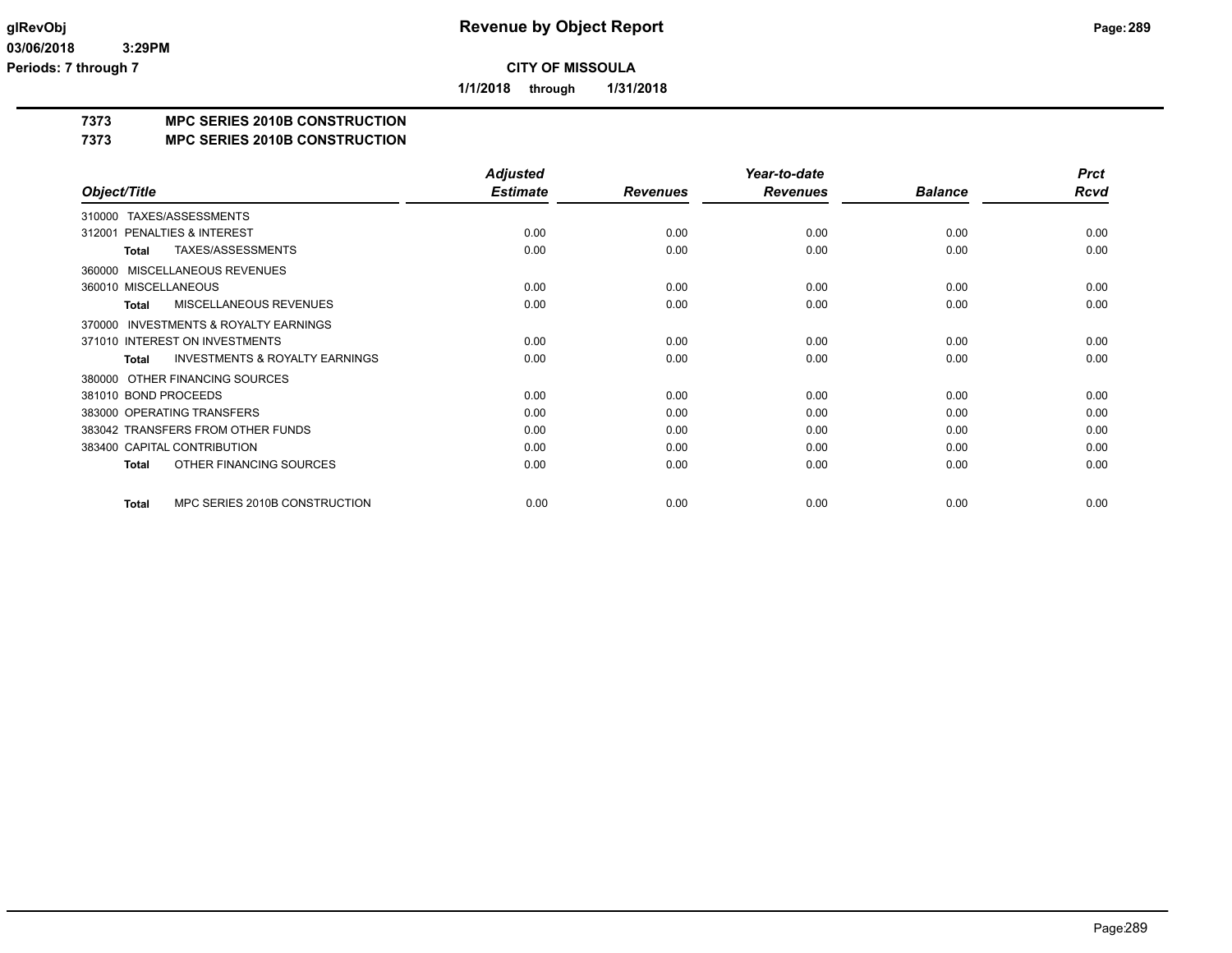**1/1/2018 through 1/31/2018**

## **7373 MPC SERIES 2010B CONSTRUCTION**

### **7373 MPC SERIES 2010B CONSTRUCTION**

|                                                           | <b>Adjusted</b> |                 | Year-to-date    |                | <b>Prct</b> |
|-----------------------------------------------------------|-----------------|-----------------|-----------------|----------------|-------------|
| Object/Title                                              | <b>Estimate</b> | <b>Revenues</b> | <b>Revenues</b> | <b>Balance</b> | Rcvd        |
| TAXES/ASSESSMENTS<br>310000                               |                 |                 |                 |                |             |
| PENALTIES & INTEREST<br>312001                            | 0.00            | 0.00            | 0.00            | 0.00           | 0.00        |
| TAXES/ASSESSMENTS<br><b>Total</b>                         | 0.00            | 0.00            | 0.00            | 0.00           | 0.00        |
| MISCELLANEOUS REVENUES<br>360000                          |                 |                 |                 |                |             |
| 360010 MISCELLANEOUS                                      | 0.00            | 0.00            | 0.00            | 0.00           | 0.00        |
| <b>MISCELLANEOUS REVENUES</b><br><b>Total</b>             | 0.00            | 0.00            | 0.00            | 0.00           | 0.00        |
| <b>INVESTMENTS &amp; ROYALTY EARNINGS</b><br>370000       |                 |                 |                 |                |             |
| 371010 INTEREST ON INVESTMENTS                            | 0.00            | 0.00            | 0.00            | 0.00           | 0.00        |
| <b>INVESTMENTS &amp; ROYALTY EARNINGS</b><br><b>Total</b> | 0.00            | 0.00            | 0.00            | 0.00           | 0.00        |
| OTHER FINANCING SOURCES<br>380000                         |                 |                 |                 |                |             |
| 381010 BOND PROCEEDS                                      | 0.00            | 0.00            | 0.00            | 0.00           | 0.00        |
| 383000 OPERATING TRANSFERS                                | 0.00            | 0.00            | 0.00            | 0.00           | 0.00        |
| 383042 TRANSFERS FROM OTHER FUNDS                         | 0.00            | 0.00            | 0.00            | 0.00           | 0.00        |
| 383400 CAPITAL CONTRIBUTION                               | 0.00            | 0.00            | 0.00            | 0.00           | 0.00        |
| OTHER FINANCING SOURCES<br><b>Total</b>                   | 0.00            | 0.00            | 0.00            | 0.00           | 0.00        |
| MPC SERIES 2010B CONSTRUCTION<br><b>Total</b>             | 0.00            | 0.00            | 0.00            | 0.00           | 0.00        |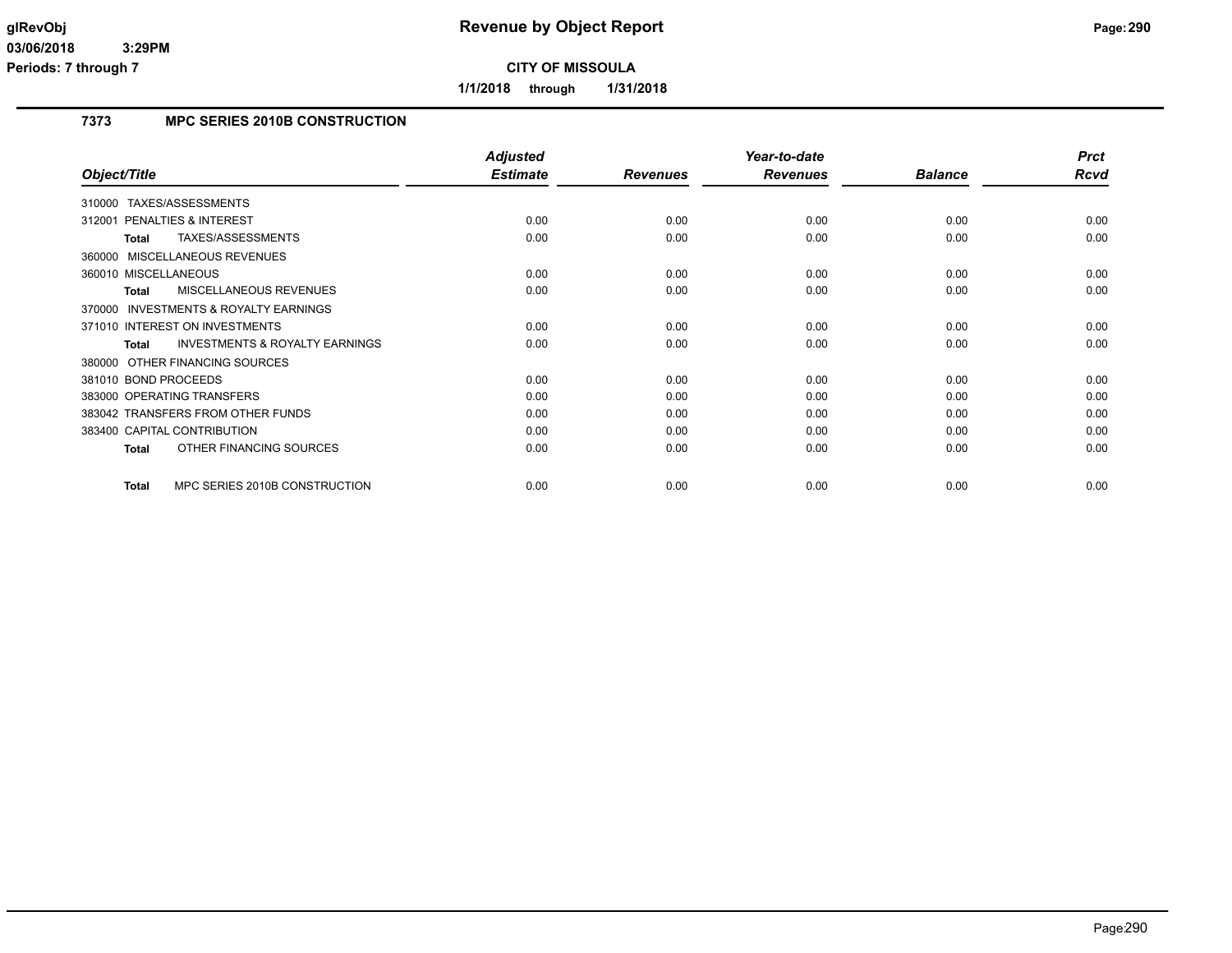**1/1/2018 through 1/31/2018**

## **7373 MPC SERIES 2010B CONSTRUCTION**

|                                                     | <b>Adjusted</b> |                 | Year-to-date    |                | <b>Prct</b> |
|-----------------------------------------------------|-----------------|-----------------|-----------------|----------------|-------------|
| Object/Title                                        | <b>Estimate</b> | <b>Revenues</b> | <b>Revenues</b> | <b>Balance</b> | Rcvd        |
| TAXES/ASSESSMENTS<br>310000                         |                 |                 |                 |                |             |
| PENALTIES & INTEREST<br>312001                      | 0.00            | 0.00            | 0.00            | 0.00           | 0.00        |
| TAXES/ASSESSMENTS<br>Total                          | 0.00            | 0.00            | 0.00            | 0.00           | 0.00        |
| 360000 MISCELLANEOUS REVENUES                       |                 |                 |                 |                |             |
| 360010 MISCELLANEOUS                                | 0.00            | 0.00            | 0.00            | 0.00           | 0.00        |
| <b>MISCELLANEOUS REVENUES</b><br><b>Total</b>       | 0.00            | 0.00            | 0.00            | 0.00           | 0.00        |
| <b>INVESTMENTS &amp; ROYALTY EARNINGS</b><br>370000 |                 |                 |                 |                |             |
| 371010 INTEREST ON INVESTMENTS                      | 0.00            | 0.00            | 0.00            | 0.00           | 0.00        |
| <b>INVESTMENTS &amp; ROYALTY EARNINGS</b><br>Total  | 0.00            | 0.00            | 0.00            | 0.00           | 0.00        |
| 380000 OTHER FINANCING SOURCES                      |                 |                 |                 |                |             |
| 381010 BOND PROCEEDS                                | 0.00            | 0.00            | 0.00            | 0.00           | 0.00        |
| 383000 OPERATING TRANSFERS                          | 0.00            | 0.00            | 0.00            | 0.00           | 0.00        |
| 383042 TRANSFERS FROM OTHER FUNDS                   | 0.00            | 0.00            | 0.00            | 0.00           | 0.00        |
| 383400 CAPITAL CONTRIBUTION                         | 0.00            | 0.00            | 0.00            | 0.00           | 0.00        |
| OTHER FINANCING SOURCES<br>Total                    | 0.00            | 0.00            | 0.00            | 0.00           | 0.00        |
| MPC SERIES 2010B CONSTRUCTION<br><b>Total</b>       | 0.00            | 0.00            | 0.00            | 0.00           | 0.00        |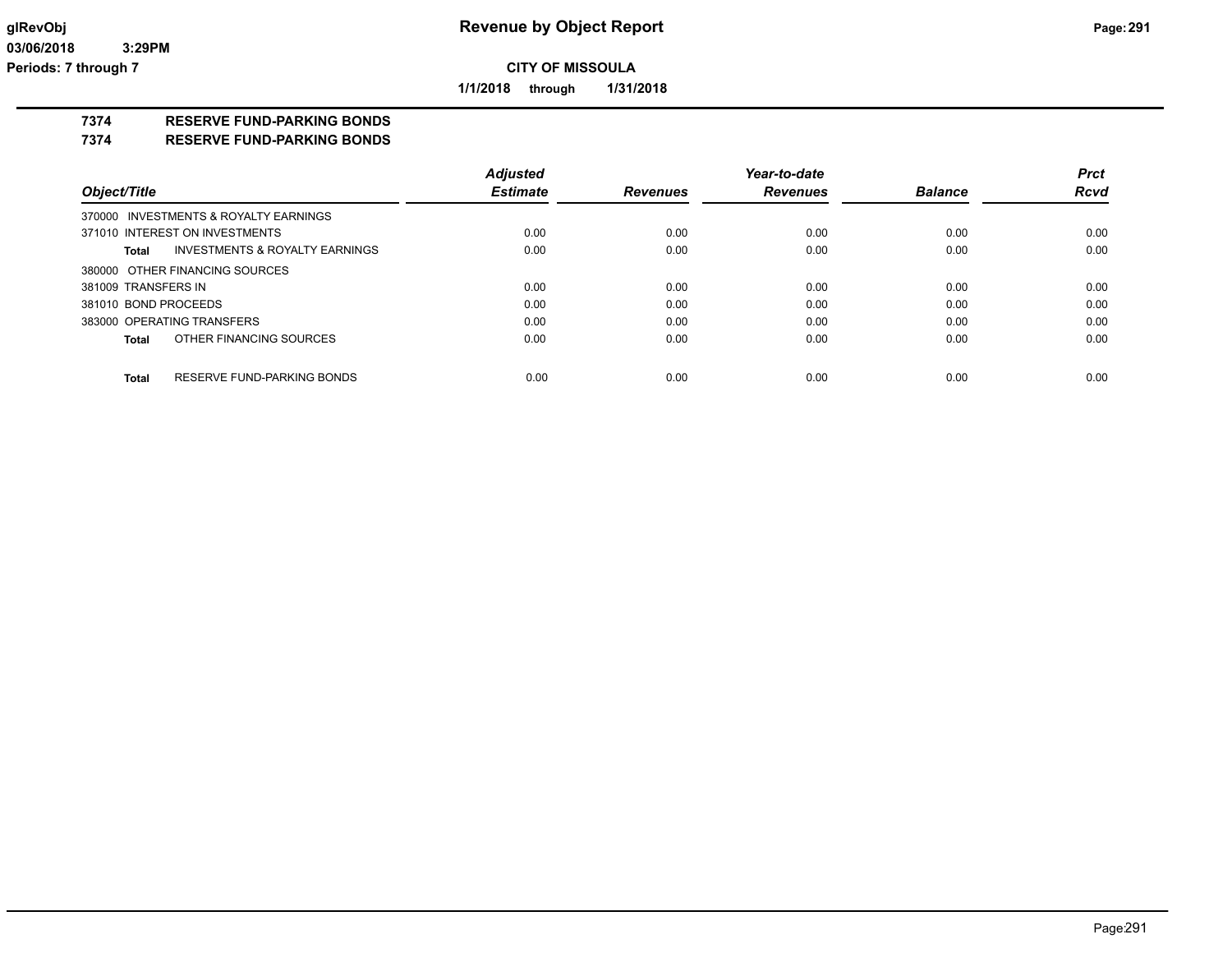**1/1/2018 through 1/31/2018**

### **7374 RESERVE FUND-PARKING BONDS**

**7374 RESERVE FUND-PARKING BONDS**

|                                            | <b>Adjusted</b> |                 | Year-to-date    |                | <b>Prct</b> |
|--------------------------------------------|-----------------|-----------------|-----------------|----------------|-------------|
| Object/Title                               | <b>Estimate</b> | <b>Revenues</b> | <b>Revenues</b> | <b>Balance</b> | <b>Rcvd</b> |
| 370000 INVESTMENTS & ROYALTY EARNINGS      |                 |                 |                 |                |             |
| 371010 INTEREST ON INVESTMENTS             | 0.00            | 0.00            | 0.00            | 0.00           | 0.00        |
| INVESTMENTS & ROYALTY EARNINGS<br>Total    | 0.00            | 0.00            | 0.00            | 0.00           | 0.00        |
| 380000 OTHER FINANCING SOURCES             |                 |                 |                 |                |             |
| 381009 TRANSFERS IN                        | 0.00            | 0.00            | 0.00            | 0.00           | 0.00        |
| 381010 BOND PROCEEDS                       | 0.00            | 0.00            | 0.00            | 0.00           | 0.00        |
| 383000 OPERATING TRANSFERS                 | 0.00            | 0.00            | 0.00            | 0.00           | 0.00        |
| OTHER FINANCING SOURCES<br>Total           | 0.00            | 0.00            | 0.00            | 0.00           | 0.00        |
| RESERVE FUND-PARKING BONDS<br><b>Total</b> | 0.00            | 0.00            | 0.00            | 0.00           | 0.00        |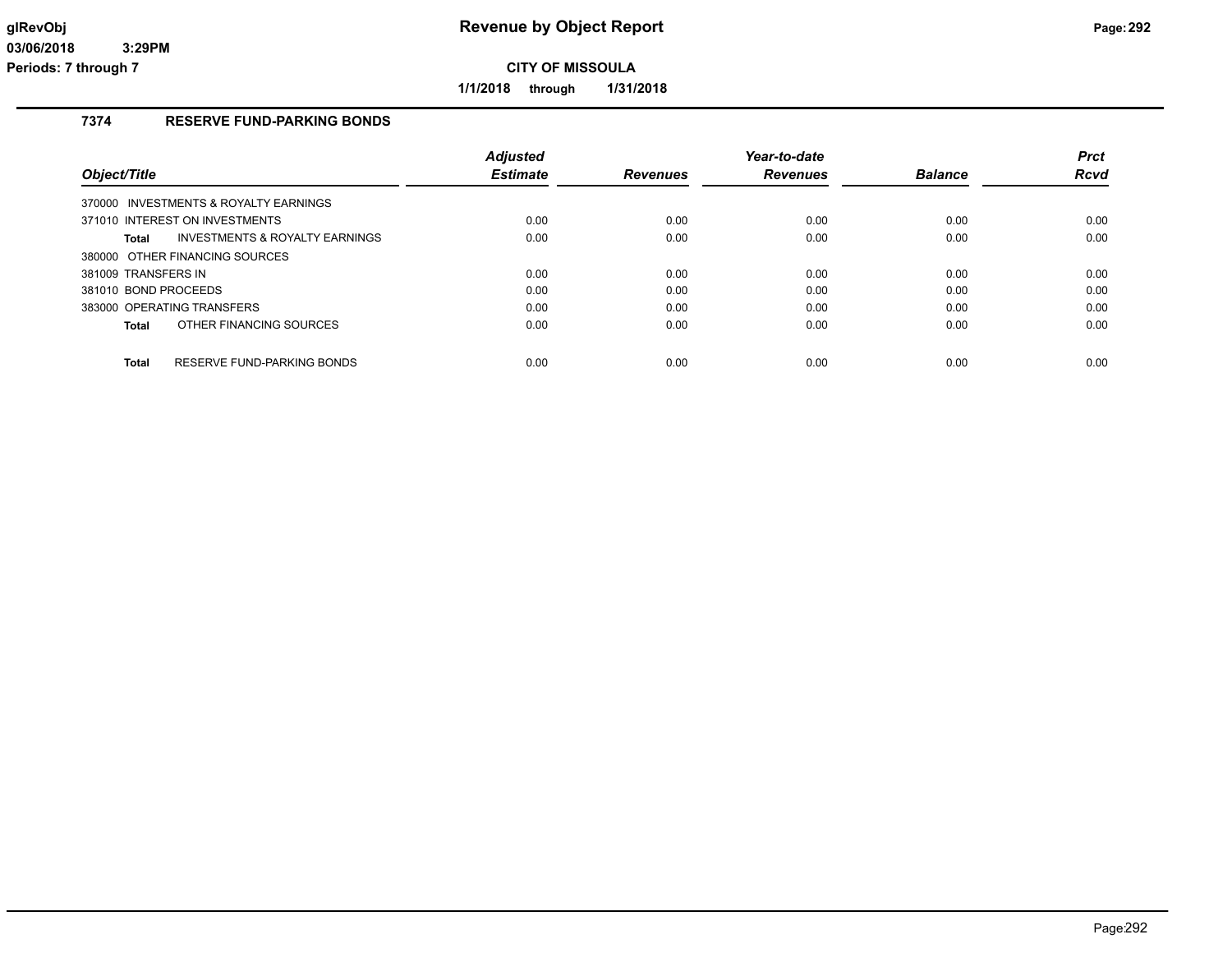**1/1/2018 through 1/31/2018**

## **7374 RESERVE FUND-PARKING BONDS**

|                                            | <b>Adiusted</b> |                 | Year-to-date    |                | <b>Prct</b> |
|--------------------------------------------|-----------------|-----------------|-----------------|----------------|-------------|
| Obiect/Title                               | <b>Estimate</b> | <b>Revenues</b> | <b>Revenues</b> | <b>Balance</b> | Rcvd        |
| 370000 INVESTMENTS & ROYALTY EARNINGS      |                 |                 |                 |                |             |
| 371010 INTEREST ON INVESTMENTS             | 0.00            | 0.00            | 0.00            | 0.00           | 0.00        |
| INVESTMENTS & ROYALTY EARNINGS<br>Total    | 0.00            | 0.00            | 0.00            | 0.00           | 0.00        |
| 380000 OTHER FINANCING SOURCES             |                 |                 |                 |                |             |
| 381009 TRANSFERS IN                        | 0.00            | 0.00            | 0.00            | 0.00           | 0.00        |
| 381010 BOND PROCEEDS                       | 0.00            | 0.00            | 0.00            | 0.00           | 0.00        |
| 383000 OPERATING TRANSFERS                 | 0.00            | 0.00            | 0.00            | 0.00           | 0.00        |
| OTHER FINANCING SOURCES<br>Total           | 0.00            | 0.00            | 0.00            | 0.00           | 0.00        |
|                                            |                 |                 |                 |                |             |
| <b>Total</b><br>RESERVE FUND-PARKING BONDS | 0.00            | 0.00            | 0.00            | 0.00           | 0.00        |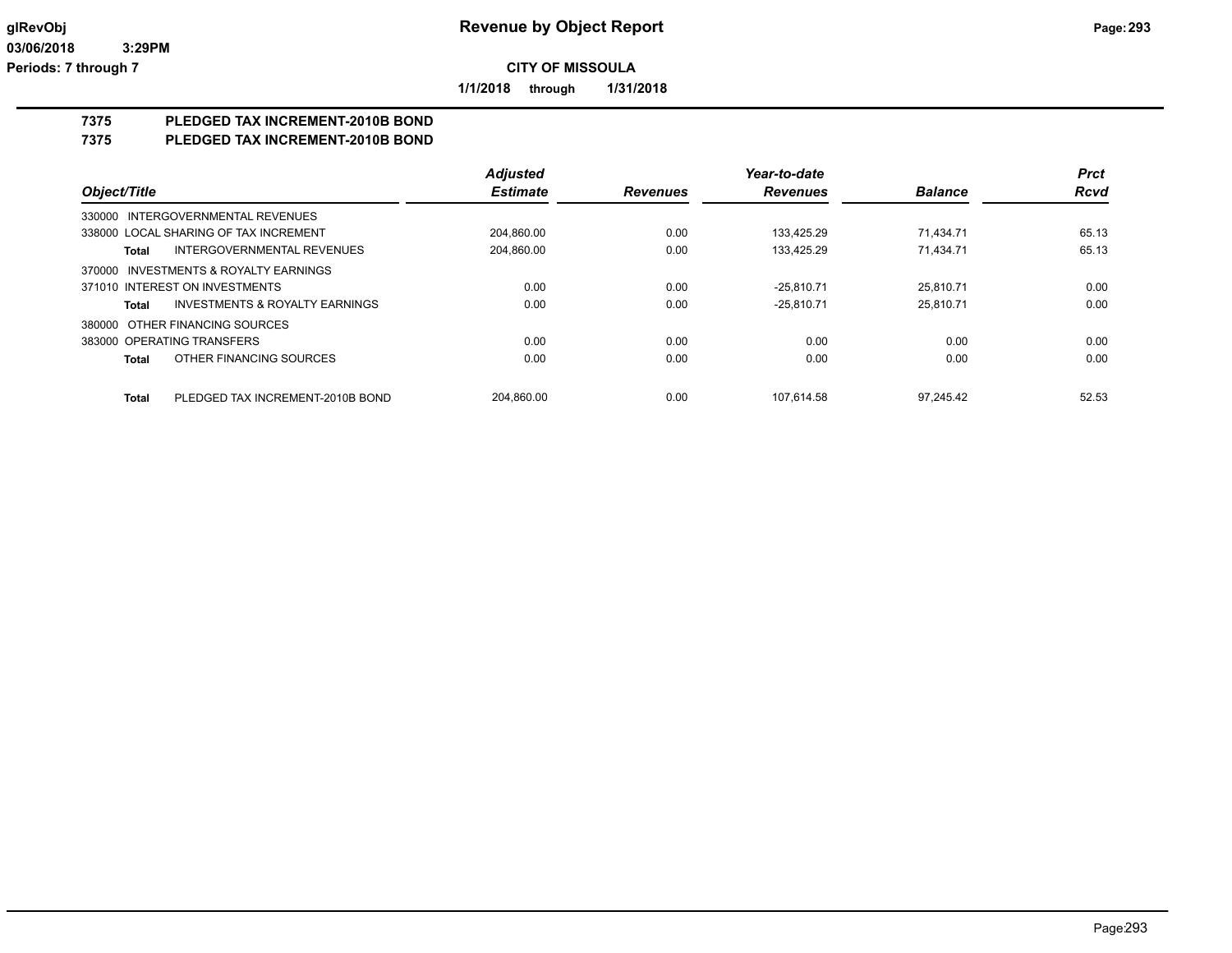**1/1/2018 through 1/31/2018**

# **7375 PLEDGED TAX INCREMENT-2010B BOND**

### **7375 PLEDGED TAX INCREMENT-2010B BOND**

|                                                    | <b>Adjusted</b> |                 | Year-to-date    |                | <b>Prct</b> |
|----------------------------------------------------|-----------------|-----------------|-----------------|----------------|-------------|
| Object/Title                                       | <b>Estimate</b> | <b>Revenues</b> | <b>Revenues</b> | <b>Balance</b> | <b>Rcvd</b> |
| 330000 INTERGOVERNMENTAL REVENUES                  |                 |                 |                 |                |             |
| 338000 LOCAL SHARING OF TAX INCREMENT              | 204.860.00      | 0.00            | 133.425.29      | 71.434.71      | 65.13       |
| <b>INTERGOVERNMENTAL REVENUES</b><br>Total         | 204.860.00      | 0.00            | 133.425.29      | 71.434.71      | 65.13       |
| 370000 INVESTMENTS & ROYALTY EARNINGS              |                 |                 |                 |                |             |
| 371010 INTEREST ON INVESTMENTS                     | 0.00            | 0.00            | $-25.810.71$    | 25.810.71      | 0.00        |
| <b>INVESTMENTS &amp; ROYALTY EARNINGS</b><br>Total | 0.00            | 0.00            | $-25.810.71$    | 25.810.71      | 0.00        |
| 380000 OTHER FINANCING SOURCES                     |                 |                 |                 |                |             |
| 383000 OPERATING TRANSFERS                         | 0.00            | 0.00            | 0.00            | 0.00           | 0.00        |
| OTHER FINANCING SOURCES<br>Total                   | 0.00            | 0.00            | 0.00            | 0.00           | 0.00        |
| PLEDGED TAX INCREMENT-2010B BOND<br><b>Total</b>   | 204.860.00      | 0.00            | 107.614.58      | 97.245.42      | 52.53       |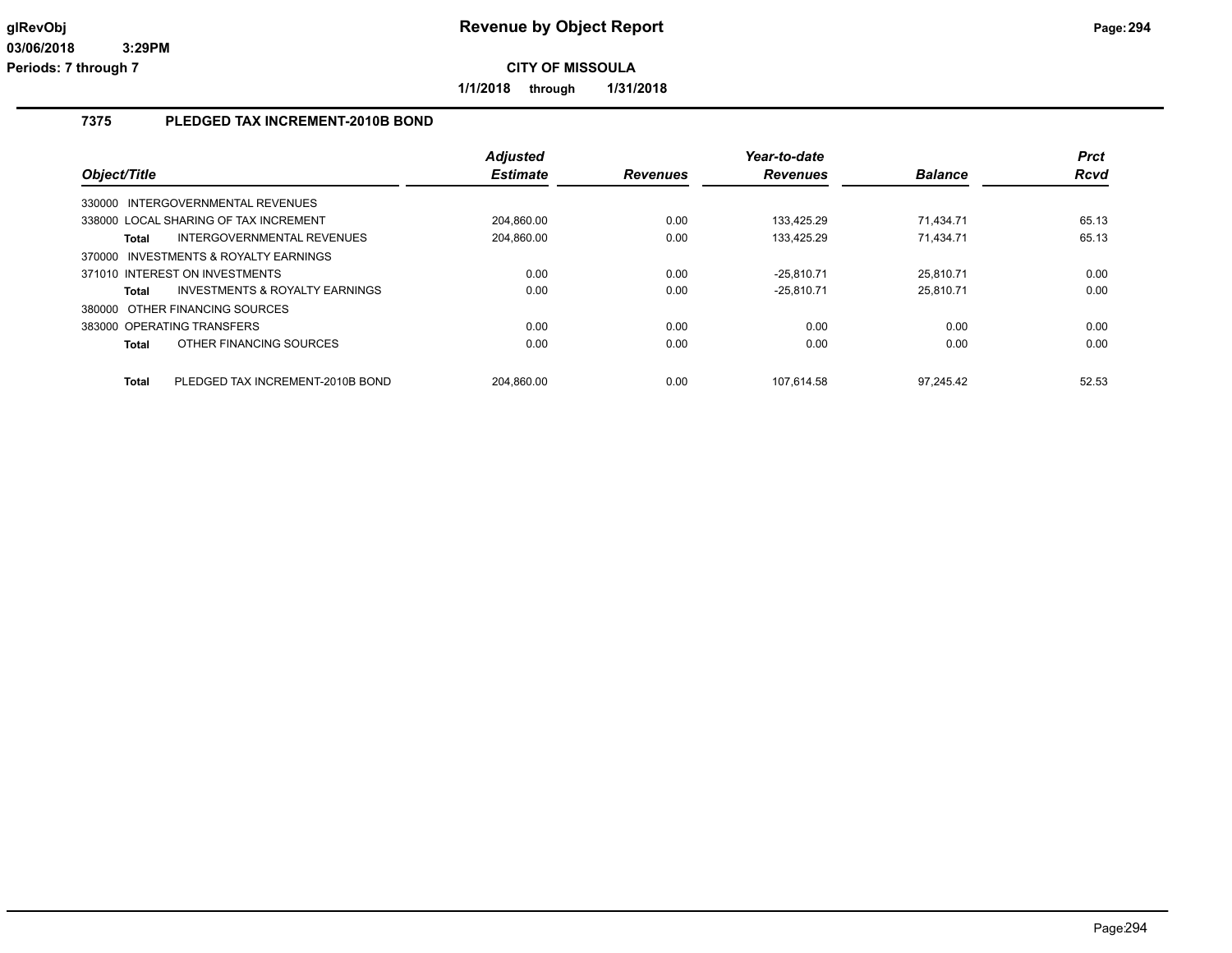**1/1/2018 through 1/31/2018**

## **7375 PLEDGED TAX INCREMENT-2010B BOND**

| Object/Title |                                           | <b>Adjusted</b><br><b>Estimate</b> | <b>Revenues</b> | Year-to-date<br><b>Revenues</b> | <b>Balance</b> | <b>Prct</b><br>Rcvd |
|--------------|-------------------------------------------|------------------------------------|-----------------|---------------------------------|----------------|---------------------|
|              | 330000 INTERGOVERNMENTAL REVENUES         |                                    |                 |                                 |                |                     |
|              | 338000 LOCAL SHARING OF TAX INCREMENT     | 204,860.00                         | 0.00            | 133.425.29                      | 71.434.71      | 65.13               |
| Total        | INTERGOVERNMENTAL REVENUES                | 204.860.00                         | 0.00            | 133.425.29                      | 71.434.71      | 65.13               |
| 370000       | INVESTMENTS & ROYALTY EARNINGS            |                                    |                 |                                 |                |                     |
|              | 371010 INTEREST ON INVESTMENTS            | 0.00                               | 0.00            | $-25,810.71$                    | 25,810.71      | 0.00                |
| Total        | <b>INVESTMENTS &amp; ROYALTY EARNINGS</b> | 0.00                               | 0.00            | $-25.810.71$                    | 25.810.71      | 0.00                |
|              | 380000 OTHER FINANCING SOURCES            |                                    |                 |                                 |                |                     |
|              | 383000 OPERATING TRANSFERS                | 0.00                               | 0.00            | 0.00                            | 0.00           | 0.00                |
| Total        | OTHER FINANCING SOURCES                   | 0.00                               | 0.00            | 0.00                            | 0.00           | 0.00                |
| <b>Total</b> | PLEDGED TAX INCREMENT-2010B BOND          | 204.860.00                         | 0.00            | 107.614.58                      | 97.245.42      | 52.53               |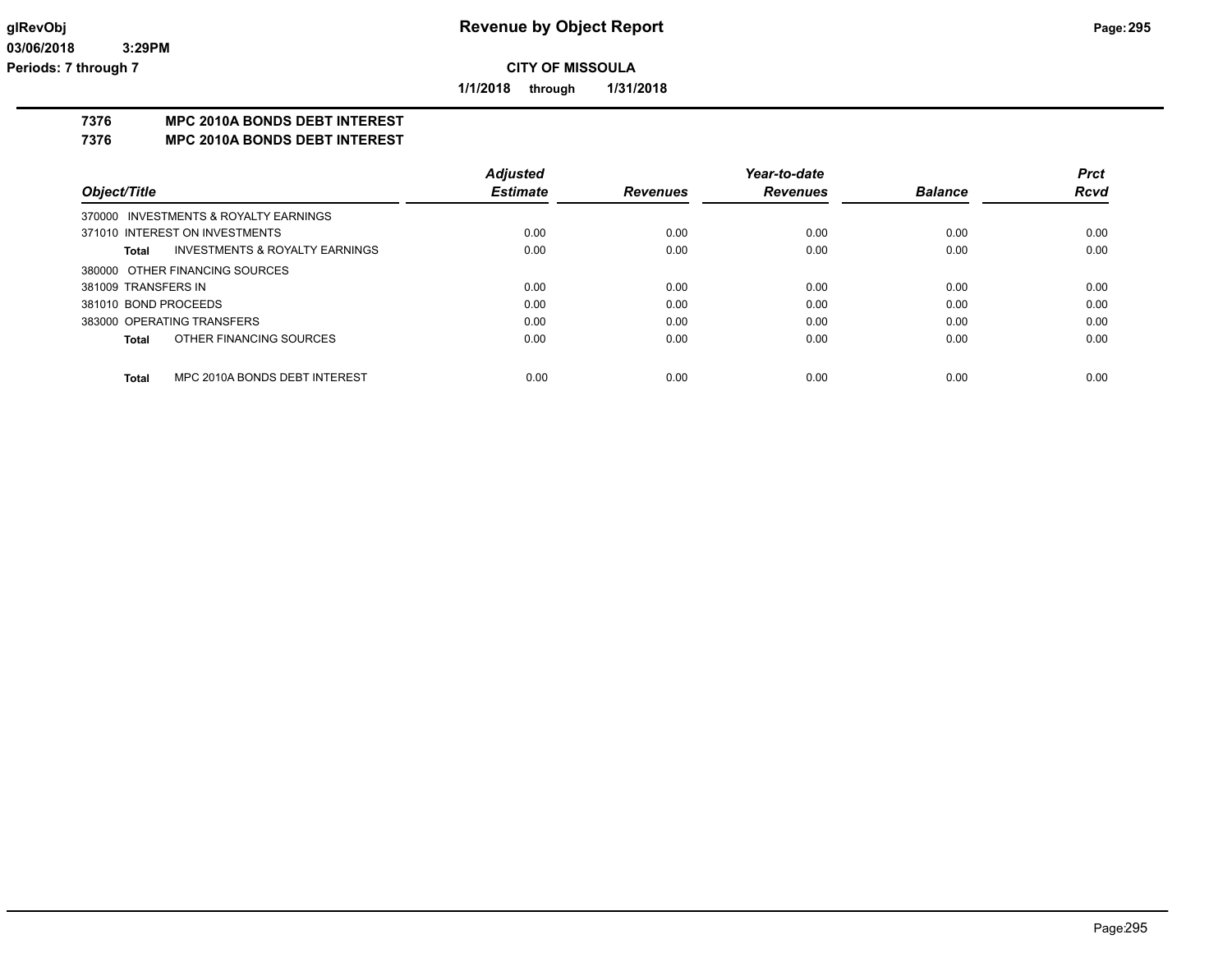**1/1/2018 through 1/31/2018**

## **7376 MPC 2010A BONDS DEBT INTEREST**

**7376 MPC 2010A BONDS DEBT INTEREST**

|                      |                                       | <b>Adjusted</b> |                 | Year-to-date    |                | <b>Prct</b> |
|----------------------|---------------------------------------|-----------------|-----------------|-----------------|----------------|-------------|
| Object/Title         |                                       | <b>Estimate</b> | <b>Revenues</b> | <b>Revenues</b> | <b>Balance</b> | <b>Rcvd</b> |
|                      | 370000 INVESTMENTS & ROYALTY EARNINGS |                 |                 |                 |                |             |
|                      | 371010 INTEREST ON INVESTMENTS        | 0.00            | 0.00            | 0.00            | 0.00           | 0.00        |
| Total                | INVESTMENTS & ROYALTY EARNINGS        | 0.00            | 0.00            | 0.00            | 0.00           | 0.00        |
|                      | 380000 OTHER FINANCING SOURCES        |                 |                 |                 |                |             |
| 381009 TRANSFERS IN  |                                       | 0.00            | 0.00            | 0.00            | 0.00           | 0.00        |
| 381010 BOND PROCEEDS |                                       | 0.00            | 0.00            | 0.00            | 0.00           | 0.00        |
|                      | 383000 OPERATING TRANSFERS            | 0.00            | 0.00            | 0.00            | 0.00           | 0.00        |
| <b>Total</b>         | OTHER FINANCING SOURCES               | 0.00            | 0.00            | 0.00            | 0.00           | 0.00        |
|                      |                                       |                 |                 |                 |                |             |
| <b>Total</b>         | MPC 2010A BONDS DEBT INTEREST         | 0.00            | 0.00            | 0.00            | 0.00           | 0.00        |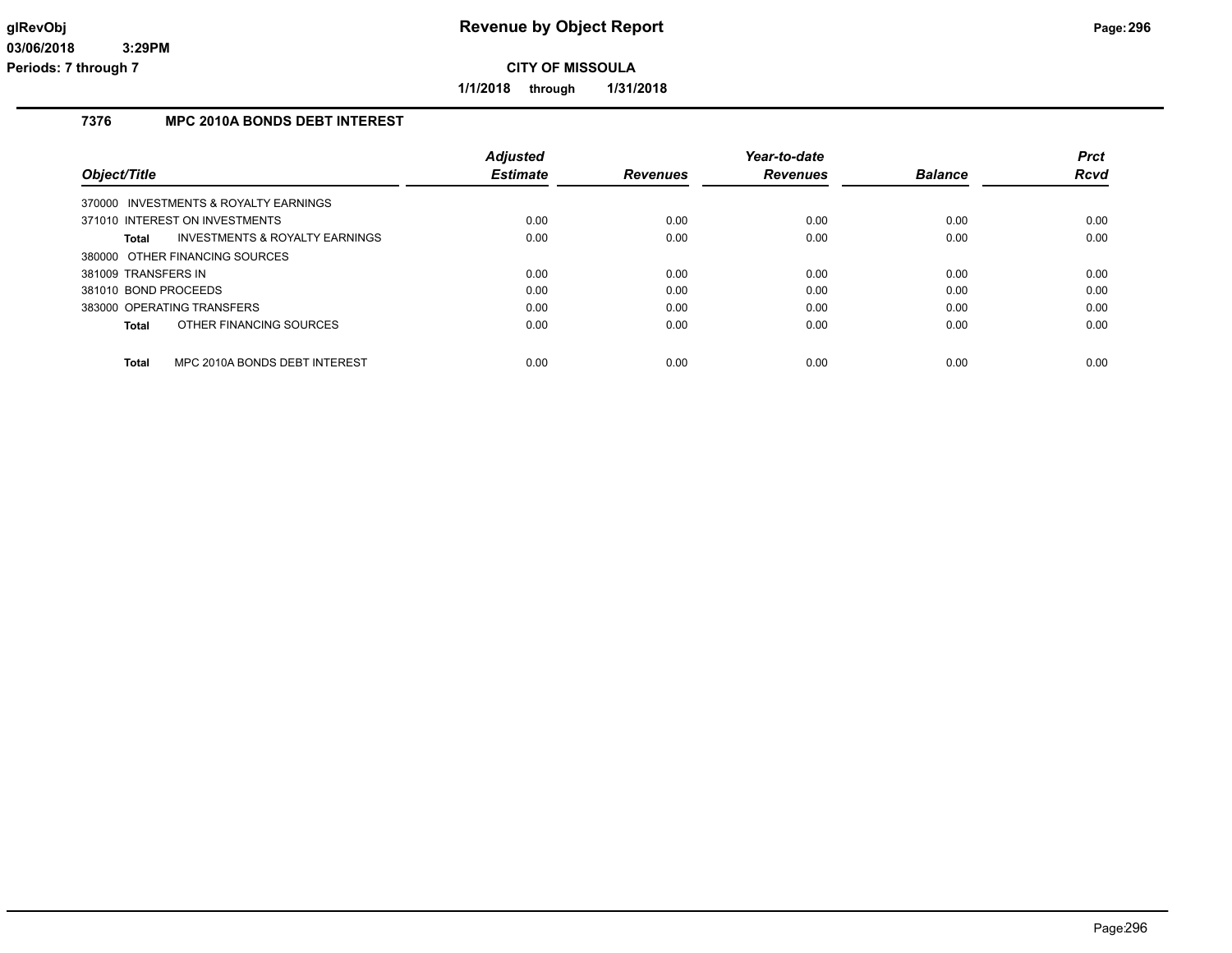**1/1/2018 through 1/31/2018**

## **7376 MPC 2010A BONDS DEBT INTEREST**

|                                                           | <b>Adjusted</b> |                 | Year-to-date    |                | <b>Prct</b> |
|-----------------------------------------------------------|-----------------|-----------------|-----------------|----------------|-------------|
| Object/Title                                              | <b>Estimate</b> | <b>Revenues</b> | <b>Revenues</b> | <b>Balance</b> | Rcvd        |
| 370000 INVESTMENTS & ROYALTY EARNINGS                     |                 |                 |                 |                |             |
| 371010 INTEREST ON INVESTMENTS                            | 0.00            | 0.00            | 0.00            | 0.00           | 0.00        |
| <b>INVESTMENTS &amp; ROYALTY EARNINGS</b><br><b>Total</b> | 0.00            | 0.00            | 0.00            | 0.00           | 0.00        |
| 380000 OTHER FINANCING SOURCES                            |                 |                 |                 |                |             |
| 381009 TRANSFERS IN                                       | 0.00            | 0.00            | 0.00            | 0.00           | 0.00        |
| 381010 BOND PROCEEDS                                      | 0.00            | 0.00            | 0.00            | 0.00           | 0.00        |
| 383000 OPERATING TRANSFERS                                | 0.00            | 0.00            | 0.00            | 0.00           | 0.00        |
| OTHER FINANCING SOURCES<br><b>Total</b>                   | 0.00            | 0.00            | 0.00            | 0.00           | 0.00        |
| <b>Total</b><br>MPC 2010A BONDS DEBT INTEREST             | 0.00            | 0.00            | 0.00            | 0.00           | 0.00        |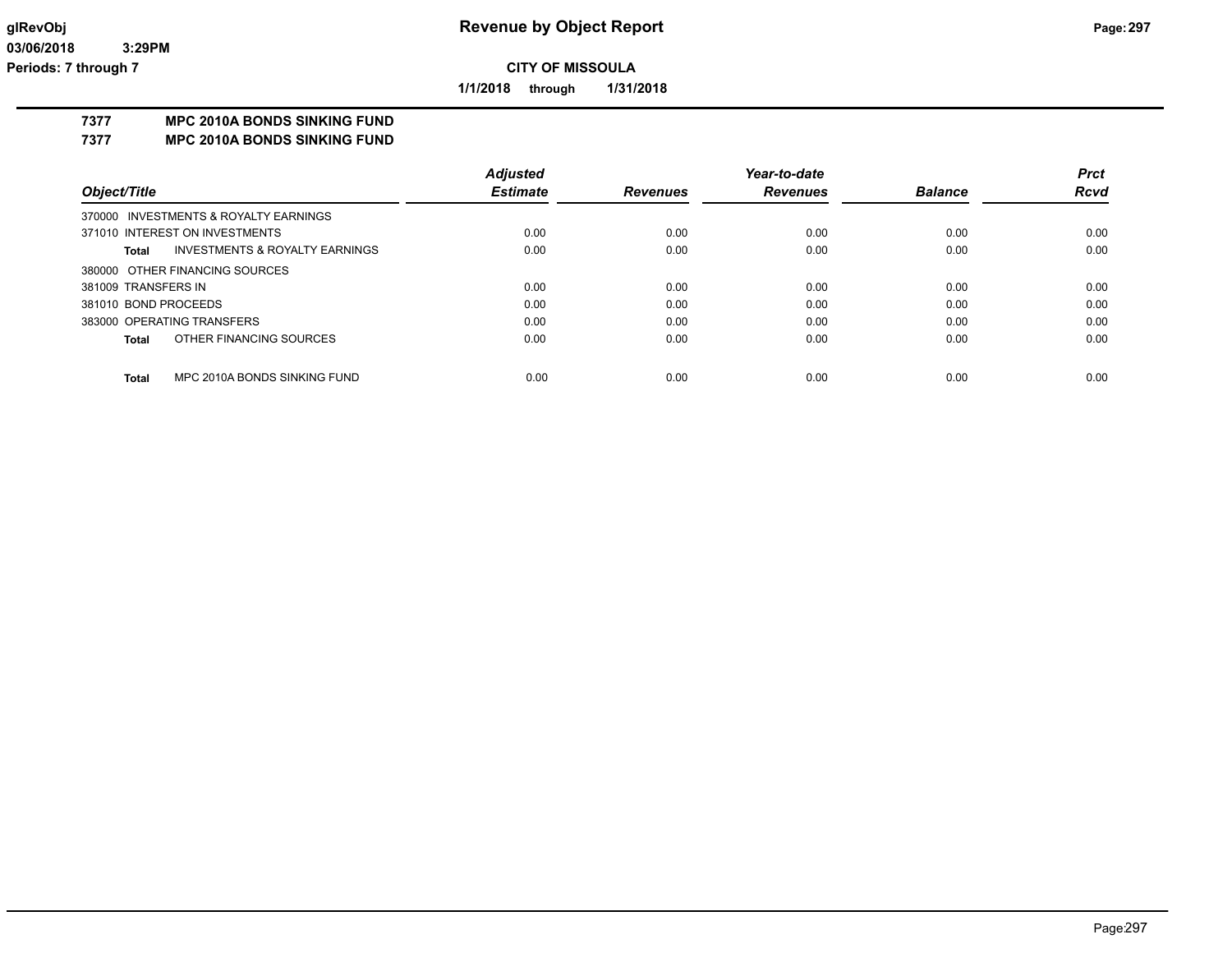**1/1/2018 through 1/31/2018**

## **7377 MPC 2010A BONDS SINKING FUND**

**7377 MPC 2010A BONDS SINKING FUND**

|                      |                                       | <b>Adjusted</b> |                 | Year-to-date    |                | <b>Prct</b> |
|----------------------|---------------------------------------|-----------------|-----------------|-----------------|----------------|-------------|
| Object/Title         |                                       | <b>Estimate</b> | <b>Revenues</b> | <b>Revenues</b> | <b>Balance</b> | <b>Rcvd</b> |
|                      | 370000 INVESTMENTS & ROYALTY EARNINGS |                 |                 |                 |                |             |
|                      | 371010 INTEREST ON INVESTMENTS        | 0.00            | 0.00            | 0.00            | 0.00           | 0.00        |
| Total                | INVESTMENTS & ROYALTY EARNINGS        | 0.00            | 0.00            | 0.00            | 0.00           | 0.00        |
|                      | 380000 OTHER FINANCING SOURCES        |                 |                 |                 |                |             |
| 381009 TRANSFERS IN  |                                       | 0.00            | 0.00            | 0.00            | 0.00           | 0.00        |
| 381010 BOND PROCEEDS |                                       | 0.00            | 0.00            | 0.00            | 0.00           | 0.00        |
|                      | 383000 OPERATING TRANSFERS            | 0.00            | 0.00            | 0.00            | 0.00           | 0.00        |
| <b>Total</b>         | OTHER FINANCING SOURCES               | 0.00            | 0.00            | 0.00            | 0.00           | 0.00        |
|                      |                                       |                 |                 |                 |                |             |
| <b>Total</b>         | MPC 2010A BONDS SINKING FUND          | 0.00            | 0.00            | 0.00            | 0.00           | 0.00        |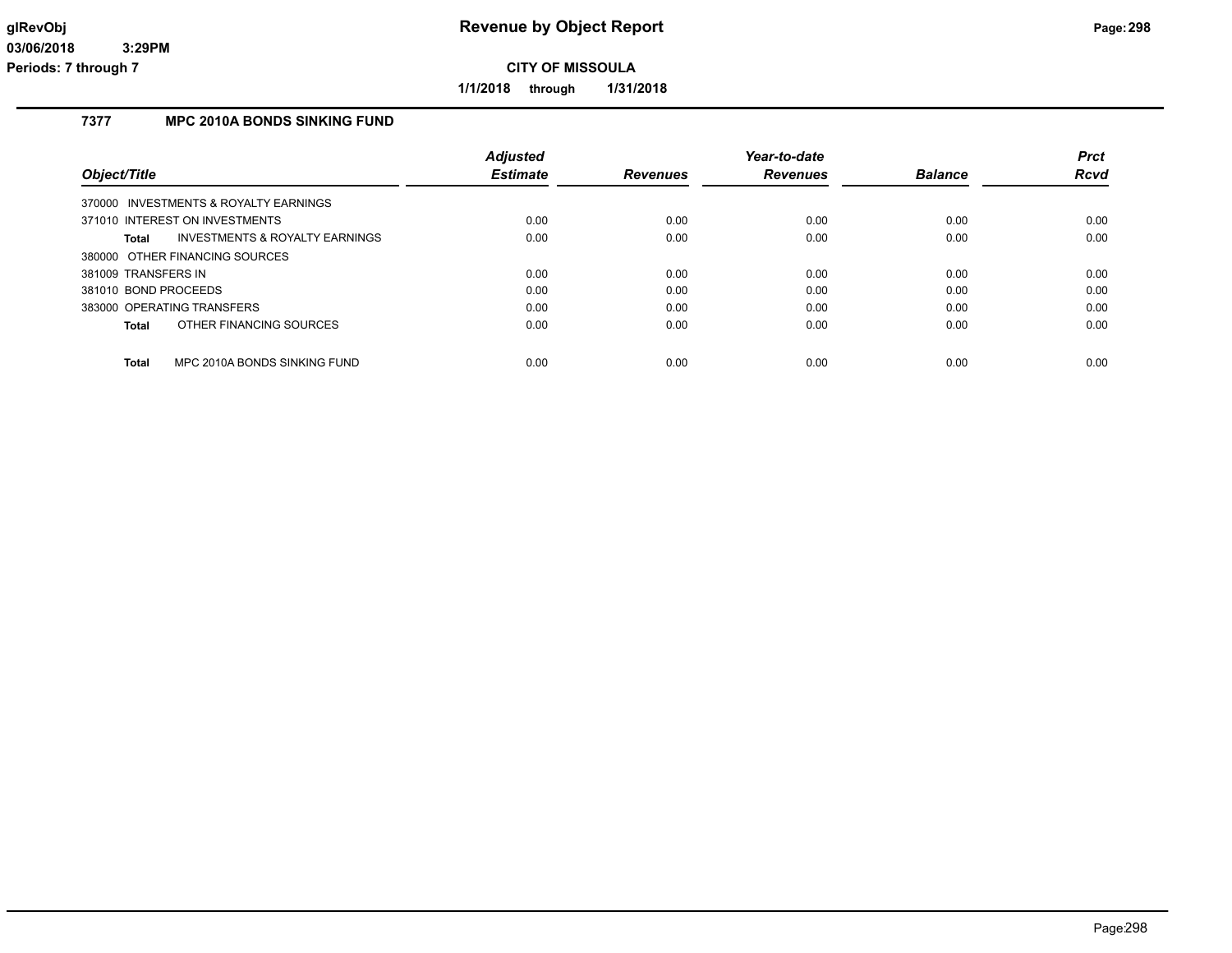**1/1/2018 through 1/31/2018**

## **7377 MPC 2010A BONDS SINKING FUND**

|                                                    | <b>Adjusted</b> |                 | Year-to-date    |                | <b>Prct</b> |
|----------------------------------------------------|-----------------|-----------------|-----------------|----------------|-------------|
| Object/Title                                       | <b>Estimate</b> | <b>Revenues</b> | <b>Revenues</b> | <b>Balance</b> | Rcvd        |
| 370000 INVESTMENTS & ROYALTY EARNINGS              |                 |                 |                 |                |             |
| 371010 INTEREST ON INVESTMENTS                     | 0.00            | 0.00            | 0.00            | 0.00           | 0.00        |
| <b>INVESTMENTS &amp; ROYALTY EARNINGS</b><br>Total | 0.00            | 0.00            | 0.00            | 0.00           | 0.00        |
| 380000 OTHER FINANCING SOURCES                     |                 |                 |                 |                |             |
| 381009 TRANSFERS IN                                | 0.00            | 0.00            | 0.00            | 0.00           | 0.00        |
| 381010 BOND PROCEEDS                               | 0.00            | 0.00            | 0.00            | 0.00           | 0.00        |
| 383000 OPERATING TRANSFERS                         | 0.00            | 0.00            | 0.00            | 0.00           | 0.00        |
| OTHER FINANCING SOURCES<br>Total                   | 0.00            | 0.00            | 0.00            | 0.00           | 0.00        |
|                                                    |                 |                 |                 |                |             |
| <b>Total</b><br>MPC 2010A BONDS SINKING FUND       | 0.00            | 0.00            | 0.00            | 0.00           | 0.00        |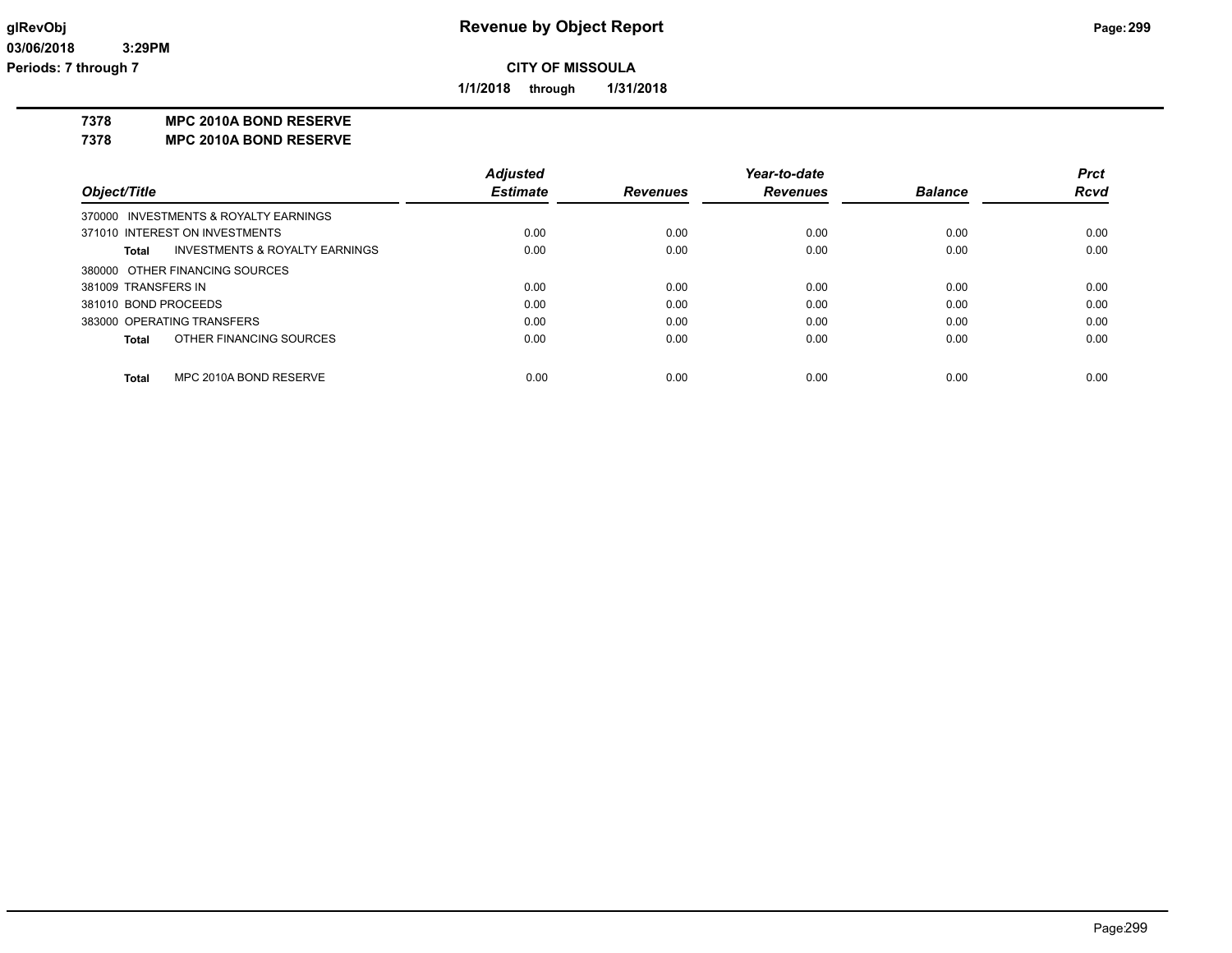**1/1/2018 through 1/31/2018**

**7378 MPC 2010A BOND RESERVE**

**7378 MPC 2010A BOND RESERVE**

|                      |                                       | <b>Adjusted</b> |                 | Year-to-date    |                | <b>Prct</b> |
|----------------------|---------------------------------------|-----------------|-----------------|-----------------|----------------|-------------|
| Object/Title         |                                       | <b>Estimate</b> | <b>Revenues</b> | <b>Revenues</b> | <b>Balance</b> | <b>Rcvd</b> |
|                      | 370000 INVESTMENTS & ROYALTY EARNINGS |                 |                 |                 |                |             |
|                      | 371010 INTEREST ON INVESTMENTS        | 0.00            | 0.00            | 0.00            | 0.00           | 0.00        |
| Total                | INVESTMENTS & ROYALTY EARNINGS        | 0.00            | 0.00            | 0.00            | 0.00           | 0.00        |
|                      | 380000 OTHER FINANCING SOURCES        |                 |                 |                 |                |             |
| 381009 TRANSFERS IN  |                                       | 0.00            | 0.00            | 0.00            | 0.00           | 0.00        |
| 381010 BOND PROCEEDS |                                       | 0.00            | 0.00            | 0.00            | 0.00           | 0.00        |
|                      | 383000 OPERATING TRANSFERS            | 0.00            | 0.00            | 0.00            | 0.00           | 0.00        |
| Total                | OTHER FINANCING SOURCES               | 0.00            | 0.00            | 0.00            | 0.00           | 0.00        |
|                      |                                       |                 |                 |                 |                |             |
| <b>Total</b>         | MPC 2010A BOND RESERVE                | 0.00            | 0.00            | 0.00            | 0.00           | 0.00        |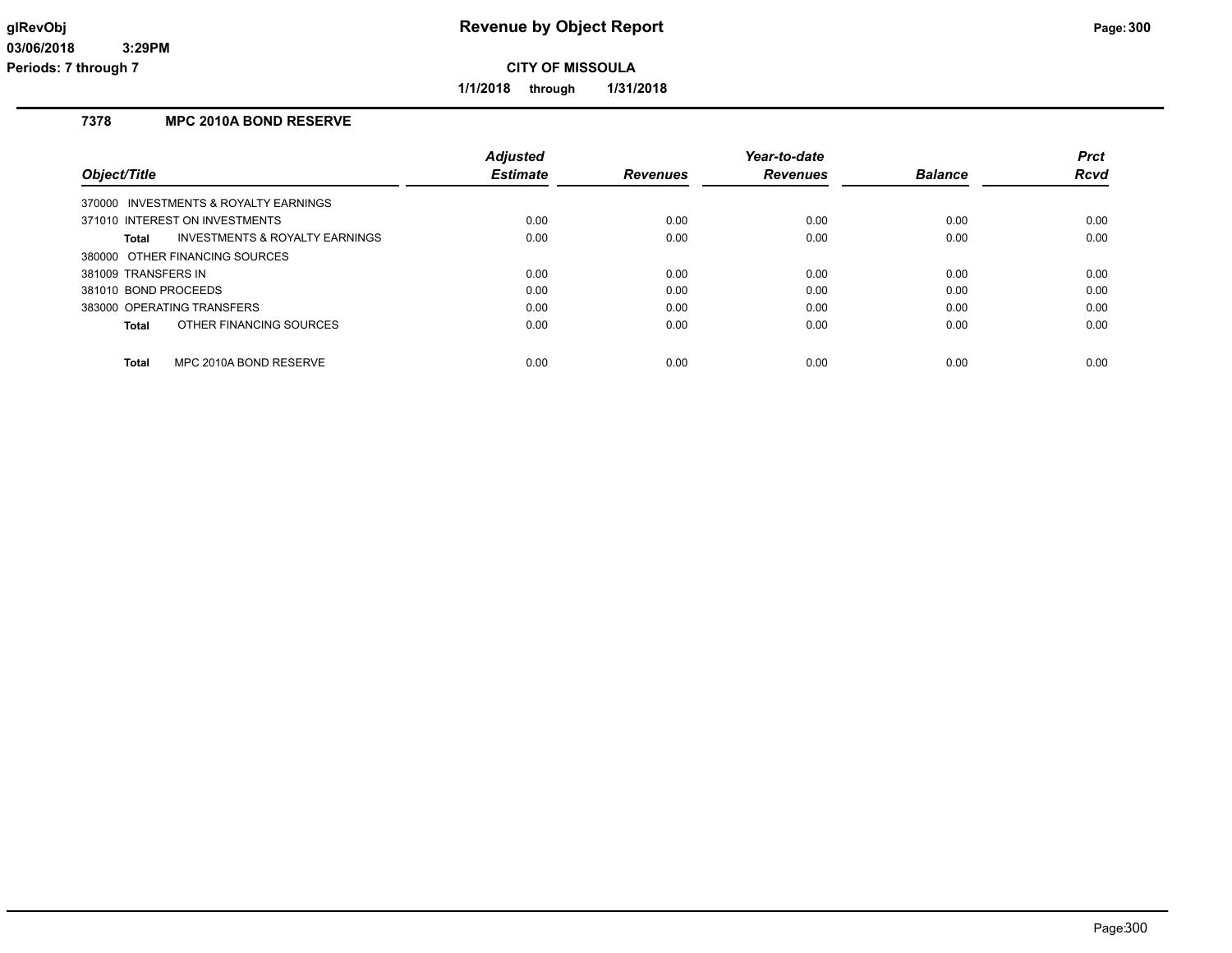**1/1/2018 through 1/31/2018**

## **7378 MPC 2010A BOND RESERVE**

|                                                    | <b>Adjusted</b> |                 | Year-to-date    |                | <b>Prct</b> |
|----------------------------------------------------|-----------------|-----------------|-----------------|----------------|-------------|
| Object/Title                                       | <b>Estimate</b> | <b>Revenues</b> | <b>Revenues</b> | <b>Balance</b> | <b>Rcvd</b> |
| 370000 INVESTMENTS & ROYALTY EARNINGS              |                 |                 |                 |                |             |
| 371010 INTEREST ON INVESTMENTS                     | 0.00            | 0.00            | 0.00            | 0.00           | 0.00        |
| <b>INVESTMENTS &amp; ROYALTY EARNINGS</b><br>Total | 0.00            | 0.00            | 0.00            | 0.00           | 0.00        |
| 380000 OTHER FINANCING SOURCES                     |                 |                 |                 |                |             |
| 381009 TRANSFERS IN                                | 0.00            | 0.00            | 0.00            | 0.00           | 0.00        |
| 381010 BOND PROCEEDS                               | 0.00            | 0.00            | 0.00            | 0.00           | 0.00        |
| 383000 OPERATING TRANSFERS                         | 0.00            | 0.00            | 0.00            | 0.00           | 0.00        |
| OTHER FINANCING SOURCES<br>Total                   | 0.00            | 0.00            | 0.00            | 0.00           | 0.00        |
|                                                    |                 |                 |                 |                |             |
| <b>Total</b><br>MPC 2010A BOND RESERVE             | 0.00            | 0.00            | 0.00            | 0.00           | 0.00        |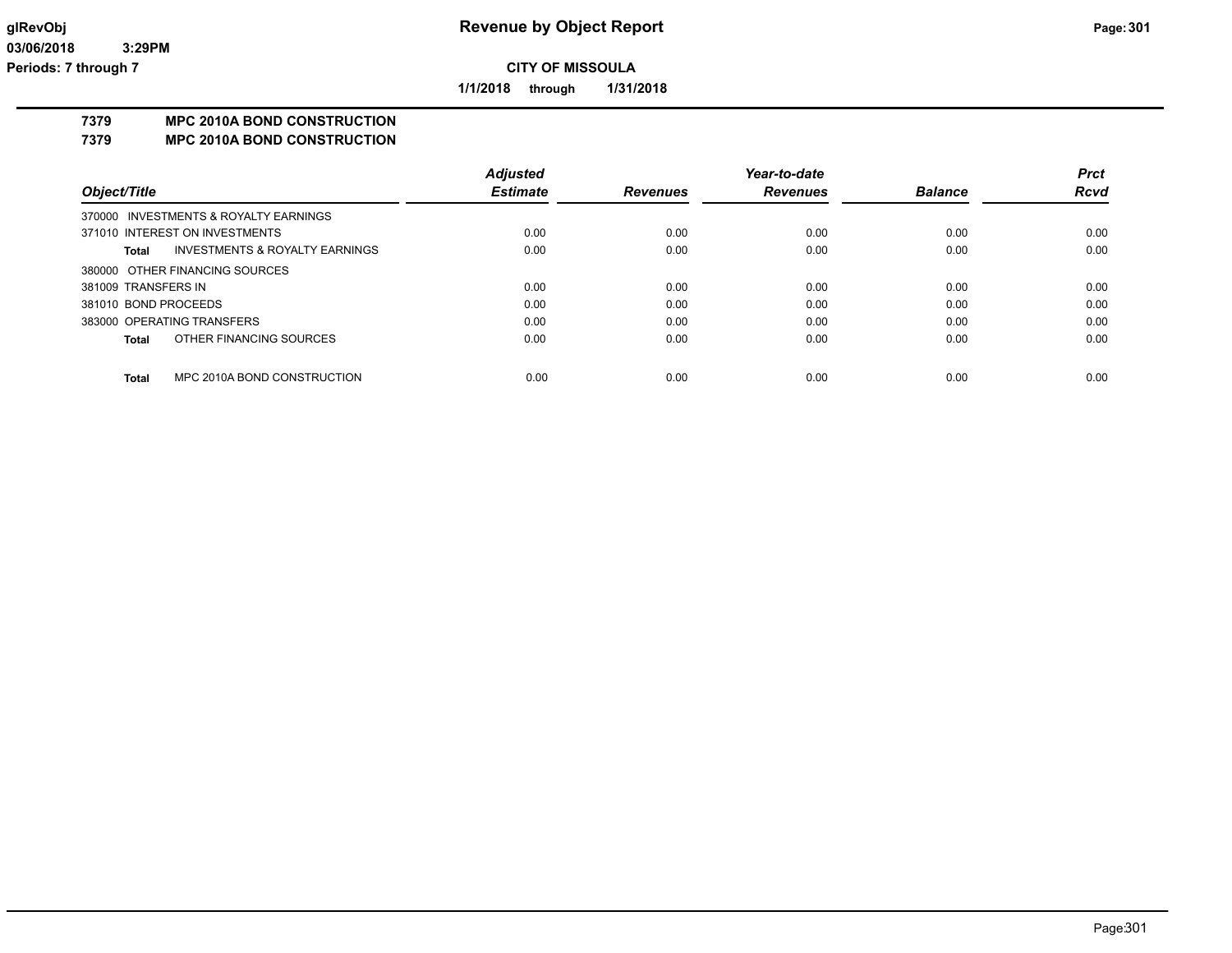**1/1/2018 through 1/31/2018**

## **7379 MPC 2010A BOND CONSTRUCTION**

**7379 MPC 2010A BOND CONSTRUCTION**

|                      |                                           | <b>Adjusted</b> |                 | Year-to-date    |                | <b>Prct</b> |
|----------------------|-------------------------------------------|-----------------|-----------------|-----------------|----------------|-------------|
| Object/Title         |                                           | <b>Estimate</b> | <b>Revenues</b> | <b>Revenues</b> | <b>Balance</b> | <b>Rcvd</b> |
|                      | 370000 INVESTMENTS & ROYALTY EARNINGS     |                 |                 |                 |                |             |
|                      | 371010 INTEREST ON INVESTMENTS            | 0.00            | 0.00            | 0.00            | 0.00           | 0.00        |
| Total                | <b>INVESTMENTS &amp; ROYALTY EARNINGS</b> | 0.00            | 0.00            | 0.00            | 0.00           | 0.00        |
|                      | 380000 OTHER FINANCING SOURCES            |                 |                 |                 |                |             |
| 381009 TRANSFERS IN  |                                           | 0.00            | 0.00            | 0.00            | 0.00           | 0.00        |
| 381010 BOND PROCEEDS |                                           | 0.00            | 0.00            | 0.00            | 0.00           | 0.00        |
|                      | 383000 OPERATING TRANSFERS                | 0.00            | 0.00            | 0.00            | 0.00           | 0.00        |
| Total                | OTHER FINANCING SOURCES                   | 0.00            | 0.00            | 0.00            | 0.00           | 0.00        |
| Total                | MPC 2010A BOND CONSTRUCTION               | 0.00            | 0.00            | 0.00            | 0.00           | 0.00        |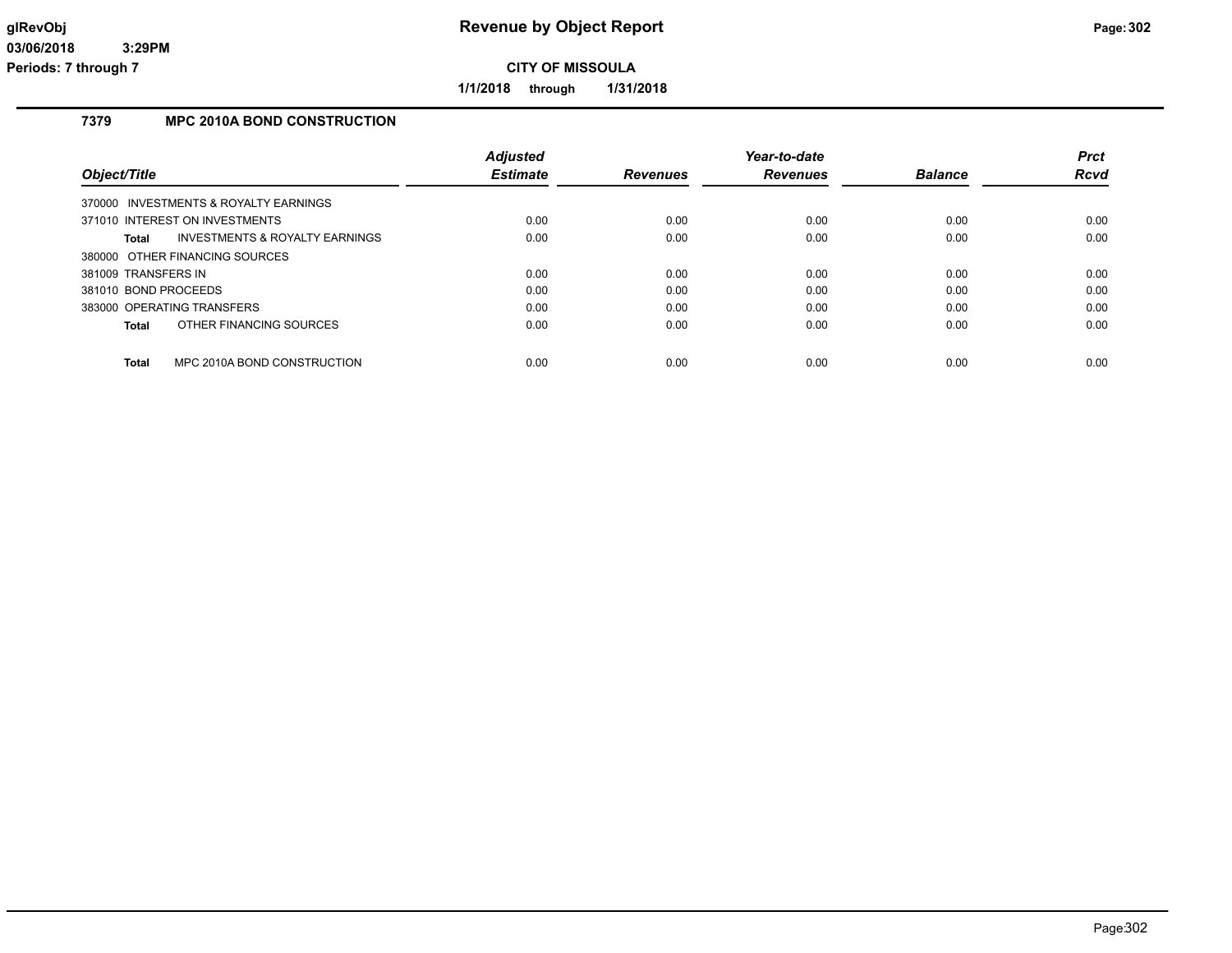**1/1/2018 through 1/31/2018**

## **7379 MPC 2010A BOND CONSTRUCTION**

|                                                    | <b>Adjusted</b> |                 | Year-to-date    |                | <b>Prct</b> |
|----------------------------------------------------|-----------------|-----------------|-----------------|----------------|-------------|
| Object/Title                                       | <b>Estimate</b> | <b>Revenues</b> | <b>Revenues</b> | <b>Balance</b> | <b>Rcvd</b> |
| 370000 INVESTMENTS & ROYALTY EARNINGS              |                 |                 |                 |                |             |
| 371010 INTEREST ON INVESTMENTS                     | 0.00            | 0.00            | 0.00            | 0.00           | 0.00        |
| Total<br><b>INVESTMENTS &amp; ROYALTY EARNINGS</b> | 0.00            | 0.00            | 0.00            | 0.00           | 0.00        |
| 380000 OTHER FINANCING SOURCES                     |                 |                 |                 |                |             |
| 381009 TRANSFERS IN                                | 0.00            | 0.00            | 0.00            | 0.00           | 0.00        |
| 381010 BOND PROCEEDS                               | 0.00            | 0.00            | 0.00            | 0.00           | 0.00        |
| 383000 OPERATING TRANSFERS                         | 0.00            | 0.00            | 0.00            | 0.00           | 0.00        |
| OTHER FINANCING SOURCES<br>Total                   | 0.00            | 0.00            | 0.00            | 0.00           | 0.00        |
| <b>Total</b><br>MPC 2010A BOND CONSTRUCTION        | 0.00            | 0.00            | 0.00            | 0.00           | 0.00        |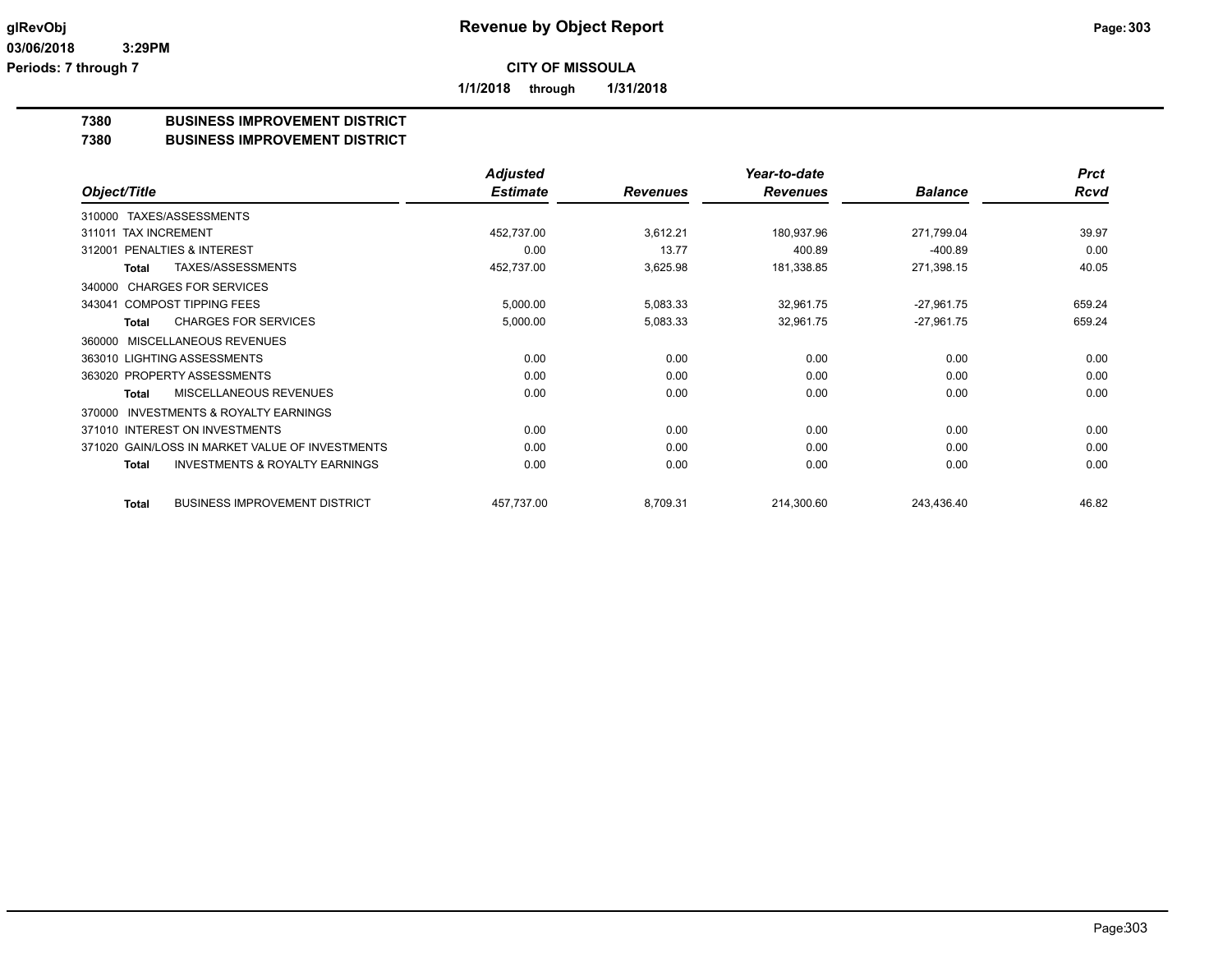**1/1/2018 through 1/31/2018**

## **7380 BUSINESS IMPROVEMENT DISTRICT**

### **7380 BUSINESS IMPROVEMENT DISTRICT**

|                                                     | <b>Adjusted</b> |                 | Year-to-date    |                | <b>Prct</b> |
|-----------------------------------------------------|-----------------|-----------------|-----------------|----------------|-------------|
| Object/Title                                        | <b>Estimate</b> | <b>Revenues</b> | <b>Revenues</b> | <b>Balance</b> | <b>Rcvd</b> |
| TAXES/ASSESSMENTS<br>310000                         |                 |                 |                 |                |             |
| <b>TAX INCREMENT</b><br>311011                      | 452,737.00      | 3,612.21        | 180,937.96      | 271,799.04     | 39.97       |
| <b>PENALTIES &amp; INTEREST</b><br>312001           | 0.00            | 13.77           | 400.89          | $-400.89$      | 0.00        |
| TAXES/ASSESSMENTS<br><b>Total</b>                   | 452,737.00      | 3,625.98        | 181,338.85      | 271,398.15     | 40.05       |
| <b>CHARGES FOR SERVICES</b><br>340000               |                 |                 |                 |                |             |
| 343041 COMPOST TIPPING FEES                         | 5,000.00        | 5,083.33        | 32,961.75       | $-27,961.75$   | 659.24      |
| <b>CHARGES FOR SERVICES</b><br><b>Total</b>         | 5,000.00        | 5,083.33        | 32,961.75       | $-27,961.75$   | 659.24      |
| MISCELLANEOUS REVENUES<br>360000                    |                 |                 |                 |                |             |
| 363010 LIGHTING ASSESSMENTS                         | 0.00            | 0.00            | 0.00            | 0.00           | 0.00        |
| 363020 PROPERTY ASSESSMENTS                         | 0.00            | 0.00            | 0.00            | 0.00           | 0.00        |
| <b>MISCELLANEOUS REVENUES</b><br>Total              | 0.00            | 0.00            | 0.00            | 0.00           | 0.00        |
| <b>INVESTMENTS &amp; ROYALTY EARNINGS</b><br>370000 |                 |                 |                 |                |             |
| 371010 INTEREST ON INVESTMENTS                      | 0.00            | 0.00            | 0.00            | 0.00           | 0.00        |
| 371020 GAIN/LOSS IN MARKET VALUE OF INVESTMENTS     | 0.00            | 0.00            | 0.00            | 0.00           | 0.00        |
| <b>INVESTMENTS &amp; ROYALTY EARNINGS</b><br>Total  | 0.00            | 0.00            | 0.00            | 0.00           | 0.00        |
| <b>BUSINESS IMPROVEMENT DISTRICT</b><br>Total       | 457,737.00      | 8,709.31        | 214,300.60      | 243,436.40     | 46.82       |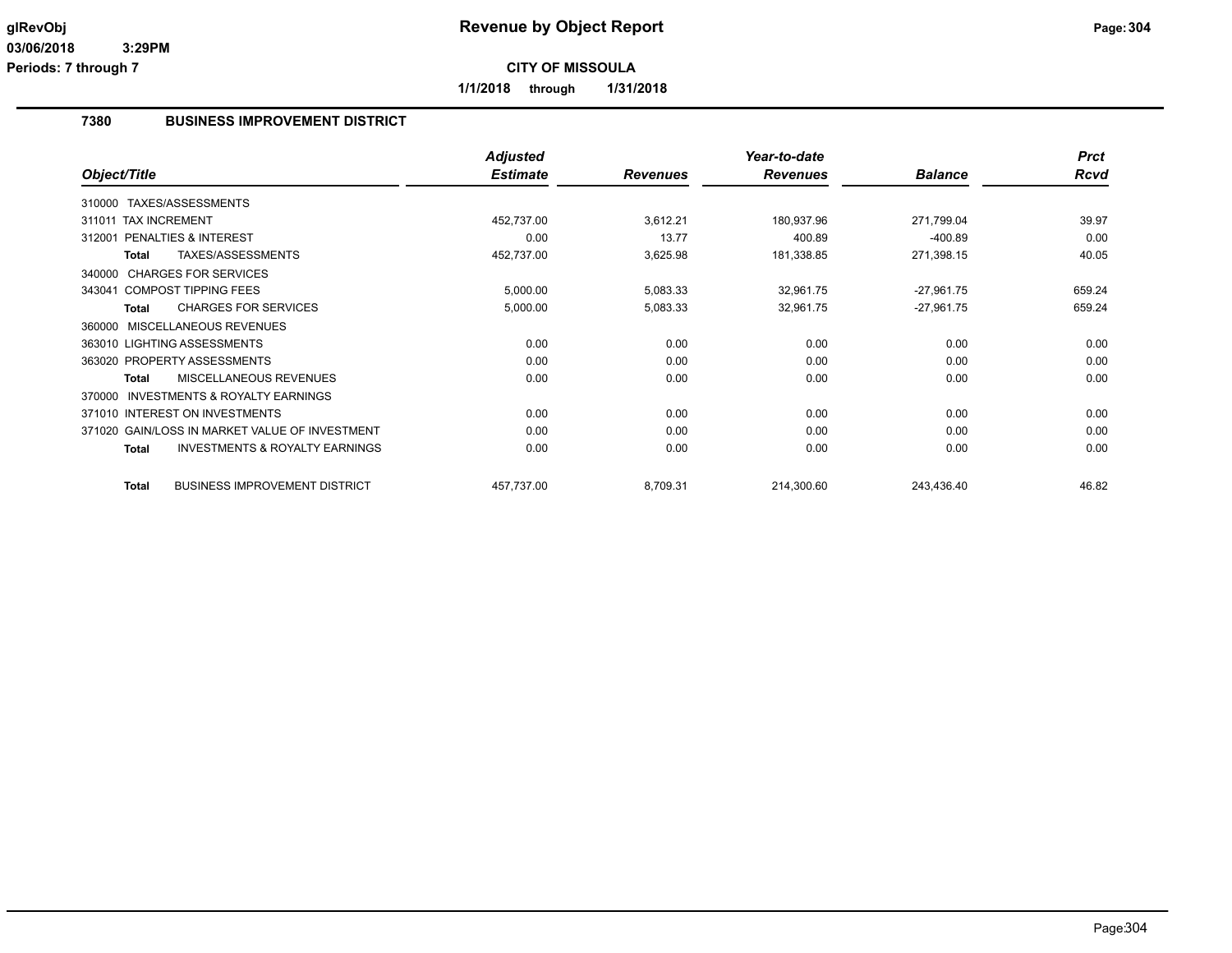**1/1/2018 through 1/31/2018**

### **7380 BUSINESS IMPROVEMENT DISTRICT**

|                                                           | <b>Adjusted</b> |                 | Year-to-date    |                | <b>Prct</b> |
|-----------------------------------------------------------|-----------------|-----------------|-----------------|----------------|-------------|
| Object/Title                                              | <b>Estimate</b> | <b>Revenues</b> | <b>Revenues</b> | <b>Balance</b> | <b>Rcvd</b> |
| 310000 TAXES/ASSESSMENTS                                  |                 |                 |                 |                |             |
| 311011 TAX INCREMENT                                      | 452,737.00      | 3,612.21        | 180,937.96      | 271,799.04     | 39.97       |
| 312001 PENALTIES & INTEREST                               | 0.00            | 13.77           | 400.89          | $-400.89$      | 0.00        |
| TAXES/ASSESSMENTS<br><b>Total</b>                         | 452,737.00      | 3,625.98        | 181,338.85      | 271,398.15     | 40.05       |
| 340000 CHARGES FOR SERVICES                               |                 |                 |                 |                |             |
| 343041 COMPOST TIPPING FEES                               | 5,000.00        | 5,083.33        | 32,961.75       | $-27,961.75$   | 659.24      |
| <b>CHARGES FOR SERVICES</b><br><b>Total</b>               | 5,000.00        | 5,083.33        | 32,961.75       | $-27,961.75$   | 659.24      |
| <b>MISCELLANEOUS REVENUES</b><br>360000                   |                 |                 |                 |                |             |
| 363010 LIGHTING ASSESSMENTS                               | 0.00            | 0.00            | 0.00            | 0.00           | 0.00        |
| 363020 PROPERTY ASSESSMENTS                               | 0.00            | 0.00            | 0.00            | 0.00           | 0.00        |
| <b>MISCELLANEOUS REVENUES</b><br>Total                    | 0.00            | 0.00            | 0.00            | 0.00           | 0.00        |
| <b>INVESTMENTS &amp; ROYALTY EARNINGS</b><br>370000       |                 |                 |                 |                |             |
| 371010 INTEREST ON INVESTMENTS                            | 0.00            | 0.00            | 0.00            | 0.00           | 0.00        |
| 371020 GAIN/LOSS IN MARKET VALUE OF INVESTMENT            | 0.00            | 0.00            | 0.00            | 0.00           | 0.00        |
| <b>INVESTMENTS &amp; ROYALTY EARNINGS</b><br><b>Total</b> | 0.00            | 0.00            | 0.00            | 0.00           | 0.00        |
| <b>BUSINESS IMPROVEMENT DISTRICT</b><br><b>Total</b>      | 457,737.00      | 8,709.31        | 214,300.60      | 243,436.40     | 46.82       |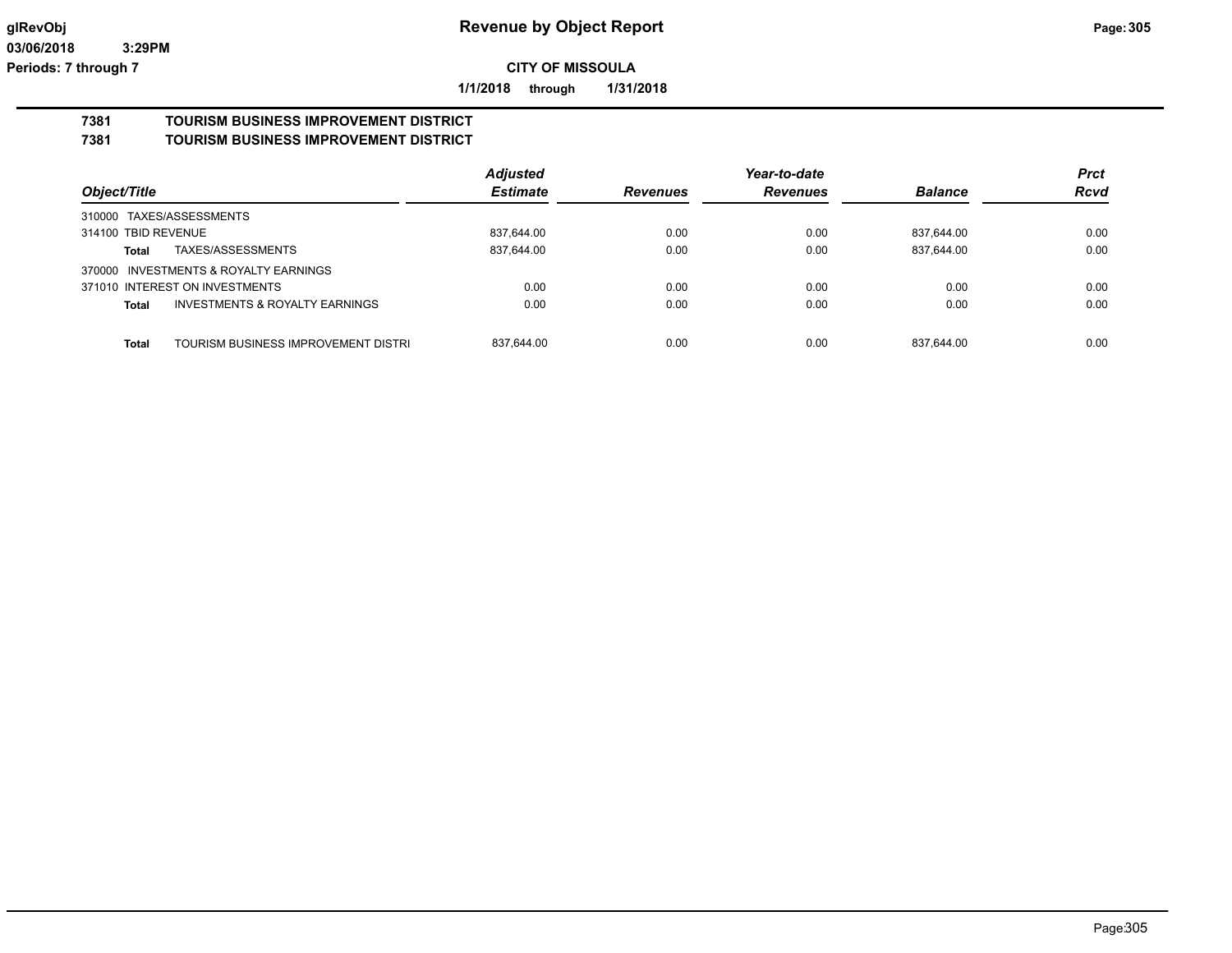**1/1/2018 through 1/31/2018**

# **7381 TOURISM BUSINESS IMPROVEMENT DISTRICT**

## **7381 TOURISM BUSINESS IMPROVEMENT DISTRICT**

|                                              | <b>Adjusted</b> |                 | Year-to-date    |                | <b>Prct</b> |
|----------------------------------------------|-----------------|-----------------|-----------------|----------------|-------------|
| Object/Title                                 | <b>Estimate</b> | <b>Revenues</b> | <b>Revenues</b> | <b>Balance</b> | <b>Rcvd</b> |
| 310000 TAXES/ASSESSMENTS                     |                 |                 |                 |                |             |
| 314100 TBID REVENUE                          | 837.644.00      | 0.00            | 0.00            | 837.644.00     | 0.00        |
| TAXES/ASSESSMENTS<br>Total                   | 837,644.00      | 0.00            | 0.00            | 837,644.00     | 0.00        |
| 370000 INVESTMENTS & ROYALTY EARNINGS        |                 |                 |                 |                |             |
| 371010 INTEREST ON INVESTMENTS               | 0.00            | 0.00            | 0.00            | 0.00           | 0.00        |
| INVESTMENTS & ROYALTY EARNINGS<br>Total      | 0.00            | 0.00            | 0.00            | 0.00           | 0.00        |
|                                              |                 |                 |                 |                |             |
| Total<br>TOURISM BUSINESS IMPROVEMENT DISTRI | 837,644.00      | 0.00            | 0.00            | 837.644.00     | 0.00        |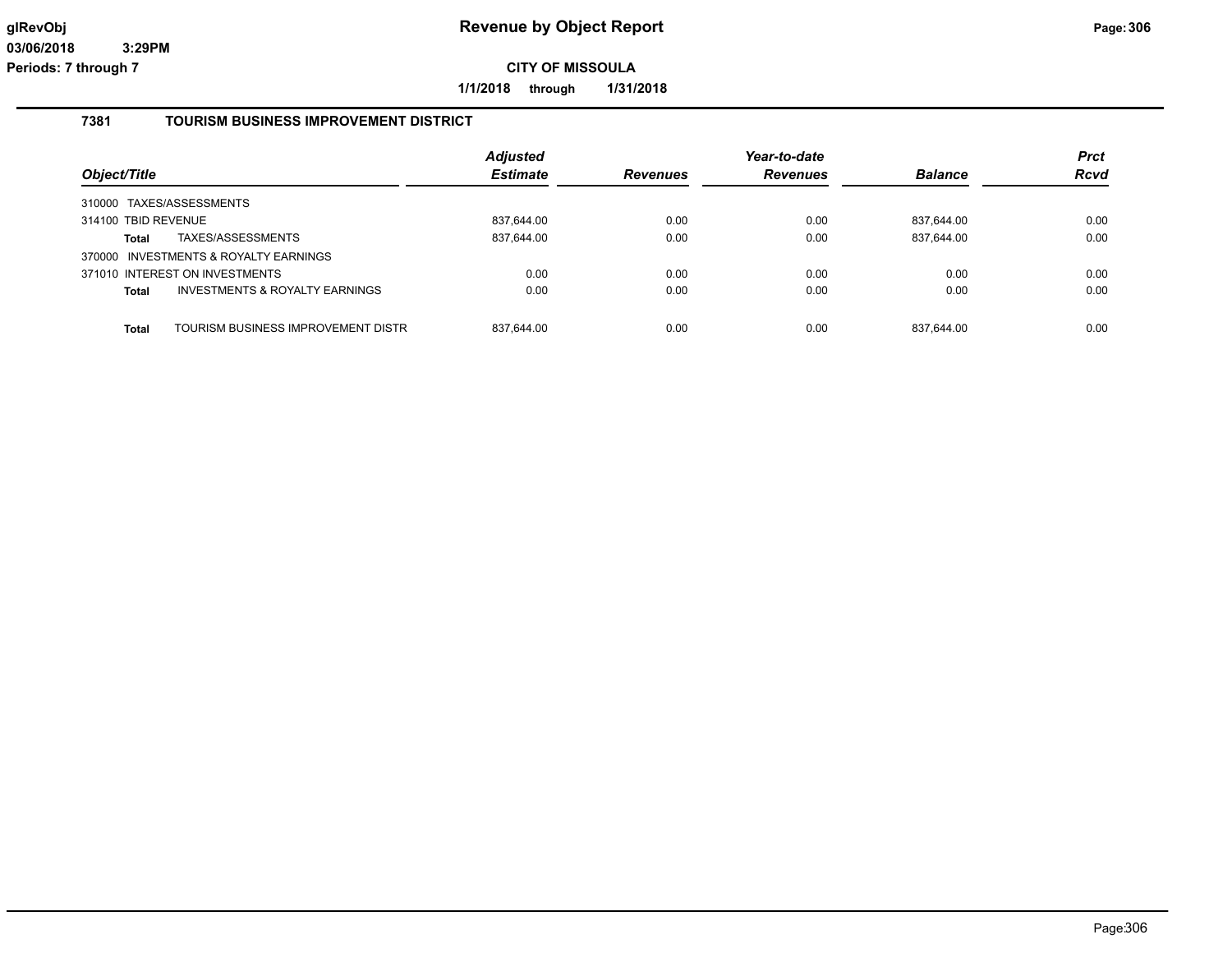**1/1/2018 through 1/31/2018**

### **7381 TOURISM BUSINESS IMPROVEMENT DISTRICT**

| Object/Title        |                                           | <b>Adjusted</b><br><b>Estimate</b> | <b>Revenues</b> | Year-to-date<br><b>Revenues</b> | <b>Balance</b> | <b>Prct</b><br>Rcvd |
|---------------------|-------------------------------------------|------------------------------------|-----------------|---------------------------------|----------------|---------------------|
|                     | 310000 TAXES/ASSESSMENTS                  |                                    |                 |                                 |                |                     |
| 314100 TBID REVENUE |                                           | 837,644.00                         | 0.00            | 0.00                            | 837,644.00     | 0.00                |
| <b>Total</b>        | TAXES/ASSESSMENTS                         | 837,644.00                         | 0.00            | 0.00                            | 837,644.00     | 0.00                |
|                     | 370000 INVESTMENTS & ROYALTY EARNINGS     |                                    |                 |                                 |                |                     |
|                     | 371010 INTEREST ON INVESTMENTS            | 0.00                               | 0.00            | 0.00                            | 0.00           | 0.00                |
| <b>Total</b>        | <b>INVESTMENTS &amp; ROYALTY EARNINGS</b> | 0.00                               | 0.00            | 0.00                            | 0.00           | 0.00                |
|                     |                                           |                                    |                 |                                 |                |                     |
| <b>Total</b>        | TOURISM BUSINESS IMPROVEMENT DISTRI       | 837.644.00                         | 0.00            | 0.00                            | 837.644.00     | 0.00                |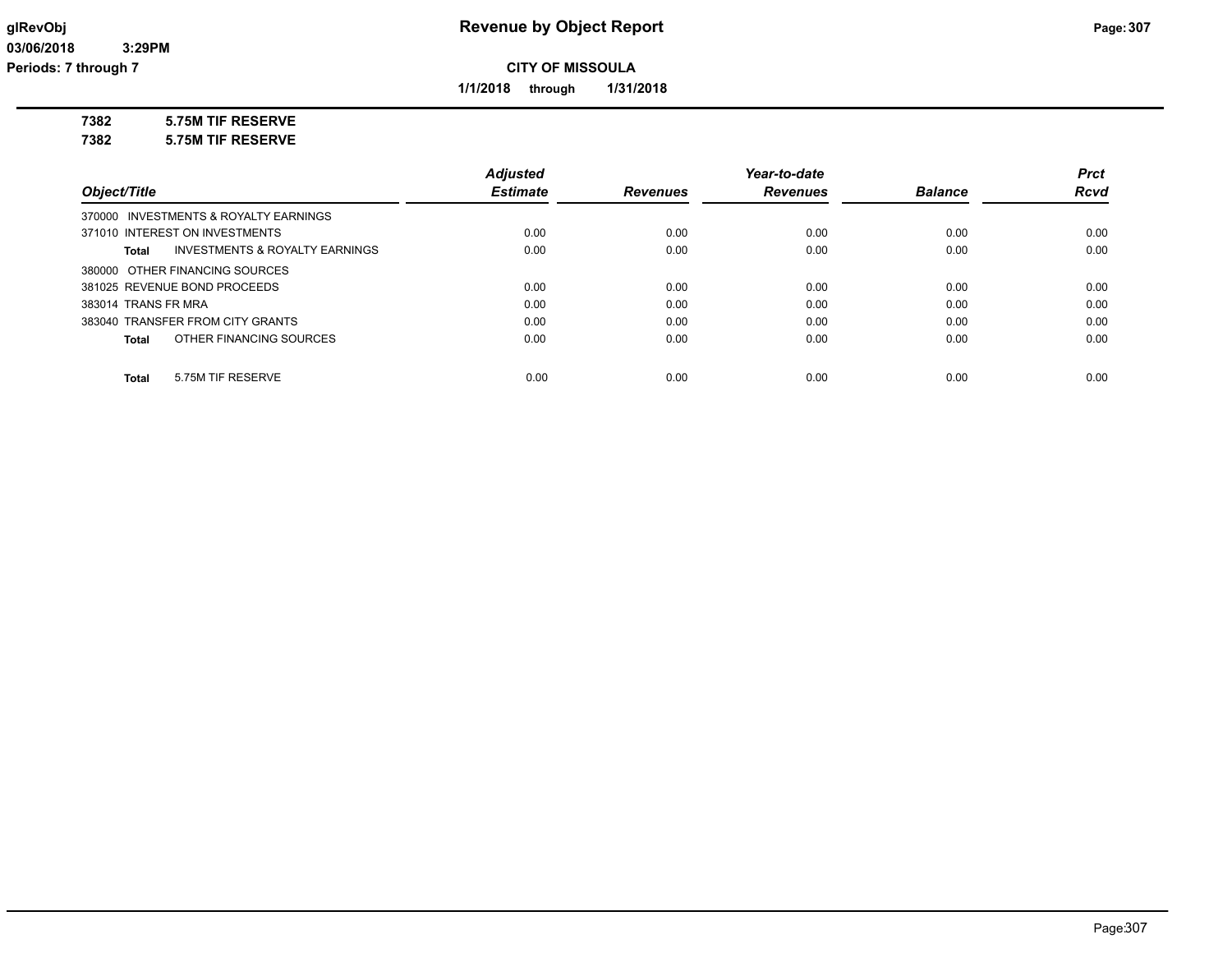**1/1/2018 through 1/31/2018**

**7382 5.75M TIF RESERVE**

**7382 5.75M TIF RESERVE**

|                                       |                                           | <b>Adjusted</b> |                 | Year-to-date    |                | <b>Prct</b> |
|---------------------------------------|-------------------------------------------|-----------------|-----------------|-----------------|----------------|-------------|
| Object/Title                          |                                           | <b>Estimate</b> | <b>Revenues</b> | <b>Revenues</b> | <b>Balance</b> | <b>Rcvd</b> |
| 370000 INVESTMENTS & ROYALTY EARNINGS |                                           |                 |                 |                 |                |             |
| 371010 INTEREST ON INVESTMENTS        |                                           | 0.00            | 0.00            | 0.00            | 0.00           | 0.00        |
| Total                                 | <b>INVESTMENTS &amp; ROYALTY EARNINGS</b> | 0.00            | 0.00            | 0.00            | 0.00           | 0.00        |
| 380000 OTHER FINANCING SOURCES        |                                           |                 |                 |                 |                |             |
| 381025 REVENUE BOND PROCEEDS          |                                           | 0.00            | 0.00            | 0.00            | 0.00           | 0.00        |
| 383014 TRANS FR MRA                   |                                           | 0.00            | 0.00            | 0.00            | 0.00           | 0.00        |
| 383040 TRANSFER FROM CITY GRANTS      |                                           | 0.00            | 0.00            | 0.00            | 0.00           | 0.00        |
| Total                                 | OTHER FINANCING SOURCES                   | 0.00            | 0.00            | 0.00            | 0.00           | 0.00        |
| 5.75M TIF RESERVE<br>Total            |                                           | 0.00            | 0.00            | 0.00            | 0.00           | 0.00        |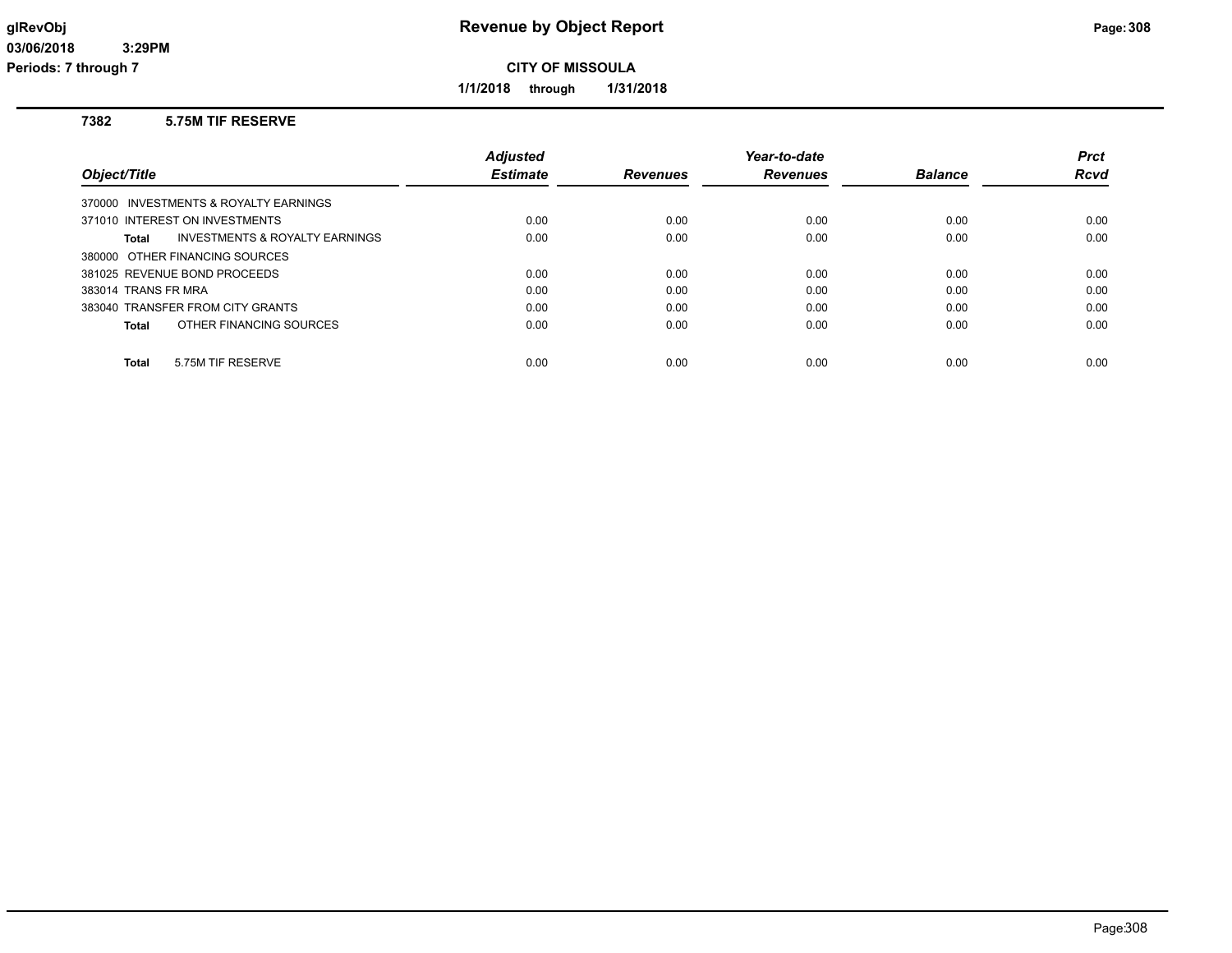**1/1/2018 through 1/31/2018**

### **7382 5.75M TIF RESERVE**

|                                                    | <b>Adiusted</b> |                 | Year-to-date    |                | <b>Prct</b> |
|----------------------------------------------------|-----------------|-----------------|-----------------|----------------|-------------|
| Object/Title                                       | <b>Estimate</b> | <b>Revenues</b> | <b>Revenues</b> | <b>Balance</b> | Rcvd        |
| 370000 INVESTMENTS & ROYALTY EARNINGS              |                 |                 |                 |                |             |
| 371010 INTEREST ON INVESTMENTS                     | 0.00            | 0.00            | 0.00            | 0.00           | 0.00        |
| <b>INVESTMENTS &amp; ROYALTY EARNINGS</b><br>Total | 0.00            | 0.00            | 0.00            | 0.00           | 0.00        |
| 380000 OTHER FINANCING SOURCES                     |                 |                 |                 |                |             |
| 381025 REVENUE BOND PROCEEDS                       | 0.00            | 0.00            | 0.00            | 0.00           | 0.00        |
| 383014 TRANS FR MRA                                | 0.00            | 0.00            | 0.00            | 0.00           | 0.00        |
| 383040 TRANSFER FROM CITY GRANTS                   | 0.00            | 0.00            | 0.00            | 0.00           | 0.00        |
| OTHER FINANCING SOURCES<br>Total                   | 0.00            | 0.00            | 0.00            | 0.00           | 0.00        |
|                                                    |                 |                 |                 |                |             |
| 5.75M TIF RESERVE<br><b>Total</b>                  | 0.00            | 0.00            | 0.00            | 0.00           | 0.00        |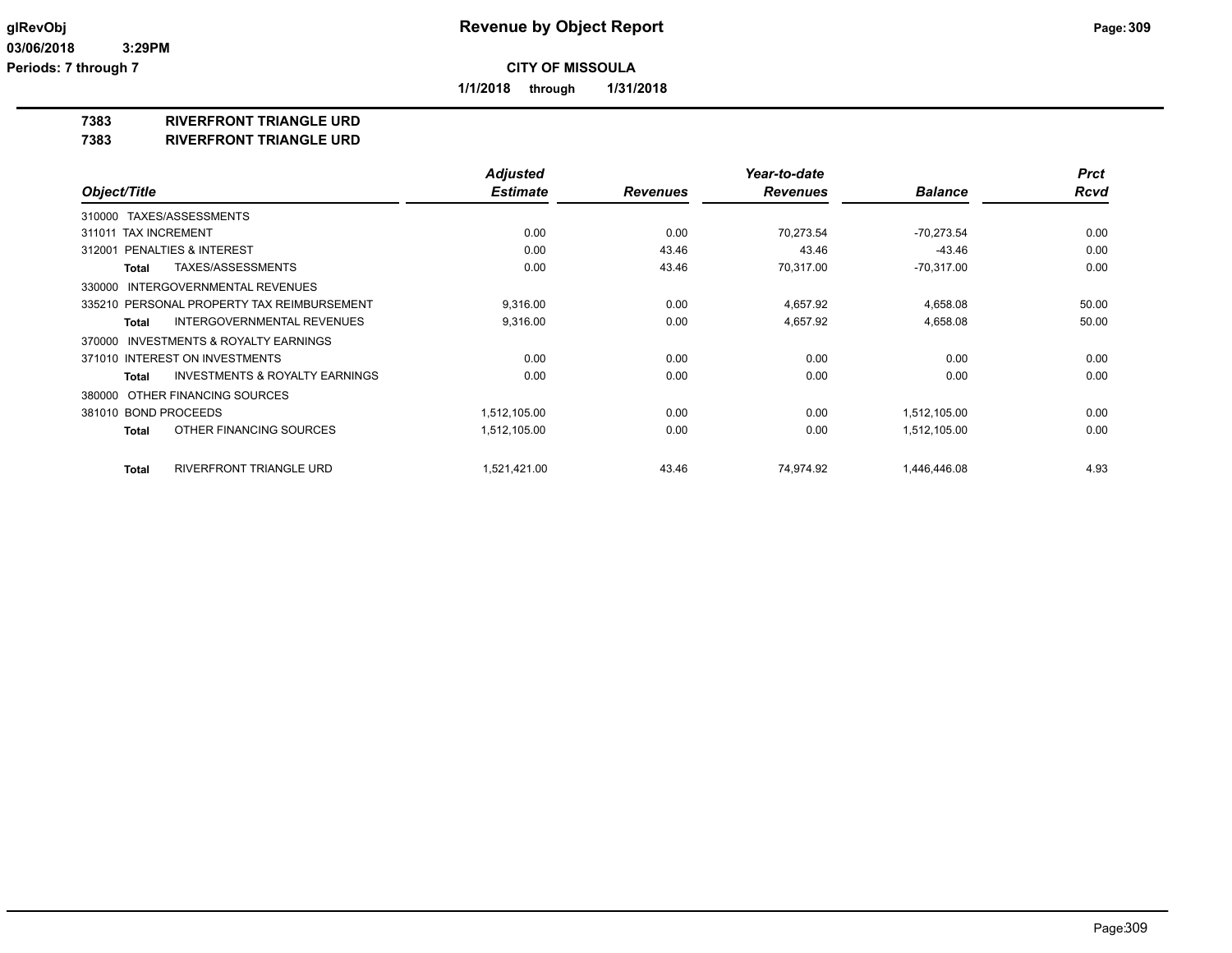**1/1/2018 through 1/31/2018**

## **7383 RIVERFRONT TRIANGLE URD**

**7383 RIVERFRONT TRIANGLE URD**

|                                                           | <b>Adjusted</b> |                 | Year-to-date    |                | <b>Prct</b> |
|-----------------------------------------------------------|-----------------|-----------------|-----------------|----------------|-------------|
| Object/Title                                              | <b>Estimate</b> | <b>Revenues</b> | <b>Revenues</b> | <b>Balance</b> | <b>Rcvd</b> |
| 310000 TAXES/ASSESSMENTS                                  |                 |                 |                 |                |             |
| <b>TAX INCREMENT</b><br>311011                            | 0.00            | 0.00            | 70.273.54       | $-70.273.54$   | 0.00        |
| <b>PENALTIES &amp; INTEREST</b><br>312001                 | 0.00            | 43.46           | 43.46           | $-43.46$       | 0.00        |
| TAXES/ASSESSMENTS<br><b>Total</b>                         | 0.00            | 43.46           | 70,317.00       | $-70,317.00$   | 0.00        |
| 330000 INTERGOVERNMENTAL REVENUES                         |                 |                 |                 |                |             |
| 335210 PERSONAL PROPERTY TAX REIMBURSEMENT                | 9,316.00        | 0.00            | 4,657.92        | 4,658.08       | 50.00       |
| <b>INTERGOVERNMENTAL REVENUES</b><br><b>Total</b>         | 9,316.00        | 0.00            | 4,657.92        | 4,658.08       | 50.00       |
| INVESTMENTS & ROYALTY EARNINGS<br>370000                  |                 |                 |                 |                |             |
| 371010 INTEREST ON INVESTMENTS                            | 0.00            | 0.00            | 0.00            | 0.00           | 0.00        |
| <b>INVESTMENTS &amp; ROYALTY EARNINGS</b><br><b>Total</b> | 0.00            | 0.00            | 0.00            | 0.00           | 0.00        |
| OTHER FINANCING SOURCES<br>380000                         |                 |                 |                 |                |             |
| 381010 BOND PROCEEDS                                      | 1,512,105.00    | 0.00            | 0.00            | 1,512,105.00   | 0.00        |
| OTHER FINANCING SOURCES<br><b>Total</b>                   | 1,512,105.00    | 0.00            | 0.00            | 1,512,105.00   | 0.00        |
| <b>RIVERFRONT TRIANGLE URD</b><br><b>Total</b>            | 1,521,421.00    | 43.46           | 74,974.92       | 1,446,446.08   | 4.93        |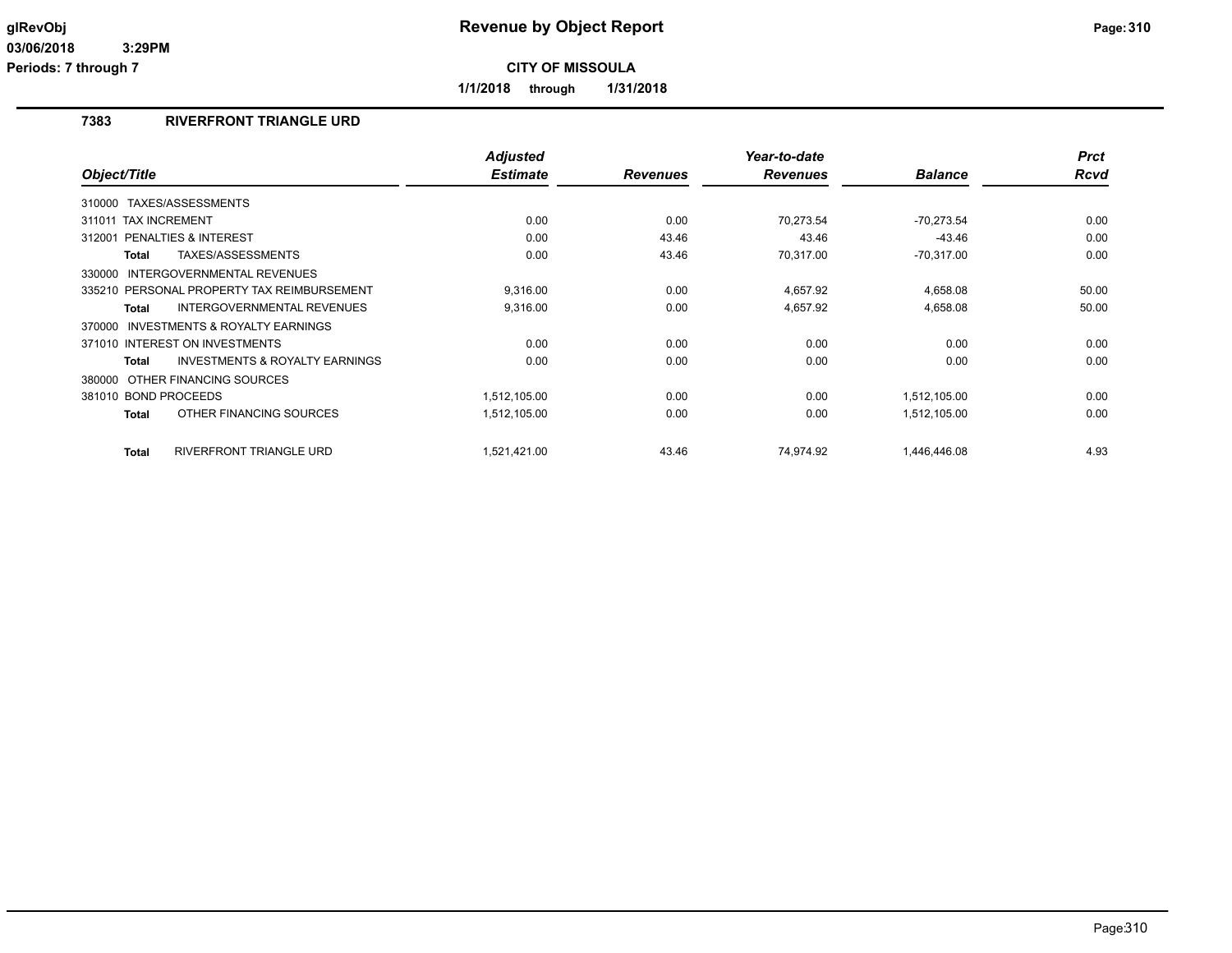**1/1/2018 through 1/31/2018**

## **7383 RIVERFRONT TRIANGLE URD**

| Object/Title                                              | <b>Adjusted</b><br><b>Estimate</b> | <b>Revenues</b> | Year-to-date<br><b>Revenues</b> | <b>Balance</b> | <b>Prct</b><br><b>Rcvd</b> |
|-----------------------------------------------------------|------------------------------------|-----------------|---------------------------------|----------------|----------------------------|
|                                                           |                                    |                 |                                 |                |                            |
| 310000 TAXES/ASSESSMENTS                                  |                                    |                 |                                 |                |                            |
| <b>TAX INCREMENT</b><br>311011                            | 0.00                               | 0.00            | 70.273.54                       | $-70,273.54$   | 0.00                       |
| PENALTIES & INTEREST<br>312001                            | 0.00                               | 43.46           | 43.46                           | $-43.46$       | 0.00                       |
| TAXES/ASSESSMENTS<br><b>Total</b>                         | 0.00                               | 43.46           | 70,317.00                       | $-70,317.00$   | 0.00                       |
| 330000 INTERGOVERNMENTAL REVENUES                         |                                    |                 |                                 |                |                            |
| 335210 PERSONAL PROPERTY TAX REIMBURSEMENT                | 9,316.00                           | 0.00            | 4,657.92                        | 4,658.08       | 50.00                      |
| <b>INTERGOVERNMENTAL REVENUES</b><br><b>Total</b>         | 9.316.00                           | 0.00            | 4,657.92                        | 4,658.08       | 50.00                      |
| 370000 INVESTMENTS & ROYALTY EARNINGS                     |                                    |                 |                                 |                |                            |
| 371010 INTEREST ON INVESTMENTS                            | 0.00                               | 0.00            | 0.00                            | 0.00           | 0.00                       |
| <b>INVESTMENTS &amp; ROYALTY EARNINGS</b><br><b>Total</b> | 0.00                               | 0.00            | 0.00                            | 0.00           | 0.00                       |
| 380000 OTHER FINANCING SOURCES                            |                                    |                 |                                 |                |                            |
| 381010 BOND PROCEEDS                                      | 1,512,105.00                       | 0.00            | 0.00                            | 1,512,105.00   | 0.00                       |
| OTHER FINANCING SOURCES<br><b>Total</b>                   | 1,512,105.00                       | 0.00            | 0.00                            | 1,512,105.00   | 0.00                       |
| <b>RIVERFRONT TRIANGLE URD</b><br><b>Total</b>            | 1,521,421.00                       | 43.46           | 74,974.92                       | 1,446,446.08   | 4.93                       |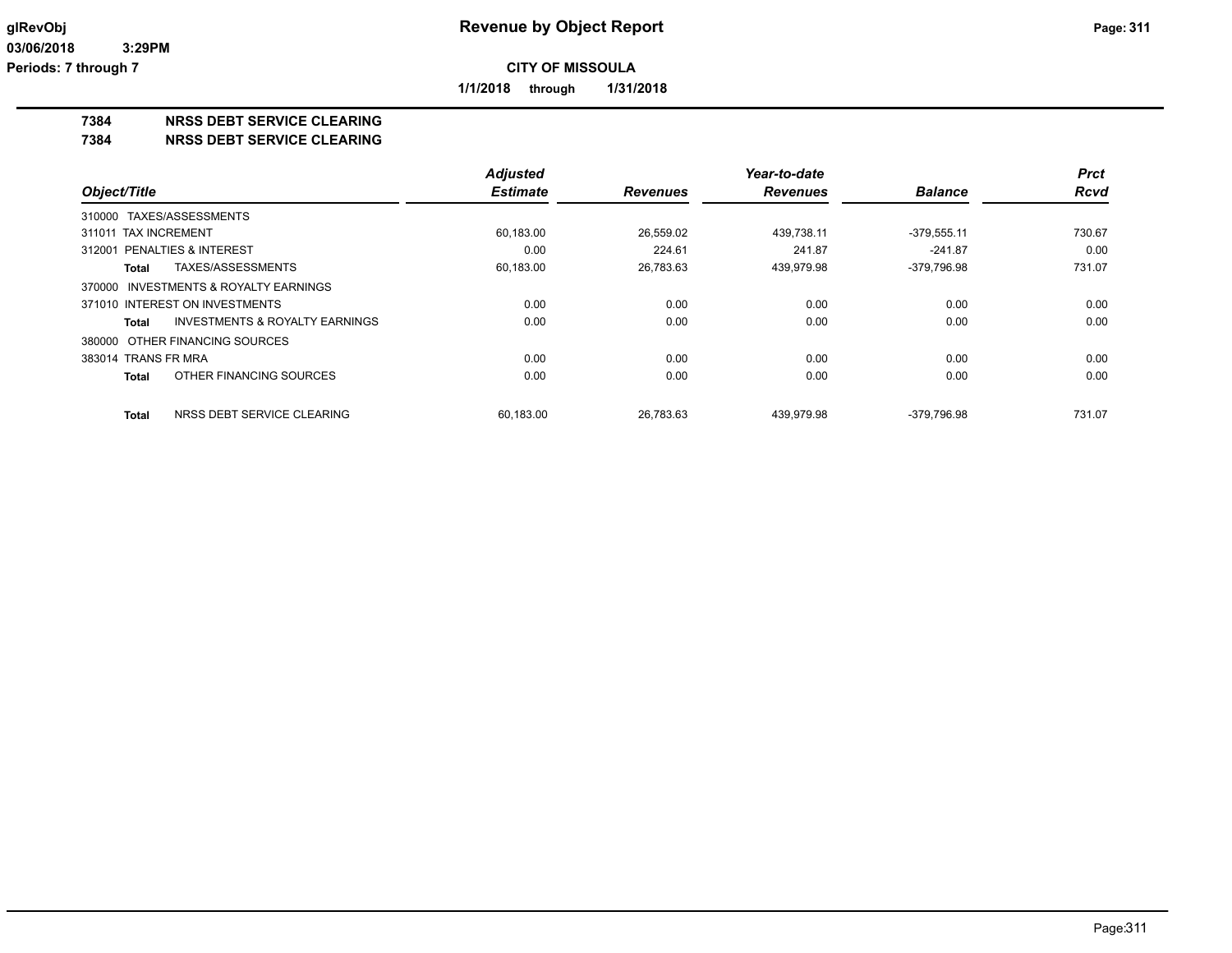**1/1/2018 through 1/31/2018**

### **7384 NRSS DEBT SERVICE CLEARING**

**7384 NRSS DEBT SERVICE CLEARING**

|                                                    | <b>Adjusted</b> |                 | Year-to-date    |                | <b>Prct</b> |
|----------------------------------------------------|-----------------|-----------------|-----------------|----------------|-------------|
| Object/Title                                       | <b>Estimate</b> | <b>Revenues</b> | <b>Revenues</b> | <b>Balance</b> | <b>Rcvd</b> |
| 310000 TAXES/ASSESSMENTS                           |                 |                 |                 |                |             |
| 311011 TAX INCREMENT                               | 60,183.00       | 26.559.02       | 439.738.11      | $-379.555.11$  | 730.67      |
| 312001 PENALTIES & INTEREST                        | 0.00            | 224.61          | 241.87          | $-241.87$      | 0.00        |
| TAXES/ASSESSMENTS<br><b>Total</b>                  | 60,183.00       | 26,783.63       | 439,979.98      | -379,796.98    | 731.07      |
| 370000 INVESTMENTS & ROYALTY EARNINGS              |                 |                 |                 |                |             |
| 371010 INTEREST ON INVESTMENTS                     | 0.00            | 0.00            | 0.00            | 0.00           | 0.00        |
| <b>INVESTMENTS &amp; ROYALTY EARNINGS</b><br>Total | 0.00            | 0.00            | 0.00            | 0.00           | 0.00        |
| 380000 OTHER FINANCING SOURCES                     |                 |                 |                 |                |             |
| 383014 TRANS FR MRA                                | 0.00            | 0.00            | 0.00            | 0.00           | 0.00        |
| OTHER FINANCING SOURCES<br><b>Total</b>            | 0.00            | 0.00            | 0.00            | 0.00           | 0.00        |
| NRSS DEBT SERVICE CLEARING<br><b>Total</b>         | 60.183.00       | 26.783.63       | 439.979.98      | -379.796.98    | 731.07      |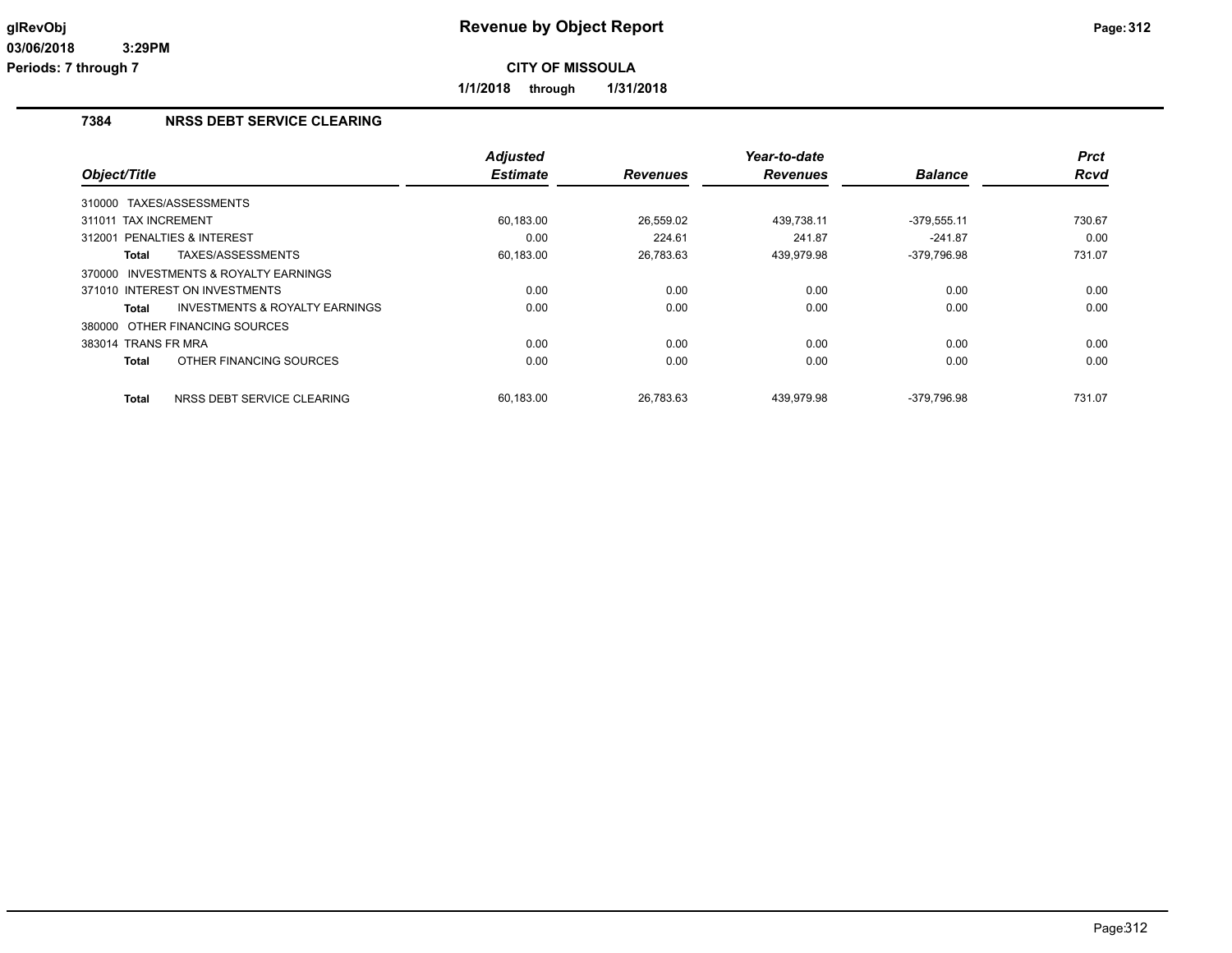**1/1/2018 through 1/31/2018**

## **7384 NRSS DEBT SERVICE CLEARING**

|                                                    | <b>Adjusted</b> |                 | Year-to-date    |                | <b>Prct</b> |
|----------------------------------------------------|-----------------|-----------------|-----------------|----------------|-------------|
| Object/Title                                       | <b>Estimate</b> | <b>Revenues</b> | <b>Revenues</b> | <b>Balance</b> | <b>Rcvd</b> |
| TAXES/ASSESSMENTS<br>310000                        |                 |                 |                 |                |             |
| 311011 TAX INCREMENT                               | 60,183.00       | 26,559.02       | 439,738.11      | $-379,555.11$  | 730.67      |
| <b>PENALTIES &amp; INTEREST</b><br>312001          | 0.00            | 224.61          | 241.87          | $-241.87$      | 0.00        |
| TAXES/ASSESSMENTS<br>Total                         | 60,183.00       | 26,783.63       | 439,979.98      | -379,796.98    | 731.07      |
| INVESTMENTS & ROYALTY EARNINGS<br>370000           |                 |                 |                 |                |             |
| 371010 INTEREST ON INVESTMENTS                     | 0.00            | 0.00            | 0.00            | 0.00           | 0.00        |
| <b>INVESTMENTS &amp; ROYALTY EARNINGS</b><br>Total | 0.00            | 0.00            | 0.00            | 0.00           | 0.00        |
| 380000 OTHER FINANCING SOURCES                     |                 |                 |                 |                |             |
| 383014 TRANS FR MRA                                | 0.00            | 0.00            | 0.00            | 0.00           | 0.00        |
| OTHER FINANCING SOURCES<br>Total                   | 0.00            | 0.00            | 0.00            | 0.00           | 0.00        |
| NRSS DEBT SERVICE CLEARING<br><b>Total</b>         | 60.183.00       | 26.783.63       | 439.979.98      | -379.796.98    | 731.07      |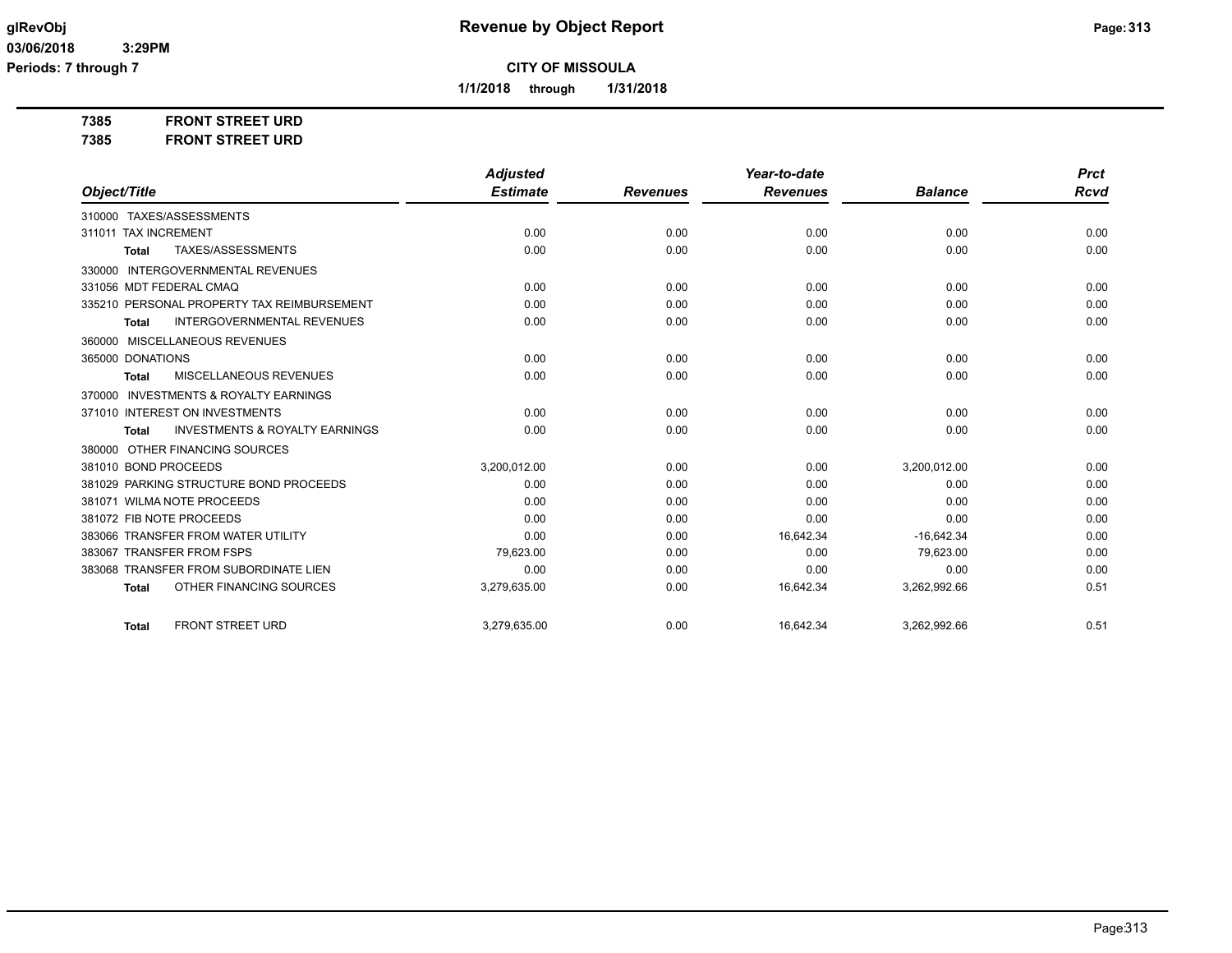**1/1/2018 through 1/31/2018**

**7385 FRONT STREET URD**

**7385 FRONT STREET URD**

|                                                           | <b>Adjusted</b> |                 | Year-to-date    |                | <b>Prct</b> |
|-----------------------------------------------------------|-----------------|-----------------|-----------------|----------------|-------------|
| Object/Title                                              | <b>Estimate</b> | <b>Revenues</b> | <b>Revenues</b> | <b>Balance</b> | <b>Rcvd</b> |
| 310000 TAXES/ASSESSMENTS                                  |                 |                 |                 |                |             |
| 311011 TAX INCREMENT                                      | 0.00            | 0.00            | 0.00            | 0.00           | 0.00        |
| TAXES/ASSESSMENTS<br><b>Total</b>                         | 0.00            | 0.00            | 0.00            | 0.00           | 0.00        |
| <b>INTERGOVERNMENTAL REVENUES</b><br>330000               |                 |                 |                 |                |             |
| 331056 MDT FEDERAL CMAQ                                   | 0.00            | 0.00            | 0.00            | 0.00           | 0.00        |
| 335210 PERSONAL PROPERTY TAX REIMBURSEMENT                | 0.00            | 0.00            | 0.00            | 0.00           | 0.00        |
| <b>INTERGOVERNMENTAL REVENUES</b><br><b>Total</b>         | 0.00            | 0.00            | 0.00            | 0.00           | 0.00        |
| MISCELLANEOUS REVENUES<br>360000                          |                 |                 |                 |                |             |
| 365000 DONATIONS                                          | 0.00            | 0.00            | 0.00            | 0.00           | 0.00        |
| MISCELLANEOUS REVENUES<br><b>Total</b>                    | 0.00            | 0.00            | 0.00            | 0.00           | 0.00        |
| <b>INVESTMENTS &amp; ROYALTY EARNINGS</b><br>370000       |                 |                 |                 |                |             |
| 371010 INTEREST ON INVESTMENTS                            | 0.00            | 0.00            | 0.00            | 0.00           | 0.00        |
| <b>INVESTMENTS &amp; ROYALTY EARNINGS</b><br><b>Total</b> | 0.00            | 0.00            | 0.00            | 0.00           | 0.00        |
| 380000 OTHER FINANCING SOURCES                            |                 |                 |                 |                |             |
| 381010 BOND PROCEEDS                                      | 3,200,012.00    | 0.00            | 0.00            | 3,200,012.00   | 0.00        |
| 381029 PARKING STRUCTURE BOND PROCEEDS                    | 0.00            | 0.00            | 0.00            | 0.00           | 0.00        |
| 381071 WILMA NOTE PROCEEDS                                | 0.00            | 0.00            | 0.00            | 0.00           | 0.00        |
| 381072 FIB NOTE PROCEEDS                                  | 0.00            | 0.00            | 0.00            | 0.00           | 0.00        |
| 383066 TRANSFER FROM WATER UTILITY                        | 0.00            | 0.00            | 16,642.34       | $-16,642.34$   | 0.00        |
| 383067 TRANSFER FROM FSPS                                 | 79,623.00       | 0.00            | 0.00            | 79,623.00      | 0.00        |
| 383068 TRANSFER FROM SUBORDINATE LIEN                     | 0.00            | 0.00            | 0.00            | 0.00           | 0.00        |
| OTHER FINANCING SOURCES<br><b>Total</b>                   | 3,279,635.00    | 0.00            | 16,642.34       | 3,262,992.66   | 0.51        |
| <b>FRONT STREET URD</b><br><b>Total</b>                   | 3,279,635.00    | 0.00            | 16,642.34       | 3,262,992.66   | 0.51        |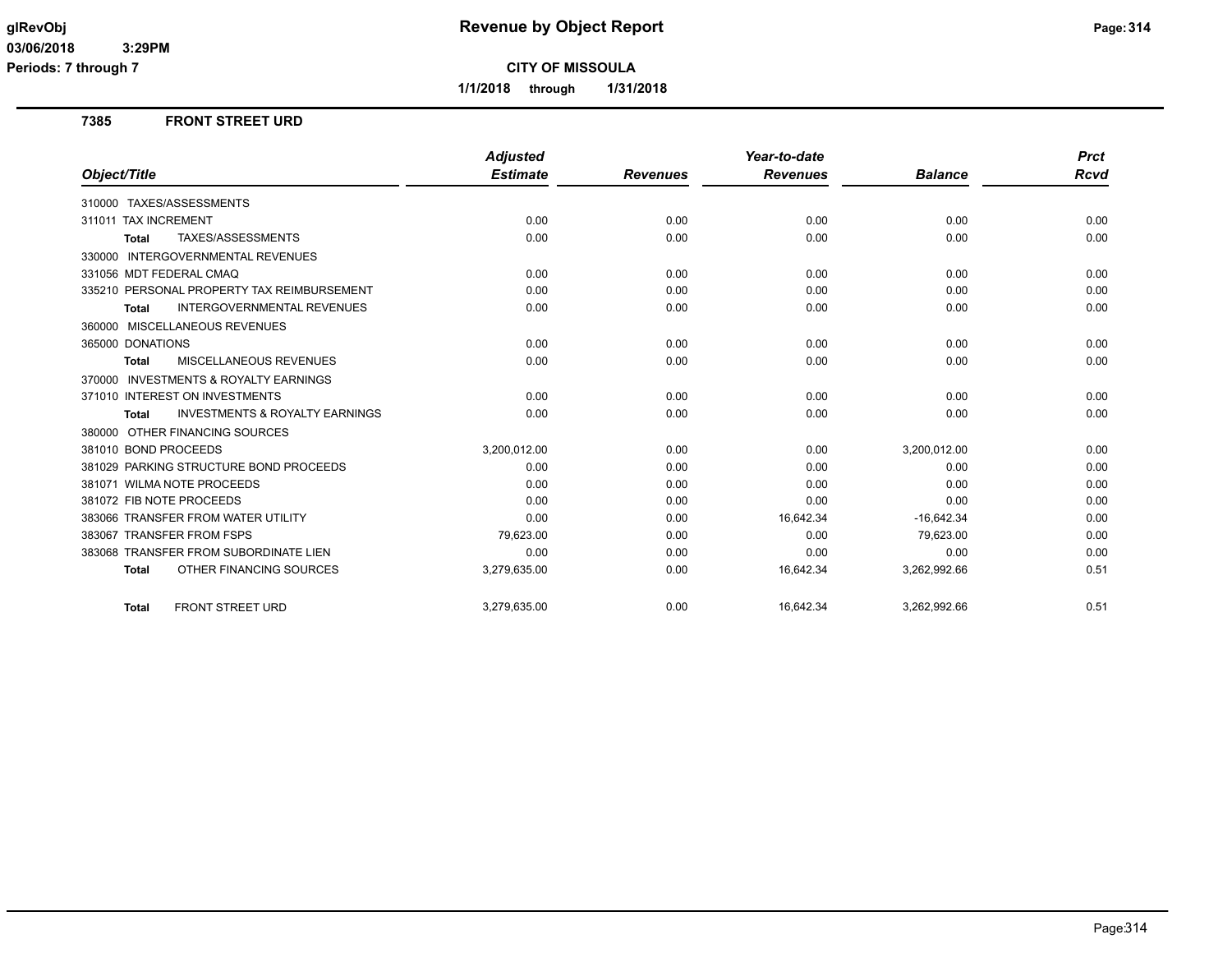**Periods: 7 through 7**

**CITY OF MISSOULA**

**1/1/2018 through 1/31/2018**

### **7385 FRONT STREET URD**

|                                                           | <b>Adjusted</b> |                 | Year-to-date    |                | <b>Prct</b> |
|-----------------------------------------------------------|-----------------|-----------------|-----------------|----------------|-------------|
| Object/Title                                              | <b>Estimate</b> | <b>Revenues</b> | <b>Revenues</b> | <b>Balance</b> | Rcvd        |
| 310000 TAXES/ASSESSMENTS                                  |                 |                 |                 |                |             |
| 311011 TAX INCREMENT                                      | 0.00            | 0.00            | 0.00            | 0.00           | 0.00        |
| TAXES/ASSESSMENTS<br>Total                                | 0.00            | 0.00            | 0.00            | 0.00           | 0.00        |
| 330000 INTERGOVERNMENTAL REVENUES                         |                 |                 |                 |                |             |
| 331056 MDT FEDERAL CMAQ                                   | 0.00            | 0.00            | 0.00            | 0.00           | 0.00        |
| 335210 PERSONAL PROPERTY TAX REIMBURSEMENT                | 0.00            | 0.00            | 0.00            | 0.00           | 0.00        |
| <b>INTERGOVERNMENTAL REVENUES</b><br><b>Total</b>         | 0.00            | 0.00            | 0.00            | 0.00           | 0.00        |
| 360000 MISCELLANEOUS REVENUES                             |                 |                 |                 |                |             |
| 365000 DONATIONS                                          | 0.00            | 0.00            | 0.00            | 0.00           | 0.00        |
| MISCELLANEOUS REVENUES<br><b>Total</b>                    | 0.00            | 0.00            | 0.00            | 0.00           | 0.00        |
| 370000 INVESTMENTS & ROYALTY EARNINGS                     |                 |                 |                 |                |             |
| 371010 INTEREST ON INVESTMENTS                            | 0.00            | 0.00            | 0.00            | 0.00           | 0.00        |
| <b>INVESTMENTS &amp; ROYALTY EARNINGS</b><br><b>Total</b> | 0.00            | 0.00            | 0.00            | 0.00           | 0.00        |
| 380000 OTHER FINANCING SOURCES                            |                 |                 |                 |                |             |
| 381010 BOND PROCEEDS                                      | 3,200,012.00    | 0.00            | 0.00            | 3,200,012.00   | 0.00        |
| 381029 PARKING STRUCTURE BOND PROCEEDS                    | 0.00            | 0.00            | 0.00            | 0.00           | 0.00        |
| 381071 WILMA NOTE PROCEEDS                                | 0.00            | 0.00            | 0.00            | 0.00           | 0.00        |
| 381072 FIB NOTE PROCEEDS                                  | 0.00            | 0.00            | 0.00            | 0.00           | 0.00        |
| 383066 TRANSFER FROM WATER UTILITY                        | 0.00            | 0.00            | 16,642.34       | $-16,642.34$   | 0.00        |
| 383067 TRANSFER FROM FSPS                                 | 79,623.00       | 0.00            | 0.00            | 79,623.00      | 0.00        |
| 383068 TRANSFER FROM SUBORDINATE LIEN                     | 0.00            | 0.00            | 0.00            | 0.00           | 0.00        |
| OTHER FINANCING SOURCES<br><b>Total</b>                   | 3,279,635.00    | 0.00            | 16,642.34       | 3,262,992.66   | 0.51        |
| <b>FRONT STREET URD</b><br><b>Total</b>                   | 3.279.635.00    | 0.00            | 16,642.34       | 3,262,992.66   | 0.51        |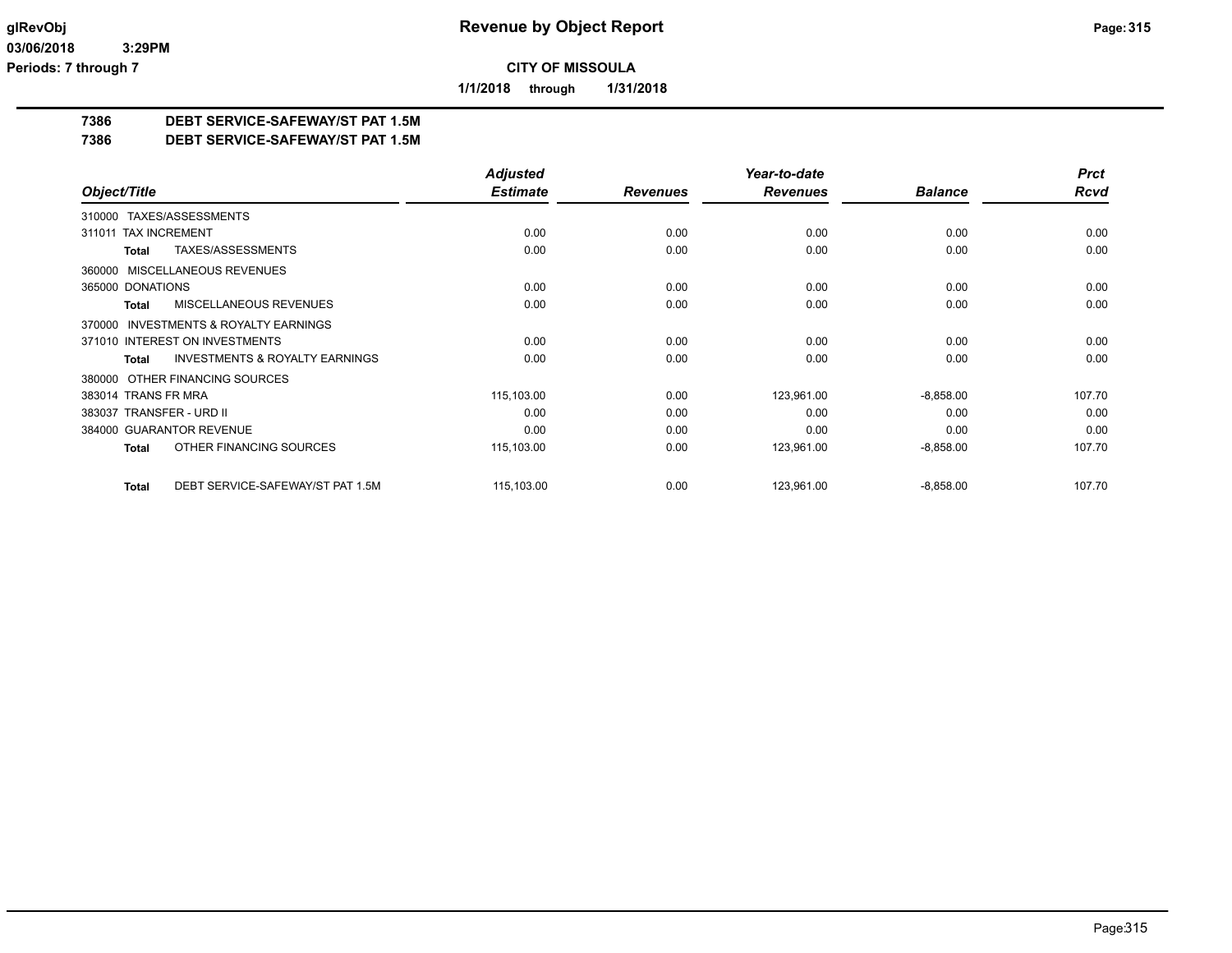**1/1/2018 through 1/31/2018**

## **7386 DEBT SERVICE-SAFEWAY/ST PAT 1.5M**

**7386 DEBT SERVICE-SAFEWAY/ST PAT 1.5M**

|                                                           | <b>Adjusted</b> |                 | Year-to-date    |                | <b>Prct</b> |
|-----------------------------------------------------------|-----------------|-----------------|-----------------|----------------|-------------|
| Object/Title                                              | <b>Estimate</b> | <b>Revenues</b> | <b>Revenues</b> | <b>Balance</b> | <b>Rcvd</b> |
| TAXES/ASSESSMENTS<br>310000                               |                 |                 |                 |                |             |
| 311011 TAX INCREMENT                                      | 0.00            | 0.00            | 0.00            | 0.00           | 0.00        |
| TAXES/ASSESSMENTS<br><b>Total</b>                         | 0.00            | 0.00            | 0.00            | 0.00           | 0.00        |
| MISCELLANEOUS REVENUES<br>360000                          |                 |                 |                 |                |             |
| 365000 DONATIONS                                          | 0.00            | 0.00            | 0.00            | 0.00           | 0.00        |
| MISCELLANEOUS REVENUES<br><b>Total</b>                    | 0.00            | 0.00            | 0.00            | 0.00           | 0.00        |
| <b>INVESTMENTS &amp; ROYALTY EARNINGS</b><br>370000       |                 |                 |                 |                |             |
| 371010 INTEREST ON INVESTMENTS                            | 0.00            | 0.00            | 0.00            | 0.00           | 0.00        |
| <b>INVESTMENTS &amp; ROYALTY EARNINGS</b><br><b>Total</b> | 0.00            | 0.00            | 0.00            | 0.00           | 0.00        |
| OTHER FINANCING SOURCES<br>380000                         |                 |                 |                 |                |             |
| 383014 TRANS FR MRA                                       | 115,103.00      | 0.00            | 123,961.00      | $-8,858.00$    | 107.70      |
| 383037 TRANSFER - URD II                                  | 0.00            | 0.00            | 0.00            | 0.00           | 0.00        |
| 384000 GUARANTOR REVENUE                                  | 0.00            | 0.00            | 0.00            | 0.00           | 0.00        |
| OTHER FINANCING SOURCES<br><b>Total</b>                   | 115,103.00      | 0.00            | 123,961.00      | $-8,858.00$    | 107.70      |
| DEBT SERVICE-SAFEWAY/ST PAT 1.5M<br><b>Total</b>          | 115,103.00      | 0.00            | 123,961.00      | $-8,858.00$    | 107.70      |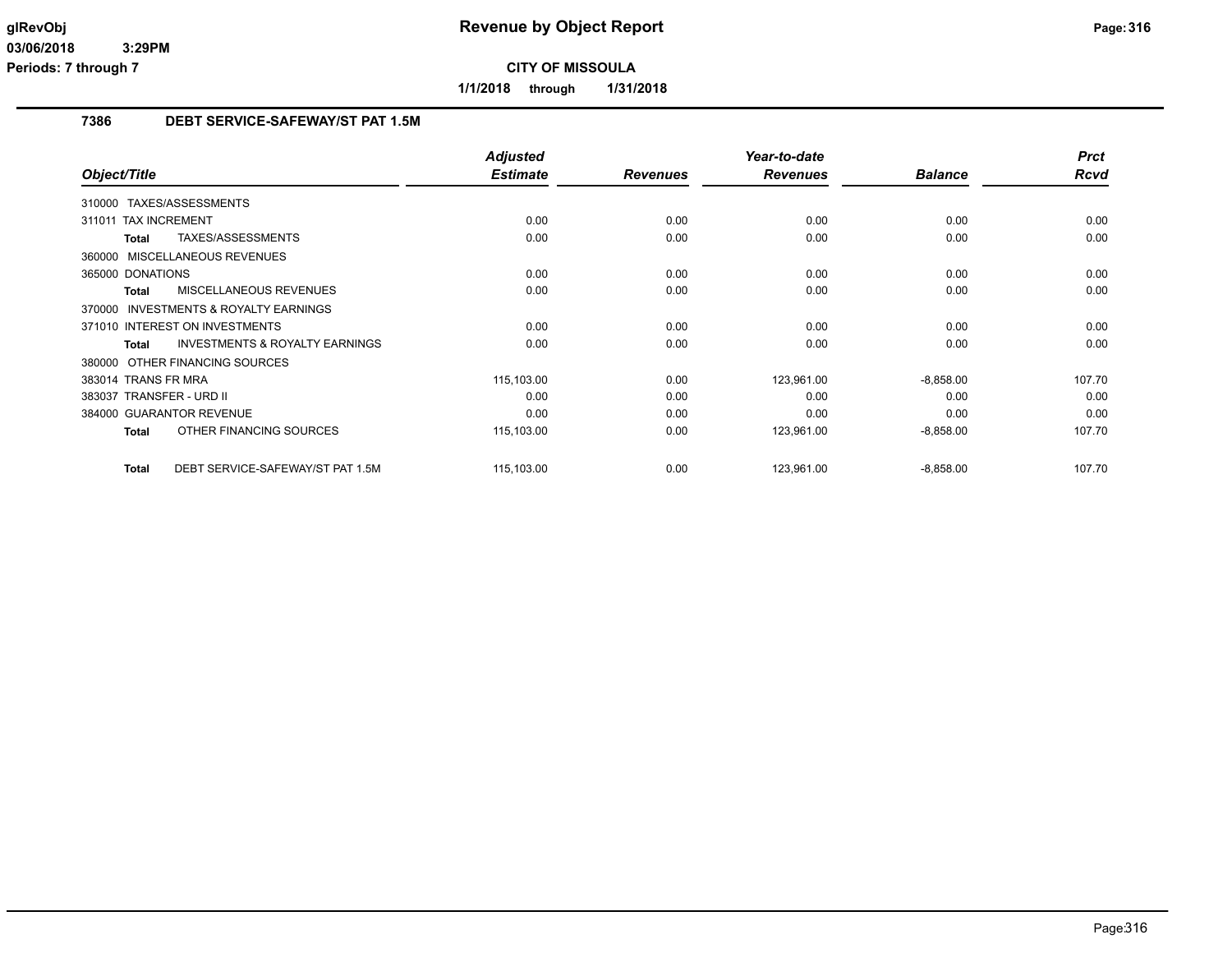**1/1/2018 through 1/31/2018**

### **7386 DEBT SERVICE-SAFEWAY/ST PAT 1.5M**

|                                                           | <b>Adjusted</b> |                 | Year-to-date    |                | <b>Prct</b> |
|-----------------------------------------------------------|-----------------|-----------------|-----------------|----------------|-------------|
| Object/Title                                              | <b>Estimate</b> | <b>Revenues</b> | <b>Revenues</b> | <b>Balance</b> | Rcvd        |
| 310000 TAXES/ASSESSMENTS                                  |                 |                 |                 |                |             |
| <b>TAX INCREMENT</b><br>311011                            | 0.00            | 0.00            | 0.00            | 0.00           | 0.00        |
| TAXES/ASSESSMENTS<br><b>Total</b>                         | 0.00            | 0.00            | 0.00            | 0.00           | 0.00        |
| 360000 MISCELLANEOUS REVENUES                             |                 |                 |                 |                |             |
| 365000 DONATIONS                                          | 0.00            | 0.00            | 0.00            | 0.00           | 0.00        |
| <b>MISCELLANEOUS REVENUES</b><br><b>Total</b>             | 0.00            | 0.00            | 0.00            | 0.00           | 0.00        |
| 370000 INVESTMENTS & ROYALTY EARNINGS                     |                 |                 |                 |                |             |
| 371010 INTEREST ON INVESTMENTS                            | 0.00            | 0.00            | 0.00            | 0.00           | 0.00        |
| <b>INVESTMENTS &amp; ROYALTY EARNINGS</b><br><b>Total</b> | 0.00            | 0.00            | 0.00            | 0.00           | 0.00        |
| 380000 OTHER FINANCING SOURCES                            |                 |                 |                 |                |             |
| 383014 TRANS FR MRA                                       | 115,103.00      | 0.00            | 123,961.00      | $-8,858.00$    | 107.70      |
| 383037 TRANSFER - URD II                                  | 0.00            | 0.00            | 0.00            | 0.00           | 0.00        |
| 384000 GUARANTOR REVENUE                                  | 0.00            | 0.00            | 0.00            | 0.00           | 0.00        |
| OTHER FINANCING SOURCES<br><b>Total</b>                   | 115,103.00      | 0.00            | 123,961.00      | $-8,858.00$    | 107.70      |
| DEBT SERVICE-SAFEWAY/ST PAT 1.5M<br><b>Total</b>          | 115,103.00      | 0.00            | 123,961.00      | $-8,858.00$    | 107.70      |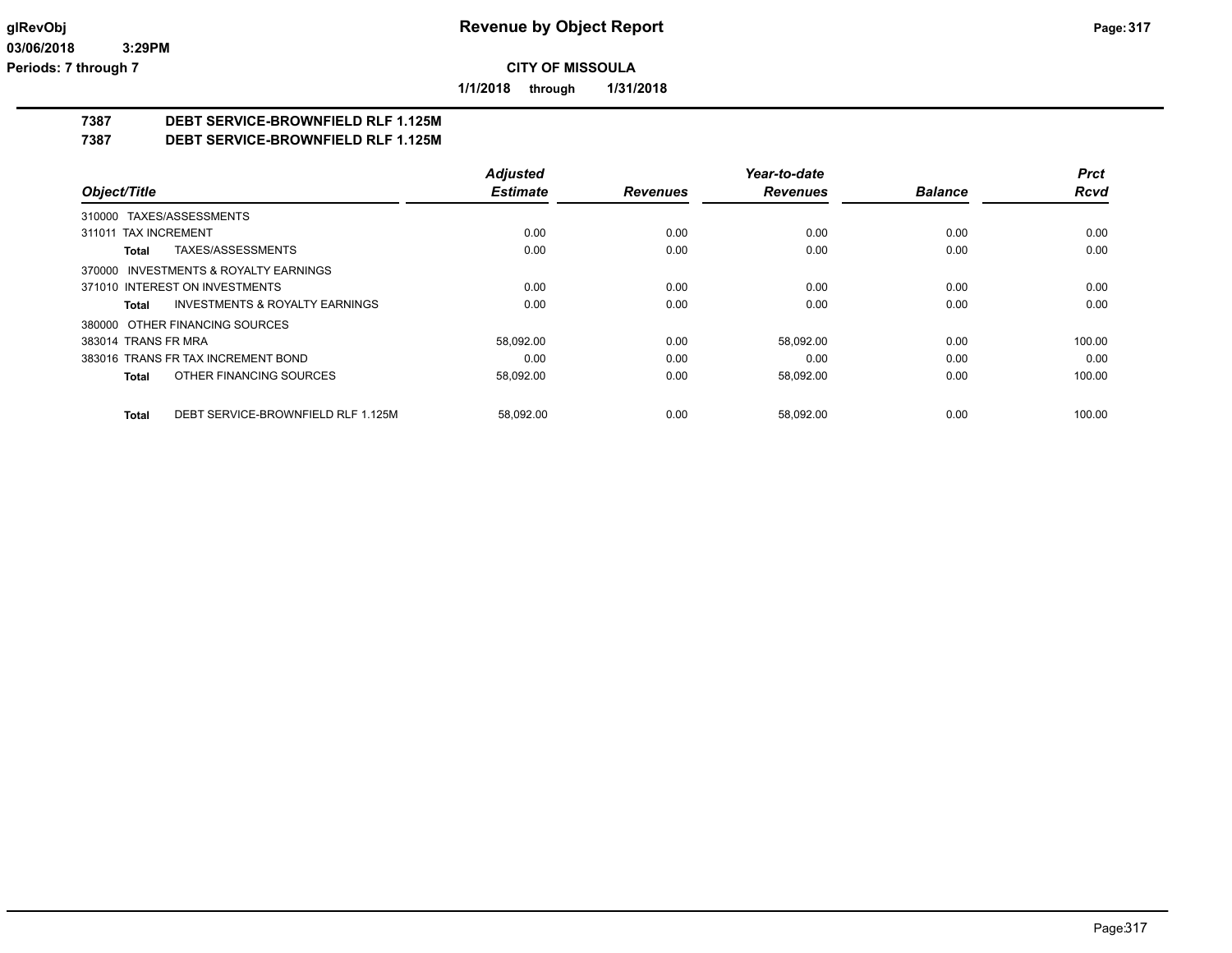**1/1/2018 through 1/31/2018**

## **7387 DEBT SERVICE-BROWNFIELD RLF 1.125M**

**7387 DEBT SERVICE-BROWNFIELD RLF 1.125M**

|                                                    | <b>Adjusted</b> |                 | Year-to-date    |                | <b>Prct</b> |
|----------------------------------------------------|-----------------|-----------------|-----------------|----------------|-------------|
| Object/Title                                       | <b>Estimate</b> | <b>Revenues</b> | <b>Revenues</b> | <b>Balance</b> | <b>Rcvd</b> |
| 310000 TAXES/ASSESSMENTS                           |                 |                 |                 |                |             |
| 311011 TAX INCREMENT                               | 0.00            | 0.00            | 0.00            | 0.00           | 0.00        |
| TAXES/ASSESSMENTS<br>Total                         | 0.00            | 0.00            | 0.00            | 0.00           | 0.00        |
| 370000 INVESTMENTS & ROYALTY EARNINGS              |                 |                 |                 |                |             |
| 371010 INTEREST ON INVESTMENTS                     | 0.00            | 0.00            | 0.00            | 0.00           | 0.00        |
| <b>INVESTMENTS &amp; ROYALTY EARNINGS</b><br>Total | 0.00            | 0.00            | 0.00            | 0.00           | 0.00        |
| 380000 OTHER FINANCING SOURCES                     |                 |                 |                 |                |             |
| 383014 TRANS FR MRA                                | 58,092.00       | 0.00            | 58,092.00       | 0.00           | 100.00      |
| 383016 TRANS FR TAX INCREMENT BOND                 | 0.00            | 0.00            | 0.00            | 0.00           | 0.00        |
| OTHER FINANCING SOURCES<br>Total                   | 58,092.00       | 0.00            | 58,092.00       | 0.00           | 100.00      |
| DEBT SERVICE-BROWNFIELD RLF 1.125M<br>Total        | 58.092.00       | 0.00            | 58.092.00       | 0.00           | 100.00      |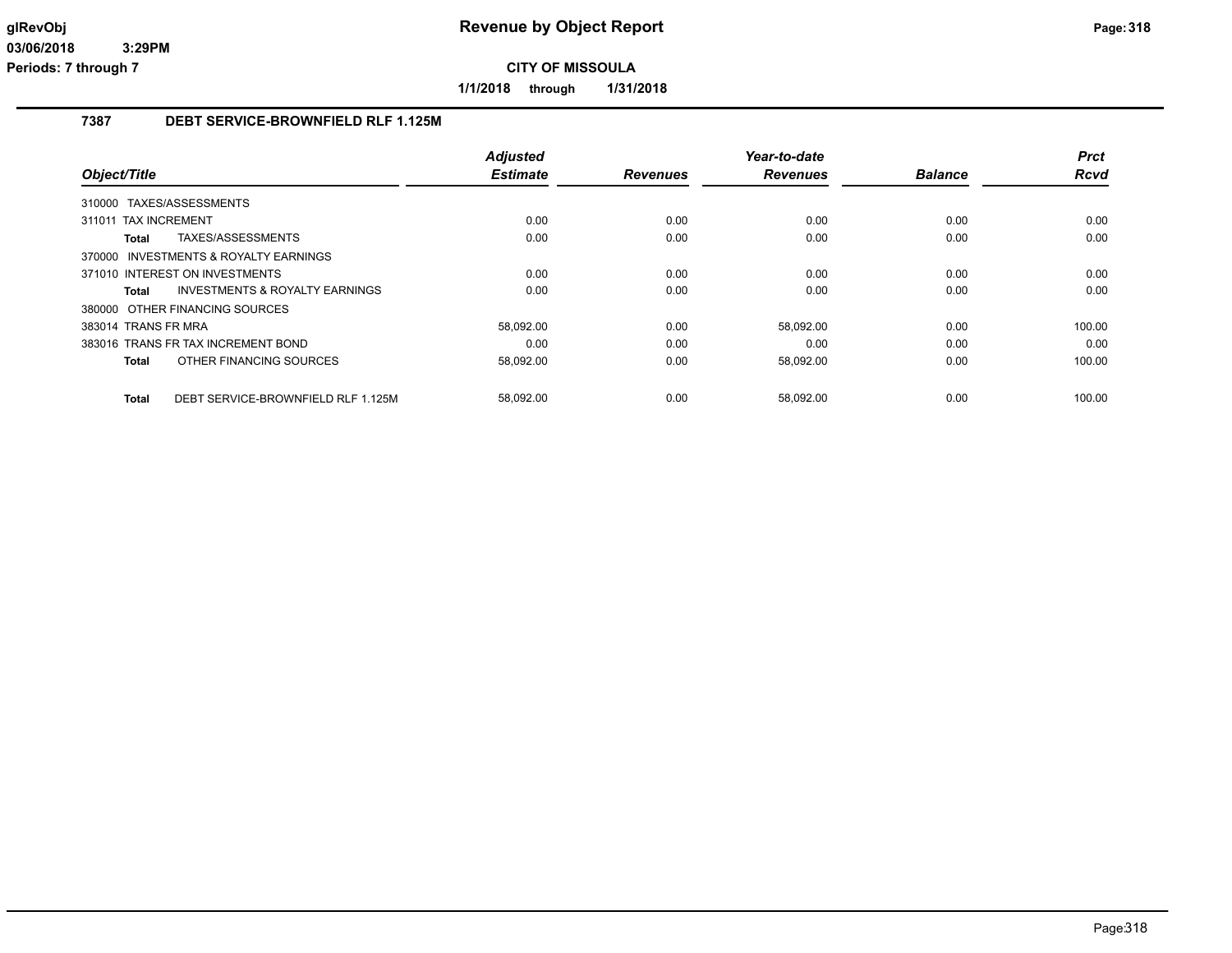**1/1/2018 through 1/31/2018**

## **7387 DEBT SERVICE-BROWNFIELD RLF 1.125M**

|                                                    | <b>Adjusted</b> |                 | Year-to-date    |                | <b>Prct</b> |
|----------------------------------------------------|-----------------|-----------------|-----------------|----------------|-------------|
| Object/Title                                       | <b>Estimate</b> | <b>Revenues</b> | <b>Revenues</b> | <b>Balance</b> | <b>Rcvd</b> |
| TAXES/ASSESSMENTS<br>310000                        |                 |                 |                 |                |             |
| 311011 TAX INCREMENT                               | 0.00            | 0.00            | 0.00            | 0.00           | 0.00        |
| TAXES/ASSESSMENTS<br><b>Total</b>                  | 0.00            | 0.00            | 0.00            | 0.00           | 0.00        |
| 370000 INVESTMENTS & ROYALTY EARNINGS              |                 |                 |                 |                |             |
| 371010 INTEREST ON INVESTMENTS                     | 0.00            | 0.00            | 0.00            | 0.00           | 0.00        |
| INVESTMENTS & ROYALTY EARNINGS<br>Total            | 0.00            | 0.00            | 0.00            | 0.00           | 0.00        |
| 380000 OTHER FINANCING SOURCES                     |                 |                 |                 |                |             |
| 383014 TRANS FR MRA                                | 58,092.00       | 0.00            | 58,092.00       | 0.00           | 100.00      |
| 383016 TRANS FR TAX INCREMENT BOND                 | 0.00            | 0.00            | 0.00            | 0.00           | 0.00        |
| OTHER FINANCING SOURCES<br><b>Total</b>            | 58,092.00       | 0.00            | 58,092.00       | 0.00           | 100.00      |
| DEBT SERVICE-BROWNFIELD RLF 1.125M<br><b>Total</b> | 58,092.00       | 0.00            | 58,092.00       | 0.00           | 100.00      |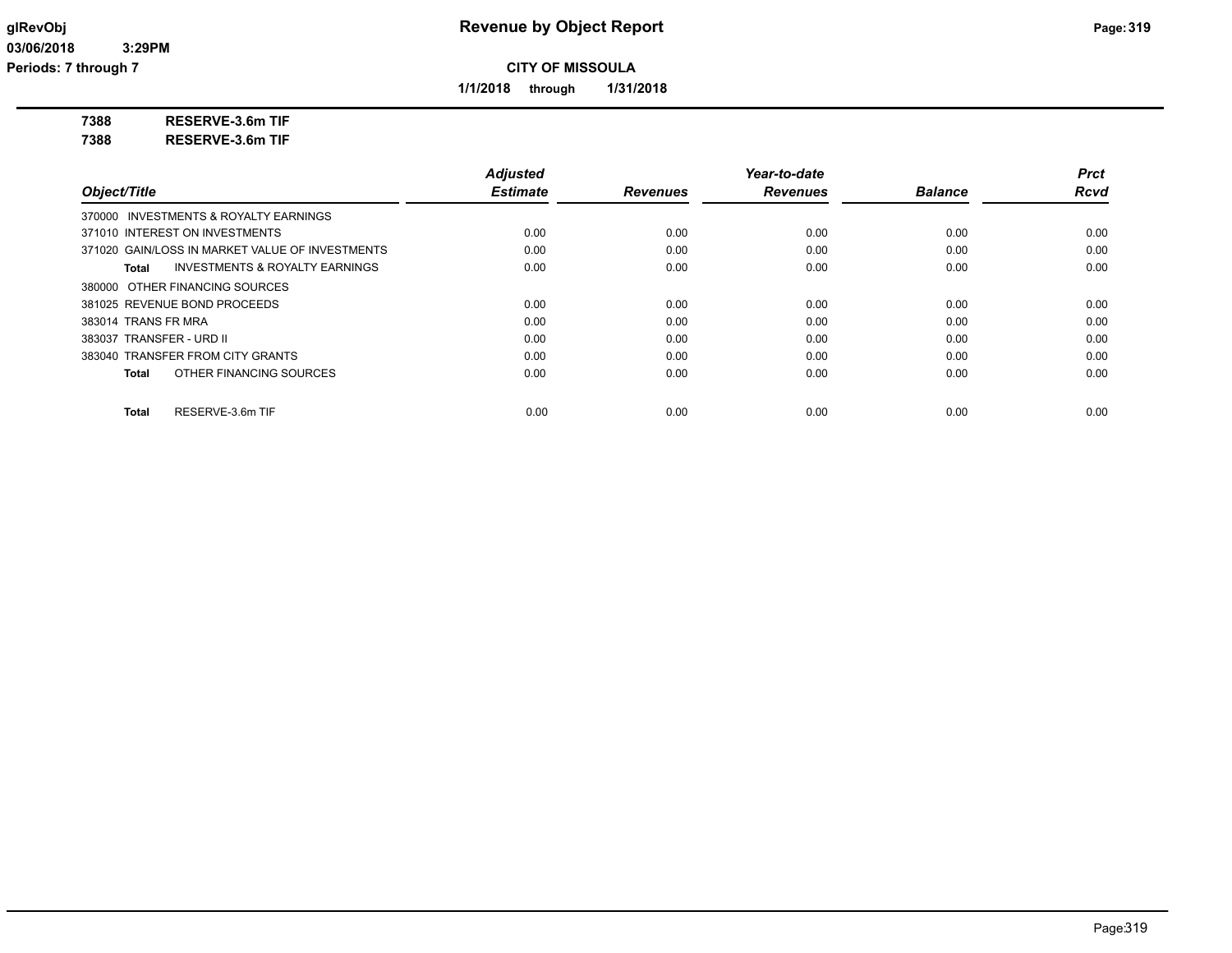**1/1/2018 through 1/31/2018**

**7388 RESERVE-3.6m TIF**

**7388 RESERVE-3.6m TIF**

|                                                    | <b>Adjusted</b> |                 | Year-to-date    |                | Prct        |
|----------------------------------------------------|-----------------|-----------------|-----------------|----------------|-------------|
| Object/Title                                       | <b>Estimate</b> | <b>Revenues</b> | <b>Revenues</b> | <b>Balance</b> | <b>Rcvd</b> |
| 370000 INVESTMENTS & ROYALTY EARNINGS              |                 |                 |                 |                |             |
| 371010 INTEREST ON INVESTMENTS                     | 0.00            | 0.00            | 0.00            | 0.00           | 0.00        |
| 371020 GAIN/LOSS IN MARKET VALUE OF INVESTMENTS    | 0.00            | 0.00            | 0.00            | 0.00           | 0.00        |
| <b>INVESTMENTS &amp; ROYALTY EARNINGS</b><br>Total | 0.00            | 0.00            | 0.00            | 0.00           | 0.00        |
| 380000 OTHER FINANCING SOURCES                     |                 |                 |                 |                |             |
| 381025 REVENUE BOND PROCEEDS                       | 0.00            | 0.00            | 0.00            | 0.00           | 0.00        |
| 383014 TRANS FR MRA                                | 0.00            | 0.00            | 0.00            | 0.00           | 0.00        |
| 383037 TRANSFER - URD II                           | 0.00            | 0.00            | 0.00            | 0.00           | 0.00        |
| 383040 TRANSFER FROM CITY GRANTS                   | 0.00            | 0.00            | 0.00            | 0.00           | 0.00        |
| OTHER FINANCING SOURCES<br>Total                   | 0.00            | 0.00            | 0.00            | 0.00           | 0.00        |
| RESERVE-3.6m TIF<br>Total                          | 0.00            | 0.00            | 0.00            | 0.00           | 0.00        |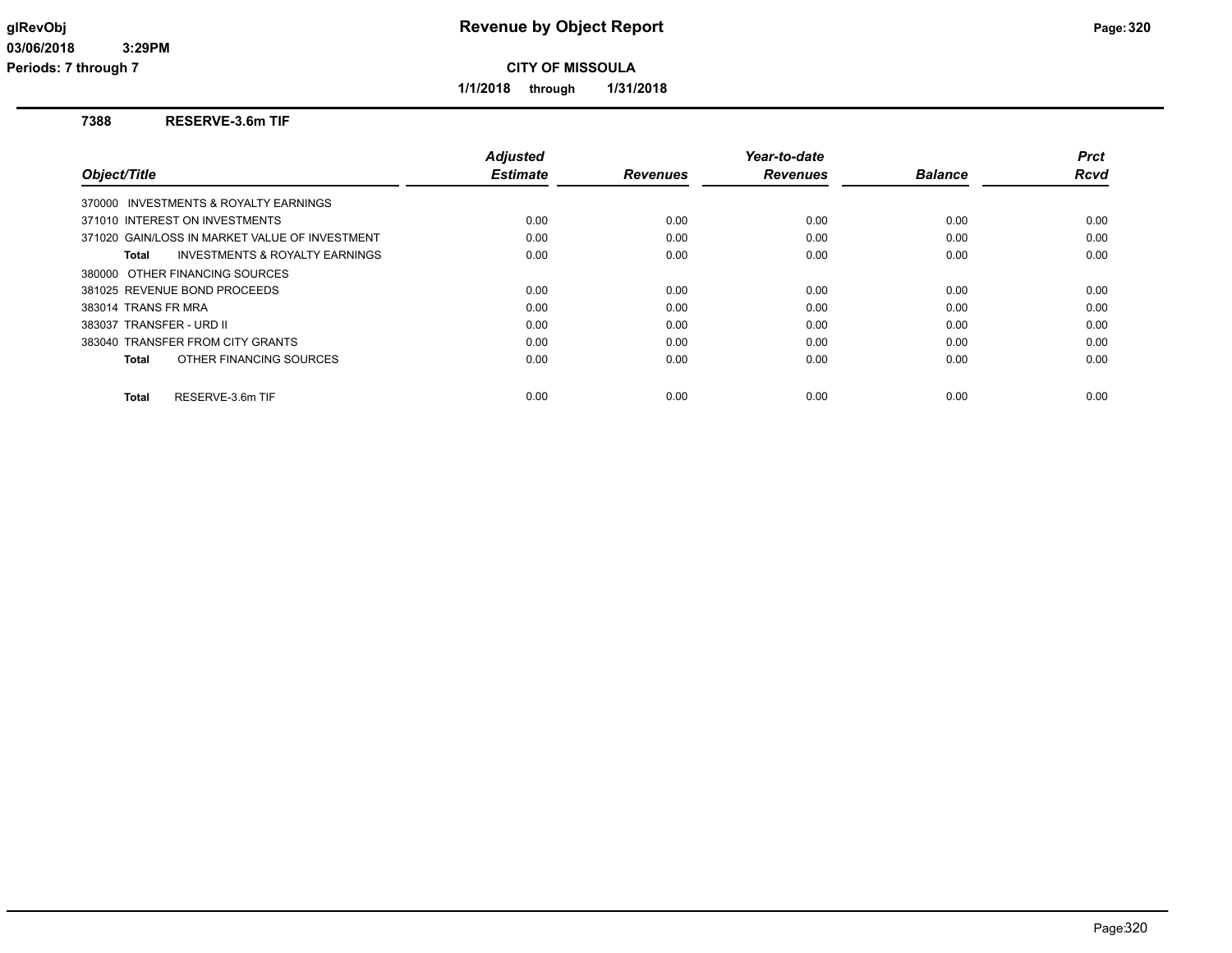**Periods: 7 through 7**

**CITY OF MISSOULA**

**1/1/2018 through 1/31/2018**

### **7388 RESERVE-3.6m TIF**

| Object/Title                                       | <b>Adjusted</b><br><b>Estimate</b> | <b>Revenues</b> | Year-to-date<br><b>Revenues</b> | <b>Balance</b> | Prct<br><b>Rcvd</b> |
|----------------------------------------------------|------------------------------------|-----------------|---------------------------------|----------------|---------------------|
| 370000 INVESTMENTS & ROYALTY EARNINGS              |                                    |                 |                                 |                |                     |
| 371010 INTEREST ON INVESTMENTS                     | 0.00                               | 0.00            | 0.00                            | 0.00           | 0.00                |
| 371020 GAIN/LOSS IN MARKET VALUE OF INVESTMENT     | 0.00                               | 0.00            | 0.00                            | 0.00           | 0.00                |
| <b>INVESTMENTS &amp; ROYALTY EARNINGS</b><br>Total | 0.00                               | 0.00            | 0.00                            | 0.00           | 0.00                |
| 380000 OTHER FINANCING SOURCES                     |                                    |                 |                                 |                |                     |
| 381025 REVENUE BOND PROCEEDS                       | 0.00                               | 0.00            | 0.00                            | 0.00           | 0.00                |
| 383014 TRANS FR MRA                                | 0.00                               | 0.00            | 0.00                            | 0.00           | 0.00                |
| 383037 TRANSFER - URD II                           | 0.00                               | 0.00            | 0.00                            | 0.00           | 0.00                |
| 383040 TRANSFER FROM CITY GRANTS                   | 0.00                               | 0.00            | 0.00                            | 0.00           | 0.00                |
| OTHER FINANCING SOURCES<br>Total                   | 0.00                               | 0.00            | 0.00                            | 0.00           | 0.00                |
| RESERVE-3.6m TIF<br><b>Total</b>                   | 0.00                               | 0.00            | 0.00                            | 0.00           | 0.00                |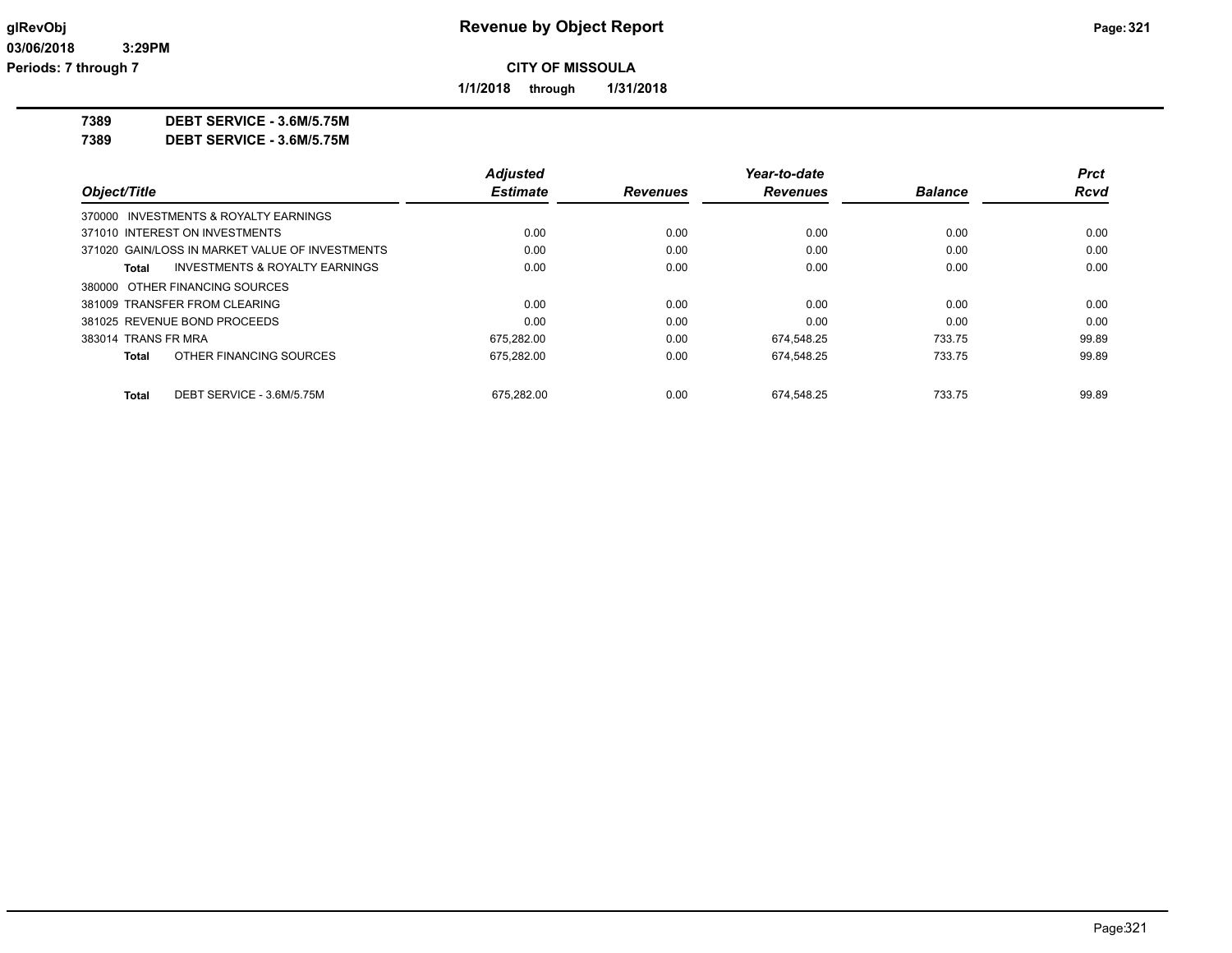**1/1/2018 through 1/31/2018**

**7389 DEBT SERVICE - 3.6M/5.75M**

**7389 DEBT SERVICE - 3.6M/5.75M**

|                     |                                                 | <b>Adiusted</b> |                 | Year-to-date    |                | <b>Prct</b> |
|---------------------|-------------------------------------------------|-----------------|-----------------|-----------------|----------------|-------------|
| Object/Title        |                                                 | <b>Estimate</b> | <b>Revenues</b> | <b>Revenues</b> | <b>Balance</b> | <b>Rcvd</b> |
|                     | 370000 INVESTMENTS & ROYALTY EARNINGS           |                 |                 |                 |                |             |
|                     | 371010 INTEREST ON INVESTMENTS                  | 0.00            | 0.00            | 0.00            | 0.00           | 0.00        |
|                     | 371020 GAIN/LOSS IN MARKET VALUE OF INVESTMENTS | 0.00            | 0.00            | 0.00            | 0.00           | 0.00        |
| Total               | INVESTMENTS & ROYALTY EARNINGS                  | 0.00            | 0.00            | 0.00            | 0.00           | 0.00        |
|                     | 380000 OTHER FINANCING SOURCES                  |                 |                 |                 |                |             |
|                     | 381009 TRANSFER FROM CLEARING                   | 0.00            | 0.00            | 0.00            | 0.00           | 0.00        |
|                     | 381025 REVENUE BOND PROCEEDS                    | 0.00            | 0.00            | 0.00            | 0.00           | 0.00        |
| 383014 TRANS FR MRA |                                                 | 675.282.00      | 0.00            | 674.548.25      | 733.75         | 99.89       |
| Total               | OTHER FINANCING SOURCES                         | 675.282.00      | 0.00            | 674.548.25      | 733.75         | 99.89       |
| Total               | DEBT SERVICE - 3.6M/5.75M                       | 675.282.00      | 0.00            | 674.548.25      | 733.75         | 99.89       |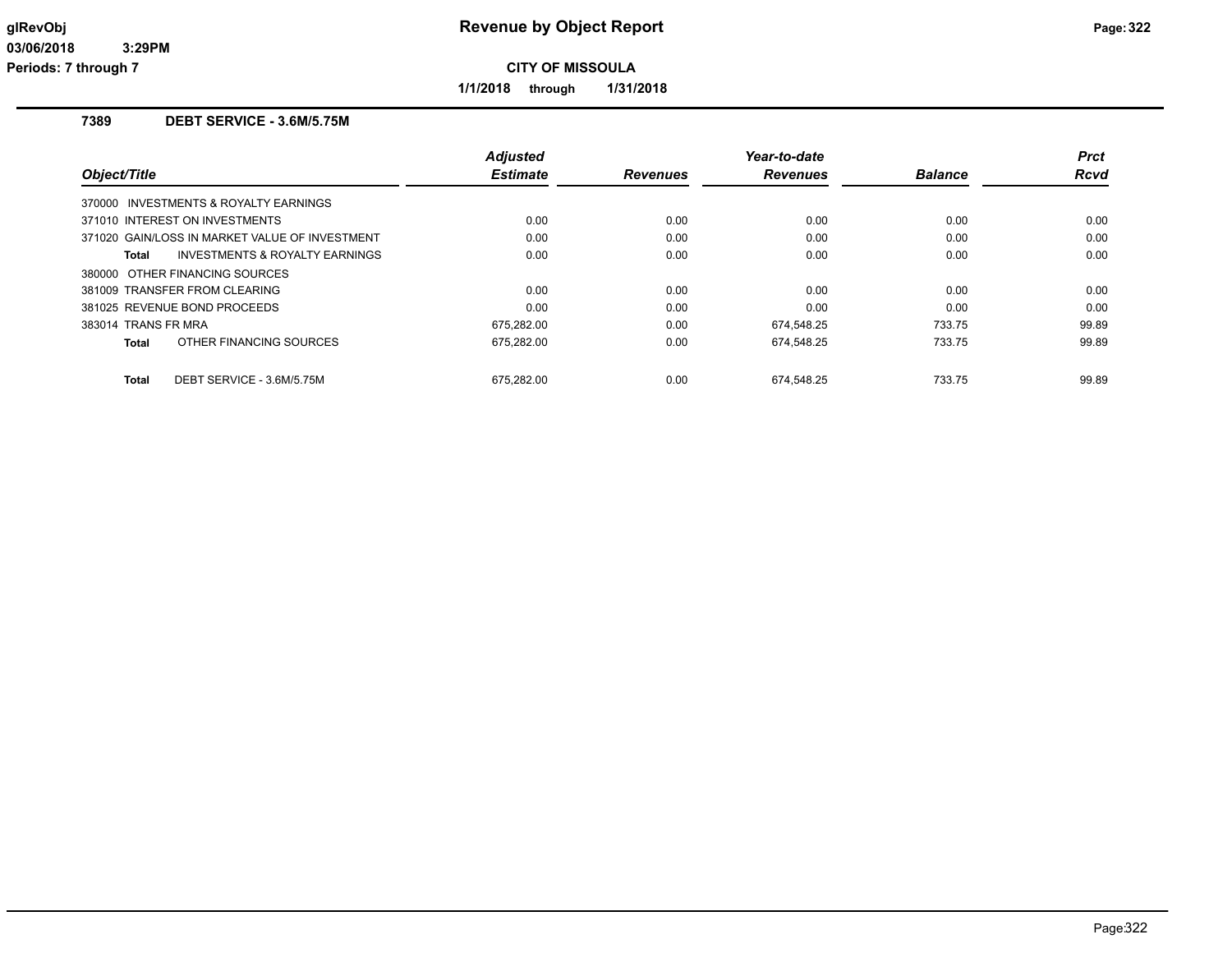**Periods: 7 through 7**

**CITY OF MISSOULA**

**1/1/2018 through 1/31/2018**

### **7389 DEBT SERVICE - 3.6M/5.75M**

| Object/Title                                       | <b>Adjusted</b><br><b>Estimate</b> | <b>Revenues</b> | Year-to-date<br><b>Revenues</b> | <b>Balance</b> | <b>Prct</b><br>Rcvd |
|----------------------------------------------------|------------------------------------|-----------------|---------------------------------|----------------|---------------------|
| 370000 INVESTMENTS & ROYALTY EARNINGS              |                                    |                 |                                 |                |                     |
| 371010 INTEREST ON INVESTMENTS                     | 0.00                               | 0.00            | 0.00                            | 0.00           | 0.00                |
| 371020 GAIN/LOSS IN MARKET VALUE OF INVESTMENT     | 0.00                               | 0.00            | 0.00                            | 0.00           | 0.00                |
| <b>INVESTMENTS &amp; ROYALTY EARNINGS</b><br>Total | 0.00                               | 0.00            | 0.00                            | 0.00           | 0.00                |
| 380000 OTHER FINANCING SOURCES                     |                                    |                 |                                 |                |                     |
| 381009 TRANSFER FROM CLEARING                      | 0.00                               | 0.00            | 0.00                            | 0.00           | 0.00                |
| 381025 REVENUE BOND PROCEEDS                       | 0.00                               | 0.00            | 0.00                            | 0.00           | 0.00                |
| 383014 TRANS FR MRA                                | 675,282.00                         | 0.00            | 674,548.25                      | 733.75         | 99.89               |
| OTHER FINANCING SOURCES<br>Total                   | 675,282.00                         | 0.00            | 674,548.25                      | 733.75         | 99.89               |
| DEBT SERVICE - 3.6M/5.75M<br>Total                 | 675.282.00                         | 0.00            | 674.548.25                      | 733.75         | 99.89               |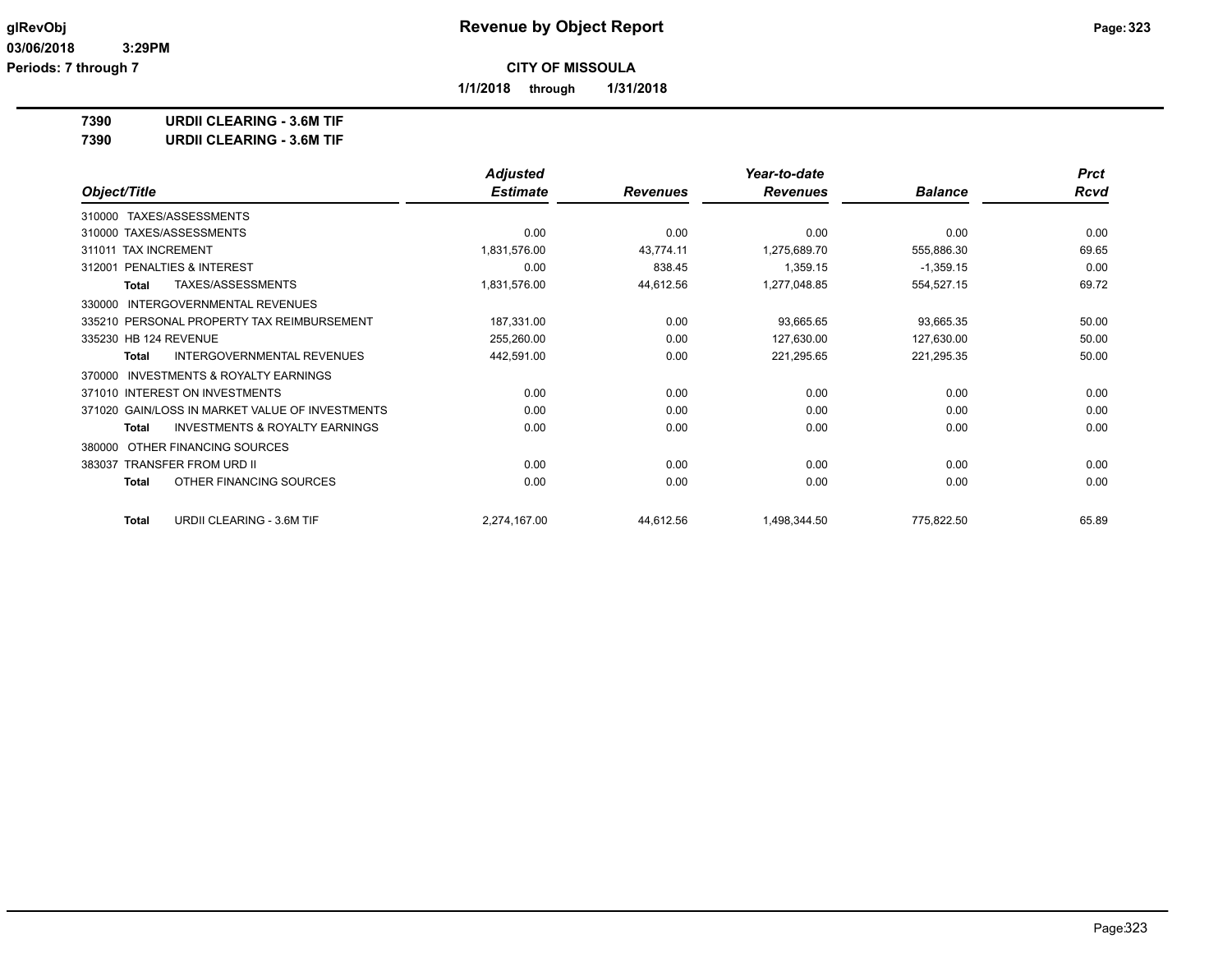**1/1/2018 through 1/31/2018**

**7390 URDII CLEARING - 3.6M TIF**

**7390 URDII CLEARING - 3.6M TIF**

|                                                           | <b>Adjusted</b> |                 | Year-to-date    |                | <b>Prct</b> |
|-----------------------------------------------------------|-----------------|-----------------|-----------------|----------------|-------------|
| Object/Title                                              | <b>Estimate</b> | <b>Revenues</b> | <b>Revenues</b> | <b>Balance</b> | <b>Rcvd</b> |
| TAXES/ASSESSMENTS<br>310000                               |                 |                 |                 |                |             |
| 310000 TAXES/ASSESSMENTS                                  | 0.00            | 0.00            | 0.00            | 0.00           | 0.00        |
| 311011 TAX INCREMENT                                      | 1,831,576.00    | 43,774.11       | 1,275,689.70    | 555,886.30     | 69.65       |
| PENALTIES & INTEREST<br>312001                            | 0.00            | 838.45          | 1,359.15        | $-1,359.15$    | 0.00        |
| TAXES/ASSESSMENTS<br><b>Total</b>                         | 1,831,576.00    | 44,612.56       | 1,277,048.85    | 554,527.15     | 69.72       |
| <b>INTERGOVERNMENTAL REVENUES</b><br>330000               |                 |                 |                 |                |             |
| 335210 PERSONAL PROPERTY TAX REIMBURSEMENT                | 187,331.00      | 0.00            | 93,665.65       | 93,665.35      | 50.00       |
| 335230 HB 124 REVENUE                                     | 255,260.00      | 0.00            | 127,630.00      | 127,630.00     | 50.00       |
| INTERGOVERNMENTAL REVENUES<br>Total                       | 442,591.00      | 0.00            | 221,295.65      | 221,295.35     | 50.00       |
| <b>INVESTMENTS &amp; ROYALTY EARNINGS</b><br>370000       |                 |                 |                 |                |             |
| 371010 INTEREST ON INVESTMENTS                            | 0.00            | 0.00            | 0.00            | 0.00           | 0.00        |
| 371020 GAIN/LOSS IN MARKET VALUE OF INVESTMENTS           | 0.00            | 0.00            | 0.00            | 0.00           | 0.00        |
| <b>INVESTMENTS &amp; ROYALTY EARNINGS</b><br><b>Total</b> | 0.00            | 0.00            | 0.00            | 0.00           | 0.00        |
| OTHER FINANCING SOURCES<br>380000                         |                 |                 |                 |                |             |
| 383037 TRANSFER FROM URD II                               | 0.00            | 0.00            | 0.00            | 0.00           | 0.00        |
| OTHER FINANCING SOURCES<br><b>Total</b>                   | 0.00            | 0.00            | 0.00            | 0.00           | 0.00        |
| URDII CLEARING - 3.6M TIF<br>Total                        | 2,274,167.00    | 44,612.56       | 1,498,344.50    | 775,822.50     | 65.89       |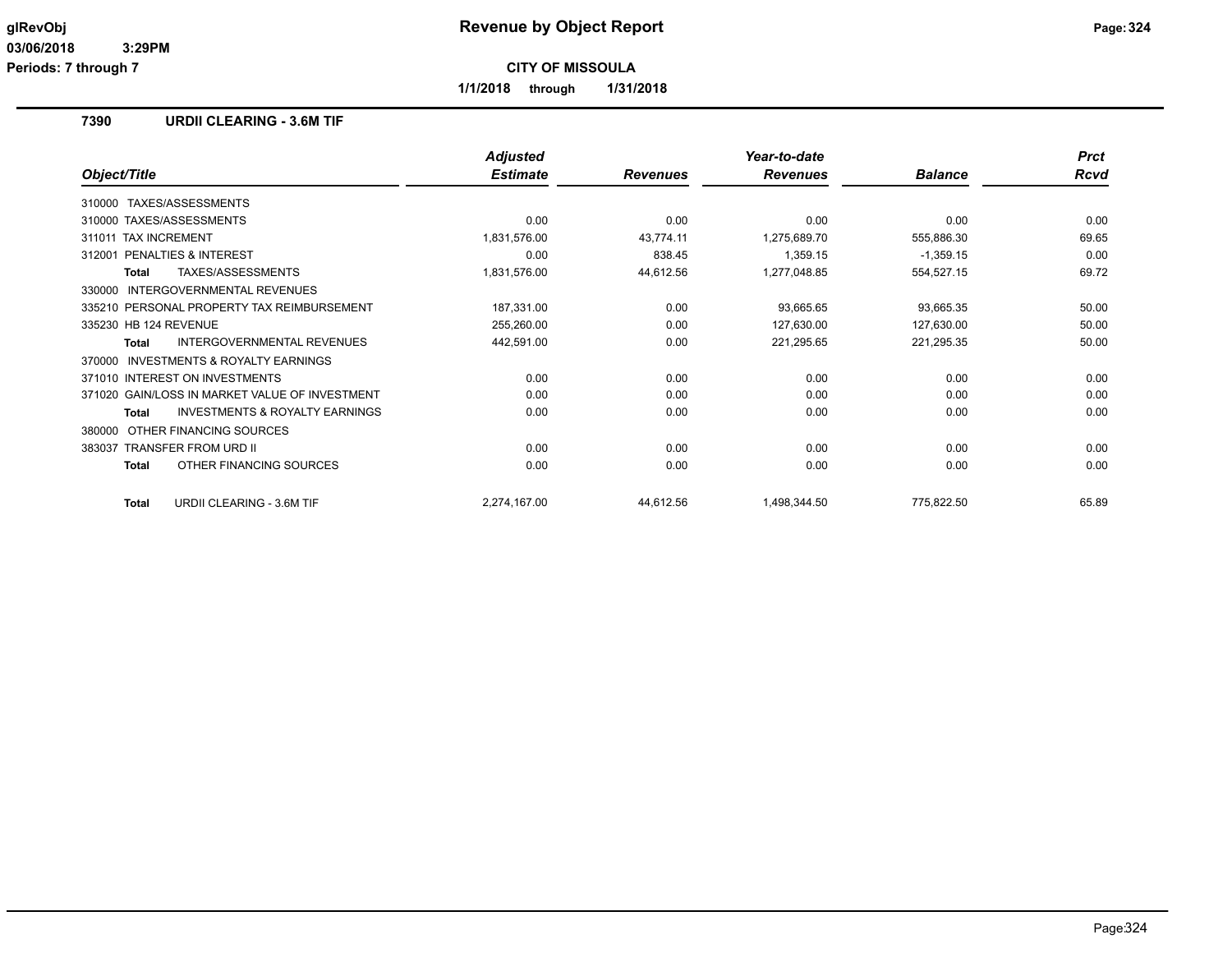**Periods: 7 through 7**

**CITY OF MISSOULA**

**1/1/2018 through 1/31/2018**

## **7390 URDII CLEARING - 3.6M TIF**

|                                                           | <b>Adjusted</b> |                 | Year-to-date    |                | <b>Prct</b> |
|-----------------------------------------------------------|-----------------|-----------------|-----------------|----------------|-------------|
| Object/Title                                              | <b>Estimate</b> | <b>Revenues</b> | <b>Revenues</b> | <b>Balance</b> | Rcvd        |
| TAXES/ASSESSMENTS<br>310000                               |                 |                 |                 |                |             |
| 310000 TAXES/ASSESSMENTS                                  | 0.00            | 0.00            | 0.00            | 0.00           | 0.00        |
| <b>TAX INCREMENT</b><br>311011                            | 1,831,576.00    | 43,774.11       | 1,275,689.70    | 555,886.30     | 69.65       |
| <b>PENALTIES &amp; INTEREST</b><br>312001                 | 0.00            | 838.45          | 1,359.15        | $-1,359.15$    | 0.00        |
| TAXES/ASSESSMENTS<br><b>Total</b>                         | 1,831,576.00    | 44,612.56       | 1,277,048.85    | 554,527.15     | 69.72       |
| INTERGOVERNMENTAL REVENUES<br>330000                      |                 |                 |                 |                |             |
| 335210 PERSONAL PROPERTY TAX REIMBURSEMENT                | 187,331.00      | 0.00            | 93,665.65       | 93,665.35      | 50.00       |
| 335230 HB 124 REVENUE                                     | 255,260.00      | 0.00            | 127,630.00      | 127,630.00     | 50.00       |
| <b>INTERGOVERNMENTAL REVENUES</b><br><b>Total</b>         | 442,591.00      | 0.00            | 221,295.65      | 221,295.35     | 50.00       |
| INVESTMENTS & ROYALTY EARNINGS<br>370000                  |                 |                 |                 |                |             |
| 371010 INTEREST ON INVESTMENTS                            | 0.00            | 0.00            | 0.00            | 0.00           | 0.00        |
| 371020 GAIN/LOSS IN MARKET VALUE OF INVESTMENT            | 0.00            | 0.00            | 0.00            | 0.00           | 0.00        |
| <b>INVESTMENTS &amp; ROYALTY EARNINGS</b><br><b>Total</b> | 0.00            | 0.00            | 0.00            | 0.00           | 0.00        |
| OTHER FINANCING SOURCES<br>380000                         |                 |                 |                 |                |             |
| <b>TRANSFER FROM URD II</b><br>383037                     | 0.00            | 0.00            | 0.00            | 0.00           | 0.00        |
| OTHER FINANCING SOURCES<br><b>Total</b>                   | 0.00            | 0.00            | 0.00            | 0.00           | 0.00        |
| URDII CLEARING - 3.6M TIF<br><b>Total</b>                 | 2,274,167.00    | 44,612.56       | 1,498,344.50    | 775,822.50     | 65.89       |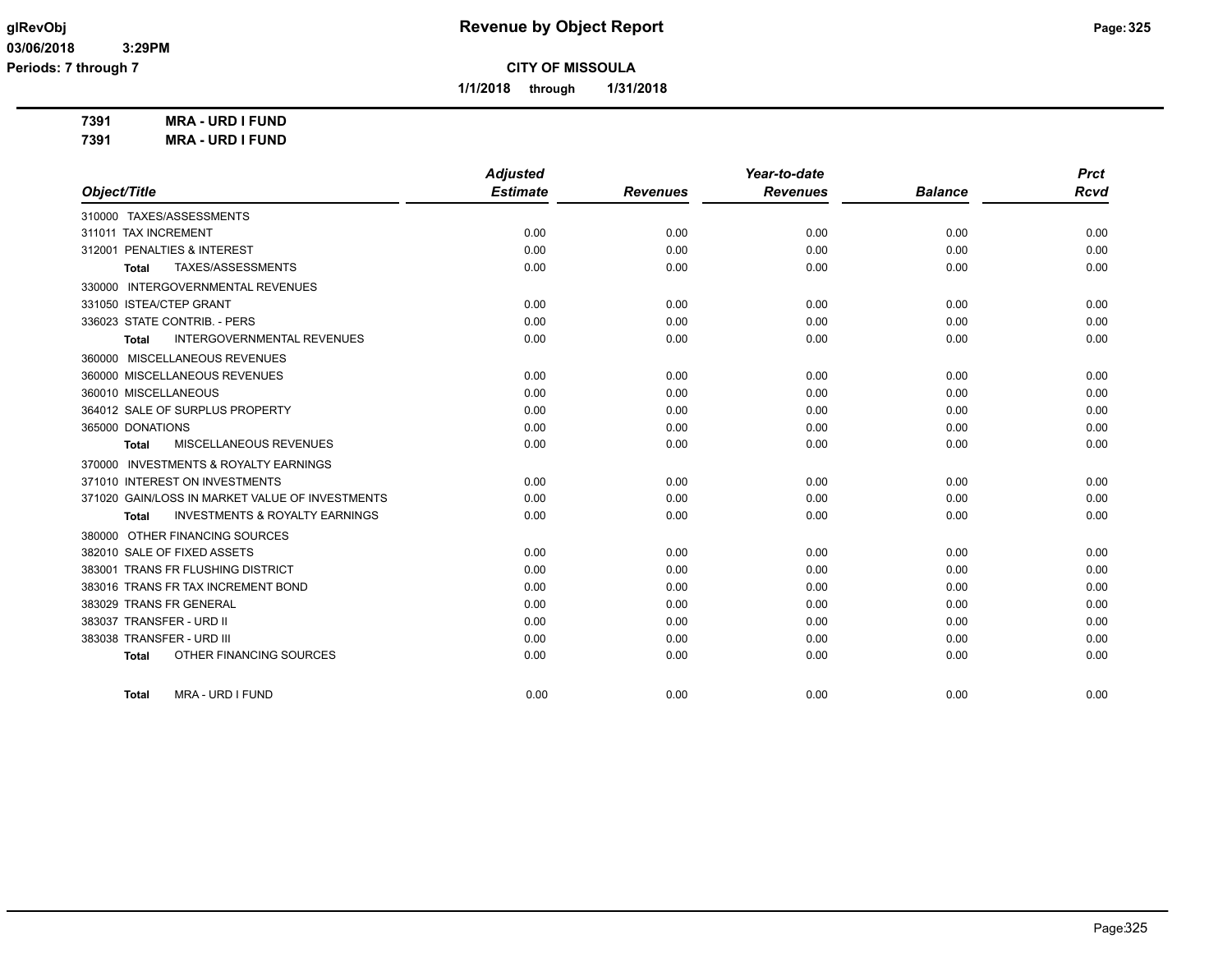**1/1/2018 through 1/31/2018**

**7391 MRA - URD I FUND**

**7391 MRA - URD I FUND**

|                                                    | <b>Adjusted</b> |                 | Year-to-date    |                | <b>Prct</b> |
|----------------------------------------------------|-----------------|-----------------|-----------------|----------------|-------------|
| Object/Title                                       | <b>Estimate</b> | <b>Revenues</b> | <b>Revenues</b> | <b>Balance</b> | <b>Rcvd</b> |
| 310000 TAXES/ASSESSMENTS                           |                 |                 |                 |                |             |
| 311011 TAX INCREMENT                               | 0.00            | 0.00            | 0.00            | 0.00           | 0.00        |
| 312001 PENALTIES & INTEREST                        | 0.00            | 0.00            | 0.00            | 0.00           | 0.00        |
| TAXES/ASSESSMENTS<br>Total                         | 0.00            | 0.00            | 0.00            | 0.00           | 0.00        |
| 330000 INTERGOVERNMENTAL REVENUES                  |                 |                 |                 |                |             |
| 331050 ISTEA/CTEP GRANT                            | 0.00            | 0.00            | 0.00            | 0.00           | 0.00        |
| 336023 STATE CONTRIB. - PERS                       | 0.00            | 0.00            | 0.00            | 0.00           | 0.00        |
| <b>INTERGOVERNMENTAL REVENUES</b><br>Total         | 0.00            | 0.00            | 0.00            | 0.00           | 0.00        |
| 360000 MISCELLANEOUS REVENUES                      |                 |                 |                 |                |             |
| 360000 MISCELLANEOUS REVENUES                      | 0.00            | 0.00            | 0.00            | 0.00           | 0.00        |
| 360010 MISCELLANEOUS                               | 0.00            | 0.00            | 0.00            | 0.00           | 0.00        |
| 364012 SALE OF SURPLUS PROPERTY                    | 0.00            | 0.00            | 0.00            | 0.00           | 0.00        |
| 365000 DONATIONS                                   | 0.00            | 0.00            | 0.00            | 0.00           | 0.00        |
| MISCELLANEOUS REVENUES<br>Total                    | 0.00            | 0.00            | 0.00            | 0.00           | 0.00        |
| 370000 INVESTMENTS & ROYALTY EARNINGS              |                 |                 |                 |                |             |
| 371010 INTEREST ON INVESTMENTS                     | 0.00            | 0.00            | 0.00            | 0.00           | 0.00        |
| 371020 GAIN/LOSS IN MARKET VALUE OF INVESTMENTS    | 0.00            | 0.00            | 0.00            | 0.00           | 0.00        |
| <b>INVESTMENTS &amp; ROYALTY EARNINGS</b><br>Total | 0.00            | 0.00            | 0.00            | 0.00           | 0.00        |
| 380000 OTHER FINANCING SOURCES                     |                 |                 |                 |                |             |
| 382010 SALE OF FIXED ASSETS                        | 0.00            | 0.00            | 0.00            | 0.00           | 0.00        |
| 383001 TRANS FR FLUSHING DISTRICT                  | 0.00            | 0.00            | 0.00            | 0.00           | 0.00        |
| 383016 TRANS FR TAX INCREMENT BOND                 | 0.00            | 0.00            | 0.00            | 0.00           | 0.00        |
| 383029 TRANS FR GENERAL                            | 0.00            | 0.00            | 0.00            | 0.00           | 0.00        |
| 383037 TRANSFER - URD II                           | 0.00            | 0.00            | 0.00            | 0.00           | 0.00        |
| 383038 TRANSFER - URD III                          | 0.00            | 0.00            | 0.00            | 0.00           | 0.00        |
| OTHER FINANCING SOURCES<br><b>Total</b>            | 0.00            | 0.00            | 0.00            | 0.00           | 0.00        |
| MRA - URD I FUND<br>Total                          | 0.00            | 0.00            | 0.00            | 0.00           | 0.00        |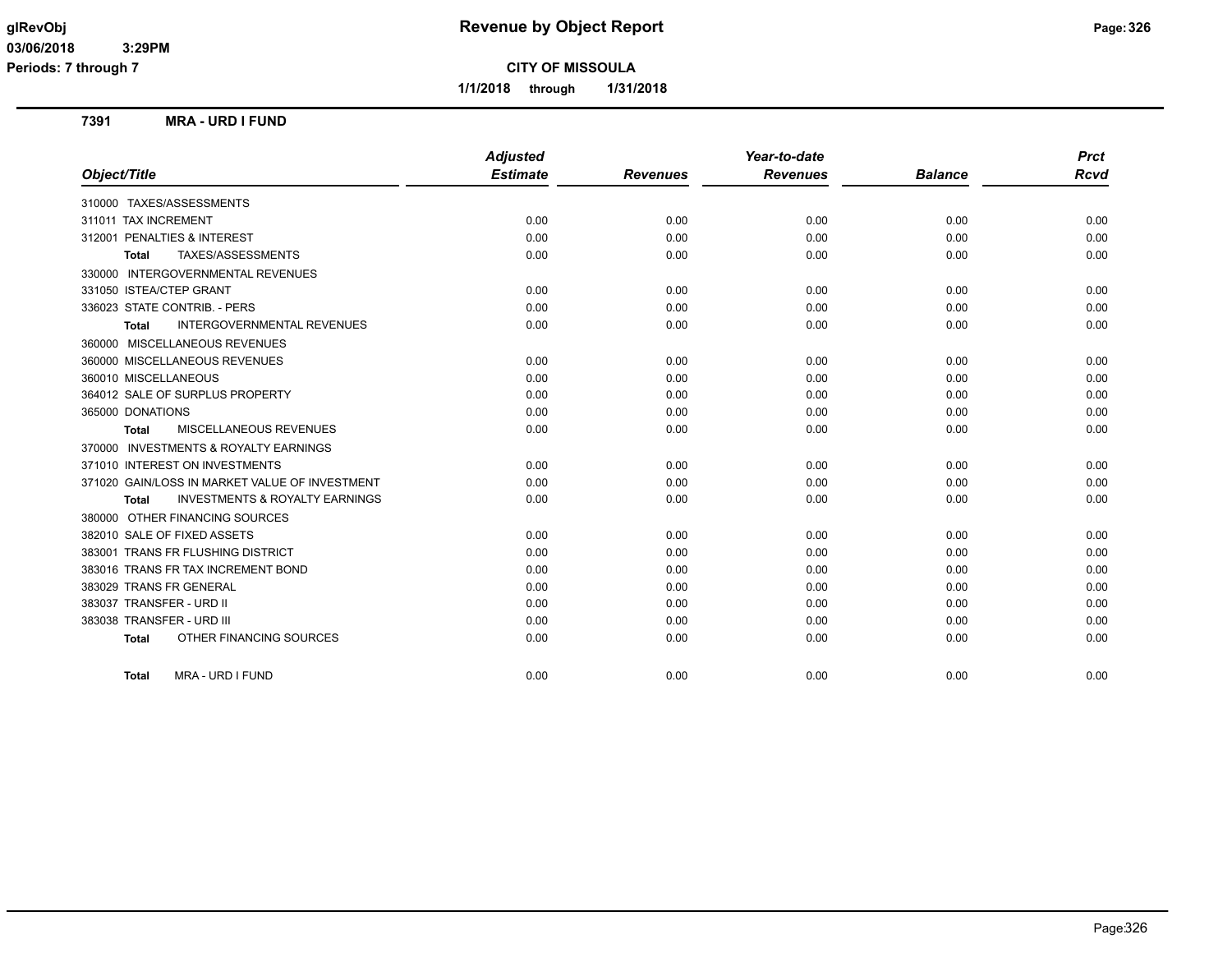**Periods: 7 through 7**

**CITY OF MISSOULA**

**1/1/2018 through 1/31/2018**

# **7391 MRA - URD I FUND**

|                                                    | <b>Adjusted</b> |                 | Year-to-date    |                | <b>Prct</b> |
|----------------------------------------------------|-----------------|-----------------|-----------------|----------------|-------------|
| Object/Title                                       | <b>Estimate</b> | <b>Revenues</b> | <b>Revenues</b> | <b>Balance</b> | <b>Rcvd</b> |
| 310000 TAXES/ASSESSMENTS                           |                 |                 |                 |                |             |
| 311011 TAX INCREMENT                               | 0.00            | 0.00            | 0.00            | 0.00           | 0.00        |
| 312001 PENALTIES & INTEREST                        | 0.00            | 0.00            | 0.00            | 0.00           | 0.00        |
| TAXES/ASSESSMENTS<br>Total                         | 0.00            | 0.00            | 0.00            | 0.00           | 0.00        |
| 330000 INTERGOVERNMENTAL REVENUES                  |                 |                 |                 |                |             |
| 331050 ISTEA/CTEP GRANT                            | 0.00            | 0.00            | 0.00            | 0.00           | 0.00        |
| 336023 STATE CONTRIB. - PERS                       | 0.00            | 0.00            | 0.00            | 0.00           | 0.00        |
| <b>INTERGOVERNMENTAL REVENUES</b><br><b>Total</b>  | 0.00            | 0.00            | 0.00            | 0.00           | 0.00        |
| 360000 MISCELLANEOUS REVENUES                      |                 |                 |                 |                |             |
| 360000 MISCELLANEOUS REVENUES                      | 0.00            | 0.00            | 0.00            | 0.00           | 0.00        |
| 360010 MISCELLANEOUS                               | 0.00            | 0.00            | 0.00            | 0.00           | 0.00        |
| 364012 SALE OF SURPLUS PROPERTY                    | 0.00            | 0.00            | 0.00            | 0.00           | 0.00        |
| 365000 DONATIONS                                   | 0.00            | 0.00            | 0.00            | 0.00           | 0.00        |
| MISCELLANEOUS REVENUES<br>Total                    | 0.00            | 0.00            | 0.00            | 0.00           | 0.00        |
| 370000 INVESTMENTS & ROYALTY EARNINGS              |                 |                 |                 |                |             |
| 371010 INTEREST ON INVESTMENTS                     | 0.00            | 0.00            | 0.00            | 0.00           | 0.00        |
| 371020 GAIN/LOSS IN MARKET VALUE OF INVESTMENT     | 0.00            | 0.00            | 0.00            | 0.00           | 0.00        |
| <b>INVESTMENTS &amp; ROYALTY EARNINGS</b><br>Total | 0.00            | 0.00            | 0.00            | 0.00           | 0.00        |
| 380000 OTHER FINANCING SOURCES                     |                 |                 |                 |                |             |
| 382010 SALE OF FIXED ASSETS                        | 0.00            | 0.00            | 0.00            | 0.00           | 0.00        |
| 383001 TRANS FR FLUSHING DISTRICT                  | 0.00            | 0.00            | 0.00            | 0.00           | 0.00        |
| 383016 TRANS FR TAX INCREMENT BOND                 | 0.00            | 0.00            | 0.00            | 0.00           | 0.00        |
| 383029 TRANS FR GENERAL                            | 0.00            | 0.00            | 0.00            | 0.00           | 0.00        |
| 383037 TRANSFER - URD II                           | 0.00            | 0.00            | 0.00            | 0.00           | 0.00        |
| 383038 TRANSFER - URD III                          | 0.00            | 0.00            | 0.00            | 0.00           | 0.00        |
| OTHER FINANCING SOURCES<br><b>Total</b>            | 0.00            | 0.00            | 0.00            | 0.00           | 0.00        |
| <b>MRA - URD I FUND</b><br>Total                   | 0.00            | 0.00            | 0.00            | 0.00           | 0.00        |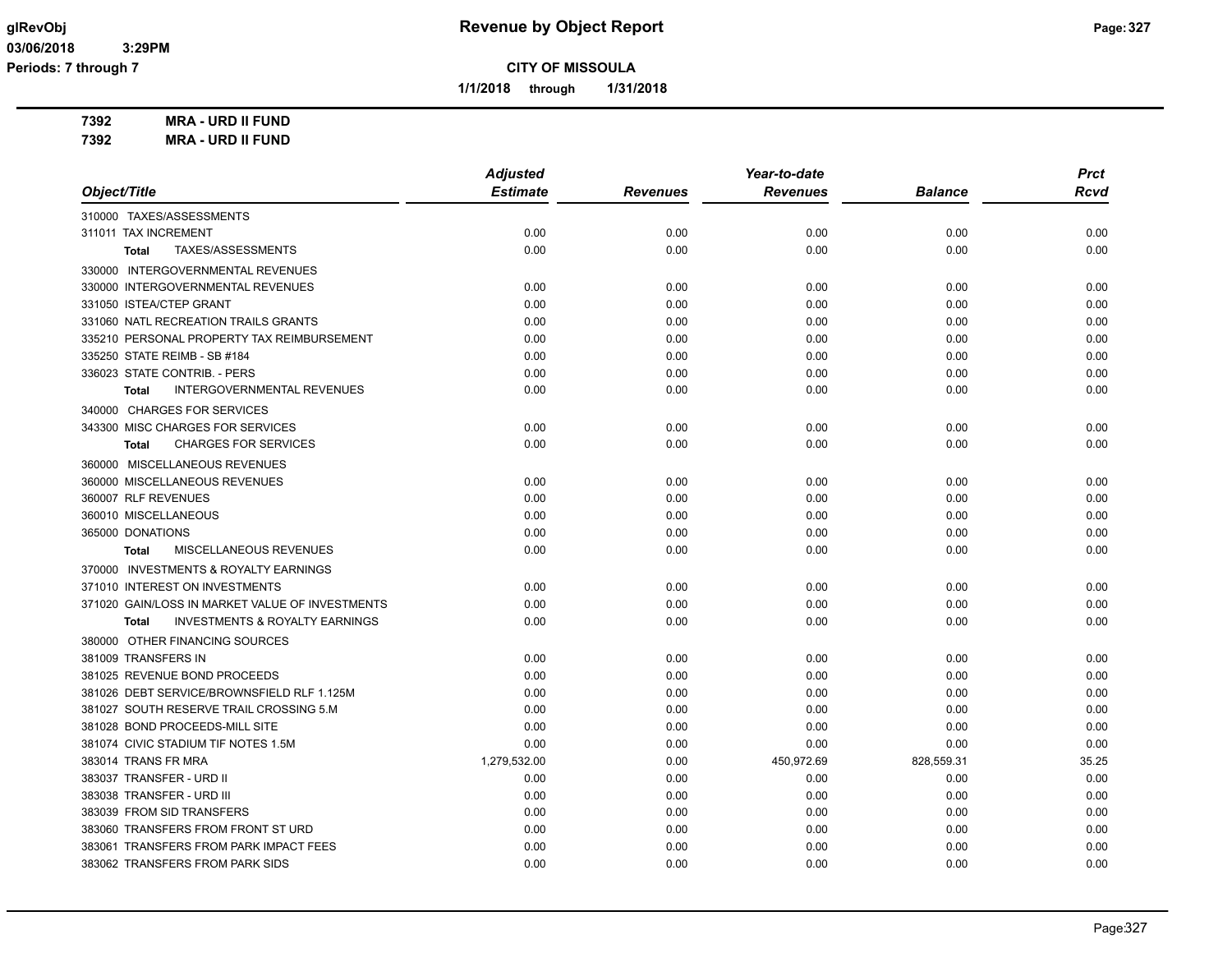**1/1/2018 through 1/31/2018**

**7392 MRA - URD II FUND**

**7392 MRA - URD II FUND**

|                                                           | <b>Adjusted</b> |                 | Year-to-date    |                | <b>Prct</b> |
|-----------------------------------------------------------|-----------------|-----------------|-----------------|----------------|-------------|
| Object/Title                                              | <b>Estimate</b> | <b>Revenues</b> | <b>Revenues</b> | <b>Balance</b> | <b>Rcvd</b> |
| 310000 TAXES/ASSESSMENTS                                  |                 |                 |                 |                |             |
| 311011 TAX INCREMENT                                      | 0.00            | 0.00            | 0.00            | 0.00           | 0.00        |
| TAXES/ASSESSMENTS<br><b>Total</b>                         | 0.00            | 0.00            | 0.00            | 0.00           | 0.00        |
| 330000 INTERGOVERNMENTAL REVENUES                         |                 |                 |                 |                |             |
| 330000 INTERGOVERNMENTAL REVENUES                         | 0.00            | 0.00            | 0.00            | 0.00           | 0.00        |
| 331050 ISTEA/CTEP GRANT                                   | 0.00            | 0.00            | 0.00            | 0.00           | 0.00        |
| 331060 NATL RECREATION TRAILS GRANTS                      | 0.00            | 0.00            | 0.00            | 0.00           | 0.00        |
| 335210 PERSONAL PROPERTY TAX REIMBURSEMENT                | 0.00            | 0.00            | 0.00            | 0.00           | 0.00        |
| 335250 STATE REIMB - SB #184                              | 0.00            | 0.00            | 0.00            | 0.00           | 0.00        |
| 336023 STATE CONTRIB. - PERS                              | 0.00            | 0.00            | 0.00            | 0.00           | 0.00        |
| <b>INTERGOVERNMENTAL REVENUES</b><br><b>Total</b>         | 0.00            | 0.00            | 0.00            | 0.00           | 0.00        |
| 340000 CHARGES FOR SERVICES                               |                 |                 |                 |                |             |
| 343300 MISC CHARGES FOR SERVICES                          | 0.00            | 0.00            | 0.00            | 0.00           | 0.00        |
| <b>CHARGES FOR SERVICES</b><br><b>Total</b>               | 0.00            | 0.00            | 0.00            | 0.00           | 0.00        |
| 360000 MISCELLANEOUS REVENUES                             |                 |                 |                 |                |             |
| 360000 MISCELLANEOUS REVENUES                             | 0.00            | 0.00            | 0.00            | 0.00           | 0.00        |
| 360007 RLF REVENUES                                       | 0.00            | 0.00            | 0.00            | 0.00           | 0.00        |
| 360010 MISCELLANEOUS                                      | 0.00            | 0.00            | 0.00            | 0.00           | 0.00        |
| 365000 DONATIONS                                          | 0.00            | 0.00            | 0.00            | 0.00           | 0.00        |
| MISCELLANEOUS REVENUES<br><b>Total</b>                    | 0.00            | 0.00            | 0.00            | 0.00           | 0.00        |
| 370000 INVESTMENTS & ROYALTY EARNINGS                     |                 |                 |                 |                |             |
| 371010 INTEREST ON INVESTMENTS                            | 0.00            | 0.00            | 0.00            | 0.00           | 0.00        |
| 371020 GAIN/LOSS IN MARKET VALUE OF INVESTMENTS           | 0.00            | 0.00            | 0.00            | 0.00           | 0.00        |
| <b>INVESTMENTS &amp; ROYALTY EARNINGS</b><br><b>Total</b> | 0.00            | 0.00            | 0.00            | 0.00           | 0.00        |
| 380000 OTHER FINANCING SOURCES                            |                 |                 |                 |                |             |
| 381009 TRANSFERS IN                                       | 0.00            | 0.00            | 0.00            | 0.00           | 0.00        |
| 381025 REVENUE BOND PROCEEDS                              | 0.00            | 0.00            | 0.00            | 0.00           | 0.00        |
| 381026 DEBT SERVICE/BROWNSFIELD RLF 1.125M                | 0.00            | 0.00            | 0.00            | 0.00           | 0.00        |
| 381027 SOUTH RESERVE TRAIL CROSSING 5.M                   | 0.00            | 0.00            | 0.00            | 0.00           | 0.00        |
| 381028 BOND PROCEEDS-MILL SITE                            | 0.00            | 0.00            | 0.00            | 0.00           | 0.00        |
| 381074 CIVIC STADIUM TIF NOTES 1.5M                       | 0.00            | 0.00            | 0.00            | 0.00           | 0.00        |
| 383014 TRANS FR MRA                                       | 1,279,532.00    | 0.00            | 450,972.69      | 828,559.31     | 35.25       |
| 383037 TRANSFER - URD II                                  | 0.00            | 0.00            | 0.00            | 0.00           | 0.00        |
| 383038 TRANSFER - URD III                                 | 0.00            | 0.00            | 0.00            | 0.00           | 0.00        |
| 383039 FROM SID TRANSFERS                                 | 0.00            | 0.00            | 0.00            | 0.00           | 0.00        |
| 383060 TRANSFERS FROM FRONT ST URD                        | 0.00            | 0.00            | 0.00            | 0.00           | 0.00        |
| 383061 TRANSFERS FROM PARK IMPACT FEES                    | 0.00            | 0.00            | 0.00            | 0.00           | 0.00        |
| 383062 TRANSFERS FROM PARK SIDS                           | 0.00            | 0.00            | 0.00            | 0.00           | 0.00        |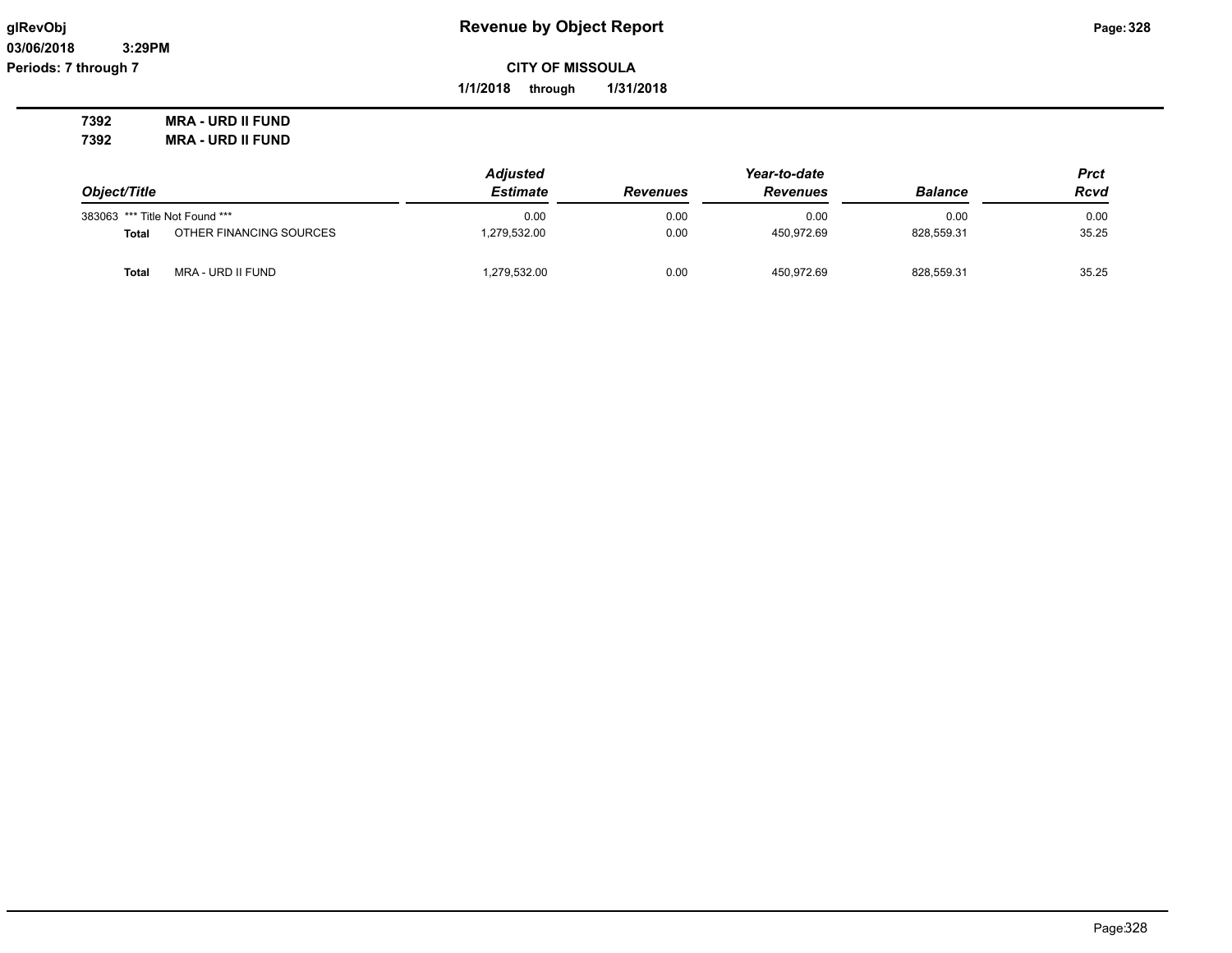**03/06/2018 3:29PM Periods: 7 through 7**

**CITY OF MISSOULA**

**1/1/2018 through 1/31/2018**

**7392 MRA - URD II FUND 7392 MRA - URD II FUND**

|                                |                         | <b>Adjusted</b> |                 | <b>Prct</b>     |                |             |
|--------------------------------|-------------------------|-----------------|-----------------|-----------------|----------------|-------------|
| Object/Title                   |                         | <b>Estimate</b> | <b>Revenues</b> | <b>Revenues</b> | <b>Balance</b> | <b>Rcvd</b> |
| 383063 *** Title Not Found *** |                         | 0.00            | 0.00            | 0.00            | 0.00           | 0.00        |
| <b>Total</b>                   | OTHER FINANCING SOURCES | 279,532.00      | 0.00            | 450.972.69      | 828,559.31     | 35.25       |
| Total                          | MRA - URD II FUND       | 1,279,532.00    | 0.00            | 450,972.69      | 828,559.31     | 35.25       |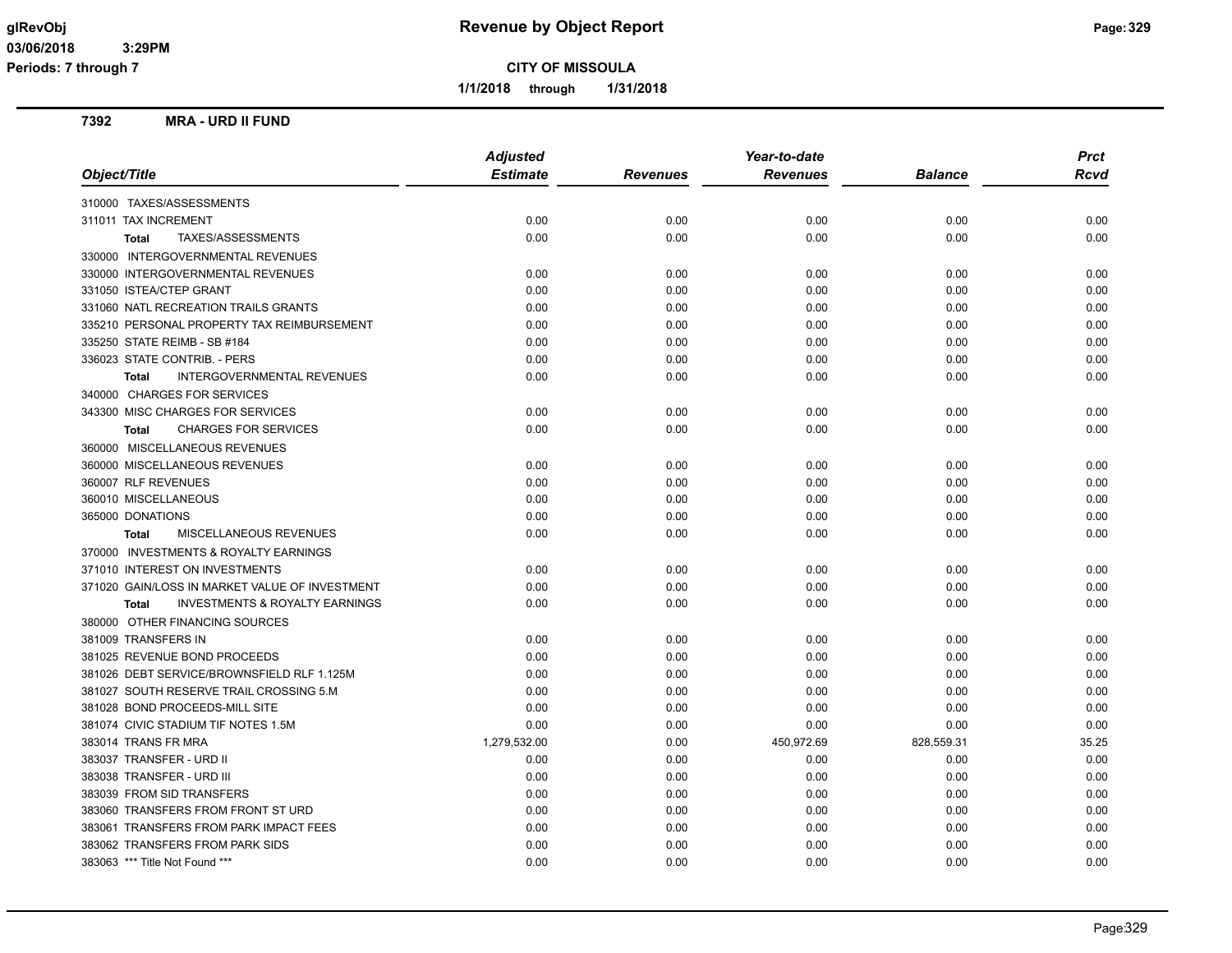**Periods: 7 through 7**

**CITY OF MISSOULA**

**1/1/2018 through 1/31/2018**

#### **7392 MRA - URD II FUND**

|                                                           | <b>Adjusted</b> |                 | Year-to-date    |                | <b>Prct</b> |
|-----------------------------------------------------------|-----------------|-----------------|-----------------|----------------|-------------|
| Object/Title                                              | <b>Estimate</b> | <b>Revenues</b> | <b>Revenues</b> | <b>Balance</b> | <b>Rcvd</b> |
| 310000 TAXES/ASSESSMENTS                                  |                 |                 |                 |                |             |
| 311011 TAX INCREMENT                                      | 0.00            | 0.00            | 0.00            | 0.00           | 0.00        |
| TAXES/ASSESSMENTS<br><b>Total</b>                         | 0.00            | 0.00            | 0.00            | 0.00           | 0.00        |
| 330000 INTERGOVERNMENTAL REVENUES                         |                 |                 |                 |                |             |
| 330000 INTERGOVERNMENTAL REVENUES                         | 0.00            | 0.00            | 0.00            | 0.00           | 0.00        |
| 331050 ISTEA/CTEP GRANT                                   | 0.00            | 0.00            | 0.00            | 0.00           | 0.00        |
| 331060 NATL RECREATION TRAILS GRANTS                      | 0.00            | 0.00            | 0.00            | 0.00           | 0.00        |
| 335210 PERSONAL PROPERTY TAX REIMBURSEMENT                | 0.00            | 0.00            | 0.00            | 0.00           | 0.00        |
| 335250 STATE REIMB - SB #184                              | 0.00            | 0.00            | 0.00            | 0.00           | 0.00        |
| 336023 STATE CONTRIB. - PERS                              | 0.00            | 0.00            | 0.00            | 0.00           | 0.00        |
| INTERGOVERNMENTAL REVENUES<br>Total                       | 0.00            | 0.00            | 0.00            | 0.00           | 0.00        |
| 340000 CHARGES FOR SERVICES                               |                 |                 |                 |                |             |
| 343300 MISC CHARGES FOR SERVICES                          | 0.00            | 0.00            | 0.00            | 0.00           | 0.00        |
| <b>CHARGES FOR SERVICES</b><br><b>Total</b>               | 0.00            | 0.00            | 0.00            | 0.00           | 0.00        |
| 360000 MISCELLANEOUS REVENUES                             |                 |                 |                 |                |             |
| 360000 MISCELLANEOUS REVENUES                             | 0.00            | 0.00            | 0.00            | 0.00           | 0.00        |
| 360007 RLF REVENUES                                       | 0.00            | 0.00            | 0.00            | 0.00           | 0.00        |
| 360010 MISCELLANEOUS                                      | 0.00            | 0.00            | 0.00            | 0.00           | 0.00        |
| 365000 DONATIONS                                          | 0.00            | 0.00            | 0.00            | 0.00           | 0.00        |
| MISCELLANEOUS REVENUES<br><b>Total</b>                    | 0.00            | 0.00            | 0.00            | 0.00           | 0.00        |
| 370000 INVESTMENTS & ROYALTY EARNINGS                     |                 |                 |                 |                |             |
| 371010 INTEREST ON INVESTMENTS                            | 0.00            | 0.00            | 0.00            | 0.00           | 0.00        |
| 371020 GAIN/LOSS IN MARKET VALUE OF INVESTMENT            | 0.00            | 0.00            | 0.00            | 0.00           | 0.00        |
| <b>INVESTMENTS &amp; ROYALTY EARNINGS</b><br><b>Total</b> | 0.00            | 0.00            | 0.00            | 0.00           | 0.00        |
| 380000 OTHER FINANCING SOURCES                            |                 |                 |                 |                |             |
| 381009 TRANSFERS IN                                       | 0.00            | 0.00            | 0.00            | 0.00           | 0.00        |
| 381025 REVENUE BOND PROCEEDS                              | 0.00            | 0.00            | 0.00            | 0.00           | 0.00        |
| 381026 DEBT SERVICE/BROWNSFIELD RLF 1.125M                | 0.00            | 0.00            | 0.00            | 0.00           | 0.00        |
| 381027 SOUTH RESERVE TRAIL CROSSING 5.M                   | 0.00            | 0.00            | 0.00            | 0.00           | 0.00        |
| 381028 BOND PROCEEDS-MILL SITE                            | 0.00            | 0.00            | 0.00            | 0.00           | 0.00        |
| 381074 CIVIC STADIUM TIF NOTES 1.5M                       | 0.00            | 0.00            | 0.00            | 0.00           | 0.00        |
| 383014 TRANS FR MRA                                       | 1,279,532.00    | 0.00            | 450,972.69      | 828,559.31     | 35.25       |
| 383037 TRANSFER - URD II                                  | 0.00            | 0.00            | 0.00            | 0.00           | 0.00        |
| 383038 TRANSFER - URD III                                 | 0.00            | 0.00            | 0.00            | 0.00           | 0.00        |
| 383039 FROM SID TRANSFERS                                 | 0.00            | 0.00            | 0.00            | 0.00           | 0.00        |
| 383060 TRANSFERS FROM FRONT ST URD                        | 0.00            | 0.00            | 0.00            | 0.00           | 0.00        |
| 383061 TRANSFERS FROM PARK IMPACT FEES                    | 0.00            | 0.00            | 0.00            | 0.00           | 0.00        |
| 383062 TRANSFERS FROM PARK SIDS                           | 0.00            | 0.00            | 0.00            | 0.00           | 0.00        |
| 383063 *** Title Not Found ***                            | 0.00            | 0.00            | 0.00            | 0.00           | 0.00        |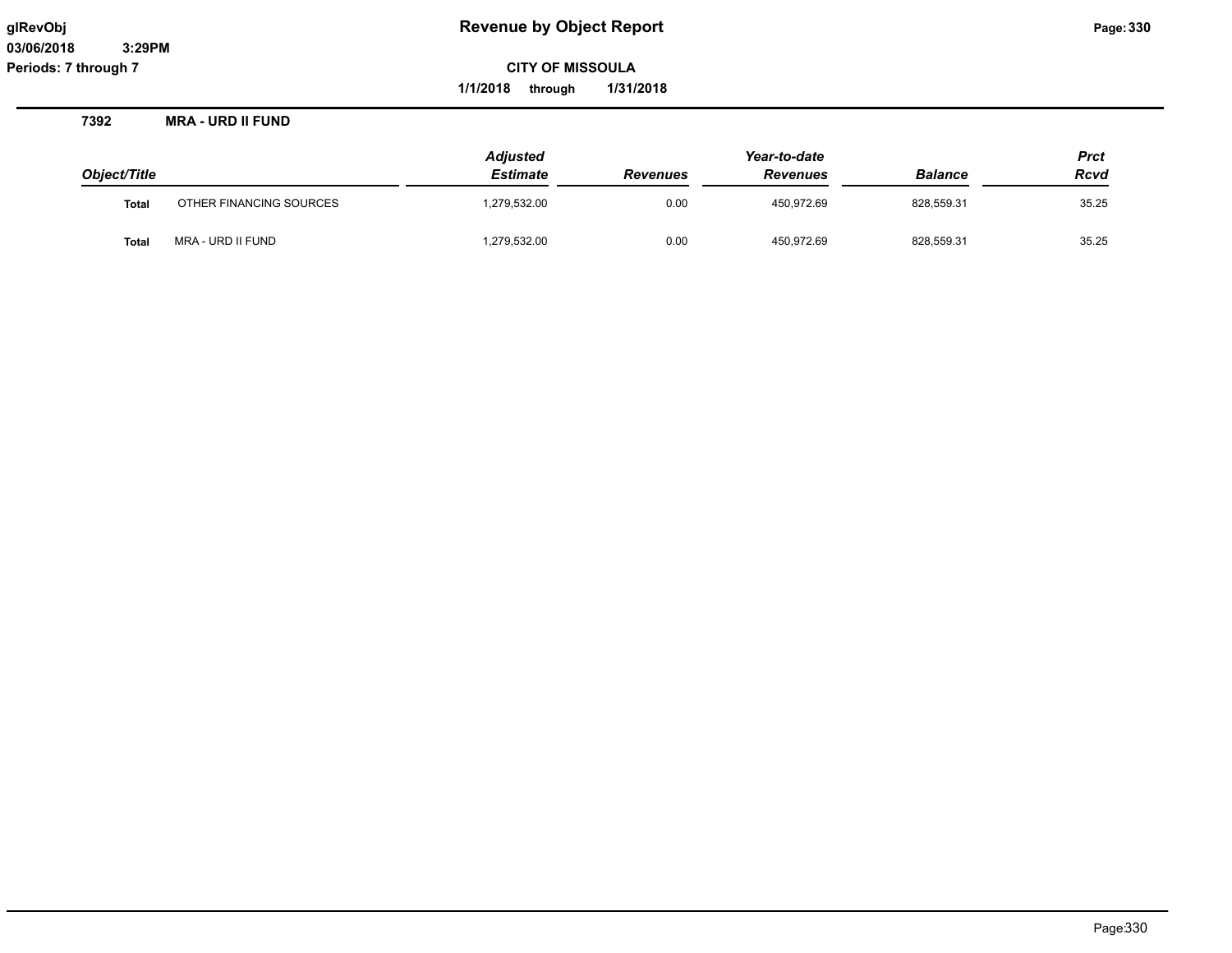**1/1/2018 through 1/31/2018**

**7392 MRA - URD II FUND**

| Object/Title |                         | <b>Adjusted</b><br><b>Estimate</b> | <b>Revenues</b> | Year-to-date<br><b>Revenues</b> | <b>Balance</b> | <b>Prct</b><br><b>Rcvd</b> |
|--------------|-------------------------|------------------------------------|-----------------|---------------------------------|----------------|----------------------------|
| <b>Total</b> | OTHER FINANCING SOURCES | 1,279,532.00                       | 0.00            | 450.972.69                      | 828.559.31     | 35.25                      |
| <b>Total</b> | MRA - URD II FUND       | 1,279,532.00                       | 0.00            | 450,972.69                      | 828,559.31     | 35.25                      |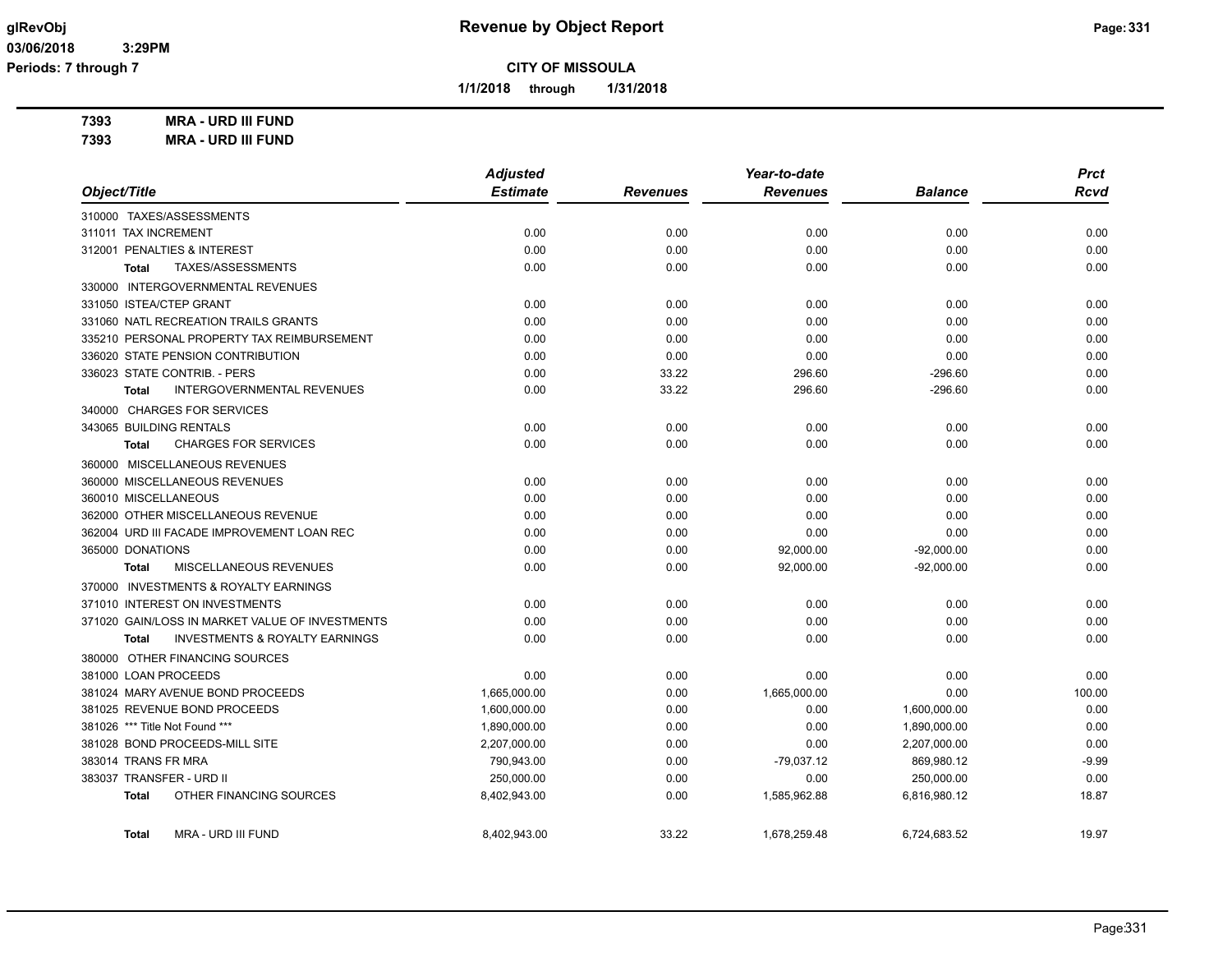**1/1/2018 through 1/31/2018**

**7393 MRA - URD III FUND 7393 MRA - URD III FUND**

|                                                           | <b>Adjusted</b> |                 | Year-to-date    |                | <b>Prct</b> |
|-----------------------------------------------------------|-----------------|-----------------|-----------------|----------------|-------------|
| Object/Title                                              | <b>Estimate</b> | <b>Revenues</b> | <b>Revenues</b> | <b>Balance</b> | <b>Rcvd</b> |
| 310000 TAXES/ASSESSMENTS                                  |                 |                 |                 |                |             |
| 311011 TAX INCREMENT                                      | 0.00            | 0.00            | 0.00            | 0.00           | 0.00        |
| 312001 PENALTIES & INTEREST                               | 0.00            | 0.00            | 0.00            | 0.00           | 0.00        |
| TAXES/ASSESSMENTS<br>Total                                | 0.00            | 0.00            | 0.00            | 0.00           | 0.00        |
| 330000 INTERGOVERNMENTAL REVENUES                         |                 |                 |                 |                |             |
| 331050 ISTEA/CTEP GRANT                                   | 0.00            | 0.00            | 0.00            | 0.00           | 0.00        |
| 331060 NATL RECREATION TRAILS GRANTS                      | 0.00            | 0.00            | 0.00            | 0.00           | 0.00        |
| 335210 PERSONAL PROPERTY TAX REIMBURSEMENT                | 0.00            | 0.00            | 0.00            | 0.00           | 0.00        |
| 336020 STATE PENSION CONTRIBUTION                         | 0.00            | 0.00            | 0.00            | 0.00           | 0.00        |
| 336023 STATE CONTRIB. - PERS                              | 0.00            | 33.22           | 296.60          | $-296.60$      | 0.00        |
| <b>INTERGOVERNMENTAL REVENUES</b><br><b>Total</b>         | 0.00            | 33.22           | 296.60          | $-296.60$      | 0.00        |
| 340000 CHARGES FOR SERVICES                               |                 |                 |                 |                |             |
| 343065 BUILDING RENTALS                                   | 0.00            | 0.00            | 0.00            | 0.00           | 0.00        |
| <b>CHARGES FOR SERVICES</b><br>Total                      | 0.00            | 0.00            | 0.00            | 0.00           | 0.00        |
| 360000 MISCELLANEOUS REVENUES                             |                 |                 |                 |                |             |
| 360000 MISCELLANEOUS REVENUES                             | 0.00            | 0.00            | 0.00            | 0.00           | 0.00        |
| 360010 MISCELLANEOUS                                      | 0.00            | 0.00            | 0.00            | 0.00           | 0.00        |
| 362000 OTHER MISCELLANEOUS REVENUE                        | 0.00            | 0.00            | 0.00            | 0.00           | 0.00        |
| 362004 URD III FACADE IMPROVEMENT LOAN REC                | 0.00            | 0.00            | 0.00            | 0.00           | 0.00        |
| 365000 DONATIONS                                          | 0.00            | 0.00            | 92,000.00       | $-92,000.00$   | 0.00        |
| MISCELLANEOUS REVENUES<br><b>Total</b>                    | 0.00            | 0.00            | 92,000.00       | $-92,000.00$   | 0.00        |
| 370000 INVESTMENTS & ROYALTY EARNINGS                     |                 |                 |                 |                |             |
| 371010 INTEREST ON INVESTMENTS                            | 0.00            | 0.00            | 0.00            | 0.00           | 0.00        |
| 371020 GAIN/LOSS IN MARKET VALUE OF INVESTMENTS           | 0.00            | 0.00            | 0.00            | 0.00           | 0.00        |
| <b>INVESTMENTS &amp; ROYALTY EARNINGS</b><br><b>Total</b> | 0.00            | 0.00            | 0.00            | 0.00           | 0.00        |
| 380000 OTHER FINANCING SOURCES                            |                 |                 |                 |                |             |
| 381000 LOAN PROCEEDS                                      | 0.00            | 0.00            | 0.00            | 0.00           | 0.00        |
| 381024 MARY AVENUE BOND PROCEEDS                          | 1,665,000.00    | 0.00            | 1,665,000.00    | 0.00           | 100.00      |
| 381025 REVENUE BOND PROCEEDS                              | 1,600,000.00    | 0.00            | 0.00            | 1,600,000.00   | 0.00        |
| 381026 *** Title Not Found ***                            | 1,890,000.00    | 0.00            | 0.00            | 1,890,000.00   | 0.00        |
| 381028 BOND PROCEEDS-MILL SITE                            | 2,207,000.00    | 0.00            | 0.00            | 2,207,000.00   | 0.00        |
| 383014 TRANS FR MRA                                       | 790,943.00      | 0.00            | $-79,037.12$    | 869,980.12     | $-9.99$     |
| 383037 TRANSFER - URD II                                  | 250,000.00      | 0.00            | 0.00            | 250,000.00     | 0.00        |
| OTHER FINANCING SOURCES<br><b>Total</b>                   | 8,402,943.00    | 0.00            | 1,585,962.88    | 6,816,980.12   | 18.87       |
| MRA - URD III FUND<br><b>Total</b>                        | 8,402,943.00    | 33.22           | 1,678,259.48    | 6,724,683.52   | 19.97       |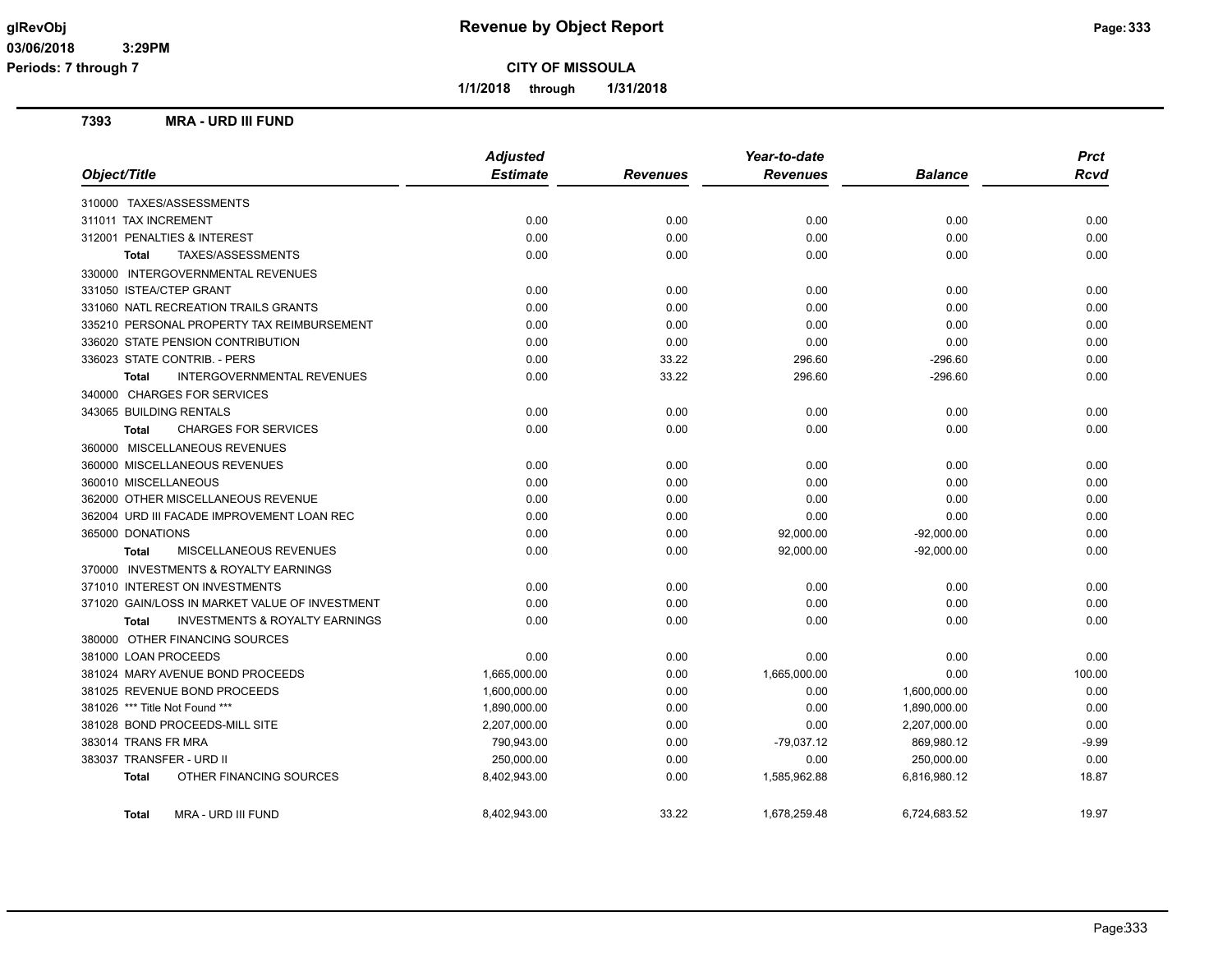**Periods: 7 through 7**

**CITY OF MISSOULA**

**1/1/2018 through 1/31/2018**

# **7393 MRA - URD III FUND**

| Object/Title                                      | <b>Adjusted</b><br><b>Estimate</b> | <b>Revenues</b> | Year-to-date<br><b>Revenues</b> | <b>Balance</b> | <b>Prct</b><br><b>Rcvd</b> |
|---------------------------------------------------|------------------------------------|-----------------|---------------------------------|----------------|----------------------------|
|                                                   |                                    |                 |                                 |                |                            |
| 310000 TAXES/ASSESSMENTS                          |                                    |                 |                                 |                |                            |
| 311011 TAX INCREMENT                              | 0.00                               | 0.00            | 0.00                            | 0.00           | 0.00                       |
| 312001 PENALTIES & INTEREST                       | 0.00                               | 0.00            | 0.00                            | 0.00           | 0.00                       |
| TAXES/ASSESSMENTS<br>Total                        | 0.00                               | 0.00            | 0.00                            | 0.00           | 0.00                       |
| 330000 INTERGOVERNMENTAL REVENUES                 |                                    |                 |                                 |                |                            |
| 331050 ISTEA/CTEP GRANT                           | 0.00                               | 0.00            | 0.00                            | 0.00           | 0.00                       |
| 331060 NATL RECREATION TRAILS GRANTS              | 0.00                               | 0.00            | 0.00                            | 0.00           | 0.00                       |
| 335210 PERSONAL PROPERTY TAX REIMBURSEMENT        | 0.00                               | 0.00            | 0.00                            | 0.00           | 0.00                       |
| 336020 STATE PENSION CONTRIBUTION                 | 0.00                               | 0.00            | 0.00                            | 0.00           | 0.00                       |
| 336023 STATE CONTRIB. - PERS                      | 0.00                               | 33.22           | 296.60                          | $-296.60$      | 0.00                       |
| <b>INTERGOVERNMENTAL REVENUES</b><br><b>Total</b> | 0.00                               | 33.22           | 296.60                          | $-296.60$      | 0.00                       |
| 340000 CHARGES FOR SERVICES                       |                                    |                 |                                 |                |                            |
| 343065 BUILDING RENTALS                           | 0.00                               | 0.00            | 0.00                            | 0.00           | 0.00                       |
| <b>CHARGES FOR SERVICES</b><br><b>Total</b>       | 0.00                               | 0.00            | 0.00                            | 0.00           | 0.00                       |
| 360000 MISCELLANEOUS REVENUES                     |                                    |                 |                                 |                |                            |
| 360000 MISCELLANEOUS REVENUES                     | 0.00                               | 0.00            | 0.00                            | 0.00           | 0.00                       |
| 360010 MISCELLANEOUS                              | 0.00                               | 0.00            | 0.00                            | 0.00           | 0.00                       |
| 362000 OTHER MISCELLANEOUS REVENUE                | 0.00                               | 0.00            | 0.00                            | 0.00           | 0.00                       |
| 362004 URD III FACADE IMPROVEMENT LOAN REC        | 0.00                               | 0.00            | 0.00                            | 0.00           | 0.00                       |
| 365000 DONATIONS                                  | 0.00                               | 0.00            | 92,000.00                       | $-92,000.00$   | 0.00                       |
| MISCELLANEOUS REVENUES<br><b>Total</b>            | 0.00                               | 0.00            | 92,000.00                       | $-92,000.00$   | 0.00                       |
| 370000 INVESTMENTS & ROYALTY EARNINGS             |                                    |                 |                                 |                |                            |
| 371010 INTEREST ON INVESTMENTS                    | 0.00                               | 0.00            | 0.00                            | 0.00           | 0.00                       |
| 371020 GAIN/LOSS IN MARKET VALUE OF INVESTMENT    |                                    |                 |                                 |                |                            |
|                                                   | 0.00<br>0.00                       | 0.00            | 0.00                            | 0.00           | 0.00<br>0.00               |
| INVESTMENTS & ROYALTY EARNINGS<br><b>Total</b>    |                                    | 0.00            | 0.00                            | 0.00           |                            |
| 380000 OTHER FINANCING SOURCES                    |                                    |                 |                                 |                |                            |
| 381000 LOAN PROCEEDS                              | 0.00                               | 0.00            | 0.00                            | 0.00           | 0.00                       |
| 381024 MARY AVENUE BOND PROCEEDS                  | 1,665,000.00                       | 0.00            | 1,665,000.00                    | 0.00           | 100.00                     |
| 381025 REVENUE BOND PROCEEDS                      | 1,600,000.00                       | 0.00            | 0.00                            | 1,600,000.00   | 0.00                       |
| 381026 *** Title Not Found ***                    | 1,890,000.00                       | 0.00            | 0.00                            | 1,890,000.00   | 0.00                       |
| 381028 BOND PROCEEDS-MILL SITE                    | 2,207,000.00                       | 0.00            | 0.00                            | 2,207,000.00   | 0.00                       |
| 383014 TRANS FR MRA                               | 790,943.00                         | 0.00            | $-79,037.12$                    | 869,980.12     | -9.99                      |
| 383037 TRANSFER - URD II                          | 250,000.00                         | 0.00            | 0.00                            | 250,000.00     | 0.00                       |
| OTHER FINANCING SOURCES<br><b>Total</b>           | 8,402,943.00                       | 0.00            | 1,585,962.88                    | 6,816,980.12   | 18.87                      |
| MRA - URD III FUND<br><b>Total</b>                | 8,402,943.00                       | 33.22           | 1,678,259.48                    | 6,724,683.52   | 19.97                      |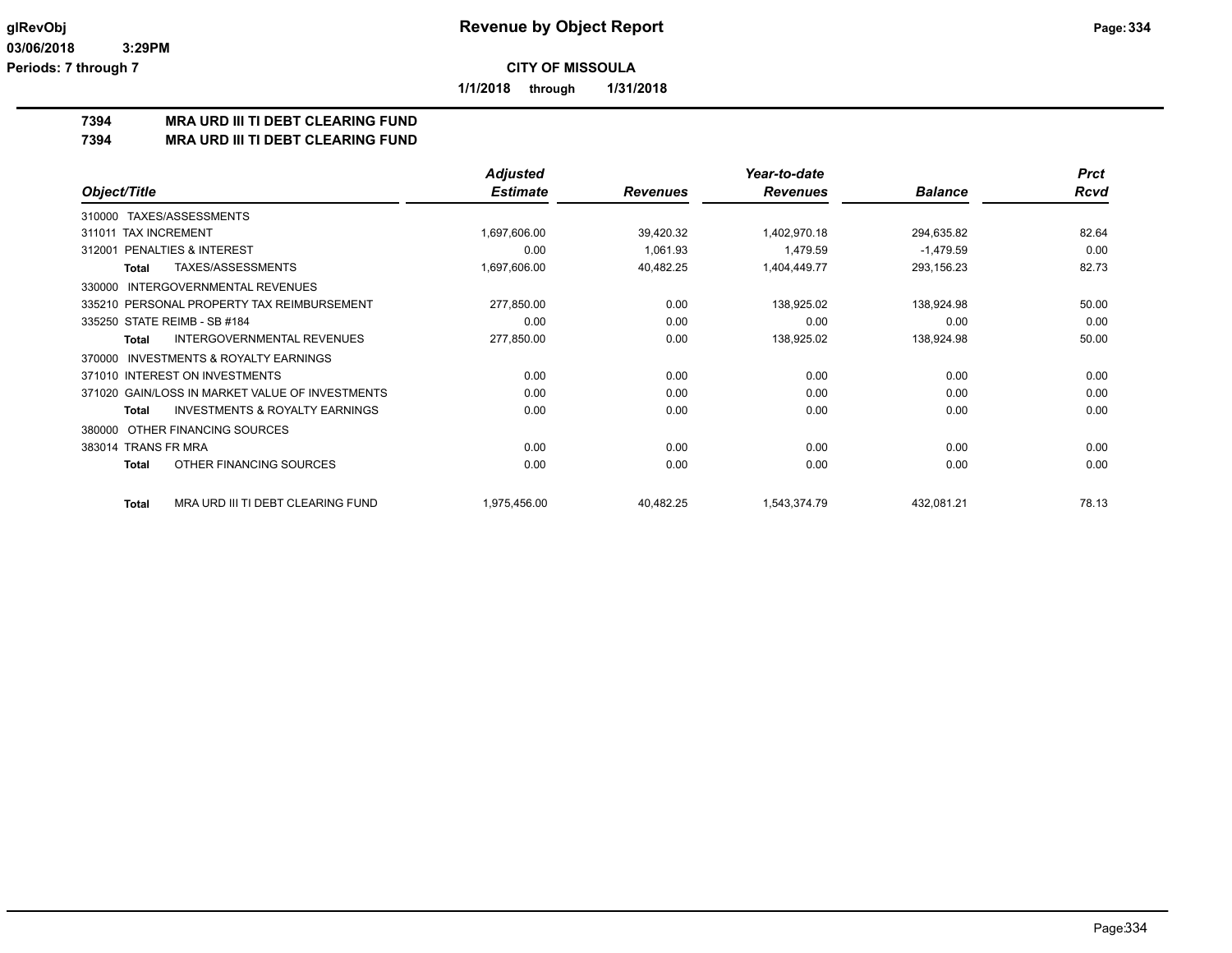**1/1/2018 through 1/31/2018**

# **7394 MRA URD III TI DEBT CLEARING FUND**

**7394 MRA URD III TI DEBT CLEARING FUND**

|                                                     | <b>Adjusted</b> |                 | Year-to-date    |                | <b>Prct</b> |
|-----------------------------------------------------|-----------------|-----------------|-----------------|----------------|-------------|
| Object/Title                                        | <b>Estimate</b> | <b>Revenues</b> | <b>Revenues</b> | <b>Balance</b> | Rcvd        |
| TAXES/ASSESSMENTS<br>310000                         |                 |                 |                 |                |             |
| <b>TAX INCREMENT</b><br>311011                      | 1,697,606.00    | 39,420.32       | 1,402,970.18    | 294,635.82     | 82.64       |
| <b>PENALTIES &amp; INTEREST</b><br>312001           | 0.00            | 1,061.93        | 1.479.59        | $-1,479.59$    | 0.00        |
| TAXES/ASSESSMENTS<br>Total                          | 1,697,606.00    | 40,482.25       | 1,404,449.77    | 293,156.23     | 82.73       |
| <b>INTERGOVERNMENTAL REVENUES</b><br>330000         |                 |                 |                 |                |             |
| 335210 PERSONAL PROPERTY TAX REIMBURSEMENT          | 277,850.00      | 0.00            | 138,925.02      | 138,924.98     | 50.00       |
| 335250 STATE REIMB - SB #184                        | 0.00            | 0.00            | 0.00            | 0.00           | 0.00        |
| INTERGOVERNMENTAL REVENUES<br>Total                 | 277,850.00      | 0.00            | 138,925.02      | 138,924.98     | 50.00       |
| <b>INVESTMENTS &amp; ROYALTY EARNINGS</b><br>370000 |                 |                 |                 |                |             |
| 371010 INTEREST ON INVESTMENTS                      | 0.00            | 0.00            | 0.00            | 0.00           | 0.00        |
| 371020 GAIN/LOSS IN MARKET VALUE OF INVESTMENTS     | 0.00            | 0.00            | 0.00            | 0.00           | 0.00        |
| <b>INVESTMENTS &amp; ROYALTY EARNINGS</b><br>Total  | 0.00            | 0.00            | 0.00            | 0.00           | 0.00        |
| OTHER FINANCING SOURCES<br>380000                   |                 |                 |                 |                |             |
| 383014 TRANS FR MRA                                 | 0.00            | 0.00            | 0.00            | 0.00           | 0.00        |
| OTHER FINANCING SOURCES<br>Total                    | 0.00            | 0.00            | 0.00            | 0.00           | 0.00        |
| MRA URD III TI DEBT CLEARING FUND<br>Total          | 1,975,456.00    | 40,482.25       | 1,543,374.79    | 432,081.21     | 78.13       |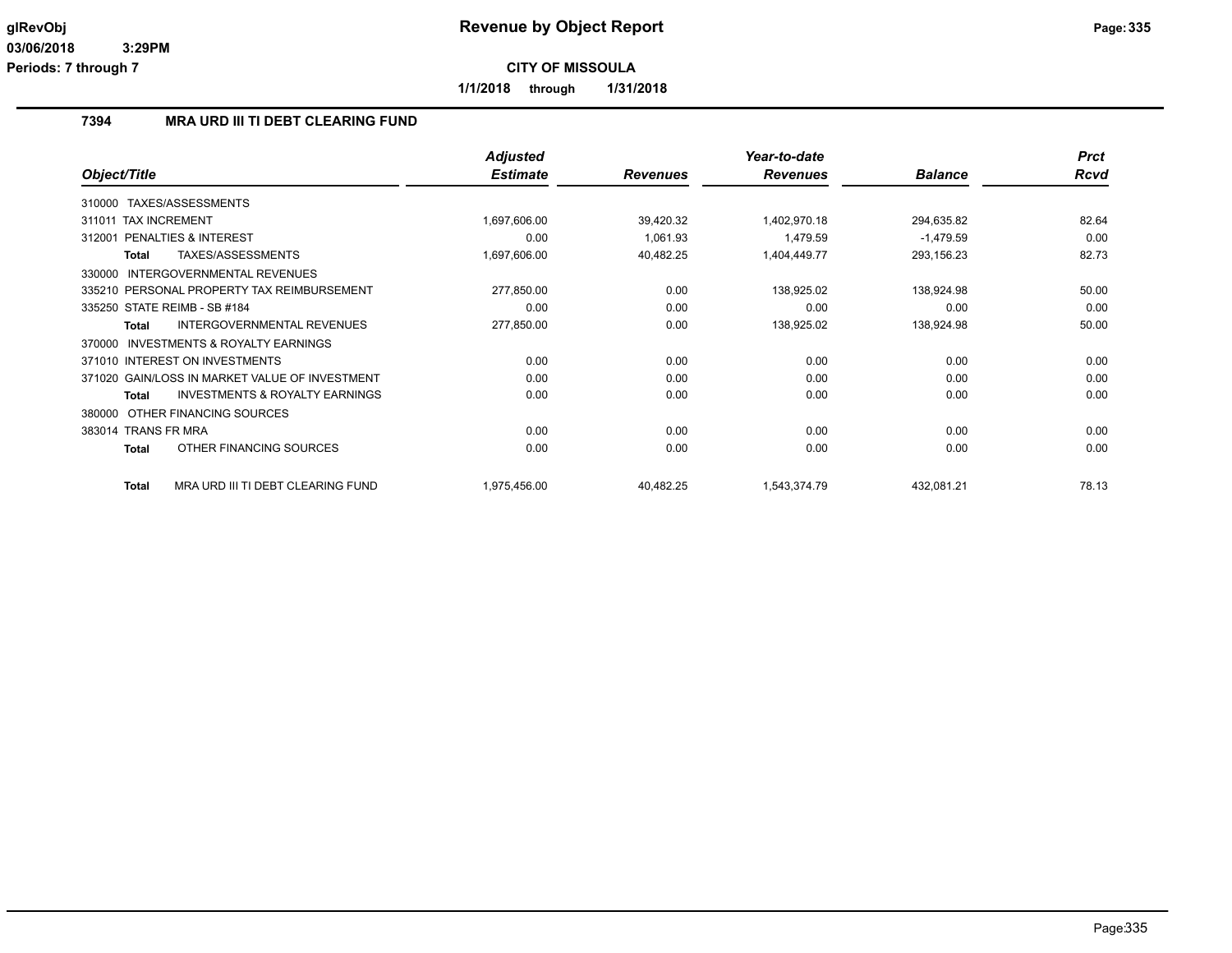**1/1/2018 through 1/31/2018**

#### **7394 MRA URD III TI DEBT CLEARING FUND**

|                                                           | <b>Adjusted</b> |                 | Year-to-date    |                | <b>Prct</b> |
|-----------------------------------------------------------|-----------------|-----------------|-----------------|----------------|-------------|
| Object/Title                                              | <b>Estimate</b> | <b>Revenues</b> | <b>Revenues</b> | <b>Balance</b> | <b>Rcvd</b> |
| 310000 TAXES/ASSESSMENTS                                  |                 |                 |                 |                |             |
| <b>TAX INCREMENT</b><br>311011                            | 1,697,606.00    | 39,420.32       | 1,402,970.18    | 294,635.82     | 82.64       |
| <b>PENALTIES &amp; INTEREST</b><br>312001                 | 0.00            | 1,061.93        | 1,479.59        | $-1,479.59$    | 0.00        |
| TAXES/ASSESSMENTS<br><b>Total</b>                         | 1,697,606.00    | 40,482.25       | 1,404,449.77    | 293,156.23     | 82.73       |
| INTERGOVERNMENTAL REVENUES<br>330000                      |                 |                 |                 |                |             |
| 335210 PERSONAL PROPERTY TAX REIMBURSEMENT                | 277,850.00      | 0.00            | 138,925.02      | 138,924.98     | 50.00       |
| 335250 STATE REIMB - SB #184                              | 0.00            | 0.00            | 0.00            | 0.00           | 0.00        |
| INTERGOVERNMENTAL REVENUES<br><b>Total</b>                | 277,850.00      | 0.00            | 138,925.02      | 138,924.98     | 50.00       |
| INVESTMENTS & ROYALTY EARNINGS<br>370000                  |                 |                 |                 |                |             |
| 371010 INTEREST ON INVESTMENTS                            | 0.00            | 0.00            | 0.00            | 0.00           | 0.00        |
| 371020 GAIN/LOSS IN MARKET VALUE OF INVESTMENT            | 0.00            | 0.00            | 0.00            | 0.00           | 0.00        |
| <b>INVESTMENTS &amp; ROYALTY EARNINGS</b><br><b>Total</b> | 0.00            | 0.00            | 0.00            | 0.00           | 0.00        |
| OTHER FINANCING SOURCES<br>380000                         |                 |                 |                 |                |             |
| 383014 TRANS FR MRA                                       | 0.00            | 0.00            | 0.00            | 0.00           | 0.00        |
| OTHER FINANCING SOURCES<br><b>Total</b>                   | 0.00            | 0.00            | 0.00            | 0.00           | 0.00        |
| MRA URD III TI DEBT CLEARING FUND<br><b>Total</b>         | 1,975,456.00    | 40,482.25       | 1,543,374.79    | 432,081.21     | 78.13       |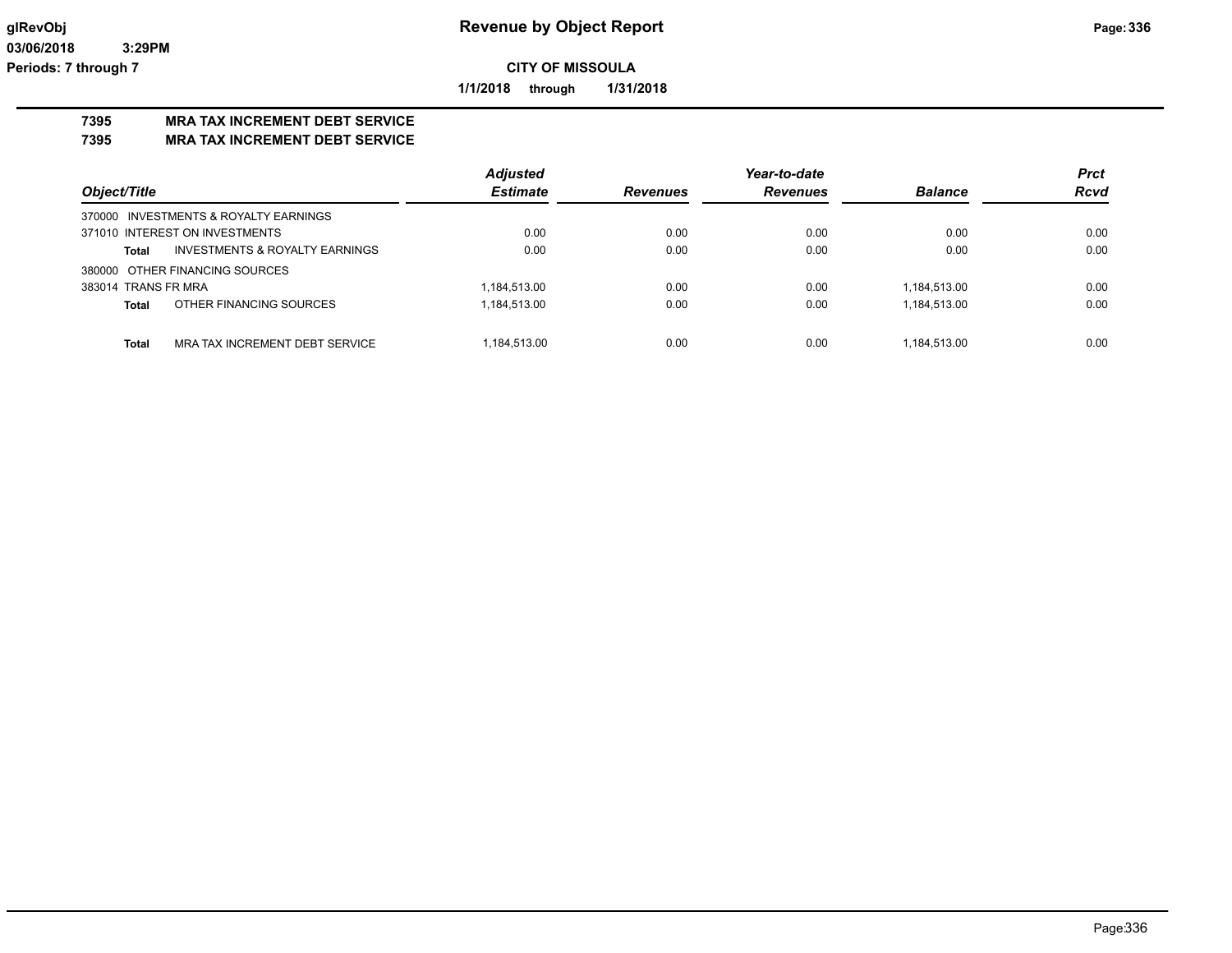**1/1/2018 through 1/31/2018**

# **7395 MRA TAX INCREMENT DEBT SERVICE**

**7395 MRA TAX INCREMENT DEBT SERVICE**

|                                         | <b>Adjusted</b> |                 | Year-to-date    |                | <b>Prct</b> |
|-----------------------------------------|-----------------|-----------------|-----------------|----------------|-------------|
| Object/Title                            | <b>Estimate</b> | <b>Revenues</b> | <b>Revenues</b> | <b>Balance</b> | <b>Rcvd</b> |
| 370000 INVESTMENTS & ROYALTY EARNINGS   |                 |                 |                 |                |             |
| 371010 INTEREST ON INVESTMENTS          | 0.00            | 0.00            | 0.00            | 0.00           | 0.00        |
| INVESTMENTS & ROYALTY EARNINGS<br>Total | 0.00            | 0.00            | 0.00            | 0.00           | 0.00        |
| 380000 OTHER FINANCING SOURCES          |                 |                 |                 |                |             |
| 383014 TRANS FR MRA                     | 1,184,513.00    | 0.00            | 0.00            | 1,184,513.00   | 0.00        |
| OTHER FINANCING SOURCES<br>Total        | 1,184,513.00    | 0.00            | 0.00            | 1,184,513.00   | 0.00        |
|                                         |                 |                 |                 |                |             |
| Total<br>MRA TAX INCREMENT DEBT SERVICE | 1.184.513.00    | 0.00            | 0.00            | 1.184.513.00   | 0.00        |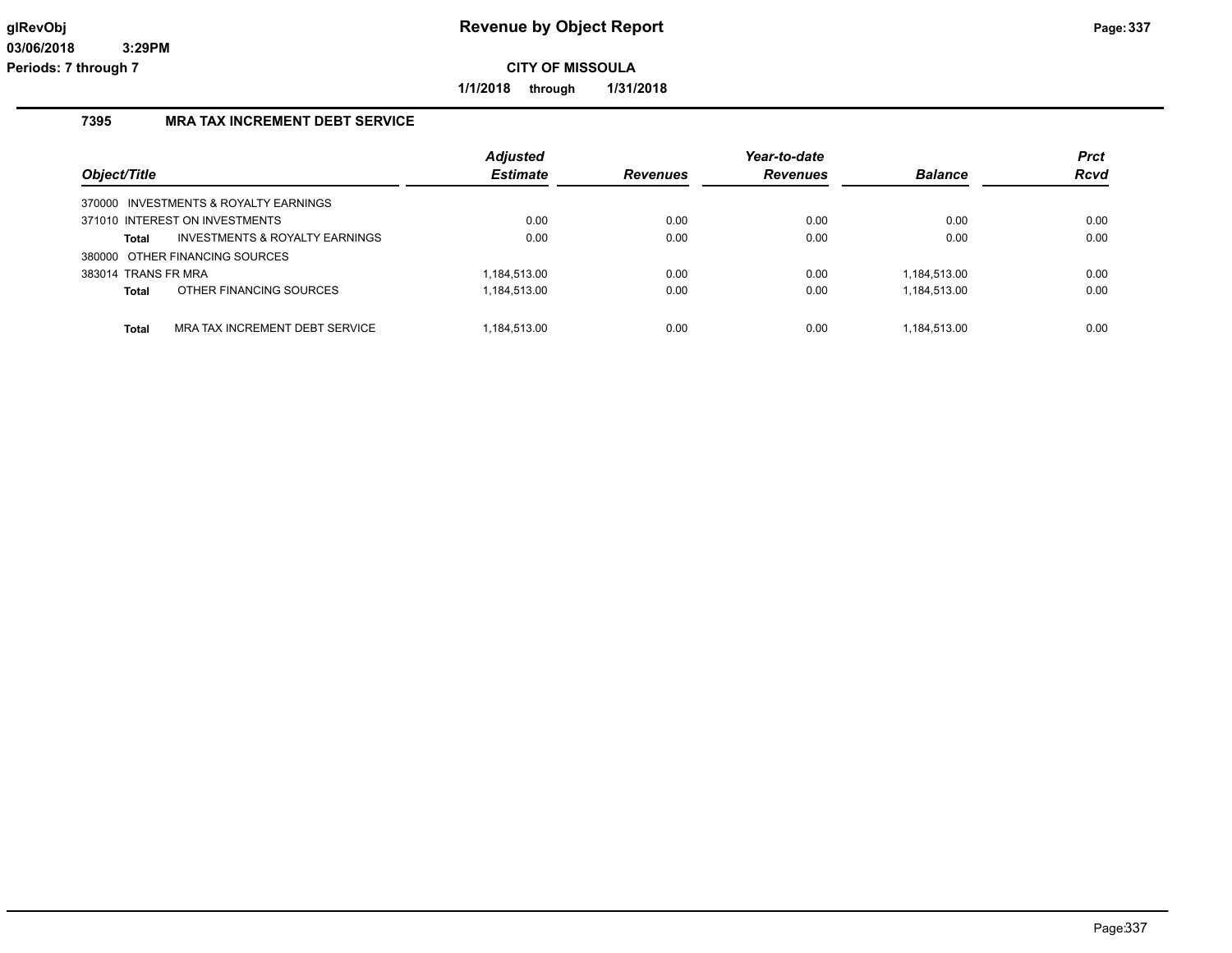**1/1/2018 through 1/31/2018**

#### **7395 MRA TAX INCREMENT DEBT SERVICE**

| Object/Title        |                                           | <b>Adjusted</b><br><b>Estimate</b> | <b>Revenues</b> | Year-to-date<br><b>Revenues</b> | <b>Balance</b> | <b>Prct</b><br>Rcvd |
|---------------------|-------------------------------------------|------------------------------------|-----------------|---------------------------------|----------------|---------------------|
|                     | 370000 INVESTMENTS & ROYALTY EARNINGS     |                                    |                 |                                 |                |                     |
|                     | 371010 INTEREST ON INVESTMENTS            | 0.00                               | 0.00            | 0.00                            | 0.00           | 0.00                |
| Total               | <b>INVESTMENTS &amp; ROYALTY EARNINGS</b> | 0.00                               | 0.00            | 0.00                            | 0.00           | 0.00                |
|                     | 380000 OTHER FINANCING SOURCES            |                                    |                 |                                 |                |                     |
| 383014 TRANS FR MRA |                                           | 1.184.513.00                       | 0.00            | 0.00                            | 1.184.513.00   | 0.00                |
| <b>Total</b>        | OTHER FINANCING SOURCES                   | 1,184,513.00                       | 0.00            | 0.00                            | 1,184,513.00   | 0.00                |
|                     |                                           |                                    |                 |                                 |                |                     |
| <b>Total</b>        | MRA TAX INCREMENT DEBT SERVICE            | 1.184.513.00                       | 0.00            | 0.00                            | 1.184.513.00   | 0.00                |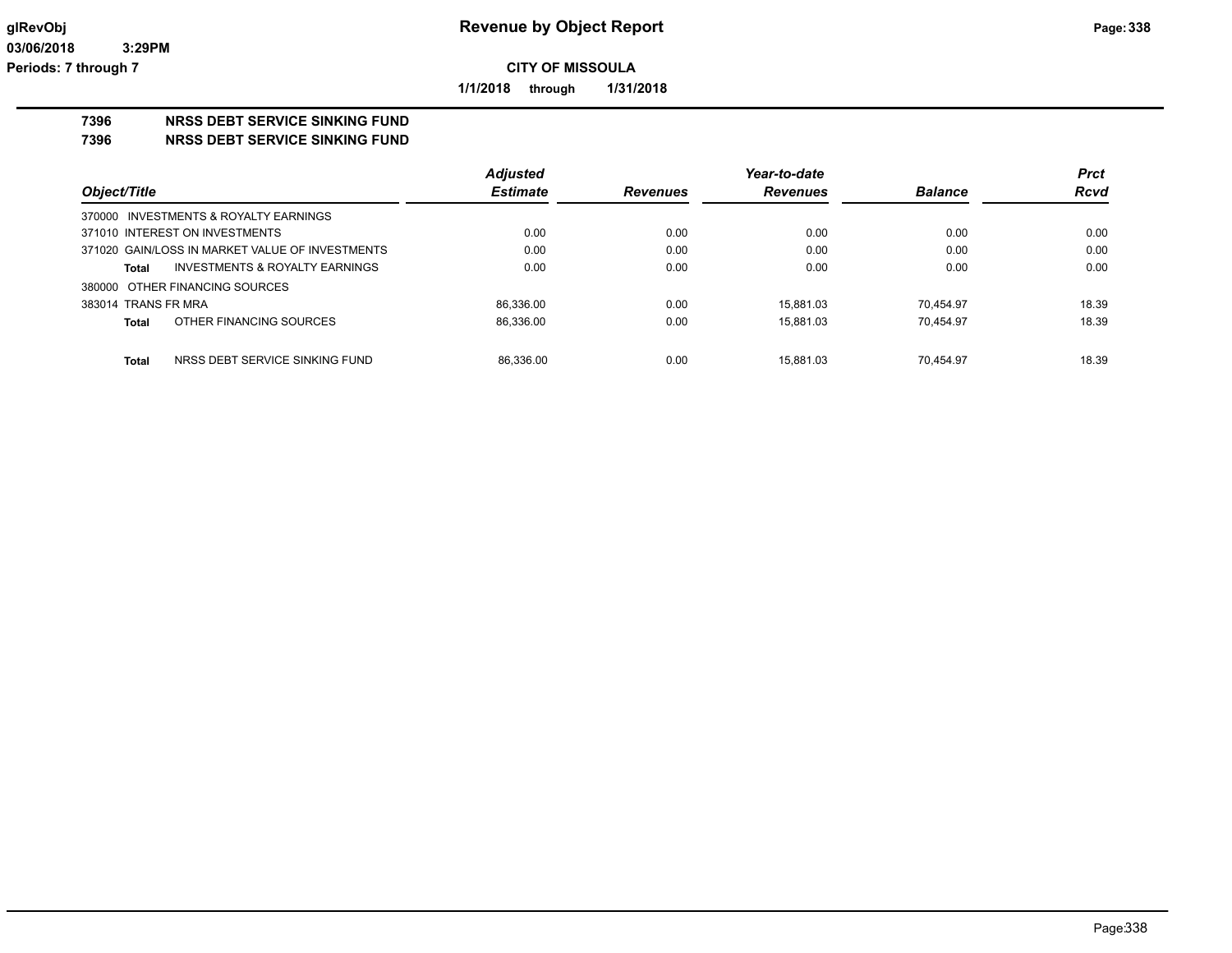**1/1/2018 through 1/31/2018**

# **7396 NRSS DEBT SERVICE SINKING FUND**

**7396 NRSS DEBT SERVICE SINKING FUND**

|                                                 | <b>Adjusted</b> |                 | Year-to-date    |                | <b>Prct</b> |
|-------------------------------------------------|-----------------|-----------------|-----------------|----------------|-------------|
| Object/Title                                    | <b>Estimate</b> | <b>Revenues</b> | <b>Revenues</b> | <b>Balance</b> | <b>Rcvd</b> |
| 370000 INVESTMENTS & ROYALTY EARNINGS           |                 |                 |                 |                |             |
| 371010 INTEREST ON INVESTMENTS                  | 0.00            | 0.00            | 0.00            | 0.00           | 0.00        |
| 371020 GAIN/LOSS IN MARKET VALUE OF INVESTMENTS | 0.00            | 0.00            | 0.00            | 0.00           | 0.00        |
| INVESTMENTS & ROYALTY EARNINGS<br>Total         | 0.00            | 0.00            | 0.00            | 0.00           | 0.00        |
| 380000 OTHER FINANCING SOURCES                  |                 |                 |                 |                |             |
| 383014 TRANS FR MRA                             | 86.336.00       | 0.00            | 15.881.03       | 70.454.97      | 18.39       |
| OTHER FINANCING SOURCES<br>Total                | 86.336.00       | 0.00            | 15.881.03       | 70.454.97      | 18.39       |
|                                                 |                 |                 |                 |                |             |
| NRSS DEBT SERVICE SINKING FUND<br>Total         | 86.336.00       | 0.00            | 15.881.03       | 70.454.97      | 18.39       |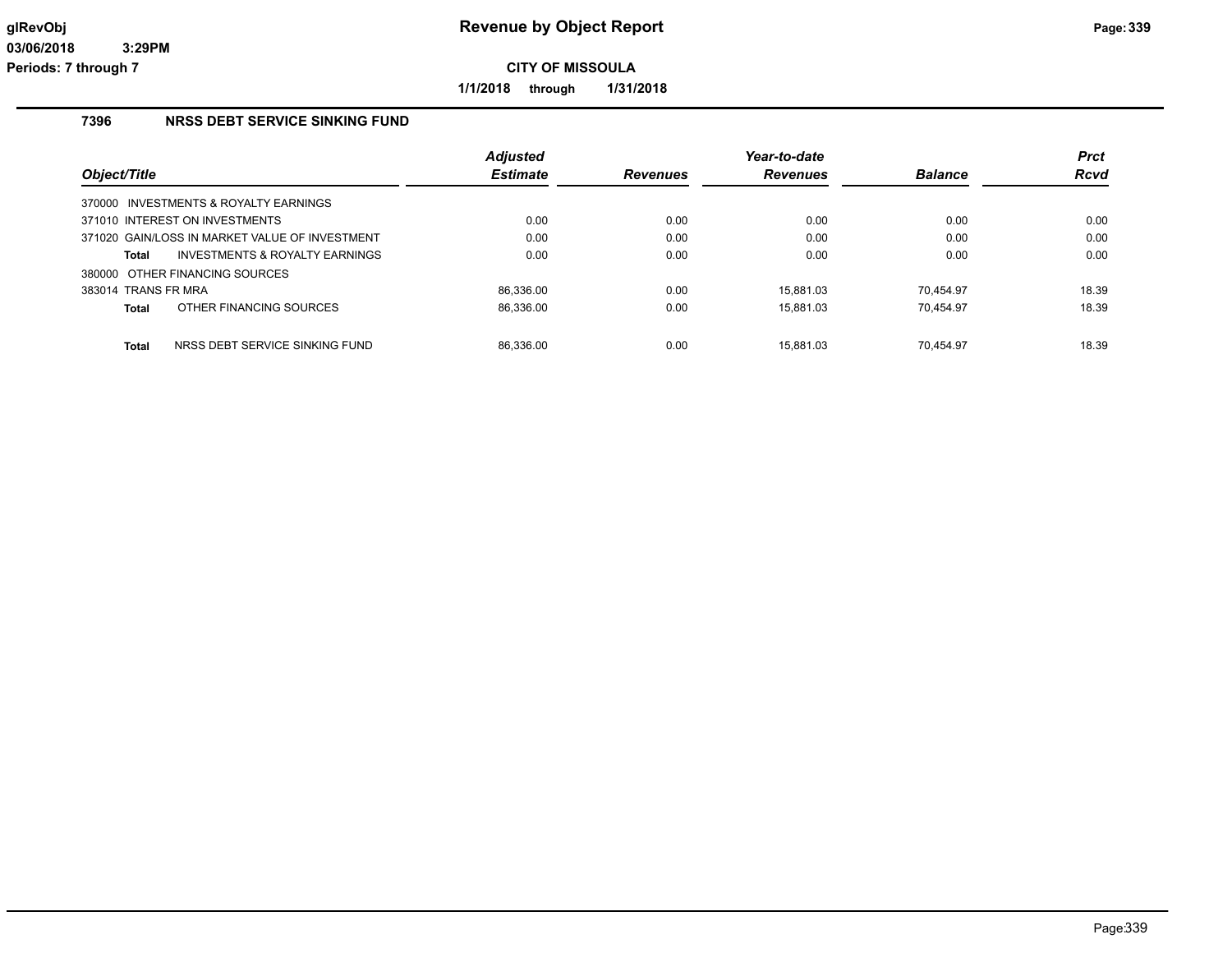**1/1/2018 through 1/31/2018**

#### **7396 NRSS DEBT SERVICE SINKING FUND**

|                     |                                                | <b>Adjusted</b> |                 | Year-to-date    |                | <b>Prct</b> |
|---------------------|------------------------------------------------|-----------------|-----------------|-----------------|----------------|-------------|
| Object/Title        |                                                | <b>Estimate</b> | <b>Revenues</b> | <b>Revenues</b> | <b>Balance</b> | <b>Rcvd</b> |
|                     | 370000 INVESTMENTS & ROYALTY EARNINGS          |                 |                 |                 |                |             |
|                     | 371010 INTEREST ON INVESTMENTS                 | 0.00            | 0.00            | 0.00            | 0.00           | 0.00        |
|                     | 371020 GAIN/LOSS IN MARKET VALUE OF INVESTMENT | 0.00            | 0.00            | 0.00            | 0.00           | 0.00        |
| Total               | INVESTMENTS & ROYALTY EARNINGS                 | 0.00            | 0.00            | 0.00            | 0.00           | 0.00        |
|                     | 380000 OTHER FINANCING SOURCES                 |                 |                 |                 |                |             |
| 383014 TRANS FR MRA |                                                | 86.336.00       | 0.00            | 15.881.03       | 70.454.97      | 18.39       |
| <b>Total</b>        | OTHER FINANCING SOURCES                        | 86,336.00       | 0.00            | 15.881.03       | 70.454.97      | 18.39       |
| <b>Total</b>        | NRSS DEBT SERVICE SINKING FUND                 | 86.336.00       | 0.00            | 15.881.03       | 70.454.97      | 18.39       |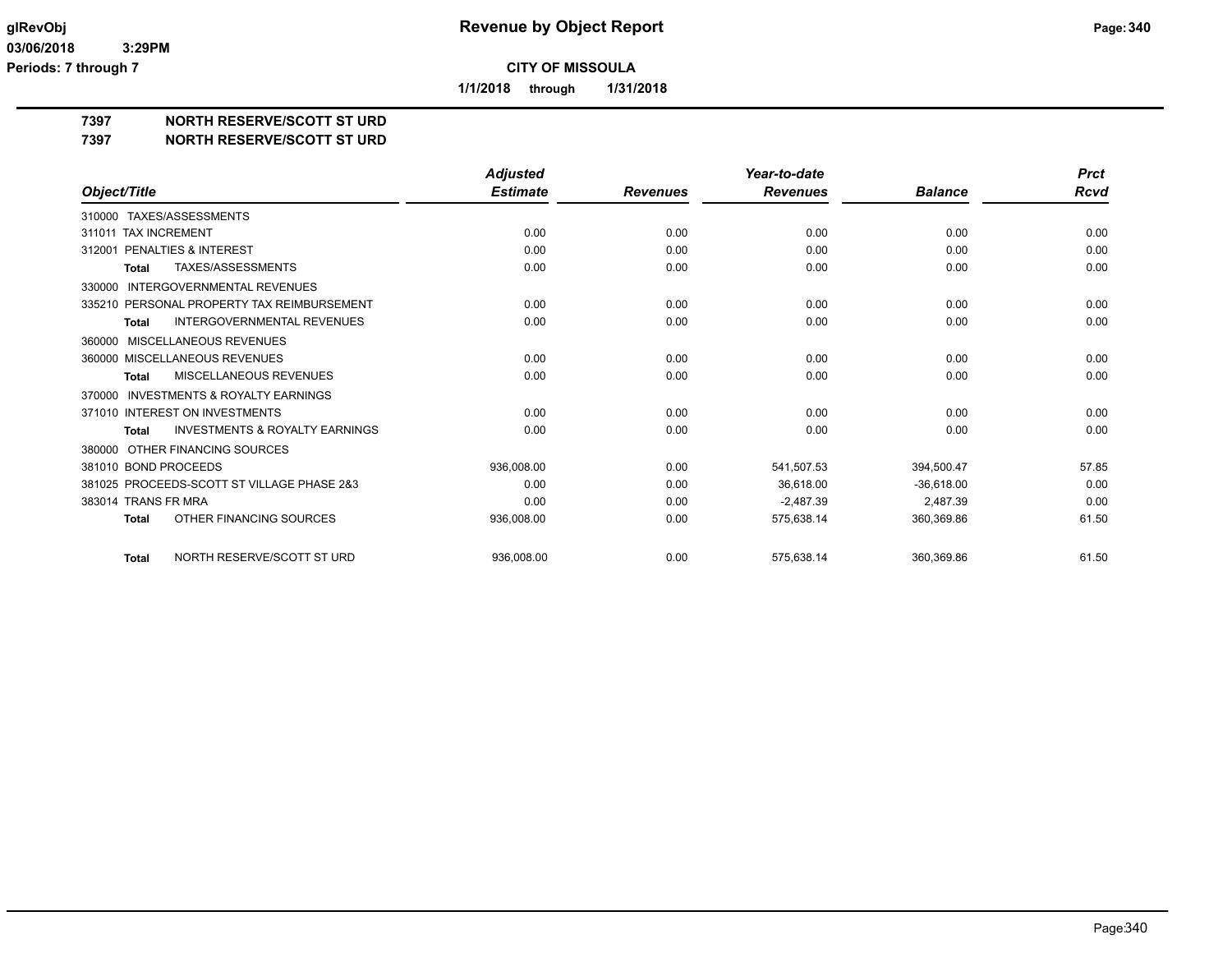**1/1/2018 through 1/31/2018**

## **7397 NORTH RESERVE/SCOTT ST URD**

#### **7397 NORTH RESERVE/SCOTT ST URD**

|                                                           | <b>Adjusted</b> |                 | Year-to-date    |                | <b>Prct</b> |
|-----------------------------------------------------------|-----------------|-----------------|-----------------|----------------|-------------|
| Object/Title                                              | <b>Estimate</b> | <b>Revenues</b> | <b>Revenues</b> | <b>Balance</b> | <b>Rcvd</b> |
| 310000 TAXES/ASSESSMENTS                                  |                 |                 |                 |                |             |
| <b>TAX INCREMENT</b><br>311011                            | 0.00            | 0.00            | 0.00            | 0.00           | 0.00        |
| PENALTIES & INTEREST<br>312001                            | 0.00            | 0.00            | 0.00            | 0.00           | 0.00        |
| TAXES/ASSESSMENTS<br><b>Total</b>                         | 0.00            | 0.00            | 0.00            | 0.00           | 0.00        |
| <b>INTERGOVERNMENTAL REVENUES</b><br>330000               |                 |                 |                 |                |             |
| 335210 PERSONAL PROPERTY TAX REIMBURSEMENT                | 0.00            | 0.00            | 0.00            | 0.00           | 0.00        |
| INTERGOVERNMENTAL REVENUES<br><b>Total</b>                | 0.00            | 0.00            | 0.00            | 0.00           | 0.00        |
| MISCELLANEOUS REVENUES<br>360000                          |                 |                 |                 |                |             |
| 360000 MISCELLANEOUS REVENUES                             | 0.00            | 0.00            | 0.00            | 0.00           | 0.00        |
| <b>MISCELLANEOUS REVENUES</b><br><b>Total</b>             | 0.00            | 0.00            | 0.00            | 0.00           | 0.00        |
| <b>INVESTMENTS &amp; ROYALTY EARNINGS</b><br>370000       |                 |                 |                 |                |             |
| 371010 INTEREST ON INVESTMENTS                            | 0.00            | 0.00            | 0.00            | 0.00           | 0.00        |
| <b>INVESTMENTS &amp; ROYALTY EARNINGS</b><br><b>Total</b> | 0.00            | 0.00            | 0.00            | 0.00           | 0.00        |
| OTHER FINANCING SOURCES<br>380000                         |                 |                 |                 |                |             |
| 381010 BOND PROCEEDS                                      | 936,008.00      | 0.00            | 541,507.53      | 394,500.47     | 57.85       |
| 381025 PROCEEDS-SCOTT ST VILLAGE PHASE 2&3                | 0.00            | 0.00            | 36,618.00       | $-36,618.00$   | 0.00        |
| 383014 TRANS FR MRA                                       | 0.00            | 0.00            | $-2.487.39$     | 2,487.39       | 0.00        |
| OTHER FINANCING SOURCES<br><b>Total</b>                   | 936,008.00      | 0.00            | 575,638.14      | 360,369.86     | 61.50       |
|                                                           |                 |                 |                 |                |             |
| NORTH RESERVE/SCOTT ST URD<br><b>Total</b>                | 936,008.00      | 0.00            | 575,638.14      | 360,369.86     | 61.50       |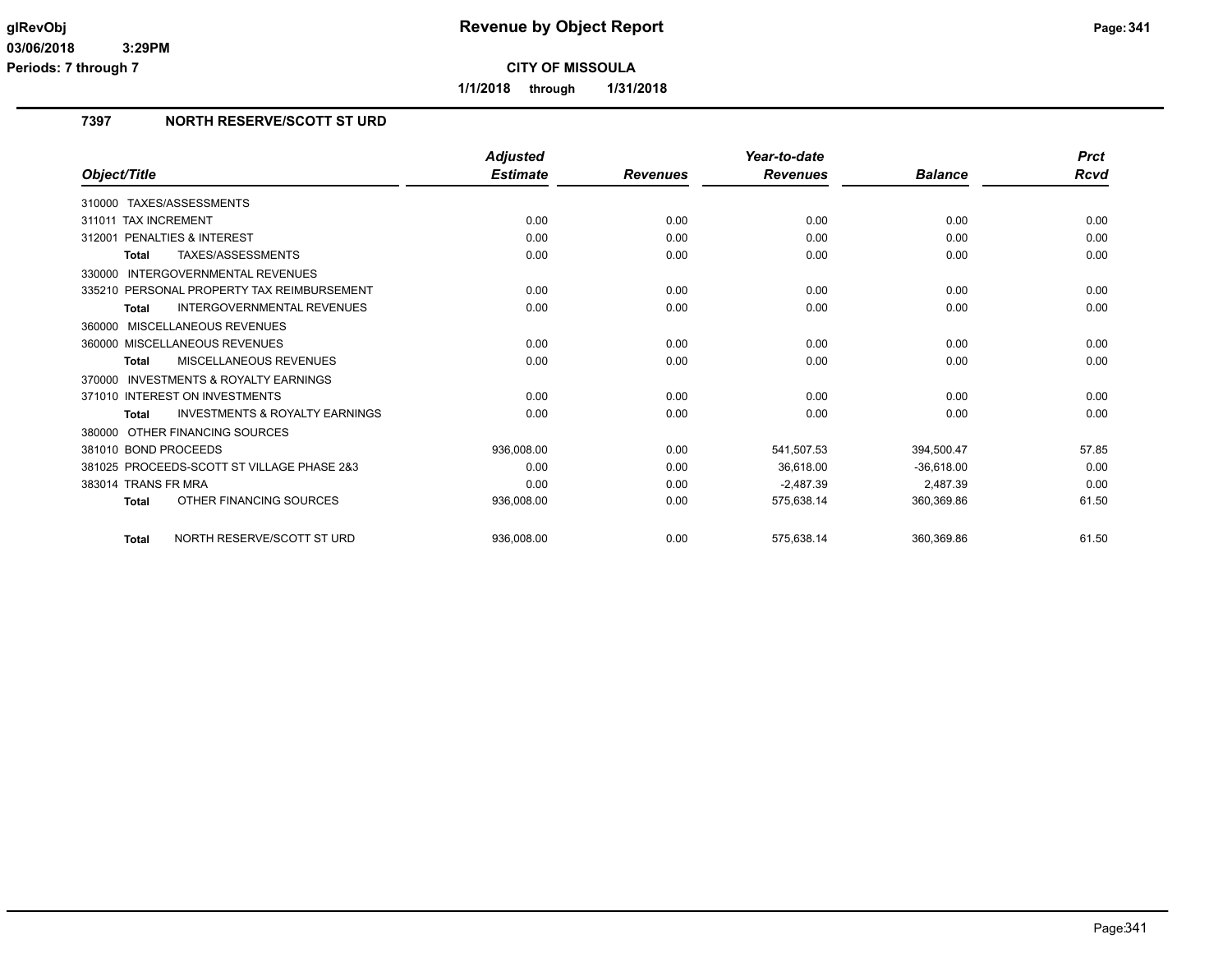**1/1/2018 through 1/31/2018**

# **7397 NORTH RESERVE/SCOTT ST URD**

|                                                           | <b>Adjusted</b> |                 | Year-to-date    |                | <b>Prct</b> |
|-----------------------------------------------------------|-----------------|-----------------|-----------------|----------------|-------------|
| Object/Title                                              | <b>Estimate</b> | <b>Revenues</b> | <b>Revenues</b> | <b>Balance</b> | <b>Rcvd</b> |
| TAXES/ASSESSMENTS<br>310000                               |                 |                 |                 |                |             |
| 311011 TAX INCREMENT                                      | 0.00            | 0.00            | 0.00            | 0.00           | 0.00        |
| 312001 PENALTIES & INTEREST                               | 0.00            | 0.00            | 0.00            | 0.00           | 0.00        |
| <b>TAXES/ASSESSMENTS</b><br><b>Total</b>                  | 0.00            | 0.00            | 0.00            | 0.00           | 0.00        |
| <b>INTERGOVERNMENTAL REVENUES</b><br>330000               |                 |                 |                 |                |             |
| 335210 PERSONAL PROPERTY TAX REIMBURSEMENT                | 0.00            | 0.00            | 0.00            | 0.00           | 0.00        |
| <b>INTERGOVERNMENTAL REVENUES</b><br><b>Total</b>         | 0.00            | 0.00            | 0.00            | 0.00           | 0.00        |
| MISCELLANEOUS REVENUES<br>360000                          |                 |                 |                 |                |             |
| 360000 MISCELLANEOUS REVENUES                             | 0.00            | 0.00            | 0.00            | 0.00           | 0.00        |
| MISCELLANEOUS REVENUES<br><b>Total</b>                    | 0.00            | 0.00            | 0.00            | 0.00           | 0.00        |
| <b>INVESTMENTS &amp; ROYALTY EARNINGS</b><br>370000       |                 |                 |                 |                |             |
| 371010 INTEREST ON INVESTMENTS                            | 0.00            | 0.00            | 0.00            | 0.00           | 0.00        |
| <b>INVESTMENTS &amp; ROYALTY EARNINGS</b><br><b>Total</b> | 0.00            | 0.00            | 0.00            | 0.00           | 0.00        |
| 380000 OTHER FINANCING SOURCES                            |                 |                 |                 |                |             |
| 381010 BOND PROCEEDS                                      | 936,008.00      | 0.00            | 541,507.53      | 394,500.47     | 57.85       |
| 381025 PROCEEDS-SCOTT ST VILLAGE PHASE 2&3                | 0.00            | 0.00            | 36.618.00       | $-36.618.00$   | 0.00        |
| 383014 TRANS FR MRA                                       | 0.00            | 0.00            | $-2,487.39$     | 2,487.39       | 0.00        |
| OTHER FINANCING SOURCES<br><b>Total</b>                   | 936,008.00      | 0.00            | 575,638.14      | 360,369.86     | 61.50       |
| NORTH RESERVE/SCOTT ST URD<br><b>Total</b>                | 936.008.00      | 0.00            | 575.638.14      | 360.369.86     | 61.50       |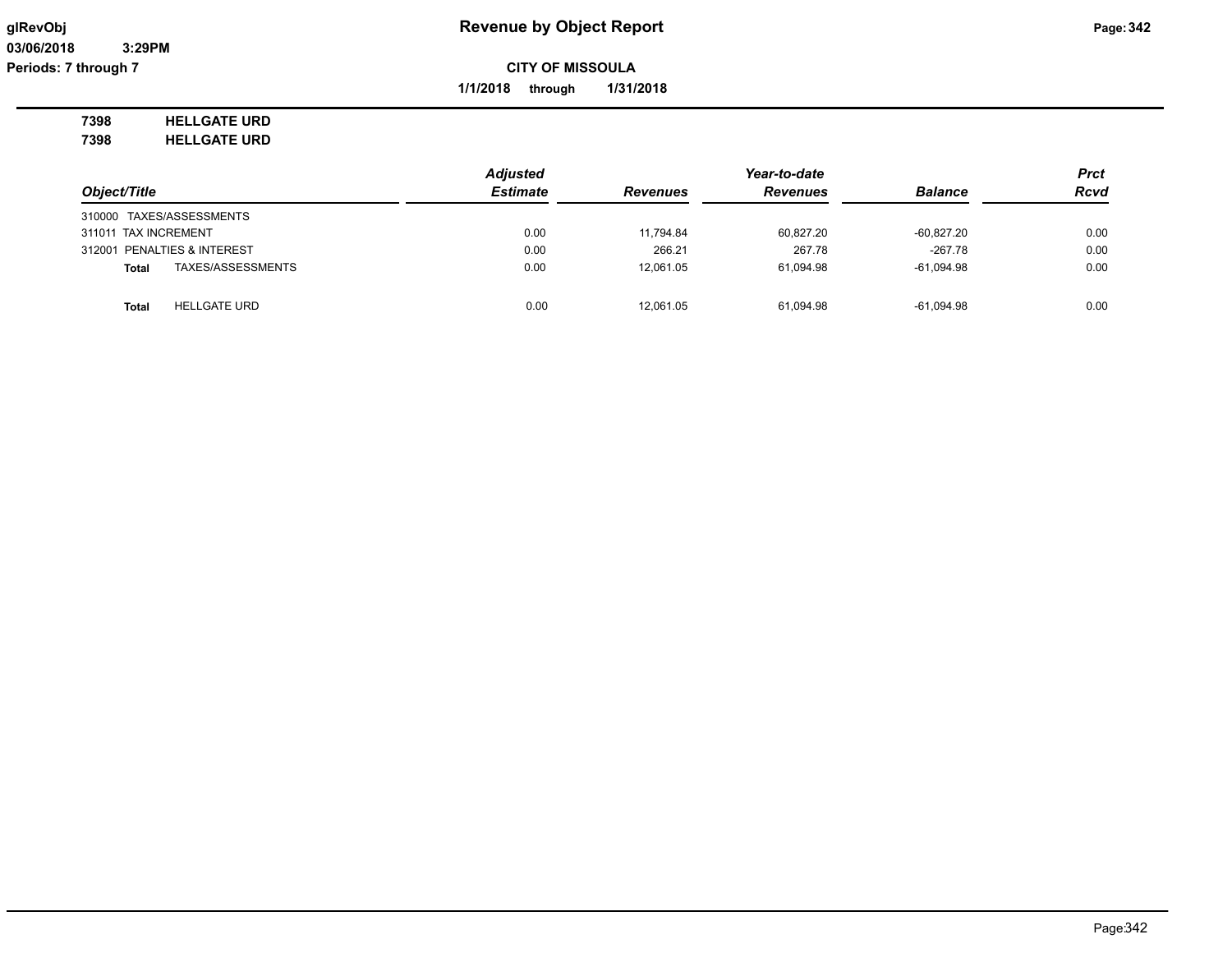**1/1/2018 through 1/31/2018**

**7398 HELLGATE URD 7398 HELLGATE URD**

*Object/Title Adjusted Estimate Revenues Year-to-date Revenues Balance Prct Rcvd* 310000 TAXES/ASSESSMENTS 311011 TAX INCREMENT 0.00 11,794.84 60,827.20 -60,827.20 0.00 312001 PENALTIES & INTEREST 0.00 266.21 267.78 -267.78 0.00 **Total** TAXES/ASSESSMENTS 0.00 12,061.05 61,094.98 -61,094.98 0.00 **Total** HELLGATE URD 0.00 12,061.05 61,094.98 -61,094.98 0.00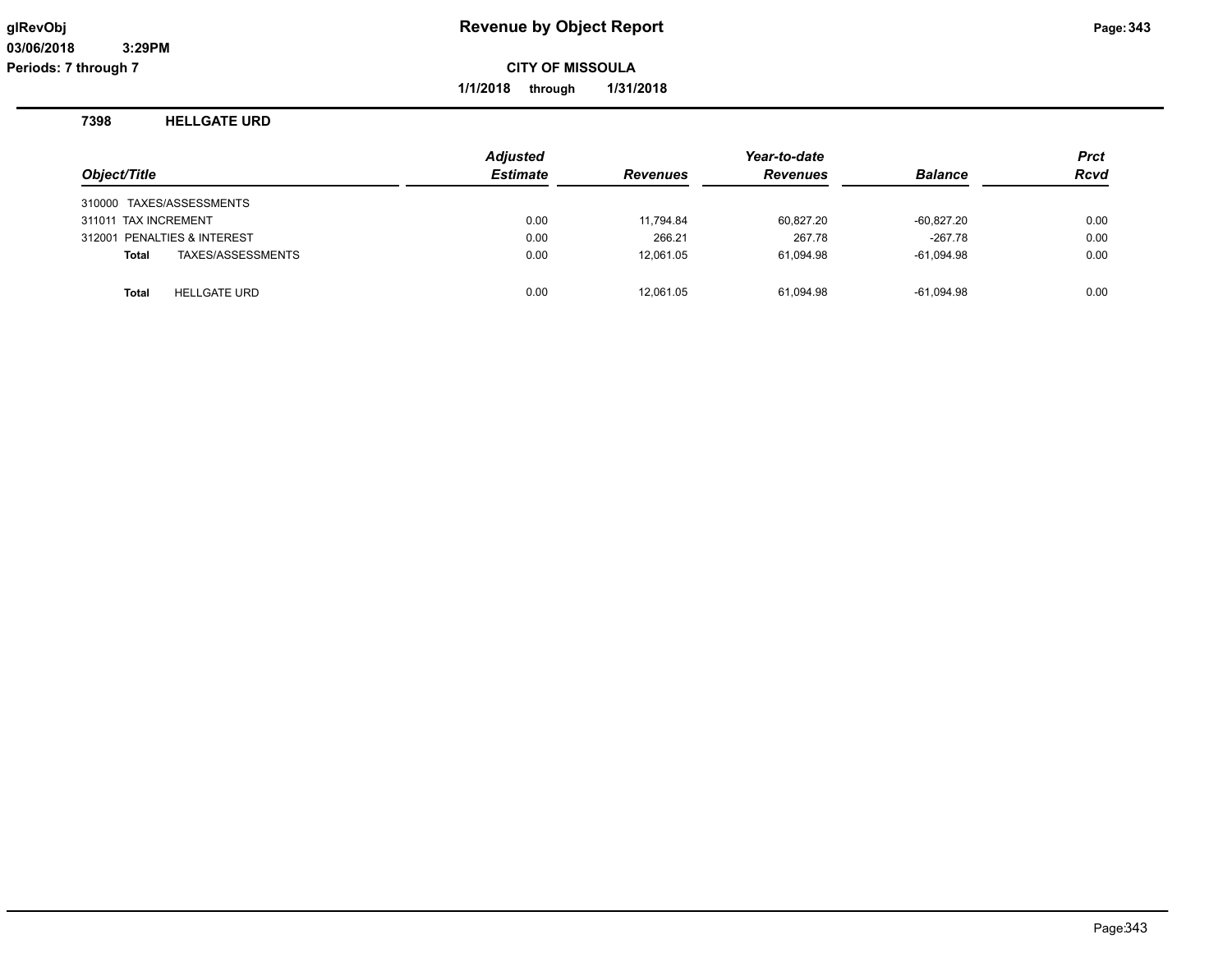**1/1/2018 through 1/31/2018**

#### **7398 HELLGATE URD**

| Object/Title                        | <b>Adjusted</b><br><b>Estimate</b> | <b>Revenues</b> | Year-to-date<br><b>Revenues</b> | <b>Balance</b> | Prct<br><b>Rcvd</b> |
|-------------------------------------|------------------------------------|-----------------|---------------------------------|----------------|---------------------|
| 310000 TAXES/ASSESSMENTS            |                                    |                 |                                 |                |                     |
| 311011 TAX INCREMENT                | 0.00                               | 11,794.84       | 60,827.20                       | $-60,827.20$   | 0.00                |
| 312001 PENALTIES & INTEREST         | 0.00                               | 266.21          | 267.78                          | $-267.78$      | 0.00                |
| TAXES/ASSESSMENTS<br>Total          | 0.00                               | 12.061.05       | 61,094.98                       | $-61,094.98$   | 0.00                |
| <b>HELLGATE URD</b><br><b>Total</b> | 0.00                               | 12.061.05       | 61.094.98                       | $-61,094.98$   | 0.00                |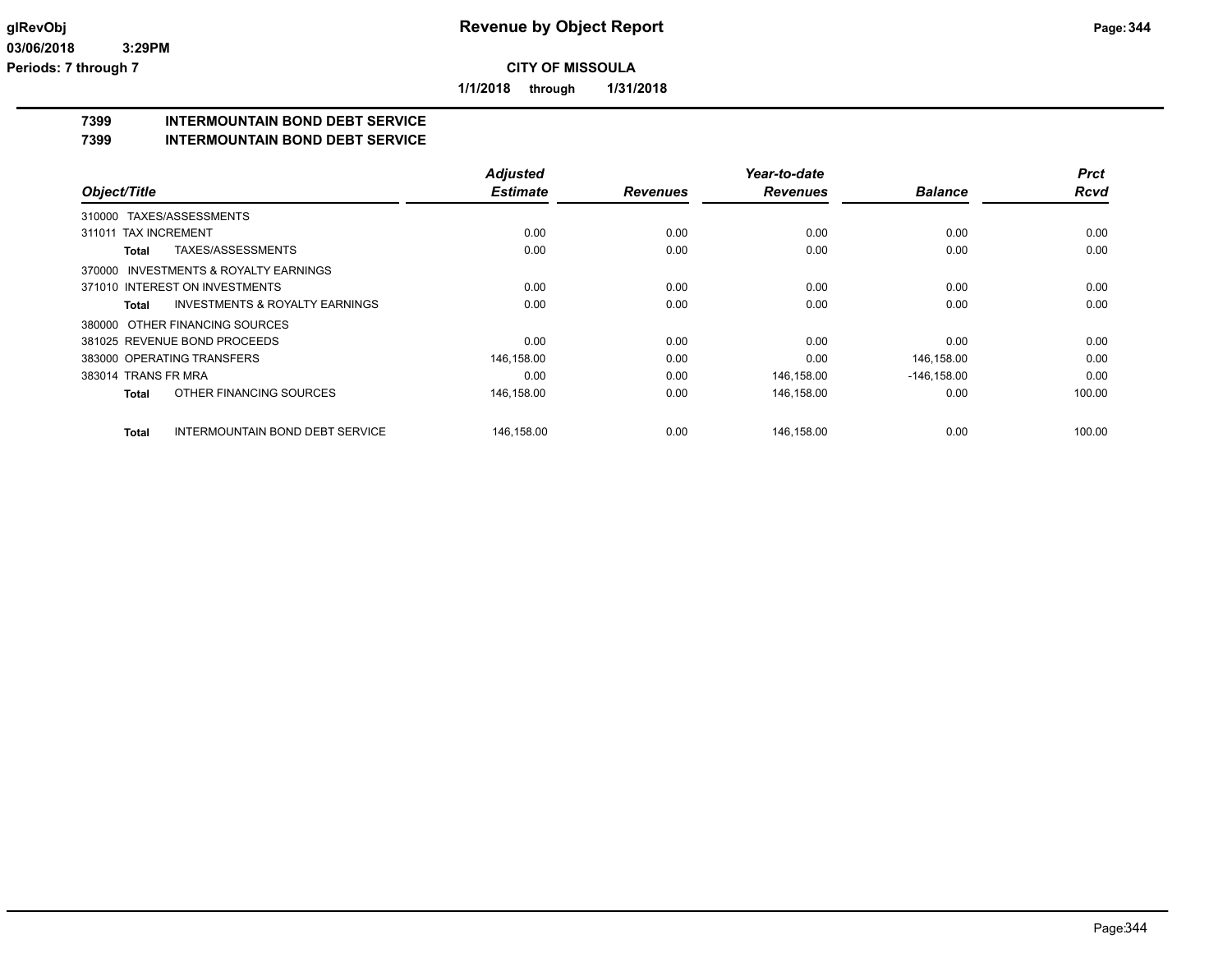**1/1/2018 through 1/31/2018**

# **7399 INTERMOUNTAIN BOND DEBT SERVICE**

#### **7399 INTERMOUNTAIN BOND DEBT SERVICE**

|                                |                                           | <b>Adjusted</b> |                 | Year-to-date    |                | <b>Prct</b> |
|--------------------------------|-------------------------------------------|-----------------|-----------------|-----------------|----------------|-------------|
| Object/Title                   |                                           | <b>Estimate</b> | <b>Revenues</b> | <b>Revenues</b> | <b>Balance</b> | <b>Rcvd</b> |
| 310000 TAXES/ASSESSMENTS       |                                           |                 |                 |                 |                |             |
| <b>TAX INCREMENT</b><br>311011 |                                           | 0.00            | 0.00            | 0.00            | 0.00           | 0.00        |
| Total                          | TAXES/ASSESSMENTS                         | 0.00            | 0.00            | 0.00            | 0.00           | 0.00        |
|                                | 370000 INVESTMENTS & ROYALTY EARNINGS     |                 |                 |                 |                |             |
|                                | 371010 INTEREST ON INVESTMENTS            | 0.00            | 0.00            | 0.00            | 0.00           | 0.00        |
| Total                          | <b>INVESTMENTS &amp; ROYALTY EARNINGS</b> | 0.00            | 0.00            | 0.00            | 0.00           | 0.00        |
|                                | 380000 OTHER FINANCING SOURCES            |                 |                 |                 |                |             |
|                                | 381025 REVENUE BOND PROCEEDS              | 0.00            | 0.00            | 0.00            | 0.00           | 0.00        |
| 383000 OPERATING TRANSFERS     |                                           | 146,158.00      | 0.00            | 0.00            | 146,158.00     | 0.00        |
| 383014 TRANS FR MRA            |                                           | 0.00            | 0.00            | 146,158.00      | $-146, 158.00$ | 0.00        |
| <b>Total</b>                   | OTHER FINANCING SOURCES                   | 146,158.00      | 0.00            | 146,158.00      | 0.00           | 100.00      |
| <b>Total</b>                   | <b>INTERMOUNTAIN BOND DEBT SERVICE</b>    | 146,158.00      | 0.00            | 146,158.00      | 0.00           | 100.00      |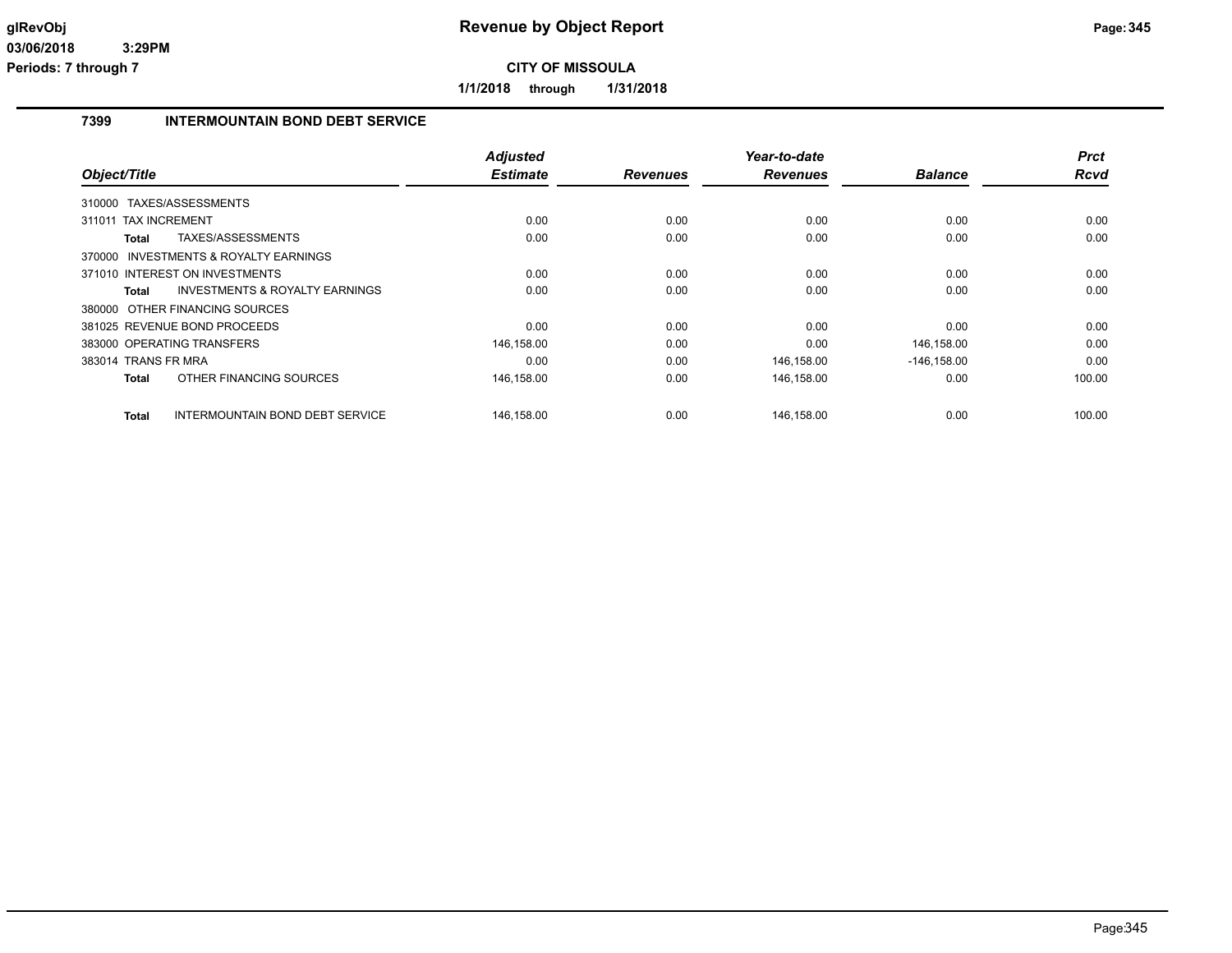**1/1/2018 through 1/31/2018**

## **7399 INTERMOUNTAIN BOND DEBT SERVICE**

|                          |                                           | <b>Adjusted</b> |                 | Year-to-date    |                | <b>Prct</b> |
|--------------------------|-------------------------------------------|-----------------|-----------------|-----------------|----------------|-------------|
| Object/Title             |                                           | <b>Estimate</b> | <b>Revenues</b> | <b>Revenues</b> | <b>Balance</b> | Rcvd        |
| 310000 TAXES/ASSESSMENTS |                                           |                 |                 |                 |                |             |
| 311011 TAX INCREMENT     |                                           | 0.00            | 0.00            | 0.00            | 0.00           | 0.00        |
| Total                    | TAXES/ASSESSMENTS                         | 0.00            | 0.00            | 0.00            | 0.00           | 0.00        |
|                          | 370000 INVESTMENTS & ROYALTY EARNINGS     |                 |                 |                 |                |             |
|                          | 371010 INTEREST ON INVESTMENTS            | 0.00            | 0.00            | 0.00            | 0.00           | 0.00        |
| Total                    | <b>INVESTMENTS &amp; ROYALTY EARNINGS</b> | 0.00            | 0.00            | 0.00            | 0.00           | 0.00        |
|                          | 380000 OTHER FINANCING SOURCES            |                 |                 |                 |                |             |
|                          | 381025 REVENUE BOND PROCEEDS              | 0.00            | 0.00            | 0.00            | 0.00           | 0.00        |
|                          | 383000 OPERATING TRANSFERS                | 146,158.00      | 0.00            | 0.00            | 146,158.00     | 0.00        |
| 383014 TRANS FR MRA      |                                           | 0.00            | 0.00            | 146,158.00      | $-146, 158.00$ | 0.00        |
| <b>Total</b>             | OTHER FINANCING SOURCES                   | 146,158.00      | 0.00            | 146,158.00      | 0.00           | 100.00      |
| <b>Total</b>             | INTERMOUNTAIN BOND DEBT SERVICE           | 146,158.00      | 0.00            | 146,158.00      | 0.00           | 100.00      |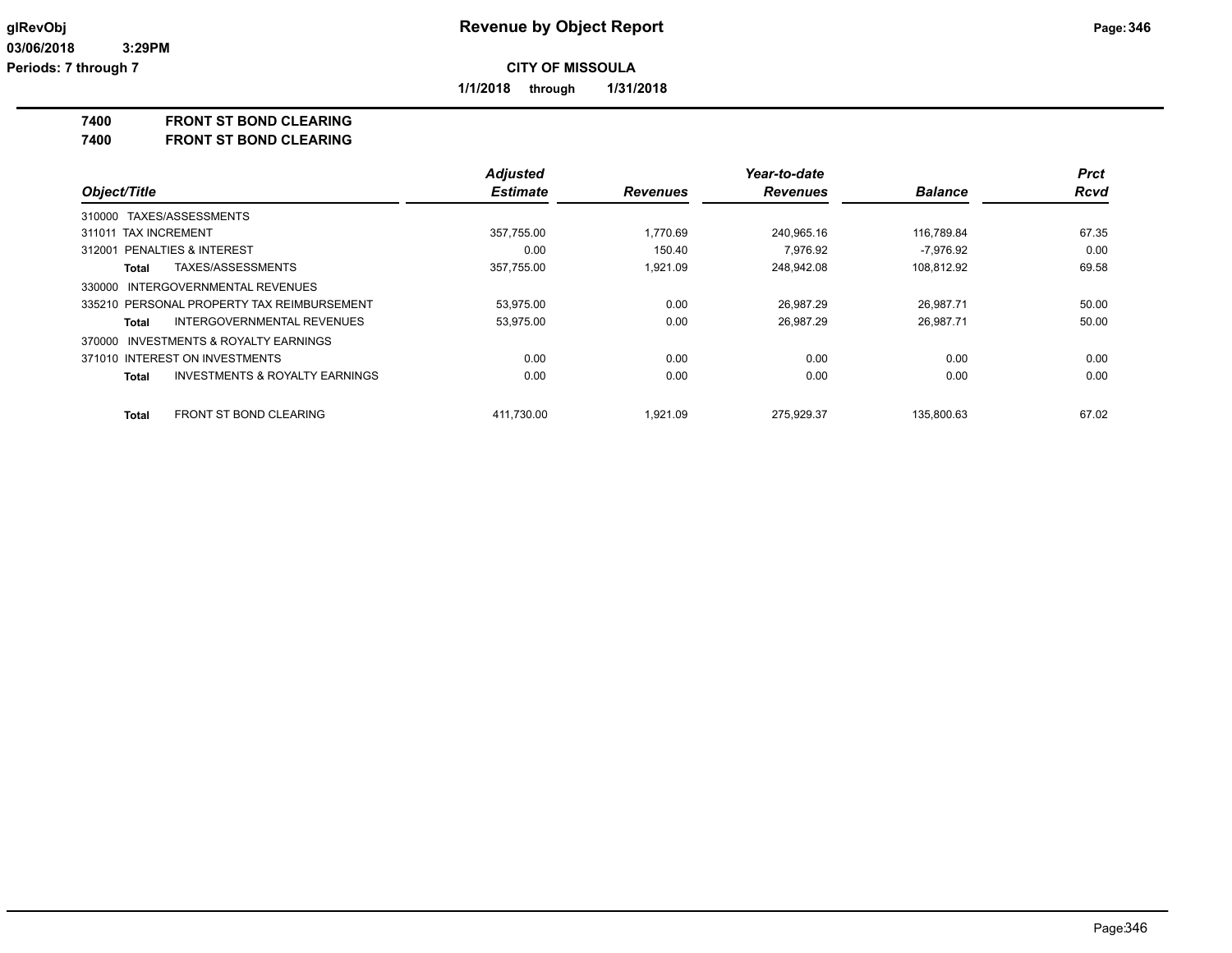**1/1/2018 through 1/31/2018**

**7400 FRONT ST BOND CLEARING**

**7400 FRONT ST BOND CLEARING**

|                                                           | <b>Adjusted</b> |                 | Year-to-date    |                | <b>Prct</b> |
|-----------------------------------------------------------|-----------------|-----------------|-----------------|----------------|-------------|
| Object/Title                                              | <b>Estimate</b> | <b>Revenues</b> | <b>Revenues</b> | <b>Balance</b> | <b>Rcvd</b> |
| 310000 TAXES/ASSESSMENTS                                  |                 |                 |                 |                |             |
| 311011 TAX INCREMENT                                      | 357,755.00      | 1.770.69        | 240,965.16      | 116,789.84     | 67.35       |
| <b>PENALTIES &amp; INTEREST</b><br>312001                 | 0.00            | 150.40          | 7.976.92        | $-7.976.92$    | 0.00        |
| TAXES/ASSESSMENTS<br>Total                                | 357,755.00      | 1.921.09        | 248,942.08      | 108,812.92     | 69.58       |
| 330000 INTERGOVERNMENTAL REVENUES                         |                 |                 |                 |                |             |
| 335210 PERSONAL PROPERTY TAX REIMBURSEMENT                | 53.975.00       | 0.00            | 26.987.29       | 26.987.71      | 50.00       |
| INTERGOVERNMENTAL REVENUES<br>Total                       | 53,975.00       | 0.00            | 26,987.29       | 26,987.71      | 50.00       |
| 370000 INVESTMENTS & ROYALTY EARNINGS                     |                 |                 |                 |                |             |
| 371010 INTEREST ON INVESTMENTS                            | 0.00            | 0.00            | 0.00            | 0.00           | 0.00        |
| <b>INVESTMENTS &amp; ROYALTY EARNINGS</b><br><b>Total</b> | 0.00            | 0.00            | 0.00            | 0.00           | 0.00        |
| <b>FRONT ST BOND CLEARING</b><br><b>Total</b>             | 411.730.00      | 1.921.09        | 275.929.37      | 135.800.63     | 67.02       |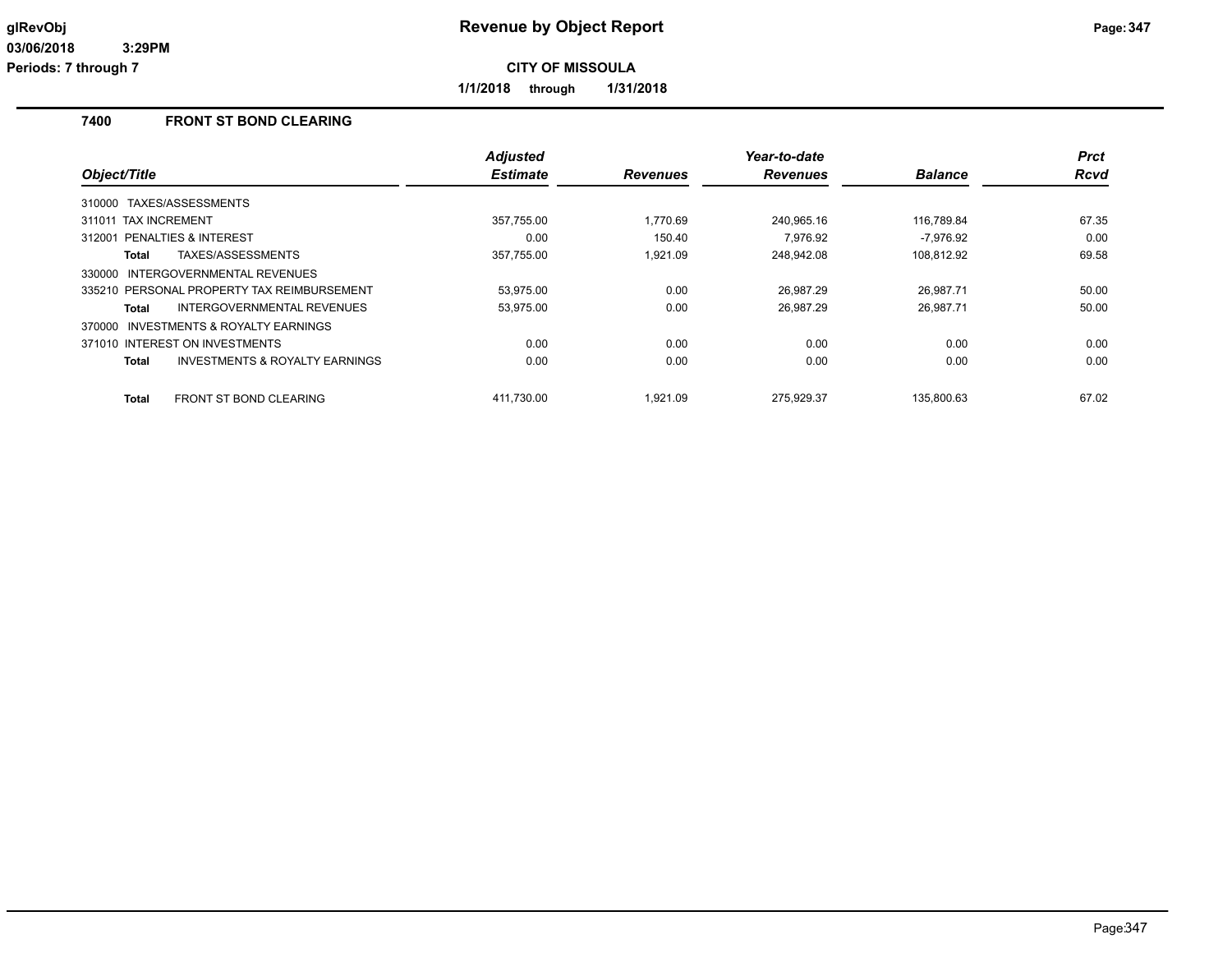**1/1/2018 through 1/31/2018**

# **7400 FRONT ST BOND CLEARING**

|                                                    | <b>Adjusted</b> |                 | Year-to-date    |                | <b>Prct</b> |
|----------------------------------------------------|-----------------|-----------------|-----------------|----------------|-------------|
| Object/Title                                       | <b>Estimate</b> | <b>Revenues</b> | <b>Revenues</b> | <b>Balance</b> | <b>Rcvd</b> |
| TAXES/ASSESSMENTS<br>310000                        |                 |                 |                 |                |             |
| 311011 TAX INCREMENT                               | 357,755.00      | 1.770.69        | 240,965.16      | 116,789.84     | 67.35       |
| PENALTIES & INTEREST<br>312001                     | 0.00            | 150.40          | 7.976.92        | $-7.976.92$    | 0.00        |
| TAXES/ASSESSMENTS<br>Total                         | 357,755.00      | 1,921.09        | 248,942.08      | 108,812.92     | 69.58       |
| <b>INTERGOVERNMENTAL REVENUES</b><br>330000        |                 |                 |                 |                |             |
| 335210 PERSONAL PROPERTY TAX REIMBURSEMENT         | 53,975.00       | 0.00            | 26,987.29       | 26,987.71      | 50.00       |
| INTERGOVERNMENTAL REVENUES<br>Total                | 53,975.00       | 0.00            | 26,987.29       | 26,987.71      | 50.00       |
| INVESTMENTS & ROYALTY EARNINGS<br>370000           |                 |                 |                 |                |             |
| 371010 INTEREST ON INVESTMENTS                     | 0.00            | 0.00            | 0.00            | 0.00           | 0.00        |
| <b>INVESTMENTS &amp; ROYALTY EARNINGS</b><br>Total | 0.00            | 0.00            | 0.00            | 0.00           | 0.00        |
| <b>FRONT ST BOND CLEARING</b><br><b>Total</b>      | 411.730.00      | 1.921.09        | 275.929.37      | 135.800.63     | 67.02       |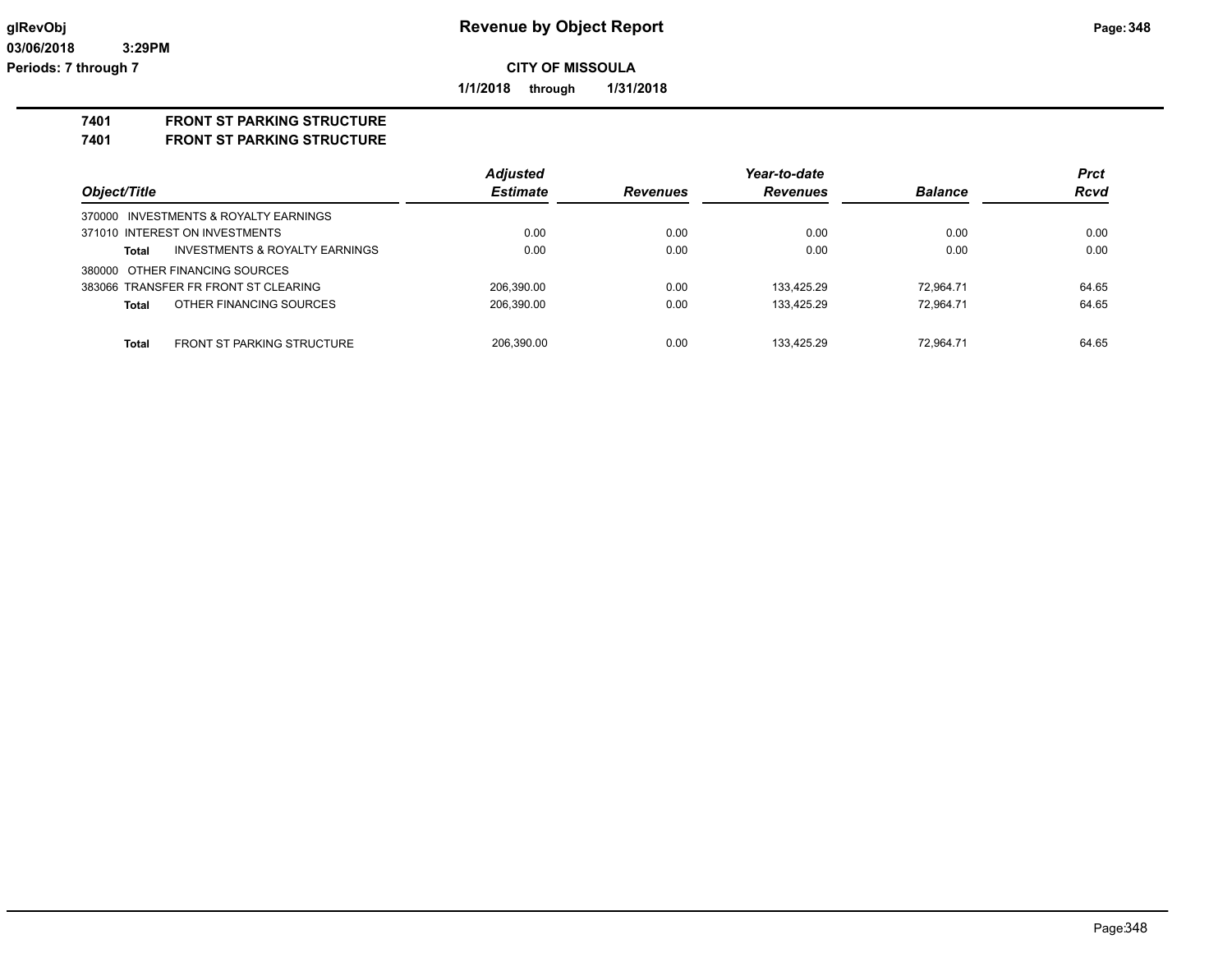**1/1/2018 through 1/31/2018**

### **7401 FRONT ST PARKING STRUCTURE**

**7401 FRONT ST PARKING STRUCTURE**

|                                                   | <b>Adjusted</b> |                 | Year-to-date    |                | <b>Prct</b> |
|---------------------------------------------------|-----------------|-----------------|-----------------|----------------|-------------|
| Object/Title                                      | <b>Estimate</b> | <b>Revenues</b> | <b>Revenues</b> | <b>Balance</b> | <b>Rcvd</b> |
| 370000 INVESTMENTS & ROYALTY EARNINGS             |                 |                 |                 |                |             |
| 371010 INTEREST ON INVESTMENTS                    | 0.00            | 0.00            | 0.00            | 0.00           | 0.00        |
| INVESTMENTS & ROYALTY EARNINGS<br><b>Total</b>    | 0.00            | 0.00            | 0.00            | 0.00           | 0.00        |
| 380000 OTHER FINANCING SOURCES                    |                 |                 |                 |                |             |
| 383066 TRANSFER FR FRONT ST CLEARING              | 206.390.00      | 0.00            | 133.425.29      | 72.964.71      | 64.65       |
| OTHER FINANCING SOURCES<br><b>Total</b>           | 206,390.00      | 0.00            | 133.425.29      | 72.964.71      | 64.65       |
| <b>Total</b><br><b>FRONT ST PARKING STRUCTURE</b> | 206.390.00      | 0.00            | 133.425.29      | 72.964.71      | 64.65       |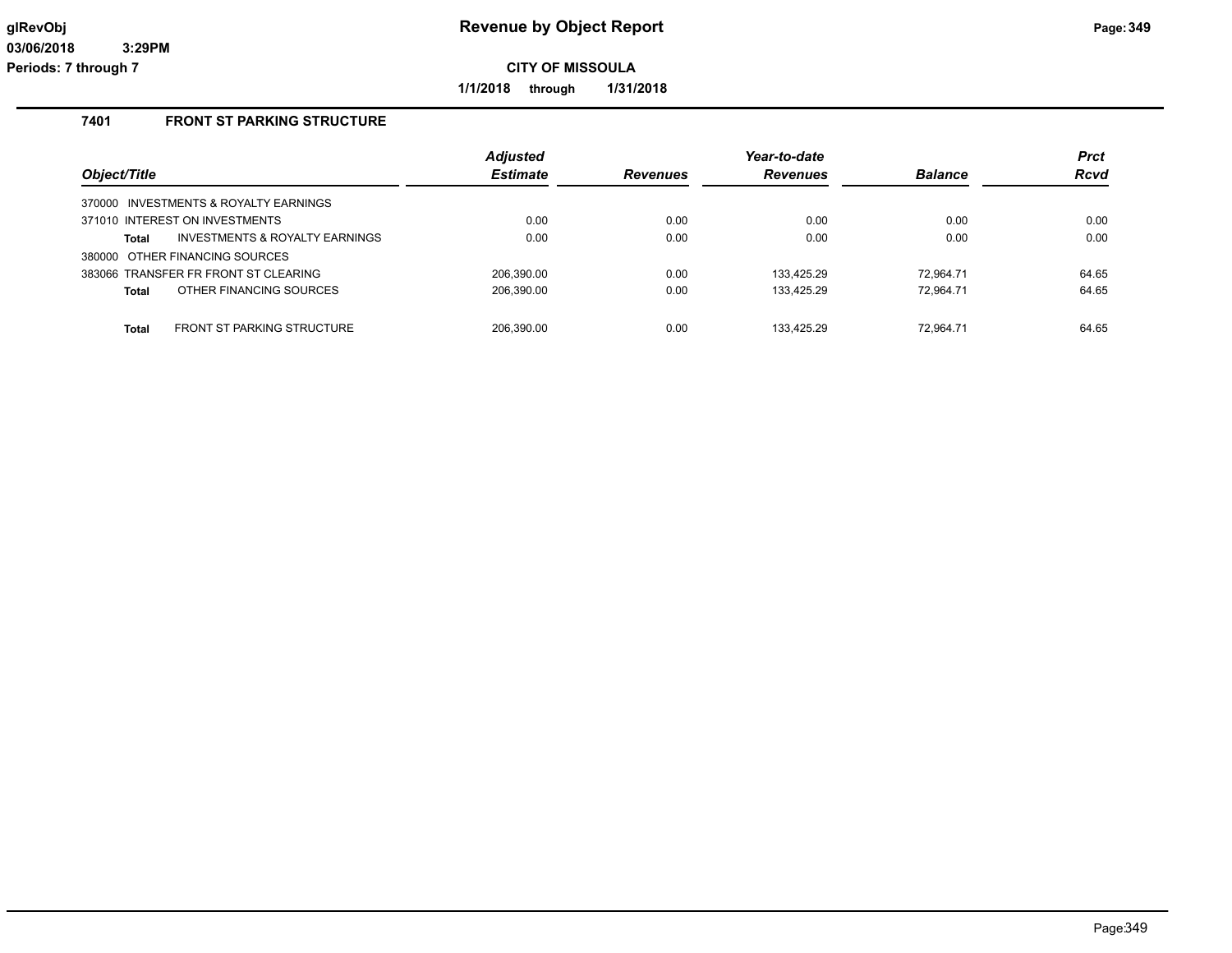**1/1/2018 through 1/31/2018**

# **7401 FRONT ST PARKING STRUCTURE**

| Object/Title                               | <b>Adjusted</b><br><b>Estimate</b> | <b>Revenues</b> | Year-to-date<br><b>Revenues</b> | <b>Balance</b> | <b>Prct</b><br>Rcvd |
|--------------------------------------------|------------------------------------|-----------------|---------------------------------|----------------|---------------------|
| 370000 INVESTMENTS & ROYALTY EARNINGS      |                                    |                 |                                 |                |                     |
| 371010 INTEREST ON INVESTMENTS             | 0.00                               | 0.00            | 0.00                            | 0.00           | 0.00                |
| INVESTMENTS & ROYALTY EARNINGS<br>Total    | 0.00                               | 0.00            | 0.00                            | 0.00           | 0.00                |
| 380000 OTHER FINANCING SOURCES             |                                    |                 |                                 |                |                     |
| 383066 TRANSFER FR FRONT ST CLEARING       | 206.390.00                         | 0.00            | 133.425.29                      | 72.964.71      | 64.65               |
| OTHER FINANCING SOURCES<br><b>Total</b>    | 206,390.00                         | 0.00            | 133,425.29                      | 72.964.71      | 64.65               |
|                                            |                                    |                 |                                 |                |                     |
| FRONT ST PARKING STRUCTURE<br><b>Total</b> | 206.390.00                         | 0.00            | 133.425.29                      | 72.964.71      | 64.65               |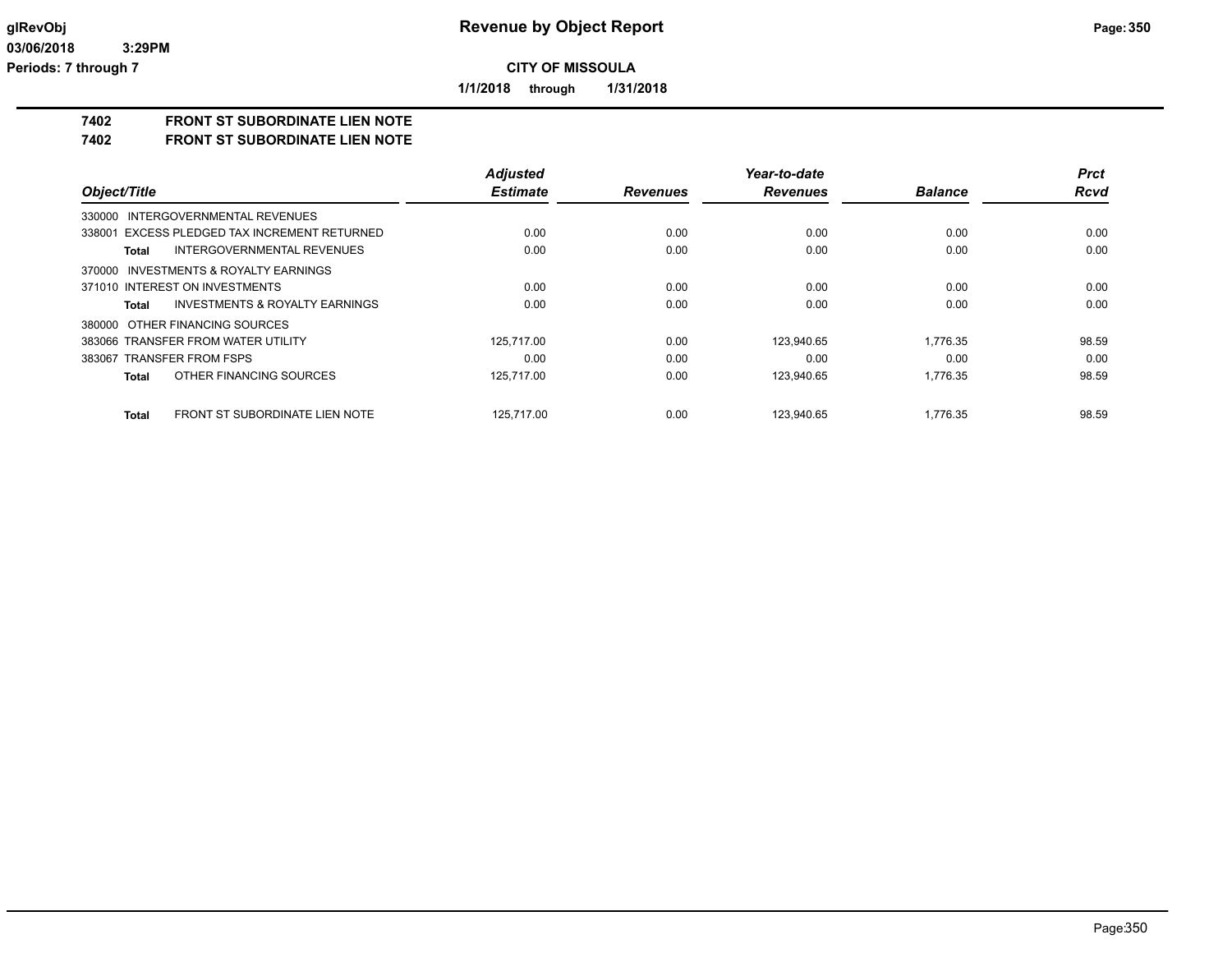**1/1/2018 through 1/31/2018**

# **7402 FRONT ST SUBORDINATE LIEN NOTE**

**7402 FRONT ST SUBORDINATE LIEN NOTE**

|                                                           | <b>Adjusted</b> |                 | Year-to-date    |                | <b>Prct</b> |
|-----------------------------------------------------------|-----------------|-----------------|-----------------|----------------|-------------|
| Object/Title                                              | <b>Estimate</b> | <b>Revenues</b> | <b>Revenues</b> | <b>Balance</b> | <b>Rcvd</b> |
| INTERGOVERNMENTAL REVENUES<br>330000                      |                 |                 |                 |                |             |
| 338001 EXCESS PLEDGED TAX INCREMENT RETURNED              | 0.00            | 0.00            | 0.00            | 0.00           | 0.00        |
| INTERGOVERNMENTAL REVENUES<br><b>Total</b>                | 0.00            | 0.00            | 0.00            | 0.00           | 0.00        |
| INVESTMENTS & ROYALTY EARNINGS<br>370000                  |                 |                 |                 |                |             |
| 371010 INTEREST ON INVESTMENTS                            | 0.00            | 0.00            | 0.00            | 0.00           | 0.00        |
| <b>INVESTMENTS &amp; ROYALTY EARNINGS</b><br><b>Total</b> | 0.00            | 0.00            | 0.00            | 0.00           | 0.00        |
| 380000 OTHER FINANCING SOURCES                            |                 |                 |                 |                |             |
| 383066 TRANSFER FROM WATER UTILITY                        | 125.717.00      | 0.00            | 123.940.65      | 1,776.35       | 98.59       |
| 383067 TRANSFER FROM FSPS                                 | 0.00            | 0.00            | 0.00            | 0.00           | 0.00        |
| OTHER FINANCING SOURCES<br><b>Total</b>                   | 125.717.00      | 0.00            | 123,940.65      | 1,776.35       | 98.59       |
| <b>FRONT ST SUBORDINATE LIEN NOTE</b><br><b>Total</b>     | 125.717.00      | 0.00            | 123.940.65      | 1.776.35       | 98.59       |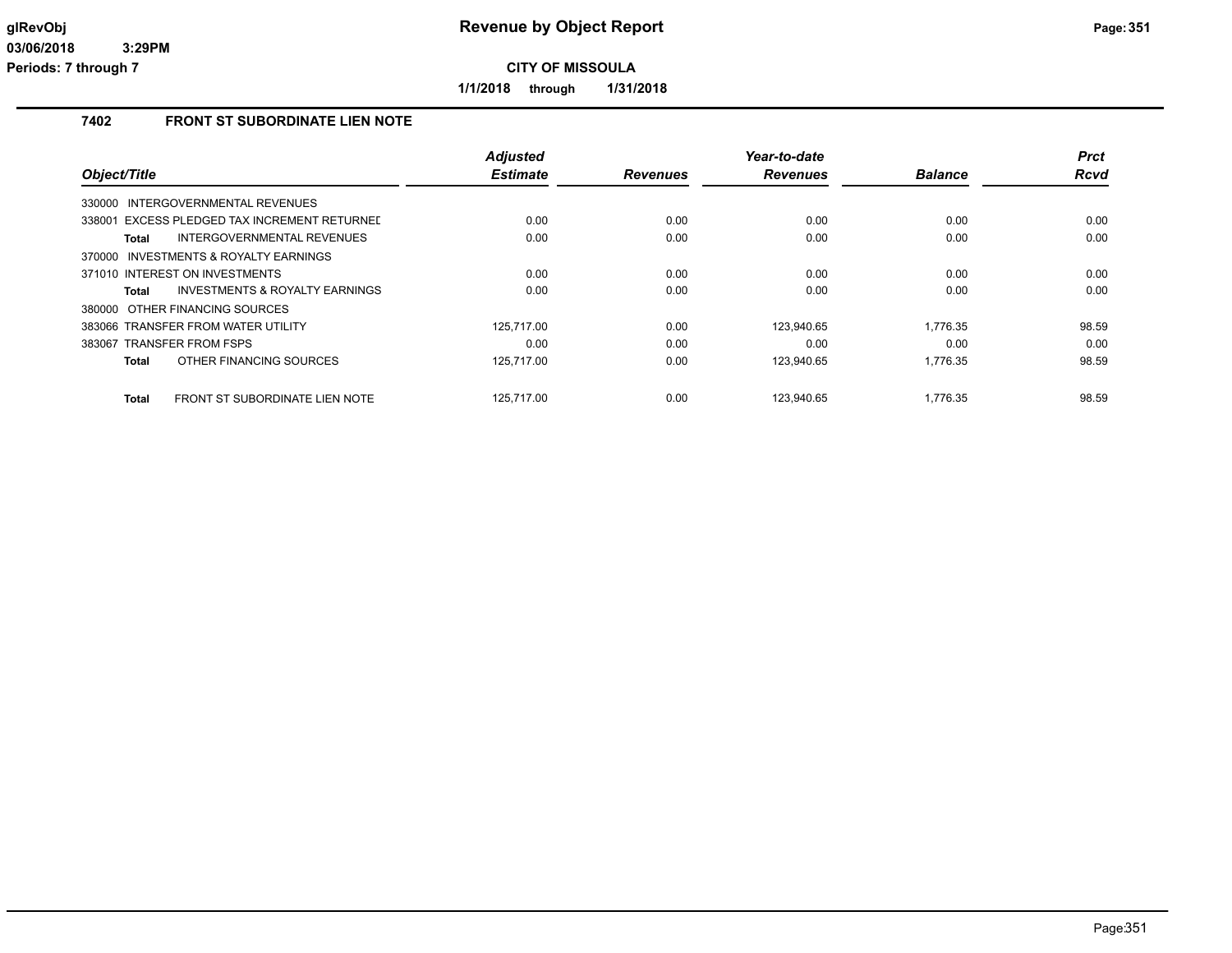**1/1/2018 through 1/31/2018**

# **7402 FRONT ST SUBORDINATE LIEN NOTE**

|                                                    | <b>Adjusted</b> |                 | Year-to-date    |                | <b>Prct</b> |
|----------------------------------------------------|-----------------|-----------------|-----------------|----------------|-------------|
| Object/Title                                       | <b>Estimate</b> | <b>Revenues</b> | <b>Revenues</b> | <b>Balance</b> | <b>Rcvd</b> |
| INTERGOVERNMENTAL REVENUES<br>330000               |                 |                 |                 |                |             |
| 338001 EXCESS PLEDGED TAX INCREMENT RETURNED       | 0.00            | 0.00            | 0.00            | 0.00           | 0.00        |
| <b>INTERGOVERNMENTAL REVENUES</b><br>Total         | 0.00            | 0.00            | 0.00            | 0.00           | 0.00        |
| INVESTMENTS & ROYALTY EARNINGS<br>370000           |                 |                 |                 |                |             |
| 371010 INTEREST ON INVESTMENTS                     | 0.00            | 0.00            | 0.00            | 0.00           | 0.00        |
| <b>INVESTMENTS &amp; ROYALTY EARNINGS</b><br>Total | 0.00            | 0.00            | 0.00            | 0.00           | 0.00        |
| 380000 OTHER FINANCING SOURCES                     |                 |                 |                 |                |             |
| 383066 TRANSFER FROM WATER UTILITY                 | 125.717.00      | 0.00            | 123.940.65      | 1.776.35       | 98.59       |
| 383067 TRANSFER FROM FSPS                          | 0.00            | 0.00            | 0.00            | 0.00           | 0.00        |
| OTHER FINANCING SOURCES<br>Total                   | 125,717.00      | 0.00            | 123,940.65      | 1,776.35       | 98.59       |
| FRONT ST SUBORDINATE LIEN NOTE<br>Total            | 125.717.00      | 0.00            | 123.940.65      | 1.776.35       | 98.59       |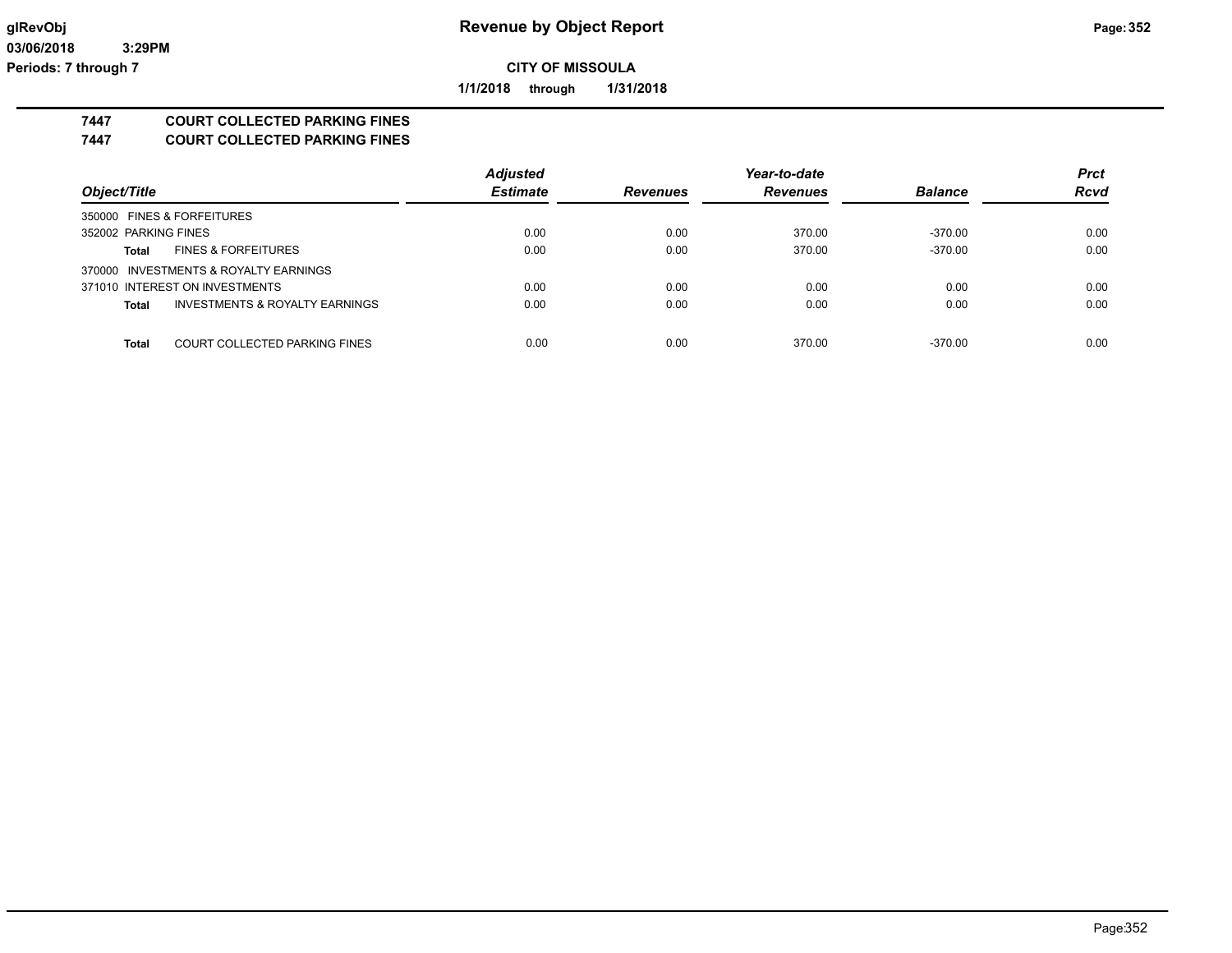**1/1/2018 through 1/31/2018**

# **7447 COURT COLLECTED PARKING FINES**

**7447 COURT COLLECTED PARKING FINES**

|                                               | <b>Adjusted</b> |                 | Year-to-date    |                | <b>Prct</b> |
|-----------------------------------------------|-----------------|-----------------|-----------------|----------------|-------------|
| Object/Title                                  | <b>Estimate</b> | <b>Revenues</b> | <b>Revenues</b> | <b>Balance</b> | <b>Rcvd</b> |
| 350000 FINES & FORFEITURES                    |                 |                 |                 |                |             |
| 352002 PARKING FINES                          | 0.00            | 0.00            | 370.00          | -370.00        | 0.00        |
| <b>FINES &amp; FORFEITURES</b><br>Total       | 0.00            | 0.00            | 370.00          | $-370.00$      | 0.00        |
| 370000 INVESTMENTS & ROYALTY EARNINGS         |                 |                 |                 |                |             |
| 371010 INTEREST ON INVESTMENTS                | 0.00            | 0.00            | 0.00            | 0.00           | 0.00        |
| INVESTMENTS & ROYALTY EARNINGS<br>Total       | 0.00            | 0.00            | 0.00            | 0.00           | 0.00        |
|                                               |                 |                 |                 |                |             |
| COURT COLLECTED PARKING FINES<br><b>Total</b> | 0.00            | 0.00            | 370.00          | $-370.00$      | 0.00        |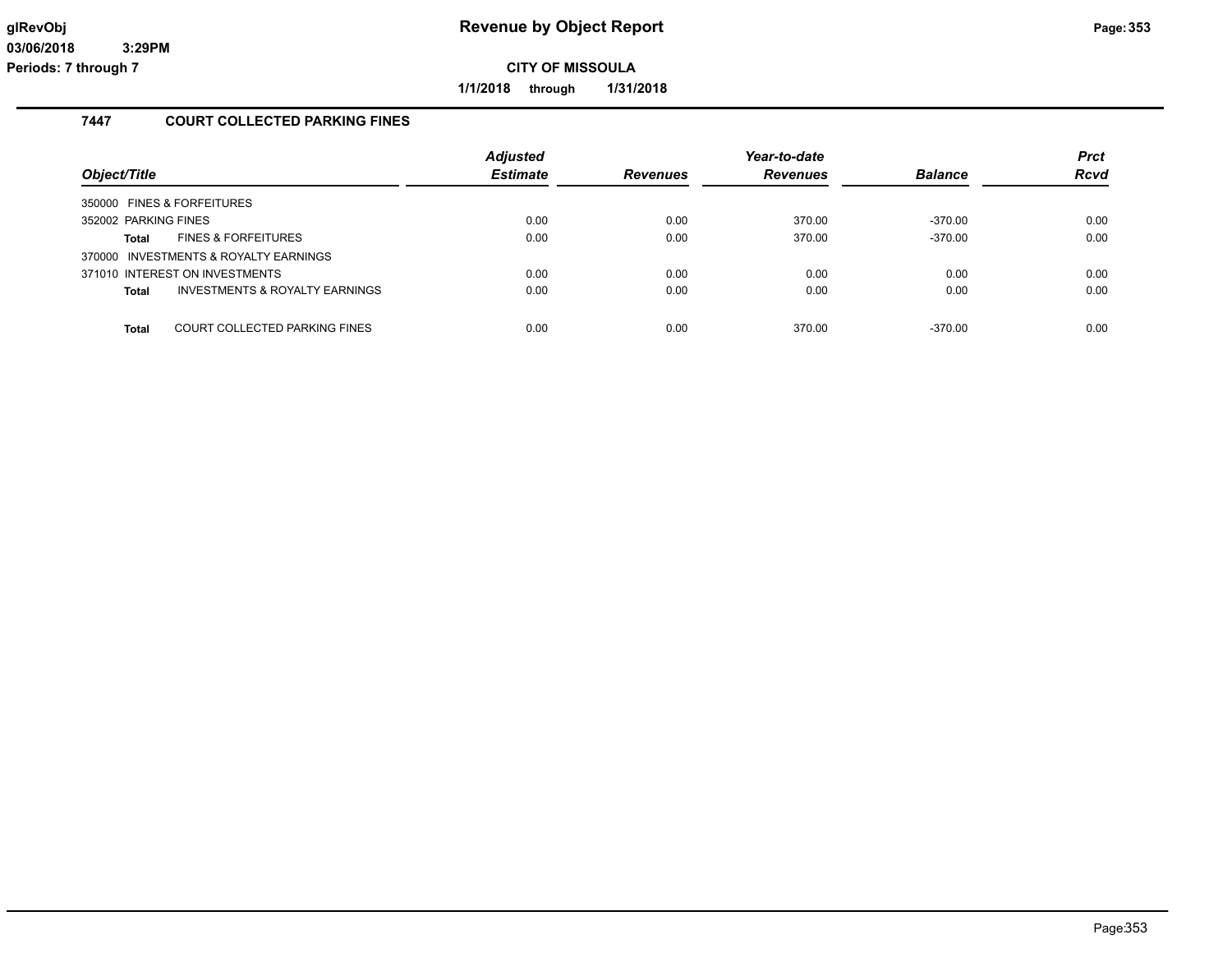**1/1/2018 through 1/31/2018**

# **7447 COURT COLLECTED PARKING FINES**

| Object/Title         |                                       | <b>Adjusted</b><br><b>Estimate</b> | <b>Revenues</b> | Year-to-date<br><b>Revenues</b> | <b>Balance</b> | <b>Prct</b><br>Rcvd |
|----------------------|---------------------------------------|------------------------------------|-----------------|---------------------------------|----------------|---------------------|
|                      | 350000 FINES & FORFEITURES            |                                    |                 |                                 |                |                     |
| 352002 PARKING FINES |                                       | 0.00                               | 0.00            | 370.00                          | $-370.00$      | 0.00                |
| <b>Total</b>         | <b>FINES &amp; FORFEITURES</b>        | 0.00                               | 0.00            | 370.00                          | $-370.00$      | 0.00                |
|                      | 370000 INVESTMENTS & ROYALTY EARNINGS |                                    |                 |                                 |                |                     |
|                      | 371010 INTEREST ON INVESTMENTS        | 0.00                               | 0.00            | 0.00                            | 0.00           | 0.00                |
| <b>Total</b>         | INVESTMENTS & ROYALTY EARNINGS        | 0.00                               | 0.00            | 0.00                            | 0.00           | 0.00                |
|                      |                                       |                                    |                 |                                 |                |                     |
| <b>Total</b>         | COURT COLLECTED PARKING FINES         | 0.00                               | 0.00            | 370.00                          | $-370.00$      | 0.00                |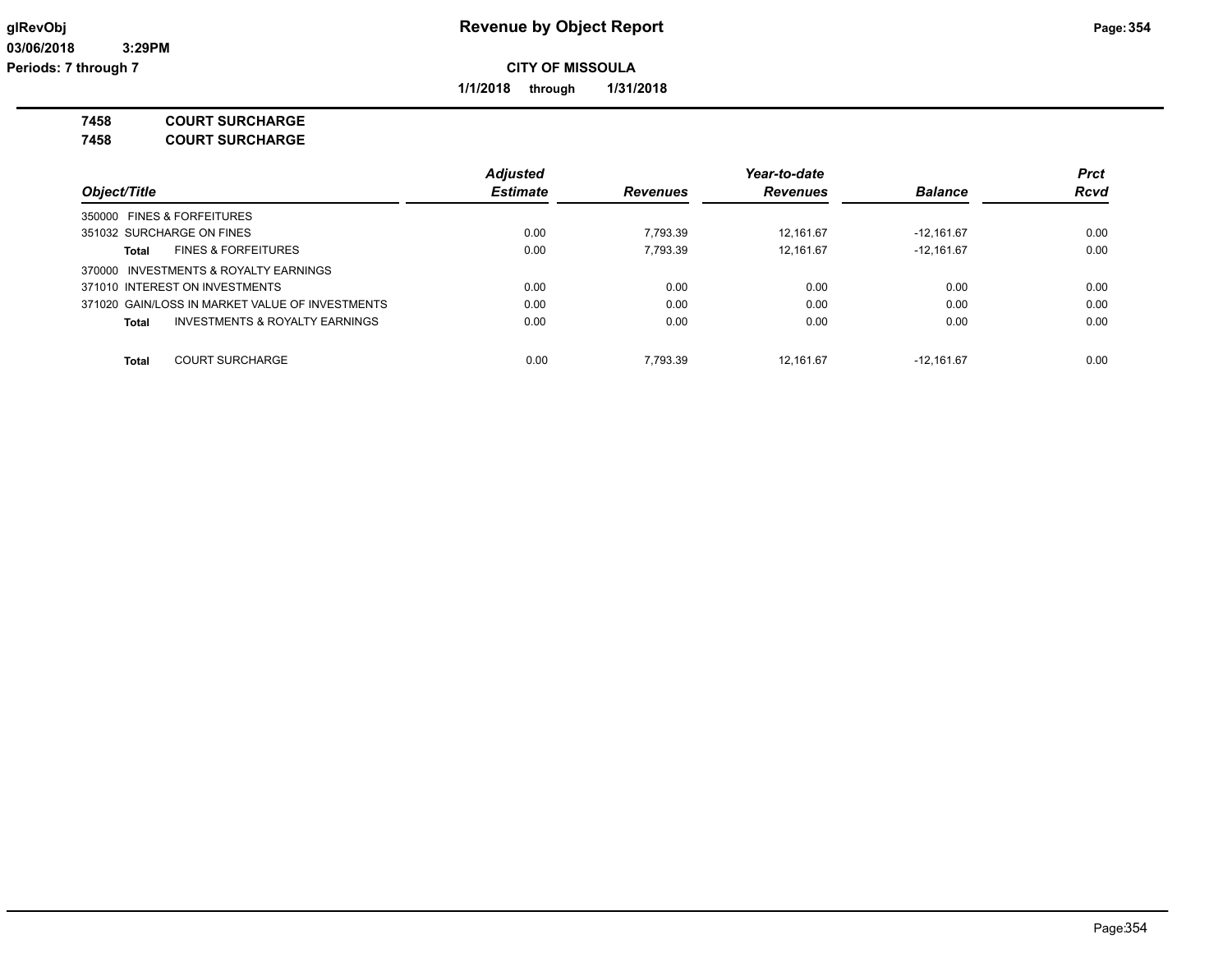**1/1/2018 through 1/31/2018**

**7458 COURT SURCHARGE**

**7458 COURT SURCHARGE**

|                                                 | <b>Adjusted</b> |                 | Year-to-date    |                | <b>Prct</b> |
|-------------------------------------------------|-----------------|-----------------|-----------------|----------------|-------------|
| Object/Title                                    | <b>Estimate</b> | <b>Revenues</b> | <b>Revenues</b> | <b>Balance</b> | <b>Rcvd</b> |
| 350000 FINES & FORFEITURES                      |                 |                 |                 |                |             |
| 351032 SURCHARGE ON FINES                       | 0.00            | 7.793.39        | 12.161.67       | $-12.161.67$   | 0.00        |
| <b>FINES &amp; FORFEITURES</b><br>Total         | 0.00            | 7.793.39        | 12.161.67       | $-12.161.67$   | 0.00        |
| INVESTMENTS & ROYALTY EARNINGS<br>370000        |                 |                 |                 |                |             |
| 371010 INTEREST ON INVESTMENTS                  | 0.00            | 0.00            | 0.00            | 0.00           | 0.00        |
| 371020 GAIN/LOSS IN MARKET VALUE OF INVESTMENTS | 0.00            | 0.00            | 0.00            | 0.00           | 0.00        |
| INVESTMENTS & ROYALTY EARNINGS<br><b>Total</b>  | 0.00            | 0.00            | 0.00            | 0.00           | 0.00        |
| <b>COURT SURCHARGE</b><br><b>Total</b>          | 0.00            | 7.793.39        | 12.161.67       | $-12.161.67$   | 0.00        |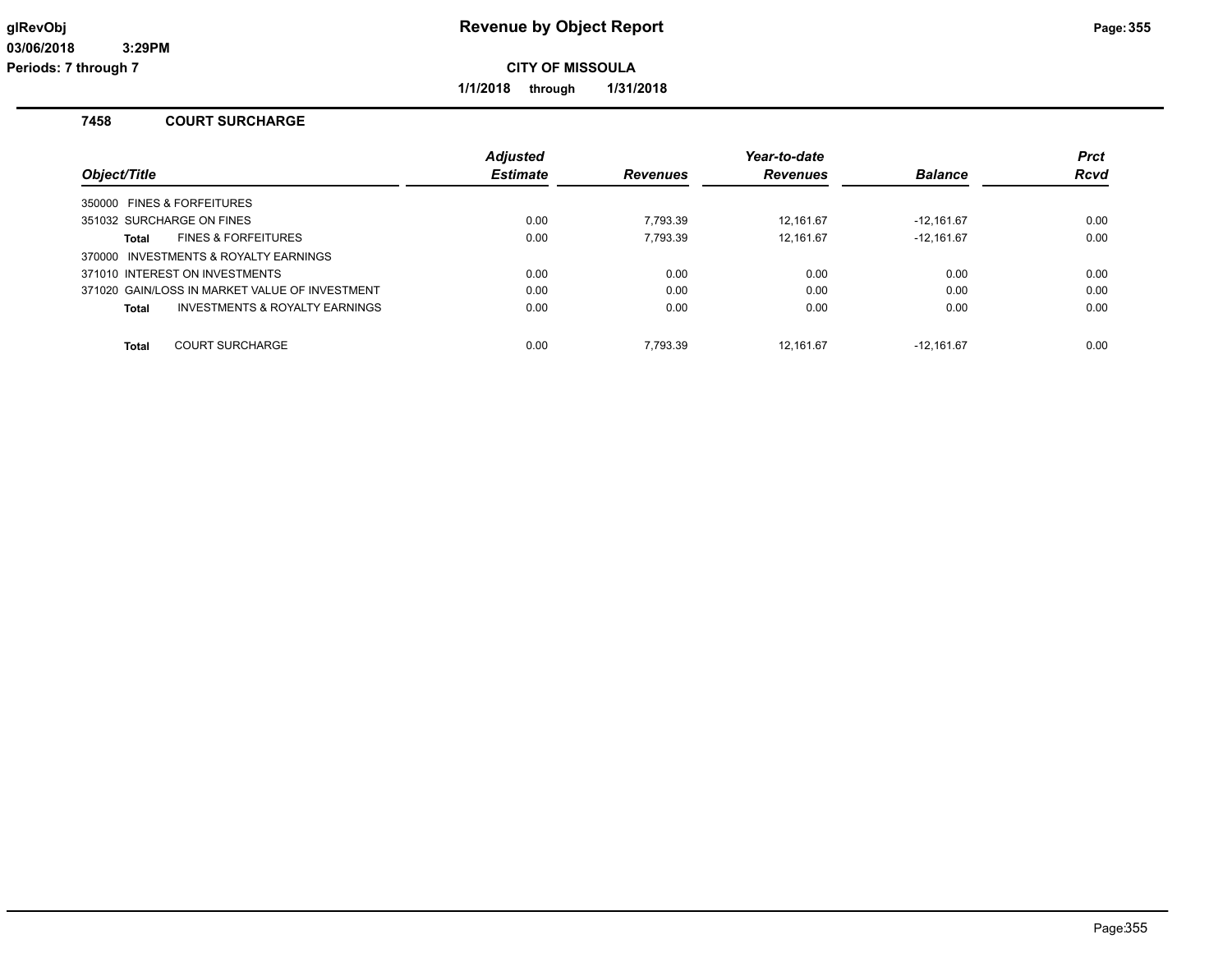**Periods: 7 through 7**

**CITY OF MISSOULA**

**1/1/2018 through 1/31/2018**

#### **7458 COURT SURCHARGE**

| Object/Title |                                                | <b>Adjusted</b><br><b>Estimate</b> | <b>Revenues</b> | Year-to-date<br><b>Revenues</b> | <b>Balance</b> | <b>Prct</b><br>Rcvd |
|--------------|------------------------------------------------|------------------------------------|-----------------|---------------------------------|----------------|---------------------|
|              | 350000 FINES & FORFEITURES                     |                                    |                 |                                 |                |                     |
|              | 351032 SURCHARGE ON FINES                      | 0.00                               | 7.793.39        | 12.161.67                       | $-12.161.67$   | 0.00                |
| Total        | <b>FINES &amp; FORFEITURES</b>                 | 0.00                               | 7.793.39        | 12.161.67                       | $-12.161.67$   | 0.00                |
|              | 370000 INVESTMENTS & ROYALTY EARNINGS          |                                    |                 |                                 |                |                     |
|              | 371010 INTEREST ON INVESTMENTS                 | 0.00                               | 0.00            | 0.00                            | 0.00           | 0.00                |
|              | 371020 GAIN/LOSS IN MARKET VALUE OF INVESTMENT | 0.00                               | 0.00            | 0.00                            | 0.00           | 0.00                |
| Total        | INVESTMENTS & ROYALTY EARNINGS                 | 0.00                               | 0.00            | 0.00                            | 0.00           | 0.00                |
| <b>Total</b> | <b>COURT SURCHARGE</b>                         | 0.00                               | 7.793.39        | 12.161.67                       | $-12.161.67$   | 0.00                |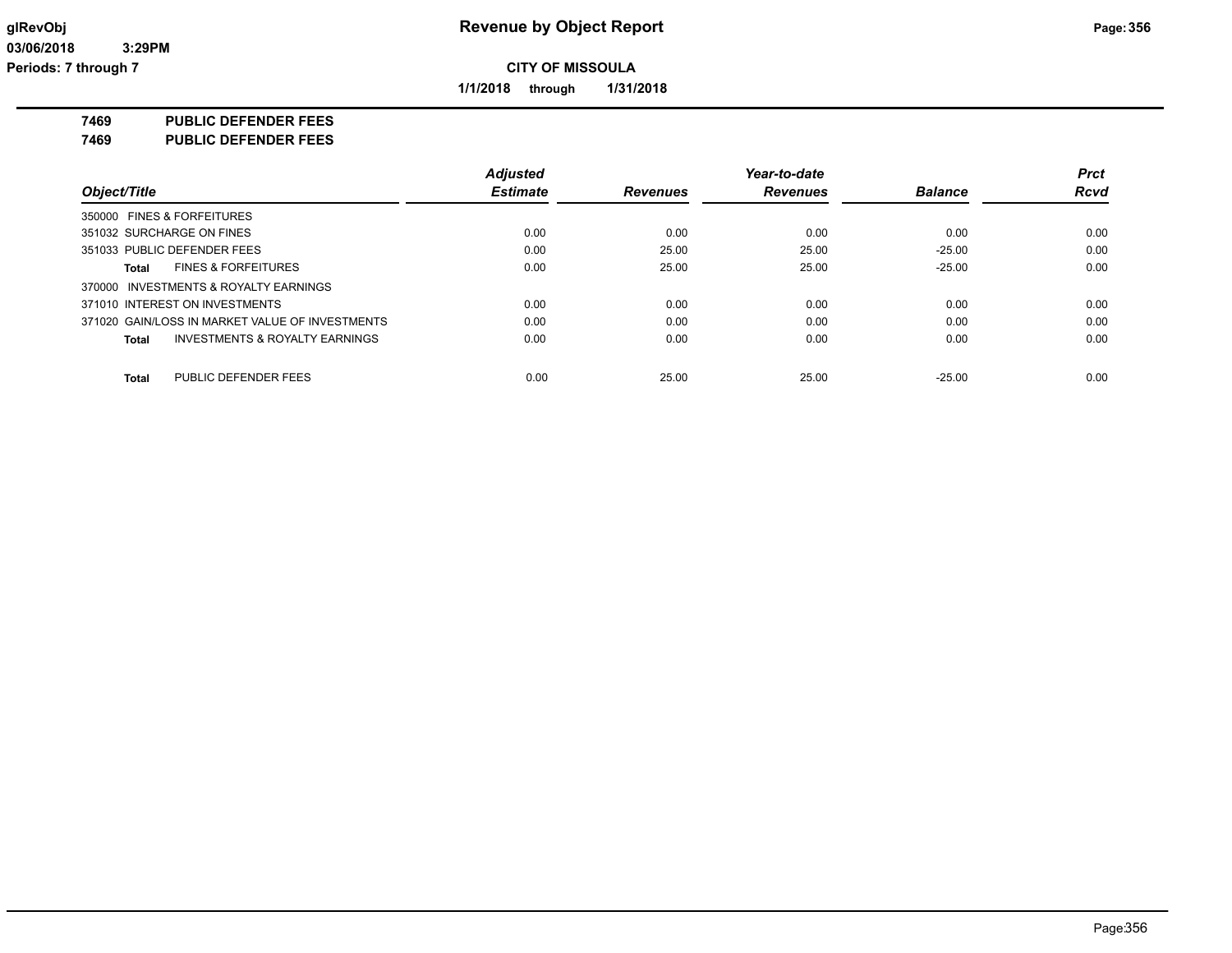**1/1/2018 through 1/31/2018**

**7469 PUBLIC DEFENDER FEES**

**7469 PUBLIC DEFENDER FEES**

|                                                 | <b>Adjusted</b> |          | Year-to-date    |                | <b>Prct</b> |
|-------------------------------------------------|-----------------|----------|-----------------|----------------|-------------|
| Object/Title                                    | <b>Estimate</b> | Revenues | <b>Revenues</b> | <b>Balance</b> | <b>Rcvd</b> |
| 350000 FINES & FORFEITURES                      |                 |          |                 |                |             |
| 351032 SURCHARGE ON FINES                       | 0.00            | 0.00     | 0.00            | 0.00           | 0.00        |
| 351033 PUBLIC DEFENDER FEES                     | 0.00            | 25.00    | 25.00           | $-25.00$       | 0.00        |
| <b>FINES &amp; FORFEITURES</b><br>Total         | 0.00            | 25.00    | 25.00           | $-25.00$       | 0.00        |
| 370000 INVESTMENTS & ROYALTY EARNINGS           |                 |          |                 |                |             |
| 371010 INTEREST ON INVESTMENTS                  | 0.00            | 0.00     | 0.00            | 0.00           | 0.00        |
| 371020 GAIN/LOSS IN MARKET VALUE OF INVESTMENTS | 0.00            | 0.00     | 0.00            | 0.00           | 0.00        |
| INVESTMENTS & ROYALTY EARNINGS<br>Total         | 0.00            | 0.00     | 0.00            | 0.00           | 0.00        |
| PUBLIC DEFENDER FEES<br>Total                   | 0.00            | 25.00    | 25.00           | $-25.00$       | 0.00        |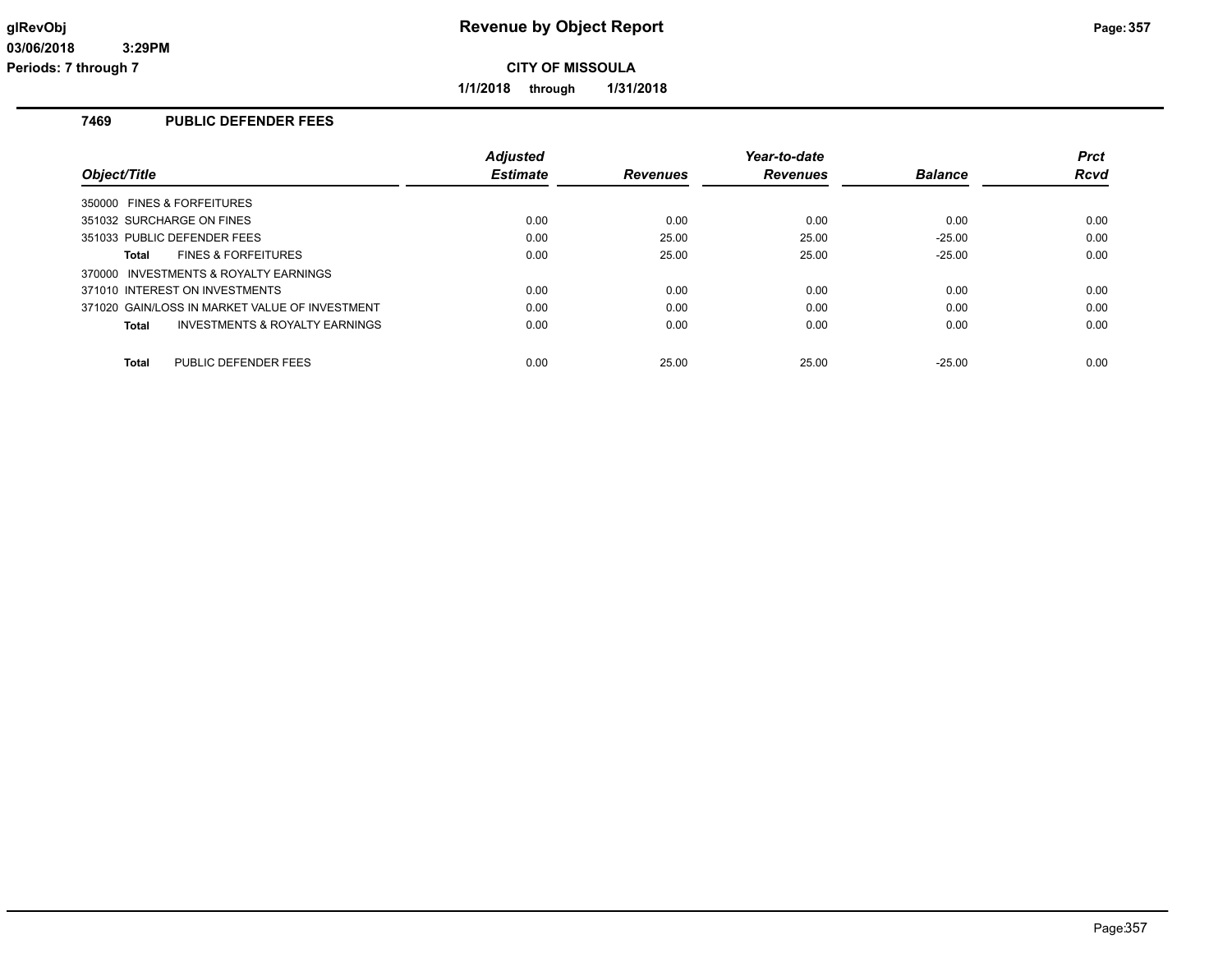**1/1/2018 through 1/31/2018**

## **7469 PUBLIC DEFENDER FEES**

|                                                | <b>Adjusted</b> |                 | Year-to-date    |                | <b>Prct</b> |
|------------------------------------------------|-----------------|-----------------|-----------------|----------------|-------------|
| Object/Title                                   | <b>Estimate</b> | <b>Revenues</b> | <b>Revenues</b> | <b>Balance</b> | Rcvd        |
| 350000 FINES & FORFEITURES                     |                 |                 |                 |                |             |
| 351032 SURCHARGE ON FINES                      | 0.00            | 0.00            | 0.00            | 0.00           | 0.00        |
| 351033 PUBLIC DEFENDER FEES                    | 0.00            | 25.00           | 25.00           | $-25.00$       | 0.00        |
| <b>FINES &amp; FORFEITURES</b><br>Total        | 0.00            | 25.00           | 25.00           | $-25.00$       | 0.00        |
| 370000 INVESTMENTS & ROYALTY EARNINGS          |                 |                 |                 |                |             |
| 371010 INTEREST ON INVESTMENTS                 | 0.00            | 0.00            | 0.00            | 0.00           | 0.00        |
| 371020 GAIN/LOSS IN MARKET VALUE OF INVESTMENT | 0.00            | 0.00            | 0.00            | 0.00           | 0.00        |
| INVESTMENTS & ROYALTY EARNINGS<br>Total        | 0.00            | 0.00            | 0.00            | 0.00           | 0.00        |
| PUBLIC DEFENDER FEES<br><b>Total</b>           | 0.00            | 25.00           | 25.00           | $-25.00$       | 0.00        |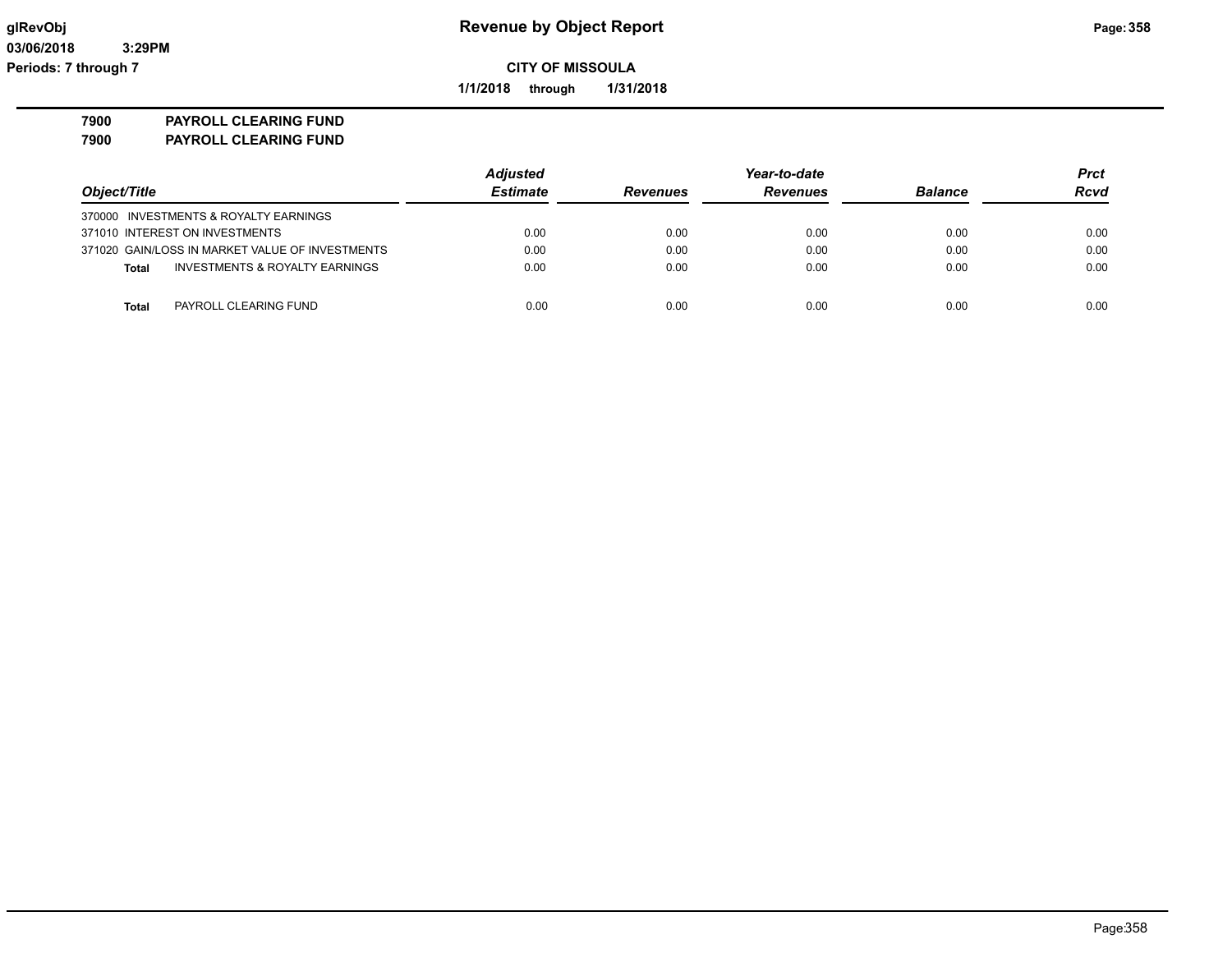**1/1/2018 through 1/31/2018**

**7900 PAYROLL CLEARING FUND**

**7900 PAYROLL CLEARING FUND**

|                                                 | <b>Adjusted</b>                    |      | Year-to-date    |                | <b>Prct</b> |
|-------------------------------------------------|------------------------------------|------|-----------------|----------------|-------------|
| Object/Title                                    | <b>Estimate</b><br><b>Revenues</b> |      | <b>Revenues</b> | <b>Balance</b> | <b>Rcvd</b> |
| 370000 INVESTMENTS & ROYALTY EARNINGS           |                                    |      |                 |                |             |
| 371010 INTEREST ON INVESTMENTS                  | 0.00                               | 0.00 | 0.00            | 0.00           | 0.00        |
| 371020 GAIN/LOSS IN MARKET VALUE OF INVESTMENTS | 0.00                               | 0.00 | 0.00            | 0.00           | 0.00        |
| INVESTMENTS & ROYALTY EARNINGS<br>Total         | 0.00                               | 0.00 | 0.00            | 0.00           | 0.00        |
|                                                 |                                    |      |                 |                |             |
| PAYROLL CLEARING FUND<br>Total                  | 0.00                               | 0.00 | 0.00            | 0.00           | 0.00        |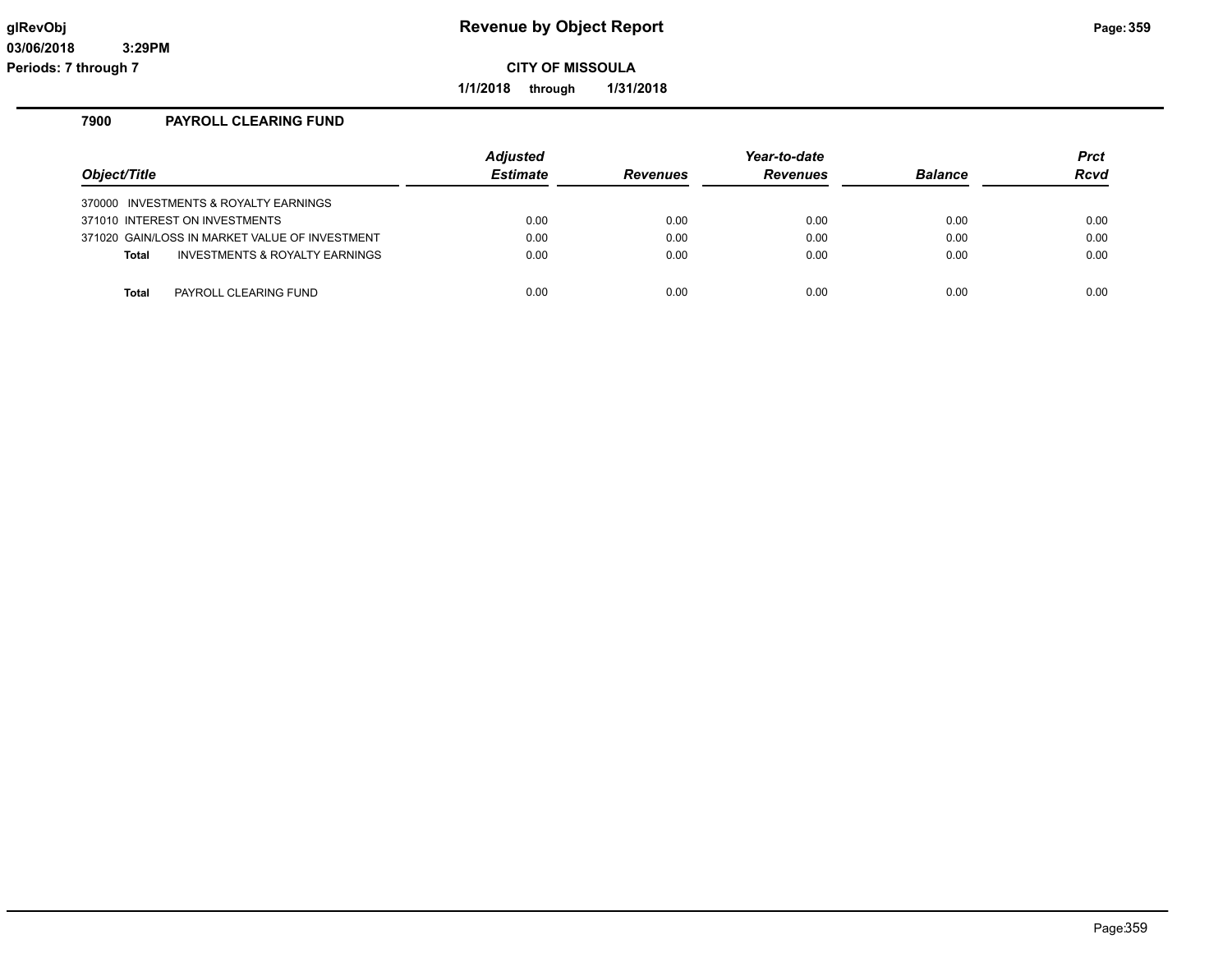**1/1/2018 through 1/31/2018**

### **7900 PAYROLL CLEARING FUND**

| Object/Title                                   | <b>Adjusted</b><br><b>Estimate</b> | <b>Revenues</b> | Year-to-date<br><b>Revenues</b> | <b>Balance</b> | <b>Prct</b><br>Rcvd |
|------------------------------------------------|------------------------------------|-----------------|---------------------------------|----------------|---------------------|
| 370000 INVESTMENTS & ROYALTY EARNINGS          |                                    |                 |                                 |                |                     |
| 371010 INTEREST ON INVESTMENTS                 | 0.00                               | 0.00            | 0.00                            | 0.00           | 0.00                |
| 371020 GAIN/LOSS IN MARKET VALUE OF INVESTMENT | 0.00                               | 0.00            | 0.00                            | 0.00           | 0.00                |
| INVESTMENTS & ROYALTY EARNINGS<br><b>Total</b> | 0.00                               | 0.00            | 0.00                            | 0.00           | 0.00                |
|                                                |                                    |                 |                                 |                |                     |
| PAYROLL CLEARING FUND<br><b>Total</b>          | 0.00                               | 0.00            | 0.00                            | 0.00           | 0.00                |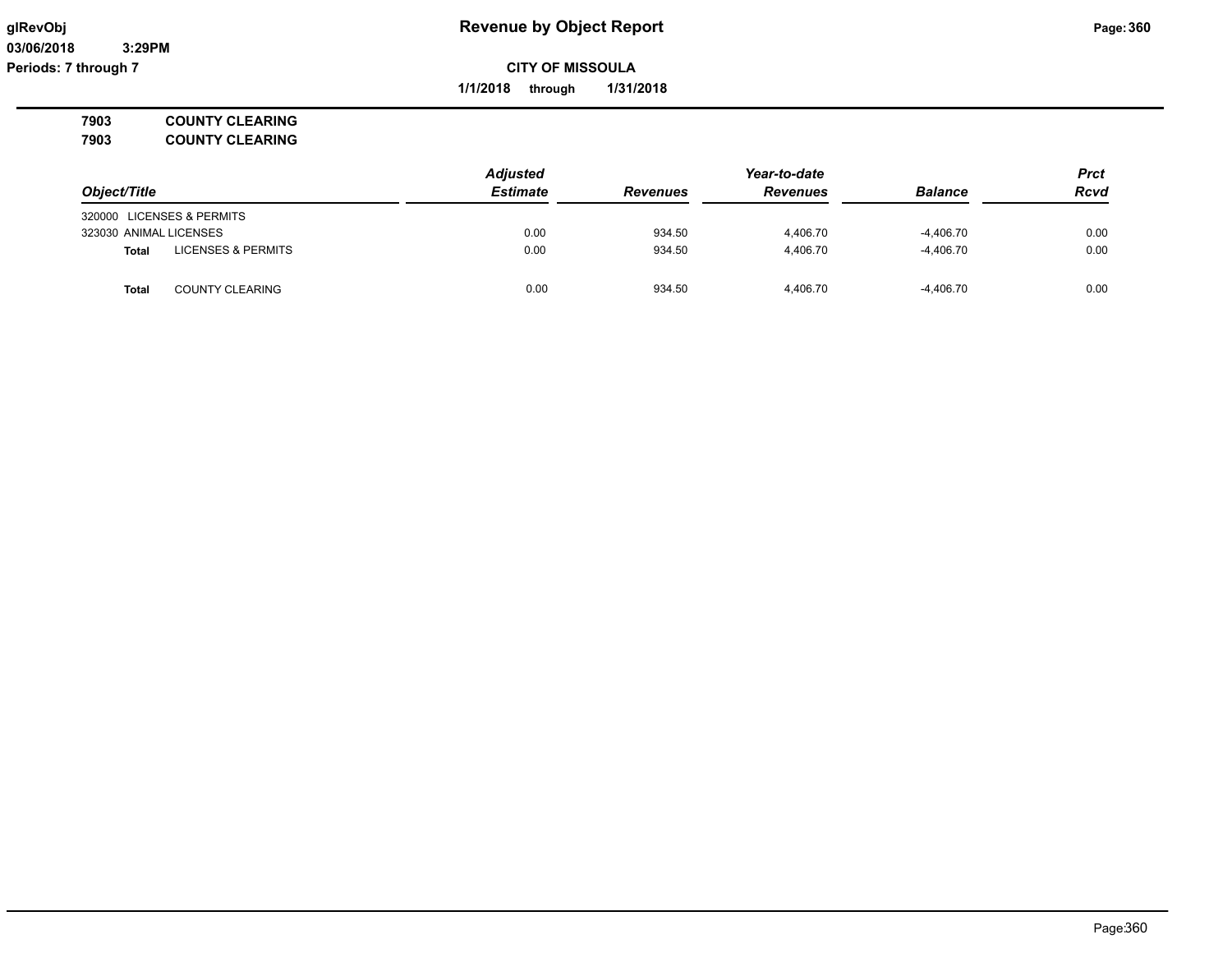**03/06/2018 3:29PM Periods: 7 through 7**

# **glRevObj Revenue by Object Report Page:360**

**CITY OF MISSOULA**

**1/1/2018 through 1/31/2018**

**7903 COUNTY CLEARING 7903 COUNTY CLEARING**

| 7903 | <b>COUNTY CLEARING</b> |
|------|------------------------|
|      |                        |

|                                        | <b>Adjusted</b> |                 | Year-to-date    |                |             |
|----------------------------------------|-----------------|-----------------|-----------------|----------------|-------------|
| Object/Title                           | <b>Estimate</b> | <b>Revenues</b> | <b>Revenues</b> | <b>Balance</b> | <b>Rcvd</b> |
| 320000 LICENSES & PERMITS              |                 |                 |                 |                |             |
| 323030 ANIMAL LICENSES                 | 0.00            | 934.50          | 4.406.70        | $-4.406.70$    | 0.00        |
| <b>LICENSES &amp; PERMITS</b><br>Total | 0.00            | 934.50          | 4.406.70        | $-4.406.70$    | 0.00        |
| Total<br><b>COUNTY CLEARING</b>        | 0.00            | 934.50          | 4.406.70        | $-4.406.70$    | 0.00        |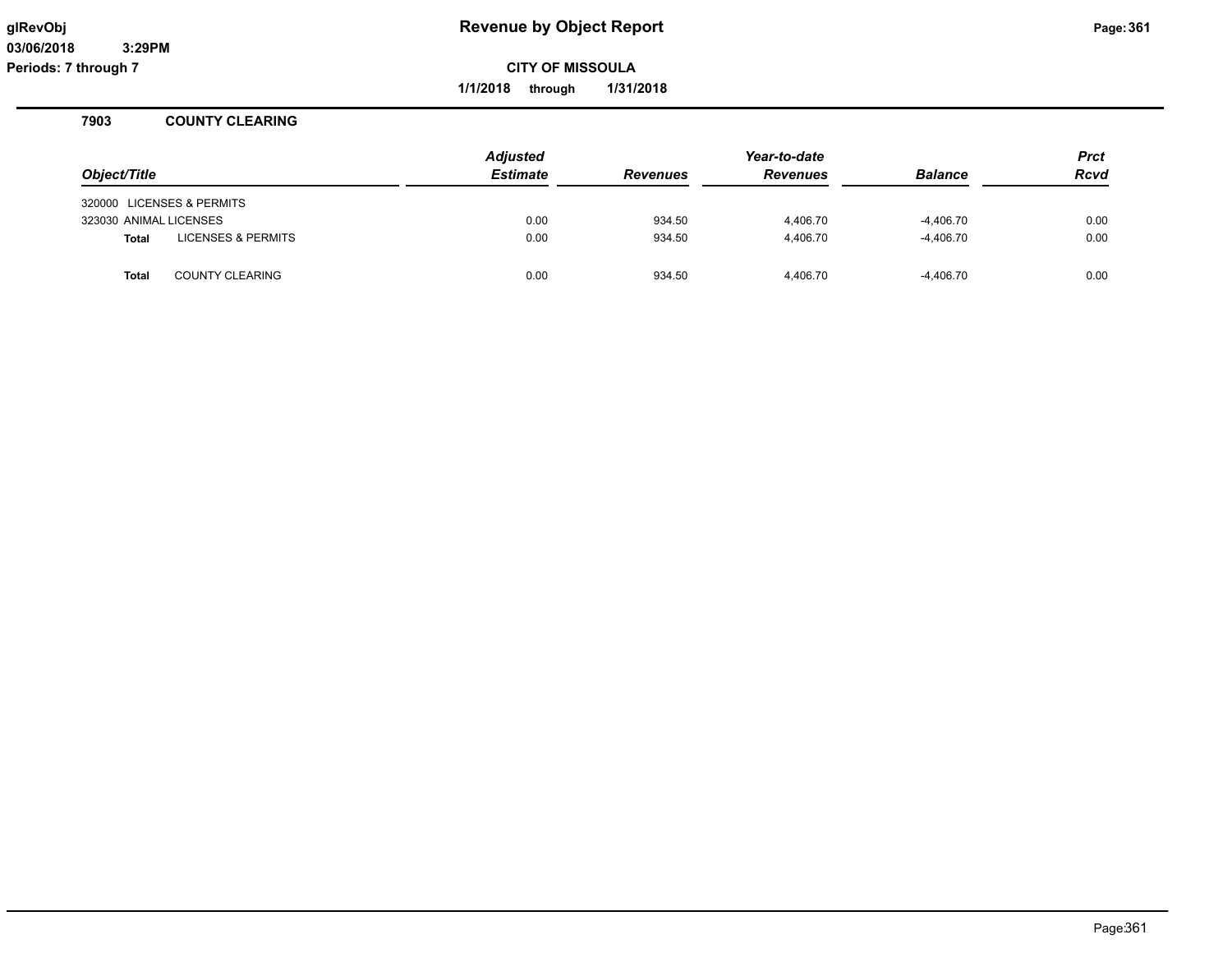**Periods: 7 through 7**

**CITY OF MISSOULA**

**1/1/2018 through 1/31/2018**

#### **7903 COUNTY CLEARING**

| Object/Title              |                               | <b>Adjusted</b><br><b>Estimate</b> | <b>Revenues</b> | Year-to-date<br><b>Revenues</b> | <b>Balance</b> | <b>Prct</b><br><b>Rcvd</b> |
|---------------------------|-------------------------------|------------------------------------|-----------------|---------------------------------|----------------|----------------------------|
| 320000 LICENSES & PERMITS |                               |                                    |                 |                                 |                |                            |
| 323030 ANIMAL LICENSES    |                               | 0.00                               | 934.50          | 4,406.70                        | $-4,406.70$    | 0.00                       |
| <b>Total</b>              | <b>LICENSES &amp; PERMITS</b> | 0.00                               | 934.50          | 4.406.70                        | $-4,406.70$    | 0.00                       |
| <b>Total</b>              | <b>COUNTY CLEARING</b>        | 0.00                               | 934.50          | 4.406.70                        | $-4,406.70$    | 0.00                       |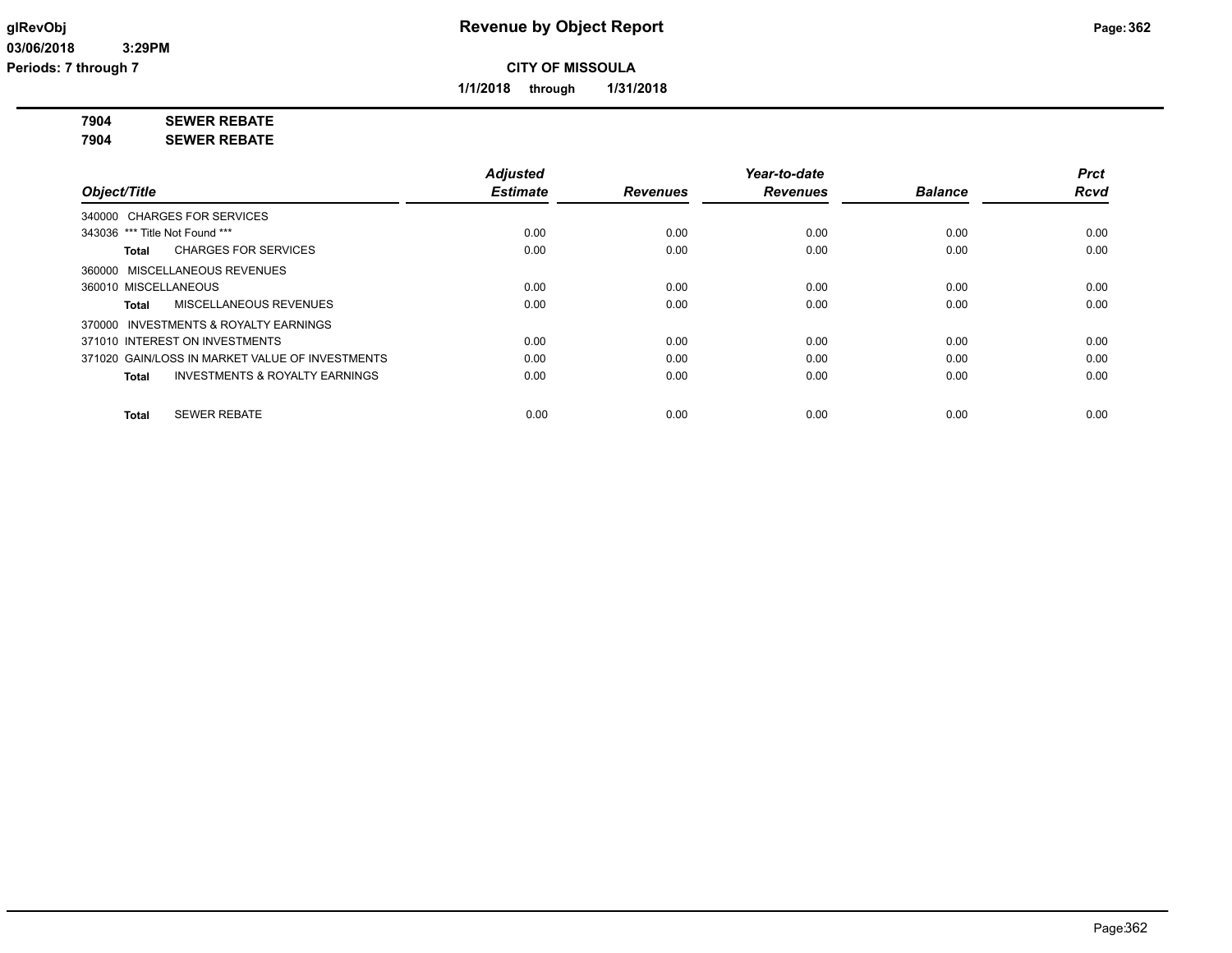**1/1/2018 through 1/31/2018**

**7904 SEWER REBATE**

**7904 SEWER REBATE**

|                                                           | <b>Adjusted</b> |                 | Year-to-date    |                | Prct        |
|-----------------------------------------------------------|-----------------|-----------------|-----------------|----------------|-------------|
| Object/Title                                              | <b>Estimate</b> | <b>Revenues</b> | <b>Revenues</b> | <b>Balance</b> | <b>Rcvd</b> |
| 340000 CHARGES FOR SERVICES                               |                 |                 |                 |                |             |
| 343036 *** Title Not Found ***                            | 0.00            | 0.00            | 0.00            | 0.00           | 0.00        |
| <b>CHARGES FOR SERVICES</b><br>Total                      | 0.00            | 0.00            | 0.00            | 0.00           | 0.00        |
| 360000 MISCELLANEOUS REVENUES                             |                 |                 |                 |                |             |
| 360010 MISCELLANEOUS                                      | 0.00            | 0.00            | 0.00            | 0.00           | 0.00        |
| <b>MISCELLANEOUS REVENUES</b><br>Total                    | 0.00            | 0.00            | 0.00            | 0.00           | 0.00        |
| 370000 INVESTMENTS & ROYALTY EARNINGS                     |                 |                 |                 |                |             |
| 371010 INTEREST ON INVESTMENTS                            | 0.00            | 0.00            | 0.00            | 0.00           | 0.00        |
| 371020 GAIN/LOSS IN MARKET VALUE OF INVESTMENTS           | 0.00            | 0.00            | 0.00            | 0.00           | 0.00        |
| <b>INVESTMENTS &amp; ROYALTY EARNINGS</b><br><b>Total</b> | 0.00            | 0.00            | 0.00            | 0.00           | 0.00        |
| <b>SEWER REBATE</b><br><b>Total</b>                       | 0.00            | 0.00            | 0.00            | 0.00           | 0.00        |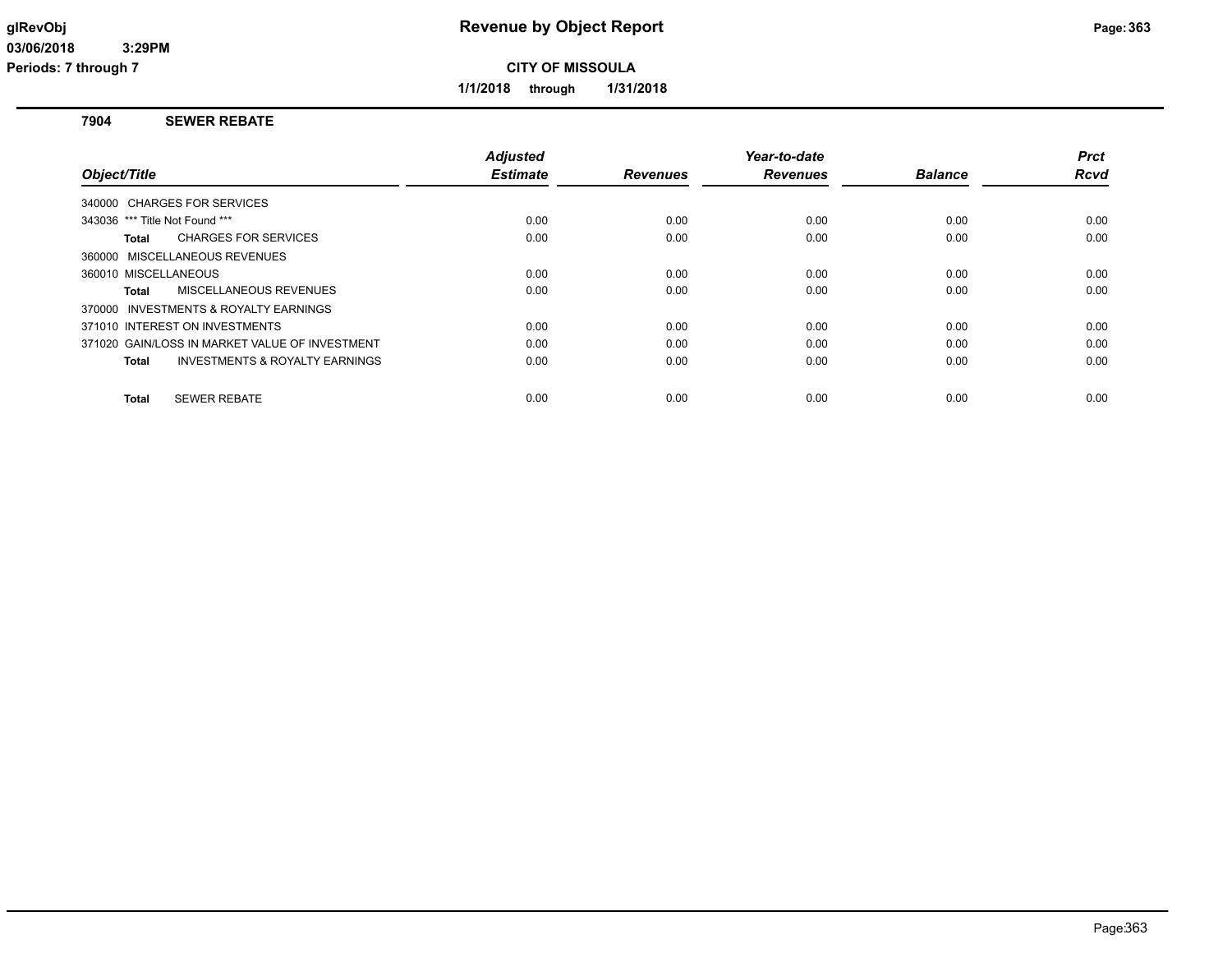**Periods: 7 through 7**

**CITY OF MISSOULA**

**1/1/2018 through 1/31/2018**

#### **7904 SEWER REBATE**

|                                                           | <b>Adjusted</b> |                 | Year-to-date    |                | <b>Prct</b> |
|-----------------------------------------------------------|-----------------|-----------------|-----------------|----------------|-------------|
| Object/Title                                              | <b>Estimate</b> | <b>Revenues</b> | <b>Revenues</b> | <b>Balance</b> | <b>Rcvd</b> |
| 340000 CHARGES FOR SERVICES                               |                 |                 |                 |                |             |
| 343036 *** Title Not Found ***                            | 0.00            | 0.00            | 0.00            | 0.00           | 0.00        |
| <b>CHARGES FOR SERVICES</b><br>Total                      | 0.00            | 0.00            | 0.00            | 0.00           | 0.00        |
| 360000 MISCELLANEOUS REVENUES                             |                 |                 |                 |                |             |
| 360010 MISCELLANEOUS                                      | 0.00            | 0.00            | 0.00            | 0.00           | 0.00        |
| MISCELLANEOUS REVENUES<br>Total                           | 0.00            | 0.00            | 0.00            | 0.00           | 0.00        |
| 370000 INVESTMENTS & ROYALTY EARNINGS                     |                 |                 |                 |                |             |
| 371010 INTEREST ON INVESTMENTS                            | 0.00            | 0.00            | 0.00            | 0.00           | 0.00        |
| 371020 GAIN/LOSS IN MARKET VALUE OF INVESTMENT            | 0.00            | 0.00            | 0.00            | 0.00           | 0.00        |
| <b>INVESTMENTS &amp; ROYALTY EARNINGS</b><br><b>Total</b> | 0.00            | 0.00            | 0.00            | 0.00           | 0.00        |
|                                                           |                 |                 |                 |                |             |
| <b>SEWER REBATE</b><br>Total                              | 0.00            | 0.00            | 0.00            | 0.00           | 0.00        |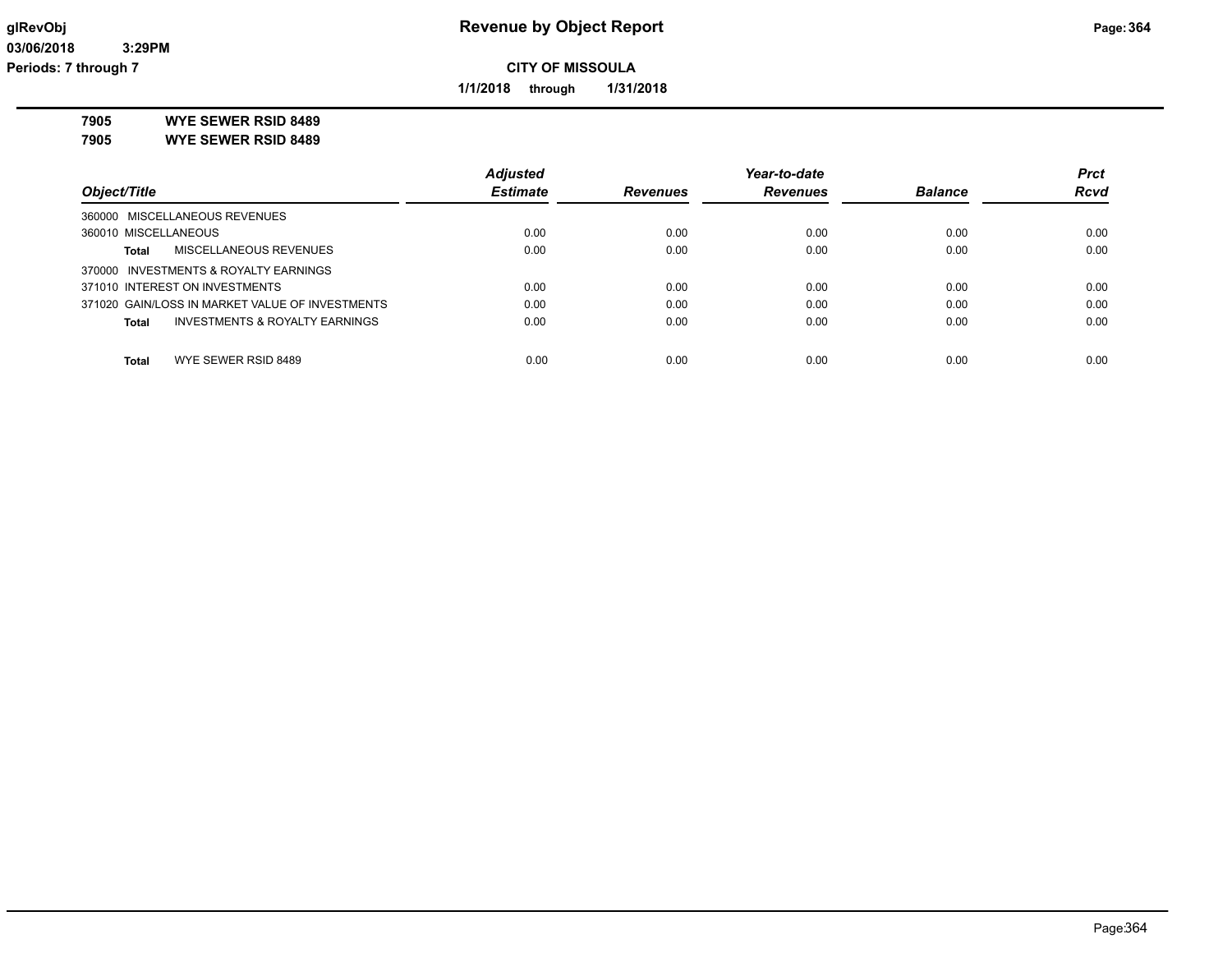**1/1/2018 through 1/31/2018**

**7905 WYE SEWER RSID 8489**

**7905 WYE SEWER RSID 8489**

|                                                 | <b>Adjusted</b> |                 | Year-to-date    |                | <b>Prct</b> |
|-------------------------------------------------|-----------------|-----------------|-----------------|----------------|-------------|
| Object/Title                                    | <b>Estimate</b> | <b>Revenues</b> | <b>Revenues</b> | <b>Balance</b> | <b>Rcvd</b> |
| 360000 MISCELLANEOUS REVENUES                   |                 |                 |                 |                |             |
| 360010 MISCELLANEOUS                            | 0.00            | 0.00            | 0.00            | 0.00           | 0.00        |
| MISCELLANEOUS REVENUES<br>Total                 | 0.00            | 0.00            | 0.00            | 0.00           | 0.00        |
| 370000 INVESTMENTS & ROYALTY EARNINGS           |                 |                 |                 |                |             |
| 371010 INTEREST ON INVESTMENTS                  | 0.00            | 0.00            | 0.00            | 0.00           | 0.00        |
| 371020 GAIN/LOSS IN MARKET VALUE OF INVESTMENTS | 0.00            | 0.00            | 0.00            | 0.00           | 0.00        |
| INVESTMENTS & ROYALTY EARNINGS<br>Total         | 0.00            | 0.00            | 0.00            | 0.00           | 0.00        |
| WYE SEWER RSID 8489<br><b>Total</b>             | 0.00            | 0.00            | 0.00            | 0.00           | 0.00        |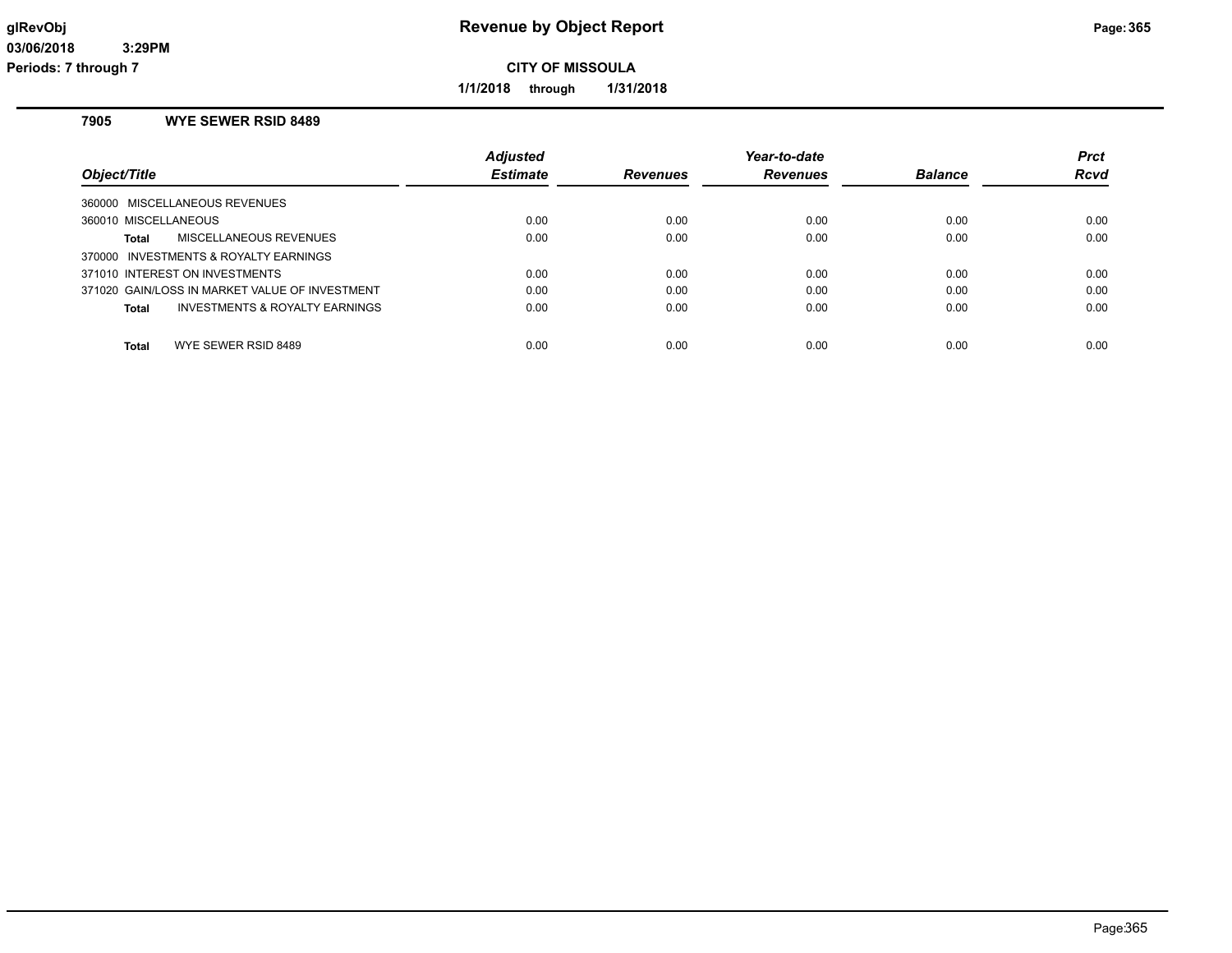**1/1/2018 through 1/31/2018**

# **7905 WYE SEWER RSID 8489**

| Object/Title                                       | <b>Adjusted</b><br><b>Estimate</b> | <b>Revenues</b> | Year-to-date<br><b>Revenues</b> | <b>Balance</b> | <b>Prct</b><br>Rcvd |
|----------------------------------------------------|------------------------------------|-----------------|---------------------------------|----------------|---------------------|
| 360000 MISCELLANEOUS REVENUES                      |                                    |                 |                                 |                |                     |
| 360010 MISCELLANEOUS                               | 0.00                               | 0.00            | 0.00                            | 0.00           | 0.00                |
| MISCELLANEOUS REVENUES<br>Total                    | 0.00                               | 0.00            | 0.00                            | 0.00           | 0.00                |
| 370000 INVESTMENTS & ROYALTY EARNINGS              |                                    |                 |                                 |                |                     |
| 371010 INTEREST ON INVESTMENTS                     | 0.00                               | 0.00            | 0.00                            | 0.00           | 0.00                |
| 371020 GAIN/LOSS IN MARKET VALUE OF INVESTMENT     | 0.00                               | 0.00            | 0.00                            | 0.00           | 0.00                |
| <b>INVESTMENTS &amp; ROYALTY EARNINGS</b><br>Total | 0.00                               | 0.00            | 0.00                            | 0.00           | 0.00                |
| WYE SEWER RSID 8489<br>Total                       | 0.00                               | 0.00            | 0.00                            | 0.00           | 0.00                |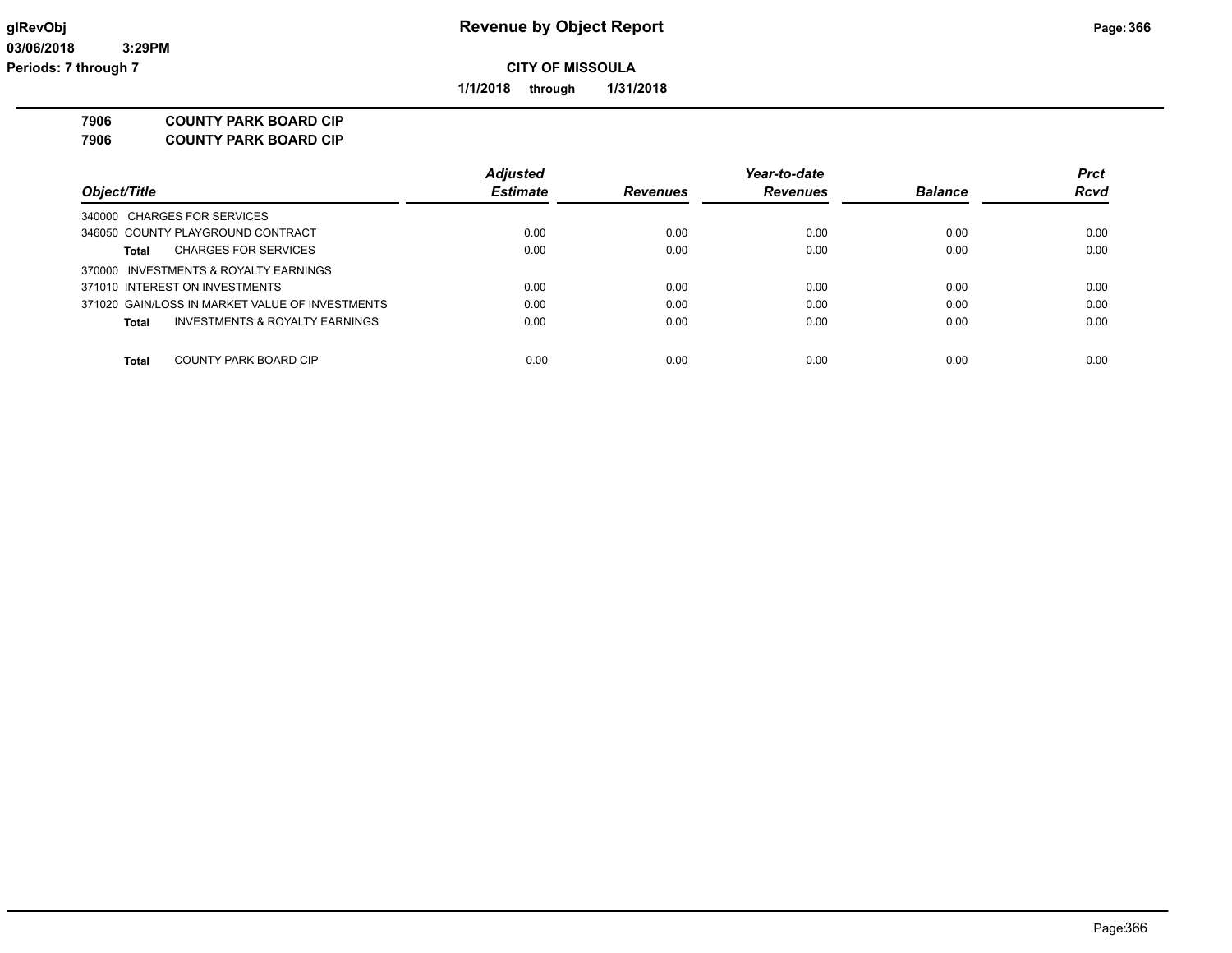**1/1/2018 through 1/31/2018**

**7906 COUNTY PARK BOARD CIP**

| <b>COUNTY PARK BOARD CIP</b><br>7906 |
|--------------------------------------|
|--------------------------------------|

|                                                 | <b>Adjusted</b> |                 | Year-to-date    |                | <b>Prct</b> |
|-------------------------------------------------|-----------------|-----------------|-----------------|----------------|-------------|
| Object/Title                                    | <b>Estimate</b> | <b>Revenues</b> | <b>Revenues</b> | <b>Balance</b> | Rcvd        |
| 340000 CHARGES FOR SERVICES                     |                 |                 |                 |                |             |
| 346050 COUNTY PLAYGROUND CONTRACT               | 0.00            | 0.00            | 0.00            | 0.00           | 0.00        |
| <b>CHARGES FOR SERVICES</b><br>Total            | 0.00            | 0.00            | 0.00            | 0.00           | 0.00        |
| 370000 INVESTMENTS & ROYALTY EARNINGS           |                 |                 |                 |                |             |
| 371010 INTEREST ON INVESTMENTS                  | 0.00            | 0.00            | 0.00            | 0.00           | 0.00        |
| 371020 GAIN/LOSS IN MARKET VALUE OF INVESTMENTS | 0.00            | 0.00            | 0.00            | 0.00           | 0.00        |
| INVESTMENTS & ROYALTY EARNINGS<br><b>Total</b>  | 0.00            | 0.00            | 0.00            | 0.00           | 0.00        |
|                                                 |                 |                 |                 |                |             |
| COUNTY PARK BOARD CIP<br>Total                  | 0.00            | 0.00            | 0.00            | 0.00           | 0.00        |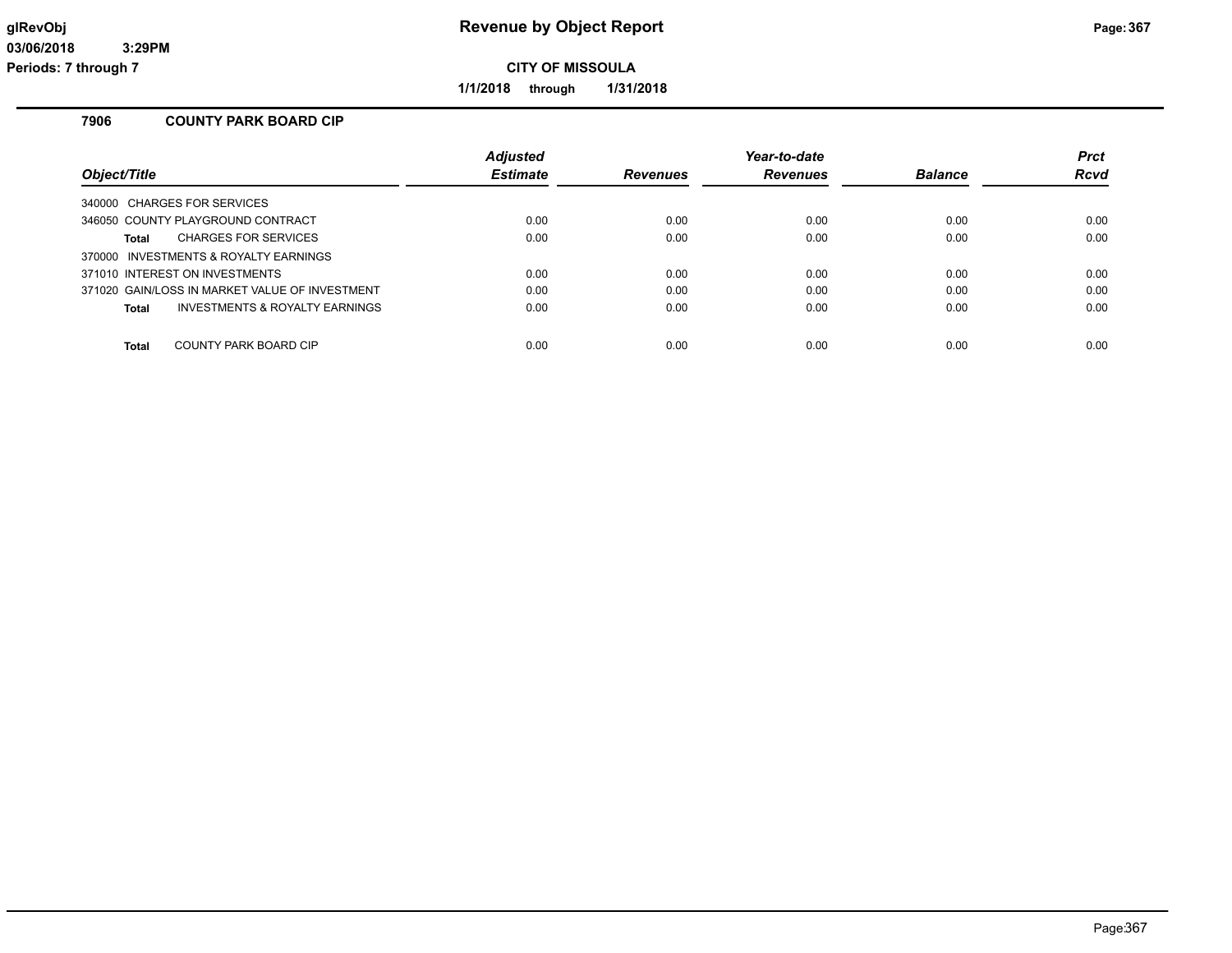**1/1/2018 through 1/31/2018**

## **7906 COUNTY PARK BOARD CIP**

|                                                           | <b>Adjusted</b> |                 | Year-to-date    |                | <b>Prct</b> |
|-----------------------------------------------------------|-----------------|-----------------|-----------------|----------------|-------------|
| Object/Title                                              | <b>Estimate</b> | <b>Revenues</b> | <b>Revenues</b> | <b>Balance</b> | Rcvd        |
| 340000 CHARGES FOR SERVICES                               |                 |                 |                 |                |             |
| 346050 COUNTY PLAYGROUND CONTRACT                         | 0.00            | 0.00            | 0.00            | 0.00           | 0.00        |
| <b>CHARGES FOR SERVICES</b><br>Total                      | 0.00            | 0.00            | 0.00            | 0.00           | 0.00        |
| 370000 INVESTMENTS & ROYALTY EARNINGS                     |                 |                 |                 |                |             |
| 371010 INTEREST ON INVESTMENTS                            | 0.00            | 0.00            | 0.00            | 0.00           | 0.00        |
| 371020 GAIN/LOSS IN MARKET VALUE OF INVESTMENT            | 0.00            | 0.00            | 0.00            | 0.00           | 0.00        |
| <b>INVESTMENTS &amp; ROYALTY EARNINGS</b><br><b>Total</b> | 0.00            | 0.00            | 0.00            | 0.00           | 0.00        |
| COUNTY PARK BOARD CIP<br><b>Total</b>                     | 0.00            | 0.00            | 0.00            | 0.00           | 0.00        |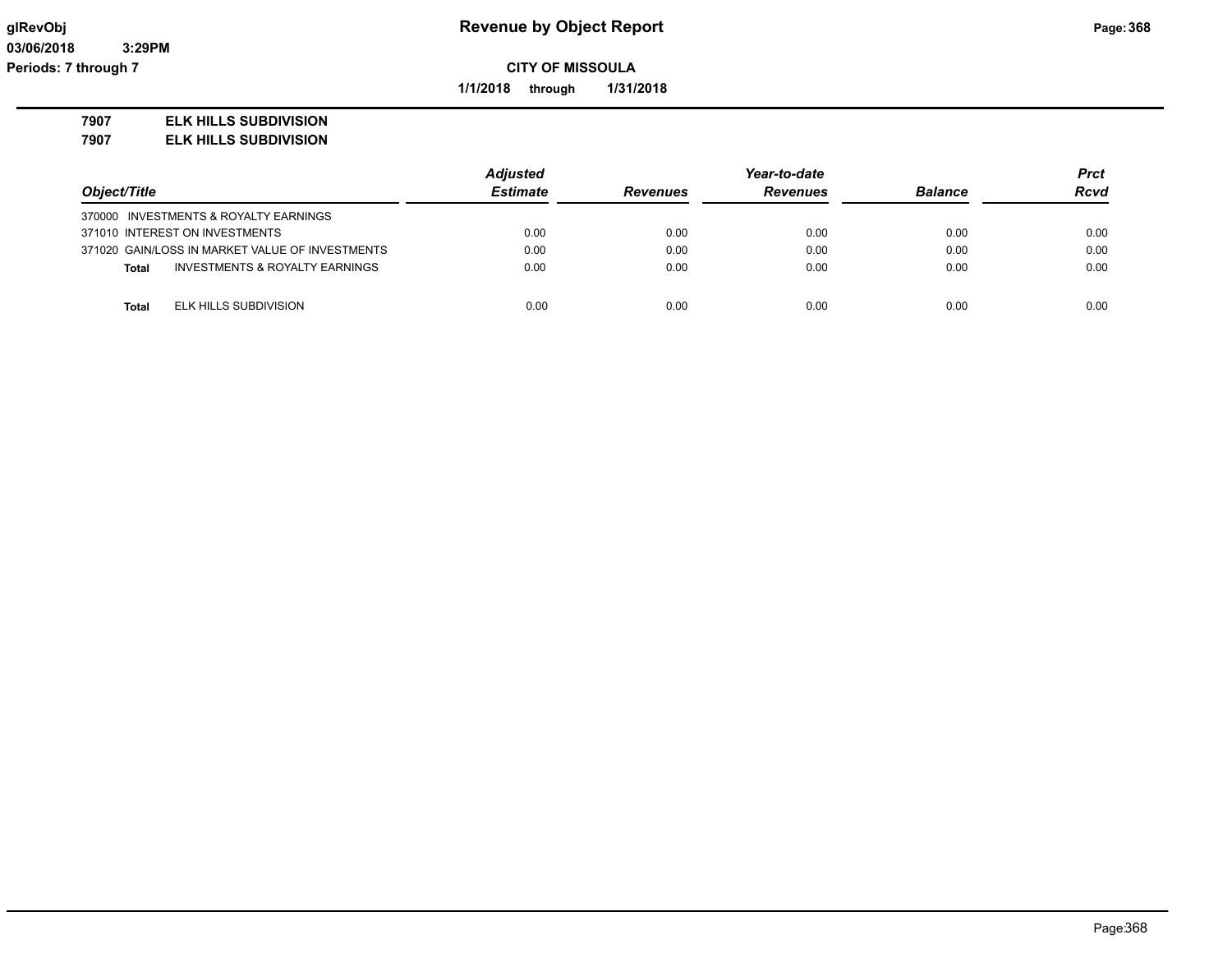**1/1/2018 through 1/31/2018**

#### **7907 ELK HILLS SUBDIVISION**

**7907 ELK HILLS SUBDIVISION**

|                                                 | <b>Adjusted</b> |                 | Year-to-date    |                | <b>Prct</b> |
|-------------------------------------------------|-----------------|-----------------|-----------------|----------------|-------------|
| Object/Title                                    | <b>Estimate</b> | <b>Revenues</b> | <b>Revenues</b> | <b>Balance</b> | <b>Rcvd</b> |
| 370000 INVESTMENTS & ROYALTY EARNINGS           |                 |                 |                 |                |             |
| 371010 INTEREST ON INVESTMENTS                  | 0.00            | 0.00            | 0.00            | 0.00           | 0.00        |
| 371020 GAIN/LOSS IN MARKET VALUE OF INVESTMENTS | 0.00            | 0.00            | 0.00            | 0.00           | 0.00        |
| INVESTMENTS & ROYALTY EARNINGS<br>Total         | 0.00            | 0.00            | 0.00            | 0.00           | 0.00        |
|                                                 |                 |                 |                 |                |             |
| ELK HILLS SUBDIVISION<br>Total                  | 0.00            | 0.00            | 0.00            | 0.00           | 0.00        |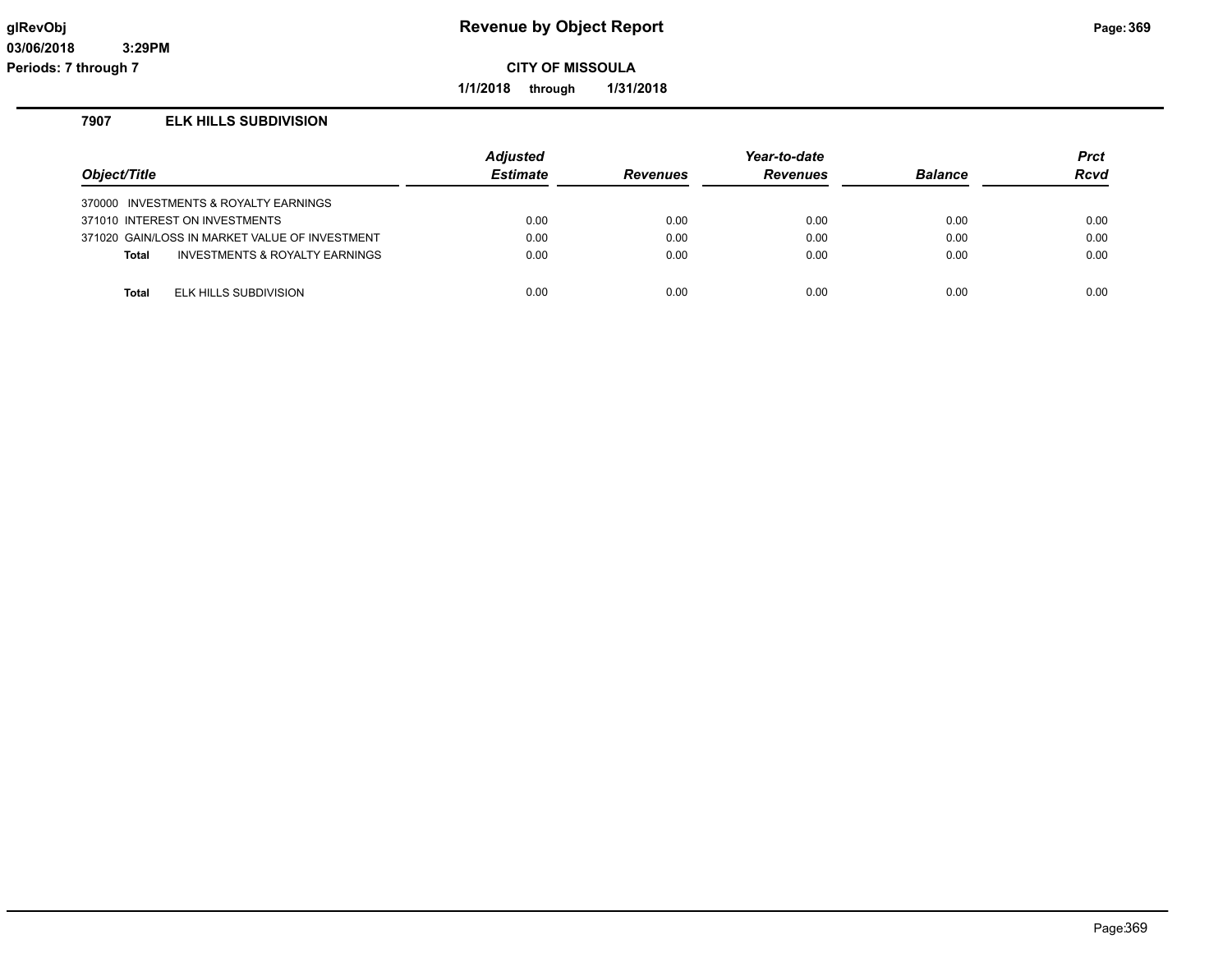**1/1/2018 through 1/31/2018**

### **7907 ELK HILLS SUBDIVISION**

| Object/Title |                                                | <b>Adjusted</b><br><b>Estimate</b> | <b>Revenues</b> | Year-to-date<br><b>Revenues</b> | <b>Balance</b> | <b>Prct</b><br>Rcvd |
|--------------|------------------------------------------------|------------------------------------|-----------------|---------------------------------|----------------|---------------------|
|              | 370000 INVESTMENTS & ROYALTY EARNINGS          |                                    |                 |                                 |                |                     |
|              | 371010 INTEREST ON INVESTMENTS                 | 0.00                               | 0.00            | 0.00                            | 0.00           | 0.00                |
|              | 371020 GAIN/LOSS IN MARKET VALUE OF INVESTMENT | 0.00                               | 0.00            | 0.00                            | 0.00           | 0.00                |
| <b>Total</b> | INVESTMENTS & ROYALTY EARNINGS                 | 0.00                               | 0.00            | 0.00                            | 0.00           | 0.00                |
|              |                                                |                                    |                 |                                 |                |                     |
| Total        | ELK HILLS SUBDIVISION                          | 0.00                               | 0.00            | 0.00                            | 0.00           | 0.00                |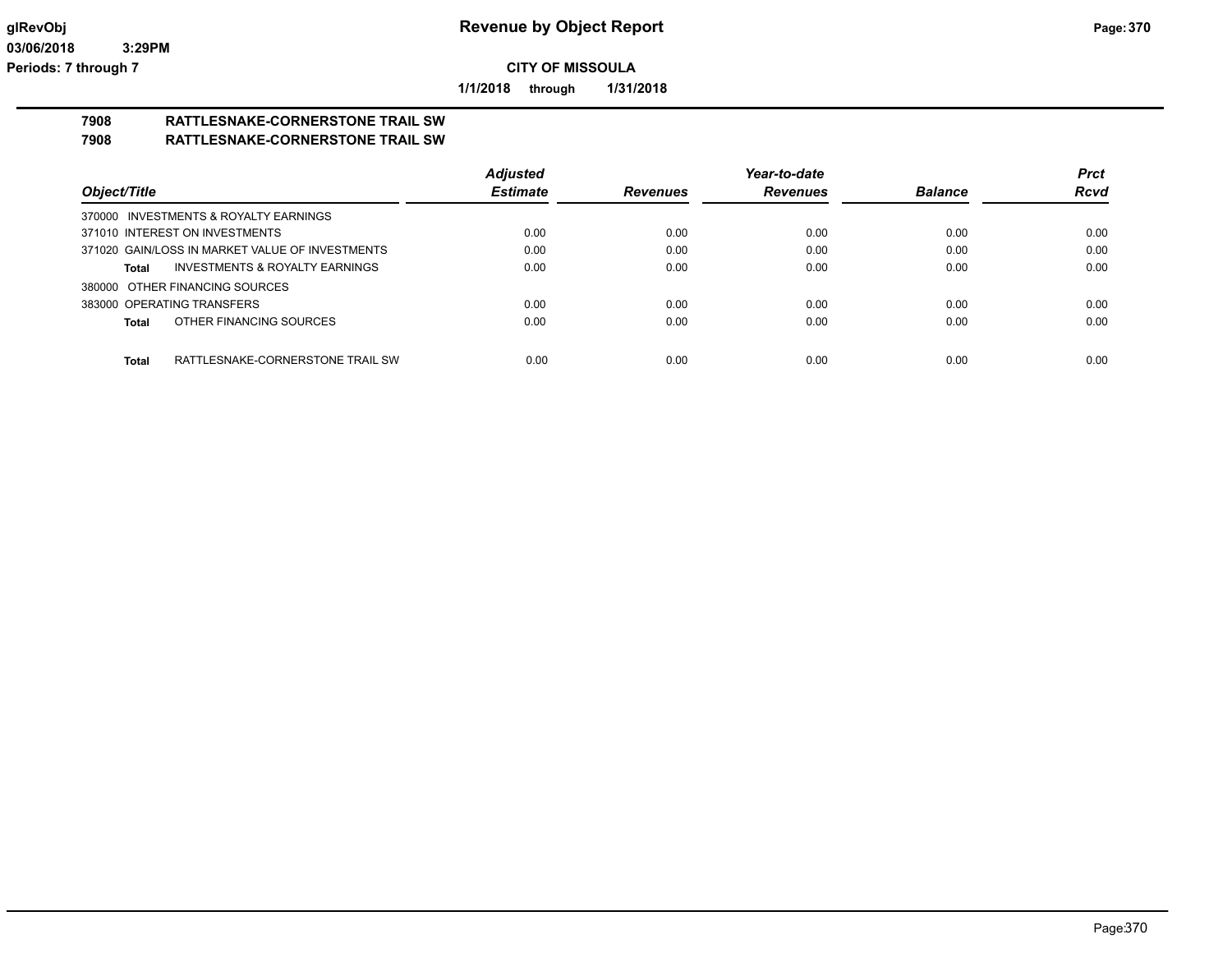**1/1/2018 through 1/31/2018**

#### **7908 RATTLESNAKE-CORNERSTONE TRAIL SW 7908 RATTLESNAKE-CORNERSTONE TRAIL SW**

|                                                    | <b>Adjusted</b> |                 | Year-to-date    |                | <b>Prct</b> |
|----------------------------------------------------|-----------------|-----------------|-----------------|----------------|-------------|
| Object/Title                                       | <b>Estimate</b> | <b>Revenues</b> | <b>Revenues</b> | <b>Balance</b> | <b>Rcvd</b> |
| 370000 INVESTMENTS & ROYALTY EARNINGS              |                 |                 |                 |                |             |
| 371010 INTEREST ON INVESTMENTS                     | 0.00            | 0.00            | 0.00            | 0.00           | 0.00        |
| 371020 GAIN/LOSS IN MARKET VALUE OF INVESTMENTS    | 0.00            | 0.00            | 0.00            | 0.00           | 0.00        |
| <b>INVESTMENTS &amp; ROYALTY EARNINGS</b><br>Total | 0.00            | 0.00            | 0.00            | 0.00           | 0.00        |
| 380000 OTHER FINANCING SOURCES                     |                 |                 |                 |                |             |
| 383000 OPERATING TRANSFERS                         | 0.00            | 0.00            | 0.00            | 0.00           | 0.00        |
| OTHER FINANCING SOURCES<br>Total                   | 0.00            | 0.00            | 0.00            | 0.00           | 0.00        |
|                                                    |                 |                 |                 |                |             |
| RATTLESNAKE-CORNERSTONE TRAIL SW<br><b>Total</b>   | 0.00            | 0.00            | 0.00            | 0.00           | 0.00        |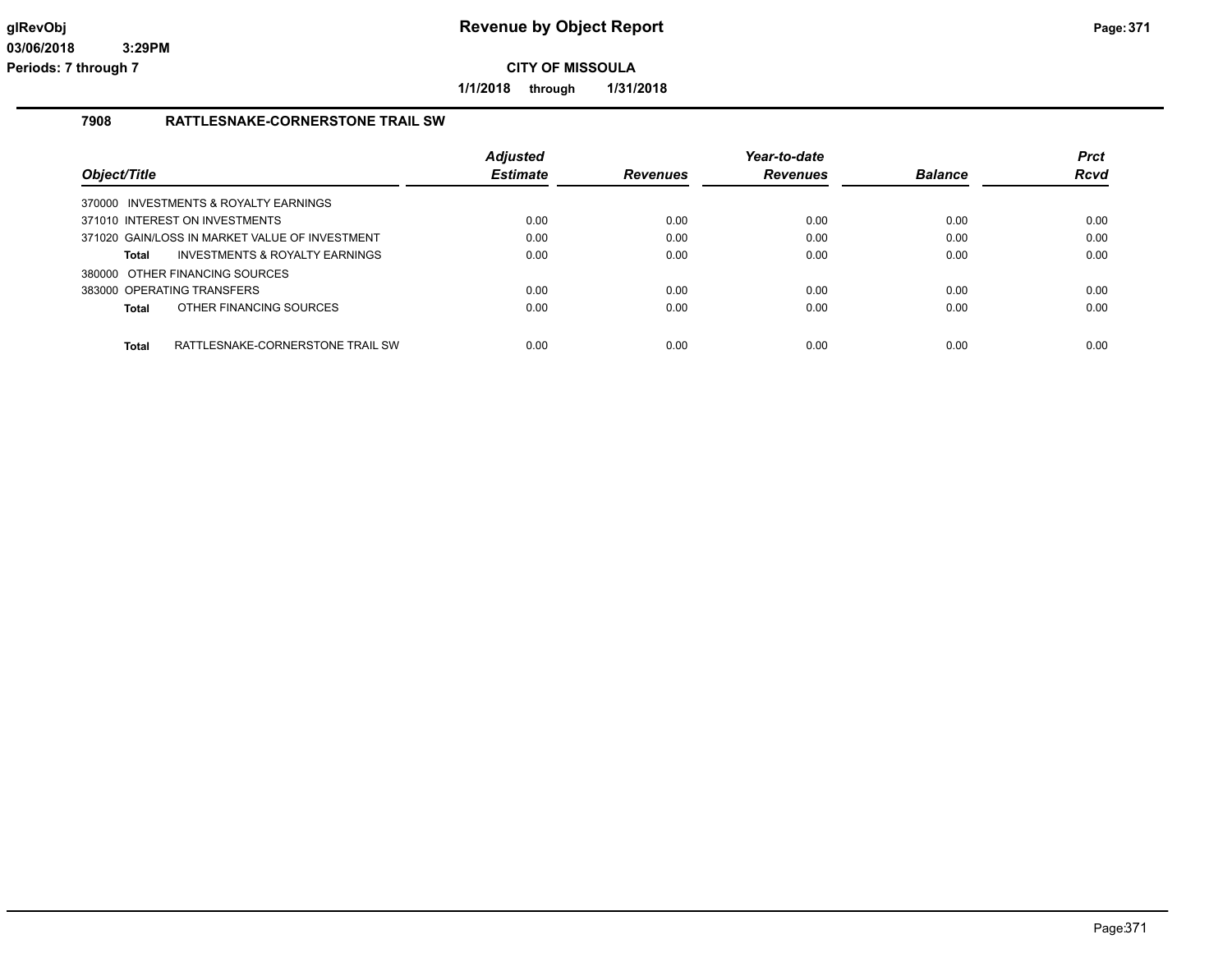**1/1/2018 through 1/31/2018**

#### **7908 RATTLESNAKE-CORNERSTONE TRAIL SW**

| Object/Title                                   |                                  | <b>Adjusted</b><br><b>Estimate</b> | <b>Revenues</b> | Year-to-date<br>Revenues | <b>Balance</b> | <b>Prct</b><br><b>Rcvd</b> |
|------------------------------------------------|----------------------------------|------------------------------------|-----------------|--------------------------|----------------|----------------------------|
| 370000 INVESTMENTS & ROYALTY EARNINGS          |                                  |                                    |                 |                          |                |                            |
| 371010 INTEREST ON INVESTMENTS                 |                                  | 0.00                               | 0.00            | 0.00                     | 0.00           | 0.00                       |
| 371020 GAIN/LOSS IN MARKET VALUE OF INVESTMENT |                                  | 0.00                               | 0.00            | 0.00                     | 0.00           | 0.00                       |
| <b>Total</b>                                   | INVESTMENTS & ROYALTY EARNINGS   | 0.00                               | 0.00            | 0.00                     | 0.00           | 0.00                       |
| 380000 OTHER FINANCING SOURCES                 |                                  |                                    |                 |                          |                |                            |
| 383000 OPERATING TRANSFERS                     |                                  | 0.00                               | 0.00            | 0.00                     | 0.00           | 0.00                       |
| Total                                          | OTHER FINANCING SOURCES          | 0.00                               | 0.00            | 0.00                     | 0.00           | 0.00                       |
|                                                |                                  |                                    |                 |                          |                |                            |
| <b>Total</b>                                   | RATTLESNAKE-CORNERSTONE TRAIL SW | 0.00                               | 0.00            | 0.00                     | 0.00           | 0.00                       |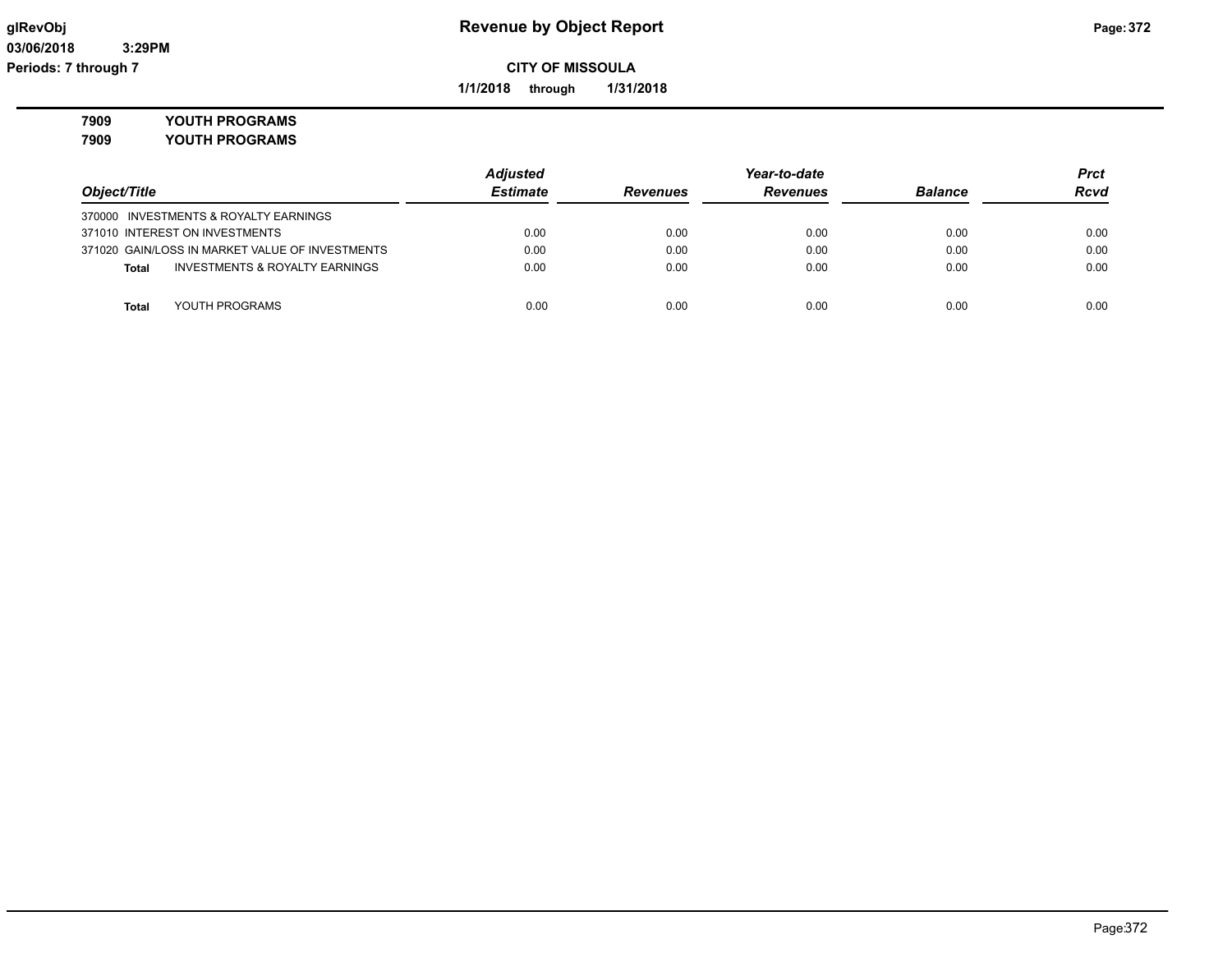**1/1/2018 through 1/31/2018**

**7909 YOUTH PROGRAMS**

**7909 YOUTH PROGRAMS**

|                                                    | <b>Adjusted</b> |                 | Year-to-date    |                | <b>Prct</b> |
|----------------------------------------------------|-----------------|-----------------|-----------------|----------------|-------------|
| Object/Title                                       | <b>Estimate</b> | <b>Revenues</b> | <b>Revenues</b> | <b>Balance</b> | <b>Rcvd</b> |
| 370000 INVESTMENTS & ROYALTY EARNINGS              |                 |                 |                 |                |             |
| 371010 INTEREST ON INVESTMENTS                     | 0.00            | 0.00            | 0.00            | 0.00           | 0.00        |
| 371020 GAIN/LOSS IN MARKET VALUE OF INVESTMENTS    | 0.00            | 0.00            | 0.00            | 0.00           | 0.00        |
| <b>INVESTMENTS &amp; ROYALTY EARNINGS</b><br>Total | 0.00            | 0.00            | 0.00            | 0.00           | 0.00        |
|                                                    |                 |                 |                 |                |             |
| YOUTH PROGRAMS<br><b>Total</b>                     | 0.00            | 0.00            | 0.00            | 0.00           | 0.00        |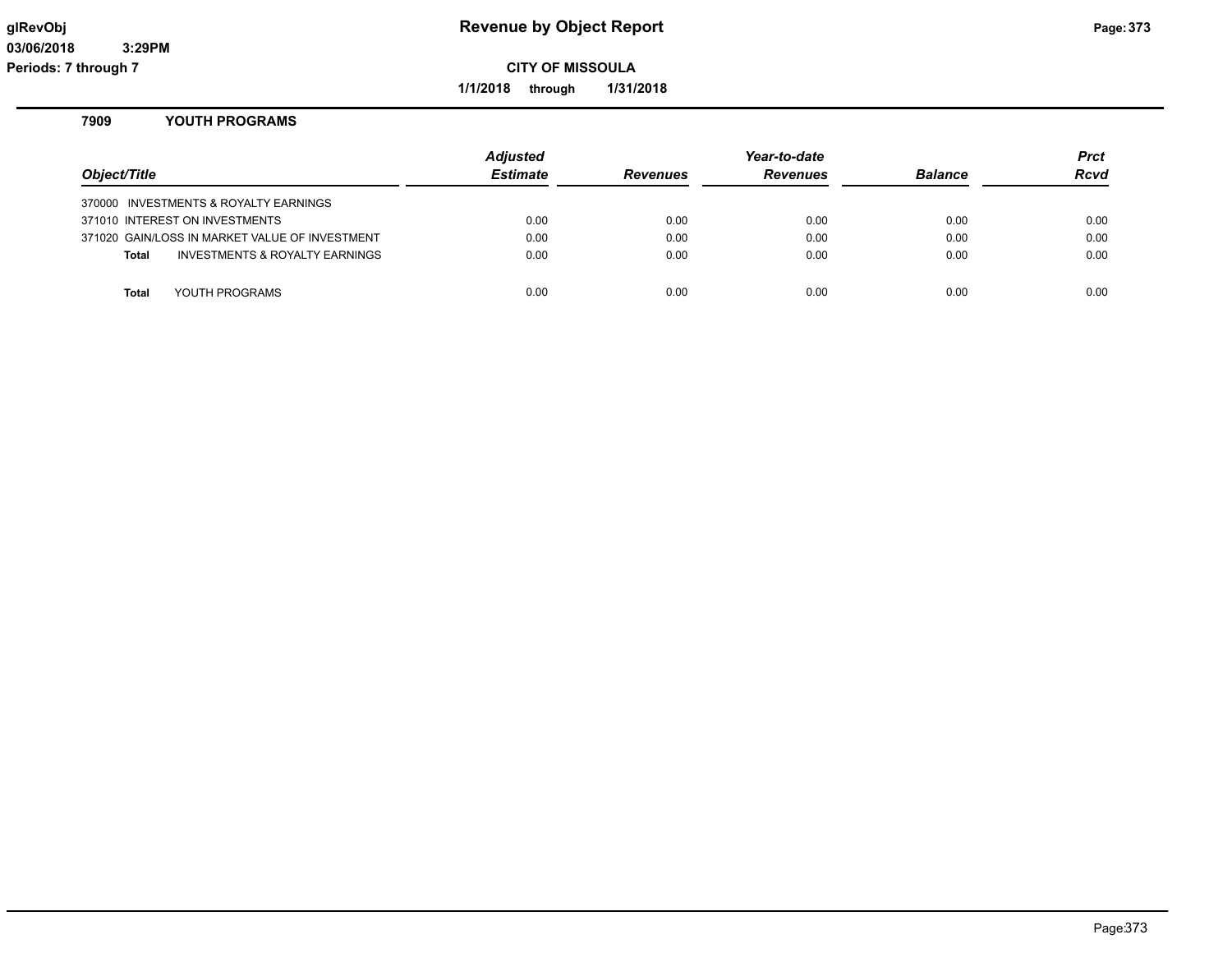**1/1/2018 through 1/31/2018**

#### **7909 YOUTH PROGRAMS**

| Object/Title |                                                | <b>Adjusted</b><br><b>Estimate</b> | <b>Revenues</b> | Year-to-date<br><b>Revenues</b> | <b>Balance</b> | Prct<br><b>Rcvd</b> |
|--------------|------------------------------------------------|------------------------------------|-----------------|---------------------------------|----------------|---------------------|
|              | 370000 INVESTMENTS & ROYALTY EARNINGS          |                                    |                 |                                 |                |                     |
|              | 371010 INTEREST ON INVESTMENTS                 | 0.00                               | 0.00            | 0.00                            | 0.00           | 0.00                |
|              | 371020 GAIN/LOSS IN MARKET VALUE OF INVESTMENT | 0.00                               | 0.00            | 0.00                            | 0.00           | 0.00                |
| Total        | <b>INVESTMENTS &amp; ROYALTY EARNINGS</b>      | 0.00                               | 0.00            | 0.00                            | 0.00           | 0.00                |
|              |                                                |                                    |                 |                                 |                |                     |
| Total        | YOUTH PROGRAMS                                 | 0.00                               | 0.00            | 0.00                            | 0.00           | 0.00                |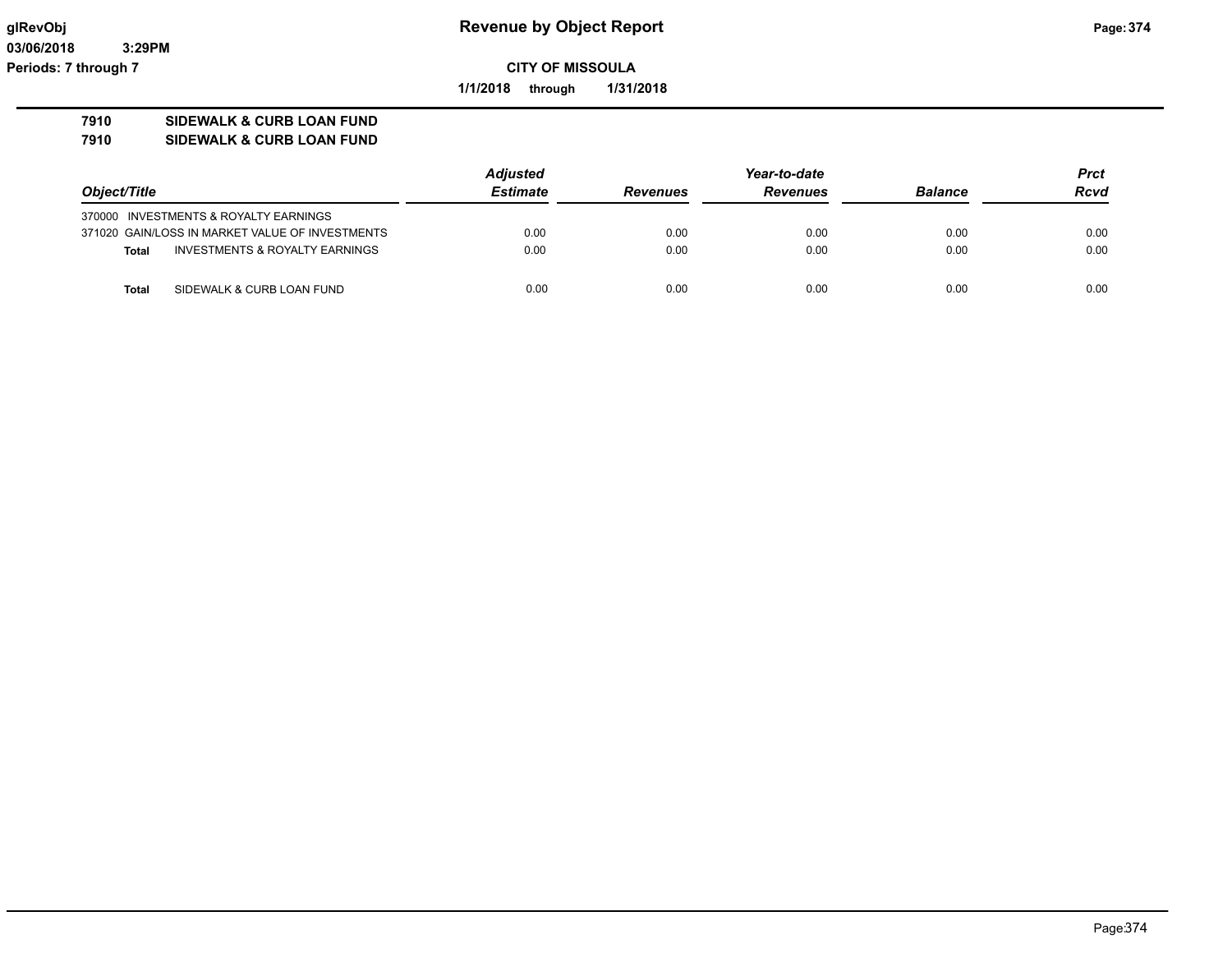**03/06/2018 3:29PM Periods: 7 through 7**

**CITY OF MISSOULA**

**1/1/2018 through 1/31/2018**

# **7910 SIDEWALK & CURB LOAN FUND**

**7910 SIDEWALK & CURB LOAN FUND**

|              |                                                 | <b>Adjusted</b> |                 | Year-to-date    |                |             |
|--------------|-------------------------------------------------|-----------------|-----------------|-----------------|----------------|-------------|
| Object/Title |                                                 | <b>Estimate</b> | <b>Revenues</b> | <b>Revenues</b> | <b>Balance</b> | <b>Rcvd</b> |
|              | 370000 INVESTMENTS & ROYALTY EARNINGS           |                 |                 |                 |                |             |
|              | 371020 GAIN/LOSS IN MARKET VALUE OF INVESTMENTS | 0.00            | 0.00            | 0.00            | 0.00           | 0.00        |
| <b>Total</b> | INVESTMENTS & ROYALTY EARNINGS                  | 0.00            | 0.00            | 0.00            | 0.00           | 0.00        |
| Total        | SIDEWALK & CURB LOAN FUND                       | 0.00            | 0.00            | 0.00            | 0.00           | 0.00        |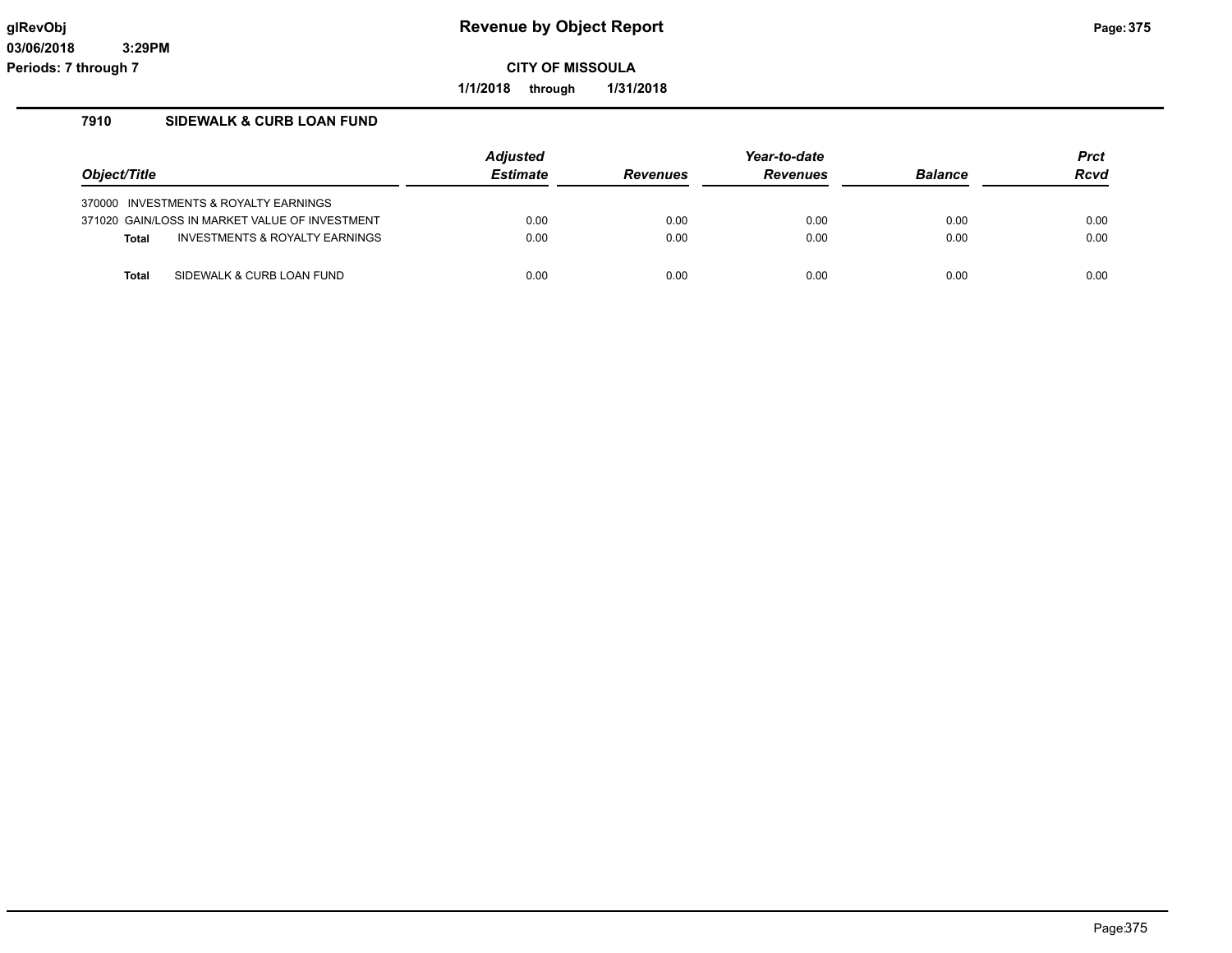**1/1/2018 through 1/31/2018**

### **7910 SIDEWALK & CURB LOAN FUND**

|              |                                                | <b>Adjusted</b> | Year-to-date    |                 |                | Prct |
|--------------|------------------------------------------------|-----------------|-----------------|-----------------|----------------|------|
| Object/Title |                                                | <b>Estimate</b> | <b>Revenues</b> | <b>Revenues</b> | <b>Balance</b> | Rcvd |
|              | 370000 INVESTMENTS & ROYALTY EARNINGS          |                 |                 |                 |                |      |
|              | 371020 GAIN/LOSS IN MARKET VALUE OF INVESTMENT | 0.00            | 0.00            | 0.00            | 0.00           | 0.00 |
| <b>Total</b> | <b>INVESTMENTS &amp; ROYALTY EARNINGS</b>      | 0.00            | 0.00            | 0.00            | 0.00           | 0.00 |
| <b>Total</b> | SIDEWALK & CURB LOAN FUND                      | 0.00            | 0.00            | 0.00            | 0.00           | 0.00 |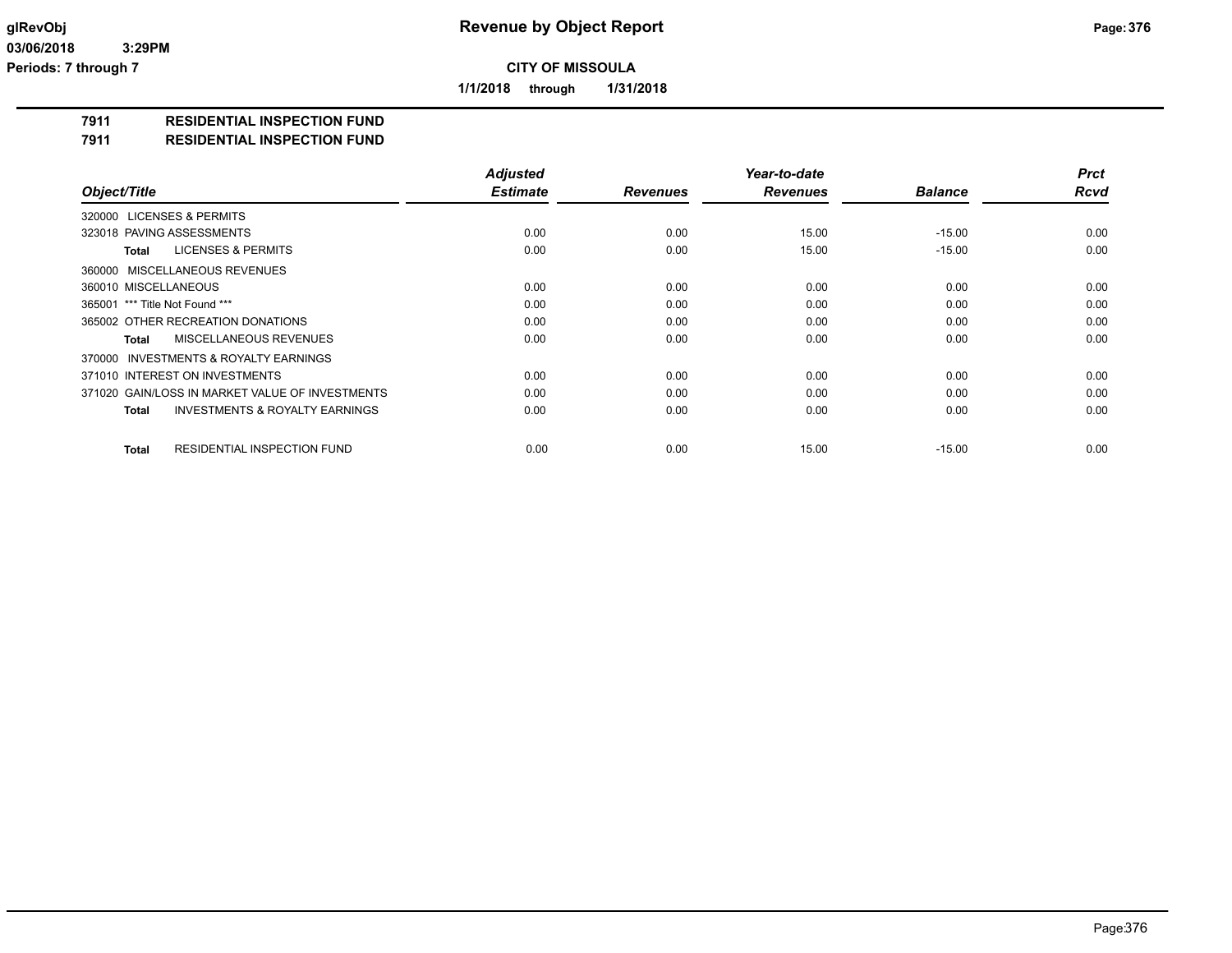**1/1/2018 through 1/31/2018**

#### **7911 RESIDENTIAL INSPECTION FUND**

#### **7911 RESIDENTIAL INSPECTION FUND**

|                                                    | <b>Adjusted</b> |                 | Year-to-date    |                | <b>Prct</b> |
|----------------------------------------------------|-----------------|-----------------|-----------------|----------------|-------------|
| Object/Title                                       | <b>Estimate</b> | <b>Revenues</b> | <b>Revenues</b> | <b>Balance</b> | <b>Rcvd</b> |
| 320000 LICENSES & PERMITS                          |                 |                 |                 |                |             |
| 323018 PAVING ASSESSMENTS                          | 0.00            | 0.00            | 15.00           | $-15.00$       | 0.00        |
| <b>LICENSES &amp; PERMITS</b><br>Total             | 0.00            | 0.00            | 15.00           | $-15.00$       | 0.00        |
| 360000 MISCELLANEOUS REVENUES                      |                 |                 |                 |                |             |
| 360010 MISCELLANEOUS                               | 0.00            | 0.00            | 0.00            | 0.00           | 0.00        |
| 365001 *** Title Not Found ***                     | 0.00            | 0.00            | 0.00            | 0.00           | 0.00        |
| 365002 OTHER RECREATION DONATIONS                  | 0.00            | 0.00            | 0.00            | 0.00           | 0.00        |
| MISCELLANEOUS REVENUES<br>Total                    | 0.00            | 0.00            | 0.00            | 0.00           | 0.00        |
| 370000 INVESTMENTS & ROYALTY EARNINGS              |                 |                 |                 |                |             |
| 371010 INTEREST ON INVESTMENTS                     | 0.00            | 0.00            | 0.00            | 0.00           | 0.00        |
| 371020 GAIN/LOSS IN MARKET VALUE OF INVESTMENTS    | 0.00            | 0.00            | 0.00            | 0.00           | 0.00        |
| <b>INVESTMENTS &amp; ROYALTY EARNINGS</b><br>Total | 0.00            | 0.00            | 0.00            | 0.00           | 0.00        |
| <b>RESIDENTIAL INSPECTION FUND</b><br>Total        | 0.00            | 0.00            | 15.00           | $-15.00$       | 0.00        |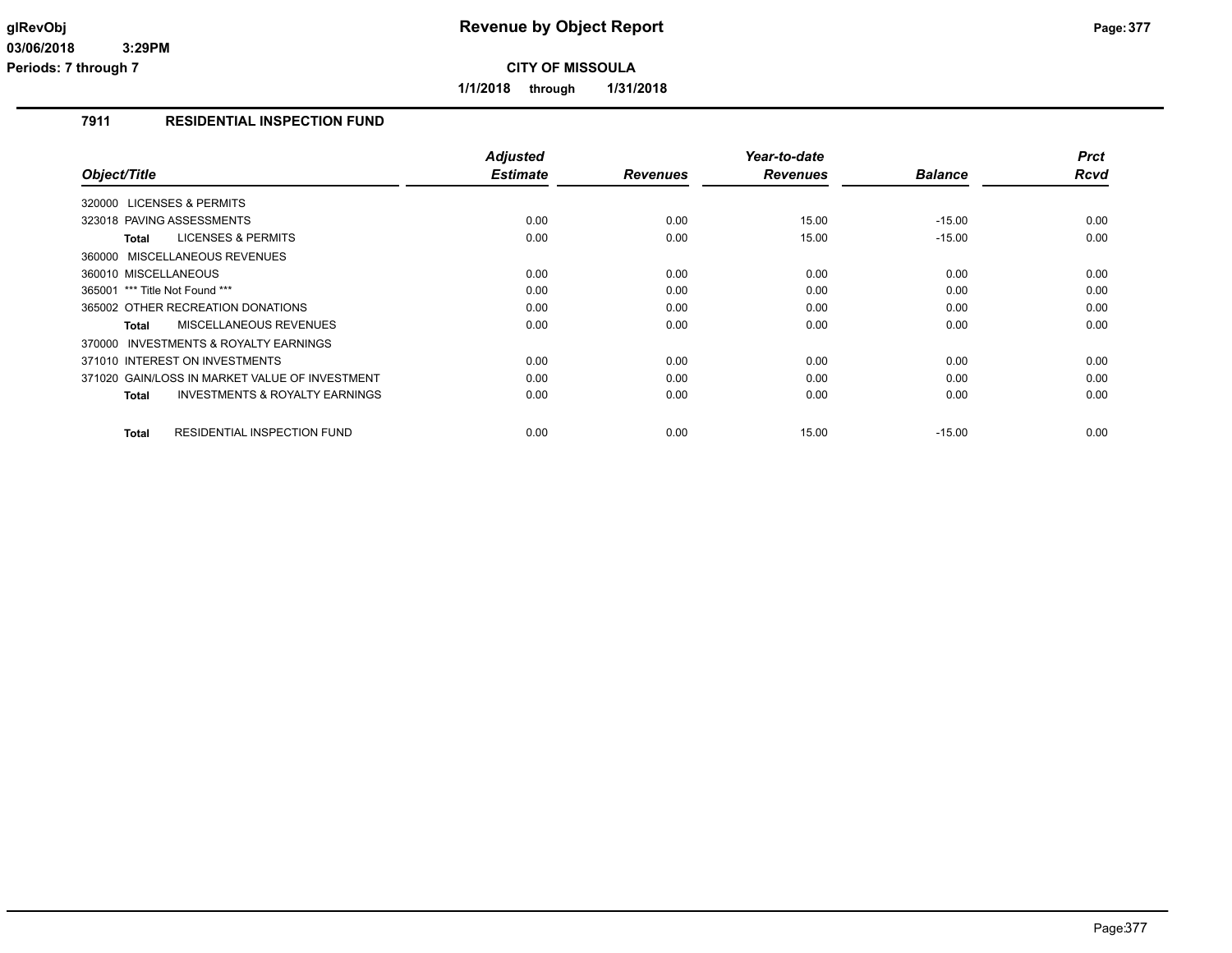**1/1/2018 through 1/31/2018**

# **7911 RESIDENTIAL INSPECTION FUND**

|                                                     | <b>Adjusted</b><br><b>Estimate</b> | <b>Revenues</b> | Year-to-date<br><b>Revenues</b> | <b>Balance</b> | <b>Prct</b><br><b>Rcvd</b> |
|-----------------------------------------------------|------------------------------------|-----------------|---------------------------------|----------------|----------------------------|
| Object/Title                                        |                                    |                 |                                 |                |                            |
| 320000 LICENSES & PERMITS                           |                                    |                 |                                 |                |                            |
| 323018 PAVING ASSESSMENTS                           | 0.00                               | 0.00            | 15.00                           | $-15.00$       | 0.00                       |
| <b>LICENSES &amp; PERMITS</b><br>Total              | 0.00                               | 0.00            | 15.00                           | $-15.00$       | 0.00                       |
| 360000 MISCELLANEOUS REVENUES                       |                                    |                 |                                 |                |                            |
| 360010 MISCELLANEOUS                                | 0.00                               | 0.00            | 0.00                            | 0.00           | 0.00                       |
| *** Title Not Found ***<br>365001                   | 0.00                               | 0.00            | 0.00                            | 0.00           | 0.00                       |
| 365002 OTHER RECREATION DONATIONS                   | 0.00                               | 0.00            | 0.00                            | 0.00           | 0.00                       |
| <b>MISCELLANEOUS REVENUES</b><br>Total              | 0.00                               | 0.00            | 0.00                            | 0.00           | 0.00                       |
| <b>INVESTMENTS &amp; ROYALTY EARNINGS</b><br>370000 |                                    |                 |                                 |                |                            |
| 371010 INTEREST ON INVESTMENTS                      | 0.00                               | 0.00            | 0.00                            | 0.00           | 0.00                       |
| 371020 GAIN/LOSS IN MARKET VALUE OF INVESTMENT      | 0.00                               | 0.00            | 0.00                            | 0.00           | 0.00                       |
| <b>INVESTMENTS &amp; ROYALTY EARNINGS</b><br>Total  | 0.00                               | 0.00            | 0.00                            | 0.00           | 0.00                       |
|                                                     |                                    |                 |                                 |                |                            |
| <b>Total</b><br><b>RESIDENTIAL INSPECTION FUND</b>  | 0.00                               | 0.00            | 15.00                           | $-15.00$       | 0.00                       |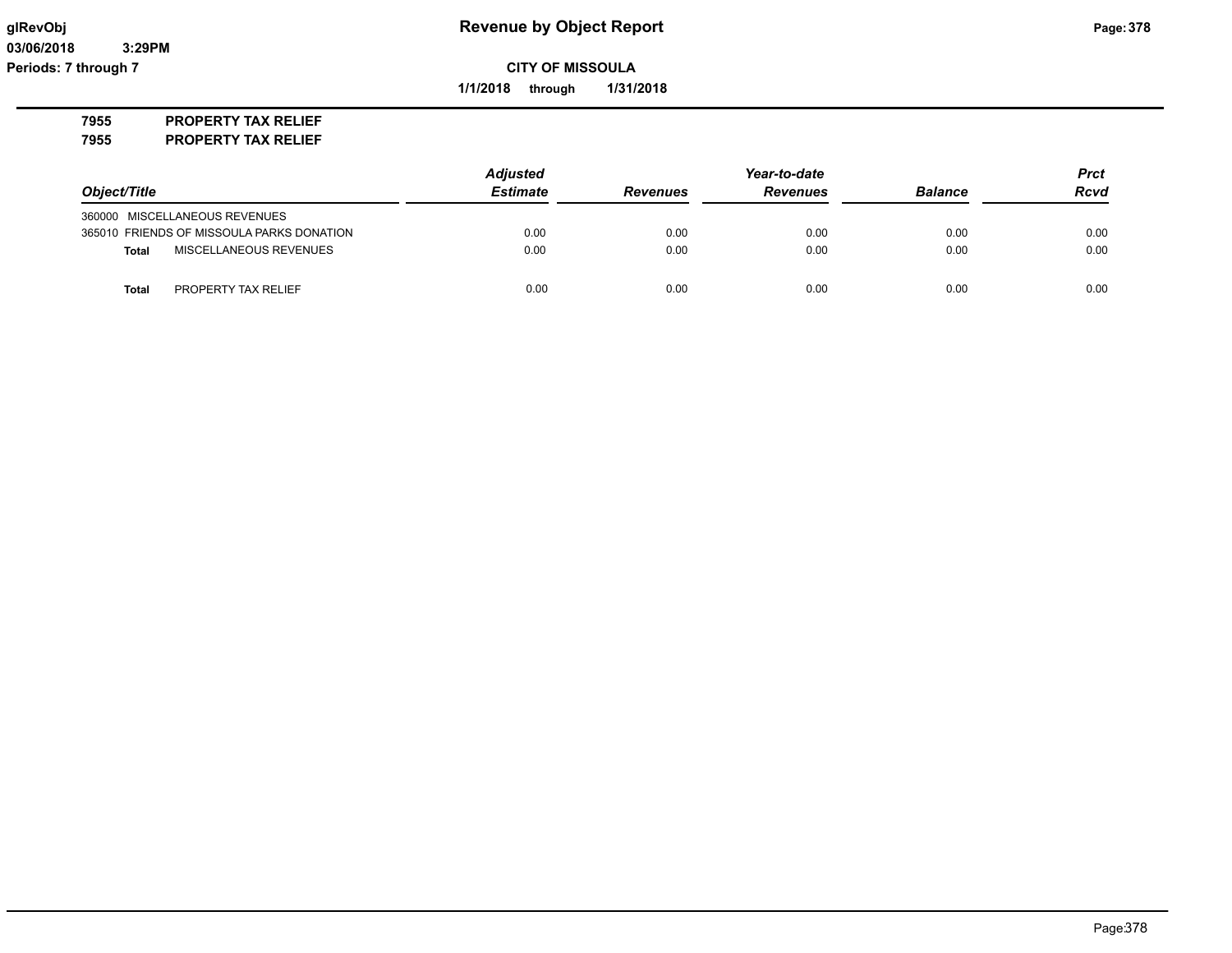**1/1/2018 through 1/31/2018**

**7955 PROPERTY TAX RELIEF**

**7955 PROPERTY TAX RELIEF**

|                                           | <b>Adjusted</b> |                 | Year-to-date    |                |             |
|-------------------------------------------|-----------------|-----------------|-----------------|----------------|-------------|
| Object/Title                              | <b>Estimate</b> | <b>Revenues</b> | <b>Revenues</b> | <b>Balance</b> | <b>Rcvd</b> |
| 360000 MISCELLANEOUS REVENUES             |                 |                 |                 |                |             |
| 365010 FRIENDS OF MISSOULA PARKS DONATION | 0.00            | 0.00            | 0.00            | 0.00           | 0.00        |
| MISCELLANEOUS REVENUES<br><b>Total</b>    | 0.00            | 0.00            | 0.00            | 0.00           | 0.00        |
| PROPERTY TAX RELIEF<br>Total              | 0.00            | 0.00            | 0.00            | 0.00           | 0.00        |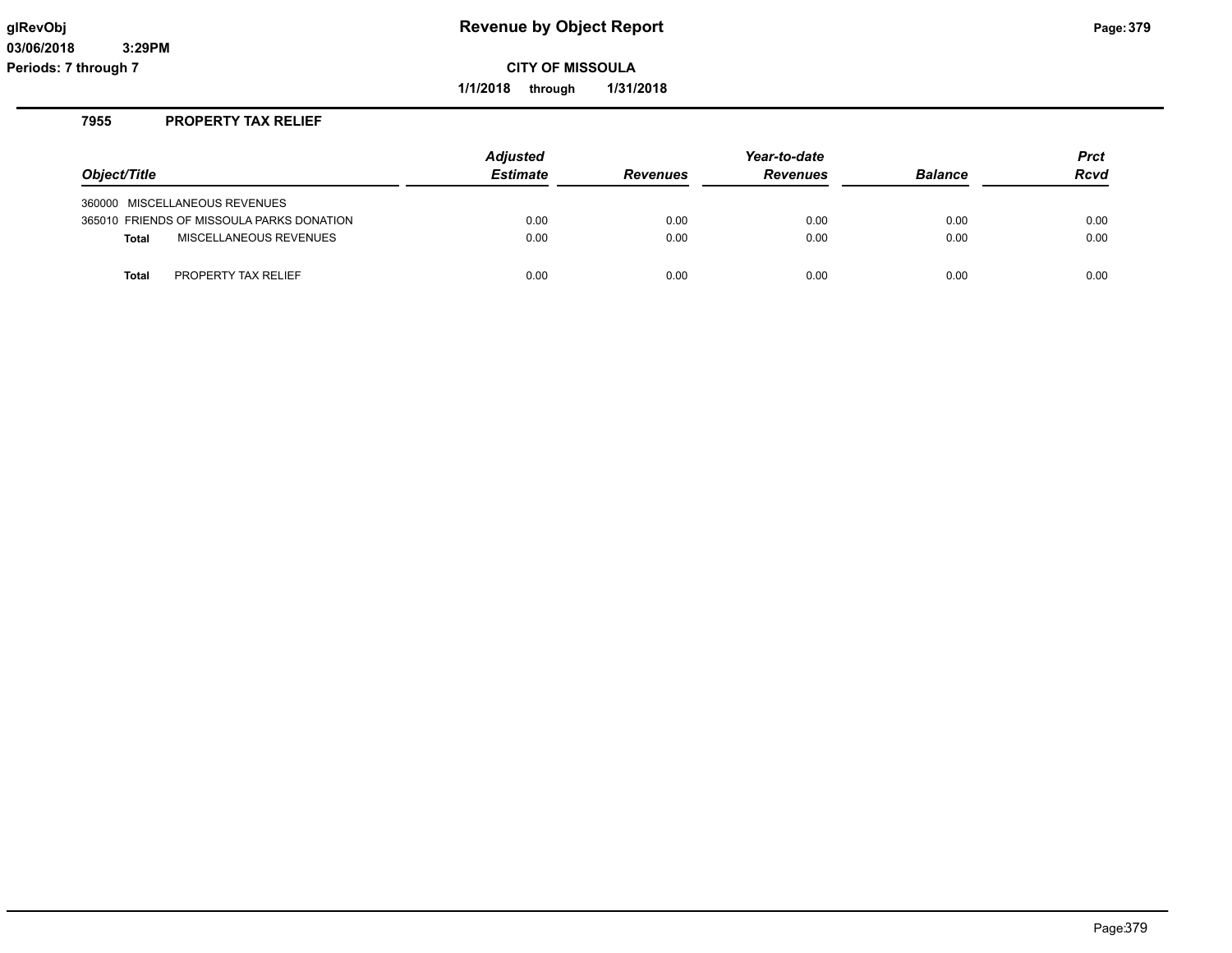**1/1/2018 through 1/31/2018**

### **7955 PROPERTY TAX RELIEF**

|                                           | <b>Adjusted</b> | Year-to-date    |                 |                | <b>Prct</b> |
|-------------------------------------------|-----------------|-----------------|-----------------|----------------|-------------|
| Object/Title                              | <b>Estimate</b> | <b>Revenues</b> | <b>Revenues</b> | <b>Balance</b> | <b>Rcvd</b> |
| 360000 MISCELLANEOUS REVENUES             |                 |                 |                 |                |             |
| 365010 FRIENDS OF MISSOULA PARKS DONATION | 0.00            | 0.00            | 0.00            | 0.00           | 0.00        |
| MISCELLANEOUS REVENUES<br><b>Total</b>    | 0.00            | 0.00            | 0.00            | 0.00           | 0.00        |
| PROPERTY TAX RELIEF<br><b>Total</b>       | 0.00            | 0.00            | 0.00            | 0.00           | 0.00        |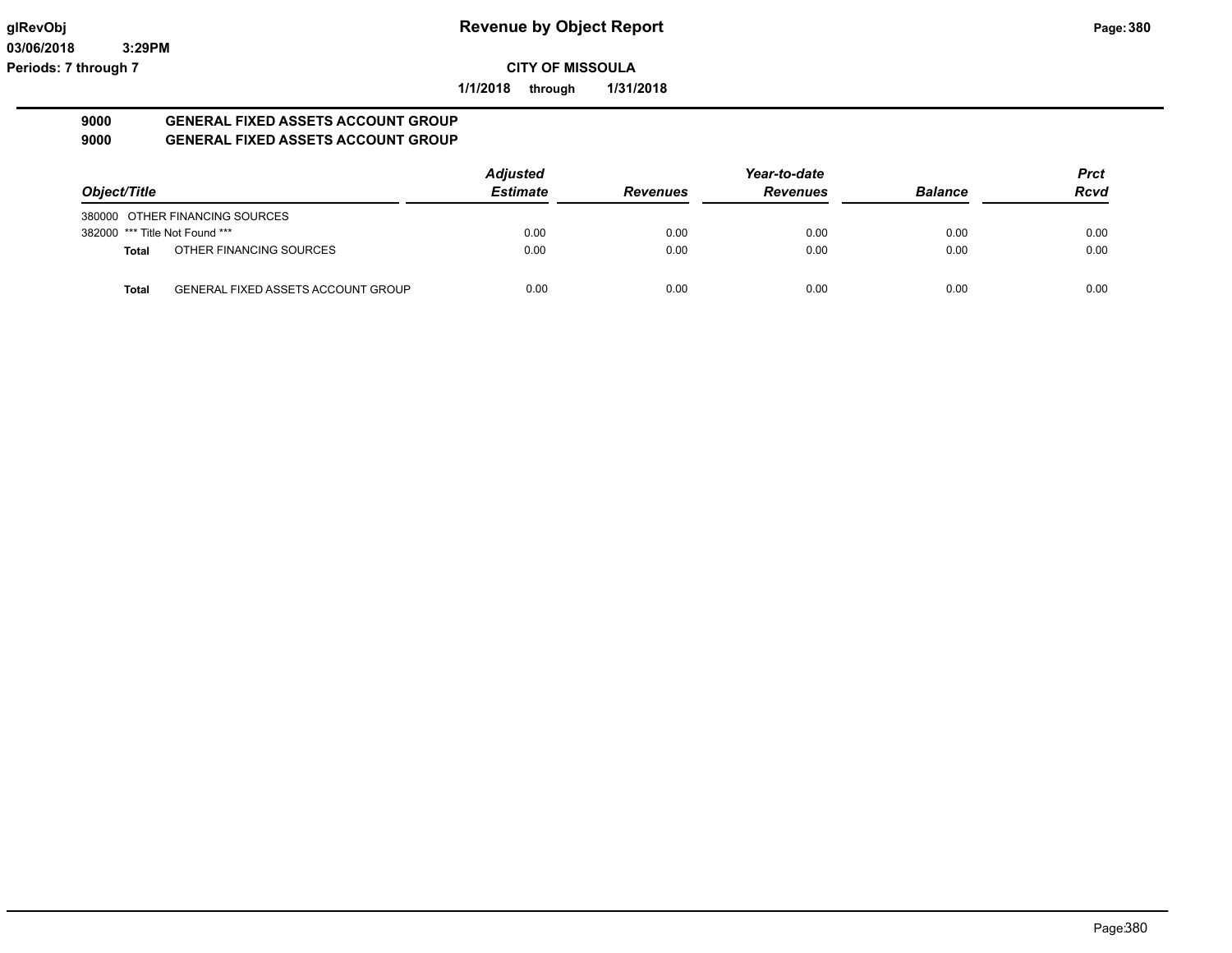**1/1/2018 through 1/31/2018**

#### **9000 GENERAL FIXED ASSETS ACCOUNT GROUP 9000 GENERAL FIXED ASSETS ACCOUNT GROUP**

|                                |                                           | <b>Adjusted</b> |                 | Year-to-date    |                | <b>Prct</b> |
|--------------------------------|-------------------------------------------|-----------------|-----------------|-----------------|----------------|-------------|
| Object/Title                   |                                           | <b>Estimate</b> | <b>Revenues</b> | <b>Revenues</b> | <b>Balance</b> | <b>Rcvd</b> |
|                                | 380000 OTHER FINANCING SOURCES            |                 |                 |                 |                |             |
| 382000 *** Title Not Found *** |                                           | 0.00            | 0.00            | 0.00            | 0.00           | 0.00        |
| <b>Total</b>                   | OTHER FINANCING SOURCES                   | 0.00            | 0.00            | 0.00            | 0.00           | 0.00        |
| <b>Total</b>                   | <b>GENERAL FIXED ASSETS ACCOUNT GROUP</b> | 0.00            | 0.00            | 0.00            | 0.00           | 0.00        |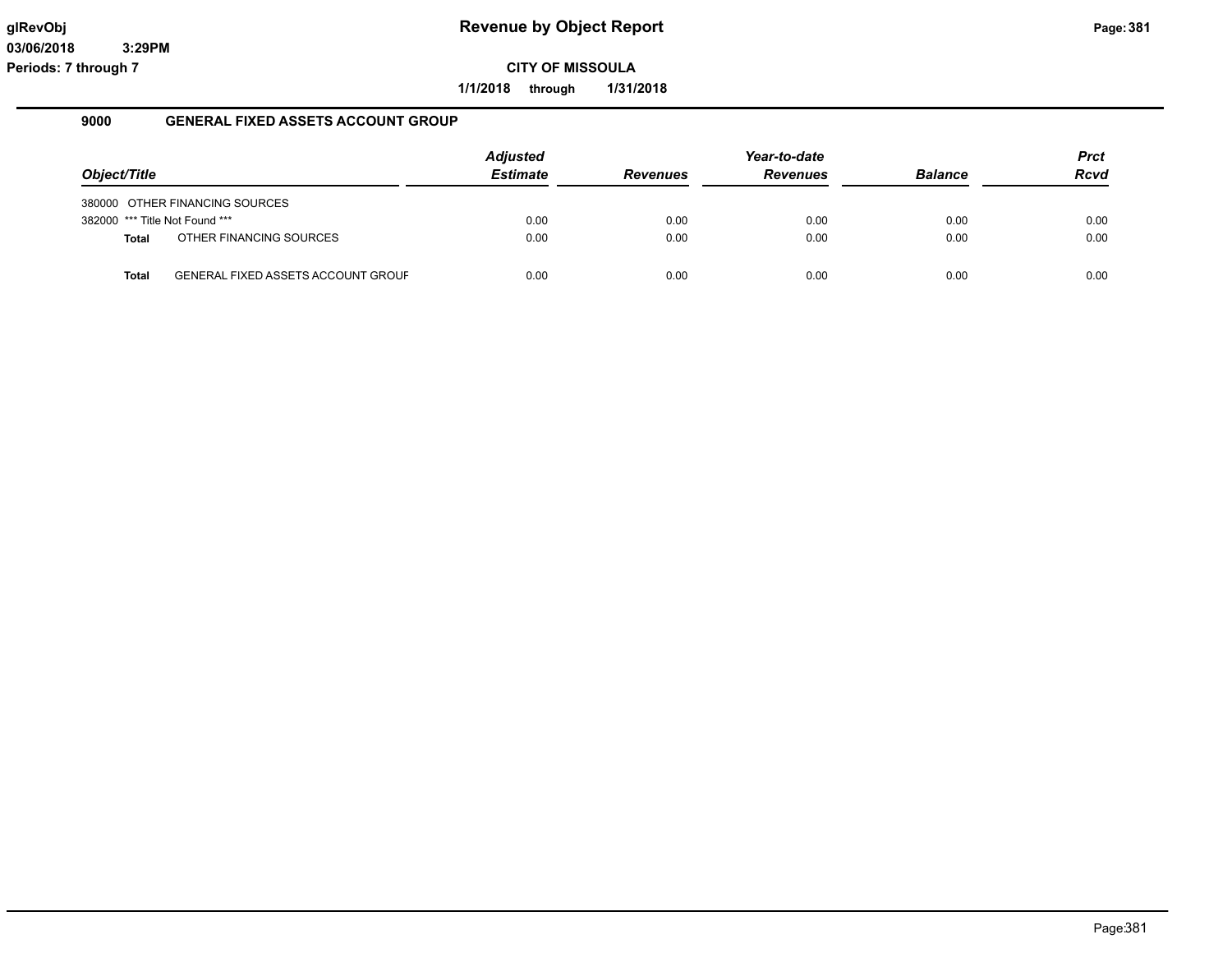**1/1/2018 through 1/31/2018**

#### **9000 GENERAL FIXED ASSETS ACCOUNT GROUP**

|                                |                                           | <b>Adjusted</b> |                 | Year-to-date    |                | Prct |
|--------------------------------|-------------------------------------------|-----------------|-----------------|-----------------|----------------|------|
| Object/Title                   |                                           | <b>Estimate</b> | <b>Revenues</b> | <b>Revenues</b> | <b>Balance</b> | Rcvd |
|                                | 380000 OTHER FINANCING SOURCES            |                 |                 |                 |                |      |
| 382000 *** Title Not Found *** |                                           | 0.00            | 0.00            | 0.00            | 0.00           | 0.00 |
| <b>Total</b>                   | OTHER FINANCING SOURCES                   | 0.00            | 0.00            | 0.00            | 0.00           | 0.00 |
| Total                          | <b>GENERAL FIXED ASSETS ACCOUNT GROUF</b> | 0.00            | 0.00            | 0.00            | 0.00           | 0.00 |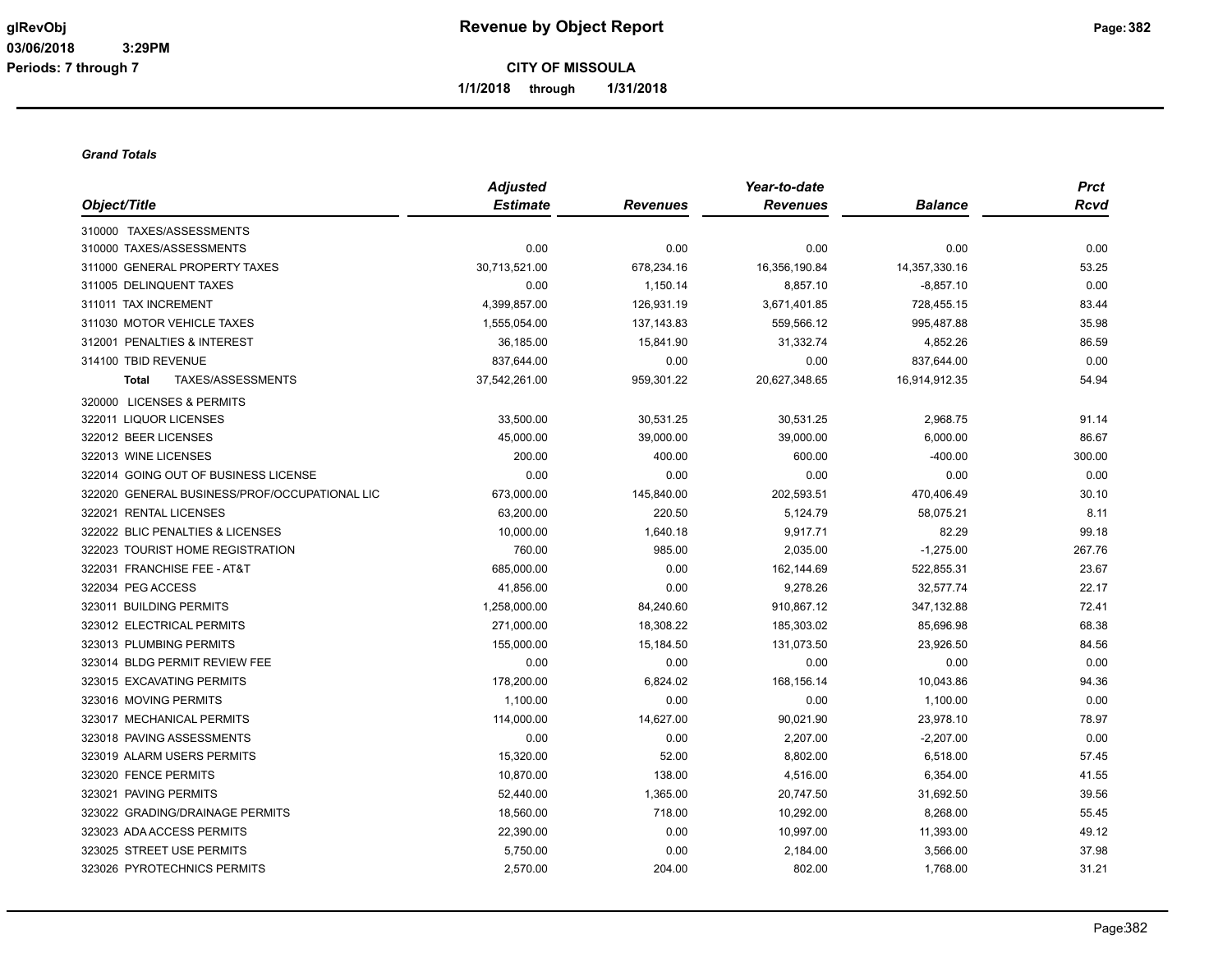**1/1/2018 through 1/31/2018**

#### *Grand Totals*

|                                               | <b>Adjusted</b> |                 | Year-to-date    |                | Prct        |
|-----------------------------------------------|-----------------|-----------------|-----------------|----------------|-------------|
| Object/Title                                  | <b>Estimate</b> | <b>Revenues</b> | <b>Revenues</b> | <b>Balance</b> | <b>Rcvd</b> |
| 310000 TAXES/ASSESSMENTS                      |                 |                 |                 |                |             |
| 310000 TAXES/ASSESSMENTS                      | 0.00            | 0.00            | 0.00            | 0.00           | 0.00        |
| 311000 GENERAL PROPERTY TAXES                 | 30,713,521.00   | 678,234.16      | 16,356,190.84   | 14,357,330.16  | 53.25       |
| 311005 DELINQUENT TAXES                       | 0.00            | 1,150.14        | 8,857.10        | $-8,857.10$    | 0.00        |
| 311011 TAX INCREMENT                          | 4,399,857.00    | 126,931.19      | 3,671,401.85    | 728,455.15     | 83.44       |
| 311030 MOTOR VEHICLE TAXES                    | 1,555,054.00    | 137, 143.83     | 559,566.12      | 995,487.88     | 35.98       |
| 312001 PENALTIES & INTEREST                   | 36,185.00       | 15,841.90       | 31,332.74       | 4,852.26       | 86.59       |
| 314100 TBID REVENUE                           | 837,644.00      | 0.00            | 0.00            | 837,644.00     | 0.00        |
| TAXES/ASSESSMENTS<br><b>Total</b>             | 37,542,261.00   | 959,301.22      | 20,627,348.65   | 16,914,912.35  | 54.94       |
| 320000 LICENSES & PERMITS                     |                 |                 |                 |                |             |
| 322011 LIQUOR LICENSES                        | 33,500.00       | 30,531.25       | 30,531.25       | 2,968.75       | 91.14       |
| 322012 BEER LICENSES                          | 45,000.00       | 39,000.00       | 39,000.00       | 6,000.00       | 86.67       |
| 322013 WINE LICENSES                          | 200.00          | 400.00          | 600.00          | $-400.00$      | 300.00      |
| 322014 GOING OUT OF BUSINESS LICENSE          | 0.00            | 0.00            | 0.00            | 0.00           | 0.00        |
| 322020 GENERAL BUSINESS/PROF/OCCUPATIONAL LIC | 673,000.00      | 145,840.00      | 202,593.51      | 470,406.49     | 30.10       |
| 322021 RENTAL LICENSES                        | 63,200.00       | 220.50          | 5,124.79        | 58,075.21      | 8.11        |
| 322022 BLIC PENALTIES & LICENSES              | 10,000.00       | 1,640.18        | 9,917.71        | 82.29          | 99.18       |
| 322023 TOURIST HOME REGISTRATION              | 760.00          | 985.00          | 2,035.00        | $-1,275.00$    | 267.76      |
| 322031 FRANCHISE FEE - AT&T                   | 685,000.00      | 0.00            | 162,144.69      | 522,855.31     | 23.67       |
| 322034 PEG ACCESS                             | 41,856.00       | 0.00            | 9,278.26        | 32,577.74      | 22.17       |
| 323011 BUILDING PERMITS                       | 1,258,000.00    | 84,240.60       | 910,867.12      | 347,132.88     | 72.41       |
| 323012 ELECTRICAL PERMITS                     | 271,000.00      | 18,308.22       | 185,303.02      | 85,696.98      | 68.38       |
| 323013 PLUMBING PERMITS                       | 155,000.00      | 15,184.50       | 131,073.50      | 23,926.50      | 84.56       |
| 323014 BLDG PERMIT REVIEW FEE                 | 0.00            | 0.00            | 0.00            | 0.00           | 0.00        |
| 323015 EXCAVATING PERMITS                     | 178,200.00      | 6,824.02        | 168,156.14      | 10,043.86      | 94.36       |
| 323016 MOVING PERMITS                         | 1,100.00        | 0.00            | 0.00            | 1,100.00       | 0.00        |
| 323017 MECHANICAL PERMITS                     | 114,000.00      | 14,627.00       | 90,021.90       | 23,978.10      | 78.97       |
| 323018 PAVING ASSESSMENTS                     | 0.00            | 0.00            | 2,207.00        | $-2,207.00$    | 0.00        |
| 323019 ALARM USERS PERMITS                    | 15,320.00       | 52.00           | 8,802.00        | 6,518.00       | 57.45       |
| 323020 FENCE PERMITS                          | 10,870.00       | 138.00          | 4,516.00        | 6,354.00       | 41.55       |
| 323021 PAVING PERMITS                         | 52,440.00       | 1,365.00        | 20,747.50       | 31,692.50      | 39.56       |
| 323022 GRADING/DRAINAGE PERMITS               | 18,560.00       | 718.00          | 10,292.00       | 8,268.00       | 55.45       |
| 323023 ADA ACCESS PERMITS                     | 22,390.00       | 0.00            | 10,997.00       | 11,393.00      | 49.12       |
| 323025 STREET USE PERMITS                     | 5,750.00        | 0.00            | 2,184.00        | 3,566.00       | 37.98       |
| 323026 PYROTECHNICS PERMITS                   | 2,570.00        | 204.00          | 802.00          | 1,768.00       | 31.21       |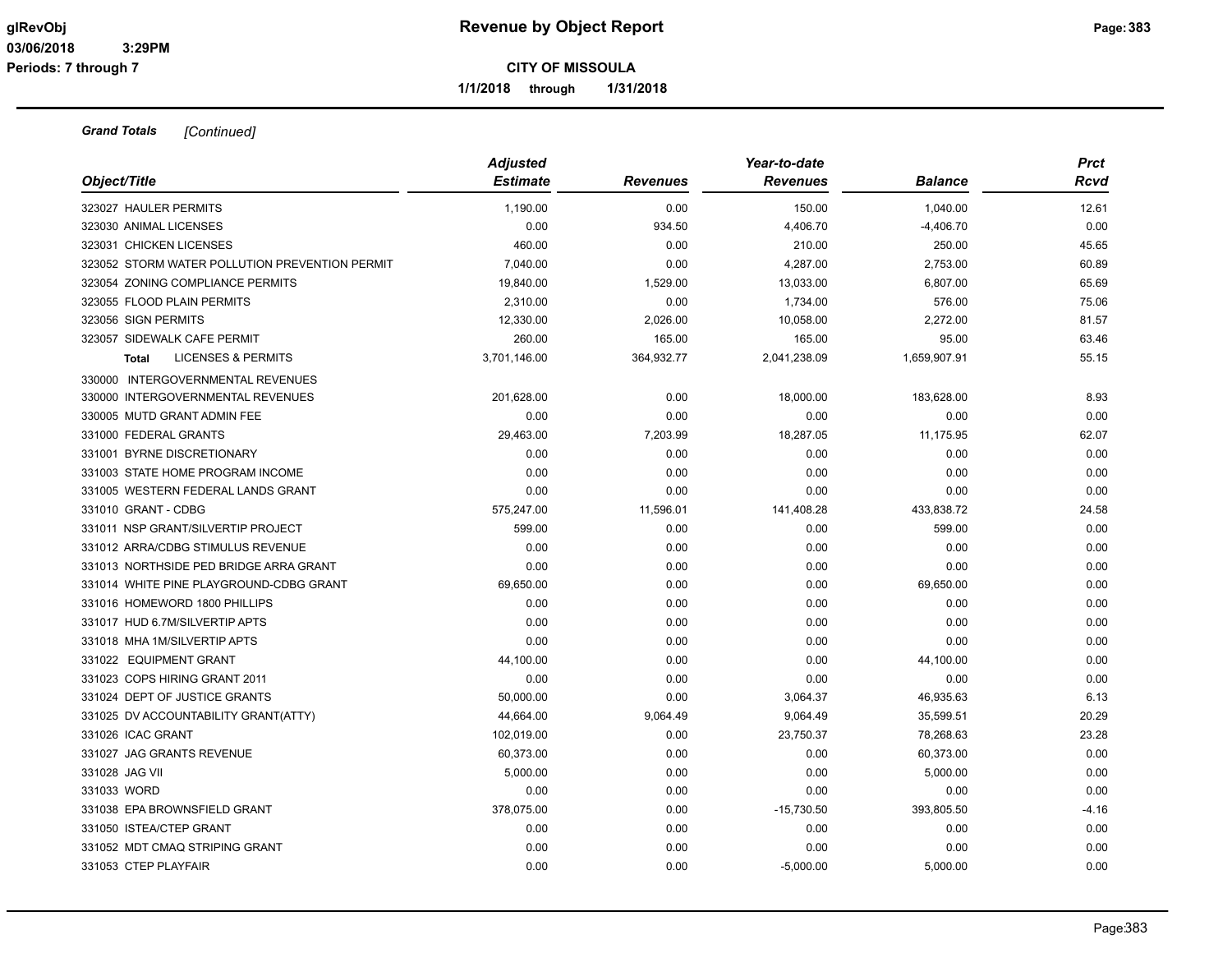**1/1/2018 through 1/31/2018**

|                                                | <b>Adjusted</b> |                 | Year-to-date    |                | <b>Prct</b> |
|------------------------------------------------|-----------------|-----------------|-----------------|----------------|-------------|
| Object/Title                                   | <b>Estimate</b> | <b>Revenues</b> | <b>Revenues</b> | <b>Balance</b> | <b>Rcvd</b> |
| 323027 HAULER PERMITS                          | 1,190.00        | 0.00            | 150.00          | 1,040.00       | 12.61       |
| 323030 ANIMAL LICENSES                         | 0.00            | 934.50          | 4,406.70        | $-4,406.70$    | 0.00        |
| 323031 CHICKEN LICENSES                        | 460.00          | 0.00            | 210.00          | 250.00         | 45.65       |
| 323052 STORM WATER POLLUTION PREVENTION PERMIT | 7,040.00        | 0.00            | 4,287.00        | 2,753.00       | 60.89       |
| 323054 ZONING COMPLIANCE PERMITS               | 19,840.00       | 1,529.00        | 13,033.00       | 6,807.00       | 65.69       |
| 323055 FLOOD PLAIN PERMITS                     | 2,310.00        | 0.00            | 1,734.00        | 576.00         | 75.06       |
| 323056 SIGN PERMITS                            | 12,330.00       | 2,026.00        | 10,058.00       | 2,272.00       | 81.57       |
| 323057 SIDEWALK CAFE PERMIT                    | 260.00          | 165.00          | 165.00          | 95.00          | 63.46       |
| <b>LICENSES &amp; PERMITS</b><br><b>Total</b>  | 3,701,146.00    | 364,932.77      | 2,041,238.09    | 1,659,907.91   | 55.15       |
| 330000 INTERGOVERNMENTAL REVENUES              |                 |                 |                 |                |             |
| 330000 INTERGOVERNMENTAL REVENUES              | 201,628.00      | 0.00            | 18,000.00       | 183,628.00     | 8.93        |
| 330005 MUTD GRANT ADMIN FEE                    | 0.00            | 0.00            | 0.00            | 0.00           | 0.00        |
| 331000 FEDERAL GRANTS                          | 29,463.00       | 7,203.99        | 18,287.05       | 11,175.95      | 62.07       |
| 331001 BYRNE DISCRETIONARY                     | 0.00            | 0.00            | 0.00            | 0.00           | 0.00        |
| 331003 STATE HOME PROGRAM INCOME               | 0.00            | 0.00            | 0.00            | 0.00           | 0.00        |
| 331005 WESTERN FEDERAL LANDS GRANT             | 0.00            | 0.00            | 0.00            | 0.00           | 0.00        |
| 331010 GRANT - CDBG                            | 575,247.00      | 11,596.01       | 141,408.28      | 433,838.72     | 24.58       |
| 331011 NSP GRANT/SILVERTIP PROJECT             | 599.00          | 0.00            | 0.00            | 599.00         | 0.00        |
| 331012 ARRA/CDBG STIMULUS REVENUE              | 0.00            | 0.00            | 0.00            | 0.00           | 0.00        |
| 331013 NORTHSIDE PED BRIDGE ARRA GRANT         | 0.00            | 0.00            | 0.00            | 0.00           | 0.00        |
| 331014 WHITE PINE PLAYGROUND-CDBG GRANT        | 69,650.00       | 0.00            | 0.00            | 69,650.00      | 0.00        |
| 331016 HOMEWORD 1800 PHILLIPS                  | 0.00            | 0.00            | 0.00            | 0.00           | 0.00        |
| 331017 HUD 6.7M/SILVERTIP APTS                 | 0.00            | 0.00            | 0.00            | 0.00           | 0.00        |
| 331018 MHA 1M/SILVERTIP APTS                   | 0.00            | 0.00            | 0.00            | 0.00           | 0.00        |
| 331022 EQUIPMENT GRANT                         | 44,100.00       | 0.00            | 0.00            | 44,100.00      | 0.00        |
| 331023 COPS HIRING GRANT 2011                  | 0.00            | 0.00            | 0.00            | 0.00           | 0.00        |
| 331024 DEPT OF JUSTICE GRANTS                  | 50,000.00       | 0.00            | 3,064.37        | 46,935.63      | 6.13        |
| 331025 DV ACCOUNTABILITY GRANT(ATTY)           | 44,664.00       | 9,064.49        | 9,064.49        | 35,599.51      | 20.29       |
| 331026 ICAC GRANT                              | 102,019.00      | 0.00            | 23,750.37       | 78,268.63      | 23.28       |
| 331027 JAG GRANTS REVENUE                      | 60,373.00       | 0.00            | 0.00            | 60,373.00      | 0.00        |
| 331028 JAG VII                                 | 5,000.00        | 0.00            | 0.00            | 5,000.00       | 0.00        |
| 331033 WORD                                    | 0.00            | 0.00            | 0.00            | 0.00           | 0.00        |
| 331038 EPA BROWNSFIELD GRANT                   | 378,075.00      | 0.00            | $-15,730.50$    | 393,805.50     | $-4.16$     |
| 331050 ISTEA/CTEP GRANT                        | 0.00            | 0.00            | 0.00            | 0.00           | 0.00        |
| 331052 MDT CMAQ STRIPING GRANT                 | 0.00            | 0.00            | 0.00            | 0.00           | 0.00        |
| 331053 CTEP PLAYFAIR                           | 0.00            | 0.00            | $-5,000.00$     | 5,000.00       | 0.00        |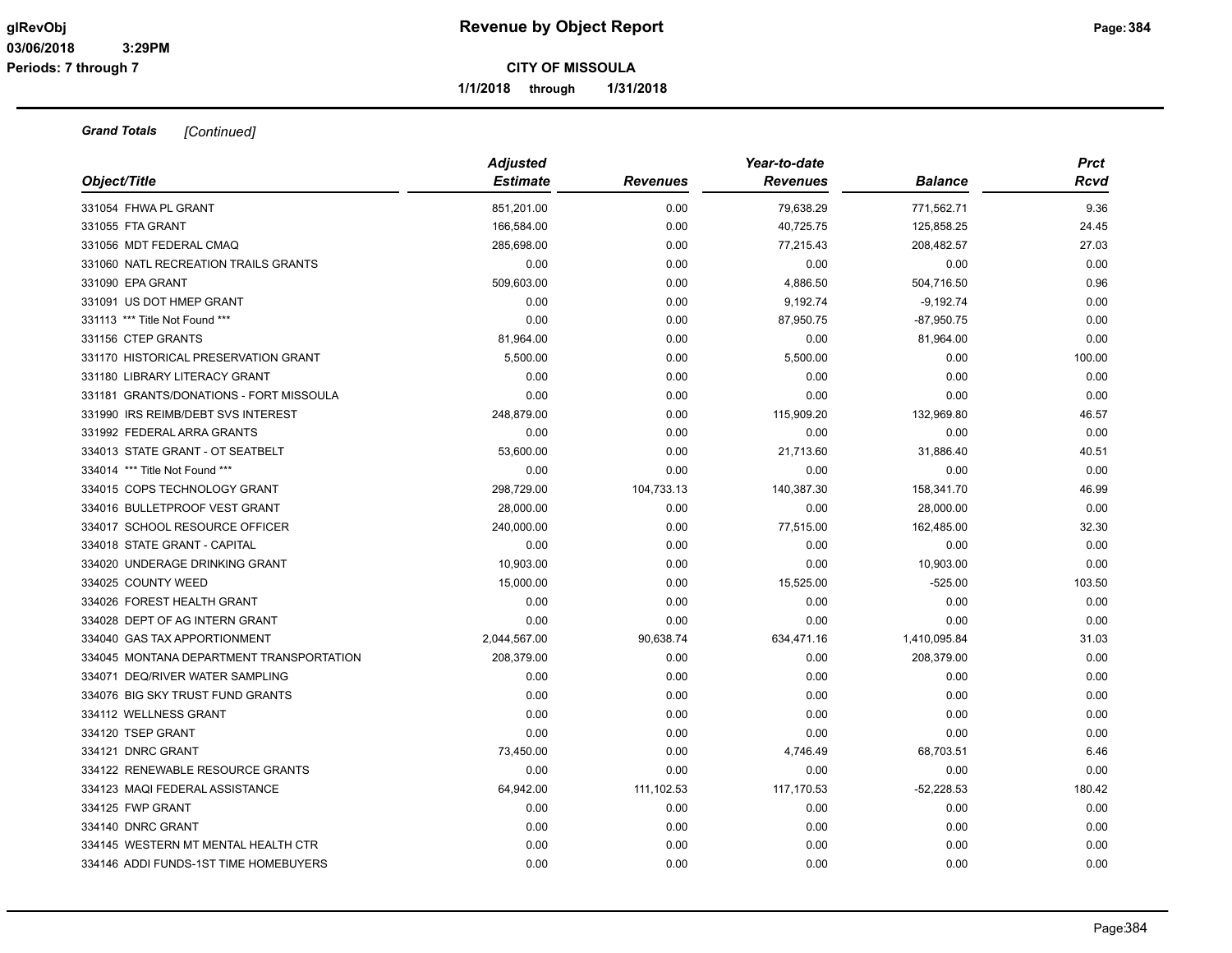**1/1/2018 through 1/31/2018**

| Object/Title                             | <b>Adjusted</b><br><b>Estimate</b> | <b>Revenues</b> | Year-to-date<br><b>Revenues</b> | <b>Balance</b> | <b>Prct</b><br>Rcvd |
|------------------------------------------|------------------------------------|-----------------|---------------------------------|----------------|---------------------|
| 331054 FHWA PL GRANT                     | 851,201.00                         | 0.00            | 79,638.29                       | 771,562.71     | 9.36                |
| 331055 FTA GRANT                         | 166,584.00                         | 0.00            | 40,725.75                       | 125,858.25     | 24.45               |
| 331056 MDT FEDERAL CMAQ                  | 285,698.00                         | 0.00            | 77,215.43                       | 208,482.57     | 27.03               |
| 331060 NATL RECREATION TRAILS GRANTS     | 0.00                               | 0.00            | 0.00                            | 0.00           | 0.00                |
| 331090 EPA GRANT                         | 509,603.00                         | 0.00            | 4,886.50                        | 504,716.50     | 0.96                |
| 331091 US DOT HMEP GRANT                 | 0.00                               | 0.00            | 9,192.74                        | $-9,192.74$    | 0.00                |
| 331113 *** Title Not Found ***           | 0.00                               | 0.00            | 87,950.75                       | $-87,950.75$   | 0.00                |
| 331156 CTEP GRANTS                       | 81,964.00                          | 0.00            | 0.00                            | 81,964.00      | 0.00                |
| 331170 HISTORICAL PRESERVATION GRANT     | 5,500.00                           | 0.00            | 5,500.00                        | 0.00           | 100.00              |
| 331180 LIBRARY LITERACY GRANT            | 0.00                               | 0.00            | 0.00                            | 0.00           | 0.00                |
| 331181 GRANTS/DONATIONS - FORT MISSOULA  | 0.00                               | 0.00            | 0.00                            | 0.00           | 0.00                |
| 331990 IRS REIMB/DEBT SVS INTEREST       | 248,879.00                         | 0.00            | 115,909.20                      | 132,969.80     | 46.57               |
| 331992 FEDERAL ARRA GRANTS               | 0.00                               | 0.00            | 0.00                            | 0.00           | 0.00                |
| 334013 STATE GRANT - OT SEATBELT         | 53,600.00                          | 0.00            | 21,713.60                       | 31,886.40      | 40.51               |
| 334014 *** Title Not Found ***           | 0.00                               | 0.00            | 0.00                            | 0.00           | 0.00                |
| 334015 COPS TECHNOLOGY GRANT             | 298,729.00                         | 104,733.13      | 140,387.30                      | 158,341.70     | 46.99               |
| 334016 BULLETPROOF VEST GRANT            | 28,000.00                          | 0.00            | 0.00                            | 28,000.00      | 0.00                |
| 334017 SCHOOL RESOURCE OFFICER           | 240,000.00                         | 0.00            | 77,515.00                       | 162,485.00     | 32.30               |
| 334018 STATE GRANT - CAPITAL             | 0.00                               | 0.00            | 0.00                            | 0.00           | 0.00                |
| 334020 UNDERAGE DRINKING GRANT           | 10,903.00                          | 0.00            | 0.00                            | 10,903.00      | 0.00                |
| 334025 COUNTY WEED                       | 15,000.00                          | 0.00            | 15,525.00                       | $-525.00$      | 103.50              |
| 334026 FOREST HEALTH GRANT               | 0.00                               | 0.00            | 0.00                            | 0.00           | 0.00                |
| 334028 DEPT OF AG INTERN GRANT           | 0.00                               | 0.00            | 0.00                            | 0.00           | 0.00                |
| 334040 GAS TAX APPORTIONMENT             | 2,044,567.00                       | 90,638.74       | 634,471.16                      | 1,410,095.84   | 31.03               |
| 334045 MONTANA DEPARTMENT TRANSPORTATION | 208,379.00                         | 0.00            | 0.00                            | 208,379.00     | 0.00                |
| 334071 DEQ/RIVER WATER SAMPLING          | 0.00                               | 0.00            | 0.00                            | 0.00           | 0.00                |
| 334076 BIG SKY TRUST FUND GRANTS         | 0.00                               | 0.00            | 0.00                            | 0.00           | 0.00                |
| 334112 WELLNESS GRANT                    | 0.00                               | 0.00            | 0.00                            | 0.00           | 0.00                |
| 334120 TSEP GRANT                        | 0.00                               | 0.00            | 0.00                            | 0.00           | 0.00                |
| 334121 DNRC GRANT                        | 73,450.00                          | 0.00            | 4,746.49                        | 68,703.51      | 6.46                |
| 334122 RENEWABLE RESOURCE GRANTS         | 0.00                               | 0.00            | 0.00                            | 0.00           | 0.00                |
| 334123 MAQI FEDERAL ASSISTANCE           | 64,942.00                          | 111,102.53      | 117,170.53                      | $-52,228.53$   | 180.42              |
| 334125 FWP GRANT                         | 0.00                               | 0.00            | 0.00                            | 0.00           | 0.00                |
| 334140 DNRC GRANT                        | 0.00                               | 0.00            | 0.00                            | 0.00           | 0.00                |
| 334145 WESTERN MT MENTAL HEALTH CTR      | 0.00                               | 0.00            | 0.00                            | 0.00           | 0.00                |
| 334146 ADDI FUNDS-1ST TIME HOMEBUYERS    | 0.00                               | 0.00            | 0.00                            | 0.00           | 0.00                |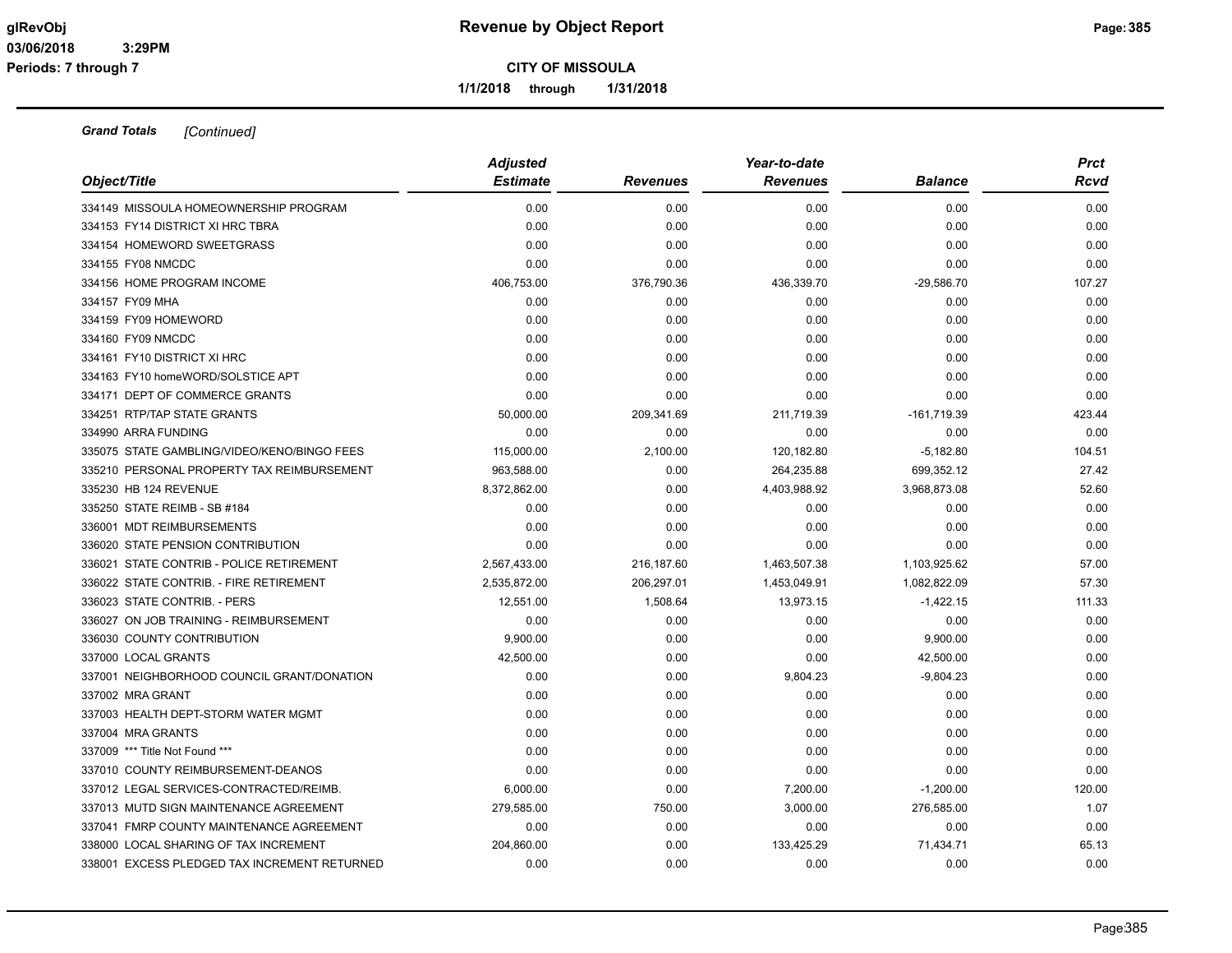**1/1/2018 through 1/31/2018**

| Object/Title                                 | <b>Adjusted</b><br><b>Estimate</b> | <b>Revenues</b> | Year-to-date<br><b>Revenues</b> | <b>Balance</b> | <b>Prct</b><br>Rcvd |
|----------------------------------------------|------------------------------------|-----------------|---------------------------------|----------------|---------------------|
| 334149 MISSOULA HOMEOWNERSHIP PROGRAM        | 0.00                               | 0.00            | 0.00                            | 0.00           | 0.00                |
| 334153 FY14 DISTRICT XI HRC TBRA             | 0.00                               | 0.00            | 0.00                            | 0.00           | 0.00                |
| 334154 HOMEWORD SWEETGRASS                   | 0.00                               | 0.00            | 0.00                            | 0.00           | 0.00                |
| 334155 FY08 NMCDC                            | 0.00                               | 0.00            | 0.00                            | 0.00           | 0.00                |
| 334156 HOME PROGRAM INCOME                   | 406,753.00                         | 376,790.36      | 436,339.70                      | $-29,586.70$   | 107.27              |
| 334157 FY09 MHA                              | 0.00                               | 0.00            | 0.00                            | 0.00           | 0.00                |
| 334159 FY09 HOMEWORD                         | 0.00                               | 0.00            | 0.00                            | 0.00           | 0.00                |
| 334160 FY09 NMCDC                            | 0.00                               | 0.00            | 0.00                            | 0.00           | 0.00                |
| 334161 FY10 DISTRICT XI HRC                  | 0.00                               | 0.00            | 0.00                            | 0.00           | 0.00                |
| 334163 FY10 homeWORD/SOLSTICE APT            | 0.00                               | 0.00            | 0.00                            | 0.00           | 0.00                |
| 334171 DEPT OF COMMERCE GRANTS               | 0.00                               | 0.00            | 0.00                            | 0.00           | 0.00                |
| 334251 RTP/TAP STATE GRANTS                  | 50,000.00                          | 209,341.69      | 211,719.39                      | $-161,719.39$  | 423.44              |
| 334990 ARRA FUNDING                          | 0.00                               | 0.00            | 0.00                            | 0.00           | 0.00                |
| 335075 STATE GAMBLING/VIDEO/KENO/BINGO FEES  | 115,000.00                         | 2,100.00        | 120,182.80                      | $-5,182.80$    | 104.51              |
| 335210 PERSONAL PROPERTY TAX REIMBURSEMENT   | 963,588.00                         | 0.00            | 264,235.88                      | 699,352.12     | 27.42               |
| 335230 HB 124 REVENUE                        | 8,372,862.00                       | 0.00            | 4,403,988.92                    | 3,968,873.08   | 52.60               |
| 335250 STATE REIMB - SB #184                 | 0.00                               | 0.00            | 0.00                            | 0.00           | 0.00                |
| 336001 MDT REIMBURSEMENTS                    | 0.00                               | 0.00            | 0.00                            | 0.00           | 0.00                |
| 336020 STATE PENSION CONTRIBUTION            | 0.00                               | 0.00            | 0.00                            | 0.00           | 0.00                |
| 336021 STATE CONTRIB - POLICE RETIREMENT     | 2,567,433.00                       | 216,187.60      | 1,463,507.38                    | 1,103,925.62   | 57.00               |
| 336022 STATE CONTRIB. - FIRE RETIREMENT      | 2,535,872.00                       | 206,297.01      | 1,453,049.91                    | 1,082,822.09   | 57.30               |
| 336023 STATE CONTRIB. - PERS                 | 12,551.00                          | 1,508.64        | 13,973.15                       | $-1,422.15$    | 111.33              |
| 336027 ON JOB TRAINING - REIMBURSEMENT       | 0.00                               | 0.00            | 0.00                            | 0.00           | 0.00                |
| 336030 COUNTY CONTRIBUTION                   | 9,900.00                           | 0.00            | 0.00                            | 9,900.00       | 0.00                |
| 337000 LOCAL GRANTS                          | 42,500.00                          | 0.00            | 0.00                            | 42,500.00      | 0.00                |
| 337001 NEIGHBORHOOD COUNCIL GRANT/DONATION   | 0.00                               | 0.00            | 9,804.23                        | $-9,804.23$    | 0.00                |
| 337002 MRA GRANT                             | 0.00                               | 0.00            | 0.00                            | 0.00           | 0.00                |
| 337003 HEALTH DEPT-STORM WATER MGMT          | 0.00                               | 0.00            | 0.00                            | 0.00           | 0.00                |
| 337004 MRA GRANTS                            | 0.00                               | 0.00            | 0.00                            | 0.00           | 0.00                |
| 337009 *** Title Not Found ***               | 0.00                               | 0.00            | 0.00                            | 0.00           | 0.00                |
| 337010 COUNTY REIMBURSEMENT-DEANOS           | 0.00                               | 0.00            | 0.00                            | 0.00           | 0.00                |
| 337012 LEGAL SERVICES-CONTRACTED/REIMB.      | 6,000.00                           | 0.00            | 7,200.00                        | $-1,200.00$    | 120.00              |
| 337013 MUTD SIGN MAINTENANCE AGREEMENT       | 279,585.00                         | 750.00          | 3,000.00                        | 276,585.00     | 1.07                |
| 337041 FMRP COUNTY MAINTENANCE AGREEMENT     | 0.00                               | 0.00            | 0.00                            | 0.00           | 0.00                |
| 338000 LOCAL SHARING OF TAX INCREMENT        | 204,860.00                         | 0.00            | 133,425.29                      | 71,434.71      | 65.13               |
| 338001 EXCESS PLEDGED TAX INCREMENT RETURNED | 0.00                               | 0.00            | 0.00                            | 0.00           | 0.00                |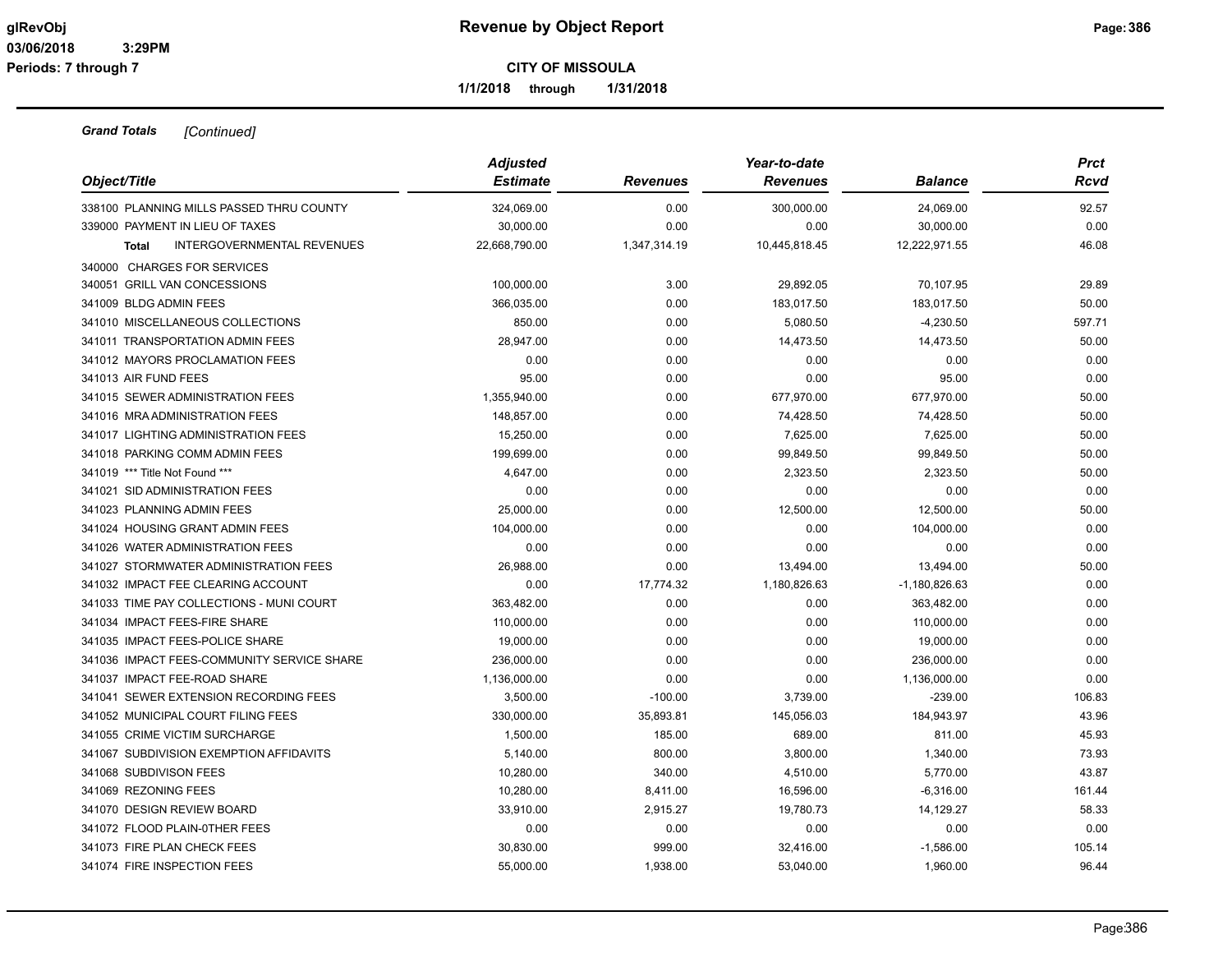**1/1/2018 through 1/31/2018**

|                                                   | <b>Adjusted</b> |                 | Year-to-date    |                 | <b>Prct</b> |
|---------------------------------------------------|-----------------|-----------------|-----------------|-----------------|-------------|
| Object/Title                                      | <b>Estimate</b> | <b>Revenues</b> | <b>Revenues</b> | <b>Balance</b>  | Rcvd        |
| 338100 PLANNING MILLS PASSED THRU COUNTY          | 324,069.00      | 0.00            | 300,000.00      | 24,069.00       | 92.57       |
| 339000 PAYMENT IN LIEU OF TAXES                   | 30,000.00       | 0.00            | 0.00            | 30,000.00       | 0.00        |
| <b>INTERGOVERNMENTAL REVENUES</b><br><b>Total</b> | 22,668,790.00   | 1,347,314.19    | 10,445,818.45   | 12,222,971.55   | 46.08       |
| 340000 CHARGES FOR SERVICES                       |                 |                 |                 |                 |             |
| 340051 GRILL VAN CONCESSIONS                      | 100,000.00      | 3.00            | 29,892.05       | 70,107.95       | 29.89       |
| 341009 BLDG ADMIN FEES                            | 366,035.00      | 0.00            | 183,017.50      | 183,017.50      | 50.00       |
| 341010 MISCELLANEOUS COLLECTIONS                  | 850.00          | 0.00            | 5,080.50        | $-4,230.50$     | 597.71      |
| 341011 TRANSPORTATION ADMIN FEES                  | 28,947.00       | 0.00            | 14,473.50       | 14,473.50       | 50.00       |
| 341012 MAYORS PROCLAMATION FEES                   | 0.00            | 0.00            | 0.00            | 0.00            | 0.00        |
| 341013 AIR FUND FEES                              | 95.00           | 0.00            | 0.00            | 95.00           | 0.00        |
| 341015 SEWER ADMINISTRATION FEES                  | 1,355,940.00    | 0.00            | 677,970.00      | 677,970.00      | 50.00       |
| 341016 MRA ADMINISTRATION FEES                    | 148,857.00      | 0.00            | 74,428.50       | 74,428.50       | 50.00       |
| 341017 LIGHTING ADMINISTRATION FEES               | 15,250.00       | 0.00            | 7,625.00        | 7,625.00        | 50.00       |
| 341018 PARKING COMM ADMIN FEES                    | 199,699.00      | 0.00            | 99,849.50       | 99,849.50       | 50.00       |
| 341019 *** Title Not Found ***                    | 4,647.00        | 0.00            | 2,323.50        | 2,323.50        | 50.00       |
| 341021 SID ADMINISTRATION FEES                    | 0.00            | 0.00            | 0.00            | 0.00            | 0.00        |
| 341023 PLANNING ADMIN FEES                        | 25,000.00       | 0.00            | 12,500.00       | 12,500.00       | 50.00       |
| 341024 HOUSING GRANT ADMIN FEES                   | 104,000.00      | 0.00            | 0.00            | 104,000.00      | 0.00        |
| 341026 WATER ADMINISTRATION FEES                  | 0.00            | 0.00            | 0.00            | 0.00            | 0.00        |
| 341027 STORMWATER ADMINISTRATION FEES             | 26,988.00       | 0.00            | 13,494.00       | 13,494.00       | 50.00       |
| 341032 IMPACT FEE CLEARING ACCOUNT                | 0.00            | 17,774.32       | 1,180,826.63    | $-1,180,826.63$ | 0.00        |
| 341033 TIME PAY COLLECTIONS - MUNI COURT          | 363,482.00      | 0.00            | 0.00            | 363,482.00      | 0.00        |
| 341034 IMPACT FEES-FIRE SHARE                     | 110,000.00      | 0.00            | 0.00            | 110,000.00      | 0.00        |
| 341035 IMPACT FEES-POLICE SHARE                   | 19,000.00       | 0.00            | 0.00            | 19,000.00       | 0.00        |
| 341036 IMPACT FEES-COMMUNITY SERVICE SHARE        | 236,000.00      | 0.00            | 0.00            | 236,000.00      | 0.00        |
| 341037 IMPACT FEE-ROAD SHARE                      | 1,136,000.00    | 0.00            | 0.00            | 1,136,000.00    | 0.00        |
| 341041 SEWER EXTENSION RECORDING FEES             | 3,500.00        | $-100.00$       | 3,739.00        | $-239.00$       | 106.83      |
| 341052 MUNICIPAL COURT FILING FEES                | 330,000.00      | 35,893.81       | 145,056.03      | 184,943.97      | 43.96       |
| 341055 CRIME VICTIM SURCHARGE                     | 1,500.00        | 185.00          | 689.00          | 811.00          | 45.93       |
| 341067 SUBDIVISION EXEMPTION AFFIDAVITS           | 5,140.00        | 800.00          | 3,800.00        | 1,340.00        | 73.93       |
| 341068 SUBDIVISON FEES                            | 10,280.00       | 340.00          | 4,510.00        | 5,770.00        | 43.87       |
| 341069 REZONING FEES                              | 10,280.00       | 8,411.00        | 16,596.00       | $-6,316.00$     | 161.44      |
| 341070 DESIGN REVIEW BOARD                        | 33,910.00       | 2,915.27        | 19,780.73       | 14,129.27       | 58.33       |
| 341072 FLOOD PLAIN-0THER FEES                     | 0.00            | 0.00            | 0.00            | 0.00            | 0.00        |
| 341073 FIRE PLAN CHECK FEES                       | 30,830.00       | 999.00          | 32,416.00       | $-1,586.00$     | 105.14      |
| 341074 FIRE INSPECTION FEES                       | 55,000.00       | 1,938.00        | 53,040.00       | 1,960.00        | 96.44       |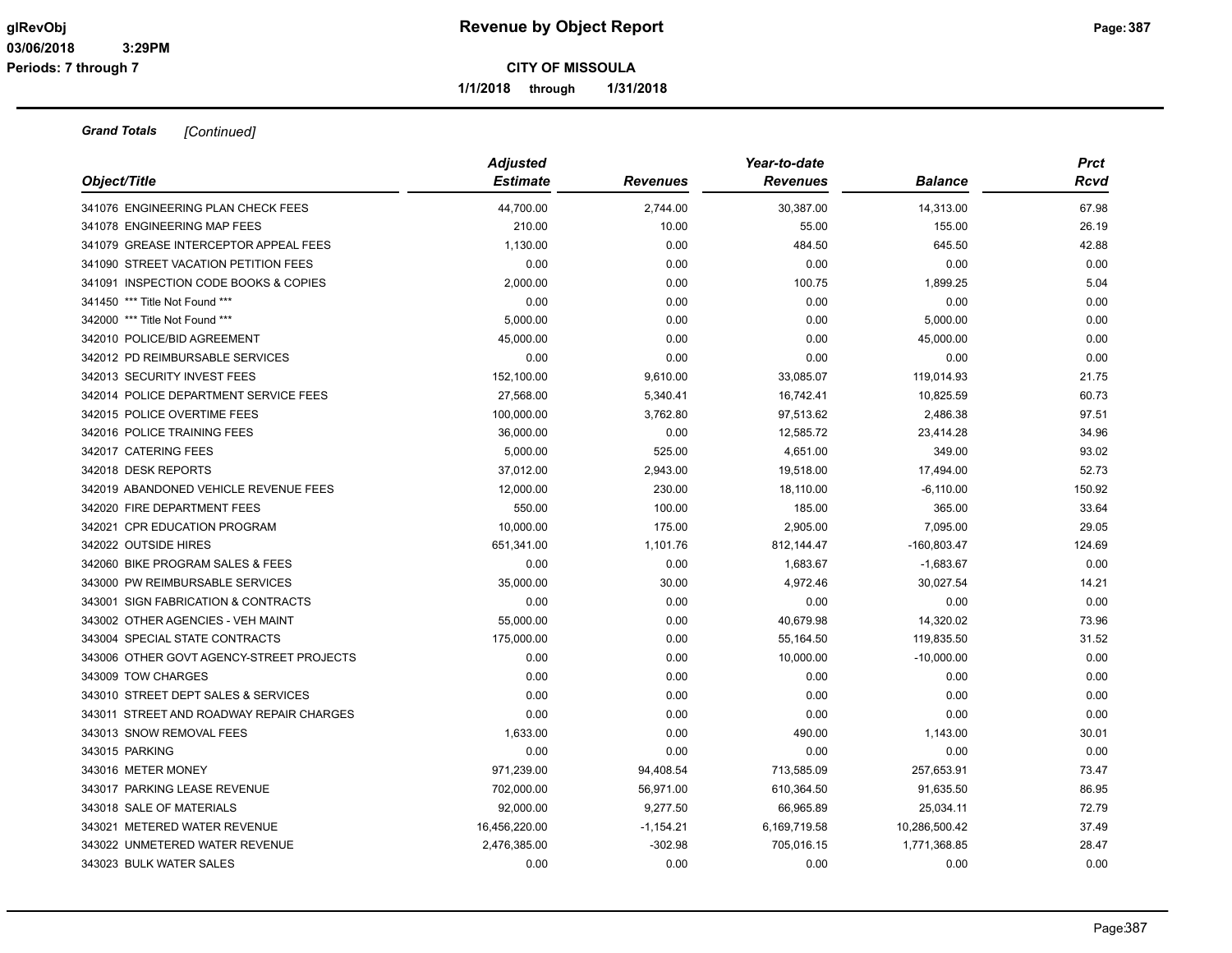**1/1/2018 through 1/31/2018**

| Object/Title                             | <b>Adjusted</b> |                 | Year-to-date    |                | <b>Prct</b> |
|------------------------------------------|-----------------|-----------------|-----------------|----------------|-------------|
|                                          | <b>Estimate</b> | <b>Revenues</b> | <b>Revenues</b> | <b>Balance</b> | Rcvd        |
| 341076 ENGINEERING PLAN CHECK FEES       | 44,700.00       | 2,744.00        | 30,387.00       | 14,313.00      | 67.98       |
| 341078 ENGINEERING MAP FEES              | 210.00          | 10.00           | 55.00           | 155.00         | 26.19       |
| 341079 GREASE INTERCEPTOR APPEAL FEES    | 1,130.00        | 0.00            | 484.50          | 645.50         | 42.88       |
| 341090 STREET VACATION PETITION FEES     | 0.00            | 0.00            | 0.00            | 0.00           | 0.00        |
| 341091 INSPECTION CODE BOOKS & COPIES    | 2,000.00        | 0.00            | 100.75          | 1,899.25       | 5.04        |
| 341450 *** Title Not Found ***           | 0.00            | 0.00            | 0.00            | 0.00           | 0.00        |
| 342000 *** Title Not Found ***           | 5,000.00        | 0.00            | 0.00            | 5,000.00       | 0.00        |
| 342010 POLICE/BID AGREEMENT              | 45,000.00       | 0.00            | 0.00            | 45,000.00      | 0.00        |
| 342012 PD REIMBURSABLE SERVICES          | 0.00            | 0.00            | 0.00            | 0.00           | 0.00        |
| 342013 SECURITY INVEST FEES              | 152,100.00      | 9,610.00        | 33,085.07       | 119,014.93     | 21.75       |
| 342014 POLICE DEPARTMENT SERVICE FEES    | 27,568.00       | 5,340.41        | 16,742.41       | 10,825.59      | 60.73       |
| 342015 POLICE OVERTIME FEES              | 100,000.00      | 3,762.80        | 97,513.62       | 2,486.38       | 97.51       |
| 342016 POLICE TRAINING FEES              | 36,000.00       | 0.00            | 12,585.72       | 23,414.28      | 34.96       |
| 342017 CATERING FEES                     | 5,000.00        | 525.00          | 4,651.00        | 349.00         | 93.02       |
| 342018 DESK REPORTS                      | 37,012.00       | 2,943.00        | 19,518.00       | 17,494.00      | 52.73       |
| 342019 ABANDONED VEHICLE REVENUE FEES    | 12,000.00       | 230.00          | 18,110.00       | $-6,110.00$    | 150.92      |
| 342020 FIRE DEPARTMENT FEES              | 550.00          | 100.00          | 185.00          | 365.00         | 33.64       |
| 342021 CPR EDUCATION PROGRAM             | 10,000.00       | 175.00          | 2,905.00        | 7,095.00       | 29.05       |
| 342022 OUTSIDE HIRES                     | 651,341.00      | 1,101.76        | 812,144.47      | $-160,803.47$  | 124.69      |
| 342060 BIKE PROGRAM SALES & FEES         | 0.00            | 0.00            | 1,683.67        | $-1,683.67$    | 0.00        |
| 343000 PW REIMBURSABLE SERVICES          | 35,000.00       | 30.00           | 4,972.46        | 30,027.54      | 14.21       |
| 343001 SIGN FABRICATION & CONTRACTS      | 0.00            | 0.00            | 0.00            | 0.00           | 0.00        |
| 343002 OTHER AGENCIES - VEH MAINT        | 55,000.00       | 0.00            | 40,679.98       | 14,320.02      | 73.96       |
| 343004 SPECIAL STATE CONTRACTS           | 175,000.00      | 0.00            | 55,164.50       | 119,835.50     | 31.52       |
| 343006 OTHER GOVT AGENCY-STREET PROJECTS | 0.00            | 0.00            | 10,000.00       | $-10,000.00$   | 0.00        |
| 343009 TOW CHARGES                       | 0.00            | 0.00            | 0.00            | 0.00           | 0.00        |
| 343010 STREET DEPT SALES & SERVICES      | 0.00            | 0.00            | 0.00            | 0.00           | 0.00        |
| 343011 STREET AND ROADWAY REPAIR CHARGES | 0.00            | 0.00            | 0.00            | 0.00           | 0.00        |
| 343013 SNOW REMOVAL FEES                 | 1,633.00        | 0.00            | 490.00          | 1,143.00       | 30.01       |
| 343015 PARKING                           | 0.00            | 0.00            | 0.00            | 0.00           | 0.00        |
| 343016 METER MONEY                       | 971,239.00      | 94,408.54       | 713,585.09      | 257,653.91     | 73.47       |
| 343017 PARKING LEASE REVENUE             | 702,000.00      | 56,971.00       | 610,364.50      | 91,635.50      | 86.95       |
| 343018 SALE OF MATERIALS                 | 92,000.00       | 9,277.50        | 66,965.89       | 25,034.11      | 72.79       |
| 343021 METERED WATER REVENUE             | 16,456,220.00   | $-1,154.21$     | 6,169,719.58    | 10,286,500.42  | 37.49       |
| 343022 UNMETERED WATER REVENUE           | 2,476,385.00    | $-302.98$       | 705,016.15      | 1,771,368.85   | 28.47       |
| 343023 BULK WATER SALES                  | 0.00            | 0.00            | 0.00            | 0.00           | 0.00        |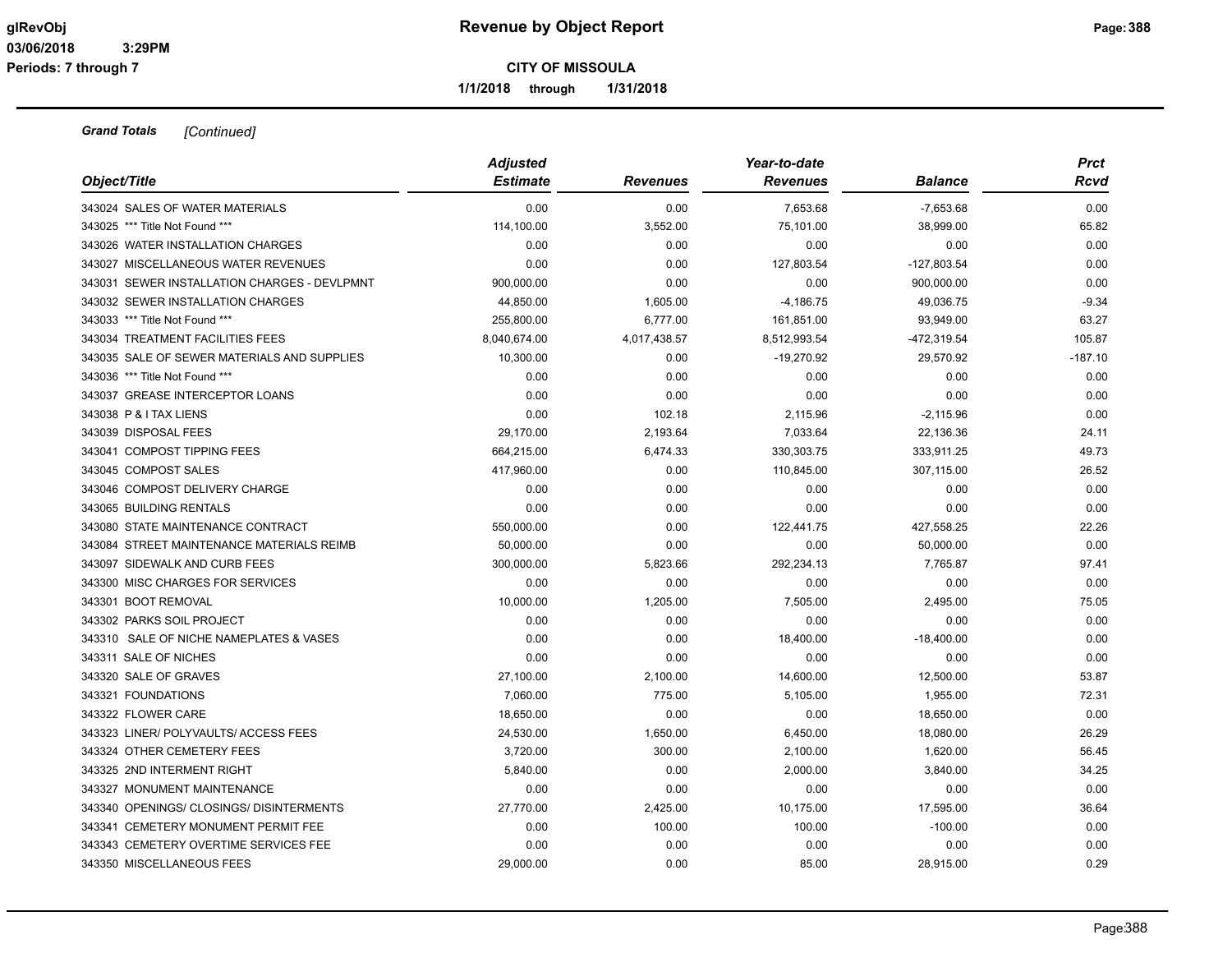**1/1/2018 through 1/31/2018**

| Object/Title                                 | <b>Adjusted</b><br><b>Estimate</b> | <b>Revenues</b> | Year-to-date<br><b>Revenues</b> | <b>Balance</b> | <b>Prct</b><br><b>Rcvd</b> |
|----------------------------------------------|------------------------------------|-----------------|---------------------------------|----------------|----------------------------|
| 343024 SALES OF WATER MATERIALS              | 0.00                               | 0.00            | 7,653.68                        | $-7,653.68$    | 0.00                       |
| 343025 *** Title Not Found ***               | 114,100.00                         | 3,552.00        | 75,101.00                       | 38,999.00      | 65.82                      |
| 343026 WATER INSTALLATION CHARGES            | 0.00                               | 0.00            | 0.00                            | 0.00           | 0.00                       |
| 343027 MISCELLANEOUS WATER REVENUES          | 0.00                               | 0.00            | 127,803.54                      | -127,803.54    | 0.00                       |
| 343031 SEWER INSTALLATION CHARGES - DEVLPMNT | 900,000.00                         | 0.00            | 0.00                            | 900,000.00     | 0.00                       |
| 343032 SEWER INSTALLATION CHARGES            | 44,850.00                          | 1,605.00        | $-4,186.75$                     | 49,036.75      | $-9.34$                    |
| 343033 *** Title Not Found ***               | 255,800.00                         | 6,777.00        | 161,851.00                      | 93,949.00      | 63.27                      |
| 343034 TREATMENT FACILITIES FEES             | 8,040,674.00                       | 4,017,438.57    | 8,512,993.54                    | -472,319.54    | 105.87                     |
| 343035 SALE OF SEWER MATERIALS AND SUPPLIES  | 10,300.00                          | 0.00            | $-19,270.92$                    | 29,570.92      | $-187.10$                  |
| 343036 *** Title Not Found ***               | 0.00                               | 0.00            | 0.00                            | 0.00           | 0.00                       |
| 343037 GREASE INTERCEPTOR LOANS              | 0.00                               | 0.00            | 0.00                            | 0.00           | 0.00                       |
| 343038 P & I TAX LIENS                       | 0.00                               | 102.18          | 2,115.96                        | $-2,115.96$    | 0.00                       |
| 343039 DISPOSAL FEES                         | 29,170.00                          | 2,193.64        | 7,033.64                        | 22,136.36      | 24.11                      |
| 343041 COMPOST TIPPING FEES                  | 664,215.00                         | 6,474.33        | 330, 303. 75                    | 333,911.25     | 49.73                      |
| 343045 COMPOST SALES                         | 417,960.00                         | 0.00            | 110,845.00                      | 307,115.00     | 26.52                      |
| 343046 COMPOST DELIVERY CHARGE               | 0.00                               | 0.00            | 0.00                            | 0.00           | 0.00                       |
| 343065 BUILDING RENTALS                      | 0.00                               | 0.00            | 0.00                            | 0.00           | 0.00                       |
| 343080 STATE MAINTENANCE CONTRACT            | 550,000.00                         | 0.00            | 122,441.75                      | 427,558.25     | 22.26                      |
| 343084 STREET MAINTENANCE MATERIALS REIMB    | 50,000.00                          | 0.00            | 0.00                            | 50,000.00      | 0.00                       |
| 343097 SIDEWALK AND CURB FEES                | 300,000.00                         | 5,823.66        | 292,234.13                      | 7,765.87       | 97.41                      |
| 343300 MISC CHARGES FOR SERVICES             | 0.00                               | 0.00            | 0.00                            | 0.00           | 0.00                       |
| 343301 BOOT REMOVAL                          | 10,000.00                          | 1,205.00        | 7,505.00                        | 2,495.00       | 75.05                      |
| 343302 PARKS SOIL PROJECT                    | 0.00                               | 0.00            | 0.00                            | 0.00           | 0.00                       |
| 343310 SALE OF NICHE NAMEPLATES & VASES      | 0.00                               | 0.00            | 18,400.00                       | $-18,400.00$   | 0.00                       |
| 343311 SALE OF NICHES                        | 0.00                               | 0.00            | 0.00                            | 0.00           | 0.00                       |
| 343320 SALE OF GRAVES                        | 27,100.00                          | 2,100.00        | 14,600.00                       | 12,500.00      | 53.87                      |
| 343321 FOUNDATIONS                           | 7,060.00                           | 775.00          | 5,105.00                        | 1,955.00       | 72.31                      |
| 343322 FLOWER CARE                           | 18,650.00                          | 0.00            | 0.00                            | 18,650.00      | 0.00                       |
| 343323 LINER/ POLYVAULTS/ ACCESS FEES        | 24,530.00                          | 1,650.00        | 6,450.00                        | 18,080.00      | 26.29                      |
| 343324 OTHER CEMETERY FEES                   | 3,720.00                           | 300.00          | 2,100.00                        | 1,620.00       | 56.45                      |
| 343325 2ND INTERMENT RIGHT                   | 5,840.00                           | 0.00            | 2,000.00                        | 3,840.00       | 34.25                      |
| 343327 MONUMENT MAINTENANCE                  | 0.00                               | 0.00            | 0.00                            | 0.00           | 0.00                       |
| 343340 OPENINGS/ CLOSINGS/ DISINTERMENTS     | 27,770.00                          | 2,425.00        | 10,175.00                       | 17,595.00      | 36.64                      |
| 343341 CEMETERY MONUMENT PERMIT FEE          | 0.00                               | 100.00          | 100.00                          | $-100.00$      | 0.00                       |
| 343343 CEMETERY OVERTIME SERVICES FEE        | 0.00                               | 0.00            | 0.00                            | 0.00           | 0.00                       |
| 343350 MISCELLANEOUS FEES                    | 29,000.00                          | 0.00            | 85.00                           | 28,915.00      | 0.29                       |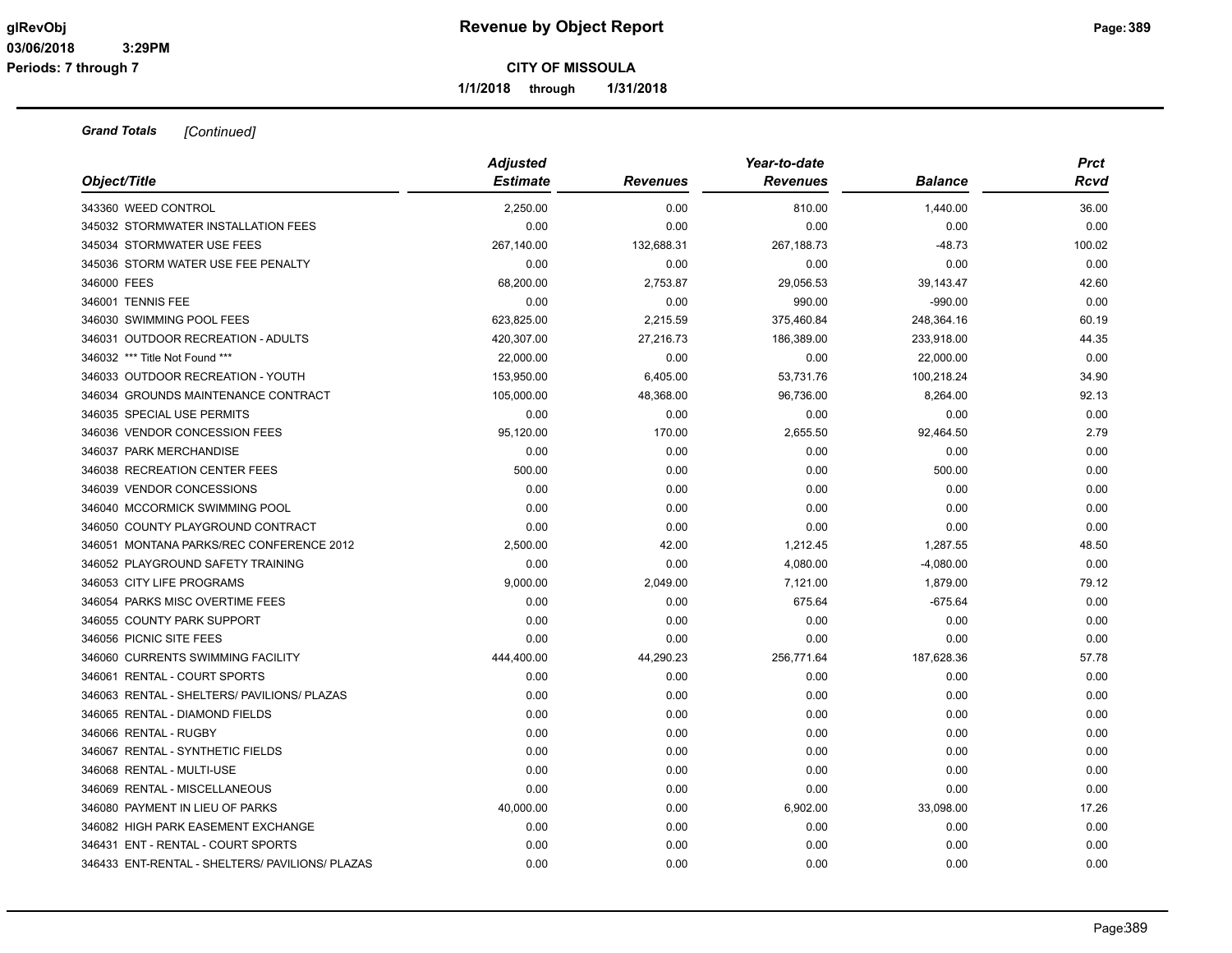**1/1/2018 through 1/31/2018**

|                                                 | <b>Adjusted</b> |                 | Year-to-date    |                | <b>Prct</b> |
|-------------------------------------------------|-----------------|-----------------|-----------------|----------------|-------------|
| Object/Title                                    | <b>Estimate</b> | <b>Revenues</b> | <b>Revenues</b> | <b>Balance</b> | Rcvd        |
| 343360 WEED CONTROL                             | 2,250.00        | 0.00            | 810.00          | 1,440.00       | 36.00       |
| 345032 STORMWATER INSTALLATION FEES             | 0.00            | 0.00            | 0.00            | 0.00           | 0.00        |
| 345034 STORMWATER USE FEES                      | 267,140.00      | 132,688.31      | 267,188.73      | $-48.73$       | 100.02      |
| 345036 STORM WATER USE FEE PENALTY              | 0.00            | 0.00            | 0.00            | 0.00           | 0.00        |
| 346000 FEES                                     | 68,200.00       | 2,753.87        | 29,056.53       | 39,143.47      | 42.60       |
| 346001 TENNIS FEE                               | 0.00            | 0.00            | 990.00          | $-990.00$      | 0.00        |
| 346030 SWIMMING POOL FEES                       | 623,825.00      | 2,215.59        | 375,460.84      | 248,364.16     | 60.19       |
| 346031 OUTDOOR RECREATION - ADULTS              | 420,307.00      | 27,216.73       | 186,389.00      | 233,918.00     | 44.35       |
| 346032 *** Title Not Found ***                  | 22,000.00       | 0.00            | 0.00            | 22,000.00      | 0.00        |
| 346033 OUTDOOR RECREATION - YOUTH               | 153,950.00      | 6,405.00        | 53,731.76       | 100,218.24     | 34.90       |
| 346034 GROUNDS MAINTENANCE CONTRACT             | 105,000.00      | 48,368.00       | 96,736.00       | 8,264.00       | 92.13       |
| 346035 SPECIAL USE PERMITS                      | 0.00            | 0.00            | 0.00            | 0.00           | 0.00        |
| 346036 VENDOR CONCESSION FEES                   | 95,120.00       | 170.00          | 2,655.50        | 92,464.50      | 2.79        |
| 346037 PARK MERCHANDISE                         | 0.00            | 0.00            | 0.00            | 0.00           | 0.00        |
| 346038 RECREATION CENTER FEES                   | 500.00          | 0.00            | 0.00            | 500.00         | 0.00        |
| 346039 VENDOR CONCESSIONS                       | 0.00            | 0.00            | 0.00            | 0.00           | 0.00        |
| 346040 MCCORMICK SWIMMING POOL                  | 0.00            | 0.00            | 0.00            | 0.00           | 0.00        |
| 346050 COUNTY PLAYGROUND CONTRACT               | 0.00            | 0.00            | 0.00            | 0.00           | 0.00        |
| 346051 MONTANA PARKS/REC CONFERENCE 2012        | 2,500.00        | 42.00           | 1,212.45        | 1,287.55       | 48.50       |
| 346052 PLAYGROUND SAFETY TRAINING               | 0.00            | 0.00            | 4,080.00        | $-4,080.00$    | 0.00        |
| 346053 CITY LIFE PROGRAMS                       | 9,000.00        | 2,049.00        | 7,121.00        | 1,879.00       | 79.12       |
| 346054 PARKS MISC OVERTIME FEES                 | 0.00            | 0.00            | 675.64          | $-675.64$      | 0.00        |
| 346055 COUNTY PARK SUPPORT                      | 0.00            | 0.00            | 0.00            | 0.00           | 0.00        |
| 346056 PICNIC SITE FEES                         | 0.00            | 0.00            | 0.00            | 0.00           | 0.00        |
| 346060 CURRENTS SWIMMING FACILITY               | 444,400.00      | 44,290.23       | 256,771.64      | 187,628.36     | 57.78       |
| 346061 RENTAL - COURT SPORTS                    | 0.00            | 0.00            | 0.00            | 0.00           | 0.00        |
| 346063 RENTAL - SHELTERS/ PAVILIONS/ PLAZAS     | 0.00            | 0.00            | 0.00            | 0.00           | 0.00        |
| 346065 RENTAL - DIAMOND FIELDS                  | 0.00            | 0.00            | 0.00            | 0.00           | 0.00        |
| 346066 RENTAL - RUGBY                           | 0.00            | 0.00            | 0.00            | 0.00           | 0.00        |
| 346067 RENTAL - SYNTHETIC FIELDS                | 0.00            | 0.00            | 0.00            | 0.00           | 0.00        |
| 346068 RENTAL - MULTI-USE                       | 0.00            | 0.00            | 0.00            | 0.00           | 0.00        |
| 346069 RENTAL - MISCELLANEOUS                   | 0.00            | 0.00            | 0.00            | 0.00           | 0.00        |
| 346080 PAYMENT IN LIEU OF PARKS                 | 40,000.00       | 0.00            | 6,902.00        | 33,098.00      | 17.26       |
| 346082 HIGH PARK EASEMENT EXCHANGE              | 0.00            | 0.00            | 0.00            | 0.00           | 0.00        |
| 346431 ENT - RENTAL - COURT SPORTS              | 0.00            | 0.00            | 0.00            | 0.00           | 0.00        |
| 346433 ENT-RENTAL - SHELTERS/ PAVILIONS/ PLAZAS | 0.00            | 0.00            | 0.00            | 0.00           | 0.00        |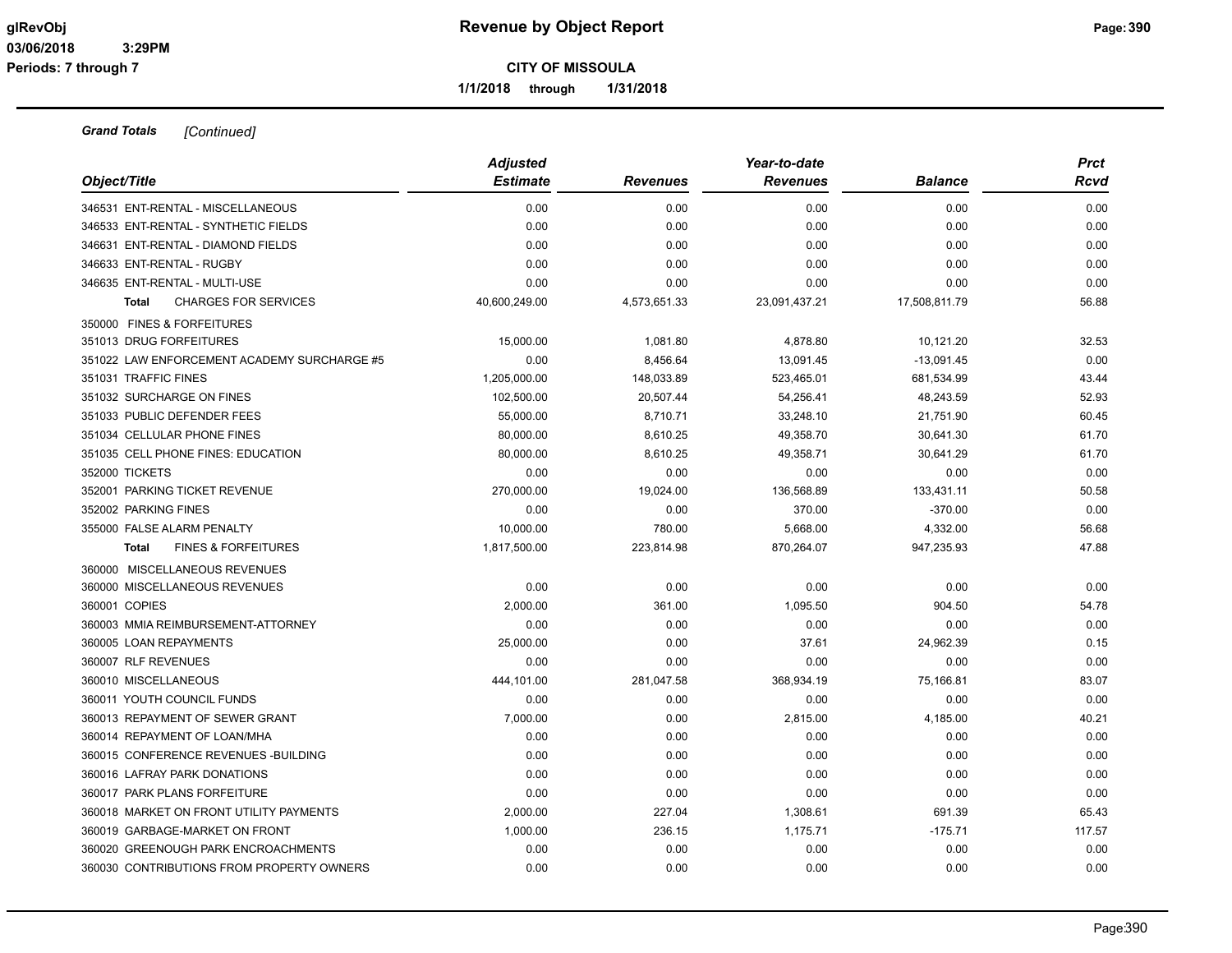**1/1/2018 through 1/31/2018**

|                                                | <b>Adjusted</b> |                 | Year-to-date    |                | <b>Prct</b> |
|------------------------------------------------|-----------------|-----------------|-----------------|----------------|-------------|
| Object/Title                                   | <b>Estimate</b> | <b>Revenues</b> | <b>Revenues</b> | <b>Balance</b> | Rcvd        |
| 346531 ENT-RENTAL - MISCELLANEOUS              | 0.00            | 0.00            | 0.00            | 0.00           | 0.00        |
| 346533 ENT-RENTAL - SYNTHETIC FIELDS           | 0.00            | 0.00            | 0.00            | 0.00           | 0.00        |
| 346631 ENT-RENTAL - DIAMOND FIELDS             | 0.00            | 0.00            | 0.00            | 0.00           | 0.00        |
| 346633 ENT-RENTAL - RUGBY                      | 0.00            | 0.00            | 0.00            | 0.00           | 0.00        |
| 346635 ENT-RENTAL - MULTI-USE                  | 0.00            | 0.00            | 0.00            | 0.00           | 0.00        |
| <b>CHARGES FOR SERVICES</b><br><b>Total</b>    | 40,600,249.00   | 4,573,651.33    | 23,091,437.21   | 17,508,811.79  | 56.88       |
| 350000 FINES & FORFEITURES                     |                 |                 |                 |                |             |
| 351013 DRUG FORFEITURES                        | 15,000.00       | 1,081.80        | 4,878.80        | 10,121.20      | 32.53       |
| 351022 LAW ENFORCEMENT ACADEMY SURCHARGE #5    | 0.00            | 8,456.64        | 13,091.45       | $-13,091.45$   | 0.00        |
| 351031 TRAFFIC FINES                           | 1,205,000.00    | 148,033.89      | 523,465.01      | 681,534.99     | 43.44       |
| 351032 SURCHARGE ON FINES                      | 102,500.00      | 20,507.44       | 54,256.41       | 48,243.59      | 52.93       |
| 351033 PUBLIC DEFENDER FEES                    | 55,000.00       | 8,710.71        | 33,248.10       | 21,751.90      | 60.45       |
| 351034 CELLULAR PHONE FINES                    | 80,000.00       | 8,610.25        | 49,358.70       | 30,641.30      | 61.70       |
| 351035 CELL PHONE FINES: EDUCATION             | 80,000.00       | 8,610.25        | 49,358.71       | 30,641.29      | 61.70       |
| 352000 TICKETS                                 | 0.00            | 0.00            | 0.00            | 0.00           | 0.00        |
| 352001 PARKING TICKET REVENUE                  | 270,000.00      | 19,024.00       | 136,568.89      | 133,431.11     | 50.58       |
| 352002 PARKING FINES                           | 0.00            | 0.00            | 370.00          | $-370.00$      | 0.00        |
| 355000 FALSE ALARM PENALTY                     | 10.000.00       | 780.00          | 5,668.00        | 4,332.00       | 56.68       |
| <b>FINES &amp; FORFEITURES</b><br><b>Total</b> | 1,817,500.00    | 223,814.98      | 870,264.07      | 947,235.93     | 47.88       |
| 360000 MISCELLANEOUS REVENUES                  |                 |                 |                 |                |             |
| 360000 MISCELLANEOUS REVENUES                  | 0.00            | 0.00            | 0.00            | 0.00           | 0.00        |
| 360001 COPIES                                  | 2,000.00        | 361.00          | 1,095.50        | 904.50         | 54.78       |
| 360003 MMIA REIMBURSEMENT-ATTORNEY             | 0.00            | 0.00            | 0.00            | 0.00           | 0.00        |
| 360005 LOAN REPAYMENTS                         | 25,000.00       | 0.00            | 37.61           | 24,962.39      | 0.15        |
| 360007 RLF REVENUES                            | 0.00            | 0.00            | 0.00            | 0.00           | 0.00        |
| 360010 MISCELLANEOUS                           | 444,101.00      | 281,047.58      | 368,934.19      | 75,166.81      | 83.07       |
| 360011 YOUTH COUNCIL FUNDS                     | 0.00            | 0.00            | 0.00            | 0.00           | 0.00        |
| 360013 REPAYMENT OF SEWER GRANT                | 7,000.00        | 0.00            | 2,815.00        | 4,185.00       | 40.21       |
| 360014 REPAYMENT OF LOAN/MHA                   | 0.00            | 0.00            | 0.00            | 0.00           | 0.00        |
| 360015 CONFERENCE REVENUES - BUILDING          | 0.00            | 0.00            | 0.00            | 0.00           | 0.00        |
| 360016 LAFRAY PARK DONATIONS                   | 0.00            | 0.00            | 0.00            | 0.00           | 0.00        |
| 360017 PARK PLANS FORFEITURE                   | 0.00            | 0.00            | 0.00            | 0.00           | 0.00        |
| 360018 MARKET ON FRONT UTILITY PAYMENTS        | 2,000.00        | 227.04          | 1,308.61        | 691.39         | 65.43       |
| 360019 GARBAGE-MARKET ON FRONT                 | 1,000.00        | 236.15          | 1,175.71        | $-175.71$      | 117.57      |
| 360020 GREENOUGH PARK ENCROACHMENTS            | 0.00            | 0.00            | 0.00            | 0.00           | 0.00        |
| 360030 CONTRIBUTIONS FROM PROPERTY OWNERS      | 0.00            | 0.00            | 0.00            | 0.00           | 0.00        |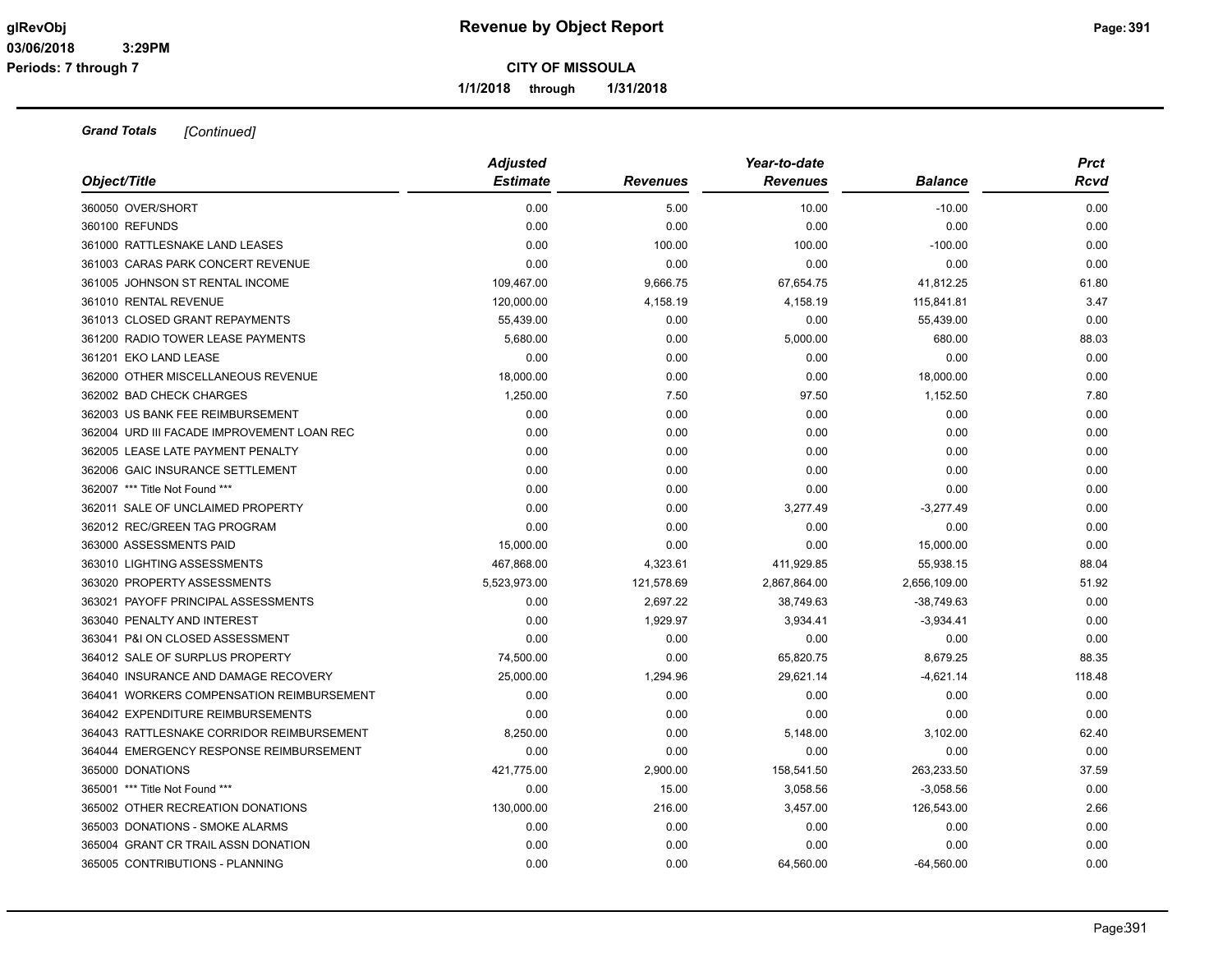**1/1/2018 through 1/31/2018**

| Object/Title                               | <b>Adjusted</b><br><b>Estimate</b> | <b>Revenues</b> | Year-to-date<br><b>Revenues</b> | <b>Balance</b> | <b>Prct</b><br>Rcvd |
|--------------------------------------------|------------------------------------|-----------------|---------------------------------|----------------|---------------------|
|                                            |                                    |                 |                                 |                |                     |
| 360050 OVER/SHORT                          | 0.00                               | 5.00            | 10.00                           | $-10.00$       | 0.00                |
| 360100 REFUNDS                             | 0.00                               | 0.00            | 0.00                            | 0.00           | 0.00                |
| 361000 RATTLESNAKE LAND LEASES             | 0.00                               | 100.00          | 100.00                          | $-100.00$      | 0.00                |
| 361003 CARAS PARK CONCERT REVENUE          | 0.00                               | 0.00            | 0.00                            | 0.00           | 0.00                |
| 361005 JOHNSON ST RENTAL INCOME            | 109,467.00                         | 9,666.75        | 67,654.75                       | 41,812.25      | 61.80               |
| 361010 RENTAL REVENUE                      | 120,000.00                         | 4,158.19        | 4,158.19                        | 115,841.81     | 3.47                |
| 361013 CLOSED GRANT REPAYMENTS             | 55,439.00                          | 0.00            | 0.00                            | 55,439.00      | 0.00                |
| 361200 RADIO TOWER LEASE PAYMENTS          | 5,680.00                           | 0.00            | 5,000.00                        | 680.00         | 88.03               |
| 361201 EKO LAND LEASE                      | 0.00                               | 0.00            | 0.00                            | 0.00           | 0.00                |
| 362000 OTHER MISCELLANEOUS REVENUE         | 18,000.00                          | 0.00            | 0.00                            | 18,000.00      | 0.00                |
| 362002 BAD CHECK CHARGES                   | 1,250.00                           | 7.50            | 97.50                           | 1,152.50       | 7.80                |
| 362003 US BANK FEE REIMBURSEMENT           | 0.00                               | 0.00            | 0.00                            | 0.00           | 0.00                |
| 362004 URD III FACADE IMPROVEMENT LOAN REC | 0.00                               | 0.00            | 0.00                            | 0.00           | 0.00                |
| 362005 LEASE LATE PAYMENT PENALTY          | 0.00                               | 0.00            | 0.00                            | 0.00           | 0.00                |
| 362006 GAIC INSURANCE SETTLEMENT           | 0.00                               | 0.00            | 0.00                            | 0.00           | 0.00                |
| 362007 *** Title Not Found ***             | 0.00                               | 0.00            | 0.00                            | 0.00           | 0.00                |
| 362011 SALE OF UNCLAIMED PROPERTY          | 0.00                               | 0.00            | 3,277.49                        | $-3,277.49$    | 0.00                |
| 362012 REC/GREEN TAG PROGRAM               | 0.00                               | 0.00            | 0.00                            | 0.00           | 0.00                |
| 363000 ASSESSMENTS PAID                    | 15,000.00                          | 0.00            | 0.00                            | 15,000.00      | 0.00                |
| 363010 LIGHTING ASSESSMENTS                | 467,868.00                         | 4,323.61        | 411,929.85                      | 55,938.15      | 88.04               |
| 363020 PROPERTY ASSESSMENTS                | 5,523,973.00                       | 121,578.69      | 2,867,864.00                    | 2,656,109.00   | 51.92               |
| 363021 PAYOFF PRINCIPAL ASSESSMENTS        | 0.00                               | 2,697.22        | 38.749.63                       | $-38,749.63$   | 0.00                |
| 363040 PENALTY AND INTEREST                | 0.00                               | 1,929.97        | 3,934.41                        | $-3,934.41$    | 0.00                |
| 363041 P&I ON CLOSED ASSESSMENT            | 0.00                               | 0.00            | 0.00                            | 0.00           | 0.00                |
| 364012 SALE OF SURPLUS PROPERTY            | 74,500.00                          | 0.00            | 65,820.75                       | 8,679.25       | 88.35               |
| 364040 INSURANCE AND DAMAGE RECOVERY       | 25,000.00                          | 1,294.96        | 29,621.14                       | $-4,621.14$    | 118.48              |
| 364041 WORKERS COMPENSATION REIMBURSEMENT  | 0.00                               | 0.00            | 0.00                            | 0.00           | 0.00                |
| 364042 EXPENDITURE REIMBURSEMENTS          | 0.00                               | 0.00            | 0.00                            | 0.00           | 0.00                |
| 364043 RATTLESNAKE CORRIDOR REIMBURSEMENT  | 8,250.00                           | 0.00            | 5,148.00                        | 3,102.00       | 62.40               |
| 364044 EMERGENCY RESPONSE REIMBURSEMENT    | 0.00                               | 0.00            | 0.00                            | 0.00           | 0.00                |
| 365000 DONATIONS                           | 421,775.00                         | 2,900.00        | 158,541.50                      | 263,233.50     | 37.59               |
| 365001 *** Title Not Found ***             | 0.00                               | 15.00           | 3,058.56                        | $-3,058.56$    | 0.00                |
| 365002 OTHER RECREATION DONATIONS          | 130,000.00                         | 216.00          | 3,457.00                        | 126,543.00     | 2.66                |
| 365003 DONATIONS - SMOKE ALARMS            | 0.00                               | 0.00            | 0.00                            | 0.00           | 0.00                |
| 365004 GRANT CR TRAIL ASSN DONATION        | 0.00                               | 0.00            | 0.00                            | 0.00           | 0.00                |
| 365005 CONTRIBUTIONS - PLANNING            | 0.00                               | 0.00            | 64.560.00                       | $-64.560.00$   | 0.00                |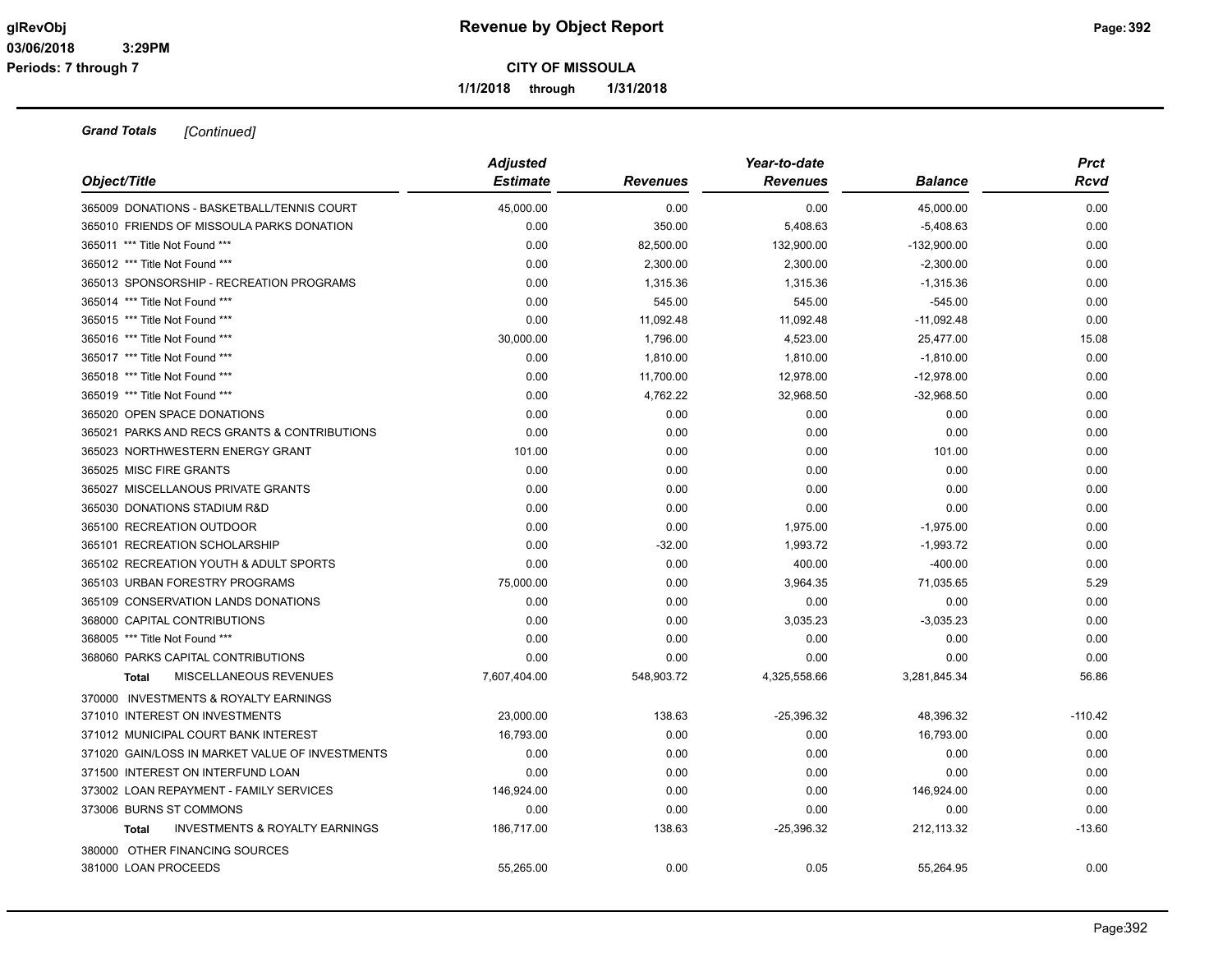**1/1/2018 through 1/31/2018**

| Object/Title                                              | <b>Adjusted</b><br><b>Estimate</b> | <b>Revenues</b> | Year-to-date<br><b>Revenues</b> | <b>Balance</b> | <b>Prct</b><br>Rcvd |
|-----------------------------------------------------------|------------------------------------|-----------------|---------------------------------|----------------|---------------------|
| 365009 DONATIONS - BASKETBALL/TENNIS COURT                | 45,000.00                          | 0.00            | 0.00                            | 45,000.00      | 0.00                |
| 365010 FRIENDS OF MISSOULA PARKS DONATION                 | 0.00                               | 350.00          | 5,408.63                        | $-5,408.63$    | 0.00                |
| 365011 *** Title Not Found ***                            | 0.00                               | 82,500.00       | 132,900.00                      | $-132,900.00$  | 0.00                |
| 365012 *** Title Not Found ***                            | 0.00                               | 2,300.00        | 2,300.00                        | $-2,300.00$    | 0.00                |
| 365013 SPONSORSHIP - RECREATION PROGRAMS                  | 0.00                               | 1,315.36        | 1,315.36                        | $-1,315.36$    | 0.00                |
| 365014 *** Title Not Found ***                            | 0.00                               | 545.00          | 545.00                          | $-545.00$      | 0.00                |
| 365015 *** Title Not Found ***                            | 0.00                               | 11,092.48       | 11,092.48                       | $-11,092.48$   | 0.00                |
| 365016 *** Title Not Found ***                            | 30,000.00                          | 1,796.00        | 4,523.00                        | 25,477.00      | 15.08               |
| 365017 *** Title Not Found ***                            | 0.00                               | 1,810.00        | 1,810.00                        | $-1,810.00$    | 0.00                |
| 365018 *** Title Not Found ***                            | 0.00                               | 11,700.00       | 12,978.00                       | $-12,978.00$   | 0.00                |
| 365019 *** Title Not Found ***                            | 0.00                               | 4,762.22        | 32,968.50                       | $-32,968.50$   | 0.00                |
| 365020 OPEN SPACE DONATIONS                               | 0.00                               | 0.00            | 0.00                            | 0.00           | 0.00                |
| 365021 PARKS AND RECS GRANTS & CONTRIBUTIONS              | 0.00                               | 0.00            | 0.00                            | 0.00           | 0.00                |
| 365023 NORTHWESTERN ENERGY GRANT                          | 101.00                             | 0.00            | 0.00                            | 101.00         | 0.00                |
| 365025 MISC FIRE GRANTS                                   | 0.00                               | 0.00            | 0.00                            | 0.00           | 0.00                |
| 365027 MISCELLANOUS PRIVATE GRANTS                        | 0.00                               | 0.00            | 0.00                            | 0.00           | 0.00                |
| 365030 DONATIONS STADIUM R&D                              | 0.00                               | 0.00            | 0.00                            | 0.00           | 0.00                |
| 365100 RECREATION OUTDOOR                                 | 0.00                               | 0.00            | 1,975.00                        | $-1,975.00$    | 0.00                |
| 365101 RECREATION SCHOLARSHIP                             | 0.00                               | $-32.00$        | 1,993.72                        | $-1,993.72$    | 0.00                |
| 365102 RECREATION YOUTH & ADULT SPORTS                    | 0.00                               | 0.00            | 400.00                          | $-400.00$      | 0.00                |
| 365103 URBAN FORESTRY PROGRAMS                            | 75,000.00                          | 0.00            | 3,964.35                        | 71,035.65      | 5.29                |
| 365109 CONSERVATION LANDS DONATIONS                       | 0.00                               | 0.00            | 0.00                            | 0.00           | 0.00                |
| 368000 CAPITAL CONTRIBUTIONS                              | 0.00                               | 0.00            | 3,035.23                        | $-3,035.23$    | 0.00                |
| 368005 *** Title Not Found ***                            | 0.00                               | 0.00            | 0.00                            | 0.00           | 0.00                |
| 368060 PARKS CAPITAL CONTRIBUTIONS                        | 0.00                               | 0.00            | 0.00                            | 0.00           | 0.00                |
| MISCELLANEOUS REVENUES<br><b>Total</b>                    | 7,607,404.00                       | 548,903.72      | 4,325,558.66                    | 3,281,845.34   | 56.86               |
| 370000 INVESTMENTS & ROYALTY EARNINGS                     |                                    |                 |                                 |                |                     |
| 371010 INTEREST ON INVESTMENTS                            | 23,000.00                          | 138.63          | $-25,396.32$                    | 48,396.32      | $-110.42$           |
| 371012 MUNICIPAL COURT BANK INTEREST                      | 16,793.00                          | 0.00            | 0.00                            | 16,793.00      | 0.00                |
| 371020 GAIN/LOSS IN MARKET VALUE OF INVESTMENTS           | 0.00                               | 0.00            | 0.00                            | 0.00           | 0.00                |
| 371500 INTEREST ON INTERFUND LOAN                         | 0.00                               | 0.00            | 0.00                            | 0.00           | 0.00                |
| 373002 LOAN REPAYMENT - FAMILY SERVICES                   | 146,924.00                         | 0.00            | 0.00                            | 146,924.00     | 0.00                |
| 373006 BURNS ST COMMONS                                   | 0.00                               | 0.00            | 0.00                            | 0.00           | 0.00                |
| <b>INVESTMENTS &amp; ROYALTY EARNINGS</b><br><b>Total</b> | 186,717.00                         | 138.63          | -25,396.32                      | 212,113.32     | $-13.60$            |
| 380000 OTHER FINANCING SOURCES                            |                                    |                 |                                 |                |                     |
| 381000 LOAN PROCEEDS                                      | 55,265.00                          | 0.00            | 0.05                            | 55,264.95      | 0.00                |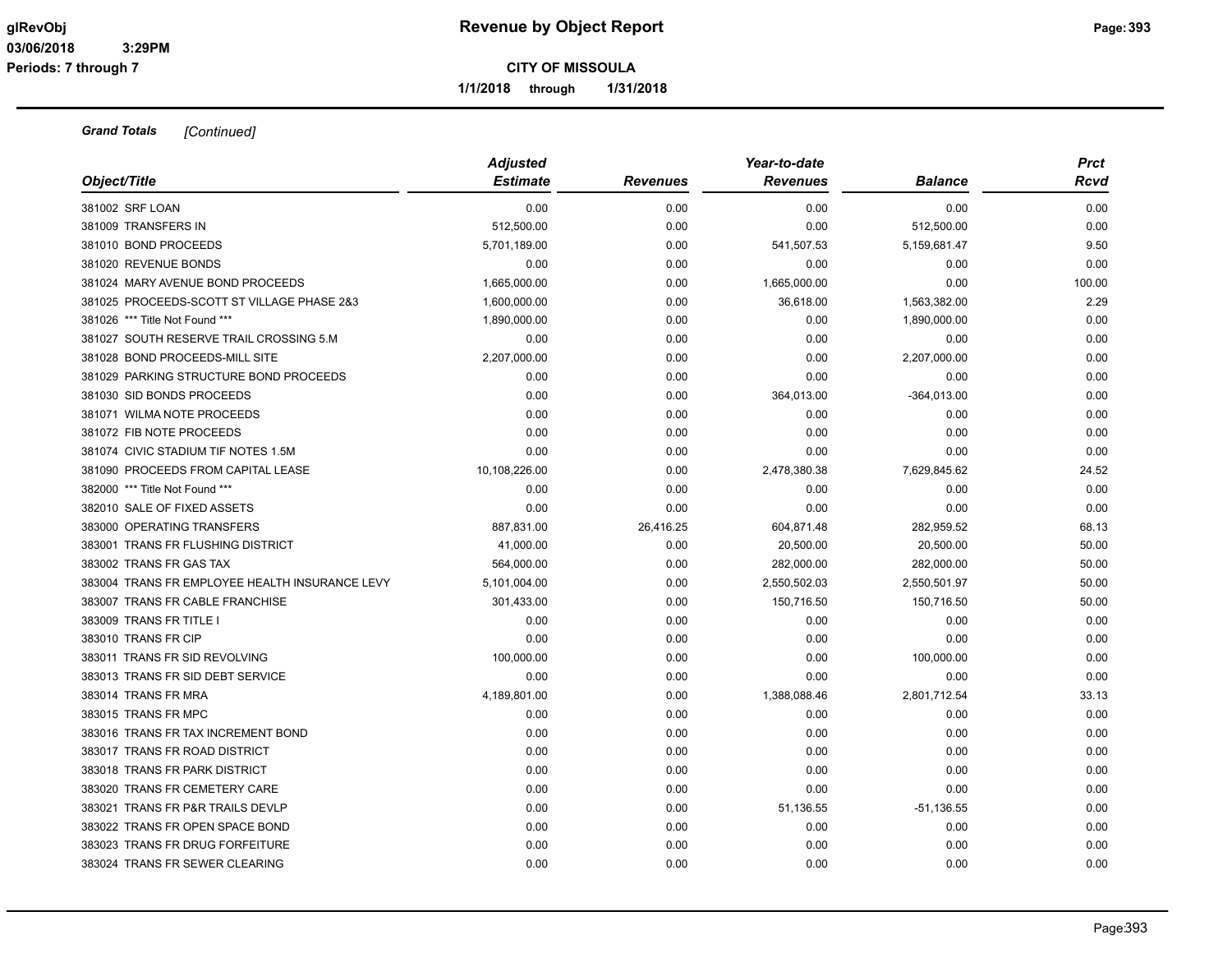**1/1/2018 through 1/31/2018**

| Object/Title                                   | <b>Adjusted</b><br><b>Estimate</b> | <b>Revenues</b> | Year-to-date<br><b>Revenues</b> | <b>Balance</b> | <b>Prct</b><br>Rcvd |
|------------------------------------------------|------------------------------------|-----------------|---------------------------------|----------------|---------------------|
| 381002 SRF LOAN                                | 0.00                               | 0.00            | 0.00                            | 0.00           | 0.00                |
| 381009 TRANSFERS IN                            | 512,500.00                         | 0.00            | 0.00                            | 512,500.00     | 0.00                |
| 381010 BOND PROCEEDS                           | 5,701,189.00                       | 0.00            | 541,507.53                      | 5,159,681.47   | 9.50                |
| 381020 REVENUE BONDS                           | 0.00                               | 0.00            | 0.00                            | 0.00           | 0.00                |
| 381024 MARY AVENUE BOND PROCEEDS               | 1,665,000.00                       | 0.00            | 1,665,000.00                    | 0.00           | 100.00              |
| 381025 PROCEEDS-SCOTT ST VILLAGE PHASE 2&3     | 1,600,000.00                       | 0.00            | 36,618.00                       | 1,563,382.00   | 2.29                |
| 381026 *** Title Not Found ***                 | 1,890,000.00                       | 0.00            | 0.00                            | 1,890,000.00   | 0.00                |
| 381027 SOUTH RESERVE TRAIL CROSSING 5.M        | 0.00                               | 0.00            | 0.00                            | 0.00           | 0.00                |
| 381028 BOND PROCEEDS-MILL SITE                 | 2,207,000.00                       | 0.00            | 0.00                            | 2,207,000.00   | 0.00                |
| 381029 PARKING STRUCTURE BOND PROCEEDS         | 0.00                               | 0.00            | 0.00                            | 0.00           | 0.00                |
| 381030 SID BONDS PROCEEDS                      | 0.00                               | 0.00            | 364,013.00                      | $-364,013.00$  | 0.00                |
| 381071 WILMA NOTE PROCEEDS                     | 0.00                               | 0.00            | 0.00                            | 0.00           | 0.00                |
| 381072 FIB NOTE PROCEEDS                       | 0.00                               | 0.00            | 0.00                            | 0.00           | 0.00                |
| 381074 CIVIC STADIUM TIF NOTES 1.5M            | 0.00                               | 0.00            | 0.00                            | 0.00           | 0.00                |
| 381090 PROCEEDS FROM CAPITAL LEASE             | 10,108,226.00                      | 0.00            | 2,478,380.38                    | 7,629,845.62   | 24.52               |
| 382000 *** Title Not Found ***                 | 0.00                               | 0.00            | 0.00                            | 0.00           | 0.00                |
| 382010 SALE OF FIXED ASSETS                    | 0.00                               | 0.00            | 0.00                            | 0.00           | 0.00                |
| 383000 OPERATING TRANSFERS                     | 887,831.00                         | 26,416.25       | 604,871.48                      | 282,959.52     | 68.13               |
| 383001 TRANS FR FLUSHING DISTRICT              | 41,000.00                          | 0.00            | 20,500.00                       | 20,500.00      | 50.00               |
| 383002 TRANS FR GAS TAX                        | 564,000.00                         | 0.00            | 282,000.00                      | 282,000.00     | 50.00               |
| 383004 TRANS FR EMPLOYEE HEALTH INSURANCE LEVY | 5,101,004.00                       | 0.00            | 2,550,502.03                    | 2,550,501.97   | 50.00               |
| 383007 TRANS FR CABLE FRANCHISE                | 301,433.00                         | 0.00            | 150,716.50                      | 150,716.50     | 50.00               |
| 383009 TRANS FR TITLE I                        | 0.00                               | 0.00            | 0.00                            | 0.00           | 0.00                |
| 383010 TRANS FR CIP                            | 0.00                               | 0.00            | 0.00                            | 0.00           | 0.00                |
| 383011 TRANS FR SID REVOLVING                  | 100,000.00                         | 0.00            | 0.00                            | 100,000.00     | 0.00                |
| 383013 TRANS FR SID DEBT SERVICE               | 0.00                               | 0.00            | 0.00                            | 0.00           | 0.00                |
| 383014 TRANS FR MRA                            | 4,189,801.00                       | 0.00            | 1,388,088.46                    | 2,801,712.54   | 33.13               |
| 383015 TRANS FR MPC                            | 0.00                               | 0.00            | 0.00                            | 0.00           | 0.00                |
| 383016 TRANS FR TAX INCREMENT BOND             | 0.00                               | 0.00            | 0.00                            | 0.00           | 0.00                |
| 383017 TRANS FR ROAD DISTRICT                  | 0.00                               | 0.00            | 0.00                            | 0.00           | 0.00                |
| 383018 TRANS FR PARK DISTRICT                  | 0.00                               | 0.00            | 0.00                            | 0.00           | 0.00                |
| 383020 TRANS FR CEMETERY CARE                  | 0.00                               | 0.00            | 0.00                            | 0.00           | 0.00                |
| 383021 TRANS FR P&R TRAILS DEVLP               | 0.00                               | 0.00            | 51,136.55                       | -51,136.55     | 0.00                |
| 383022 TRANS FR OPEN SPACE BOND                | 0.00                               | 0.00            | 0.00                            | 0.00           | 0.00                |
| 383023 TRANS FR DRUG FORFEITURE                | 0.00                               | 0.00            | 0.00                            | 0.00           | 0.00                |
| 383024 TRANS FR SEWER CLEARING                 | 0.00                               | 0.00            | 0.00                            | 0.00           | 0.00                |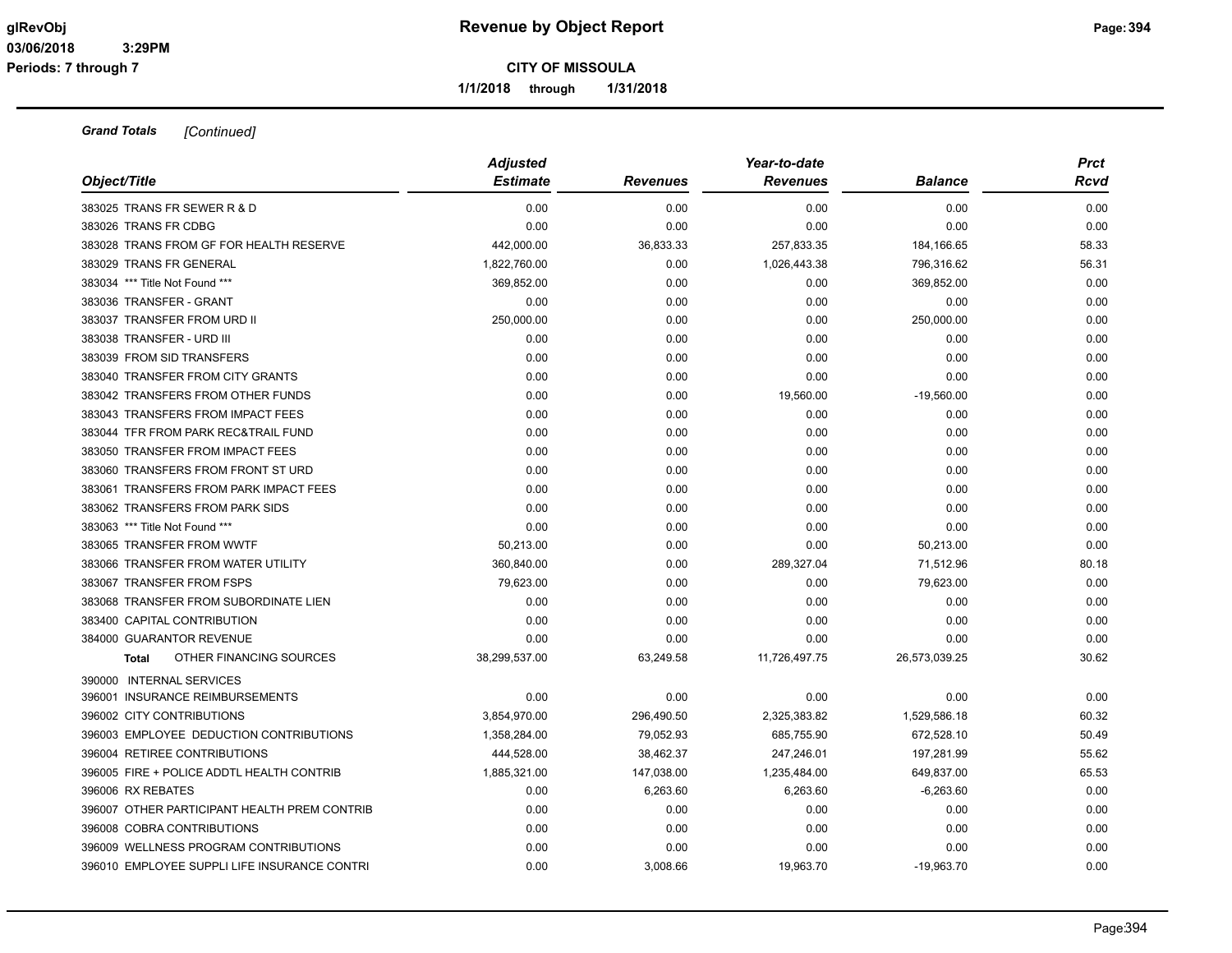**1/1/2018 through 1/31/2018**

| Object/Title                                 | <b>Adjusted</b><br><b>Estimate</b> | <b>Revenues</b> | Year-to-date<br><b>Revenues</b> | <b>Balance</b> | <b>Prct</b><br>Rcvd |
|----------------------------------------------|------------------------------------|-----------------|---------------------------------|----------------|---------------------|
| 383025 TRANS FR SEWER R & D                  | 0.00                               | 0.00            | 0.00                            | 0.00           | 0.00                |
| 383026 TRANS FR CDBG                         | 0.00                               | 0.00            | 0.00                            | 0.00           | 0.00                |
| 383028 TRANS FROM GF FOR HEALTH RESERVE      | 442,000.00                         | 36,833.33       | 257,833.35                      | 184,166.65     | 58.33               |
| 383029 TRANS FR GENERAL                      | 1,822,760.00                       | 0.00            | 1,026,443.38                    | 796,316.62     | 56.31               |
| 383034 *** Title Not Found ***               | 369,852.00                         | 0.00            | 0.00                            | 369,852.00     | 0.00                |
| 383036 TRANSFER - GRANT                      | 0.00                               | 0.00            | 0.00                            | 0.00           | 0.00                |
| 383037 TRANSFER FROM URD II                  | 250,000.00                         | 0.00            | 0.00                            | 250,000.00     | 0.00                |
| 383038 TRANSFER - URD III                    | 0.00                               | 0.00            | 0.00                            | 0.00           | 0.00                |
| 383039 FROM SID TRANSFERS                    | 0.00                               | 0.00            | 0.00                            | 0.00           | 0.00                |
| 383040 TRANSFER FROM CITY GRANTS             | 0.00                               | 0.00            | 0.00                            | 0.00           | 0.00                |
| 383042 TRANSFERS FROM OTHER FUNDS            | 0.00                               | 0.00            | 19,560.00                       | $-19,560.00$   | 0.00                |
| 383043 TRANSFERS FROM IMPACT FEES            | 0.00                               | 0.00            | 0.00                            | 0.00           | 0.00                |
| 383044 TFR FROM PARK REC&TRAIL FUND          | 0.00                               | 0.00            | 0.00                            | 0.00           | 0.00                |
| 383050 TRANSFER FROM IMPACT FEES             | 0.00                               | 0.00            | 0.00                            | 0.00           | 0.00                |
| 383060 TRANSFERS FROM FRONT ST URD           | 0.00                               | 0.00            | 0.00                            | 0.00           | 0.00                |
| 383061 TRANSFERS FROM PARK IMPACT FEES       | 0.00                               | 0.00            | 0.00                            | 0.00           | 0.00                |
| 383062 TRANSFERS FROM PARK SIDS              | 0.00                               | 0.00            | 0.00                            | 0.00           | 0.00                |
| 383063 *** Title Not Found ***               | 0.00                               | 0.00            | 0.00                            | 0.00           | 0.00                |
| 383065 TRANSFER FROM WWTF                    | 50,213.00                          | 0.00            | 0.00                            | 50,213.00      | 0.00                |
| 383066 TRANSFER FROM WATER UTILITY           | 360,840.00                         | 0.00            | 289,327.04                      | 71,512.96      | 80.18               |
| 383067 TRANSFER FROM FSPS                    | 79,623.00                          | 0.00            | 0.00                            | 79,623.00      | 0.00                |
| 383068 TRANSFER FROM SUBORDINATE LIEN        | 0.00                               | 0.00            | 0.00                            | 0.00           | 0.00                |
| 383400 CAPITAL CONTRIBUTION                  | 0.00                               | 0.00            | 0.00                            | 0.00           | 0.00                |
| 384000 GUARANTOR REVENUE                     | 0.00                               | 0.00            | 0.00                            | 0.00           | 0.00                |
| OTHER FINANCING SOURCES<br><b>Total</b>      | 38,299,537.00                      | 63,249.58       | 11,726,497.75                   | 26,573,039.25  | 30.62               |
| 390000 INTERNAL SERVICES                     |                                    |                 |                                 |                |                     |
| 396001 INSURANCE REIMBURSEMENTS              | 0.00                               | 0.00            | 0.00                            | 0.00           | 0.00                |
| 396002 CITY CONTRIBUTIONS                    | 3,854,970.00                       | 296,490.50      | 2,325,383.82                    | 1,529,586.18   | 60.32               |
| 396003 EMPLOYEE DEDUCTION CONTRIBUTIONS      | 1,358,284.00                       | 79,052.93       | 685,755.90                      | 672,528.10     | 50.49               |
| 396004 RETIREE CONTRIBUTIONS                 | 444,528.00                         | 38,462.37       | 247,246.01                      | 197,281.99     | 55.62               |
| 396005 FIRE + POLICE ADDTL HEALTH CONTRIB    | 1,885,321.00                       | 147,038.00      | 1,235,484.00                    | 649,837.00     | 65.53               |
| 396006 RX REBATES                            | 0.00                               | 6,263.60        | 6,263.60                        | $-6,263.60$    | 0.00                |
| 396007 OTHER PARTICIPANT HEALTH PREM CONTRIB | 0.00                               | 0.00            | 0.00                            | 0.00           | 0.00                |
| 396008 COBRA CONTRIBUTIONS                   | 0.00                               | 0.00            | 0.00                            | 0.00           | 0.00                |
| 396009 WELLNESS PROGRAM CONTRIBUTIONS        | 0.00                               | 0.00            | 0.00                            | 0.00           | 0.00                |
| 396010 EMPLOYEE SUPPLI LIFE INSURANCE CONTRI | 0.00                               | 3.008.66        | 19.963.70                       | $-19.963.70$   | 0.00                |